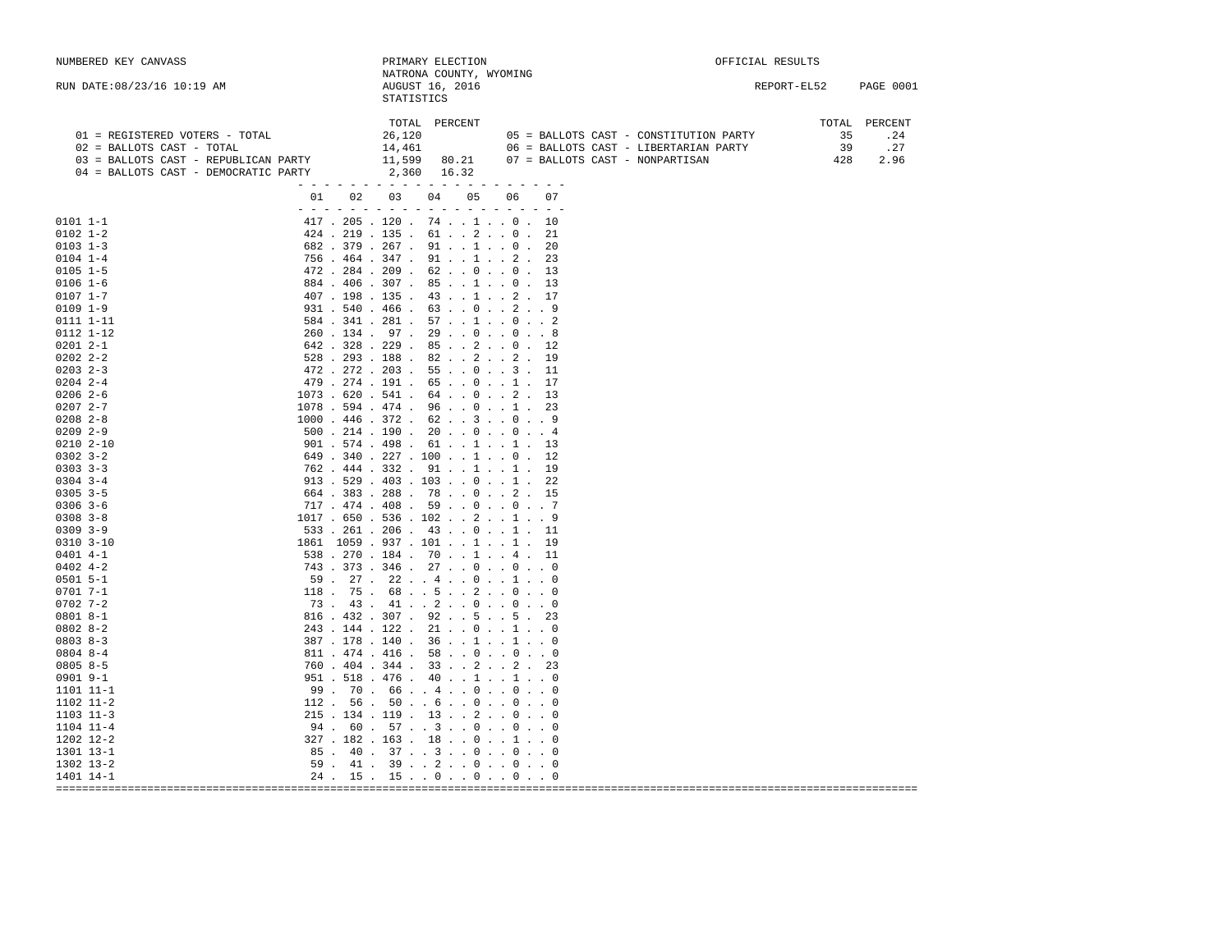| NUMBERED KEY CANVASS                                                                                                                                                                                                                                                                                                                                                                                                                                         | PRIMARY ELECTION                                                                                                                                                                                                                                                                                                                                                                                                                                                                                                                                                                                                                                                                                                                                                                                                                                                                                                                                                                                                                                                                                                                                                                                                                                                                                                                 | OFFICIAL RESULTS         |                               |
|--------------------------------------------------------------------------------------------------------------------------------------------------------------------------------------------------------------------------------------------------------------------------------------------------------------------------------------------------------------------------------------------------------------------------------------------------------------|----------------------------------------------------------------------------------------------------------------------------------------------------------------------------------------------------------------------------------------------------------------------------------------------------------------------------------------------------------------------------------------------------------------------------------------------------------------------------------------------------------------------------------------------------------------------------------------------------------------------------------------------------------------------------------------------------------------------------------------------------------------------------------------------------------------------------------------------------------------------------------------------------------------------------------------------------------------------------------------------------------------------------------------------------------------------------------------------------------------------------------------------------------------------------------------------------------------------------------------------------------------------------------------------------------------------------------|--------------------------|-------------------------------|
| RUN DATE: 08/23/16 10:19 AM                                                                                                                                                                                                                                                                                                                                                                                                                                  | NATRONA COUNTY, WYOMING<br>AUGUST 16, 2016<br><b>STATISTICS</b>                                                                                                                                                                                                                                                                                                                                                                                                                                                                                                                                                                                                                                                                                                                                                                                                                                                                                                                                                                                                                                                                                                                                                                                                                                                                  | REPORT-EL52              | <b>PAGE 0001</b>              |
| 01 = REGISTERED VOTERS - TOTAL<br>02 = BALLOTS CAST - TOTAL<br>03 = BALLOTS CAST - REPUBLICAN PARTY<br>04 = BALLOTS CAST - DEMOCRATIC PARTY                                                                                                                                                                                                                                                                                                                  | TOTAL<br>PERCENT<br>26,120<br>05 = BALLOTS CAST - CONSTITUTION PARTY<br>14,461<br>06 = BALLOTS CAST - LIBERTARIAN PARTY<br>11,599<br>80.21<br>07 = BALLOTS CAST - NONPARTISAN<br>2,360<br>16.32<br>$  -$                                                                                                                                                                                                                                                                                                                                                                                                                                                                                                                                                                                                                                                                                                                                                                                                                                                                                                                                                                                                                                                                                                                         | TOTAL<br>35<br>39<br>428 | PERCENT<br>.24<br>.27<br>2.96 |
|                                                                                                                                                                                                                                                                                                                                                                                                                                                              | 01<br>02<br>03<br>04<br>05<br>06<br>07                                                                                                                                                                                                                                                                                                                                                                                                                                                                                                                                                                                                                                                                                                                                                                                                                                                                                                                                                                                                                                                                                                                                                                                                                                                                                           |                          |                               |
| $0101 1 - 1$<br>$0102$ $1-2$<br>$0103$ $1-3$<br>$0104$ $1-4$<br>$0105$ $1-5$<br>$0106$ 1-6<br>$0107$ $1-7$<br>$0109$ $1-9$<br>0111 1-11<br>0112 1-12<br>$02012 - -1$<br>$02022 - 2 - 2$<br>$0203$ $2-3$<br>$0204$ 2-4<br>$02062-6$<br>$02072 - -7$<br>$0208$ 2-8<br>$0209$ 2-9<br>$0210$ $2 - 10$<br>$0302$ $3 - 2$<br>$0303$ $3-3$<br>$0304$ 3-4<br>$0305$ 3-5<br>$0306$ 3-6<br>$0308$ $3 - 8$<br>$0309$ $3-9$<br>$0310$ $3-10$<br>$0401$ 4-1<br>$0402$ 4-2 | $  -$<br>$  -$<br>$\sim$ $\sim$<br>$\overline{a}$<br>$\sim$<br>$ -$<br>$\overline{\phantom{0}}$<br>$ -$<br>$417$ . 205 . 120 . 74 1 0 . 10<br>$424$ , $219$ , $135$ , $61$ , , $2$ , , 0 ,<br>21<br>$682$ . 379 . 267 . 91 1 0 .<br>20<br>$756$ $.464$ $.347$ $.91$ $.1$ $.2$ $.$<br>23<br>$472$ . 284 . 209 . 62 0 0 .<br>13<br>$884$ $.406$ $.307$ $.85$ $.1$ $.0$ $.$<br>13<br>407.198.135.4312.17<br>931 . 540 . 466 . 63 0 2 9<br>$584$ $.341$ $.281$ $.57$ $.1$ $.0$ $.2$<br>$260$ $134$ $97$ $29$ $00$ $00$ $00$<br>$642$ . 328 . 229 . 85 2 0 . 12<br>$528$ . 293 . 188 . 82 2 2 .<br>19<br>$472$ . 272 . 203 . 55 0 3 .<br>11<br>479.274.191.65.0.1.<br>17<br>$1073$ . $620$ . $541$ .<br>$64$ $\ldots$ 0 $\ldots$ 2 $\ldots$<br>-13<br>$1078$ . 594 . 474 . 96 0 1 .<br>-23<br>$1000$ $.446$ $.372$ $.62$ $.3$ $.0$ $.9$<br>$500$ . 214 . 190 . 20 0 0 4<br>901.574.498.61.1.1.1.1<br>$649$ $.340$ $.227$ $.100$ $.1$ $.0$ $.$<br>12<br>$762$ $.444$ $.332$ $.91$ $.1$ $.1$ $.1$<br>-19<br>$913$ , 529 , 403 , 103 , , 0 , , 1 ,<br>22<br>$664$ , 383 , 288 , 78 , 0 , 2, 15<br>$717$ . $474$ . $408$ . $59$ $0$ $0$ 7<br>1017.650.536.102.2.1.9<br>$533$ . 261 . 206 . 43 0 1 . 11<br>1861 1059 . 937 . 101 1 1 . 19<br>$538$ , $270$ , $184$ , $70$ , , $1$ , , $4$ , $11$<br>$743$ $373$ $346$ $27$ $0$ $0$ $0$ $0$ |                          |                               |
| $0501$ 5-1                                                                                                                                                                                                                                                                                                                                                                                                                                                   | $59$ . $27$ . $22$ $4$ $0$ $1$ 0                                                                                                                                                                                                                                                                                                                                                                                                                                                                                                                                                                                                                                                                                                                                                                                                                                                                                                                                                                                                                                                                                                                                                                                                                                                                                                 |                          |                               |
| 0701 7-1<br>$0702$ 7-2<br>$08018 - -1$<br>$08028 - 2$<br>$08038 - 3$<br>$0804$ 8-4                                                                                                                                                                                                                                                                                                                                                                           | $118$ . 75 . 68 5 2 0 0<br>73.43.41.2.0.0.0.0<br>816 . 432 . 307 . 92 5 5 . 23<br>$243$ , $144$ , $122$ , $21$ , $0$ , $1$ , $0$<br>$387$ , $178$ , $140$ , $36$ , , $1$ , , $1$ , , 0<br>$811$ $474$ $416$ $58$ $0$ $0$ $0$ $0$                                                                                                                                                                                                                                                                                                                                                                                                                                                                                                                                                                                                                                                                                                                                                                                                                                                                                                                                                                                                                                                                                                 |                          |                               |
| $08058 - 5$                                                                                                                                                                                                                                                                                                                                                                                                                                                  | 760.404.344.3322.23                                                                                                                                                                                                                                                                                                                                                                                                                                                                                                                                                                                                                                                                                                                                                                                                                                                                                                                                                                                                                                                                                                                                                                                                                                                                                                              |                          |                               |
| $0901$ $9-1$<br>1101 11-1<br>1102 11-2<br>1103 11-3                                                                                                                                                                                                                                                                                                                                                                                                          | 951.518.476.40.1.1.0<br>99. 70. 66 4 0 0 0<br>$112$ . 56 . 50 6 0 0 0<br>$215$ , $134$ , $119$ , $13$ , , $2$ , , 0 , , 0                                                                                                                                                                                                                                                                                                                                                                                                                                                                                                                                                                                                                                                                                                                                                                                                                                                                                                                                                                                                                                                                                                                                                                                                        |                          |                               |
| 1104 11-4<br>1202 12-2                                                                                                                                                                                                                                                                                                                                                                                                                                       | 94.60.57.3.0.0.0<br>327.182.163.18.0.1.0                                                                                                                                                                                                                                                                                                                                                                                                                                                                                                                                                                                                                                                                                                                                                                                                                                                                                                                                                                                                                                                                                                                                                                                                                                                                                         |                          |                               |
| 1301 13-1                                                                                                                                                                                                                                                                                                                                                                                                                                                    | 85. 40. 37. . 3. . 0. . 0. . 0                                                                                                                                                                                                                                                                                                                                                                                                                                                                                                                                                                                                                                                                                                                                                                                                                                                                                                                                                                                                                                                                                                                                                                                                                                                                                                   |                          |                               |
| 1302 13-2                                                                                                                                                                                                                                                                                                                                                                                                                                                    | 59.41.39.2.0.0.0.0                                                                                                                                                                                                                                                                                                                                                                                                                                                                                                                                                                                                                                                                                                                                                                                                                                                                                                                                                                                                                                                                                                                                                                                                                                                                                                               |                          |                               |
| 1401 14-1                                                                                                                                                                                                                                                                                                                                                                                                                                                    | $24$ . 15 . 15 0 0 0 0                                                                                                                                                                                                                                                                                                                                                                                                                                                                                                                                                                                                                                                                                                                                                                                                                                                                                                                                                                                                                                                                                                                                                                                                                                                                                                           |                          |                               |
|                                                                                                                                                                                                                                                                                                                                                                                                                                                              |                                                                                                                                                                                                                                                                                                                                                                                                                                                                                                                                                                                                                                                                                                                                                                                                                                                                                                                                                                                                                                                                                                                                                                                                                                                                                                                                  |                          |                               |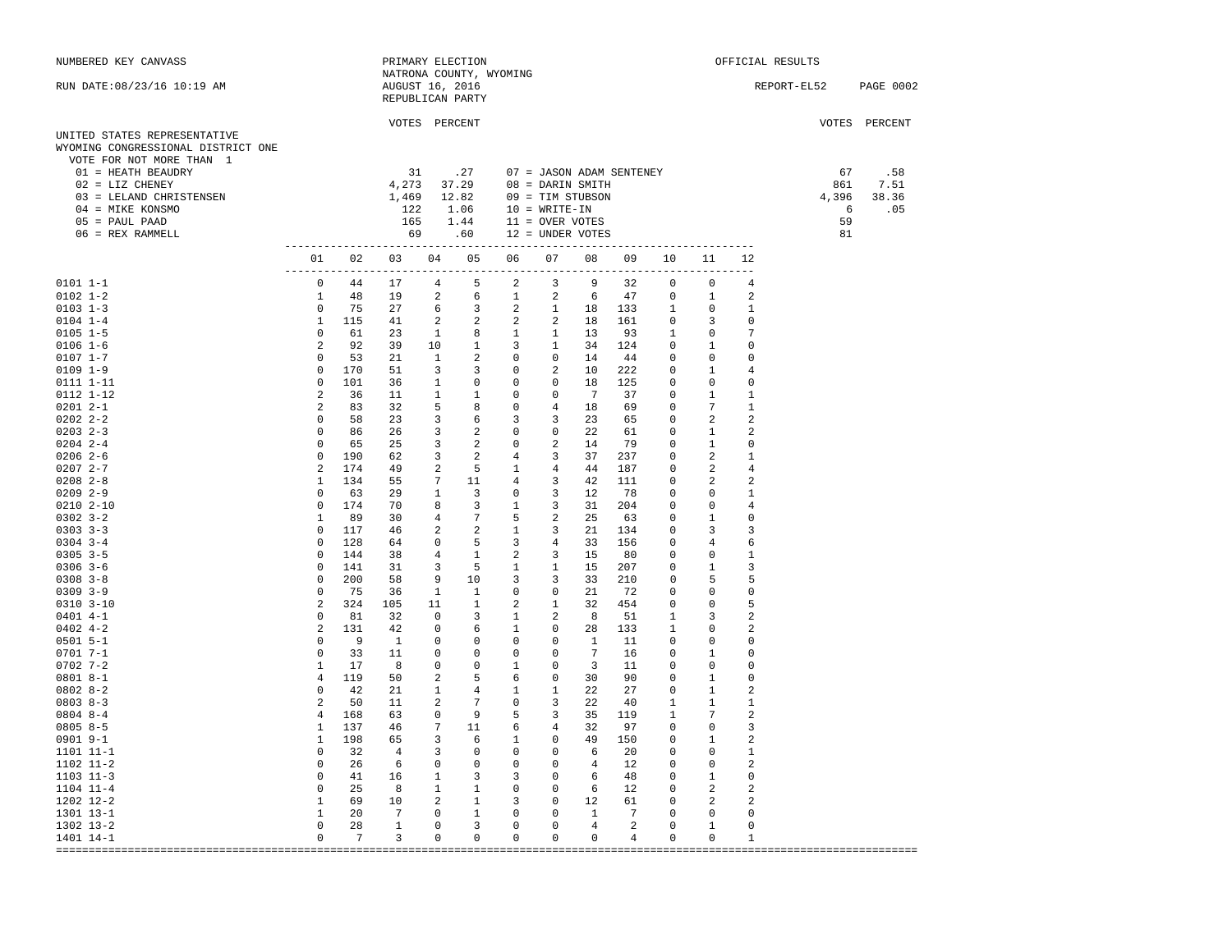| NUMBERED KEY CANVASS                                                                           |                     |                 |                            | PRIMARY ELECTION                                      |                         |                                                    |                                                                                                                      |                 |                          |                                            |                                  |                         | OFFICIAL RESULTS      |               |
|------------------------------------------------------------------------------------------------|---------------------|-----------------|----------------------------|-------------------------------------------------------|-------------------------|----------------------------------------------------|----------------------------------------------------------------------------------------------------------------------|-----------------|--------------------------|--------------------------------------------|----------------------------------|-------------------------|-----------------------|---------------|
| RUN DATE: 08/23/16 10:19 AM                                                                    |                     |                 |                            | AUGUST 16, 2016<br>REPUBLICAN PARTY                   | NATRONA COUNTY, WYOMING |                                                    |                                                                                                                      |                 |                          |                                            |                                  |                         | REPORT-EL52 PAGE 0002 |               |
|                                                                                                |                     |                 |                            | VOTES PERCENT                                         |                         |                                                    |                                                                                                                      |                 |                          |                                            |                                  |                         |                       | VOTES PERCENT |
| UNITED STATES REPRESENTATIVE<br>WYOMING CONGRESSIONAL DISTRICT ONE<br>VOTE FOR NOT MORE THAN 1 |                     |                 |                            |                                                       |                         |                                                    |                                                                                                                      |                 |                          |                                            |                                  |                         |                       |               |
| 01 = HEATH BEAUDRY                                                                             |                     |                 | 31                         |                                                       | .27                     |                                                    | 07 = JASON ADAM SENTENEY                                                                                             |                 |                          |                                            |                                  |                         | 67                    | .58           |
| 02 = LIZ CHENEY                                                                                |                     |                 |                            |                                                       |                         |                                                    | 4,273 37.29 08 = DARIN SMITH                                                                                         |                 |                          |                                            |                                  |                         | 861                   | 7.51          |
| 03 = LELAND CHRISTENSEN                                                                        |                     |                 |                            |                                                       |                         |                                                    | 1,469 12.82 09 = TIM STUBSON<br>$10 = WRTTE-IN$                                                                      |                 |                          |                                            |                                  |                         | 4,396                 | 38.36         |
| 04 = MIKE KONSMO<br>$05 = PAUL PAAD$                                                           |                     |                 | 122                        |                                                       | 1.06                    |                                                    | 165  1.44  11 = OVER VOTES                                                                                           |                 |                          |                                            |                                  |                         | 6<br>59               | .05           |
| 06 = REX RAMMELL                                                                               |                     |                 |                            |                                                       |                         |                                                    | 69 .60 12 = UNDER VOTES                                                                                              |                 |                          |                                            |                                  |                         | 81                    |               |
|                                                                                                |                     |                 |                            |                                                       |                         |                                                    |                                                                                                                      |                 |                          |                                            |                                  |                         |                       |               |
|                                                                                                |                     |                 |                            |                                                       |                         |                                                    | 01  02  03  04  05  06  07  08  09  10  11                                                                           |                 |                          |                                            |                                  | 12                      |                       |               |
| $0101 1 - 1$                                                                                   | $\overline{0}$      | 44              |                            |                                                       |                         |                                                    | 17 4 5 2 3 9 32                                                                                                      |                 |                          | $\overline{0}$                             | $\overline{0}$                   | 4                       |                       |               |
| $0102$ $1-2$                                                                                   | $\mathbf{1}$        | 48              | 19                         | $\overline{a}$                                        | 6                       | 1                                                  | $2 \t 6$                                                                                                             |                 | 47                       | $\circ$                                    | $\mathbf{1}$                     | 2                       |                       |               |
| $0103$ 1-3                                                                                     | $\overline{0}$      | 75              | 27                         | 6                                                     |                         |                                                    | 3 2 1 18 133                                                                                                         |                 |                          | $\mathbf{1}$                               | $\Omega$                         | 1                       |                       |               |
| $0104$ 1-4                                                                                     |                     | 1 115           | 41                         | 2                                                     |                         |                                                    | 2 2 2 18 161                                                                                                         |                 |                          | $\Omega$                                   | $\mathbf{3}$                     | 0                       |                       |               |
| $0105$ 1-5                                                                                     | $\overline{0}$      | 61              | 23                         | $\mathbf{1}$                                          | $8 \t 1$                |                                                    | $1 \t 13$                                                                                                            |                 | 93                       | <sup>1</sup>                               | $^{\circ}$                       | 7                       |                       |               |
| $0106 1 - 6$                                                                                   | $\overline{2}$      | 92              | 39                         | 10                                                    |                         |                                                    | 1 3 1 34 124                                                                                                         |                 |                          | $\circ$                                    | $1 \quad \blacksquare$           | $\Omega$                |                       |               |
| $0107 1 - 7$                                                                                   | $\overline{0}$      | 53              | 21                         | $\mathbf{1}$                                          |                         |                                                    | 2 0 0 14                                                                                                             |                 | 44                       | $\circ$                                    | $\circ$                          | $\Omega$                |                       |               |
| $0109$ $1-9$                                                                                   | $\overline{0}$      | 170             | 51                         | $\overline{\mathbf{3}}$                               | $3^{\circ}$             | $\overline{0}$                                     | $2 \t 10$                                                                                                            |                 | 222                      | $\overline{0}$                             | $\mathbf{1}$                     | 4                       |                       |               |
| 0111 1-11                                                                                      | $\Omega$            | 101             | 36                         | $\overline{1}$                                        |                         | $0\qquad \qquad 0$                                 | $0$ 18                                                                                                               |                 | 125                      | $\Omega$                                   | $\Omega$                         | 0                       |                       |               |
| 0112 1-12                                                                                      | 2                   | 36              | 11                         | $\overline{1}$                                        |                         | $1 \qquad 0$                                       | $0 \t 7$                                                                                                             |                 | 37                       | $\overline{0}$                             | $\mathbf{1}$                     | 1                       |                       |               |
| $02012 - -1$                                                                                   | 2                   | 83              | 32                         | 5                                                     |                         |                                                    | $\begin{array}{ccccccc}\n 8 & 0 & 4 & 18 \\ 6 & 3 & 3 & 23 \\ 2 & 0 & 0 & 22\n\end{array}$                           |                 | 69                       | $\overline{0}$                             | $7\phantom{.0}$                  | $\mathbf{1}$            |                       |               |
| $02022 - 2 - 2$                                                                                | $\overline{0}$      | 58              | 23                         | $\overline{3}$                                        |                         |                                                    |                                                                                                                      |                 | 65                       | $\circ$                                    | $\overline{a}$                   | 2                       |                       |               |
| $0203$ 2-3                                                                                     | $\overline{0}$      | 86              | 26                         | $\overline{\phantom{a}}$ 3                            |                         |                                                    |                                                                                                                      |                 | 61                       | $\overline{\phantom{0}}$                   | <sup>1</sup>                     | 2                       |                       |               |
| $0204$ 2-4                                                                                     | $\circ$             | 65              | 25                         | $\overline{\mathbf{3}}$                               |                         |                                                    | $2 \qquad 0 \qquad 2 \qquad 14$                                                                                      |                 | 79                       | $\overline{0}$                             | $\mathbf{1}$                     | $\Omega$                |                       |               |
| $0206$ 2-6<br>$02072 - -7$                                                                     | $\circ$<br>2        | 190<br>174      | 62<br>49                   | $\overline{\mathbf{3}}$<br>$\overline{\phantom{a}}$ 2 |                         |                                                    | $\begin{matrix} 2 && 4 && 3 && 37 \end{matrix}$                                                                      |                 | 237                      | $\overline{0}$<br>$\overline{\phantom{0}}$ | $\overline{a}$<br>$\overline{2}$ | 1<br>$\overline{4}$     |                       |               |
| $0208$ 2-8                                                                                     | $\mathbf{1}$        | 134             | 55                         |                                                       |                         |                                                    | 5 1 4 44<br>7 11 4 3 42                                                                                              |                 | 187<br>111               | $\overline{0}$                             | 2                                | 2                       |                       |               |
| $0209$ 2-9                                                                                     | $\mathbf 0$         | 63              | 29                         | $\overline{\phantom{a}}$                              |                         |                                                    |                                                                                                                      |                 | 78                       | $\circ$                                    | $\circ$                          | 1                       |                       |               |
| $0210$ $2 - 10$                                                                                | $\overline{0}$      | 174             | 70                         | 8                                                     |                         |                                                    |                                                                                                                      |                 | 204                      | $\overline{0}$                             | $\overline{0}$                   | $\overline{4}$          |                       |               |
| $0302$ $3-2$                                                                                   | $\mathbf{1}$        | 89              | 30                         | $\overline{4}$                                        |                         |                                                    | $\begin{array}{ccccccccc}\n & 3 & & 0 & & 3 & & 12 \\ & 3 & & 1 & & 3 & & 31 \\ & 7 & & 5 & & 2 & & 25\n\end{array}$ |                 | 63                       | $\overline{0}$                             | $\mathbf{1}$                     | $\mathbf 0$             |                       |               |
| $0303$ $3-3$                                                                                   | $\circ$             | 117             | 46                         | 2                                                     |                         |                                                    |                                                                                                                      |                 | 134                      | $\circ$                                    | $\overline{\mathbf{3}}$          | 3                       |                       |               |
| $0304$ 3-4                                                                                     | $\circ$             | 128             | 64                         | $\overline{0}$                                        |                         |                                                    | $\begin{array}{ccccccccc} 2 & & 1 & & 3 & & 21 \\ 5 & & 3 & & 4 & & 33 \end{array}$                                  |                 | 156                      | $\circ$                                    |                                  | 6                       |                       |               |
| $0305$ 3-5                                                                                     | $\circ$             | 144             | 38                         | $\overline{4}$                                        |                         |                                                    | 1 2 3 15                                                                                                             |                 | 80                       | $\overline{0}$                             | $\overline{0}$                   | 1                       |                       |               |
| $0306$ 3-6                                                                                     | $\mathbf 0$         | 141             | 31                         | $\overline{\mathbf{3}}$                               | $5 \t 1$                |                                                    |                                                                                                                      | 15              | 207                      | $\circ$                                    | $\mathbf{1}$                     | 3                       |                       |               |
| $0308$ 3-8                                                                                     | $\circ$             | 200             | 58                         | 9                                                     |                         |                                                    | $\begin{array}{cccccc}5 & & 1 & & 1 & & 15\\ 10 & & 3 & & 3 & & 33 \end{array}$                                      |                 | 210                      | $\mathbf{0}$                               | 5                                | 5                       |                       |               |
| $0309$ $3-9$                                                                                   | $\mathbf{0}$        | 75              | 36                         | $\mathbf{1}$                                          |                         |                                                    | 1 0 0 21                                                                                                             |                 | 72                       | $\circ$                                    | $\Omega$                         | $\Omega$                |                       |               |
| $0310$ $3-10$                                                                                  | 2                   | 324             | 105                        | 11                                                    |                         |                                                    | 1 2 1 32                                                                                                             |                 | 454                      | $\overline{0}$                             | $\Omega$                         | 5                       |                       |               |
| $0401$ 4-1                                                                                     | $\circ$             | 81              | 32                         | $\overline{0}$                                        |                         | $\begin{matrix} 3 & \hspace{1.5cm} 1 \end{matrix}$ | $\overline{\mathbf{a}}$                                                                                              | 8               | 51                       | $\mathbf{1}$                               | $\overline{\mathbf{3}}$          | 2                       |                       |               |
| $0402$ 4-2                                                                                     | 2                   | 131             | 42                         | $\overline{0}$                                        |                         |                                                    | $\begin{matrix} 6 && 1 && 0 && 28 \end{matrix}$                                                                      |                 | 133                      | $\overline{1}$                             | $\circ$                          | 2                       |                       |               |
| $0501 5 - 1$                                                                                   | $\overline{0}$      | - 9             | $\overline{1}$             | $\circ$                                               |                         |                                                    | $0 \qquad 0 \qquad 0 \qquad 1$                                                                                       |                 | 11                       | $\overline{0}$                             | $\circ$                          | $\Omega$                |                       |               |
| $0701 7 - 1$                                                                                   | $\circ$             | 33              | 11                         | $\circ$                                               |                         |                                                    | $\begin{array}{ccccccc} 0 & 0 & 0 & 7 \\ 0 & 1 & 0 & 3 \\ 5 & 6 & 0 & 30 \end{array}$                                |                 | 16                       | $\overline{0}$                             | $\mathbf{1}$                     | 0                       |                       |               |
| $0702$ 7-2                                                                                     | $\mathbf{1}$        | 17              | 8                          | $\circ$                                               |                         |                                                    |                                                                                                                      |                 | 11                       | $\overline{0}$                             | $\circ$                          | $\mathbf 0$             |                       |               |
| $08018 - -1$<br>$08028 - 2$                                                                    | 4<br>$\overline{0}$ | 119<br>42       | 50<br>21                   | 2<br>$\mathbf{1}$                                     |                         |                                                    |                                                                                                                      |                 | 90<br>27                 | $\overline{0}$<br>$\circ$                  | $\overline{1}$<br>$\overline{1}$ | $\Omega$<br>2           |                       |               |
| $0803 8 - 3$                                                                                   | 2                   | 50              | 11                         | $\overline{2}$                                        | $7\overline{ }$         |                                                    | $4 \qquad 1 \qquad 1 \qquad 22$<br>$0 \qquad \qquad 3 \qquad \qquad 22$                                              |                 | 40                       | $\mathbf{1}$                               | $\mathbf{1}$                     | 1                       |                       |               |
| $0804$ 8-4                                                                                     | $\overline{4}$      | 168             | 63                         | $\overline{0}$                                        |                         |                                                    | 9 5 3 35                                                                                                             |                 | 119                      | <sup>1</sup>                               | 7                                | 2                       |                       |               |
| $08058 - 5$                                                                                    | $\mathbf{1}$        | 137             | 46                         |                                                       | 7 11 6                  |                                                    | 4 32                                                                                                                 |                 | 97                       | $\overline{0}$                             | $\Omega$                         | 3                       |                       |               |
| $0901$ $9-1$                                                                                   | 1                   | 198             | 65                         | 3                                                     |                         |                                                    |                                                                                                                      |                 | 150                      | $\overline{0}$                             | $\mathbf{1}$                     | 2                       |                       |               |
| 1101 11-1                                                                                      | $\overline{0}$      | 32              | $\overline{4}$             | $\overline{3}$                                        |                         |                                                    | $\begin{array}{ccccccccc} 6 && 1 && 0 && 49 \\ 0 && 0 && 0 && 6 \end{array}$                                         |                 | 20                       | $\circ$                                    | $\Omega$                         | 1                       |                       |               |
| 1102 11-2                                                                                      | $\overline{0}$      | 26              | $6\overline{6}$            | $\mathbf{0}$                                          |                         |                                                    | 0 0 0 4 12                                                                                                           |                 |                          | $\circ$                                    | $\circ$                          | 2                       |                       |               |
| $1103$ $11-3$                                                                                  | $\overline{0}$      | 41              | 16                         | $\overline{1}$                                        |                         |                                                    | $3 \qquad 3 \qquad 0 \qquad 6 \qquad 48$                                                                             |                 |                          | $\circ$                                    | $\mathbf{1}$                     | 0                       |                       |               |
| $1104$ $11-4$                                                                                  |                     | $0\qquad 25$    | $\overline{\phantom{0}}$ 8 |                                                       |                         |                                                    | $\begin{matrix} 1 & 1 & 0 & 0 & 6 & 12 \end{matrix}$                                                                 |                 |                          | $\circ$                                    | $\overline{2}$                   | 2                       |                       |               |
| 1202 12-2                                                                                      |                     | 1 69 10         |                            |                                                       |                         |                                                    | 2 1 3 0 12 61                                                                                                        |                 |                          | $\overline{\phantom{0}}$                   | 2                                | $\overline{\mathbf{2}}$ |                       |               |
| 1301 13-1                                                                                      | $\mathbf{1}$        | 20              | $\overline{7}$             | $\overline{0}$                                        | $1 \t 0$                |                                                    | $0 \t 1$                                                                                                             |                 | $7\phantom{0}7$          | $\overline{0}$                             | $\circ$                          | $\mathbf 0$             |                       |               |
| 1302 13-2                                                                                      | $\circ$             | 28              | $\mathbf{1}$               | $\overline{0}$                                        | $\overline{\mathbf{3}}$ | $\overline{0}$                                     | $\overline{0}$                                                                                                       | $4\overline{4}$ | $\overline{\phantom{a}}$ | $\overline{0}$                             | $\mathbf{1}$                     | $\mathbf 0$             |                       |               |
| 1401 14-1                                                                                      | $\overline{0}$      | $7\overline{ }$ | $\overline{\phantom{a}}$ 3 | $\overline{0}$                                        | $0\qquad 0$             |                                                    | $\overline{\phantom{0}}$                                                                                             | $0\qquad 4$     |                          | $\overline{0}$                             | $\overline{0}$                   | 1                       |                       |               |
|                                                                                                |                     |                 |                            |                                                       |                         |                                                    |                                                                                                                      |                 |                          |                                            |                                  |                         |                       |               |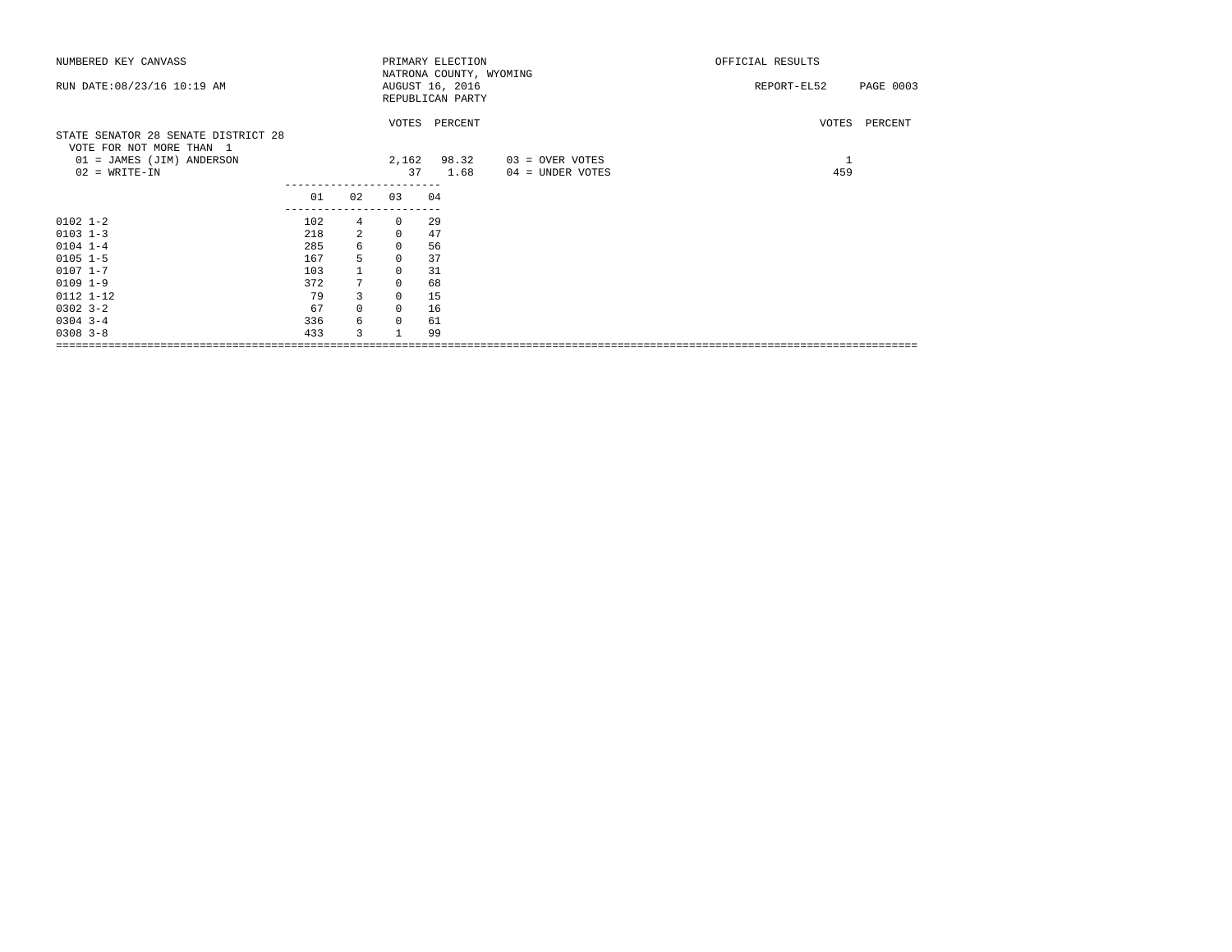| NUMBERED KEY CANVASS                |     |                 |                              | PRIMARY ELECTION        |                  | OFFICIAL RESULTS         |
|-------------------------------------|-----|-----------------|------------------------------|-------------------------|------------------|--------------------------|
|                                     |     |                 |                              | NATRONA COUNTY, WYOMING |                  |                          |
| RUN DATE: 08/23/16 10:19 AM         |     |                 |                              | AUGUST 16, 2016         |                  | PAGE 0003<br>REPORT-EL52 |
|                                     |     |                 |                              | REPUBLICAN PARTY        |                  |                          |
|                                     |     |                 |                              |                         |                  |                          |
|                                     |     |                 |                              | VOTES PERCENT           |                  | VOTES PERCENT            |
| STATE SENATOR 28 SENATE DISTRICT 28 |     |                 |                              |                         |                  |                          |
| VOTE FOR NOT MORE THAN 1            |     |                 |                              |                         |                  |                          |
| 01 = JAMES (JIM) ANDERSON           |     |                 |                              | 2,162 98.32             | 03 = OVER VOTES  | $\mathbf{1}$             |
| $02 = WRITE-IN$                     |     |                 | 37                           | 1.68                    | 04 = UNDER VOTES | 459                      |
|                                     | 01  | 02              | ----------------------<br>03 |                         |                  |                          |
|                                     |     |                 |                              | 04                      |                  |                          |
| $0102$ $1-2$                        | 102 | $4\overline{ }$ | $^{\circ}$                   | 29                      |                  |                          |
| $0103$ $1-3$                        | 218 | 2               | $\mathbf 0$                  | 47                      |                  |                          |
| $0104$ 1-4                          | 285 | 6               | $\mathbf 0$                  | 56                      |                  |                          |
| $0105$ $1-5$                        | 167 | 5               | $\Omega$                     | 37                      |                  |                          |
| $0107$ 1-7                          | 103 |                 | $\mathbf 0$                  | 31                      |                  |                          |
| $0109$ $1-9$                        | 372 | $7^{\circ}$     | $\mathbf 0$                  | 68                      |                  |                          |
| $0112$ $1-12$                       | 79  | 3               | $\mathbf 0$                  | 15                      |                  |                          |
| $0302$ $3 - 2$                      | 67  | $\mathbf 0$     | 0                            | 16                      |                  |                          |
| $0304$ 3-4                          | 336 | 6               | $\mathbf 0$                  | 61                      |                  |                          |
| $0308$ 3-8                          | 433 | 3               |                              | 99                      |                  |                          |
|                                     |     |                 |                              |                         |                  |                          |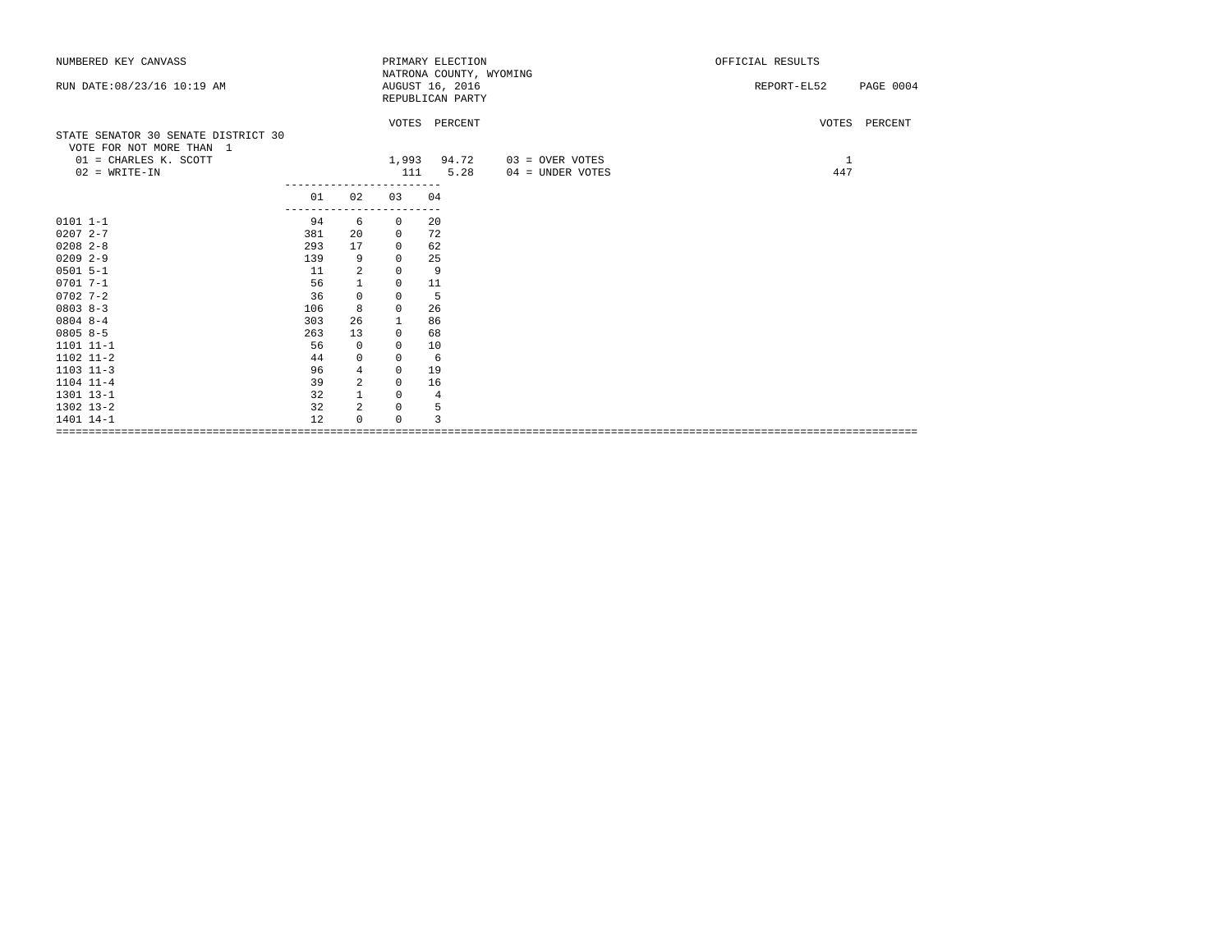| NUMBERED KEY CANVASS                |     |                |              | PRIMARY ELECTION        |                  | OFFICIAL RESULTS                |
|-------------------------------------|-----|----------------|--------------|-------------------------|------------------|---------------------------------|
|                                     |     |                |              | NATRONA COUNTY, WYOMING |                  |                                 |
| RUN DATE: 08/23/16 10:19 AM         |     |                |              | AUGUST 16, 2016         |                  | <b>PAGE 0004</b><br>REPORT-EL52 |
|                                     |     |                |              | REPUBLICAN PARTY        |                  |                                 |
|                                     |     |                |              | VOTES PERCENT           |                  | VOTES PERCENT                   |
| STATE SENATOR 30 SENATE DISTRICT 30 |     |                |              |                         |                  |                                 |
| VOTE FOR NOT MORE THAN 1            |     |                |              |                         |                  |                                 |
| $01$ = CHARLES K. SCOTT             |     |                | 1,993        | 94.72                   | 03 = OVER VOTES  | 1                               |
| $02$ = WRITE-IN                     |     |                | 111          | 5.28                    | 04 = UNDER VOTES | 447                             |
|                                     | 01  | 02             | 03           | 04                      |                  |                                 |
|                                     |     |                |              |                         |                  |                                 |
| $0101 1 - 1$                        | 94  | 6              | $\circ$      | 20                      |                  |                                 |
| $02072 - -7$                        | 381 | 20             | 0            | 72                      |                  |                                 |
| $0208$ 2-8                          | 293 | 17             | $\mathbf{0}$ | 62                      |                  |                                 |
| $02092 - -9$                        | 139 | 9              | $\mathbf{0}$ | 25                      |                  |                                 |
| $0501 5 - 1$                        | 11  | $\sqrt{2}$     | $\mathbf 0$  | 9                       |                  |                                 |
| $07017 - -1$                        | 56  | $\mathbf{1}$   | 0            | 11                      |                  |                                 |
| $0702 - 7 - 2$                      | 36  | $\mathbb O$    | 0            | 5                       |                  |                                 |
| $0803 8 - 3$                        | 106 | 8              | $\mathbf{0}$ | 26                      |                  |                                 |
| $08048 - -4$                        | 303 | 26             | 1            | 86                      |                  |                                 |
| $08058-5$                           | 263 | 13             | $\mathbf{0}$ | 68                      |                  |                                 |
| 1101 11-1                           | 56  | $\mathbf{0}$   | $\mathbf{0}$ | 10                      |                  |                                 |
| 1102 11-2                           | 44  | $\mathsf 0$    | 0            | - 6                     |                  |                                 |
| $1103$ $11-3$                       | 96  | $\overline{4}$ | $\mathbf{0}$ | 19                      |                  |                                 |
| $1104$ $11-4$                       | 39  | $\overline{a}$ | $\mathbf 0$  | 16                      |                  |                                 |
| 1301 13-1                           | 32  | $\mathbf{1}$   | 0            | $\overline{4}$          |                  |                                 |
| 1302 13-2                           | 32  | $\overline{a}$ | 0            | 5                       |                  |                                 |
| 1401 14-1                           | 12  | $\Omega$       | $\Omega$     | 3                       |                  |                                 |
|                                     |     |                |              |                         |                  |                                 |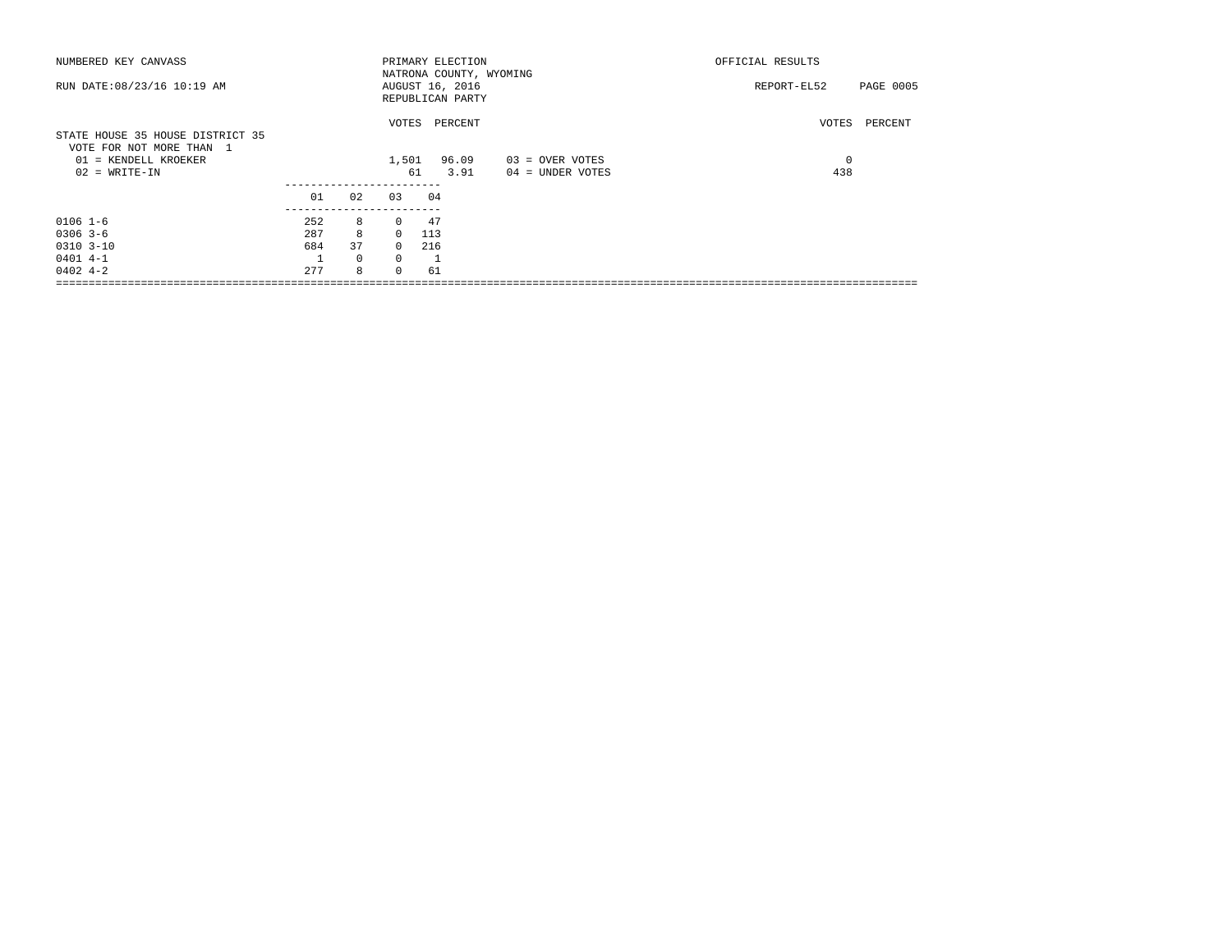| NUMBERED KEY CANVASS                                         |     |              |          | PRIMARY ELECTION                    | NATRONA COUNTY, WYOMING | OFFICIAL RESULTS         |
|--------------------------------------------------------------|-----|--------------|----------|-------------------------------------|-------------------------|--------------------------|
| RUN DATE: 08/23/16 10:19 AM                                  |     |              |          | AUGUST 16, 2016<br>REPUBLICAN PARTY |                         | PAGE 0005<br>REPORT-EL52 |
| STATE HOUSE 35 HOUSE DISTRICT 35<br>VOTE FOR NOT MORE THAN 1 |     |              | VOTES    | PERCENT                             |                         | VOTES<br>PERCENT         |
| 01 = KENDELL KROEKER                                         |     |              | 1,501    | 96.09                               | 03 = OVER VOTES         | 0                        |
| $02 = WRITE-IN$                                              |     |              |          | 61<br>3.91                          | 04 = UNDER VOTES        | 438                      |
|                                                              |     |              |          |                                     |                         |                          |
|                                                              | 01  | 02           | 03       | 04                                  |                         |                          |
|                                                              |     |              |          |                                     |                         |                          |
| $0106$ 1-6                                                   | 252 | 8            | $\Omega$ | 47                                  |                         |                          |
| $0306$ 3-6                                                   | 287 | 8            | $\Omega$ | 113                                 |                         |                          |
| $0310$ $3-10$                                                | 684 | 37           | $\Omega$ | 216                                 |                         |                          |
| $0401$ 4-1                                                   |     | $\mathbf{0}$ | $\Omega$ |                                     |                         |                          |
| $0402 + -2$                                                  | 277 | 8            | $\Omega$ | 61                                  |                         |                          |
|                                                              |     |              |          |                                     |                         |                          |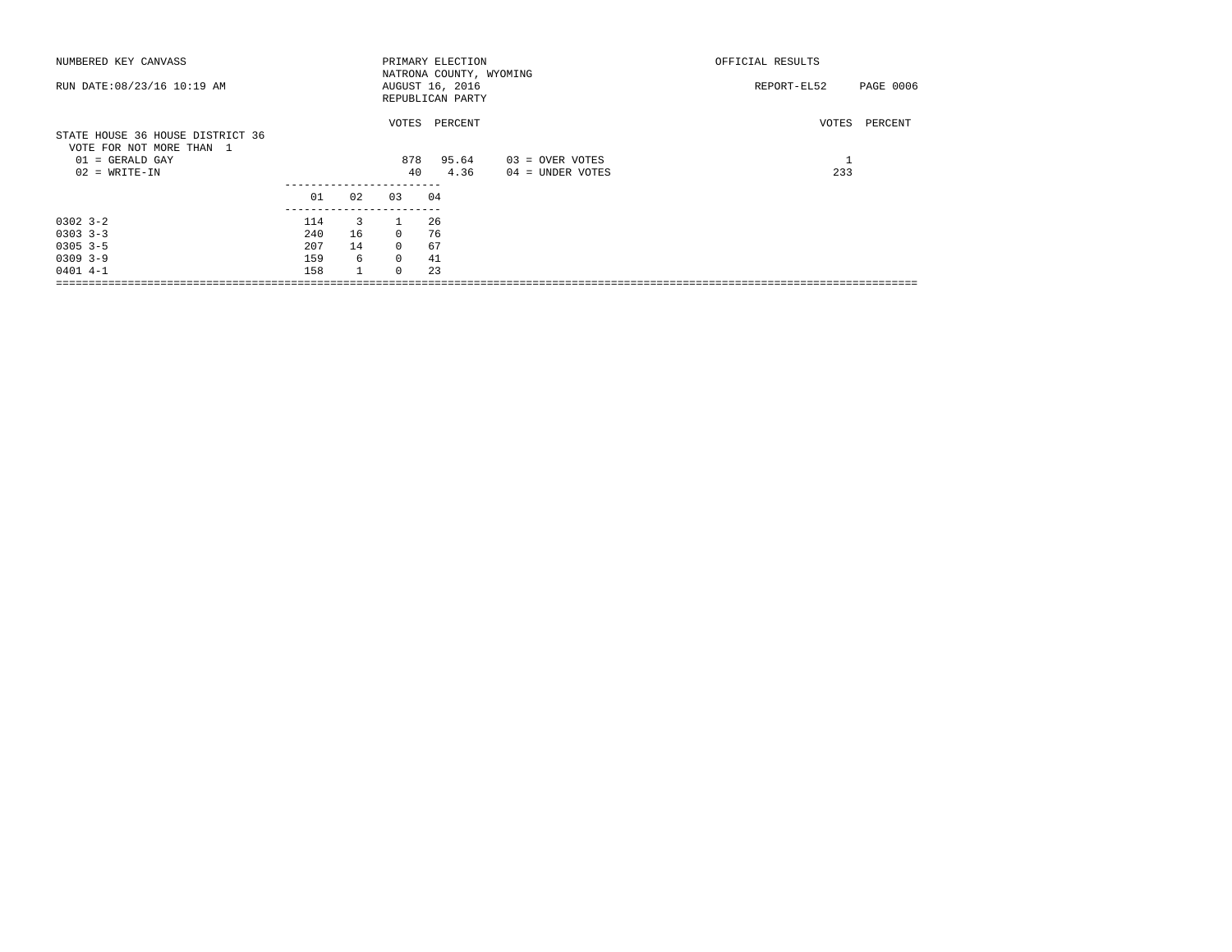| NUMBERED KEY CANVASS                                                              |     |              |              | PRIMARY ELECTION                                               |                   | OFFICIAL RESULTS         |  |
|-----------------------------------------------------------------------------------|-----|--------------|--------------|----------------------------------------------------------------|-------------------|--------------------------|--|
| RUN DATE: 08/23/16 10:19 AM                                                       |     |              |              | NATRONA COUNTY, WYOMING<br>AUGUST 16, 2016<br>REPUBLICAN PARTY |                   | PAGE 0006<br>REPORT-EL52 |  |
| STATE HOUSE 36 HOUSE DISTRICT 36<br>VOTE FOR NOT MORE THAN 1<br>$01 = GERALD GAY$ |     |              | VOTES<br>878 | PERCENT<br>95.64                                               | $03 =$ OVER VOTES | PERCENT<br>VOTES         |  |
| $02$ = WRITE-IN                                                                   |     |              | 40           | 4.36                                                           | 04 = UNDER VOTES  | 233                      |  |
|                                                                                   | 01  | 02           | 03           | 04                                                             |                   |                          |  |
| $0302 - 3 - 2$                                                                    | 114 | 3            |              | 26                                                             |                   |                          |  |
| $0303$ $3-3$                                                                      | 240 | 16           | $\Omega$     | 76                                                             |                   |                          |  |
| $0305$ 3-5                                                                        | 207 | 14           | $\Omega$     | 67                                                             |                   |                          |  |
| $0309$ 3-9                                                                        | 159 | 6            | $\Omega$     | 41                                                             |                   |                          |  |
| $0401$ 4-1                                                                        | 158 | $\mathbf{1}$ | $\Omega$     | 23                                                             |                   |                          |  |
|                                                                                   |     |              |              |                                                                |                   |                          |  |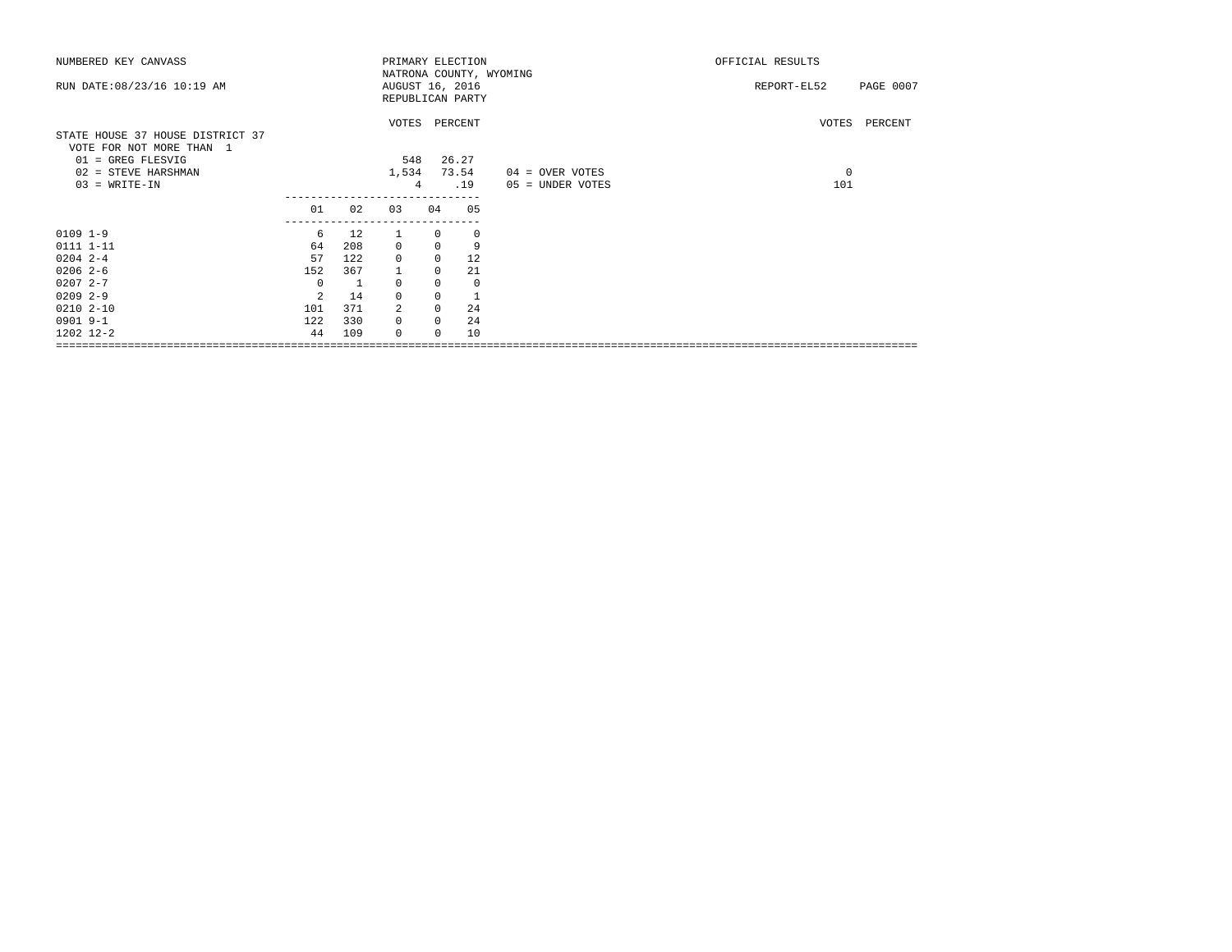| NUMBERED KEY CANVASS                                         |                |     |                 |              | PRIMARY ELECTION        |                  | OFFICIAL RESULTS         |
|--------------------------------------------------------------|----------------|-----|-----------------|--------------|-------------------------|------------------|--------------------------|
|                                                              |                |     |                 |              | NATRONA COUNTY, WYOMING |                  |                          |
| RUN DATE: 08/23/16 10:19 AM                                  |                |     | AUGUST 16, 2016 |              |                         |                  | REPORT-EL52<br>PAGE 0007 |
|                                                              |                |     |                 |              | REPUBLICAN PARTY        |                  |                          |
|                                                              |                |     |                 |              |                         |                  |                          |
|                                                              |                |     |                 |              | VOTES PERCENT           |                  | VOTES PERCENT            |
| STATE HOUSE 37 HOUSE DISTRICT 37<br>VOTE FOR NOT MORE THAN 1 |                |     |                 |              |                         |                  |                          |
| 01 = GREG FLESVIG                                            |                |     | 548             |              | 26.27                   |                  |                          |
| 02 = STEVE HARSHMAN                                          |                |     | 1,534           |              | 73.54                   | 04 = OVER VOTES  | $\overline{0}$           |
| $03 = WRITE-IN$                                              |                |     | $\overline{4}$  |              | .19                     | 05 = UNDER VOTES | 101                      |
|                                                              |                |     |                 |              |                         |                  |                          |
|                                                              | 01             | 02  | 03              | 04           | 05                      |                  |                          |
|                                                              | ------------   |     |                 |              |                         |                  |                          |
| $0109$ $1-9$                                                 | 6              | 12  |                 | $\Omega$     | 0                       |                  |                          |
| 0111 1-11                                                    | 64             | 208 | $\mathbf 0$     | $\Omega$     | 9                       |                  |                          |
| $0204$ 2-4                                                   | 57             | 122 | $\mathbf 0$     | $\mathbf{0}$ | 12                      |                  |                          |
| $0206$ 2-6                                                   | 152            | 367 |                 | 0            | 21                      |                  |                          |
| $02072 - -7$                                                 | $\Omega$       | - 1 | $\Omega$        | $\Omega$     | $\mathbf 0$             |                  |                          |
| $02092 - -9$                                                 | $\mathfrak{D}$ | 14  | $\mathbf 0$     | $\Omega$     | $\mathbf{1}$            |                  |                          |
| $0210 2 - 10$                                                | 101            | 371 | 2               | 0            | 24                      |                  |                          |
| 0901 9-1                                                     | 122            | 330 | $\mathbf 0$     | $\Omega$     | 24                      |                  |                          |
| 1202 12-2                                                    | 44             | 109 | $\Omega$        | $\Omega$     | 10                      |                  |                          |
|                                                              |                |     |                 |              |                         |                  |                          |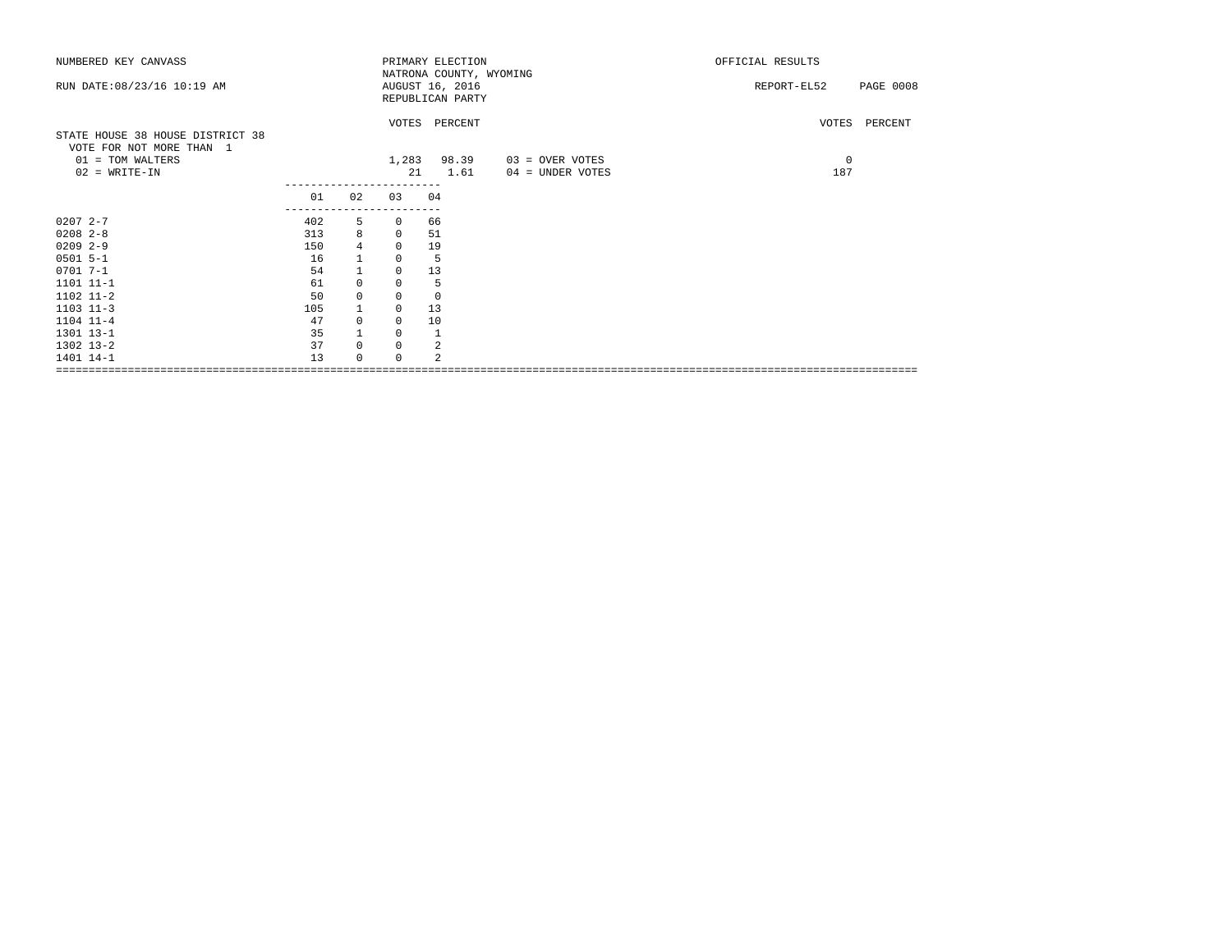| NUMBERED KEY CANVASS                                         |                     |                |             | PRIMARY ELECTION                           |                  | OFFICIAL RESULTS                |
|--------------------------------------------------------------|---------------------|----------------|-------------|--------------------------------------------|------------------|---------------------------------|
| RUN DATE: 08/23/16 10:19 AM                                  |                     |                |             | NATRONA COUNTY, WYOMING<br>AUGUST 16, 2016 |                  | <b>PAGE 0008</b><br>REPORT-EL52 |
|                                                              |                     |                |             | REPUBLICAN PARTY                           |                  |                                 |
|                                                              |                     |                |             |                                            |                  |                                 |
|                                                              |                     |                |             | VOTES PERCENT                              |                  | VOTES PERCENT                   |
| STATE HOUSE 38 HOUSE DISTRICT 38<br>VOTE FOR NOT MORE THAN 1 |                     |                |             |                                            |                  |                                 |
| 01 = TOM WALTERS                                             |                     |                | 1,283       | 98.39                                      | 03 = OVER VOTES  | $\mathbf 0$                     |
| $02$ = WRITE-IN                                              |                     |                |             | 21<br>1.61                                 | 04 = UNDER VOTES | 187                             |
|                                                              |                     |                | ----------  |                                            |                  |                                 |
|                                                              | 01<br>------------- | 02             | 03          | 04                                         |                  |                                 |
| $02072 - -7$                                                 | 402                 | 5              | 0           | 66                                         |                  |                                 |
| $0208$ 2-8                                                   | 313                 | 8              | $\mathbf 0$ | 51                                         |                  |                                 |
| $0209$ 2-9                                                   | 150                 | $\overline{4}$ | $\mathbf 0$ | 19                                         |                  |                                 |
| $0501$ 5-1                                                   | 16                  |                | 0           | 5                                          |                  |                                 |
| $07017 - -1$                                                 | 54                  | $\mathbf{1}$   | 0           | 13                                         |                  |                                 |
| 1101 11-1                                                    | 61                  | $\mathbf 0$    | 0           | - 5                                        |                  |                                 |
| 1102 11-2                                                    | 50                  | $\mathsf 0$    | 0           | $\overline{0}$                             |                  |                                 |
| $1103$ $11-3$                                                | 105                 | $\mathbf{1}$   | 0           | 13                                         |                  |                                 |
| 1104 11-4                                                    | 47                  | $\mathbf 0$    | $\circ$     | 10                                         |                  |                                 |
| 1301 13-1                                                    | 35                  |                | 0           |                                            |                  |                                 |
| 1302 13-2                                                    | 37                  | $\mathbf 0$    | 0           | 2                                          |                  |                                 |
| 1401 14-1                                                    | 13                  | $\Omega$       | 0           | $\mathfrak{D}$                             |                  |                                 |
|                                                              |                     |                |             |                                            |                  |                                 |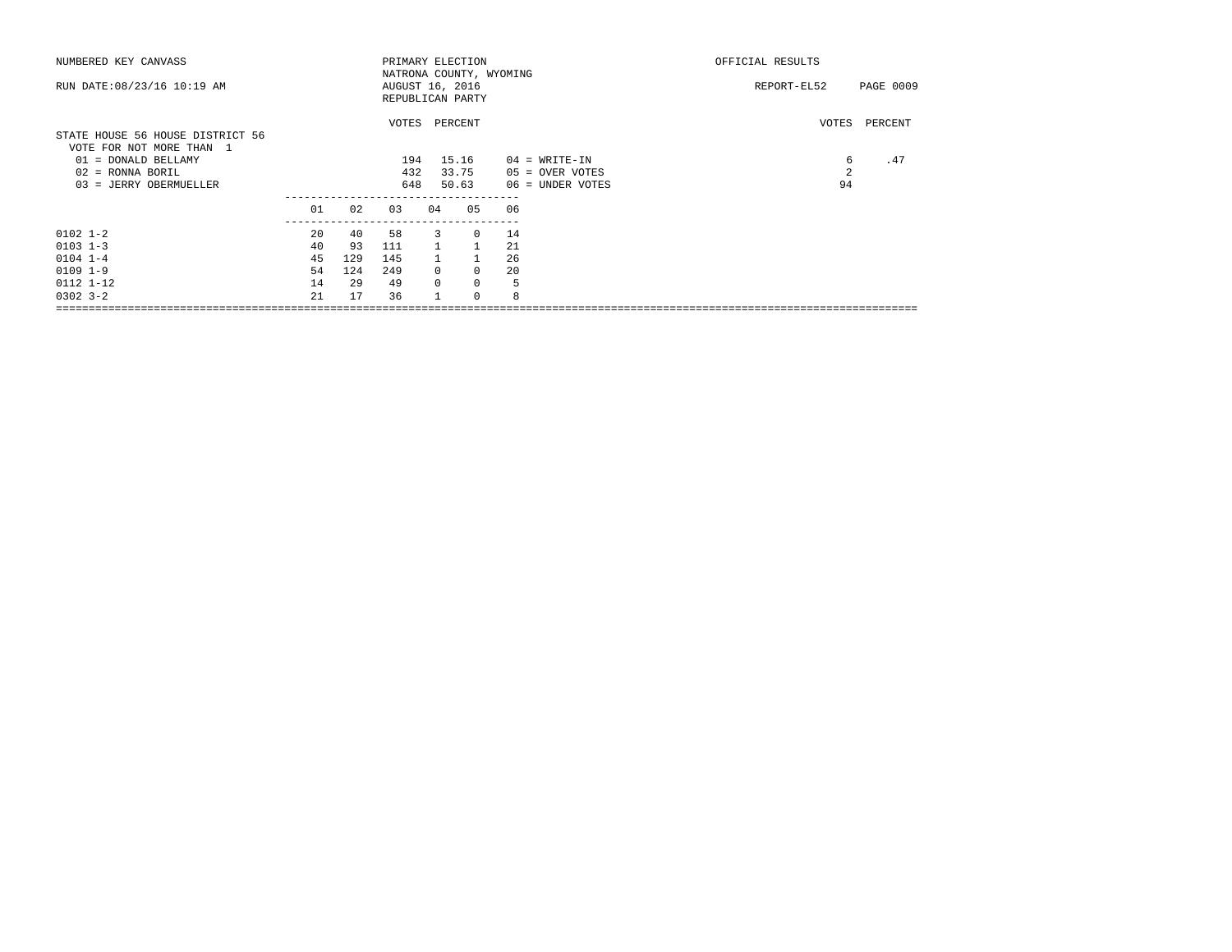| NUMBERED KEY CANVASS             |    |     |     |                | PRIMARY ELECTION        |    |                  | OFFICIAL RESULTS |           |
|----------------------------------|----|-----|-----|----------------|-------------------------|----|------------------|------------------|-----------|
|                                  |    |     |     |                | NATRONA COUNTY, WYOMING |    |                  |                  |           |
| RUN DATE: 08/23/16 10:19 AM      |    |     |     |                | AUGUST 16, 2016         |    |                  | REPORT-EL52      | PAGE 0009 |
|                                  |    |     |     |                | REPUBLICAN PARTY        |    |                  |                  |           |
|                                  |    |     |     |                | VOTES PERCENT           |    |                  | VOTES            | PERCENT   |
| STATE HOUSE 56 HOUSE DISTRICT 56 |    |     |     |                |                         |    |                  |                  |           |
| VOTE FOR NOT MORE THAN 1         |    |     |     |                |                         |    |                  |                  |           |
| 01 = DONALD BELLAMY              |    |     | 194 |                | 15.16                   |    | $04$ = WRITE-IN  | 6                | .47       |
| $02$ = RONNA BORIL               |    |     | 432 |                | 33.75                   |    | 05 = OVER VOTES  | 2                |           |
| 03 = JERRY OBERMUELLER           |    |     | 648 |                | 50.63                   |    | 06 = UNDER VOTES | 94               |           |
|                                  | 01 | 02  | 03  | 04             | 05                      | 06 |                  |                  |           |
|                                  |    |     |     |                |                         |    |                  |                  |           |
| $0102$ $1-2$                     | 20 | 40  | 58  | 3              | $\Omega$                | 14 |                  |                  |           |
| $0103$ $1-3$                     | 40 | 93  | 111 | $\overline{1}$ | $\mathbf{1}$            | 21 |                  |                  |           |
| $0104$ $1-4$                     | 45 | 129 | 145 |                |                         | 26 |                  |                  |           |
| $0109$ $1-9$                     | 54 | 124 | 249 | $\Omega$       | $\Omega$                | 20 |                  |                  |           |
| $0112$ $1-12$                    | 14 | 29  | 49  | $\Omega$       | $\mathbf 0$             | 5  |                  |                  |           |
| $0302$ $3 - 2$                   | 21 | 17  | 36  |                | $\Omega$                | 8  |                  |                  |           |
|                                  |    |     |     |                |                         |    |                  |                  |           |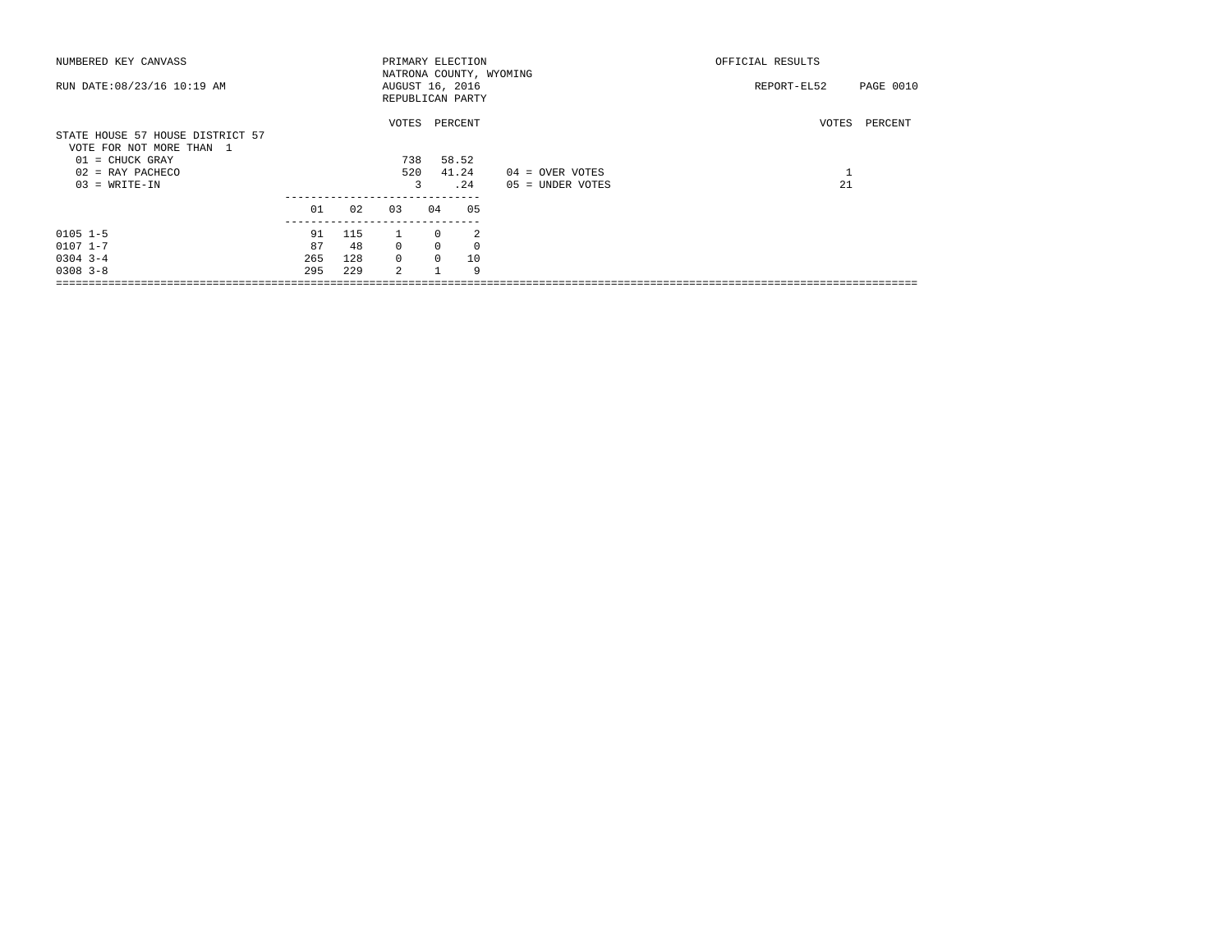| NUMBERED KEY CANVASS                                                                                                       |                 |                  |                          |                                  | PRIMARY ELECTION                                               |                                     | OFFICIAL RESULTS         |
|----------------------------------------------------------------------------------------------------------------------------|-----------------|------------------|--------------------------|----------------------------------|----------------------------------------------------------------|-------------------------------------|--------------------------|
| RUN DATE: 08/23/16 10:19 AM                                                                                                |                 |                  |                          |                                  | NATRONA COUNTY, WYOMING<br>AUGUST 16, 2016<br>REPUBLICAN PARTY |                                     | PAGE 0010<br>REPORT-EL52 |
| STATE HOUSE 57 HOUSE DISTRICT 57<br>VOTE FOR NOT MORE THAN 1<br>$01$ = CHUCK GRAY<br>$02$ = RAY PACHECO<br>$03 = WRITE-IN$ |                 |                  | VOTES<br>738<br>520<br>3 |                                  | PERCENT<br>58.52<br>41.24<br>.24                               | 04 = OVER VOTES<br>05 = UNDER VOTES | VOTES<br>PERCENT<br>21   |
|                                                                                                                            | 01              | 02               | 03                       | 04                               | 05                                                             |                                     |                          |
| $0105$ $1-5$<br>$0107$ $1 - 7$<br>$0304$ 3-4                                                                               | 91<br>87<br>265 | 115<br>48<br>128 | $\Omega$<br>$\Omega$     | $\Omega$<br>$\Omega$<br>$\Omega$ | 2<br>$\mathbf{0}$<br>10                                        |                                     |                          |
| $0308$ $3 - 8$                                                                                                             | 295             | 229              | $\mathfrak{D}$           |                                  | 9                                                              |                                     |                          |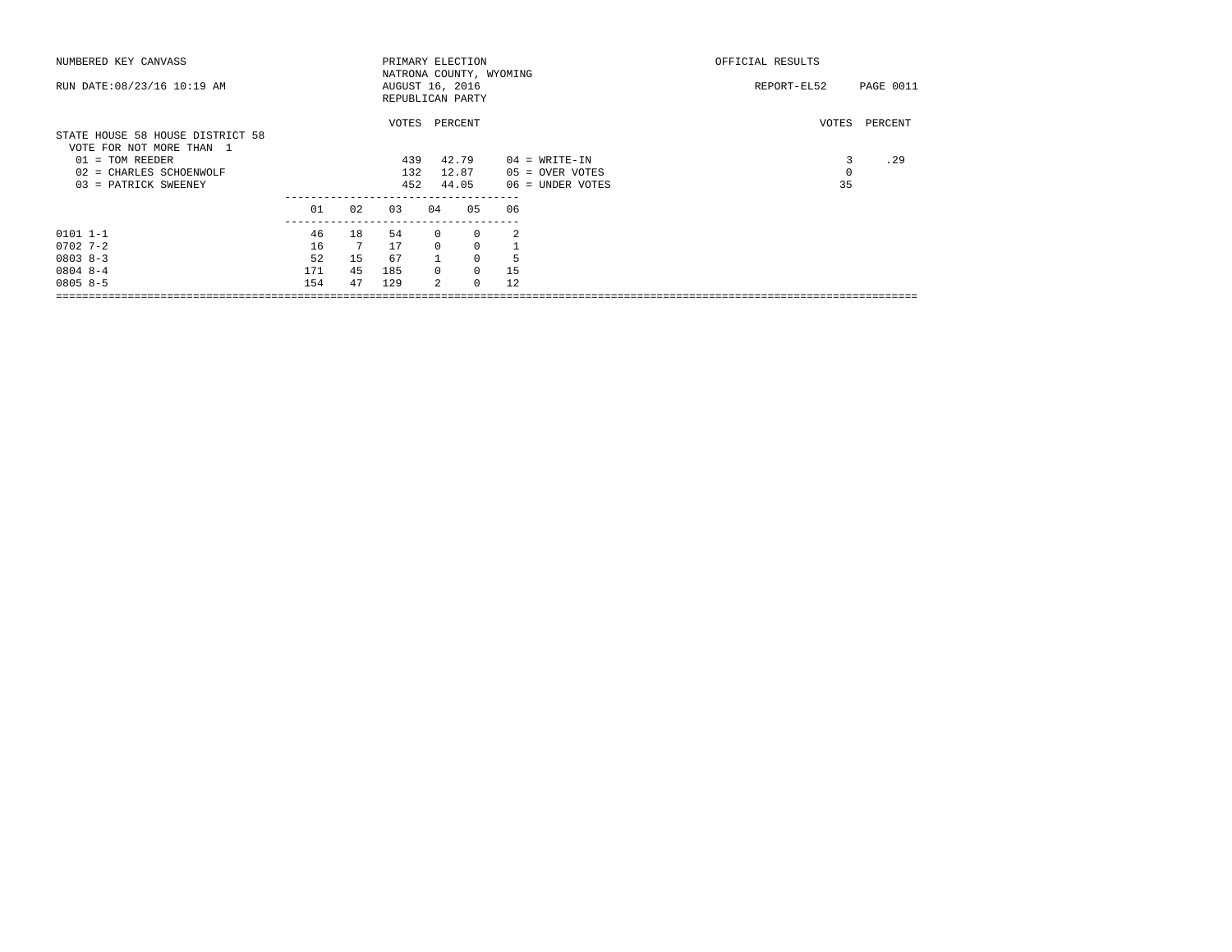| NUMBERED KEY CANVASS                                         | PRIMARY ELECTION                           |    |       |                |                  |    |                  | OFFICIAL RESULTS |           |
|--------------------------------------------------------------|--------------------------------------------|----|-------|----------------|------------------|----|------------------|------------------|-----------|
| RUN DATE: 08/23/16 10:19 AM                                  | NATRONA COUNTY, WYOMING<br>AUGUST 16, 2016 |    |       |                |                  |    |                  | REPORT-EL52      | PAGE 0011 |
|                                                              |                                            |    |       |                | REPUBLICAN PARTY |    |                  |                  |           |
| STATE HOUSE 58 HOUSE DISTRICT 58<br>VOTE FOR NOT MORE THAN 1 |                                            |    | VOTES |                | PERCENT          |    |                  | VOTES            | PERCENT   |
| $01 = TOM REEDER$                                            |                                            |    | 439   |                | 42.79            |    | $04 = WRTTE-TN$  | 3                | .29       |
| 02 = CHARLES SCHOENWOLF                                      |                                            |    | 132   |                | 12.87            |    | 05 = OVER VOTES  |                  |           |
| 03 = PATRICK SWEENEY                                         |                                            |    | 452   |                | 44.05            |    | 06 = UNDER VOTES | 35               |           |
|                                                              | 01                                         | 02 | 0.3   | 04             | 05               | 06 |                  |                  |           |
| $0101 1 - 1$                                                 | 46                                         | 18 | 54    | $^{\circ}$     | 0                | 2  |                  |                  |           |
| $0702 - 7 - 2$                                               | 16                                         | 7  | 17    | $\mathbf{0}$   | $\mathbf 0$      |    |                  |                  |           |
| $0803 8 - 3$                                                 | 52                                         | 15 | 67    |                | $\mathbf 0$      | 5  |                  |                  |           |
| $08048 - -4$                                                 | 171                                        | 45 | 185   | $\Omega$       | 0                | 15 |                  |                  |           |
| $08058 - 5$                                                  | 154                                        | 47 | 129   | $\mathfrak{D}$ | $\Omega$         | 12 |                  |                  |           |
|                                                              |                                            |    |       |                |                  |    |                  |                  |           |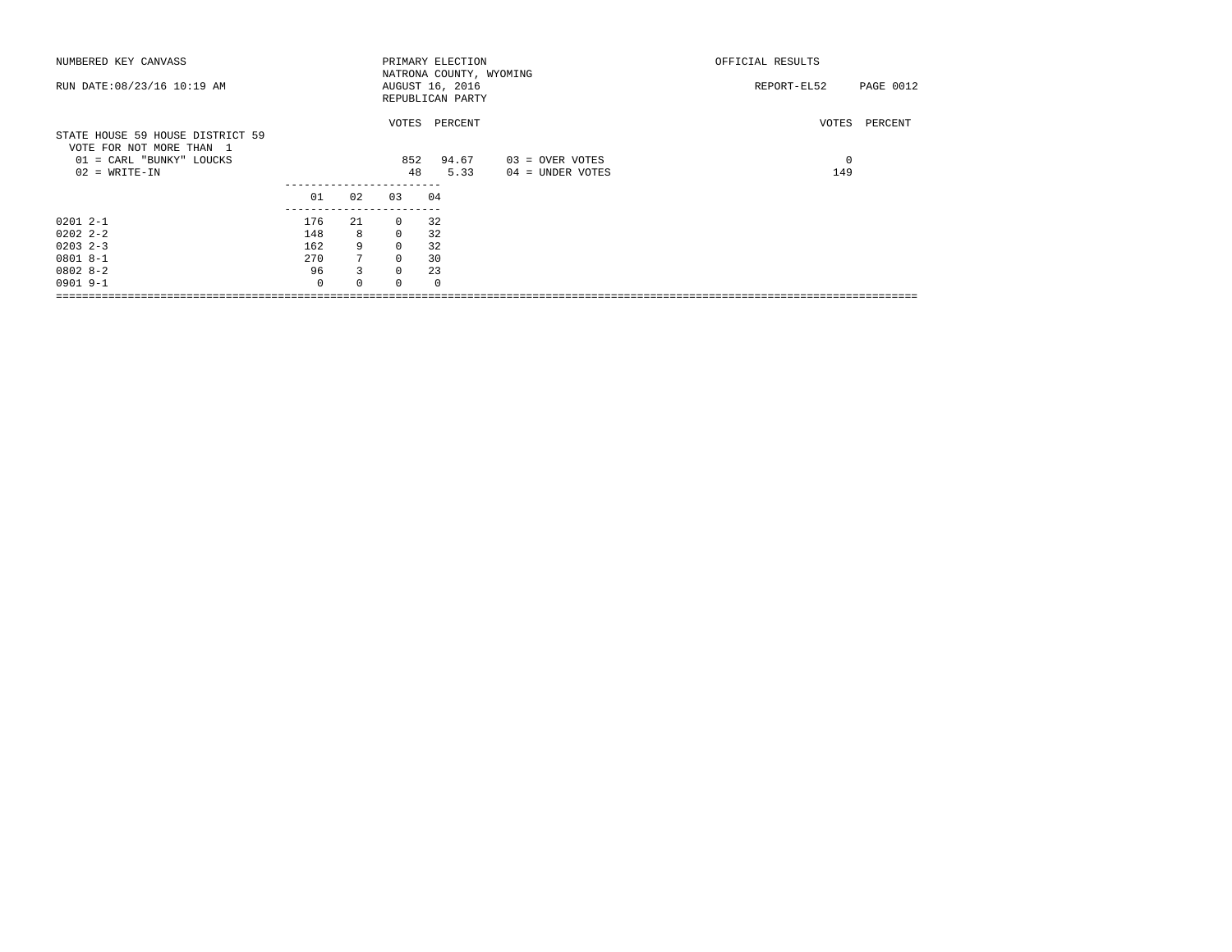| NUMBERED KEY CANVASS                                                                     |          |             |          | PRIMARY ELECTION                                               |                  | OFFICIAL RESULTS         |
|------------------------------------------------------------------------------------------|----------|-------------|----------|----------------------------------------------------------------|------------------|--------------------------|
| RUN DATE: 08/23/16 10:19 AM                                                              |          |             |          | NATRONA COUNTY, WYOMING<br>AUGUST 16, 2016<br>REPUBLICAN PARTY |                  | REPORT-EL52<br>PAGE 0012 |
| STATE HOUSE 59 HOUSE DISTRICT 59<br>VOTE FOR NOT MORE THAN 1<br>01 = CARL "BUNKY" LOUCKS |          |             | 852      | VOTES PERCENT<br>94.67                                         | 03 = OVER VOTES  | VOTES PERCENT<br>0       |
| $02 = WRITE-IN$                                                                          |          |             | 48       | 5.33                                                           | 04 = UNDER VOTES | 149                      |
|                                                                                          | 01       | 02          | 0.3      | 04                                                             |                  |                          |
| $02012 - -1$                                                                             | 176      | 21          | $\circ$  | 32                                                             |                  |                          |
| $02022 - 2 - 2$                                                                          | 148      | 8           | $\circ$  | 32                                                             |                  |                          |
| $0203$ $2-3$                                                                             | 162      | 9           | $\circ$  | 32                                                             |                  |                          |
| $08018 - -1$                                                                             | 270      | $7^{\circ}$ | $\Omega$ | 30                                                             |                  |                          |
| $08028 - 2$                                                                              | 96       | 3           | $\Omega$ | 23                                                             |                  |                          |
| $0901$ 9-1                                                                               | $\Omega$ | $\Omega$    | $\Omega$ |                                                                |                  |                          |
|                                                                                          |          |             |          |                                                                |                  |                          |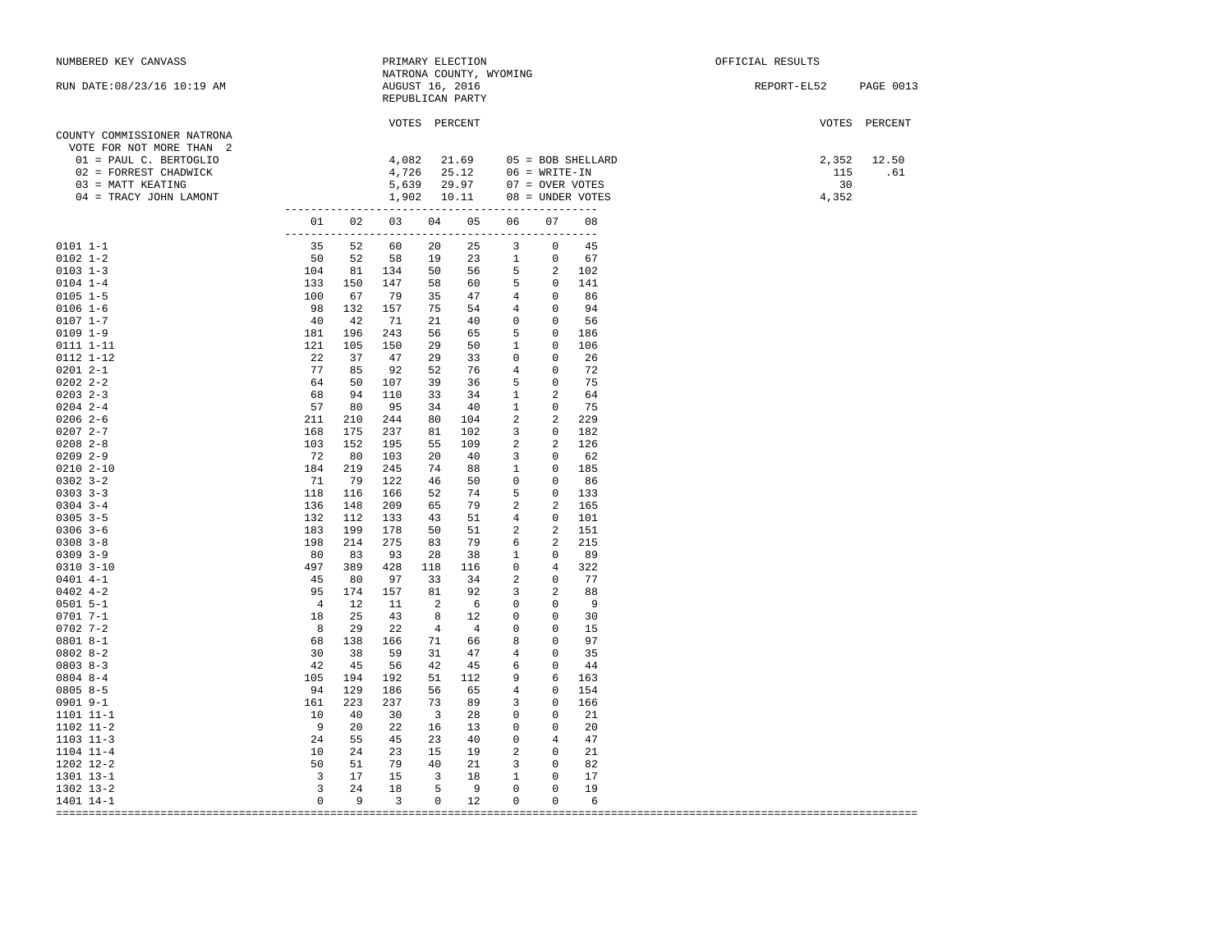| NUMBERED KEY CANVASS                                                                                                                                                                                                                                                                                                     |                                                       |       |                          |                 | PRIMARY ELECTION                            |                          |                                                    |                                                                                                                                                   | OFFICIAL RESULTS      |               |
|--------------------------------------------------------------------------------------------------------------------------------------------------------------------------------------------------------------------------------------------------------------------------------------------------------------------------|-------------------------------------------------------|-------|--------------------------|-----------------|---------------------------------------------|--------------------------|----------------------------------------------------|---------------------------------------------------------------------------------------------------------------------------------------------------|-----------------------|---------------|
| RUN DATE: 08/23/16 10:19 AM                                                                                                                                                                                                                                                                                              |                                                       |       |                          | AUGUST 16, 2016 | NATRONA COUNTY, WYOMING<br>REPUBLICAN PARTY |                          |                                                    |                                                                                                                                                   | REPORT-EL52 PAGE 0013 |               |
| COUNTY COMMISSIONER NATRONA<br>VOTE FOR NOT MORE THAN 2                                                                                                                                                                                                                                                                  |                                                       |       |                          | VOTES PERCENT   |                                             |                          |                                                    |                                                                                                                                                   |                       | VOTES PERCENT |
| 01 = PAUL C. BERTOGLIO                                                                                                                                                                                                                                                                                                   |                                                       |       |                          |                 |                                             |                          |                                                    |                                                                                                                                                   |                       | 2,352 12.50   |
| 02 = FORREST CHADWICK                                                                                                                                                                                                                                                                                                    |                                                       |       |                          |                 |                                             |                          |                                                    |                                                                                                                                                   |                       | 115 .61       |
| 03 = MATT KEATING                                                                                                                                                                                                                                                                                                        |                                                       |       |                          |                 |                                             |                          |                                                    |                                                                                                                                                   | 30                    |               |
| 04 = TRACY JOHN LAMONT                                                                                                                                                                                                                                                                                                   |                                                       |       |                          |                 |                                             |                          |                                                    | $4,082$ $21.69$ $05 = BOB$ SHELLARD<br>$4,726$ $25.12$ $06 = WRTTE-IN$<br>$5,639$ $29.97$ $07 = OVER$ VOTES<br>$1,902$ $10.11$ $08 = UNDER$ VOTES | 4,352                 |               |
|                                                                                                                                                                                                                                                                                                                          |                                                       |       |                          |                 |                                             |                          |                                                    |                                                                                                                                                   |                       |               |
| $\begin{array}{cccccccc} \texttt{03} & 04 & 05 & 06 & 07 & 000\text{ER VO1} & 0000 & 0000 & 0000 & 0000 & 0000 & 0000 & 0000 & 0000 & 0000 & 0000 & 0000 & 0000 & 0000 & 0000 & 0000 & 0000 & 0000 & 0000 & 0000 & 0000 & 0000 & 0000 & 0000 & 0000 & 0000 & 0000 & 0000 & 0000 & 0000 & 0$                              |                                                       |       |                          |                 |                                             |                          |                                                    |                                                                                                                                                   |                       |               |
| $0101 1 - 1$                                                                                                                                                                                                                                                                                                             |                                                       |       |                          |                 |                                             |                          |                                                    |                                                                                                                                                   |                       |               |
| $0102$ $1-2$                                                                                                                                                                                                                                                                                                             |                                                       |       |                          |                 |                                             |                          |                                                    |                                                                                                                                                   |                       |               |
| $0103$ $1-3$                                                                                                                                                                                                                                                                                                             |                                                       |       |                          |                 |                                             |                          |                                                    |                                                                                                                                                   |                       |               |
| $0104$ 1-4                                                                                                                                                                                                                                                                                                               |                                                       |       |                          |                 |                                             |                          |                                                    |                                                                                                                                                   |                       |               |
| $0105$ 1-5                                                                                                                                                                                                                                                                                                               |                                                       |       |                          |                 |                                             |                          |                                                    |                                                                                                                                                   |                       |               |
| $0106 1 - 6$<br>$0107 1 - 7$                                                                                                                                                                                                                                                                                             |                                                       |       |                          |                 |                                             |                          |                                                    |                                                                                                                                                   |                       |               |
| $0109$ $1-9$                                                                                                                                                                                                                                                                                                             |                                                       |       |                          |                 |                                             |                          |                                                    |                                                                                                                                                   |                       |               |
| 0111 1-11                                                                                                                                                                                                                                                                                                                |                                                       |       |                          |                 |                                             |                          |                                                    |                                                                                                                                                   |                       |               |
| 0112 1-12                                                                                                                                                                                                                                                                                                                | 22 37                                                 |       | 47                       |                 | 29 33 0                                     |                          | $0\qquad 26$                                       |                                                                                                                                                   |                       |               |
| $02012 - -1$                                                                                                                                                                                                                                                                                                             |                                                       |       | 92                       |                 | 52 76 4 0 72                                |                          |                                                    |                                                                                                                                                   |                       |               |
| $02022 - 2 - 2$                                                                                                                                                                                                                                                                                                          |                                                       |       | 107                      |                 | 39 36 5                                     |                          |                                                    | 0 75                                                                                                                                              |                       |               |
| $\begin{array}{ccc} 22 & 51 \\ 77 & 85 \\ 64 & 50 \\ 68 & 94 \\ 211 & 210 \\ 211 & 175 \end{array}$<br>$0203$ 2-3                                                                                                                                                                                                        |                                                       |       | 110                      |                 | 33 34 1 2 64                                |                          |                                                    |                                                                                                                                                   |                       |               |
| $0204$ 2-4                                                                                                                                                                                                                                                                                                               |                                                       |       | 95                       |                 | 34 40 1 0 75                                |                          |                                                    |                                                                                                                                                   |                       |               |
| $0206$ 2-6                                                                                                                                                                                                                                                                                                               | 211                                                   |       | 244                      |                 | 80 104 2 2 229                              |                          |                                                    |                                                                                                                                                   |                       |               |
| $02072 - -7$                                                                                                                                                                                                                                                                                                             | 168 175                                               |       | 237                      |                 | 81 102 3 0 182                              |                          |                                                    |                                                                                                                                                   |                       |               |
| $0208$ $2 - 8$                                                                                                                                                                                                                                                                                                           | 103                                                   | 152   | 195                      |                 | 55 109                                      | $\overline{\mathbf{c}}$  | 2 126                                              |                                                                                                                                                   |                       |               |
| $0209$ 2-9                                                                                                                                                                                                                                                                                                               | 72                                                    | 80    | 103                      |                 | 20 40 3 0 62                                |                          |                                                    |                                                                                                                                                   |                       |               |
| $0210$ $2-10$                                                                                                                                                                                                                                                                                                            | 184                                                   | 219   | 245                      |                 | 74 88 1 0 185                               |                          |                                                    |                                                                                                                                                   |                       |               |
| $0302$ $3-2$                                                                                                                                                                                                                                                                                                             | $71$ $79$<br>118 116                                  |       | 122                      |                 | 46 50 0 0 86                                |                          |                                                    |                                                                                                                                                   |                       |               |
| $0303$ $3-3$<br>$0304$ 3-4                                                                                                                                                                                                                                                                                               |                                                       |       | 166                      |                 | 52 74 5 0 133<br>65 79 2                    |                          |                                                    |                                                                                                                                                   |                       |               |
| $0305$ 3-5                                                                                                                                                                                                                                                                                                               | 136                                                   | 148   | 209<br>133               |                 |                                             |                          | 2 165                                              |                                                                                                                                                   |                       |               |
| $0306$ 3-6                                                                                                                                                                                                                                                                                                               |                                                       |       | 178                      |                 | 43 51 4 0 101<br>50 51                      | $\overline{\phantom{a}}$ | 2 151                                              |                                                                                                                                                   |                       |               |
| $0308$ 3-8                                                                                                                                                                                                                                                                                                               |                                                       |       | 275                      |                 | 83 79 6                                     |                          | 2 215                                              |                                                                                                                                                   |                       |               |
| $0309$ $3-9$                                                                                                                                                                                                                                                                                                             |                                                       |       | 93                       |                 | 28 38 1                                     |                          | $\overline{0}$                                     | 89                                                                                                                                                |                       |               |
| $0310$ $3-10$                                                                                                                                                                                                                                                                                                            |                                                       |       | 428                      | 118 116         |                                             | $\overline{\phantom{0}}$ | 4 322                                              |                                                                                                                                                   |                       |               |
| $\begin{array}{cccc} 1. & & & & & & & 1. \\ 1.8 & & & & & & & 1.98 \\ 1.98 & & & & & & & 1.98 \\ 8.0 & & & & & & 1.99 \\ 4.97 & & & & 4.5 & & & \\ 9.5 & & & & 4 & & & \\ 1.8 & & & 2 & & & \\ 8.8 & & & 2.9 & & & \\ 6.8 & & & 138 & & & \\ 3.0 & & & 3.8 & & & \\ 4.2 & & & & & 10^7 & & \\ \end{array}$<br>$0401$ 4-1 |                                                       |       | 97                       |                 | 33 34 2 0 77                                |                          |                                                    |                                                                                                                                                   |                       |               |
| $0402$ 4-2                                                                                                                                                                                                                                                                                                               |                                                       |       | 157                      | 81 92           |                                             | $\overline{\mathbf{3}}$  | $\overline{\phantom{a}}$                           | 88                                                                                                                                                |                       |               |
| $0501 5 - 1$                                                                                                                                                                                                                                                                                                             |                                                       |       | 11                       | $2 \t 6$        |                                             |                          | $0 \t 0 \t 9$                                      |                                                                                                                                                   |                       |               |
| $07017 - -1$                                                                                                                                                                                                                                                                                                             |                                                       |       | 43                       | 8 12            |                                             | $\overline{\phantom{0}}$ | $\overline{\phantom{0}}$                           | 30                                                                                                                                                |                       |               |
| $0702$ 7-2                                                                                                                                                                                                                                                                                                               |                                                       |       | 22                       | $4\quad 4$      |                                             | $\overline{0}$           | $0 \t 15$                                          |                                                                                                                                                   |                       |               |
| $08018 - -1$                                                                                                                                                                                                                                                                                                             |                                                       |       |                          |                 | 166 71 66 8 0 97                            |                          |                                                    |                                                                                                                                                   |                       |               |
| $08028-2$<br>$08038 - 3$                                                                                                                                                                                                                                                                                                 |                                                       |       | 59                       |                 | 31 47 4                                     |                          | $0\qquad 35$<br>$0\qquad 44$                       |                                                                                                                                                   |                       |               |
| $08048 - -4$                                                                                                                                                                                                                                                                                                             |                                                       |       | 56<br>192                |                 | 42 45 6<br>51 112 9                         |                          |                                                    | 6 163                                                                                                                                             |                       |               |
| $0805 8 - 5$                                                                                                                                                                                                                                                                                                             |                                                       |       | 186                      |                 | 56 65 4                                     |                          | $\overline{\phantom{0}}$                           | 154                                                                                                                                               |                       |               |
| 0901 9-1                                                                                                                                                                                                                                                                                                                 | 161                                                   | 223   | 237                      |                 | 73 89 3                                     |                          |                                                    | 0 166                                                                                                                                             |                       |               |
| 1101 11-1                                                                                                                                                                                                                                                                                                                |                                                       |       |                          |                 | 30 3 28 0                                   |                          | $\overline{0}$                                     | 21                                                                                                                                                |                       |               |
| $1102$ $11-2$                                                                                                                                                                                                                                                                                                            | $\begin{array}{cc} 10 & 40 \\ 9 & 20 \end{array}$     |       |                          |                 | 22 16 13 0                                  |                          | $\overline{0}$                                     | 20                                                                                                                                                |                       |               |
| $1103$ $11-3$                                                                                                                                                                                                                                                                                                            | 24 55                                                 |       |                          |                 | 45 23 40 0                                  |                          | 4                                                  | 47                                                                                                                                                |                       |               |
| 1104 11-4                                                                                                                                                                                                                                                                                                                | 10 24                                                 |       |                          |                 | 23 15 19 2 0 21                             |                          |                                                    |                                                                                                                                                   |                       |               |
| 1202 12-2                                                                                                                                                                                                                                                                                                                |                                                       | 50 51 |                          |                 | 79 40 21 3 0 82                             |                          |                                                    |                                                                                                                                                   |                       |               |
| 1301 13-1                                                                                                                                                                                                                                                                                                                | $\begin{array}{ccc} 3 & & 17 \\ 3 & & 24 \end{array}$ |       |                          |                 | 15 3 18 1 0 17                              |                          |                                                    |                                                                                                                                                   |                       |               |
| 1302 13-2                                                                                                                                                                                                                                                                                                                |                                                       |       | 18                       | $5$ 9           |                                             | $\overline{0}$           | $\circ$                                            | 19                                                                                                                                                |                       |               |
| 1401 14-1                                                                                                                                                                                                                                                                                                                |                                                       | $0$ 9 | $\overline{\phantom{a}}$ | $0$ 12          |                                             |                          | $\begin{array}{ccc} & & 0 & \quad & 0 \end{array}$ | $6\overline{6}$                                                                                                                                   |                       |               |
|                                                                                                                                                                                                                                                                                                                          |                                                       |       |                          |                 |                                             |                          |                                                    |                                                                                                                                                   |                       |               |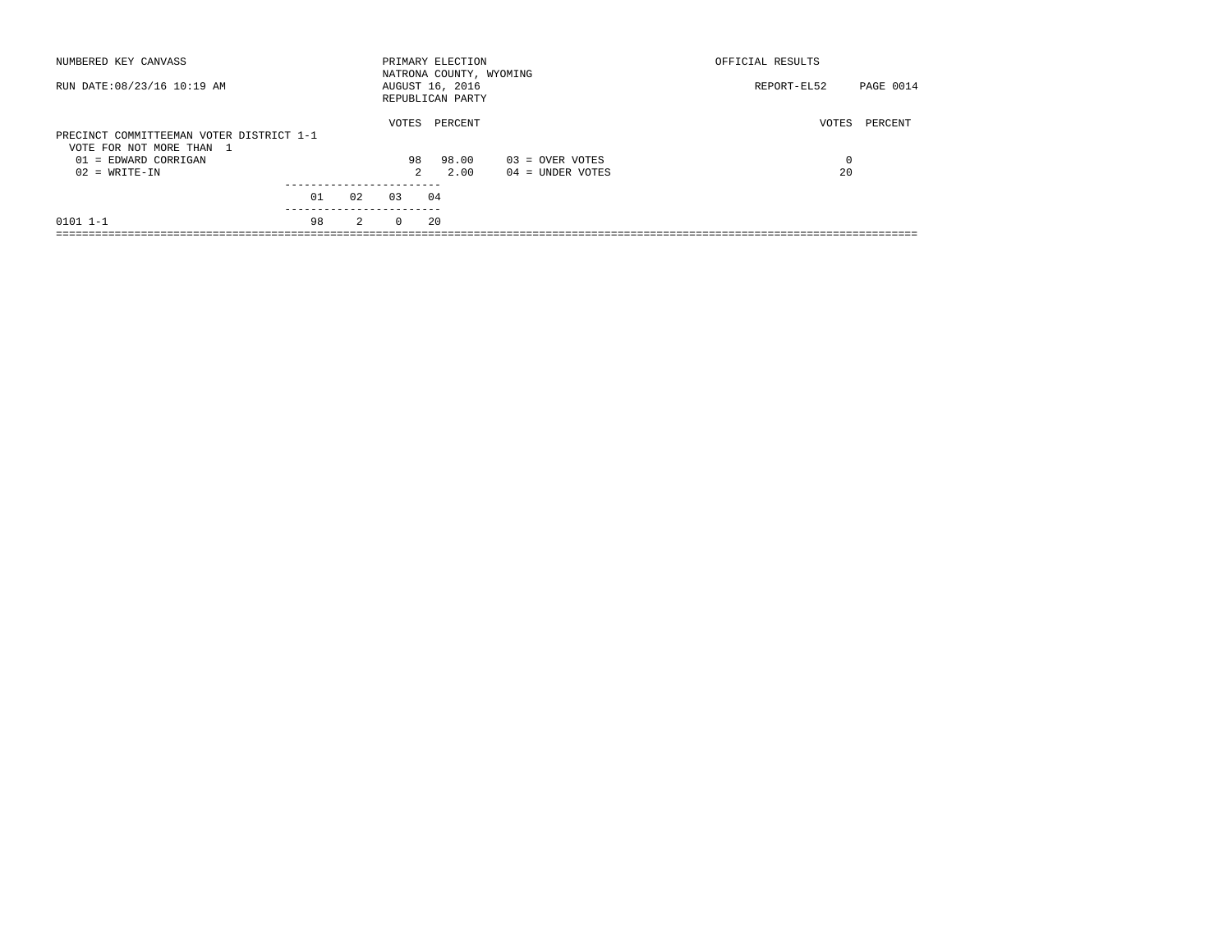| NUMBERED KEY CANVASS                                                 |    |                |               | PRIMARY ELECTION<br>NATRONA COUNTY, WYOMING |                    | OFFICIAL RESULTS |           |
|----------------------------------------------------------------------|----|----------------|---------------|---------------------------------------------|--------------------|------------------|-----------|
| RUN DATE: 08/23/16 10:19 AM                                          |    |                |               | AUGUST 16, 2016<br>REPUBLICAN PARTY         |                    | REPORT-EL52      | PAGE 0014 |
| PRECINCT COMMITTEEMAN VOTER DISTRICT 1-1<br>VOTE FOR NOT MORE THAN 1 |    |                | VOTES         | PERCENT                                     |                    | VOTES            | PERCENT   |
| $01$ = EDWARD CORRIGAN                                               |    |                | 98            | 98.00                                       | $03 =$ OVER VOTES  | 0                |           |
| $02 = WRITE-IN$                                                      |    |                | $\mathcal{L}$ | 2.00                                        | $04 =$ UNDER VOTES | 20               |           |
|                                                                      |    |                |               |                                             |                    |                  |           |
|                                                                      | 01 | 02             | 0.3           | 04                                          |                    |                  |           |
| $0101$ $1-1$                                                         | 98 | $\overline{2}$ | $\Omega$      | 20                                          |                    |                  |           |
|                                                                      |    |                |               |                                             |                    |                  |           |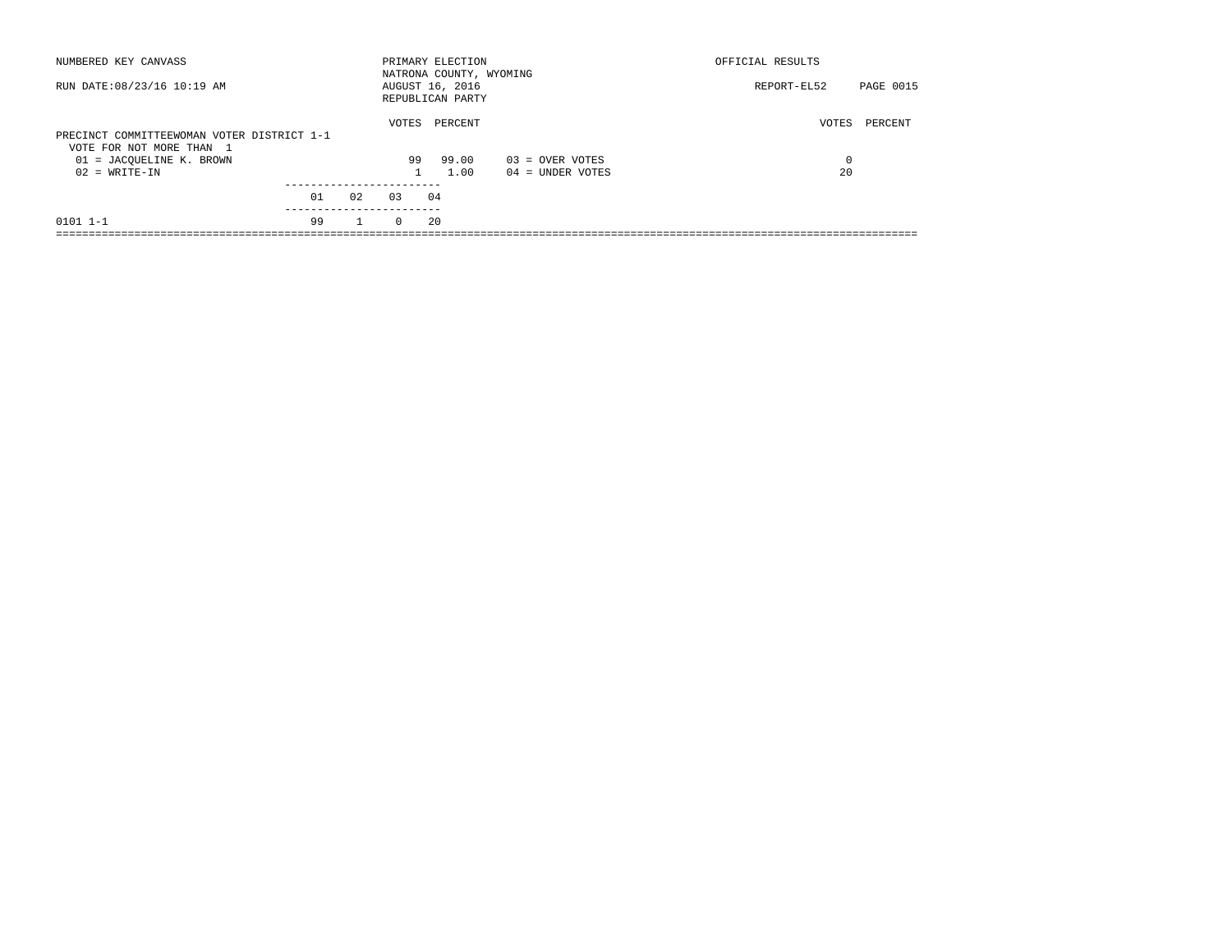| NUMBERED KEY CANVASS                                                   |    |              |              | PRIMARY ELECTION<br>NATRONA COUNTY, WYOMING |                    | OFFICIAL RESULTS |           |
|------------------------------------------------------------------------|----|--------------|--------------|---------------------------------------------|--------------------|------------------|-----------|
| RUN DATE: 08/23/16 10:19 AM                                            |    |              |              | AUGUST 16, 2016<br>REPUBLICAN PARTY         |                    | REPORT-EL52      | PAGE 0015 |
| PRECINCT COMMITTEEWOMAN VOTER DISTRICT 1-1<br>VOTE FOR NOT MORE THAN 1 |    |              | VOTES        | PERCENT                                     |                    | VOTES            | PERCENT   |
| 01 = JACOUELINE K. BROWN                                               |    |              | 99           | 99.00                                       | $03 =$ OVER VOTES  | 0                |           |
| $02 = WRITE-IN$                                                        |    |              | $\mathbf{1}$ | 1.00                                        | $04 =$ UNDER VOTES | 20               |           |
|                                                                        |    |              |              |                                             |                    |                  |           |
|                                                                        | 01 | 02           | 0.3          | 04                                          |                    |                  |           |
| $0101$ $1-1$                                                           | 99 | $\mathbf{1}$ | $\Omega$     | 20                                          |                    |                  |           |
|                                                                        |    |              |              |                                             |                    |                  |           |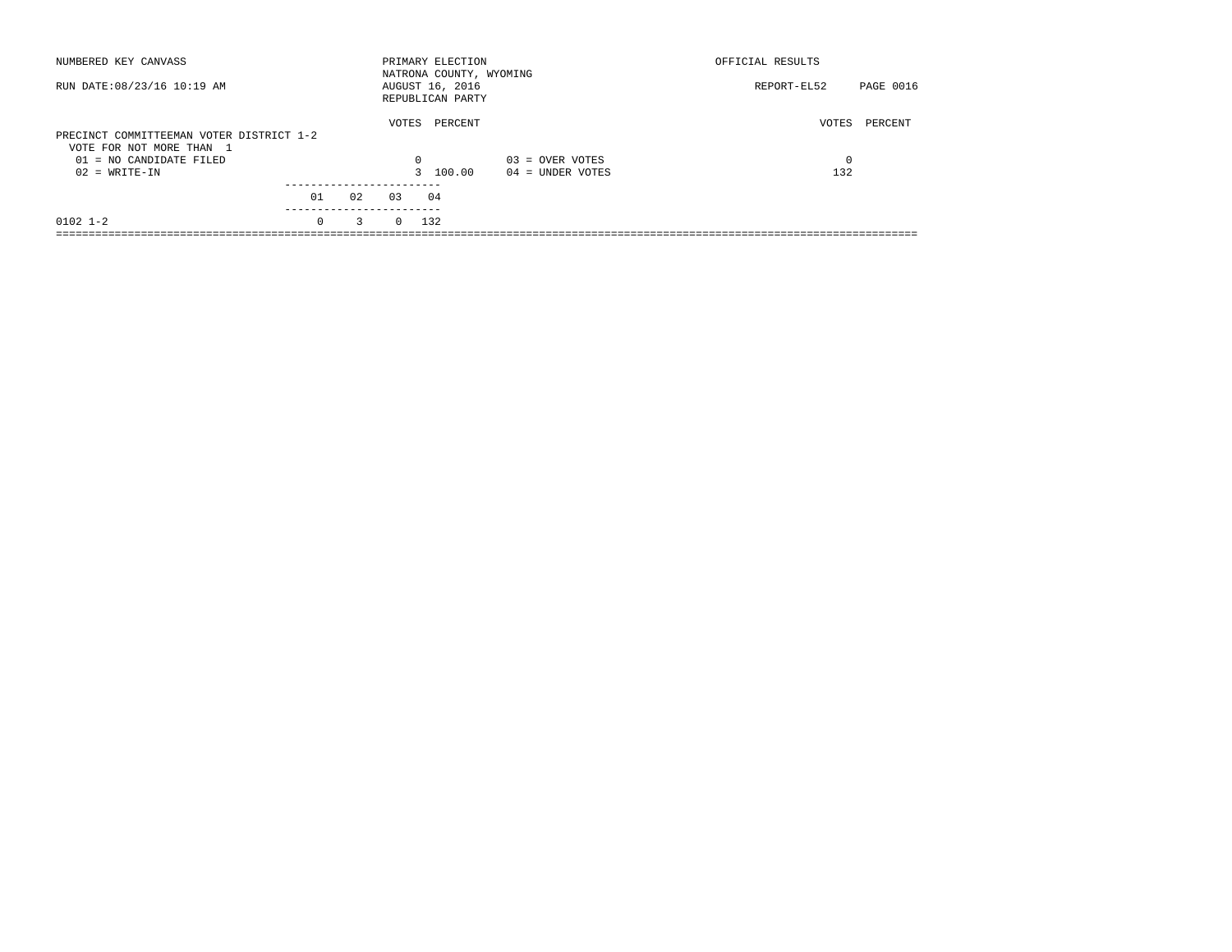| NUMBERED KEY CANVASS                                                 |                        |    |            | PRIMARY ELECTION<br>NATRONA COUNTY, WYOMING |                    | OFFICIAL RESULTS |                  |
|----------------------------------------------------------------------|------------------------|----|------------|---------------------------------------------|--------------------|------------------|------------------|
| RUN DATE: 08/23/16 10:19 AM                                          |                        |    |            | AUGUST 16, 2016<br>REPUBLICAN PARTY         |                    | REPORT-EL52      | <b>PAGE 0016</b> |
| PRECINCT COMMITTEEMAN VOTER DISTRICT 1-2<br>VOTE FOR NOT MORE THAN 1 |                        |    | VOTES      | PERCENT                                     |                    | VOTES            | PERCENT          |
| $01 = NO$ CANDIDATE FILED                                            |                        |    | $\Omega$   |                                             | $03 =$ OVER VOTES  | 0                |                  |
| $02 = WRITE-IN$                                                      |                        |    |            | 3 100.00                                    | $04 =$ UNDER VOTES | 132              |                  |
|                                                                      |                        |    |            |                                             |                    |                  |                  |
|                                                                      | 01                     | 02 | 0.3        | 04                                          |                    |                  |                  |
| $0102$ $1-2$                                                         | ----------<br>$\Omega$ | 3  | $0 \t 132$ |                                             |                    |                  |                  |
|                                                                      |                        |    |            |                                             |                    |                  |                  |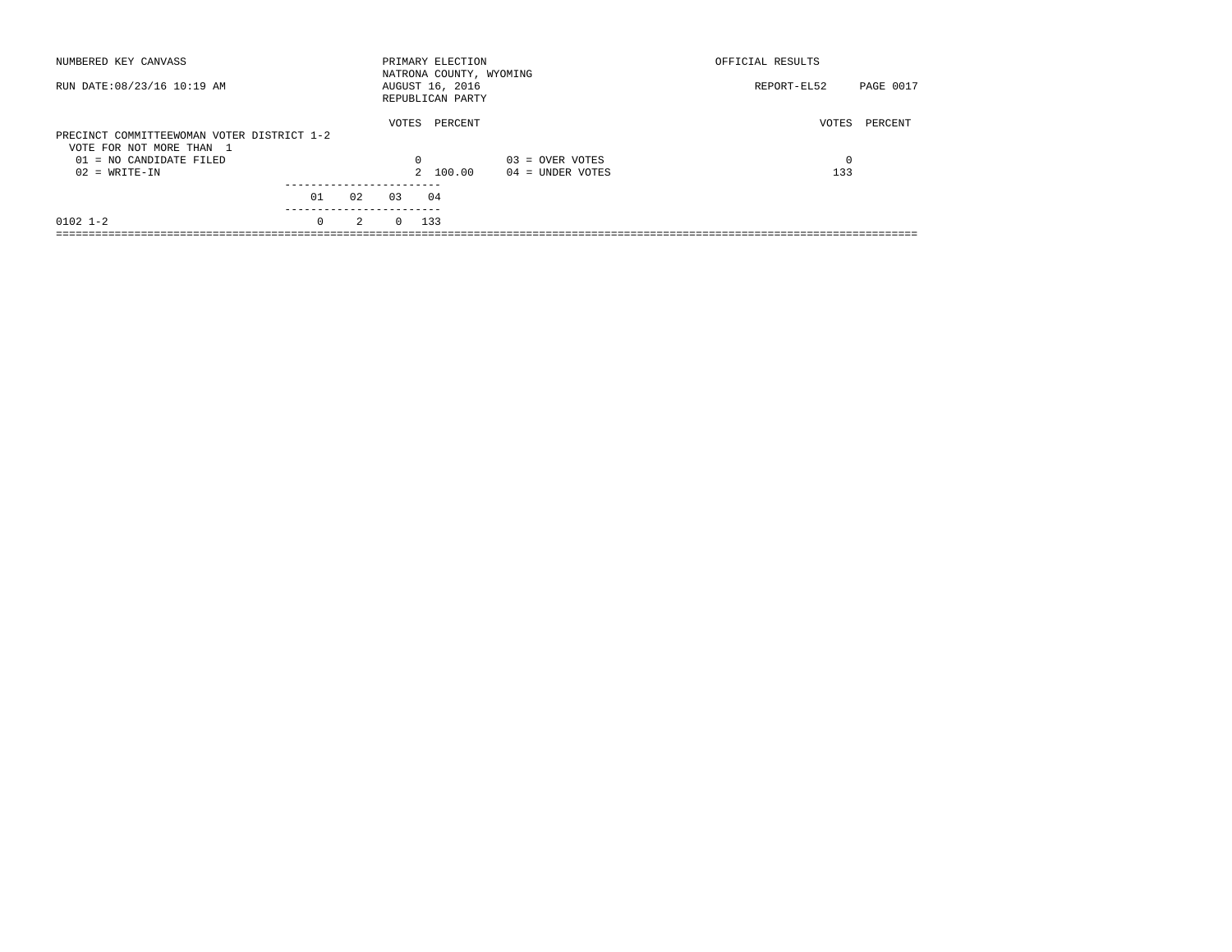| NUMBERED KEY CANVASS                                                   |                  |    |            | PRIMARY ELECTION<br>NATRONA COUNTY, WYOMING |                    | OFFICIAL RESULTS |           |
|------------------------------------------------------------------------|------------------|----|------------|---------------------------------------------|--------------------|------------------|-----------|
| RUN DATE: 08/23/16 10:19 AM                                            |                  |    |            | AUGUST 16, 2016<br>REPUBLICAN PARTY         |                    | REPORT-EL52      | PAGE 0017 |
| PRECINCT COMMITTEEWOMAN VOTER DISTRICT 1-2<br>VOTE FOR NOT MORE THAN 1 |                  |    | VOTES      | PERCENT                                     |                    | VOTES            | PERCENT   |
| $01 = NO$ CANDIDATE FILED                                              |                  |    | $\Omega$   |                                             | $03 =$ OVER VOTES  | 0                |           |
| $02 = WRITE-IN$                                                        |                  |    |            | 2 100.00                                    | $04 =$ UNDER VOTES | 133              |           |
|                                                                        | 01<br>---------- | 02 | 0.3        | 04                                          |                    |                  |           |
| $0102$ $1-2$                                                           | $\Omega$         | 2  | $0 \t 133$ |                                             |                    |                  |           |
|                                                                        |                  |    |            |                                             |                    |                  |           |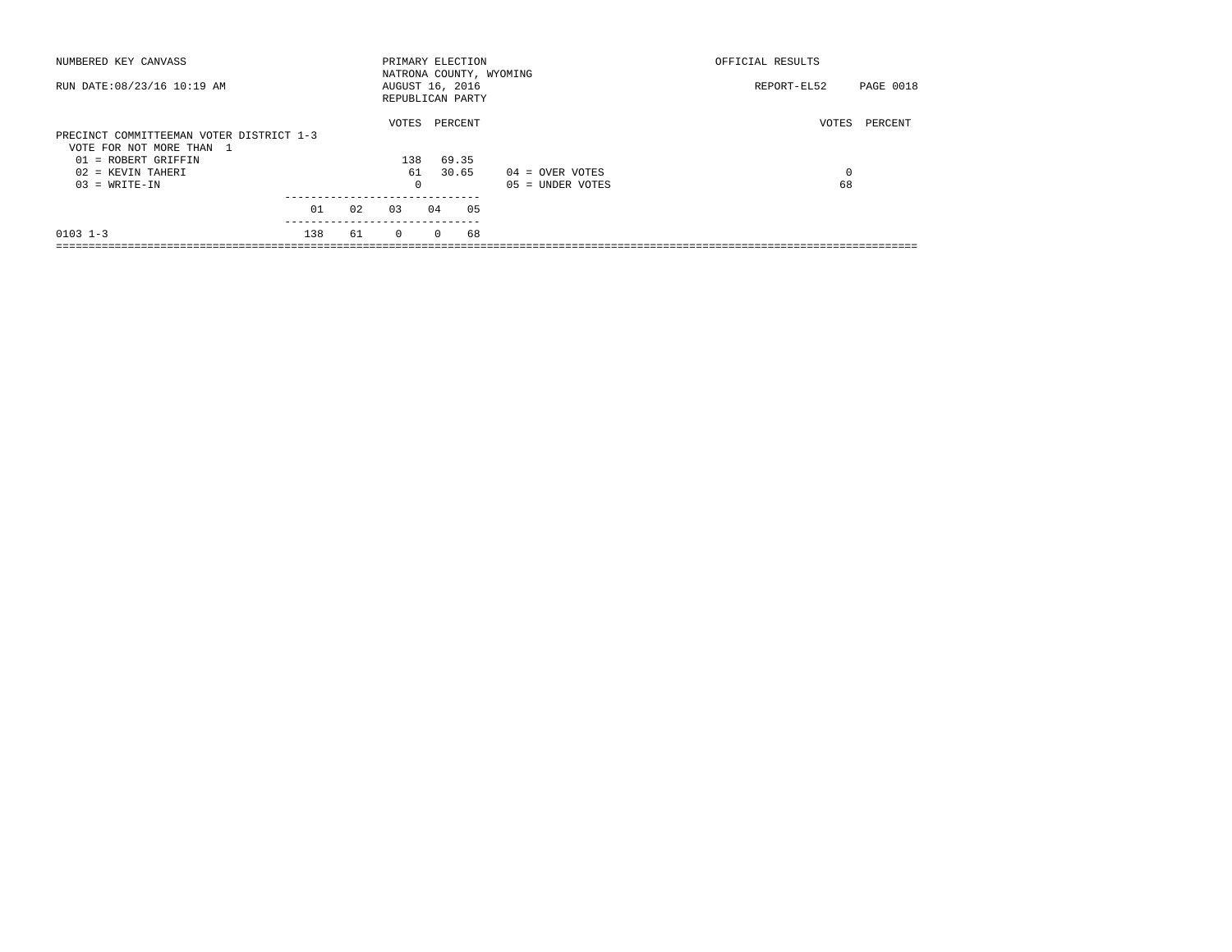| NUMBERED KEY CANVASS                     |     |    |          |          | PRIMARY ELECTION                    |                         | OFFICIAL RESULTS |           |  |
|------------------------------------------|-----|----|----------|----------|-------------------------------------|-------------------------|------------------|-----------|--|
| RUN DATE: 08/23/16 10:19 AM              |     |    |          |          | AUGUST 16, 2016<br>REPUBLICAN PARTY | NATRONA COUNTY, WYOMING | REPORT-EL52      | PAGE 0018 |  |
|                                          |     |    | VOTES    |          | PERCENT                             |                         | VOTES            | PERCENT   |  |
| PRECINCT COMMITTEEMAN VOTER DISTRICT 1-3 |     |    |          |          |                                     |                         |                  |           |  |
| VOTE FOR NOT MORE THAN 1                 |     |    |          |          |                                     |                         |                  |           |  |
| 01 = ROBERT GRIFFIN                      |     |    | 138      |          | 69.35                               |                         |                  |           |  |
| 02 = KEVIN TAHERI                        |     |    | 61       |          | 30.65                               | $04 =$ OVER VOTES       | 0                |           |  |
| $03 = WRITE-IN$                          |     |    | $\Omega$ |          |                                     | $05 = UNDER VOTES$      | 68               |           |  |
|                                          | 01  | 02 | 0.3      | 04       | 05                                  |                         |                  |           |  |
|                                          |     |    |          |          |                                     |                         |                  |           |  |
| $0103$ $1-3$                             | 138 | 61 | $\Omega$ | $\Omega$ | 68                                  |                         |                  |           |  |
|                                          |     |    |          |          |                                     |                         |                  |           |  |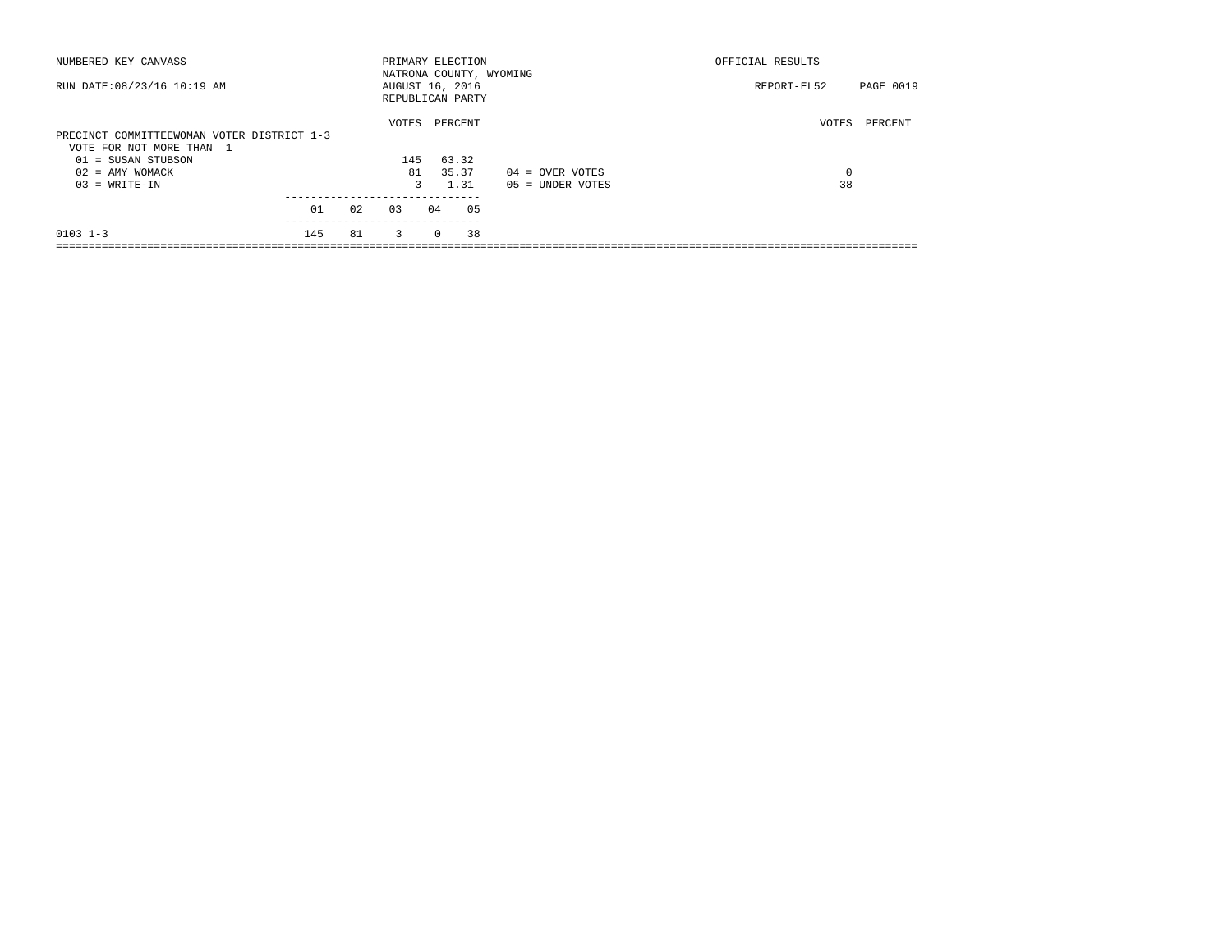| NUMBERED KEY CANVASS                                                                           |     |    |                         |          | PRIMARY ELECTION                    | NATRONA COUNTY, WYOMING | OFFICIAL RESULTS |           |
|------------------------------------------------------------------------------------------------|-----|----|-------------------------|----------|-------------------------------------|-------------------------|------------------|-----------|
| RUN DATE: 08/23/16 10:19 AM                                                                    |     |    |                         |          | AUGUST 16, 2016<br>REPUBLICAN PARTY |                         | REPORT-EL52      | PAGE 0019 |
|                                                                                                |     |    | VOTES                   |          | PERCENT                             |                         | VOTES            | PERCENT   |
| PRECINCT COMMITTEEWOMAN VOTER DISTRICT 1-3<br>VOTE FOR NOT MORE THAN 1<br>$01 = SUBAN$ STUBSON |     |    | 145                     |          | 63.32                               |                         |                  |           |
| $02 = AMY WOMACK$                                                                              |     |    | 81                      |          | 35.37                               | $04 =$ OVER VOTES       | 0                |           |
| $03 = WRITE-IN$                                                                                |     |    | 3                       |          | 1.31                                | $05 = UNDER VOTES$      | 38               |           |
|                                                                                                | 01  | 02 | 03                      | 04       | 05                                  |                         |                  |           |
| $0103$ $1-3$                                                                                   | 145 | 81 | $\overline{\mathbf{3}}$ | $\Omega$ | 38                                  |                         |                  |           |
|                                                                                                |     |    |                         |          |                                     |                         |                  |           |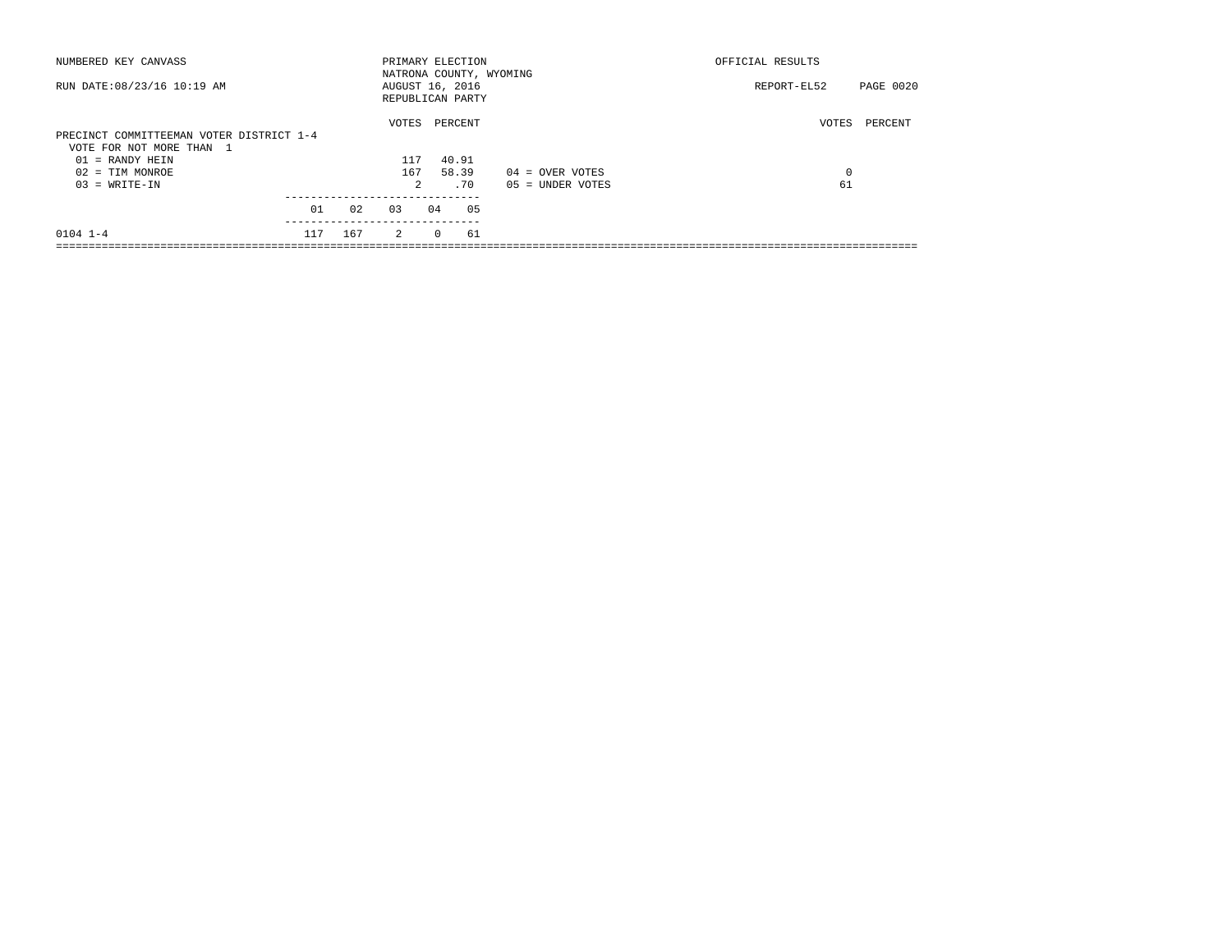| NUMBERED KEY CANVASS                     |     |     |                |          | PRIMARY ELECTION                    | NATRONA COUNTY, WYOMING | OFFICIAL RESULTS |           |
|------------------------------------------|-----|-----|----------------|----------|-------------------------------------|-------------------------|------------------|-----------|
| RUN DATE: 08/23/16 10:19 AM              |     |     |                |          | AUGUST 16, 2016<br>REPUBLICAN PARTY |                         | REPORT-EL52      | PAGE 0020 |
|                                          |     |     | VOTES          |          | PERCENT                             |                         | VOTES            | PERCENT   |
| PRECINCT COMMITTEEMAN VOTER DISTRICT 1-4 |     |     |                |          |                                     |                         |                  |           |
| VOTE FOR NOT MORE THAN 1                 |     |     |                |          |                                     |                         |                  |           |
| $01$ = RANDY HEIN                        |     |     | 117            |          | 40.91                               |                         |                  |           |
| $02 = TIM MONROE$                        |     |     | 167            |          | 58.39                               | $04 =$ OVER VOTES       | 0                |           |
| $03 = WRITE-IN$                          |     |     | $\mathfrak{D}$ |          | .70                                 | $05 = UNDER VOTES$      | 61               |           |
|                                          | 01  | 02  | 03             | 04       | 05                                  |                         |                  |           |
|                                          |     |     |                |          |                                     |                         |                  |           |
| $0104$ $1-4$                             | 117 | 167 | $\overline{2}$ | $\Omega$ | 61                                  |                         |                  |           |
|                                          |     |     |                |          |                                     |                         |                  |           |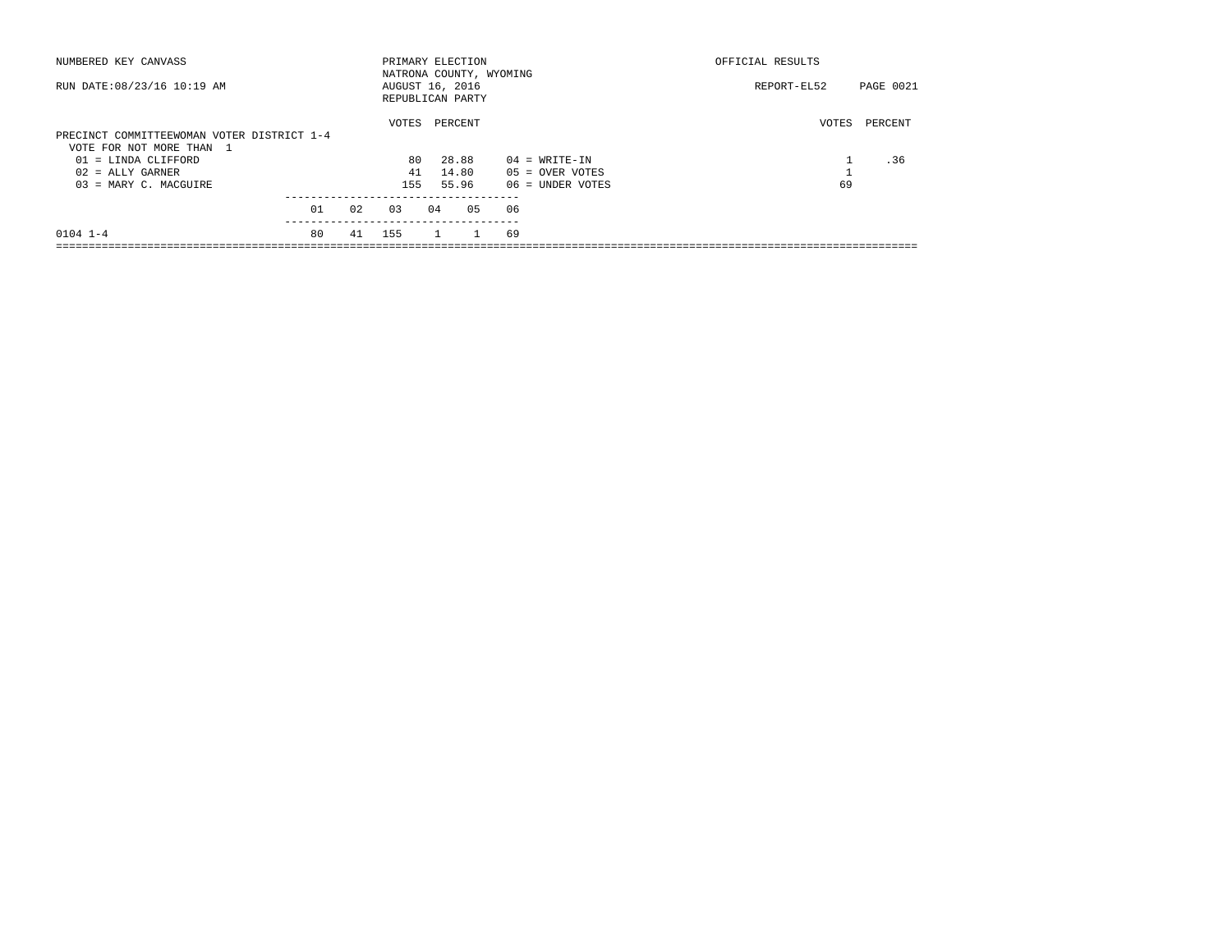| NUMBERED KEY CANVASS                       |    |    | PRIMARY ELECTION        |                |         |              |    |                    | OFFICIAL RESULTS |       |                  |
|--------------------------------------------|----|----|-------------------------|----------------|---------|--------------|----|--------------------|------------------|-------|------------------|
|                                            |    |    | NATRONA COUNTY, WYOMING |                |         |              |    |                    |                  |       |                  |
| RUN DATE: 08/23/16 10:19 AM                |    |    | AUGUST 16, 2016         |                |         |              |    |                    | REPORT-EL52      |       | <b>PAGE 0021</b> |
|                                            |    |    | REPUBLICAN PARTY        |                |         |              |    |                    |                  |       |                  |
|                                            |    |    | VOTES                   |                | PERCENT |              |    |                    |                  | VOTES | PERCENT          |
| PRECINCT COMMITTEEWOMAN VOTER DISTRICT 1-4 |    |    |                         |                |         |              |    |                    |                  |       |                  |
| VOTE FOR NOT MORE THAN 1                   |    |    |                         |                |         |              |    |                    |                  |       |                  |
| $01 =$ LINDA CLIFFORD                      |    |    | 80                      |                | 28.88   |              |    | $04 = WRITE-IN$    |                  |       | .36              |
| $02$ = ALLY GARNER                         |    |    | 41                      |                | 14.80   |              |    | $05 =$ OVER VOTES  |                  |       |                  |
| $03$ = MARY C. MACGUIRE                    |    |    | 155                     |                | 55.96   |              |    | $06$ = UNDER VOTES |                  | 69    |                  |
|                                            |    |    |                         |                |         |              |    |                    |                  |       |                  |
|                                            | 01 | 02 | 0.3                     | 04             |         | 05           | 06 |                    |                  |       |                  |
| $0104$ 1-4                                 | 80 | 41 | 155                     | $\overline{1}$ |         | $\mathbf{1}$ | 69 |                    |                  |       |                  |
|                                            |    |    |                         |                |         |              |    |                    |                  |       |                  |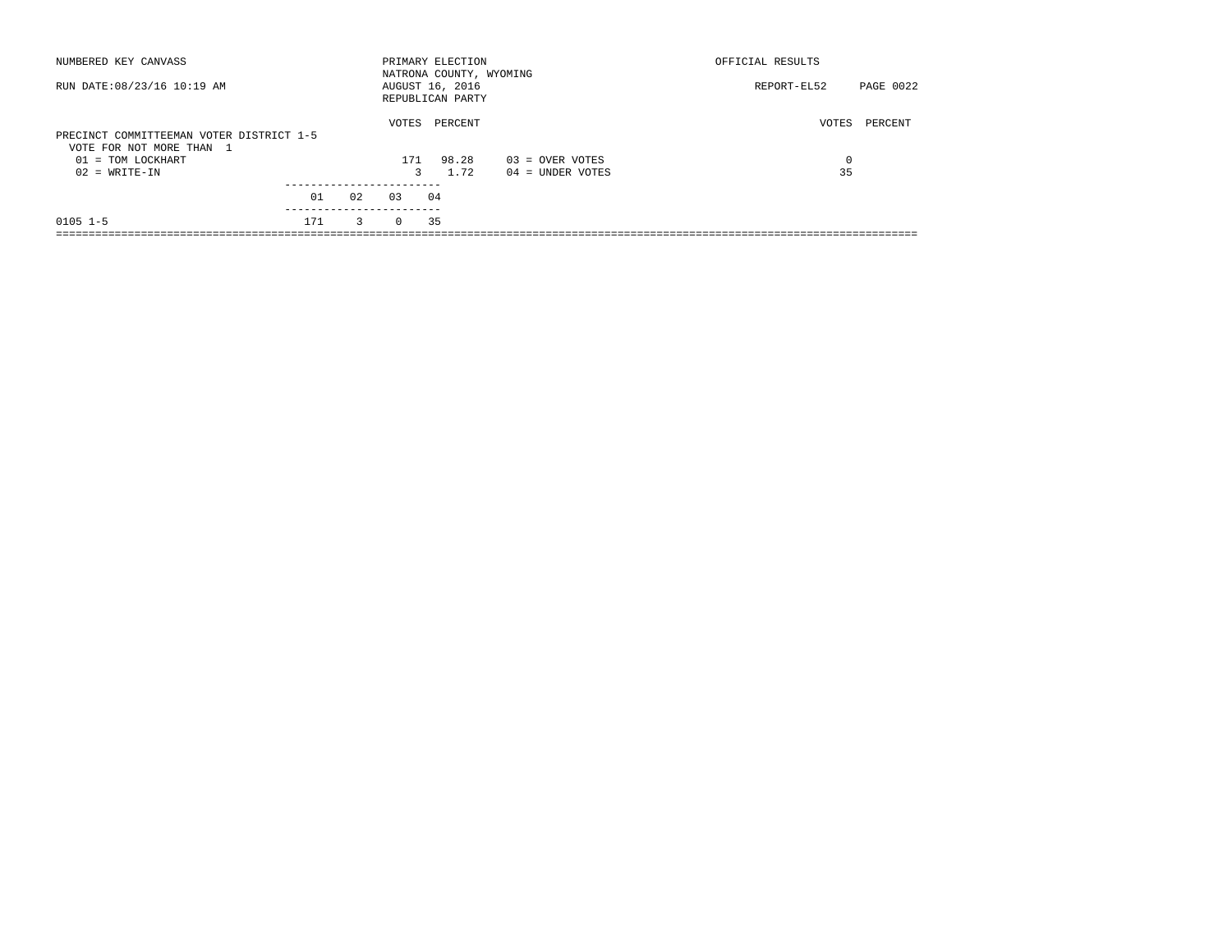| NUMBERED KEY CANVASS                                                 |     |    |          | PRIMARY ELECTION<br>NATRONA COUNTY, WYOMING |                    | OFFICIAL RESULTS |                  |
|----------------------------------------------------------------------|-----|----|----------|---------------------------------------------|--------------------|------------------|------------------|
| RUN DATE: 08/23/16 10:19 AM                                          |     |    |          | AUGUST 16, 2016<br>REPUBLICAN PARTY         |                    | REPORT-EL52      | <b>PAGE 0022</b> |
| PRECINCT COMMITTEEMAN VOTER DISTRICT 1-5<br>VOTE FOR NOT MORE THAN 1 |     |    | VOTES    | PERCENT                                     |                    | VOTES            | PERCENT          |
| 01 = TOM LOCKHART                                                    |     |    | 171      | 98.28                                       | $03 =$ OVER VOTES  | 0                |                  |
| $02 = WRITE-IN$                                                      |     |    | 3        | 1.72                                        | $04 =$ UNDER VOTES | 35               |                  |
|                                                                      | 01  | 02 | 0.3      | 04                                          |                    |                  |                  |
| $0105$ $1-5$                                                         | 171 | 3  | $\Omega$ | 35                                          |                    |                  |                  |
|                                                                      |     |    |          |                                             |                    |                  |                  |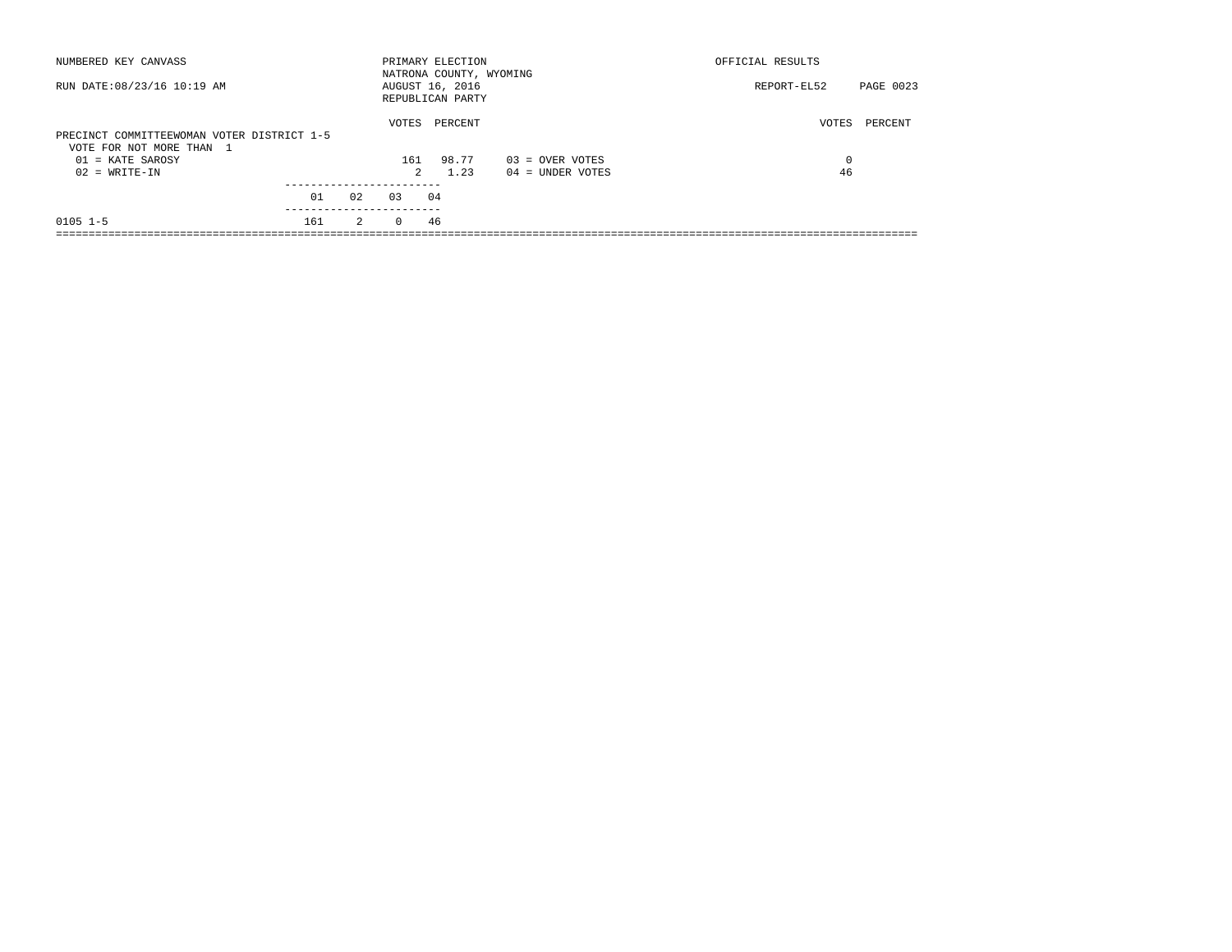| NUMBERED KEY CANVASS                                                   |     |                |          | PRIMARY ELECTION<br>NATRONA COUNTY, WYOMING |                    | OFFICIAL RESULTS         |  |
|------------------------------------------------------------------------|-----|----------------|----------|---------------------------------------------|--------------------|--------------------------|--|
| RUN DATE: 08/23/16 10:19 AM                                            |     |                |          | AUGUST 16, 2016<br>REPUBLICAN PARTY         |                    | PAGE 0023<br>REPORT-EL52 |  |
| PRECINCT COMMITTEEWOMAN VOTER DISTRICT 1-5<br>VOTE FOR NOT MORE THAN 1 |     |                | VOTES    | PERCENT                                     |                    | VOTES<br>PERCENT         |  |
| $01$ = KATE SAROSY                                                     |     |                | 161      | 98.77                                       | $03 =$ OVER VOTES  | $\Omega$                 |  |
| $02 = WRITE-IN$                                                        |     |                | 2        | 1.23                                        | $04 =$ UNDER VOTES | 46                       |  |
|                                                                        |     |                |          |                                             |                    |                          |  |
|                                                                        | 01  | 02             | 0.3      | 04                                          |                    |                          |  |
| $0105$ $1-5$                                                           | 161 | $\overline{2}$ | $\Omega$ | 46                                          |                    |                          |  |
|                                                                        |     |                |          |                                             |                    |                          |  |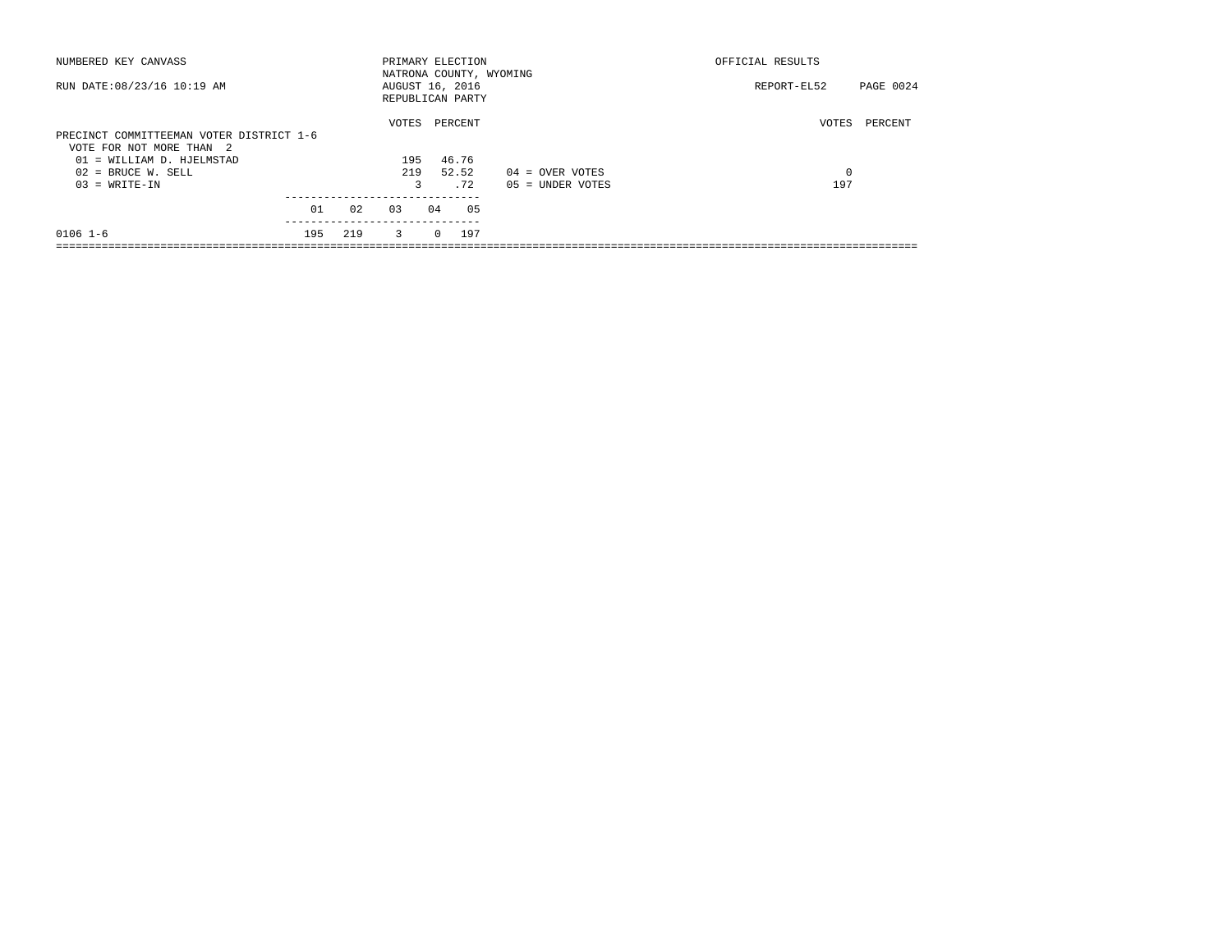| NUMBERED KEY CANVASS                     |            |                         | PRIMARY ELECTION                                               |                    | OFFICIAL RESULTS |           |
|------------------------------------------|------------|-------------------------|----------------------------------------------------------------|--------------------|------------------|-----------|
| RUN DATE: 08/23/16 10:19 AM              |            |                         | NATRONA COUNTY, WYOMING<br>AUGUST 16, 2016<br>REPUBLICAN PARTY |                    | REPORT-EL52      | PAGE 0024 |
|                                          |            | VOTES                   | PERCENT                                                        |                    | VOTES            | PERCENT   |
| PRECINCT COMMITTEEMAN VOTER DISTRICT 1-6 |            |                         |                                                                |                    |                  |           |
| VOTE FOR NOT MORE THAN 2                 |            |                         |                                                                |                    |                  |           |
| 01 = WILLIAM D. HJELMSTAD                |            | 195                     | 46.76                                                          |                    |                  |           |
| $02$ = BRUCE W. SELL                     |            | 219                     | 52.52                                                          | $04 =$ OVER VOTES  | 0                |           |
| $03 = WRITE-IN$                          |            | 3                       | .72                                                            | $05 = UNDER VOTES$ | 197              |           |
|                                          |            |                         |                                                                |                    |                  |           |
|                                          |            |                         |                                                                |                    |                  |           |
| $0106$ $1-6$                             | 219<br>195 | $\overline{\mathbf{3}}$ | 197<br>$\Omega$                                                |                    |                  |           |
|                                          | 01<br>02   | 03                      | 04<br>05                                                       |                    |                  |           |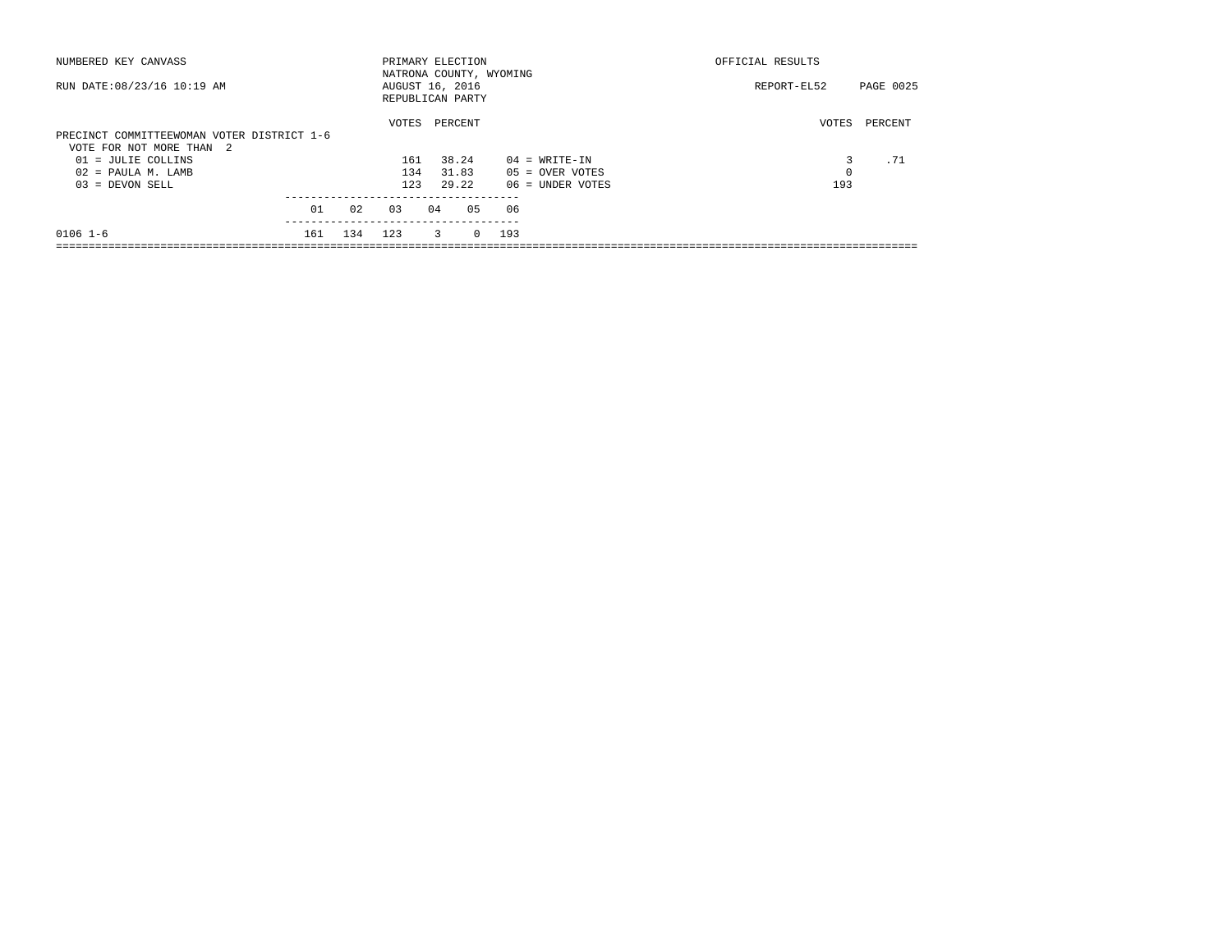| NUMBERED KEY CANVASS                       |     |     | PRIMARY ELECTION        |    |         |          |     |                    | OFFICIAL RESULTS |           |
|--------------------------------------------|-----|-----|-------------------------|----|---------|----------|-----|--------------------|------------------|-----------|
|                                            |     |     | NATRONA COUNTY, WYOMING |    |         |          |     |                    |                  |           |
| RUN DATE: 08/23/16 10:19 AM                |     |     | AUGUST 16, 2016         |    |         |          |     |                    | REPORT-EL52      | PAGE 0025 |
|                                            |     |     | REPUBLICAN PARTY        |    |         |          |     |                    |                  |           |
|                                            |     |     | VOTES                   |    | PERCENT |          |     |                    | VOTES            | PERCENT   |
| PRECINCT COMMITTEEWOMAN VOTER DISTRICT 1-6 |     |     |                         |    |         |          |     |                    |                  |           |
| VOTE FOR NOT MORE THAN 2                   |     |     |                         |    |         |          |     |                    |                  |           |
| 01 = JULIE COLLINS                         |     |     | 161                     |    | 38.24   |          |     | $04 = WRITE-IN$    |                  | .71       |
| $02$ = PAULA M. LAMB                       |     |     | 134                     |    | 31.83   |          |     | $05 =$ OVER VOTES  | 0                |           |
| $03 = DEVON SELL$                          |     |     | 123                     |    | 29.22   |          |     | $06$ = UNDER VOTES | 193              |           |
|                                            |     |     |                         |    |         |          |     |                    |                  |           |
|                                            | 01  | 02  | 03                      | 04 |         | 05       | 06  |                    |                  |           |
| $0106$ 1-6                                 | 161 | 134 | 123                     |    | 3       | $\Omega$ | 193 |                    |                  |           |
|                                            |     |     |                         |    |         |          |     |                    |                  |           |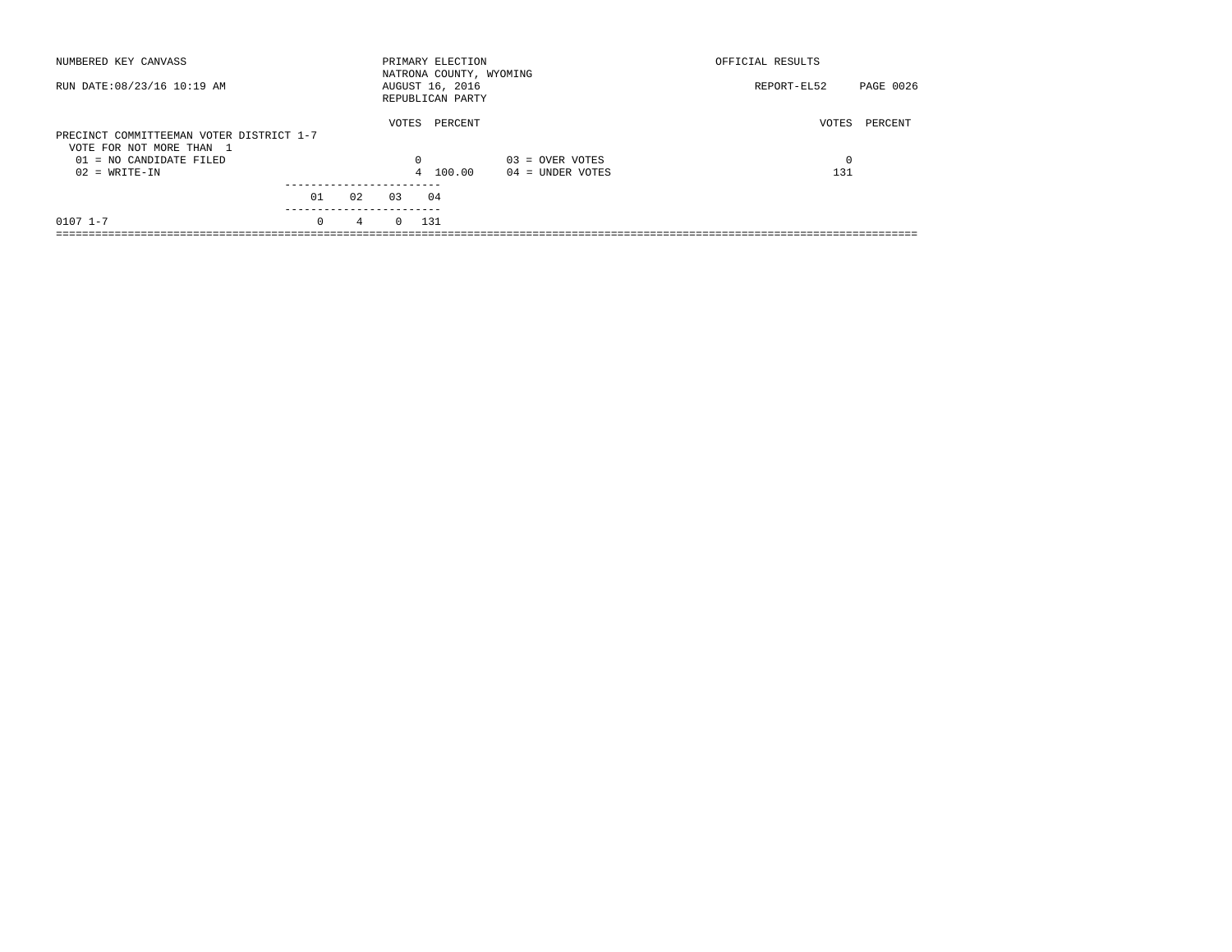| NUMBERED KEY CANVASS                                                 |            |                 |            | PRIMARY ELECTION<br>NATRONA COUNTY, WYOMING |                   | OFFICIAL RESULTS |           |
|----------------------------------------------------------------------|------------|-----------------|------------|---------------------------------------------|-------------------|------------------|-----------|
| RUN DATE: 08/23/16 10:19 AM                                          |            |                 |            | AUGUST 16, 2016<br>REPUBLICAN PARTY         |                   | REPORT-EL52      | PAGE 0026 |
| PRECINCT COMMITTEEMAN VOTER DISTRICT 1-7<br>VOTE FOR NOT MORE THAN 1 |            |                 | VOTES      | PERCENT                                     |                   | VOTES            | PERCENT   |
| $01 = NO$ CANDIDATE FILED                                            |            |                 | $\Omega$   |                                             | $03 =$ OVER VOTES | 0                |           |
| $02 = WRITE-IN$                                                      |            |                 |            | 4 100.00                                    | 04 = UNDER VOTES  | 131              |           |
|                                                                      | 01         | 02              | 0.3        | 04                                          |                   |                  |           |
|                                                                      | ---------- |                 |            |                                             |                   |                  |           |
| $0107$ $1-7$                                                         | $\Omega$   | $4\overline{ }$ | $0 \t 131$ |                                             |                   |                  |           |
|                                                                      |            |                 |            |                                             |                   |                  |           |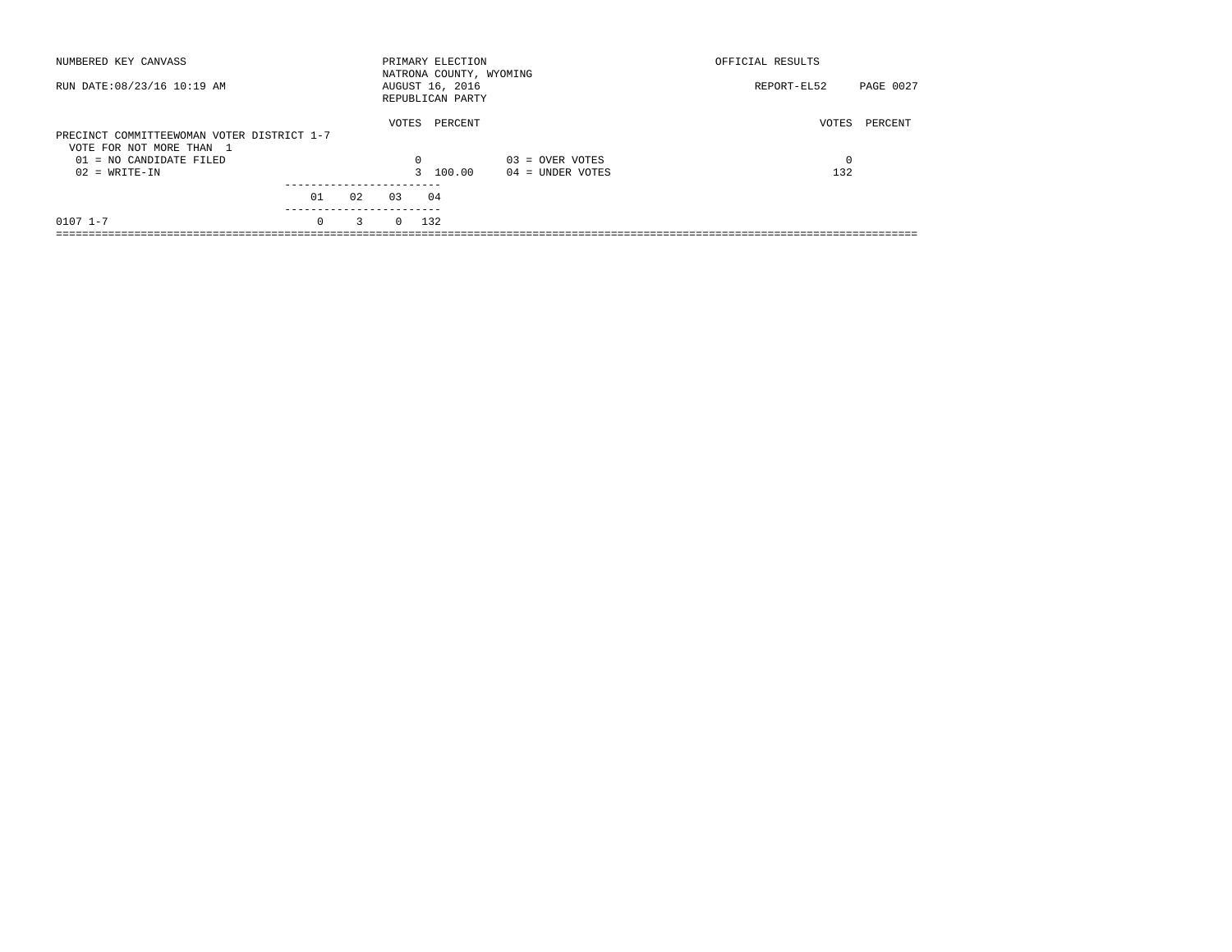| NUMBERED KEY CANVASS                                                   |                  |    |            | PRIMARY ELECTION<br>NATRONA COUNTY, WYOMING |                    | OFFICIAL RESULTS |           |
|------------------------------------------------------------------------|------------------|----|------------|---------------------------------------------|--------------------|------------------|-----------|
| RUN DATE: 08/23/16 10:19 AM                                            |                  |    |            | AUGUST 16, 2016<br>REPUBLICAN PARTY         |                    | REPORT-EL52      | PAGE 0027 |
| PRECINCT COMMITTEEWOMAN VOTER DISTRICT 1-7<br>VOTE FOR NOT MORE THAN 1 |                  |    | VOTES      | PERCENT                                     |                    | VOTES            | PERCENT   |
| $01 = NO$ CANDIDATE FILED                                              |                  |    | $\Omega$   |                                             | $03 =$ OVER VOTES  | 0                |           |
| $02 = WRITE-IN$                                                        |                  |    |            | 3 100.00                                    | $04 =$ UNDER VOTES | 132              |           |
|                                                                        |                  |    |            |                                             |                    |                  |           |
|                                                                        | 01<br>---------- | 02 | 0.3        | 04                                          |                    |                  |           |
| $0107$ $1-7$                                                           | $\Omega$         | 3  | $0 \t 132$ |                                             |                    |                  |           |
|                                                                        |                  |    |            |                                             |                    |                  |           |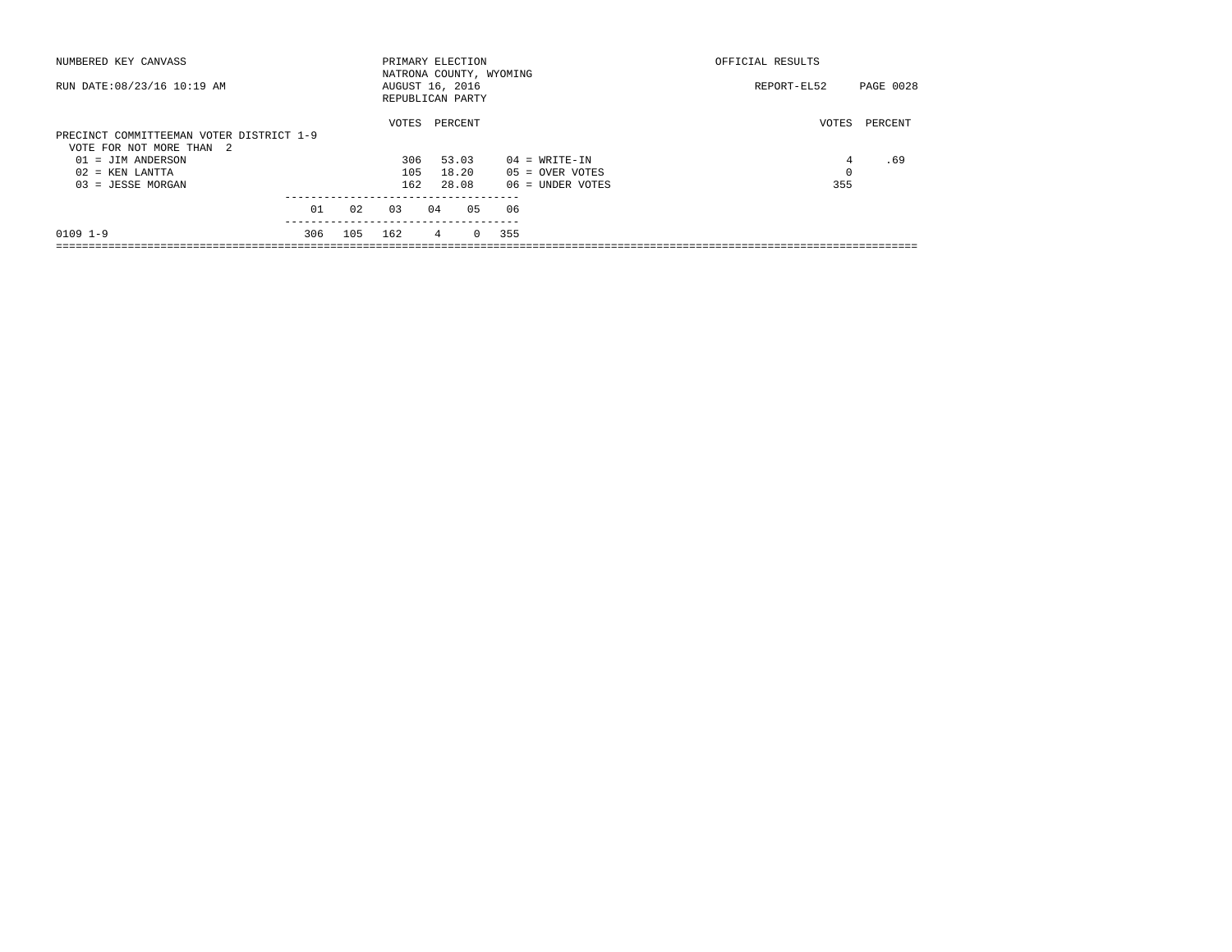| NUMBERED KEY CANVASS                     |     |     | PRIMARY ELECTION        |    |         |         |     |                    | OFFICIAL RESULTS |           |
|------------------------------------------|-----|-----|-------------------------|----|---------|---------|-----|--------------------|------------------|-----------|
|                                          |     |     | NATRONA COUNTY, WYOMING |    |         |         |     |                    |                  |           |
| RUN DATE: 08/23/16 10:19 AM              |     |     | AUGUST 16, 2016         |    |         |         |     |                    | REPORT-EL52      | PAGE 0028 |
|                                          |     |     | REPUBLICAN PARTY        |    |         |         |     |                    |                  |           |
|                                          |     |     | VOTES                   |    | PERCENT |         |     |                    | VOTES            | PERCENT   |
| PRECINCT COMMITTEEMAN VOTER DISTRICT 1-9 |     |     |                         |    |         |         |     |                    |                  |           |
| VOTE FOR NOT MORE THAN 2                 |     |     |                         |    |         |         |     |                    |                  |           |
| $01 = JIM ANDERSON$                      |     |     | 306                     |    | 53.03   |         |     | $04 = WRITE-IN$    | 4                | .69       |
| $02$ = KEN LANTTA                        |     |     | 105                     |    | 18.20   |         |     | $05 =$ OVER VOTES  | 0                |           |
| $03 = JESSE MORGAN$                      |     |     | 162                     |    | 28.08   |         |     | $06$ = UNDER VOTES | 355              |           |
|                                          |     |     |                         |    |         |         |     |                    |                  |           |
|                                          | 01  | 02  | 03                      | 04 |         | 05      | 06  |                    |                  |           |
| $0109$ $1-9$                             | 306 | 105 | 162                     |    | 4       | $\circ$ | 355 |                    |                  |           |
|                                          |     |     |                         |    |         |         |     |                    |                  |           |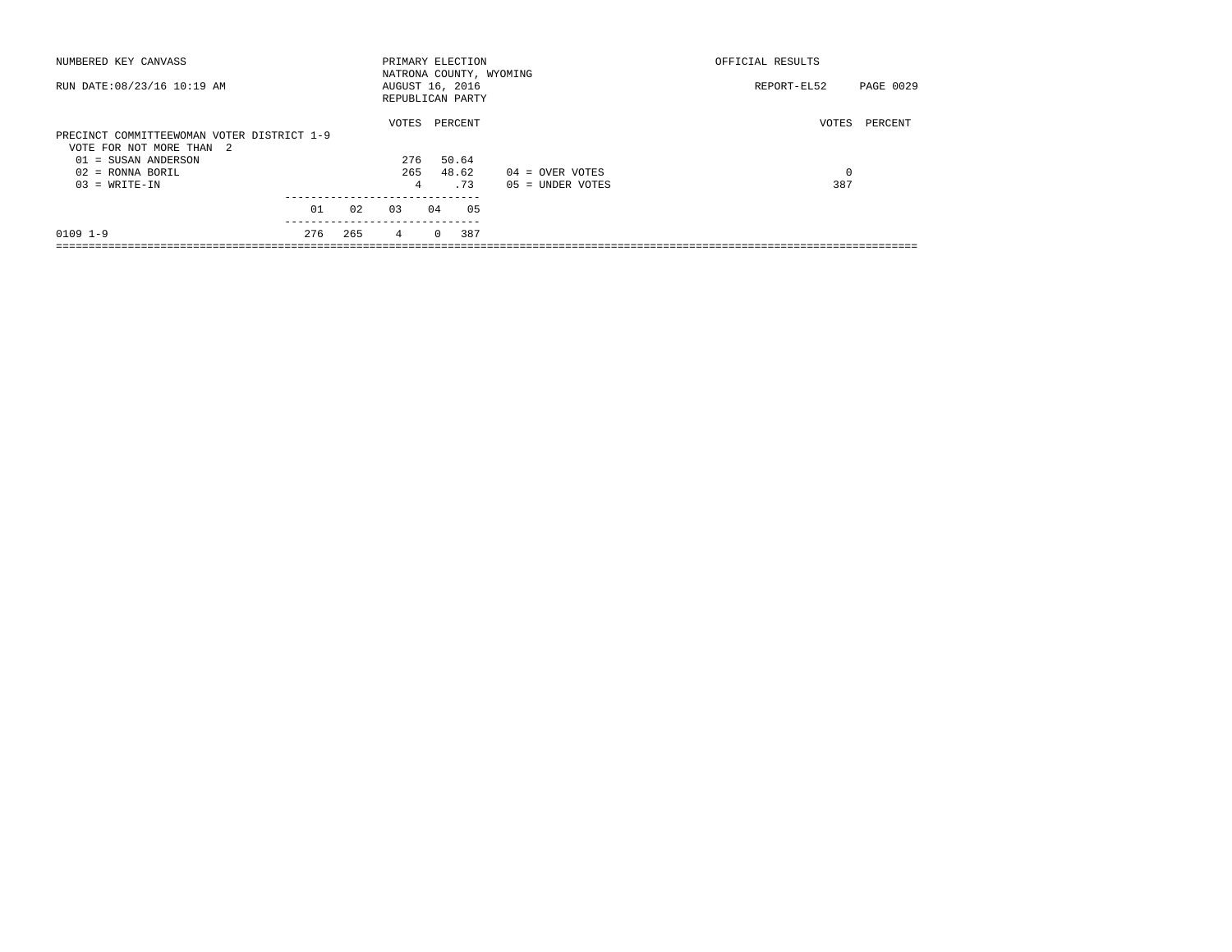| NUMBERED KEY CANVASS                       |     |     | PRIMARY ELECTION        |          |         |    |                    | OFFICIAL RESULTS |           |  |
|--------------------------------------------|-----|-----|-------------------------|----------|---------|----|--------------------|------------------|-----------|--|
|                                            |     |     | NATRONA COUNTY, WYOMING |          |         |    |                    |                  |           |  |
| RUN DATE: 08/23/16 10:19 AM                |     |     | AUGUST 16, 2016         |          |         |    |                    | REPORT-EL52      | PAGE 0029 |  |
|                                            |     |     | REPUBLICAN PARTY        |          |         |    |                    |                  |           |  |
|                                            |     |     | VOTES                   |          | PERCENT |    |                    | VOTES            | PERCENT   |  |
| PRECINCT COMMITTEEWOMAN VOTER DISTRICT 1-9 |     |     |                         |          |         |    |                    |                  |           |  |
| VOTE FOR NOT MORE THAN 2                   |     |     |                         |          |         |    |                    |                  |           |  |
| 01 = SUSAN ANDERSON                        |     |     | 276                     |          | 50.64   |    |                    |                  |           |  |
| $02$ = RONNA BORIL                         |     |     | 265                     |          | 48.62   |    | $04 =$ OVER VOTES  | 0                |           |  |
| $03 = WRITE-IN$                            |     |     | 4                       |          | . 73    |    | $05 = UNDER VOTES$ | 387              |           |  |
|                                            |     |     |                         |          |         |    |                    |                  |           |  |
|                                            | 01  | 02  | 0.3                     | 04       |         | 05 |                    |                  |           |  |
| $0109$ $1-9$                               | 276 | 265 | 4                       | $\Omega$ | 387     |    |                    |                  |           |  |
|                                            |     |     |                         |          |         |    |                    |                  |           |  |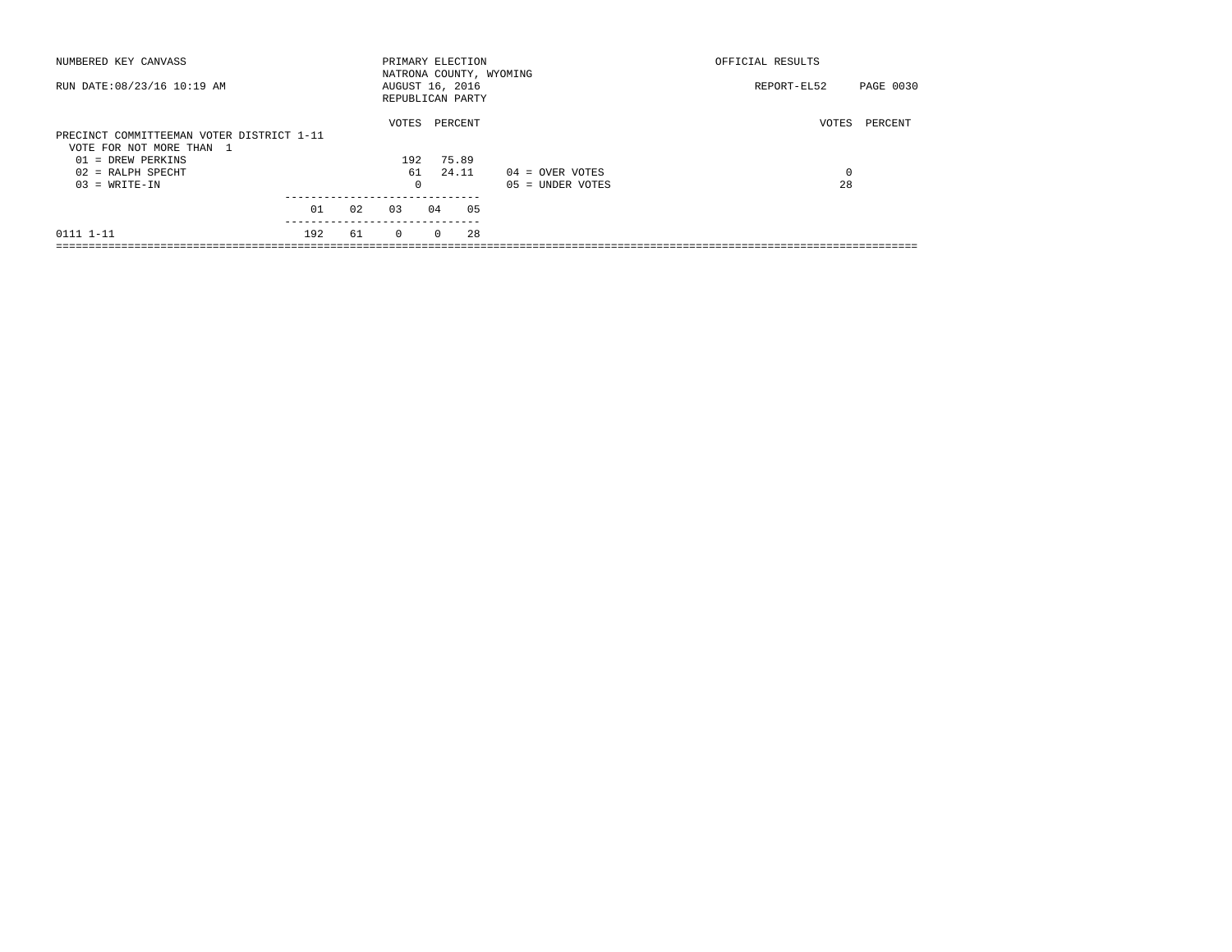| NUMBERED KEY CANVASS                      |     |    |          |          | PRIMARY ELECTION<br>NATRONA COUNTY, WYOMING |                    | OFFICIAL RESULTS |           |
|-------------------------------------------|-----|----|----------|----------|---------------------------------------------|--------------------|------------------|-----------|
| RUN DATE: 08/23/16 10:19 AM               |     |    |          |          | AUGUST 16, 2016<br>REPUBLICAN PARTY         |                    | REPORT-EL52      | PAGE 0030 |
|                                           |     |    | VOTES    |          | PERCENT                                     |                    | VOTES            | PERCENT   |
| PRECINCT COMMITTEEMAN VOTER DISTRICT 1-11 |     |    |          |          |                                             |                    |                  |           |
| VOTE FOR NOT MORE THAN 1                  |     |    |          |          |                                             |                    |                  |           |
| $01 = DREN$ PERKINS                       |     |    | 192      |          | 75.89                                       |                    |                  |           |
| $02$ = RALPH SPECHT                       |     |    | 61       |          | 24.11                                       | $04 =$ OVER VOTES  | 0                |           |
| $03 = WRITE-IN$                           |     |    | 0        |          |                                             | $05 =$ UNDER VOTES | 28               |           |
|                                           | 01  | 02 | 0.3      | 04       | 05                                          |                    |                  |           |
|                                           |     |    |          |          |                                             |                    |                  |           |
| 0111 1-11                                 | 192 | 61 | $\Omega$ | $\Omega$ | 28                                          |                    |                  |           |
|                                           |     |    |          |          |                                             |                    |                  |           |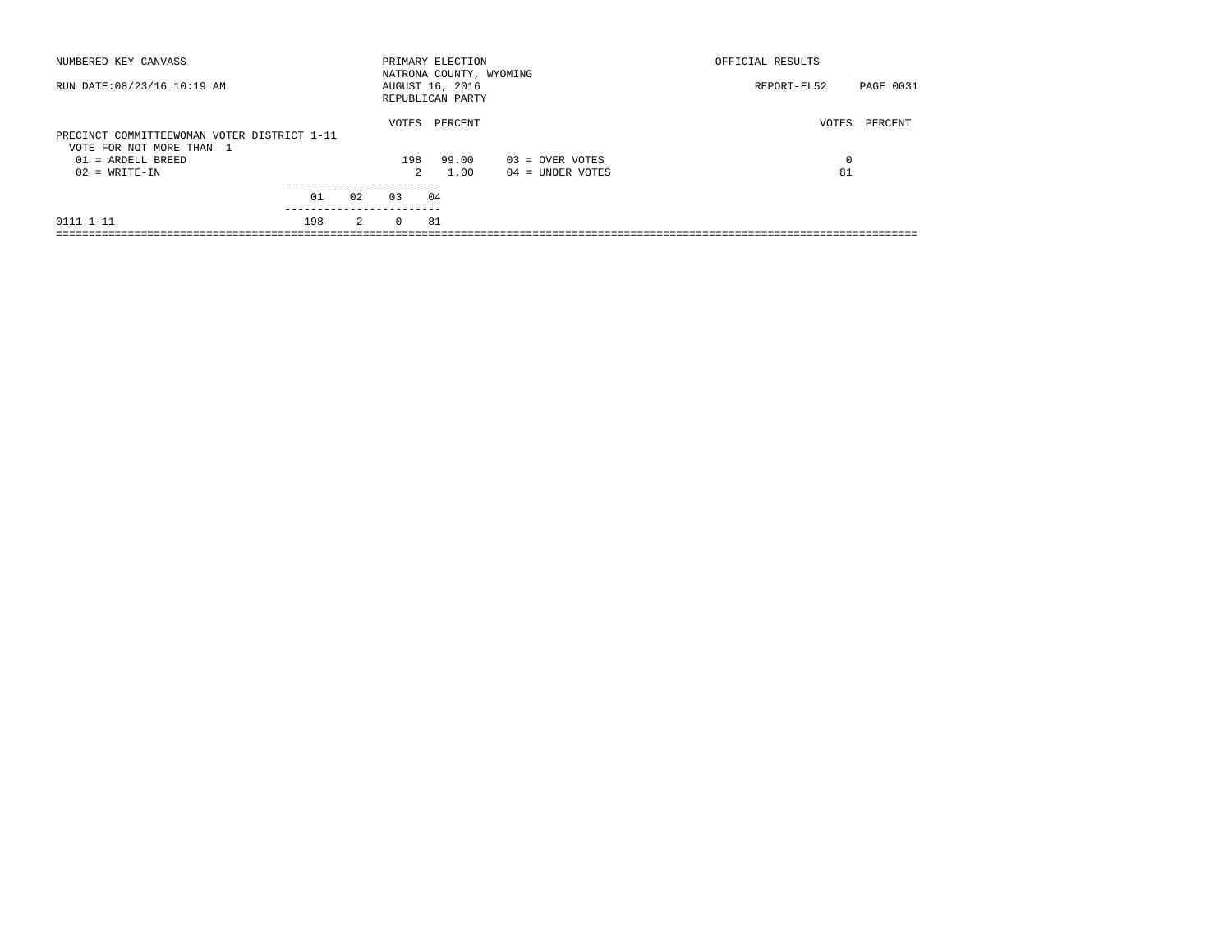| NUMBERED KEY CANVASS                                                    |     |    |          | PRIMARY ELECTION<br>NATRONA COUNTY, WYOMING |                    | OFFICIAL RESULTS |           |
|-------------------------------------------------------------------------|-----|----|----------|---------------------------------------------|--------------------|------------------|-----------|
| RUN DATE: 08/23/16 10:19 AM                                             |     |    |          | AUGUST 16, 2016<br>REPUBLICAN PARTY         |                    | REPORT-EL52      | PAGE 0031 |
| PRECINCT COMMITTEEWOMAN VOTER DISTRICT 1-11<br>VOTE FOR NOT MORE THAN 1 |     |    | VOTES    | PERCENT                                     |                    | VOTES            | PERCENT   |
| $01 = ARDELL BREED$                                                     |     |    | 198      | 99.00                                       | $03 =$ OVER VOTES  | $\Omega$         |           |
| $02 = WRITE-IN$                                                         |     |    | 2        | 1.00                                        | $04 =$ UNDER VOTES | 81               |           |
|                                                                         | 01  | 02 | 0.3      | 04                                          |                    |                  |           |
| 0111 1-11                                                               | 198 | 2  | $\Omega$ | 81                                          |                    |                  |           |
|                                                                         |     |    |          |                                             |                    |                  |           |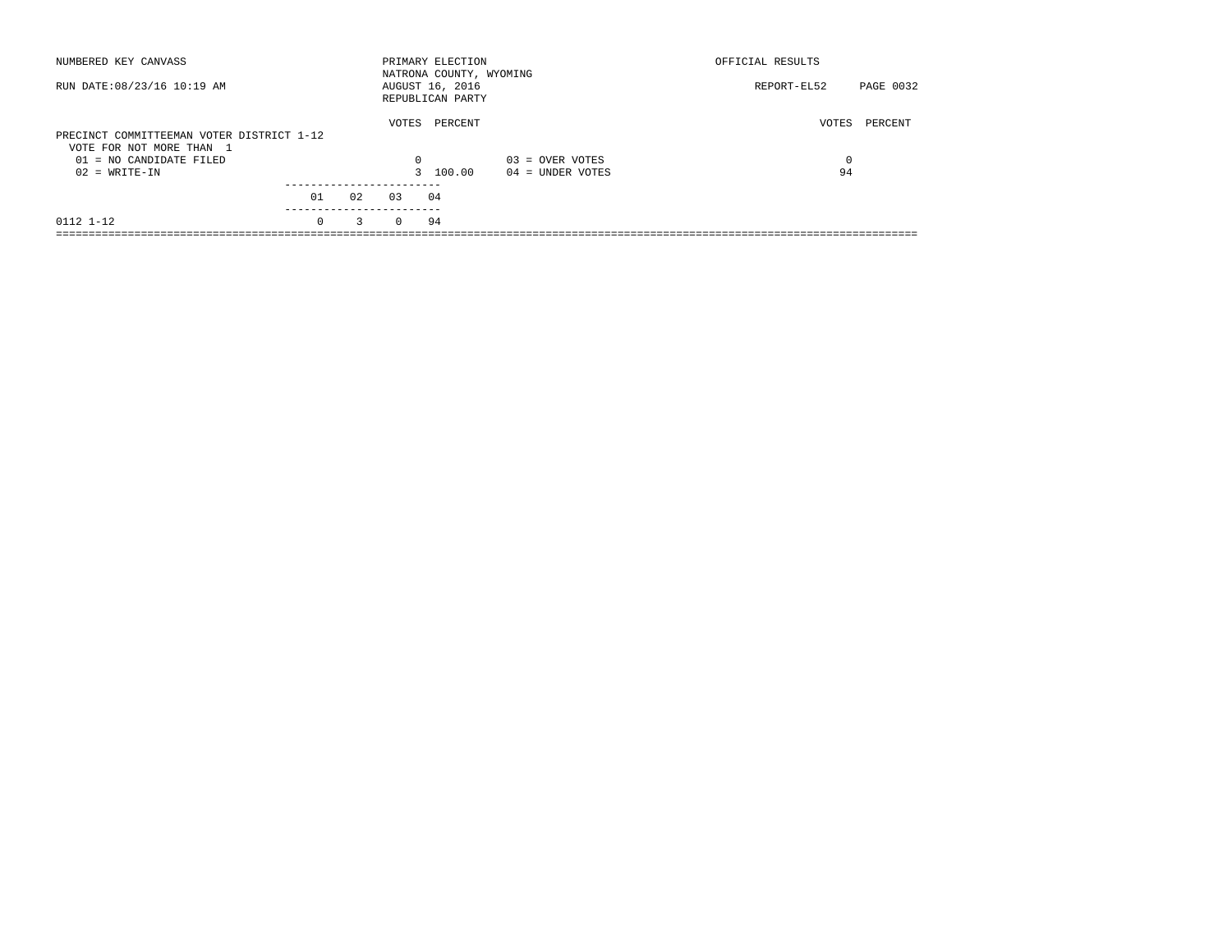| NUMBERED KEY CANVASS                                                  |          |    |          | PRIMARY ELECTION<br>NATRONA COUNTY, WYOMING |                    | OFFICIAL RESULTS         |
|-----------------------------------------------------------------------|----------|----|----------|---------------------------------------------|--------------------|--------------------------|
| RUN DATE: 08/23/16 10:19 AM                                           |          |    |          | AUGUST 16, 2016<br>REPUBLICAN PARTY         |                    | PAGE 0032<br>REPORT-EL52 |
| PRECINCT COMMITTEEMAN VOTER DISTRICT 1-12<br>VOTE FOR NOT MORE THAN 1 |          |    | VOTES    | PERCENT                                     |                    | VOTES<br>PERCENT         |
| $01 = NO CANDIDATE FILED$                                             |          |    | 0        |                                             | $03 =$ OVER VOTES  | 0                        |
| $02 = WRITE-IN$                                                       |          |    |          | 3 100.00                                    | $04 =$ UNDER VOTES | 94                       |
|                                                                       |          |    |          |                                             |                    |                          |
|                                                                       | 01       | 02 | 0.3      | 04                                          |                    |                          |
| 0112 1-12                                                             | $\Omega$ | 3  | $\Omega$ | 94                                          |                    |                          |
|                                                                       |          |    |          |                                             |                    |                          |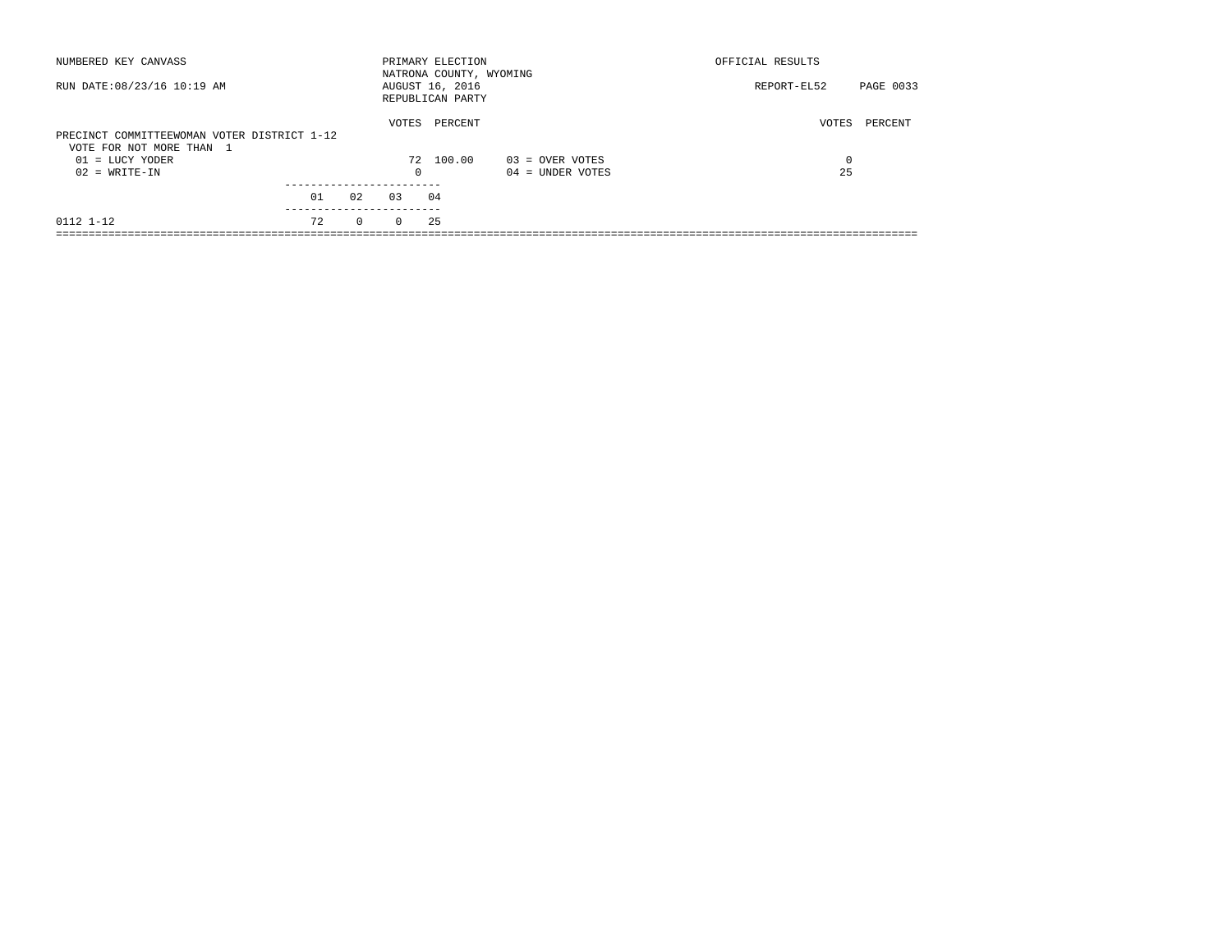| NUMBERED KEY CANVASS                                                    |    |              |          | PRIMARY ELECTION<br>NATRONA COUNTY, WYOMING |                   | OFFICIAL RESULTS |           |
|-------------------------------------------------------------------------|----|--------------|----------|---------------------------------------------|-------------------|------------------|-----------|
| RUN DATE: 08/23/16 10:19 AM                                             |    |              |          | AUGUST 16, 2016<br>REPUBLICAN PARTY         |                   | REPORT-EL52      | PAGE 0033 |
| PRECINCT COMMITTEEWOMAN VOTER DISTRICT 1-12<br>VOTE FOR NOT MORE THAN 1 |    |              | VOTES    | PERCENT                                     |                   | VOTES            | PERCENT   |
| $01 = LUCY YODER$                                                       |    |              |          | 72 100.00                                   | $03 =$ OVER VOTES | 0                |           |
| $02 = WRITE-IN$                                                         |    |              | 0        |                                             | 04 = UNDER VOTES  | 25               |           |
|                                                                         | 01 | 02           | 03       | 04                                          |                   |                  |           |
| 0112 1-12                                                               | 72 | $\mathbf{0}$ | $\Omega$ | 25                                          |                   |                  |           |
|                                                                         |    |              |          |                                             |                   |                  |           |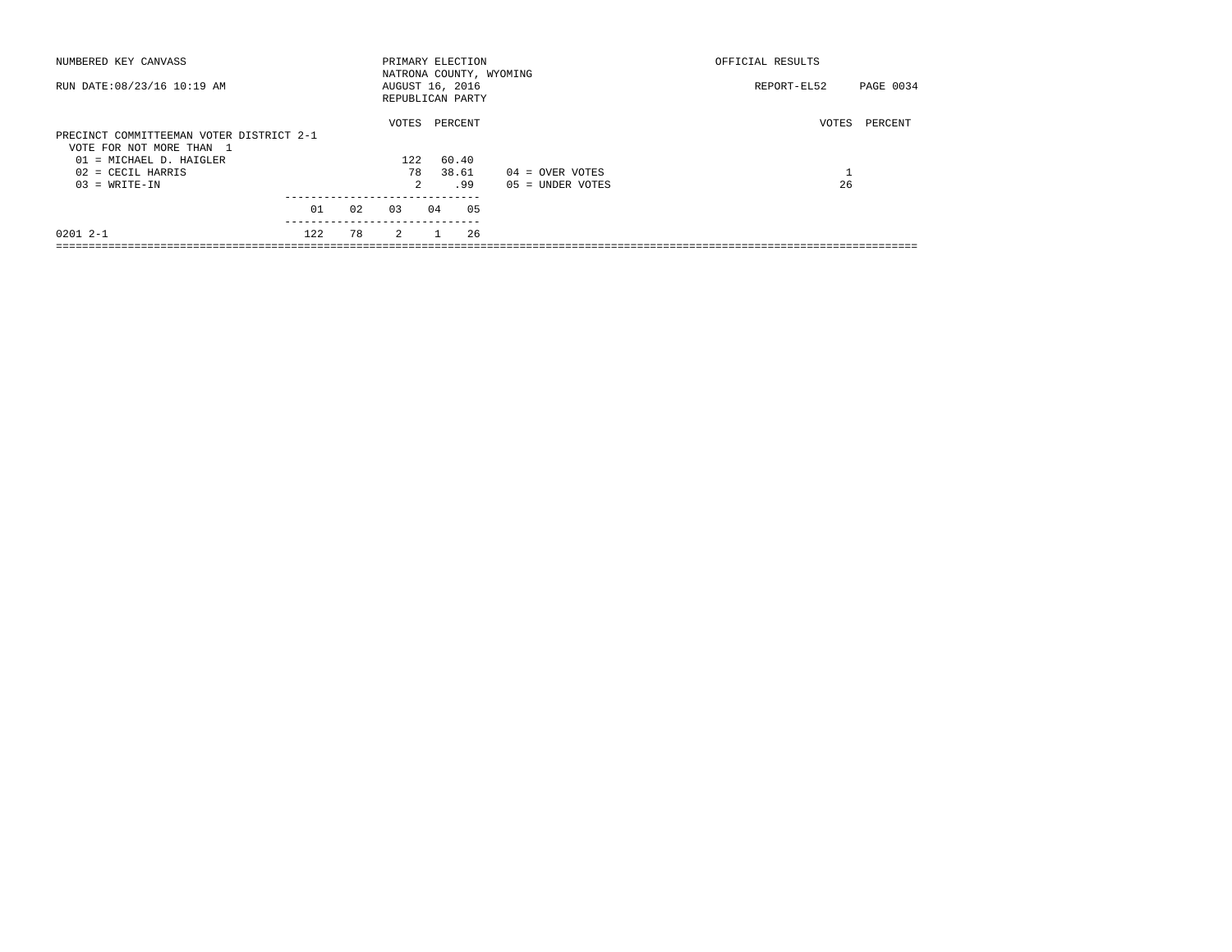| NUMBERED KEY CANVASS                                                 |     |    |                 |    | PRIMARY ELECTION                            |                    | OFFICIAL RESULTS   |           |
|----------------------------------------------------------------------|-----|----|-----------------|----|---------------------------------------------|--------------------|--------------------|-----------|
| RUN DATE: 08/23/16 10:19 AM                                          |     |    | AUGUST 16, 2016 |    | NATRONA COUNTY, WYOMING<br>REPUBLICAN PARTY |                    | REPORT-EL52        | PAGE 0034 |
|                                                                      |     |    | VOTES           |    | PERCENT                                     |                    | VOTES              | PERCENT   |
| PRECINCT COMMITTEEMAN VOTER DISTRICT 2-1<br>VOTE FOR NOT MORE THAN 1 |     |    |                 |    |                                             |                    |                    |           |
| 01 = MICHAEL D. HAIGLER                                              |     |    | 122             |    | 60.40                                       |                    |                    |           |
| $02$ = CECIL HARRIS                                                  |     |    | 78              |    | 38.61                                       | $04 =$ OVER VOTES  | $\mathbf{r}$<br>÷. |           |
| $03 = WRITE-IN$                                                      |     |    | $\mathcal{L}$   |    | .99                                         | $05 = UNDER VOTES$ | 26                 |           |
|                                                                      | 01  | 02 | 0.3             | 04 | 05                                          |                    |                    |           |
| $02012 - -1$                                                         | 122 | 78 | $\overline{2}$  |    | 26                                          |                    |                    |           |
|                                                                      |     |    |                 |    |                                             |                    |                    |           |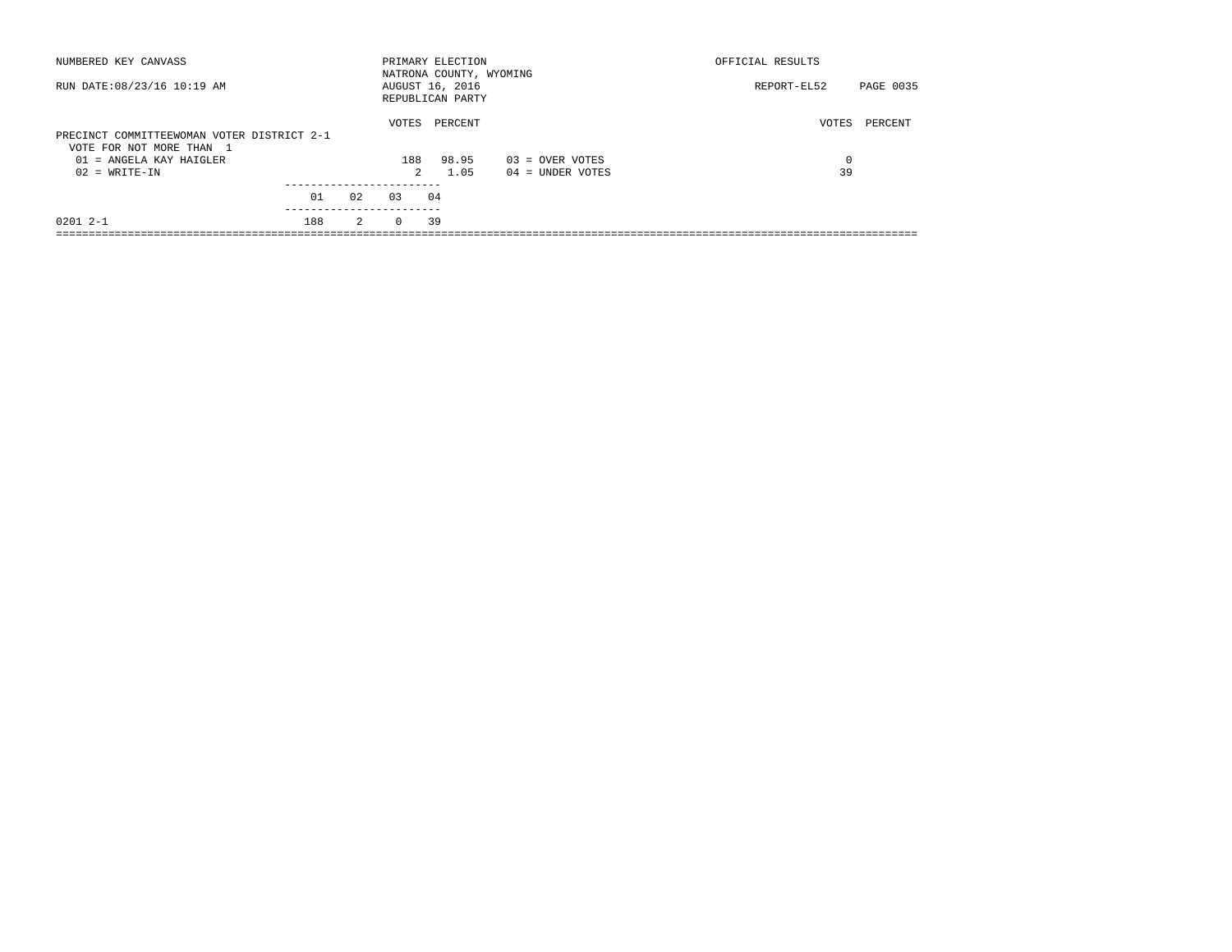| NUMBERED KEY CANVASS                                                   |     |    |          | PRIMARY ELECTION                                               |                    | OFFICIAL RESULTS |           |
|------------------------------------------------------------------------|-----|----|----------|----------------------------------------------------------------|--------------------|------------------|-----------|
| RUN DATE: 08/23/16 10:19 AM                                            |     |    |          | NATRONA COUNTY, WYOMING<br>AUGUST 16, 2016<br>REPUBLICAN PARTY |                    | REPORT-EL52      | PAGE 0035 |
| PRECINCT COMMITTEEWOMAN VOTER DISTRICT 2-1<br>VOTE FOR NOT MORE THAN 1 |     |    | VOTES    | PERCENT                                                        |                    | VOTES            | PERCENT   |
| $01$ = ANGELA KAY HAIGLER                                              |     |    | 188      | 98.95                                                          | $03 =$ OVER VOTES  | 0                |           |
| $02 = WRITE-IN$                                                        |     |    | 2        | 1.05                                                           | $04 =$ UNDER VOTES | 39               |           |
|                                                                        | 01  | 02 | 0.3      | 04                                                             |                    |                  |           |
| $02012 - -1$                                                           | 188 | 2  | $\Omega$ | 39                                                             |                    |                  |           |
|                                                                        |     |    |          |                                                                |                    |                  |           |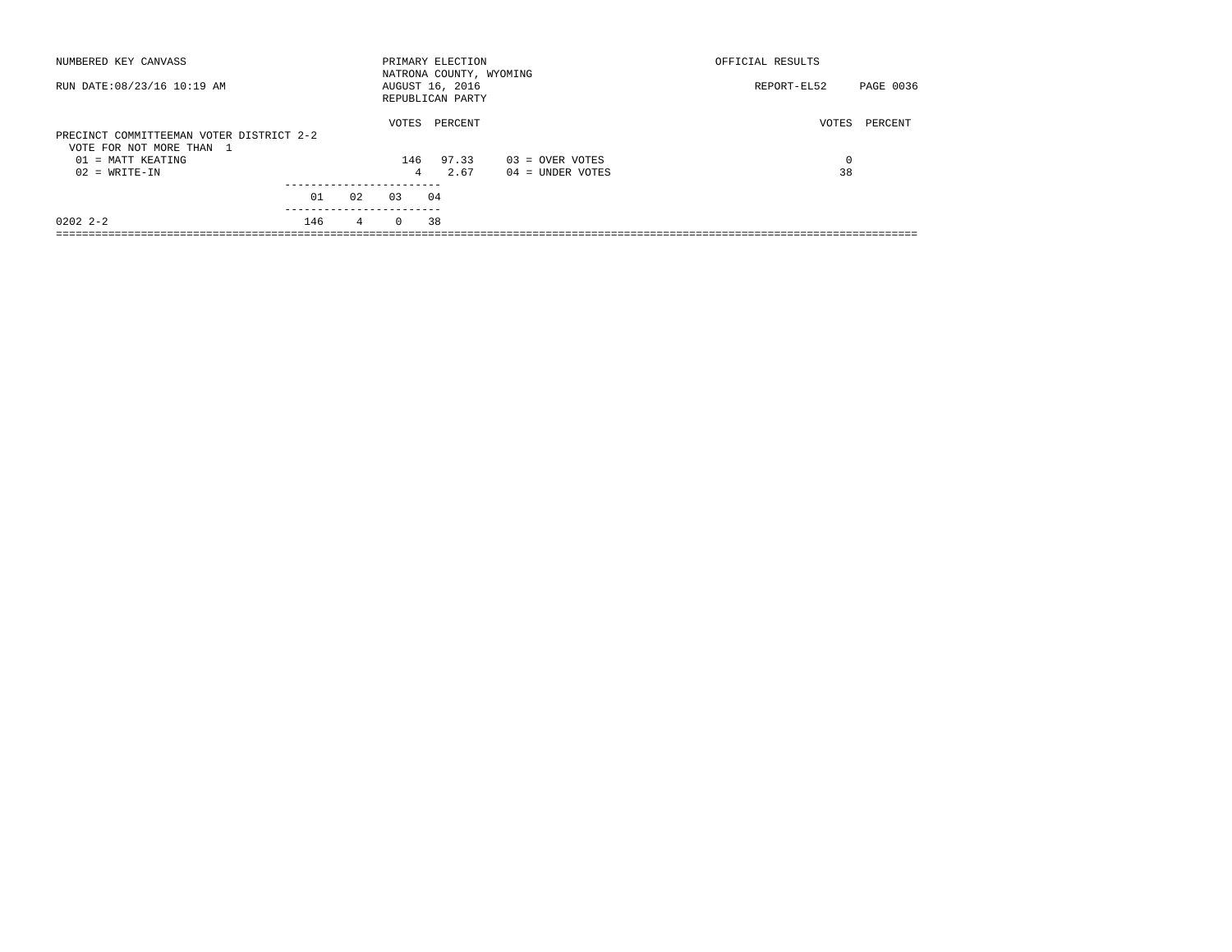| NUMBERED KEY CANVASS                                                 |     |    |          | PRIMARY ELECTION<br>NATRONA COUNTY, WYOMING |                    | OFFICIAL RESULTS         |
|----------------------------------------------------------------------|-----|----|----------|---------------------------------------------|--------------------|--------------------------|
| RUN DATE: 08/23/16 10:19 AM                                          |     |    |          | AUGUST 16, 2016<br>REPUBLICAN PARTY         |                    | PAGE 0036<br>REPORT-EL52 |
| PRECINCT COMMITTEEMAN VOTER DISTRICT 2-2<br>VOTE FOR NOT MORE THAN 1 |     |    | VOTES    | PERCENT                                     |                    | VOTES<br>PERCENT         |
| 01 = MATT KEATING                                                    |     |    | 146      | 97.33                                       | $03 =$ OVER VOTES  | $\Omega$                 |
| $02 = WRITE-IN$                                                      |     |    | 4        | 2.67                                        | $04 =$ UNDER VOTES | 38                       |
|                                                                      |     |    |          |                                             |                    |                          |
|                                                                      | 01  | 02 | 0.3      | 04                                          |                    |                          |
| $02022 - 2 - 2$                                                      | 146 | 4  | $\Omega$ | 38                                          |                    |                          |
|                                                                      |     |    |          |                                             |                    |                          |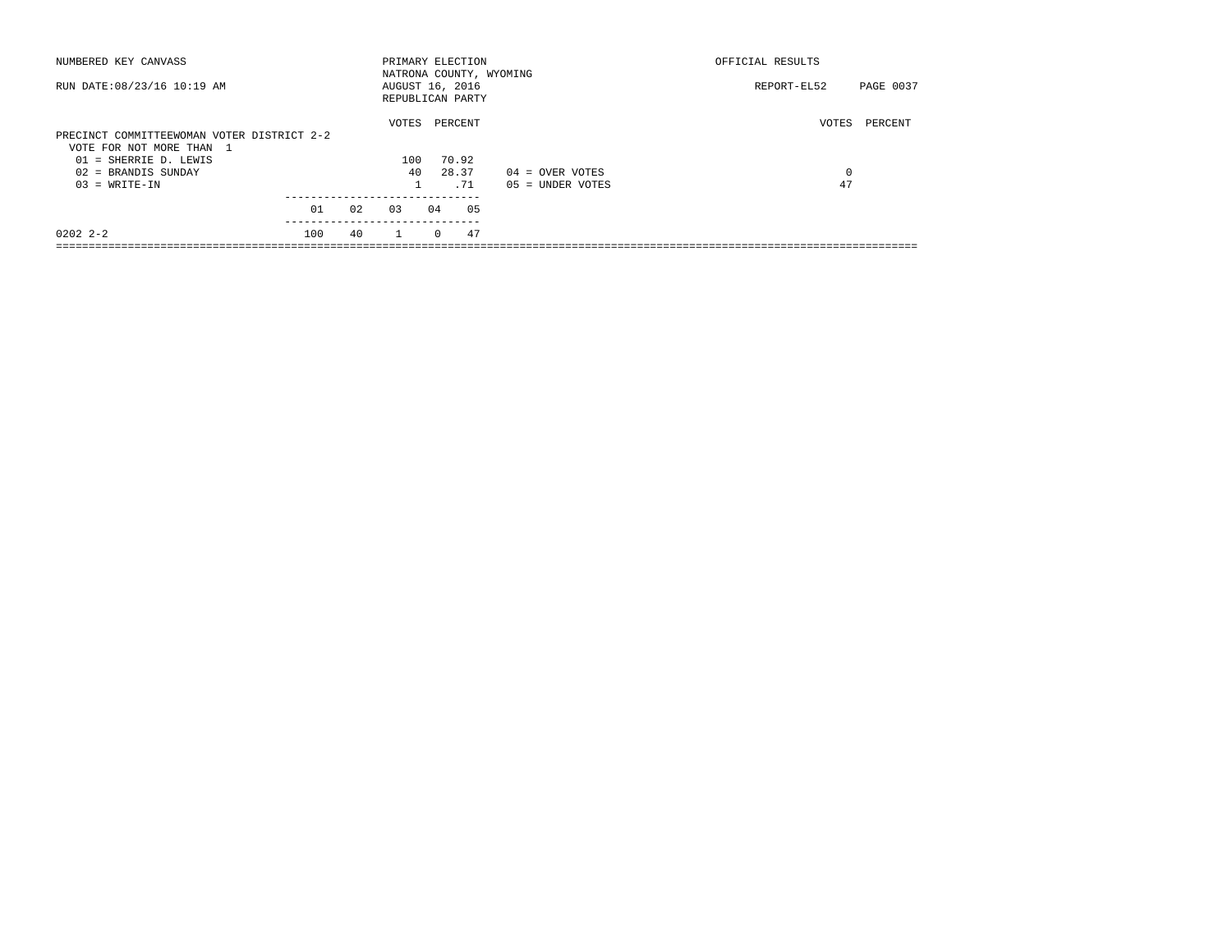| NUMBERED KEY CANVASS                       |     |    |              |          | PRIMARY ELECTION                    | NATRONA COUNTY, WYOMING | OFFICIAL RESULTS         |         |  |  |  |  |
|--------------------------------------------|-----|----|--------------|----------|-------------------------------------|-------------------------|--------------------------|---------|--|--|--|--|
| RUN DATE: 08/23/16 10:19 AM                |     |    |              |          | AUGUST 16, 2016<br>REPUBLICAN PARTY |                         | PAGE 0037<br>REPORT-EL52 |         |  |  |  |  |
|                                            |     |    | VOTES        |          | PERCENT                             |                         | VOTES                    | PERCENT |  |  |  |  |
| PRECINCT COMMITTEEWOMAN VOTER DISTRICT 2-2 |     |    |              |          |                                     |                         |                          |         |  |  |  |  |
| VOTE FOR NOT MORE THAN 1                   |     |    |              |          |                                     |                         |                          |         |  |  |  |  |
| 01 = SHERRIE D. LEWIS                      |     |    | 100          |          | 70.92                               |                         |                          |         |  |  |  |  |
| $02$ = BRANDIS SUNDAY                      |     |    | 40           |          | 28.37                               | $04 =$ OVER VOTES       | 0                        |         |  |  |  |  |
| $03 = WRITE-IN$                            |     |    |              |          | .71                                 | $05 = UNDER VOTES$      | 47                       |         |  |  |  |  |
|                                            |     |    |              |          |                                     |                         |                          |         |  |  |  |  |
|                                            | 01  | 02 | 03           | 04       | 05                                  |                         |                          |         |  |  |  |  |
| $02022 - 2 - 2$                            | 100 | 40 | $\mathbf{1}$ | $\Omega$ | 47                                  |                         |                          |         |  |  |  |  |
|                                            |     |    |              |          |                                     |                         |                          |         |  |  |  |  |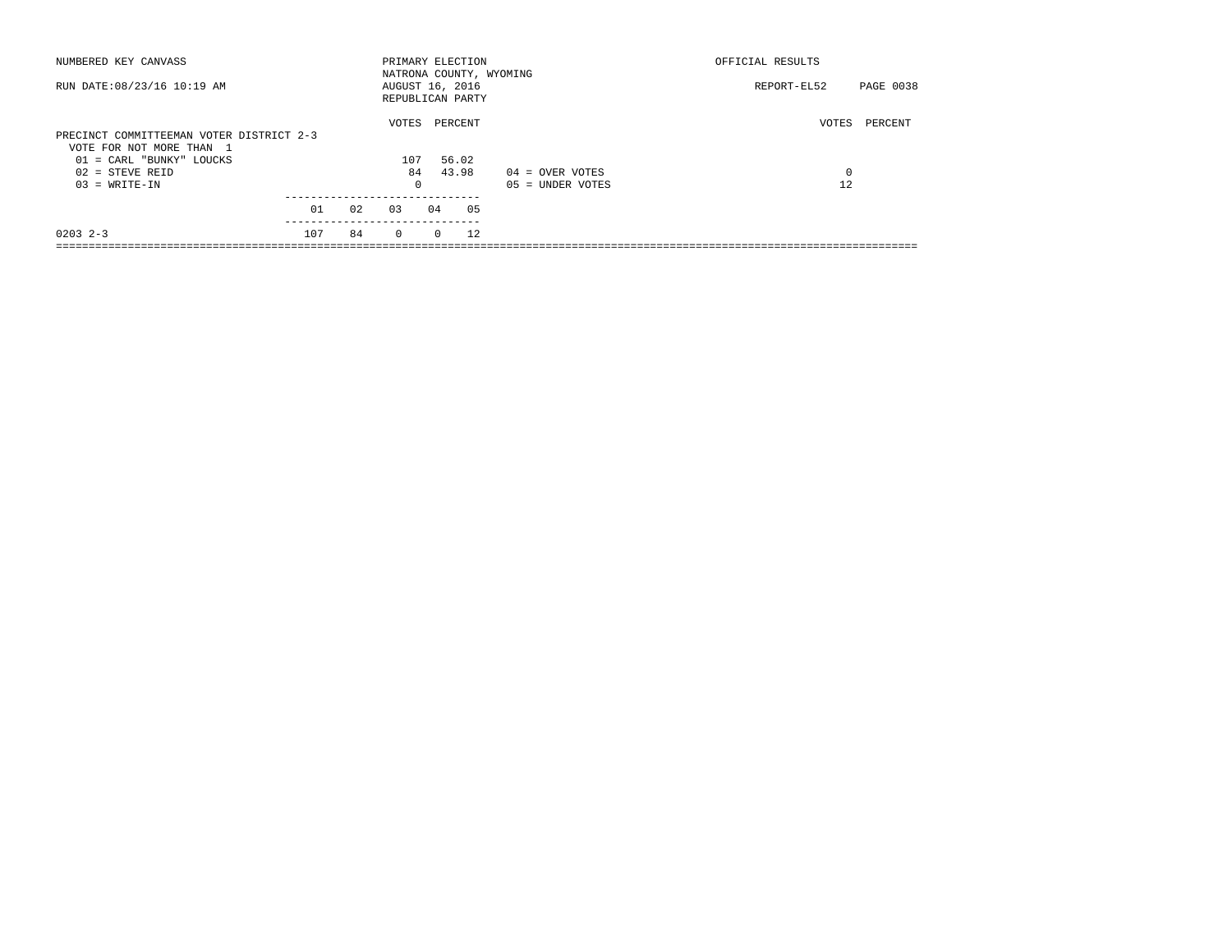| NUMBERED KEY CANVASS                                                                             |     |    |          | OFFICIAL RESULTS<br>PRIMARY ELECTION<br>NATRONA COUNTY, WYOMING |                                     |                    |             |           |  |
|--------------------------------------------------------------------------------------------------|-----|----|----------|-----------------------------------------------------------------|-------------------------------------|--------------------|-------------|-----------|--|
| RUN DATE: 08/23/16 10:19 AM                                                                      |     |    |          |                                                                 | AUGUST 16, 2016<br>REPUBLICAN PARTY |                    | REPORT-EL52 | PAGE 0038 |  |
|                                                                                                  |     |    | VOTES    |                                                                 | PERCENT                             |                    | VOTES       | PERCENT   |  |
| PRECINCT COMMITTEEMAN VOTER DISTRICT 2-3<br>VOTE FOR NOT MORE THAN 1<br>01 = CARL "BUNKY" LOUCKS |     |    | 107      |                                                                 | 56.02                               |                    |             |           |  |
| $02 =$ STEVE REID                                                                                |     |    | 84       |                                                                 | 43.98                               | $04 =$ OVER VOTES  | 0           |           |  |
| $03 = WRITE-IN$                                                                                  |     |    | $\Omega$ |                                                                 |                                     | $05 =$ UNDER VOTES | 12          |           |  |
|                                                                                                  | 01  | 02 | 03       | 04                                                              | 05                                  |                    |             |           |  |
| $0203$ $2-3$                                                                                     | 107 | 84 | $\Omega$ | $\Omega$                                                        | 12                                  |                    |             |           |  |
|                                                                                                  |     |    |          |                                                                 |                                     |                    |             |           |  |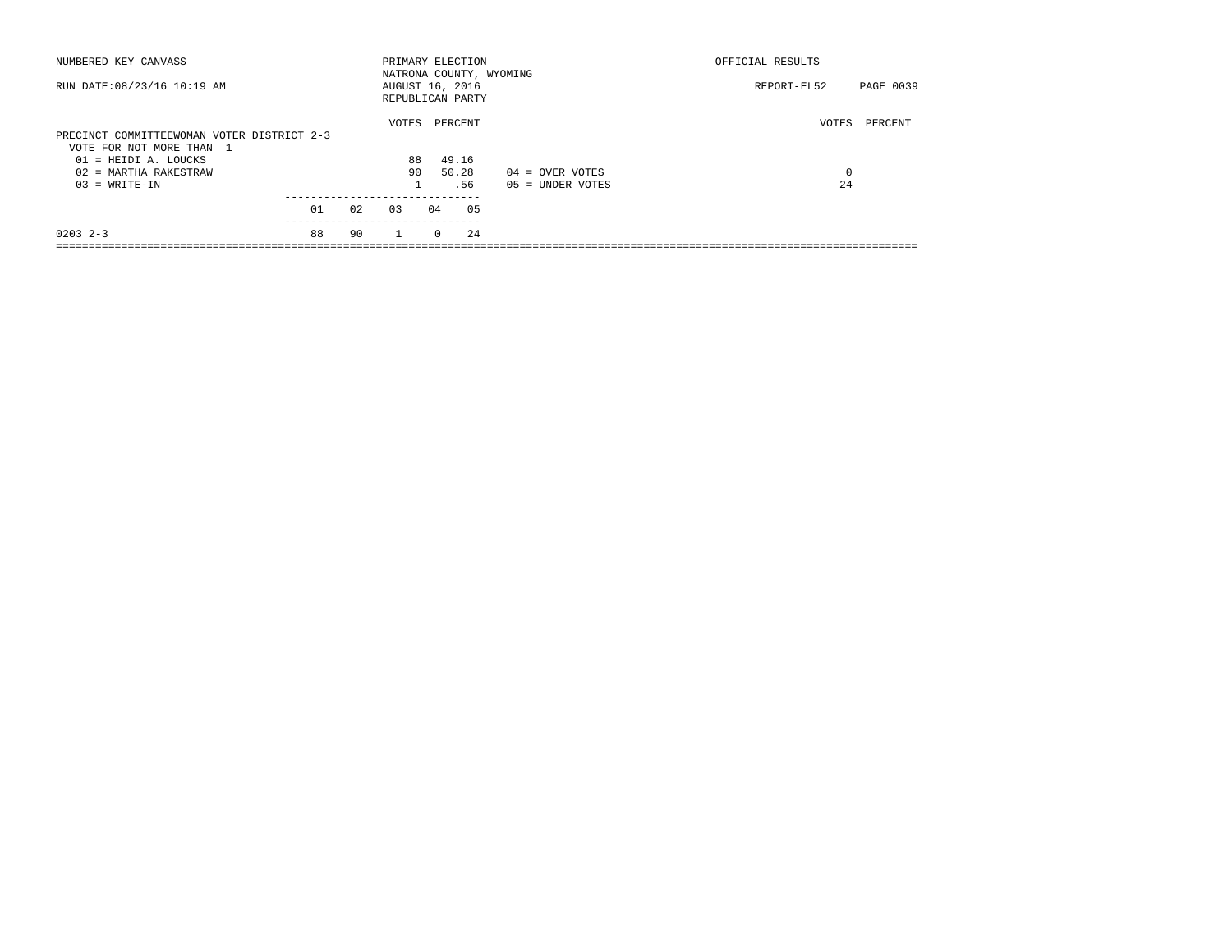| NUMBERED KEY CANVASS                       |    |    | PRIMARY ELECTION        |          |         |                    | OFFICIAL RESULTS |           |
|--------------------------------------------|----|----|-------------------------|----------|---------|--------------------|------------------|-----------|
|                                            |    |    | NATRONA COUNTY, WYOMING |          |         |                    |                  |           |
| RUN DATE: 08/23/16 10:19 AM                |    |    | AUGUST 16, 2016         |          |         |                    | REPORT-EL52      | PAGE 0039 |
|                                            |    |    | REPUBLICAN PARTY        |          |         |                    |                  |           |
|                                            |    |    | VOTES                   |          | PERCENT |                    | VOTES            | PERCENT   |
| PRECINCT COMMITTEEWOMAN VOTER DISTRICT 2-3 |    |    |                         |          |         |                    |                  |           |
| VOTE FOR NOT MORE THAN 1                   |    |    |                         |          |         |                    |                  |           |
| 01 = HEIDI A. LOUCKS                       |    |    | 88                      |          | 49.16   |                    |                  |           |
| $02$ = MARTHA RAKESTRAW                    |    |    | 90                      |          | 50.28   | $04 =$ OVER VOTES  | 0                |           |
| $03 = WRITE-IN$                            |    |    |                         |          | .56     | $05 = UNDER VOTES$ | 24               |           |
|                                            |    |    |                         |          |         |                    |                  |           |
|                                            | 01 | 02 | 0.3                     | 04       | 05      |                    |                  |           |
| $0203$ $2-3$                               | 88 | 90 | $\mathbf{1}$            | $\Omega$ | 24      |                    |                  |           |
|                                            |    |    |                         |          |         |                    |                  |           |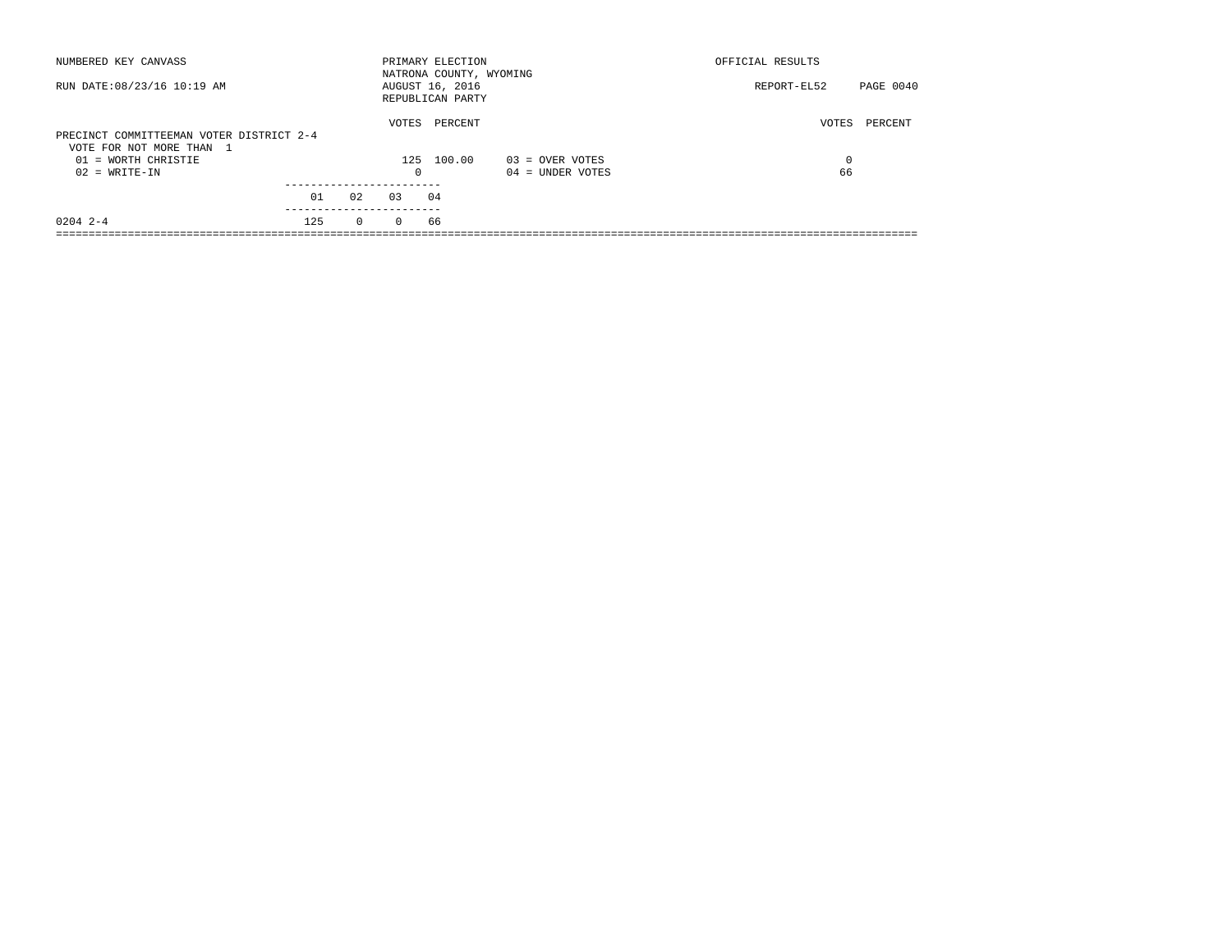| PAGE 0040        |
|------------------|
| PERCENT<br>VOTES |
| 0                |
| 66               |
|                  |
|                  |
| REPORT-EL52      |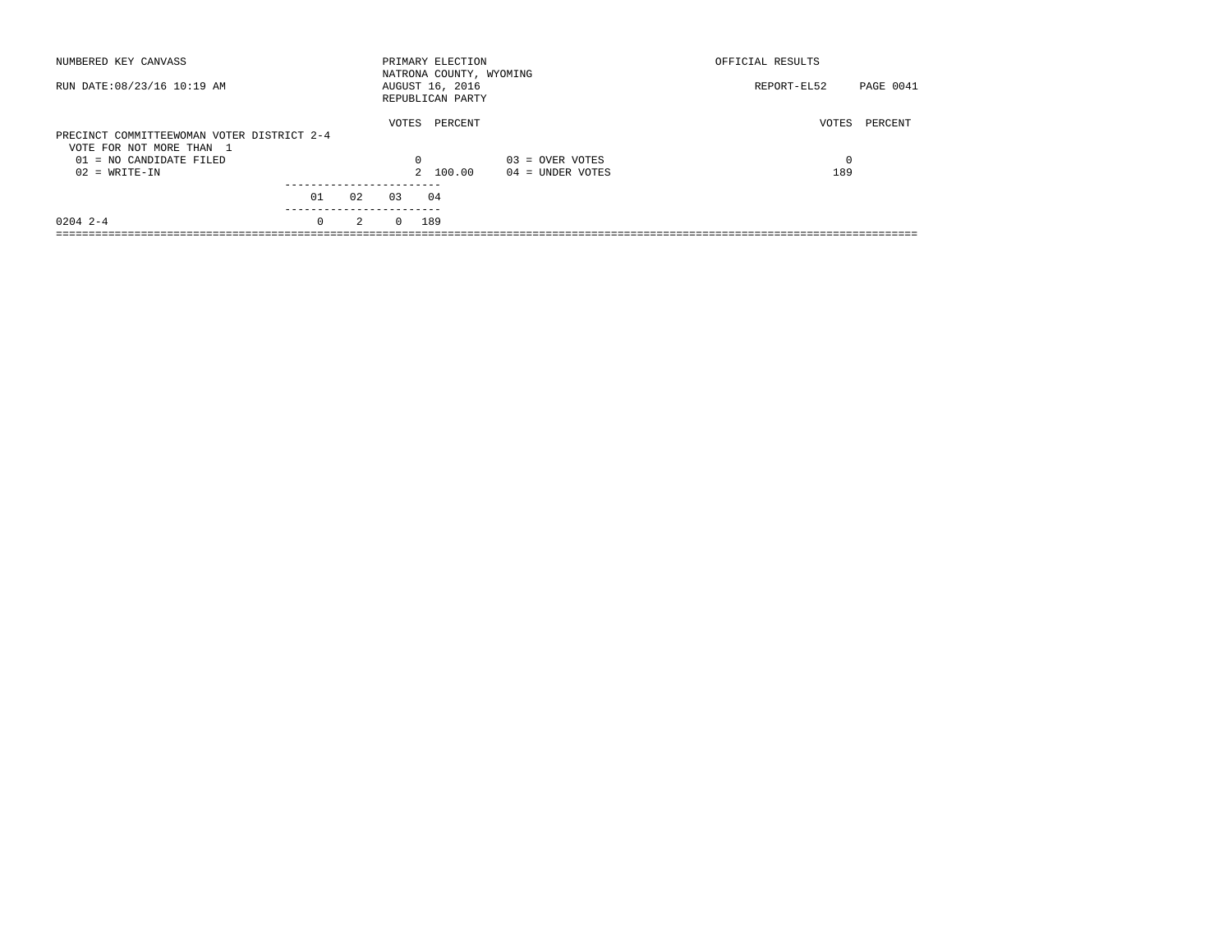| NUMBERED KEY CANVASS                                                   |                        |     |          | PRIMARY ELECTION<br>NATRONA COUNTY, WYOMING |                    | OFFICIAL RESULTS |           |
|------------------------------------------------------------------------|------------------------|-----|----------|---------------------------------------------|--------------------|------------------|-----------|
| RUN DATE: 08/23/16 10:19 AM                                            |                        |     |          | AUGUST 16, 2016<br>REPUBLICAN PARTY         |                    | REPORT-EL52      | PAGE 0041 |
| PRECINCT COMMITTEEWOMAN VOTER DISTRICT 2-4<br>VOTE FOR NOT MORE THAN 1 |                        |     | VOTES    | PERCENT                                     |                    | VOTES            | PERCENT   |
| $01 = NO$ CANDIDATE FILED                                              |                        |     | $\Omega$ |                                             | $03 =$ OVER VOTES  | 0                |           |
| $02 = WRITE-IN$                                                        |                        |     |          | 2 100.00                                    | $04 =$ UNDER VOTES | 189              |           |
|                                                                        |                        |     |          |                                             |                    |                  |           |
|                                                                        | 01                     | 0.2 | 0.3      | 04                                          |                    |                  |           |
| $0204$ 2-4                                                             | ----------<br>$\Omega$ | 2   | $\Omega$ | 189                                         |                    |                  |           |
|                                                                        |                        |     |          |                                             |                    |                  |           |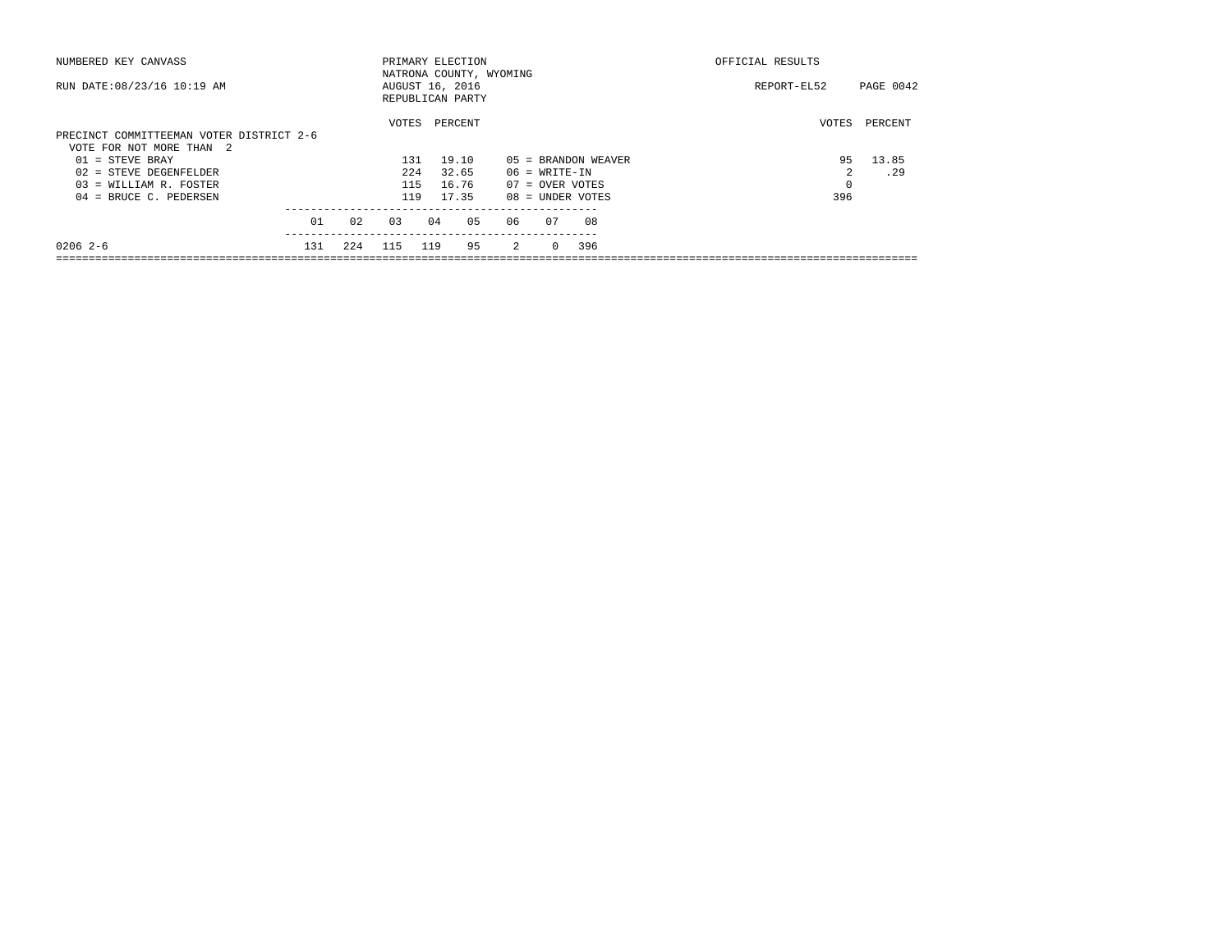| NUMBERED KEY CANVASS                                                 |     |     | PRIMARY ELECTION                                               |     |         |    |                |                    |  |                     | OFFICIAL RESULTS |             |       |                  |
|----------------------------------------------------------------------|-----|-----|----------------------------------------------------------------|-----|---------|----|----------------|--------------------|--|---------------------|------------------|-------------|-------|------------------|
| RUN DATE: 08/23/16 10:19 AM                                          |     |     | NATRONA COUNTY, WYOMING<br>AUGUST 16, 2016<br>REPUBLICAN PARTY |     |         |    |                |                    |  |                     |                  | REPORT-EL52 |       | <b>PAGE 0042</b> |
| PRECINCT COMMITTEEMAN VOTER DISTRICT 2-6<br>VOTE FOR NOT MORE THAN 2 |     |     | VOTES                                                          |     | PERCENT |    |                |                    |  |                     |                  |             | VOTES | PERCENT          |
| $01 =$ STEVE BRAY                                                    |     |     | 131                                                            |     | 19.10   |    |                |                    |  | 05 = BRANDON WEAVER |                  |             | 95    | 13.85            |
| 02 = STEVE DEGENFELDER                                               |     |     | 224                                                            |     | 32.65   |    |                | $06 = WRTTE-IN$    |  |                     |                  |             |       | .29              |
| $03$ = WILLIAM R. FOSTER                                             |     |     | 115                                                            |     | 16.76   |    |                | $07 =$ OVER VOTES  |  |                     |                  |             | 0     |                  |
| $04$ = BRUCE C. PEDERSEN                                             |     |     | 119                                                            |     | 17.35   |    |                | $08 =$ UNDER VOTES |  |                     |                  |             | 396   |                  |
|                                                                      | 01  | 02  | 03                                                             | 04  |         | 05 | 06             | 07                 |  | 08                  |                  |             |       |                  |
| $02062-6$                                                            | 131 | 224 | 115                                                            | 119 |         | 95 | $\overline{2}$ | $\Omega$           |  | 396                 |                  |             |       |                  |
|                                                                      |     |     |                                                                |     |         |    |                |                    |  |                     |                  |             |       |                  |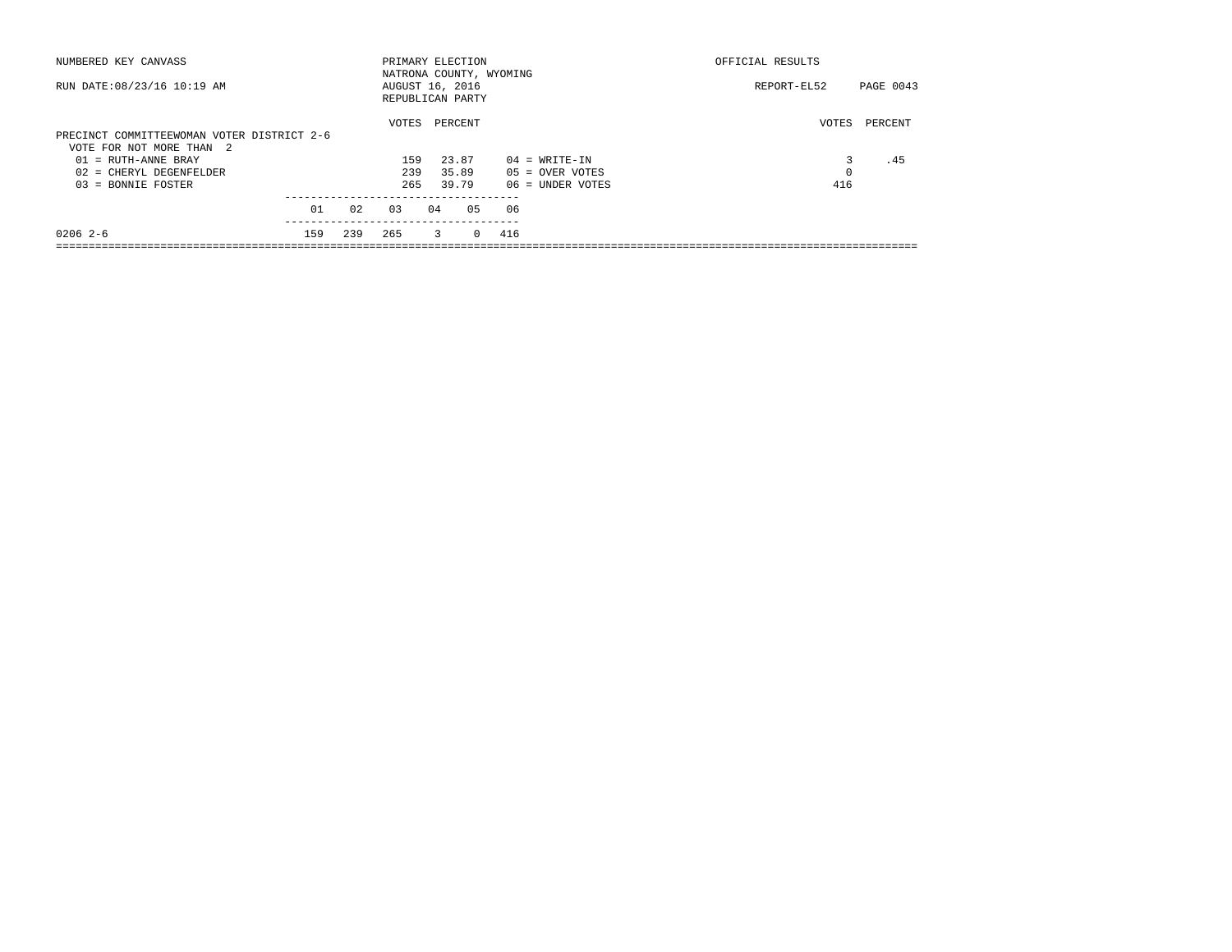| NUMBERED KEY CANVASS                       |     |     | PRIMARY ELECTION        |    |         |          |     |                    | OFFICIAL RESULTS |           |  |
|--------------------------------------------|-----|-----|-------------------------|----|---------|----------|-----|--------------------|------------------|-----------|--|
|                                            |     |     | NATRONA COUNTY, WYOMING |    |         |          |     |                    |                  |           |  |
| RUN DATE: 08/23/16 10:19 AM                |     |     | AUGUST 16, 2016         |    |         |          |     |                    | REPORT-EL52      | PAGE 0043 |  |
|                                            |     |     | REPUBLICAN PARTY        |    |         |          |     |                    |                  |           |  |
|                                            |     |     | VOTES                   |    | PERCENT |          |     |                    | VOTES            | PERCENT   |  |
| PRECINCT COMMITTEEWOMAN VOTER DISTRICT 2-6 |     |     |                         |    |         |          |     |                    |                  |           |  |
| VOTE FOR NOT MORE THAN 2                   |     |     |                         |    |         |          |     |                    |                  |           |  |
| $01$ = RUTH-ANNE BRAY                      |     |     | 159                     |    | 23.87   |          |     | $04 = WRITE-IN$    |                  | .45       |  |
| 02 = CHERYL DEGENFELDER                    |     |     | 239                     |    | 35.89   |          |     | $05 =$ OVER VOTES  | 0                |           |  |
| $03 = BONNIE FOSTER$                       |     |     | 265                     |    | 39.79   |          |     | $06$ = UNDER VOTES | 416              |           |  |
|                                            |     |     |                         |    |         |          |     |                    |                  |           |  |
|                                            | 01  | 02  | 03                      | 04 |         | 05       | 06  |                    |                  |           |  |
|                                            |     |     |                         |    |         |          |     |                    |                  |           |  |
| $02062-6$                                  | 159 | 239 | 265                     |    | 3       | $\Omega$ | 416 |                    |                  |           |  |
|                                            |     |     |                         |    |         |          |     |                    |                  |           |  |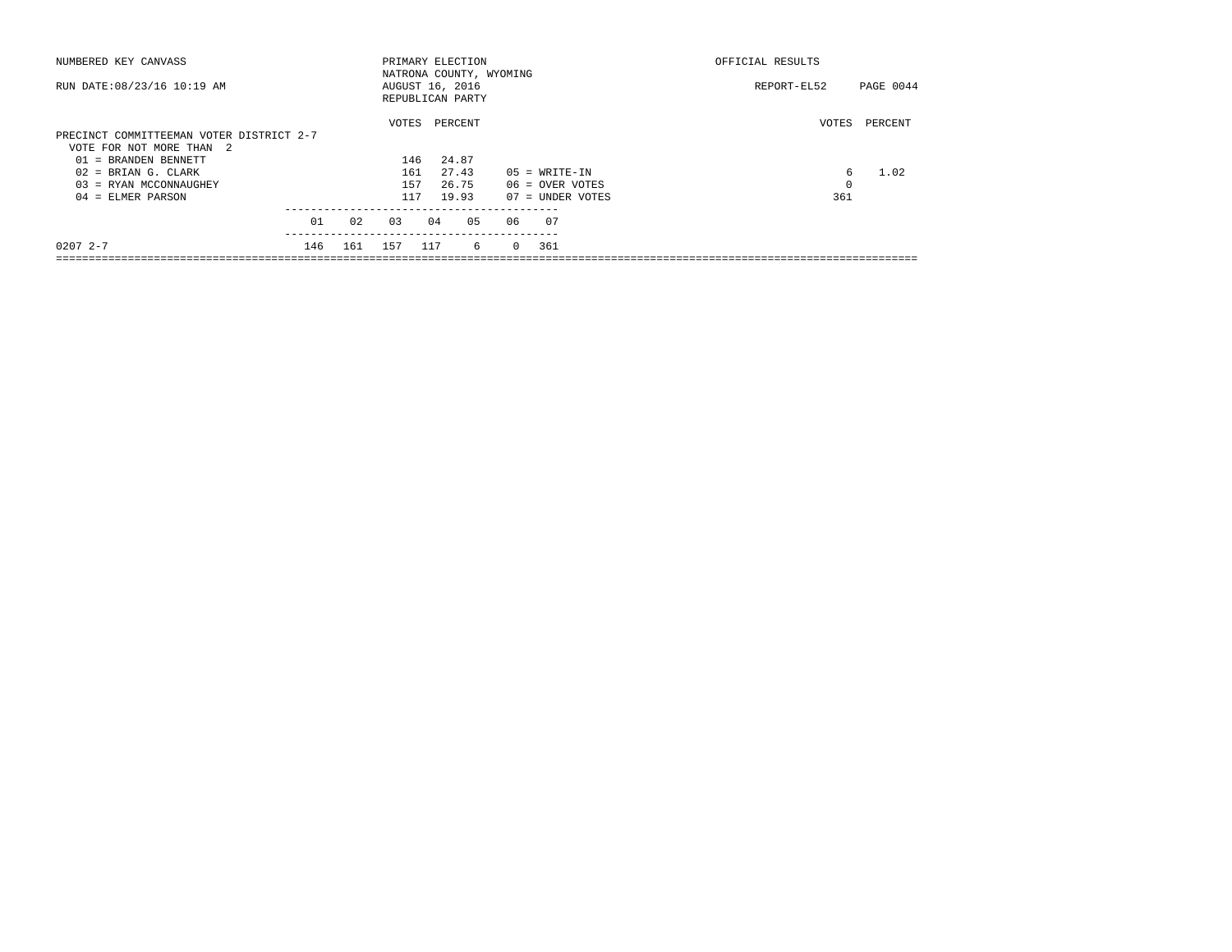| NUMBERED KEY CANVASS                                                 |     |     | PRIMARY ELECTION                                               |     |         |    |    |                 | OFFICIAL RESULTS   |  |             |       |           |
|----------------------------------------------------------------------|-----|-----|----------------------------------------------------------------|-----|---------|----|----|-----------------|--------------------|--|-------------|-------|-----------|
| RUN DATE: 08/23/16 10:19 AM                                          |     |     | NATRONA COUNTY, WYOMING<br>AUGUST 16, 2016<br>REPUBLICAN PARTY |     |         |    |    |                 |                    |  | REPORT-EL52 |       | PAGE 0044 |
| PRECINCT COMMITTEEMAN VOTER DISTRICT 2-7<br>VOTE FOR NOT MORE THAN 2 |     |     | VOTES                                                          |     | PERCENT |    |    |                 |                    |  |             | VOTES | PERCENT   |
| 01 = BRANDEN BENNETT                                                 |     |     | 146                                                            |     | 24.87   |    |    |                 |                    |  |             |       |           |
| $02$ = BRIAN G. CLARK                                                |     |     | 161                                                            |     | 27.43   |    |    | $05 = WRTTE-IN$ |                    |  |             | 6     | 1.02      |
| $03$ = RYAN MCCONNAUGHEY                                             |     |     | 157                                                            |     | 26.75   |    |    | 06 = OVER VOTES |                    |  |             | 0     |           |
| $04$ = ELMER PARSON                                                  |     |     | 117                                                            |     | 19.93   |    |    |                 | $07 =$ UNDER VOTES |  |             | 361   |           |
|                                                                      | 01  | 02  | 03                                                             | 04  |         | 05 | 06 | - 07            |                    |  |             |       |           |
| $02072 - -7$                                                         | 146 | 161 | 157                                                            | 117 |         | -6 |    | 0 361           |                    |  |             |       |           |
|                                                                      |     |     |                                                                |     |         |    |    |                 |                    |  |             |       |           |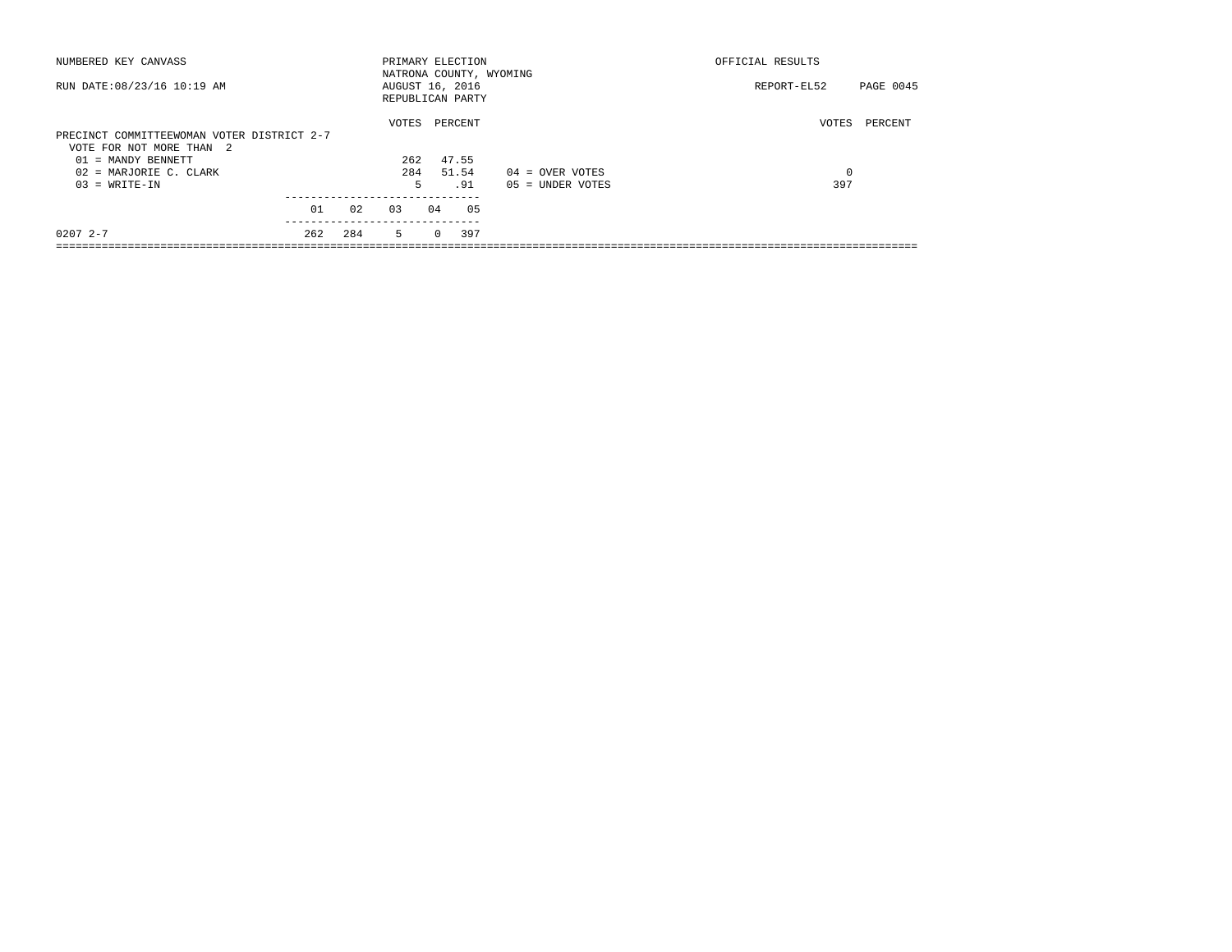| NUMBERED KEY CANVASS                       |     |     |                  | OFFICIAL RESULTS<br>PRIMARY ELECTION |         |                         |             |                  |  |
|--------------------------------------------|-----|-----|------------------|--------------------------------------|---------|-------------------------|-------------|------------------|--|
|                                            |     |     |                  |                                      |         | NATRONA COUNTY, WYOMING |             |                  |  |
| RUN DATE: 08/23/16 10:19 AM                |     |     | AUGUST 16, 2016  |                                      |         |                         | REPORT-EL52 | <b>PAGE 0045</b> |  |
|                                            |     |     | REPUBLICAN PARTY |                                      |         |                         |             |                  |  |
|                                            |     |     | VOTES            |                                      | PERCENT |                         | VOTES       | PERCENT          |  |
| PRECINCT COMMITTEEWOMAN VOTER DISTRICT 2-7 |     |     |                  |                                      |         |                         |             |                  |  |
| VOTE FOR NOT MORE THAN 2                   |     |     |                  |                                      |         |                         |             |                  |  |
| 01 = MANDY BENNETT                         |     |     | 262              |                                      | 47.55   |                         |             |                  |  |
| 02 = MARJORIE C. CLARK                     |     |     | 284              |                                      | 51.54   | $04 =$ OVER VOTES       | $^{\circ}$  |                  |  |
| $03 = WRITE-IN$                            |     |     |                  | 5                                    | .91     | $05 = UNDER VOTES$      | 397         |                  |  |
|                                            |     |     |                  |                                      |         |                         |             |                  |  |
|                                            | 01  | 02  | 0.3              | 04                                   | 05      |                         |             |                  |  |
| $02072 - -7$                               | 262 | 284 | $5 -$            | $\Omega$                             | 397     |                         |             |                  |  |
|                                            |     |     |                  |                                      |         |                         |             |                  |  |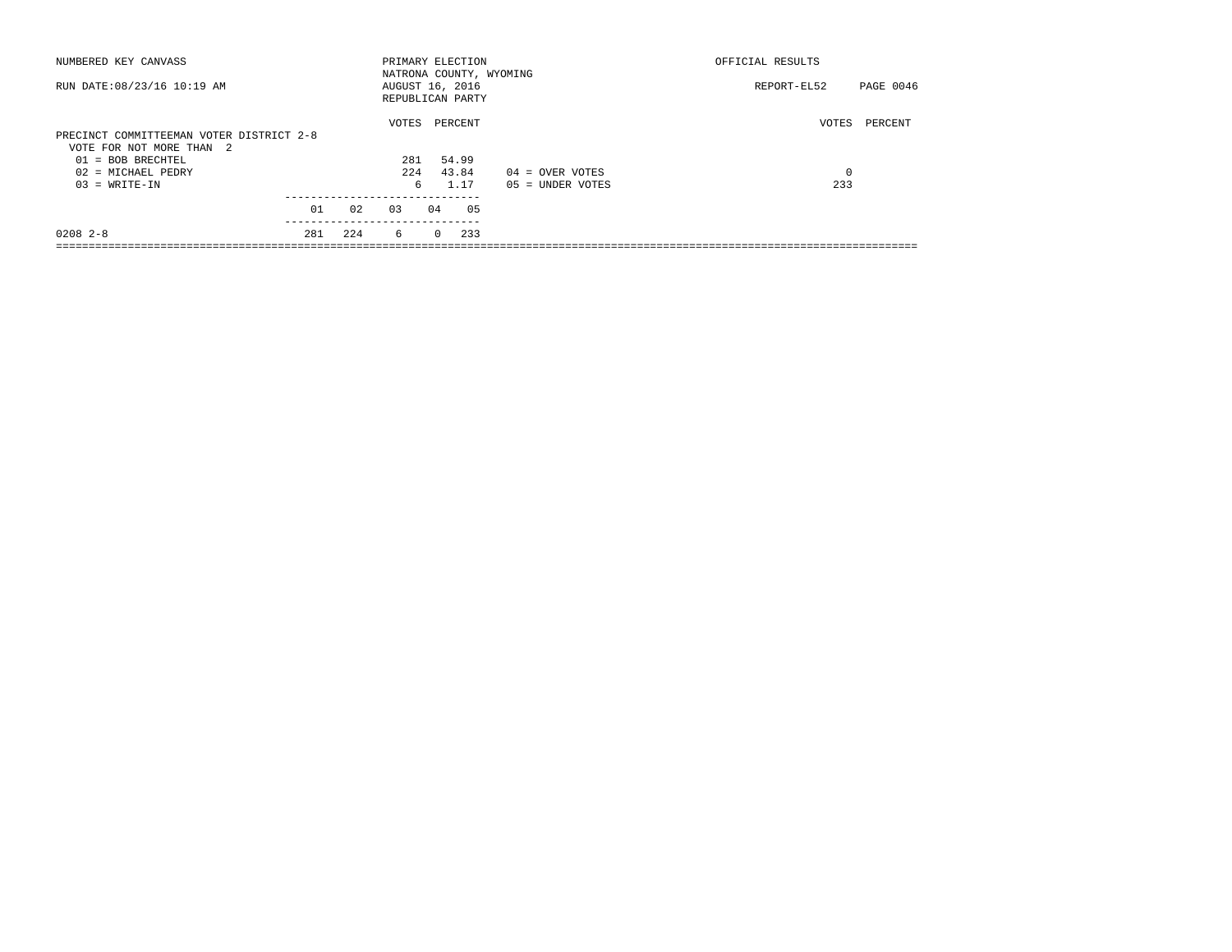| NUMBERED KEY CANVASS                     |     |     |                                     | OFFICIAL RESULTS<br>PRIMARY ELECTION |         |  |                    |             |           |
|------------------------------------------|-----|-----|-------------------------------------|--------------------------------------|---------|--|--------------------|-------------|-----------|
|                                          |     |     | NATRONA COUNTY, WYOMING             |                                      |         |  |                    |             |           |
| RUN DATE: 08/23/16 10:19 AM              |     |     | AUGUST 16, 2016<br>REPUBLICAN PARTY |                                      |         |  |                    | REPORT-EL52 | PAGE 0046 |
|                                          |     |     |                                     |                                      |         |  |                    |             |           |
|                                          |     |     | VOTES                               |                                      | PERCENT |  |                    | VOTES       | PERCENT   |
| PRECINCT COMMITTEEMAN VOTER DISTRICT 2-8 |     |     |                                     |                                      |         |  |                    |             |           |
| VOTE FOR NOT MORE THAN 2                 |     |     |                                     |                                      |         |  |                    |             |           |
| $01 = BOB BRECHTEL$                      |     |     | 281                                 |                                      | 54.99   |  |                    |             |           |
| 02 = MICHAEL PEDRY                       |     |     | 2.2.4                               |                                      | 43.84   |  | $04 =$ OVER VOTES  | $\mathbf 0$ |           |
| $03 = WRITE-IN$                          |     |     |                                     | б.                                   | 1.17    |  | $05 = UNDER VOTES$ | 233         |           |
|                                          |     |     |                                     |                                      |         |  |                    |             |           |
|                                          | 01  | 02  | 0.3                                 | 04                                   | 05      |  |                    |             |           |
| $0208$ $2 - 8$                           | 281 | 224 | 6                                   | $\Omega$                             | 233     |  |                    |             |           |
|                                          |     |     |                                     |                                      |         |  |                    |             |           |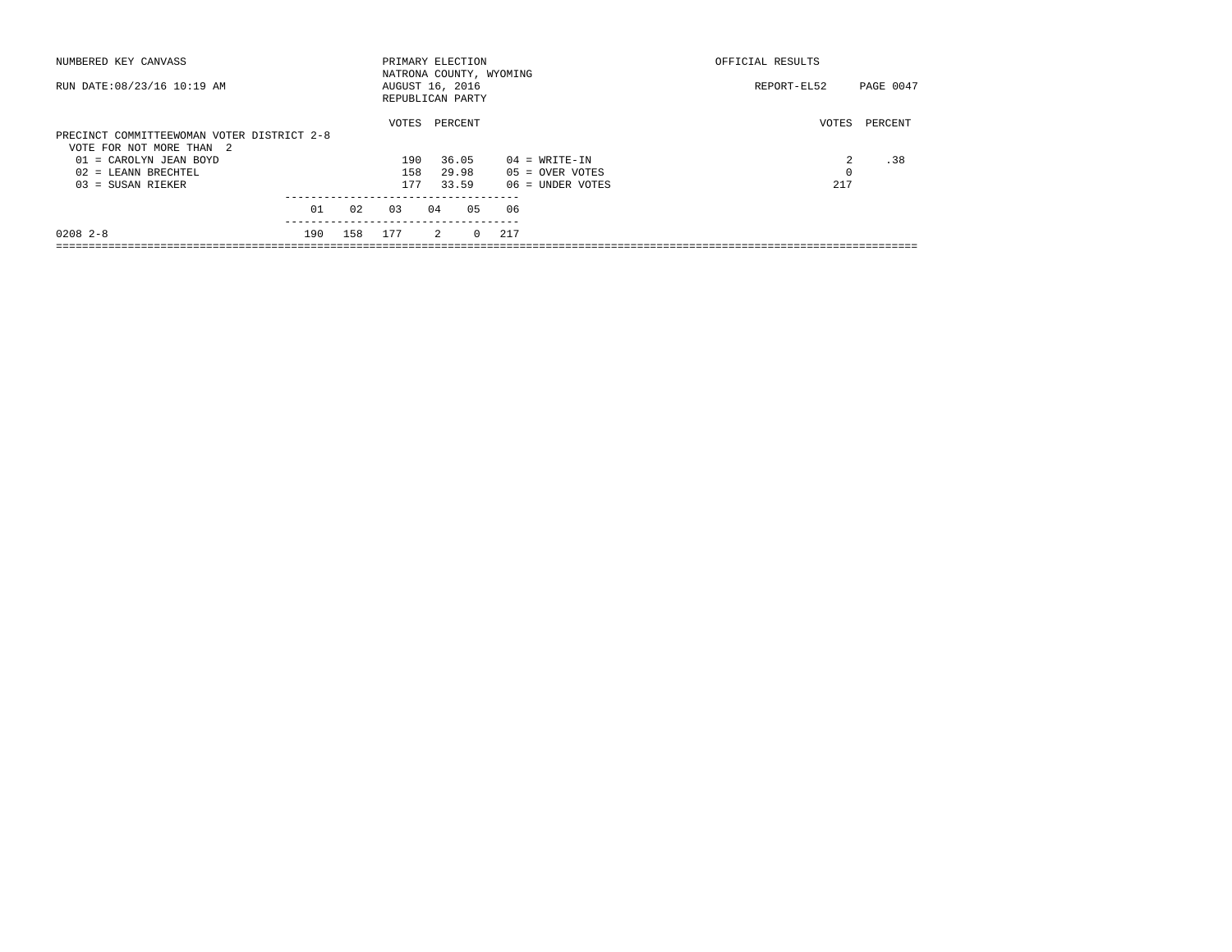| NUMBERED KEY CANVASS                       |     |     | PRIMARY ELECTION        |    |                |          |     |                    | OFFICIAL RESULTS |           |  |  |
|--------------------------------------------|-----|-----|-------------------------|----|----------------|----------|-----|--------------------|------------------|-----------|--|--|
|                                            |     |     | NATRONA COUNTY, WYOMING |    |                |          |     |                    |                  |           |  |  |
| RUN DATE: 08/23/16 10:19 AM                |     |     | AUGUST 16, 2016         |    |                |          |     |                    | REPORT-EL52      | PAGE 0047 |  |  |
|                                            |     |     | REPUBLICAN PARTY        |    |                |          |     |                    |                  |           |  |  |
|                                            |     |     | VOTES                   |    | PERCENT        |          |     |                    | VOTES            | PERCENT   |  |  |
| PRECINCT COMMITTEEWOMAN VOTER DISTRICT 2-8 |     |     |                         |    |                |          |     |                    |                  |           |  |  |
| VOTE FOR NOT MORE THAN 2                   |     |     |                         |    |                |          |     |                    |                  |           |  |  |
| 01 = CAROLYN JEAN BOYD                     |     |     | 190                     |    | 36.05          |          |     | $04 = WRITE-IN$    | $\mathfrak{D}$   | .38       |  |  |
| $02$ = LEANN BRECHTEL                      |     |     | 158                     |    | 29.98          |          |     | $05 =$ OVER VOTES  | 0                |           |  |  |
| $03 = SUBAN RIEKER$                        |     |     | 177                     |    | 33.59          |          |     | $06$ = UNDER VOTES | 217              |           |  |  |
|                                            |     |     |                         |    |                |          |     |                    |                  |           |  |  |
|                                            | 01  | 02  | 03                      | 04 |                | 05       | 06  |                    |                  |           |  |  |
| $0208$ 2-8                                 | 190 | 158 | 177                     |    | $\overline{2}$ | $\Omega$ | 217 |                    |                  |           |  |  |
|                                            |     |     |                         |    |                |          |     |                    |                  |           |  |  |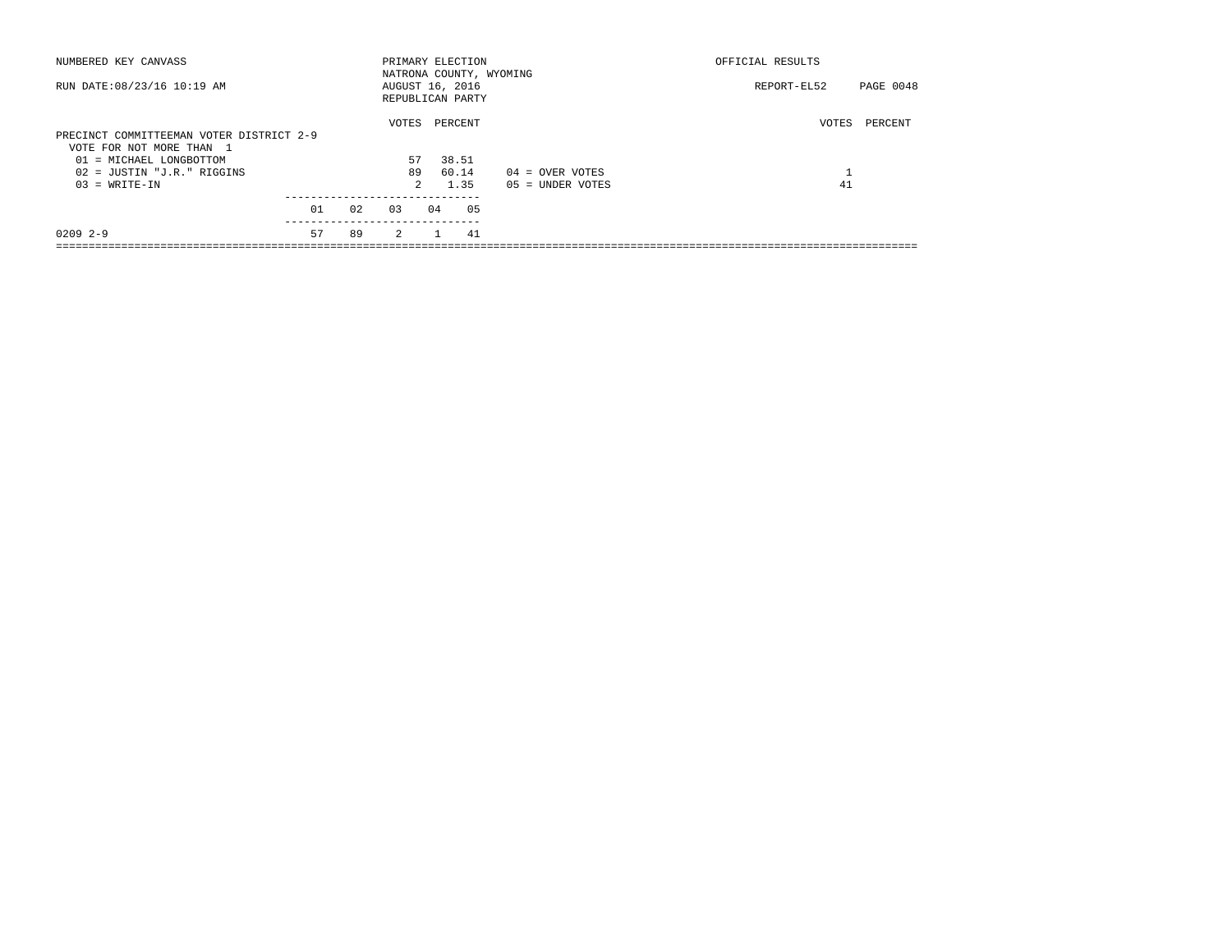| NUMBERED KEY CANVASS                     |    |    |                 | OFFICIAL RESULTS<br>PRIMARY ELECTION<br>NATRONA COUNTY, WYOMING |                  |                    |                   |           |
|------------------------------------------|----|----|-----------------|-----------------------------------------------------------------|------------------|--------------------|-------------------|-----------|
| RUN DATE: 08/23/16 10:19 AM              |    |    | AUGUST 16, 2016 |                                                                 | REPUBLICAN PARTY |                    | REPORT-EL52       | PAGE 0048 |
|                                          |    |    | VOTES           |                                                                 | PERCENT          |                    | VOTES             | PERCENT   |
| PRECINCT COMMITTEEMAN VOTER DISTRICT 2-9 |    |    |                 |                                                                 |                  |                    |                   |           |
| VOTE FOR NOT MORE THAN 1                 |    |    |                 |                                                                 |                  |                    |                   |           |
| 01 = MICHAEL LONGBOTTOM                  |    |    | 57              |                                                                 | 38.51            |                    |                   |           |
| $02 = JUSTIN "J.R." RIGGINS$             |    |    | 89              |                                                                 | 60.14            | $04 =$ OVER VOTES  | $\mathbf{r}$<br>ᆂ |           |
| $03 = WRITE-IN$                          |    |    | $\mathcal{L}$   |                                                                 | 1.35             | $05 = UNDER VOTES$ | 41                |           |
|                                          | 01 | 02 | 03              | 04                                                              | 05               |                    |                   |           |
|                                          |    |    |                 |                                                                 |                  |                    |                   |           |
| $02092 - -9$                             | 57 | 89 | $2^{\circ}$     |                                                                 | 41               |                    |                   |           |
|                                          |    |    |                 |                                                                 |                  |                    |                   |           |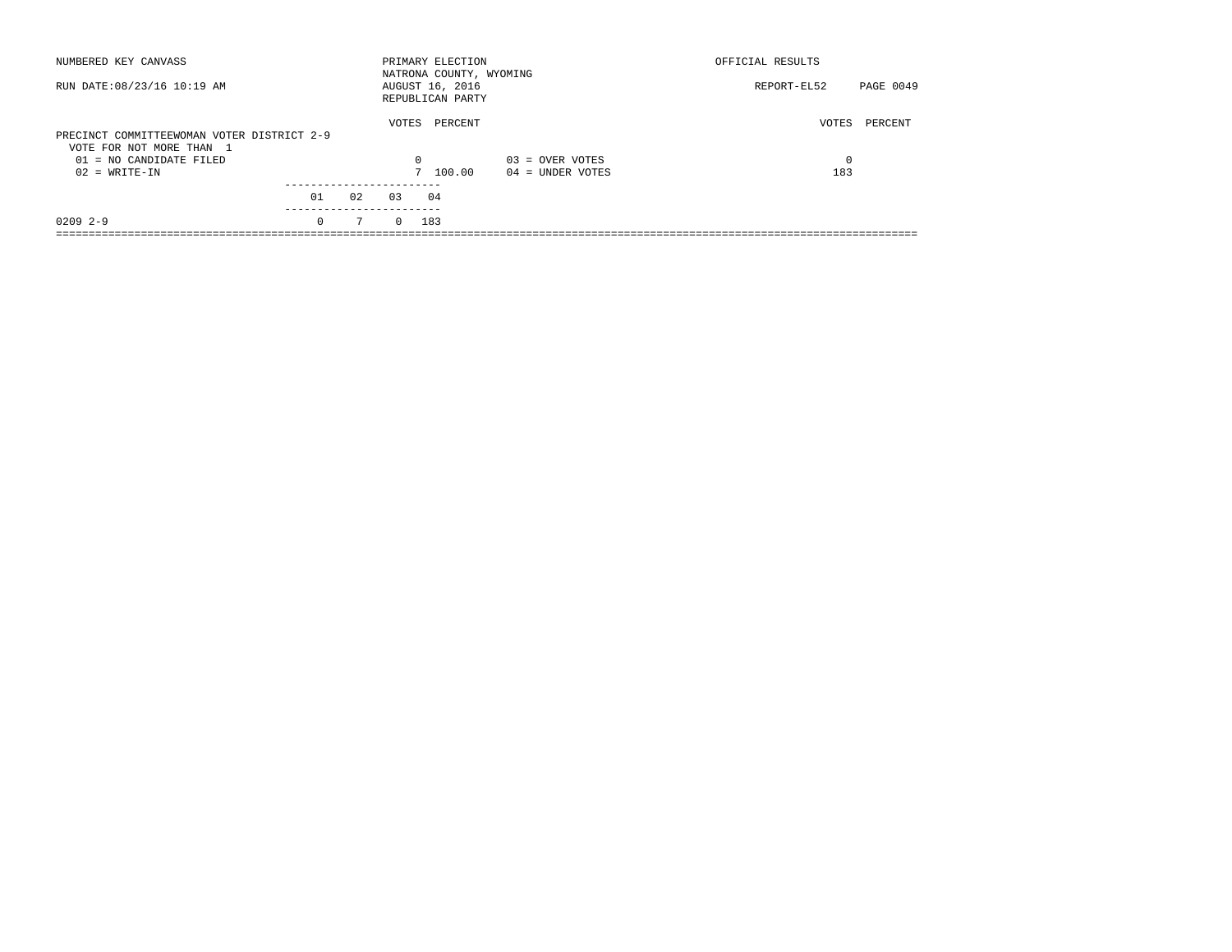| NUMBERED KEY CANVASS                                                   |          |    |          | PRIMARY ELECTION<br>NATRONA COUNTY, WYOMING |                    | OFFICIAL RESULTS         |
|------------------------------------------------------------------------|----------|----|----------|---------------------------------------------|--------------------|--------------------------|
| RUN DATE: 08/23/16 10:19 AM                                            |          |    |          | AUGUST 16, 2016<br>REPUBLICAN PARTY         |                    | PAGE 0049<br>REPORT-EL52 |
| PRECINCT COMMITTEEWOMAN VOTER DISTRICT 2-9<br>VOTE FOR NOT MORE THAN 1 |          |    | VOTES    | PERCENT                                     |                    | VOTES<br>PERCENT         |
| 01 = NO CANDIDATE FILED                                                |          |    | 0        |                                             | $03 =$ OVER VOTES  | $\Omega$                 |
| $02 = WRITE-IN$                                                        |          |    |          | 7 100.00                                    | $04 =$ UNDER VOTES | 183                      |
|                                                                        |          |    |          |                                             |                    |                          |
|                                                                        | 01       | 02 | 0.3      | 04                                          |                    |                          |
| $02092 - -9$                                                           | $\Omega$ | 7  | $\Omega$ | 183                                         |                    |                          |
|                                                                        |          |    |          |                                             |                    |                          |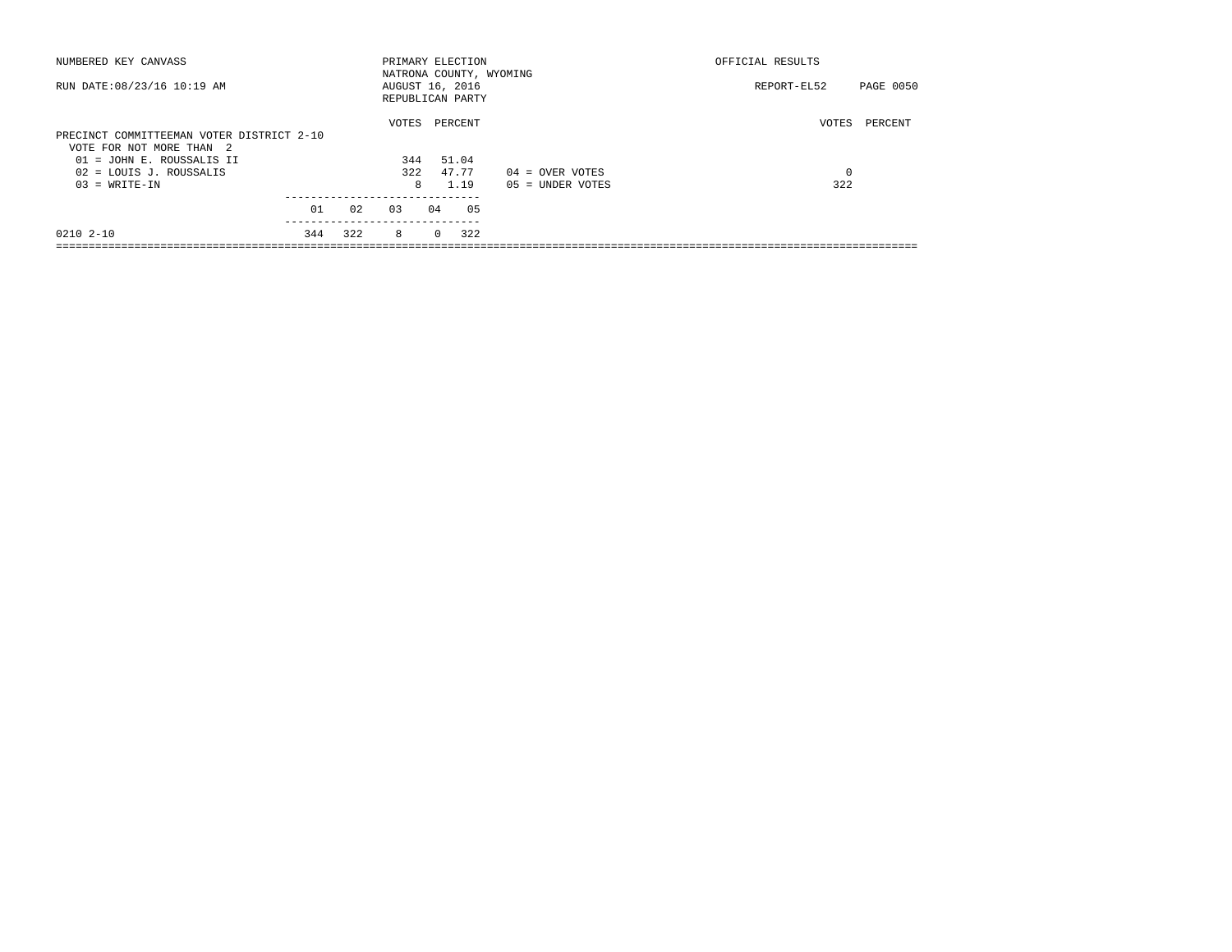| NUMBERED KEY CANVASS                      |     |     | PRIMARY ELECTION                    |          |         |     |                         | OFFICIAL RESULTS |           |
|-------------------------------------------|-----|-----|-------------------------------------|----------|---------|-----|-------------------------|------------------|-----------|
| RUN DATE: 08/23/16 10:19 AM               |     |     | AUGUST 16, 2016<br>REPUBLICAN PARTY |          |         |     | NATRONA COUNTY, WYOMING | REPORT-EL52      | PAGE 0050 |
|                                           |     |     | VOTES                               |          | PERCENT |     |                         | VOTES            | PERCENT   |
| PRECINCT COMMITTEEMAN VOTER DISTRICT 2-10 |     |     |                                     |          |         |     |                         |                  |           |
| VOTE FOR NOT MORE THAN 2                  |     |     |                                     |          |         |     |                         |                  |           |
| 01 = JOHN E. ROUSSALIS II                 |     |     | 344                                 |          | 51.04   |     |                         |                  |           |
| 02 = LOUIS J. ROUSSALIS                   |     |     | 322                                 |          | 47.77   |     | $04 =$ OVER VOTES       | 0                |           |
| $03 = WRITE-IN$                           |     |     | 8                                   |          | 1.19    |     | $05 = UNDER VOTES$      | 322              |           |
|                                           |     |     |                                     |          |         |     |                         |                  |           |
|                                           | 01  | 02  | 0.3                                 | 04       |         | 05  |                         |                  |           |
| $02102 - 10$                              | 344 | 322 | 8                                   | $\Omega$ |         | 322 |                         |                  |           |
|                                           |     |     |                                     |          |         |     |                         |                  |           |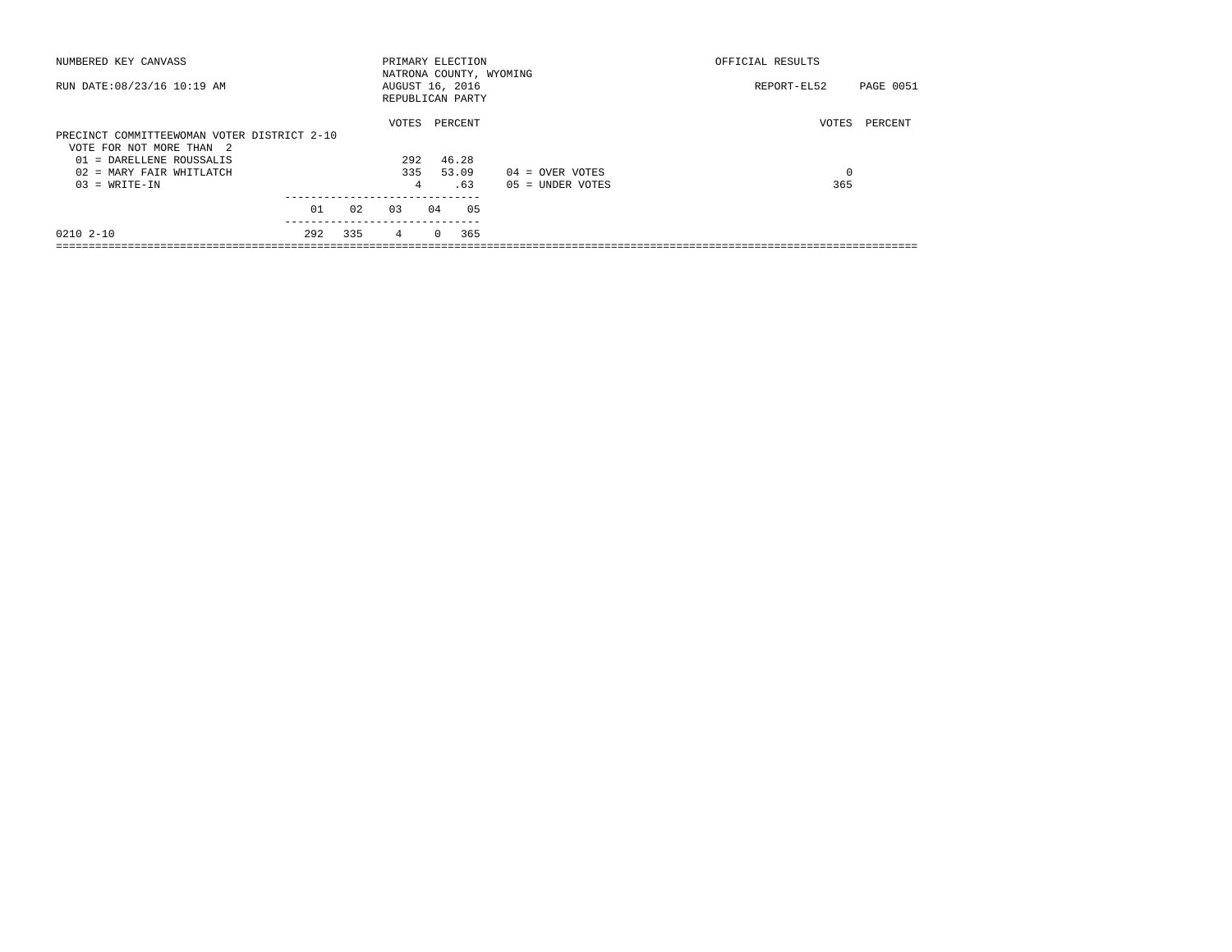| NUMBERED KEY CANVASS                                                    |     |     | PRIMARY ELECTION                    |          |         | NATRONA COUNTY, WYOMING | OFFICIAL RESULTS |                  |
|-------------------------------------------------------------------------|-----|-----|-------------------------------------|----------|---------|-------------------------|------------------|------------------|
| RUN DATE: 08/23/16 10:19 AM                                             |     |     | AUGUST 16, 2016<br>REPUBLICAN PARTY |          |         |                         | REPORT-EL52      | <b>PAGE 0051</b> |
|                                                                         |     |     | VOTES                               |          | PERCENT |                         | VOTES            | PERCENT          |
| PRECINCT COMMITTEEWOMAN VOTER DISTRICT 2-10<br>VOTE FOR NOT MORE THAN 2 |     |     |                                     |          |         |                         |                  |                  |
| 01 = DARELLENE ROUSSALIS                                                |     |     | 292                                 |          | 46.28   |                         |                  |                  |
| 02 = MARY FAIR WHITLATCH                                                |     |     | 335                                 |          | 53.09   | $04 =$ OVER VOTES       | $\mathbf 0$      |                  |
| $03 = WRITE-IN$                                                         |     |     | 4                                   |          | .63     | $05 = UNDER VOTES$      | 365              |                  |
|                                                                         | 01  | 02  | 0.3                                 | 04       | 05      |                         |                  |                  |
| $02102 - 10$                                                            | 292 | 335 | 4                                   | $\Omega$ | 365     |                         |                  |                  |
|                                                                         |     |     |                                     |          |         |                         |                  |                  |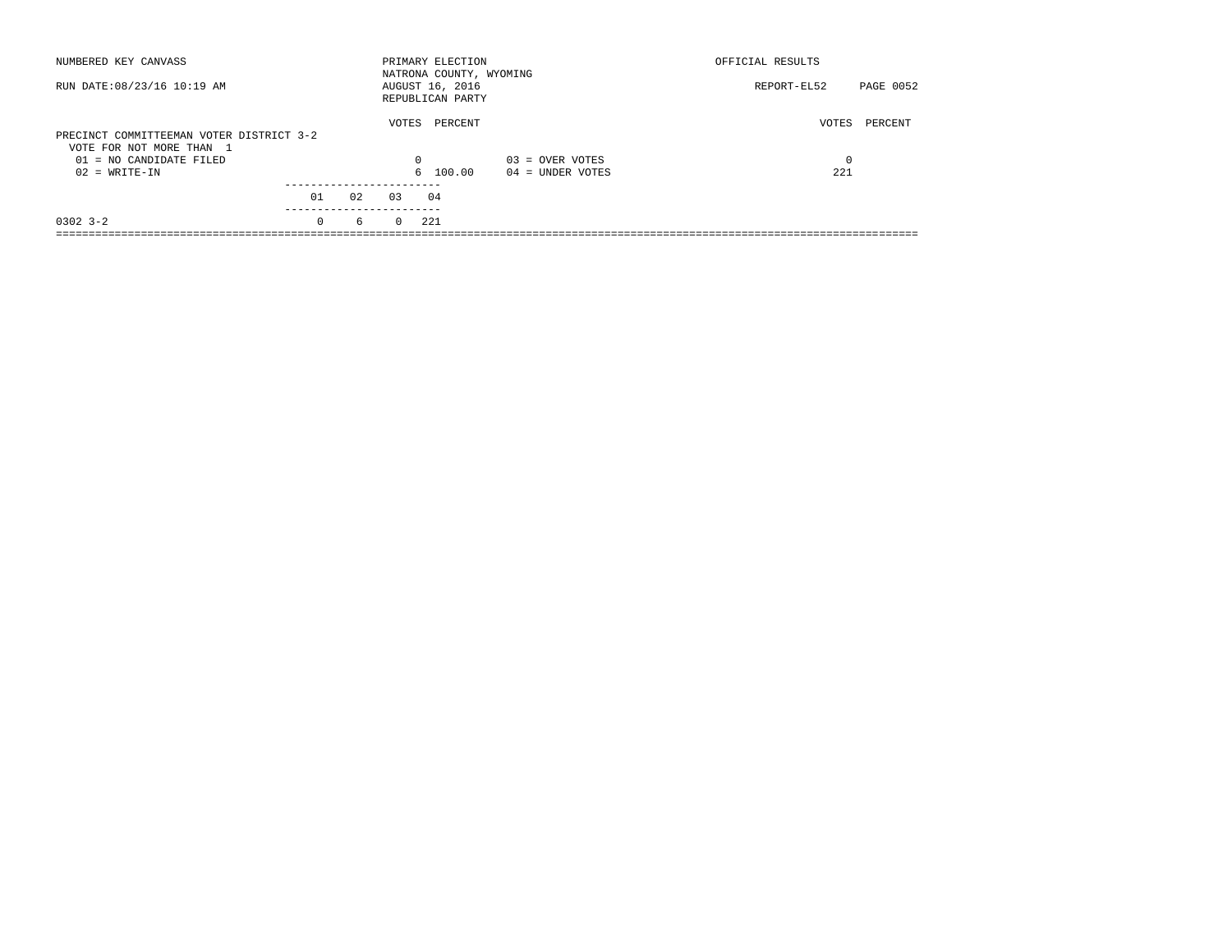| NUMBERED KEY CANVASS                                                                            |          |    |                   | PRIMARY ELECTION<br>NATRONA COUNTY, WYOMING |                    | OFFICIAL RESULTS |           |
|-------------------------------------------------------------------------------------------------|----------|----|-------------------|---------------------------------------------|--------------------|------------------|-----------|
| RUN DATE: 08/23/16 10:19 AM                                                                     |          |    |                   | AUGUST 16, 2016<br>REPUBLICAN PARTY         |                    | REPORT-EL52      | PAGE 0052 |
| PRECINCT COMMITTEEMAN VOTER DISTRICT 3-2<br>VOTE FOR NOT MORE THAN 1<br>01 = NO CANDIDATE FILED |          |    | VOTES<br>$\Omega$ | PERCENT                                     | $03 =$ OVER VOTES  | VOTES            | PERCENT   |
| $02 = WRITE-IN$                                                                                 |          |    |                   | 6 100.00                                    | $04 =$ UNDER VOTES | 221              |           |
|                                                                                                 | 01       | 02 | 03                | 04                                          |                    |                  |           |
| $0302$ $3 - 2$                                                                                  | $\Omega$ | 6  | $\Omega$          | 221                                         |                    |                  |           |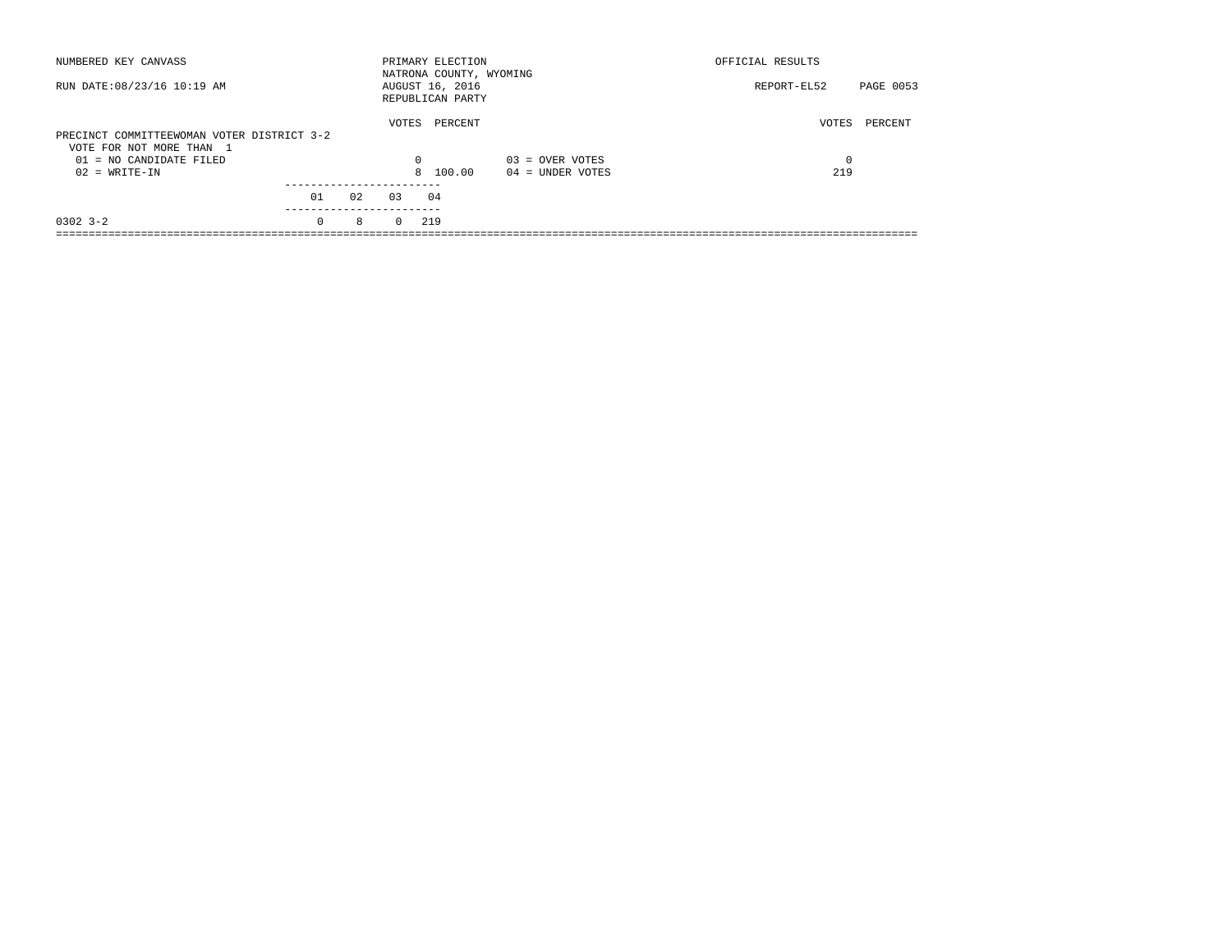| NUMBERED KEY CANVASS                                                   |                       |    |          | PRIMARY ELECTION<br>NATRONA COUNTY, WYOMING |                    | OFFICIAL RESULTS         |
|------------------------------------------------------------------------|-----------------------|----|----------|---------------------------------------------|--------------------|--------------------------|
| RUN DATE: 08/23/16 10:19 AM                                            |                       |    |          | AUGUST 16, 2016<br>REPUBLICAN PARTY         |                    | PAGE 0053<br>REPORT-EL52 |
| PRECINCT COMMITTEEWOMAN VOTER DISTRICT 3-2<br>VOTE FOR NOT MORE THAN 1 |                       |    | VOTES    | PERCENT                                     |                    | VOTES<br>PERCENT         |
| $01 = NO$ CANDIDATE FILED                                              |                       |    | $\Omega$ |                                             | $03 =$ OVER VOTES  | $\Omega$                 |
| $02 = WRITE-IN$                                                        |                       |    |          | 8 100.00                                    | $04 =$ UNDER VOTES | 219                      |
|                                                                        |                       |    |          |                                             |                    |                          |
|                                                                        | 01                    | 02 | 0.3      | 04                                          |                    |                          |
| $0302$ $3 - 2$                                                         | ---------<br>$\Omega$ | 8  | $\Omega$ | 219                                         |                    |                          |
|                                                                        |                       |    |          |                                             |                    |                          |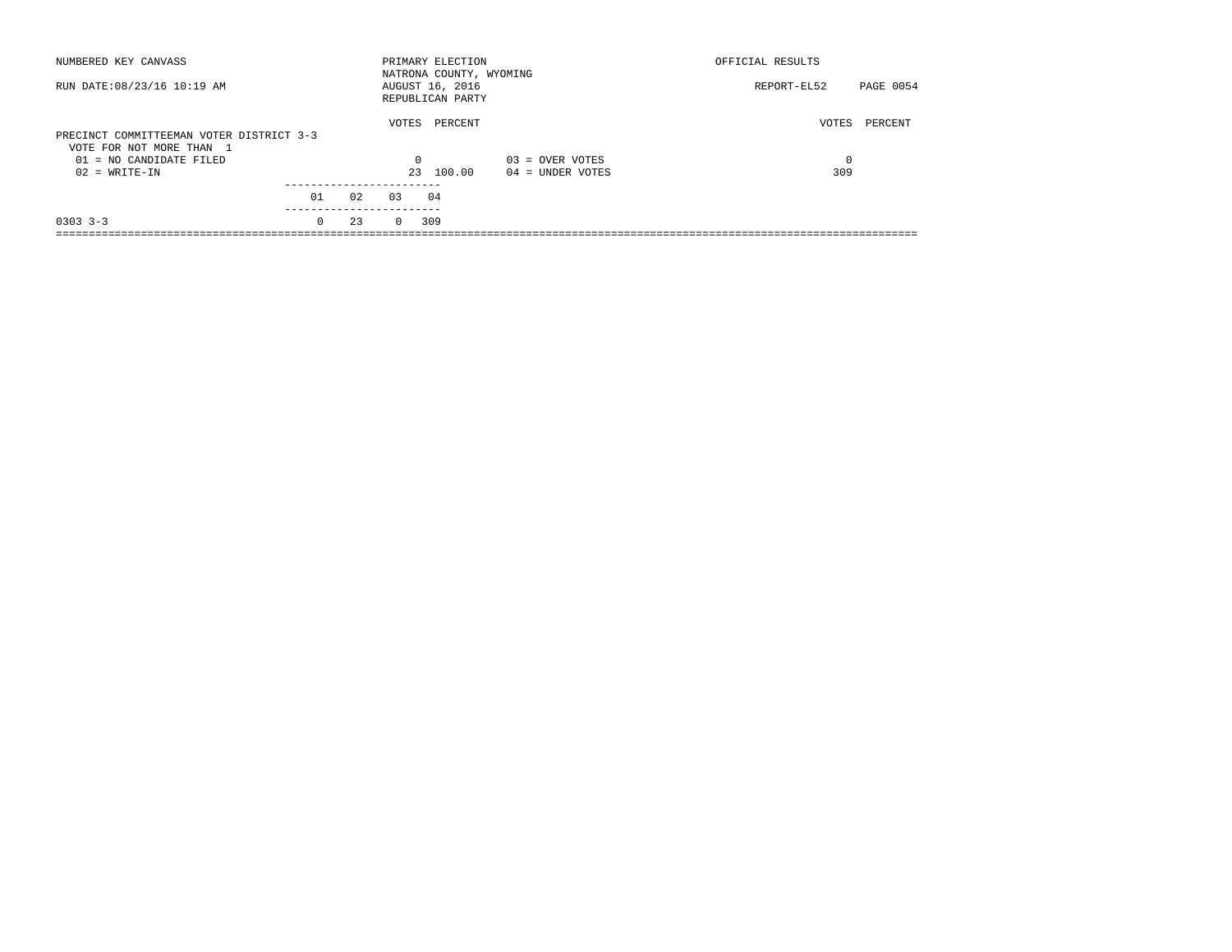| NUMBERED KEY CANVASS                                                 |            |     |          | PRIMARY ELECTION<br>NATRONA COUNTY, WYOMING |                    | OFFICIAL RESULTS |           |
|----------------------------------------------------------------------|------------|-----|----------|---------------------------------------------|--------------------|------------------|-----------|
| RUN DATE: 08/23/16 10:19 AM                                          |            |     |          | AUGUST 16, 2016<br>REPUBLICAN PARTY         |                    | REPORT-EL52      | PAGE 0054 |
| PRECINCT COMMITTEEMAN VOTER DISTRICT 3-3<br>VOTE FOR NOT MORE THAN 1 |            |     | VOTES    | PERCENT                                     |                    | VOTES            | PERCENT   |
| $01 = NO$ CANDIDATE FILED                                            |            |     | $\Omega$ |                                             | $03 =$ OVER VOTES  | 0                |           |
| $02 = WRITE-IN$                                                      |            |     | 23       | 100.00                                      | $04 =$ UNDER VOTES | 309              |           |
|                                                                      |            |     |          |                                             |                    |                  |           |
|                                                                      | 01         | 0.2 | 0.3      | 04                                          |                    |                  |           |
|                                                                      | ---------- |     |          |                                             |                    |                  |           |
| $0303$ $3-3$                                                         | $\Omega$   | 23  | $\Omega$ | 309                                         |                    |                  |           |
|                                                                      |            |     |          |                                             |                    |                  |           |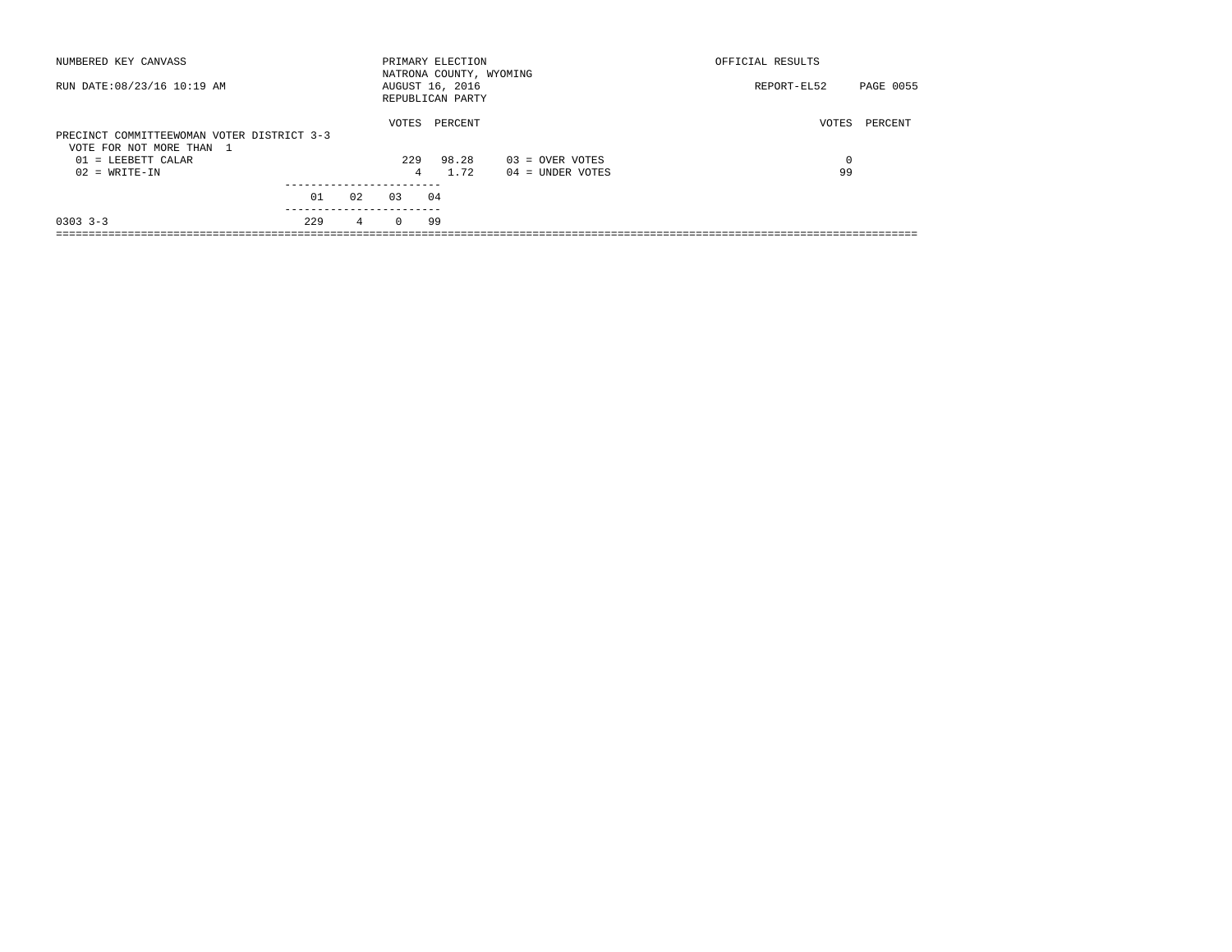| NUMBERED KEY CANVASS                                                   |     |    |          | PRIMARY ELECTION<br>NATRONA COUNTY, WYOMING |                    | OFFICIAL RESULTS         |
|------------------------------------------------------------------------|-----|----|----------|---------------------------------------------|--------------------|--------------------------|
| RUN DATE: 08/23/16 10:19 AM                                            |     |    |          | AUGUST 16, 2016<br>REPUBLICAN PARTY         |                    | PAGE 0055<br>REPORT-EL52 |
| PRECINCT COMMITTEEWOMAN VOTER DISTRICT 3-3<br>VOTE FOR NOT MORE THAN 1 |     |    | VOTES    | PERCENT                                     |                    | VOTES<br>PERCENT         |
| $01$ = LEEBETT CALAR                                                   |     |    | 229      | 98.28                                       | $03 =$ OVER VOTES  | $\Omega$                 |
| $02 = WRITE-IN$                                                        |     |    | 4        | 1.72                                        | $04 =$ UNDER VOTES | 99                       |
|                                                                        |     |    |          |                                             |                    |                          |
|                                                                        | 01  | 02 | 0.3      | 04                                          |                    |                          |
| $0303$ $3-3$                                                           | 229 | 4  | $\Omega$ | 99                                          |                    |                          |
|                                                                        |     |    |          |                                             |                    |                          |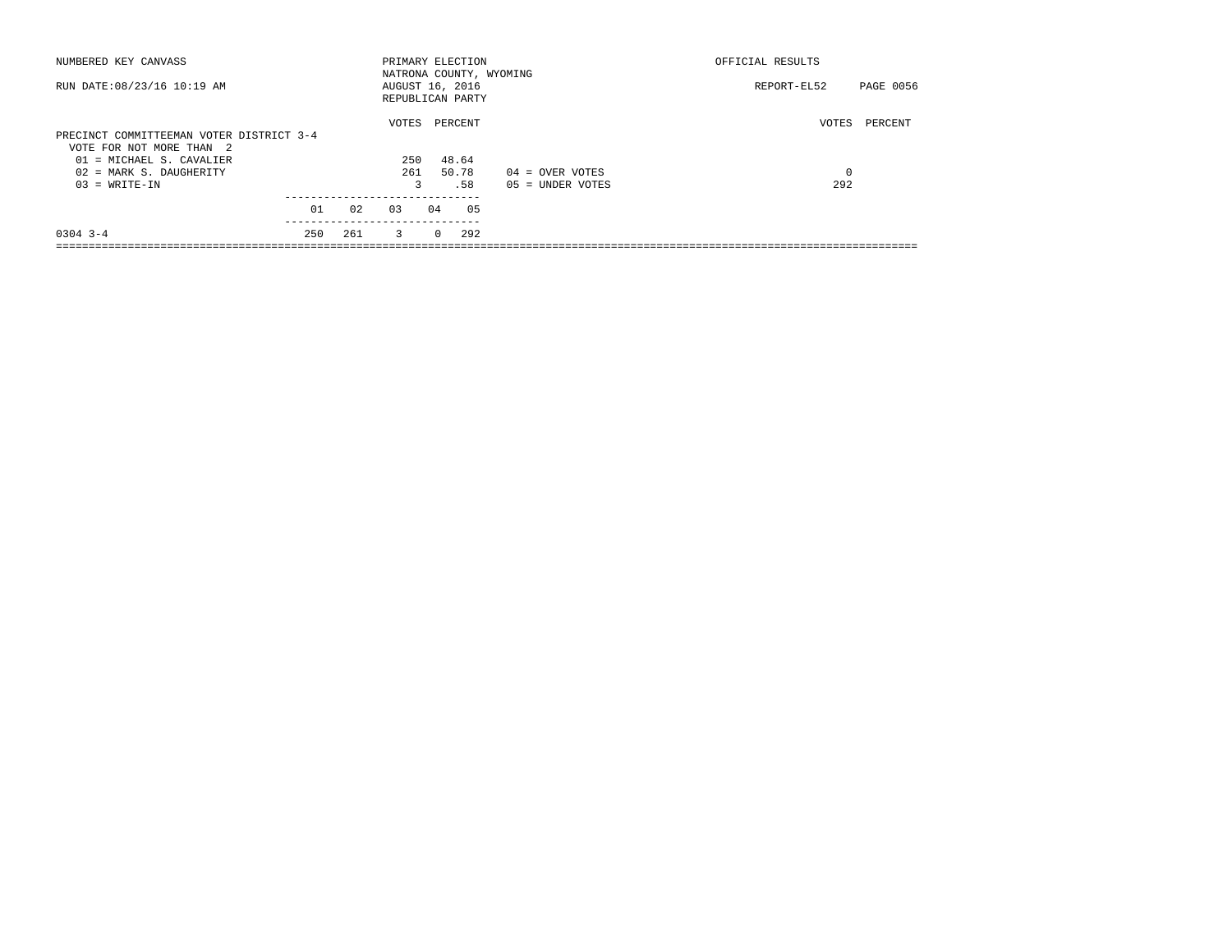| NUMBERED KEY CANVASS                     |     |     | PRIMARY ELECTION |          |         |                         | OFFICIAL RESULTS |           |
|------------------------------------------|-----|-----|------------------|----------|---------|-------------------------|------------------|-----------|
|                                          |     |     |                  |          |         | NATRONA COUNTY, WYOMING |                  |           |
| RUN DATE: 08/23/16 10:19 AM              |     |     | AUGUST 16, 2016  |          |         |                         | REPORT-EL52      | PAGE 0056 |
|                                          |     |     | REPUBLICAN PARTY |          |         |                         |                  |           |
|                                          |     |     | VOTES            |          | PERCENT |                         | VOTES            | PERCENT   |
| PRECINCT COMMITTEEMAN VOTER DISTRICT 3-4 |     |     |                  |          |         |                         |                  |           |
| VOTE FOR NOT MORE THAN 2                 |     |     |                  |          |         |                         |                  |           |
| 01 = MICHAEL S. CAVALIER                 |     |     | 250              |          | 48.64   |                         |                  |           |
| 02 = MARK S. DAUGHERITY                  |     |     | 261              |          | 50.78   | $04 =$ OVER VOTES       | 0                |           |
| $03 = WRITE-IN$                          |     |     | 3                |          | .58     | $05 = UNDER VOTES$      | 292              |           |
|                                          |     |     |                  |          |         |                         |                  |           |
|                                          | 01  | 02  | 0.3              | 04       | 05      |                         |                  |           |
| $0304$ 3-4                               | 250 | 261 | $\overline{3}$   | $\Omega$ | 292     |                         |                  |           |
|                                          |     |     |                  |          |         |                         |                  |           |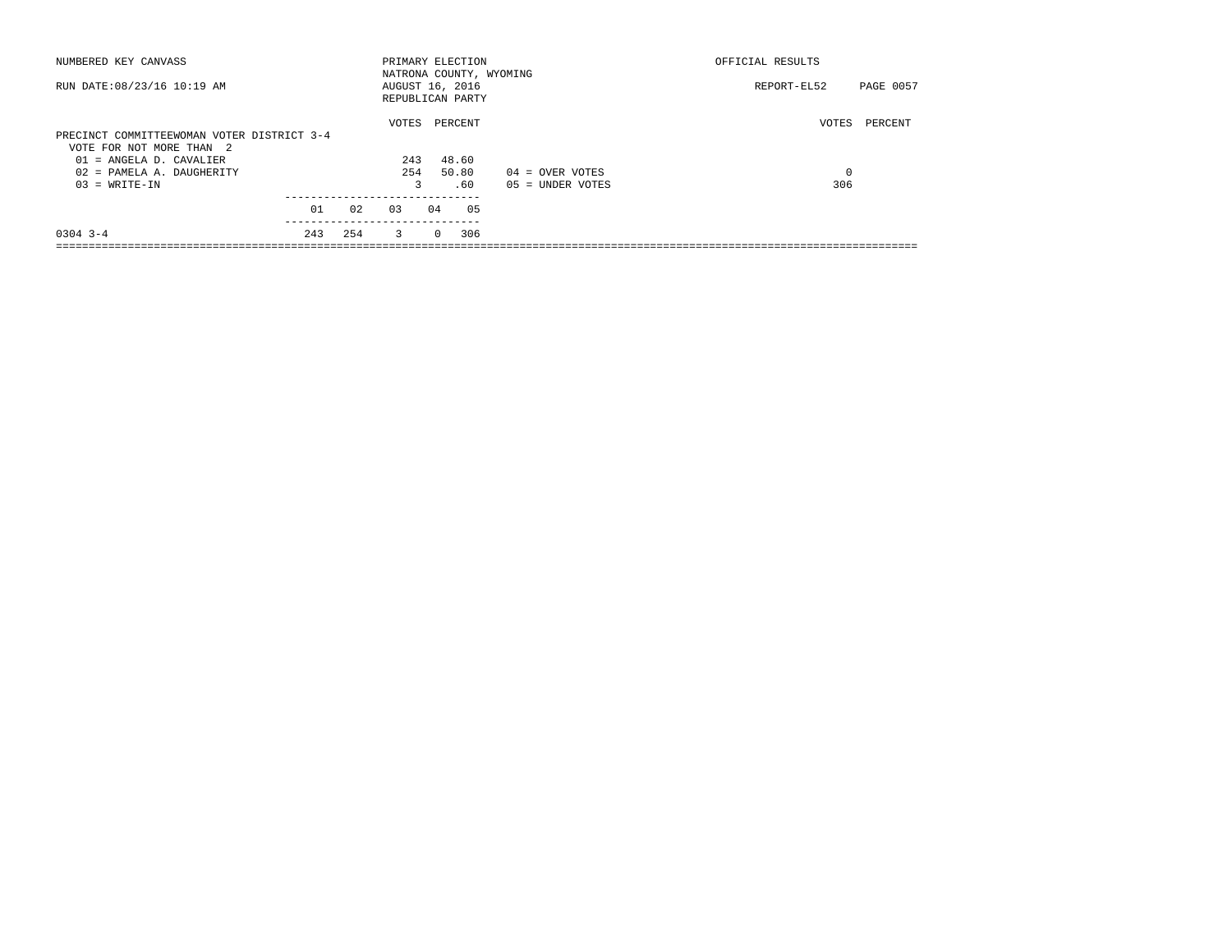| NUMBERED KEY CANVASS                       |     |     | PRIMARY ELECTION        |          |         |    |                    | OFFICIAL RESULTS |           |
|--------------------------------------------|-----|-----|-------------------------|----------|---------|----|--------------------|------------------|-----------|
|                                            |     |     | NATRONA COUNTY, WYOMING |          |         |    |                    |                  |           |
| RUN DATE: 08/23/16 10:19 AM                |     |     | AUGUST 16, 2016         |          |         |    |                    | REPORT-EL52      | PAGE 0057 |
|                                            |     |     | REPUBLICAN PARTY        |          |         |    |                    |                  |           |
|                                            |     |     | VOTES                   |          | PERCENT |    |                    | VOTES            | PERCENT   |
| PRECINCT COMMITTEEWOMAN VOTER DISTRICT 3-4 |     |     |                         |          |         |    |                    |                  |           |
| VOTE FOR NOT MORE THAN 2                   |     |     |                         |          |         |    |                    |                  |           |
| $01$ = ANGELA D. CAVALIER                  |     |     | 243                     |          | 48.60   |    |                    |                  |           |
| 02 = PAMELA A. DAUGHERITY                  |     |     | 254                     |          | 50.80   |    | $04 =$ OVER VOTES  | 0                |           |
| $03 = WRITE-IN$                            |     |     | 3                       |          | .60     |    | $05 = UNDER VOTES$ | 306              |           |
|                                            |     |     |                         |          |         |    |                    |                  |           |
|                                            | 01  | 02  | 0.3                     | 04       |         | 05 |                    |                  |           |
| $0304$ 3-4                                 | 243 | 254 | 3                       | $\Omega$ | 306     |    |                    |                  |           |
|                                            |     |     |                         |          |         |    |                    |                  |           |
|                                            |     |     |                         |          |         |    |                    |                  |           |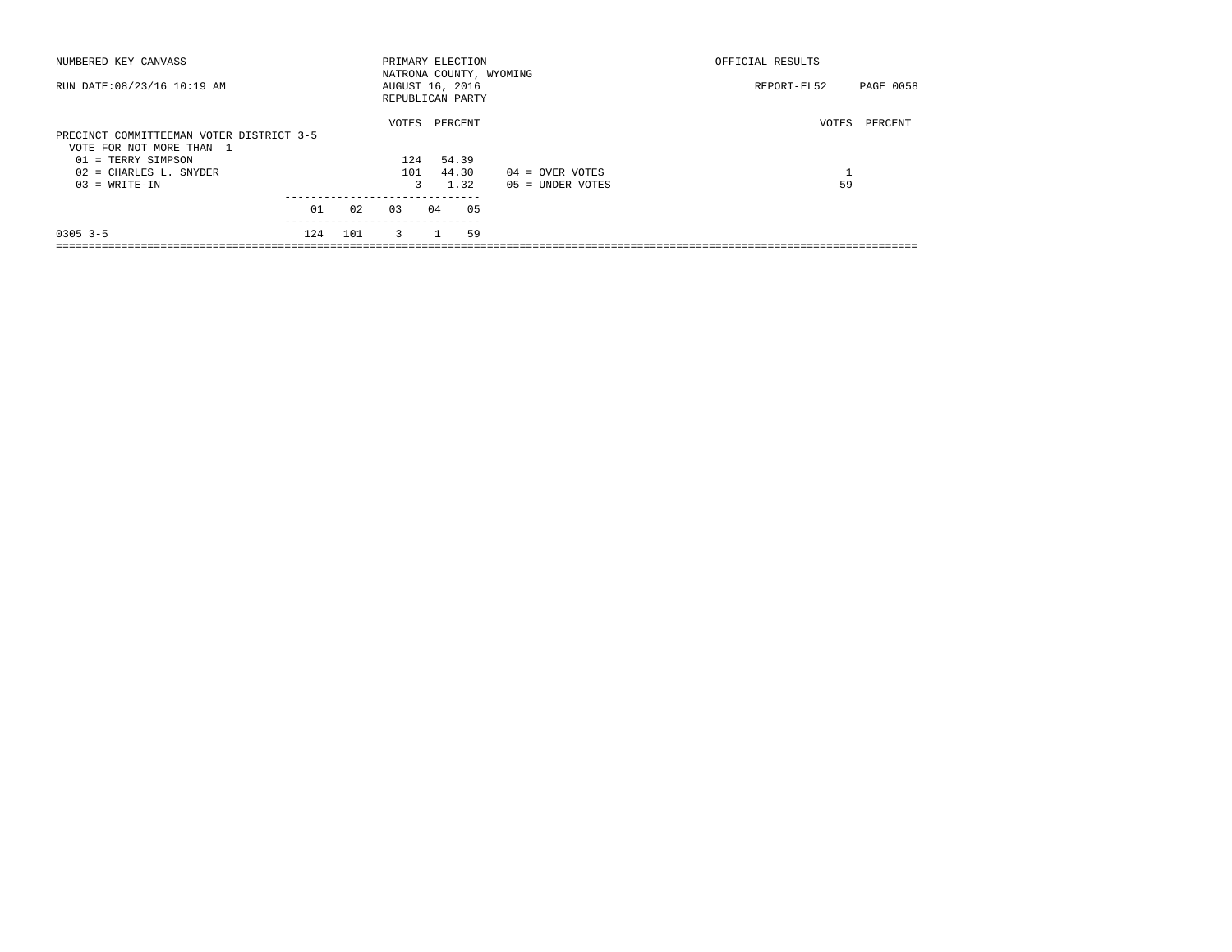| NUMBERED KEY CANVASS                     |     |     | PRIMARY ELECTION                    |    |         |                         | OFFICIAL RESULTS  |           |  |
|------------------------------------------|-----|-----|-------------------------------------|----|---------|-------------------------|-------------------|-----------|--|
| RUN DATE: 08/23/16 10:19 AM              |     |     | AUGUST 16, 2016<br>REPUBLICAN PARTY |    |         | NATRONA COUNTY, WYOMING | REPORT-EL52       | PAGE 0058 |  |
|                                          |     |     | VOTES                               |    | PERCENT |                         | VOTES             | PERCENT   |  |
| PRECINCT COMMITTEEMAN VOTER DISTRICT 3-5 |     |     |                                     |    |         |                         |                   |           |  |
| VOTE FOR NOT MORE THAN 1                 |     |     |                                     |    |         |                         |                   |           |  |
| 01 = TERRY SIMPSON                       |     |     | 124                                 |    | 54.39   |                         |                   |           |  |
| $02$ = CHARLES L. SNYDER                 |     |     | 101                                 |    | 44.30   | $04 =$ OVER VOTES       | $\mathbf{a}$<br>ᆂ |           |  |
| $03 = WRITE-IN$                          |     |     |                                     | 3  | 1.32    | $05 = UNDER VOTES$      | 59                |           |  |
|                                          |     |     |                                     |    |         |                         |                   |           |  |
|                                          | 01  | 02  | 03                                  | 04 | 05      |                         |                   |           |  |
| $0305$ 3-5                               | 124 | 101 | $\overline{3}$                      |    | 59      |                         |                   |           |  |
|                                          |     |     |                                     |    |         |                         |                   |           |  |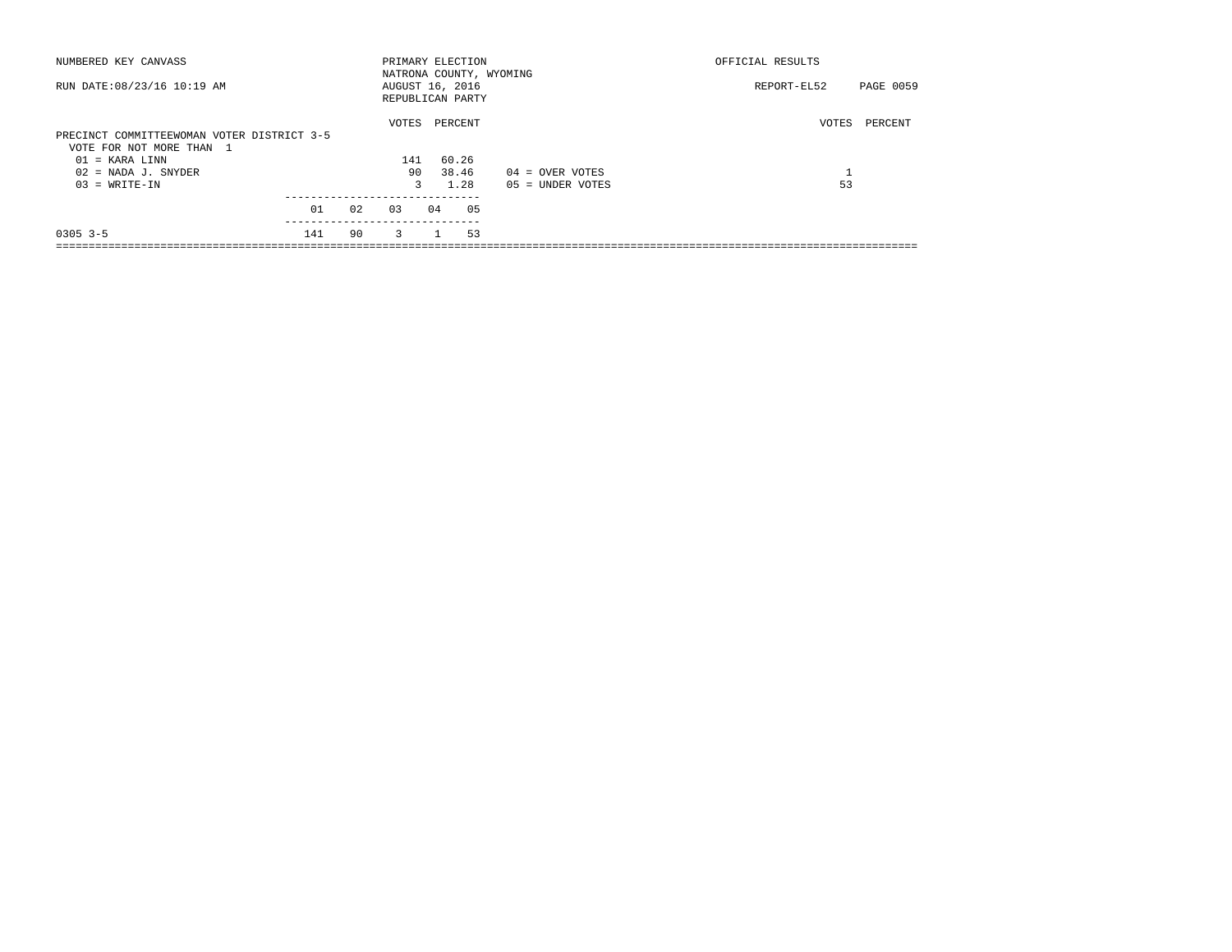| NUMBERED KEY CANVASS                                                   |     |    |                |    | PRIMARY ELECTION                    |                         | OFFICIAL RESULTS  |           |  |  |
|------------------------------------------------------------------------|-----|----|----------------|----|-------------------------------------|-------------------------|-------------------|-----------|--|--|
| RUN DATE: 08/23/16 10:19 AM                                            |     |    |                |    | AUGUST 16, 2016<br>REPUBLICAN PARTY | NATRONA COUNTY, WYOMING | REPORT-EL52       | PAGE 0059 |  |  |
|                                                                        |     |    | VOTES          |    | PERCENT                             |                         | VOTES             | PERCENT   |  |  |
| PRECINCT COMMITTEEWOMAN VOTER DISTRICT 3-5<br>VOTE FOR NOT MORE THAN 1 |     |    |                |    |                                     |                         |                   |           |  |  |
| $01 = KARA$ LINN                                                       |     |    | 141            |    | 60.26                               |                         |                   |           |  |  |
| $02$ = NADA J. SNYDER                                                  |     |    | 90             |    | 38.46                               | $04 =$ OVER VOTES       | $\mathbf{a}$<br>ᆂ |           |  |  |
| $03 = WRITE-IN$                                                        |     |    | 3              |    | 1.28                                | $05 = UNDER VOTES$      | 53                |           |  |  |
|                                                                        | 01  | 02 | 03             | 04 | 05                                  |                         |                   |           |  |  |
| $0305$ 3-5                                                             | 141 | 90 | $\overline{3}$ |    | 53                                  |                         |                   |           |  |  |
|                                                                        |     |    |                |    |                                     |                         |                   |           |  |  |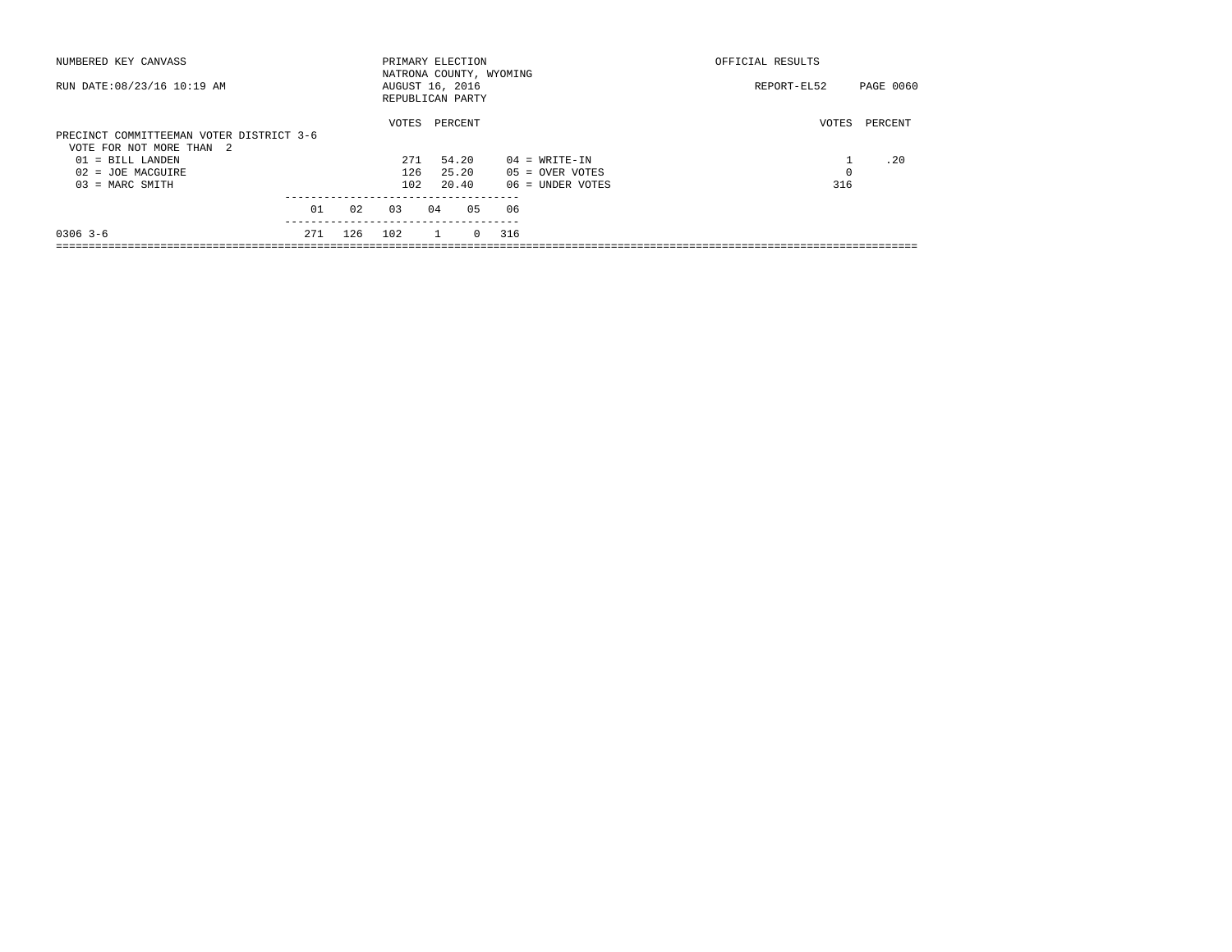| NUMBERED KEY CANVASS                     |     |     | PRIMARY ELECTION        |    |         |            |     |                   | OFFICIAL RESULTS |           |
|------------------------------------------|-----|-----|-------------------------|----|---------|------------|-----|-------------------|------------------|-----------|
|                                          |     |     | NATRONA COUNTY, WYOMING |    |         |            |     |                   |                  |           |
| RUN DATE: 08/23/16 10:19 AM              |     |     | AUGUST 16, 2016         |    |         |            |     |                   | REPORT-EL52      | PAGE 0060 |
|                                          |     |     | REPUBLICAN PARTY        |    |         |            |     |                   |                  |           |
|                                          |     |     | VOTES                   |    | PERCENT |            |     |                   | VOTES            | PERCENT   |
| PRECINCT COMMITTEEMAN VOTER DISTRICT 3-6 |     |     |                         |    |         |            |     |                   |                  |           |
| VOTE FOR NOT MORE THAN 2                 |     |     |                         |    |         |            |     |                   |                  |           |
| 01 = BILL LANDEN                         |     |     | 271                     |    | 54.20   |            |     | $04 = WRITE-IN$   |                  | .20       |
| $02 = JOE MACGUIRE$                      |     |     | 126                     |    | 25.20   |            |     | $05 =$ OVER VOTES | 0                |           |
| $03$ = MARC SMITH                        |     |     | 102                     |    | 20.40   |            |     | 06 = UNDER VOTES  | 316              |           |
|                                          |     |     |                         |    |         |            |     |                   |                  |           |
|                                          | 01  | 02  | 03                      | 04 |         | 0.5        | 06  |                   |                  |           |
| $0306$ 3-6                               | 271 | 126 | 102                     |    |         | $^{\circ}$ | 316 |                   |                  |           |
|                                          |     |     |                         |    |         |            |     |                   |                  |           |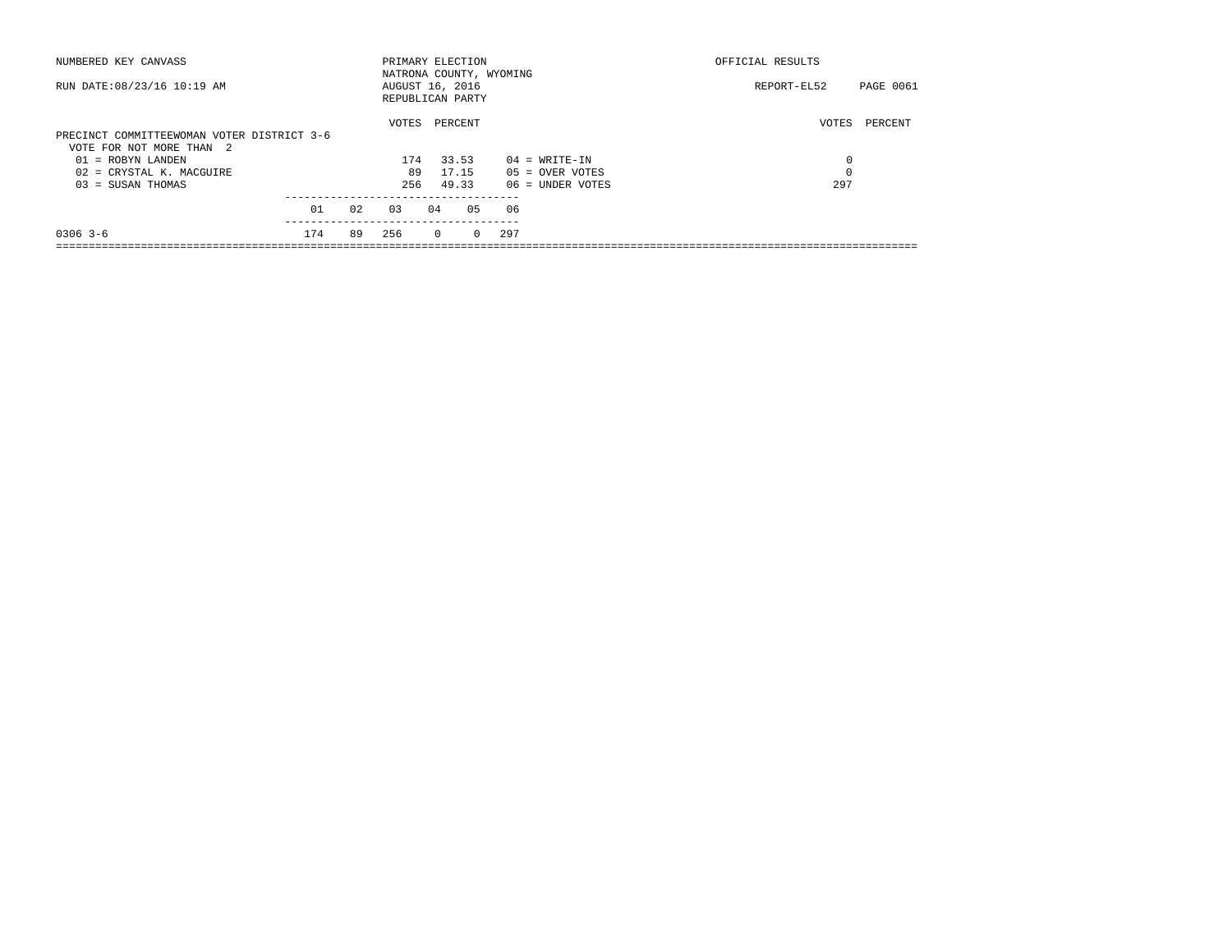| NUMBERED KEY CANVASS                       |     |    | PRIMARY ELECTION        |          |         |          |     |                    | OFFICIAL RESULTS |                  |
|--------------------------------------------|-----|----|-------------------------|----------|---------|----------|-----|--------------------|------------------|------------------|
|                                            |     |    | NATRONA COUNTY, WYOMING |          |         |          |     |                    |                  |                  |
| RUN DATE: 08/23/16 10:19 AM                |     |    | AUGUST 16, 2016         |          |         |          |     |                    | REPORT-EL52      | <b>PAGE 0061</b> |
|                                            |     |    | REPUBLICAN PARTY        |          |         |          |     |                    |                  |                  |
|                                            |     |    | VOTES                   |          | PERCENT |          |     |                    | VOTES            | PERCENT          |
| PRECINCT COMMITTEEWOMAN VOTER DISTRICT 3-6 |     |    |                         |          |         |          |     |                    |                  |                  |
| VOTE FOR NOT MORE THAN 2                   |     |    |                         |          |         |          |     |                    |                  |                  |
| 01 = ROBYN LANDEN                          |     |    | 174                     |          | 33.53   |          |     | $04 = WRITE-IN$    |                  | 0                |
| 02 = CRYSTAL K. MACGUIRE                   |     |    | 89                      |          | 17.15   |          |     | $05 =$ OVER VOTES  |                  | $\mathbf 0$      |
| $03 = SUBAN THOMAS$                        |     |    | 256                     |          | 49.33   |          |     | $06$ = UNDER VOTES |                  | 297              |
|                                            |     |    |                         |          |         |          |     |                    |                  |                  |
|                                            | 01  | 02 | 03                      | 04       |         | 05       | 06  |                    |                  |                  |
| $0306$ 3-6                                 | 174 | 89 | 256                     | $\Omega$ |         | $\Omega$ | 297 |                    |                  |                  |
|                                            |     |    |                         |          |         |          |     |                    |                  |                  |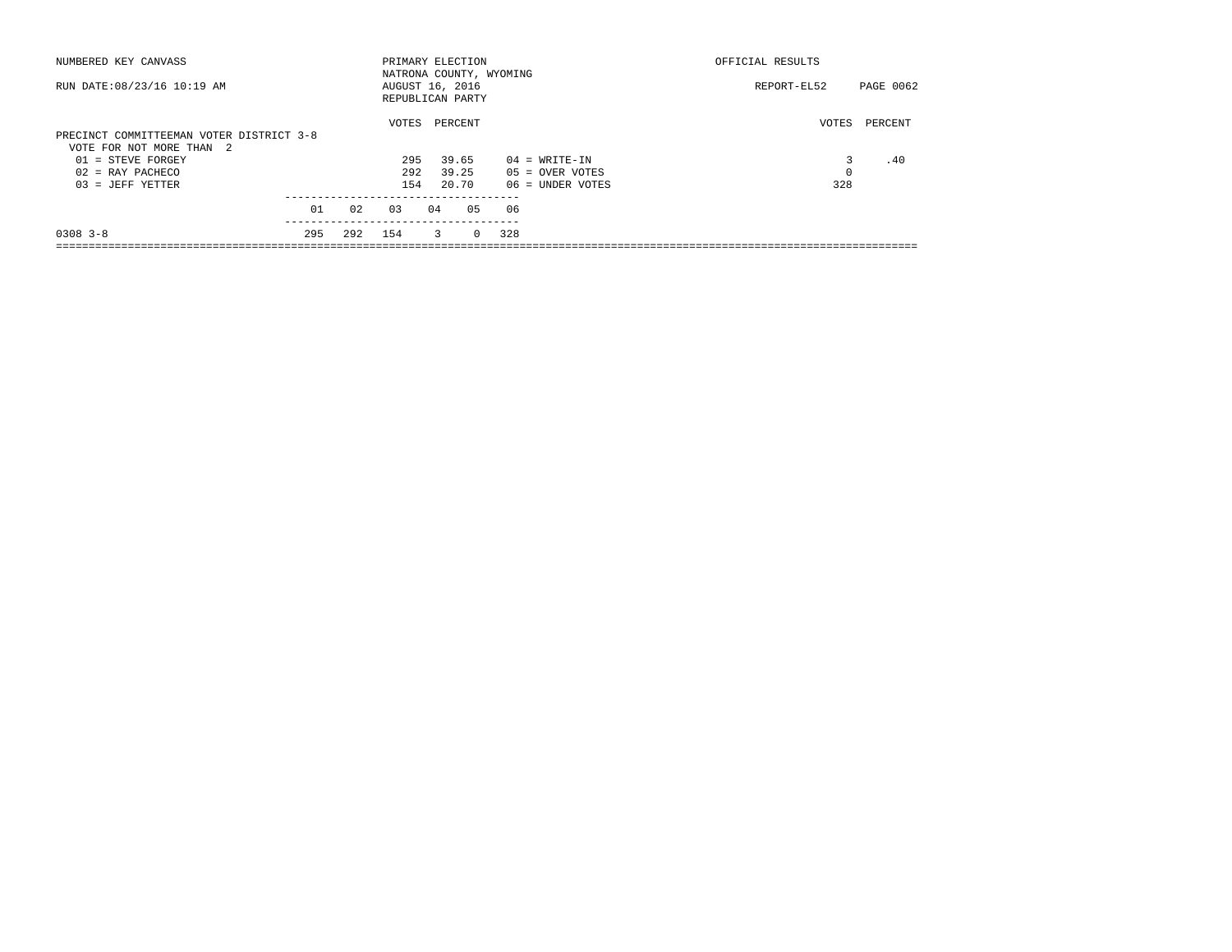| NUMBERED KEY CANVASS                     |     |     | PRIMARY ELECTION        |    |         |          |     |                    | OFFICIAL RESULTS |           |
|------------------------------------------|-----|-----|-------------------------|----|---------|----------|-----|--------------------|------------------|-----------|
|                                          |     |     | NATRONA COUNTY, WYOMING |    |         |          |     |                    |                  |           |
| RUN DATE: 08/23/16 10:19 AM              |     |     | AUGUST 16, 2016         |    |         |          |     |                    | REPORT-EL52      | PAGE 0062 |
|                                          |     |     | REPUBLICAN PARTY        |    |         |          |     |                    |                  |           |
|                                          |     |     | VOTES                   |    | PERCENT |          |     |                    | VOTES            | PERCENT   |
| PRECINCT COMMITTEEMAN VOTER DISTRICT 3-8 |     |     |                         |    |         |          |     |                    |                  |           |
| VOTE FOR NOT MORE THAN 2                 |     |     |                         |    |         |          |     |                    |                  |           |
| $01 =$ STEVE FORGEY                      |     |     | 295                     |    | 39.65   |          |     | $04 = WRTTE-IN$    | 3                | .40       |
| $02$ = RAY PACHECO                       |     |     | 292                     |    | 39.25   |          |     | $05 =$ OVER VOTES  | 0                |           |
| $03 = JEFF YETTER$                       |     |     | 154                     |    | 20.70   |          |     | $06$ = UNDER VOTES | 328              |           |
|                                          |     |     |                         |    |         |          |     |                    |                  |           |
|                                          | 01  | 02  | 03                      | 04 |         | 0.5      | 06  |                    |                  |           |
| $0308$ 3-8                               | 295 | 292 | 154                     |    | 3       | $\Omega$ | 328 |                    |                  |           |
|                                          |     |     |                         |    |         |          |     |                    |                  |           |
|                                          |     |     |                         |    |         |          |     |                    |                  |           |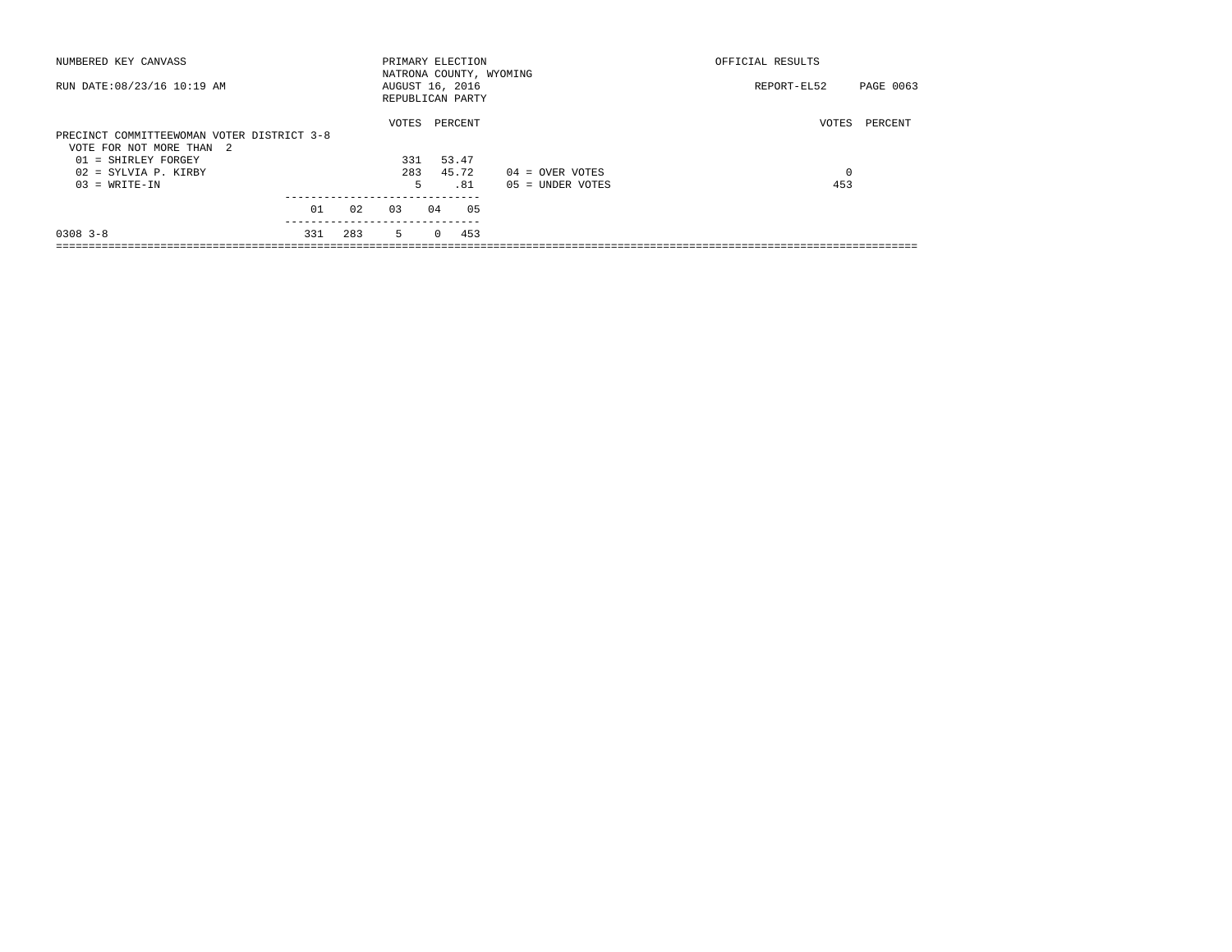| NUMBERED KEY CANVASS                       |     |     | PRIMARY ELECTION                    |          |         |                         | OFFICIAL RESULTS |           |  |  |
|--------------------------------------------|-----|-----|-------------------------------------|----------|---------|-------------------------|------------------|-----------|--|--|
| RUN DATE: 08/23/16 10:19 AM                |     |     | AUGUST 16, 2016<br>REPUBLICAN PARTY |          |         | NATRONA COUNTY, WYOMING | REPORT-EL52      | PAGE 0063 |  |  |
|                                            |     |     | VOTES                               |          | PERCENT |                         | VOTES            | PERCENT   |  |  |
| PRECINCT COMMITTEEWOMAN VOTER DISTRICT 3-8 |     |     |                                     |          |         |                         |                  |           |  |  |
| VOTE FOR NOT MORE THAN 2                   |     |     |                                     |          |         |                         |                  |           |  |  |
| 01 = SHIRLEY FORGEY                        |     |     | 331                                 |          | 53.47   |                         |                  |           |  |  |
| 02 = SYLVIA P. KIRBY                       |     |     | 283                                 |          | 45.72   | $04 =$ OVER VOTES       | 0                |           |  |  |
| $03 = WRITE-IN$                            |     |     | 5                                   |          | . 81    | $05 = UNDER VOTES$      | 453              |           |  |  |
|                                            | 01  | 02  | 0.3                                 | 04       | 05      |                         |                  |           |  |  |
|                                            |     |     |                                     |          |         |                         |                  |           |  |  |
| $0308$ $3 - 8$                             | 331 | 283 | $5 -$                               | $\Omega$ | 453     |                         |                  |           |  |  |
|                                            |     |     |                                     |          |         |                         |                  |           |  |  |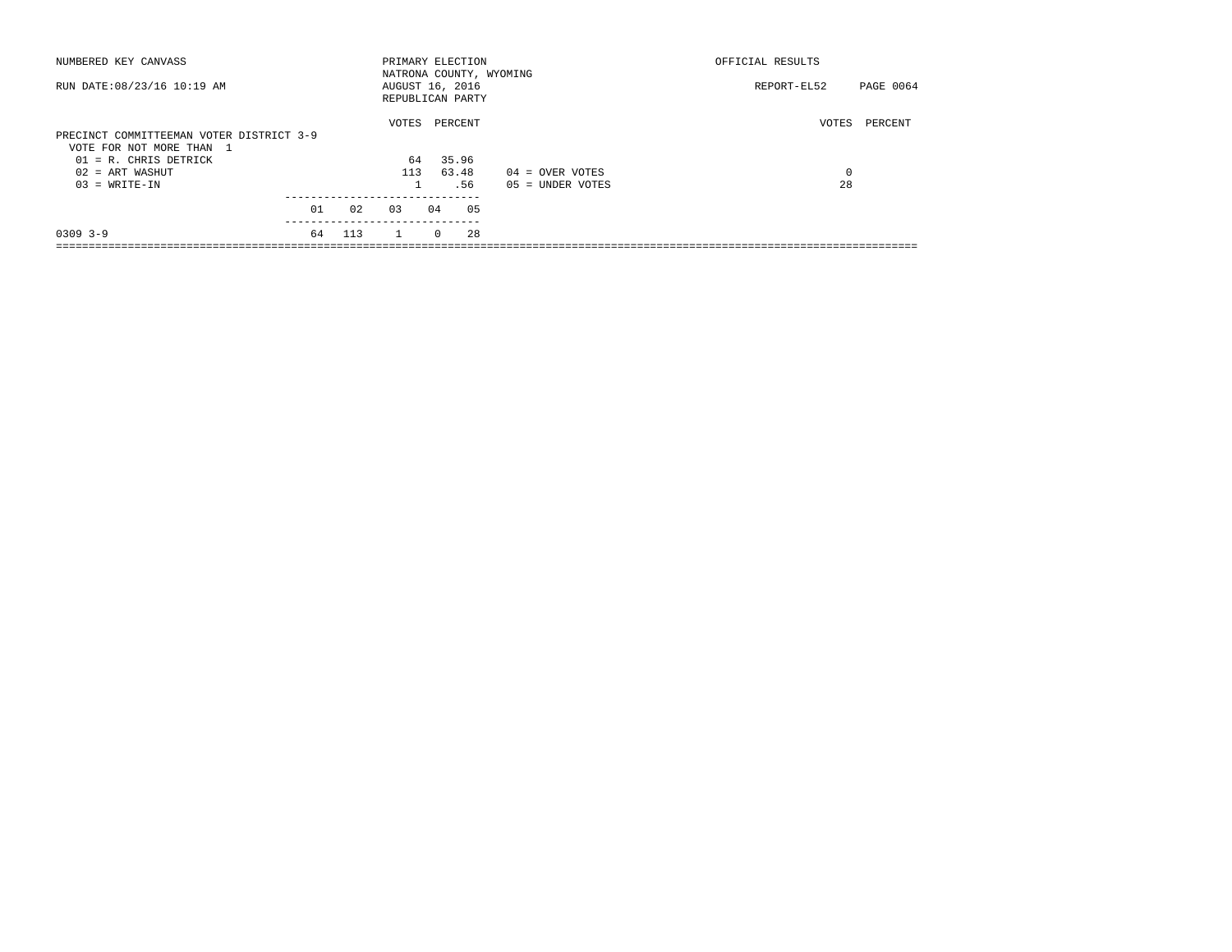| NUMBERED KEY CANVASS                     |    |     | PRIMARY ELECTION        |          |         |    |                    | OFFICIAL RESULTS |           |
|------------------------------------------|----|-----|-------------------------|----------|---------|----|--------------------|------------------|-----------|
|                                          |    |     | NATRONA COUNTY, WYOMING |          |         |    |                    |                  |           |
| RUN DATE: 08/23/16 10:19 AM              |    |     | AUGUST 16, 2016         |          |         |    |                    | REPORT-EL52      | PAGE 0064 |
|                                          |    |     | REPUBLICAN PARTY        |          |         |    |                    |                  |           |
|                                          |    |     | VOTES                   |          | PERCENT |    |                    | VOTES            | PERCENT   |
| PRECINCT COMMITTEEMAN VOTER DISTRICT 3-9 |    |     |                         |          |         |    |                    |                  |           |
| VOTE FOR NOT MORE THAN 1                 |    |     |                         |          |         |    |                    |                  |           |
| $01$ = R. CHRIS DETRICK                  |    |     | 64                      |          | 35.96   |    |                    |                  |           |
| $02$ = ART WASHUT                        |    |     | 113                     |          | 63.48   |    | $04 =$ OVER VOTES  | 0                |           |
| $03 = WRITE-IN$                          |    |     |                         |          | .56     |    | $05 = UNDER VOTES$ | 28               |           |
|                                          |    |     |                         |          |         |    |                    |                  |           |
|                                          | 01 | 02  | 0.3                     | 04       |         | 05 |                    |                  |           |
| $0309$ $3-9$                             | 64 | 113 | $\mathbf{1}$            | $\Omega$ |         | 28 |                    |                  |           |
|                                          |    |     |                         |          |         |    |                    |                  |           |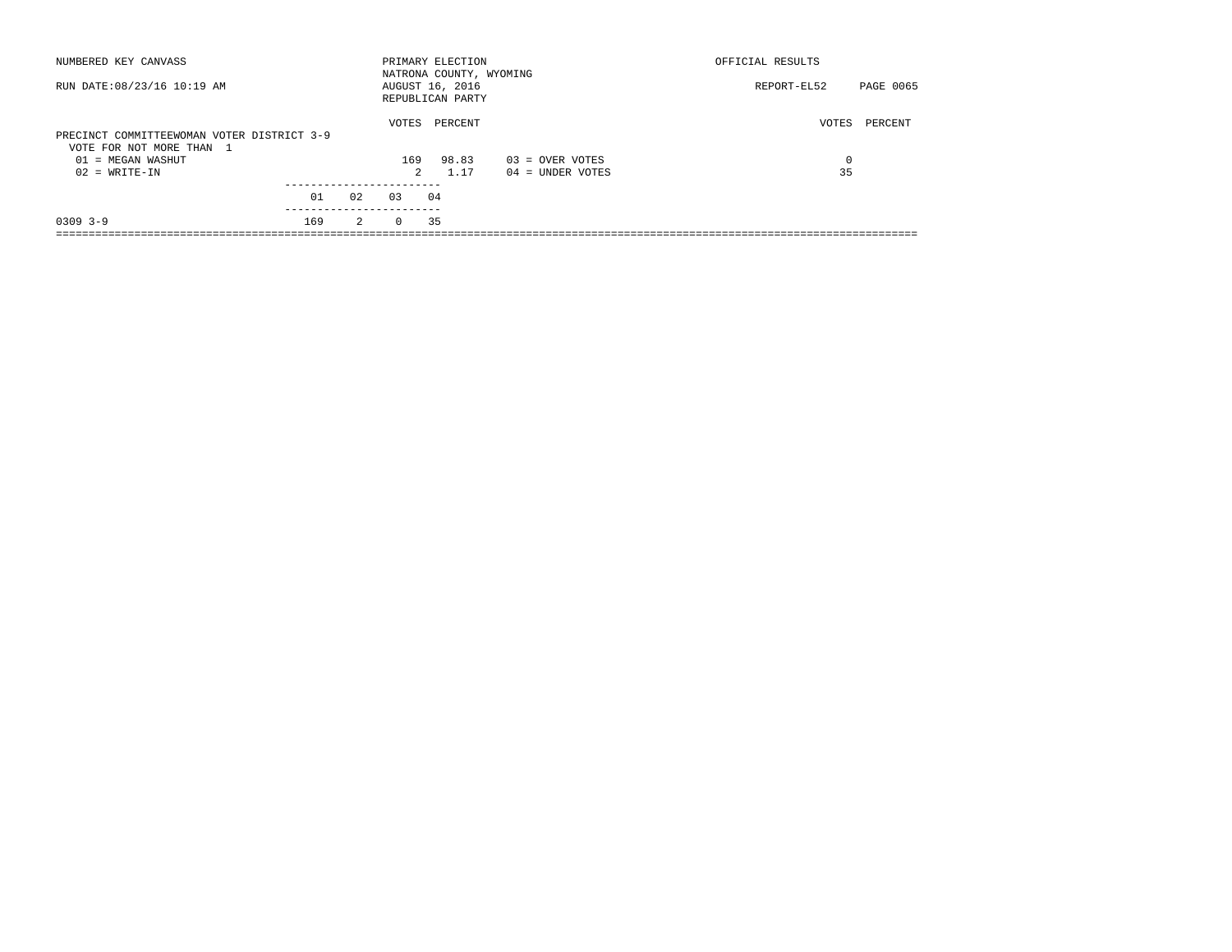| NUMBERED KEY CANVASS                                                   |     |    |          | PRIMARY ELECTION<br>NATRONA COUNTY, WYOMING |                   | OFFICIAL RESULTS |           |
|------------------------------------------------------------------------|-----|----|----------|---------------------------------------------|-------------------|------------------|-----------|
| RUN DATE: 08/23/16 10:19 AM                                            |     |    |          | AUGUST 16, 2016<br>REPUBLICAN PARTY         |                   | REPORT-EL52      | PAGE 0065 |
| PRECINCT COMMITTEEWOMAN VOTER DISTRICT 3-9<br>VOTE FOR NOT MORE THAN 1 |     |    | VOTES    | PERCENT                                     |                   | VOTES            | PERCENT   |
| $01 = MEGAN WASHUT$                                                    |     |    | 169      | 98.83                                       | $03 =$ OVER VOTES | 0                |           |
| $02 = WRITE-IN$                                                        |     |    | 2        | 1.17                                        | 04 = UNDER VOTES  | 35               |           |
|                                                                        |     |    |          |                                             |                   |                  |           |
|                                                                        | 01  | 02 | 03       | 04                                          |                   |                  |           |
| $0309$ 3-9                                                             | 169 | 2  | $\Omega$ | 35                                          |                   |                  |           |
|                                                                        |     |    |          |                                             |                   |                  |           |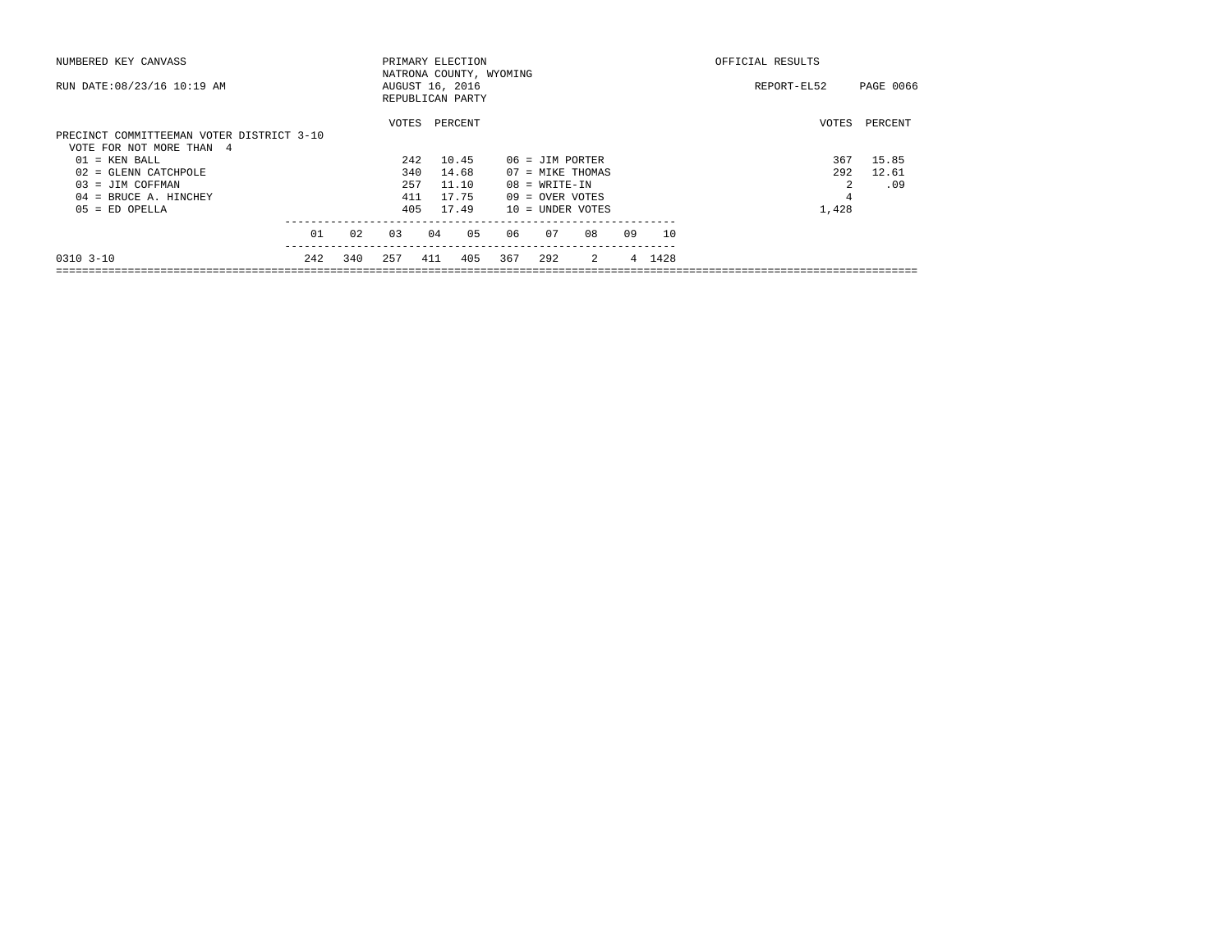| NUMBERED KEY CANVASS                                                  |     |     | PRIMARY ELECTION                                               |         |       |     | OFFICIAL RESULTS   |                |    |           |             |           |
|-----------------------------------------------------------------------|-----|-----|----------------------------------------------------------------|---------|-------|-----|--------------------|----------------|----|-----------|-------------|-----------|
| RUN DATE: 08/23/16 10:19 AM                                           |     |     | NATRONA COUNTY, WYOMING<br>AUGUST 16, 2016<br>REPUBLICAN PARTY |         |       |     |                    |                |    |           | REPORT-EL52 | PAGE 0066 |
| PRECINCT COMMITTEEMAN VOTER DISTRICT 3-10<br>VOTE FOR NOT MORE THAN 4 |     |     | VOTES                                                          | PERCENT |       |     |                    |                |    |           | VOTES       | PERCENT   |
| $01 = KEN BALL$                                                       |     |     | 242                                                            | 10.45   |       |     | 06 = JIM PORTER    |                |    |           | 367         | 15.85     |
| $02$ = GLENN CATCHPOLE                                                |     |     | 340                                                            |         | 14.68 |     | 07 = MIKE THOMAS   |                |    |           | 292         | 12.61     |
| $03 = JIM COFFMAN$                                                    |     |     | 257                                                            |         | 11.10 |     | $08 = WRITE-IN$    |                |    |           | 2           | .09       |
| $04$ = BRUCE A. HINCHEY                                               |     |     | 411                                                            | 17.75   |       |     | $09 =$ OVER VOTES  |                |    |           | 4           |           |
| $05 = ED$ OPELLA                                                      |     |     | 405                                                            | 17.49   |       |     | $10 = UNDER VOTES$ |                |    |           | 1,428       |           |
|                                                                       | 01  | 0.2 | 03                                                             | 04      | 05    | 06  | 07                 | 08             | 09 | <b>10</b> |             |           |
| $0.310 + 3 - 10$                                                      | 242 | 340 | 257                                                            | 411     | 405   | 367 | 292                | $\overline{2}$ |    | 4 1428    |             |           |
|                                                                       |     |     |                                                                |         |       |     |                    |                |    |           |             |           |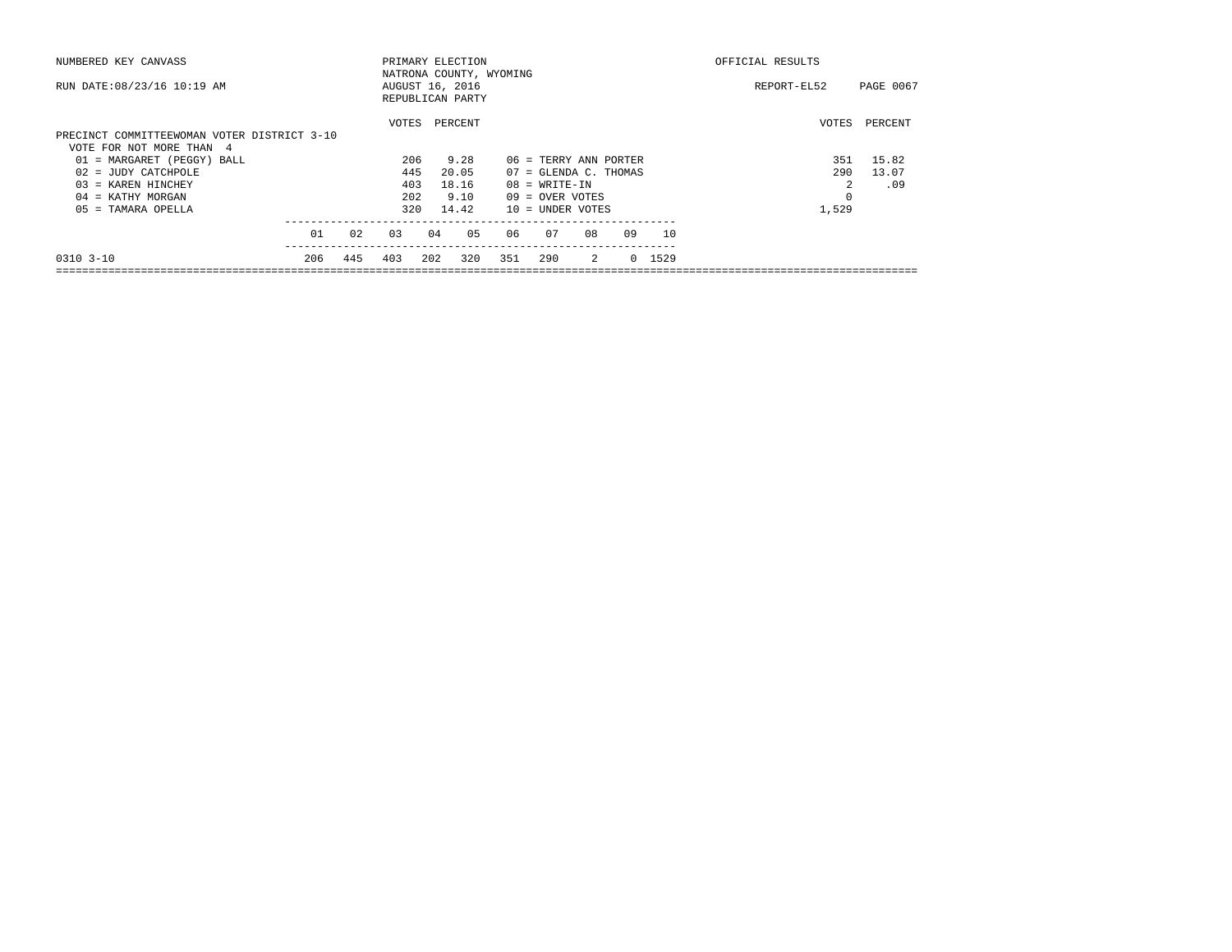| NUMBERED KEY CANVASS                        |     | PRIMARY ELECTION |                                                                |     |         |     |                                |                |    |        |             | OFFICIAL RESULTS |         |
|---------------------------------------------|-----|------------------|----------------------------------------------------------------|-----|---------|-----|--------------------------------|----------------|----|--------|-------------|------------------|---------|
| RUN DATE: 08/23/16 10:19 AM                 |     |                  | NATRONA COUNTY, WYOMING<br>AUGUST 16, 2016<br>REPUBLICAN PARTY |     |         |     |                                |                |    |        | REPORT-EL52 | PAGE 0067        |         |
|                                             |     |                  | VOTES                                                          |     | PERCENT |     |                                |                |    |        |             | VOTES            | PERCENT |
| PRECINCT COMMITTEEWOMAN VOTER DISTRICT 3-10 |     |                  |                                                                |     |         |     |                                |                |    |        |             |                  |         |
| VOTE FOR NOT MORE THAN 4                    |     |                  |                                                                |     |         |     |                                |                |    |        |             |                  |         |
| 01 = MARGARET (PEGGY) BALL                  |     |                  | 206                                                            |     | 9.28    |     | 06 = TERRY ANN PORTER          |                |    |        |             | 351              | 15.82   |
| $02 = JUDY CATCHPOLE$                       |     |                  | 445                                                            |     | 20.05   |     | $07 = \text{GLENDA C. THOMAS}$ |                |    |        |             | 290              | 13.07   |
| $03$ = KAREN HINCHEY                        |     |                  | 403                                                            |     | 18.16   |     | $08 = WRITE-TN$                |                |    |        |             |                  | .09     |
| $04$ = KATHY MORGAN                         |     |                  | 202                                                            |     | 9.10    |     | $09 =$ OVER VOTES              |                |    |        |             |                  |         |
| 05 = TAMARA OPELLA                          |     |                  | 320                                                            |     | 14.42   |     | $10 =$ UNDER VOTES             |                |    |        |             | 1,529            |         |
|                                             | 01  | 02               | 03                                                             | 04  | 05      | 06  | 07                             | 08             | 09 |        | 10          |                  |         |
| $0.310 - 3 - 10$                            | 206 | 445              | 403                                                            | 202 | 320     | 351 | 290                            | $\overline{2}$ |    | 0 1529 |             |                  |         |
|                                             |     |                  |                                                                |     |         |     |                                |                |    |        |             |                  |         |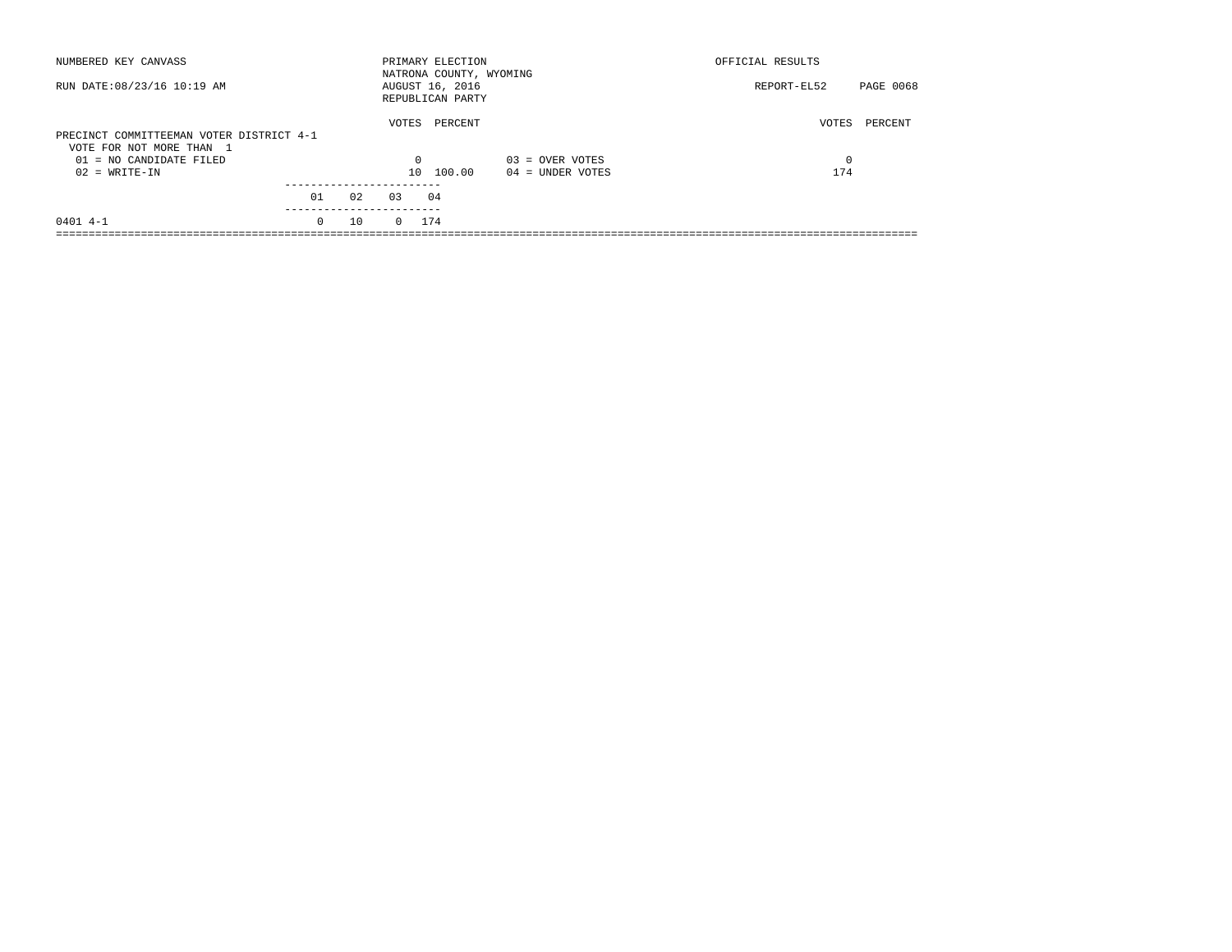| NUMBERED KEY CANVASS                                                 |                        |    |                 | PRIMARY ELECTION<br>NATRONA COUNTY, WYOMING |                   | OFFICIAL RESULTS |                  |
|----------------------------------------------------------------------|------------------------|----|-----------------|---------------------------------------------|-------------------|------------------|------------------|
| RUN DATE: 08/23/16 10:19 AM                                          |                        |    |                 | AUGUST 16, 2016<br>REPUBLICAN PARTY         |                   | REPORT-EL52      | <b>PAGE 0068</b> |
| PRECINCT COMMITTEEMAN VOTER DISTRICT 4-1<br>VOTE FOR NOT MORE THAN 1 |                        |    | VOTES           | PERCENT                                     |                   | VOTES            | PERCENT          |
| $01 = NO$ CANDIDATE FILED                                            |                        |    | $\Omega$        |                                             | $03 =$ OVER VOTES | 0                |                  |
| $02 = WRITE-IN$                                                      |                        |    | 10 <sup>1</sup> | 100.00                                      | 04 = UNDER VOTES  | 174              |                  |
|                                                                      |                        |    |                 |                                             |                   |                  |                  |
|                                                                      | 01                     | 02 | 0.3             | 04                                          |                   |                  |                  |
| $0401$ 4-1                                                           | ----------<br>$\Omega$ | 10 | $0 \t 174$      |                                             |                   |                  |                  |
|                                                                      |                        |    |                 |                                             |                   |                  |                  |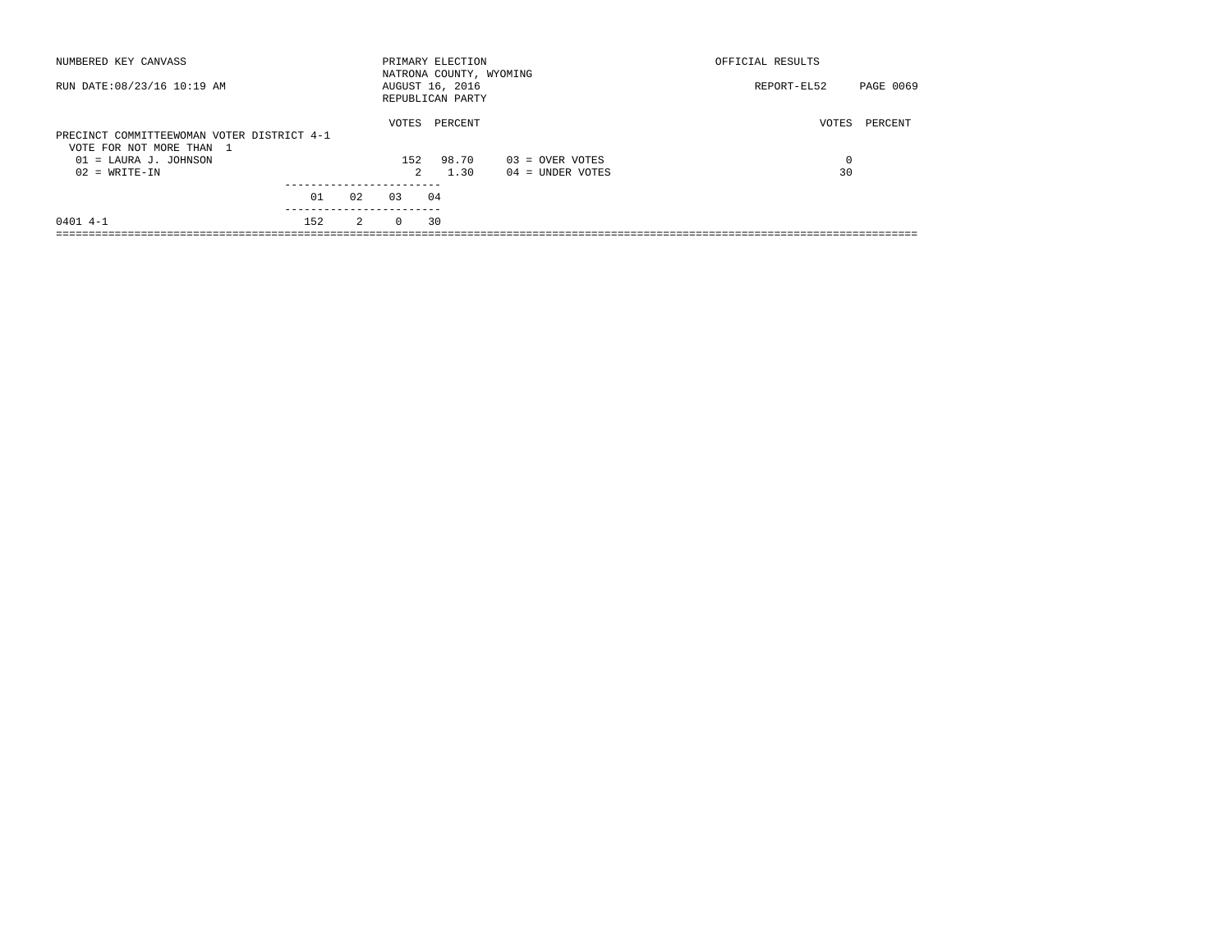| NUMBERED KEY CANVASS                                                   |    |                     | PRIMARY ELECTION<br>NATRONA COUNTY, WYOMING |                                       | OFFICIAL RESULTS |           |
|------------------------------------------------------------------------|----|---------------------|---------------------------------------------|---------------------------------------|------------------|-----------|
| RUN DATE: 08/23/16 10:19 AM                                            |    |                     | AUGUST 16, 2016<br>REPUBLICAN PARTY         |                                       | REPORT-EL52      | PAGE 0069 |
| PRECINCT COMMITTEEWOMAN VOTER DISTRICT 4-1<br>VOTE FOR NOT MORE THAN 1 |    | VOTES               | PERCENT                                     |                                       | VOTES            | PERCENT   |
| $01 =$ LAURA J. JOHNSON<br>$02 = WRITE-IN$                             |    | 152<br>$\mathbf{2}$ | 98.70<br>1.30                               | $03 =$ OVER VOTES<br>04 = UNDER VOTES | 0<br>30          |           |
|                                                                        |    |                     |                                             |                                       |                  |           |
| 01                                                                     | 02 | 03                  | 04                                          |                                       |                  |           |
| $0401$ 4-1<br>152                                                      | 2  | $\Omega$            | 30                                          |                                       |                  |           |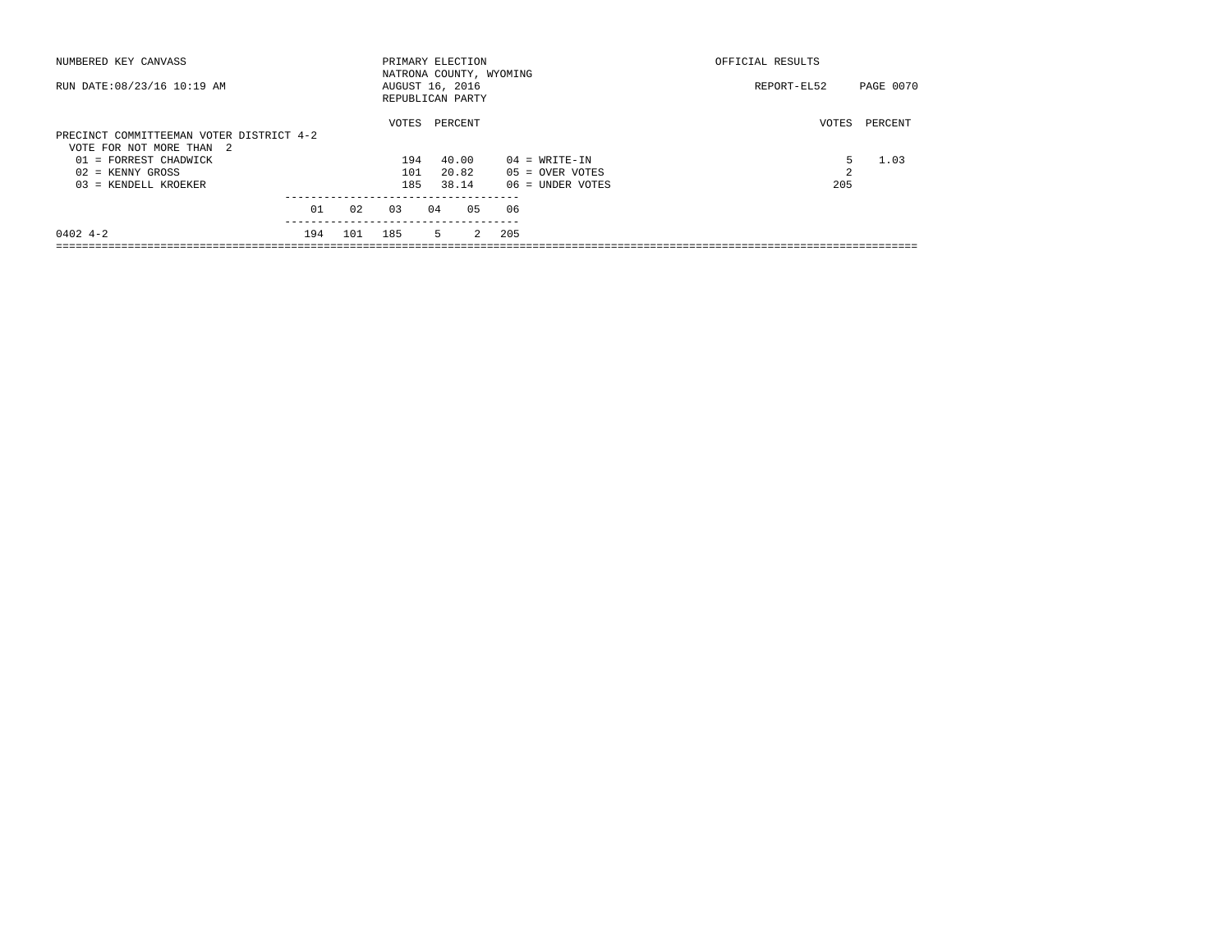| NUMBERED KEY CANVASS                     |     |     | PRIMARY ELECTION        |    |         |                |     |                    | OFFICIAL RESULTS |           |
|------------------------------------------|-----|-----|-------------------------|----|---------|----------------|-----|--------------------|------------------|-----------|
|                                          |     |     | NATRONA COUNTY, WYOMING |    |         |                |     |                    |                  |           |
| RUN DATE: 08/23/16 10:19 AM              |     |     | AUGUST 16, 2016         |    |         |                |     |                    | REPORT-EL52      | PAGE 0070 |
|                                          |     |     | REPUBLICAN PARTY        |    |         |                |     |                    |                  |           |
|                                          |     |     |                         |    |         |                |     |                    |                  |           |
|                                          |     |     | VOTES                   |    | PERCENT |                |     |                    | VOTES            | PERCENT   |
| PRECINCT COMMITTEEMAN VOTER DISTRICT 4-2 |     |     |                         |    |         |                |     |                    |                  |           |
| VOTE FOR NOT MORE THAN 2                 |     |     |                         |    |         |                |     |                    |                  |           |
| $01$ = FORREST CHADWICK                  |     |     | 194                     |    | 40.00   |                |     | $04 = WRTTE-TN$    | 5.               | 1.03      |
| $02$ = KENNY GROSS                       |     |     | 101                     |    | 20.82   |                |     | $05 =$ OVER VOTES  | $\mathfrak{D}$   |           |
| 03 = KENDELL KROEKER                     |     |     | 185                     |    | 38.14   |                |     | $06$ = UNDER VOTES | 205              |           |
|                                          |     |     |                         |    |         |                |     |                    |                  |           |
|                                          | 01  | 02  | 0.3                     | 04 |         | 05             | 06  |                    |                  |           |
|                                          |     |     |                         |    |         |                |     |                    |                  |           |
| $0402 + -2$                              | 194 | 101 | 185                     |    | 5       | $\overline{2}$ | 205 |                    |                  |           |
|                                          |     |     |                         |    |         |                |     |                    |                  |           |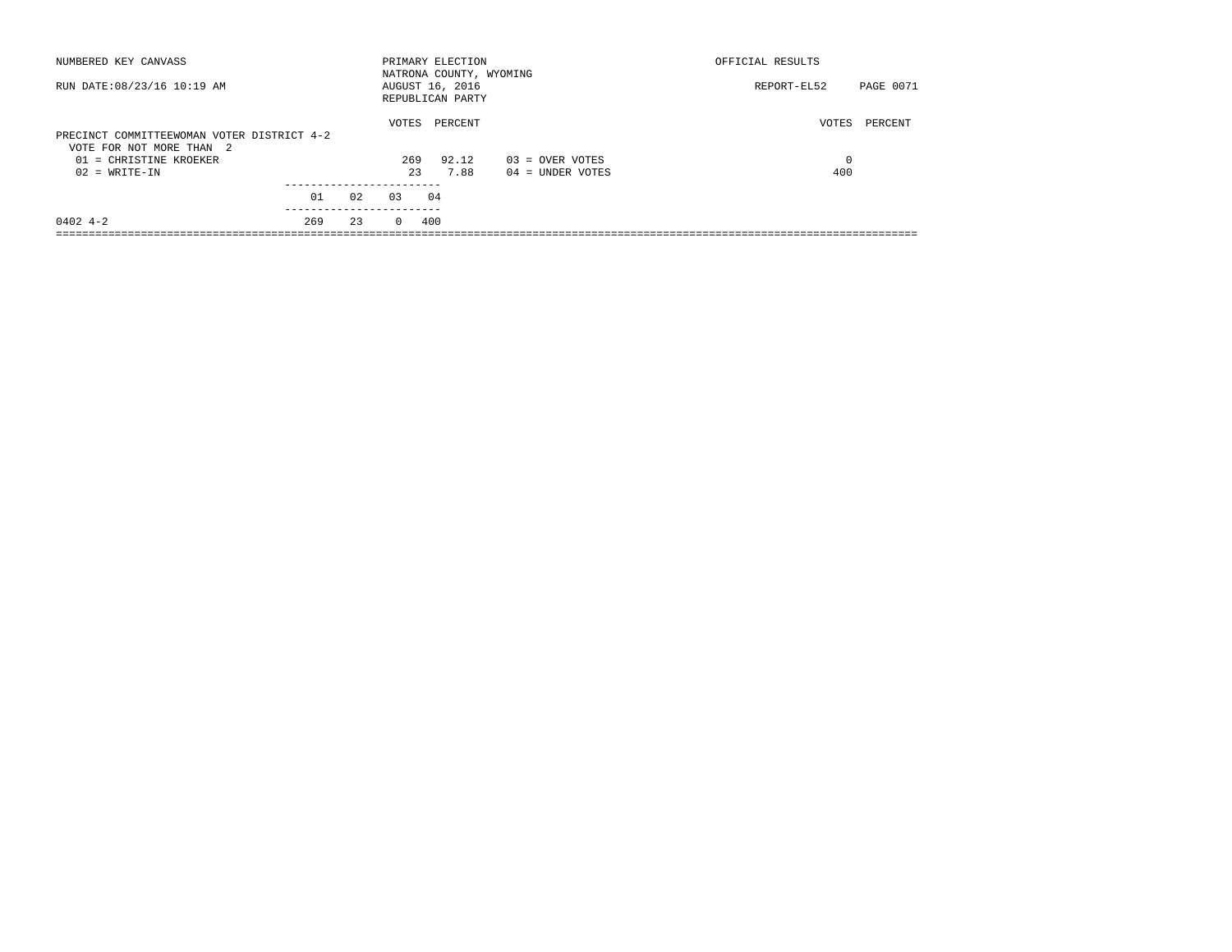| NUMBERED KEY CANVASS                                                                             |                | PRIMARY ELECTION<br>NATRONA COUNTY, WYOMING | OFFICIAL RESULTS                |
|--------------------------------------------------------------------------------------------------|----------------|---------------------------------------------|---------------------------------|
| RUN DATE: 08/23/16 10:19 AM                                                                      |                | AUGUST 16, 2016<br>REPUBLICAN PARTY         | <b>PAGE 0071</b><br>REPORT-EL52 |
| PRECINCT COMMITTEEWOMAN VOTER DISTRICT 4-2<br>VOTE FOR NOT MORE THAN 2<br>01 = CHRISTINE KROEKER | VOTES<br>269   | PERCENT<br>92.12<br>$03 =$ OVER VOTES       | VOTES<br>PERCENT<br>0           |
| $02 = WRITE-IN$                                                                                  | 23             | 7.88<br>$04 =$ UNDER VOTES                  | 400                             |
| 01                                                                                               | 02<br>0.3      | 04                                          |                                 |
| $0402$ 4-2<br>269                                                                                | 23<br>$\Omega$ | 400                                         |                                 |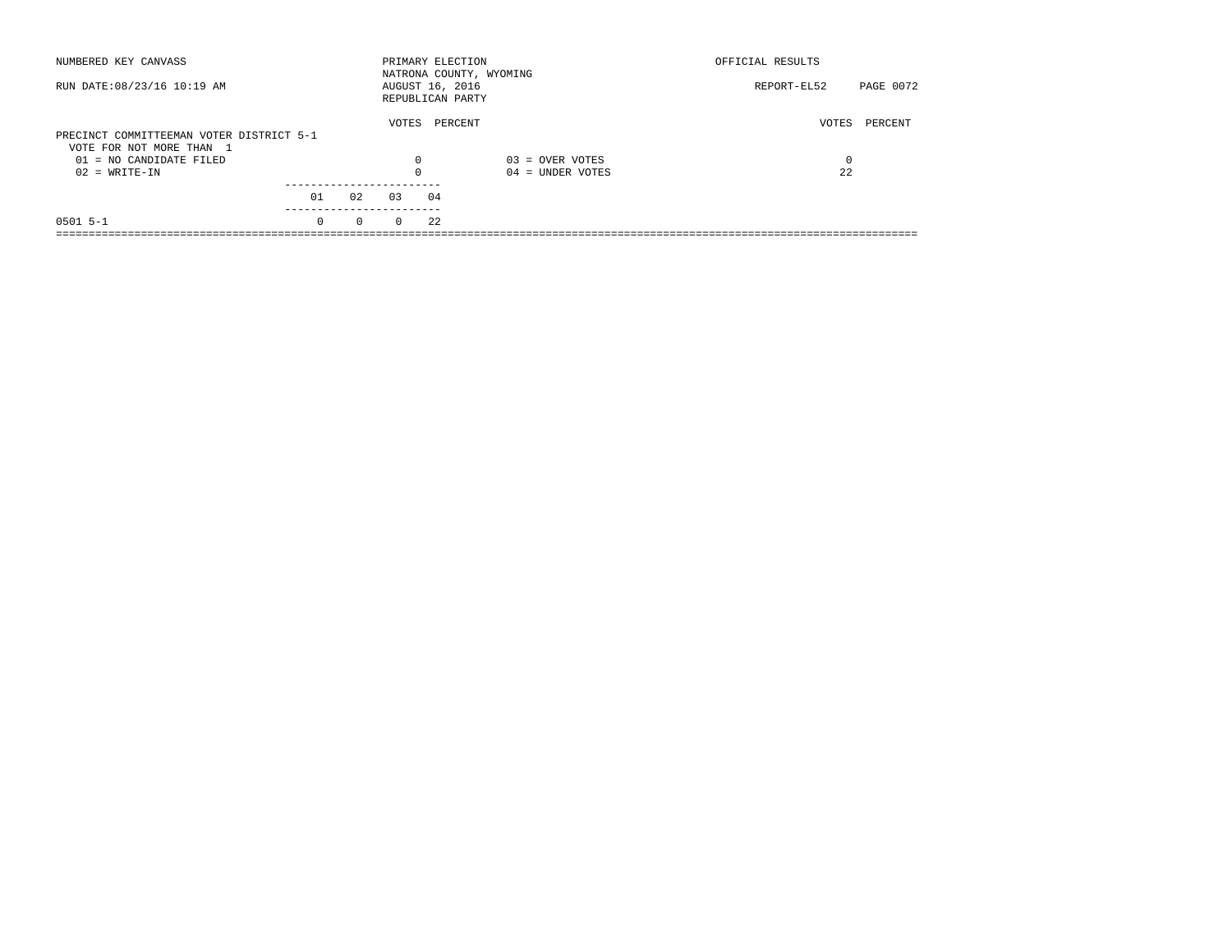| NUMBERED KEY CANVASS                                                 |                       |          | PRIMARY ELECTION                    |         | NATRONA COUNTY, WYOMING | OFFICIAL RESULTS |           |
|----------------------------------------------------------------------|-----------------------|----------|-------------------------------------|---------|-------------------------|------------------|-----------|
| RUN DATE: 08/23/16 10:19 AM                                          |                       |          | AUGUST 16, 2016<br>REPUBLICAN PARTY |         |                         | REPORT-EL52      | PAGE 0072 |
| PRECINCT COMMITTEEMAN VOTER DISTRICT 5-1<br>VOTE FOR NOT MORE THAN 1 |                       |          | VOTES                               | PERCENT |                         | VOTES            | PERCENT   |
| $01 = NO$ CANDIDATE FILED                                            |                       |          | $\Omega$                            |         | $03 =$ OVER VOTES       | 0                |           |
| $02 = WRITE-IN$                                                      |                       |          |                                     |         | $04 =$ UNDER VOTES      | 22               |           |
|                                                                      |                       |          |                                     |         |                         |                  |           |
|                                                                      | 01                    | 02       | 03                                  | 04      |                         |                  |           |
| $0501$ 5-1                                                           | ---------<br>$\Omega$ | $\Omega$ | $\Omega$                            | 22      |                         |                  |           |
|                                                                      |                       |          |                                     |         |                         |                  |           |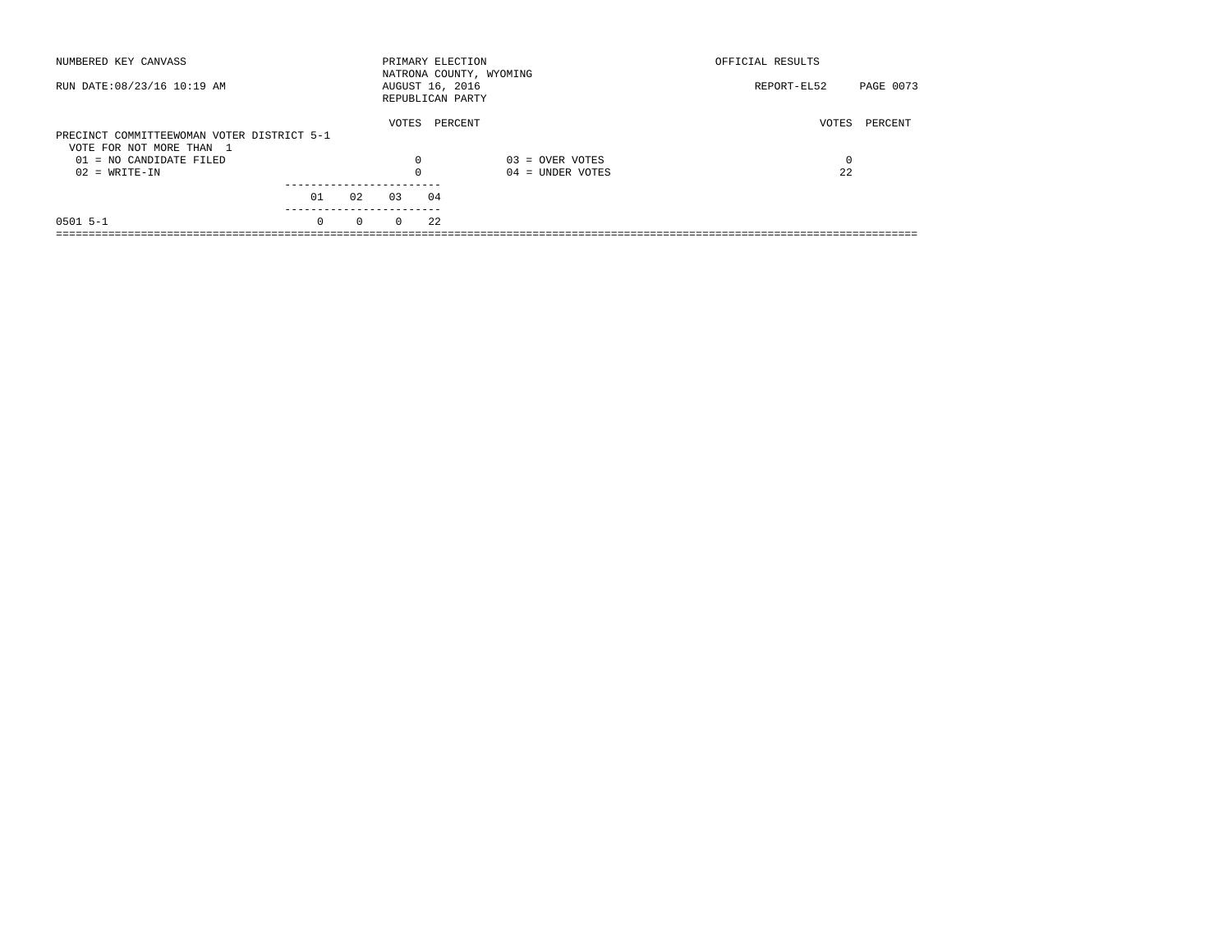| NUMBERED KEY CANVASS                                                   |          |          | PRIMARY ELECTION                    |         |                         | OFFICIAL RESULTS |           |
|------------------------------------------------------------------------|----------|----------|-------------------------------------|---------|-------------------------|------------------|-----------|
| RUN DATE: 08/23/16 10:19 AM                                            |          |          | AUGUST 16, 2016<br>REPUBLICAN PARTY |         | NATRONA COUNTY, WYOMING | REPORT-EL52      | PAGE 0073 |
| PRECINCT COMMITTEEWOMAN VOTER DISTRICT 5-1<br>VOTE FOR NOT MORE THAN 1 |          |          | VOTES                               | PERCENT |                         | VOTES            | PERCENT   |
| $01 = NO$ CANDIDATE FILED                                              |          |          | $\Omega$                            |         | $03 =$ OVER VOTES       | 0                |           |
| $02 = WRITE-IN$                                                        |          |          | $\Omega$                            |         | $04 =$ UNDER VOTES      | 22               |           |
|                                                                        |          |          |                                     |         |                         |                  |           |
|                                                                        | 01       | 02       | 0.3                                 | 04      |                         |                  |           |
| $0501$ 5-1                                                             | $\Omega$ | $\Omega$ | $\Omega$                            | 22      |                         |                  |           |
|                                                                        |          |          |                                     |         |                         |                  |           |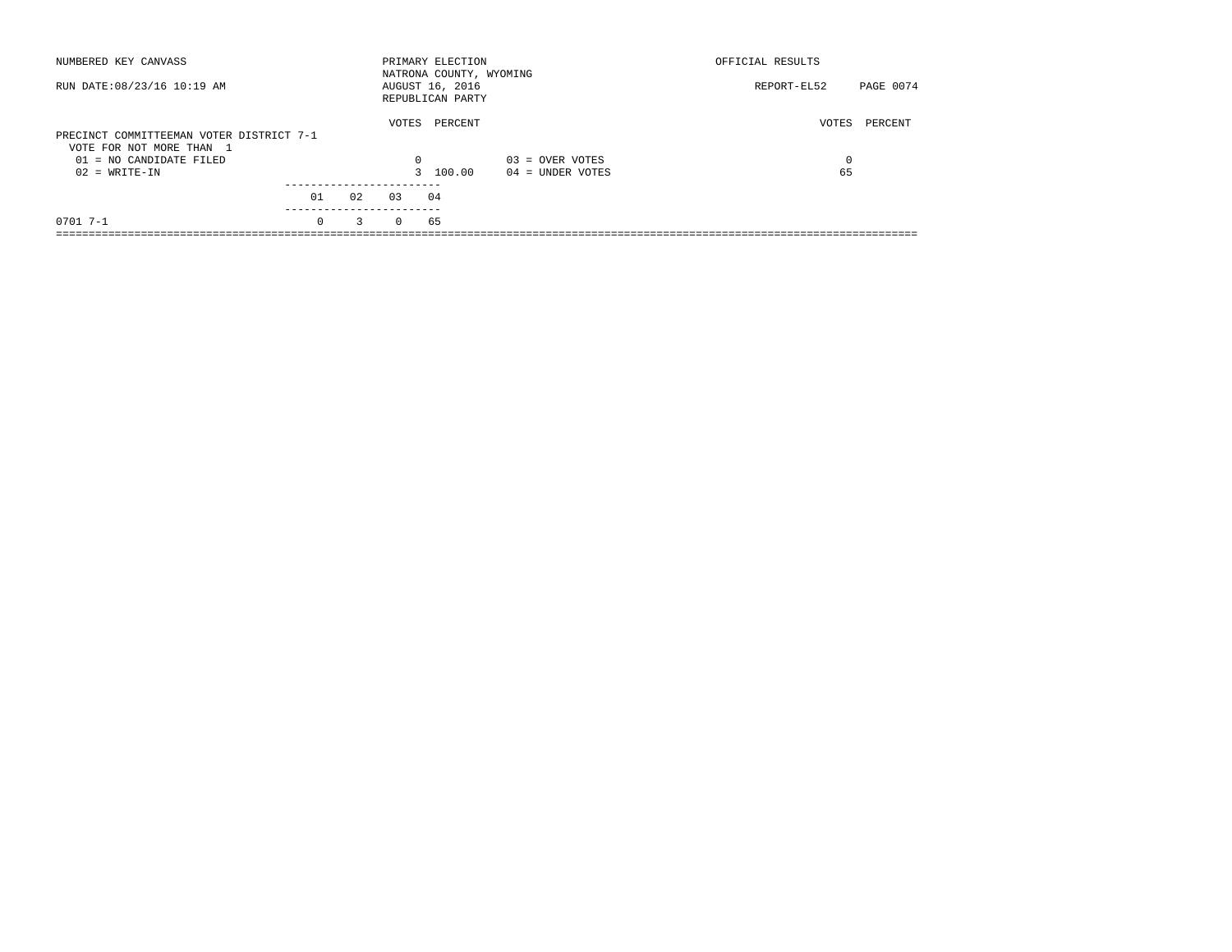| NUMBERED KEY CANVASS                                                 |                       |    |          | PRIMARY ELECTION<br>NATRONA COUNTY, WYOMING |                    | OFFICIAL RESULTS |           |
|----------------------------------------------------------------------|-----------------------|----|----------|---------------------------------------------|--------------------|------------------|-----------|
| RUN DATE: 08/23/16 10:19 AM                                          |                       |    |          | AUGUST 16, 2016<br>REPUBLICAN PARTY         |                    | REPORT-EL52      | PAGE 0074 |
| PRECINCT COMMITTEEMAN VOTER DISTRICT 7-1<br>VOTE FOR NOT MORE THAN 1 |                       |    | VOTES    | PERCENT                                     |                    | VOTES            | PERCENT   |
| $01 = NO$ CANDIDATE FILED                                            |                       |    | $\Omega$ |                                             | $03 =$ OVER VOTES  | $\Omega$         |           |
| $02 = WRITE-IN$                                                      |                       |    |          | 3 100.00                                    | $04 =$ UNDER VOTES | 65               |           |
|                                                                      |                       |    |          |                                             |                    |                  |           |
|                                                                      | 01                    | 02 | 0.3      | 04                                          |                    |                  |           |
| $0701$ 7-1                                                           | ---------<br>$\Omega$ | 3  | $\Omega$ | 65                                          |                    |                  |           |
|                                                                      |                       |    |          |                                             |                    |                  |           |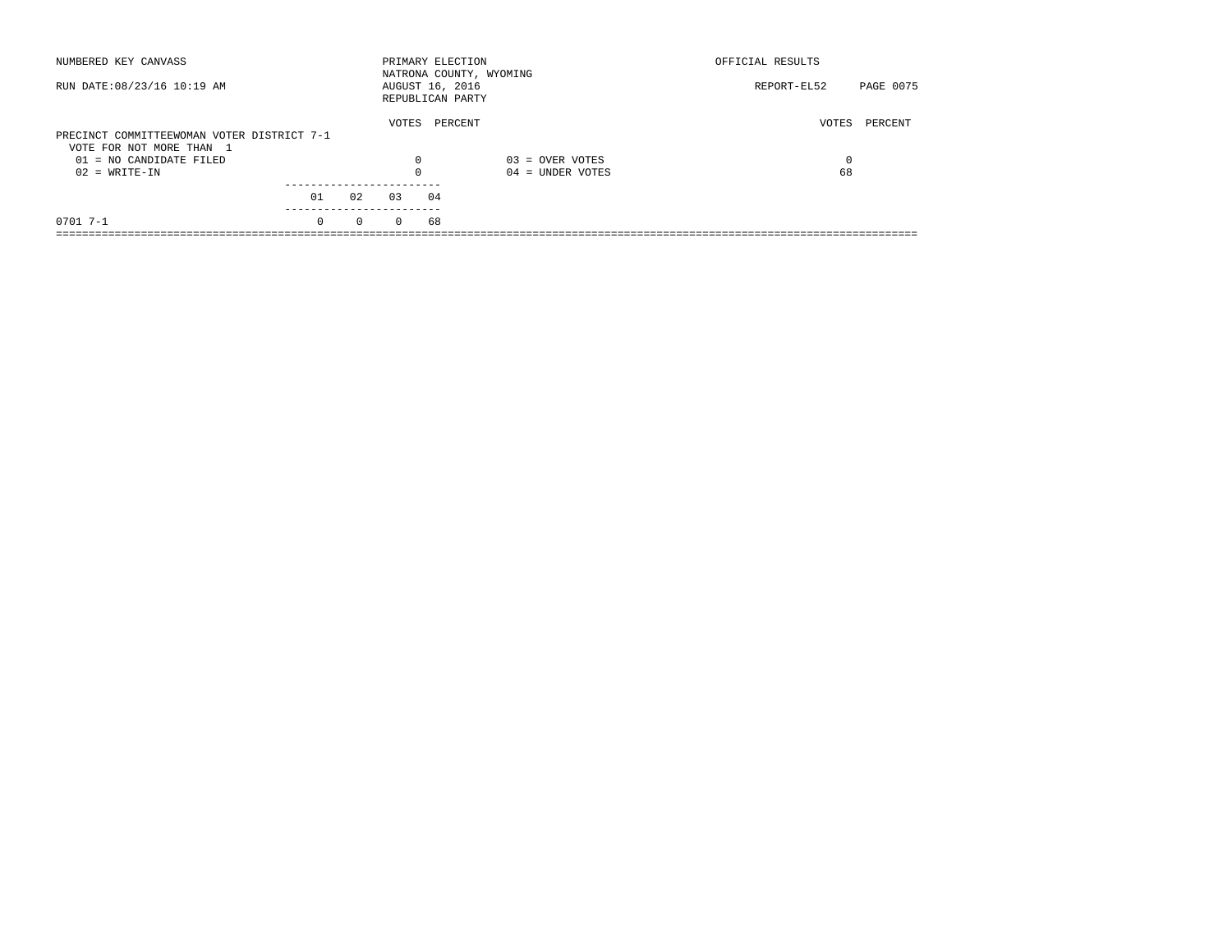| NUMBERED KEY CANVASS                       |          |          |          | PRIMARY ELECTION<br>NATRONA COUNTY, WYOMING |                    | OFFICIAL RESULTS |           |
|--------------------------------------------|----------|----------|----------|---------------------------------------------|--------------------|------------------|-----------|
| RUN DATE: 08/23/16 10:19 AM                |          |          |          | AUGUST 16, 2016<br>REPUBLICAN PARTY         |                    | REPORT-EL52      | PAGE 0075 |
| PRECINCT COMMITTEEWOMAN VOTER DISTRICT 7-1 |          |          | VOTES    | PERCENT                                     |                    | VOTES            | PERCENT   |
| VOTE FOR NOT MORE THAN 1                   |          |          |          |                                             |                    |                  |           |
| $01 = NO$ CANDIDATE FILED                  |          |          | $\Omega$ |                                             | $03 =$ OVER VOTES  | $\Omega$         |           |
| $02 = WRITE-IN$                            |          |          | 0        |                                             | $04 =$ UNDER VOTES | 68               |           |
|                                            |          |          |          |                                             |                    |                  |           |
|                                            | 01       | 02       | 0.3      | 04                                          |                    |                  |           |
| $0701$ 7-1                                 | $\Omega$ | $\Omega$ | $\Omega$ | 68                                          |                    |                  |           |
|                                            |          |          |          |                                             |                    |                  |           |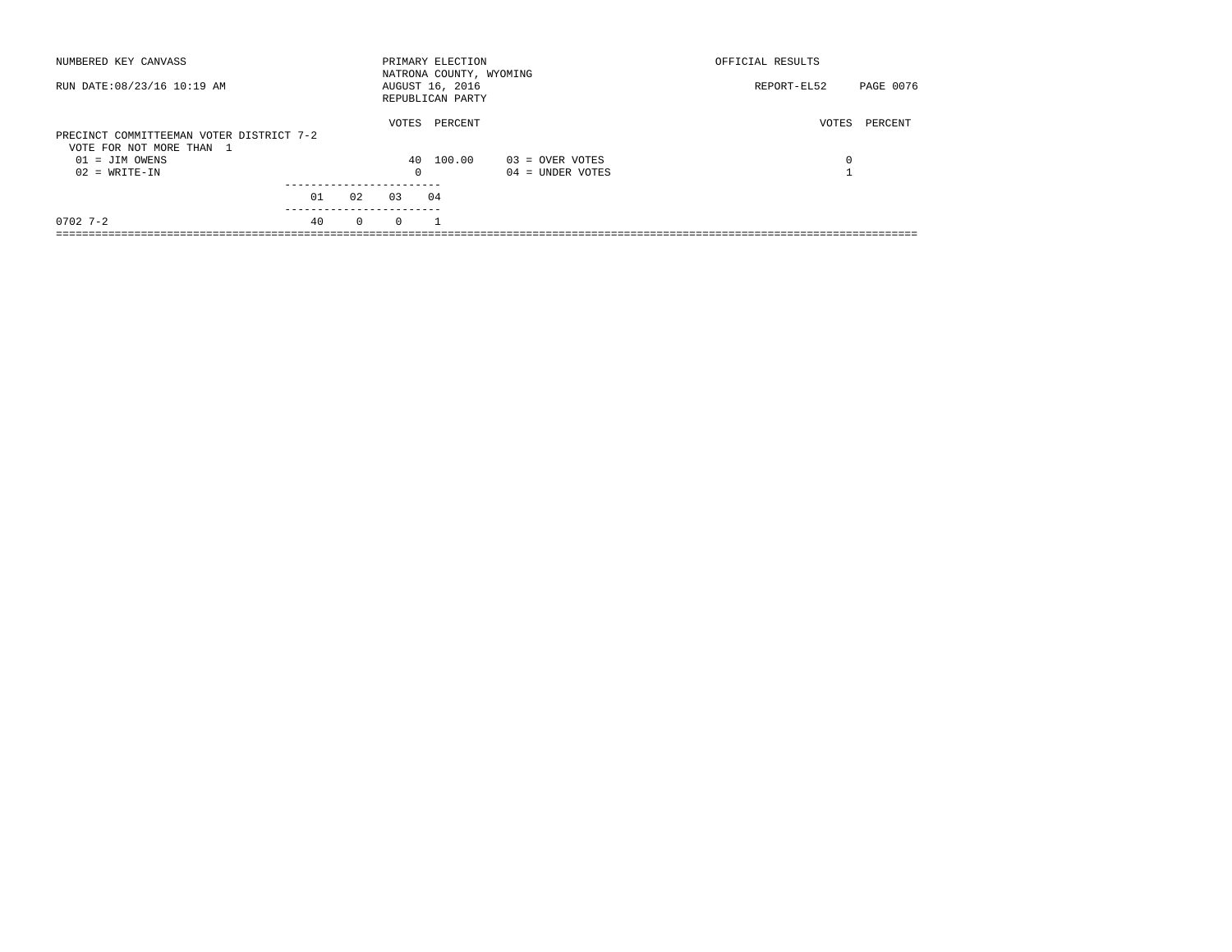| NUMBERED KEY CANVASS                                                 |    |              |          | PRIMARY ELECTION<br>NATRONA COUNTY, WYOMING |                    | OFFICIAL RESULTS |           |
|----------------------------------------------------------------------|----|--------------|----------|---------------------------------------------|--------------------|------------------|-----------|
| RUN DATE: 08/23/16 10:19 AM                                          |    |              |          | AUGUST 16, 2016<br>REPUBLICAN PARTY         |                    | REPORT-EL52      | PAGE 0076 |
| PRECINCT COMMITTEEMAN VOTER DISTRICT 7-2<br>VOTE FOR NOT MORE THAN 1 |    |              | VOTES    | PERCENT                                     |                    | VOTES            | PERCENT   |
| $01 = JIM OWENS$                                                     |    |              |          | 40 100.00                                   | $03 =$ OVER VOTES  | 0                |           |
| $02 = WRITE-IN$                                                      |    |              | $\Omega$ |                                             | $04 =$ UNDER VOTES |                  |           |
|                                                                      | 01 | 02           | 03       | 04                                          |                    |                  |           |
|                                                                      |    |              |          |                                             |                    |                  |           |
| $0702$ 7-2                                                           | 40 | $\mathbf{0}$ | $\Omega$ |                                             |                    |                  |           |
|                                                                      |    |              |          |                                             |                    |                  |           |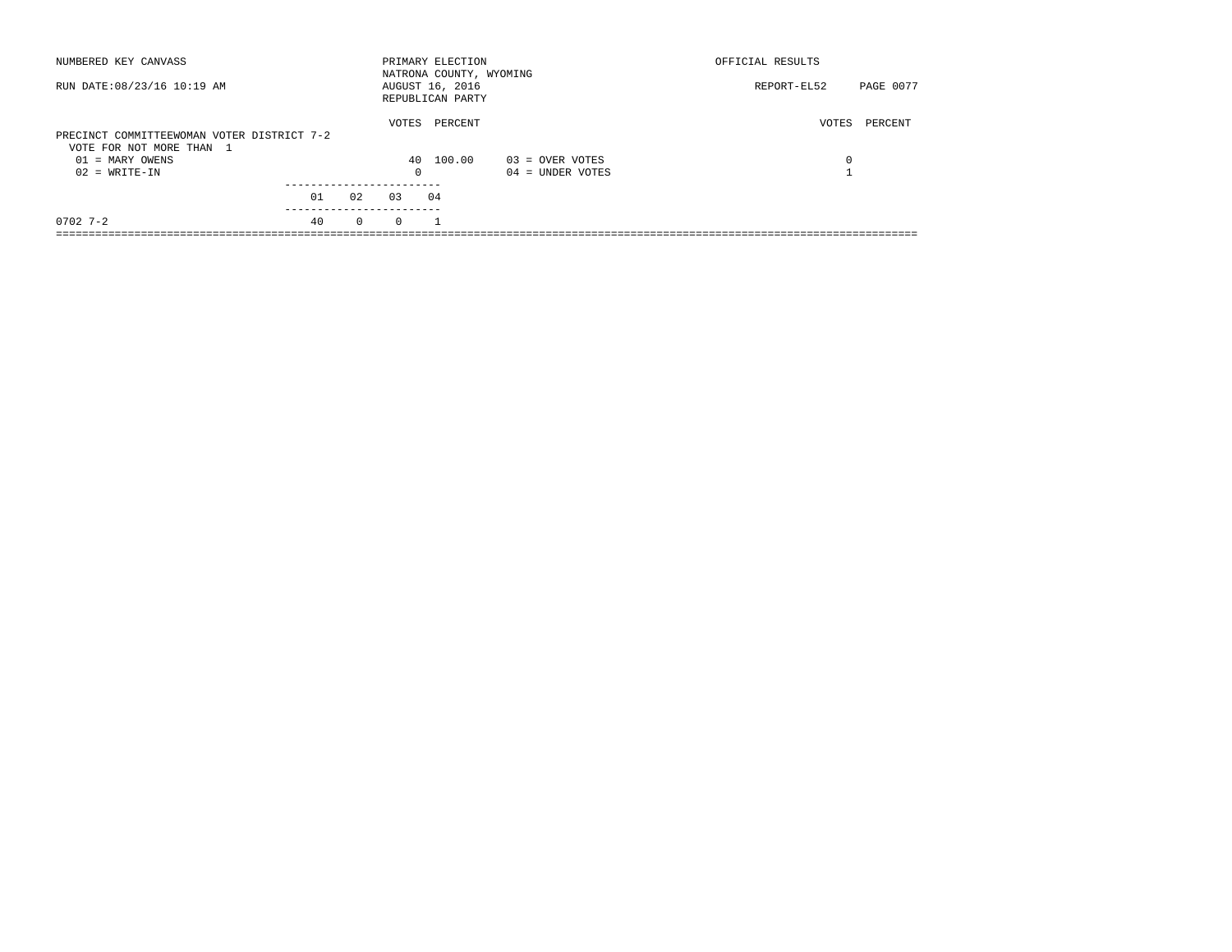| NUMBERED KEY CANVASS                                                   |    |              |          | PRIMARY ELECTION<br>NATRONA COUNTY, WYOMING |                    | OFFICIAL RESULTS |           |
|------------------------------------------------------------------------|----|--------------|----------|---------------------------------------------|--------------------|------------------|-----------|
| RUN DATE: 08/23/16 10:19 AM                                            |    |              |          | AUGUST 16, 2016<br>REPUBLICAN PARTY         |                    | REPORT-EL52      | PAGE 0077 |
| PRECINCT COMMITTEEWOMAN VOTER DISTRICT 7-2<br>VOTE FOR NOT MORE THAN 1 |    |              | VOTES    | PERCENT                                     |                    | VOTES            | PERCENT   |
| $01 = \text{MARY OWENS}$                                               |    |              |          | 40 100.00                                   | $03 =$ OVER VOTES  | 0                |           |
| $02 = WRITE-IN$                                                        |    |              | $\Omega$ |                                             | $04 =$ UNDER VOTES |                  |           |
|                                                                        |    |              |          |                                             |                    |                  |           |
|                                                                        | 01 | 02<br>03     |          | 04                                          |                    |                  |           |
| $0702$ 7-2                                                             | 40 | $\mathbf{0}$ | $\Omega$ |                                             |                    |                  |           |
|                                                                        |    |              |          |                                             |                    |                  |           |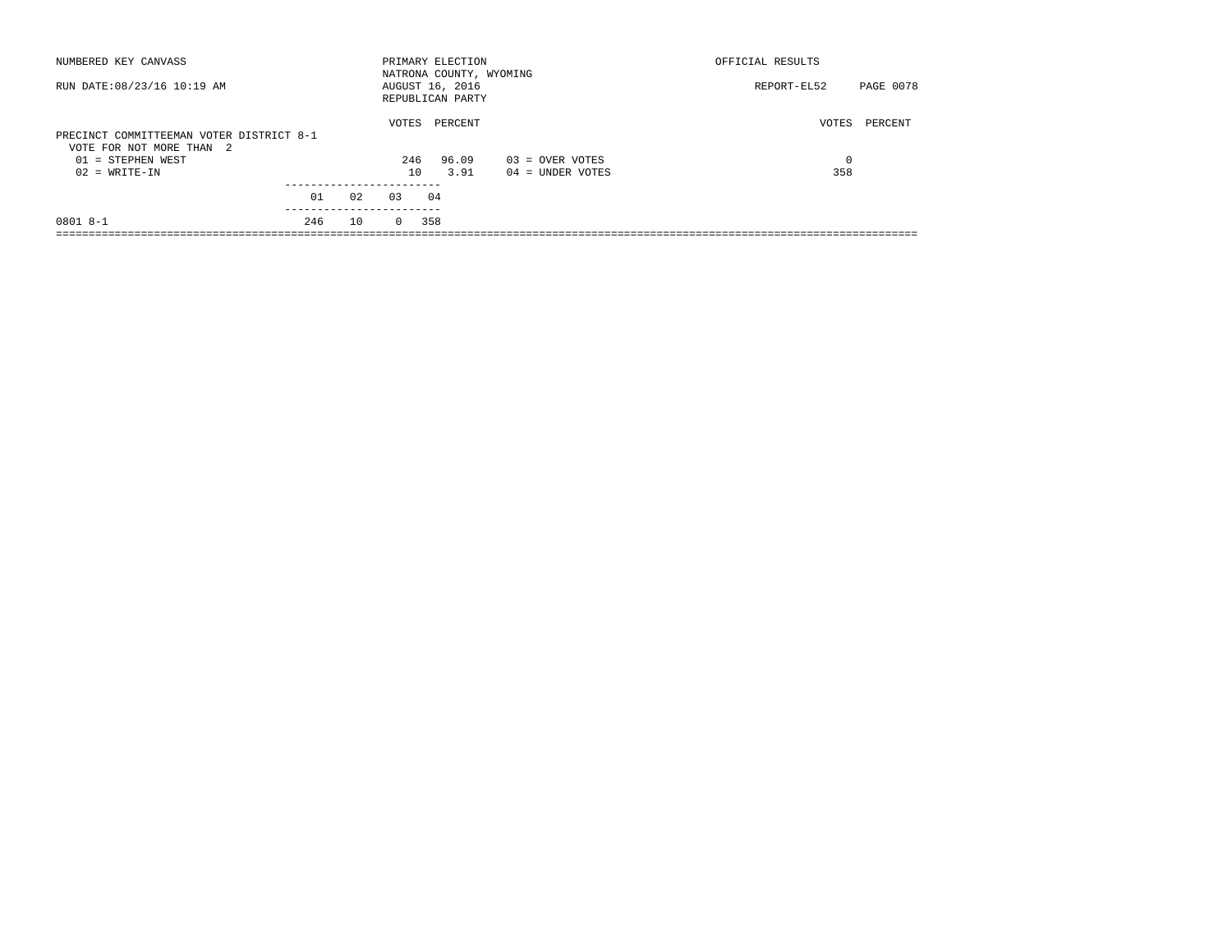| NUMBERED KEY CANVASS                                                 |     |    |          | PRIMARY ELECTION<br>NATRONA COUNTY, WYOMING |                    | OFFICIAL RESULTS |           |
|----------------------------------------------------------------------|-----|----|----------|---------------------------------------------|--------------------|------------------|-----------|
| RUN DATE: 08/23/16 10:19 AM                                          |     |    |          | AUGUST 16, 2016<br>REPUBLICAN PARTY         |                    | REPORT-EL52      | PAGE 0078 |
| PRECINCT COMMITTEEMAN VOTER DISTRICT 8-1<br>VOTE FOR NOT MORE THAN 2 |     |    | VOTES    | PERCENT                                     |                    | VOTES            | PERCENT   |
| $01 =$ STEPHEN WEST                                                  |     |    | 246      | 96.09                                       | $03 =$ OVER VOTES  | 0                |           |
| $02 = WRITE-IN$                                                      |     |    | 10       | 3.91                                        | $04 =$ UNDER VOTES | 358              |           |
|                                                                      |     |    |          |                                             |                    |                  |           |
|                                                                      | 01  | 02 | 0.3      | 04                                          |                    |                  |           |
| $08018 - -1$                                                         | 246 | 10 | $\Omega$ | 358                                         |                    |                  |           |
|                                                                      |     |    |          |                                             |                    |                  |           |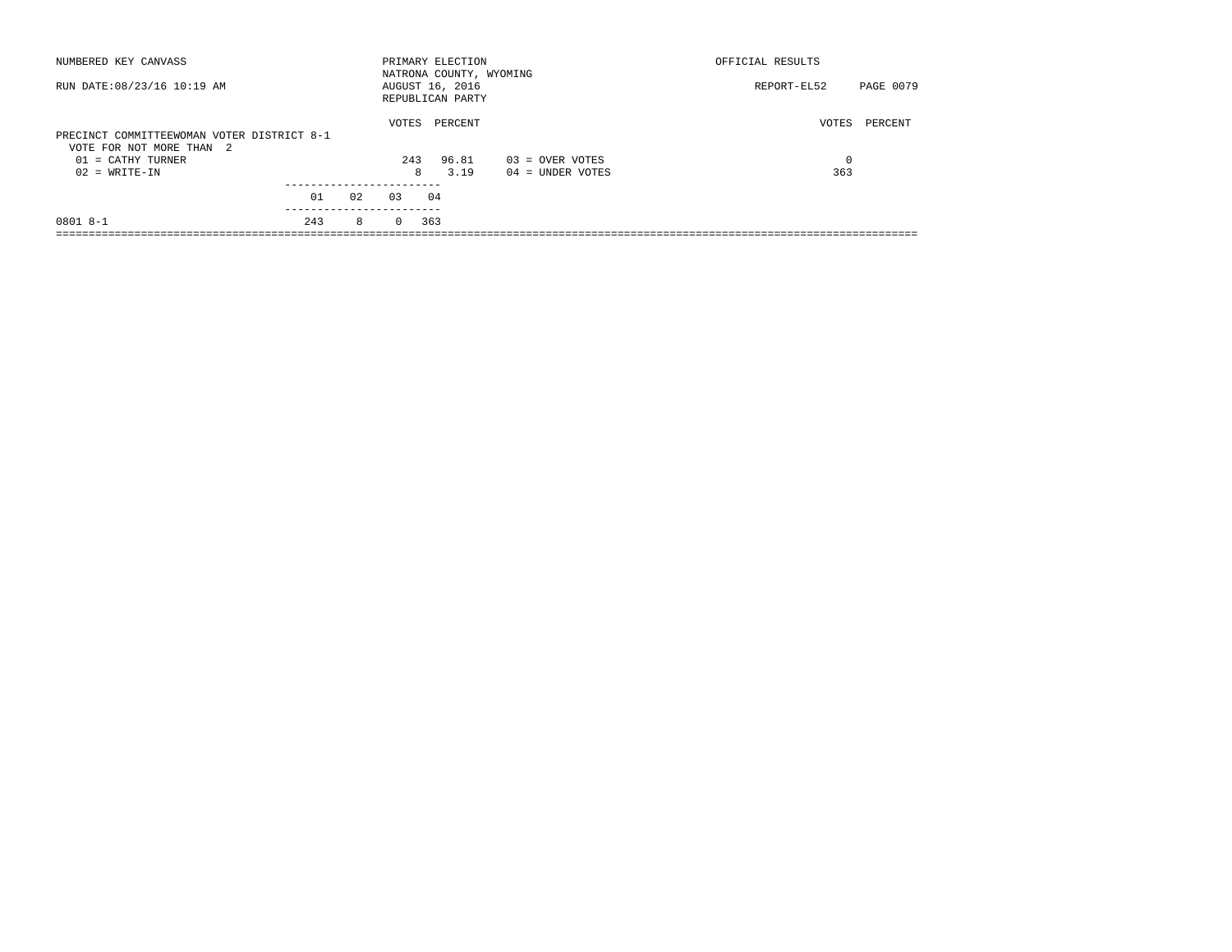| NUMBERED KEY CANVASS                                                   |     |    |          | PRIMARY ELECTION<br>NATRONA COUNTY, WYOMING |                    | OFFICIAL RESULTS         |
|------------------------------------------------------------------------|-----|----|----------|---------------------------------------------|--------------------|--------------------------|
| RUN DATE: 08/23/16 10:19 AM                                            |     |    |          | AUGUST 16, 2016<br>REPUBLICAN PARTY         |                    | PAGE 0079<br>REPORT-EL52 |
| PRECINCT COMMITTEEWOMAN VOTER DISTRICT 8-1<br>VOTE FOR NOT MORE THAN 2 |     |    | VOTES    | PERCENT                                     |                    | VOTES<br>PERCENT         |
| $01 = CATHY TURNER$                                                    |     |    | 243      | 96.81                                       | $03 =$ OVER VOTES  | $\Omega$                 |
| $02 = WRITE-IN$                                                        |     |    | 8        | 3.19                                        | $04 =$ UNDER VOTES | 363                      |
|                                                                        |     |    |          |                                             |                    |                          |
|                                                                        | 01  | 02 | 0.3      | 04                                          |                    |                          |
| $08018 - -1$                                                           | 243 | 8  | $\Omega$ | 363                                         |                    |                          |
|                                                                        |     |    |          |                                             |                    |                          |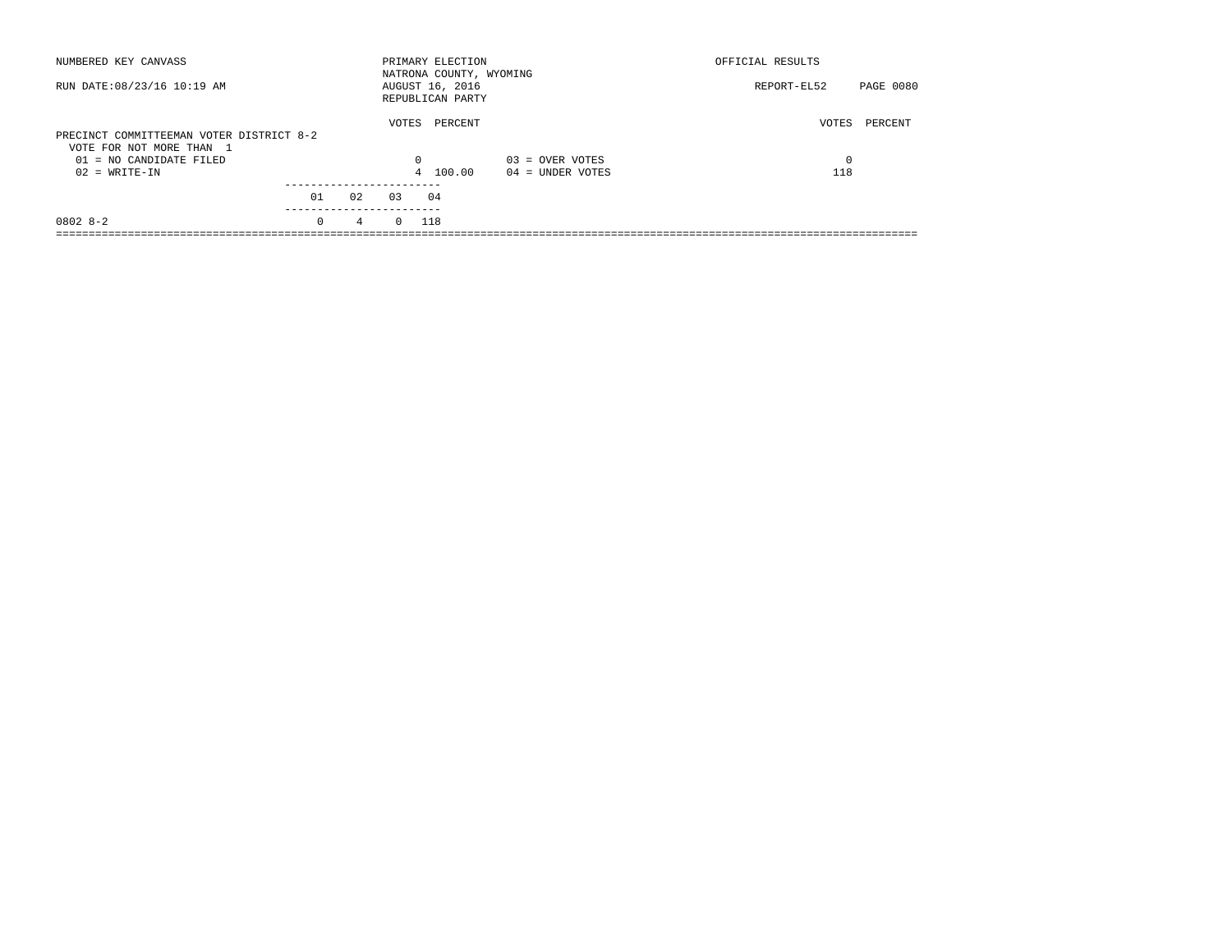| NUMBERED KEY CANVASS                                                 |                        |                |              | PRIMARY ELECTION<br>NATRONA COUNTY, WYOMING |                    | OFFICIAL RESULTS |           |
|----------------------------------------------------------------------|------------------------|----------------|--------------|---------------------------------------------|--------------------|------------------|-----------|
| RUN DATE: 08/23/16 10:19 AM                                          |                        |                |              | AUGUST 16, 2016<br>REPUBLICAN PARTY         |                    | REPORT-EL52      | PAGE 0080 |
| PRECINCT COMMITTEEMAN VOTER DISTRICT 8-2<br>VOTE FOR NOT MORE THAN 1 |                        |                | VOTES        | PERCENT                                     |                    | VOTES            | PERCENT   |
| $01 = NO$ CANDIDATE FILED                                            |                        |                | $\Omega$     |                                             | $03 =$ OVER VOTES  | 0                |           |
| $02 = WRITE-IN$                                                      |                        |                |              | 4 100.00                                    | $04 =$ UNDER VOTES | 118              |           |
|                                                                      |                        |                |              |                                             |                    |                  |           |
|                                                                      | 01                     | 02             | 0.3          | 04                                          |                    |                  |           |
| $08028 - 2$                                                          | ----------<br>$\Omega$ | $\overline{4}$ | $0\quad 118$ |                                             |                    |                  |           |
|                                                                      |                        |                |              |                                             |                    |                  |           |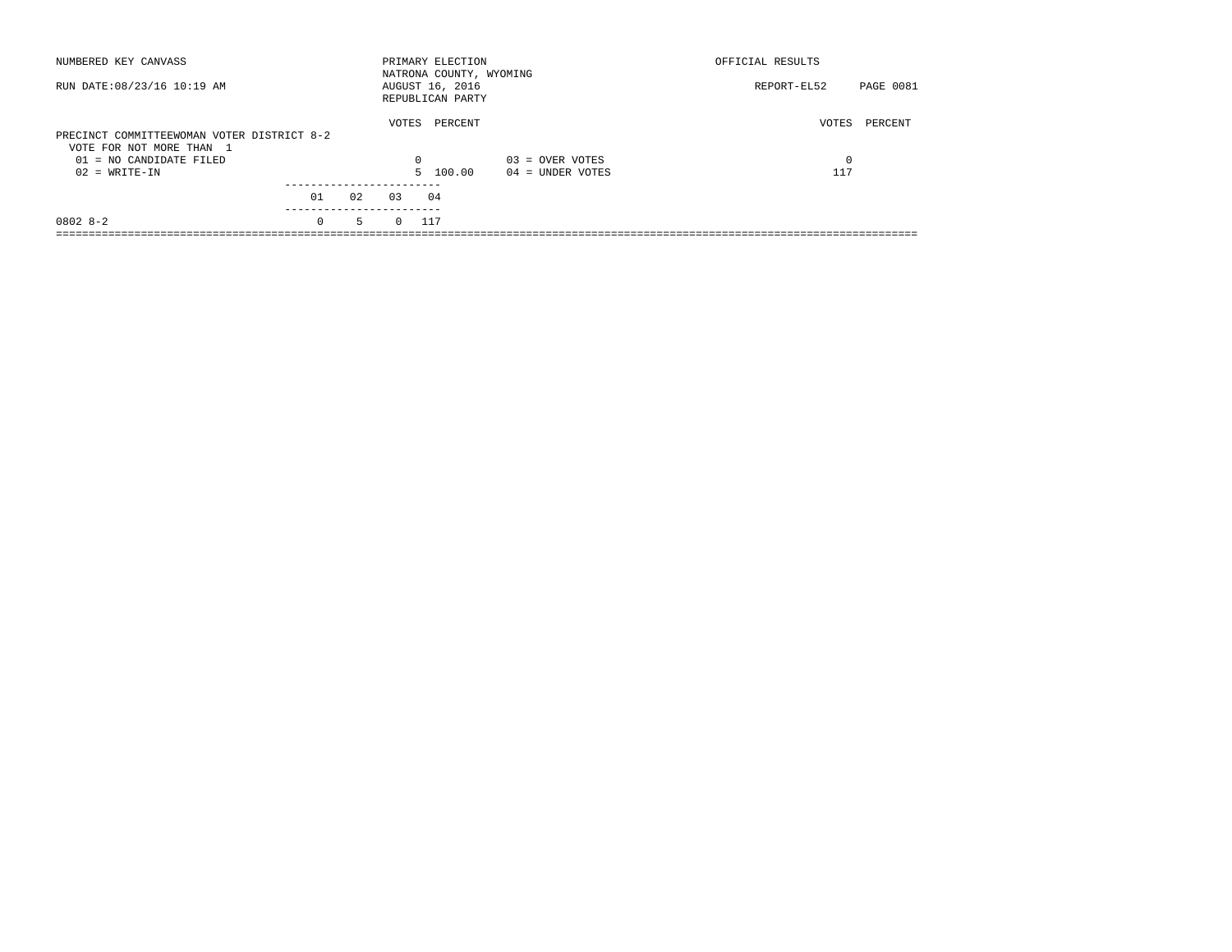|    |                                                                           |         |                                                                                                 | OFFICIAL RESULTS         |  |
|----|---------------------------------------------------------------------------|---------|-------------------------------------------------------------------------------------------------|--------------------------|--|
|    |                                                                           |         |                                                                                                 | PAGE 0081<br>REPORT-EL52 |  |
|    |                                                                           | PERCENT |                                                                                                 | VOTES<br>PERCENT         |  |
|    |                                                                           |         | $03 =$ OVER VOTES                                                                               | $\Omega$                 |  |
|    |                                                                           |         | $04 =$ UNDER VOTES                                                                              | 117                      |  |
|    |                                                                           |         |                                                                                                 |                          |  |
| 02 | 0.3                                                                       | 04      |                                                                                                 |                          |  |
| 5  | $\Omega$                                                                  |         |                                                                                                 |                          |  |
|    | PRECINCT COMMITTEEWOMAN VOTER DISTRICT 8-2<br>01<br>---------<br>$\Omega$ |         | PRIMARY ELECTION<br>AUGUST 16, 2016<br>REPUBLICAN PARTY<br>VOTES<br>$\Omega$<br>5 100.00<br>117 | NATRONA COUNTY, WYOMING  |  |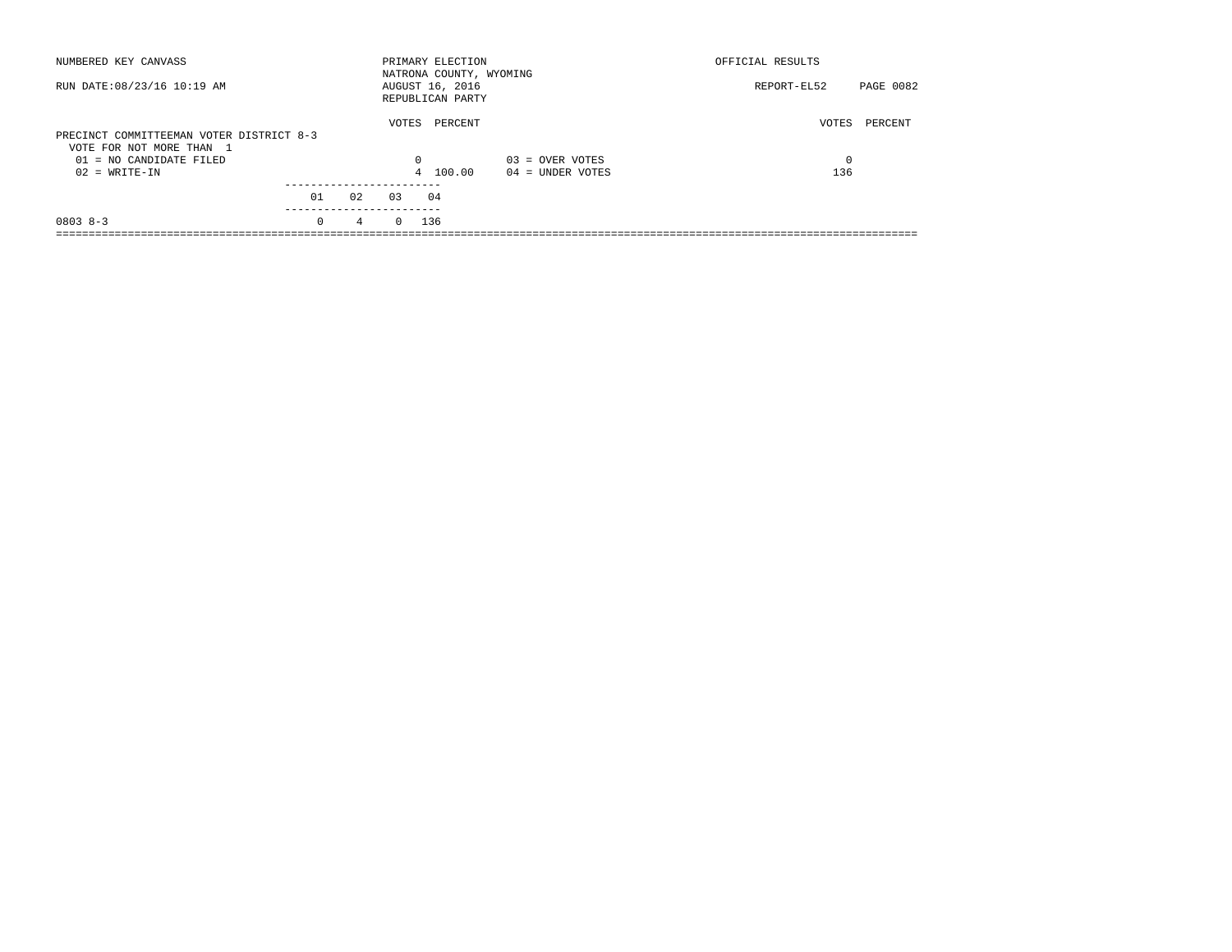| NUMBERED KEY CANVASS                                                 |            |                |            | PRIMARY ELECTION<br>NATRONA COUNTY, WYOMING |                    | OFFICIAL RESULTS |           |
|----------------------------------------------------------------------|------------|----------------|------------|---------------------------------------------|--------------------|------------------|-----------|
| RUN DATE: 08/23/16 10:19 AM                                          |            |                |            | AUGUST 16, 2016<br>REPUBLICAN PARTY         |                    | REPORT-EL52      | PAGE 0082 |
| PRECINCT COMMITTEEMAN VOTER DISTRICT 8-3<br>VOTE FOR NOT MORE THAN 1 |            |                | VOTES      | PERCENT                                     |                    | VOTES            | PERCENT   |
| $01 = NO$ CANDIDATE FILED                                            |            |                | $\Omega$   |                                             | $03 =$ OVER VOTES  | 0                |           |
| $02 = WRITE-IN$                                                      |            |                |            | 4 100.00                                    | $04 =$ UNDER VOTES | 136              |           |
|                                                                      | 01         | 02             | 0.3        | 04                                          |                    |                  |           |
|                                                                      | ---------- |                |            |                                             |                    |                  |           |
| $08038 - 3$                                                          | $\Omega$   | $\overline{4}$ | $0 \t 136$ |                                             |                    |                  |           |
|                                                                      |            |                |            |                                             |                    |                  |           |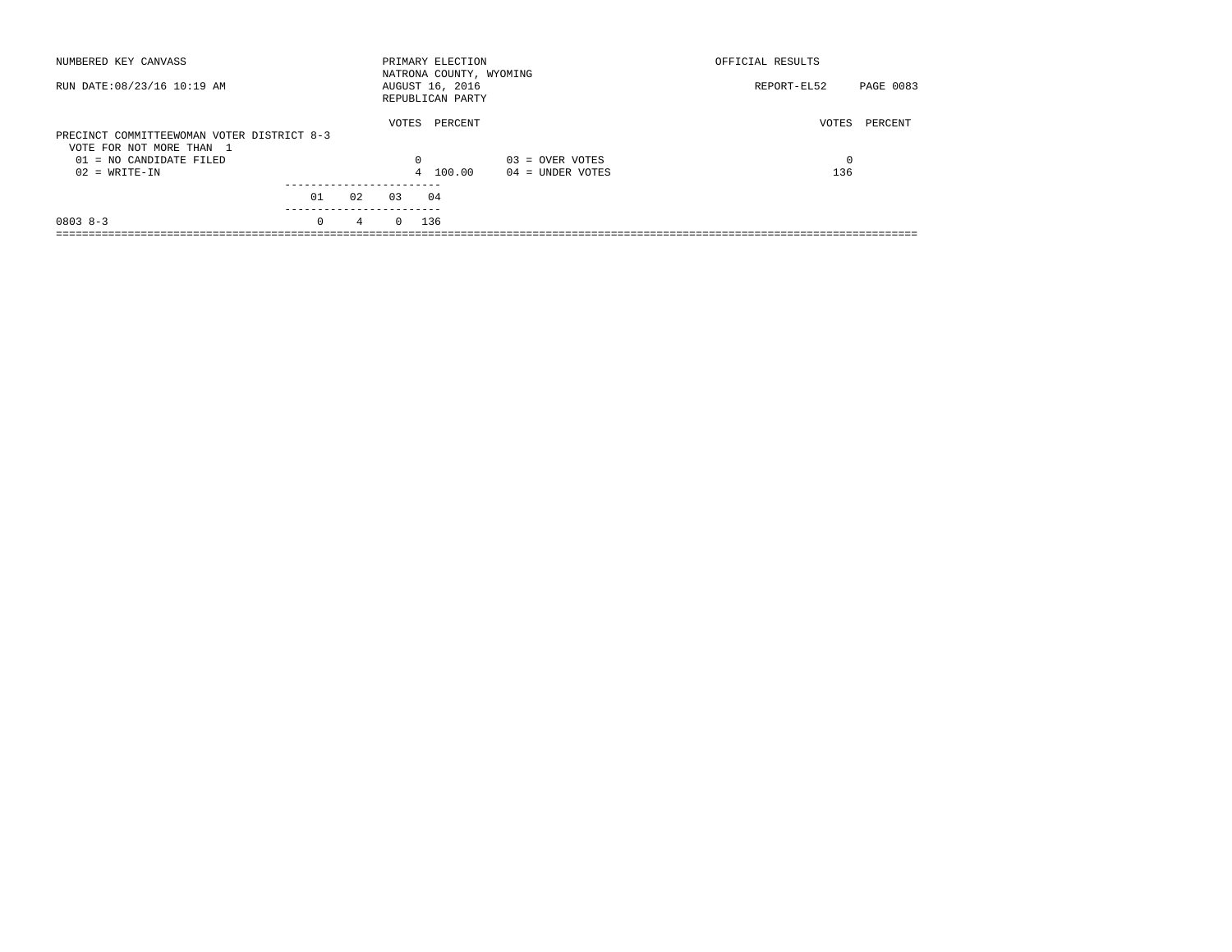| NUMBERED KEY CANVASS                                                   |            |                 |            | PRIMARY ELECTION<br>NATRONA COUNTY, WYOMING |                    | OFFICIAL RESULTS |           |
|------------------------------------------------------------------------|------------|-----------------|------------|---------------------------------------------|--------------------|------------------|-----------|
| RUN DATE: 08/23/16 10:19 AM                                            |            |                 |            | AUGUST 16, 2016<br>REPUBLICAN PARTY         |                    | REPORT-EL52      | PAGE 0083 |
| PRECINCT COMMITTEEWOMAN VOTER DISTRICT 8-3<br>VOTE FOR NOT MORE THAN 1 |            |                 | VOTES      | PERCENT                                     |                    | VOTES            | PERCENT   |
| $01 = NO$ CANDIDATE FILED                                              |            |                 | $\Omega$   |                                             | $03 =$ OVER VOTES  | 0                |           |
| $02 = WRITE-IN$                                                        |            |                 |            | 4 100.00                                    | $04 =$ UNDER VOTES | 136              |           |
|                                                                        | 01         | 02              | 0.3        | 04                                          |                    |                  |           |
|                                                                        | ---------- |                 |            |                                             |                    |                  |           |
| $08038 - 3$                                                            | $\Omega$   | $4\overline{ }$ | $0 \t 136$ |                                             |                    |                  |           |
|                                                                        |            |                 |            |                                             |                    |                  |           |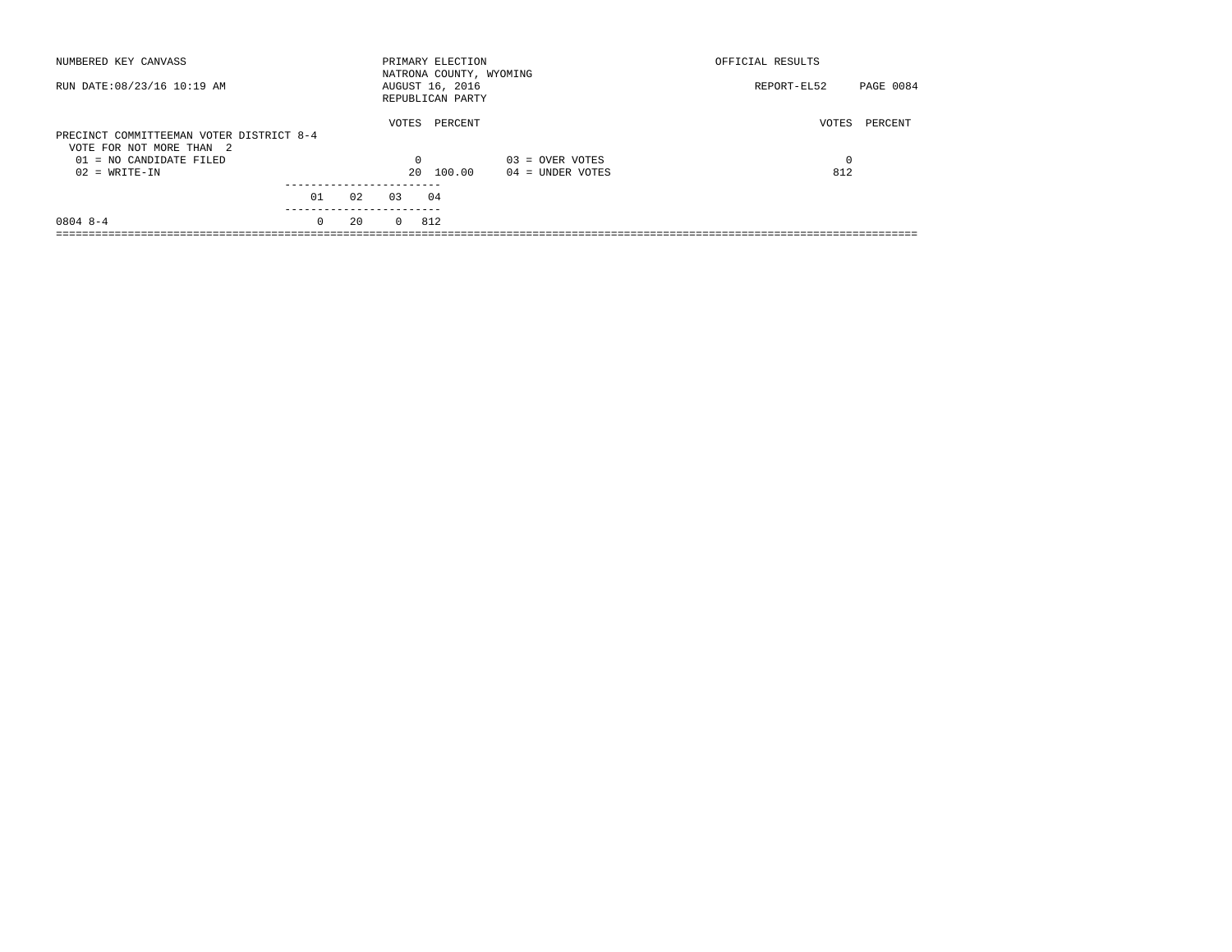| NUMBERED KEY CANVASS                                                                                                 |          |    |                         | PRIMARY ELECTION<br>NATRONA COUNTY, WYOMING |                                         | OFFICIAL RESULTS  |           |
|----------------------------------------------------------------------------------------------------------------------|----------|----|-------------------------|---------------------------------------------|-----------------------------------------|-------------------|-----------|
| RUN DATE: 08/23/16 10:19 AM                                                                                          |          |    |                         | AUGUST 16, 2016<br>REPUBLICAN PARTY         |                                         | REPORT-EL52       | PAGE 0084 |
| PRECINCT COMMITTEEMAN VOTER DISTRICT 8-4<br>VOTE FOR NOT MORE THAN 2<br>$01 = NO CANDIDATE FILED$<br>$02 = WRITE-IN$ |          |    | VOTES<br>$\Omega$<br>20 | PERCENT<br>100.00                           | $03 =$ OVER VOTES<br>$04 =$ UNDER VOTES | VOTES<br>0<br>812 | PERCENT   |
|                                                                                                                      | 01       | 02 | 0.3                     | 04                                          |                                         |                   |           |
| $08048 - -4$                                                                                                         | $\Omega$ | 20 | $\Omega$                | 812                                         |                                         |                   |           |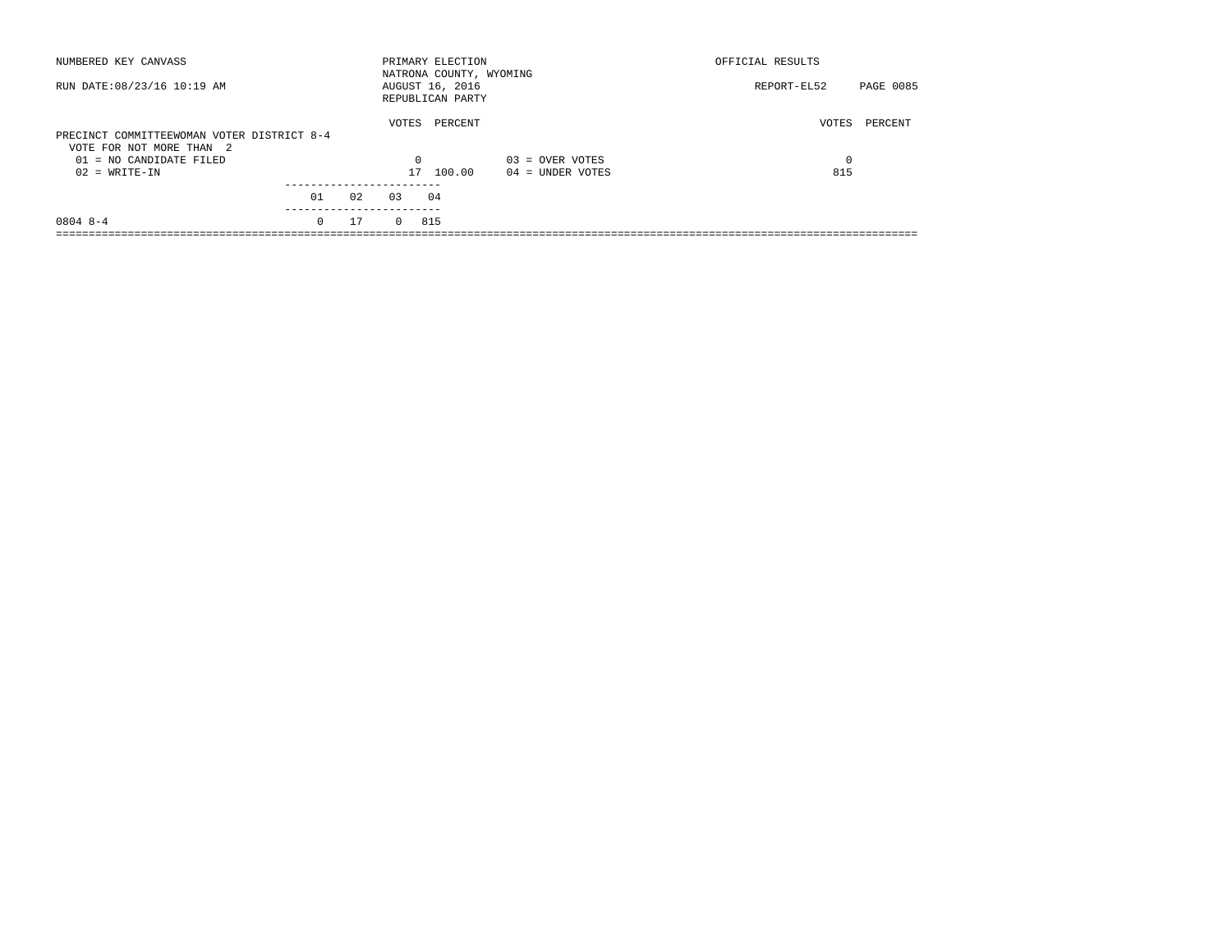| NUMBERED KEY CANVASS                                                   |                 |    |          | PRIMARY ELECTION<br>NATRONA COUNTY, WYOMING |                    | OFFICIAL RESULTS |           |
|------------------------------------------------------------------------|-----------------|----|----------|---------------------------------------------|--------------------|------------------|-----------|
| RUN DATE: 08/23/16 10:19 AM                                            |                 |    |          | AUGUST 16, 2016<br>REPUBLICAN PARTY         |                    | REPORT-EL52      | PAGE 0085 |
| PRECINCT COMMITTEEWOMAN VOTER DISTRICT 8-4<br>VOTE FOR NOT MORE THAN 2 |                 |    | VOTES    | PERCENT                                     |                    | VOTES            | PERCENT   |
| $01 = NO$ CANDIDATE FILED                                              |                 |    | $\Omega$ |                                             | $03 =$ OVER VOTES  | 0                |           |
| $02 = WRITE-IN$                                                        |                 |    | 17       | 100.00                                      | $04 =$ UNDER VOTES | 815              |           |
|                                                                        |                 |    |          |                                             |                    |                  |           |
|                                                                        | 01<br>--------- | 02 | 0.3      | 04                                          |                    |                  |           |
| $08048 - -4$                                                           | $\Omega$        | 17 | $\Omega$ | 815                                         |                    |                  |           |
|                                                                        |                 |    |          |                                             |                    |                  |           |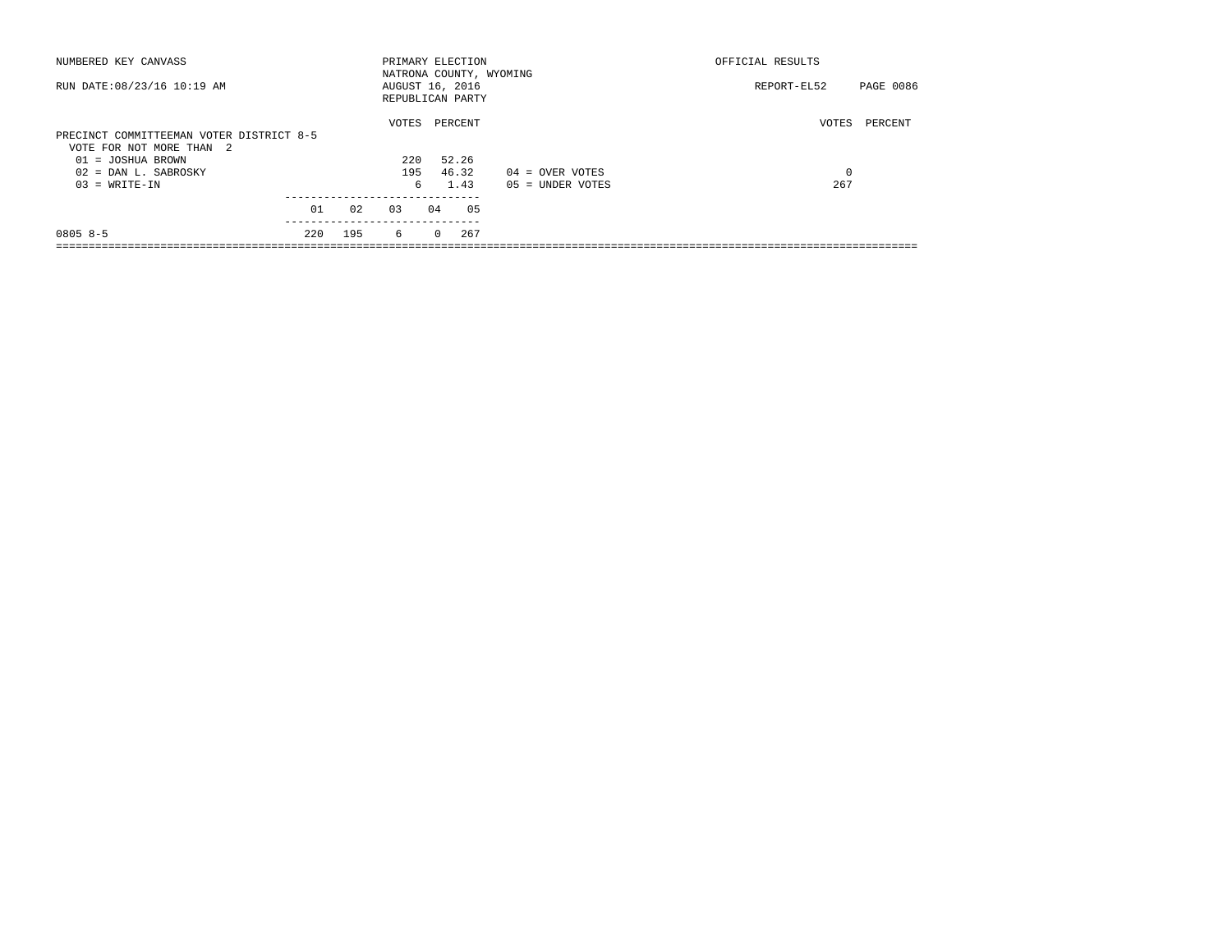| NUMBERED KEY CANVASS                     |     |     | PRIMARY ELECTION |          |         |                         | OFFICIAL RESULTS |           |  |
|------------------------------------------|-----|-----|------------------|----------|---------|-------------------------|------------------|-----------|--|
|                                          |     |     |                  |          |         | NATRONA COUNTY, WYOMING |                  |           |  |
| RUN DATE: 08/23/16 10:19 AM              |     |     | AUGUST 16, 2016  |          |         |                         | REPORT-EL52      | PAGE 0086 |  |
|                                          |     |     | REPUBLICAN PARTY |          |         |                         |                  |           |  |
|                                          |     |     | VOTES            |          | PERCENT |                         | VOTES            | PERCENT   |  |
| PRECINCT COMMITTEEMAN VOTER DISTRICT 8-5 |     |     |                  |          |         |                         |                  |           |  |
| VOTE FOR NOT MORE THAN 2                 |     |     |                  |          |         |                         |                  |           |  |
| $01 = JOSHUA BROWN$                      |     |     | 220              |          | 52.26   |                         |                  |           |  |
| $02 =$ DAN L. SABROSKY                   |     |     | 195              |          | 46.32   | $04 =$ OVER VOTES       | 0                |           |  |
| $03 = WRITE-IN$                          |     |     |                  | 6.       | 1.43    | $05 = UNDER VOTES$      | 267              |           |  |
|                                          |     |     |                  |          |         |                         |                  |           |  |
|                                          | 01  | 02  | 0.3              | 04       | 05      |                         |                  |           |  |
| $08058-5$                                | 220 | 195 | 6                | $\Omega$ | 267     |                         |                  |           |  |
|                                          |     |     |                  |          |         |                         |                  |           |  |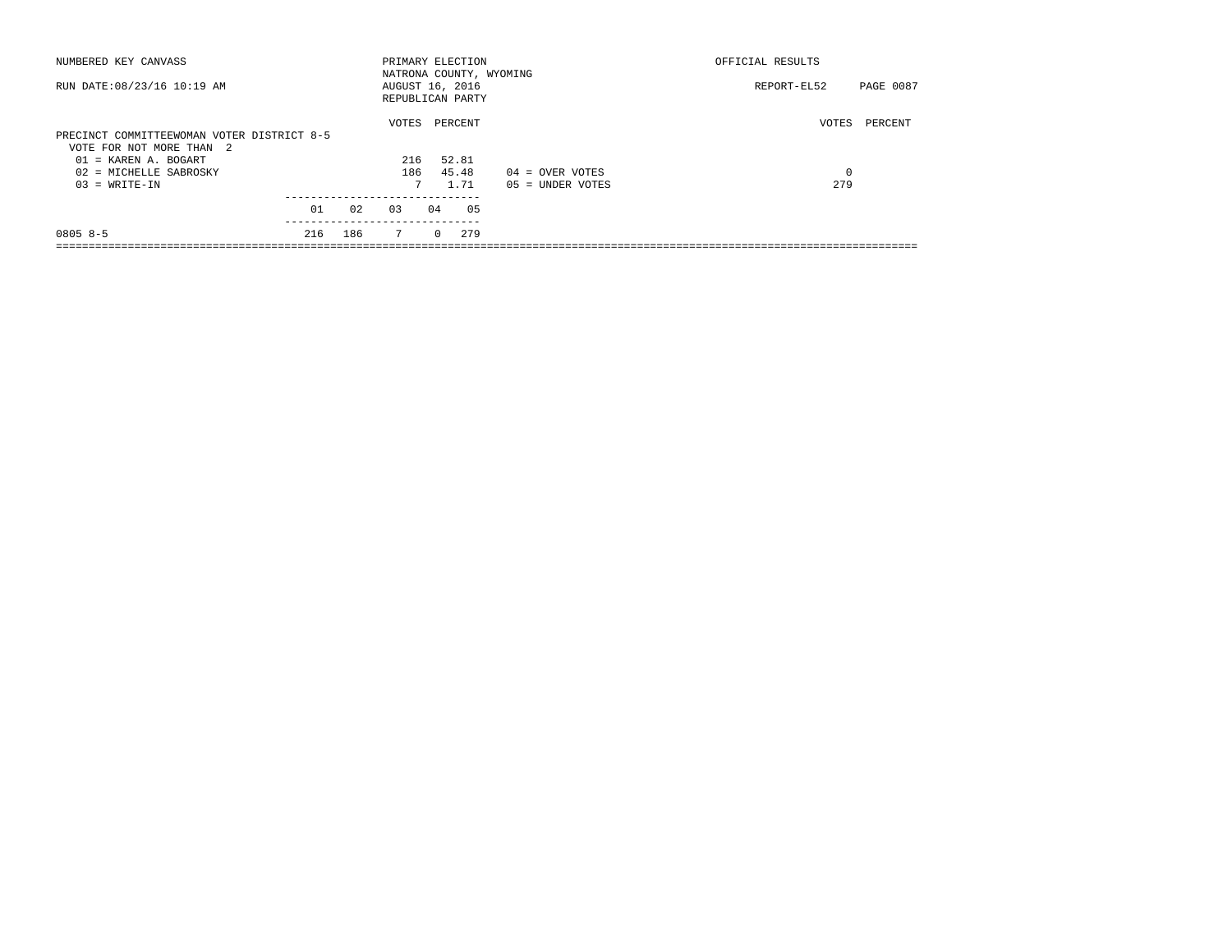| NUMBERED KEY CANVASS                       |     |     | PRIMARY ELECTION                    |          |         |                         | OFFICIAL RESULTS |           |  |
|--------------------------------------------|-----|-----|-------------------------------------|----------|---------|-------------------------|------------------|-----------|--|
| RUN DATE: 08/23/16 10:19 AM                |     |     | AUGUST 16, 2016<br>REPUBLICAN PARTY |          |         | NATRONA COUNTY, WYOMING | REPORT-EL52      | PAGE 0087 |  |
|                                            |     |     | VOTES                               |          | PERCENT |                         | VOTES            | PERCENT   |  |
| PRECINCT COMMITTEEWOMAN VOTER DISTRICT 8-5 |     |     |                                     |          |         |                         |                  |           |  |
| VOTE FOR NOT MORE THAN 2                   |     |     |                                     |          |         |                         |                  |           |  |
| $01 = KARENT A. BOGART$                    |     |     | 216                                 |          | 52.81   |                         |                  |           |  |
| 02 = MICHELLE SABROSKY                     |     |     | 186                                 |          | 45.48   | $04 =$ OVER VOTES       | 0                |           |  |
| $03 = WRITE-IN$                            |     |     | 7                                   |          | 1.71    | $05 = UNDER VOTES$      | 279              |           |  |
|                                            | 01  | 02  | 0.3                                 | 04       | 05      |                         |                  |           |  |
|                                            |     |     |                                     |          |         |                         |                  |           |  |
| $08058-5$                                  | 216 | 186 | $7\overline{ }$                     | $\Omega$ | 279     |                         |                  |           |  |
|                                            |     |     |                                     |          |         |                         |                  |           |  |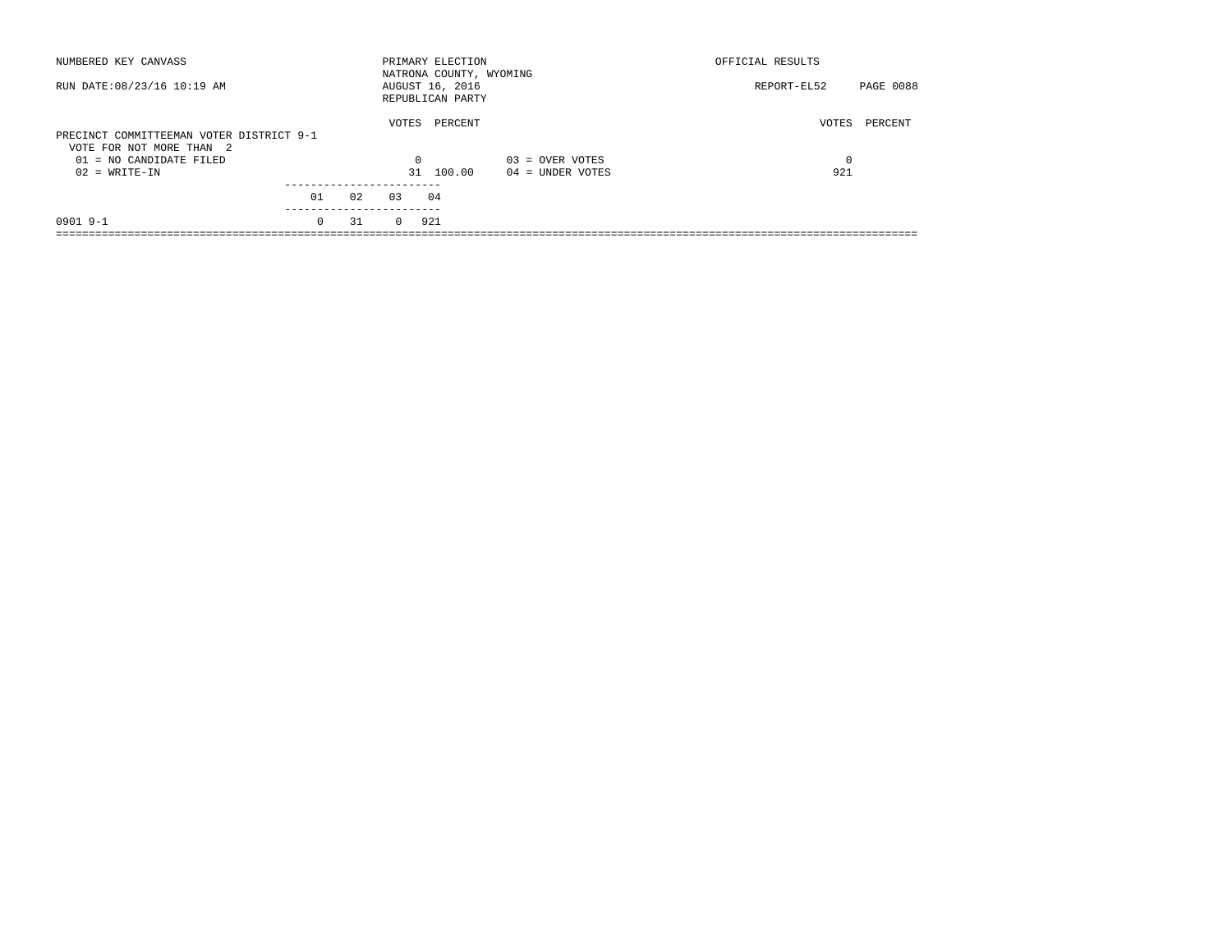| NUMBERED KEY CANVASS                                                 |                        |    |          | PRIMARY ELECTION<br>NATRONA COUNTY, WYOMING |                   | OFFICIAL RESULTS |                  |
|----------------------------------------------------------------------|------------------------|----|----------|---------------------------------------------|-------------------|------------------|------------------|
| RUN DATE: 08/23/16 10:19 AM                                          |                        |    |          | AUGUST 16, 2016<br>REPUBLICAN PARTY         |                   | REPORT-EL52      | <b>PAGE 0088</b> |
| PRECINCT COMMITTEEMAN VOTER DISTRICT 9-1<br>VOTE FOR NOT MORE THAN 2 |                        |    | VOTES    | PERCENT                                     |                   | VOTES            | PERCENT          |
| $01 = NO$ CANDIDATE FILED                                            |                        |    | $\Omega$ |                                             | $03 =$ OVER VOTES | 0                |                  |
| $02 = WRITE-IN$                                                      |                        |    | 31       | 100.00                                      | 04 = UNDER VOTES  | 921              |                  |
|                                                                      |                        |    |          |                                             |                   |                  |                  |
|                                                                      | 01                     | 02 | 0.3      | 04                                          |                   |                  |                  |
| $0901$ 9-1                                                           | ----------<br>$\Omega$ | 31 | $\Omega$ | 921                                         |                   |                  |                  |
|                                                                      |                        |    |          |                                             |                   |                  |                  |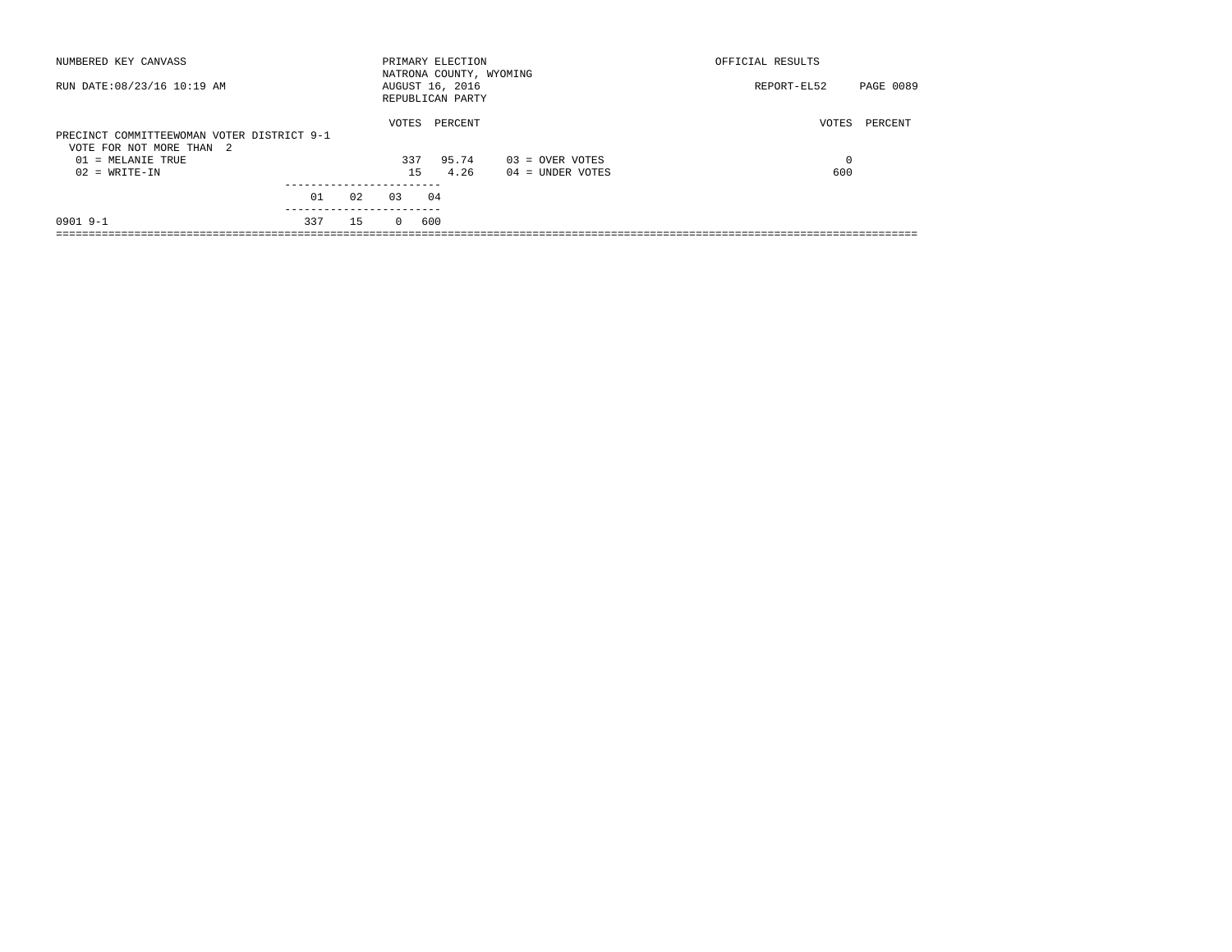| NUMBERED KEY CANVASS                                                   |     |     |          | PRIMARY ELECTION                                               |                    | OFFICIAL RESULTS                |  |
|------------------------------------------------------------------------|-----|-----|----------|----------------------------------------------------------------|--------------------|---------------------------------|--|
| RUN DATE: 08/23/16 10:19 AM                                            |     |     |          | NATRONA COUNTY, WYOMING<br>AUGUST 16, 2016<br>REPUBLICAN PARTY |                    | <b>PAGE 0089</b><br>REPORT-EL52 |  |
| PRECINCT COMMITTEEWOMAN VOTER DISTRICT 9-1<br>VOTE FOR NOT MORE THAN 2 |     |     | VOTES    | PERCENT                                                        |                    | VOTES<br>PERCENT                |  |
| 01 = MELANIE TRUE                                                      |     |     | 337      | 95.74                                                          | $03 =$ OVER VOTES  | 0                               |  |
| $02 = WRITE-IN$                                                        |     |     | 15       | 4.26                                                           | $04 =$ UNDER VOTES | 600                             |  |
|                                                                        |     |     |          |                                                                |                    |                                 |  |
|                                                                        | 01  | 02  | 0.3      | 04                                                             |                    |                                 |  |
| $0901$ 9-1                                                             | 337 | 1.5 | $\Omega$ | 600                                                            |                    |                                 |  |
|                                                                        |     |     |          |                                                                |                    |                                 |  |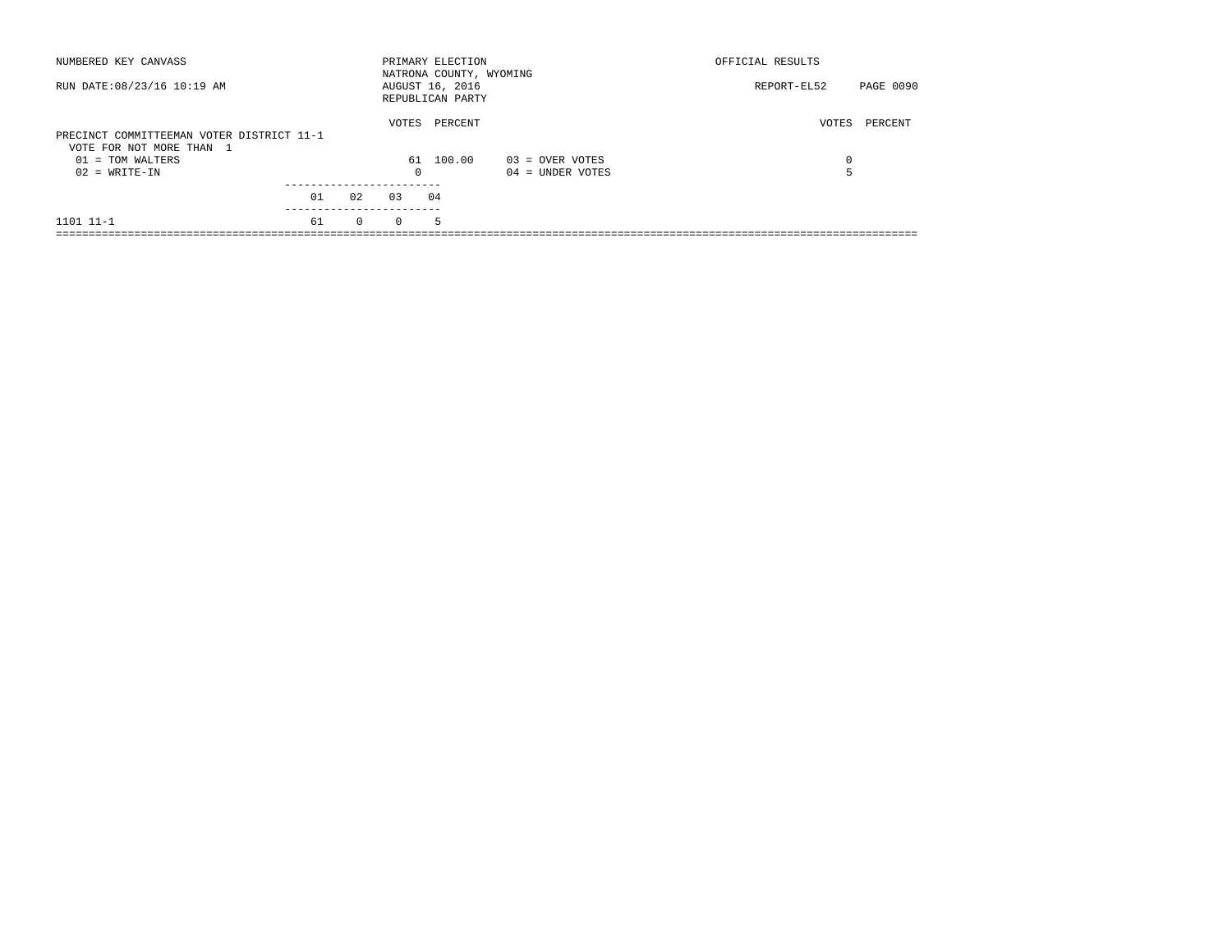| NUMBERED KEY CANVASS                                                  |    |              |          | PRIMARY ELECTION<br>NATRONA COUNTY, WYOMING |                    | OFFICIAL RESULTS |           |
|-----------------------------------------------------------------------|----|--------------|----------|---------------------------------------------|--------------------|------------------|-----------|
| RUN DATE: 08/23/16 10:19 AM                                           |    |              |          | AUGUST 16, 2016<br>REPUBLICAN PARTY         |                    | REPORT-EL52      | PAGE 0090 |
| PRECINCT COMMITTEEMAN VOTER DISTRICT 11-1<br>VOTE FOR NOT MORE THAN 1 |    |              | VOTES    | PERCENT                                     |                    | VOTES            | PERCENT   |
| $01 = TOM WALTERS$                                                    |    |              |          | 61 100.00                                   | $03 =$ OVER VOTES  | $\Omega$         |           |
| $02 = WRITE-IN$                                                       |    |              | 0        |                                             | $04 =$ UNDER VOTES |                  |           |
|                                                                       |    |              |          |                                             |                    |                  |           |
|                                                                       | 01 | 02           | 0.3      | 04                                          |                    |                  |           |
| 1101 11-1                                                             | 61 | $\mathbf{0}$ | $\Omega$ | 5.                                          |                    |                  |           |
|                                                                       |    |              |          |                                             |                    |                  |           |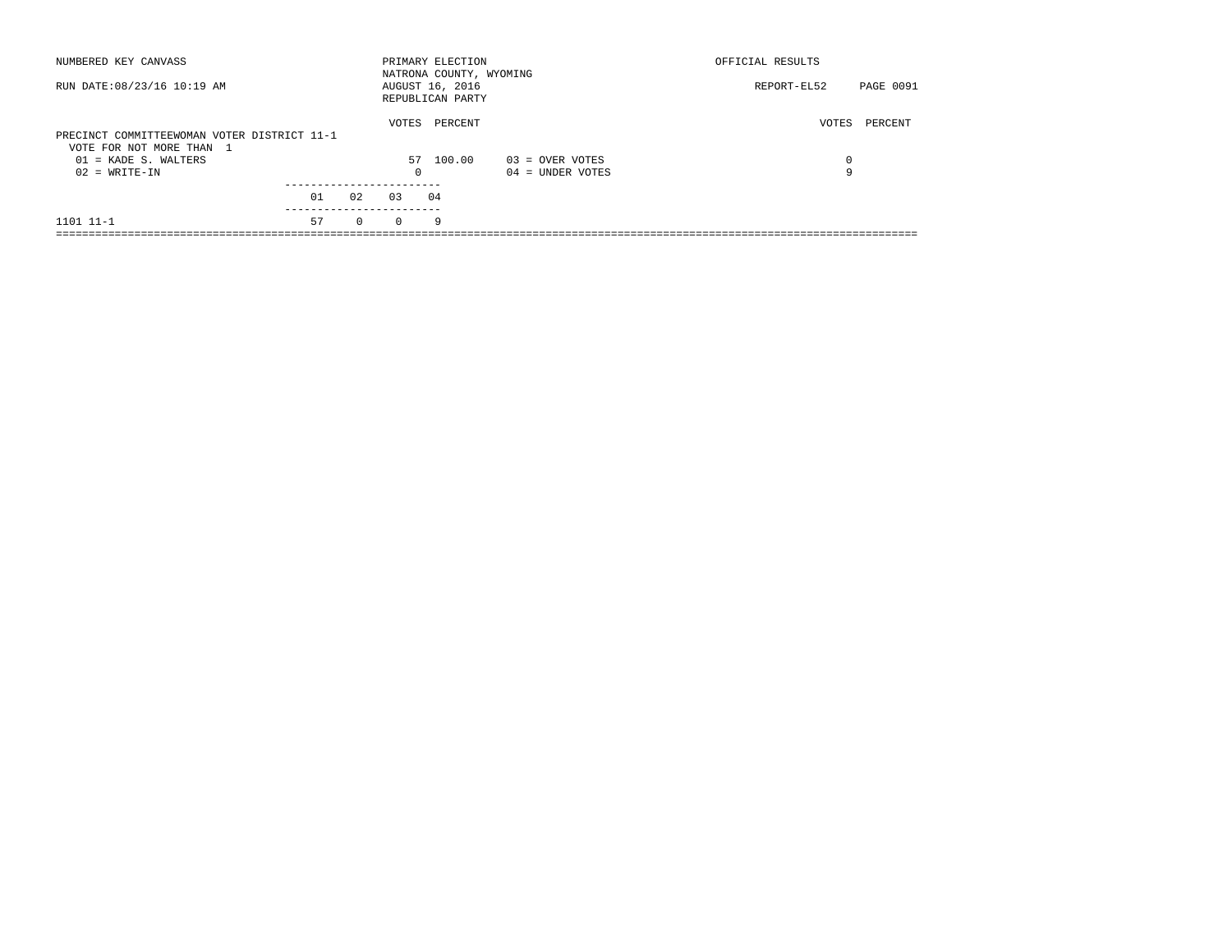| NUMBERED KEY CANVASS                                                    |    |          |            | PRIMARY ELECTION<br>NATRONA COUNTY, WYOMING |                    | OFFICIAL RESULTS |           |
|-------------------------------------------------------------------------|----|----------|------------|---------------------------------------------|--------------------|------------------|-----------|
| RUN DATE: 08/23/16 10:19 AM                                             |    |          |            | AUGUST 16, 2016<br>REPUBLICAN PARTY         |                    | REPORT-EL52      | PAGE 0091 |
| PRECINCT COMMITTEEWOMAN VOTER DISTRICT 11-1<br>VOTE FOR NOT MORE THAN 1 |    |          | VOTES      | PERCENT                                     |                    | VOTES            | PERCENT   |
| $01$ = KADE S. WALTERS                                                  |    |          |            | 57 100.00                                   | 03 = OVER VOTES    | $\Omega$         |           |
| $02 = WRITE-IN$                                                         |    |          | $^{\circ}$ |                                             | $04 =$ UNDER VOTES | 9                |           |
|                                                                         |    |          |            |                                             |                    |                  |           |
|                                                                         | 01 | 02       | 0.3        | 04                                          |                    |                  |           |
| 1101 11-1                                                               | 57 | $\Omega$ | $\Omega$   | 9                                           |                    |                  |           |
|                                                                         |    |          |            |                                             |                    |                  |           |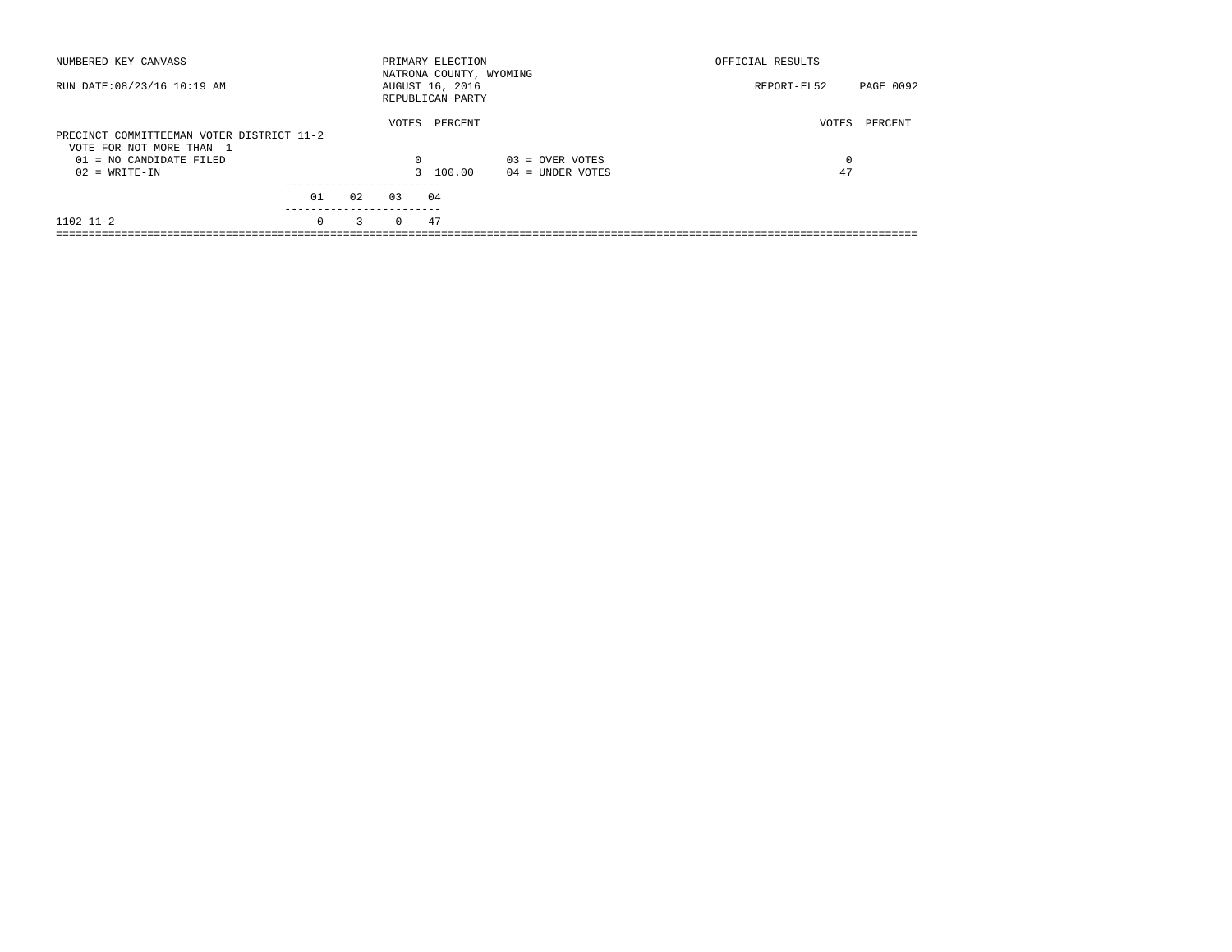| NUMBERED KEY CANVASS                                                  |          |    |          | PRIMARY ELECTION<br>NATRONA COUNTY, WYOMING |                    | OFFICIAL RESULTS         |
|-----------------------------------------------------------------------|----------|----|----------|---------------------------------------------|--------------------|--------------------------|
| RUN DATE: 08/23/16 10:19 AM                                           |          |    |          | AUGUST 16, 2016<br>REPUBLICAN PARTY         |                    | PAGE 0092<br>REPORT-EL52 |
| PRECINCT COMMITTEEMAN VOTER DISTRICT 11-2<br>VOTE FOR NOT MORE THAN 1 |          |    | VOTES    | PERCENT                                     |                    | PERCENT<br>VOTES         |
| $01 = NO$ CANDIDATE FILED                                             |          |    | $\Omega$ |                                             | $03 =$ OVER VOTES  | 0                        |
| $02 = WRITE-IN$                                                       |          |    |          | 3 100.00                                    | $04 =$ UNDER VOTES | 47                       |
|                                                                       |          |    |          |                                             |                    |                          |
|                                                                       | 01       | 02 | 03       | 04                                          |                    |                          |
| $1102$ $11-2$                                                         | $\Omega$ | 3  | $\Omega$ | 47                                          |                    |                          |
|                                                                       |          |    |          |                                             |                    |                          |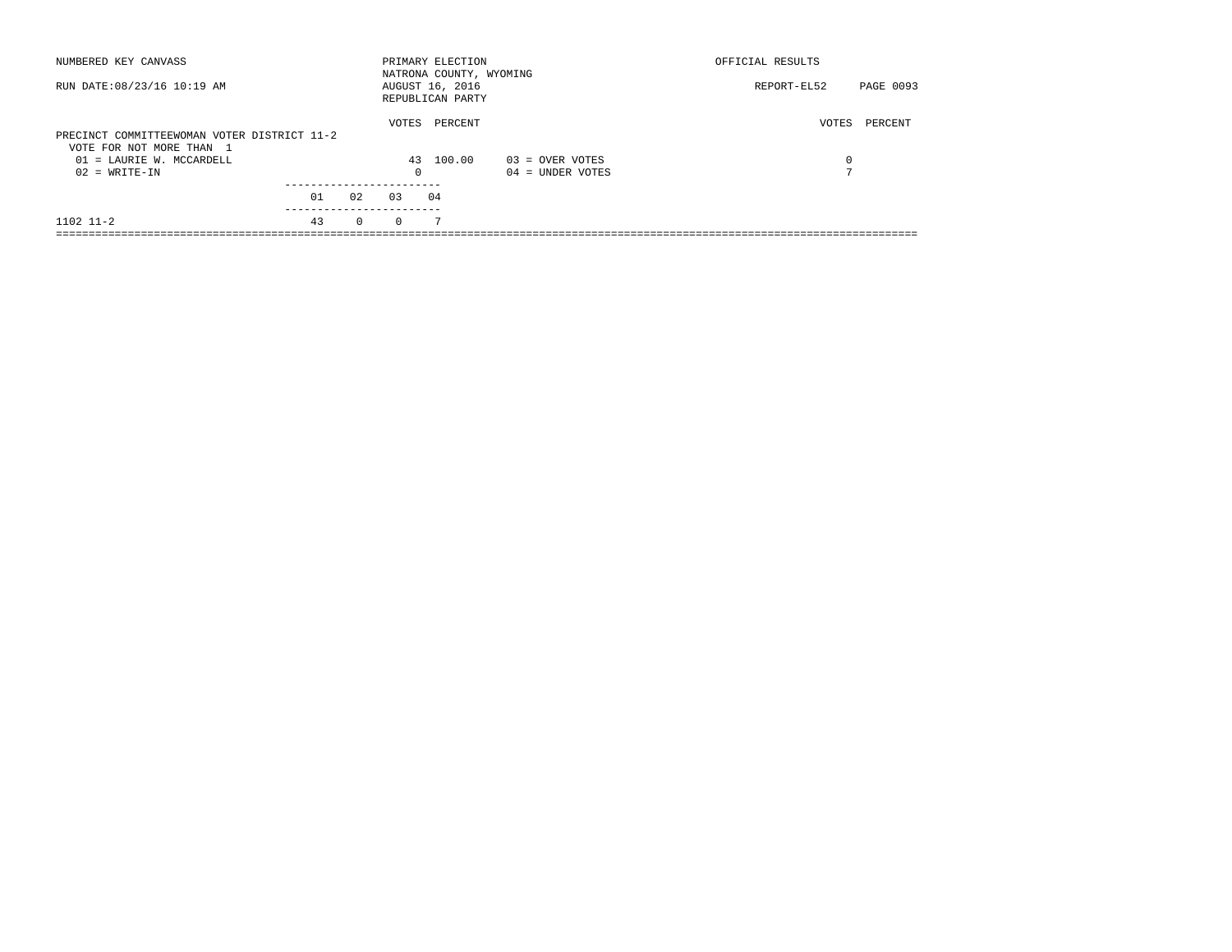| NUMBERED KEY CANVASS                                                    |    |          |          | PRIMARY ELECTION<br>NATRONA COUNTY, WYOMING |                    | OFFICIAL RESULTS |           |
|-------------------------------------------------------------------------|----|----------|----------|---------------------------------------------|--------------------|------------------|-----------|
| RUN DATE: 08/23/16 10:19 AM                                             |    |          |          | AUGUST 16, 2016<br>REPUBLICAN PARTY         |                    | REPORT-EL52      | PAGE 0093 |
| PRECINCT COMMITTEEWOMAN VOTER DISTRICT 11-2<br>VOTE FOR NOT MORE THAN 1 |    |          | VOTES    | PERCENT                                     |                    | VOTES            | PERCENT   |
| $01$ = LAURIE W. MCCARDELL                                              |    |          |          | 43 100.00                                   | $03 =$ OVER VOTES  | 0                |           |
| $02 = WRITE-IN$                                                         |    |          | $\Omega$ |                                             | $04 =$ UNDER VOTES | $\blacksquare$   |           |
|                                                                         |    |          |          |                                             |                    |                  |           |
|                                                                         | 01 | 02       | 0.3      | 04                                          |                    |                  |           |
| $1102$ $11-2$                                                           | 43 | $\Omega$ | $\Omega$ | 7                                           |                    |                  |           |
|                                                                         |    |          |          |                                             |                    |                  |           |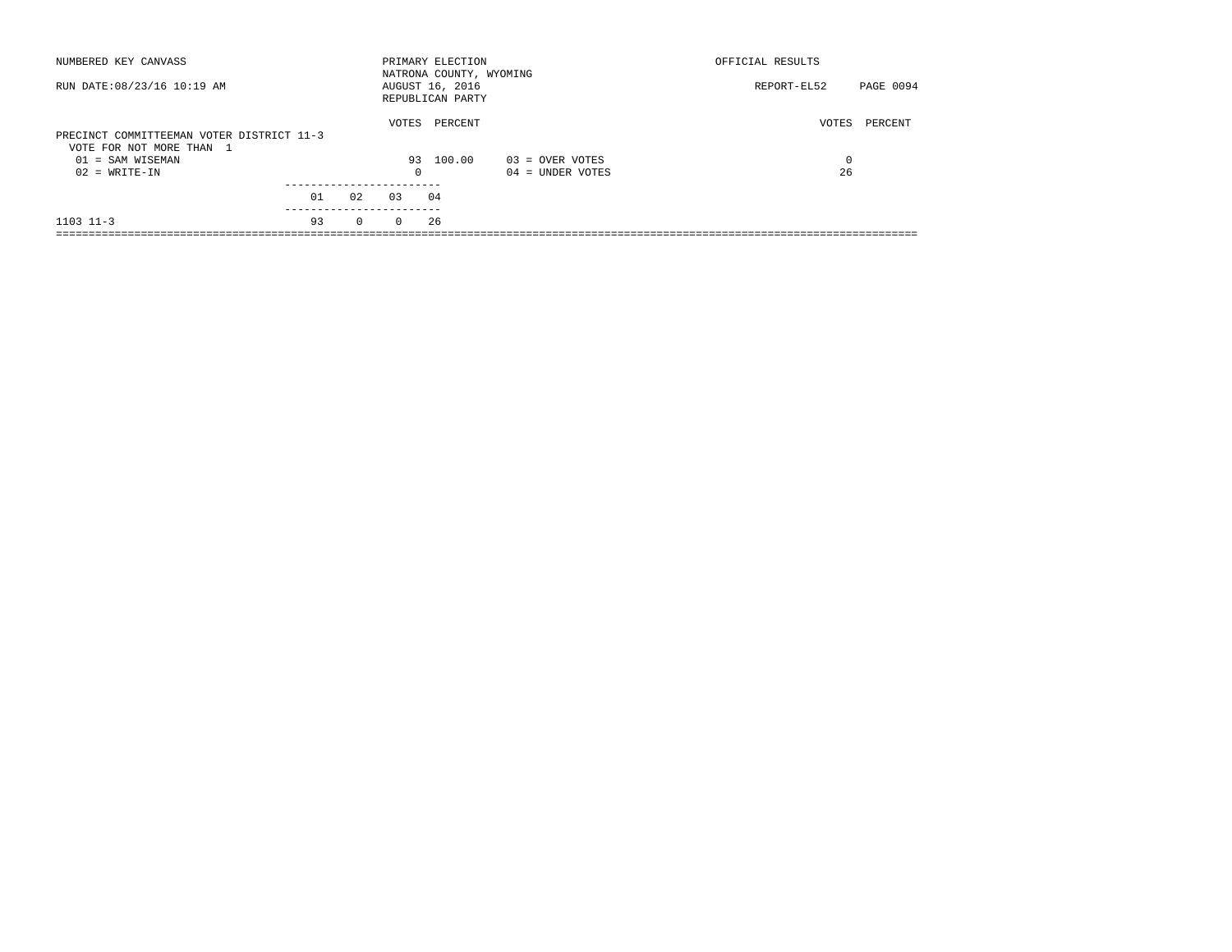| NUMBERED KEY CANVASS                                                  |    |              |          | PRIMARY ELECTION<br>NATRONA COUNTY, WYOMING |                   | OFFICIAL RESULTS |           |
|-----------------------------------------------------------------------|----|--------------|----------|---------------------------------------------|-------------------|------------------|-----------|
| RUN DATE: 08/23/16 10:19 AM                                           |    |              |          | AUGUST 16, 2016<br>REPUBLICAN PARTY         |                   | REPORT-EL52      | PAGE 0094 |
| PRECINCT COMMITTEEMAN VOTER DISTRICT 11-3<br>VOTE FOR NOT MORE THAN 1 |    |              | VOTES    | PERCENT                                     |                   | VOTES            | PERCENT   |
| 01 = SAM WISEMAN                                                      |    |              |          | 93 100.00                                   | $03 =$ OVER VOTES | 0                |           |
| $02 = WRITE-IN$                                                       |    |              | $\Omega$ |                                             | 04 = UNDER VOTES  | 26               |           |
|                                                                       | 01 | 02           | 0.3      | 04                                          |                   |                  |           |
| $1103$ $11-3$                                                         | 93 | $\mathbf{0}$ | $\Omega$ | 26                                          |                   |                  |           |
|                                                                       |    |              |          |                                             |                   |                  |           |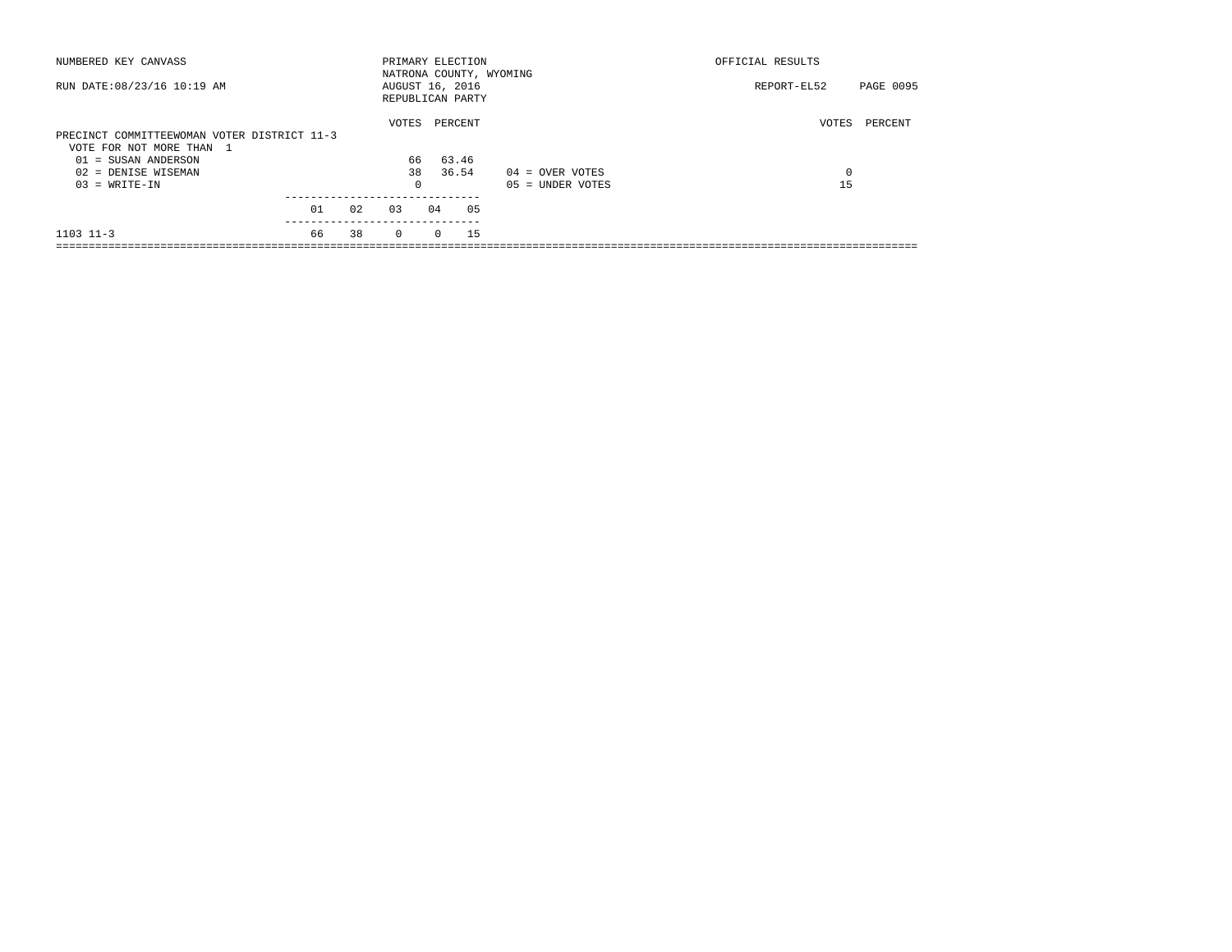| NUMBERED KEY CANVASS                        |    |    |                 |          | PRIMARY ELECTION<br>NATRONA COUNTY, WYOMING |                    | OFFICIAL RESULTS |           |
|---------------------------------------------|----|----|-----------------|----------|---------------------------------------------|--------------------|------------------|-----------|
| RUN DATE: 08/23/16 10:19 AM                 |    |    | AUGUST 16, 2016 |          | REPUBLICAN PARTY                            |                    | REPORT-EL52      | PAGE 0095 |
|                                             |    |    | VOTES           |          | PERCENT                                     |                    | VOTES            | PERCENT   |
| PRECINCT COMMITTEEWOMAN VOTER DISTRICT 11-3 |    |    |                 |          |                                             |                    |                  |           |
| VOTE FOR NOT MORE THAN 1                    |    |    |                 |          |                                             |                    |                  |           |
| $01 = SUBAN ANDERSON$                       |    |    | 66              |          | 63.46                                       |                    |                  |           |
| 02 = DENISE WISEMAN                         |    |    | 38              |          | 36.54                                       | $04 =$ OVER VOTES  | 0                |           |
| $03 = WRITE-IN$                             |    |    | $^{\circ}$      |          |                                             | $05 =$ UNDER VOTES | 15               |           |
|                                             |    |    |                 |          |                                             |                    |                  |           |
|                                             | 01 | 02 | 03              | 04       | 05                                          |                    |                  |           |
| $1103$ $11-3$                               | 66 | 38 | $\Omega$        | $\Omega$ | 15                                          |                    |                  |           |
|                                             |    |    |                 |          |                                             |                    |                  |           |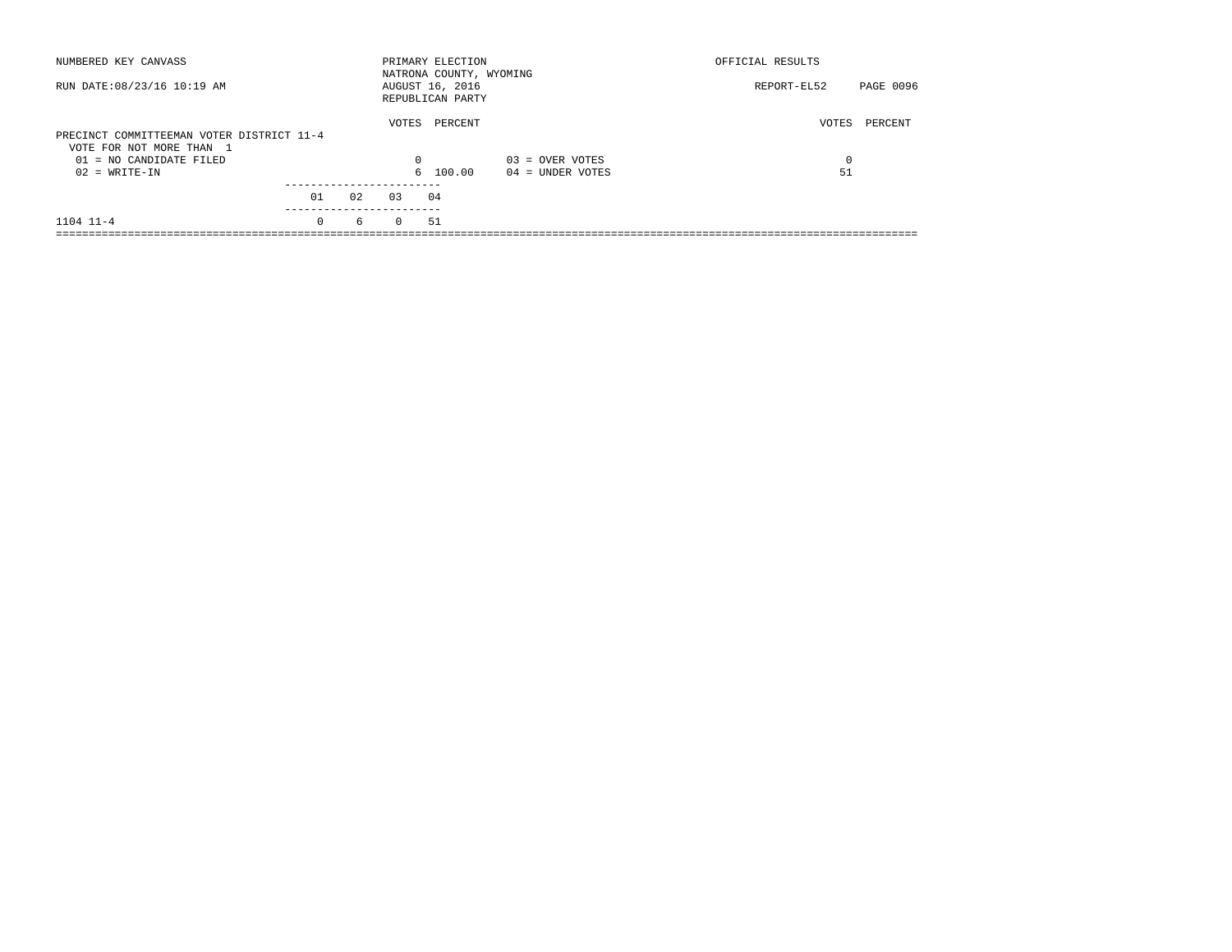| NUMBERED KEY CANVASS                                                  |                 |    |          | PRIMARY ELECTION<br>NATRONA COUNTY, WYOMING |                    | OFFICIAL RESULTS         |  |
|-----------------------------------------------------------------------|-----------------|----|----------|---------------------------------------------|--------------------|--------------------------|--|
| RUN DATE: 08/23/16 10:19 AM                                           |                 |    |          | AUGUST 16, 2016<br>REPUBLICAN PARTY         |                    | PAGE 0096<br>REPORT-EL52 |  |
| PRECINCT COMMITTEEMAN VOTER DISTRICT 11-4<br>VOTE FOR NOT MORE THAN 1 |                 |    | VOTES    | PERCENT                                     |                    | VOTES<br>PERCENT         |  |
| $01 = NO$ CANDIDATE FILED                                             |                 |    | $\Omega$ |                                             | $03 =$ OVER VOTES  | $\Omega$                 |  |
| $02 = WRITE-IN$                                                       |                 |    |          | 6 100.00                                    | $04 =$ UNDER VOTES | 51                       |  |
|                                                                       | 01<br>--------- | 02 | 0.3      | 04                                          |                    |                          |  |
| $1104$ $11-4$                                                         | $\Omega$        | 6  | $\Omega$ | 51                                          |                    |                          |  |
|                                                                       |                 |    |          |                                             |                    |                          |  |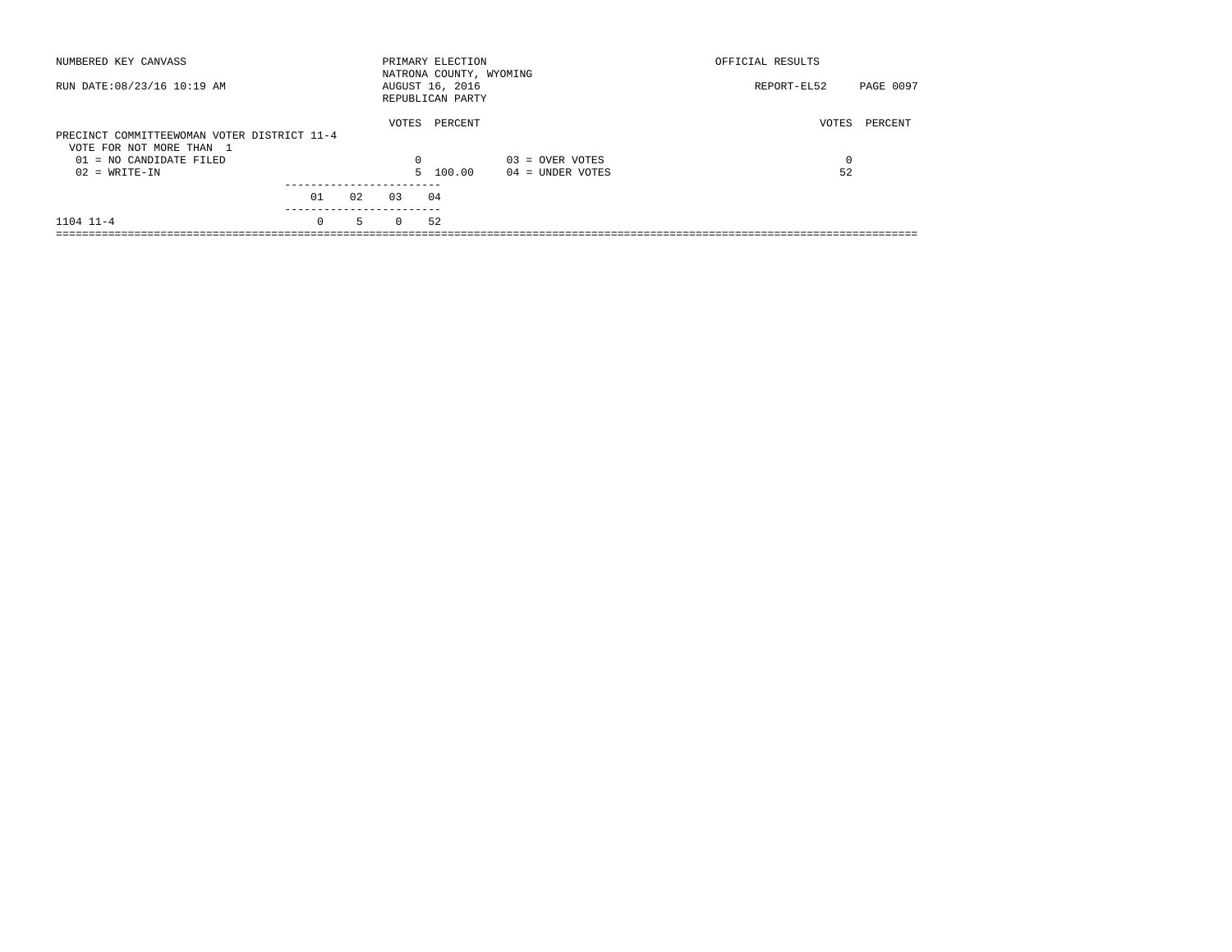| NUMBERED KEY CANVASS                                                    |                       |    |          | PRIMARY ELECTION<br>NATRONA COUNTY, WYOMING |                    | OFFICIAL RESULTS         |
|-------------------------------------------------------------------------|-----------------------|----|----------|---------------------------------------------|--------------------|--------------------------|
| RUN DATE: 08/23/16 10:19 AM                                             |                       |    |          | AUGUST 16, 2016<br>REPUBLICAN PARTY         |                    | PAGE 0097<br>REPORT-EL52 |
| PRECINCT COMMITTEEWOMAN VOTER DISTRICT 11-4<br>VOTE FOR NOT MORE THAN 1 |                       |    | VOTES    | PERCENT                                     |                    | VOTES<br>PERCENT         |
| $01 = NO$ CANDIDATE FILED                                               |                       |    | $\Omega$ |                                             | $03 =$ OVER VOTES  | 0                        |
| $02 = WRITE-IN$                                                         |                       |    |          | 5 100.00                                    | $04 =$ UNDER VOTES | 52                       |
|                                                                         |                       |    |          |                                             |                    |                          |
|                                                                         | 01                    | 02 | 0.3      | 04                                          |                    |                          |
| $1104$ $11-4$                                                           | ---------<br>$\Omega$ | 5  | $\Omega$ | 52                                          |                    |                          |
|                                                                         |                       |    |          |                                             |                    |                          |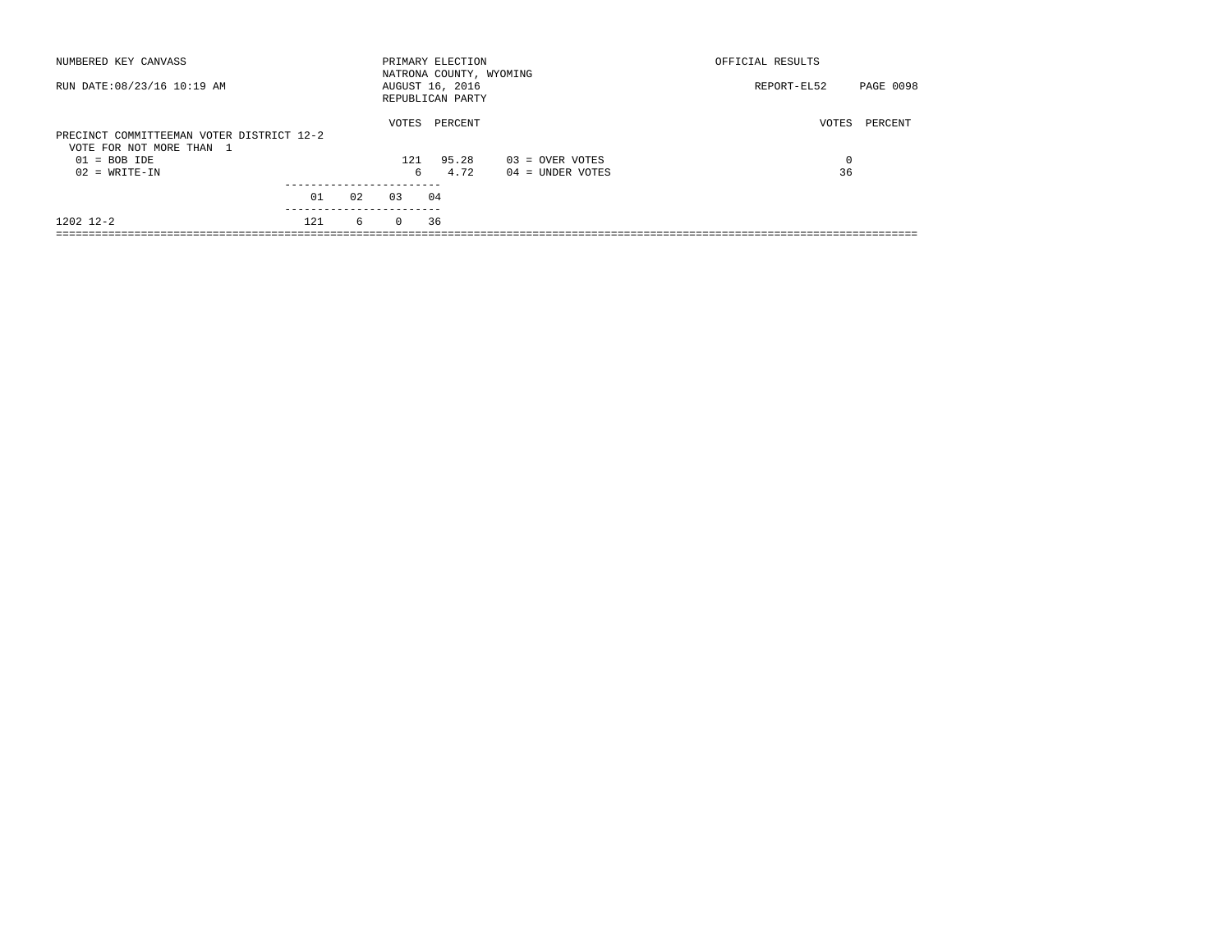| NUMBERED KEY CANVASS                                                  |     |       |          | PRIMARY ELECTION<br>NATRONA COUNTY, WYOMING |                   | OFFICIAL RESULTS                |  |
|-----------------------------------------------------------------------|-----|-------|----------|---------------------------------------------|-------------------|---------------------------------|--|
| RUN DATE: 08/23/16 10:19 AM                                           |     |       |          | AUGUST 16, 2016<br>REPUBLICAN PARTY         |                   | <b>PAGE 0098</b><br>REPORT-EL52 |  |
| PRECINCT COMMITTEEMAN VOTER DISTRICT 12-2<br>VOTE FOR NOT MORE THAN 1 |     | VOTES | PERCENT  |                                             | VOTES<br>PERCENT  |                                 |  |
| $01 = BOB IDE$                                                        |     |       | 121      | 95.28                                       | $03 =$ OVER VOTES | 0                               |  |
| $02 = WRITE-IN$                                                       |     |       | 6        | 4.72                                        | 04 = UNDER VOTES  | 36                              |  |
|                                                                       |     |       |          |                                             |                   |                                 |  |
|                                                                       | 01  | 02    | 03       | 04                                          |                   |                                 |  |
| 1202 12-2                                                             | 121 | 6     | $\Omega$ | 36                                          |                   |                                 |  |
|                                                                       |     |       |          |                                             |                   |                                 |  |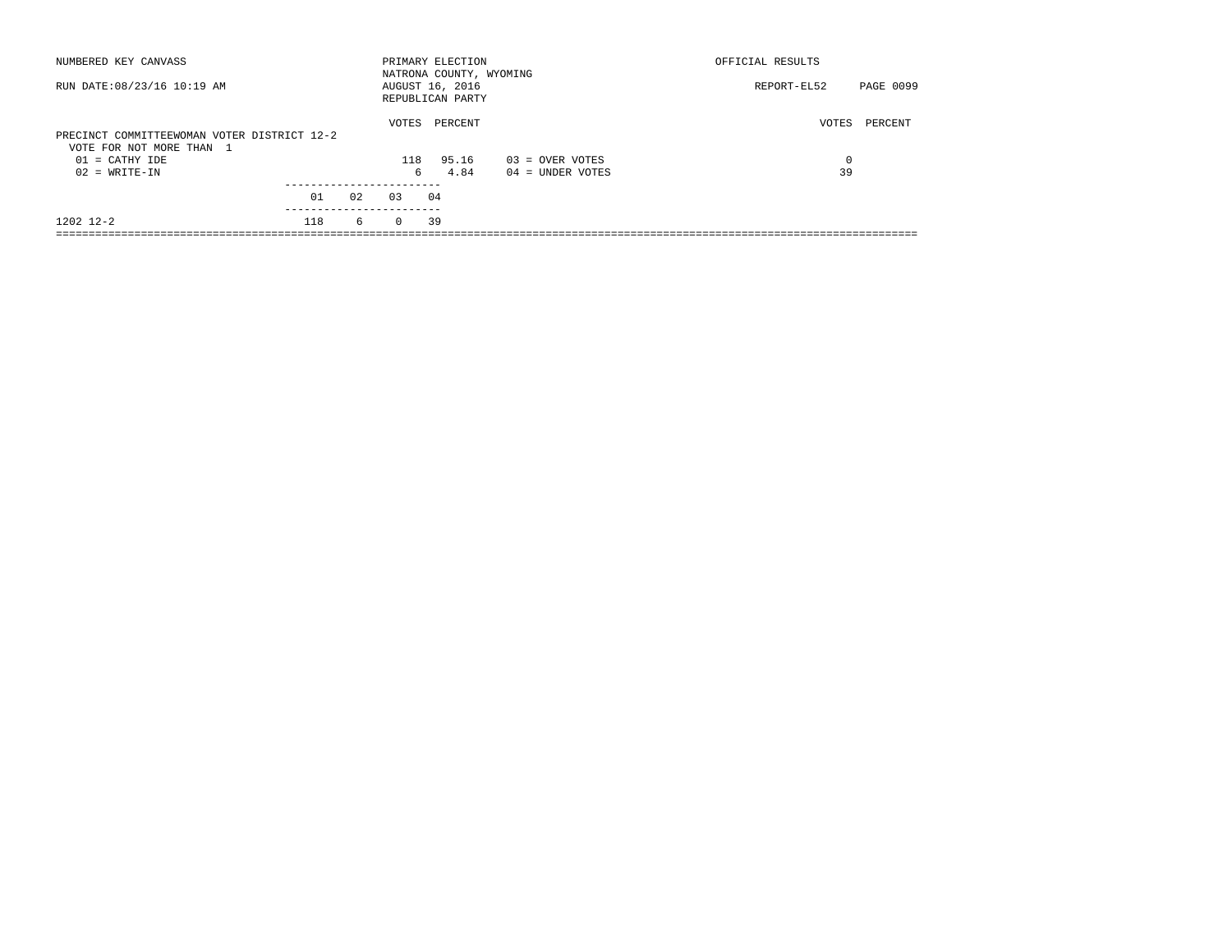| NUMBERED KEY CANVASS                                                    |     |    |          | PRIMARY ELECTION<br>NATRONA COUNTY, WYOMING |                    | OFFICIAL RESULTS         |
|-------------------------------------------------------------------------|-----|----|----------|---------------------------------------------|--------------------|--------------------------|
| RUN DATE: 08/23/16 10:19 AM                                             |     |    |          | AUGUST 16, 2016<br>REPUBLICAN PARTY         |                    | PAGE 0099<br>REPORT-EL52 |
| PRECINCT COMMITTEEWOMAN VOTER DISTRICT 12-2<br>VOTE FOR NOT MORE THAN 1 |     |    | VOTES    | PERCENT                                     |                    | VOTES<br>PERCENT         |
| $01 = CATHY IDE$                                                        |     |    | 118      | 95.16                                       | $03 =$ OVER VOTES  | 0                        |
| $02 = WRITE-IN$                                                         |     |    | б.       | 4.84                                        | $04 =$ UNDER VOTES | 39                       |
|                                                                         | 01  | 02 | 0.3      | 04                                          |                    |                          |
| 1202 12-2                                                               | 118 | 6  | $\Omega$ | 39                                          |                    |                          |
|                                                                         |     |    |          |                                             |                    |                          |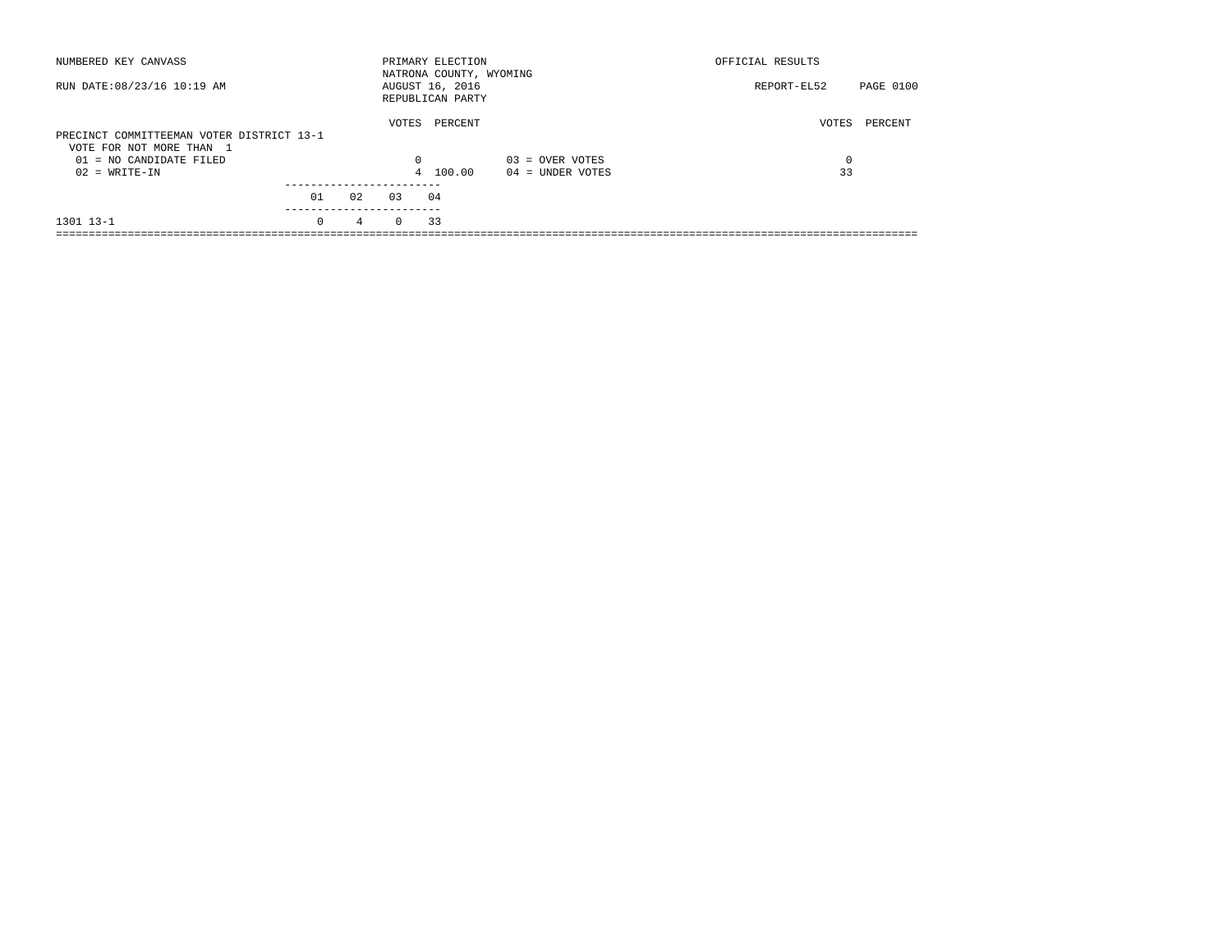| NUMBERED KEY CANVASS                                                  |                 |                 |          | PRIMARY ELECTION<br>NATRONA COUNTY, WYOMING |                    | OFFICIAL RESULTS |           |
|-----------------------------------------------------------------------|-----------------|-----------------|----------|---------------------------------------------|--------------------|------------------|-----------|
| RUN DATE: 08/23/16 10:19 AM                                           |                 |                 |          | AUGUST 16, 2016<br>REPUBLICAN PARTY         |                    | REPORT-EL52      | PAGE 0100 |
| PRECINCT COMMITTEEMAN VOTER DISTRICT 13-1<br>VOTE FOR NOT MORE THAN 1 |                 |                 | VOTES    | PERCENT                                     |                    | VOTES            | PERCENT   |
| $01 = NO$ CANDIDATE FILED                                             |                 |                 | $\Omega$ |                                             | $03 =$ OVER VOTES  | $\Omega$         |           |
| $02 = WRITE-IN$                                                       |                 |                 |          | 4 100.00                                    | $04 =$ UNDER VOTES | 33               |           |
|                                                                       | 01<br>--------- | 02              | 0.3      | 04                                          |                    |                  |           |
| 1301 13-1                                                             | $\Omega$        | $4\overline{ }$ | $\Omega$ | 33                                          |                    |                  |           |
|                                                                       |                 |                 |          |                                             |                    |                  |           |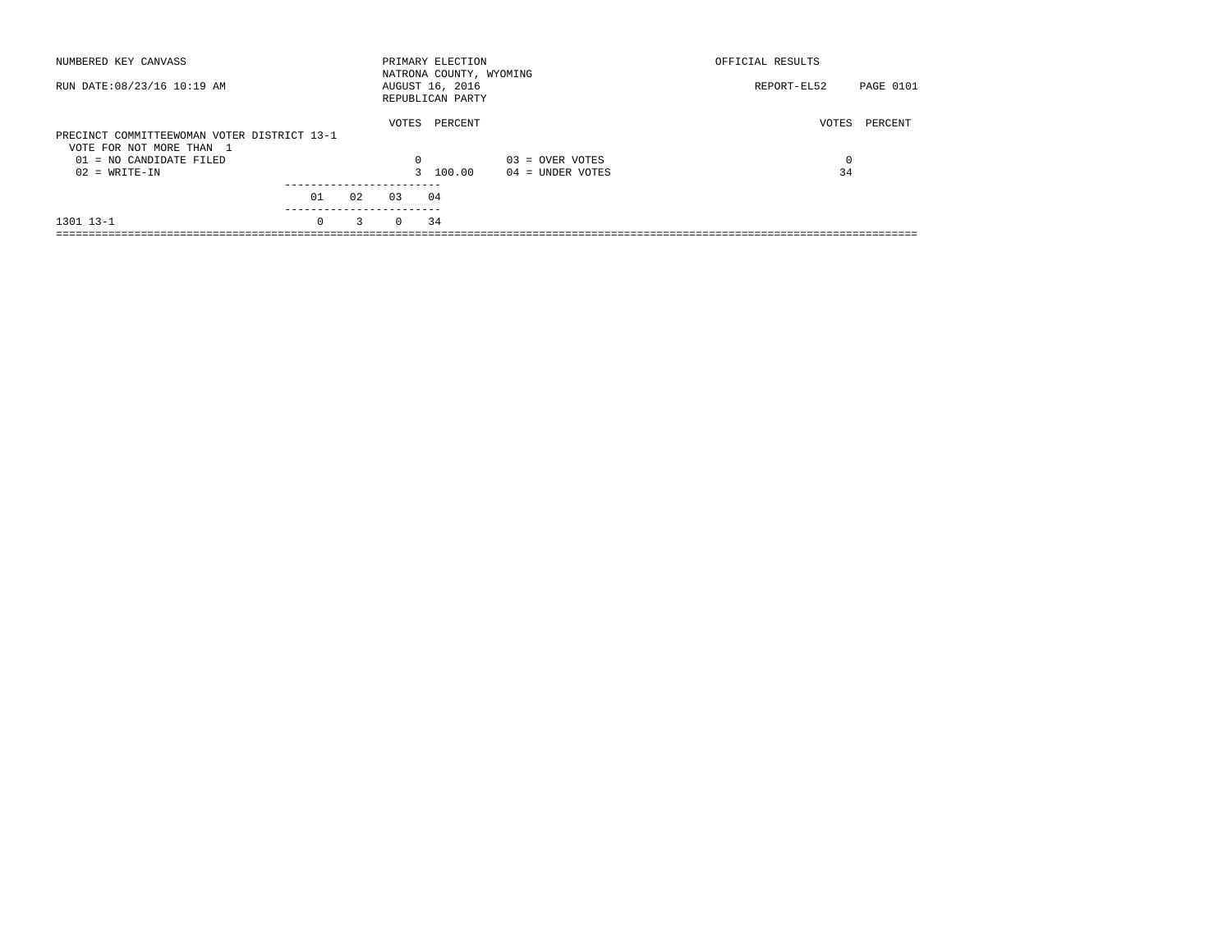| NUMBERED KEY CANVASS                                                    |                       |    |          | PRIMARY ELECTION<br>NATRONA COUNTY, WYOMING |                    | OFFICIAL RESULTS |           |
|-------------------------------------------------------------------------|-----------------------|----|----------|---------------------------------------------|--------------------|------------------|-----------|
| RUN DATE: 08/23/16 10:19 AM                                             |                       |    |          | AUGUST 16, 2016<br>REPUBLICAN PARTY         |                    | REPORT-EL52      | PAGE 0101 |
| PRECINCT COMMITTEEWOMAN VOTER DISTRICT 13-1<br>VOTE FOR NOT MORE THAN 1 |                       |    | VOTES    | PERCENT                                     |                    | VOTES            | PERCENT   |
| $01 = NO$ CANDIDATE FILED                                               |                       |    | $\Omega$ |                                             | $03 =$ OVER VOTES  | $\Omega$         |           |
| $02 = WRITE-IN$                                                         |                       |    |          | 3 100.00                                    | $04 =$ UNDER VOTES | 34               |           |
|                                                                         |                       |    |          |                                             |                    |                  |           |
|                                                                         | 01                    | 02 | 0.3      | 04                                          |                    |                  |           |
| 1301 13-1                                                               | ---------<br>$\Omega$ | 3  | $\Omega$ | 34                                          |                    |                  |           |
|                                                                         |                       |    |          |                                             |                    |                  |           |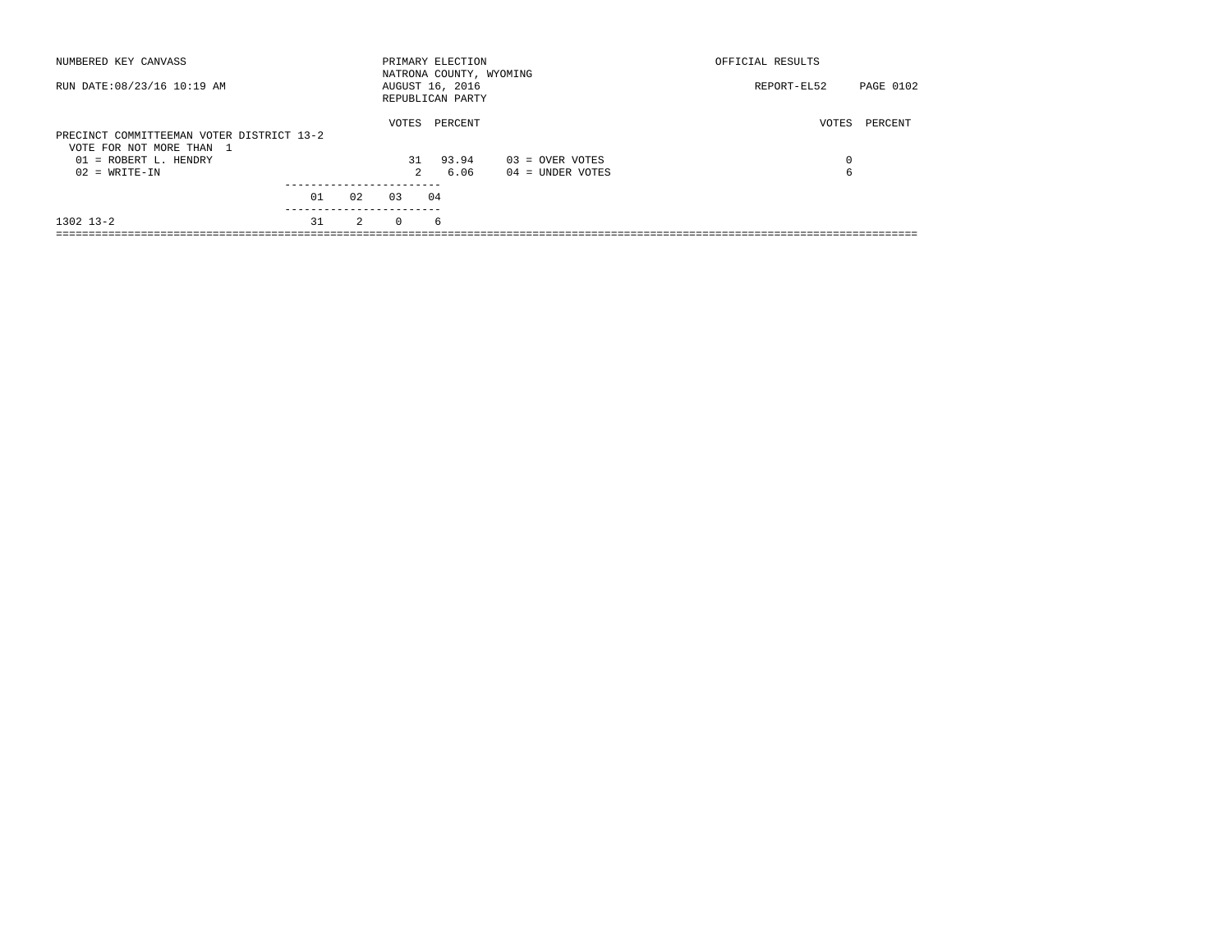| NUMBERED KEY CANVASS                                                  |    |    |          | PRIMARY ELECTION<br>NATRONA COUNTY, WYOMING |                    | OFFICIAL RESULTS         |
|-----------------------------------------------------------------------|----|----|----------|---------------------------------------------|--------------------|--------------------------|
| RUN DATE: 08/23/16 10:19 AM                                           |    |    |          | AUGUST 16, 2016<br>REPUBLICAN PARTY         |                    | PAGE 0102<br>REPORT-EL52 |
| PRECINCT COMMITTEEMAN VOTER DISTRICT 13-2<br>VOTE FOR NOT MORE THAN 1 |    |    | VOTES    | PERCENT                                     |                    | VOTES<br>PERCENT         |
| $01 = ROBERT L. HENDRY$                                               |    |    | 31       | 93.94                                       | $03 =$ OVER VOTES  | $\Omega$                 |
| $02 = WRITE-IN$                                                       |    |    | 2        | 6.06                                        | $04 =$ UNDER VOTES | 6                        |
|                                                                       |    |    |          |                                             |                    |                          |
|                                                                       | 01 | 02 | 0.3      | 04                                          |                    |                          |
| $1302$ $13-2$                                                         | 31 | 2  | $\Omega$ | 6                                           |                    |                          |
|                                                                       |    |    |          |                                             |                    |                          |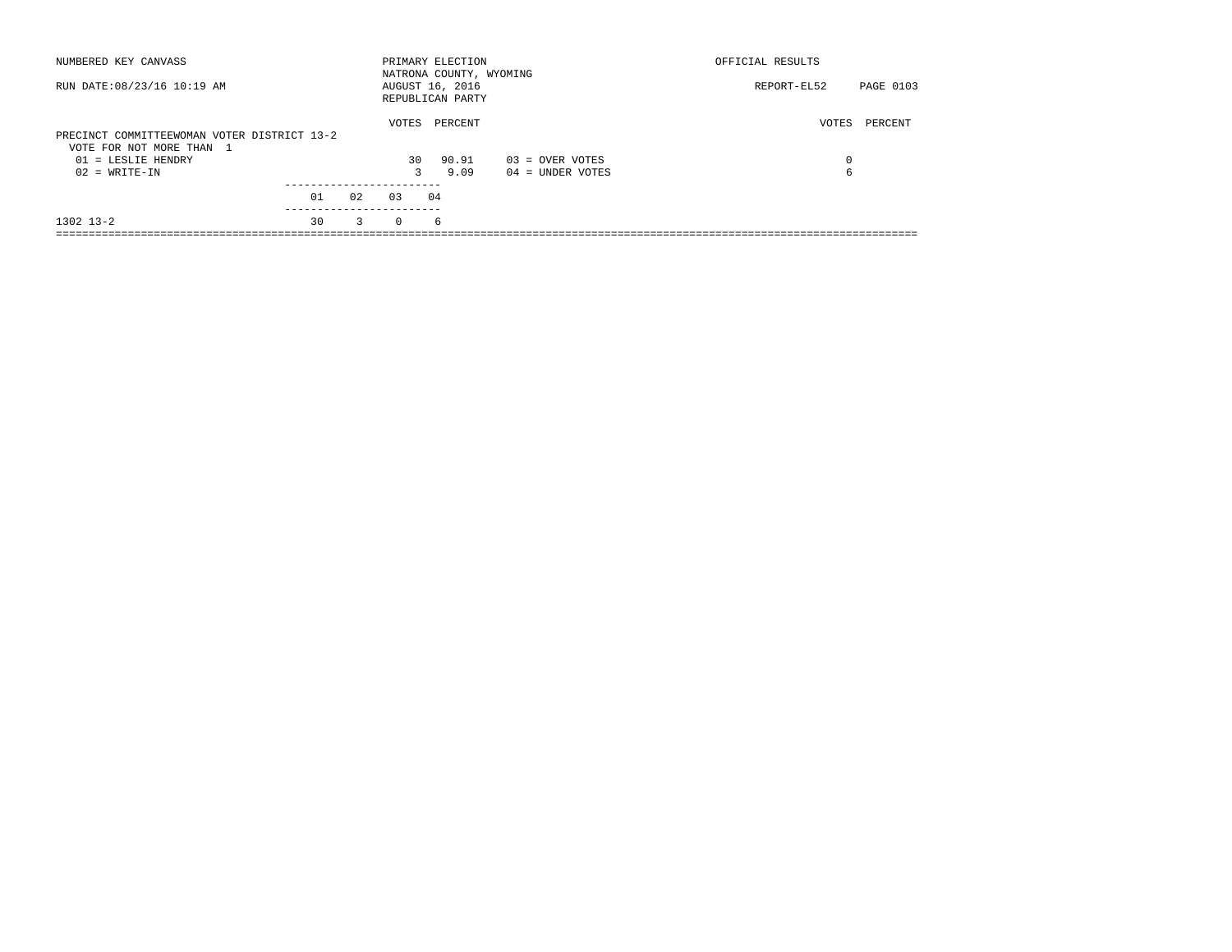|          |         |                                                                              | OFFICIAL RESULTS        |           |
|----------|---------|------------------------------------------------------------------------------|-------------------------|-----------|
|          |         |                                                                              | REPORT-EL52             | PAGE 0103 |
|          | PERCENT |                                                                              |                         | PERCENT   |
|          | 90.91   | $03 =$ OVER VOTES                                                            | $\Omega$                |           |
| 3        | 9.09    | $04 =$ UNDER VOTES                                                           | 6                       |           |
|          |         |                                                                              |                         |           |
| 0.3      |         |                                                                              |                         |           |
| $\Omega$ | 6       |                                                                              |                         |           |
|          | 02<br>3 | PRIMARY ELECTION<br>AUGUST 16, 2016<br>REPUBLICAN PARTY<br>VOTES<br>30<br>04 | NATRONA COUNTY, WYOMING | VOTES     |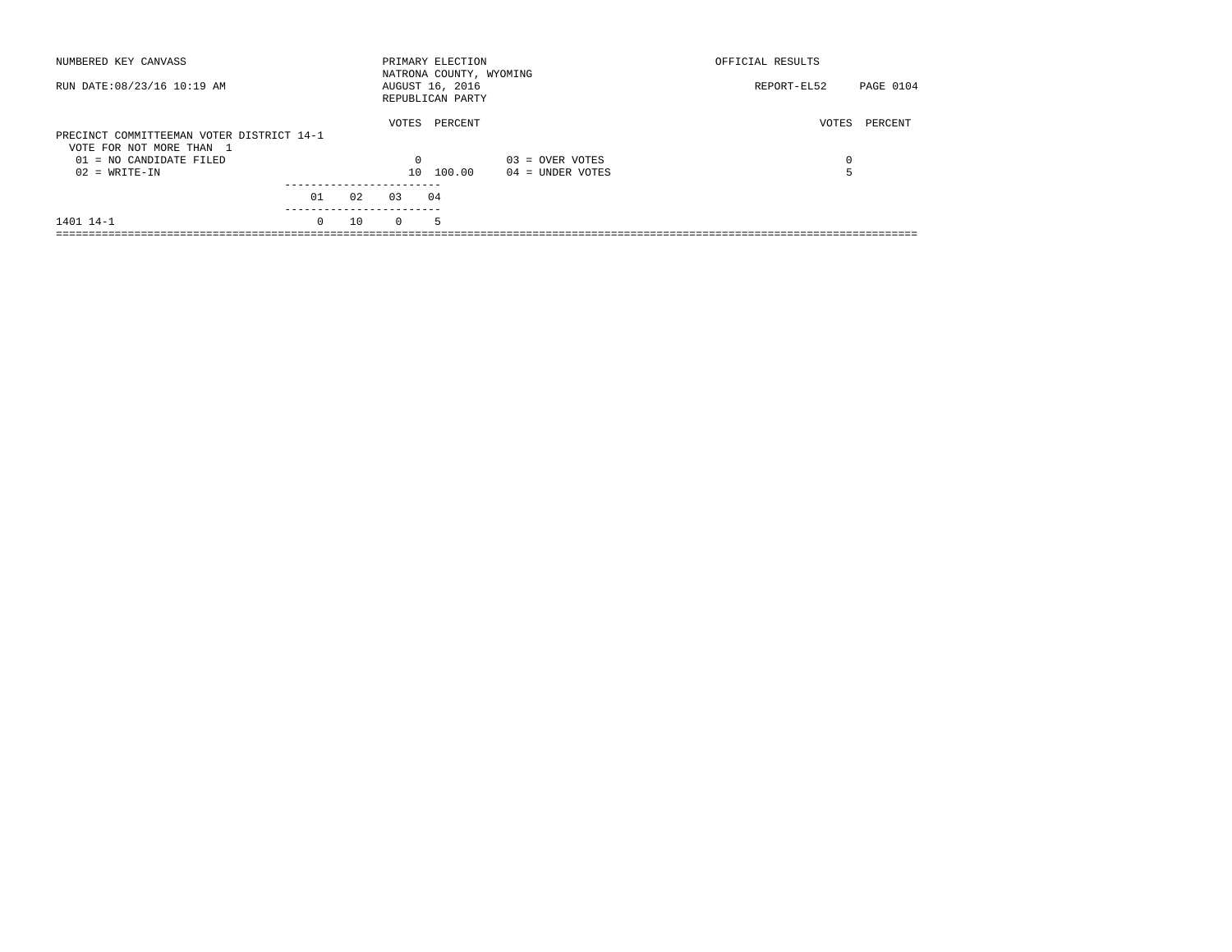| NUMBERED KEY CANVASS                                                  |        |       |          | PRIMARY ELECTION<br>NATRONA COUNTY, WYOMING |                    | OFFICIAL RESULTS |           |
|-----------------------------------------------------------------------|--------|-------|----------|---------------------------------------------|--------------------|------------------|-----------|
| RUN DATE: 08/23/16 10:19 AM                                           |        |       |          | AUGUST 16, 2016<br>REPUBLICAN PARTY         |                    | REPORT-EL52      | PAGE 0104 |
| PRECINCT COMMITTEEMAN VOTER DISTRICT 14-1<br>VOTE FOR NOT MORE THAN 1 |        | VOTES | PERCENT  |                                             | VOTES              | PERCENT          |           |
| $01 = NO CANDIDATE FILED$                                             |        |       | $\Omega$ |                                             | $03 =$ OVER VOTES  | 0                |           |
| $02 = WRITE-IN$                                                       |        |       |          | 10 100.00                                   | $04 =$ UNDER VOTES |                  |           |
|                                                                       |        |       |          |                                             |                    |                  |           |
|                                                                       | 01     | 02    | 0.3      | 04                                          |                    |                  |           |
| 1401 14-1                                                             | $\cap$ | 10    | $\Omega$ | -5                                          |                    |                  |           |
|                                                                       |        |       |          |                                             |                    |                  |           |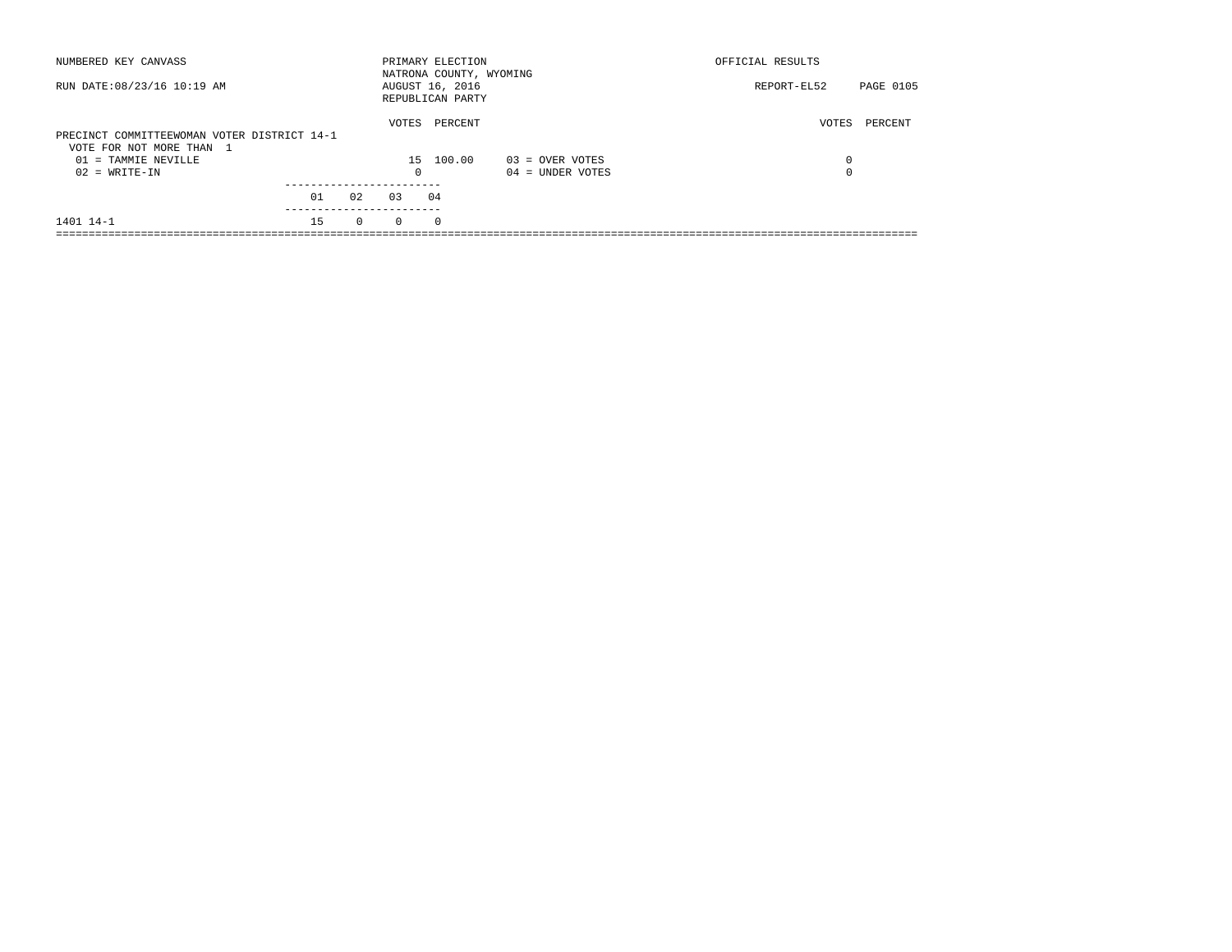| NUMBERED KEY CANVASS                                                    |    |          |            | PRIMARY ELECTION<br>NATRONA COUNTY, WYOMING |                    | OFFICIAL RESULTS |           |
|-------------------------------------------------------------------------|----|----------|------------|---------------------------------------------|--------------------|------------------|-----------|
| RUN DATE: 08/23/16 10:19 AM                                             |    |          |            | AUGUST 16, 2016<br>REPUBLICAN PARTY         |                    | REPORT-EL52      | PAGE 0105 |
| PRECINCT COMMITTEEWOMAN VOTER DISTRICT 14-1<br>VOTE FOR NOT MORE THAN 1 |    | VOTES    | PERCENT    |                                             | VOTES              | PERCENT          |           |
| 01 = TAMMIE NEVILLE                                                     |    |          | 15         | 100.00                                      | 03 = OVER VOTES    | $\Omega$         |           |
| $02 = WRITE-IN$                                                         |    |          | $^{\circ}$ |                                             | $04 =$ UNDER VOTES | $\Omega$         |           |
|                                                                         |    |          |            |                                             |                    |                  |           |
|                                                                         | 01 | 02       | 0.3        | 04                                          |                    |                  |           |
| 1401 14-1                                                               | 15 | $\Omega$ | $\Omega$   | $\Omega$                                    |                    |                  |           |
|                                                                         |    |          |            |                                             |                    |                  |           |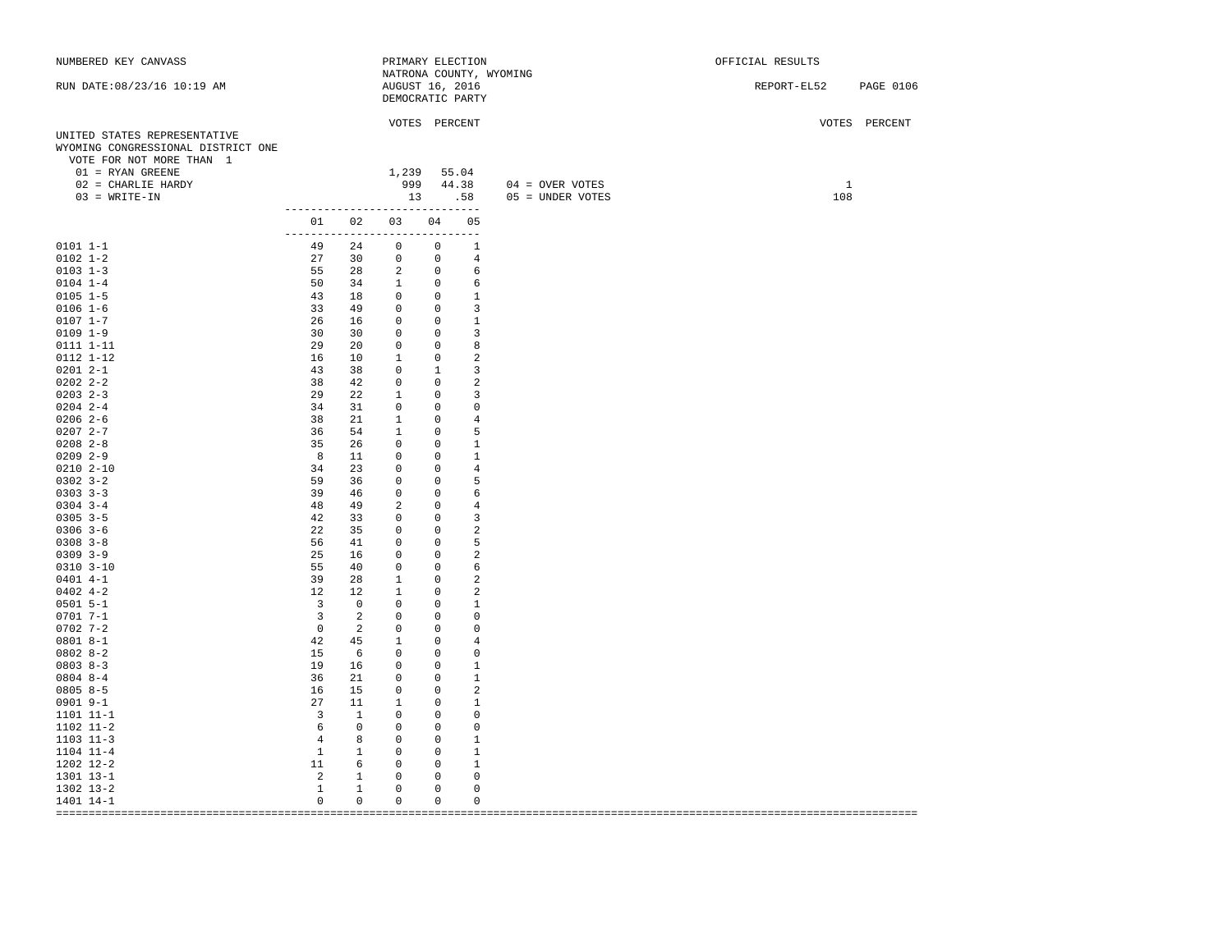| NUMBERED KEY CANVASS               |                                         |                          | PRIMARY ELECTION          |                                  |                                              |                           | OFFICIAL RESULTS      |
|------------------------------------|-----------------------------------------|--------------------------|---------------------------|----------------------------------|----------------------------------------------|---------------------------|-----------------------|
|                                    |                                         |                          |                           |                                  |                                              | NATRONA COUNTY, WYOMING   |                       |
| RUN DATE: 08/23/16 10:19 AM        |                                         |                          | AUGUST 16, 2016           |                                  |                                              |                           | REPORT-EL52 PAGE 0106 |
|                                    |                                         |                          | DEMOCRATIC PARTY          |                                  |                                              |                           |                       |
|                                    |                                         |                          |                           |                                  |                                              |                           |                       |
|                                    |                                         |                          | VOTES PERCENT             |                                  |                                              |                           | VOTES PERCENT         |
| UNITED STATES REPRESENTATIVE       |                                         |                          |                           |                                  |                                              |                           |                       |
| WYOMING CONGRESSIONAL DISTRICT ONE |                                         |                          |                           |                                  |                                              |                           |                       |
| VOTE FOR NOT MORE THAN 1           |                                         |                          |                           |                                  |                                              |                           |                       |
| $01$ = RYAN GREENE                 |                                         |                          | 1,239 55.04               |                                  |                                              |                           |                       |
| $02$ = CHARLIE HARDY               |                                         |                          |                           |                                  |                                              | 999 44.38 04 = OVER VOTES | $\mathbf{1}$          |
| $03 = WRITE-IN$                    |                                         |                          | 13 .58                    |                                  |                                              | 05 = UNDER VOTES          | 108                   |
|                                    | ------------------------------          |                          |                           |                                  |                                              |                           |                       |
|                                    |                                         |                          | 01 02 03 04 05            |                                  |                                              |                           |                       |
|                                    | ------------------------------<br>49 24 |                          |                           |                                  | $\begin{array}{ccc} & & 0 & & 1 \end{array}$ |                           |                       |
| $0101 1 - 1$                       |                                         |                          | $\overline{0}$            |                                  |                                              |                           |                       |
| $0102 1 - 2$                       | 27 30                                   |                          | $\overline{0}$            | $\overline{0}$                   | 4                                            |                           |                       |
| $0103$ $1-3$                       | 55 28                                   |                          | $2 \t 0$<br>50 34 1 0     |                                  | 6                                            |                           |                       |
| $0104$ $1-4$                       |                                         |                          |                           |                                  | 6                                            |                           |                       |
| $0105 1 - 5$                       | 43 18                                   |                          | $\overline{0}$            | $\overline{0}$                   | $\mathbf{1}$                                 |                           |                       |
| $0106$ $1-6$                       | 33 49                                   |                          | $\overline{0}$            | $\overline{0}$                   | $\overline{3}$                               |                           |                       |
| $0107 1 - 7$                       | 26 16                                   |                          | $\overline{0}$            | $\overline{0}$                   | 1                                            |                           |                       |
| $0109$ $1-9$                       | 30 30                                   |                          | $\circ$                   | $\overline{0}$                   | 3                                            |                           |                       |
| $0111 1 - 11$                      | 29                                      | 20                       | $\circ$                   | $\overline{0}$                   | 8                                            |                           |                       |
| 0112 1-12                          | 16                                      | 10                       | $\overline{\phantom{a}}$  | $\overline{0}$                   | $\overline{a}$                               |                           |                       |
| $02012 - -1$                       | 43 38                                   |                          | $\circ$                   | $\frac{1}{1}$                    | $\overline{3}$                               |                           |                       |
| $02022 - 2 - 2$                    | 38                                      | 42                       | $\circ$                   | $\overline{0}$                   | 2                                            |                           |                       |
| $0203$ 2-3                         | 29                                      | 22                       | $\overline{1}$            | $\overline{0}$                   | 3                                            |                           |                       |
| $0204$ 2-4                         | 34                                      | 31                       | $\circ$                   | $\overline{0}$                   | 0                                            |                           |                       |
| $0206$ 2-6                         | 38                                      | 21                       | $\mathbf{1}$              | $\overline{0}$                   | $\overline{4}$                               |                           |                       |
| $02072 - -7$                       | 36 54                                   |                          | $\overline{1}$            | $\overline{0}$                   | 5                                            |                           |                       |
| $0208$ $2 - 8$                     | 35                                      | 26                       | $\circ$                   | $\overline{0}$                   | 1                                            |                           |                       |
| $0209$ 2-9                         | 8 <sup>8</sup>                          | 11                       | $\circ$                   | $\overline{0}$                   | 1                                            |                           |                       |
| $0210 2 - 10$                      | 34                                      | 23                       | $\circ$                   | $\overline{0}$                   | $\overline{4}$                               |                           |                       |
| $0302$ 3-2                         | 59 36                                   |                          | $\circ$                   | $\overline{0}$                   | 5                                            |                           |                       |
| $0303$ $3-3$                       | 39 46<br>48 49                          |                          | $\circ$                   | $\overline{0}$                   | 6                                            |                           |                       |
| $0304$ 3-4                         | 42 33                                   |                          | $\overline{a}$<br>$\circ$ | $\overline{0}$<br>$\overline{0}$ | $\overline{4}$<br>$\overline{3}$             |                           |                       |
| $0305$ 3-5                         |                                         |                          |                           |                                  |                                              |                           |                       |
| $0306$ 3-6                         | 22                                      | 35                       | $\circ$                   | $\overline{0}$                   | 2                                            |                           |                       |
| $0308$ 3-8<br>$0309$ $3-9$         | 56 41                                   |                          | $\circ$                   | $\overline{0}$                   | 5<br>2                                       |                           |                       |
| $0310$ $3-10$                      | 25<br>55                                | 16<br>40                 | $\circ$<br>$\circ$        | $\overline{0}$<br>$\overline{0}$ | 6                                            |                           |                       |
| $0401$ 4-1                         | 39                                      | 28                       | $\mathbf{1}$              | $\overline{0}$                   | 2                                            |                           |                       |
| $0402$ 4-2                         | 12                                      | 12                       | $\overline{\phantom{a}}$  | $\overline{0}$                   | 2                                            |                           |                       |
| $0501 5 - 1$                       | $3 \t 0$                                |                          | $\overline{0}$            | $\overline{0}$                   | 1                                            |                           |                       |
| $0701 7 - 1$                       | $\overline{\mathbf{3}}$                 | $\overline{\phantom{0}}$ | $\overline{0}$            | $\overline{0}$                   | $\overline{0}$                               |                           |                       |
| $0702$ 7-2                         | $\overline{0}$                          | $\overline{\phantom{0}}$ | $\circ$                   | $\overline{0}$                   | $\circ$                                      |                           |                       |
| $0801 8 - 1$                       | 42                                      | 45                       | $\overline{\phantom{a}}$  | $\overline{0}$                   | 4                                            |                           |                       |
| $08028 - 2$                        | 15 6                                    |                          | $\circ$                   | $\overline{0}$                   | $\Omega$                                     |                           |                       |
| $0803 8 - 3$                       | 19 16                                   |                          | $\circ$                   | $\overline{0}$                   | 1                                            |                           |                       |
| $0804$ 8-4                         | 36                                      | 21                       | $\circ$                   | $\overline{0}$                   | 1                                            |                           |                       |
| $0805 8 - 5$                       | 16                                      | 15                       | $\circ$                   | $\overline{0}$                   | $\overline{2}$                               |                           |                       |
| $0901$ $9-1$                       | 27                                      | 11                       | $\mathbf{1}$              | $\overline{0}$                   | 1                                            |                           |                       |
| 1101 11-1                          | $\overline{\mathbf{3}}$                 | $\overline{1}$           | $\Omega$                  | $\overline{0}$                   | $\mathbf{0}$                                 |                           |                       |
| 1102 11-2                          | $6\overline{6}$                         | $\overline{0}$           | $\circ$                   | $\overline{0}$                   | $\mathbf 0$                                  |                           |                       |
| $1103$ $11-3$                      | 4                                       | 8                        | $\circ$                   | $\overline{0}$                   | 1                                            |                           |                       |
| 1104 11-4                          | $\mathbf{1}$                            | $\mathbf{1}$             | $\circ$                   | $\sim$ 0                         | 1                                            |                           |                       |
| 1202 12-2                          | 11                                      | $6\overline{6}$          | $\overline{0}$            | $\overline{0}$                   | -1                                           |                           |                       |
| 1301 13-1                          | $\overline{\phantom{0}}$                | $\mathbf{1}$             | $\circ$                   | $\overline{0}$                   | $\mathbf 0$                                  |                           |                       |
| 1302 13-2                          | $\mathbf{1}$                            | $\mathbf{1}$             | $\circ$                   | $\overline{0}$                   | $\mathbf 0$                                  |                           |                       |
| 1401 14-1                          | $\circ$                                 | $\circ$                  | $\circ$                   | $\circ$                          | $\mathbf{0}$                                 |                           |                       |
|                                    |                                         |                          |                           |                                  |                                              |                           |                       |
|                                    |                                         |                          |                           |                                  |                                              |                           |                       |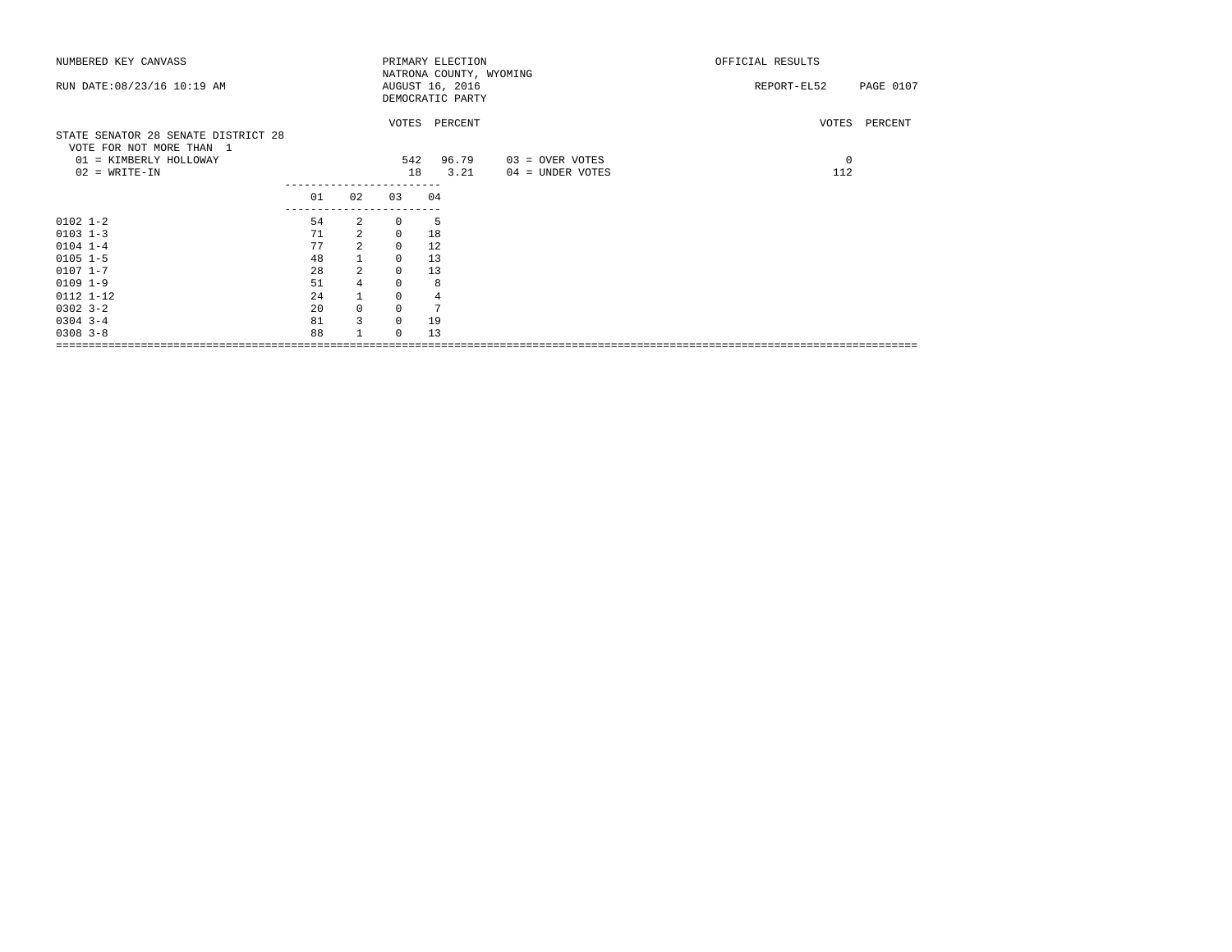| NUMBERED KEY CANVASS                |                           |                |              | PRIMARY ELECTION        |                  | OFFICIAL RESULTS         |  |  |
|-------------------------------------|---------------------------|----------------|--------------|-------------------------|------------------|--------------------------|--|--|
|                                     |                           |                |              | NATRONA COUNTY, WYOMING |                  |                          |  |  |
| RUN DATE: 08/23/16 10:19 AM         |                           |                |              | AUGUST 16, 2016         |                  | PAGE 0107<br>REPORT-EL52 |  |  |
|                                     |                           |                |              | DEMOCRATIC PARTY        |                  |                          |  |  |
|                                     |                           |                |              |                         |                  |                          |  |  |
|                                     |                           |                |              | VOTES PERCENT           |                  | VOTES PERCENT            |  |  |
| STATE SENATOR 28 SENATE DISTRICT 28 |                           |                |              |                         |                  |                          |  |  |
| VOTE FOR NOT MORE THAN 1            |                           |                |              |                         |                  |                          |  |  |
| 01 = KIMBERLY HOLLOWAY              |                           |                | 542          | 96.79                   | 03 = OVER VOTES  | $\mathbf 0$              |  |  |
| $02 = WRITE-IN$                     |                           |                | 18           | 3.21                    | 04 = UNDER VOTES | 112                      |  |  |
|                                     |                           |                |              |                         |                  |                          |  |  |
|                                     | 01                        | 02             | 03           | 04                      |                  |                          |  |  |
| $0102$ $1 - 2$                      | -------------------<br>54 | $\overline{2}$ | $\circ$      | - 5                     |                  |                          |  |  |
| $0103$ $1-3$                        | 71                        | 2              | $\mathbf{0}$ | 18                      |                  |                          |  |  |
| $0104$ 1-4                          | 77                        | $\overline{a}$ | $\mathbf 0$  | 12                      |                  |                          |  |  |
| $0105$ $1-5$                        | 48                        | $\overline{1}$ | $\mathbf 0$  | 13                      |                  |                          |  |  |
| $0107$ 1-7                          | 28                        | $\overline{a}$ | $\mathbf 0$  | 13                      |                  |                          |  |  |
|                                     | 51                        |                | $\circ$      |                         |                  |                          |  |  |
| $0109$ $1-9$                        |                           | $\overline{4}$ |              | 8                       |                  |                          |  |  |
| 0112 1-12                           | 24                        | $\mathbf{1}$   | $\mathbf 0$  | 4                       |                  |                          |  |  |
| $0302$ $3-2$                        | 20                        | $\mathbb O$    | $\mathbf 0$  | 7                       |                  |                          |  |  |
| $0304$ 3-4                          | 81                        | $\overline{3}$ | $\mathbf 0$  | 19                      |                  |                          |  |  |
| $0308$ $3 - 8$                      | 88                        | $\mathbf{1}$   | $\Omega$     | 13                      |                  |                          |  |  |
|                                     |                           |                |              |                         |                  |                          |  |  |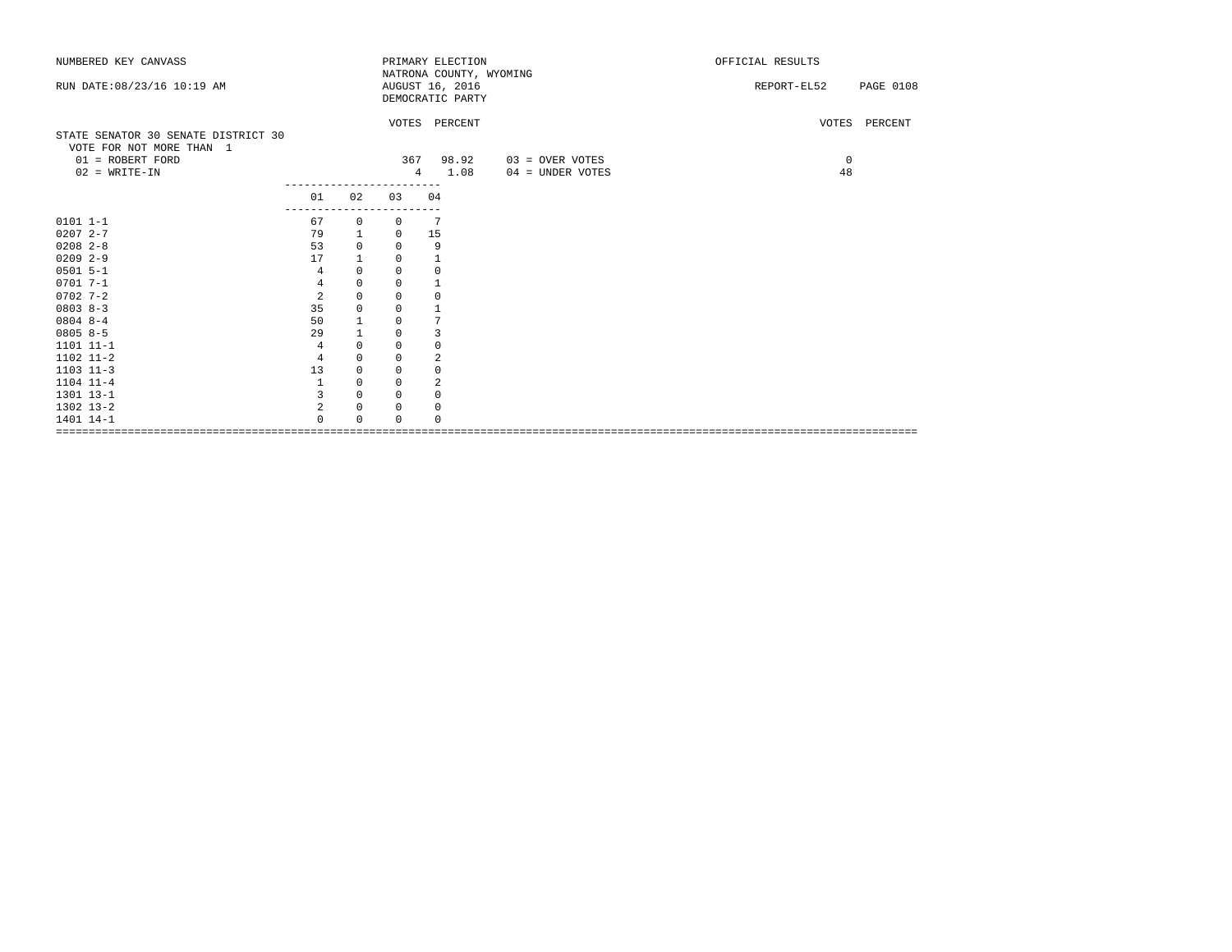| NUMBERED KEY CANVASS                |                |                  |             | PRIMARY ELECTION        |                  | OFFICIAL RESULTS                |  |
|-------------------------------------|----------------|------------------|-------------|-------------------------|------------------|---------------------------------|--|
|                                     |                |                  |             | NATRONA COUNTY, WYOMING |                  |                                 |  |
| RUN DATE: 08/23/16 10:19 AM         |                |                  |             | AUGUST 16, 2016         |                  | <b>PAGE 0108</b><br>REPORT-EL52 |  |
|                                     |                |                  |             | DEMOCRATIC PARTY        |                  |                                 |  |
|                                     |                |                  |             | VOTES PERCENT           |                  | VOTES PERCENT                   |  |
| STATE SENATOR 30 SENATE DISTRICT 30 |                |                  |             |                         |                  |                                 |  |
| VOTE FOR NOT MORE THAN 1            |                |                  |             |                         |                  |                                 |  |
| 01 = ROBERT FORD                    |                |                  | 367         | 98.92                   | 03 = OVER VOTES  | 0                               |  |
| $02$ = WRITE-IN                     |                |                  |             | 1.08<br>$\overline{4}$  | 04 = UNDER VOTES | 48                              |  |
|                                     |                |                  |             |                         |                  |                                 |  |
|                                     | 01             | 02               | 03          | 04                      |                  |                                 |  |
| $0101 1 - 1$                        | 67             | $\mathbf{0}$     | $^{\circ}$  | 7                       |                  |                                 |  |
| $02072 - -7$                        | 79             |                  | $\circ$     | 15                      |                  |                                 |  |
| $0208$ 2-8                          | 53             | 1<br>$\mathbf 0$ | 0           |                         |                  |                                 |  |
| $0209$ 2-9                          |                |                  |             | 9                       |                  |                                 |  |
| $0501$ 5-1                          | 17             |                  | 0           | $\mathbf{1}$            |                  |                                 |  |
|                                     | $\overline{4}$ | $\mathbf 0$      | $\mathbf 0$ | $\mathbf 0$             |                  |                                 |  |
| $0701 7 - 1$                        | 4              | $\mathbf 0$      | 0           | $\mathbf{1}$            |                  |                                 |  |
| $0702$ 7-2                          | 2              | $\mathbf 0$      | $\mathbf 0$ | $\mathbf 0$             |                  |                                 |  |
| $0803 8-3$                          | 35             | $\mathbf 0$      | 0           | $\mathbf{1}$            |                  |                                 |  |
| $0804$ 8-4                          | 50             | 1                | 0           | 7                       |                  |                                 |  |
| $08058-5$                           | 29             | $\mathbf{1}$     | 0           | 3                       |                  |                                 |  |
| 1101 11-1                           | 4              | $\mathbf 0$      | 0           | 0                       |                  |                                 |  |
| 1102 11-2                           | $\overline{4}$ | $\mathbf 0$      | 0           | $\overline{2}$          |                  |                                 |  |
| $1103$ $11-3$                       | 13             | 0                | 0           | $\circ$                 |                  |                                 |  |
| 1104 11-4                           | 1              | $\mathbf 0$      | $\Omega$    | $\overline{2}$          |                  |                                 |  |
| 1301 13-1                           | 3              | $\mathbf 0$      | 0           | $\mathbf 0$             |                  |                                 |  |
| 1302 13-2                           | 2              | 0                | 0           | 0                       |                  |                                 |  |
| 1401 14-1                           | $\Omega$       | $\cap$           | 0           | $\Omega$                |                  |                                 |  |
|                                     |                |                  |             |                         |                  |                                 |  |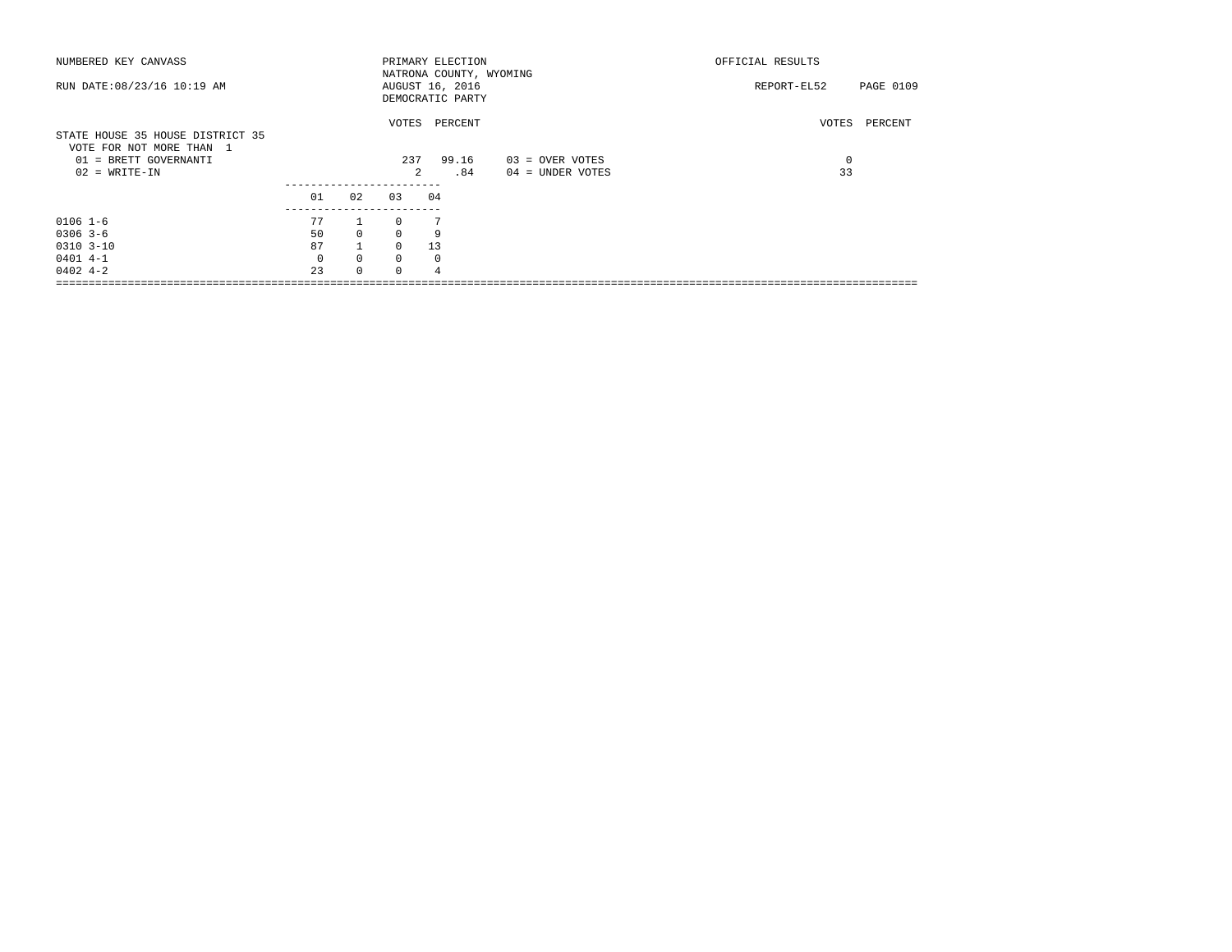| NUMBERED KEY CANVASS                                                                  |          |          |                | PRIMARY ELECTION                                               |                   | OFFICIAL RESULTS |           |
|---------------------------------------------------------------------------------------|----------|----------|----------------|----------------------------------------------------------------|-------------------|------------------|-----------|
| RUN DATE: 08/23/16 10:19 AM                                                           |          |          |                | NATRONA COUNTY, WYOMING<br>AUGUST 16, 2016<br>DEMOCRATIC PARTY |                   | REPORT-EL52      | PAGE 0109 |
| STATE HOUSE 35 HOUSE DISTRICT 35<br>VOTE FOR NOT MORE THAN 1<br>01 = BRETT GOVERNANTI |          |          | 237            | VOTES PERCENT<br>99.16                                         | $03 =$ OVER VOTES | VOTES<br>0       | PERCENT   |
|                                                                                       |          |          |                |                                                                |                   |                  |           |
| $02 = WRITE-IN$                                                                       |          |          | $\mathfrak{D}$ | .84                                                            | 04 = UNDER VOTES  | 33               |           |
|                                                                                       | 01       | 02       | 03             | 04                                                             |                   |                  |           |
| $0106$ $1-6$                                                                          | 77       |          | $\cap$         |                                                                |                   |                  |           |
| $0306$ 3-6                                                                            | 50       | $\Omega$ | $\Omega$       | 9                                                              |                   |                  |           |
| $0310$ $3-10$                                                                         | 87       |          | $\cap$         | 13                                                             |                   |                  |           |
| $0401$ 4-1                                                                            | $\Omega$ | $\circ$  | $\Omega$       | 0                                                              |                   |                  |           |
| $0402 + -2$                                                                           | 2.3      | $\Omega$ | $\Omega$       |                                                                |                   |                  |           |
|                                                                                       |          |          |                |                                                                |                   |                  |           |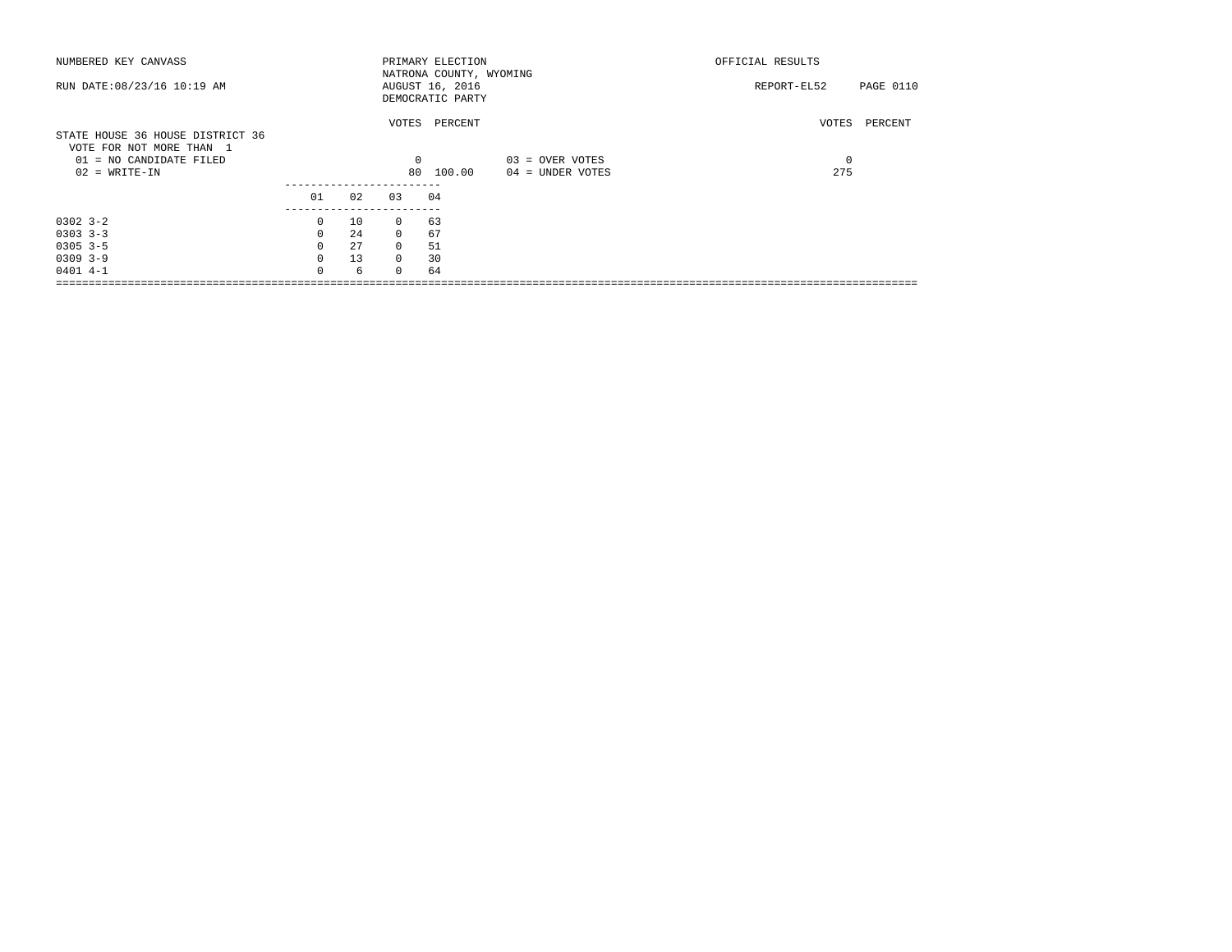| NUMBERED KEY CANVASS                                                                    |              |     |          | PRIMARY ELECTION                                               |                  | OFFICIAL RESULTS |           |  |
|-----------------------------------------------------------------------------------------|--------------|-----|----------|----------------------------------------------------------------|------------------|------------------|-----------|--|
| RUN DATE: 08/23/16 10:19 AM                                                             |              |     |          | NATRONA COUNTY, WYOMING<br>AUGUST 16, 2016<br>DEMOCRATIC PARTY |                  | REPORT-EL52      | PAGE 0110 |  |
| STATE HOUSE 36 HOUSE DISTRICT 36<br>VOTE FOR NOT MORE THAN 1<br>01 = NO CANDIDATE FILED |              |     | $\Omega$ | VOTES PERCENT                                                  | 03 = OVER VOTES  | VOTES<br>$\circ$ | PERCENT   |  |
| $02 = WRITE-IN$                                                                         |              |     | 80       | 100.00                                                         | 04 = UNDER VOTES | 275              |           |  |
|                                                                                         | 01           | 02  | 03       | 04                                                             |                  |                  |           |  |
| $0302 - 3 - 2$                                                                          | 0            | 10  | $\Omega$ | 63                                                             |                  |                  |           |  |
| $0303$ $3-3$                                                                            | $\Omega$     | 2.4 | $\Omega$ | 67                                                             |                  |                  |           |  |
| $0305$ 3-5                                                                              | $\Omega$     | 27  | $\Omega$ | 51                                                             |                  |                  |           |  |
| $0309$ 3-9                                                                              | 0            | 13  | $\Omega$ | 30                                                             |                  |                  |           |  |
| $0401$ 4-1                                                                              | <sup>n</sup> | 6   | $\Omega$ | 64                                                             |                  |                  |           |  |
|                                                                                         |              |     |          |                                                                |                  |                  |           |  |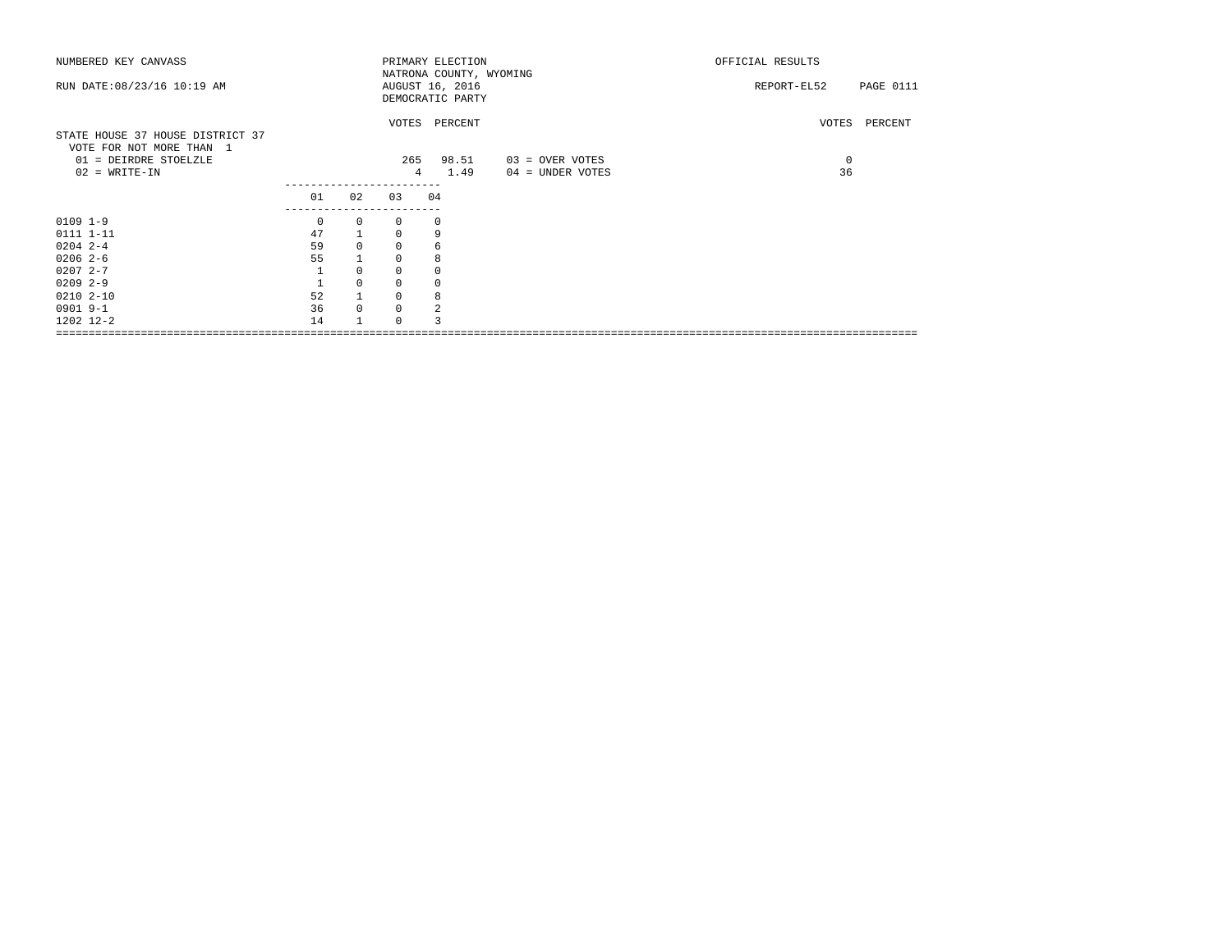| NUMBERED KEY CANVASS             |                              |             |                | PRIMARY ELECTION        |                  | OFFICIAL RESULTS                |
|----------------------------------|------------------------------|-------------|----------------|-------------------------|------------------|---------------------------------|
|                                  |                              |             |                | NATRONA COUNTY, WYOMING |                  |                                 |
| RUN DATE: 08/23/16 10:19 AM      |                              |             |                | AUGUST 16, 2016         |                  | <b>PAGE 0111</b><br>REPORT-EL52 |
|                                  |                              |             |                | DEMOCRATIC PARTY        |                  |                                 |
|                                  |                              |             |                | VOTES PERCENT           |                  | VOTES PERCENT                   |
| STATE HOUSE 37 HOUSE DISTRICT 37 |                              |             |                |                         |                  |                                 |
| VOTE FOR NOT MORE THAN 1         |                              |             |                |                         |                  |                                 |
| 01 = DEIRDRE STOELZLE            |                              |             | 265            | 98.51                   | 03 = OVER VOTES  | 0                               |
| $02 = WRITE-IN$                  |                              |             | $\overline{4}$ | 1.49                    | 04 = UNDER VOTES | 36                              |
|                                  |                              |             |                |                         |                  |                                 |
|                                  | 01                           | 02          | 03             | 04                      |                  |                                 |
| $0109$ $1-9$                     | -------------<br>$\mathbf 0$ | $\circ$     | 0              | $^{\circ}$              |                  |                                 |
| 0111 1-11                        | 47                           |             | $\Omega$       | 9                       |                  |                                 |
| $0204$ 2-4                       | 59                           | $\mathbf 0$ | $\Omega$       | 6                       |                  |                                 |
| $0206$ 2-6                       | 55                           |             | $\circ$        | 8                       |                  |                                 |
| $02072 - -7$                     |                              | $\Omega$    | 0              |                         |                  |                                 |
| $0209$ 2-9                       |                              | $\mathbf 0$ | $\mathbf 0$    | 0                       |                  |                                 |
| $02102 - 10$                     | 52                           |             | $\circ$        | 8                       |                  |                                 |
| 0901 9-1                         | 36                           | $\Omega$    | $\circ$        | 2                       |                  |                                 |
| 1202 12-2                        | 14                           |             | $\Omega$       |                         |                  |                                 |
|                                  |                              |             |                |                         |                  |                                 |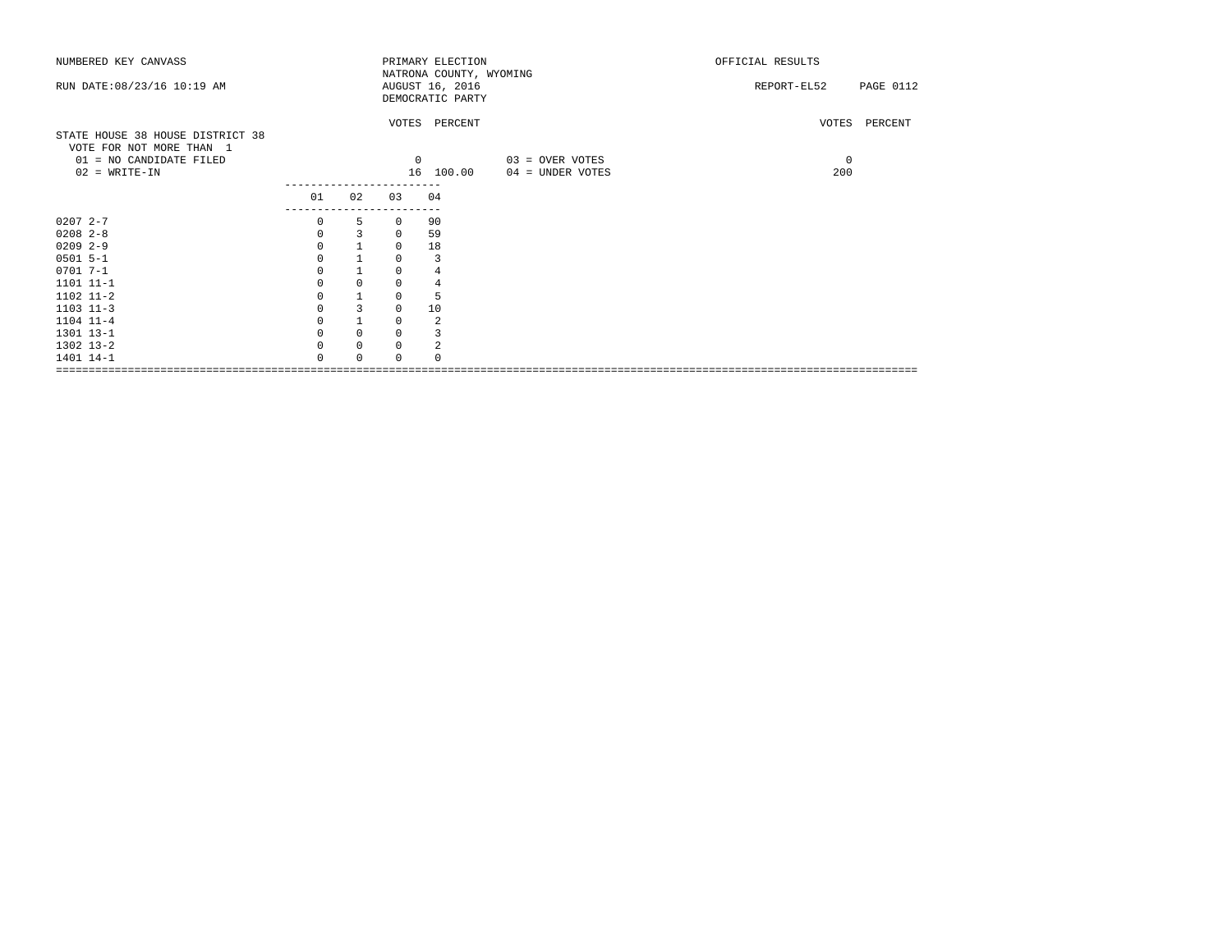| NUMBERED KEY CANVASS                                |                |              |             | PRIMARY ELECTION<br>NATRONA COUNTY, WYOMING |                  | OFFICIAL RESULTS         |
|-----------------------------------------------------|----------------|--------------|-------------|---------------------------------------------|------------------|--------------------------|
| RUN DATE: 08/23/16 10:19 AM                         |                |              |             | AUGUST 16, 2016                             |                  | PAGE 0112<br>REPORT-EL52 |
|                                                     |                |              |             | DEMOCRATIC PARTY                            |                  |                          |
|                                                     |                |              |             | VOTES PERCENT                               |                  | VOTES PERCENT            |
| STATE HOUSE 38 HOUSE DISTRICT 38                    |                |              |             |                                             |                  |                          |
| VOTE FOR NOT MORE THAN 1<br>01 = NO CANDIDATE FILED |                |              | $^{\circ}$  |                                             | 03 = OVER VOTES  | $\mathbf 0$              |
| $02 = WRITE-IN$                                     |                |              |             | 16 100.00                                   | 04 = UNDER VOTES | 200                      |
|                                                     | 01             | 02           | 03          | 04                                          |                  |                          |
|                                                     | -------------- |              |             |                                             |                  |                          |
| $02072 - -7$                                        | 0              | 5            | 0           | 90                                          |                  |                          |
| $0208$ 2-8                                          | $\mathbf{0}$   | 3            | $^{\circ}$  | 59                                          |                  |                          |
| $0209$ 2-9                                          | $\Omega$       |              | 0           | 18                                          |                  |                          |
| $0501$ 5-1                                          | $\Omega$       | $\mathbf{1}$ | 0           | 3                                           |                  |                          |
| $0701$ 7-1                                          | $\Omega$       | $\mathbf{1}$ | $\mathbf 0$ | 4                                           |                  |                          |
| 1101 11-1                                           |                | $\mathbf 0$  | $\mathbf 0$ | 4                                           |                  |                          |
| 1102 11-2                                           | 0              | $1\,$        | 0           | 5                                           |                  |                          |
| $1103$ $11-3$                                       |                | 3            | 0           | 10                                          |                  |                          |
| 1104 11-4                                           |                | $\mathbf{1}$ | $\mathsf 0$ | 2                                           |                  |                          |
| 1301 13-1                                           |                | $\mathbf 0$  | $\mathbf 0$ | 3                                           |                  |                          |
| 1302 13-2                                           | $\Omega$       | $\mathbf 0$  | $\mathbf 0$ | 2                                           |                  |                          |
| 1401 14-1                                           | $\Omega$       | $\Omega$     | $\Omega$    | $\cap$                                      |                  |                          |
|                                                     |                |              |             |                                             |                  |                          |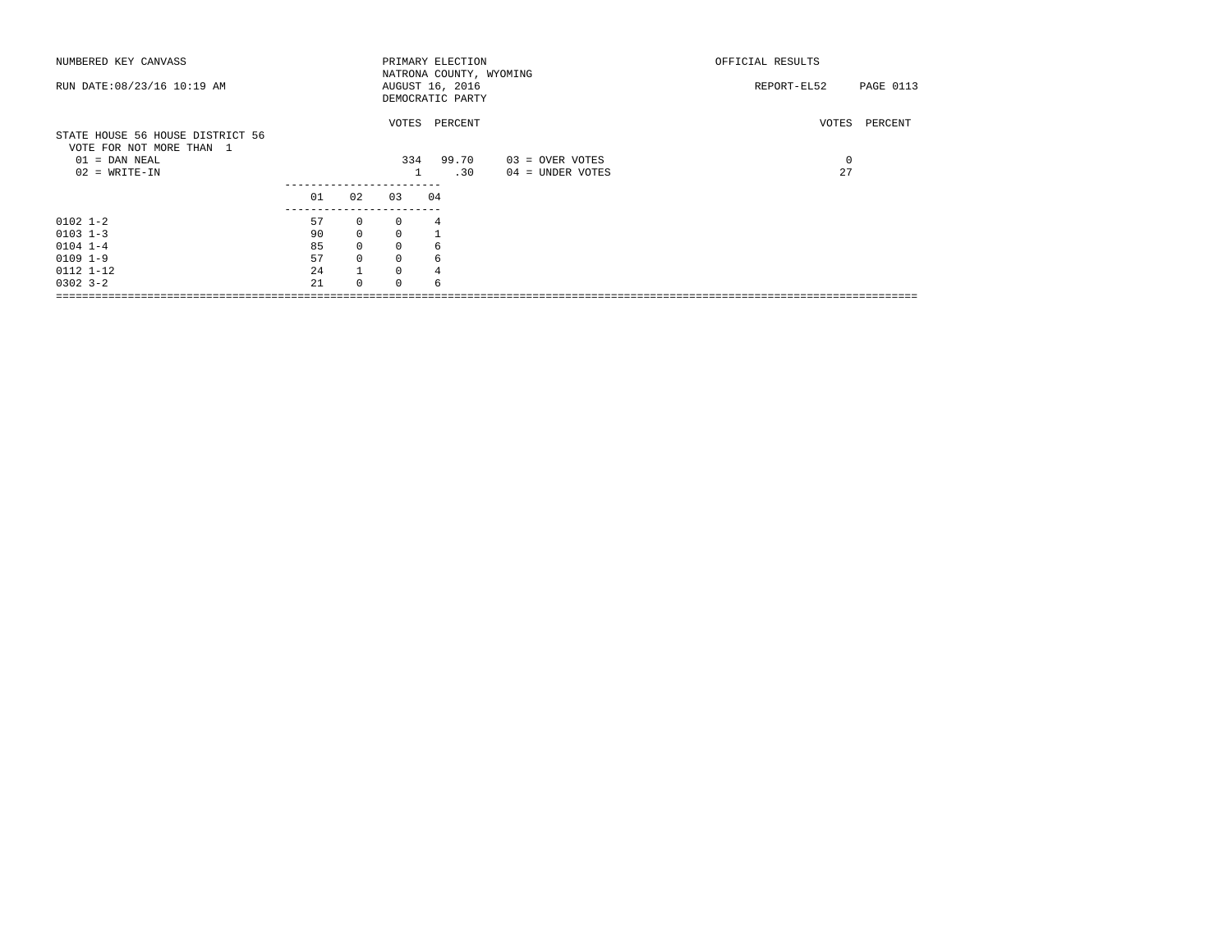| NUMBERED KEY CANVASS                                         |                    |              |             | PRIMARY ELECTION                                               |                  | OFFICIAL RESULTS         |
|--------------------------------------------------------------|--------------------|--------------|-------------|----------------------------------------------------------------|------------------|--------------------------|
| RUN DATE: 08/23/16 10:19 AM                                  |                    |              |             | NATRONA COUNTY, WYOMING<br>AUGUST 16, 2016<br>DEMOCRATIC PARTY |                  | REPORT-EL52<br>PAGE 0113 |
| STATE HOUSE 56 HOUSE DISTRICT 56<br>VOTE FOR NOT MORE THAN 1 |                    |              |             | VOTES PERCENT                                                  |                  | VOTES PERCENT            |
| $01 =$ DAN NEAL                                              |                    |              |             | 334 99.70                                                      | 03 = OVER VOTES  | 0                        |
| $02 = WRITE-IN$                                              |                    |              |             | .30                                                            | 04 = UNDER VOTES | 27                       |
|                                                              |                    |              |             |                                                                |                  |                          |
|                                                              | 01                 | 02           | 0.3         | 04                                                             |                  |                          |
| $0102$ $1-2$                                                 | ------------<br>57 | $\circ$      | $\Omega$    | 4                                                              |                  |                          |
| $0103$ $1-3$                                                 | 90                 | $\mathbf{0}$ | $\Omega$    |                                                                |                  |                          |
| $0104$ $1-4$                                                 | 85                 | $\mathsf{O}$ | $\mathbf 0$ | 6                                                              |                  |                          |
| $0109$ $1-9$                                                 | 57                 | $\mathbf{0}$ | $\mathbf 0$ | 6                                                              |                  |                          |
| 0112 1-12                                                    | 24                 | $\mathbf{1}$ | 0           |                                                                |                  |                          |
| $0302$ $3 - 2$                                               | 2.1                | $\Omega$     | $\Omega$    | 6                                                              |                  |                          |
|                                                              |                    |              |             |                                                                |                  |                          |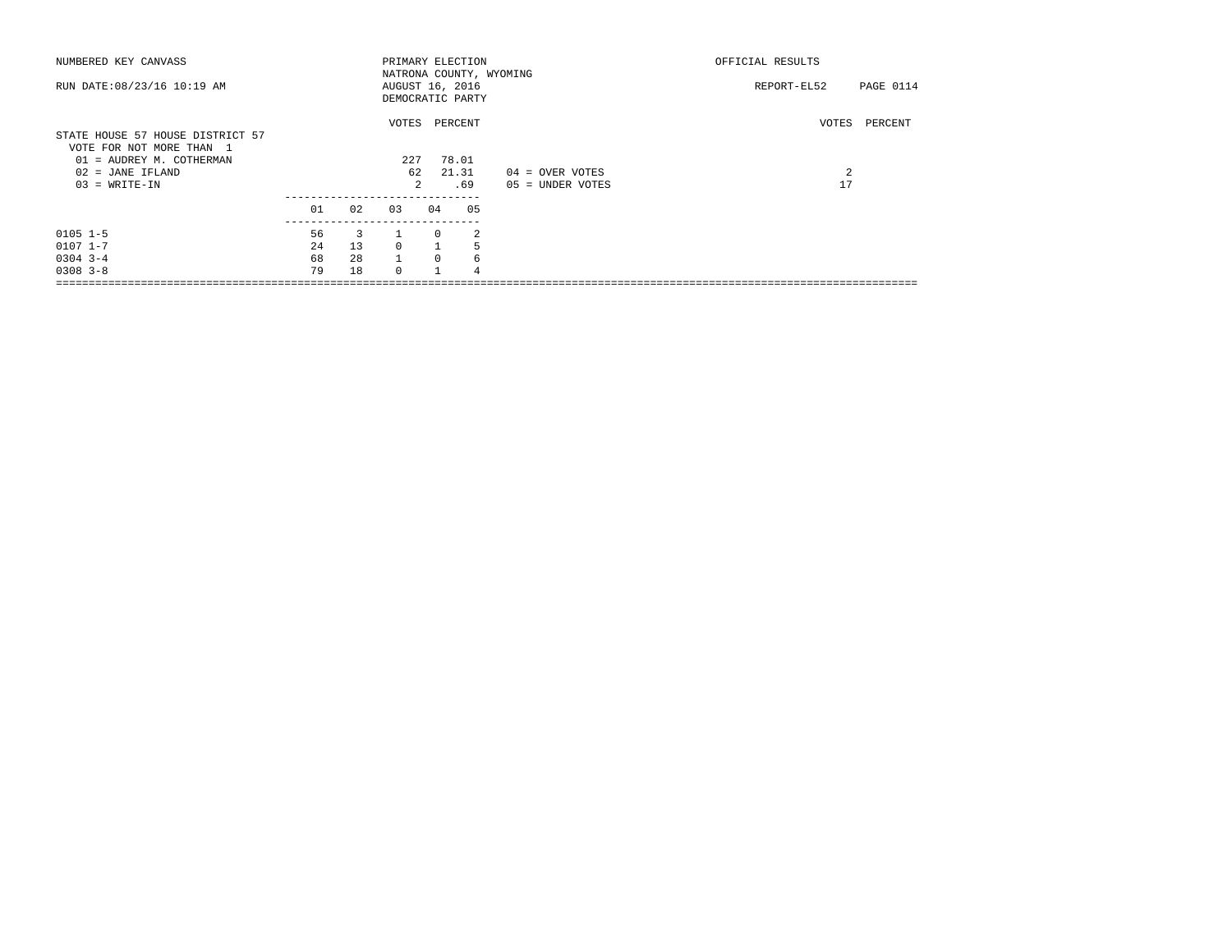| NUMBERED KEY CANVASS                                                                                                            |    |     |                    |                | PRIMARY ELECTION                            |                                       | OFFICIAL RESULTS                         |
|---------------------------------------------------------------------------------------------------------------------------------|----|-----|--------------------|----------------|---------------------------------------------|---------------------------------------|------------------------------------------|
| RUN DATE: 08/23/16 10:19 AM                                                                                                     |    |     | AUGUST 16, 2016    |                | NATRONA COUNTY, WYOMING<br>DEMOCRATIC PARTY |                                       | PAGE 0114<br>REPORT-EL52                 |
| STATE HOUSE 57 HOUSE DISTRICT 57<br>VOTE FOR NOT MORE THAN 1<br>01 = AUDREY M. COTHERMAN<br>02 = JANE IFLAND<br>$03 = WRITE-IN$ |    |     | VOTES<br>227<br>62 | $\mathfrak{D}$ | PERCENT<br>78.01<br>21.31<br>.69            | 04 = OVER VOTES<br>$05 =$ UNDER VOTES | VOTES<br>PERCENT<br>$\overline{2}$<br>17 |
|                                                                                                                                 | 01 | 02  | 03                 | 04             | 05                                          |                                       |                                          |
| $0105$ $1-5$                                                                                                                    | 56 | 3   |                    | 0              | 2                                           |                                       |                                          |
| $0107$ $1 - 7$                                                                                                                  | 24 | 13  | $\Omega$           |                | 5                                           |                                       |                                          |
| $0304$ 3-4                                                                                                                      | 68 | 2.8 | $\mathbf{1}$       | $\Omega$       | 6                                           |                                       |                                          |
| $0308$ $3 - 8$                                                                                                                  | 79 | 18  | $\cap$             |                | 4                                           |                                       |                                          |
|                                                                                                                                 |    |     |                    |                |                                             |                                       |                                          |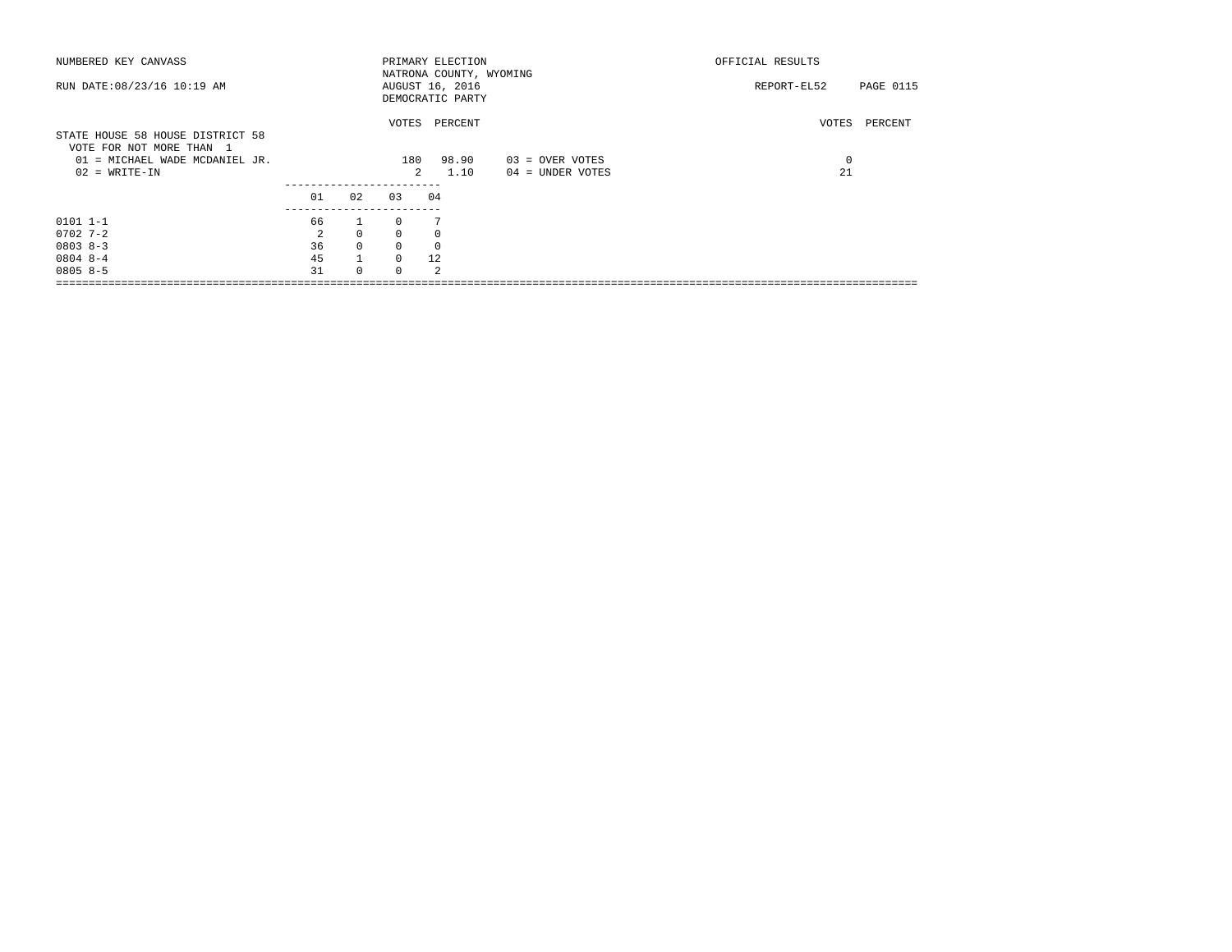| NUMBERED KEY CANVASS             |    |              |               | PRIMARY ELECTION        |                  | OFFICIAL RESULTS |           |  |
|----------------------------------|----|--------------|---------------|-------------------------|------------------|------------------|-----------|--|
|                                  |    |              |               | NATRONA COUNTY, WYOMING |                  |                  |           |  |
| RUN DATE: 08/23/16 10:19 AM      |    |              |               | AUGUST 16, 2016         |                  | REPORT-EL52      | PAGE 0115 |  |
|                                  |    |              |               | DEMOCRATIC PARTY        |                  |                  |           |  |
|                                  |    |              |               | VOTES PERCENT           |                  | VOTES            | PERCENT   |  |
| STATE HOUSE 58 HOUSE DISTRICT 58 |    |              |               |                         |                  |                  |           |  |
| VOTE FOR NOT MORE THAN 1         |    |              |               |                         |                  |                  |           |  |
| 01 = MICHAEL WADE MCDANIEL JR.   |    |              | 180           | 98.90                   | 03 = OVER VOTES  | 0                |           |  |
| $02 = WRITE-IN$                  |    |              | $\mathcal{L}$ | 1.10                    | 04 = UNDER VOTES | 21               |           |  |
|                                  | 01 | 02           | 03            | 04                      |                  |                  |           |  |
|                                  |    |              |               |                         |                  |                  |           |  |
| $0101$ $1-1$                     | 66 | $\mathbf{1}$ | $\cap$        |                         |                  |                  |           |  |
| $0702$ 7-2                       | 2  | $\circ$      | $\Omega$      | $\Omega$                |                  |                  |           |  |
| $08038 - 3$                      | 36 | $\Omega$     | $\Omega$      | $\Omega$                |                  |                  |           |  |
| $08048 - -4$                     | 45 |              | $\Omega$      | 12                      |                  |                  |           |  |
| $08058-5$                        | 31 | $\Omega$     | $\Omega$      | $\mathfrak{D}$          |                  |                  |           |  |
|                                  |    |              |               |                         |                  |                  |           |  |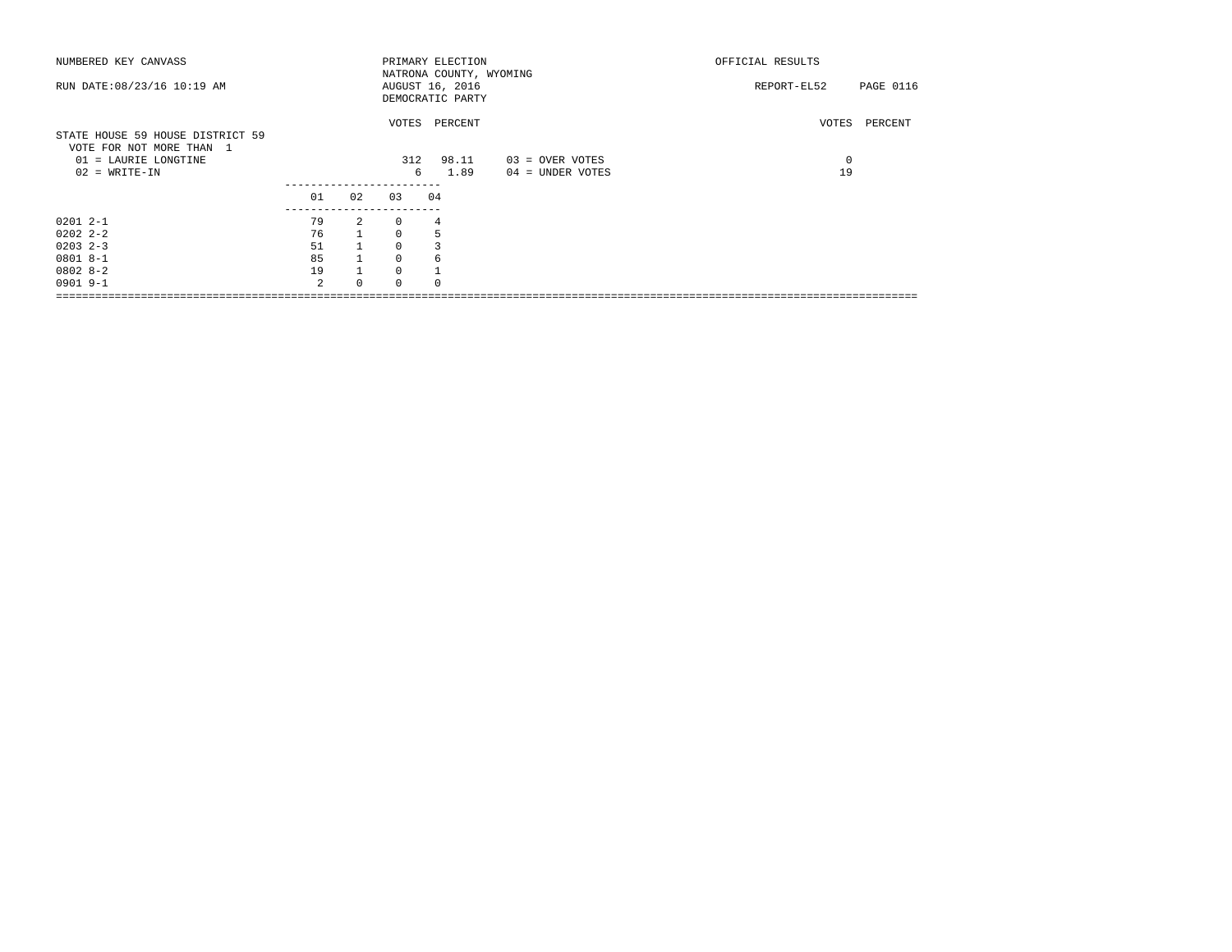| NUMBERED KEY CANVASS                                                                                    |                     |                |             | PRIMARY ELECTION<br>NATRONA COUNTY, WYOMING |                                     | OFFICIAL RESULTS            |
|---------------------------------------------------------------------------------------------------------|---------------------|----------------|-------------|---------------------------------------------|-------------------------------------|-----------------------------|
| RUN DATE: 08/23/16 10:19 AM                                                                             |                     |                |             | AUGUST 16, 2016<br>DEMOCRATIC PARTY         |                                     | PAGE 0116<br>REPORT-EL52    |
| STATE HOUSE 59 HOUSE DISTRICT 59<br>VOTE FOR NOT MORE THAN 1<br>01 = LAURIE LONGTINE<br>$02 = WRITE-IN$ |                     |                | 312<br>6    | VOTES PERCENT<br>98.11<br>1.89              | 03 = OVER VOTES<br>04 = UNDER VOTES | VOTES<br>PERCENT<br>0<br>19 |
|                                                                                                         | 01<br>------------- | 02             | 0.3         | 04                                          |                                     |                             |
| $02012 - -1$                                                                                            | 79                  | $\overline{2}$ | $\Omega$    | 4                                           |                                     |                             |
| $02022 - 2 - 2$                                                                                         | 76                  |                | $\Omega$    | 5                                           |                                     |                             |
| $0203$ $2-3$                                                                                            | 51                  |                | $\Omega$    |                                             |                                     |                             |
| $08018 - -1$                                                                                            | 85                  |                | $\mathbf 0$ | 6                                           |                                     |                             |
| $08028 - 2$                                                                                             | 19                  | $\mathbf{1}$   | $\Omega$    |                                             |                                     |                             |
| $0901$ 9-1                                                                                              | $\mathfrak{D}$      | $\Omega$       |             |                                             |                                     |                             |
|                                                                                                         |                     |                |             |                                             |                                     |                             |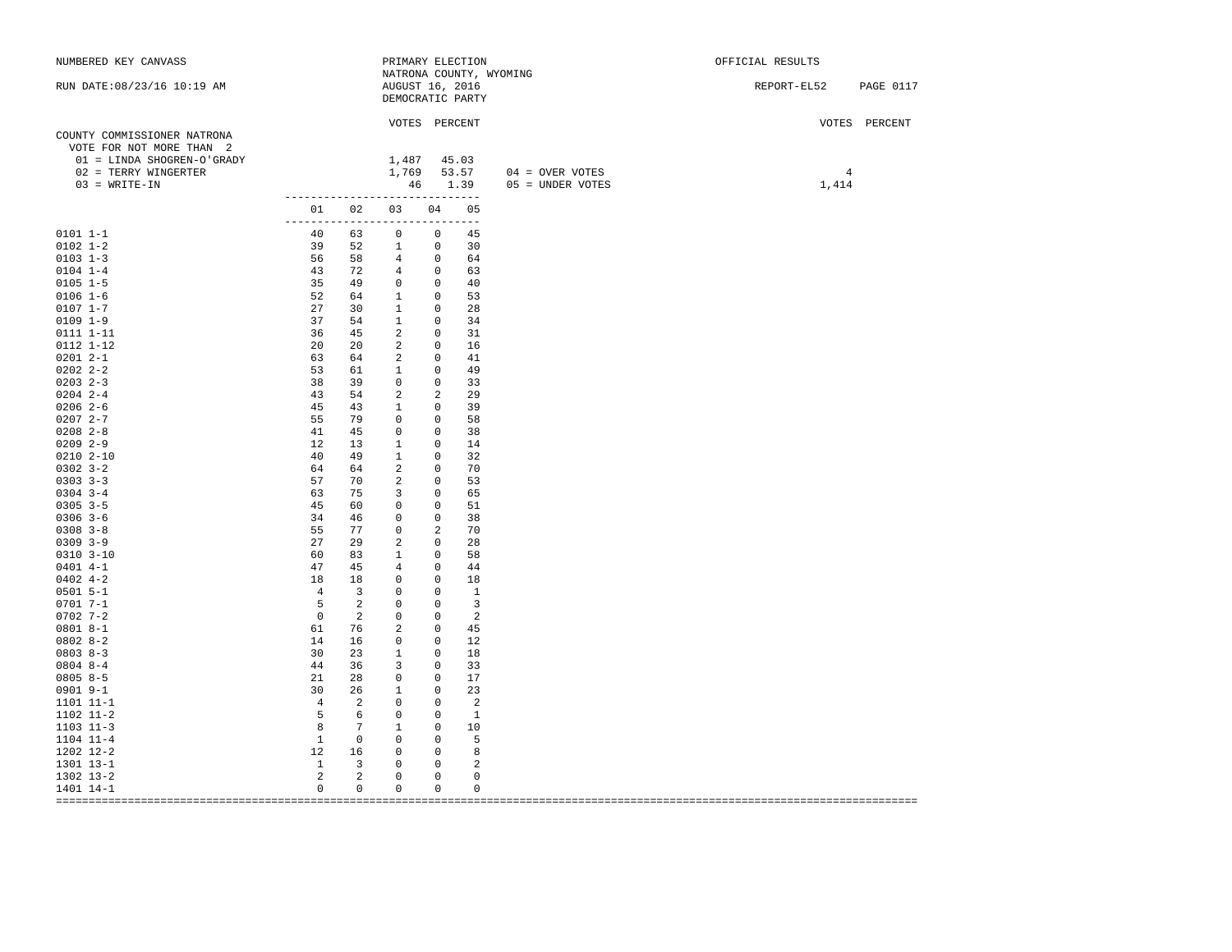| NUMBERED KEY CANVASS                                                                                                             |                                 |                         | PRIMARY ELECTION                              |                            |                |                                               | OFFICIAL RESULTS        |               |
|----------------------------------------------------------------------------------------------------------------------------------|---------------------------------|-------------------------|-----------------------------------------------|----------------------------|----------------|-----------------------------------------------|-------------------------|---------------|
| RUN DATE: 08/23/16 10:19 AM                                                                                                      |                                 |                         | AUGUST 16, 2016<br>DEMOCRATIC PARTY           |                            |                | NATRONA COUNTY, WYOMING                       | REPORT-EL52 PAGE 0117   |               |
| COUNTY COMMISSIONER NATRONA<br>VOTE FOR NOT MORE THAN 2<br>01 = LINDA SHOGREN-O'GRADY<br>02 = TERRY WINGERTER<br>$03 = WRITE-IN$ |                                 |                         | VOTES PERCENT<br>$1,487$ 45.03<br>1,769 53.57 |                            |                | $04 =$ OVER VOTES<br>46 1.39 05 = UNDER VOTES | $\overline{4}$<br>1,414 | VOTES PERCENT |
|                                                                                                                                  | ------------------------------- |                         | 01 02 03 04 05                                |                            |                |                                               |                         |               |
| $0101 1 - 1$                                                                                                                     | ------------------------------  |                         | 40 63 0 0 45                                  |                            |                |                                               |                         |               |
| $0102$ $1-2$                                                                                                                     | 39 52 1 0 30                    |                         |                                               |                            |                |                                               |                         |               |
| $0103$ 1-3                                                                                                                       |                                 |                         | 56 58 4 0 64                                  |                            |                |                                               |                         |               |
| $0104$ 1-4                                                                                                                       |                                 |                         | 43 72 4 0 63                                  |                            |                |                                               |                         |               |
| $0105 1 - 5$                                                                                                                     |                                 |                         | 35 49 0 0 40                                  |                            |                |                                               |                         |               |
| $0106 1 - 6$                                                                                                                     |                                 |                         | 52 64 1 0 53                                  |                            |                |                                               |                         |               |
| $0107 1 - 7$                                                                                                                     |                                 |                         | 27 30 1 0                                     |                            | 28             |                                               |                         |               |
| $0109$ $1-9$                                                                                                                     |                                 |                         | 37 54 1 0                                     |                            | 34             |                                               |                         |               |
| 0111 1-11                                                                                                                        | 36                              | 45                      |                                               | $2 \qquad 0$               | 31             |                                               |                         |               |
| 0112 1-12                                                                                                                        |                                 |                         | 20 20 2 0 16                                  |                            |                |                                               |                         |               |
| $02012 - -1$                                                                                                                     |                                 | 63 64                   | $\overline{a}$                                | $0$ 41                     |                |                                               |                         |               |
| $02022 - 2 - 2$                                                                                                                  |                                 |                         | 53 61 1 0 49                                  |                            |                |                                               |                         |               |
| $0203$ $2-3$                                                                                                                     | 38                              | 39                      | $\overline{0}$                                | $\overline{0}$             | 33             |                                               |                         |               |
| $0204$ 2-4                                                                                                                       | 43 54                           |                         | $\overline{2}$                                | $\overline{\phantom{a}}$ 2 | 29             |                                               |                         |               |
| $0206$ 2-6                                                                                                                       | 45                              | 43                      | $\overline{1}$                                | $\overline{0}$             | 39             |                                               |                         |               |
| $02072 - -7$                                                                                                                     | 55 79                           |                         | $\begin{array}{ccc} & & 0 & & 0 \end{array}$  |                            | 58             |                                               |                         |               |
| $0208$ $2 - 8$                                                                                                                   | 41                              | 45                      |                                               | $0\qquad 0$                | 38             |                                               |                         |               |
| $0209$ 2-9                                                                                                                       | 12 13                           |                         | $\overline{1}$                                | $0 \t 14$                  |                |                                               |                         |               |
| $0210$ $2-10$                                                                                                                    | 40 49                           |                         | $\overline{1}$                                | $\overline{0}$             | 32             |                                               |                         |               |
| $0302$ $3-2$                                                                                                                     | 64                              | 64 64                   | $\overline{2}$                                | $\overline{0}$             | 70             |                                               |                         |               |
| $0303$ $3-3$                                                                                                                     | 57                              | 70 — 20                 |                                               | $2 \qquad 0$               | 53             |                                               |                         |               |
| $0304$ 3-4                                                                                                                       | 63                              | 75                      | $\overline{\phantom{a}}$                      | $\overline{0}$             | 65             |                                               |                         |               |
| $0305$ 3-5                                                                                                                       | 45 60 0                         |                         |                                               | $0$ 51                     |                |                                               |                         |               |
| $0306$ 3-6                                                                                                                       | 34                              | 46                      | $\overline{0}$                                | $\overline{0}$             | -38            |                                               |                         |               |
| $0308$ $3 - 8$                                                                                                                   |                                 |                         | 55 77 0                                       | $\overline{2}$             | 70             |                                               |                         |               |
| $0309$ $3-9$                                                                                                                     | 27                              | 29                      | $\overline{a}$                                | $\overline{0}$             | 28             |                                               |                         |               |
| $0310$ $3-10$                                                                                                                    | 60 83                           |                         | $\sim$ 1                                      | $0$ 58                     |                |                                               |                         |               |
| $0401$ 4-1                                                                                                                       | 47                              | 45                      | $\overline{4}$                                | $0$ 44                     |                |                                               |                         |               |
| $0402$ 4-2                                                                                                                       | 18                              | 18                      | $0 \qquad 0 \qquad 18$                        |                            |                |                                               |                         |               |
| $0501$ 5-1                                                                                                                       | 4 <sup>1</sup>                  | $\overline{\mathbf{3}}$ |                                               | $0 \qquad 0 \qquad 1$      |                |                                               |                         |               |
| $0701 7 - 1$                                                                                                                     | 5 2 0                           |                         |                                               | $0 \qquad \qquad 3$        |                |                                               |                         |               |
| $0702$ 7-2                                                                                                                       | $\overline{0}$                  | $\overline{2}$          | $\circ$                                       | $\overline{0}$             | $\overline{2}$ |                                               |                         |               |
| $08018 - -1$                                                                                                                     | 61 76                           |                         | $\overline{2}$                                | $0\qquad 45$               |                |                                               |                         |               |
| $08028-2$                                                                                                                        |                                 |                         | 14 16 0 0 12                                  |                            |                |                                               |                         |               |
| $08038 - 3$                                                                                                                      | 30 23                           |                         | $\sim$ 1                                      | $0$ 18                     |                |                                               |                         |               |
| $0804$ 8-4                                                                                                                       | 44 36                           |                         | 3 0 33                                        |                            |                |                                               |                         |               |
| $08058-5$                                                                                                                        | 21                              | 28                      | $\overline{0}$                                | $0$ 17                     |                |                                               |                         |               |
| 0901 9-1                                                                                                                         |                                 |                         |                                               |                            | 23             |                                               |                         |               |
| 1101 11-1                                                                                                                        |                                 |                         | 2 0 0 2                                       |                            |                |                                               |                         |               |
| 1102 11-2                                                                                                                        | $5 - 5$                         |                         | 6 0                                           | $0 \t 1$                   |                |                                               |                         |               |
| $1103$ $11-3$                                                                                                                    | 8 7                             |                         | $\overline{1}$                                | $0\qquad 10$               |                |                                               |                         |               |
| 1104 11-4                                                                                                                        | 1                               |                         | $\begin{matrix} 0 & 0 & 0 & 5 \end{matrix}$   |                            |                |                                               |                         |               |
| 1202 12-2                                                                                                                        |                                 |                         | 12 16 0 0 8                                   |                            |                |                                               |                         |               |
| 1301 13-1                                                                                                                        |                                 |                         | $1 \qquad 3 \qquad 0$                         | $\overline{0}$             | $\overline{2}$ |                                               |                         |               |
| 1302 13-2                                                                                                                        | $\overline{\phantom{a}}$ 2      | $\overline{a}$          | $\circ$                                       | $\overline{0}$             | $\mathbf 0$    |                                               |                         |               |
| 1401 14-1                                                                                                                        | $\circ$                         | $\mathbf{0}$            | $\overline{0}$                                | $\circ$                    | 0              |                                               |                         |               |
|                                                                                                                                  |                                 |                         |                                               |                            |                |                                               |                         |               |
|                                                                                                                                  |                                 |                         |                                               |                            |                |                                               |                         |               |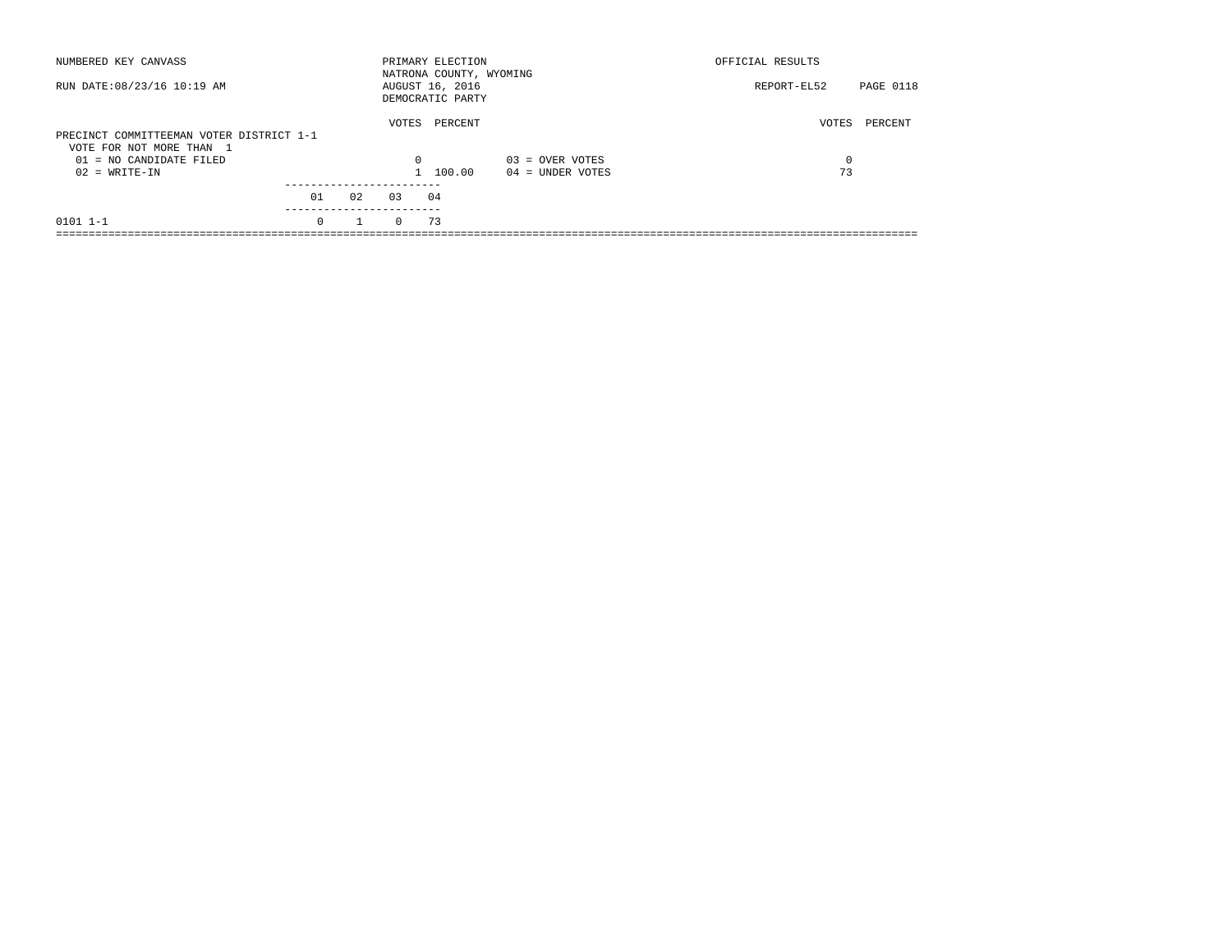| NUMBERED KEY CANVASS                                                 |          |              |          | PRIMARY ELECTION<br>NATRONA COUNTY, WYOMING |                    | OFFICIAL RESULTS |           |
|----------------------------------------------------------------------|----------|--------------|----------|---------------------------------------------|--------------------|------------------|-----------|
| RUN DATE: 08/23/16 10:19 AM                                          |          |              |          | AUGUST 16, 2016<br>DEMOCRATIC PARTY         |                    | REPORT-EL52      | PAGE 0118 |
| PRECINCT COMMITTEEMAN VOTER DISTRICT 1-1<br>VOTE FOR NOT MORE THAN 1 |          |              | VOTES    | PERCENT                                     |                    | VOTES            | PERCENT   |
| 01 = NO CANDIDATE FILED                                              |          |              | $\Omega$ |                                             | $03 =$ OVER VOTES  | 0                |           |
| $02 = WRITE-IN$                                                      |          |              |          | 1 100.00                                    | $04 =$ UNDER VOTES | 73               |           |
|                                                                      | 01       | 02           | 03       | 04                                          |                    |                  |           |
|                                                                      |          |              |          |                                             |                    |                  |           |
| $0101$ $1-1$                                                         | $\Omega$ | $\mathbf{1}$ | $\Omega$ | 73                                          |                    |                  |           |
|                                                                      |          |              |          |                                             |                    |                  |           |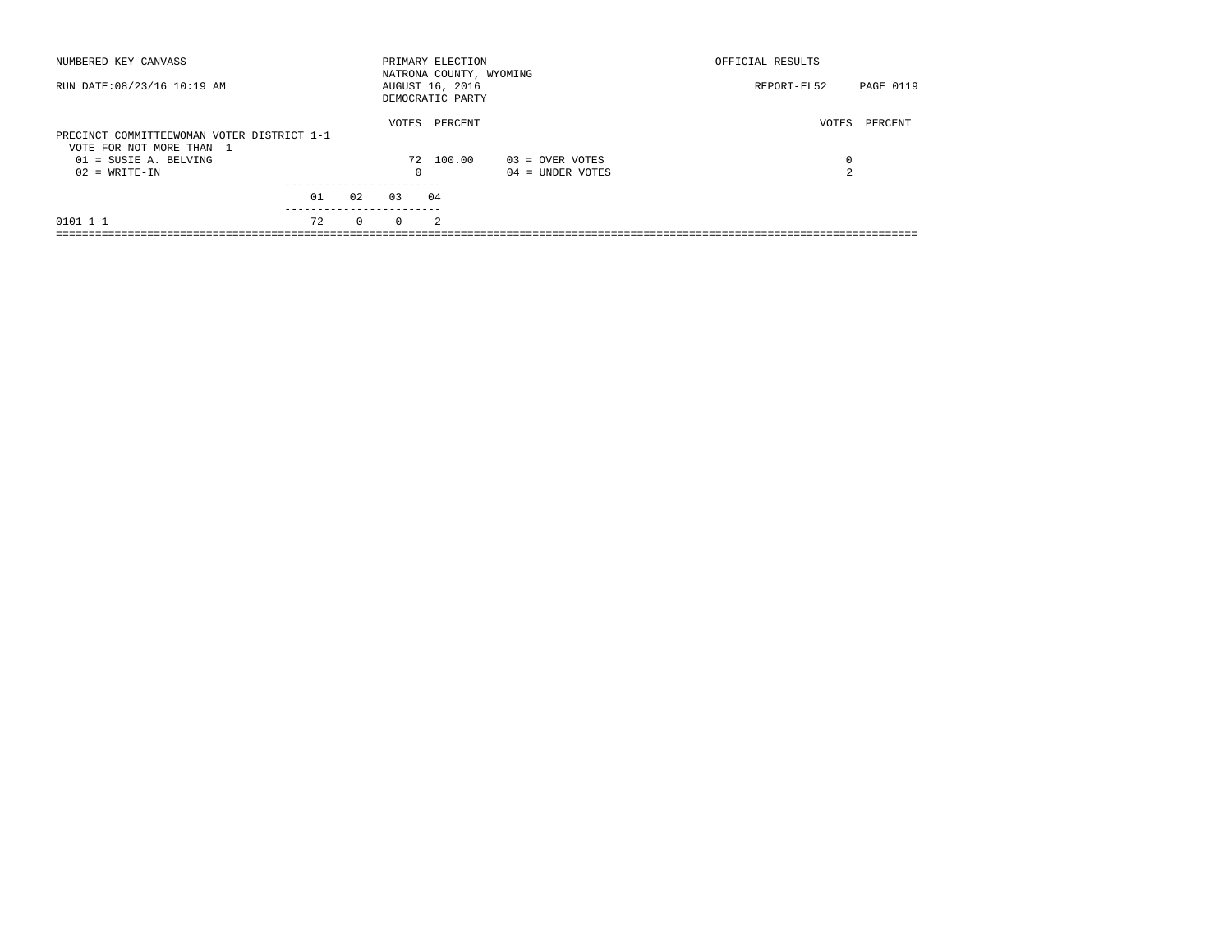| NUMBERED KEY CANVASS                                                   |    |          |          | PRIMARY ELECTION<br>NATRONA COUNTY, WYOMING |                    | OFFICIAL RESULTS |           |
|------------------------------------------------------------------------|----|----------|----------|---------------------------------------------|--------------------|------------------|-----------|
| RUN DATE: 08/23/16 10:19 AM                                            |    |          |          | AUGUST 16, 2016<br>DEMOCRATIC PARTY         |                    | REPORT-EL52      | PAGE 0119 |
| PRECINCT COMMITTEEWOMAN VOTER DISTRICT 1-1<br>VOTE FOR NOT MORE THAN 1 |    |          | VOTES    | PERCENT                                     |                    | VOTES            | PERCENT   |
| $01 = SUBIE A. BELVING$                                                |    |          |          | 72 100.00                                   | 03 = OVER VOTES    | 0                |           |
| $02 = WRITE-IN$                                                        |    |          | $\circ$  |                                             | $04 =$ UNDER VOTES | $\overline{2}$   |           |
|                                                                        |    |          |          |                                             |                    |                  |           |
|                                                                        | 01 | 02       | 0.3      | 04                                          |                    |                  |           |
| $0101$ $1-1$                                                           | 72 | $\Omega$ | $\Omega$ | 2                                           |                    |                  |           |
|                                                                        |    |          |          |                                             |                    |                  |           |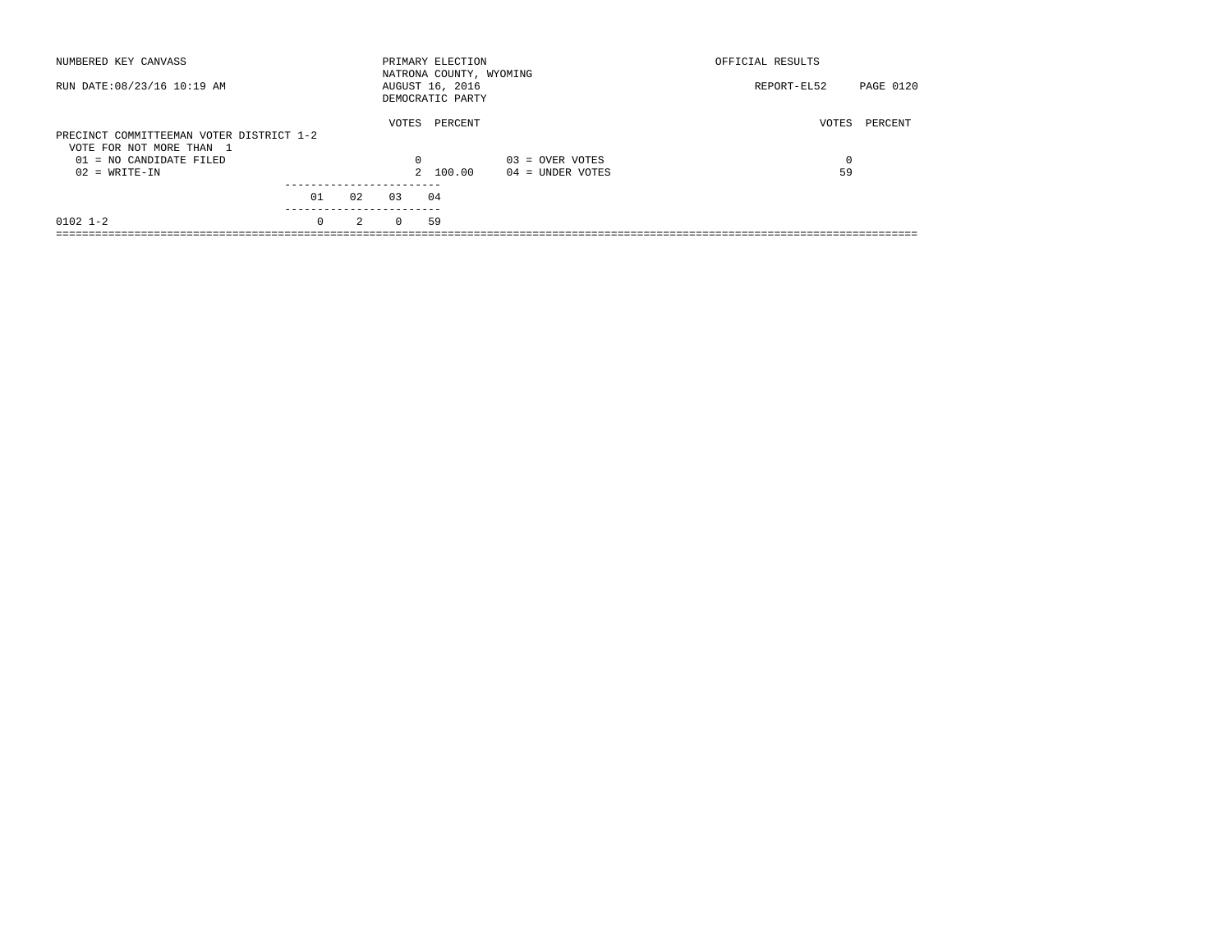| NUMBERED KEY CANVASS                                                 |          |               |          | PRIMARY ELECTION<br>NATRONA COUNTY, WYOMING |                    | OFFICIAL RESULTS |           |
|----------------------------------------------------------------------|----------|---------------|----------|---------------------------------------------|--------------------|------------------|-----------|
| RUN DATE: 08/23/16 10:19 AM                                          |          |               |          | AUGUST 16, 2016<br>DEMOCRATIC PARTY         |                    | REPORT-EL52      | PAGE 0120 |
| PRECINCT COMMITTEEMAN VOTER DISTRICT 1-2<br>VOTE FOR NOT MORE THAN 1 |          |               | VOTES    | PERCENT                                     |                    | VOTES            | PERCENT   |
| 01 = NO CANDIDATE FILED                                              |          |               | 0        |                                             | $03 =$ OVER VOTES  | 0                |           |
| $02 = WRITE-IN$                                                      |          |               |          | 2 100.00                                    | $04 =$ UNDER VOTES | 59               |           |
|                                                                      | 01       | 02            | 0.3      | 04                                          |                    |                  |           |
| $0102$ 1-2                                                           | $\Omega$ | $\mathcal{L}$ | $\Omega$ | 59                                          |                    |                  |           |
|                                                                      |          |               |          |                                             |                    |                  |           |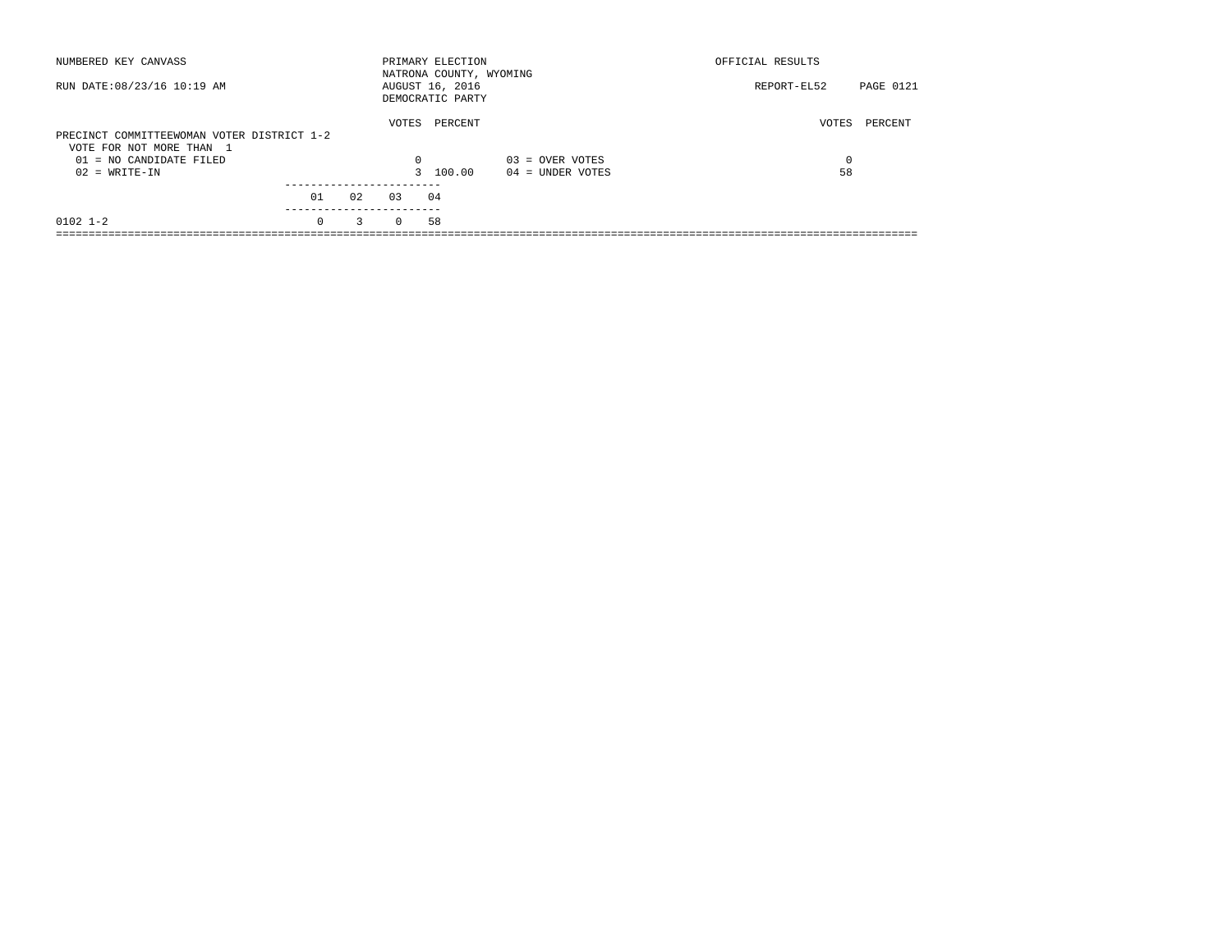| NUMBERED KEY CANVASS                                                   |           |    |          | PRIMARY ELECTION<br>NATRONA COUNTY, WYOMING |                    | OFFICIAL RESULTS         |  |
|------------------------------------------------------------------------|-----------|----|----------|---------------------------------------------|--------------------|--------------------------|--|
| RUN DATE: 08/23/16 10:19 AM                                            |           |    |          | AUGUST 16, 2016<br>DEMOCRATIC PARTY         |                    | PAGE 0121<br>REPORT-EL52 |  |
| PRECINCT COMMITTEEWOMAN VOTER DISTRICT 1-2<br>VOTE FOR NOT MORE THAN 1 |           |    | VOTES    | PERCENT                                     |                    | VOTES<br>PERCENT         |  |
| $01 = NO CANDIDATE FILED$                                              |           |    | $\Omega$ |                                             | $03 =$ OVER VOTES  | $\Omega$                 |  |
| $02 = WRITE-IN$                                                        |           |    |          | 3 100.00                                    | $04 =$ UNDER VOTES | 58                       |  |
|                                                                        | 01        | 02 | 0.3      | 04                                          |                    |                          |  |
|                                                                        | --------- |    |          |                                             |                    |                          |  |
| $0102$ $1-2$                                                           | $\Omega$  | 3  | $\Omega$ | 58                                          |                    |                          |  |
|                                                                        |           |    |          |                                             |                    |                          |  |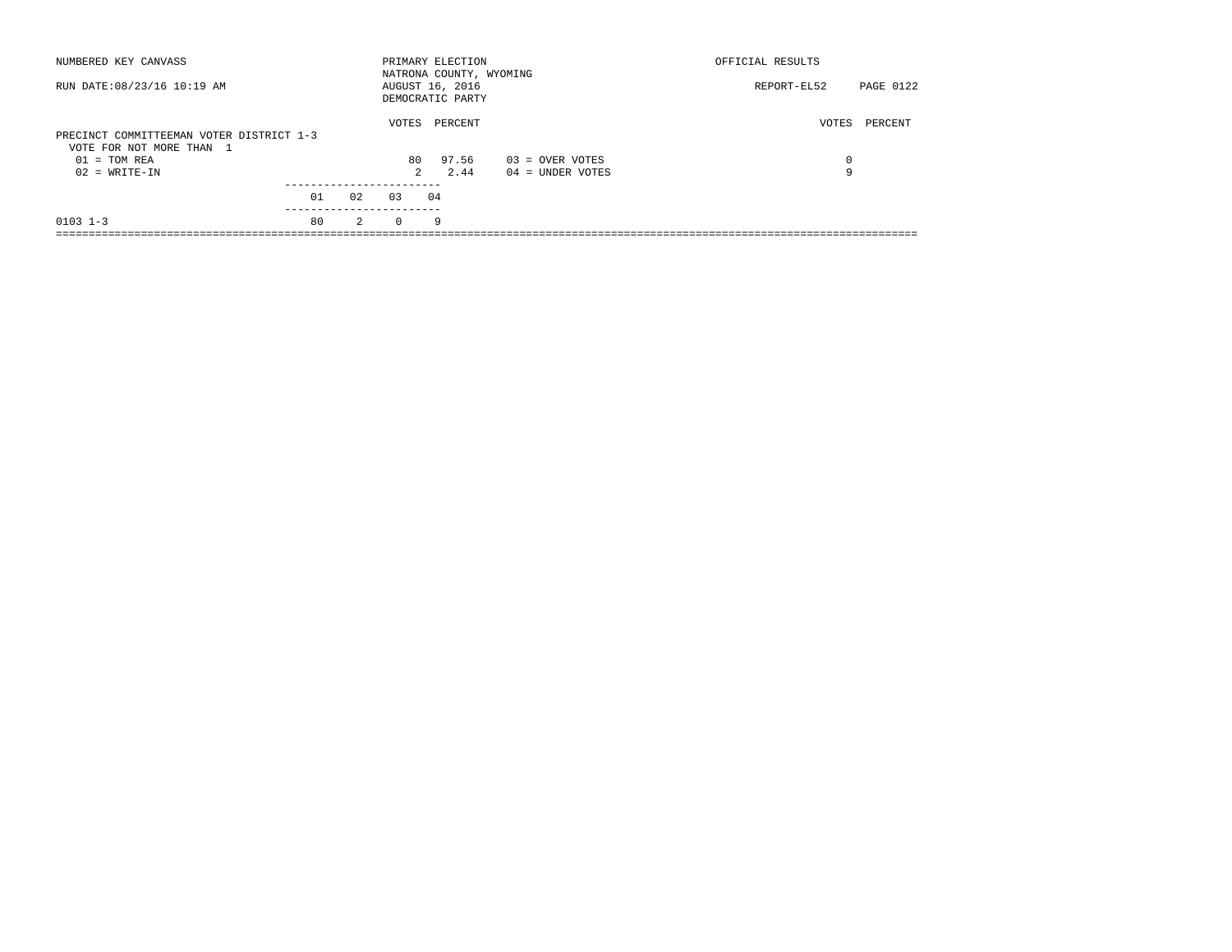| NUMBERED KEY CANVASS                                                 |    |                |             | PRIMARY ELECTION<br>NATRONA COUNTY, WYOMING |                    | OFFICIAL RESULTS         |
|----------------------------------------------------------------------|----|----------------|-------------|---------------------------------------------|--------------------|--------------------------|
| RUN DATE: 08/23/16 10:19 AM                                          |    |                |             | AUGUST 16, 2016<br>DEMOCRATIC PARTY         |                    | PAGE 0122<br>REPORT-EL52 |
| PRECINCT COMMITTEEMAN VOTER DISTRICT 1-3<br>VOTE FOR NOT MORE THAN 1 |    |                | VOTES       | PERCENT                                     |                    | VOTES<br>PERCENT         |
| $01 = TOM REA$                                                       |    |                | 80          | 97.56                                       | $03 =$ OVER VOTES  | 0                        |
| $02 = WRITE-IN$                                                      |    |                | $2^{\circ}$ | 2.44                                        | $04 =$ UNDER VOTES | 9                        |
|                                                                      |    |                |             |                                             |                    |                          |
|                                                                      | 01 | 02             | 0.3         | 04                                          |                    |                          |
| $0103$ $1-3$                                                         | 80 | $\overline{2}$ | $\Omega$    | 9                                           |                    |                          |
|                                                                      |    |                |             |                                             |                    |                          |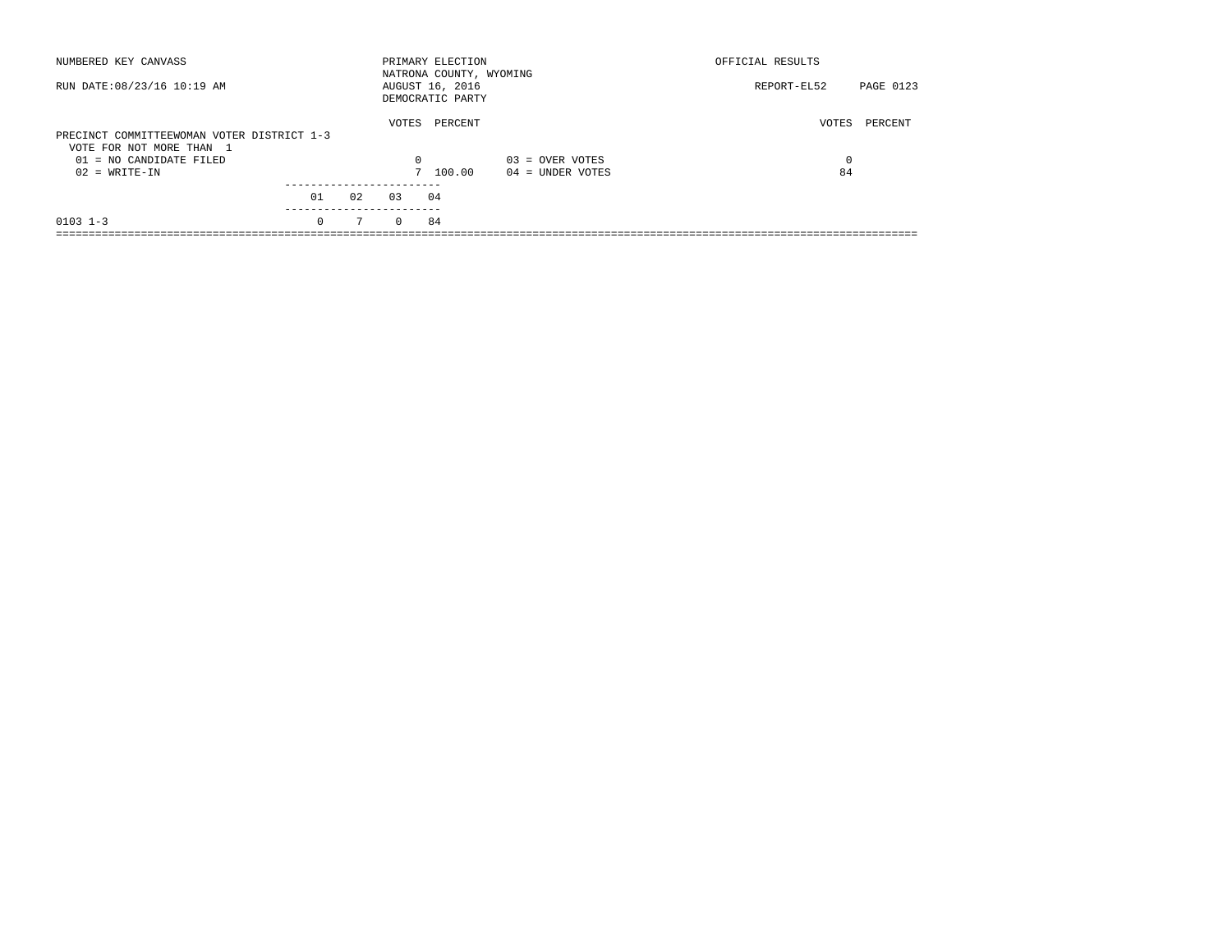| NUMBERED KEY CANVASS                                                   |          |             |          | PRIMARY ELECTION<br>NATRONA COUNTY, WYOMING |                    | OFFICIAL RESULTS |           |
|------------------------------------------------------------------------|----------|-------------|----------|---------------------------------------------|--------------------|------------------|-----------|
| RUN DATE: 08/23/16 10:19 AM                                            |          |             |          | AUGUST 16, 2016<br>DEMOCRATIC PARTY         |                    | REPORT-EL52      | PAGE 0123 |
| PRECINCT COMMITTEEWOMAN VOTER DISTRICT 1-3<br>VOTE FOR NOT MORE THAN 1 |          |             | VOTES    | PERCENT                                     |                    | VOTES            | PERCENT   |
| $01 = NO CANDIDATE FILED$                                              |          |             | $\Omega$ |                                             | $03 =$ OVER VOTES  | 0                |           |
| $02 = WRITE-IN$                                                        |          |             |          | 7 100.00                                    | $04 =$ UNDER VOTES | 84               |           |
|                                                                        |          |             |          |                                             |                    |                  |           |
|                                                                        | 01       | 02          | 0.3      | 04                                          |                    |                  |           |
| $0103$ $1-3$                                                           | $\Omega$ | $7^{\circ}$ | $\Omega$ | 84                                          |                    |                  |           |
|                                                                        |          |             |          |                                             |                    |                  |           |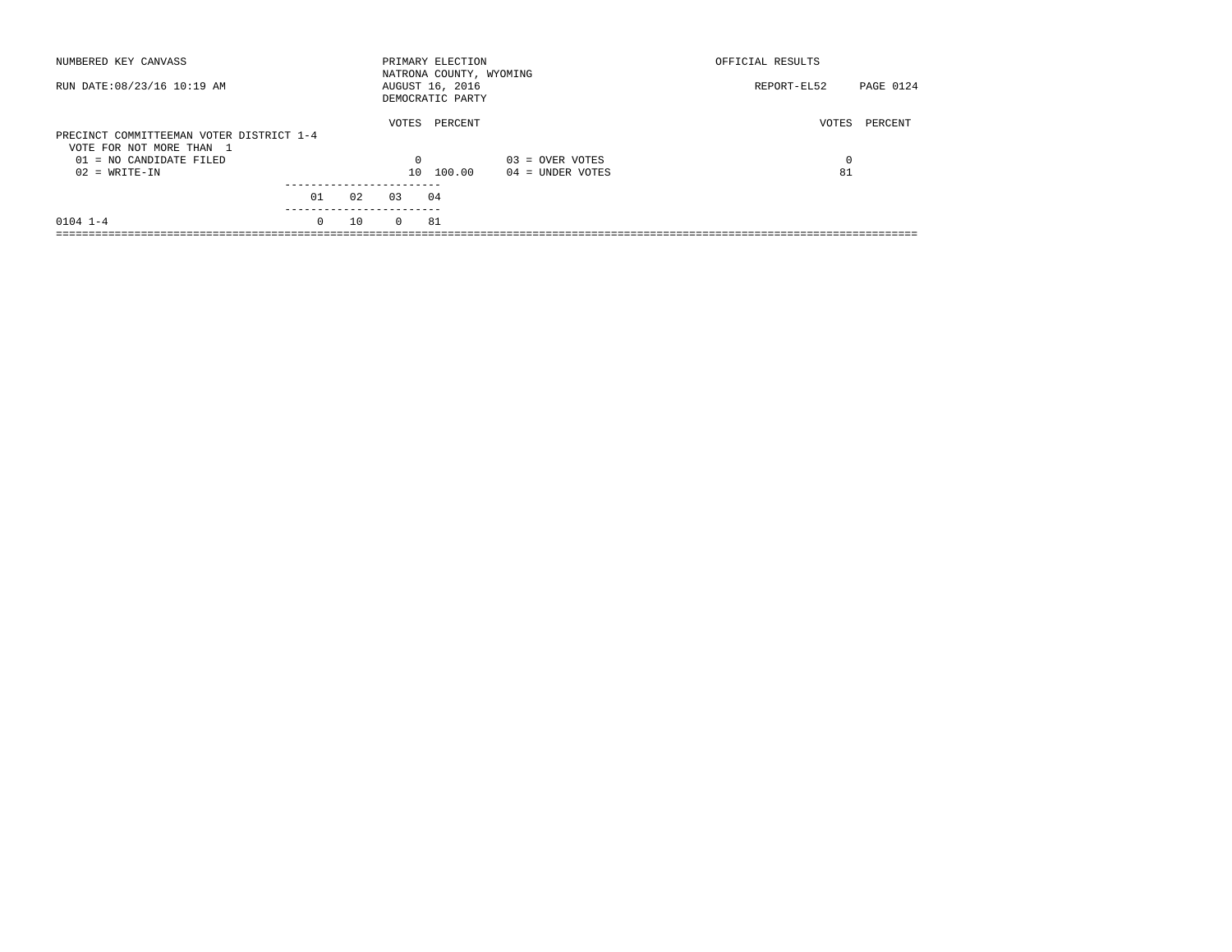| NUMBERED KEY CANVASS                                                                              |          |    |                   | PRIMARY ELECTION<br>NATRONA COUNTY, WYOMING |                    | OFFICIAL RESULTS |           |
|---------------------------------------------------------------------------------------------------|----------|----|-------------------|---------------------------------------------|--------------------|------------------|-----------|
| RUN DATE: 08/23/16 10:19 AM                                                                       |          |    |                   | AUGUST 16, 2016<br>DEMOCRATIC PARTY         |                    | REPORT-EL52      | PAGE 0124 |
| PRECINCT COMMITTEEMAN VOTER DISTRICT 1-4<br>VOTE FOR NOT MORE THAN 1<br>$01 = NO CANDIDATE FILED$ |          |    | VOTES<br>$\Omega$ | PERCENT                                     | $03 =$ OVER VOTES  | VOTES<br>0       | PERCENT   |
| $02 = WRITE-IN$                                                                                   |          |    | $10-1$            | 100.00                                      | $04 =$ UNDER VOTES | 81               |           |
|                                                                                                   | 01       | 02 | 0.3               | 04                                          |                    |                  |           |
| $0104$ $1-4$                                                                                      | $\Omega$ | 10 | $\Omega$          | 81                                          |                    |                  |           |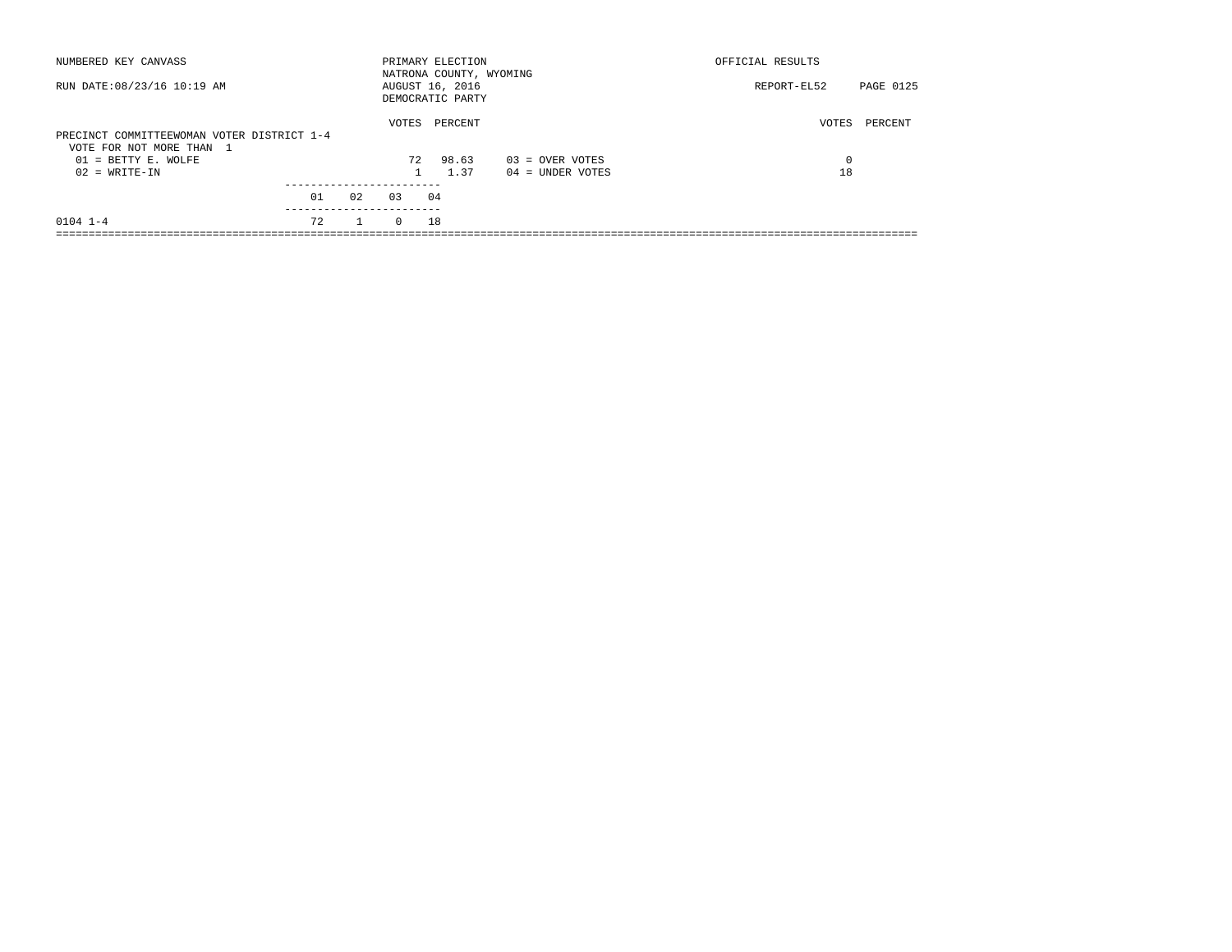| NUMBERED KEY CANVASS                                                   |    |    |          | PRIMARY ELECTION<br>NATRONA COUNTY, WYOMING |                    | OFFICIAL RESULTS |           |
|------------------------------------------------------------------------|----|----|----------|---------------------------------------------|--------------------|------------------|-----------|
| RUN DATE: 08/23/16 10:19 AM                                            |    |    |          | AUGUST 16, 2016<br>DEMOCRATIC PARTY         |                    | REPORT-EL52      | PAGE 0125 |
| PRECINCT COMMITTEEWOMAN VOTER DISTRICT 1-4<br>VOTE FOR NOT MORE THAN 1 |    |    | VOTES    | PERCENT                                     |                    | VOTES            | PERCENT   |
| $01 = BETTY E. WOLFE$                                                  |    |    | 72       | 98.63                                       | $03 =$ OVER VOTES  | $\Omega$         |           |
| $02 = WRITE-IN$                                                        |    |    |          | 1.37                                        | $04 =$ UNDER VOTES | 18               |           |
|                                                                        | 01 | 02 | 0.3      | 04                                          |                    |                  |           |
| $0104$ $1-4$                                                           | 72 |    | $\Omega$ | 18                                          |                    |                  |           |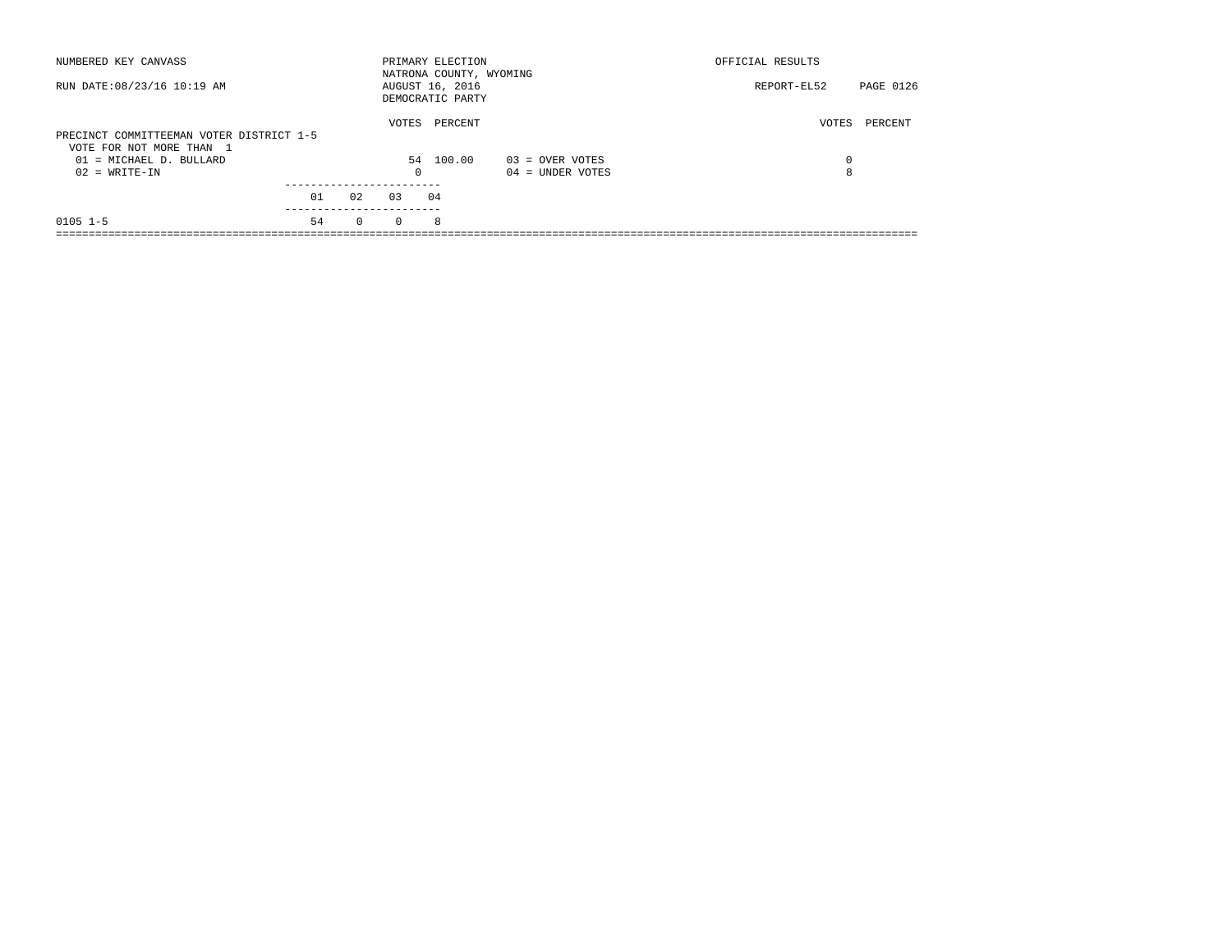| NUMBERED KEY CANVASS                                                 |    |          |          | PRIMARY ELECTION<br>NATRONA COUNTY, WYOMING |                    | OFFICIAL RESULTS |           |
|----------------------------------------------------------------------|----|----------|----------|---------------------------------------------|--------------------|------------------|-----------|
| RUN DATE: 08/23/16 10:19 AM                                          |    |          |          | AUGUST 16, 2016<br>DEMOCRATIC PARTY         |                    | REPORT-EL52      | PAGE 0126 |
| PRECINCT COMMITTEEMAN VOTER DISTRICT 1-5<br>VOTE FOR NOT MORE THAN 1 |    |          | VOTES    | PERCENT                                     |                    | VOTES            | PERCENT   |
| 01 = MICHAEL D. BULLARD                                              |    |          |          | 54 100.00                                   | $03 =$ OVER VOTES  | 0                |           |
| $02 = WRITE-IN$                                                      |    |          | 0        |                                             | $04 =$ UNDER VOTES | 8                |           |
|                                                                      |    |          |          |                                             |                    |                  |           |
|                                                                      | 01 | 02       | 0.3      | 04                                          |                    |                  |           |
| $0105$ 1-5                                                           | 54 | $\Omega$ | $\Omega$ | 8                                           |                    |                  |           |
|                                                                      |    |          |          |                                             |                    |                  |           |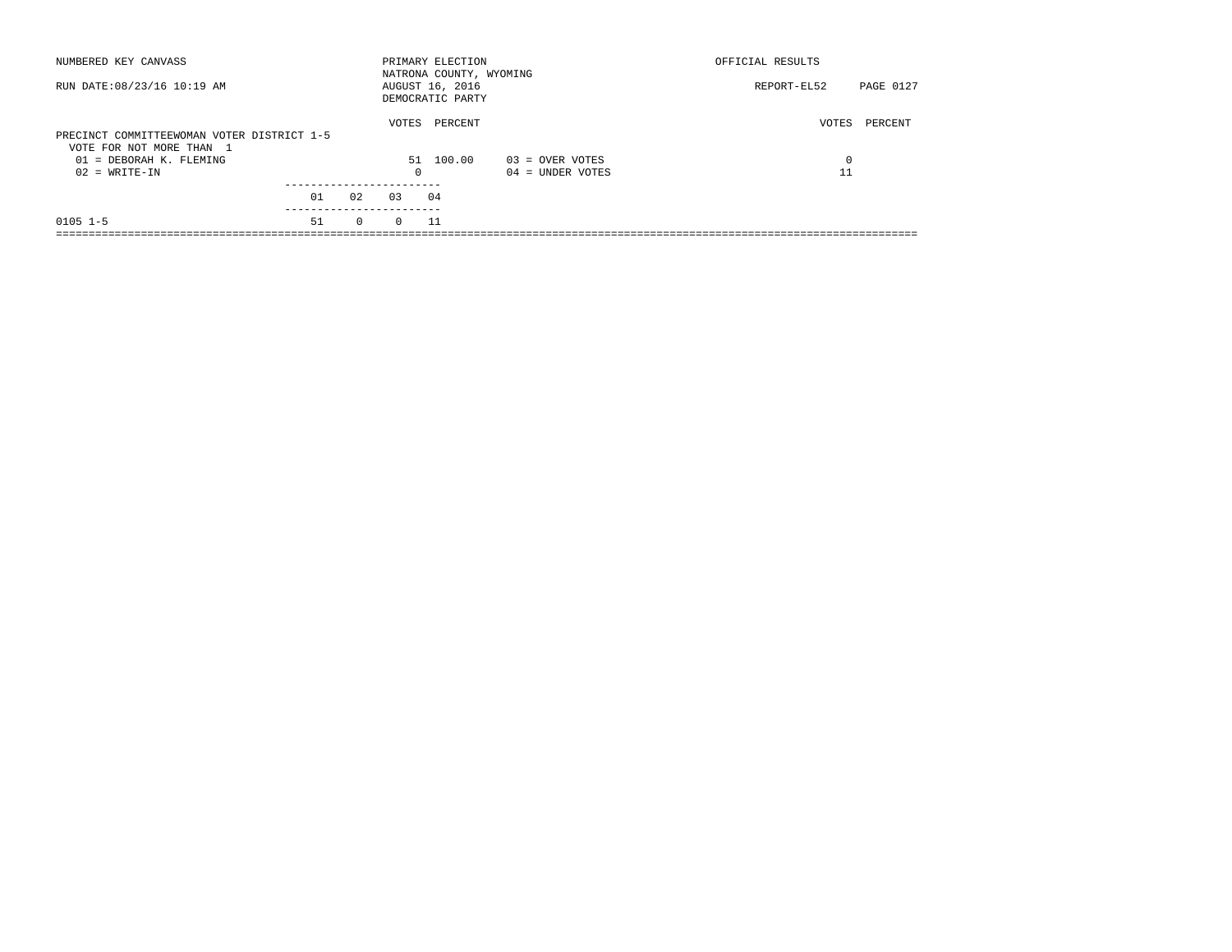| NUMBERED KEY CANVASS                                                   |    |          |            | PRIMARY ELECTION<br>NATRONA COUNTY, WYOMING |                    | OFFICIAL RESULTS |           |
|------------------------------------------------------------------------|----|----------|------------|---------------------------------------------|--------------------|------------------|-----------|
| RUN DATE: 08/23/16 10:19 AM                                            |    |          |            | AUGUST 16, 2016<br>DEMOCRATIC PARTY         |                    | REPORT-EL52      | PAGE 0127 |
| PRECINCT COMMITTEEWOMAN VOTER DISTRICT 1-5<br>VOTE FOR NOT MORE THAN 1 |    |          | VOTES      | PERCENT                                     |                    | VOTES            | PERCENT   |
| 01 = DEBORAH K. FLEMING                                                |    |          |            | 51 100.00                                   | 03 = OVER VOTES    | $\Omega$         |           |
| $02 = WRITE-IN$                                                        |    |          | $^{\circ}$ |                                             | $04 =$ UNDER VOTES |                  |           |
|                                                                        |    |          |            |                                             |                    |                  |           |
|                                                                        | 01 | 02       | 0.3        | 04                                          |                    |                  |           |
| $0105$ 1-5                                                             | 51 | $\Omega$ | $\Omega$   | -11                                         |                    |                  |           |
|                                                                        |    |          |            |                                             |                    |                  |           |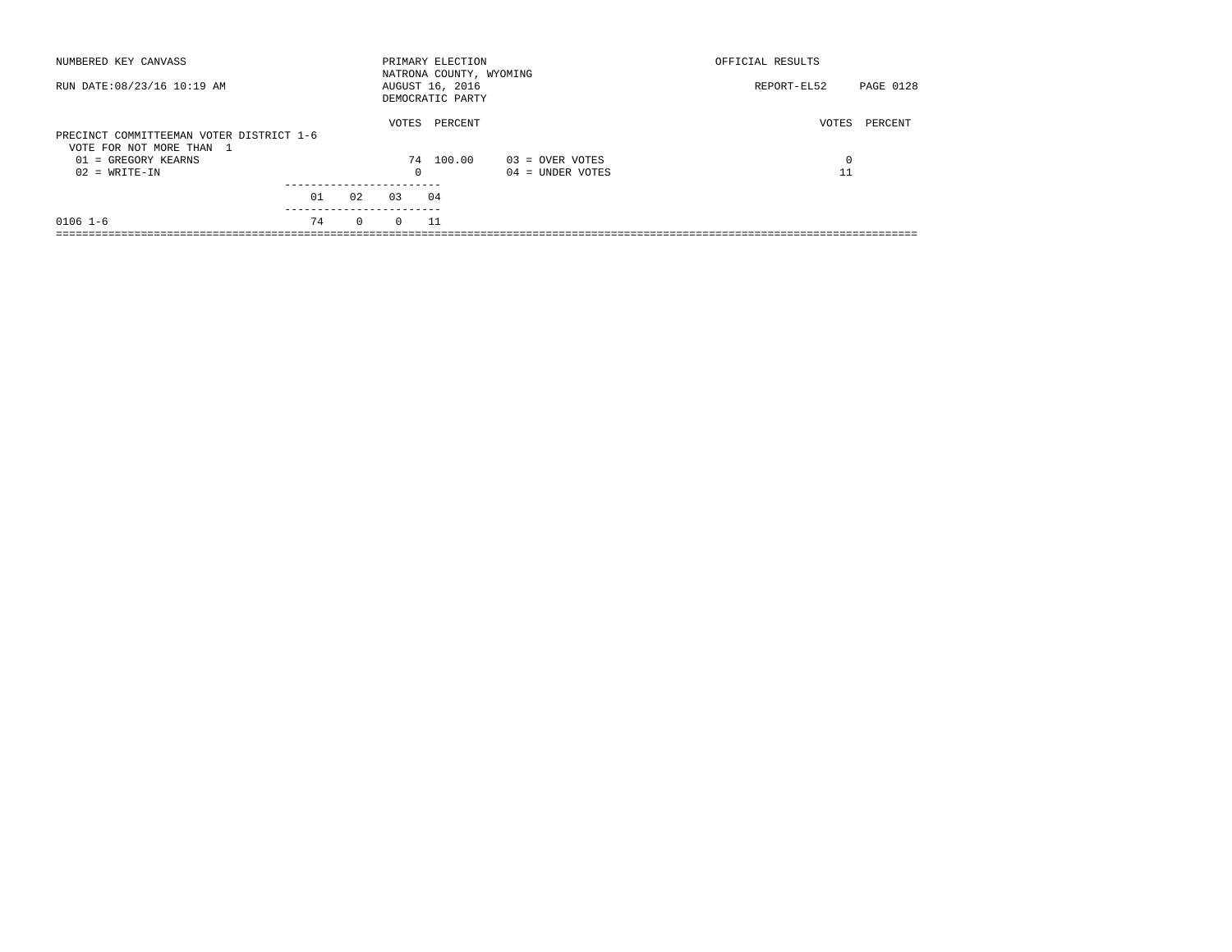| NUMBERED KEY CANVASS                                                 |    |          |          | PRIMARY ELECTION<br>NATRONA COUNTY, WYOMING |                    | OFFICIAL RESULTS |           |
|----------------------------------------------------------------------|----|----------|----------|---------------------------------------------|--------------------|------------------|-----------|
| RUN DATE: 08/23/16 10:19 AM                                          |    |          |          | AUGUST 16, 2016<br>DEMOCRATIC PARTY         |                    | REPORT-EL52      | PAGE 0128 |
| PRECINCT COMMITTEEMAN VOTER DISTRICT 1-6<br>VOTE FOR NOT MORE THAN 1 |    |          | VOTES    | PERCENT                                     |                    | VOTES            | PERCENT   |
| $01 = GREGORY KEARNS$                                                |    |          |          | 74 100.00                                   | $03 =$ OVER VOTES  | 0                |           |
| $02 = WRITE-IN$                                                      |    |          | $\Omega$ |                                             | $04 =$ UNDER VOTES | 11               |           |
|                                                                      | 01 | 02       | 0.3      | 04                                          |                    |                  |           |
| $0106$ 1-6                                                           | 74 | $\Omega$ | $\Omega$ | - 11                                        |                    |                  |           |
|                                                                      |    |          |          |                                             |                    |                  |           |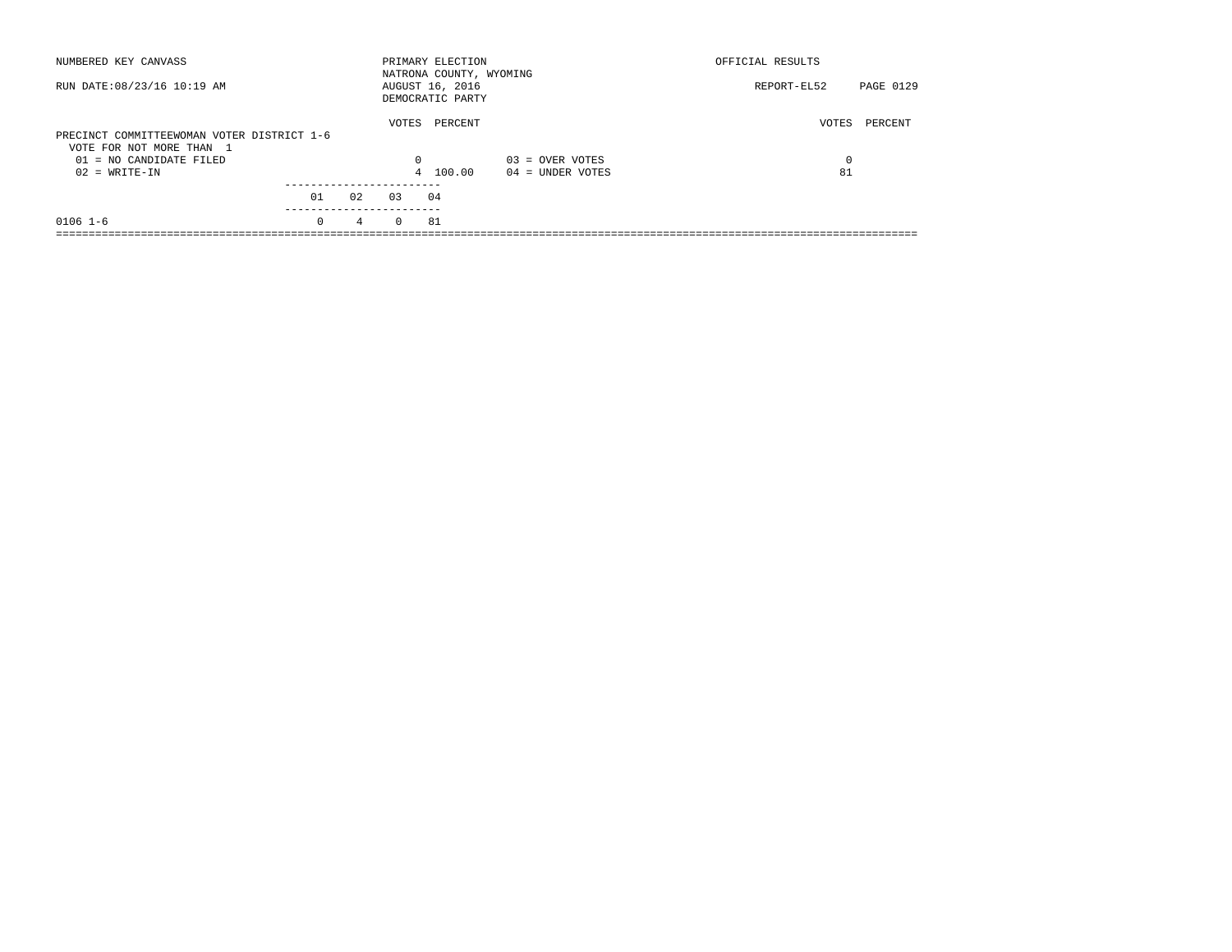| NUMBERED KEY CANVASS                                                   |          |             |          | PRIMARY ELECTION<br>NATRONA COUNTY, WYOMING |                    | OFFICIAL RESULTS |           |
|------------------------------------------------------------------------|----------|-------------|----------|---------------------------------------------|--------------------|------------------|-----------|
| RUN DATE: 08/23/16 10:19 AM                                            |          |             |          | AUGUST 16, 2016<br>DEMOCRATIC PARTY         |                    | REPORT-EL52      | PAGE 0129 |
| PRECINCT COMMITTEEWOMAN VOTER DISTRICT 1-6<br>VOTE FOR NOT MORE THAN 1 |          |             | VOTES    | PERCENT                                     |                    | VOTES            | PERCENT   |
| $01 = NO$ CANDIDATE FILED                                              |          |             | 0        |                                             | $03 =$ OVER VOTES  | 0                |           |
| $02 = WRITE-IN$                                                        |          |             |          | 4 100.00                                    | $04 =$ UNDER VOTES | 81               |           |
|                                                                        | 01       | 02          | 0.3      | 04                                          |                    |                  |           |
| $0106$ 1-6                                                             | $\Omega$ | $4^{\circ}$ | $\Omega$ | 81                                          |                    |                  |           |
|                                                                        |          |             |          |                                             |                    |                  |           |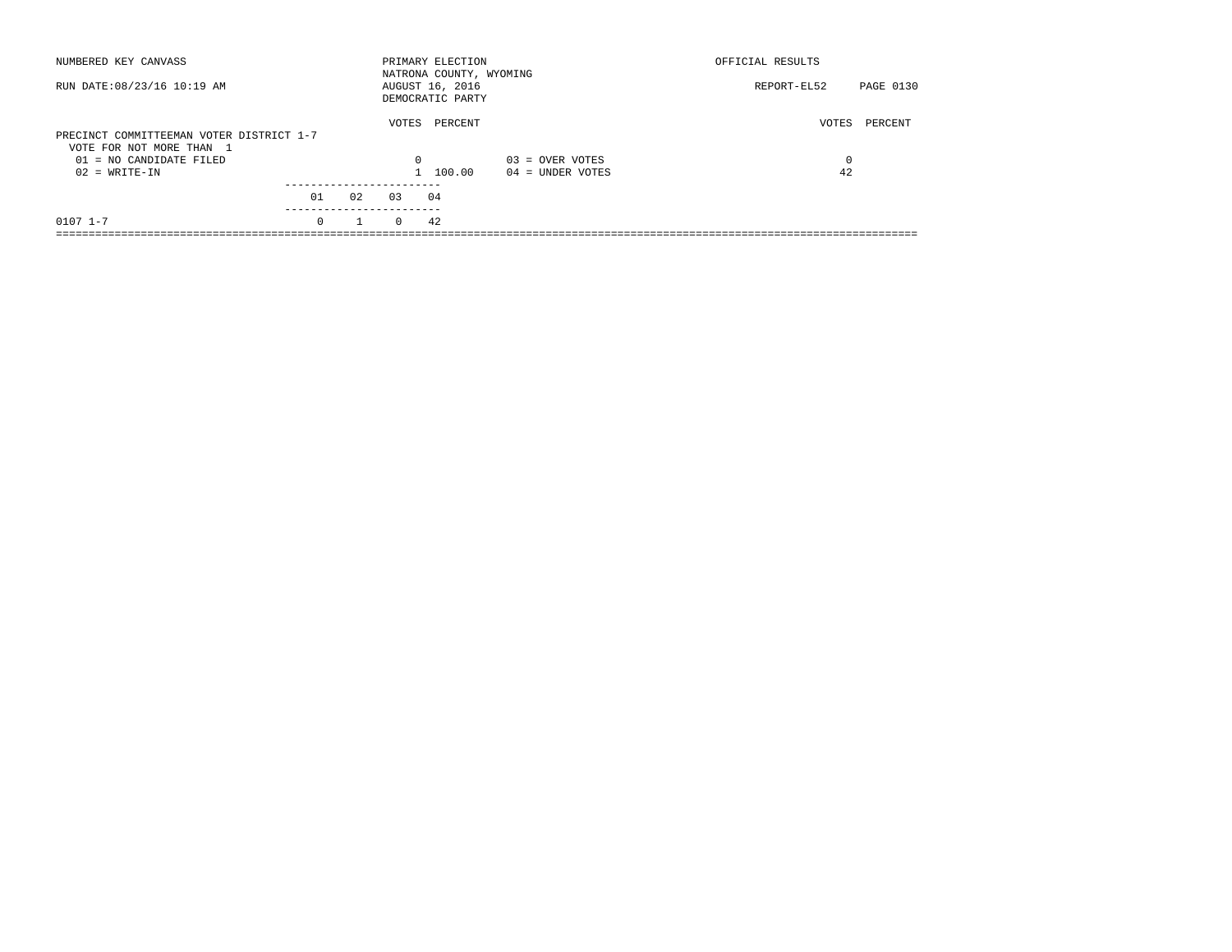| NUMBERED KEY CANVASS                                                 |          |              |          | PRIMARY ELECTION<br>NATRONA COUNTY, WYOMING |                    | OFFICIAL RESULTS |           |
|----------------------------------------------------------------------|----------|--------------|----------|---------------------------------------------|--------------------|------------------|-----------|
| RUN DATE: 08/23/16 10:19 AM                                          |          |              |          | AUGUST 16, 2016<br>DEMOCRATIC PARTY         |                    | REPORT-EL52      | PAGE 0130 |
| PRECINCT COMMITTEEMAN VOTER DISTRICT 1-7<br>VOTE FOR NOT MORE THAN 1 |          |              | VOTES    | PERCENT                                     |                    | VOTES            | PERCENT   |
| 01 = NO CANDIDATE FILED                                              |          |              | $\Omega$ |                                             | $03 =$ OVER VOTES  | 0                |           |
| $02 = WRITE-IN$                                                      |          |              |          | 1 100.00                                    | $04 =$ UNDER VOTES | 42               |           |
|                                                                      |          |              |          |                                             |                    |                  |           |
|                                                                      | 01       | 02           | 03       | 04                                          |                    |                  |           |
| $0107$ $1 - 7$                                                       | $\Omega$ | $\mathbf{1}$ | $\Omega$ | 42                                          |                    |                  |           |
|                                                                      |          |              |          |                                             |                    |                  |           |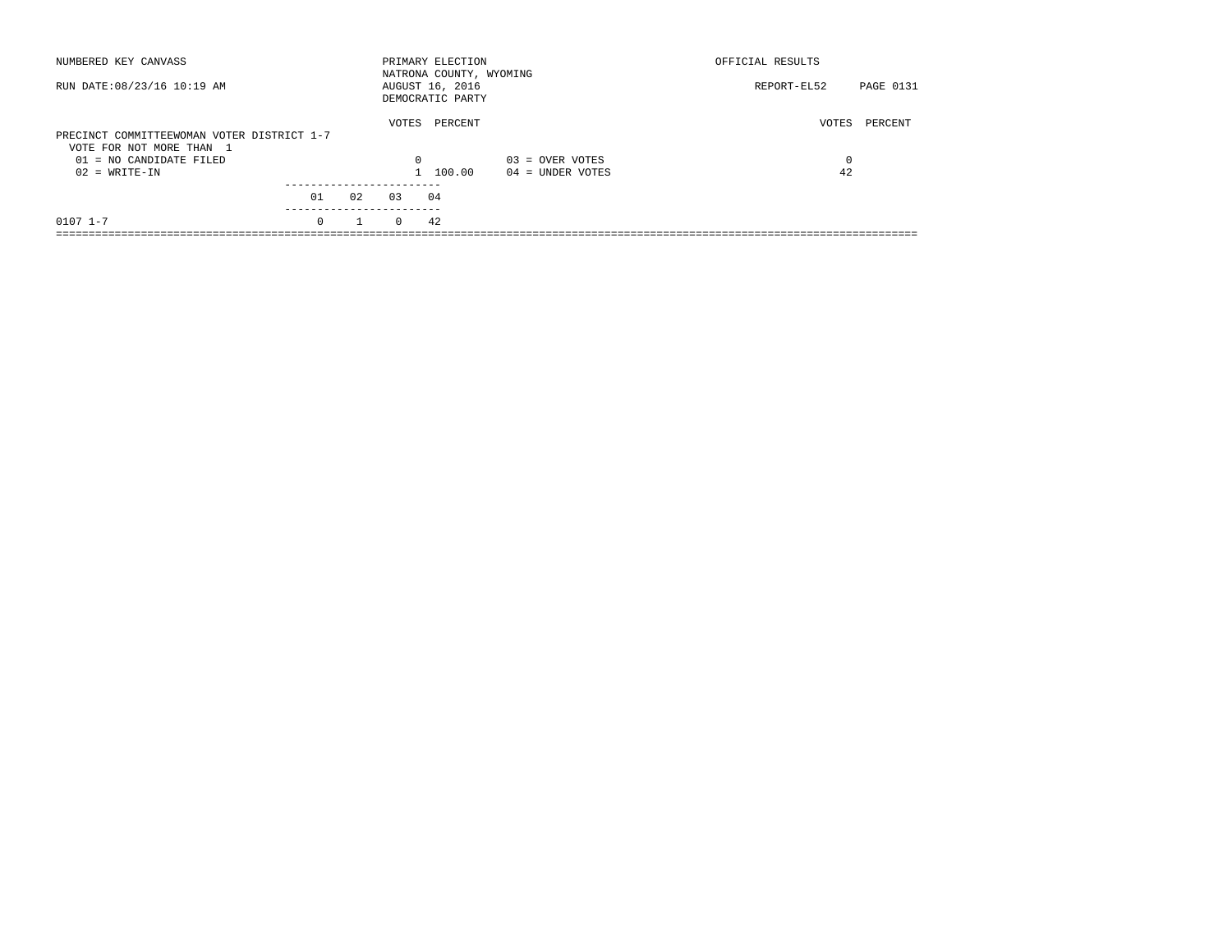| NUMBERED KEY CANVASS                                                   |          |              |          | PRIMARY ELECTION<br>NATRONA COUNTY, WYOMING |                    | OFFICIAL RESULTS |           |
|------------------------------------------------------------------------|----------|--------------|----------|---------------------------------------------|--------------------|------------------|-----------|
| RUN DATE: 08/23/16 10:19 AM                                            |          |              |          | AUGUST 16, 2016<br>DEMOCRATIC PARTY         |                    | REPORT-EL52      | PAGE 0131 |
| PRECINCT COMMITTEEWOMAN VOTER DISTRICT 1-7<br>VOTE FOR NOT MORE THAN 1 |          |              | VOTES    | PERCENT                                     |                    | VOTES            | PERCENT   |
| 01 = NO CANDIDATE FILED                                                |          |              | $\Omega$ |                                             | $03 =$ OVER VOTES  | 0                |           |
| $02 = WRITE-IN$                                                        |          |              |          | 1 100.00                                    | $04 =$ UNDER VOTES | 42               |           |
|                                                                        |          |              |          |                                             |                    |                  |           |
|                                                                        | 01       | 02           | 0.3      | 04                                          |                    |                  |           |
| $0107$ $1 - 7$                                                         | $\Omega$ | $\mathbf{1}$ | $\Omega$ | 42                                          |                    |                  |           |
|                                                                        |          |              |          |                                             |                    |                  |           |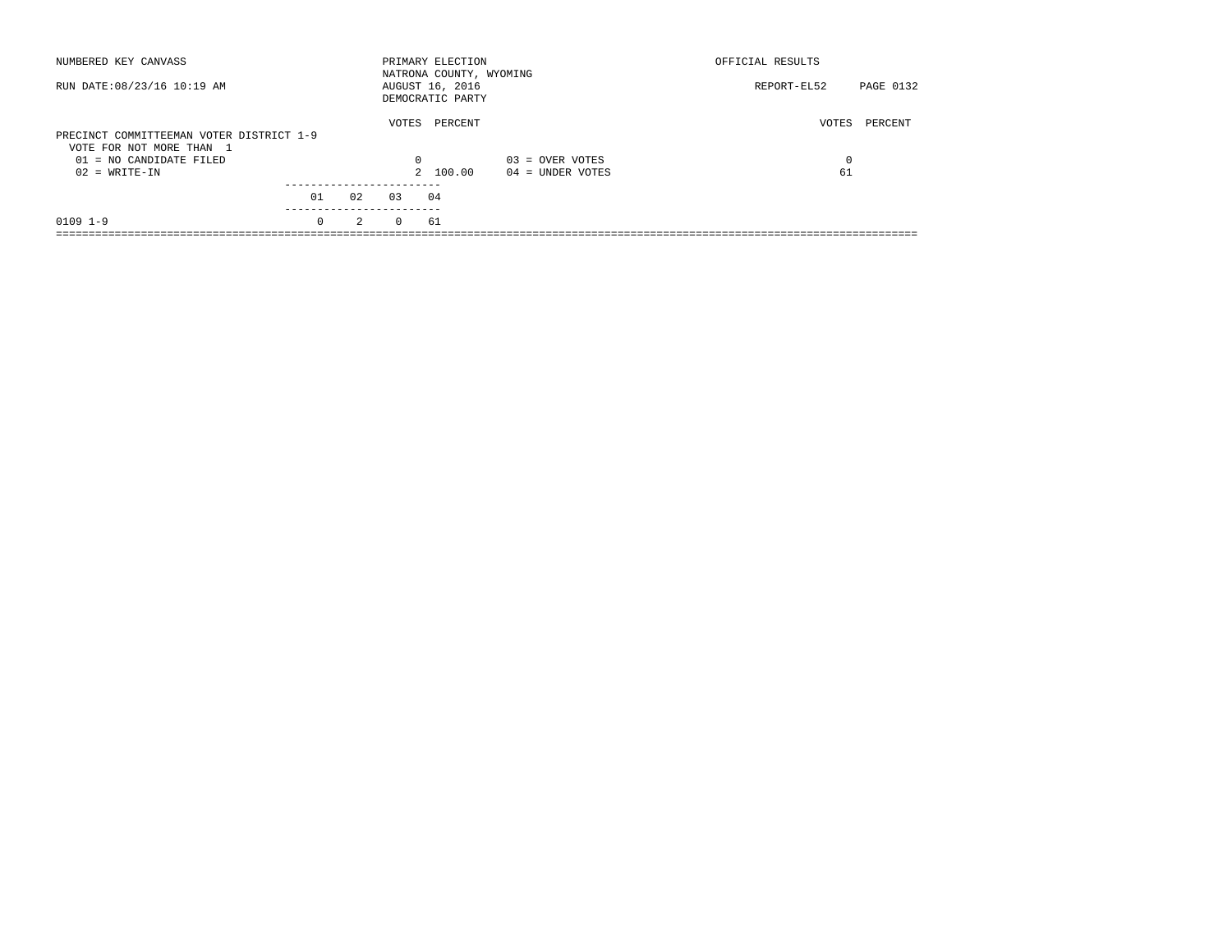| NUMBERED KEY CANVASS                                                 |          |               |          | PRIMARY ELECTION<br>NATRONA COUNTY, WYOMING |                    | OFFICIAL RESULTS |           |
|----------------------------------------------------------------------|----------|---------------|----------|---------------------------------------------|--------------------|------------------|-----------|
| RUN DATE: 08/23/16 10:19 AM                                          |          |               |          | AUGUST 16, 2016<br>DEMOCRATIC PARTY         |                    | REPORT-EL52      | PAGE 0132 |
| PRECINCT COMMITTEEMAN VOTER DISTRICT 1-9<br>VOTE FOR NOT MORE THAN 1 |          |               | VOTES    | PERCENT                                     |                    | VOTES            | PERCENT   |
| 01 = NO CANDIDATE FILED                                              |          |               | 0        |                                             | $03 =$ OVER VOTES  | 0                |           |
| $02 = WRITE-IN$                                                      |          |               |          | 2 100.00                                    | $04 =$ UNDER VOTES | 61               |           |
|                                                                      | 01       | 02            | 03       | 04                                          |                    |                  |           |
| $0109$ $1-9$                                                         | $\Omega$ | $\mathcal{L}$ | $\Omega$ | 61                                          |                    |                  |           |
|                                                                      |          |               |          |                                             |                    |                  |           |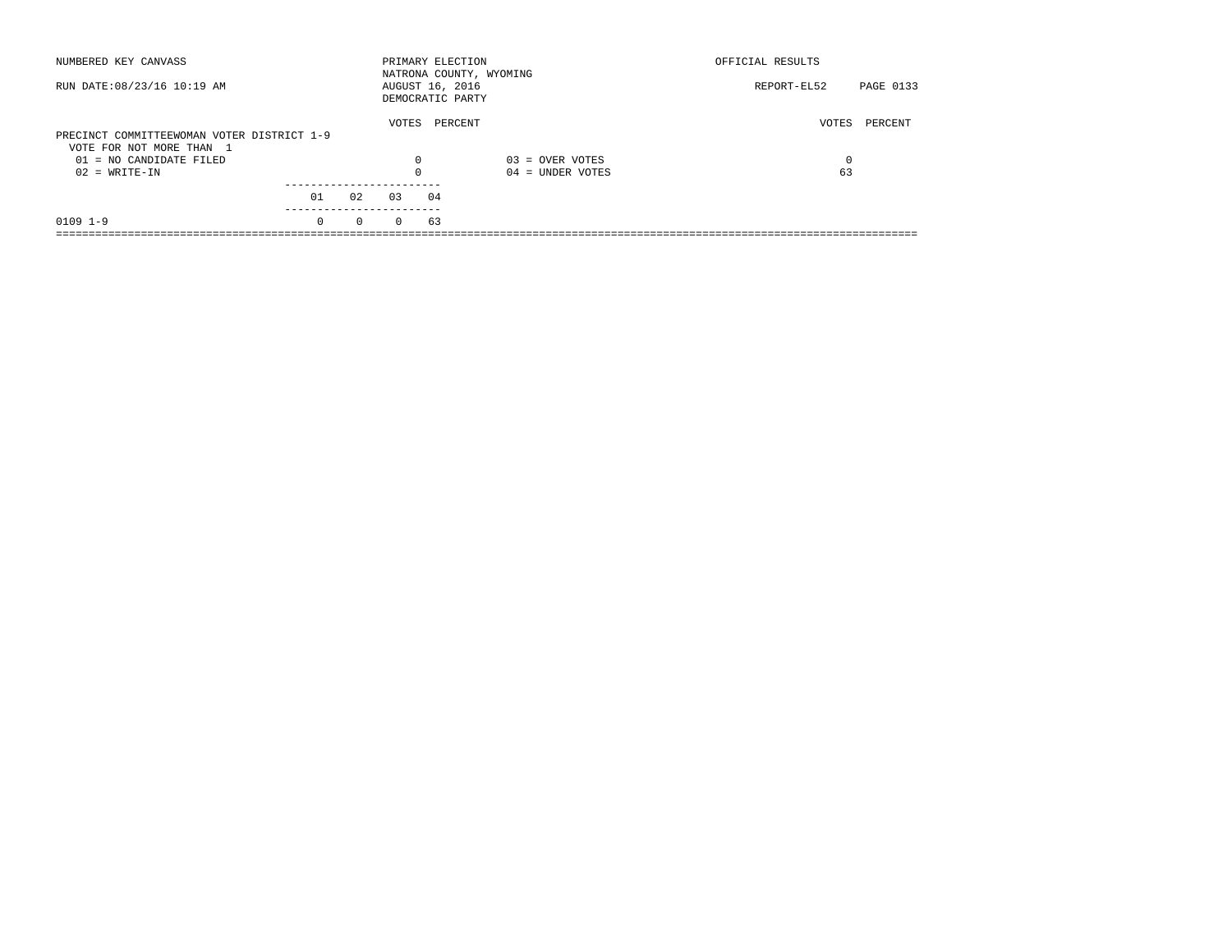| NUMBERED KEY CANVASS                       |          |          |          | PRIMARY ELECTION<br>NATRONA COUNTY, WYOMING |                    | OFFICIAL RESULTS |           |
|--------------------------------------------|----------|----------|----------|---------------------------------------------|--------------------|------------------|-----------|
| RUN DATE: 08/23/16 10:19 AM                |          |          |          | AUGUST 16, 2016<br>DEMOCRATIC PARTY         |                    | REPORT-EL52      | PAGE 0133 |
| PRECINCT COMMITTEEWOMAN VOTER DISTRICT 1-9 |          |          | VOTES    | PERCENT                                     |                    | VOTES            | PERCENT   |
| VOTE FOR NOT MORE THAN 1                   |          |          |          |                                             |                    |                  |           |
| 01 = NO CANDIDATE FILED                    |          |          | 0        |                                             | $03 =$ OVER VOTES  | 0                |           |
| $02 = WRITE-IN$                            |          |          |          |                                             | $04 =$ UNDER VOTES | 63               |           |
|                                            | 01       | 02       | 03       | 04                                          |                    |                  |           |
|                                            |          |          |          |                                             |                    |                  |           |
| $0109$ $1-9$                               | $\Omega$ | $\Omega$ | $\Omega$ | 63                                          |                    |                  |           |
|                                            |          |          |          |                                             |                    |                  |           |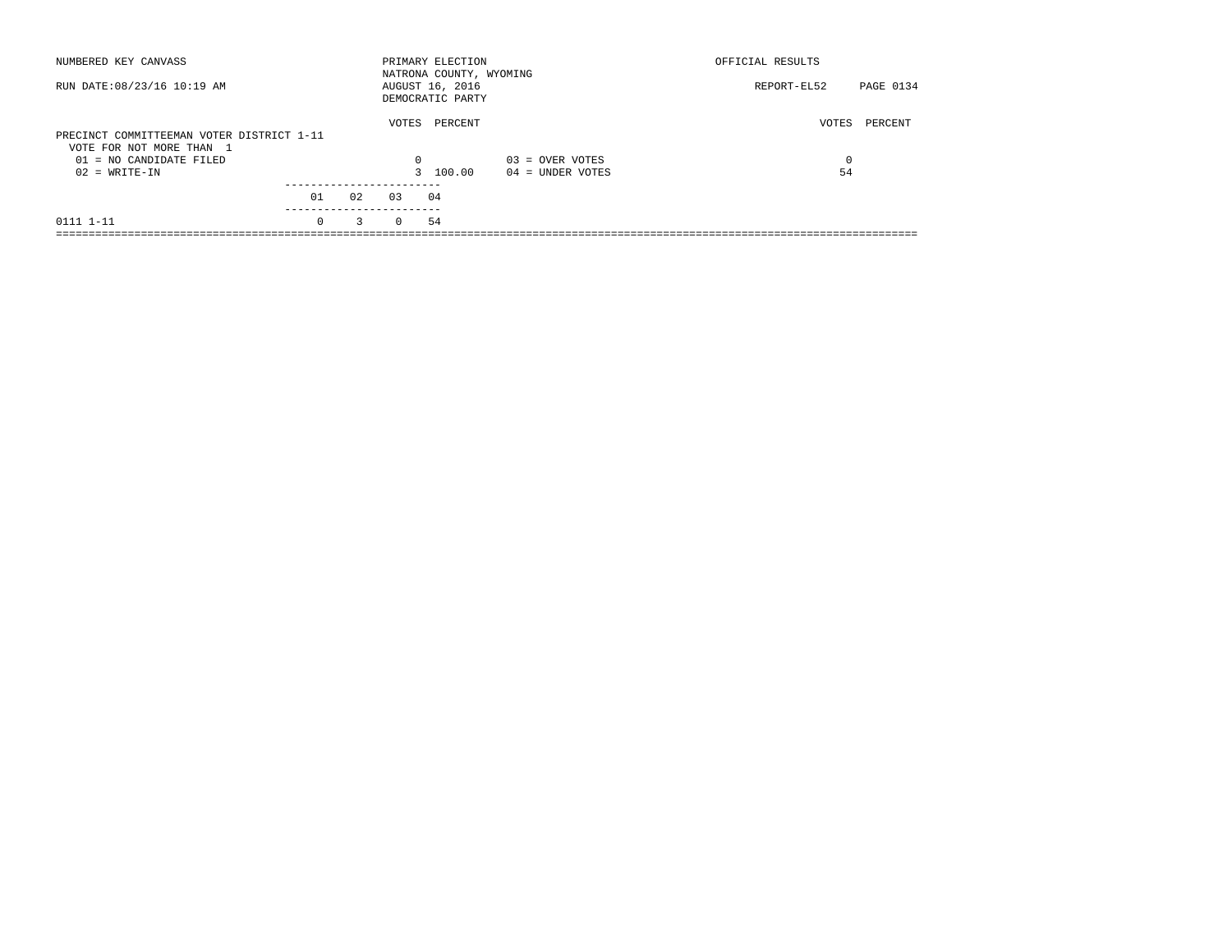| NUMBERED KEY CANVASS                                                  |                       |    |          | PRIMARY ELECTION<br>NATRONA COUNTY, WYOMING |                    | OFFICIAL RESULTS         |
|-----------------------------------------------------------------------|-----------------------|----|----------|---------------------------------------------|--------------------|--------------------------|
| RUN DATE: 08/23/16 10:19 AM                                           |                       |    |          | AUGUST 16, 2016<br>DEMOCRATIC PARTY         |                    | PAGE 0134<br>REPORT-EL52 |
| PRECINCT COMMITTEEMAN VOTER DISTRICT 1-11<br>VOTE FOR NOT MORE THAN 1 |                       |    | VOTES    | PERCENT                                     |                    | VOTES<br>PERCENT         |
| $01 = NO$ CANDIDATE FILED                                             |                       |    | $\Omega$ |                                             | $03 =$ OVER VOTES  | $\Omega$                 |
| $02 = WRITE-IN$                                                       |                       |    |          | 3 100.00                                    | $04 =$ UNDER VOTES | 54                       |
|                                                                       |                       |    |          |                                             |                    |                          |
|                                                                       | 01                    | 02 | 0.3      | 04                                          |                    |                          |
| 0111 1-11                                                             | ---------<br>$\Omega$ | 3  | $\Omega$ | 54                                          |                    |                          |
|                                                                       |                       |    |          |                                             |                    |                          |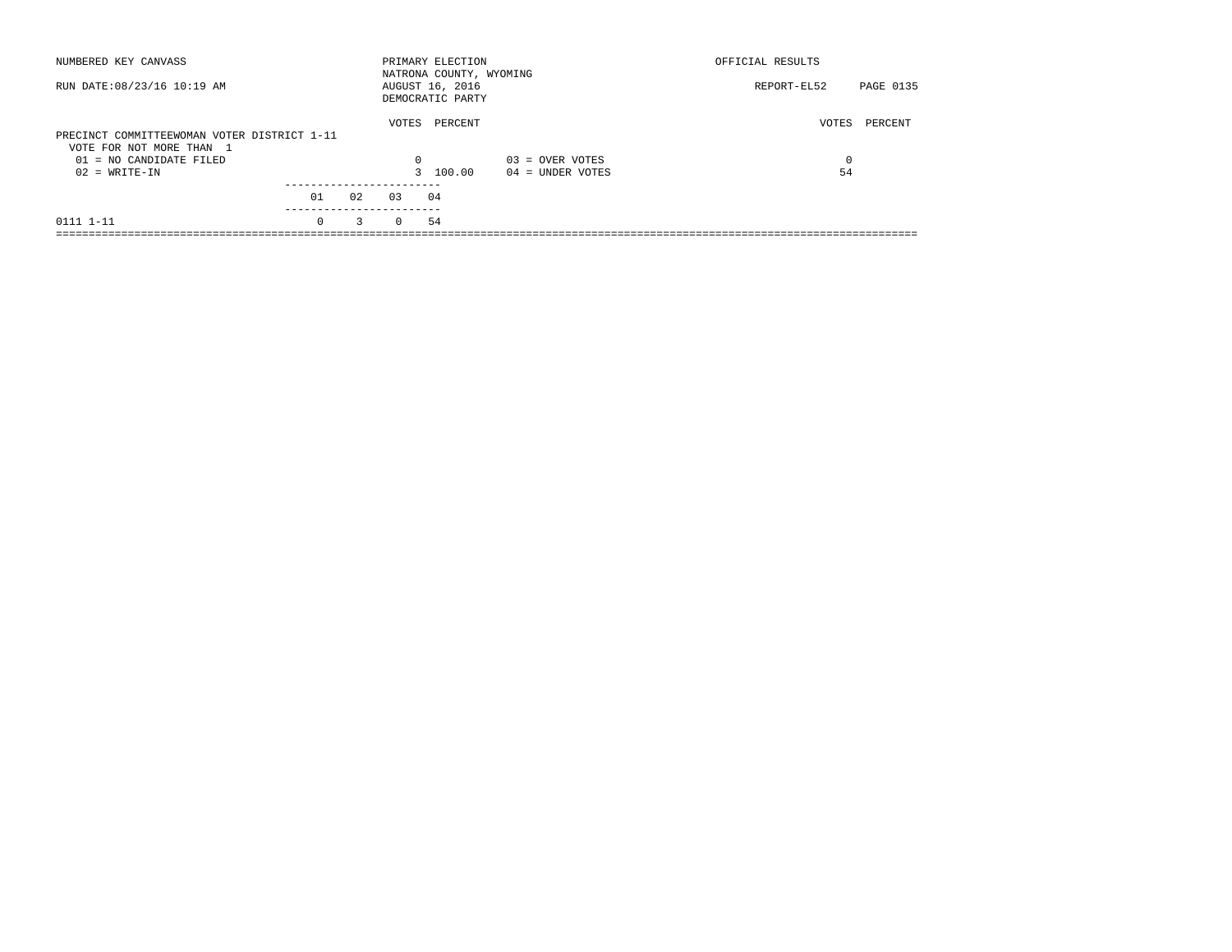| NUMBERED KEY CANVASS                                                    |                       |    |          | PRIMARY ELECTION<br>NATRONA COUNTY, WYOMING |                    | OFFICIAL RESULTS |           |
|-------------------------------------------------------------------------|-----------------------|----|----------|---------------------------------------------|--------------------|------------------|-----------|
| RUN DATE: 08/23/16 10:19 AM                                             |                       |    |          | AUGUST 16, 2016<br>DEMOCRATIC PARTY         |                    | REPORT-EL52      | PAGE 0135 |
| PRECINCT COMMITTEEWOMAN VOTER DISTRICT 1-11<br>VOTE FOR NOT MORE THAN 1 |                       |    | VOTES    | PERCENT                                     |                    | VOTES            | PERCENT   |
| $01 = NO$ CANDIDATE FILED                                               |                       |    | $\Omega$ |                                             | $03 =$ OVER VOTES  | $\Omega$         |           |
| $02 = WRITE-IN$                                                         |                       |    |          | 3 100.00                                    | $04 =$ UNDER VOTES | 54               |           |
|                                                                         |                       |    |          |                                             |                    |                  |           |
|                                                                         | 01                    | 02 | 0.3      | 04                                          |                    |                  |           |
| 0111 1-11                                                               | ---------<br>$\Omega$ | 3  | $\Omega$ | 54                                          |                    |                  |           |
|                                                                         |                       |    |          |                                             |                    |                  |           |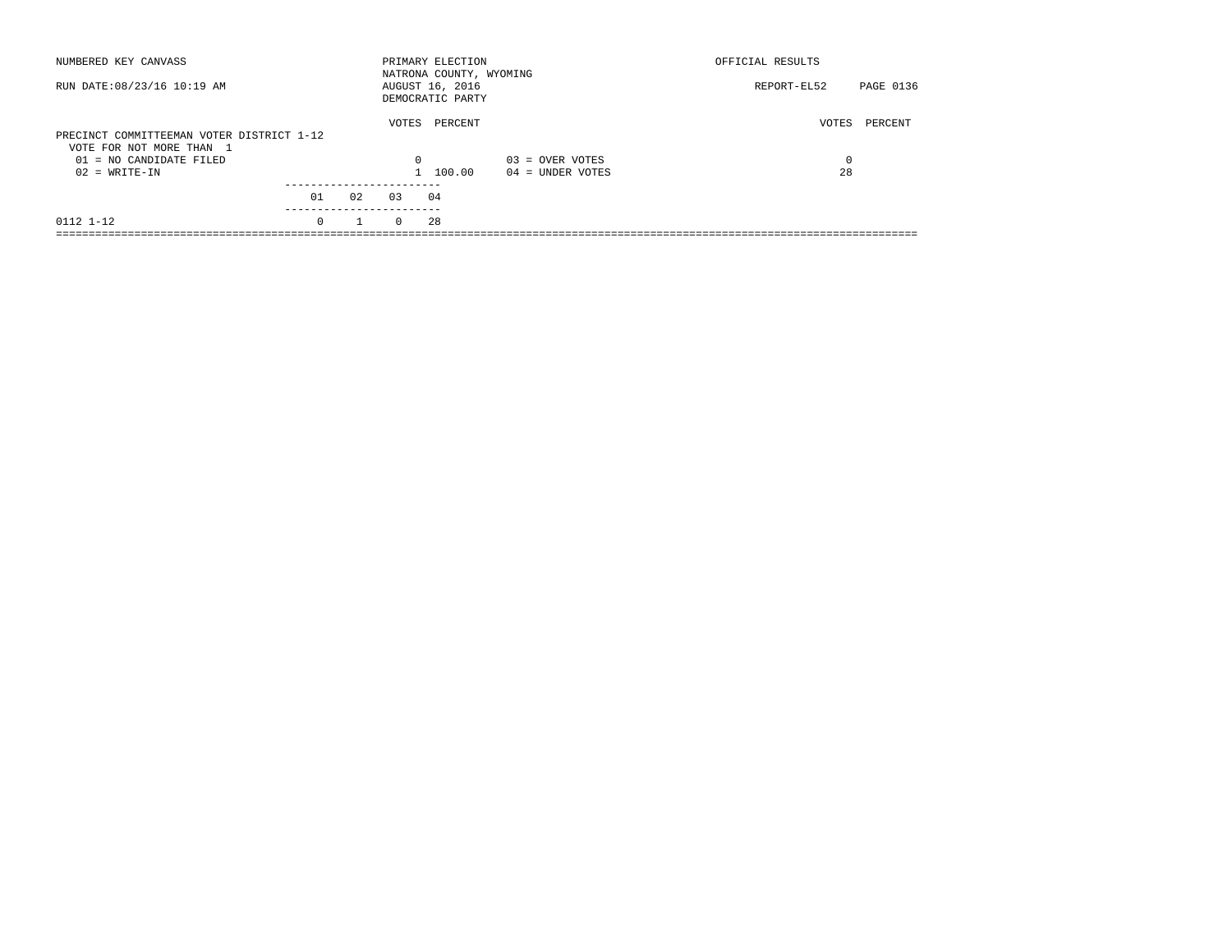| NUMBERED KEY CANVASS                                                  |          |    |          | PRIMARY ELECTION<br>NATRONA COUNTY, WYOMING |                    | OFFICIAL RESULTS |           |
|-----------------------------------------------------------------------|----------|----|----------|---------------------------------------------|--------------------|------------------|-----------|
| RUN DATE: 08/23/16 10:19 AM                                           |          |    |          | AUGUST 16, 2016<br>DEMOCRATIC PARTY         |                    | REPORT-EL52      | PAGE 0136 |
| PRECINCT COMMITTEEMAN VOTER DISTRICT 1-12<br>VOTE FOR NOT MORE THAN 1 |          |    | VOTES    | PERCENT                                     |                    | VOTES            | PERCENT   |
| $01 = NO$ CANDIDATE FILED                                             |          |    | $\Omega$ |                                             | $03 =$ OVER VOTES  | $\Omega$         |           |
| $02 = WRITE-IN$                                                       |          |    |          | 1 100.00                                    | $04 =$ UNDER VOTES | 28               |           |
|                                                                       | 01       | 02 | 0.3      | 04                                          |                    |                  |           |
| 0112 1-12                                                             | $\Omega$ |    | $\Omega$ | 28                                          |                    |                  |           |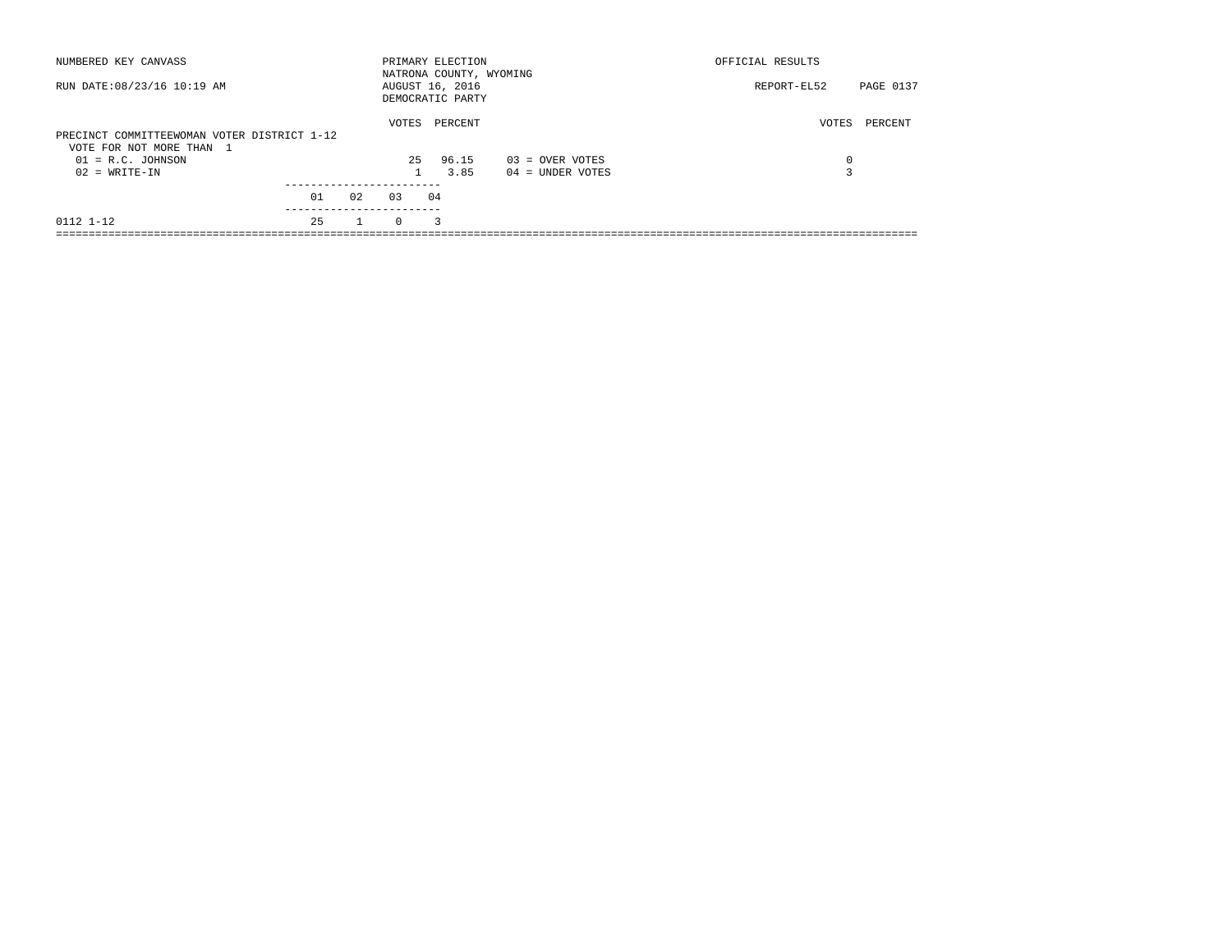| NUMBERED KEY CANVASS                                                    |    |    |          | PRIMARY ELECTION<br>NATRONA COUNTY, WYOMING |                    | OFFICIAL RESULTS         |
|-------------------------------------------------------------------------|----|----|----------|---------------------------------------------|--------------------|--------------------------|
| RUN DATE: 08/23/16 10:19 AM                                             |    |    |          | AUGUST 16, 2016<br>DEMOCRATIC PARTY         |                    | REPORT-EL52<br>PAGE 0137 |
| PRECINCT COMMITTEEWOMAN VOTER DISTRICT 1-12<br>VOTE FOR NOT MORE THAN 1 |    |    | VOTES    | PERCENT                                     |                    | PERCENT<br>VOTES         |
| $01 = R.C.$ JOHNSON                                                     |    |    | 25       | 96.15                                       | $03 =$ OVER VOTES  | 0                        |
| $02 = WRITE-IN$                                                         |    |    |          | 3.85                                        | $04 =$ UNDER VOTES | $\mathbf{r}$             |
|                                                                         |    |    |          |                                             |                    |                          |
|                                                                         | 01 | 02 | 0.3      | 04                                          |                    |                          |
| 0112 1-12                                                               | 25 |    | $\Omega$ | 3                                           |                    |                          |
|                                                                         |    |    |          |                                             |                    |                          |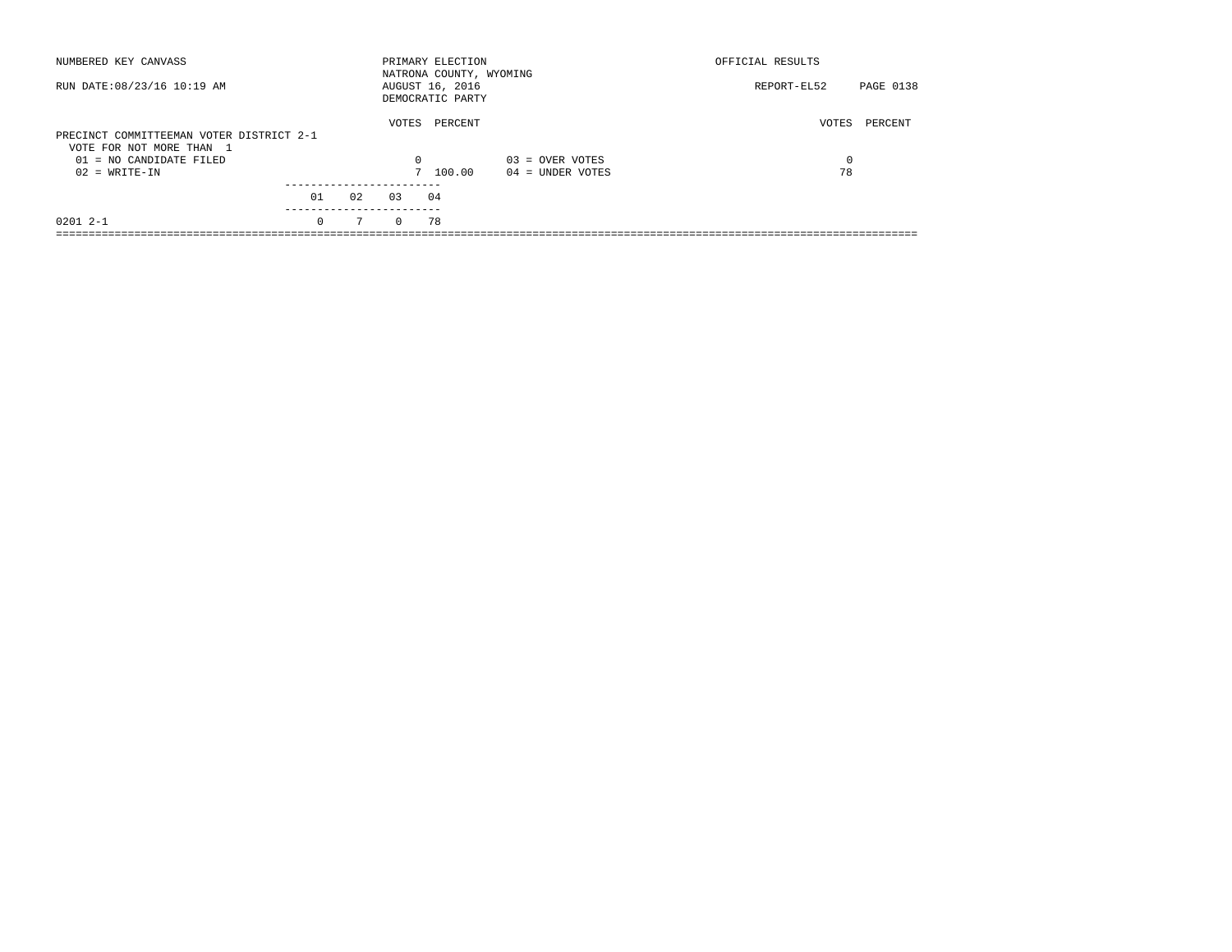| NUMBERED KEY CANVASS                                                 |          |    |          | PRIMARY ELECTION<br>NATRONA COUNTY, WYOMING |                    | OFFICIAL RESULTS         |  |
|----------------------------------------------------------------------|----------|----|----------|---------------------------------------------|--------------------|--------------------------|--|
| RUN DATE: 08/23/16 10:19 AM                                          |          |    |          | AUGUST 16, 2016<br>DEMOCRATIC PARTY         |                    | PAGE 0138<br>REPORT-EL52 |  |
| PRECINCT COMMITTEEMAN VOTER DISTRICT 2-1<br>VOTE FOR NOT MORE THAN 1 |          |    | VOTES    | PERCENT                                     |                    | VOTES<br>PERCENT         |  |
| 01 = NO CANDIDATE FILED                                              |          |    | 0        |                                             | $03 =$ OVER VOTES  | 0                        |  |
| $02 = WRITE-IN$                                                      |          |    |          | 7 100.00                                    | $04 =$ UNDER VOTES | 78                       |  |
|                                                                      |          |    |          |                                             |                    |                          |  |
|                                                                      | 01       | 02 | 0.3      | 04                                          |                    |                          |  |
| $02012 - -1$                                                         | $\Omega$ | 7  | $\Omega$ | 78                                          |                    |                          |  |
|                                                                      |          |    |          |                                             |                    |                          |  |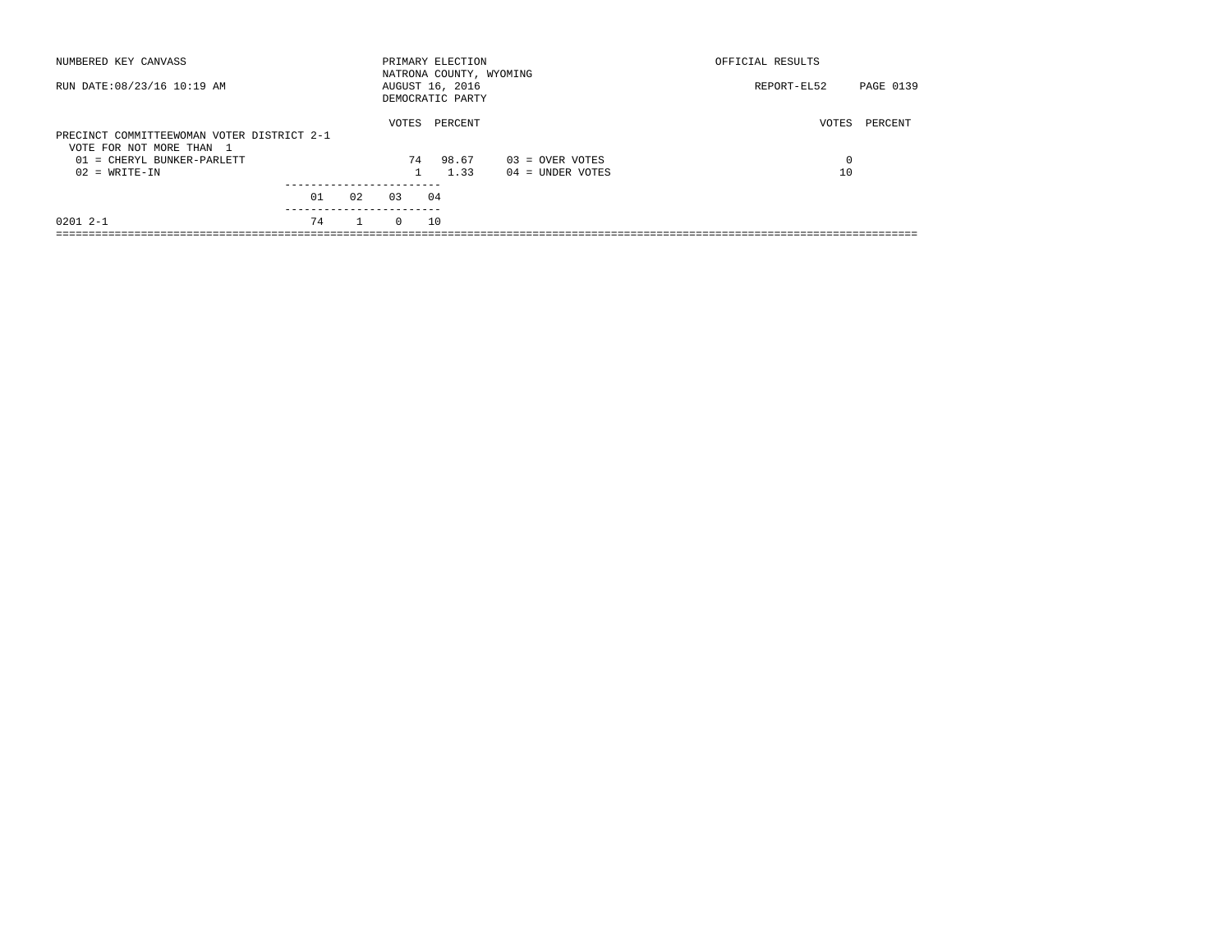| NUMBERED KEY CANVASS                                                                                                    |    |              |             | PRIMARY ELECTION                                               |                                         | OFFICIAL RESULTS          |           |
|-------------------------------------------------------------------------------------------------------------------------|----|--------------|-------------|----------------------------------------------------------------|-----------------------------------------|---------------------------|-----------|
| RUN DATE: 08/23/16 10:19 AM                                                                                             |    |              |             | NATRONA COUNTY, WYOMING<br>AUGUST 16, 2016<br>DEMOCRATIC PARTY |                                         | REPORT-EL52               | PAGE 0139 |
| PRECINCT COMMITTEEWOMAN VOTER DISTRICT 2-1<br>VOTE FOR NOT MORE THAN 1<br>01 = CHERYL BUNKER-PARLETT<br>$02 = WRITE-IN$ |    |              | VOTES<br>74 | PERCENT<br>98.67<br>1.33                                       | $03 =$ OVER VOTES<br>$04 =$ UNDER VOTES | VOTES<br>$^{\circ}$<br>10 | PERCENT   |
|                                                                                                                         | 01 | 02           | 0.3         | 04                                                             |                                         |                           |           |
| $02012 - -1$                                                                                                            | 74 | $\mathbf{1}$ | $\Omega$    | 10                                                             |                                         |                           |           |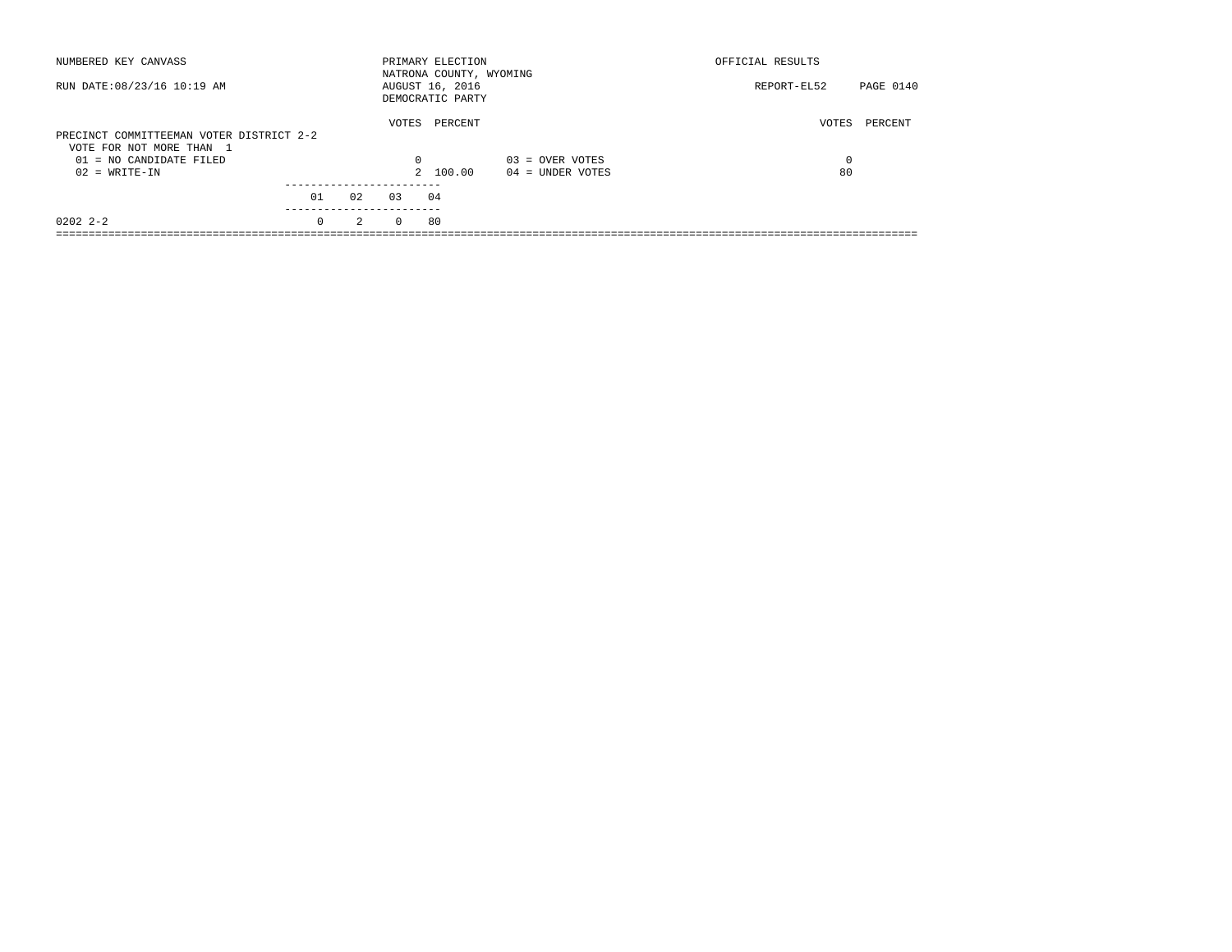| NUMBERED KEY CANVASS                                                 |                       |    |          | PRIMARY ELECTION<br>NATRONA COUNTY, WYOMING |                    | OFFICIAL RESULTS |           |
|----------------------------------------------------------------------|-----------------------|----|----------|---------------------------------------------|--------------------|------------------|-----------|
| RUN DATE: 08/23/16 10:19 AM                                          |                       |    |          | AUGUST 16, 2016<br>DEMOCRATIC PARTY         |                    | REPORT-EL52      | PAGE 0140 |
| PRECINCT COMMITTEEMAN VOTER DISTRICT 2-2<br>VOTE FOR NOT MORE THAN 1 |                       |    | VOTES    | PERCENT                                     |                    | VOTES            | PERCENT   |
| $01 = NO$ CANDIDATE FILED                                            |                       |    | $\Omega$ |                                             | $03 =$ OVER VOTES  | $\Omega$         |           |
| $02 = WRITE-IN$                                                      |                       |    |          | 2 100.00                                    | $04 =$ UNDER VOTES | 80               |           |
|                                                                      |                       |    |          |                                             |                    |                  |           |
|                                                                      | 01                    | 02 | 0.3      | 04                                          |                    |                  |           |
| $02022 - 2 - 2$                                                      | ---------<br>$\Omega$ | 2  | $\Omega$ | 80                                          |                    |                  |           |
|                                                                      |                       |    |          |                                             |                    |                  |           |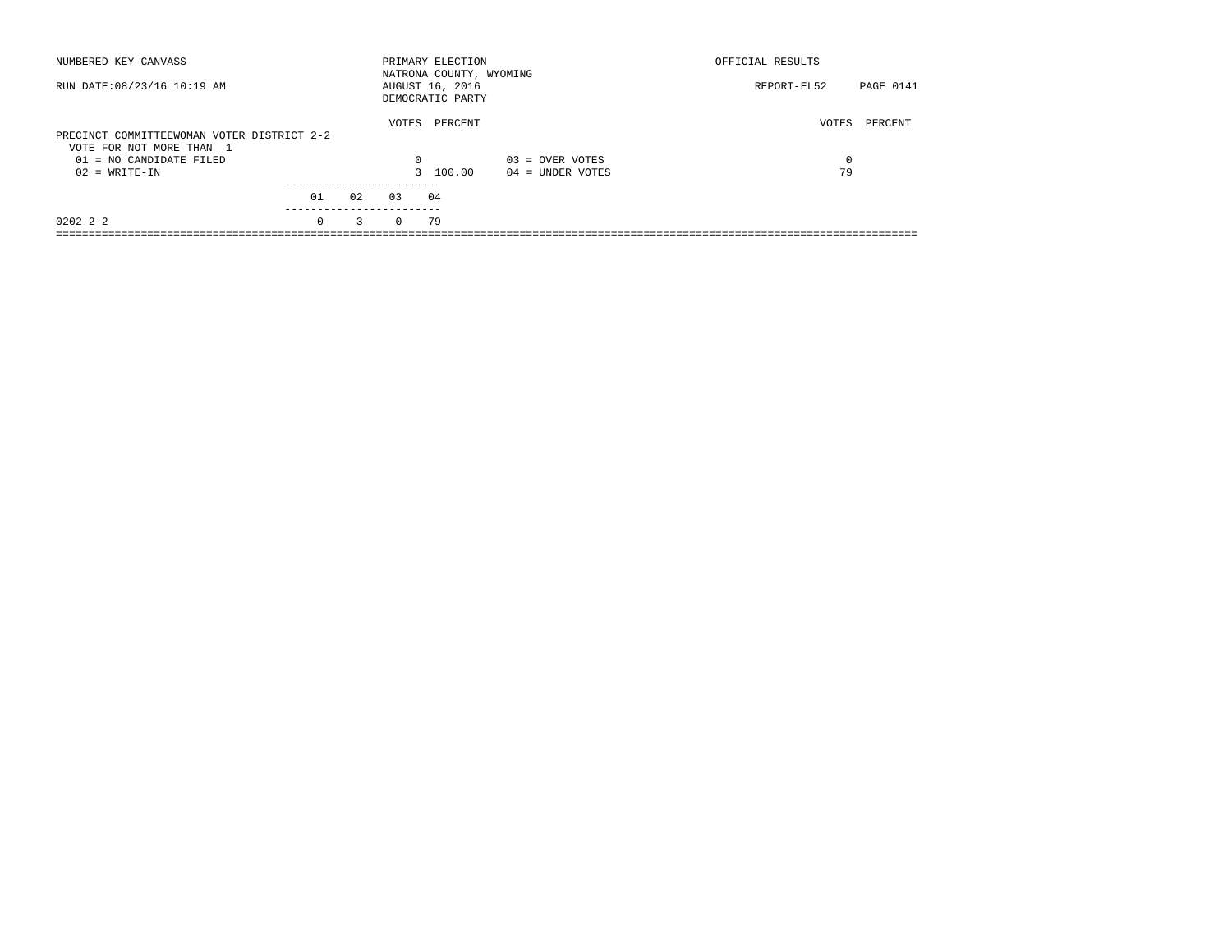| NUMBERED KEY CANVASS                                                   |           |    |          | PRIMARY ELECTION<br>NATRONA COUNTY, WYOMING |                    | OFFICIAL RESULTS |           |
|------------------------------------------------------------------------|-----------|----|----------|---------------------------------------------|--------------------|------------------|-----------|
| RUN DATE: 08/23/16 10:19 AM                                            |           |    |          | AUGUST 16, 2016<br>DEMOCRATIC PARTY         |                    | REPORT-EL52      | PAGE 0141 |
| PRECINCT COMMITTEEWOMAN VOTER DISTRICT 2-2<br>VOTE FOR NOT MORE THAN 1 |           |    | VOTES    | PERCENT                                     |                    | VOTES            | PERCENT   |
| $01 = NO$ CANDIDATE FILED                                              |           |    | $\Omega$ |                                             | $03 =$ OVER VOTES  | $\Omega$         |           |
| $02 = WRITE-IN$                                                        |           |    |          | 3 100.00                                    | $04 =$ UNDER VOTES | 79               |           |
|                                                                        | 01        | 02 | 0.3      | 04                                          |                    |                  |           |
|                                                                        | --------- |    |          |                                             |                    |                  |           |
| $02022 - 2 - 2$                                                        | $\Omega$  | 3  | $\Omega$ | 79                                          |                    |                  |           |
|                                                                        |           |    |          |                                             |                    |                  |           |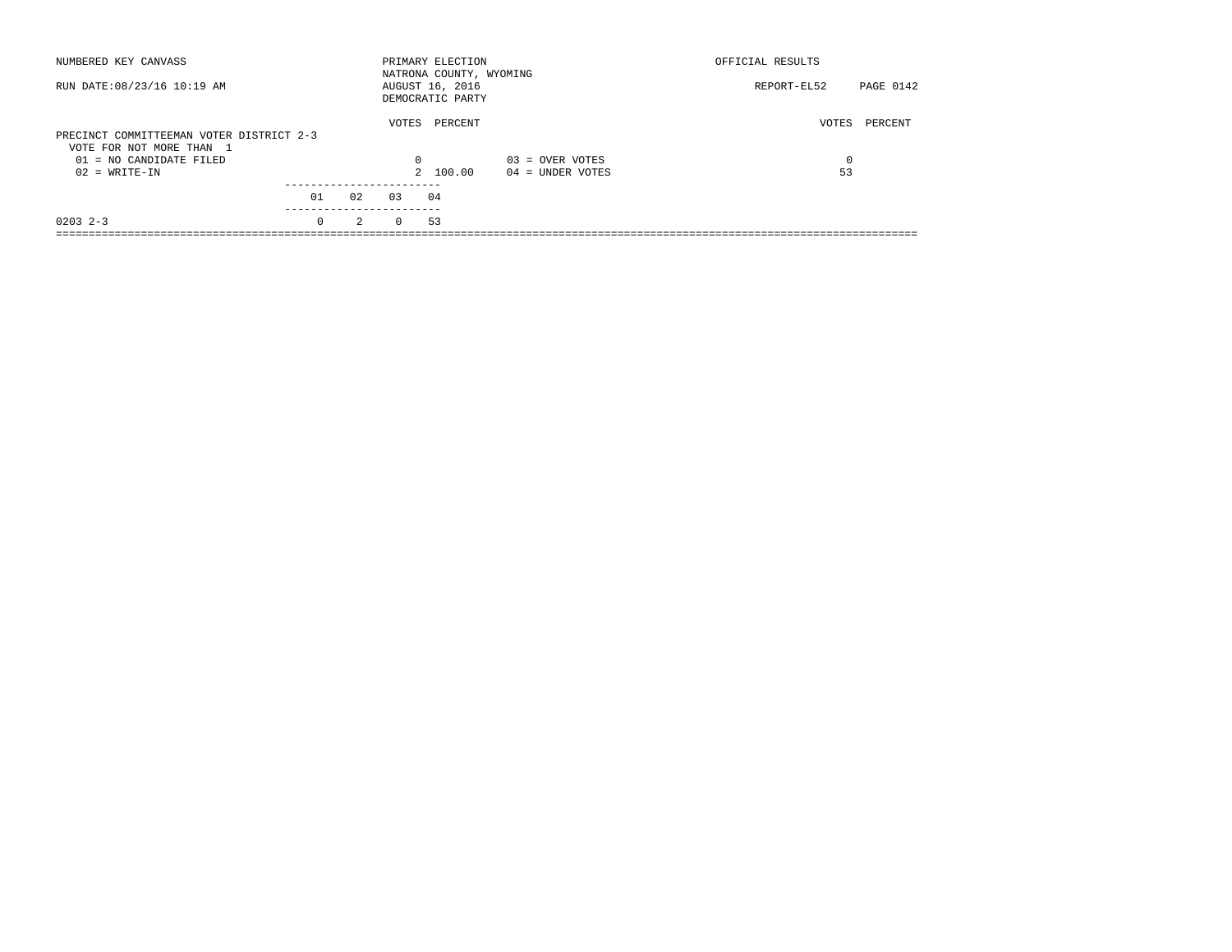| NUMBERED KEY CANVASS                                                 |          |               |          | PRIMARY ELECTION<br>NATRONA COUNTY, WYOMING |                    | OFFICIAL RESULTS |           |
|----------------------------------------------------------------------|----------|---------------|----------|---------------------------------------------|--------------------|------------------|-----------|
| RUN DATE: 08/23/16 10:19 AM                                          |          |               |          | AUGUST 16, 2016<br>DEMOCRATIC PARTY         |                    | REPORT-EL52      | PAGE 0142 |
| PRECINCT COMMITTEEMAN VOTER DISTRICT 2-3<br>VOTE FOR NOT MORE THAN 1 |          |               | VOTES    | PERCENT                                     |                    | VOTES            | PERCENT   |
| 01 = NO CANDIDATE FILED                                              |          |               | 0        |                                             | $03 =$ OVER VOTES  | 0                |           |
| $02 = WRITE-IN$                                                      |          |               |          | 2 100.00                                    | $04 =$ UNDER VOTES | 53               |           |
|                                                                      | 01       | 02            | 0.3      | 04                                          |                    |                  |           |
| $0203$ 2-3                                                           | $\Omega$ | $\mathcal{L}$ | $\Omega$ | 53                                          |                    |                  |           |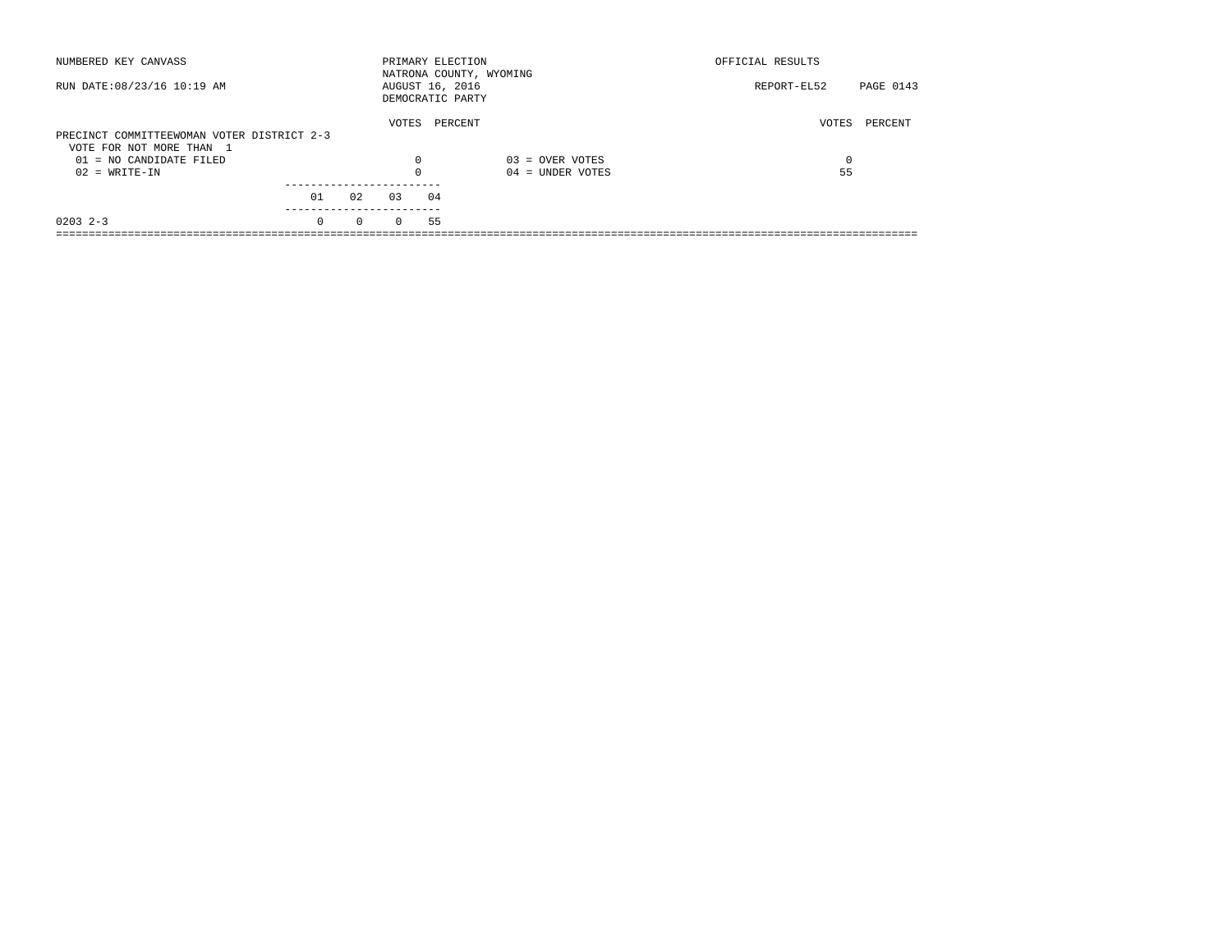| NUMBERED KEY CANVASS                                                   |          |          | PRIMARY ELECTION                    |         | NATRONA COUNTY, WYOMING | OFFICIAL RESULTS |                  |
|------------------------------------------------------------------------|----------|----------|-------------------------------------|---------|-------------------------|------------------|------------------|
| RUN DATE: 08/23/16 10:19 AM                                            |          |          | AUGUST 16, 2016<br>DEMOCRATIC PARTY |         |                         | REPORT-EL52      | <b>PAGE 0143</b> |
| PRECINCT COMMITTEEWOMAN VOTER DISTRICT 2-3<br>VOTE FOR NOT MORE THAN 1 |          |          | VOTES                               | PERCENT |                         | VOTES            | PERCENT          |
| $01 = NO$ CANDIDATE FILED                                              |          |          | $\Omega$                            |         | $03 =$ OVER VOTES       | 0                |                  |
| $02 = WRITE-IN$                                                        |          |          | $\Omega$                            |         | $04 =$ UNDER VOTES      | 55               |                  |
|                                                                        |          |          |                                     |         |                         |                  |                  |
|                                                                        | 01       | 02       | 0.3                                 | 04      |                         |                  |                  |
| $0203$ 2-3                                                             | $\Omega$ | $\Omega$ | $\Omega$                            | 55      |                         |                  |                  |
|                                                                        |          |          |                                     |         |                         |                  |                  |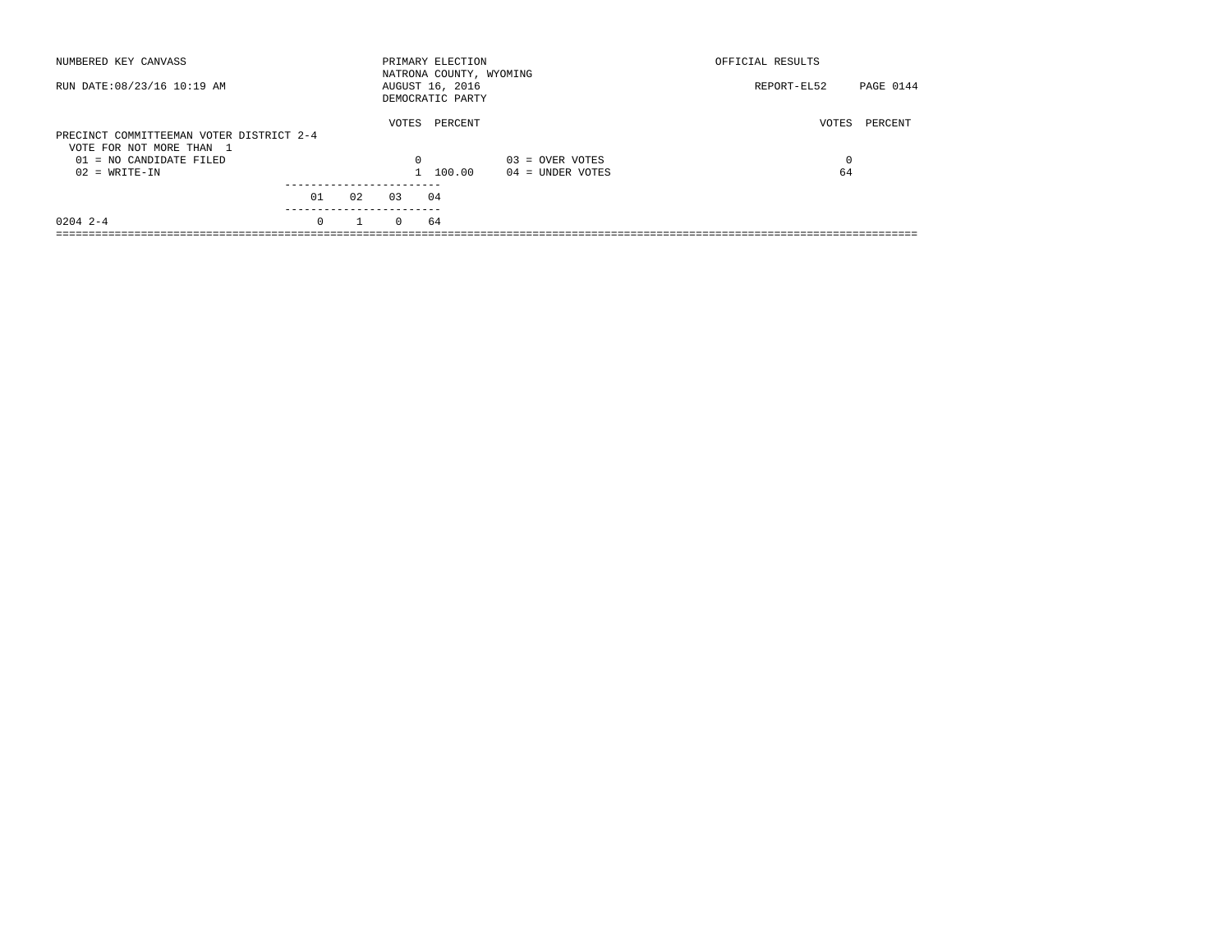| NUMBERED KEY CANVASS                                                 |          |    |          | PRIMARY ELECTION<br>NATRONA COUNTY, WYOMING |                    | OFFICIAL RESULTS |           |
|----------------------------------------------------------------------|----------|----|----------|---------------------------------------------|--------------------|------------------|-----------|
| RUN DATE: 08/23/16 10:19 AM                                          |          |    |          | AUGUST 16, 2016<br>DEMOCRATIC PARTY         |                    | REPORT-EL52      | PAGE 0144 |
| PRECINCT COMMITTEEMAN VOTER DISTRICT 2-4<br>VOTE FOR NOT MORE THAN 1 |          |    | VOTES    | PERCENT                                     |                    | VOTES            | PERCENT   |
| $01 = NO$ CANDIDATE FILED                                            |          |    | $\Omega$ |                                             | $03 =$ OVER VOTES  | 0                |           |
| $02 = WRITE-IN$                                                      |          |    |          | 100.00                                      | $04 =$ UNDER VOTES | 64               |           |
|                                                                      |          |    |          |                                             |                    |                  |           |
|                                                                      | 01       | 02 | 03       | 04                                          |                    |                  |           |
| $0204$ 2-4                                                           | $\Omega$ |    | $\Omega$ | 64                                          |                    |                  |           |
|                                                                      |          |    |          |                                             |                    |                  |           |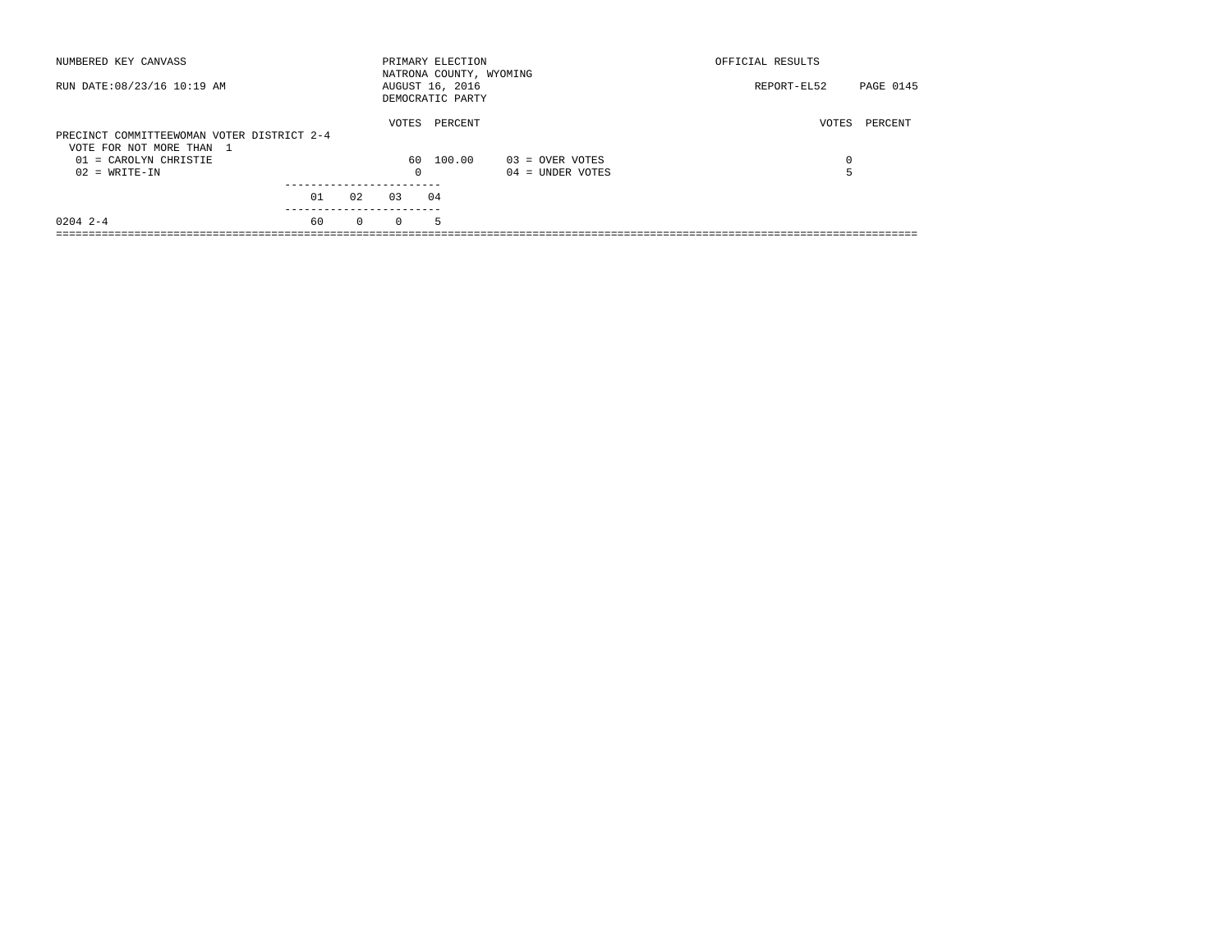| PAGE 0145        |
|------------------|
| VOTES<br>PERCENT |
| 0                |
|                  |
|                  |
|                  |
|                  |
| REPORT-EL52      |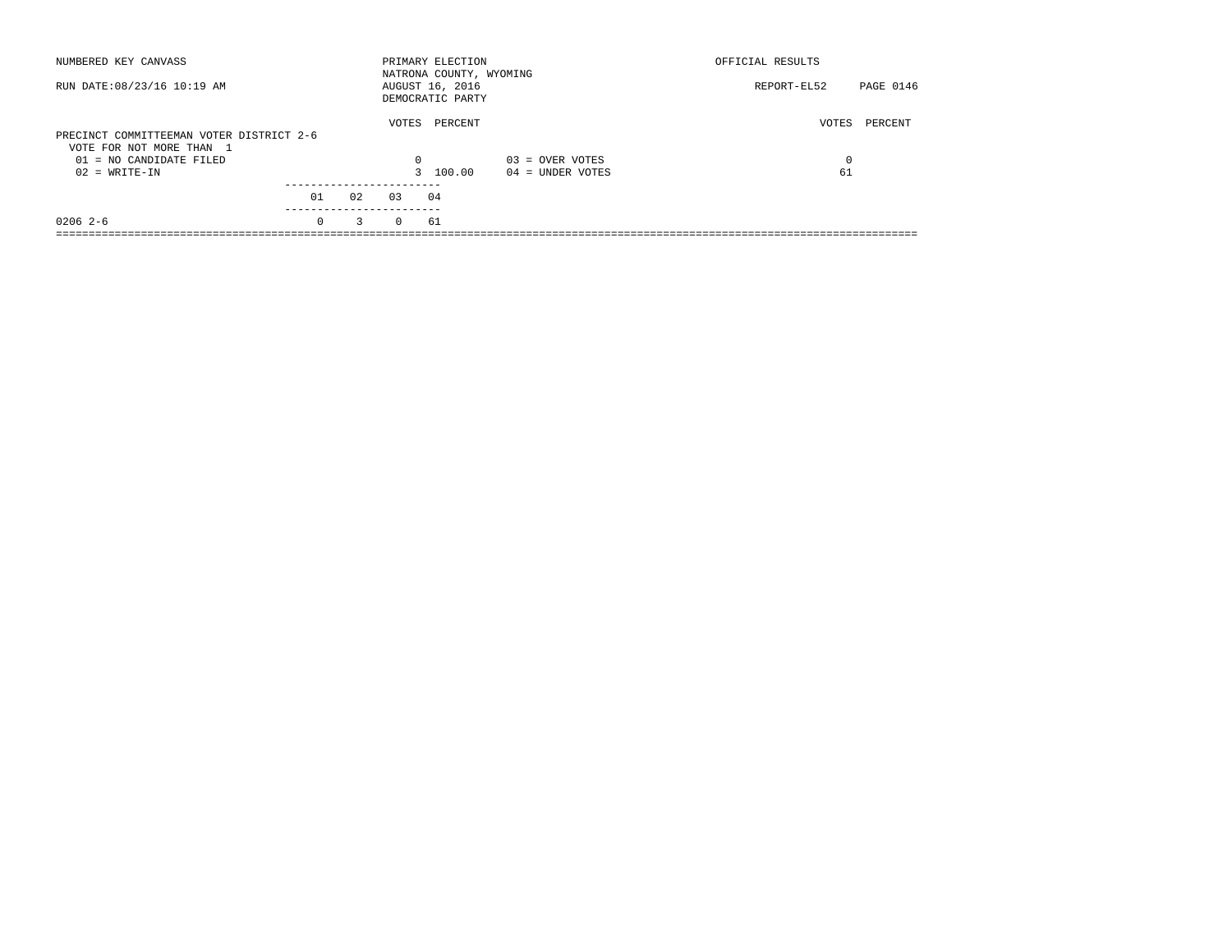| NUMBERED KEY CANVASS                                                 |          |    |          | PRIMARY ELECTION<br>NATRONA COUNTY, WYOMING |                    | OFFICIAL RESULTS |           |
|----------------------------------------------------------------------|----------|----|----------|---------------------------------------------|--------------------|------------------|-----------|
| RUN DATE: 08/23/16 10:19 AM                                          |          |    |          | AUGUST 16, 2016<br>DEMOCRATIC PARTY         |                    | REPORT-EL52      | PAGE 0146 |
| PRECINCT COMMITTEEMAN VOTER DISTRICT 2-6<br>VOTE FOR NOT MORE THAN 1 |          |    | VOTES    | PERCENT                                     |                    | VOTES            | PERCENT   |
| $01 = NO$ CANDIDATE FILED                                            |          |    | 0        |                                             | $03 =$ OVER VOTES  | 0                |           |
| $02 = WRITE-IN$                                                      |          |    |          | 3 100.00                                    | $04 =$ UNDER VOTES | 61               |           |
|                                                                      | 01       | 02 | 0.3      | 04                                          |                    |                  |           |
| $02062-6$                                                            | $\Omega$ | 3  | $\Omega$ | 61                                          |                    |                  |           |
|                                                                      |          |    |          |                                             |                    |                  |           |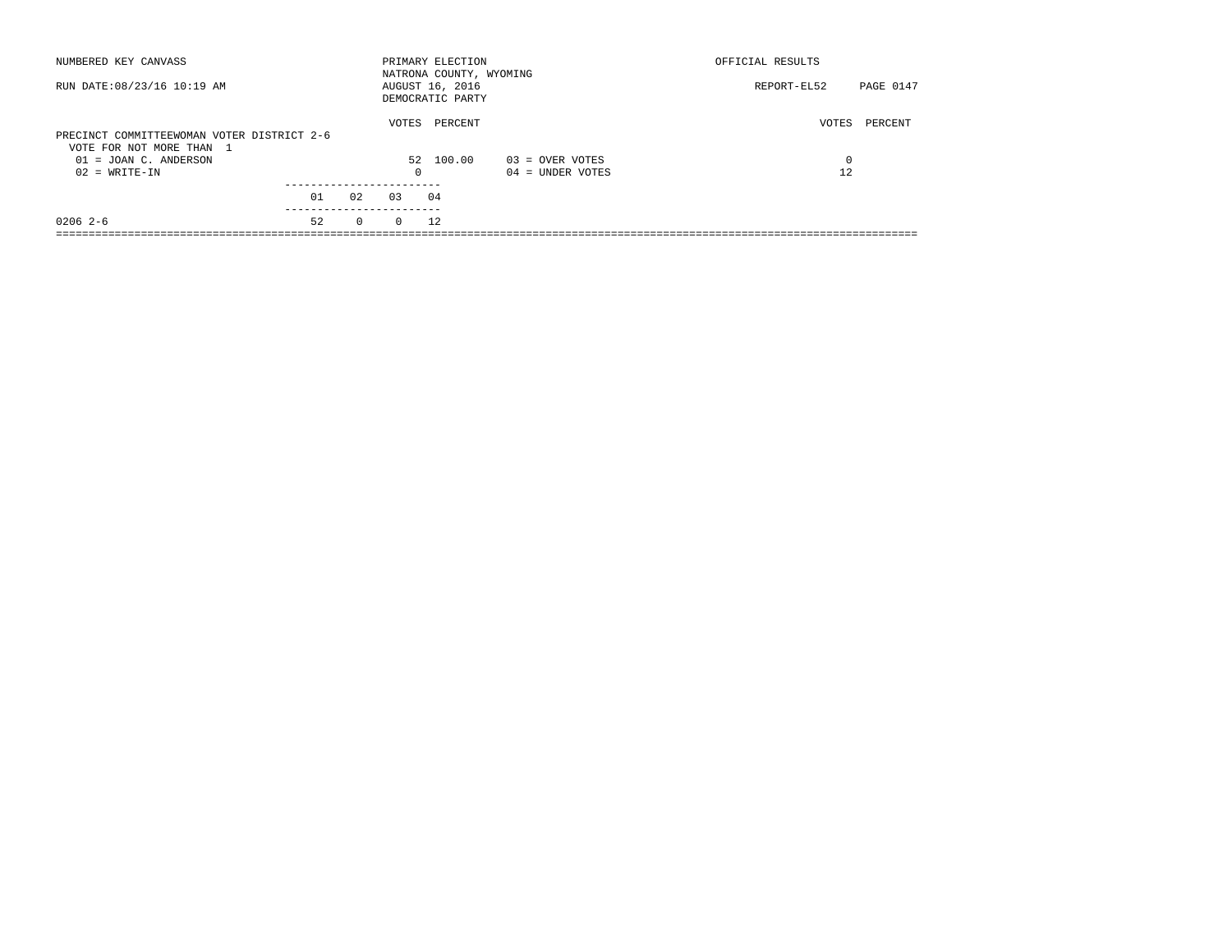| NUMBERED KEY CANVASS                                                   |    |              |          | PRIMARY ELECTION<br>NATRONA COUNTY, WYOMING |                    | OFFICIAL RESULTS |           |
|------------------------------------------------------------------------|----|--------------|----------|---------------------------------------------|--------------------|------------------|-----------|
| RUN DATE: 08/23/16 10:19 AM                                            |    |              |          | AUGUST 16, 2016<br>DEMOCRATIC PARTY         |                    | REPORT-EL52      | PAGE 0147 |
| PRECINCT COMMITTEEWOMAN VOTER DISTRICT 2-6<br>VOTE FOR NOT MORE THAN 1 |    |              | VOTES    | PERCENT                                     |                    | VOTES            | PERCENT   |
| $01 = JOAN C$ . ANDERSON                                               |    |              |          | 52 100.00                                   | $03 =$ OVER VOTES  | 0                |           |
| $02 = WRITE-IN$                                                        |    |              | $\Omega$ |                                             | $04 =$ UNDER VOTES | 12               |           |
|                                                                        | 01 | 0.2          | 0.3      | 04                                          |                    |                  |           |
| $02062-6$                                                              | 52 | $\mathbf{0}$ | $\Omega$ | 12                                          |                    |                  |           |
|                                                                        |    |              |          |                                             |                    |                  |           |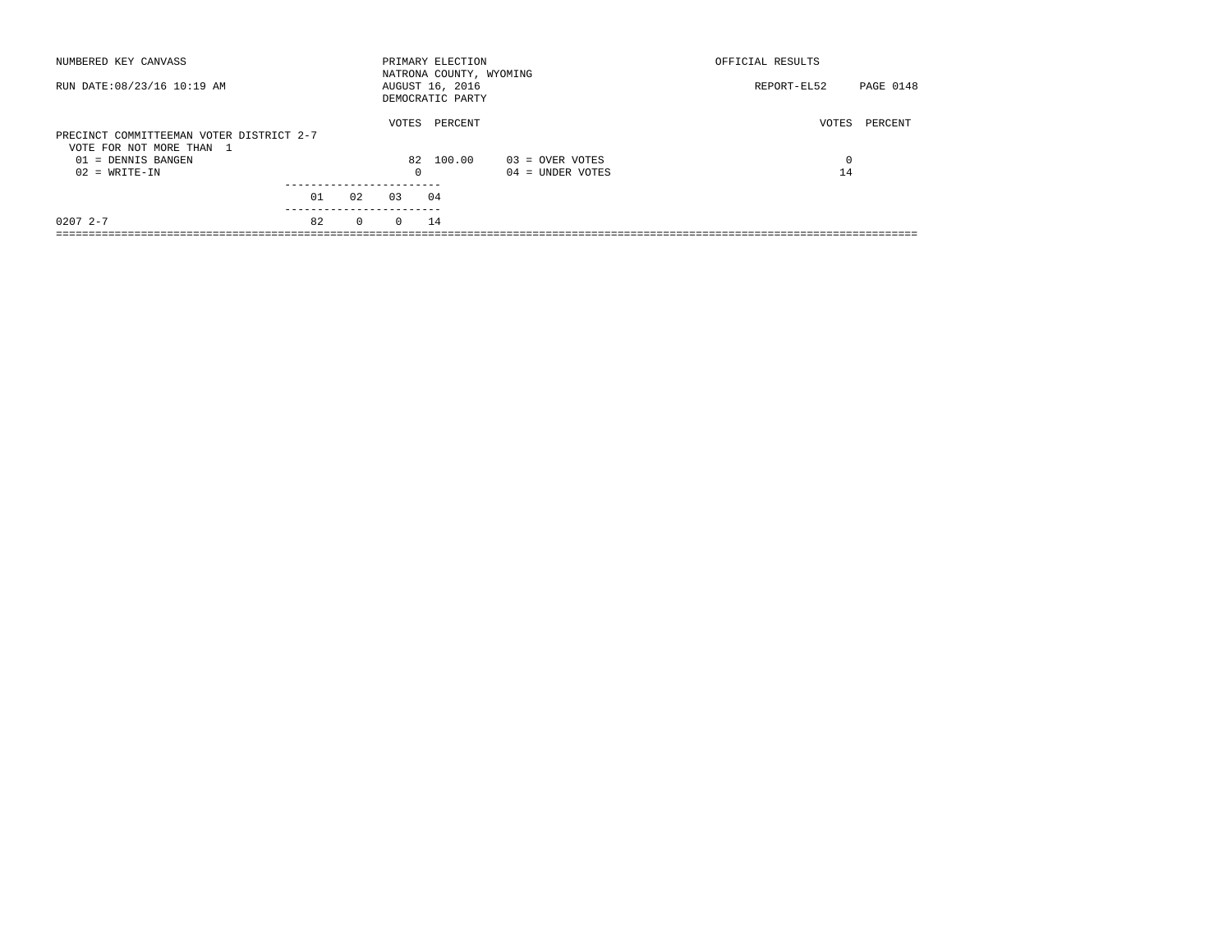| NUMBERED KEY CANVASS                                                 |    |              |            | PRIMARY ELECTION<br>NATRONA COUNTY, WYOMING |                    | OFFICIAL RESULTS |           |
|----------------------------------------------------------------------|----|--------------|------------|---------------------------------------------|--------------------|------------------|-----------|
| RUN DATE: 08/23/16 10:19 AM                                          |    |              |            | AUGUST 16, 2016<br>DEMOCRATIC PARTY         |                    | REPORT-EL52      | PAGE 0148 |
| PRECINCT COMMITTEEMAN VOTER DISTRICT 2-7<br>VOTE FOR NOT MORE THAN 1 |    |              | VOTES      | PERCENT                                     |                    | VOTES            | PERCENT   |
| 01 = DENNIS BANGEN                                                   |    |              |            | 82 100.00                                   | 03 = OVER VOTES    | $\Omega$         |           |
| $02 = WRITE-IN$                                                      |    |              | $^{\circ}$ |                                             | $04 =$ UNDER VOTES | 14               |           |
|                                                                      |    |              |            |                                             |                    |                  |           |
|                                                                      | 01 | 02           | 0.3        | 04                                          |                    |                  |           |
| $02072 - -7$                                                         | 82 | $\mathbf{0}$ | $\Omega$   | 14                                          |                    |                  |           |
|                                                                      |    |              |            |                                             |                    |                  |           |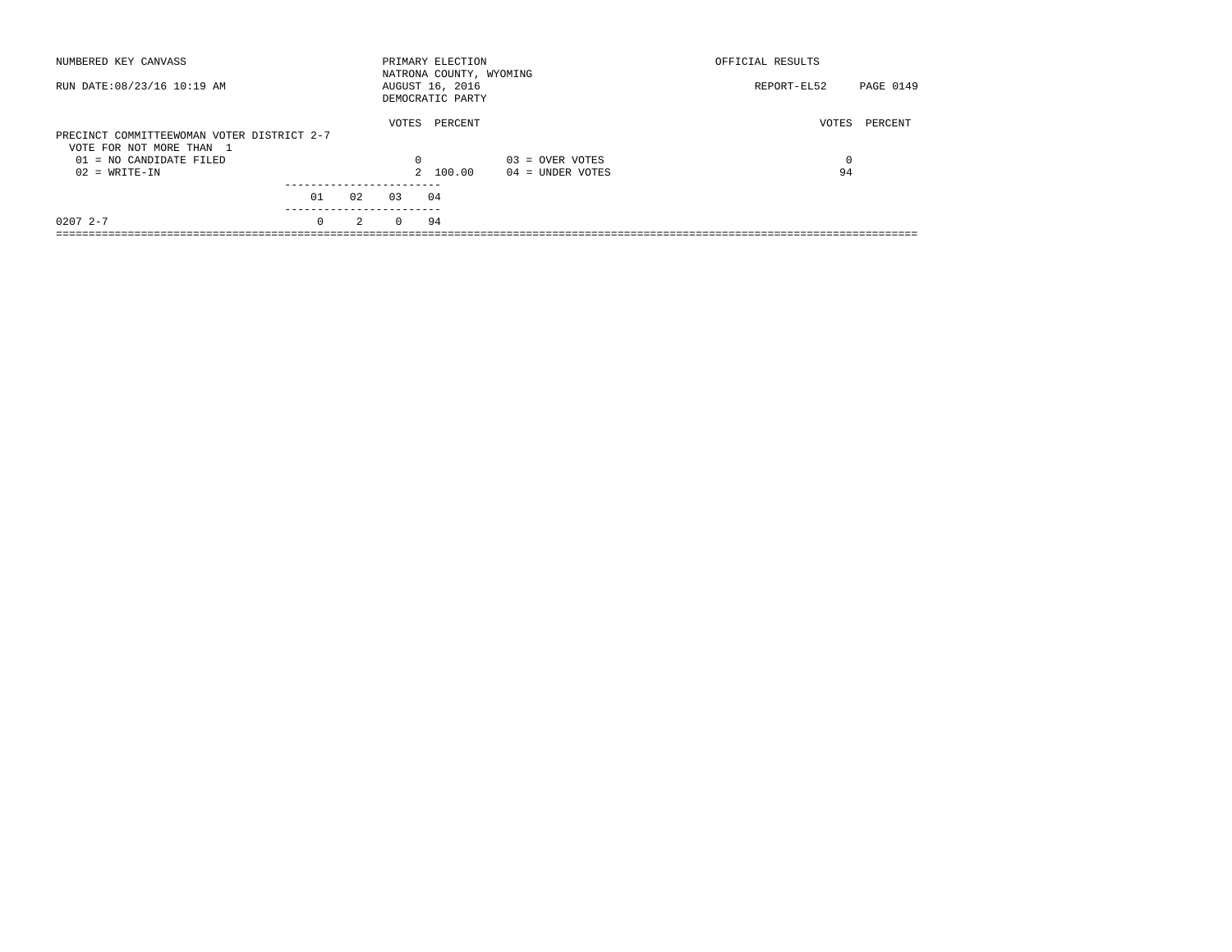| NUMBERED KEY CANVASS                                                   |          |               |          | PRIMARY ELECTION<br>NATRONA COUNTY, WYOMING |                    | OFFICIAL RESULTS |           |
|------------------------------------------------------------------------|----------|---------------|----------|---------------------------------------------|--------------------|------------------|-----------|
| RUN DATE: 08/23/16 10:19 AM                                            |          |               |          | AUGUST 16, 2016<br>DEMOCRATIC PARTY         |                    | REPORT-EL52      | PAGE 0149 |
| PRECINCT COMMITTEEWOMAN VOTER DISTRICT 2-7<br>VOTE FOR NOT MORE THAN 1 |          |               | VOTES    | PERCENT                                     |                    | VOTES            | PERCENT   |
| 01 = NO CANDIDATE FILED                                                |          |               | 0        |                                             | $03 =$ OVER VOTES  | 0                |           |
| $02 = WRITE-IN$                                                        |          |               |          | 2 100.00                                    | $04 =$ UNDER VOTES | 94               |           |
|                                                                        | 01       | 02            | 0.3      | 04                                          |                    |                  |           |
| $02072 - -7$                                                           | $\Omega$ | $\mathcal{L}$ | $\Omega$ | 94                                          |                    |                  |           |
|                                                                        |          |               |          |                                             |                    |                  |           |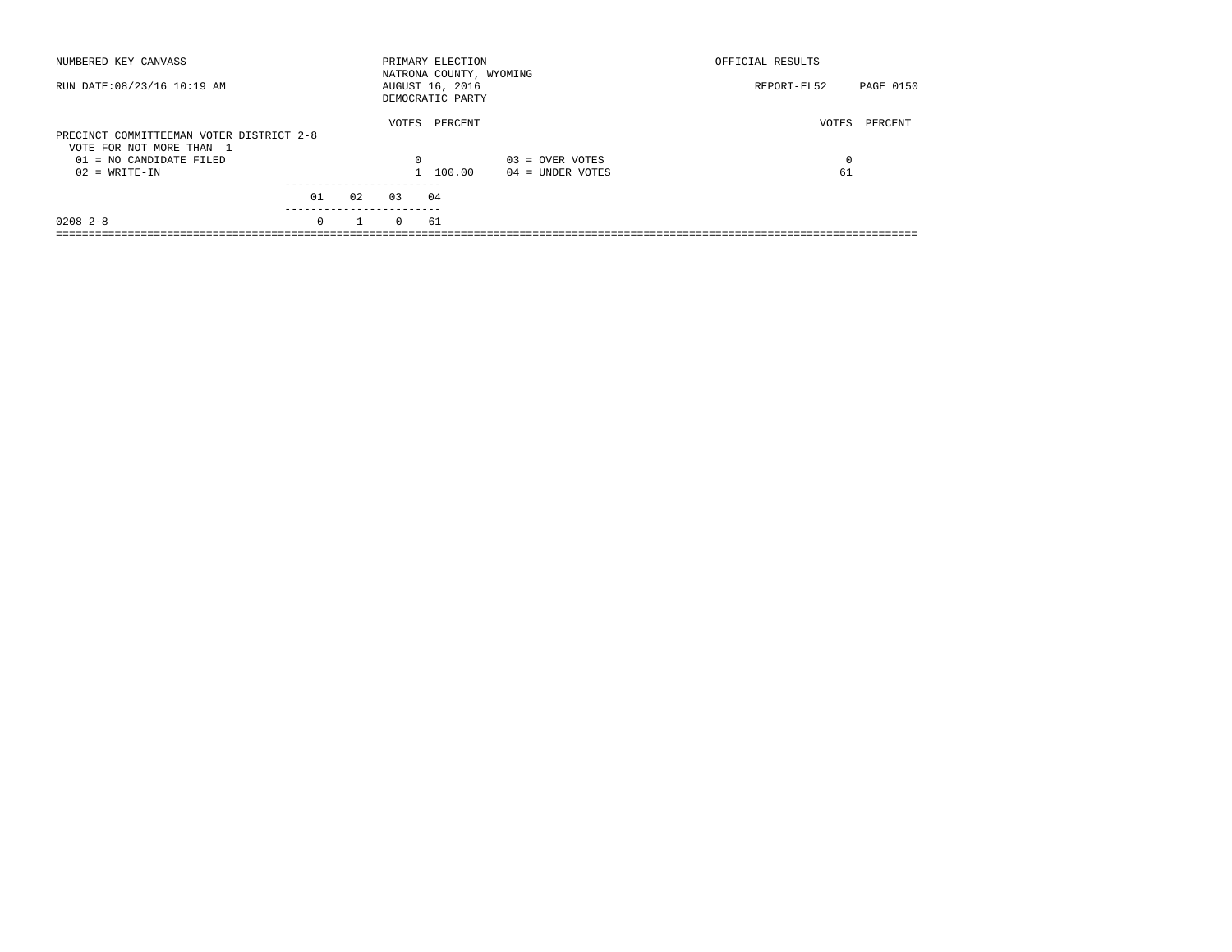| NUMBERED KEY CANVASS                                                 |          |              |          | PRIMARY ELECTION<br>NATRONA COUNTY, WYOMING |                    | OFFICIAL RESULTS |           |
|----------------------------------------------------------------------|----------|--------------|----------|---------------------------------------------|--------------------|------------------|-----------|
| RUN DATE: 08/23/16 10:19 AM                                          |          |              |          | AUGUST 16, 2016<br>DEMOCRATIC PARTY         |                    | REPORT-EL52      | PAGE 0150 |
| PRECINCT COMMITTEEMAN VOTER DISTRICT 2-8<br>VOTE FOR NOT MORE THAN 1 |          |              | VOTES    | PERCENT                                     |                    | VOTES            | PERCENT   |
| 01 = NO CANDIDATE FILED                                              |          |              | $\Omega$ |                                             | $03 =$ OVER VOTES  | 0                |           |
| $02 = WRITE-IN$                                                      |          |              |          | 1 100.00                                    | $04 =$ UNDER VOTES | 61               |           |
|                                                                      | 01       | 02           | 03       | 04                                          |                    |                  |           |
| $0208$ 2-8                                                           | $\Omega$ | $\mathbf{1}$ | $\Omega$ | 61                                          |                    |                  |           |
|                                                                      |          |              |          |                                             |                    |                  |           |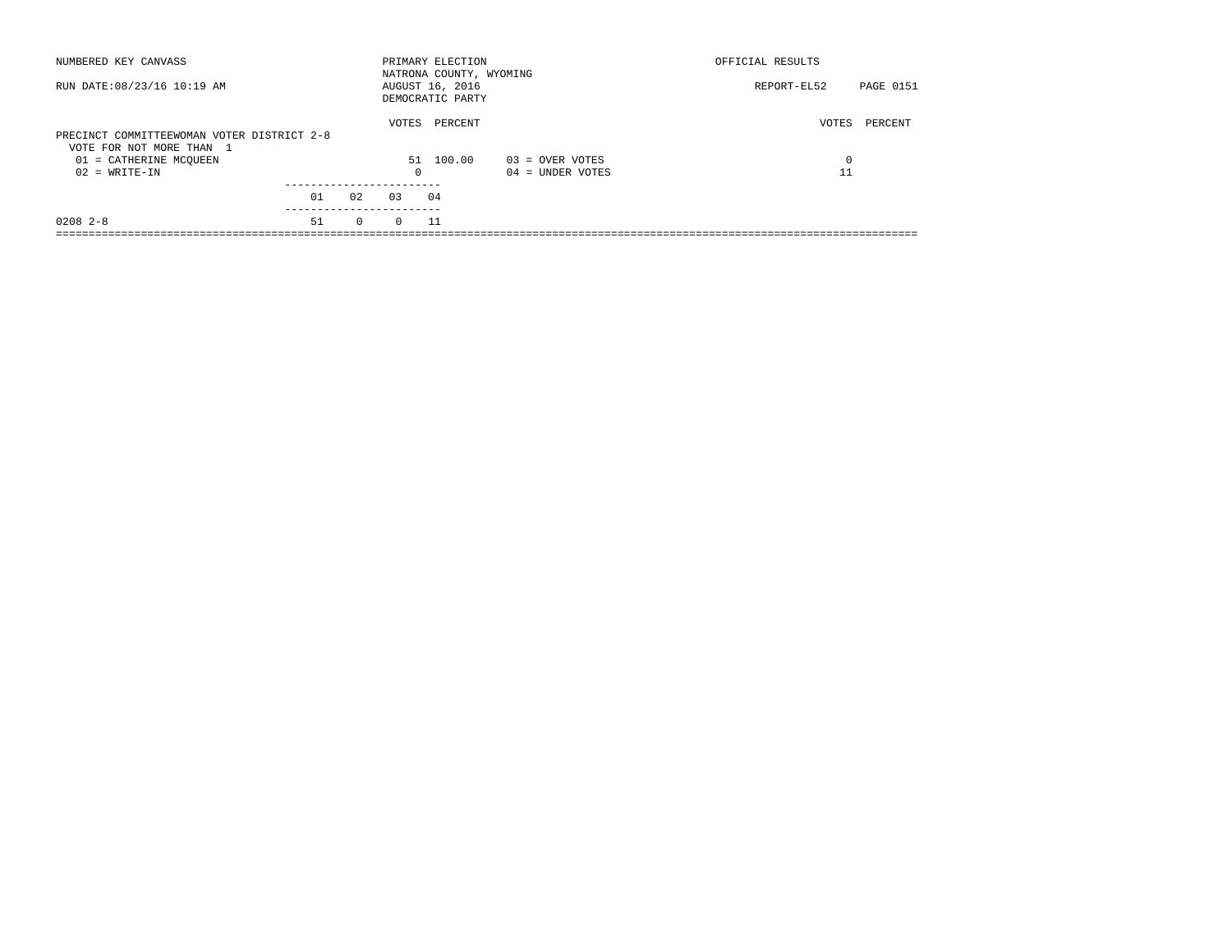|          |                    |                                                                                      | OFFICIAL RESULTS                             |           |
|----------|--------------------|--------------------------------------------------------------------------------------|----------------------------------------------|-----------|
|          |                    |                                                                                      | REPORT-EL52                                  | PAGE 0151 |
|          | PERCENT            |                                                                                      | VOTES                                        | PERCENT   |
|          | 100.00             |                                                                                      | 0                                            |           |
| $\Omega$ |                    | $04 =$ UNDER VOTES                                                                   | 11                                           |           |
| 03       |                    |                                                                                      |                                              |           |
| $\Omega$ |                    |                                                                                      |                                              |           |
|          | 02<br>$\mathbf{0}$ | PRIMARY ELECTION<br>AUGUST 16, 2016<br>DEMOCRATIC PARTY<br>VOTES<br>51<br>04<br>- 11 | NATRONA COUNTY, WYOMING<br>$03 =$ OVER VOTES |           |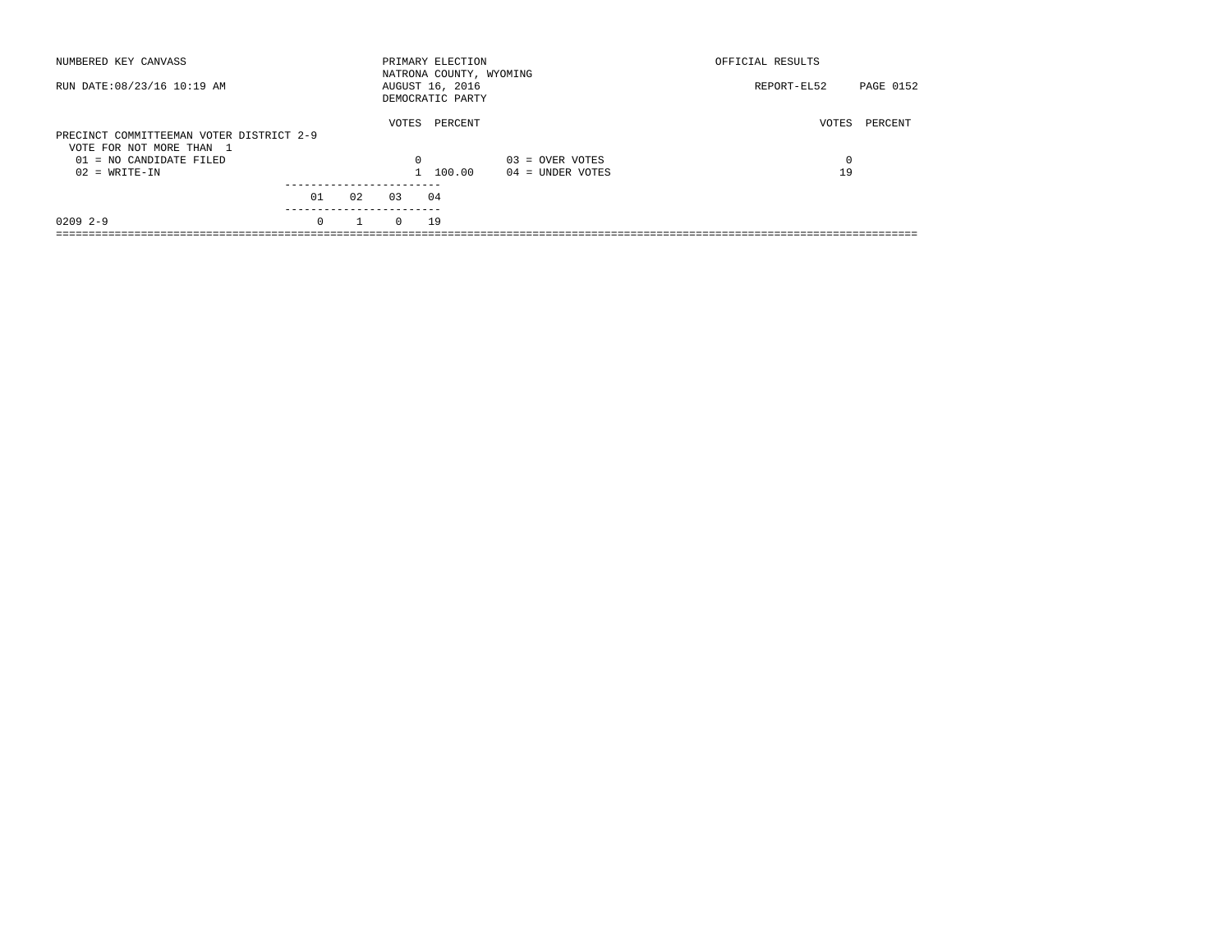| NUMBERED KEY CANVASS                                                 |          |              |          | PRIMARY ELECTION<br>NATRONA COUNTY, WYOMING |                    | OFFICIAL RESULTS |           |
|----------------------------------------------------------------------|----------|--------------|----------|---------------------------------------------|--------------------|------------------|-----------|
| RUN DATE: 08/23/16 10:19 AM                                          |          |              |          | AUGUST 16, 2016<br>DEMOCRATIC PARTY         |                    | REPORT-EL52      | PAGE 0152 |
| PRECINCT COMMITTEEMAN VOTER DISTRICT 2-9<br>VOTE FOR NOT MORE THAN 1 |          |              | VOTES    | PERCENT                                     |                    | VOTES            | PERCENT   |
| 01 = NO CANDIDATE FILED                                              |          |              | $\Omega$ |                                             | $03 =$ OVER VOTES  | 0                |           |
| $02 = WRITE-IN$                                                      |          |              |          | 1 100.00                                    | $04 =$ UNDER VOTES | 19               |           |
|                                                                      | 01       | 02           | 03       | 04                                          |                    |                  |           |
|                                                                      |          |              |          |                                             |                    |                  |           |
| $02092 - -9$                                                         | $\Omega$ | $\mathbf{1}$ | $\Omega$ | 19                                          |                    |                  |           |
|                                                                      |          |              |          |                                             |                    |                  |           |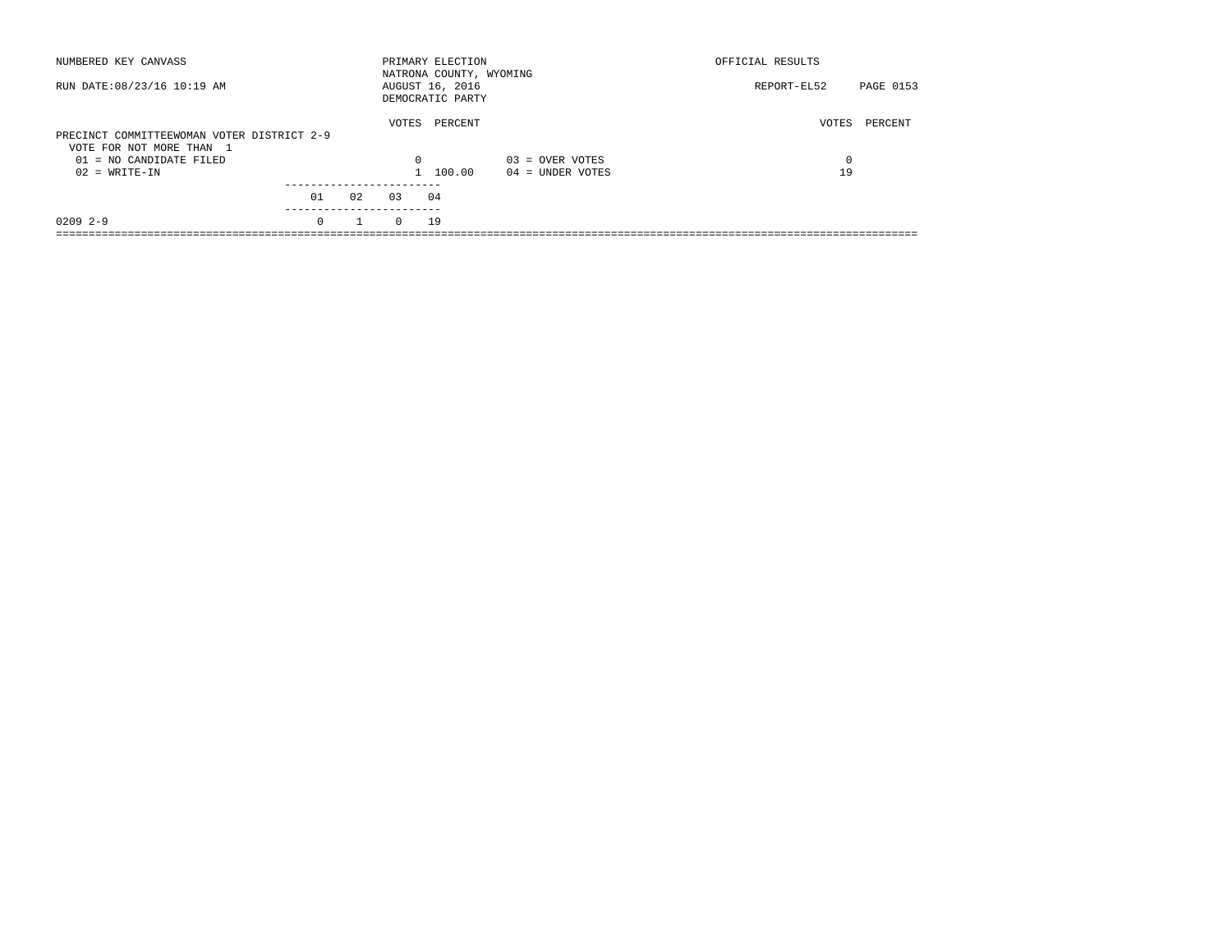| NUMBERED KEY CANVASS                                                   |          |    |          | PRIMARY ELECTION<br>NATRONA COUNTY, WYOMING |                    | OFFICIAL RESULTS |           |
|------------------------------------------------------------------------|----------|----|----------|---------------------------------------------|--------------------|------------------|-----------|
| RUN DATE: 08/23/16 10:19 AM                                            |          |    |          | AUGUST 16, 2016<br>DEMOCRATIC PARTY         |                    | REPORT-EL52      | PAGE 0153 |
| PRECINCT COMMITTEEWOMAN VOTER DISTRICT 2-9<br>VOTE FOR NOT MORE THAN 1 |          |    | VOTES    | PERCENT                                     |                    | VOTES            | PERCENT   |
| $01 = NO$ CANDIDATE FILED                                              |          |    | $\Omega$ |                                             | $03 =$ OVER VOTES  | $\Omega$         |           |
| $02 = WRITE-IN$                                                        |          |    |          | 1 100.00                                    | $04 =$ UNDER VOTES | 19               |           |
|                                                                        | 01       | 02 | 0.3      | 04                                          |                    |                  |           |
| $02092 - -9$                                                           | $\Omega$ |    | $\Omega$ | 19                                          |                    |                  |           |
|                                                                        |          |    |          |                                             |                    |                  |           |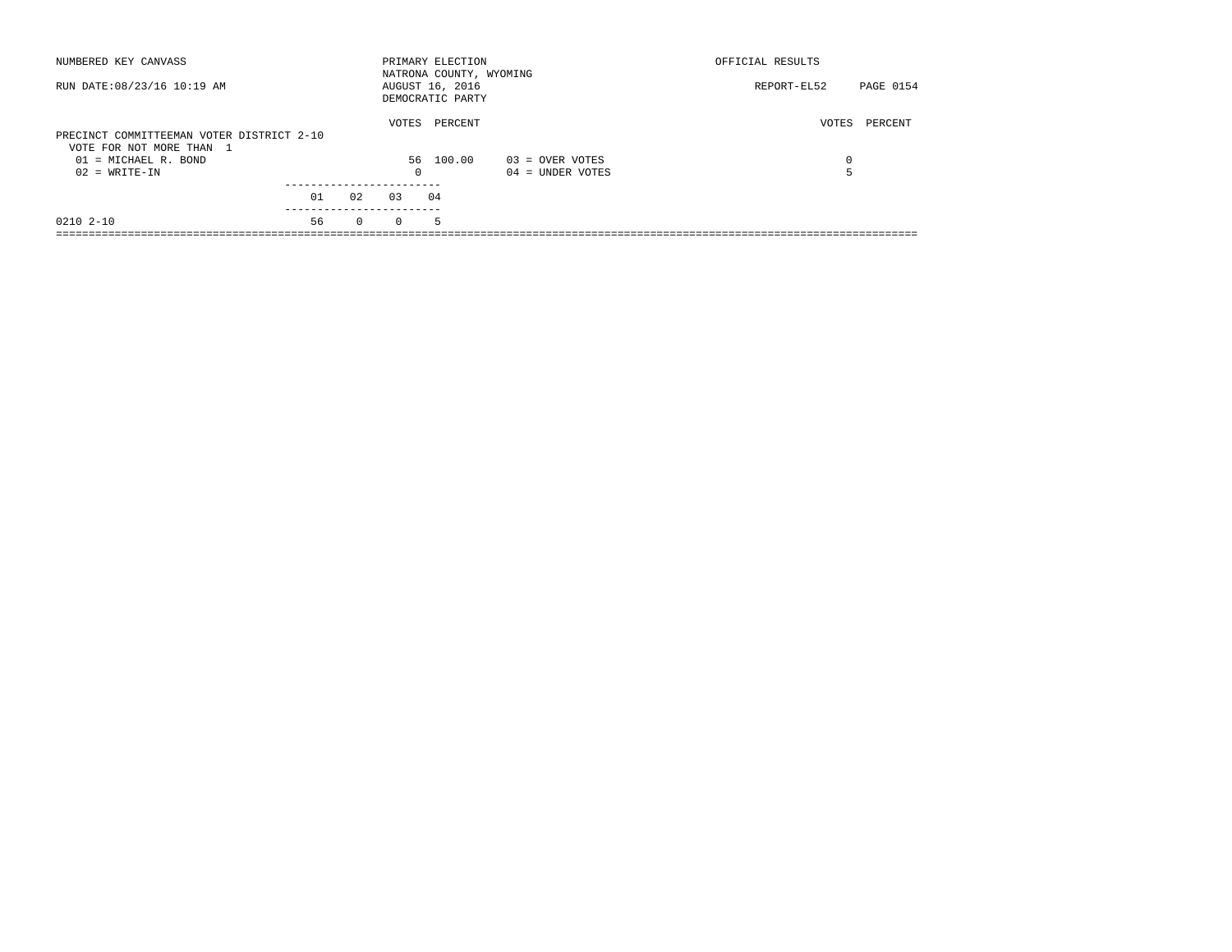| NUMBERED KEY CANVASS                                                  |    |          |            | PRIMARY ELECTION<br>NATRONA COUNTY, WYOMING |                    | OFFICIAL RESULTS |           |
|-----------------------------------------------------------------------|----|----------|------------|---------------------------------------------|--------------------|------------------|-----------|
| RUN DATE: 08/23/16 10:19 AM                                           |    |          |            | AUGUST 16, 2016<br>DEMOCRATIC PARTY         |                    | REPORT-EL52      | PAGE 0154 |
| PRECINCT COMMITTEEMAN VOTER DISTRICT 2-10<br>VOTE FOR NOT MORE THAN 1 |    |          | VOTES      | PERCENT                                     |                    | VOTES            | PERCENT   |
| $01 =$ MICHAEL R. BOND                                                |    |          |            | 56 100.00                                   | 03 = OVER VOTES    | $\Omega$         |           |
| $02 = WRITE-IN$                                                       |    |          | $^{\circ}$ |                                             | $04 =$ UNDER VOTES |                  |           |
|                                                                       | 01 | 02       | 0.3        | 04                                          |                    |                  |           |
| 0210 2-10                                                             | 56 | $\Omega$ | $\Omega$   | 5.                                          |                    |                  |           |
|                                                                       |    |          |            |                                             |                    |                  |           |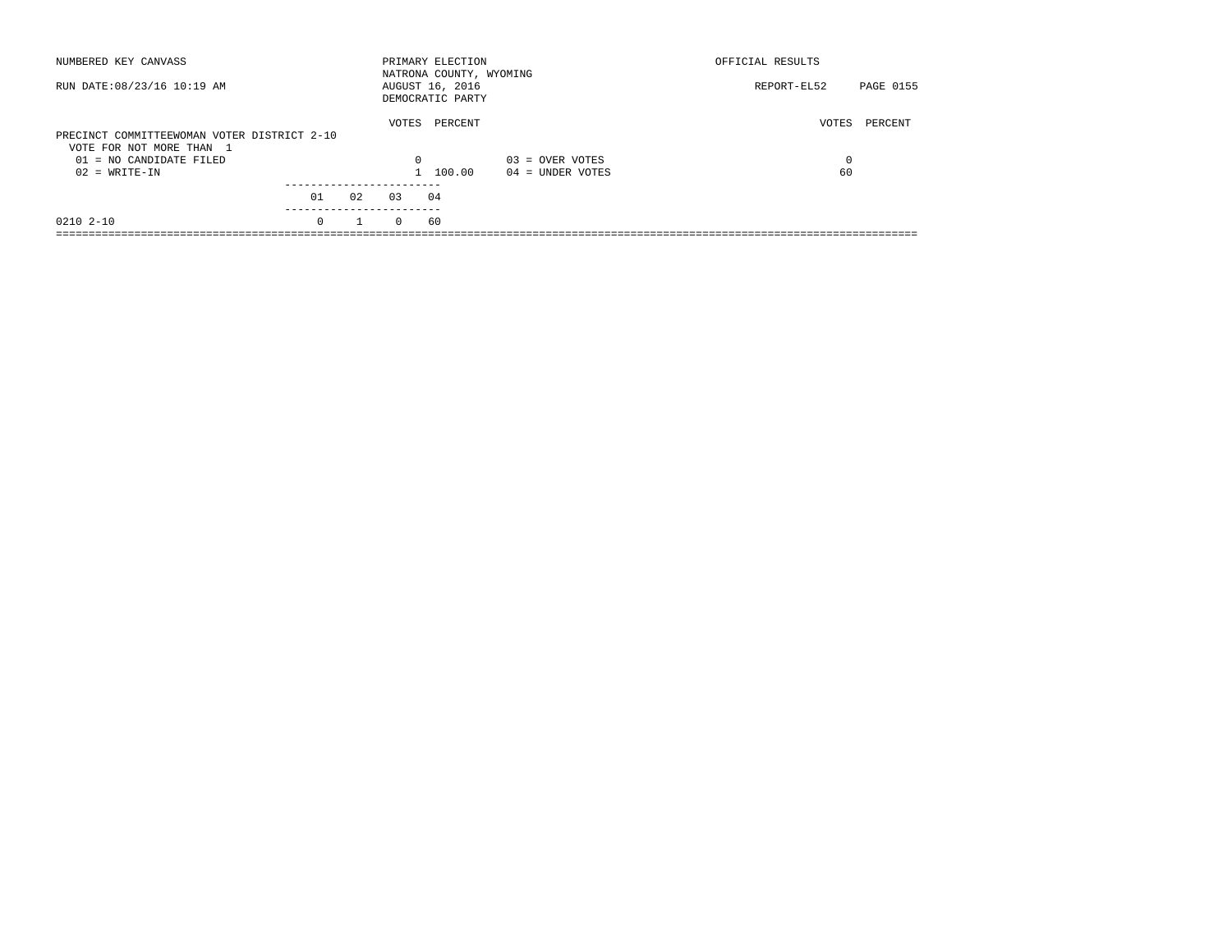| NUMBERED KEY CANVASS                                                    |          |    |          | PRIMARY ELECTION<br>NATRONA COUNTY, WYOMING |                    | OFFICIAL RESULTS |           |
|-------------------------------------------------------------------------|----------|----|----------|---------------------------------------------|--------------------|------------------|-----------|
| RUN DATE: 08/23/16 10:19 AM                                             |          |    |          | AUGUST 16, 2016<br>DEMOCRATIC PARTY         |                    | REPORT-EL52      | PAGE 0155 |
| PRECINCT COMMITTEEWOMAN VOTER DISTRICT 2-10<br>VOTE FOR NOT MORE THAN 1 |          |    | VOTES    | PERCENT                                     |                    | VOTES            | PERCENT   |
| $01 = NO$ CANDIDATE FILED                                               |          |    | $\Omega$ |                                             | $03 =$ OVER VOTES  | $\Omega$         |           |
| $02 = WRITE-IN$                                                         |          |    |          | 1 100.00                                    | $04 =$ UNDER VOTES | 60               |           |
|                                                                         | 01       | 02 | 0.3      | 04                                          |                    |                  |           |
| 0210 2-10                                                               | $\Omega$ |    | $\Omega$ | 60                                          |                    |                  |           |
|                                                                         |          |    |          |                                             |                    |                  |           |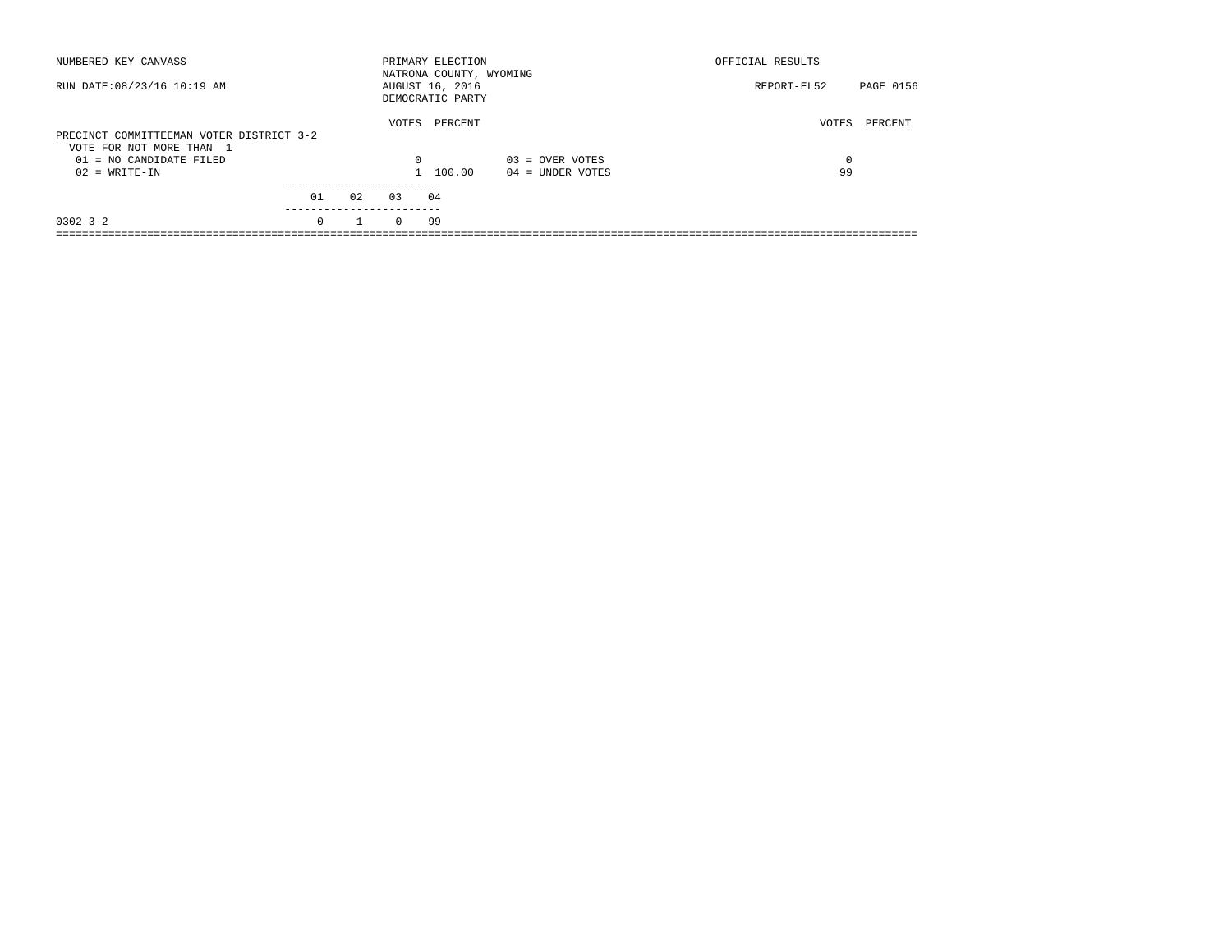| NUMBERED KEY CANVASS                                                 |          |    |          | PRIMARY ELECTION<br>NATRONA COUNTY, WYOMING |                    | OFFICIAL RESULTS |           |
|----------------------------------------------------------------------|----------|----|----------|---------------------------------------------|--------------------|------------------|-----------|
| RUN DATE: 08/23/16 10:19 AM                                          |          |    |          | AUGUST 16, 2016<br>DEMOCRATIC PARTY         |                    | REPORT-EL52      | PAGE 0156 |
| PRECINCT COMMITTEEMAN VOTER DISTRICT 3-2<br>VOTE FOR NOT MORE THAN 1 |          |    | VOTES    | PERCENT                                     |                    | VOTES            | PERCENT   |
| $01 = NO$ CANDIDATE FILED                                            |          |    | $\Omega$ |                                             | $03 =$ OVER VOTES  | $\Omega$         |           |
| $02 = WRITE-IN$                                                      |          |    |          | 1 100.00                                    | $04 =$ UNDER VOTES | 99               |           |
|                                                                      | 01       | 02 | 0.3      | 04                                          |                    |                  |           |
| $0302$ $3 - 2$                                                       | $\Omega$ |    | $\Omega$ | 99                                          |                    |                  |           |
|                                                                      |          |    |          |                                             |                    |                  |           |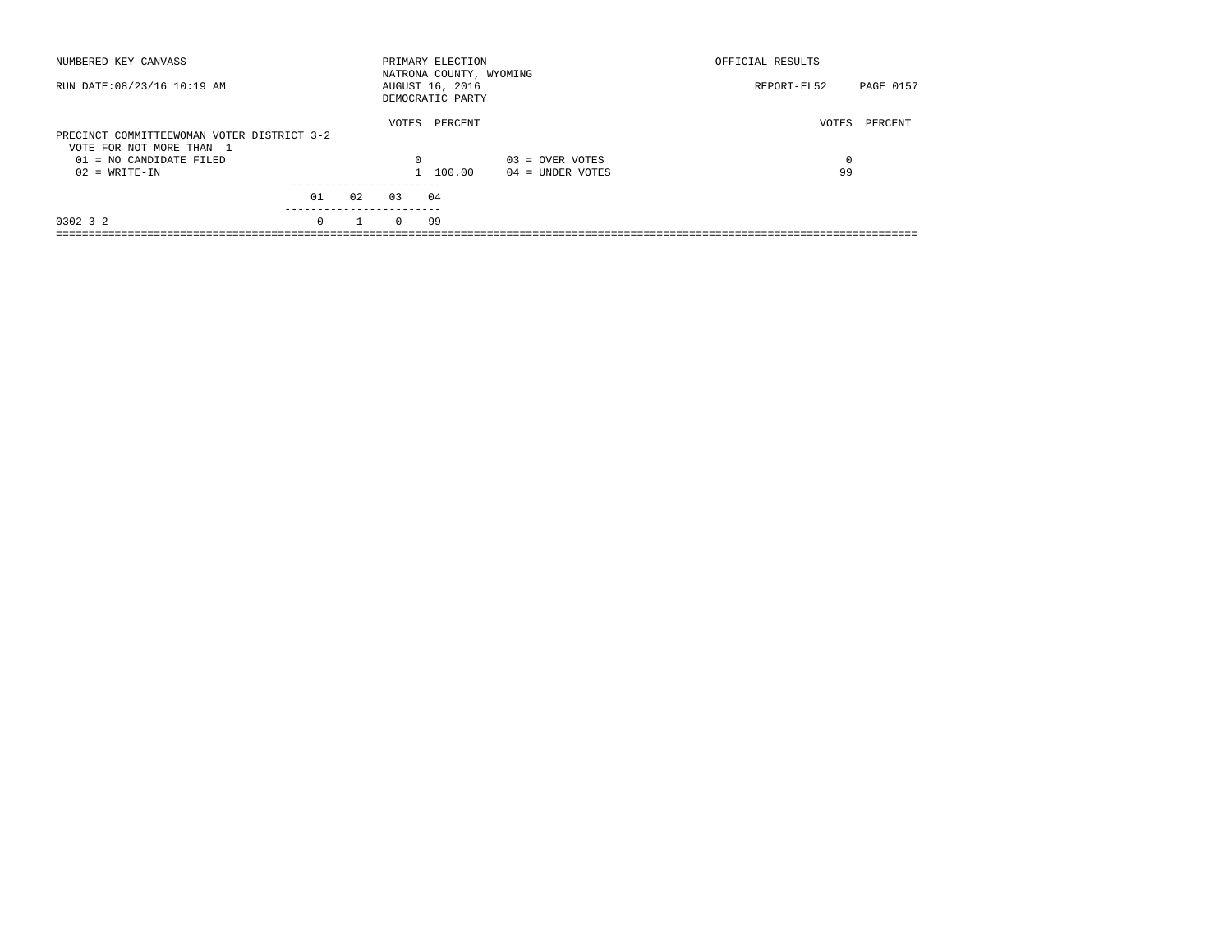| NUMBERED KEY CANVASS                                                   |          |    |          | PRIMARY ELECTION<br>NATRONA COUNTY, WYOMING |                    | OFFICIAL RESULTS |           |
|------------------------------------------------------------------------|----------|----|----------|---------------------------------------------|--------------------|------------------|-----------|
| RUN DATE: 08/23/16 10:19 AM                                            |          |    |          | AUGUST 16, 2016<br>DEMOCRATIC PARTY         |                    | REPORT-EL52      | PAGE 0157 |
| PRECINCT COMMITTEEWOMAN VOTER DISTRICT 3-2<br>VOTE FOR NOT MORE THAN 1 |          |    | VOTES    | PERCENT                                     |                    | VOTES            | PERCENT   |
| $01 = NO$ CANDIDATE FILED                                              |          |    | $\Omega$ |                                             | $03 =$ OVER VOTES  | $\Omega$         |           |
| $02 = WRITE-IN$                                                        |          |    |          | 1 100.00                                    | $04 =$ UNDER VOTES | 99               |           |
|                                                                        | 01       | 02 | 0.3      | 04                                          |                    |                  |           |
| $0302$ $3 - 2$                                                         | $\Omega$ |    | $\Omega$ | 99                                          |                    |                  |           |
|                                                                        |          |    |          |                                             |                    |                  |           |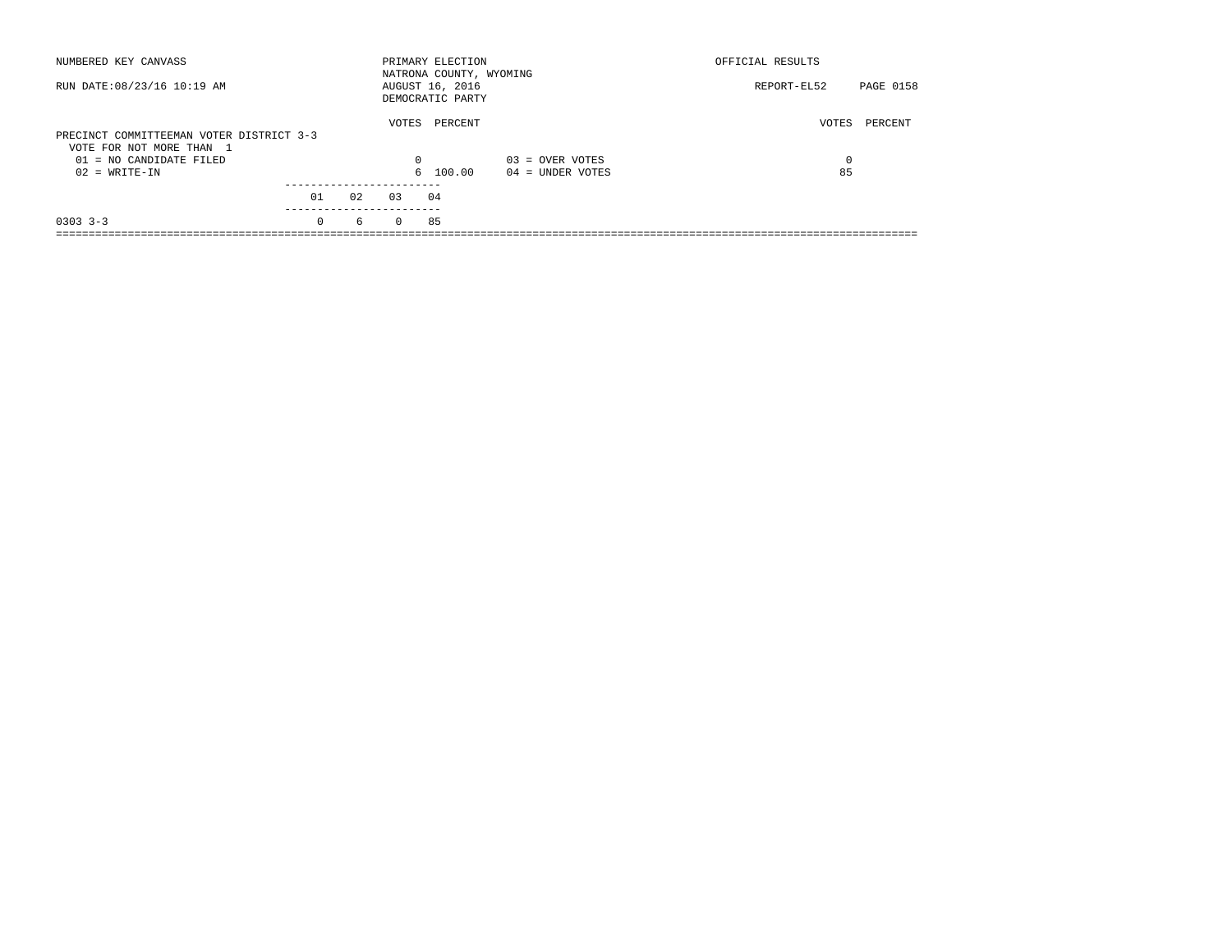| NUMBERED KEY CANVASS                                                 |          |    |          | PRIMARY ELECTION<br>NATRONA COUNTY, WYOMING |                    | OFFICIAL RESULTS |           |
|----------------------------------------------------------------------|----------|----|----------|---------------------------------------------|--------------------|------------------|-----------|
| RUN DATE: 08/23/16 10:19 AM                                          |          |    |          | AUGUST 16, 2016<br>DEMOCRATIC PARTY         |                    | REPORT-EL52      | PAGE 0158 |
| PRECINCT COMMITTEEMAN VOTER DISTRICT 3-3<br>VOTE FOR NOT MORE THAN 1 |          |    | VOTES    | PERCENT                                     |                    | VOTES            | PERCENT   |
| 01 = NO CANDIDATE FILED                                              |          |    | 0        |                                             | $03 =$ OVER VOTES  | 0                |           |
| $02 = WRITE-IN$                                                      |          |    |          | 6 100.00                                    | $04 =$ UNDER VOTES | 85               |           |
|                                                                      | 01       | 02 | 0.3      | 04                                          |                    |                  |           |
|                                                                      |          |    |          |                                             |                    |                  |           |
| $0303 - 3 - 3$                                                       | $\Omega$ | 6  | $\Omega$ | 85                                          |                    |                  |           |
|                                                                      |          |    |          |                                             |                    |                  |           |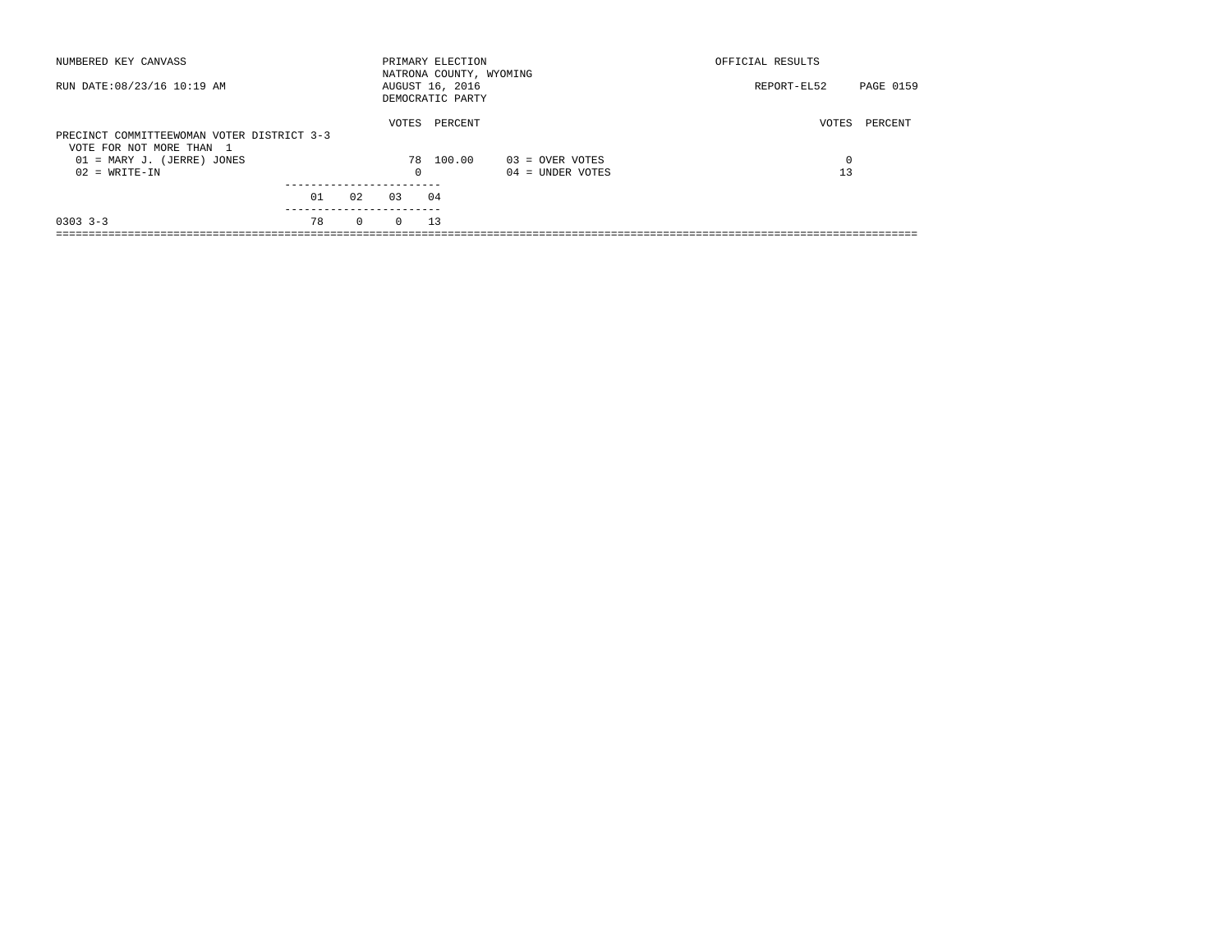| NUMBERED KEY CANVASS                                                   |    |              |          | PRIMARY ELECTION<br>NATRONA COUNTY, WYOMING |                    | OFFICIAL RESULTS |           |
|------------------------------------------------------------------------|----|--------------|----------|---------------------------------------------|--------------------|------------------|-----------|
| RUN DATE: 08/23/16 10:19 AM                                            |    |              |          | AUGUST 16, 2016<br>DEMOCRATIC PARTY         |                    | REPORT-EL52      | PAGE 0159 |
| PRECINCT COMMITTEEWOMAN VOTER DISTRICT 3-3<br>VOTE FOR NOT MORE THAN 1 |    |              | VOTES    | PERCENT                                     |                    | VOTES            | PERCENT   |
| 01 = MARY J. (JERRE) JONES                                             |    |              |          | 78 100.00                                   | $03 =$ OVER VOTES  | 0                |           |
| $02 = WRITE-IN$                                                        |    |              | 0        |                                             | $04 =$ UNDER VOTES | 13               |           |
|                                                                        | 01 | 0.2          | 0.3      | 04                                          |                    |                  |           |
|                                                                        |    |              |          |                                             |                    |                  |           |
| $0303$ $3-3$                                                           | 78 | $\mathbf{0}$ | $\Omega$ | 13                                          |                    |                  |           |
|                                                                        |    |              |          |                                             |                    |                  |           |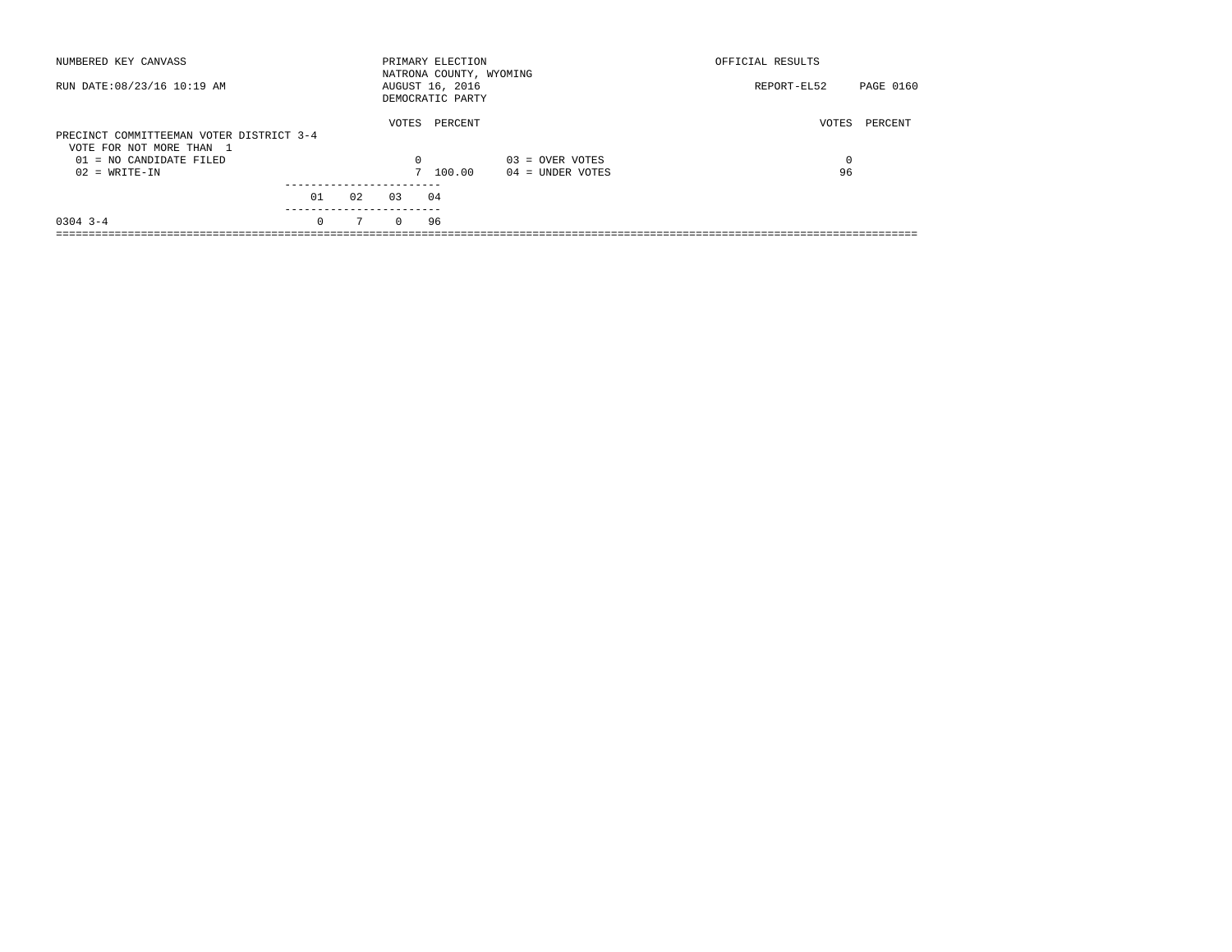| NUMBERED KEY CANVASS                                                 |          |    |          | PRIMARY ELECTION<br>NATRONA COUNTY, WYOMING |                    | OFFICIAL RESULTS |           |
|----------------------------------------------------------------------|----------|----|----------|---------------------------------------------|--------------------|------------------|-----------|
| RUN DATE: 08/23/16 10:19 AM                                          |          |    |          | AUGUST 16, 2016<br>DEMOCRATIC PARTY         |                    | REPORT-EL52      | PAGE 0160 |
| PRECINCT COMMITTEEMAN VOTER DISTRICT 3-4<br>VOTE FOR NOT MORE THAN 1 |          |    | VOTES    | PERCENT                                     |                    | VOTES            | PERCENT   |
| 01 = NO CANDIDATE FILED                                              |          |    | 0        |                                             | $03 =$ OVER VOTES  | 0                |           |
| $02 = WRITE-IN$                                                      |          |    |          | 7 100.00                                    | $04 =$ UNDER VOTES | 96               |           |
|                                                                      |          |    |          |                                             |                    |                  |           |
|                                                                      | 01       | 02 | 0.3      | 04                                          |                    |                  |           |
| $0304$ 3-4                                                           | $\Omega$ | 7  | $\Omega$ | 96                                          |                    |                  |           |
|                                                                      |          |    |          |                                             |                    |                  |           |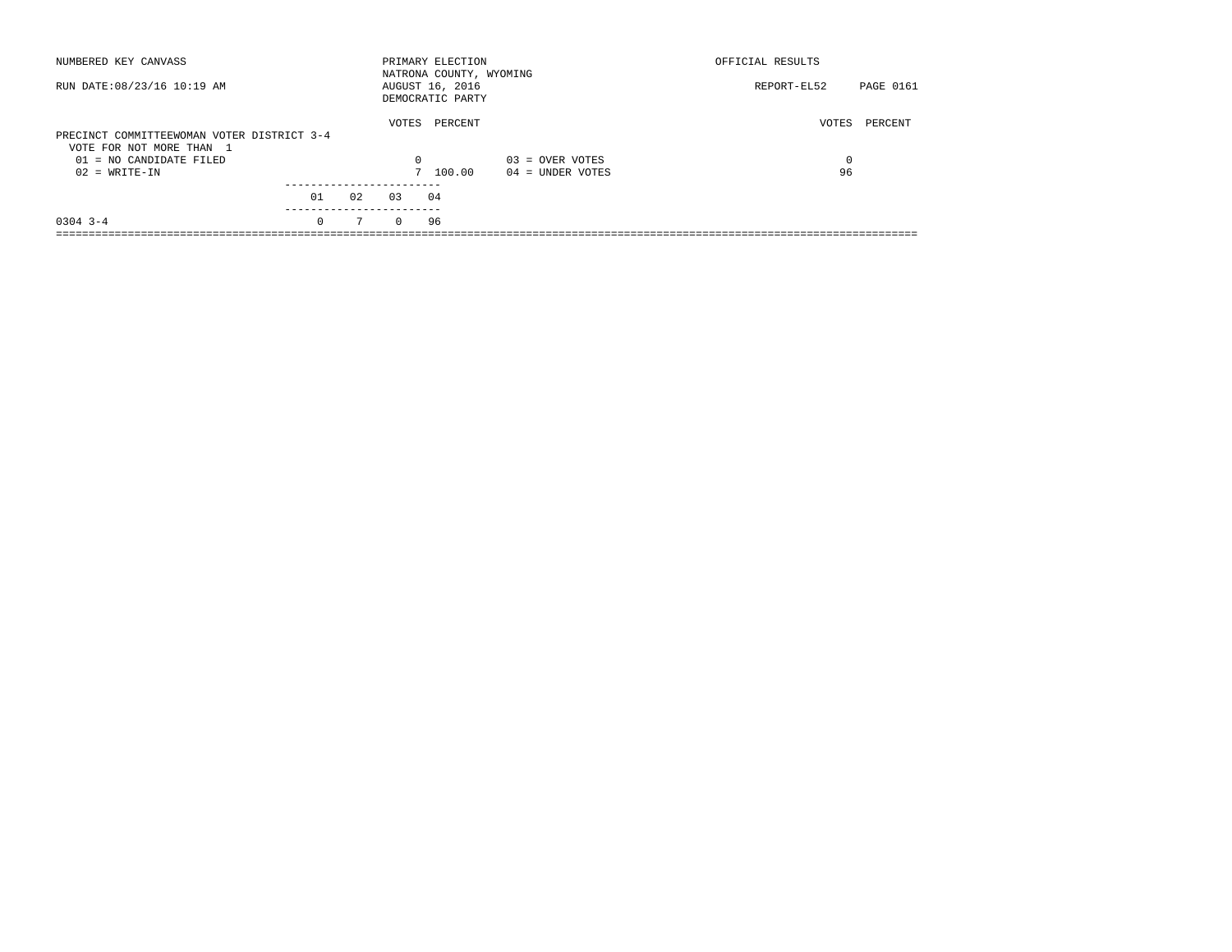| NUMBERED KEY CANVASS                                                   |                 |     |          | PRIMARY ELECTION<br>NATRONA COUNTY, WYOMING |                    | OFFICIAL RESULTS |           |
|------------------------------------------------------------------------|-----------------|-----|----------|---------------------------------------------|--------------------|------------------|-----------|
| RUN DATE: 08/23/16 10:19 AM                                            |                 |     |          | AUGUST 16, 2016<br>DEMOCRATIC PARTY         |                    | REPORT-EL52      | PAGE 0161 |
| PRECINCT COMMITTEEWOMAN VOTER DISTRICT 3-4<br>VOTE FOR NOT MORE THAN 1 |                 |     | VOTES    | PERCENT                                     |                    | VOTES            | PERCENT   |
| $01 = NO$ CANDIDATE FILED                                              |                 |     | $\Omega$ |                                             | $03 =$ OVER VOTES  | 0                |           |
| $02 = WRITE-IN$                                                        |                 |     |          | 7 100.00                                    | $04 =$ UNDER VOTES | 96               |           |
|                                                                        | 01<br>--------- | 0.2 | 0.3      | 04                                          |                    |                  |           |
| $0304$ 3-4                                                             | $\Omega$        | 7   | $\Omega$ | 96                                          |                    |                  |           |
|                                                                        |                 |     |          |                                             |                    |                  |           |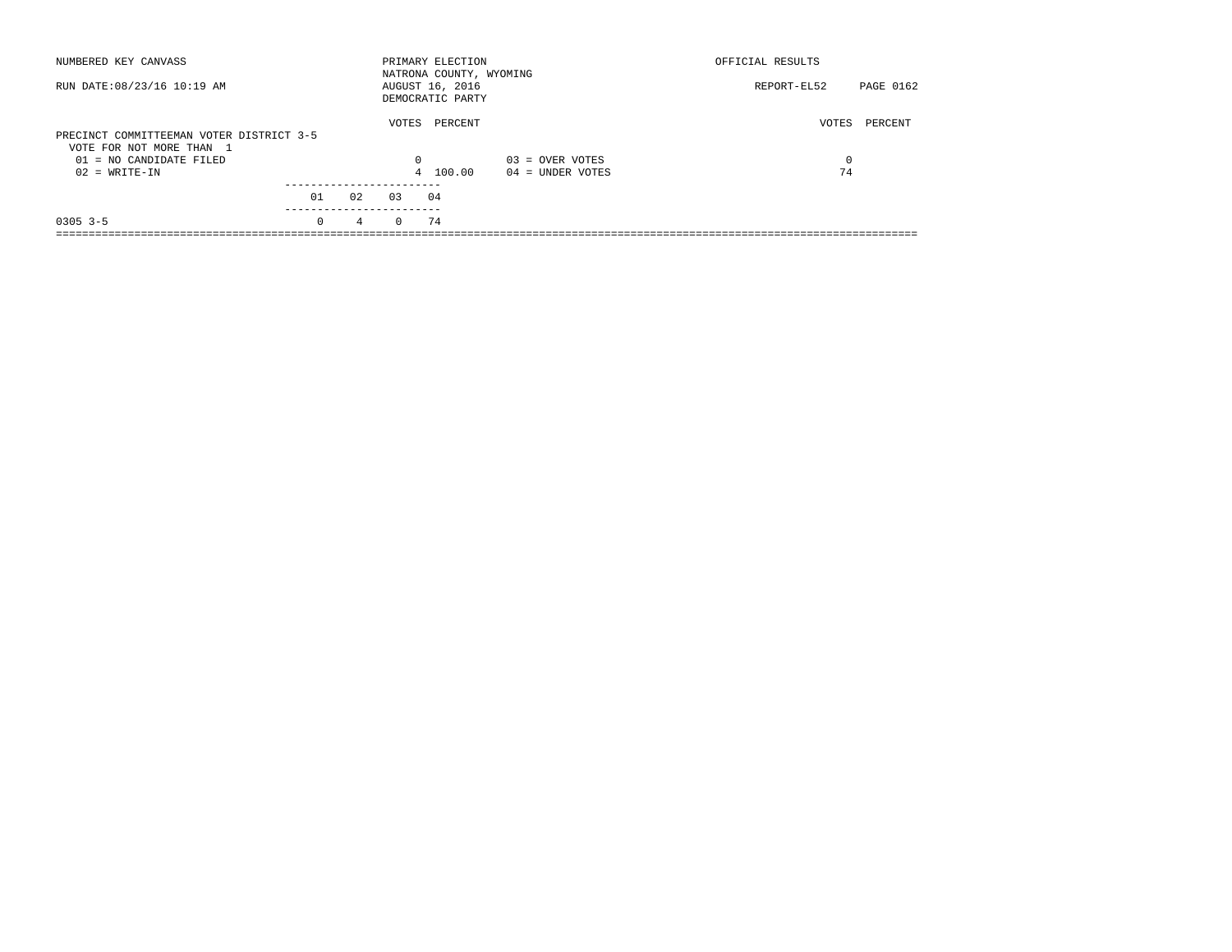| NUMBERED KEY CANVASS                                                 |          |                |          | PRIMARY ELECTION<br>NATRONA COUNTY, WYOMING |                    | OFFICIAL RESULTS |           |
|----------------------------------------------------------------------|----------|----------------|----------|---------------------------------------------|--------------------|------------------|-----------|
| RUN DATE: 08/23/16 10:19 AM                                          |          |                |          | AUGUST 16, 2016<br>DEMOCRATIC PARTY         |                    | REPORT-EL52      | PAGE 0162 |
| PRECINCT COMMITTEEMAN VOTER DISTRICT 3-5<br>VOTE FOR NOT MORE THAN 1 |          |                | VOTES    | PERCENT                                     |                    | VOTES            | PERCENT   |
| $01 = NO$ CANDIDATE FILED                                            |          |                | 0        |                                             | $03 =$ OVER VOTES  | 0                |           |
| $02 = WRITE-IN$                                                      |          |                |          | 4 100.00                                    | $04 =$ UNDER VOTES | 74               |           |
|                                                                      |          |                |          |                                             |                    |                  |           |
|                                                                      | 01       | 02             | 0.3      | 04                                          |                    |                  |           |
| $0305$ 3-5                                                           | $\Omega$ | $\overline{4}$ | $\Omega$ | 74                                          |                    |                  |           |
|                                                                      |          |                |          |                                             |                    |                  |           |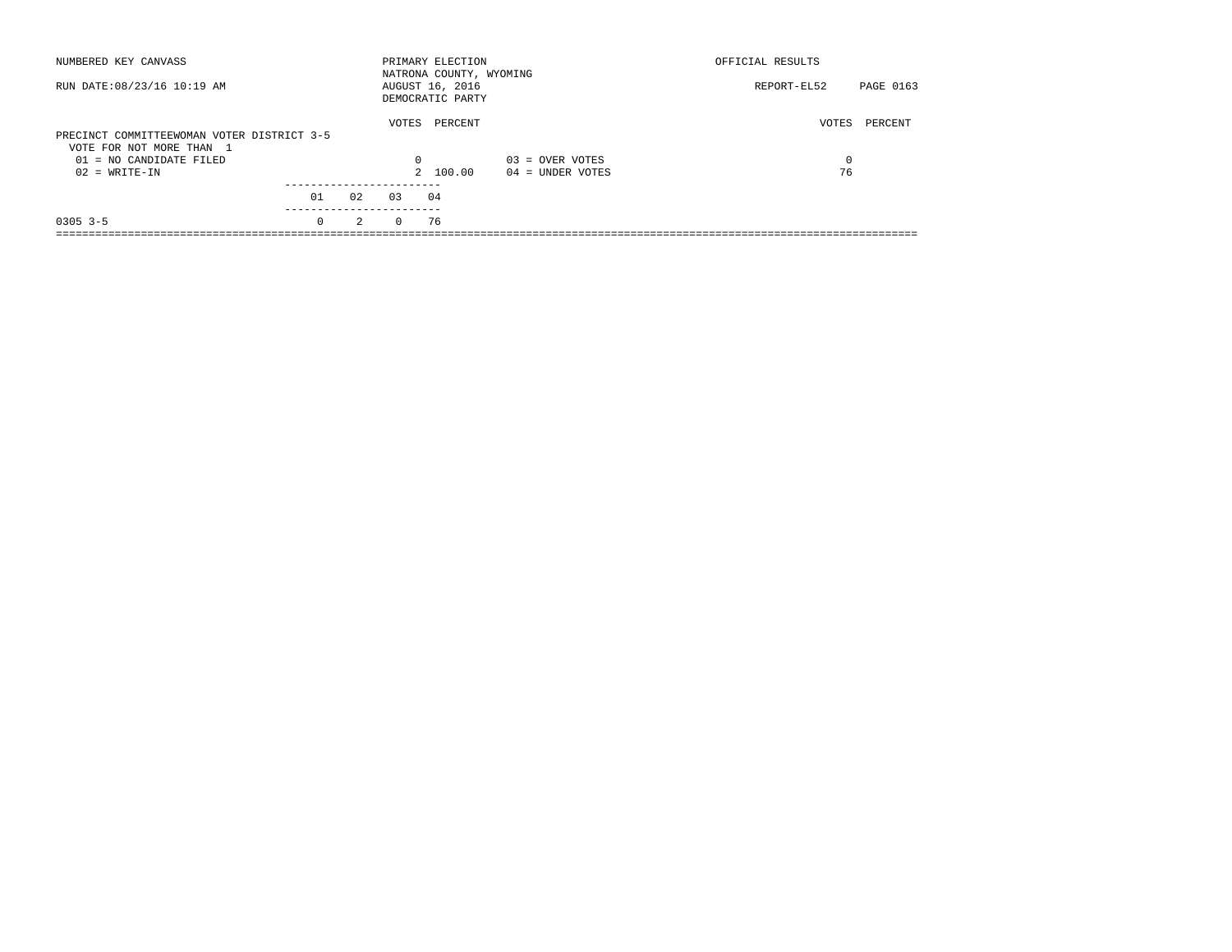| NUMBERED KEY CANVASS                                                   |           |     |          | PRIMARY ELECTION<br>NATRONA COUNTY, WYOMING |                    | OFFICIAL RESULTS |           |
|------------------------------------------------------------------------|-----------|-----|----------|---------------------------------------------|--------------------|------------------|-----------|
| RUN DATE: 08/23/16 10:19 AM                                            |           |     |          | AUGUST 16, 2016<br>DEMOCRATIC PARTY         |                    | REPORT-EL52      | PAGE 0163 |
| PRECINCT COMMITTEEWOMAN VOTER DISTRICT 3-5<br>VOTE FOR NOT MORE THAN 1 |           |     | VOTES    | PERCENT                                     |                    | VOTES            | PERCENT   |
| $01 = NO$ CANDIDATE FILED                                              |           |     | $\Omega$ |                                             | $03 =$ OVER VOTES  | 0                |           |
| $02 = WRITE-IN$                                                        |           |     |          | 2 100.00                                    | $04 =$ UNDER VOTES | 76               |           |
|                                                                        | 01        | 0.2 | 0.3      | 04                                          |                    |                  |           |
|                                                                        | --------- |     |          |                                             |                    |                  |           |
| $0305$ 3-5                                                             | $\Omega$  | 2   | $\Omega$ | 76                                          |                    |                  |           |
|                                                                        |           |     |          |                                             |                    |                  |           |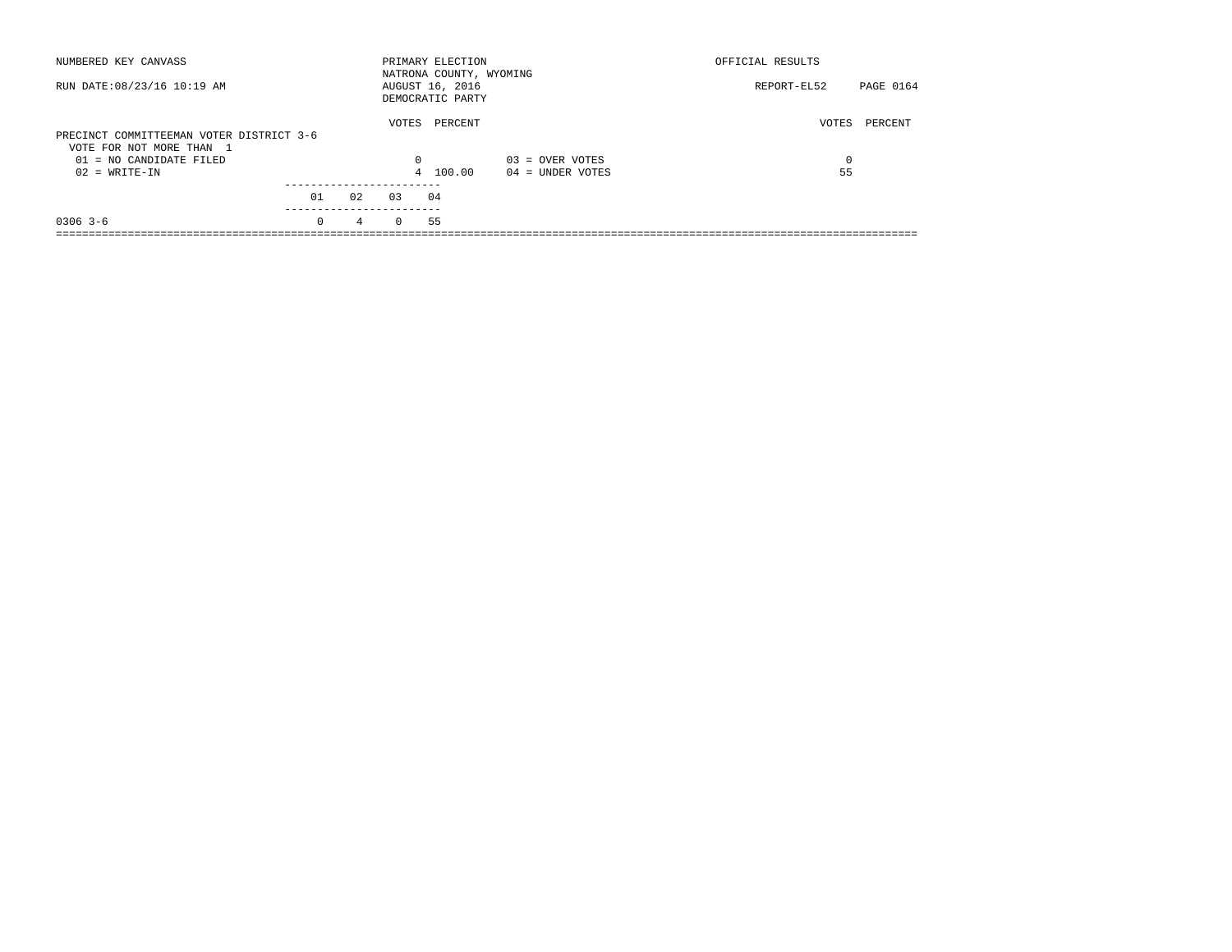| NUMBERED KEY CANVASS                                                 |          |    |          | PRIMARY ELECTION<br>NATRONA COUNTY, WYOMING |                    | OFFICIAL RESULTS |           |
|----------------------------------------------------------------------|----------|----|----------|---------------------------------------------|--------------------|------------------|-----------|
| RUN DATE: 08/23/16 10:19 AM                                          |          |    |          | AUGUST 16, 2016<br>DEMOCRATIC PARTY         |                    | REPORT-EL52      | PAGE 0164 |
| PRECINCT COMMITTEEMAN VOTER DISTRICT 3-6<br>VOTE FOR NOT MORE THAN 1 |          |    | VOTES    | PERCENT                                     |                    | VOTES            | PERCENT   |
| 01 = NO CANDIDATE FILED                                              |          |    | $\Omega$ |                                             | $03 =$ OVER VOTES  | 0                |           |
| $02 = WRITE-IN$                                                      |          |    |          | 4 100.00                                    | $04 =$ UNDER VOTES | 55               |           |
|                                                                      | 01       | 02 | 0.3      | 04                                          |                    |                  |           |
| $0306$ 3-6                                                           | $\Omega$ | 4  | $\Omega$ | 55                                          |                    |                  |           |
|                                                                      |          |    |          |                                             |                    |                  |           |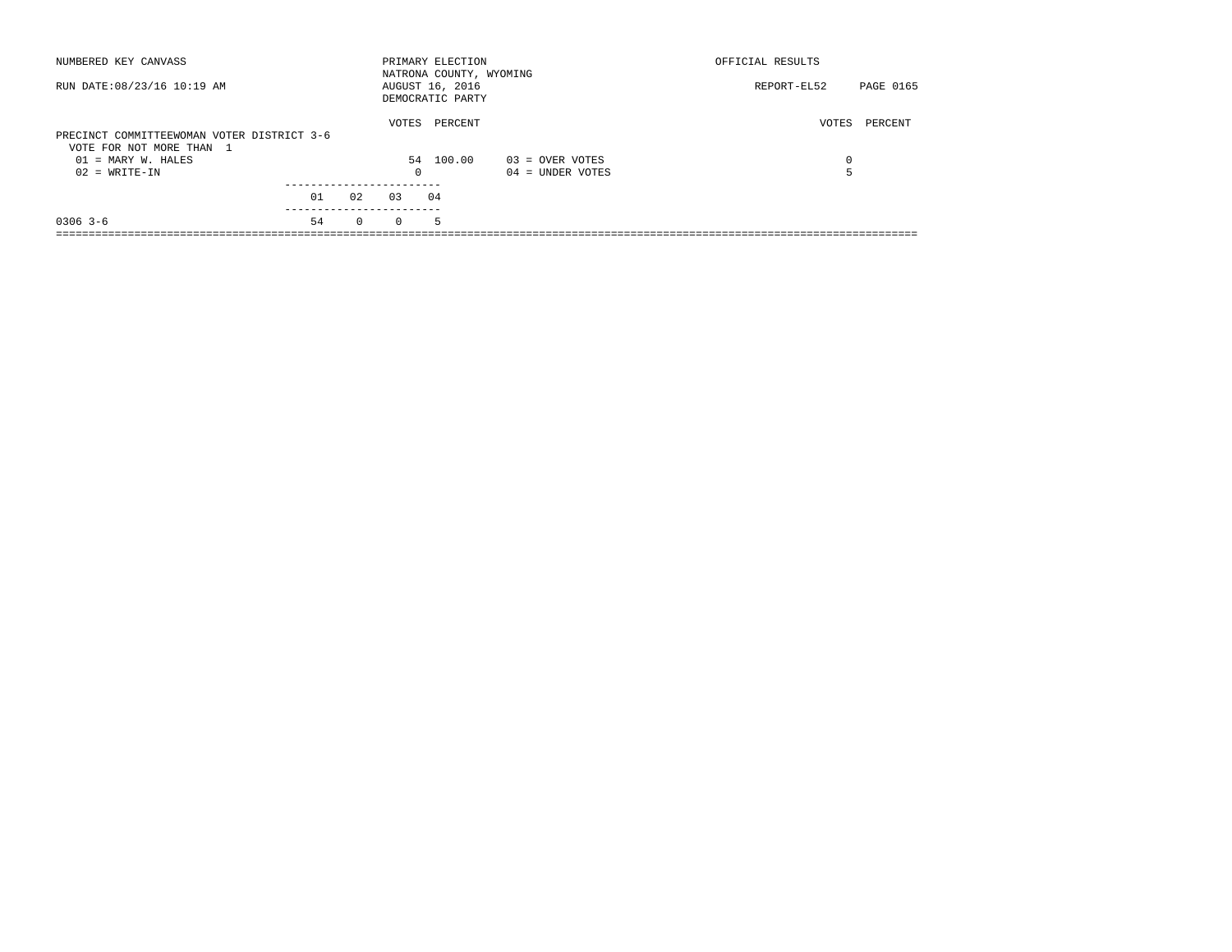| NUMBERED KEY CANVASS                                                   |    |          |            | PRIMARY ELECTION<br>NATRONA COUNTY, WYOMING |                    | OFFICIAL RESULTS |           |
|------------------------------------------------------------------------|----|----------|------------|---------------------------------------------|--------------------|------------------|-----------|
| RUN DATE: 08/23/16 10:19 AM                                            |    |          |            | AUGUST 16, 2016<br>DEMOCRATIC PARTY         |                    | REPORT-EL52      | PAGE 0165 |
| PRECINCT COMMITTEEWOMAN VOTER DISTRICT 3-6<br>VOTE FOR NOT MORE THAN 1 |    |          | VOTES      | PERCENT                                     |                    | VOTES            | PERCENT   |
| $01 = \text{MARY } W.$ HALES                                           |    |          |            | 54 100.00                                   | 03 = OVER VOTES    | $\Omega$         |           |
| $02 = WRITE-IN$                                                        |    |          | $^{\circ}$ |                                             | $04 =$ UNDER VOTES |                  |           |
|                                                                        |    |          |            |                                             |                    |                  |           |
|                                                                        | 01 | 02       | 0.3        | 04                                          |                    |                  |           |
| $0306$ 3-6                                                             | 54 | $\Omega$ | $\Omega$   | 5                                           |                    |                  |           |
|                                                                        |    |          |            |                                             |                    |                  |           |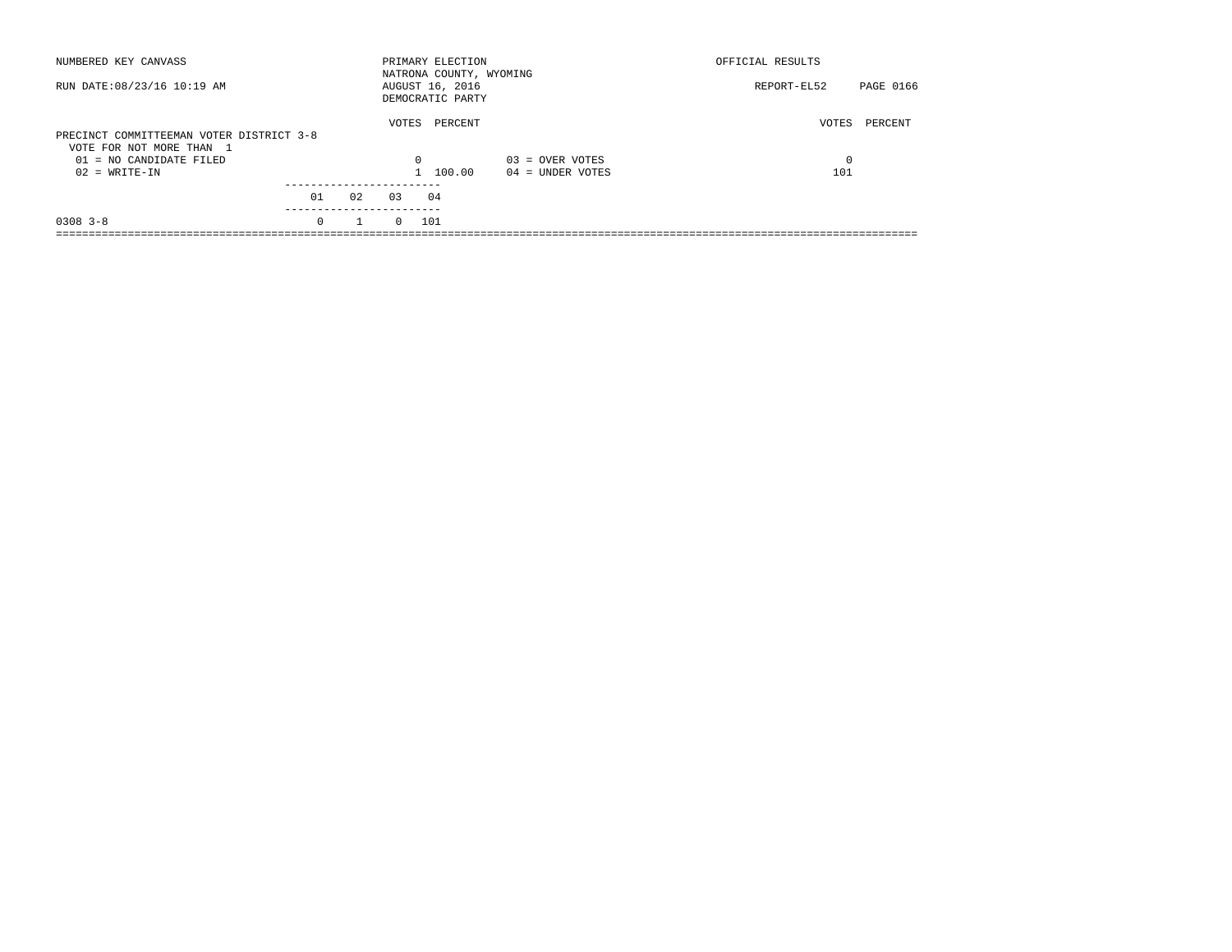| NUMBERED KEY CANVASS                                                 |          |              |          | PRIMARY ELECTION<br>NATRONA COUNTY, WYOMING |                    | OFFICIAL RESULTS |           |
|----------------------------------------------------------------------|----------|--------------|----------|---------------------------------------------|--------------------|------------------|-----------|
| RUN DATE: 08/23/16 10:19 AM                                          |          |              |          | AUGUST 16, 2016<br>DEMOCRATIC PARTY         |                    | REPORT-EL52      | PAGE 0166 |
| PRECINCT COMMITTEEMAN VOTER DISTRICT 3-8<br>VOTE FOR NOT MORE THAN 1 |          |              | VOTES    | PERCENT                                     |                    | VOTES            | PERCENT   |
| 01 = NO CANDIDATE FILED                                              |          |              | 0        |                                             | $03 =$ OVER VOTES  | $\Omega$         |           |
| $02 = WRITE-IN$                                                      |          |              |          | 1 100.00                                    | $04 =$ UNDER VOTES | 101              |           |
|                                                                      | 01       | 02           | 0.3      | 04                                          |                    |                  |           |
|                                                                      |          |              |          |                                             |                    |                  |           |
| $0308$ 3-8                                                           | $\Omega$ | $\mathbf{1}$ | $\Omega$ | 101                                         |                    |                  |           |
|                                                                      |          |              |          |                                             |                    |                  |           |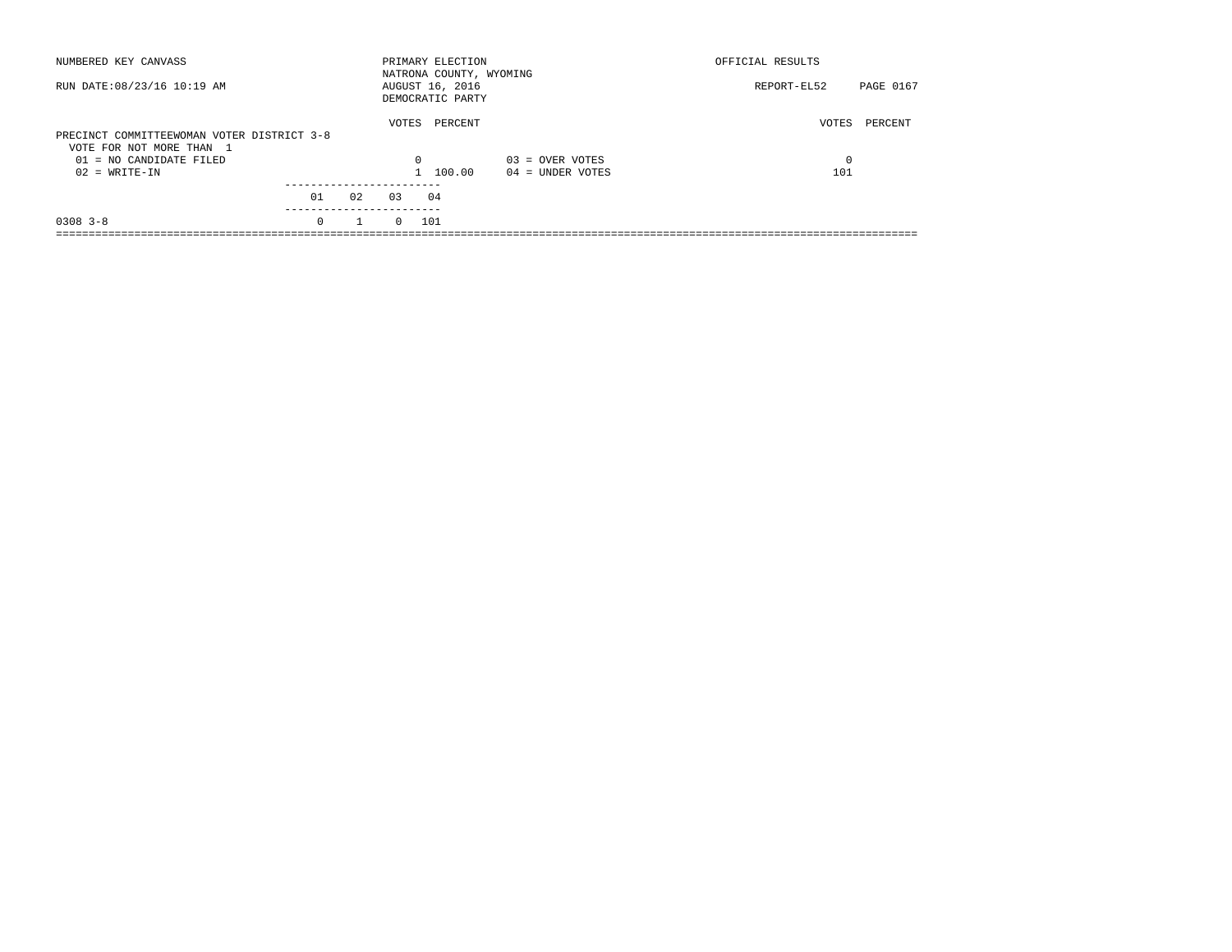| NUMBERED KEY CANVASS                                                   |          |              |          | PRIMARY ELECTION<br>NATRONA COUNTY, WYOMING |                    | OFFICIAL RESULTS |           |
|------------------------------------------------------------------------|----------|--------------|----------|---------------------------------------------|--------------------|------------------|-----------|
| RUN DATE: 08/23/16 10:19 AM                                            |          |              |          | AUGUST 16, 2016<br>DEMOCRATIC PARTY         |                    | REPORT-EL52      | PAGE 0167 |
| PRECINCT COMMITTEEWOMAN VOTER DISTRICT 3-8<br>VOTE FOR NOT MORE THAN 1 |          |              | VOTES    | PERCENT                                     |                    | VOTES            | PERCENT   |
| 01 = NO CANDIDATE FILED                                                |          |              | $\Omega$ |                                             | $03 =$ OVER VOTES  | $\Omega$         |           |
| $02 = WRITE-IN$                                                        |          |              |          | 1 100.00                                    | $04 =$ UNDER VOTES | 101              |           |
|                                                                        |          |              |          |                                             |                    |                  |           |
|                                                                        | 01       | 02           | 0.3      | 04                                          |                    |                  |           |
| $0308$ 3-8                                                             | $\Omega$ | $\mathbf{1}$ | $\Omega$ | 101                                         |                    |                  |           |
|                                                                        |          |              |          |                                             |                    |                  |           |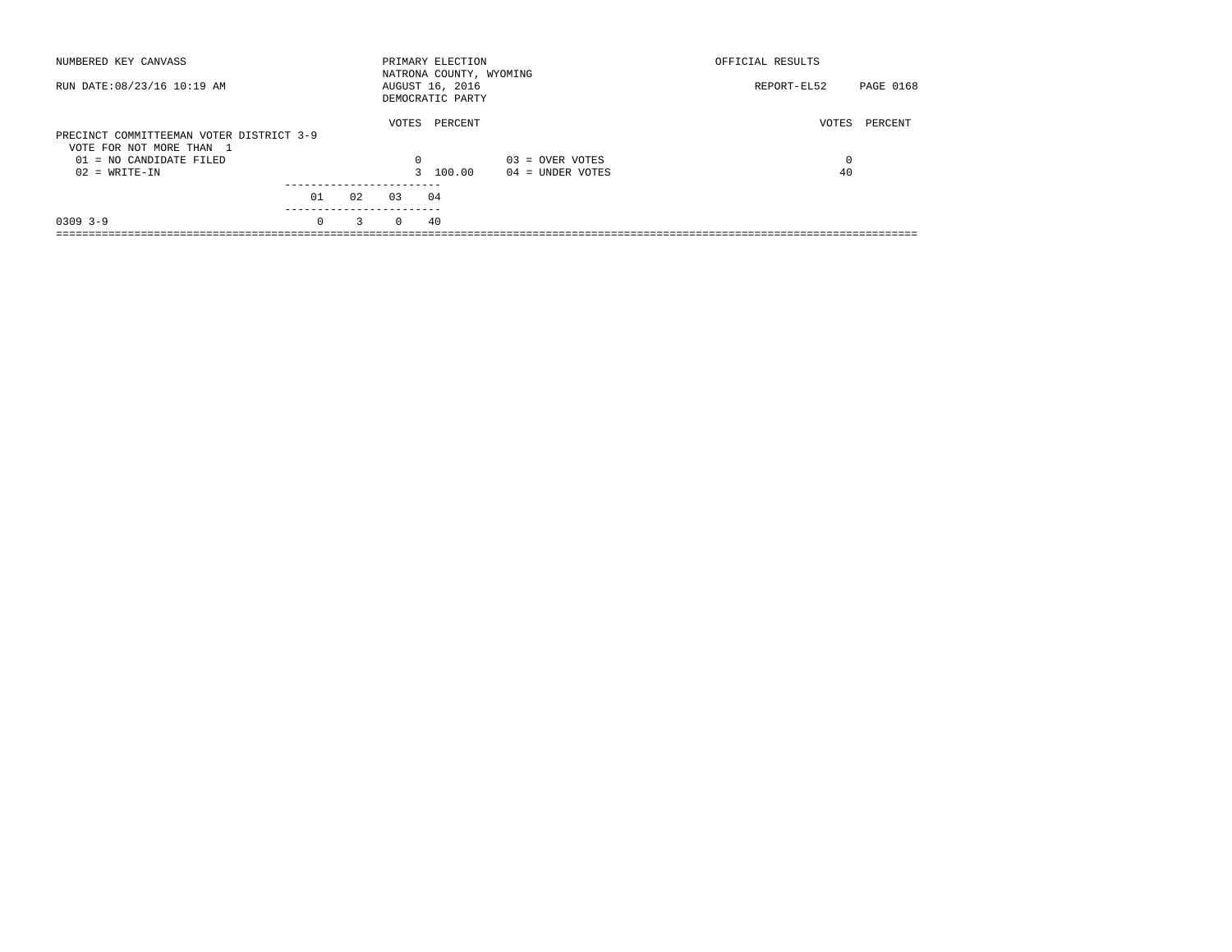| NUMBERED KEY CANVASS                                                 |                       |    |          | PRIMARY ELECTION<br>NATRONA COUNTY, WYOMING |                    | OFFICIAL RESULTS |           |
|----------------------------------------------------------------------|-----------------------|----|----------|---------------------------------------------|--------------------|------------------|-----------|
| RUN DATE: 08/23/16 10:19 AM                                          |                       |    |          | AUGUST 16, 2016<br>DEMOCRATIC PARTY         |                    | REPORT-EL52      | PAGE 0168 |
| PRECINCT COMMITTEEMAN VOTER DISTRICT 3-9<br>VOTE FOR NOT MORE THAN 1 |                       |    | VOTES    | PERCENT                                     |                    | VOTES            | PERCENT   |
| $01 = NO$ CANDIDATE FILED                                            |                       |    | $\Omega$ |                                             | $03 =$ OVER VOTES  | $\Omega$         |           |
| $02 = WRITE-IN$                                                      |                       |    |          | 3 100.00                                    | $04 =$ UNDER VOTES | 40               |           |
|                                                                      |                       |    |          |                                             |                    |                  |           |
|                                                                      | 01                    | 02 | 0.3      | 04                                          |                    |                  |           |
| $0309$ 3-9                                                           | ---------<br>$\Omega$ | 3  | $\Omega$ | 40                                          |                    |                  |           |
|                                                                      |                       |    |          |                                             |                    |                  |           |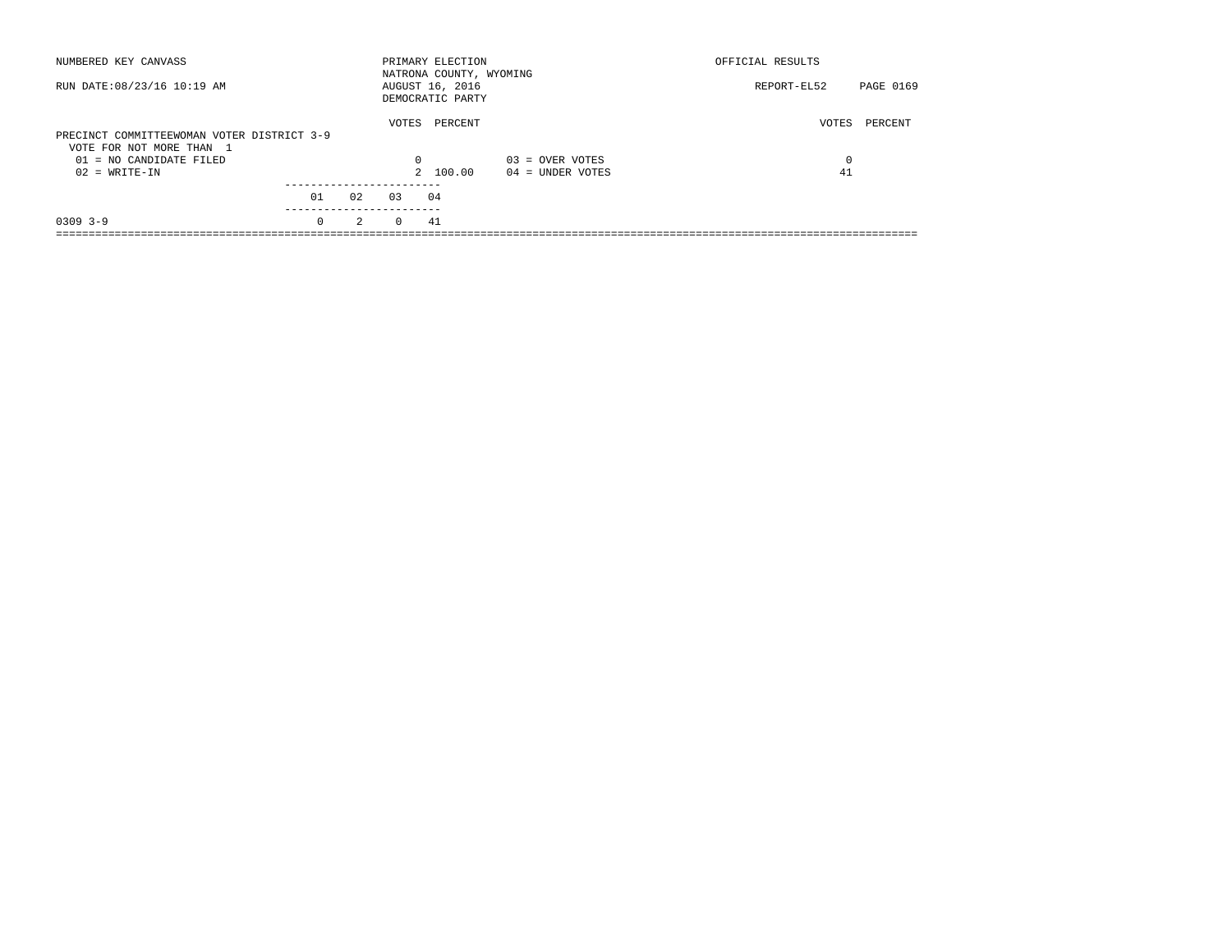| NUMBERED KEY CANVASS                                                   |          |    |          | PRIMARY ELECTION<br>NATRONA COUNTY, WYOMING |                    | OFFICIAL RESULTS |           |
|------------------------------------------------------------------------|----------|----|----------|---------------------------------------------|--------------------|------------------|-----------|
| RUN DATE: 08/23/16 10:19 AM                                            |          |    |          | AUGUST 16, 2016<br>DEMOCRATIC PARTY         |                    | REPORT-EL52      | PAGE 0169 |
| PRECINCT COMMITTEEWOMAN VOTER DISTRICT 3-9<br>VOTE FOR NOT MORE THAN 1 |          |    | VOTES    | PERCENT                                     |                    | VOTES            | PERCENT   |
| $01 = NO$ CANDIDATE FILED                                              |          |    | 0        |                                             | $03 =$ OVER VOTES  | 0                |           |
| $02 = WRITE-IN$                                                        |          |    |          | 2 100.00                                    | $04 =$ UNDER VOTES | 41               |           |
|                                                                        | 01       | 02 | 0.3      | 04                                          |                    |                  |           |
| $0309$ $3-9$                                                           | $\Omega$ | 2  | $\Omega$ | 41                                          |                    |                  |           |
|                                                                        |          |    |          |                                             |                    |                  |           |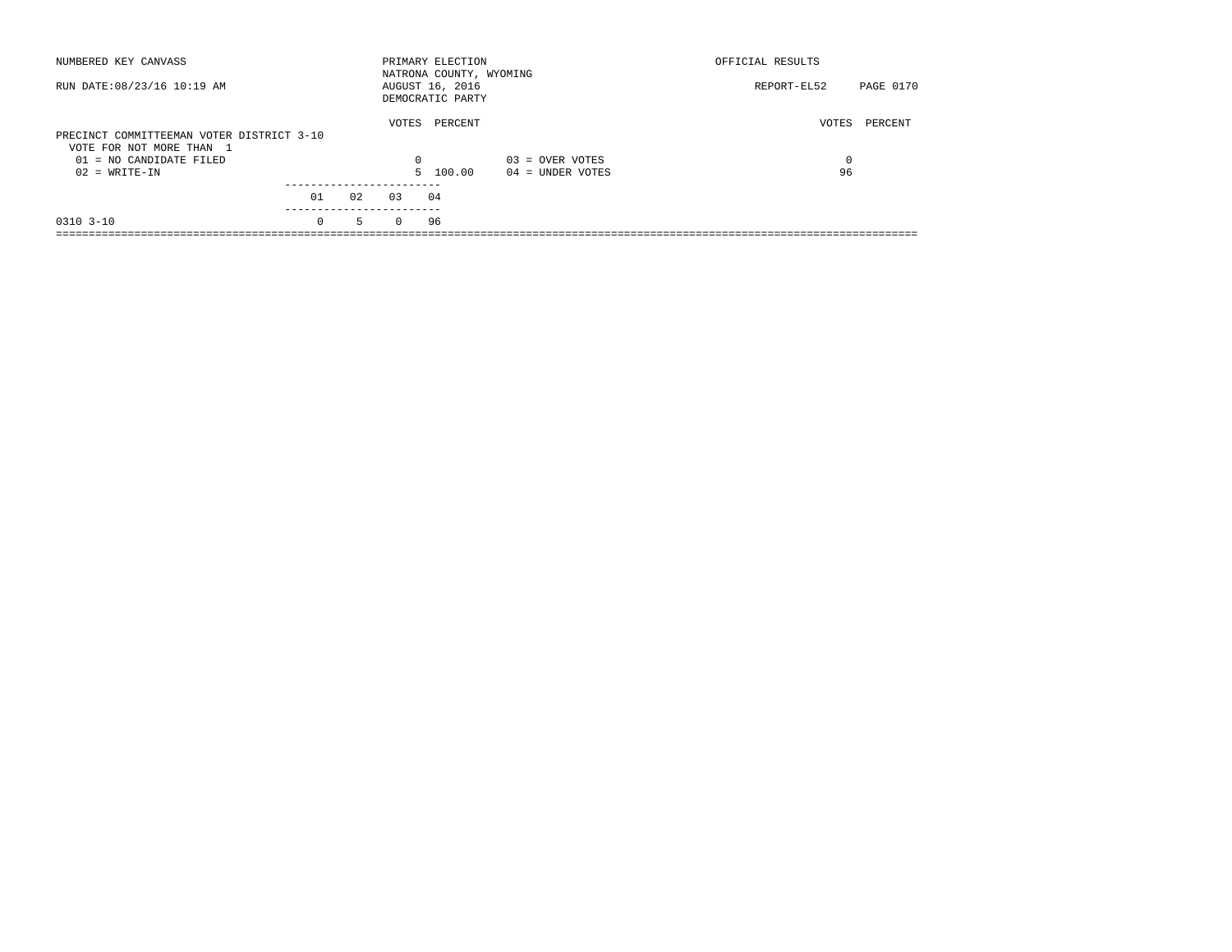| NUMBERED KEY CANVASS                                                                             |          |    |                   | PRIMARY ELECTION<br>NATRONA COUNTY, WYOMING |                    | OFFICIAL RESULTS |           |
|--------------------------------------------------------------------------------------------------|----------|----|-------------------|---------------------------------------------|--------------------|------------------|-----------|
| RUN DATE: 08/23/16 10:19 AM                                                                      |          |    |                   | AUGUST 16, 2016<br>DEMOCRATIC PARTY         |                    | REPORT-EL52      | PAGE 0170 |
| PRECINCT COMMITTEEMAN VOTER DISTRICT 3-10<br>VOTE FOR NOT MORE THAN 1<br>01 = NO CANDIDATE FILED |          |    | VOTES<br>$\Omega$ | PERCENT                                     | $03 =$ OVER VOTES  | VOTES            | PERCENT   |
| $02 = WRITE-IN$                                                                                  |          |    |                   | 5 100.00                                    | $04 =$ UNDER VOTES | 96               |           |
|                                                                                                  | 01       | 02 | 03                | 04                                          |                    |                  |           |
| $0310$ $3-10$                                                                                    | $\Omega$ | 5  | $\Omega$          | 96                                          |                    |                  |           |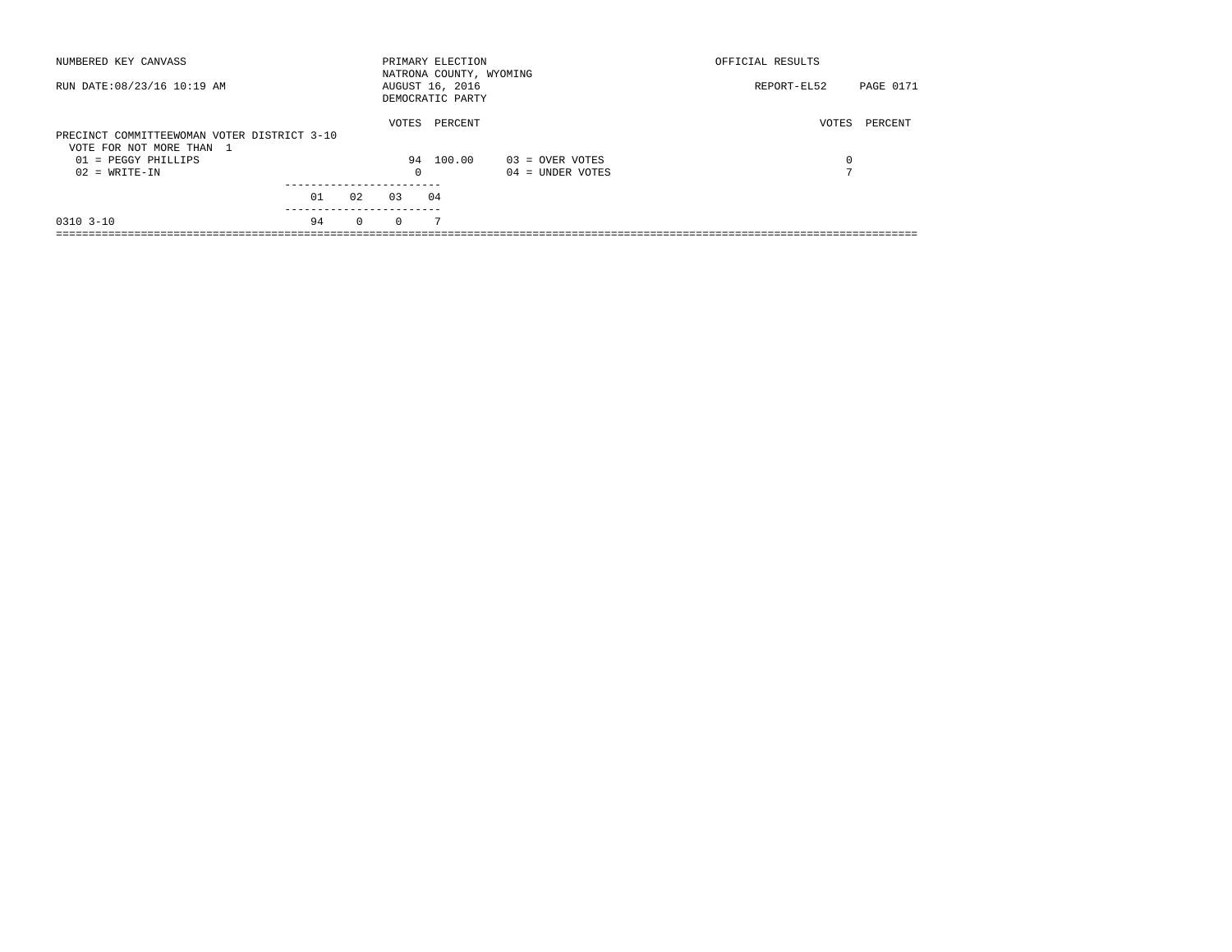| NUMBERED KEY CANVASS                                                    |    |          |          | PRIMARY ELECTION<br>NATRONA COUNTY, WYOMING |                    | OFFICIAL RESULTS |                  |
|-------------------------------------------------------------------------|----|----------|----------|---------------------------------------------|--------------------|------------------|------------------|
| RUN DATE: 08/23/16 10:19 AM                                             |    |          |          | AUGUST 16, 2016<br>DEMOCRATIC PARTY         |                    | REPORT-EL52      | <b>PAGE 0171</b> |
| PRECINCT COMMITTEEWOMAN VOTER DISTRICT 3-10<br>VOTE FOR NOT MORE THAN 1 |    |          | VOTES    | PERCENT                                     |                    | VOTES            | PERCENT          |
| $01$ = PEGGY PHILLIPS                                                   |    |          |          | 94 100.00                                   | $03 =$ OVER VOTES  | 0                |                  |
| $02 = WRITE-IN$                                                         |    |          | $\Omega$ |                                             | $04 =$ UNDER VOTES | $\blacksquare$   |                  |
|                                                                         |    |          |          |                                             |                    |                  |                  |
|                                                                         | 01 | 02       | 03       | 04                                          |                    |                  |                  |
| $0310$ $3-10$                                                           | 94 | $\Omega$ | $\Omega$ | 7                                           |                    |                  |                  |
|                                                                         |    |          |          |                                             |                    |                  |                  |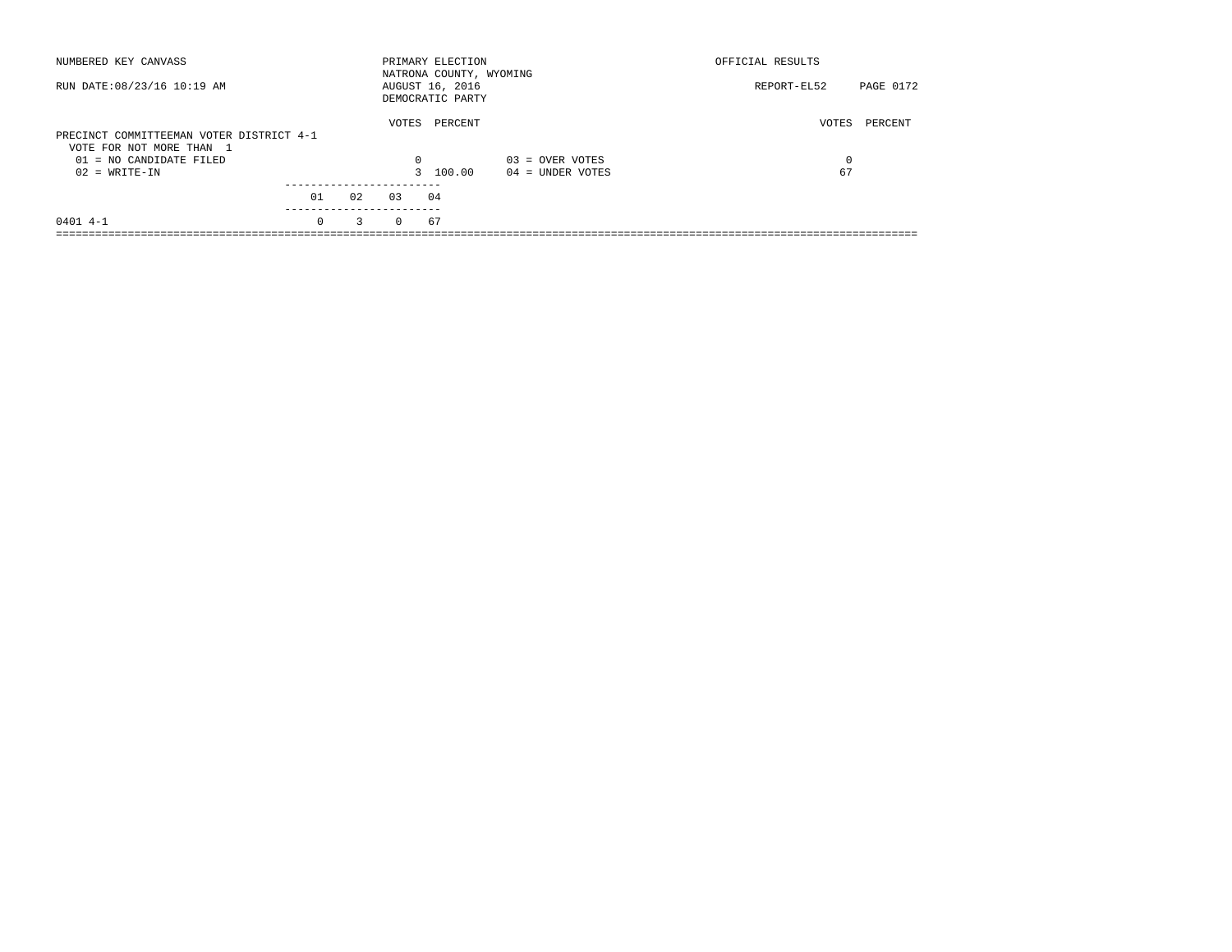| NUMBERED KEY CANVASS                                                 |          |    |          | PRIMARY ELECTION<br>NATRONA COUNTY, WYOMING |                    | OFFICIAL RESULTS |           |
|----------------------------------------------------------------------|----------|----|----------|---------------------------------------------|--------------------|------------------|-----------|
| RUN DATE: 08/23/16 10:19 AM                                          |          |    |          | AUGUST 16, 2016<br>DEMOCRATIC PARTY         |                    | REPORT-EL52      | PAGE 0172 |
| PRECINCT COMMITTEEMAN VOTER DISTRICT 4-1<br>VOTE FOR NOT MORE THAN 1 |          |    | VOTES    | PERCENT                                     |                    | VOTES            | PERCENT   |
| $01 = NO$ CANDIDATE FILED                                            |          |    | 0        |                                             | $03 =$ OVER VOTES  | 0                |           |
| $02 = WRITE-IN$                                                      |          |    |          | 3 100.00                                    | $04 =$ UNDER VOTES | 67               |           |
|                                                                      | 01       | 02 | 0.3      | 04                                          |                    |                  |           |
| $0401$ 4-1                                                           | $\Omega$ | 3  | $\Omega$ | 67                                          |                    |                  |           |
|                                                                      |          |    |          |                                             |                    |                  |           |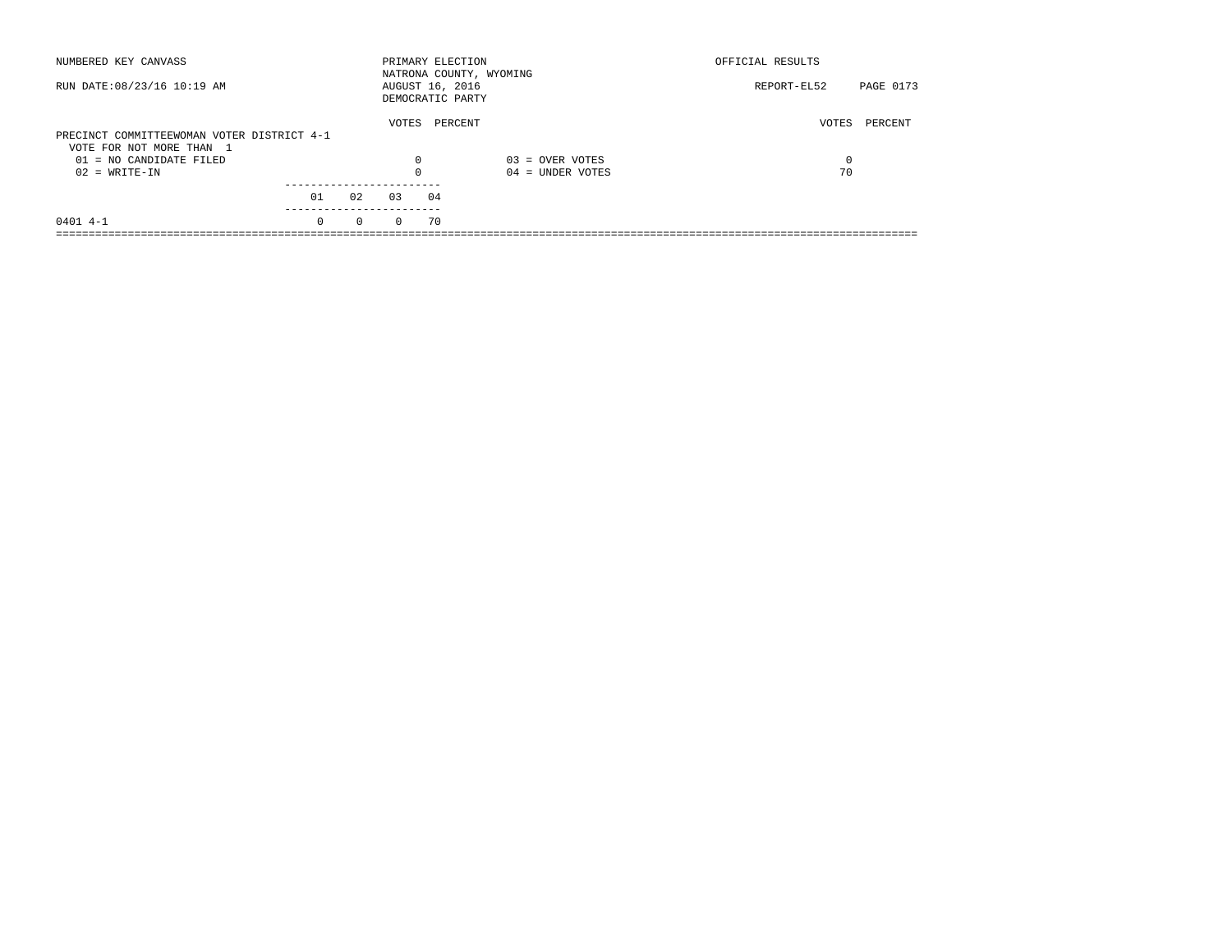| NUMBERED KEY CANVASS                                  |          |          |          | PRIMARY ELECTION<br>NATRONA COUNTY, WYOMING |                    | OFFICIAL RESULTS |           |
|-------------------------------------------------------|----------|----------|----------|---------------------------------------------|--------------------|------------------|-----------|
| RUN DATE: 08/23/16 10:19 AM                           |          |          |          | AUGUST 16, 2016<br>DEMOCRATIC PARTY         |                    | REPORT-EL52      | PAGE 0173 |
| PRECINCT COMMITTEEWOMAN VOTER DISTRICT 4-1            |          |          | VOTES    | PERCENT                                     |                    | VOTES            | PERCENT   |
| VOTE FOR NOT MORE THAN 1<br>$01 = NO$ CANDIDATE FILED |          |          | $\Omega$ |                                             | $03 =$ OVER VOTES  | 0                |           |
| $02 = WRITE-IN$                                       |          |          | $\Omega$ |                                             | $04 =$ UNDER VOTES | 70               |           |
|                                                       | 01       | 02       | 0.3      | 04                                          |                    |                  |           |
| $0401$ 4-1                                            | $\Omega$ | $\Omega$ | $\Omega$ | 70                                          |                    |                  |           |
|                                                       |          |          |          |                                             |                    |                  |           |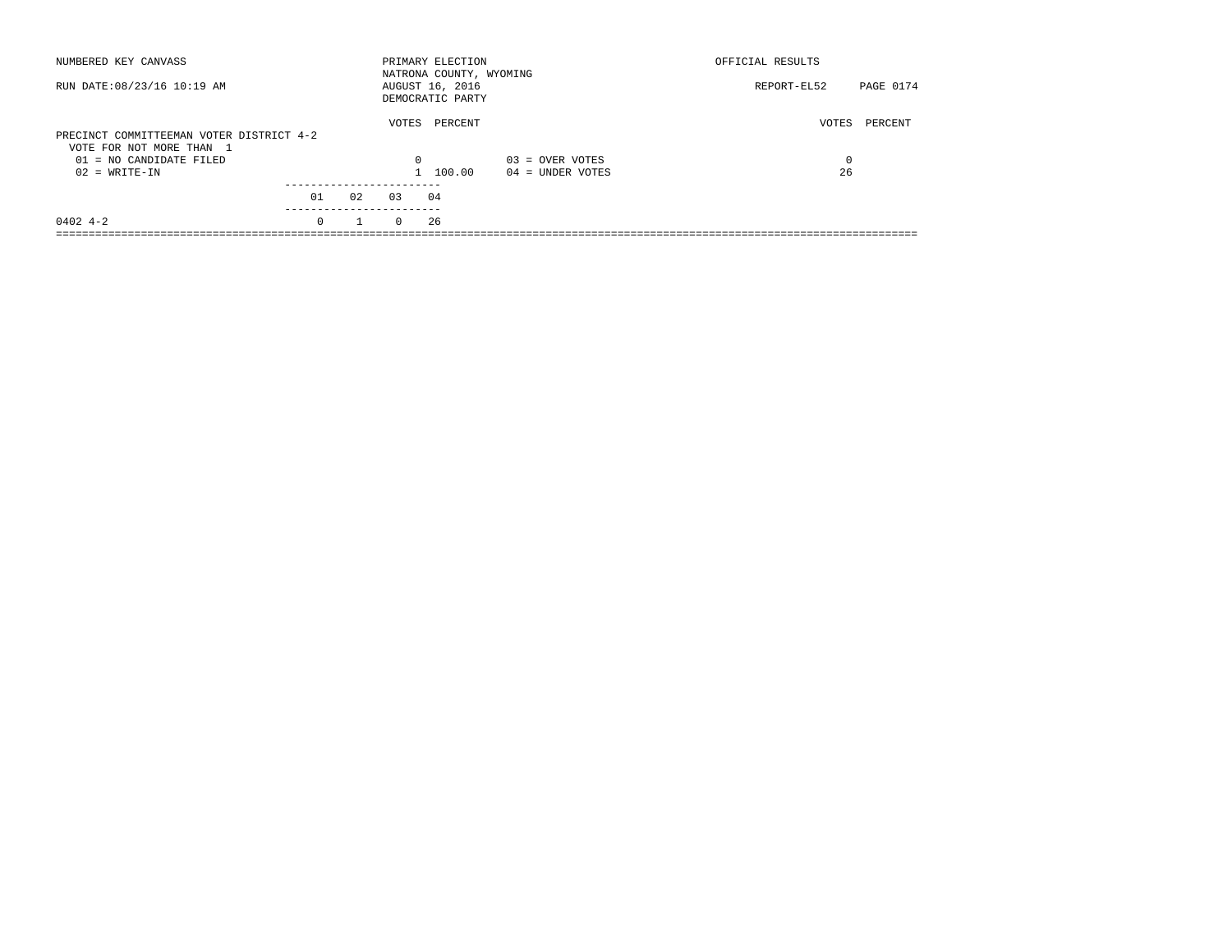| NUMBERED KEY CANVASS                                                 |          |              |          | PRIMARY ELECTION<br>NATRONA COUNTY, WYOMING |                    | OFFICIAL RESULTS |           |
|----------------------------------------------------------------------|----------|--------------|----------|---------------------------------------------|--------------------|------------------|-----------|
| RUN DATE: 08/23/16 10:19 AM                                          |          |              |          | AUGUST 16, 2016<br>DEMOCRATIC PARTY         |                    | REPORT-EL52      | PAGE 0174 |
| PRECINCT COMMITTEEMAN VOTER DISTRICT 4-2<br>VOTE FOR NOT MORE THAN 1 |          |              | VOTES    | PERCENT                                     |                    | VOTES            | PERCENT   |
| 01 = NO CANDIDATE FILED                                              |          |              | $\Omega$ |                                             | $03 =$ OVER VOTES  | 0                |           |
| $02 = WRITE-IN$                                                      |          |              |          | 1 100.00                                    | $04 =$ UNDER VOTES | 26               |           |
|                                                                      |          |              |          |                                             |                    |                  |           |
|                                                                      | 01       | 02           | 0.3      | 04                                          |                    |                  |           |
| $0402$ 4-2                                                           | $\Omega$ | $\mathbf{1}$ | $\Omega$ | 26                                          |                    |                  |           |
|                                                                      |          |              |          |                                             |                    |                  |           |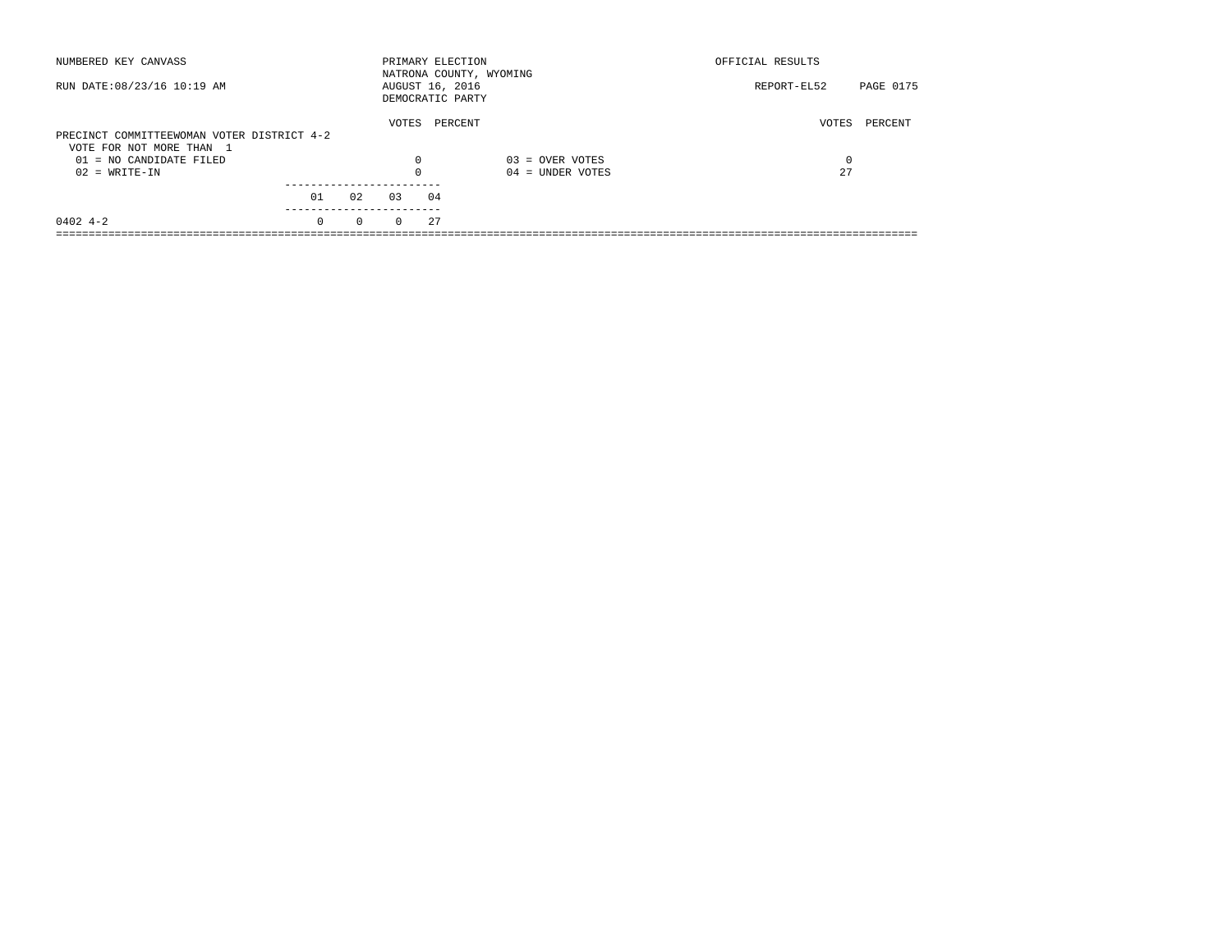| NUMBERED KEY CANVASS                                                   |          |          |          | PRIMARY ELECTION<br>NATRONA COUNTY, WYOMING |                    | OFFICIAL RESULTS |           |
|------------------------------------------------------------------------|----------|----------|----------|---------------------------------------------|--------------------|------------------|-----------|
| RUN DATE: 08/23/16 10:19 AM                                            |          |          |          | AUGUST 16, 2016<br>DEMOCRATIC PARTY         |                    | REPORT-EL52      | PAGE 0175 |
| PRECINCT COMMITTEEWOMAN VOTER DISTRICT 4-2<br>VOTE FOR NOT MORE THAN 1 |          |          | VOTES    | PERCENT                                     |                    | VOTES            | PERCENT   |
| 01 = NO CANDIDATE FILED                                                |          |          | 0        |                                             | $03 =$ OVER VOTES  | 0                |           |
| $02 = WRITE-IN$                                                        |          |          |          |                                             | $04 =$ UNDER VOTES | 27               |           |
|                                                                        | 01       | 02       | 03       | 04                                          |                    |                  |           |
| $0402$ 4-2                                                             | $\Omega$ | $\Omega$ | $\Omega$ | 27                                          |                    |                  |           |
|                                                                        |          |          |          |                                             |                    |                  |           |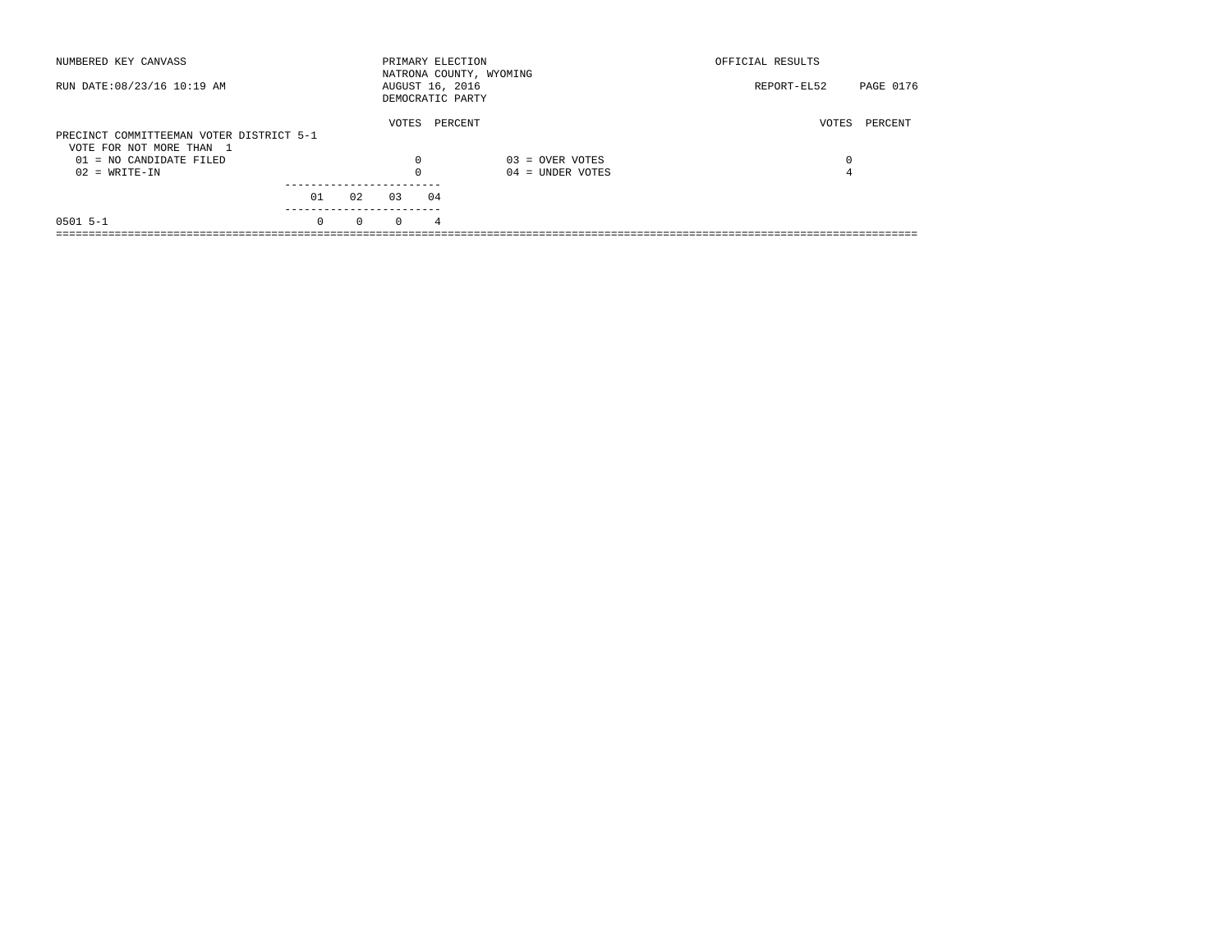| NUMBERED KEY CANVASS                                                 |          |          |          | PRIMARY ELECTION                    | NATRONA COUNTY, WYOMING | OFFICIAL RESULTS |           |
|----------------------------------------------------------------------|----------|----------|----------|-------------------------------------|-------------------------|------------------|-----------|
| RUN DATE: 08/23/16 10:19 AM                                          |          |          |          | AUGUST 16, 2016<br>DEMOCRATIC PARTY |                         | REPORT-EL52      | PAGE 0176 |
| PRECINCT COMMITTEEMAN VOTER DISTRICT 5-1<br>VOTE FOR NOT MORE THAN 1 |          |          | VOTES    | PERCENT                             |                         | VOTES            | PERCENT   |
| 01 = NO CANDIDATE FILED                                              |          |          | 0        |                                     | $03 =$ OVER VOTES       | 0                |           |
| $02 = WRITE-IN$                                                      |          |          | $\Omega$ |                                     | $04 =$ UNDER VOTES      | 4                |           |
|                                                                      | 01       | 02       | 0.3      | 04                                  |                         |                  |           |
| $0501$ 5-1                                                           | $\Omega$ | $\Omega$ | $\Omega$ | 4                                   |                         |                  |           |
|                                                                      |          |          |          |                                     |                         |                  |           |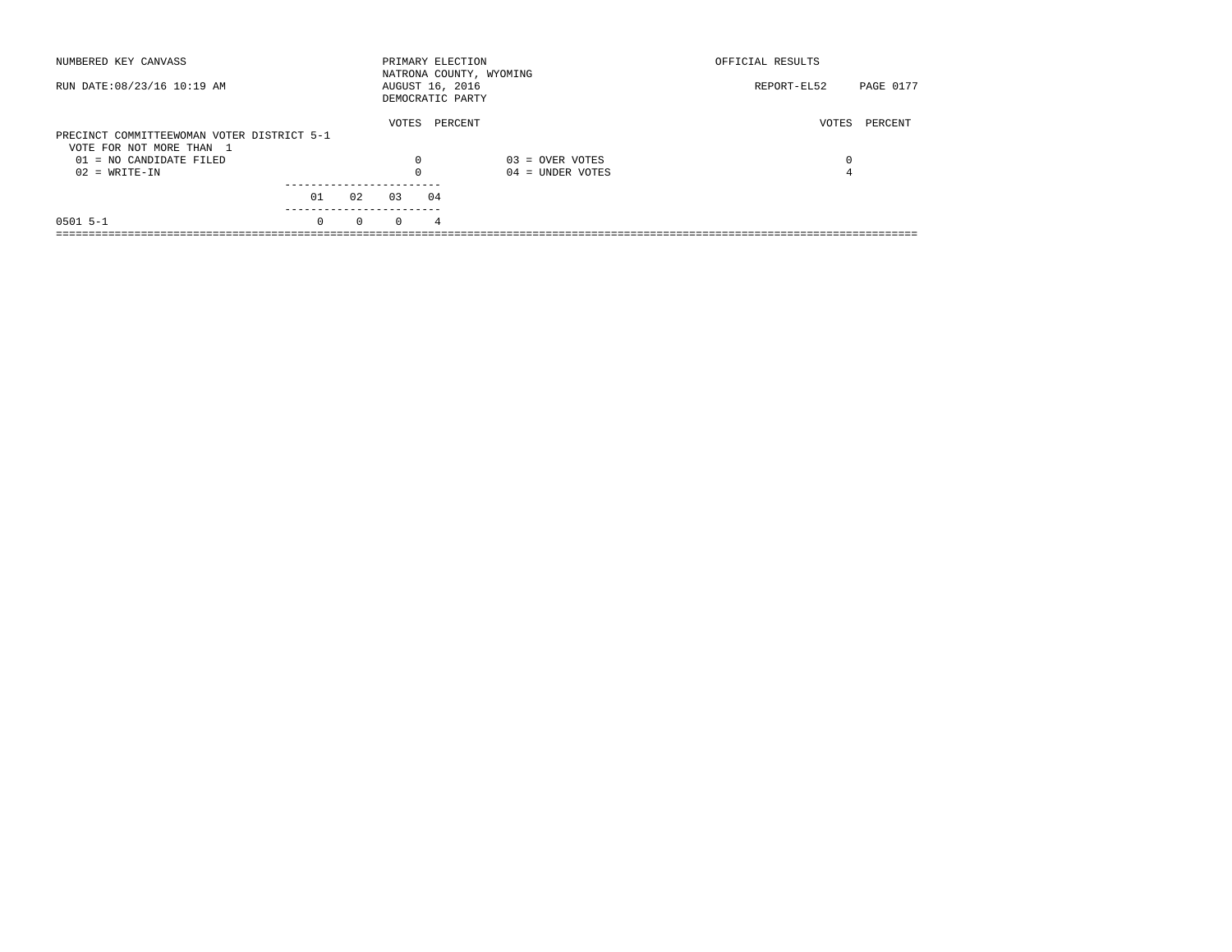| NUMBERED KEY CANVASS                       |          |          | PRIMARY ELECTION                    |                | NATRONA COUNTY, WYOMING | OFFICIAL RESULTS |           |
|--------------------------------------------|----------|----------|-------------------------------------|----------------|-------------------------|------------------|-----------|
| RUN DATE: 08/23/16 10:19 AM                |          |          | AUGUST 16, 2016<br>DEMOCRATIC PARTY |                |                         | REPORT-EL52      | PAGE 0177 |
|                                            |          |          | VOTES                               |                | PERCENT                 | VOTES            | PERCENT   |
| PRECINCT COMMITTEEWOMAN VOTER DISTRICT 5-1 |          |          |                                     |                |                         |                  |           |
| VOTE FOR NOT MORE THAN 1                   |          |          |                                     |                |                         |                  |           |
| 01 = NO CANDIDATE FILED                    |          |          | $\Omega$                            |                | $03 =$ OVER VOTES       | 0                |           |
| $02 = WRITE-IN$                            |          |          | $\Omega$                            |                | $04 =$ UNDER VOTES      | 4                |           |
|                                            |          |          |                                     |                |                         |                  |           |
|                                            | 01       | 02       | 0.3                                 | 04             |                         |                  |           |
| $0501$ 5-1                                 | $\Omega$ | $\Omega$ | $\Omega$                            | $\overline{4}$ |                         |                  |           |
|                                            |          |          |                                     |                |                         |                  |           |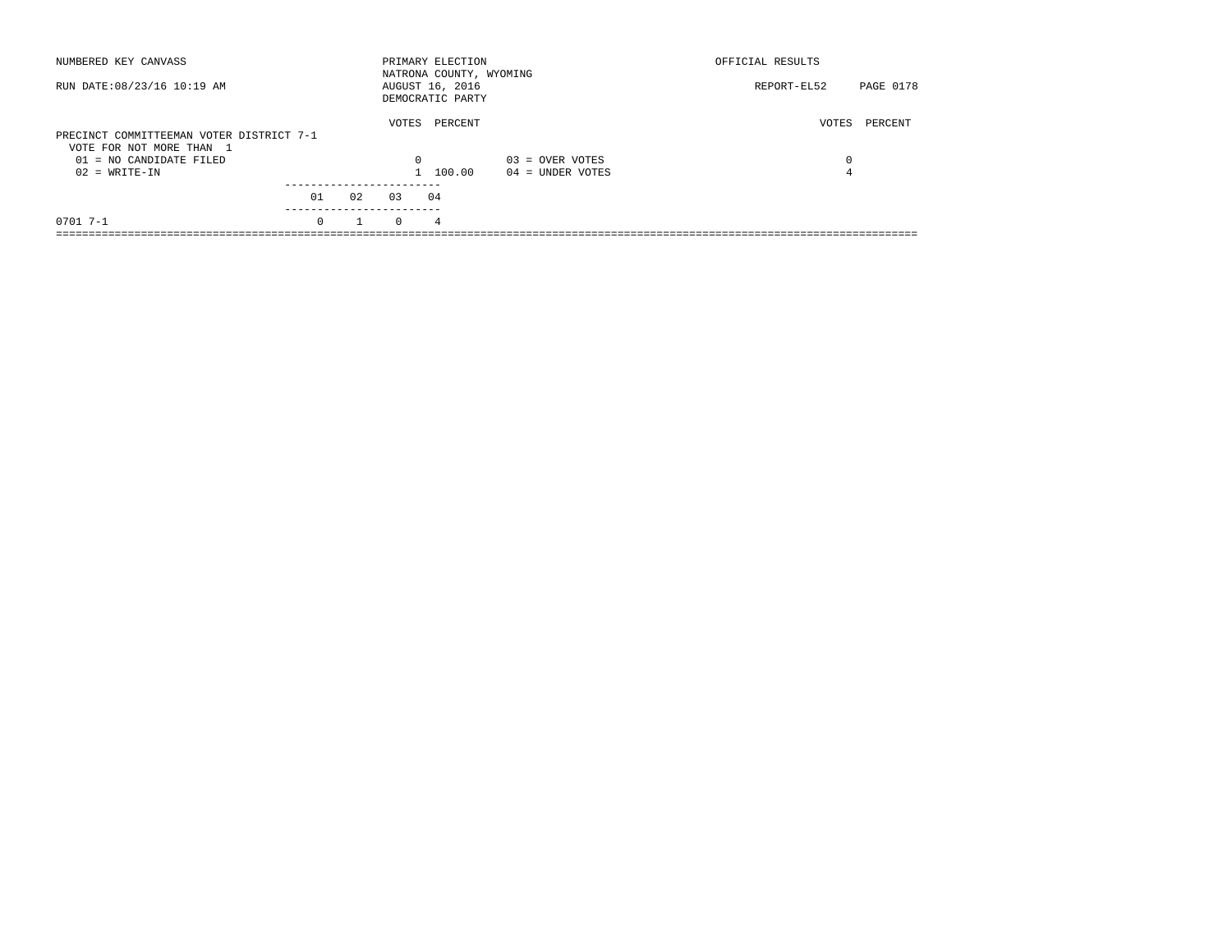| NUMBERED KEY CANVASS                                                 |          |    |          | PRIMARY ELECTION<br>NATRONA COUNTY, WYOMING |                    | OFFICIAL RESULTS |           |
|----------------------------------------------------------------------|----------|----|----------|---------------------------------------------|--------------------|------------------|-----------|
| RUN DATE: 08/23/16 10:19 AM                                          |          |    |          | AUGUST 16, 2016<br>DEMOCRATIC PARTY         |                    | REPORT-EL52      | PAGE 0178 |
| PRECINCT COMMITTEEMAN VOTER DISTRICT 7-1<br>VOTE FOR NOT MORE THAN 1 |          |    | VOTES    | PERCENT                                     |                    | VOTES            | PERCENT   |
| 01 = NO CANDIDATE FILED                                              |          |    | $\Omega$ |                                             | $03 =$ OVER VOTES  | 0                |           |
| $02 = WRITE-IN$                                                      |          |    |          | 1 100.00                                    | $04 =$ UNDER VOTES | 4                |           |
|                                                                      | 01       | 02 | 0.3      | 04                                          |                    |                  |           |
|                                                                      |          |    |          |                                             |                    |                  |           |
| $0701$ 7-1                                                           | $\Omega$ |    | $\Omega$ | 4                                           |                    |                  |           |
|                                                                      |          |    |          |                                             |                    |                  |           |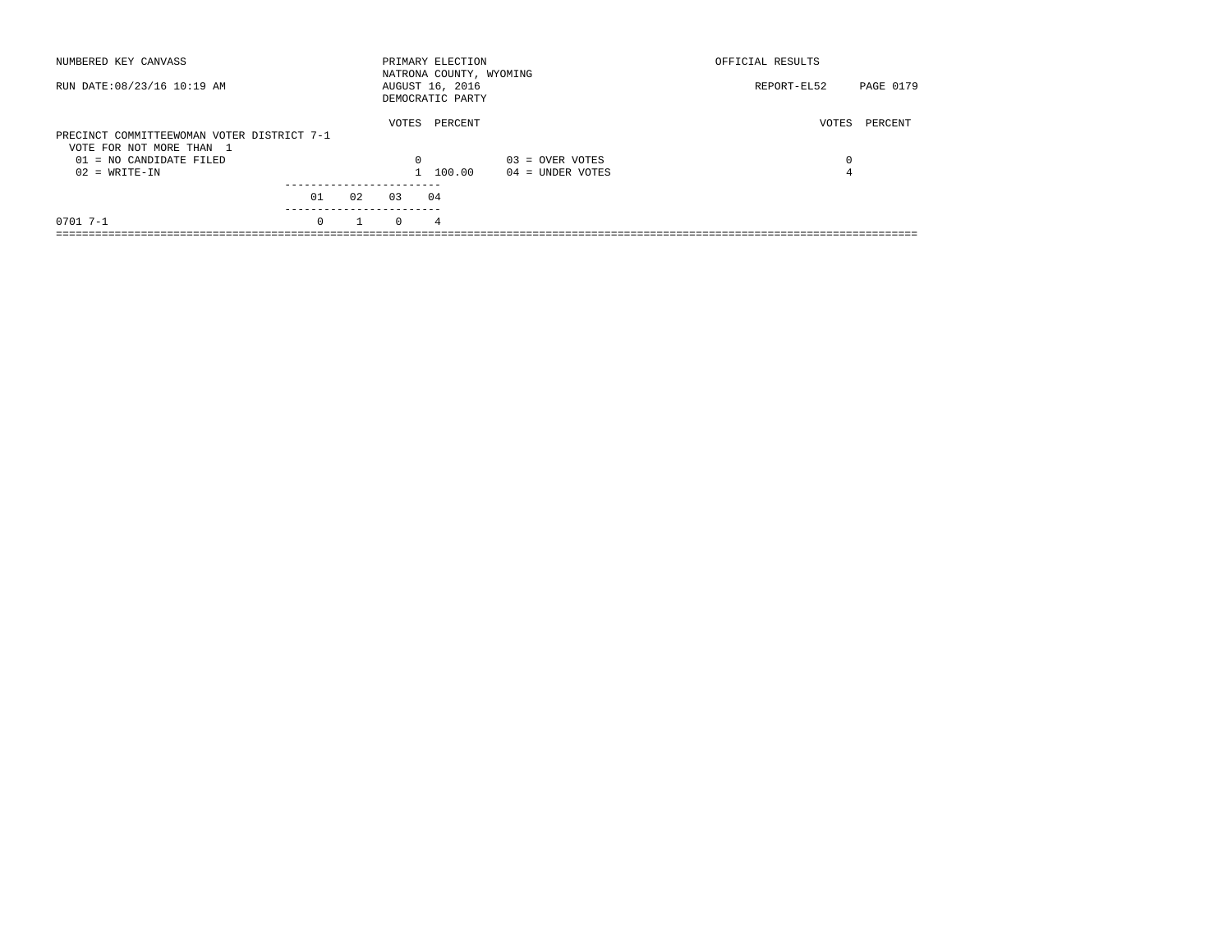| NUMBERED KEY CANVASS                                                   |          |    |          | PRIMARY ELECTION<br>NATRONA COUNTY, WYOMING |                    | OFFICIAL RESULTS |           |
|------------------------------------------------------------------------|----------|----|----------|---------------------------------------------|--------------------|------------------|-----------|
| RUN DATE: 08/23/16 10:19 AM                                            |          |    |          | AUGUST 16, 2016<br>DEMOCRATIC PARTY         |                    | REPORT-EL52      | PAGE 0179 |
| PRECINCT COMMITTEEWOMAN VOTER DISTRICT 7-1<br>VOTE FOR NOT MORE THAN 1 |          |    | VOTES    | PERCENT                                     |                    | VOTES            | PERCENT   |
| 01 = NO CANDIDATE FILED                                                |          |    | $\Omega$ |                                             | $03 =$ OVER VOTES  | 0                |           |
| $02 = WRITE-IN$                                                        |          |    |          | 1 100.00                                    | $04 =$ UNDER VOTES | 4                |           |
|                                                                        |          |    |          |                                             |                    |                  |           |
|                                                                        | 01       | 02 | 03       | 04                                          |                    |                  |           |
| $0701$ 7-1                                                             | $\Omega$ |    | $\Omega$ | 4                                           |                    |                  |           |
|                                                                        |          |    |          |                                             |                    |                  |           |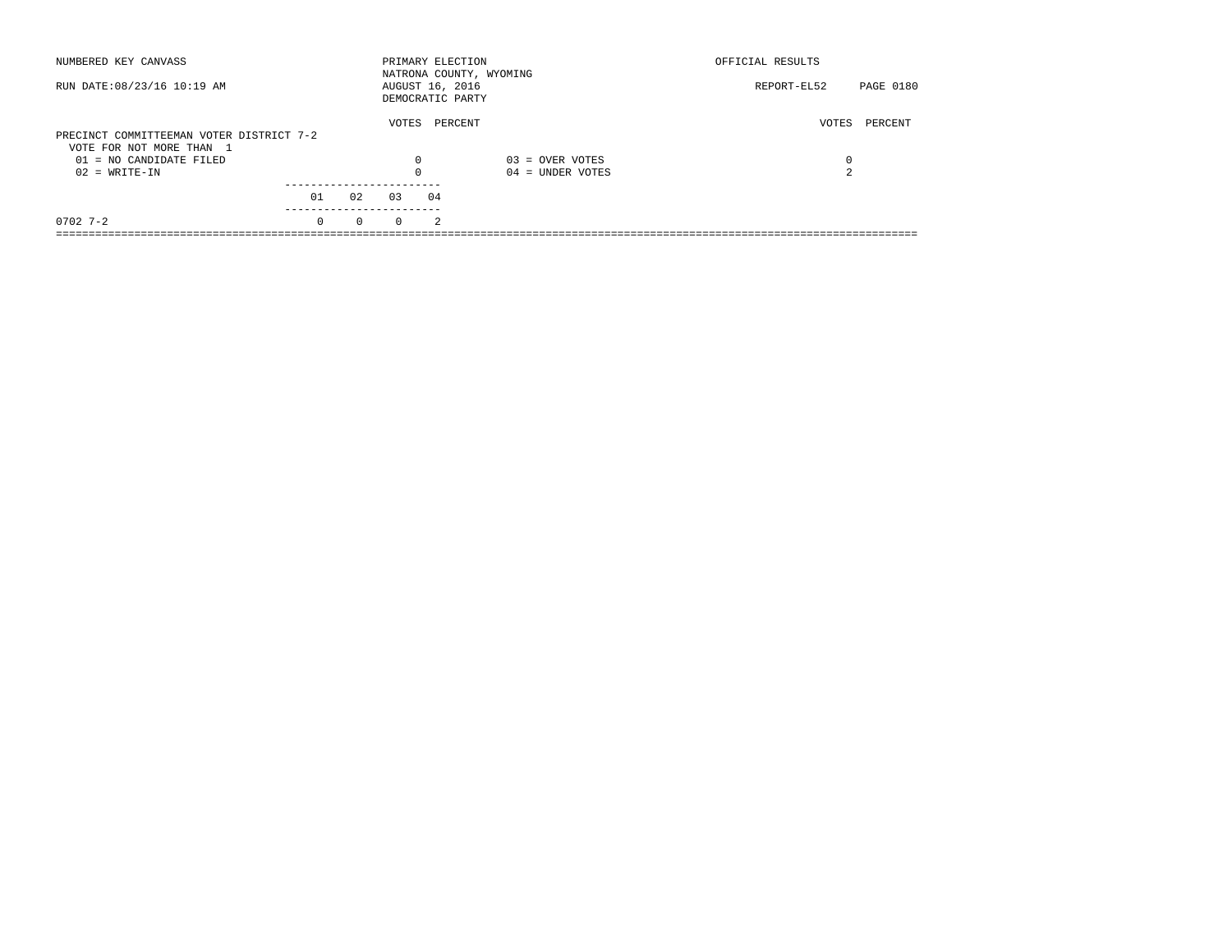| NUMBERED KEY CANVASS                                                 |          |          |          | PRIMARY ELECTION<br>NATRONA COUNTY, WYOMING |                    | OFFICIAL RESULTS |           |
|----------------------------------------------------------------------|----------|----------|----------|---------------------------------------------|--------------------|------------------|-----------|
| RUN DATE: 08/23/16 10:19 AM                                          |          |          |          | AUGUST 16, 2016<br>DEMOCRATIC PARTY         |                    | REPORT-EL52      | PAGE 0180 |
| PRECINCT COMMITTEEMAN VOTER DISTRICT 7-2<br>VOTE FOR NOT MORE THAN 1 |          |          | VOTES    | PERCENT                                     |                    | VOTES            | PERCENT   |
| 01 = NO CANDIDATE FILED                                              |          |          | 0        |                                             | $03 =$ OVER VOTES  | 0                |           |
| $02 = WRITE-IN$                                                      |          |          |          |                                             | $04 =$ UNDER VOTES | $\sim$<br>╱.     |           |
|                                                                      | 01       | 02       | 03       | 04                                          |                    |                  |           |
| $0702$ 7-2                                                           | $\Omega$ | $\Omega$ | $\Omega$ | 2                                           |                    |                  |           |
|                                                                      |          |          |          |                                             |                    |                  |           |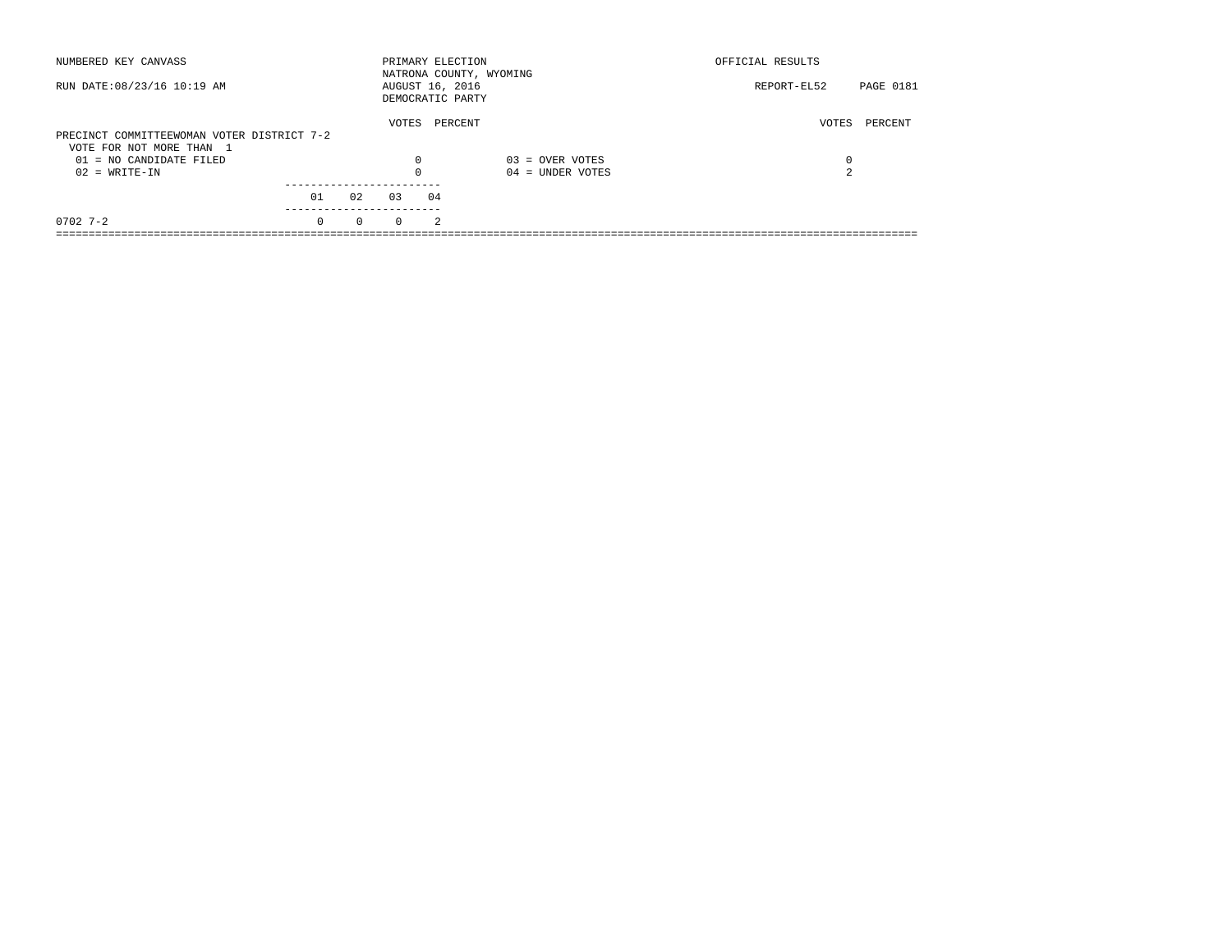| NUMBERED KEY CANVASS                       |          |          | PRIMARY ELECTION                    |                | NATRONA COUNTY, WYOMING | OFFICIAL RESULTS |                  |
|--------------------------------------------|----------|----------|-------------------------------------|----------------|-------------------------|------------------|------------------|
| RUN DATE: 08/23/16 10:19 AM                |          |          | AUGUST 16, 2016<br>DEMOCRATIC PARTY |                |                         | REPORT-EL52      | <b>PAGE 0181</b> |
|                                            |          |          | VOTES                               |                | PERCENT                 | VOTES            | PERCENT          |
| PRECINCT COMMITTEEWOMAN VOTER DISTRICT 7-2 |          |          |                                     |                |                         |                  |                  |
| VOTE FOR NOT MORE THAN 1                   |          |          |                                     |                |                         |                  |                  |
| $01 = NO CANDIDATE FILED$                  |          |          | $\Omega$                            |                | $03 =$ OVER VOTES       | 0                |                  |
| $02 = WRITE-IN$                            |          |          |                                     |                | $04 =$ UNDER VOTES      | $\sim$           |                  |
|                                            |          |          |                                     |                |                         |                  |                  |
|                                            | 01       | 02       | 03                                  | 04             |                         |                  |                  |
| $0702$ 7-2                                 | $\Omega$ | $\Omega$ | $\Omega$                            | $\mathfrak{D}$ |                         |                  |                  |
|                                            |          |          |                                     |                |                         |                  |                  |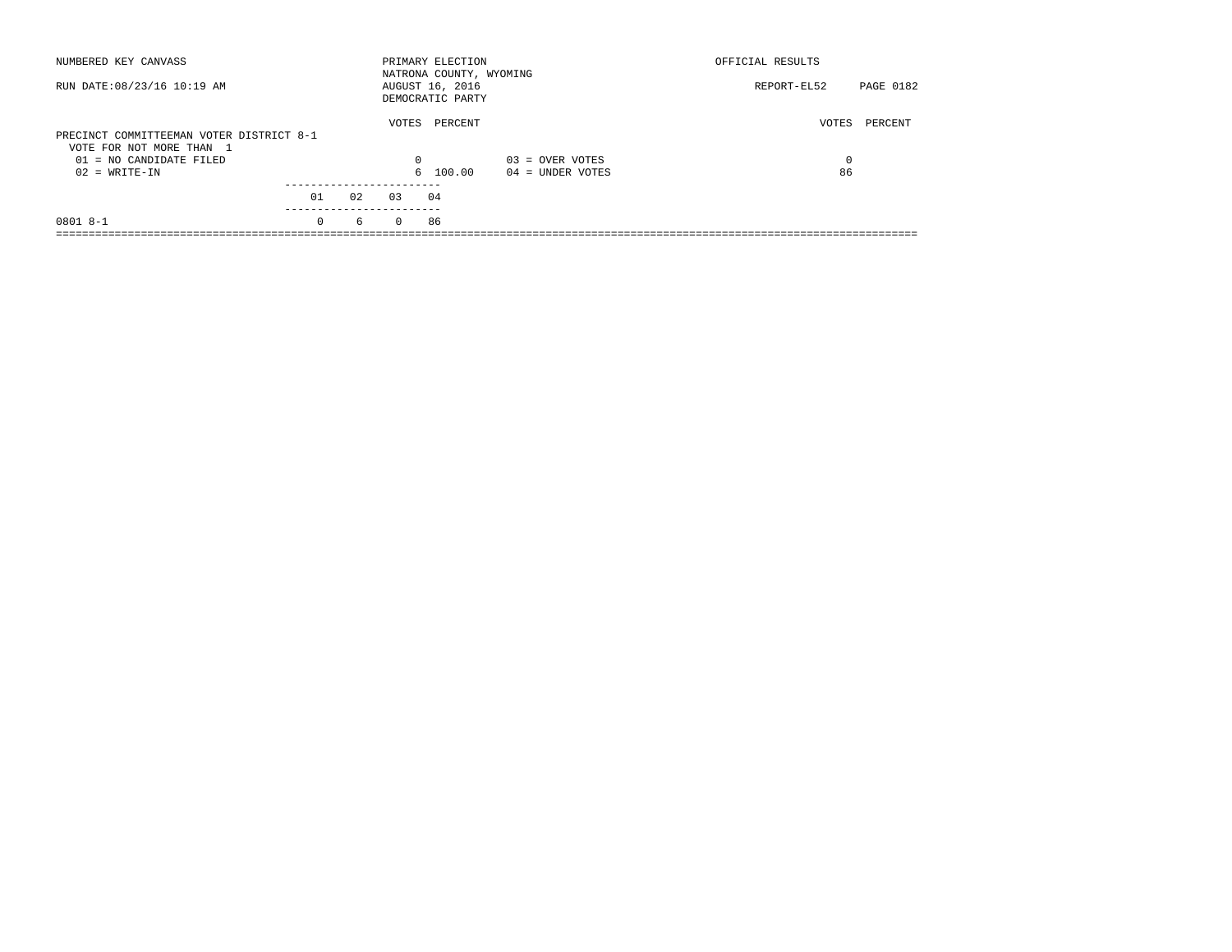| NUMBERED KEY CANVASS                                                 |          |    |          | PRIMARY ELECTION<br>NATRONA COUNTY, WYOMING |                    | OFFICIAL RESULTS |           |
|----------------------------------------------------------------------|----------|----|----------|---------------------------------------------|--------------------|------------------|-----------|
| RUN DATE: 08/23/16 10:19 AM                                          |          |    |          | AUGUST 16, 2016<br>DEMOCRATIC PARTY         |                    | REPORT-EL52      | PAGE 0182 |
| PRECINCT COMMITTEEMAN VOTER DISTRICT 8-1<br>VOTE FOR NOT MORE THAN 1 |          |    | VOTES    | PERCENT                                     |                    | VOTES            | PERCENT   |
| $01 = NO$ CANDIDATE FILED                                            |          |    | $\Omega$ |                                             | $03 =$ OVER VOTES  | $\Omega$         |           |
| $02 = WRITE-IN$                                                      |          |    |          | 6 100.00                                    | $04 =$ UNDER VOTES | 86               |           |
|                                                                      | 01       | 02 | 0.3      | 04                                          |                    |                  |           |
| $08018 - -1$                                                         | $\Omega$ | 6  | $\Omega$ | 86                                          |                    |                  |           |
|                                                                      |          |    |          |                                             |                    |                  |           |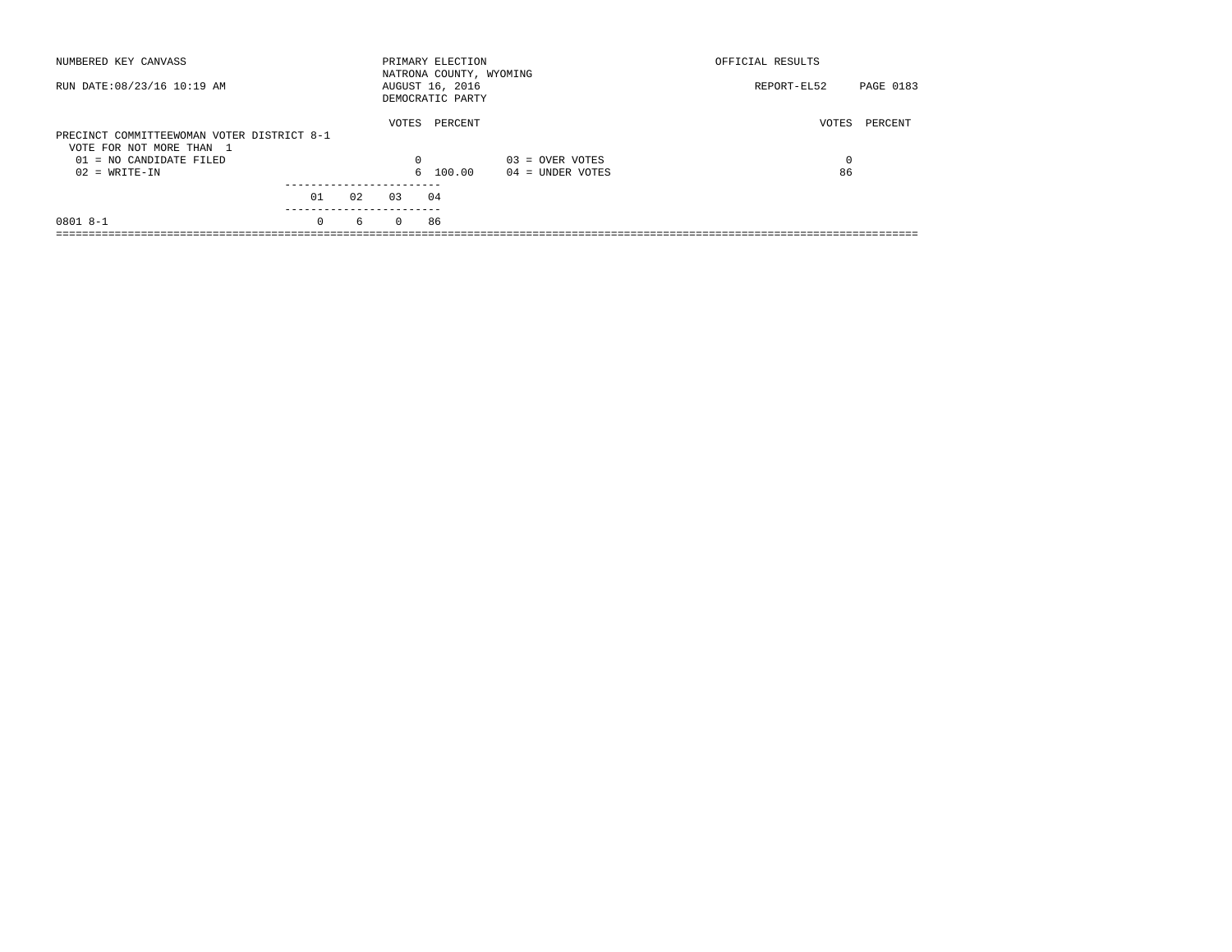| NUMBERED KEY CANVASS                                                   |          |    |          | PRIMARY ELECTION<br>NATRONA COUNTY, WYOMING |                    | OFFICIAL RESULTS |           |
|------------------------------------------------------------------------|----------|----|----------|---------------------------------------------|--------------------|------------------|-----------|
| RUN DATE: 08/23/16 10:19 AM                                            |          |    |          | AUGUST 16, 2016<br>DEMOCRATIC PARTY         |                    | REPORT-EL52      | PAGE 0183 |
| PRECINCT COMMITTEEWOMAN VOTER DISTRICT 8-1<br>VOTE FOR NOT MORE THAN 1 |          |    | VOTES    | PERCENT                                     |                    | VOTES            | PERCENT   |
| $01 = NO$ CANDIDATE FILED                                              |          |    | $\Omega$ |                                             | $03 =$ OVER VOTES  | $\Omega$         |           |
| $02 = WRITE-IN$                                                        |          |    |          | 6 100.00                                    | $04 =$ UNDER VOTES | 86               |           |
|                                                                        | 01       | 02 | 0.3      | 04                                          |                    |                  |           |
| $08018 - -1$                                                           | $\Omega$ | 6  | $\Omega$ | 86                                          |                    |                  |           |
|                                                                        |          |    |          |                                             |                    |                  |           |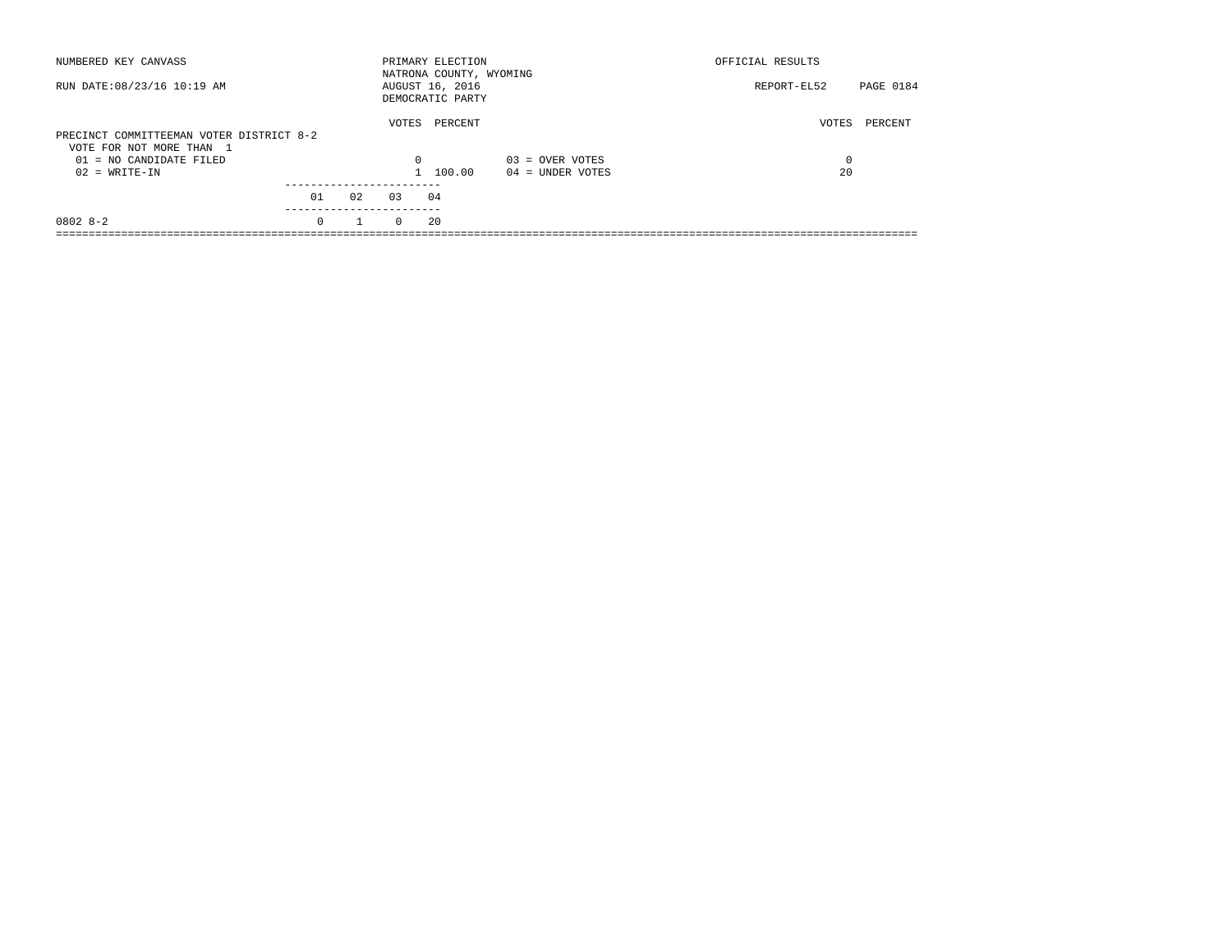| NUMBERED KEY CANVASS                                                 |          |              |          | PRIMARY ELECTION<br>NATRONA COUNTY, WYOMING |                    | OFFICIAL RESULTS |           |
|----------------------------------------------------------------------|----------|--------------|----------|---------------------------------------------|--------------------|------------------|-----------|
| RUN DATE: 08/23/16 10:19 AM                                          |          |              |          | AUGUST 16, 2016<br>DEMOCRATIC PARTY         |                    | REPORT-EL52      | PAGE 0184 |
| PRECINCT COMMITTEEMAN VOTER DISTRICT 8-2<br>VOTE FOR NOT MORE THAN 1 |          |              | VOTES    | PERCENT                                     |                    | VOTES            | PERCENT   |
| 01 = NO CANDIDATE FILED                                              |          |              | $\Omega$ |                                             | $03 =$ OVER VOTES  | 0                |           |
| $02 = WRITE-IN$                                                      |          |              |          | 1 100.00                                    | $04 =$ UNDER VOTES | 20               |           |
|                                                                      |          |              |          |                                             |                    |                  |           |
|                                                                      | 01       | 02           | 0.3      | 04                                          |                    |                  |           |
| $08028 - 2$                                                          | $\Omega$ | $\mathbf{1}$ | $\Omega$ | 20                                          |                    |                  |           |
|                                                                      |          |              |          |                                             |                    |                  |           |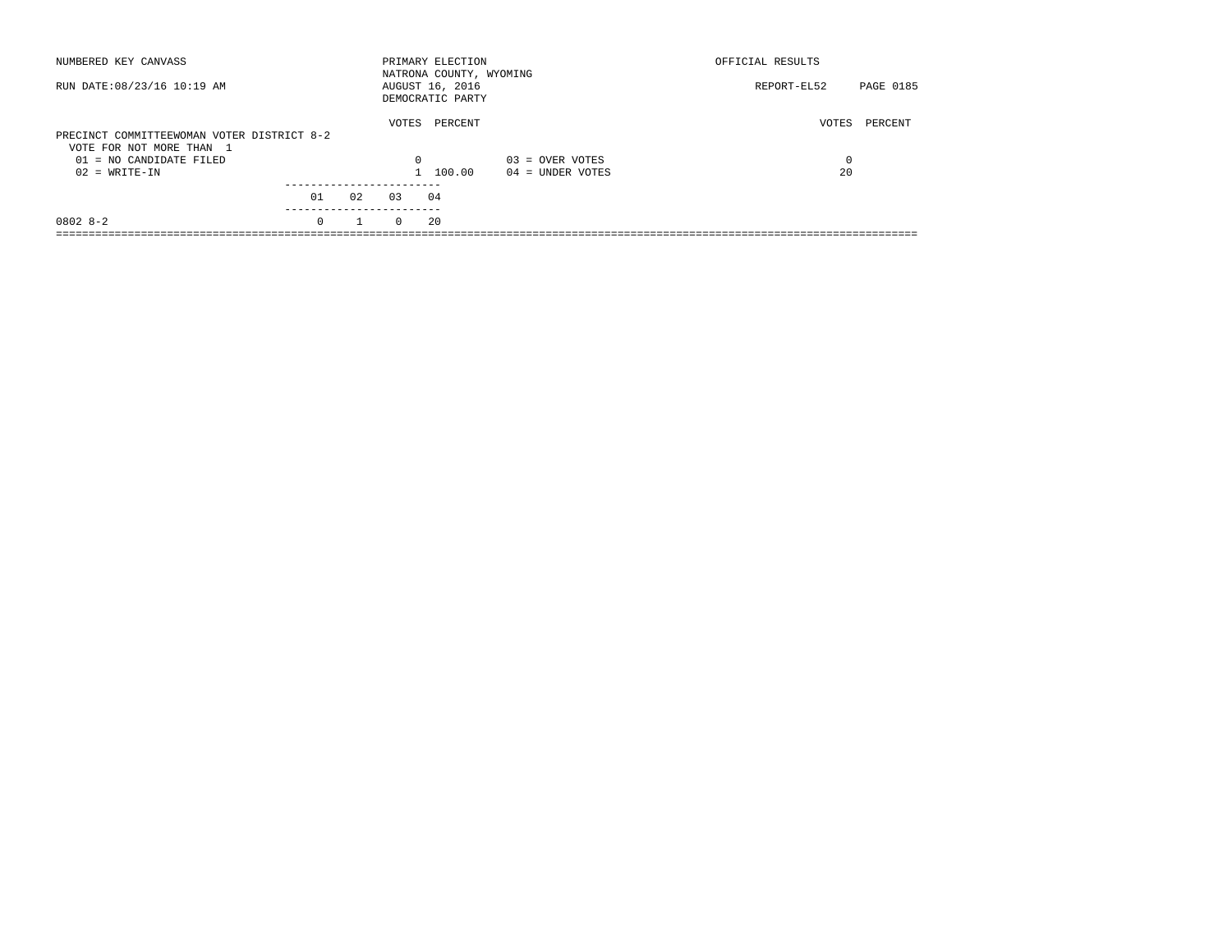| NUMBERED KEY CANVASS                                                   |          |    |          | PRIMARY ELECTION<br>NATRONA COUNTY, WYOMING |                    | OFFICIAL RESULTS |           |
|------------------------------------------------------------------------|----------|----|----------|---------------------------------------------|--------------------|------------------|-----------|
| RUN DATE: 08/23/16 10:19 AM                                            |          |    |          | AUGUST 16, 2016<br>DEMOCRATIC PARTY         |                    | REPORT-EL52      | PAGE 0185 |
| PRECINCT COMMITTEEWOMAN VOTER DISTRICT 8-2<br>VOTE FOR NOT MORE THAN 1 |          |    | VOTES    | PERCENT                                     |                    | VOTES            | PERCENT   |
| $01 = NO$ CANDIDATE FILED                                              |          |    | $\Omega$ |                                             | $03 =$ OVER VOTES  | $\Omega$         |           |
| $02 = WRITE-IN$                                                        |          |    |          | 1 100.00                                    | $04 =$ UNDER VOTES | 20               |           |
|                                                                        | 01       | 02 | 0.3      | 04                                          |                    |                  |           |
| $08028 - 2$                                                            | $\Omega$ |    | $\Omega$ | 20                                          |                    |                  |           |
|                                                                        |          |    |          |                                             |                    |                  |           |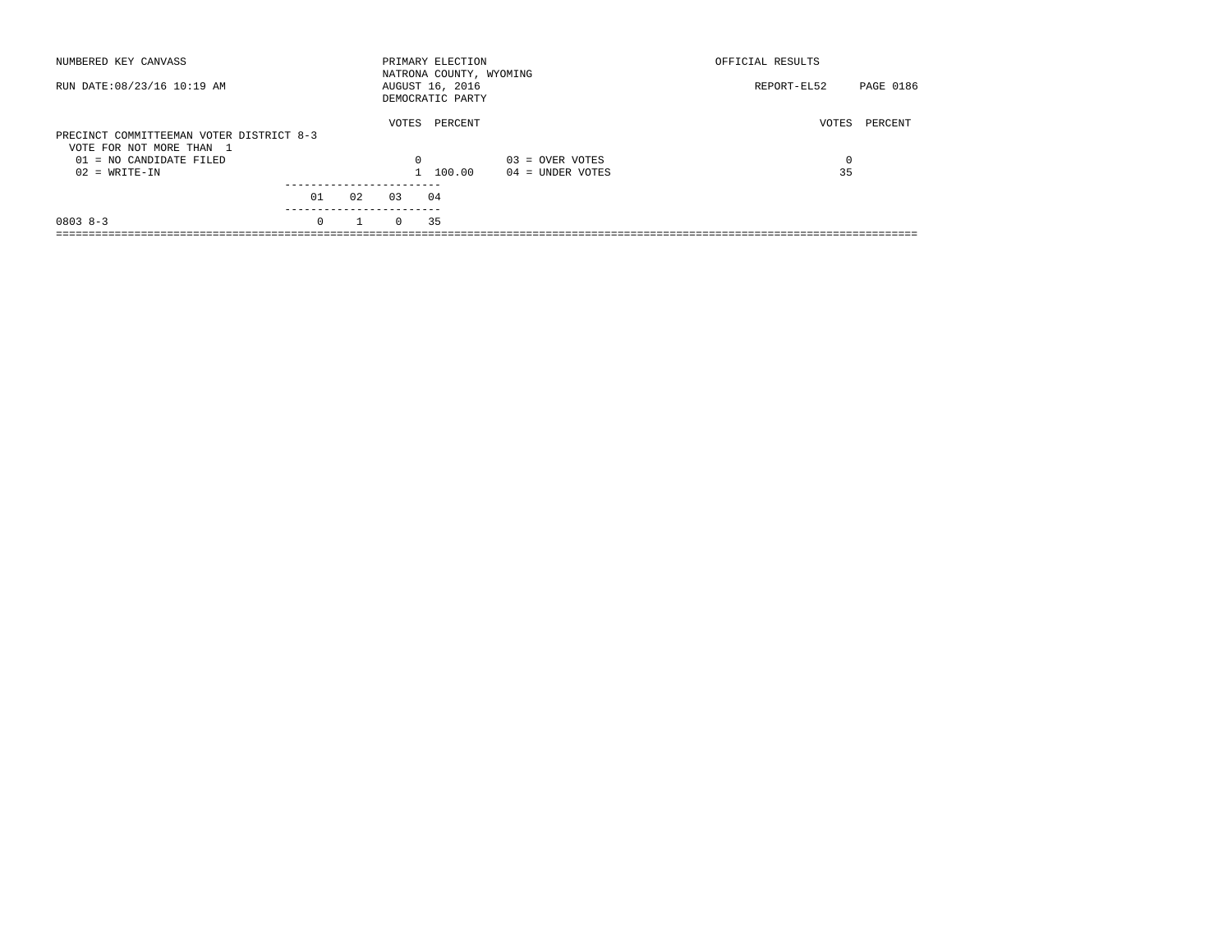| NUMBERED KEY CANVASS                                                 |          |              |          | PRIMARY ELECTION<br>NATRONA COUNTY, WYOMING |                    | OFFICIAL RESULTS |           |
|----------------------------------------------------------------------|----------|--------------|----------|---------------------------------------------|--------------------|------------------|-----------|
| RUN DATE: 08/23/16 10:19 AM                                          |          |              |          | AUGUST 16, 2016<br>DEMOCRATIC PARTY         |                    | REPORT-EL52      | PAGE 0186 |
| PRECINCT COMMITTEEMAN VOTER DISTRICT 8-3<br>VOTE FOR NOT MORE THAN 1 |          |              | VOTES    | PERCENT                                     |                    | VOTES            | PERCENT   |
| 01 = NO CANDIDATE FILED                                              |          |              | $\Omega$ |                                             | $03 =$ OVER VOTES  | 0                |           |
| $02 = WRITE-IN$                                                      |          |              |          | 1 100.00                                    | $04 =$ UNDER VOTES | 35               |           |
|                                                                      | 01       | 02           | 0.3      | 04                                          |                    |                  |           |
|                                                                      |          |              |          |                                             |                    |                  |           |
| $08038 - 3$                                                          | $\Omega$ | $\mathbf{1}$ | $\Omega$ | 35                                          |                    |                  |           |
|                                                                      |          |              |          |                                             |                    |                  |           |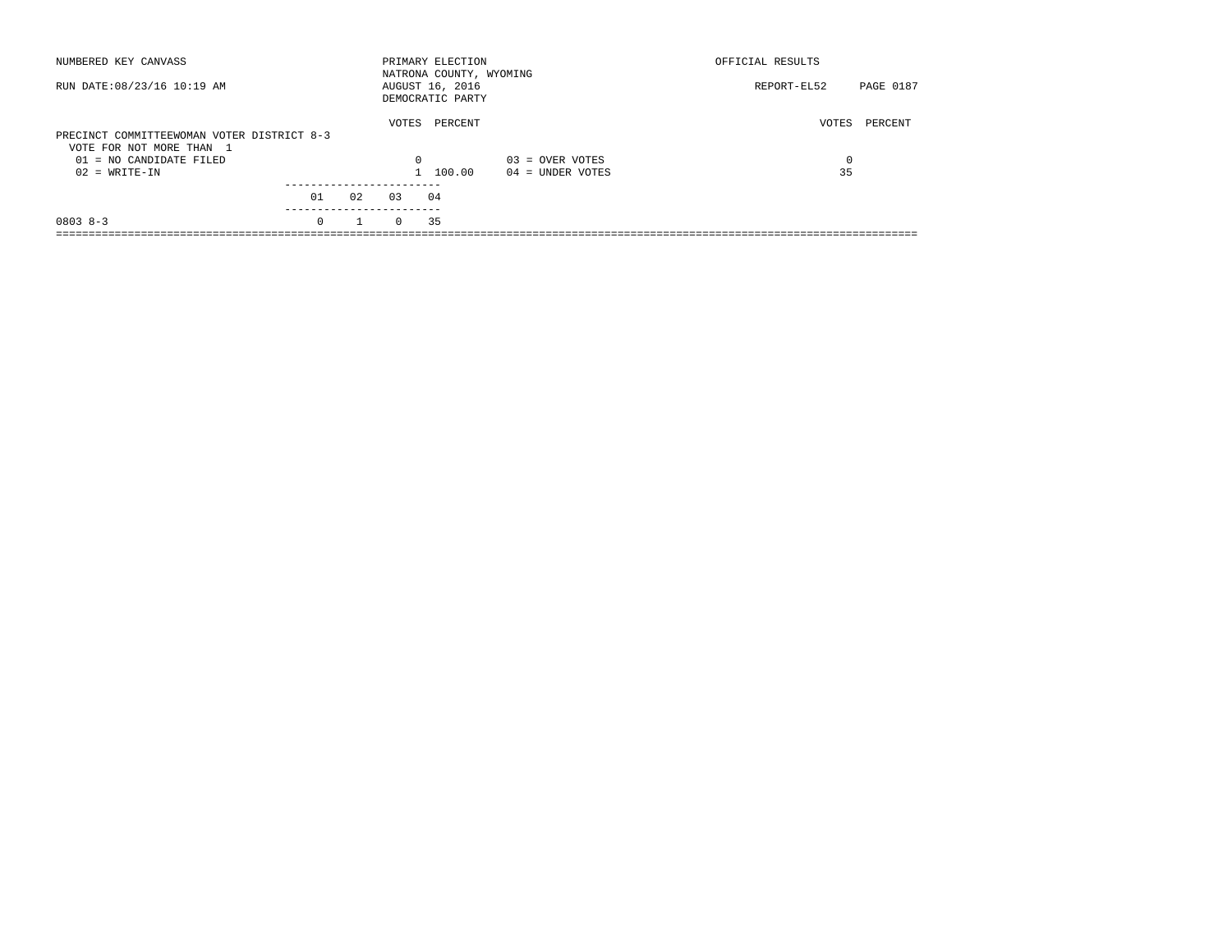| NUMBERED KEY CANVASS                                                   |          |    |          | PRIMARY ELECTION<br>NATRONA COUNTY, WYOMING |                    | OFFICIAL RESULTS |           |
|------------------------------------------------------------------------|----------|----|----------|---------------------------------------------|--------------------|------------------|-----------|
| RUN DATE: 08/23/16 10:19 AM                                            |          |    |          | AUGUST 16, 2016<br>DEMOCRATIC PARTY         |                    | REPORT-EL52      | PAGE 0187 |
| PRECINCT COMMITTEEWOMAN VOTER DISTRICT 8-3<br>VOTE FOR NOT MORE THAN 1 |          |    | VOTES    | PERCENT                                     |                    | VOTES            | PERCENT   |
| $01 = NO$ CANDIDATE FILED                                              |          |    | $\Omega$ |                                             | $03 =$ OVER VOTES  | 0                |           |
| $02 = WRITE-IN$                                                        |          |    |          | 1 100.00                                    | $04 =$ UNDER VOTES | 35               |           |
|                                                                        | 01       | 02 | 0.3      | 04                                          |                    |                  |           |
| $08038 - 3$                                                            | $\Omega$ |    | $\Omega$ | 35                                          |                    |                  |           |
|                                                                        |          |    |          |                                             |                    |                  |           |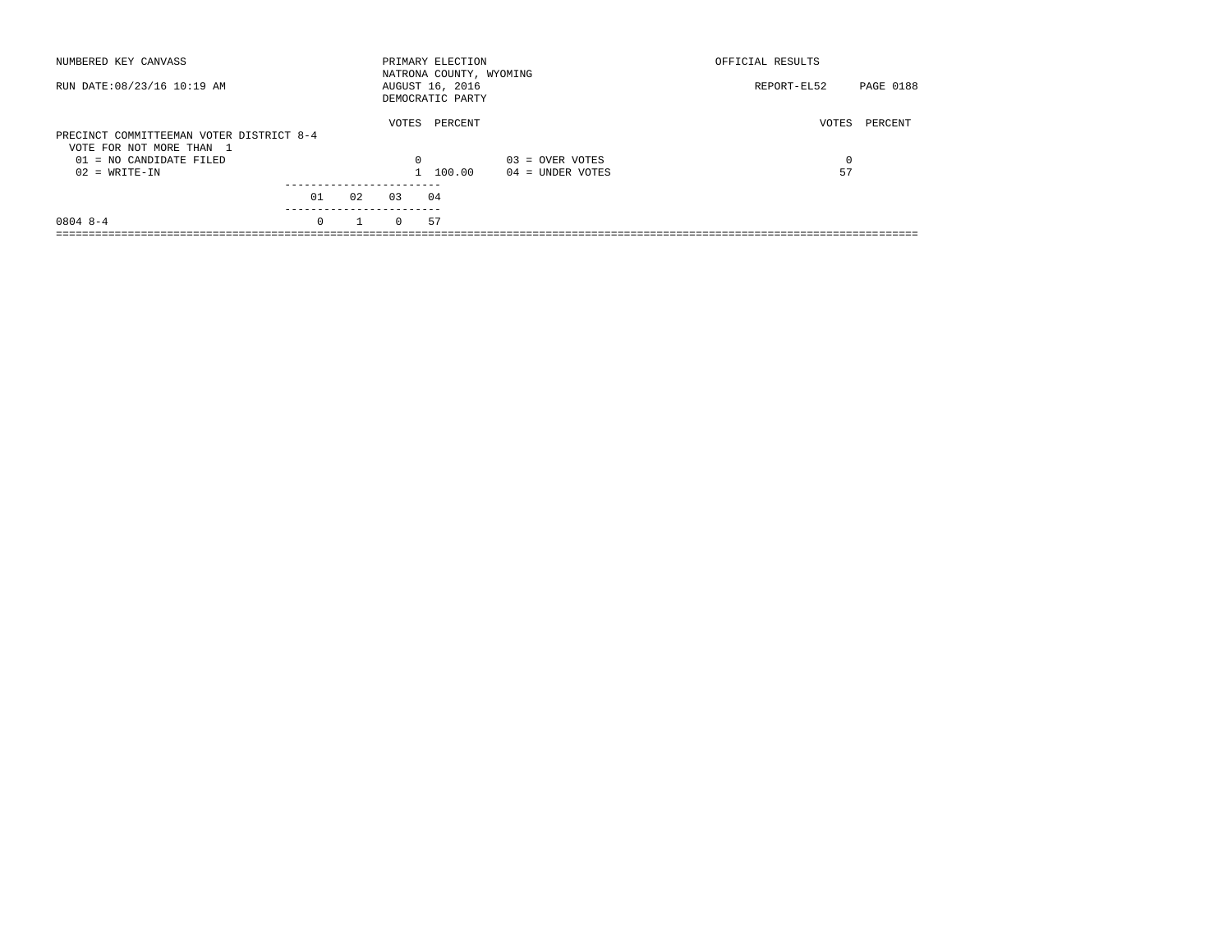| NUMBERED KEY CANVASS                                                 |          |    |          | PRIMARY ELECTION<br>NATRONA COUNTY, WYOMING |                    | OFFICIAL RESULTS |           |
|----------------------------------------------------------------------|----------|----|----------|---------------------------------------------|--------------------|------------------|-----------|
| RUN DATE: 08/23/16 10:19 AM                                          |          |    |          | AUGUST 16, 2016<br>DEMOCRATIC PARTY         |                    | REPORT-EL52      | PAGE 0188 |
| PRECINCT COMMITTEEMAN VOTER DISTRICT 8-4<br>VOTE FOR NOT MORE THAN 1 |          |    | VOTES    | PERCENT                                     |                    | VOTES            | PERCENT   |
| $01 = NO$ CANDIDATE FILED                                            |          |    | $\Omega$ |                                             | $03 =$ OVER VOTES  | $\Omega$         |           |
| $02 = WRITE-IN$                                                      |          |    |          | 1 100.00                                    | $04 =$ UNDER VOTES | 57               |           |
|                                                                      | 01       | 02 | 0.3      | 04                                          |                    |                  |           |
| $08048 - -4$                                                         | $\Omega$ |    | $\Omega$ | 57                                          |                    |                  |           |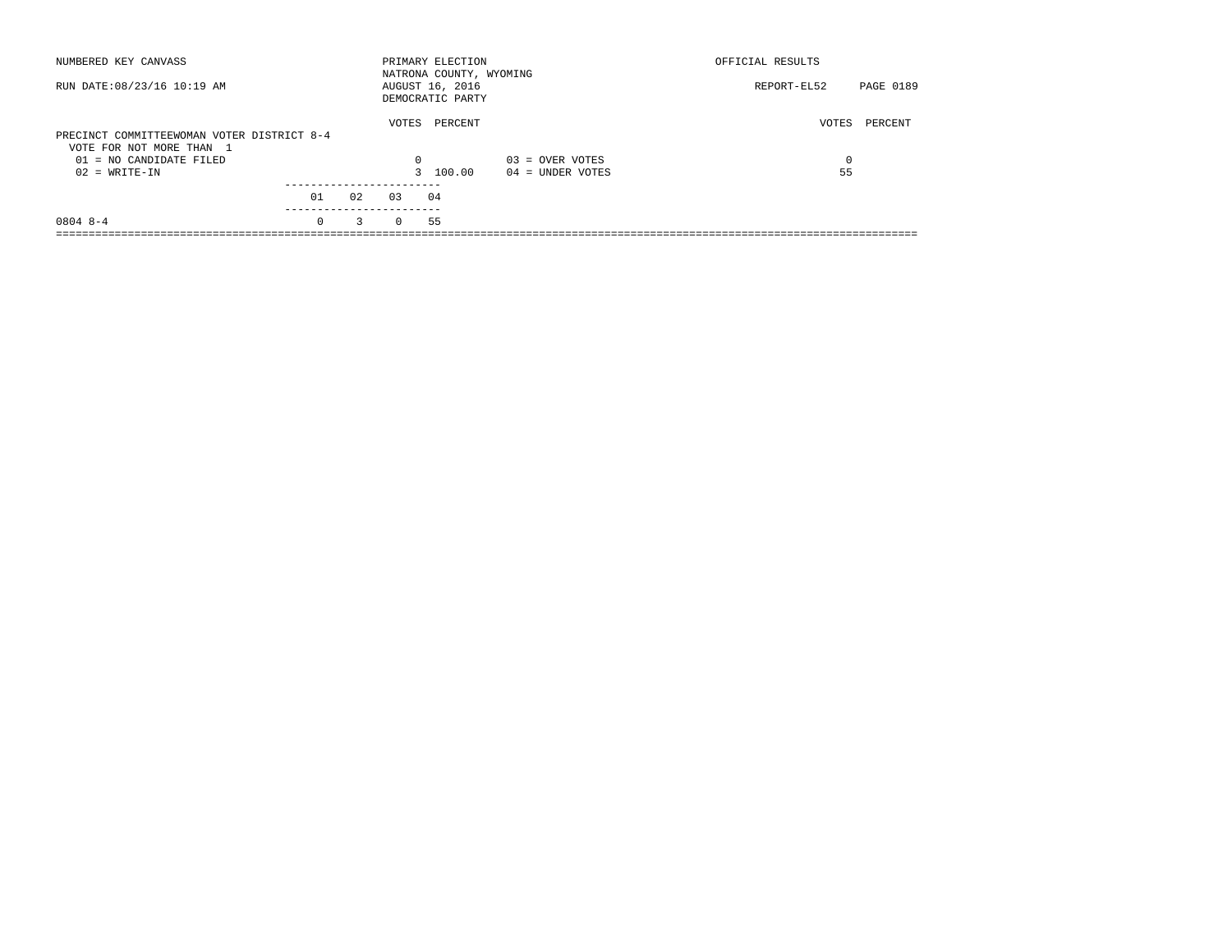| NUMBERED KEY CANVASS                                                   |                  |    |          | PRIMARY ELECTION<br>NATRONA COUNTY, WYOMING |                    | OFFICIAL RESULTS |           |
|------------------------------------------------------------------------|------------------|----|----------|---------------------------------------------|--------------------|------------------|-----------|
| RUN DATE: 08/23/16 10:19 AM                                            |                  |    |          | AUGUST 16, 2016<br>DEMOCRATIC PARTY         |                    | REPORT-EL52      | PAGE 0189 |
| PRECINCT COMMITTEEWOMAN VOTER DISTRICT 8-4<br>VOTE FOR NOT MORE THAN 1 |                  |    | VOTES    | PERCENT                                     |                    | VOTES            | PERCENT   |
| $01 = NO$ CANDIDATE FILED                                              |                  |    | $\Omega$ |                                             | $03 =$ OVER VOTES  | 0                |           |
| $02 = WRITE-IN$                                                        |                  |    |          | 3 100.00                                    | $04 =$ UNDER VOTES | 55               |           |
|                                                                        | 01<br>---------- | 02 | 0.3      | 04                                          |                    |                  |           |
| $08048 - -4$                                                           | $\Omega$         | 3  | $\Omega$ | 55                                          |                    |                  |           |
|                                                                        |                  |    |          |                                             |                    |                  |           |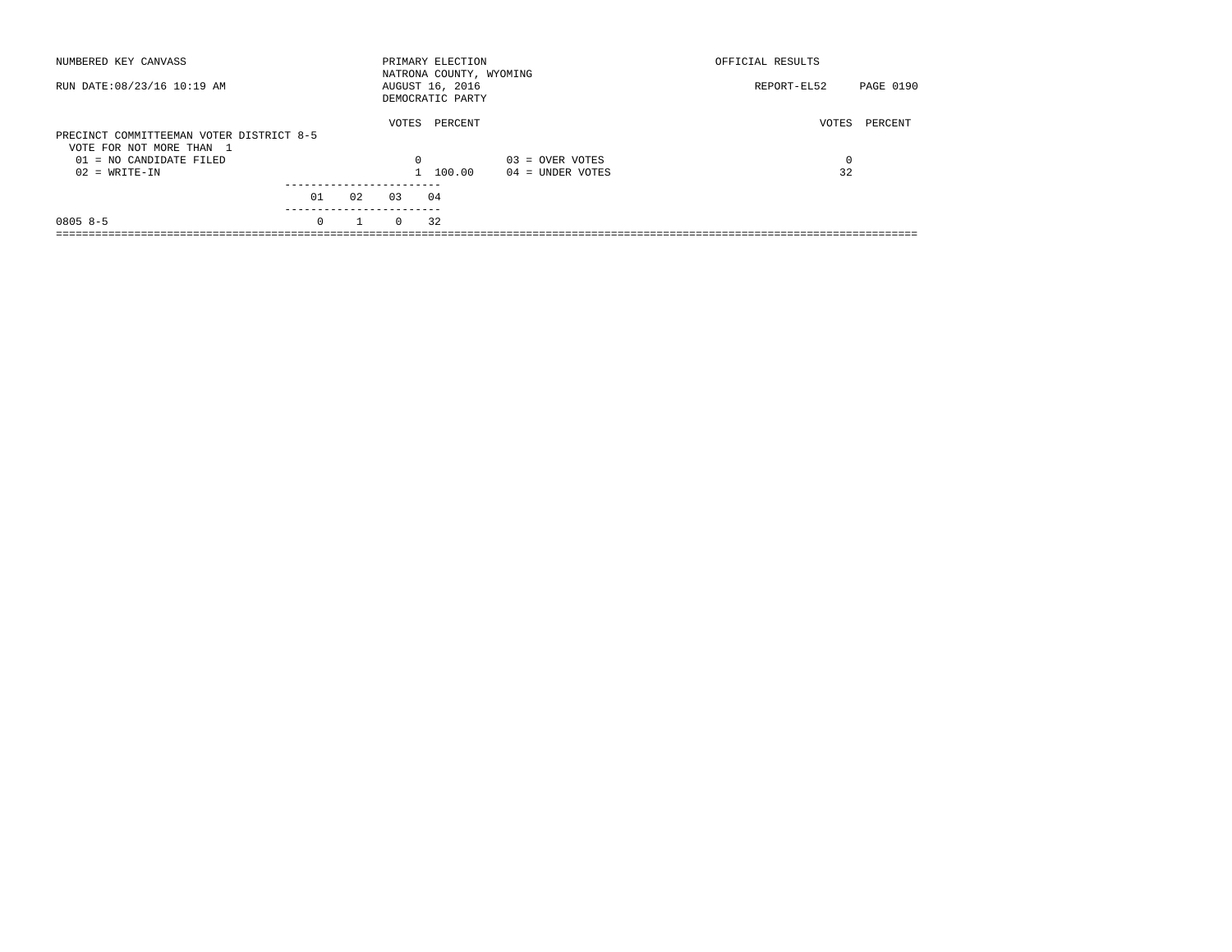| NUMBERED KEY CANVASS                                                 |          |              |          | PRIMARY ELECTION<br>NATRONA COUNTY, WYOMING |                    | OFFICIAL RESULTS |           |
|----------------------------------------------------------------------|----------|--------------|----------|---------------------------------------------|--------------------|------------------|-----------|
| RUN DATE: 08/23/16 10:19 AM                                          |          |              |          | AUGUST 16, 2016<br>DEMOCRATIC PARTY         |                    | REPORT-EL52      | PAGE 0190 |
| PRECINCT COMMITTEEMAN VOTER DISTRICT 8-5<br>VOTE FOR NOT MORE THAN 1 |          |              | VOTES    | PERCENT                                     |                    | VOTES            | PERCENT   |
| 01 = NO CANDIDATE FILED                                              |          |              | $\Omega$ |                                             | $03 =$ OVER VOTES  | 0                |           |
| $02 = WRITE-IN$                                                      |          |              |          | 1 100.00                                    | $04 =$ UNDER VOTES | 32               |           |
|                                                                      | 01       | 02           | 03       | 04                                          |                    |                  |           |
|                                                                      |          |              |          |                                             |                    |                  |           |
| $0805 8 - 5$                                                         | $\Omega$ | $\mathbf{1}$ | $\Omega$ | 32                                          |                    |                  |           |
|                                                                      |          |              |          |                                             |                    |                  |           |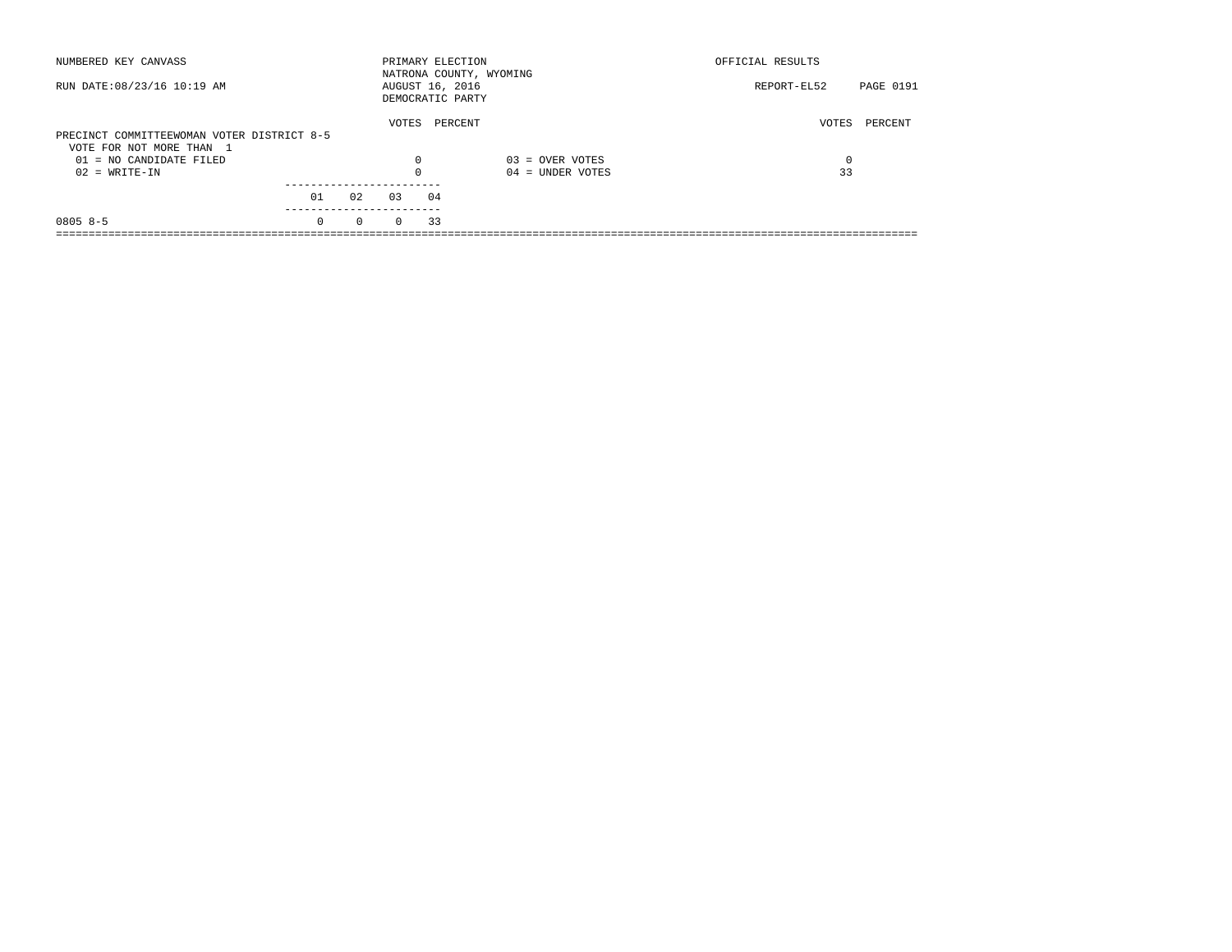| NUMBERED KEY CANVASS                                                   |          |          |          | PRIMARY ELECTION<br>NATRONA COUNTY, WYOMING |                    | OFFICIAL RESULTS |           |
|------------------------------------------------------------------------|----------|----------|----------|---------------------------------------------|--------------------|------------------|-----------|
| RUN DATE: 08/23/16 10:19 AM                                            |          |          |          | AUGUST 16, 2016<br>DEMOCRATIC PARTY         |                    | REPORT-EL52      | PAGE 0191 |
|                                                                        |          |          | VOTES    | PERCENT                                     |                    | VOTES            | PERCENT   |
| PRECINCT COMMITTEEWOMAN VOTER DISTRICT 8-5<br>VOTE FOR NOT MORE THAN 1 |          |          |          |                                             |                    |                  |           |
| 01 = NO CANDIDATE FILED                                                |          |          | 0        |                                             | $03 =$ OVER VOTES  | 0                |           |
| $02 = WRITE-IN$                                                        |          |          |          |                                             | $04 =$ UNDER VOTES | 33               |           |
|                                                                        |          |          |          |                                             |                    |                  |           |
|                                                                        | 01       | 02       | 03       | 04                                          |                    |                  |           |
| $0805 8 - 5$                                                           | $\Omega$ | $\Omega$ | $\Omega$ | 33                                          |                    |                  |           |
|                                                                        |          |          |          |                                             |                    |                  |           |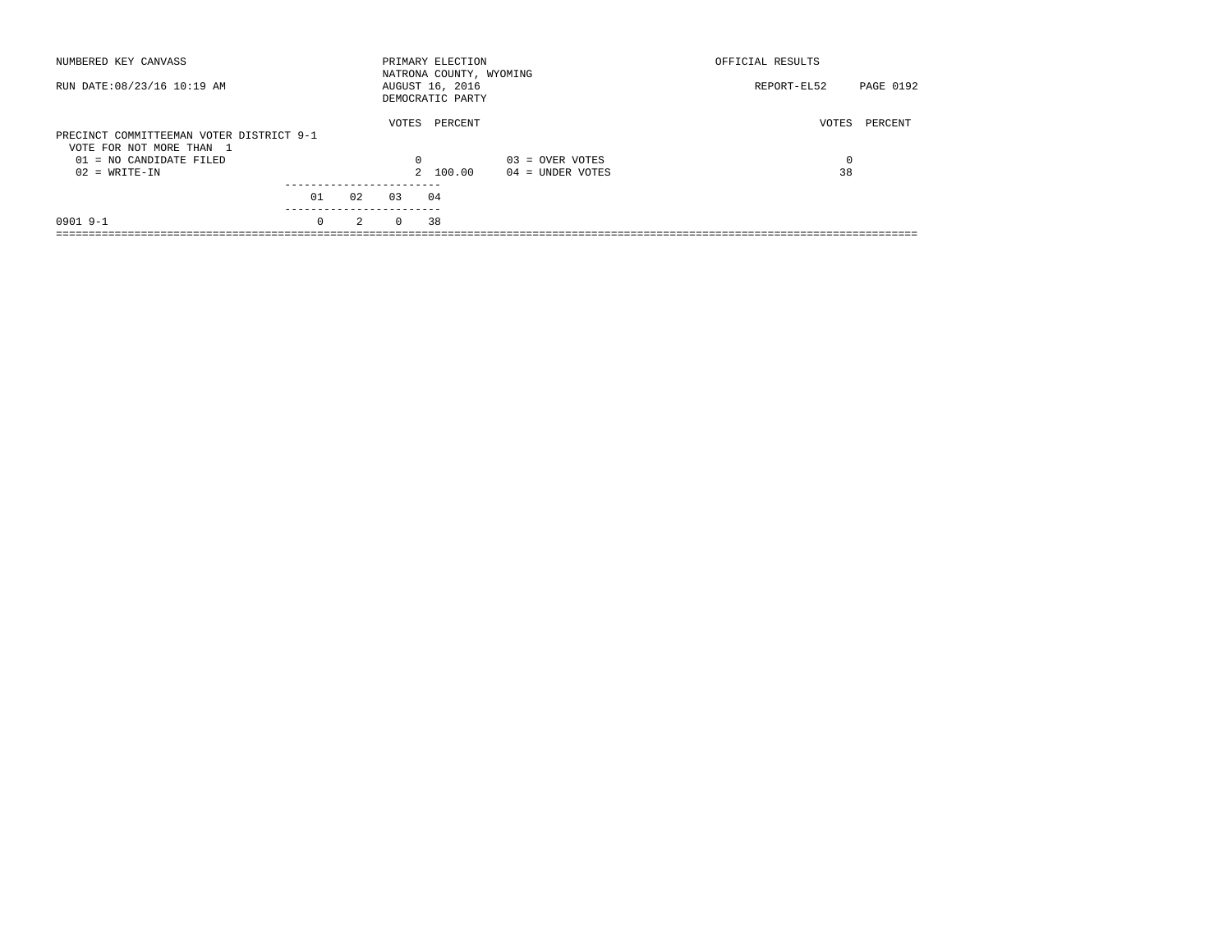| NUMBERED KEY CANVASS                                                 |                       |    |          | PRIMARY ELECTION<br>NATRONA COUNTY, WYOMING |                    | OFFICIAL RESULTS |           |
|----------------------------------------------------------------------|-----------------------|----|----------|---------------------------------------------|--------------------|------------------|-----------|
| RUN DATE: 08/23/16 10:19 AM                                          |                       |    |          | AUGUST 16, 2016<br>DEMOCRATIC PARTY         |                    | REPORT-EL52      | PAGE 0192 |
| PRECINCT COMMITTEEMAN VOTER DISTRICT 9-1<br>VOTE FOR NOT MORE THAN 1 |                       |    | VOTES    | PERCENT                                     |                    | VOTES            | PERCENT   |
| $01 = NO$ CANDIDATE FILED                                            |                       |    | $\Omega$ |                                             | $03 =$ OVER VOTES  | 0                |           |
| $02 = WRITE-IN$                                                      |                       |    |          | 2 100.00                                    | $04 =$ UNDER VOTES | 38               |           |
|                                                                      |                       |    |          |                                             |                    |                  |           |
|                                                                      | 01                    | 02 | 0.3      | 04                                          |                    |                  |           |
| $0901$ 9-1                                                           | ---------<br>$\Omega$ | 2  | $\Omega$ | 38                                          |                    |                  |           |
|                                                                      |                       |    |          |                                             |                    |                  |           |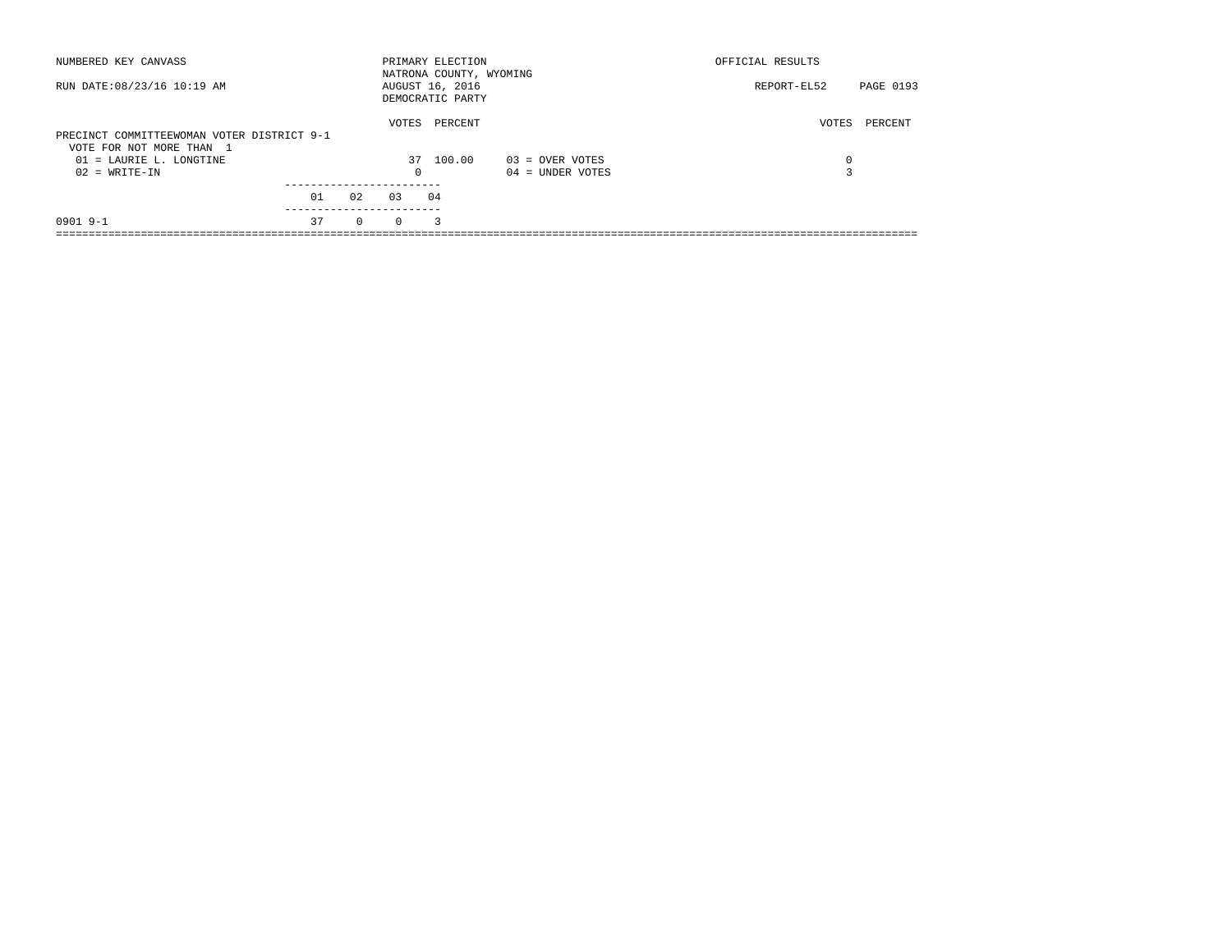| NUMBERED KEY CANVASS                                                   |    |          |          | PRIMARY ELECTION<br>NATRONA COUNTY, WYOMING |                    | OFFICIAL RESULTS |           |
|------------------------------------------------------------------------|----|----------|----------|---------------------------------------------|--------------------|------------------|-----------|
| RUN DATE: 08/23/16 10:19 AM                                            |    |          |          | AUGUST 16, 2016<br>DEMOCRATIC PARTY         |                    | REPORT-EL52      | PAGE 0193 |
| PRECINCT COMMITTEEWOMAN VOTER DISTRICT 9-1<br>VOTE FOR NOT MORE THAN 1 |    |          | VOTES    | PERCENT                                     |                    | VOTES            | PERCENT   |
| 01 = LAURIE L. LONGTINE                                                |    |          | 37       | 100.00                                      | $03 =$ OVER VOTES  | 0                |           |
| $02 = WRITE-IN$                                                        |    |          | 0        |                                             | $04 =$ UNDER VOTES |                  |           |
|                                                                        |    |          |          |                                             |                    |                  |           |
|                                                                        | 01 | 02       | 0.3      | 04                                          |                    |                  |           |
| $0901$ 9-1                                                             | 37 | $\Omega$ | $\Omega$ | 3                                           |                    |                  |           |
|                                                                        |    |          |          |                                             |                    |                  |           |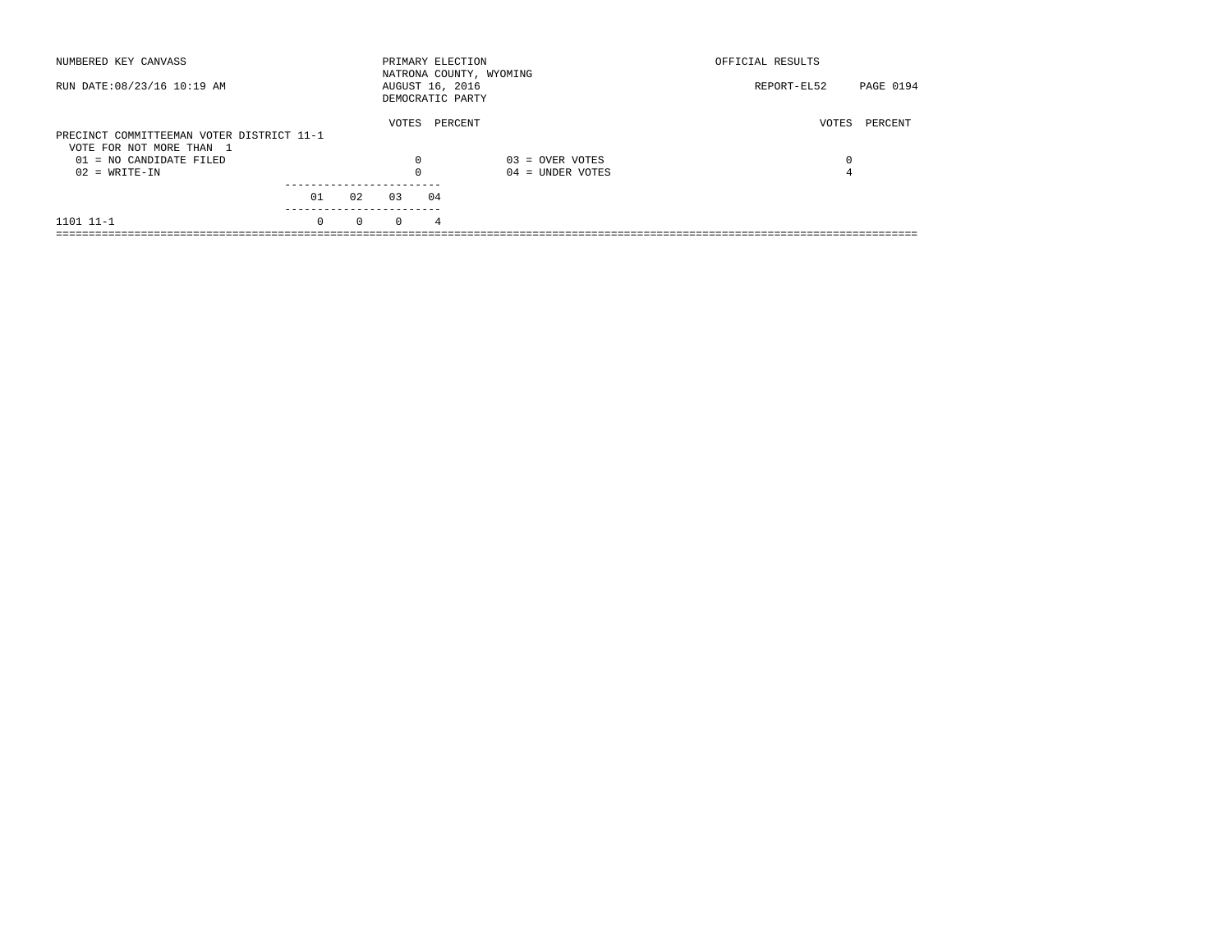| NUMBERED KEY CANVASS                                                  |          |          |                 |    | PRIMARY ELECTION<br>NATRONA COUNTY, WYOMING | OFFICIAL RESULTS |           |
|-----------------------------------------------------------------------|----------|----------|-----------------|----|---------------------------------------------|------------------|-----------|
| RUN DATE: 08/23/16 10:19 AM                                           |          |          | AUGUST 16, 2016 |    | DEMOCRATIC PARTY                            | REPORT-EL52      | PAGE 0194 |
| PRECINCT COMMITTEEMAN VOTER DISTRICT 11-1<br>VOTE FOR NOT MORE THAN 1 |          |          | VOTES           |    | PERCENT                                     | VOTES            | PERCENT   |
| $01 = NO CANDIDATE FILED$                                             |          |          | $\Omega$        |    | $03 =$ OVER VOTES                           | 0                |           |
| $02 = WRITE-IN$                                                       |          |          |                 |    | $04 =$ UNDER VOTES                          | 4                |           |
|                                                                       | 01       | 02       | 03              | 04 |                                             |                  |           |
| 1101 11-1                                                             | $\Omega$ | $\Omega$ | $\Omega$        | 4  |                                             |                  |           |
|                                                                       |          |          |                 |    |                                             |                  |           |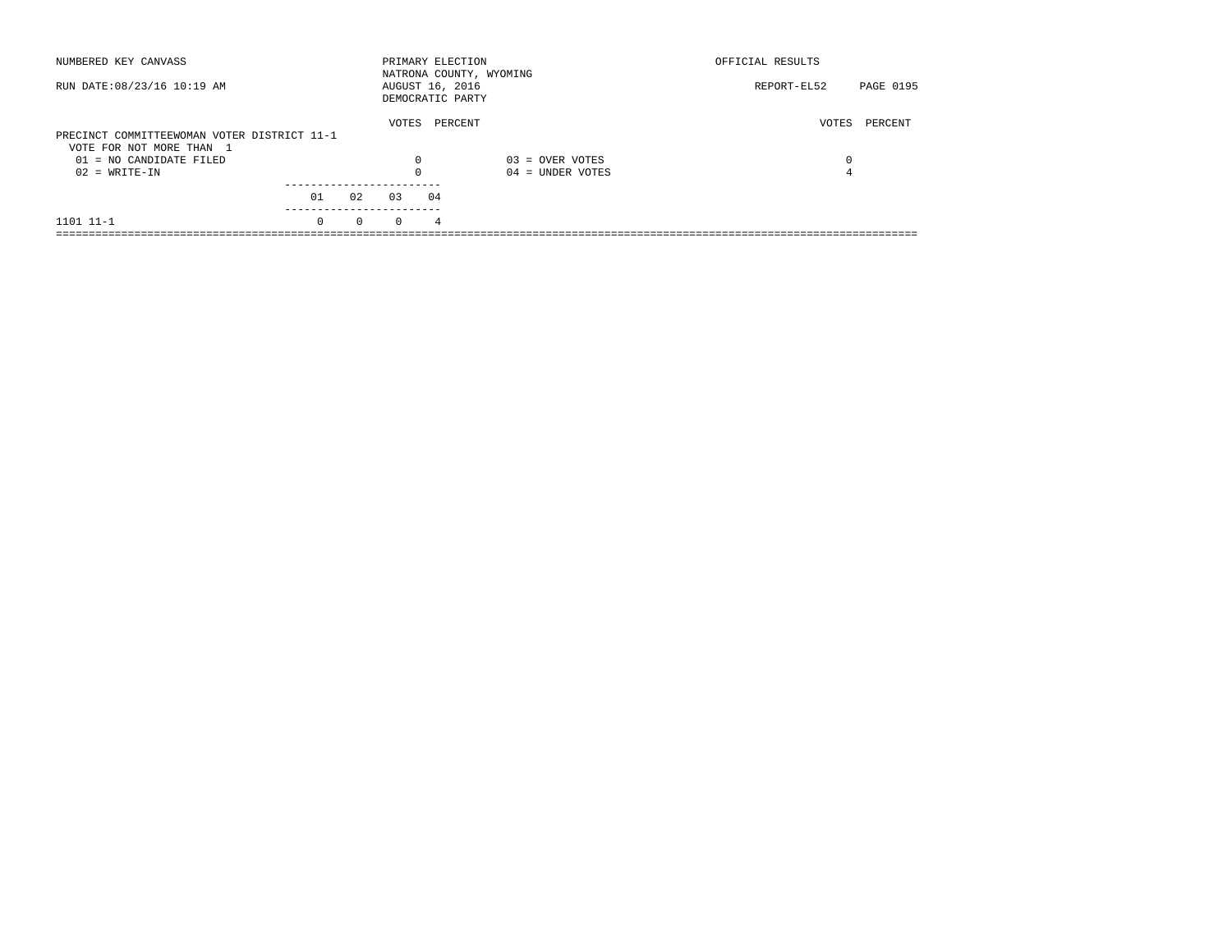| NUMBERED KEY CANVASS                        |          |          |                 |    | PRIMARY ELECTION<br>NATRONA COUNTY, WYOMING | OFFICIAL RESULTS |           |
|---------------------------------------------|----------|----------|-----------------|----|---------------------------------------------|------------------|-----------|
| RUN DATE: 08/23/16 10:19 AM                 |          |          | AUGUST 16, 2016 |    | DEMOCRATIC PARTY                            | REPORT-EL52      | PAGE 0195 |
|                                             |          |          | VOTES           |    | PERCENT                                     | VOTES            | PERCENT   |
| PRECINCT COMMITTEEWOMAN VOTER DISTRICT 11-1 |          |          |                 |    |                                             |                  |           |
| VOTE FOR NOT MORE THAN 1                    |          |          |                 |    |                                             |                  |           |
| $01 = NO CANDIDATE FILED$                   |          |          | $\Omega$        |    | $03 =$ OVER VOTES                           | 0                |           |
| $02 = WRITE-IN$                             |          |          |                 |    | $04 =$ UNDER VOTES                          | 4                |           |
|                                             |          |          |                 |    |                                             |                  |           |
|                                             | 01       | 02       | 0.3             | 04 |                                             |                  |           |
| 1101 11-1                                   | $\Omega$ | $\Omega$ | $\Omega$        | 4  |                                             |                  |           |
|                                             |          |          |                 |    |                                             |                  |           |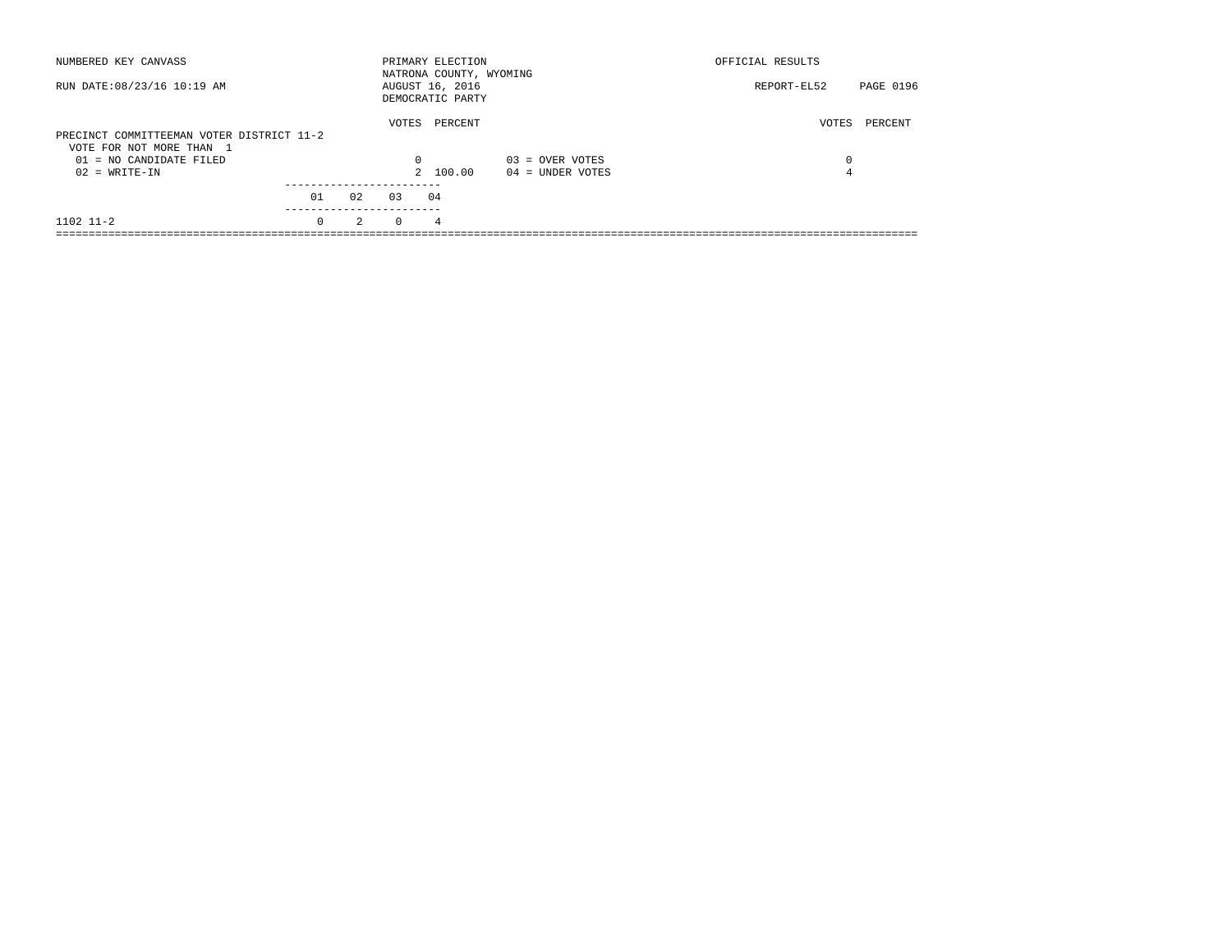| NUMBERED KEY CANVASS                                                  |          |    |          | PRIMARY ELECTION<br>NATRONA COUNTY, WYOMING |                    | OFFICIAL RESULTS |           |
|-----------------------------------------------------------------------|----------|----|----------|---------------------------------------------|--------------------|------------------|-----------|
| RUN DATE: 08/23/16 10:19 AM                                           |          |    |          | AUGUST 16, 2016<br>DEMOCRATIC PARTY         |                    | REPORT-EL52      | PAGE 0196 |
| PRECINCT COMMITTEEMAN VOTER DISTRICT 11-2<br>VOTE FOR NOT MORE THAN 1 |          |    | VOTES    | PERCENT                                     |                    | VOTES            | PERCENT   |
| 01 = NO CANDIDATE FILED                                               |          |    | $\Omega$ |                                             | $03 =$ OVER VOTES  | 0                |           |
| $02 = WRITE-IN$                                                       |          |    |          | 2 100.00                                    | $04 =$ UNDER VOTES | 4                |           |
|                                                                       |          |    | 0.3      |                                             |                    |                  |           |
|                                                                       | 01       | 02 |          | 04                                          |                    |                  |           |
| $1102$ $11-2$                                                         | $\Omega$ | 2  | $\Omega$ | 4                                           |                    |                  |           |
|                                                                       |          |    |          |                                             |                    |                  |           |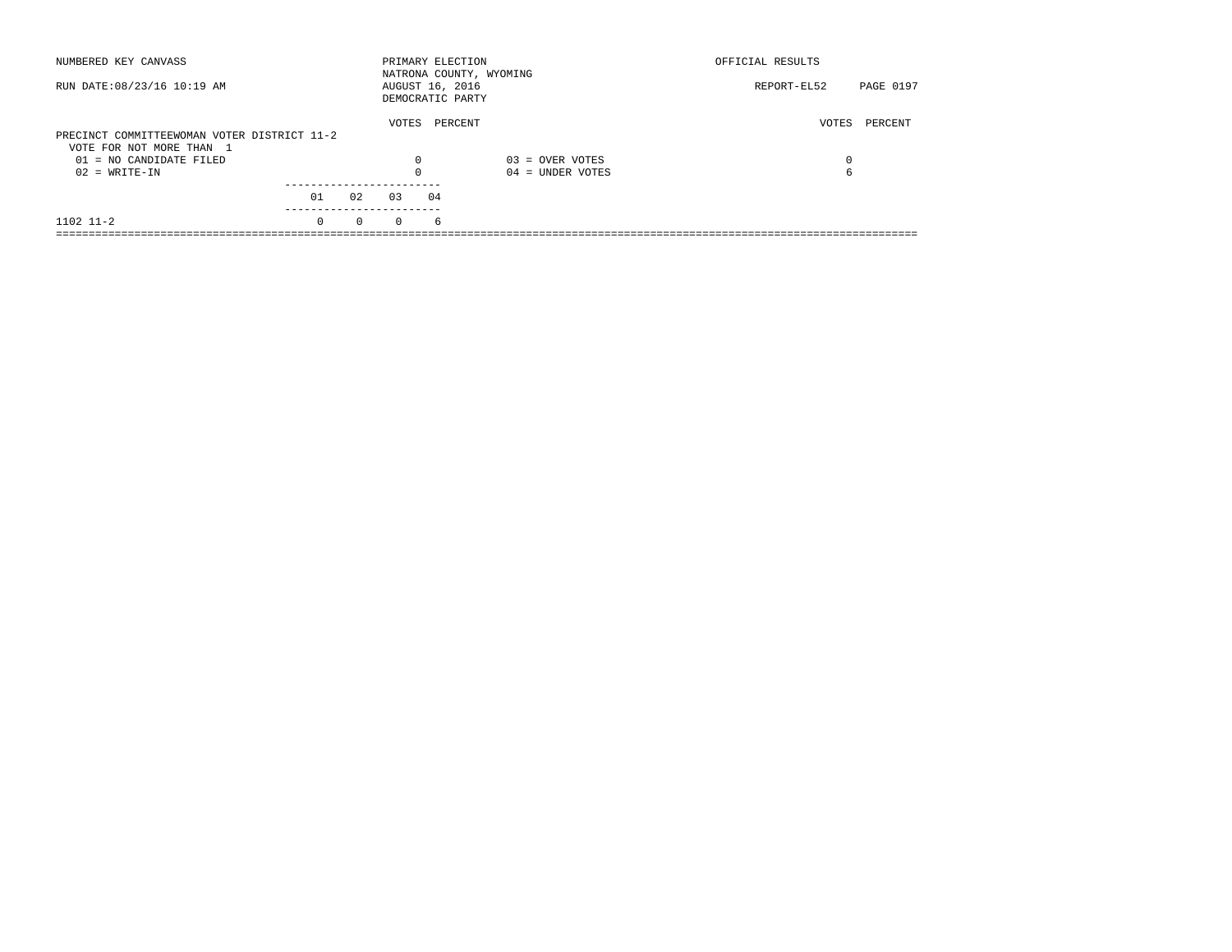| NUMBERED KEY CANVASS                        |          |          |          | PRIMARY ELECTION<br>NATRONA COUNTY, WYOMING |                    | OFFICIAL RESULTS         |
|---------------------------------------------|----------|----------|----------|---------------------------------------------|--------------------|--------------------------|
| RUN DATE: 08/23/16 10:19 AM                 |          |          |          | AUGUST 16, 2016<br>DEMOCRATIC PARTY         |                    | PAGE 0197<br>REPORT-EL52 |
| PRECINCT COMMITTEEWOMAN VOTER DISTRICT 11-2 |          |          | VOTES    | PERCENT                                     |                    | VOTES<br>PERCENT         |
| VOTE FOR NOT MORE THAN 1                    |          |          |          |                                             |                    |                          |
| $01 = NO CANDIDATE FILED$                   |          |          | $\Omega$ |                                             | $03 =$ OVER VOTES  | $\Omega$                 |
| $02 = WRITE-IN$                             |          |          | 0        |                                             | $04 =$ UNDER VOTES | 6                        |
|                                             | 01       | 02       | 0.3      | 04                                          |                    |                          |
|                                             |          |          |          |                                             |                    |                          |
| $1102$ $11-2$                               | $\Omega$ | $\Omega$ | $\Omega$ | 6                                           |                    |                          |
|                                             |          |          |          |                                             |                    |                          |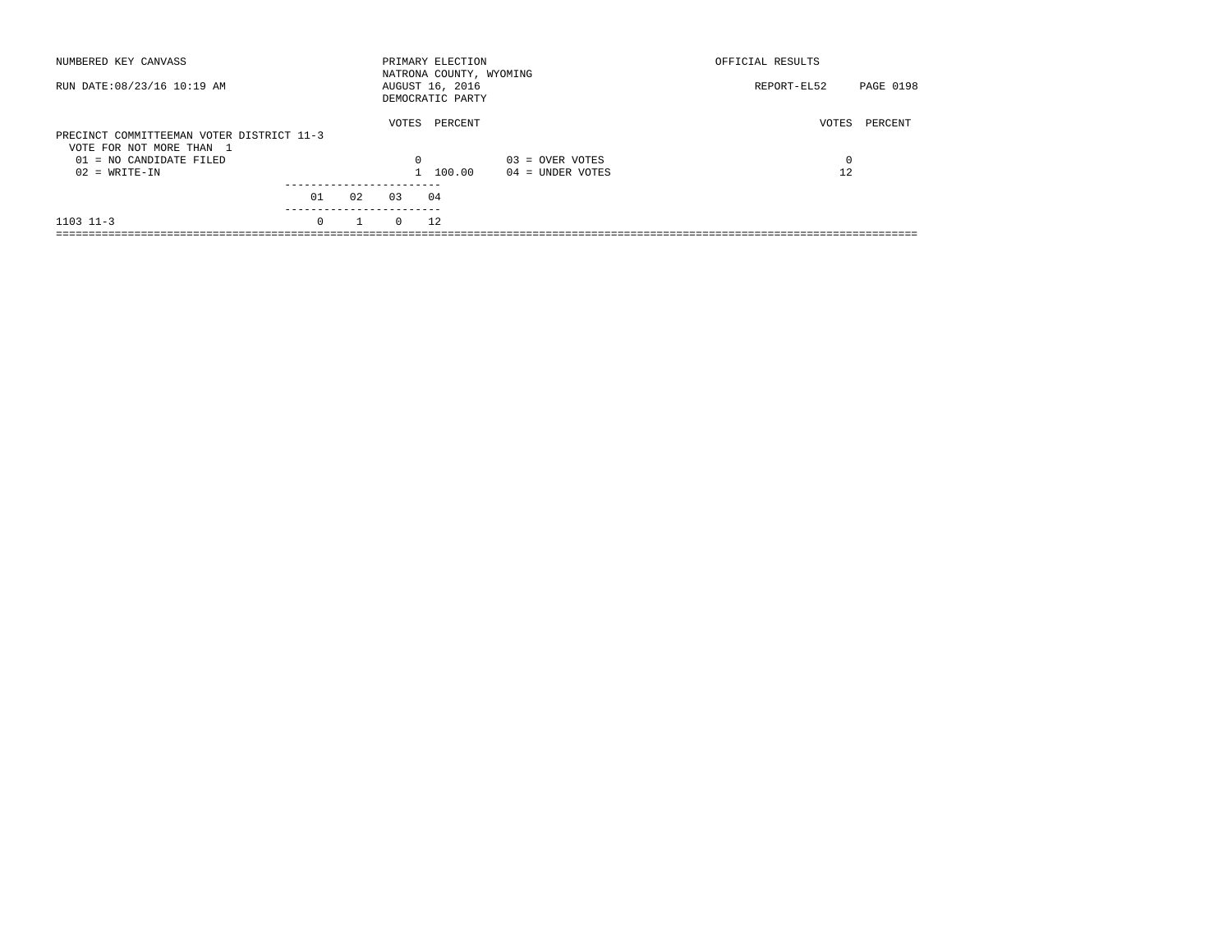| NUMBERED KEY CANVASS                                                  |          |    |          | PRIMARY ELECTION<br>NATRONA COUNTY, WYOMING |                    | OFFICIAL RESULTS |           |
|-----------------------------------------------------------------------|----------|----|----------|---------------------------------------------|--------------------|------------------|-----------|
| RUN DATE: 08/23/16 10:19 AM                                           |          |    |          | AUGUST 16, 2016<br>DEMOCRATIC PARTY         |                    | REPORT-EL52      | PAGE 0198 |
| PRECINCT COMMITTEEMAN VOTER DISTRICT 11-3<br>VOTE FOR NOT MORE THAN 1 |          |    | VOTES    | PERCENT                                     |                    | VOTES            | PERCENT   |
| $01 = NO CANDIDATE FILED$                                             |          |    | $\Omega$ |                                             | $03 =$ OVER VOTES  | $\Omega$         |           |
| $02 = WRITE-IN$                                                       |          |    |          | 1 100.00                                    | $04 =$ UNDER VOTES | 12               |           |
|                                                                       | 01       | 02 | 0.3      | 04                                          |                    |                  |           |
| $1103$ $11-3$                                                         | $\Omega$ |    | $\Omega$ | 12                                          |                    |                  |           |
|                                                                       |          |    |          |                                             |                    |                  |           |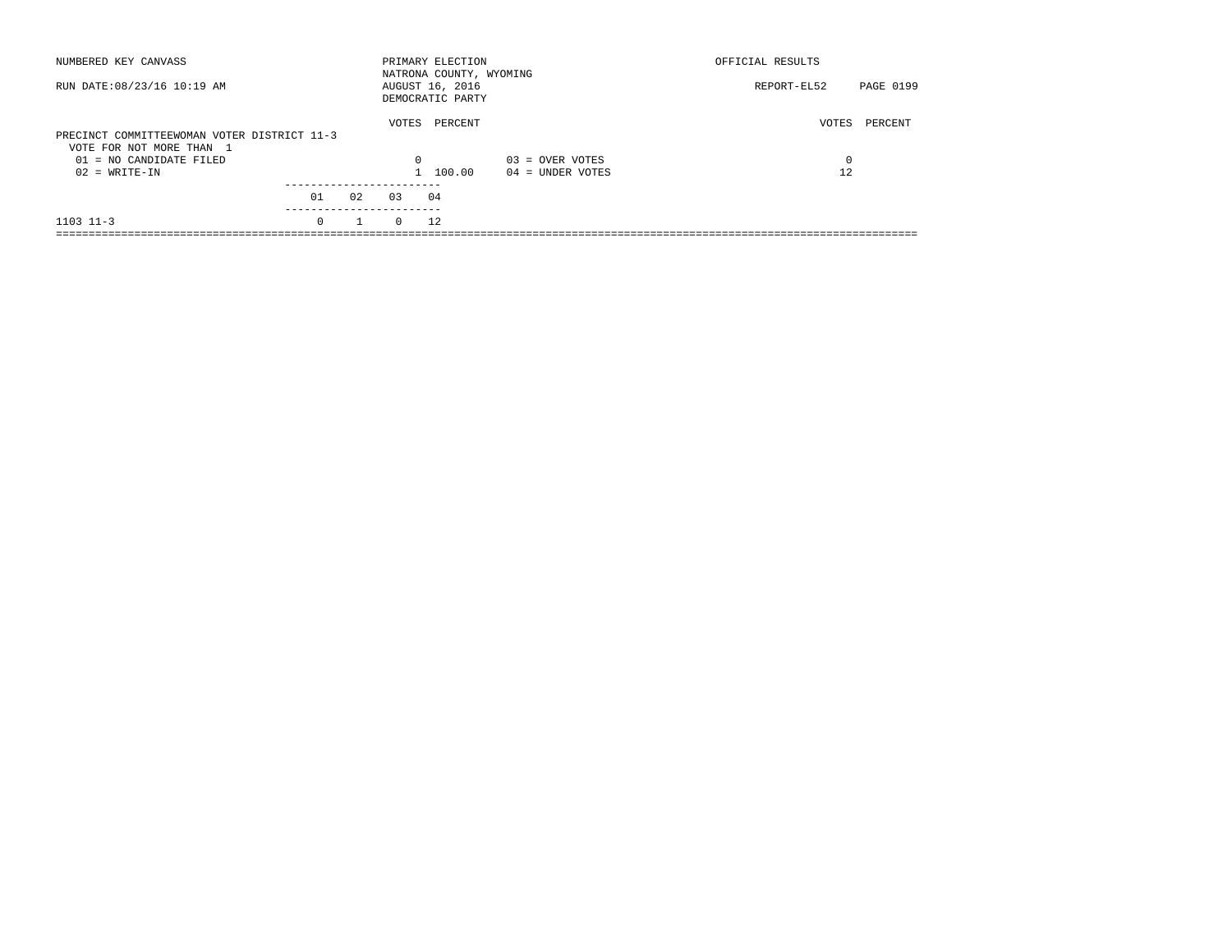| NUMBERED KEY CANVASS                                                    |          |    |          | PRIMARY ELECTION<br>NATRONA COUNTY, WYOMING |                    | OFFICIAL RESULTS |           |
|-------------------------------------------------------------------------|----------|----|----------|---------------------------------------------|--------------------|------------------|-----------|
| RUN DATE: 08/23/16 10:19 AM                                             |          |    |          | AUGUST 16, 2016<br>DEMOCRATIC PARTY         |                    | REPORT-EL52      | PAGE 0199 |
| PRECINCT COMMITTEEWOMAN VOTER DISTRICT 11-3<br>VOTE FOR NOT MORE THAN 1 |          |    | VOTES    | PERCENT                                     |                    | VOTES            | PERCENT   |
| $01 = NO CANDIDATE FILED$                                               |          |    | $\Omega$ |                                             | $03 =$ OVER VOTES  | $\Omega$         |           |
| $02 = WRITE-IN$                                                         |          |    |          | 1 100.00                                    | $04 =$ UNDER VOTES | 12               |           |
|                                                                         | 01       | 02 | 0.3      | 04                                          |                    |                  |           |
| $1103$ $11-3$                                                           | $\Omega$ |    | $\Omega$ | 12                                          |                    |                  |           |
|                                                                         |          |    |          |                                             |                    |                  |           |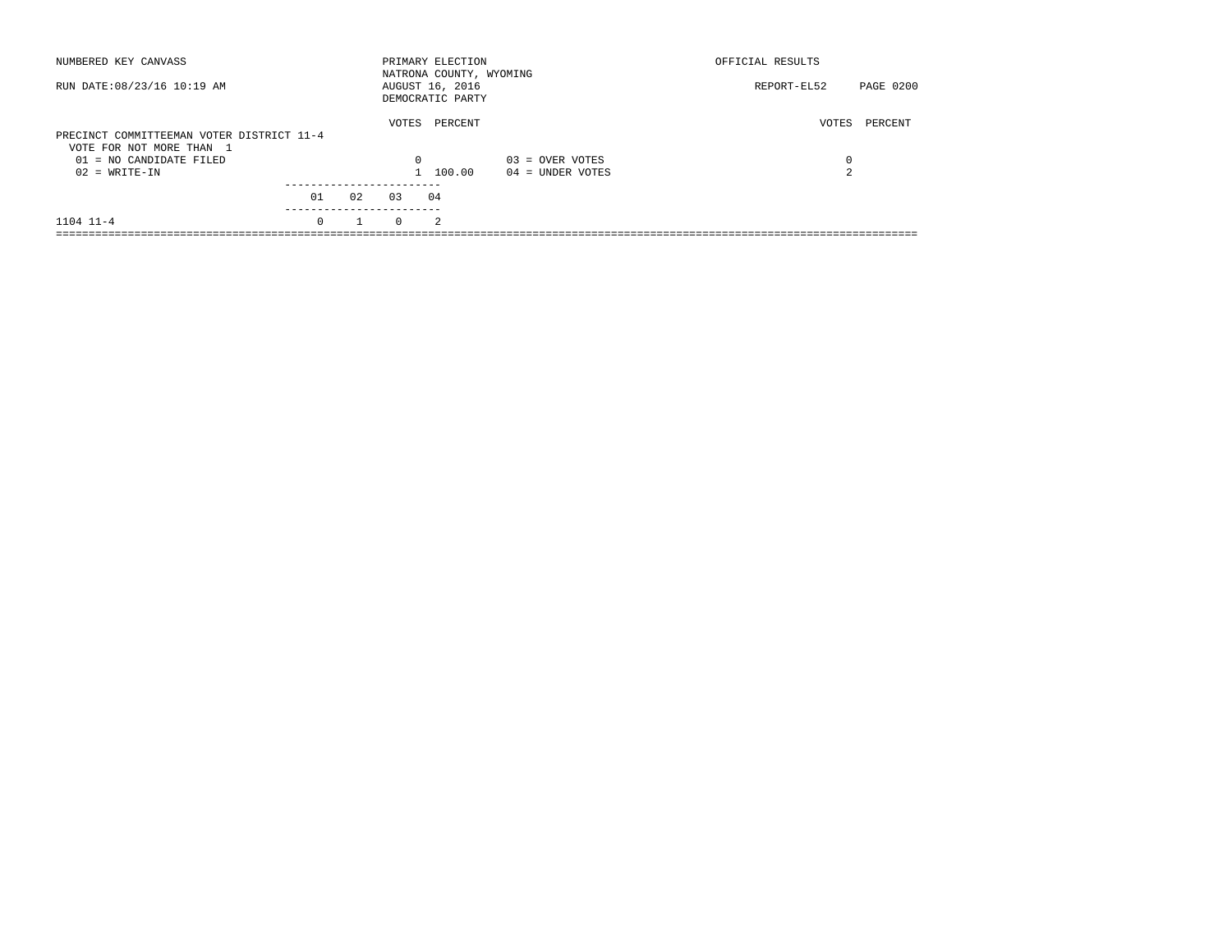| NUMBERED KEY CANVASS                                                  |          |    |          | PRIMARY ELECTION<br>NATRONA COUNTY, WYOMING |                    | OFFICIAL RESULTS |           |
|-----------------------------------------------------------------------|----------|----|----------|---------------------------------------------|--------------------|------------------|-----------|
| RUN DATE: 08/23/16 10:19 AM                                           |          |    |          | AUGUST 16, 2016<br>DEMOCRATIC PARTY         |                    | REPORT-EL52      | PAGE 0200 |
| PRECINCT COMMITTEEMAN VOTER DISTRICT 11-4<br>VOTE FOR NOT MORE THAN 1 |          |    | VOTES    | PERCENT                                     |                    | VOTES            | PERCENT   |
| $01 = NO CANDIDATE FILED$                                             |          |    | $\Omega$ |                                             | $03 =$ OVER VOTES  | 0                |           |
| $02 = WRITE-IN$                                                       |          |    |          | 100.00                                      | $04 =$ UNDER VOTES | $\sim$           |           |
|                                                                       |          |    |          |                                             |                    |                  |           |
|                                                                       | 01       | 02 | 03       | 04                                          |                    |                  |           |
| $1104$ $11-4$                                                         | $\Omega$ |    | $\Omega$ | $\mathfrak{D}$                              |                    |                  |           |
|                                                                       |          |    |          |                                             |                    |                  |           |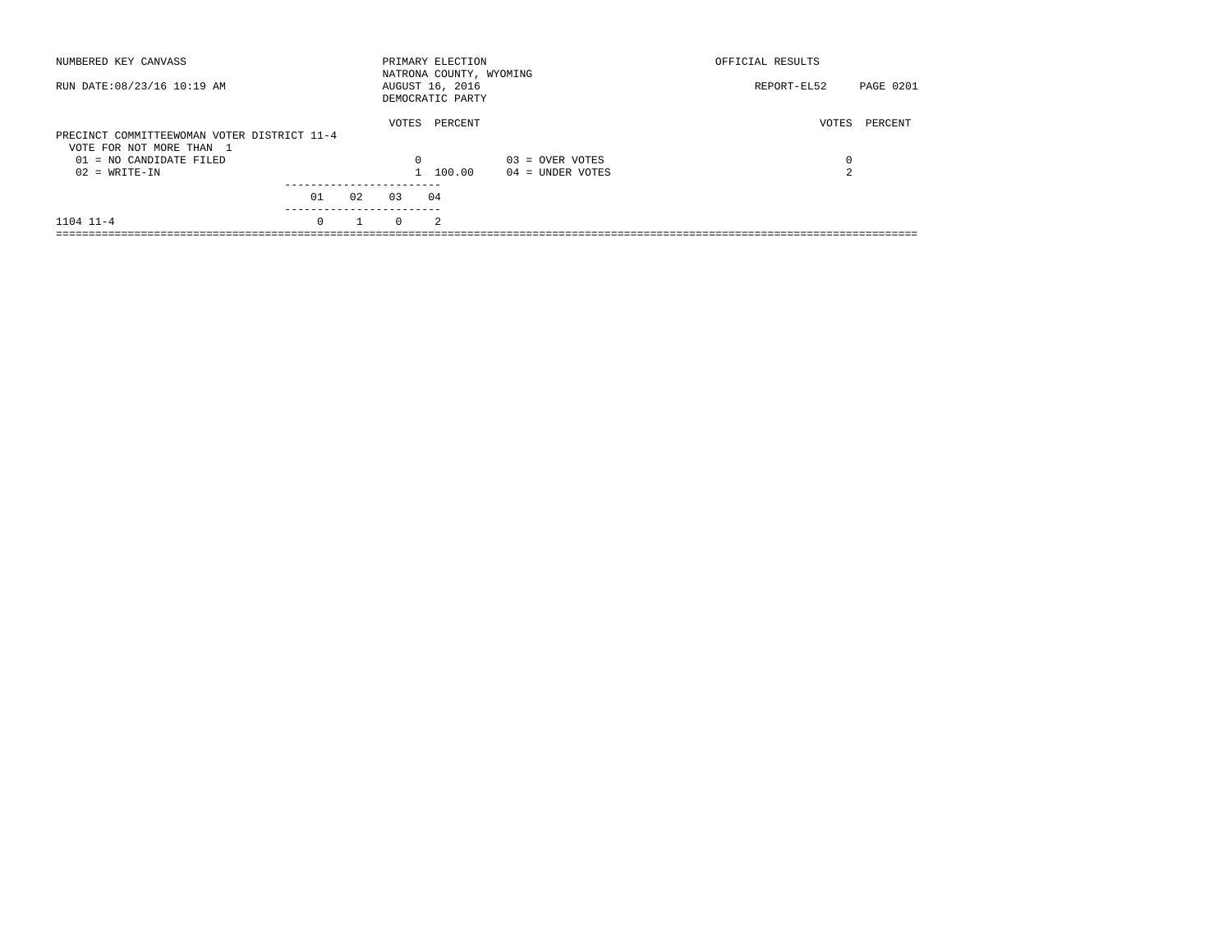| NUMBERED KEY CANVASS                                                    |          |    |          | PRIMARY ELECTION<br>NATRONA COUNTY, WYOMING |                    | OFFICIAL RESULTS |                  |
|-------------------------------------------------------------------------|----------|----|----------|---------------------------------------------|--------------------|------------------|------------------|
| RUN DATE: 08/23/16 10:19 AM                                             |          |    |          | AUGUST 16, 2016<br>DEMOCRATIC PARTY         |                    | REPORT-EL52      | <b>PAGE 0201</b> |
| PRECINCT COMMITTEEWOMAN VOTER DISTRICT 11-4<br>VOTE FOR NOT MORE THAN 1 |          |    | VOTES    | PERCENT                                     |                    | VOTES            | PERCENT          |
| $01 = NO CANDIDATE FILED$                                               |          |    | $\Omega$ |                                             | $03 =$ OVER VOTES  | 0                |                  |
| $02 = WRITE-IN$                                                         |          |    |          | 100.00                                      | $04 =$ UNDER VOTES | 2                |                  |
|                                                                         |          |    |          |                                             |                    |                  |                  |
|                                                                         | 01       | 02 | 0.3      | 04                                          |                    |                  |                  |
| $1104$ $11-4$                                                           | $\Omega$ |    | $\Omega$ | $\mathcal{L}$                               |                    |                  |                  |
|                                                                         |          |    |          |                                             |                    |                  |                  |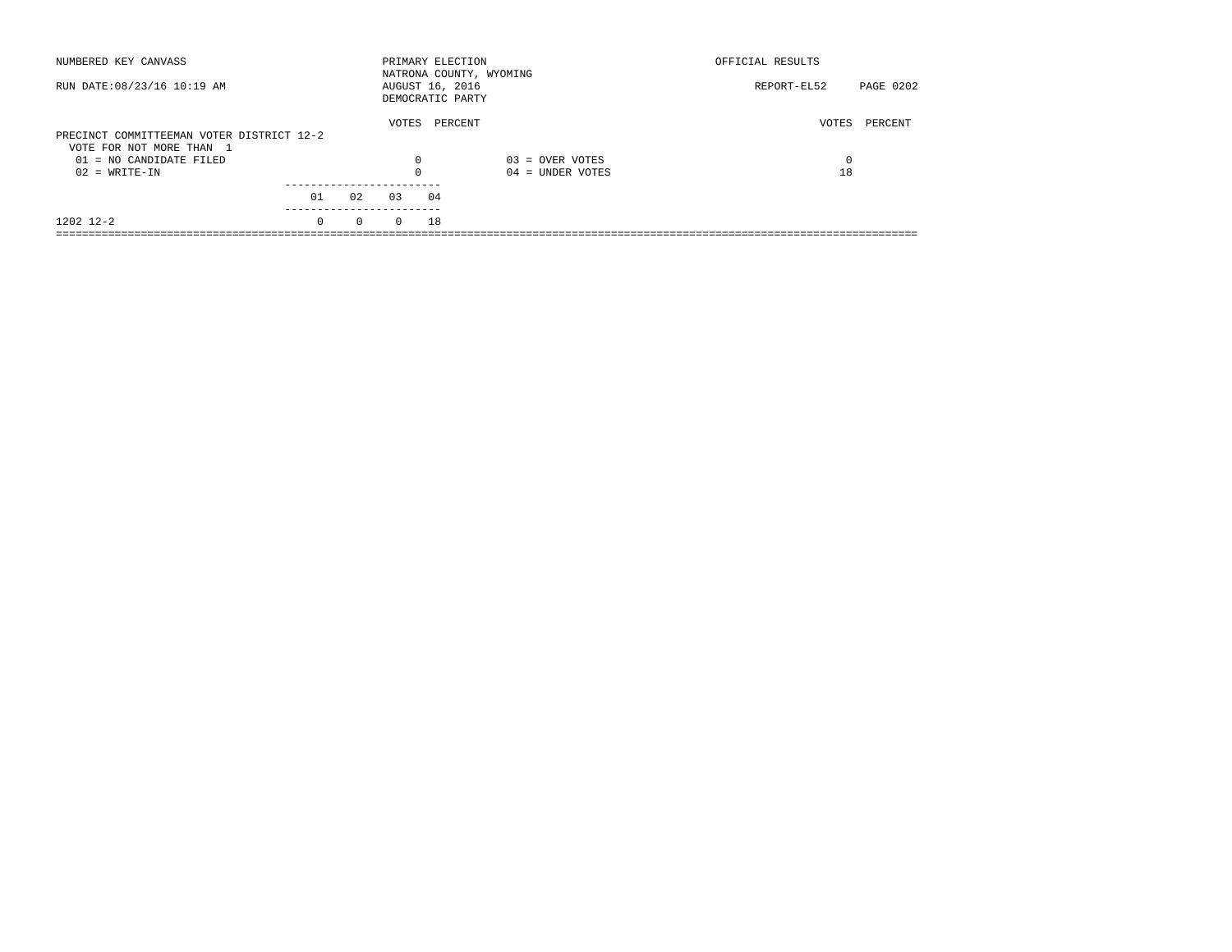| NUMBERED KEY CANVASS                                                  |          |          |          | PRIMARY ELECTION<br>NATRONA COUNTY, WYOMING |                    | OFFICIAL RESULTS |           |
|-----------------------------------------------------------------------|----------|----------|----------|---------------------------------------------|--------------------|------------------|-----------|
| RUN DATE: 08/23/16 10:19 AM                                           |          |          |          | AUGUST 16, 2016<br>DEMOCRATIC PARTY         |                    | REPORT-EL52      | PAGE 0202 |
| PRECINCT COMMITTEEMAN VOTER DISTRICT 12-2<br>VOTE FOR NOT MORE THAN 1 |          |          | VOTES    | PERCENT                                     |                    | VOTES            | PERCENT   |
| $01 = NO CANDIDATE FILED$                                             |          |          | $\Omega$ |                                             | $03 =$ OVER VOTES  | $\Omega$         |           |
| $02 = WRITE-IN$                                                       |          |          | 0        |                                             | $04 =$ UNDER VOTES | 18               |           |
|                                                                       | 01       | 02       | 0.3      | 04                                          |                    |                  |           |
| 1202 12-2                                                             | $\Omega$ | $\Omega$ | $\Omega$ | 18                                          |                    |                  |           |
|                                                                       |          |          |          |                                             |                    |                  |           |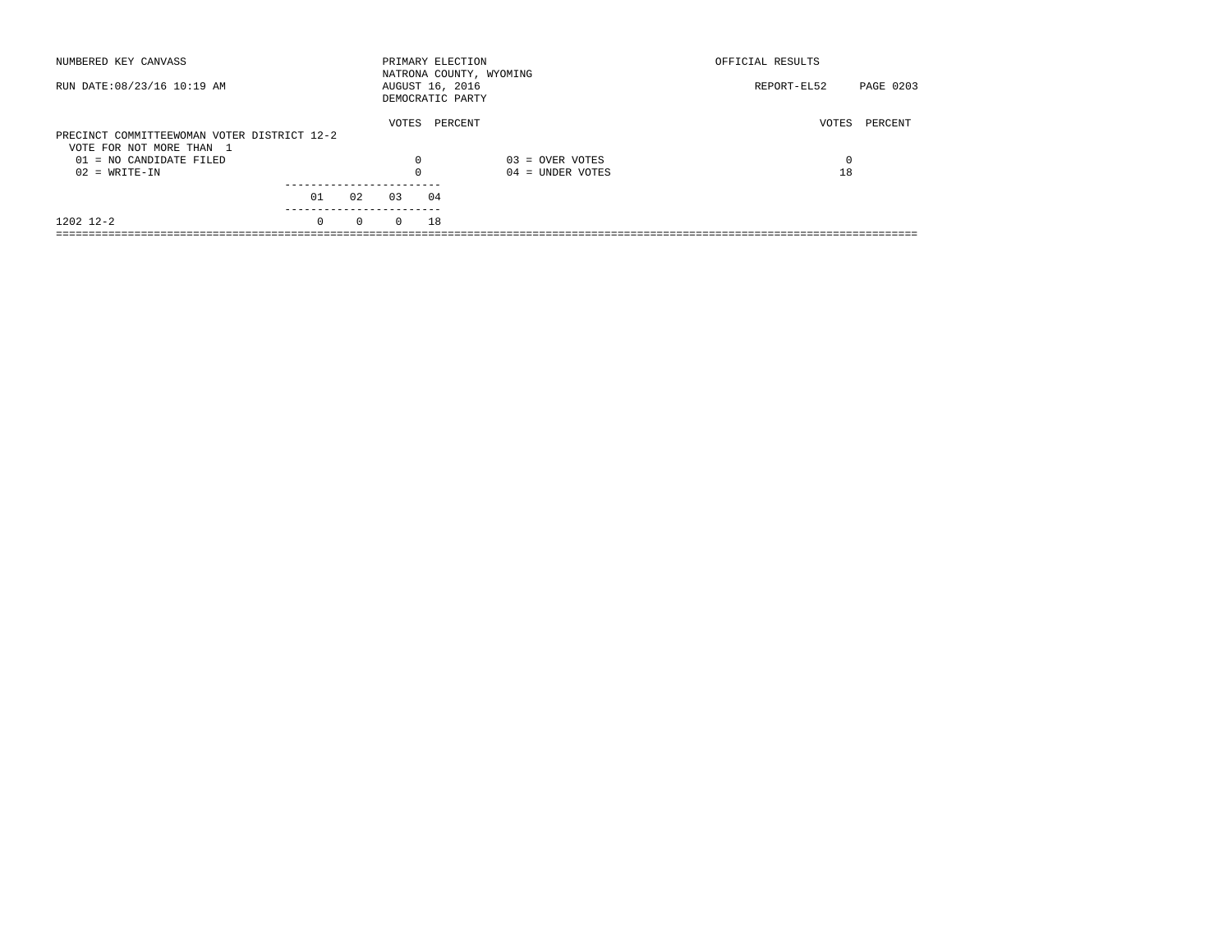| NUMBERED KEY CANVASS                        |          |          |                       | PRIMARY ELECTION<br>NATRONA COUNTY, WYOMING |                    | OFFICIAL RESULTS         |
|---------------------------------------------|----------|----------|-----------------------|---------------------------------------------|--------------------|--------------------------|
| RUN DATE: 08/23/16 10:19 AM                 |          |          |                       | AUGUST 16, 2016<br>DEMOCRATIC PARTY         |                    | PAGE 0203<br>REPORT-EL52 |
|                                             |          |          | VOTES                 | PERCENT                                     |                    | VOTES<br>PERCENT         |
| PRECINCT COMMITTEEWOMAN VOTER DISTRICT 12-2 |          |          |                       |                                             |                    |                          |
| VOTE FOR NOT MORE THAN 1                    |          |          |                       |                                             |                    |                          |
| $01 = NO CANDIDATE FILED$                   |          |          | 0                     |                                             | $03 =$ OVER VOTES  | $\Omega$                 |
| $02 = WRITE-IN$                             |          |          | 0                     |                                             | $04 =$ UNDER VOTES | 18                       |
|                                             |          |          | --------------------- |                                             |                    |                          |
|                                             | 01       | 02       | 0.3                   | 04                                          |                    |                          |
| 1202 12-2                                   | $\Omega$ | $\Omega$ | $\Omega$              | 18                                          |                    |                          |
|                                             |          |          |                       |                                             |                    |                          |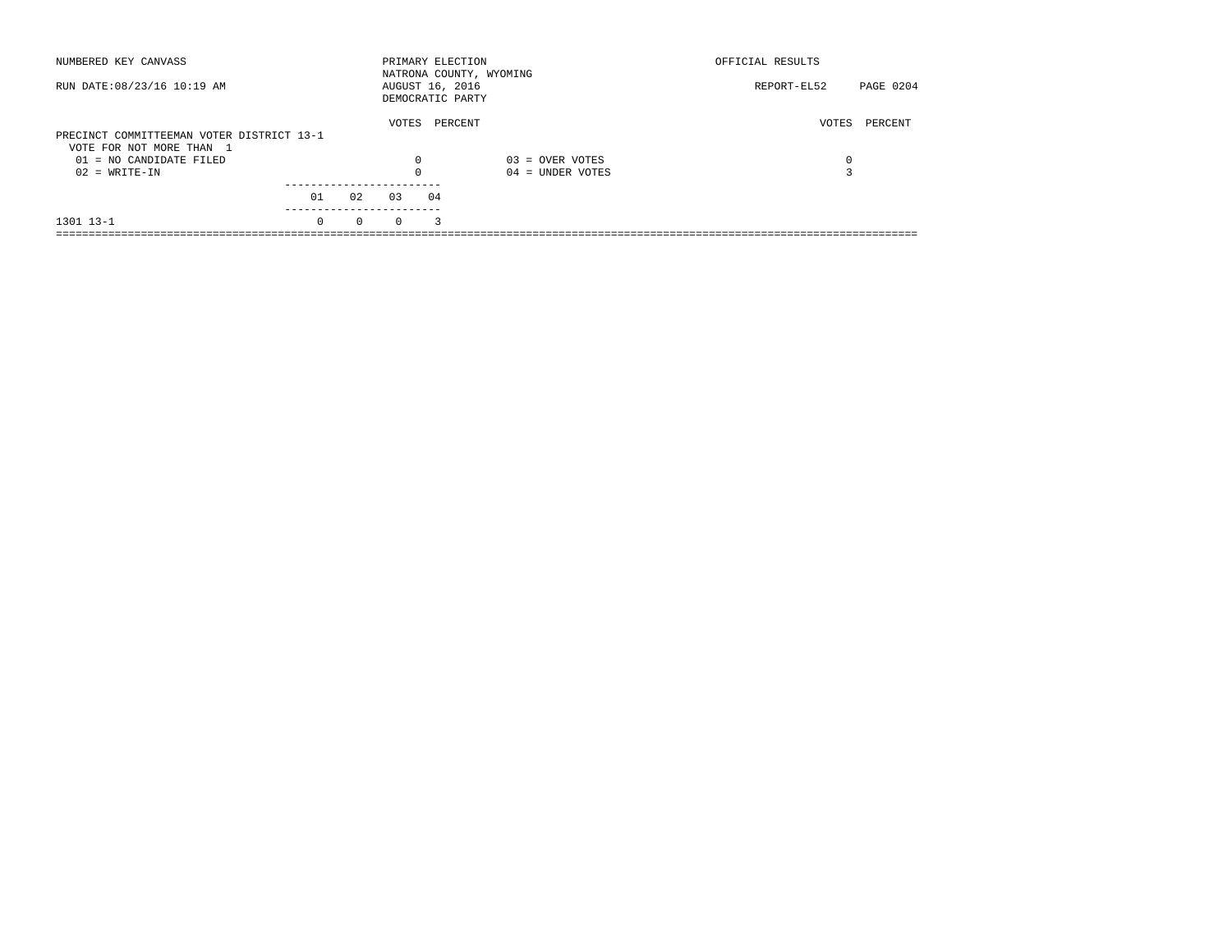| NUMBERED KEY CANVASS                                                  |          |          |          | PRIMARY ELECTION                    | NATRONA COUNTY, WYOMING | OFFICIAL RESULTS |           |
|-----------------------------------------------------------------------|----------|----------|----------|-------------------------------------|-------------------------|------------------|-----------|
| RUN DATE: 08/23/16 10:19 AM                                           |          |          |          | AUGUST 16, 2016<br>DEMOCRATIC PARTY |                         | REPORT-EL52      | PAGE 0204 |
| PRECINCT COMMITTEEMAN VOTER DISTRICT 13-1<br>VOTE FOR NOT MORE THAN 1 |          |          | VOTES    | PERCENT                             |                         | VOTES            | PERCENT   |
| $01 = NO CANDIDATE FILED$                                             |          |          | $\Omega$ |                                     | $03 =$ OVER VOTES       | 0                |           |
| $02 = WRITE-IN$                                                       |          |          |          |                                     | $04 =$ UNDER VOTES      |                  |           |
|                                                                       | 01       | 02       | 03       | 04                                  |                         |                  |           |
| 1301 13-1                                                             | $\Omega$ | $\Omega$ | $\Omega$ | 3                                   |                         |                  |           |
|                                                                       |          |          |          |                                     |                         |                  |           |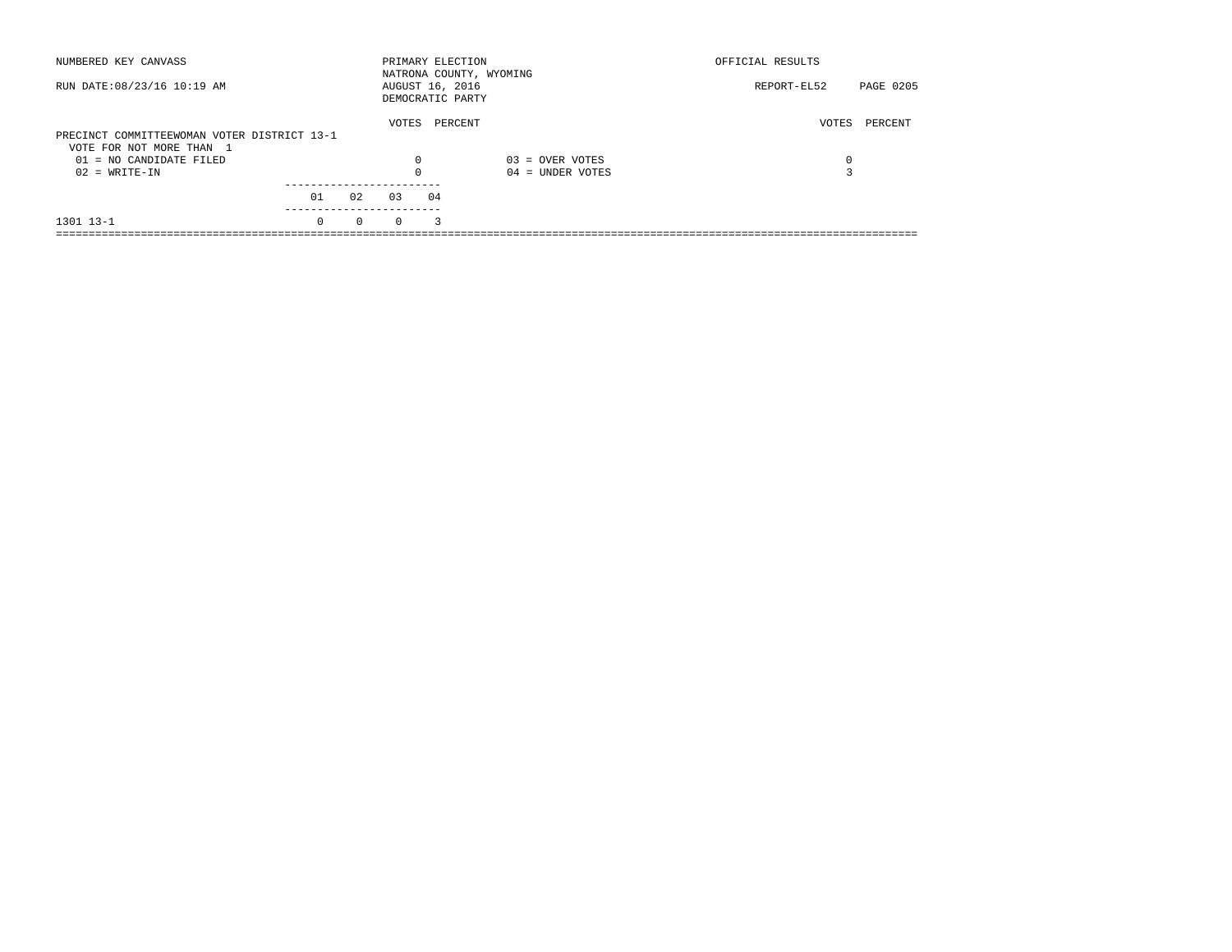| NUMBERED KEY CANVASS                        |          |          | PRIMARY ELECTION                    |         | NATRONA COUNTY, WYOMING | OFFICIAL RESULTS |           |
|---------------------------------------------|----------|----------|-------------------------------------|---------|-------------------------|------------------|-----------|
| RUN DATE: 08/23/16 10:19 AM                 |          |          | AUGUST 16, 2016<br>DEMOCRATIC PARTY |         |                         | REPORT-EL52      | PAGE 0205 |
|                                             |          |          | VOTES                               | PERCENT |                         | VOTES            | PERCENT   |
| PRECINCT COMMITTEEWOMAN VOTER DISTRICT 13-1 |          |          |                                     |         |                         |                  |           |
| VOTE FOR NOT MORE THAN 1                    |          |          |                                     |         |                         |                  |           |
| $01 = NO CANDIDATE FILED$                   |          |          | $\Omega$                            |         | $03 =$ OVER VOTES       | 0                |           |
| $02 = WRITE-IN$                             |          |          |                                     |         | $04 =$ UNDER VOTES      |                  |           |
|                                             |          |          |                                     |         |                         |                  |           |
|                                             | 01       | 02       | 03                                  | 04      |                         |                  |           |
| 1301 13-1                                   | $\Omega$ | $\Omega$ | $\Omega$                            | 3       |                         |                  |           |
|                                             |          |          |                                     |         |                         |                  |           |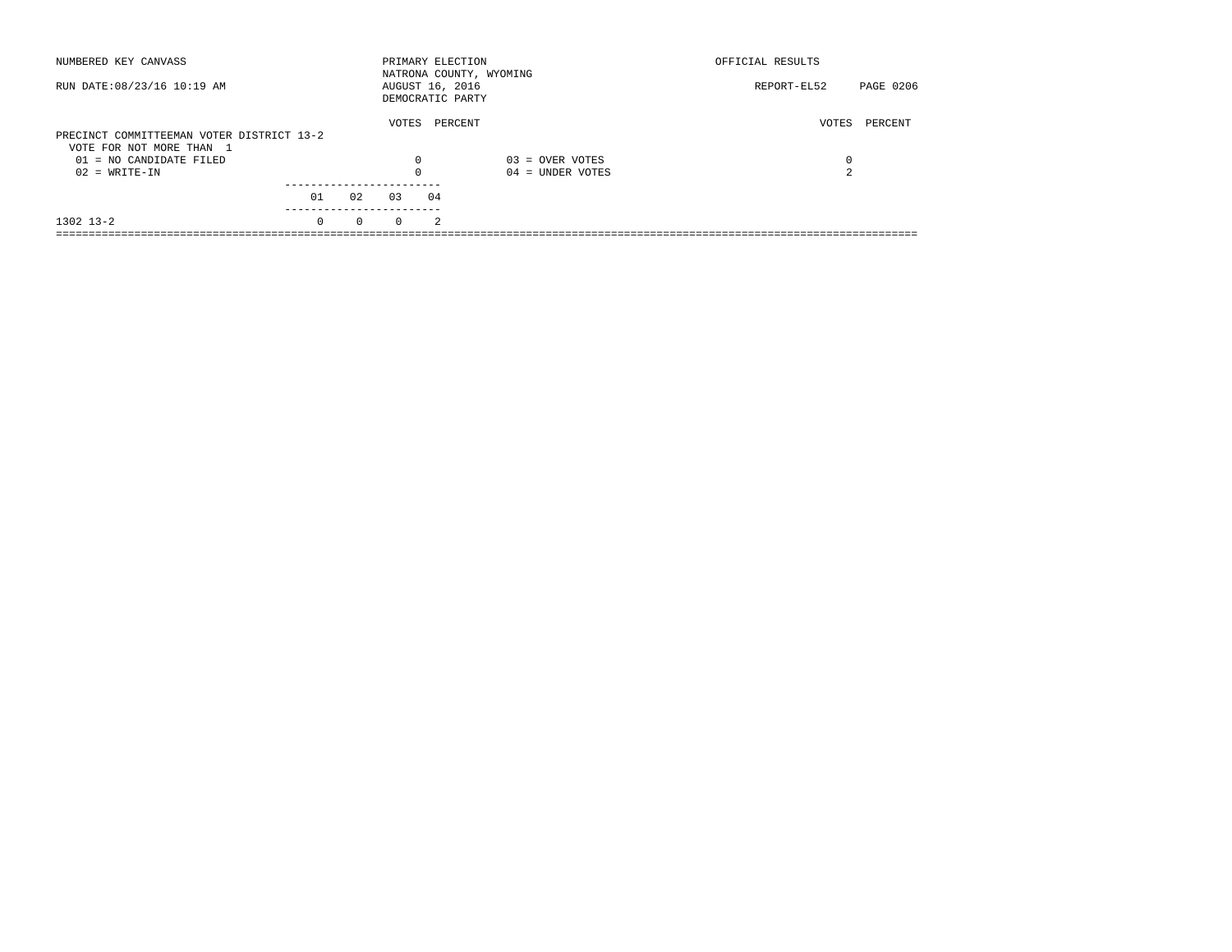| NUMBERED KEY CANVASS                                                  |          |          | PRIMARY ELECTION                    |                | NATRONA COUNTY, WYOMING | OFFICIAL RESULTS |           |
|-----------------------------------------------------------------------|----------|----------|-------------------------------------|----------------|-------------------------|------------------|-----------|
| RUN DATE: 08/23/16 10:19 AM                                           |          |          | AUGUST 16, 2016<br>DEMOCRATIC PARTY |                |                         | REPORT-EL52      | PAGE 0206 |
| PRECINCT COMMITTEEMAN VOTER DISTRICT 13-2<br>VOTE FOR NOT MORE THAN 1 |          |          | VOTES                               | PERCENT        |                         | VOTES            | PERCENT   |
| $01 = NO CANDIDATE FILED$                                             |          |          | $\Omega$                            |                | $03 =$ OVER VOTES       | 0                |           |
| $02 = WRITE-IN$                                                       |          |          |                                     |                | $04 =$ UNDER VOTES      | $\sim$           |           |
|                                                                       | 01       | 02       | 03                                  | 04             |                         |                  |           |
| 1302 13-2                                                             | $\Omega$ | $\Omega$ | $\Omega$                            | $\mathfrak{D}$ |                         |                  |           |
|                                                                       |          |          |                                     |                |                         |                  |           |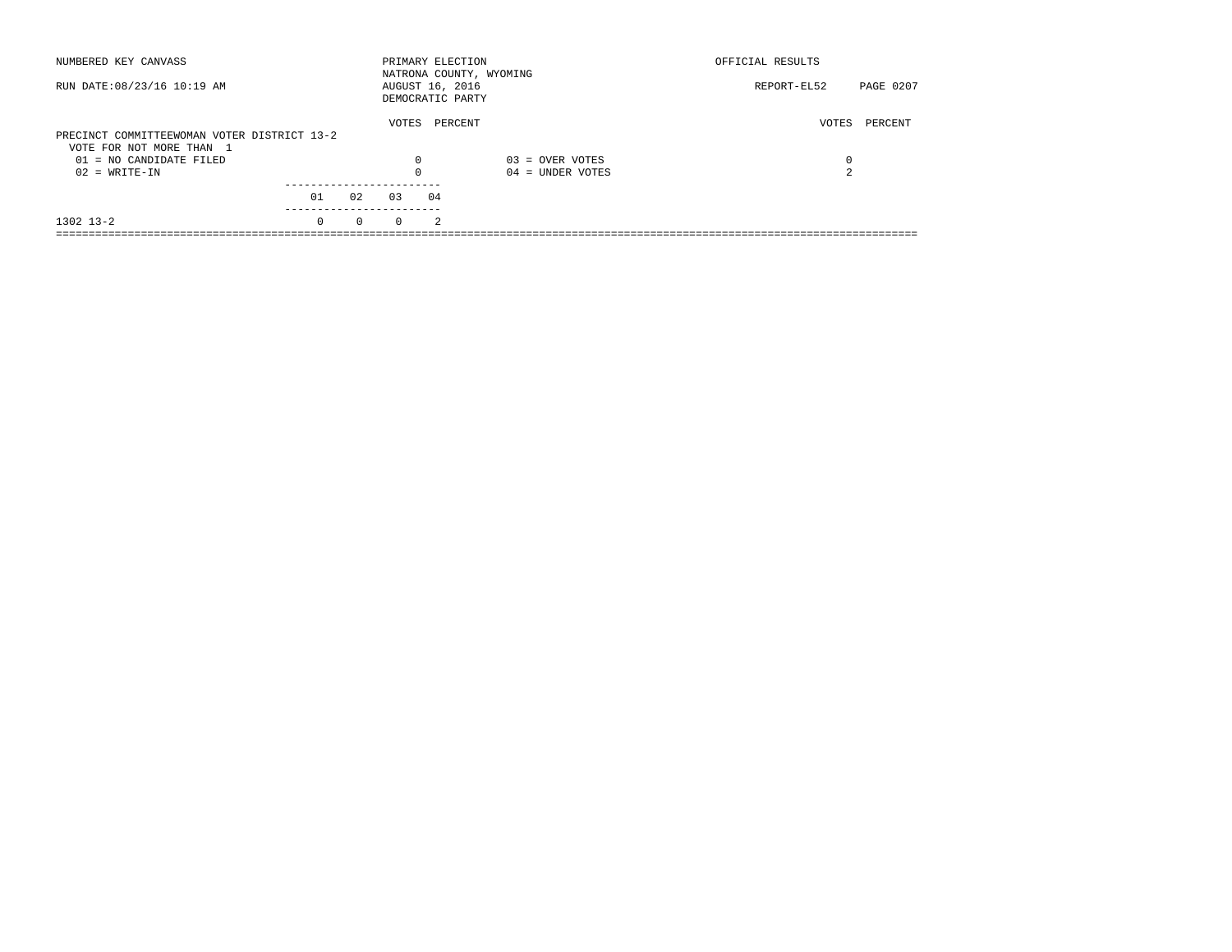| NUMBERED KEY CANVASS                        |          |          |          | PRIMARY ELECTION<br>NATRONA COUNTY, WYOMING |                    | OFFICIAL RESULTS |           |
|---------------------------------------------|----------|----------|----------|---------------------------------------------|--------------------|------------------|-----------|
| RUN DATE: 08/23/16 10:19 AM                 |          |          |          | AUGUST 16, 2016<br>DEMOCRATIC PARTY         |                    | REPORT-EL52      | PAGE 0207 |
| PRECINCT COMMITTEEWOMAN VOTER DISTRICT 13-2 |          |          | VOTES    | PERCENT                                     |                    | VOTES            | PERCENT   |
| VOTE FOR NOT MORE THAN 1                    |          |          |          |                                             |                    |                  |           |
| $01 = NO CANDIDATE FILED$                   |          |          | $\Omega$ |                                             | $03 =$ OVER VOTES  | 0                |           |
| $02 = WRITE-IN$                             |          |          | 0        |                                             | $04 =$ UNDER VOTES | $\overline{a}$   |           |
|                                             | 01       | 02       | 0.3      | 04                                          |                    |                  |           |
| $1302$ $13-2$                               | $\Omega$ | $\Omega$ | $\Omega$ | $\mathfrak{D}$                              |                    |                  |           |
|                                             |          |          |          |                                             |                    |                  |           |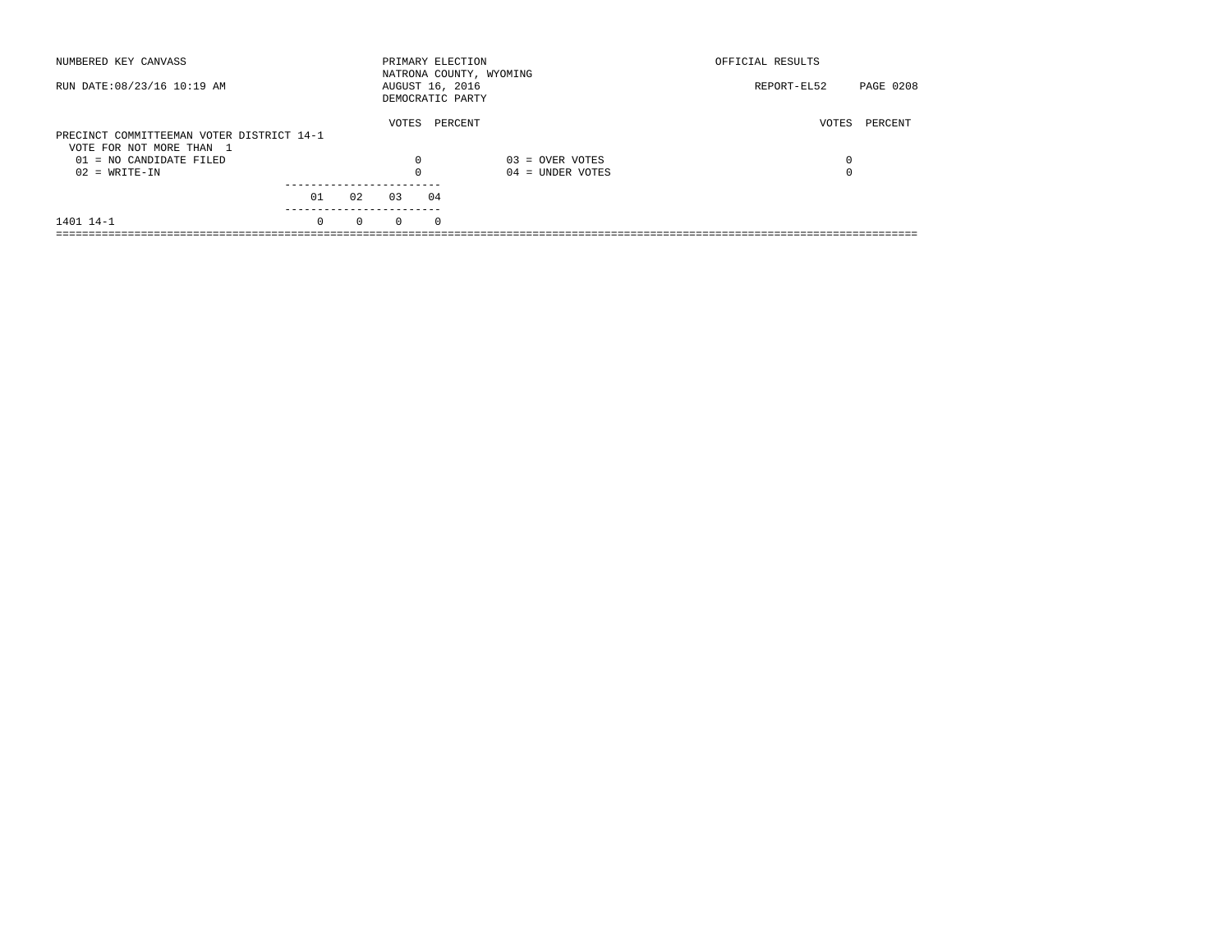| NUMBERED KEY CANVASS                                                  |          |          | PRIMARY ELECTION                    |            | NATRONA COUNTY, WYOMING | OFFICIAL RESULTS |           |
|-----------------------------------------------------------------------|----------|----------|-------------------------------------|------------|-------------------------|------------------|-----------|
| RUN DATE: 08/23/16 10:19 AM                                           |          |          | AUGUST 16, 2016<br>DEMOCRATIC PARTY |            |                         | REPORT-EL52      | PAGE 0208 |
| PRECINCT COMMITTEEMAN VOTER DISTRICT 14-1<br>VOTE FOR NOT MORE THAN 1 |          |          | VOTES                               | PERCENT    |                         | VOTES            | PERCENT   |
| $01 = NO CANDIDATE FILED$                                             |          |          | $\Omega$                            |            | $03 =$ OVER VOTES       | 0                |           |
| $02 = WRITE-IN$                                                       |          |          |                                     |            | $04 =$ UNDER VOTES      | $\Omega$         |           |
|                                                                       | 01       | 02       | 03                                  | 04         |                         |                  |           |
| 1401 14-1                                                             | $\Omega$ | $\Omega$ | $\Omega$                            | $^{\circ}$ |                         |                  |           |
|                                                                       |          |          |                                     |            |                         |                  |           |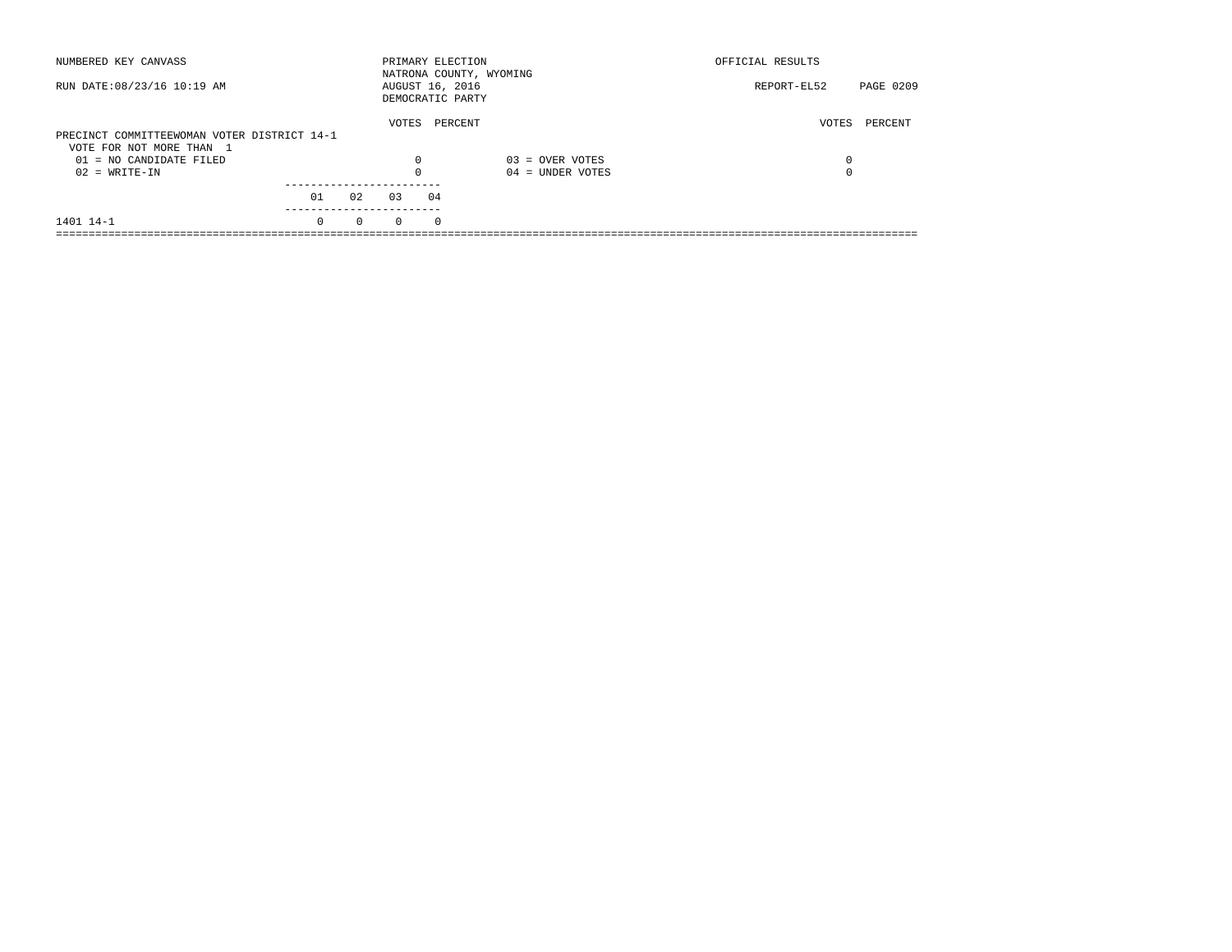| NUMBERED KEY CANVASS                        |          |          |          | PRIMARY ELECTION<br>NATRONA COUNTY, WYOMING |                    | OFFICIAL RESULTS |           |
|---------------------------------------------|----------|----------|----------|---------------------------------------------|--------------------|------------------|-----------|
| RUN DATE: 08/23/16 10:19 AM                 |          |          |          | AUGUST 16, 2016<br>DEMOCRATIC PARTY         |                    | REPORT-EL52      | PAGE 0209 |
| PRECINCT COMMITTEEWOMAN VOTER DISTRICT 14-1 |          |          | VOTES    | PERCENT                                     |                    | VOTES            | PERCENT   |
| VOTE FOR NOT MORE THAN 1                    |          |          |          |                                             |                    |                  |           |
| $01 = NO CANDIDATE FILED$                   |          |          | $\Omega$ |                                             | $03 =$ OVER VOTES  | $\Omega$         |           |
| $02 = WRITE-IN$                             |          |          | 0        |                                             | $04 =$ UNDER VOTES | $\Omega$         |           |
|                                             | 01       | 02       | 0.3      | 04                                          |                    |                  |           |
|                                             |          |          |          |                                             |                    |                  |           |
| 1401 14-1                                   | $\Omega$ | $\Omega$ | $\Omega$ | $\Omega$                                    |                    |                  |           |
|                                             |          |          |          |                                             |                    |                  |           |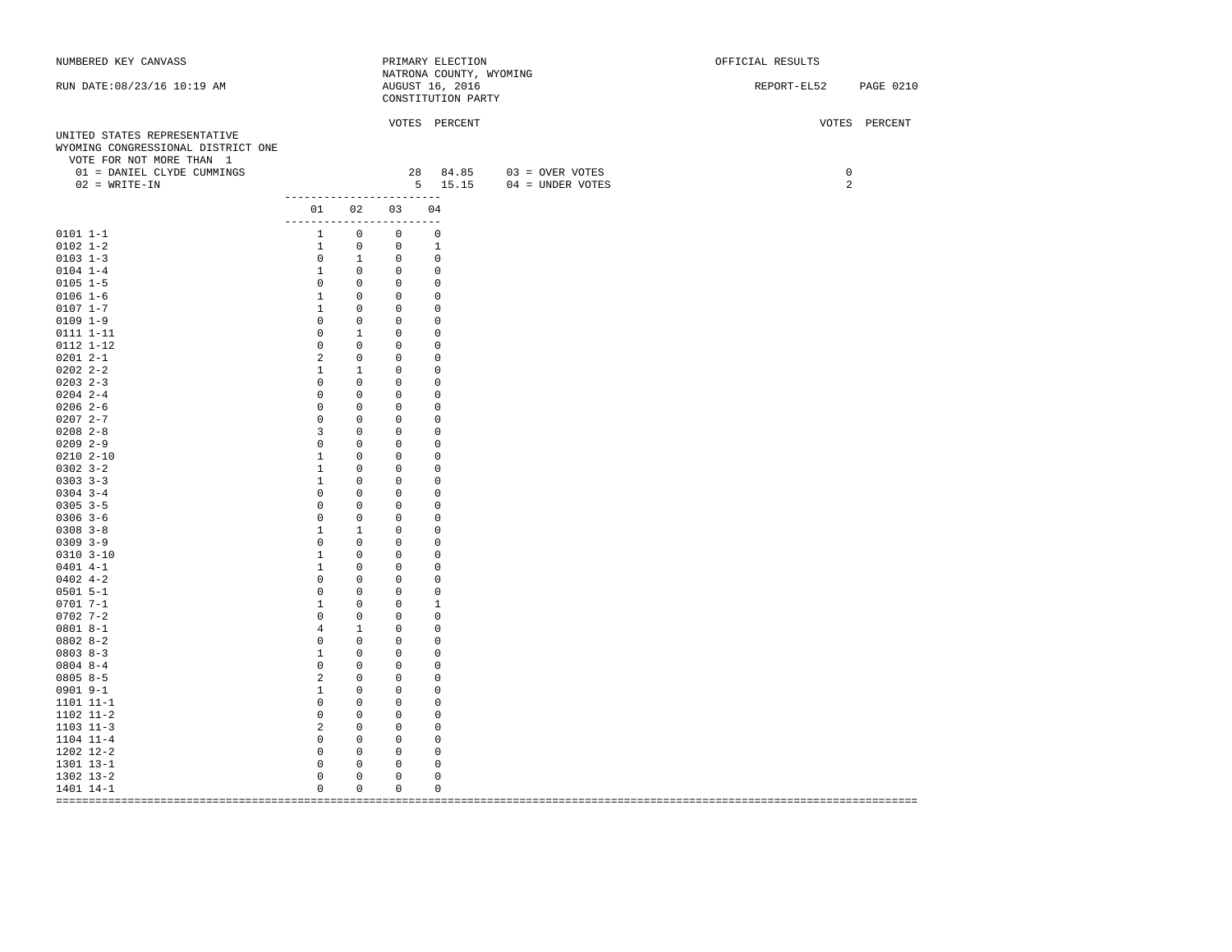| NATRONA COUNTY, WYOMING<br>RUN DATE: 08/23/16 10:19 AM<br>AUGUST 16, 2016<br>REPORT-EL52 PAGE 0210<br>CONSTITUTION PARTY<br>VOTES PERCENT<br>VOTES PERCENT<br>UNITED STATES REPRESENTATIVE<br>WYOMING CONGRESSIONAL DISTRICT ONE |  |
|----------------------------------------------------------------------------------------------------------------------------------------------------------------------------------------------------------------------------------|--|
|                                                                                                                                                                                                                                  |  |
| VOTE FOR NOT MORE THAN 1<br>28 84.85 03 = OVER VOTES<br>01 = DANIEL CLYDE CUMMINGS<br>$\mathbf 0$                                                                                                                                |  |
| $02$ = WRITE-IN<br>5 15.15 04 = UNDER VOTES<br>$\overline{a}$                                                                                                                                                                    |  |
| -------------------------                                                                                                                                                                                                        |  |
| 01 02 03 04                                                                                                                                                                                                                      |  |
| -------------------------<br>1 0 0 0<br>$0101 1 - 1$                                                                                                                                                                             |  |
| $0102$ $1-2$                                                                                                                                                                                                                     |  |
| $\begin{matrix} 0 & 1 & 0 & 0 \end{matrix}$<br>$0103$ 1-3                                                                                                                                                                        |  |
| $\begin{matrix} 1 & 0 & 0 \end{matrix}$<br>$0104$ 1-4<br>$\overline{0}$                                                                                                                                                          |  |
| $\begin{matrix} 0 & 0 & 0 & 0 \end{matrix}$<br>$0105$ 1-5                                                                                                                                                                        |  |
| $\begin{array}{cccc} 1 & 0 & 0 \\ 1 & 0 & 0 \end{array}$<br>$0106 1 - 6$<br>0                                                                                                                                                    |  |
| $0107$ $1-7$<br>$\mathbf 0$                                                                                                                                                                                                      |  |
| $0\qquad 0\qquad 0$<br>$0109$ $1-9$<br>0                                                                                                                                                                                         |  |
| $\begin{matrix} 0 & 1 & 0 & 0 \end{matrix}$<br>0111 1-11                                                                                                                                                                         |  |
| 0112 1-12<br>$0\qquad 0\qquad 0$<br>$\overline{0}$                                                                                                                                                                               |  |
| $02012 - -1$<br>$2 \t 0$<br>$\overline{0}$<br>$\overline{0}$                                                                                                                                                                     |  |
| $02022 - 2 - 2$<br>$1 \quad 1 \quad 0$<br>$\mathbf 0$                                                                                                                                                                            |  |
| $0203$ 2-3<br>$0\qquad 0\qquad 0$<br>$\overline{0}$                                                                                                                                                                              |  |
| $\begin{matrix} 0 && 0 && 0 \\ 0 && 0 && 0 \end{matrix}$<br>$0204$ 2-4<br>$\mathbf 0$                                                                                                                                            |  |
| $02062--6$<br>$\overline{0}$<br>$\mathbf{0}$                                                                                                                                                                                     |  |
| $02072 - -7$<br>$0\qquad 0\qquad 0$<br>0                                                                                                                                                                                         |  |
| $0208$ 2-8<br>3 0 0<br>$\overline{0}$                                                                                                                                                                                            |  |
| $0\qquad 0\qquad 0$<br>$02092 - -9$<br>$\circ$                                                                                                                                                                                   |  |
| $0210 2 - 10$<br>$1 \t 0$<br>$\overline{0}$<br>$\circ$                                                                                                                                                                           |  |
| $1 \qquad 0 \qquad 0$<br>$0302 \ \ 3-2$<br>$\mathbf{0}$                                                                                                                                                                          |  |
| $0303$ $3-3$<br>$1 \t 0$<br>$\overline{0}$<br>0<br>$0\qquad 0$                                                                                                                                                                   |  |
| $0304$ 3-4<br>$\overline{0}$<br>$\overline{0}$<br>$0305$ 3-5<br>$\mathbf 0$<br>$\overline{0}$                                                                                                                                    |  |
| $\begin{matrix} 0 & 0 \\ 0 & 0 \end{matrix}$<br>$0\qquad 0$<br>$0306$ 3-6<br>$\mathbf 0$<br>$\overline{0}$                                                                                                                       |  |
| $0308$ $3-8$<br>$\begin{matrix} 1 \end{matrix} \qquad \begin{matrix} 1 \end{matrix} \qquad \begin{matrix} 0 \end{matrix}$<br>$\mathbf 0$                                                                                         |  |
| $0309$ $3-9$<br>$0\qquad 0\qquad 0$<br>$\mathbf{0}$                                                                                                                                                                              |  |
| $1 \qquad 0$<br>$0310$ $3-10$<br>$\overline{0}$<br>0                                                                                                                                                                             |  |
| $0401$ 4-1<br>$1 \t 0$<br>$\overline{0}$<br>$\mathbf{0}$                                                                                                                                                                         |  |
| $0402$ 4-2<br>$0\qquad 0\qquad 0$<br>0                                                                                                                                                                                           |  |
| $0501$ 5-1<br>$\overline{0}$                                                                                                                                                                                                     |  |
| $\begin{matrix} 0 & 0 & 0 \ 1 & 0 & 0 \ 0 & 0 & 0 \end{matrix}$<br>$0701 7 - 1$<br>1                                                                                                                                             |  |
| $0702$ 7-2<br>$\circ$                                                                                                                                                                                                            |  |
| $08018 - -1$<br>4 1 0<br>$\mathbf 0$                                                                                                                                                                                             |  |
| $0802 8 - 2$<br>$\begin{array}{cccc} 0 & 0 & 0 \ 1 & 0 & 0 \ 0 & 0 & 0 \end{array}$<br>$\overline{0}$                                                                                                                            |  |
| $08038 - 3$<br>$\overline{0}$                                                                                                                                                                                                    |  |
| $08048 - -4$<br>$\mathbf{0}$                                                                                                                                                                                                     |  |
| $2 \t 0$<br>$08058-5$<br>$\overline{0}$<br>0                                                                                                                                                                                     |  |
| $1 \qquad 0$<br>0901 9-1<br>$\overline{0}$<br>$\overline{0}$                                                                                                                                                                     |  |
| $0\qquad 0\qquad 0$<br>1101 11-1<br>$\overline{0}$                                                                                                                                                                               |  |
| $0\qquad 0$<br>1102 11-2<br>$\overline{0}$<br>0                                                                                                                                                                                  |  |
| $2 \t 0$<br>$1103$ $11-3$<br>$\mathbf 0$<br>$\overline{0}$                                                                                                                                                                       |  |
| $0\qquad 0$<br>1104 11-4<br>0<br>$\overline{0}$                                                                                                                                                                                  |  |
| $\begin{matrix} 0 & 0 & 0 & 0 \end{matrix}$<br>1202 12-2                                                                                                                                                                         |  |
| $\begin{matrix}0&0\end{matrix}$<br>1301 13-1<br>$\circ$<br>$\mathbf 0$                                                                                                                                                           |  |
| $\mathbf 0$<br>$\overline{\phantom{0}}$<br>$\mathsf 0$<br>$\circ$<br>1302 13-2                                                                                                                                                   |  |
| $\circ$<br>$\overline{0}$<br>$\overline{0}$<br>$\mathbf 0$<br>1401 14-1                                                                                                                                                          |  |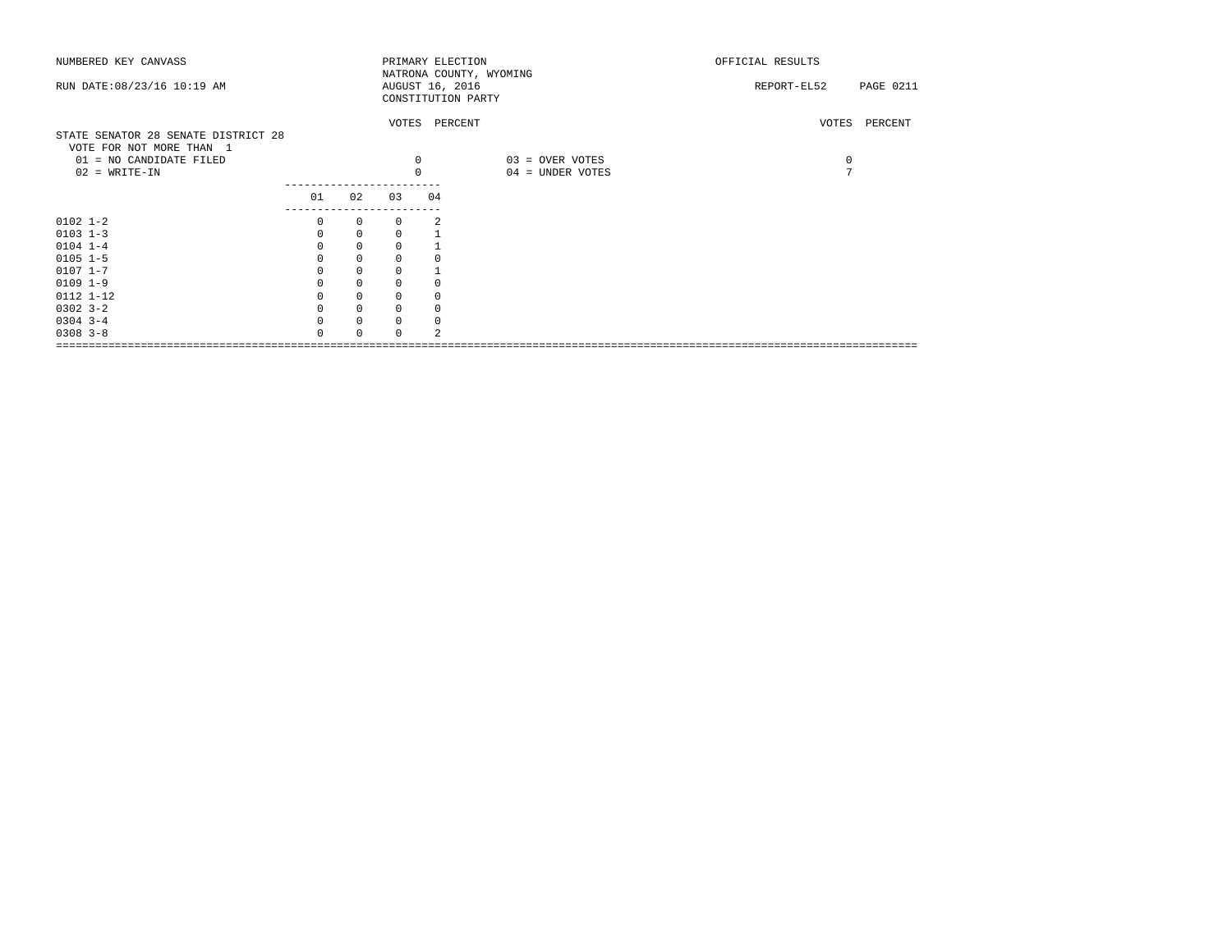| NUMBERED KEY CANVASS                |          |              |              |    | PRIMARY ELECTION<br>NATRONA COUNTY, WYOMING | OFFICIAL RESULTS |                  |
|-------------------------------------|----------|--------------|--------------|----|---------------------------------------------|------------------|------------------|
| RUN DATE: 08/23/16 10:19 AM         |          |              |              |    | AUGUST 16, 2016                             | REPORT-EL52      | <b>PAGE 0211</b> |
|                                     |          |              |              |    | CONSTITUTION PARTY                          |                  |                  |
|                                     |          |              |              |    |                                             |                  |                  |
|                                     |          |              |              |    | VOTES PERCENT                               |                  | VOTES PERCENT    |
| STATE SENATOR 28 SENATE DISTRICT 28 |          |              |              |    |                                             |                  |                  |
| VOTE FOR NOT MORE THAN 1            |          |              |              |    |                                             |                  |                  |
| 01 = NO CANDIDATE FILED             |          |              | $\mathbf 0$  |    | 03 = OVER VOTES                             | $\circ$          |                  |
| $02$ = WRITE-IN                     |          |              | $\mathbf 0$  |    | 04 = UNDER VOTES                            | $\mathcal{L}$    |                  |
|                                     | 01       | 02           | 03           | 04 |                                             |                  |                  |
|                                     |          |              |              |    |                                             |                  |                  |
| $0102$ $1-2$                        | 0        | $\circ$      | 0            | 2  |                                             |                  |                  |
| $0103$ $1-3$                        | $\Omega$ | $\mathbf{0}$ | $\Omega$     |    |                                             |                  |                  |
| $0104$ 1-4                          |          | $\mathbf 0$  | 0            |    |                                             |                  |                  |
| $0105$ $1-5$                        |          | $\mathbf 0$  | 0            |    |                                             |                  |                  |
| $0107$ $1 - 7$                      | $\Omega$ | $\mathbf 0$  | $\Omega$     |    |                                             |                  |                  |
| $0109$ $1-9$                        |          | $\mathbf 0$  | 0            |    |                                             |                  |                  |
| 0112 1-12                           |          | 0            | 0            |    |                                             |                  |                  |
| $0302$ $3-2$                        |          | $\mathbf 0$  | $\mathbf 0$  | 0  |                                             |                  |                  |
| $0304$ 3-4                          |          | $\mathbf 0$  | 0            | 0  |                                             |                  |                  |
| $0308$ $3 - 8$                      |          | $\Omega$     | <sup>0</sup> |    |                                             |                  |                  |
|                                     |          |              |              |    |                                             |                  |                  |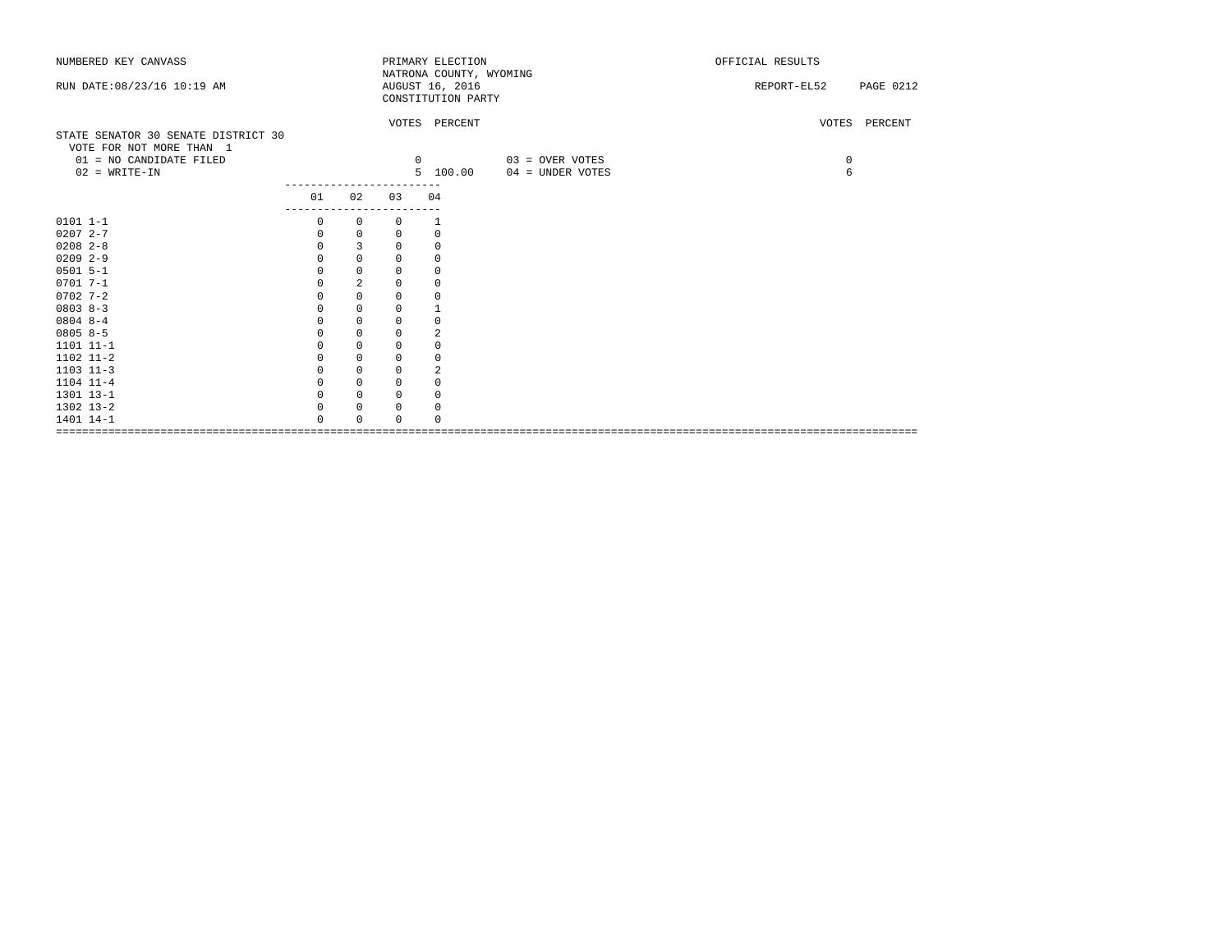| NUMBERED KEY CANVASS                |          |                |             | PRIMARY ELECTION                           |                   | OFFICIAL RESULTS |               |
|-------------------------------------|----------|----------------|-------------|--------------------------------------------|-------------------|------------------|---------------|
| RUN DATE: 08/23/16 10:19 AM         |          |                |             | NATRONA COUNTY, WYOMING<br>AUGUST 16, 2016 |                   | REPORT-EL52      | PAGE 0212     |
|                                     |          |                |             | CONSTITUTION PARTY                         |                   |                  |               |
|                                     |          |                |             |                                            |                   |                  |               |
|                                     |          |                |             | VOTES PERCENT                              |                   |                  | VOTES PERCENT |
| STATE SENATOR 30 SENATE DISTRICT 30 |          |                |             |                                            |                   |                  |               |
| VOTE FOR NOT MORE THAN 1            |          |                |             |                                            |                   |                  |               |
| 01 = NO CANDIDATE FILED             |          |                |             | $\Omega$                                   | $03 =$ OVER VOTES | 0                |               |
| $02$ = WRITE-IN                     |          |                |             | 5 100.00                                   | 04 = UNDER VOTES  | 6                |               |
|                                     | 01       | 02             | 03          | 04                                         |                   |                  |               |
|                                     |          | ----------     |             |                                            |                   |                  |               |
| $0101 1 - 1$                        | $\Omega$ | 0              | $\Omega$    | 1                                          |                   |                  |               |
| $02072 - -7$                        | 0        | 0              | 0           | $\circ$                                    |                   |                  |               |
| $0208$ $2-8$                        | 0        | 3              | 0           | $\circ$                                    |                   |                  |               |
| $0209$ 2-9                          | 0        | $\mathbf 0$    | 0           | $\circ$                                    |                   |                  |               |
| $0501$ 5-1                          | $\Omega$ | $\mathbf 0$    | $\Omega$    | $\circ$                                    |                   |                  |               |
| $0701 7 - 1$                        |          | $\overline{a}$ | 0           | 0                                          |                   |                  |               |
| $0702$ 7-2                          | $\Omega$ | $\mathbf 0$    | 0           | $\circ$                                    |                   |                  |               |
| $08038 - 3$                         |          | $\mathbf 0$    | 0           | $\mathbf{1}$                               |                   |                  |               |
| $08048 - -4$                        |          | 0              | 0           | $\mathbf 0$                                |                   |                  |               |
| $0805 8 - 5$                        |          | $\mathbf 0$    | $\Omega$    | $\overline{2}$                             |                   |                  |               |
| 1101 11-1                           |          | 0              | 0           | $\circ$                                    |                   |                  |               |
| 1102 11-2                           |          | $\mathbf 0$    | 0           | $\mathbb O$                                |                   |                  |               |
| $1103$ $11-3$                       |          | 0              | 0           | $\sqrt{2}$                                 |                   |                  |               |
| 1104 11-4                           | $\Omega$ | $\mathbf 0$    | $\Omega$    | $\circ$                                    |                   |                  |               |
| 1301 13-1                           |          | 0              | $\mathbf 0$ | $\mathbf 0$                                |                   |                  |               |
| 1302 13-2                           | 0        | 0              | 0           | 0                                          |                   |                  |               |
| 1401 14-1                           |          | $\Omega$       | $\Omega$    | $\Omega$                                   |                   |                  |               |
|                                     |          |                |             |                                            |                   |                  |               |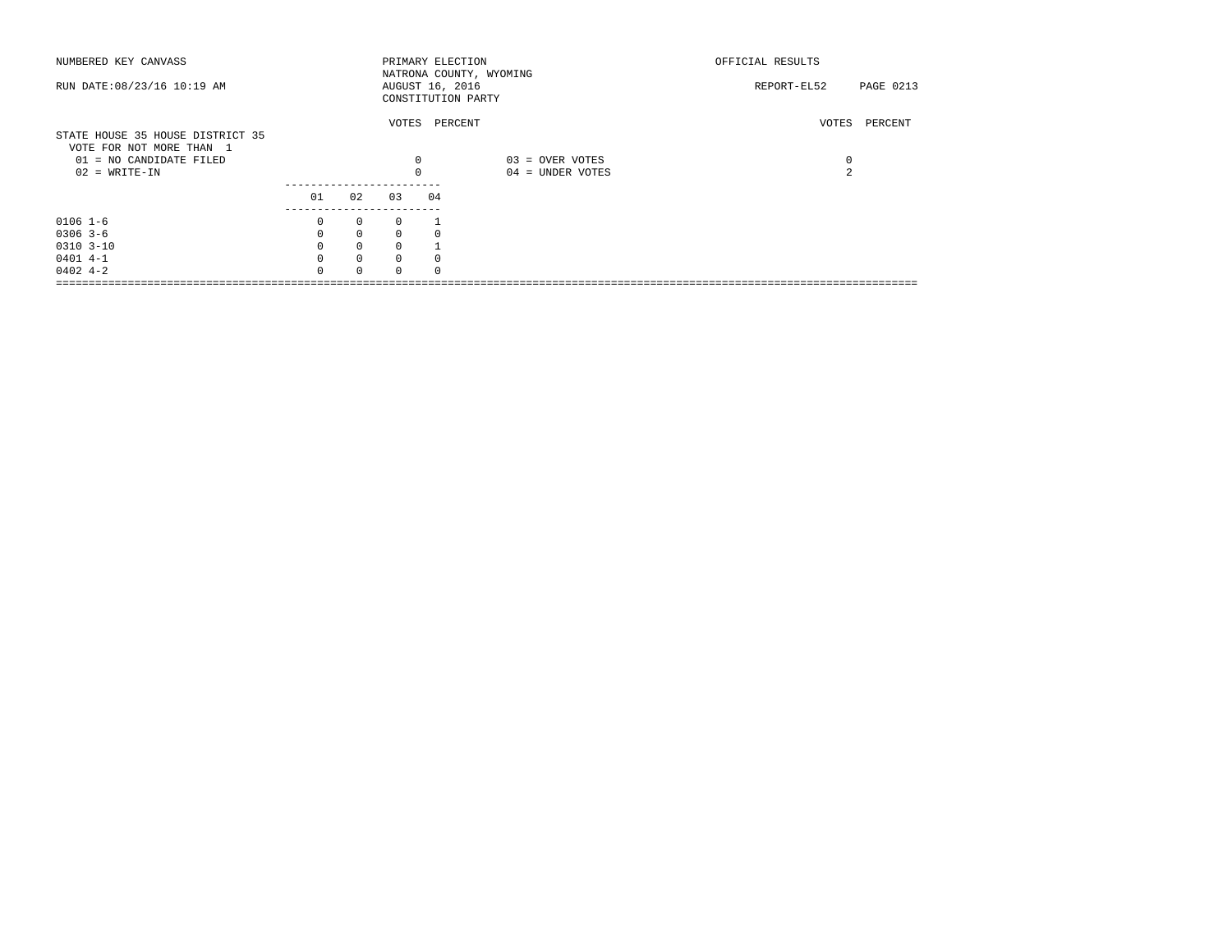| NUMBERED KEY CANVASS             |          |              |          |    | PRIMARY ELECTION        | OFFICIAL RESULTS |               |
|----------------------------------|----------|--------------|----------|----|-------------------------|------------------|---------------|
|                                  |          |              |          |    | NATRONA COUNTY, WYOMING |                  |               |
| RUN DATE: 08/23/16 10:19 AM      |          |              |          |    | AUGUST 16, 2016         | REPORT-EL52      | PAGE 0213     |
|                                  |          |              |          |    | CONSTITUTION PARTY      |                  |               |
|                                  |          |              |          |    | VOTES PERCENT           |                  | VOTES PERCENT |
| STATE HOUSE 35 HOUSE DISTRICT 35 |          |              |          |    |                         |                  |               |
| VOTE FOR NOT MORE THAN 1         |          |              |          |    |                         |                  |               |
| 01 = NO CANDIDATE FILED          |          |              |          | 0  | 03 = OVER VOTES         | 0                |               |
| $02$ = WRITE-IN                  |          |              |          |    | 04 = UNDER VOTES        | $\mathfrak{D}$   |               |
|                                  |          |              |          |    |                         |                  |               |
|                                  | 01       | 02           | 03       | 04 |                         |                  |               |
|                                  |          |              |          |    |                         |                  |               |
| $0106$ 1-6                       | $\Omega$ | $\circ$      | $\Omega$ |    |                         |                  |               |
| $0306$ 3-6                       | $\Omega$ | $\mathbf{0}$ | $\Omega$ |    |                         |                  |               |
| $0310$ $3-10$                    |          | $\mathbf{0}$ | $\Omega$ |    |                         |                  |               |
| $0401$ 4-1                       |          | $\mathbf 0$  | $\Omega$ |    |                         |                  |               |
| $0402 + -2$                      |          | $\Omega$     | $\Omega$ |    |                         |                  |               |
|                                  |          |              |          |    |                         |                  |               |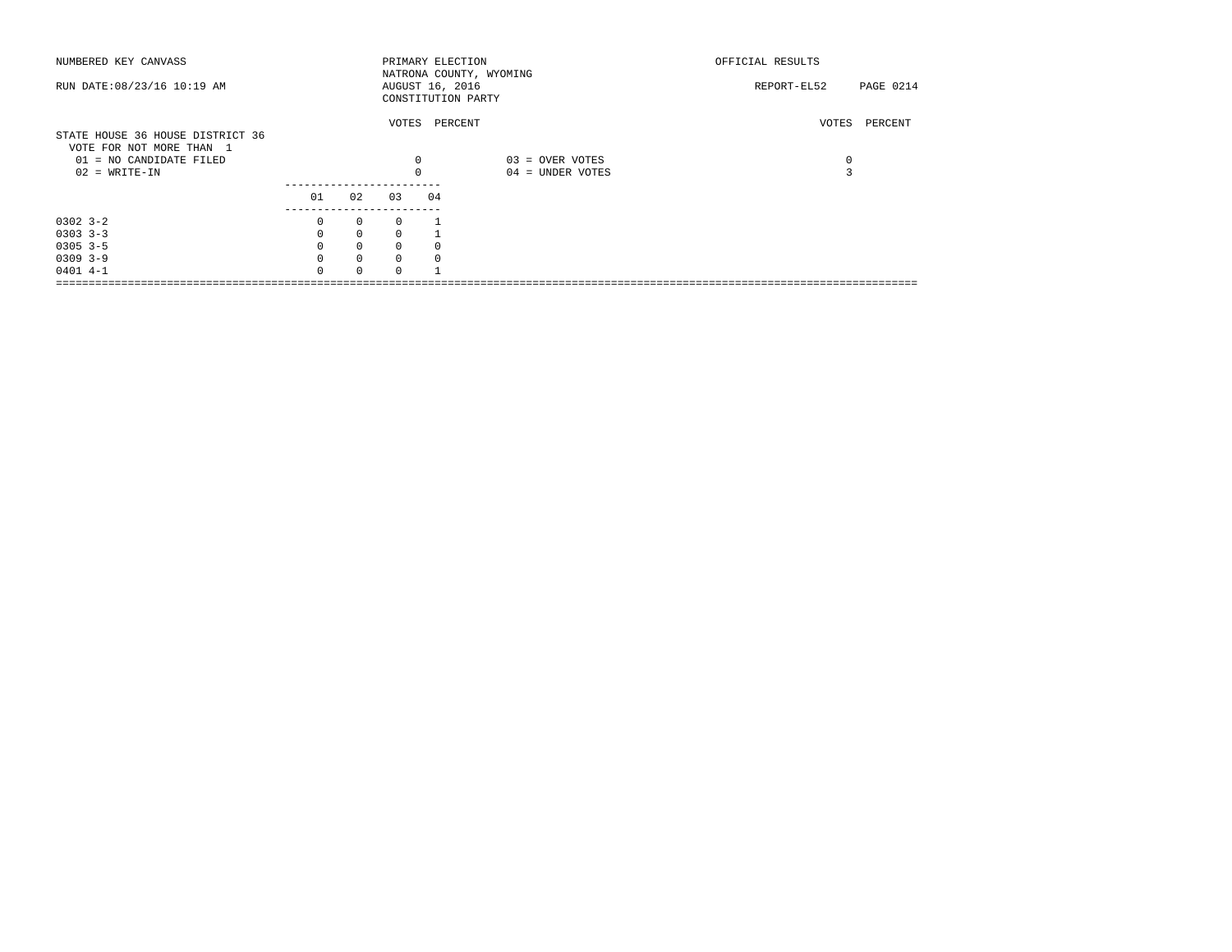| NUMBERED KEY CANVASS                                                                                       |              |              |          | PRIMARY ELECTION<br>NATRONA COUNTY, WYOMING |                                     | OFFICIAL RESULTS |           |  |
|------------------------------------------------------------------------------------------------------------|--------------|--------------|----------|---------------------------------------------|-------------------------------------|------------------|-----------|--|
| RUN DATE: 08/23/16 10:19 AM                                                                                |              |              |          | AUGUST 16, 2016<br>CONSTITUTION PARTY       |                                     | REPORT-EL52      | PAGE 0214 |  |
| STATE HOUSE 36 HOUSE DISTRICT 36<br>VOTE FOR NOT MORE THAN 1<br>01 = NO CANDIDATE FILED<br>$02$ = WRITE-IN |              |              | 0        | VOTES PERCENT                               | 03 = OVER VOTES<br>04 = UNDER VOTES | VOTES<br>0<br>3  | PERCENT   |  |
|                                                                                                            | 01           | 02           | 03       | 04                                          |                                     |                  |           |  |
| $0302 - 3 - 2$                                                                                             | 0            | 0            | $\Omega$ |                                             |                                     |                  |           |  |
| $0303$ $3-3$                                                                                               | $\Omega$     | $\mathbf{0}$ | $\Omega$ |                                             |                                     |                  |           |  |
| $0305$ 3-5                                                                                                 |              | $\mathbf 0$  | $\Omega$ |                                             |                                     |                  |           |  |
| $0309$ 3-9                                                                                                 |              | $\mathbf 0$  | $\Omega$ |                                             |                                     |                  |           |  |
| $0401$ 4-1                                                                                                 | <sup>n</sup> | $\Omega$     | $\Omega$ |                                             |                                     |                  |           |  |
|                                                                                                            |              |              |          |                                             |                                     |                  |           |  |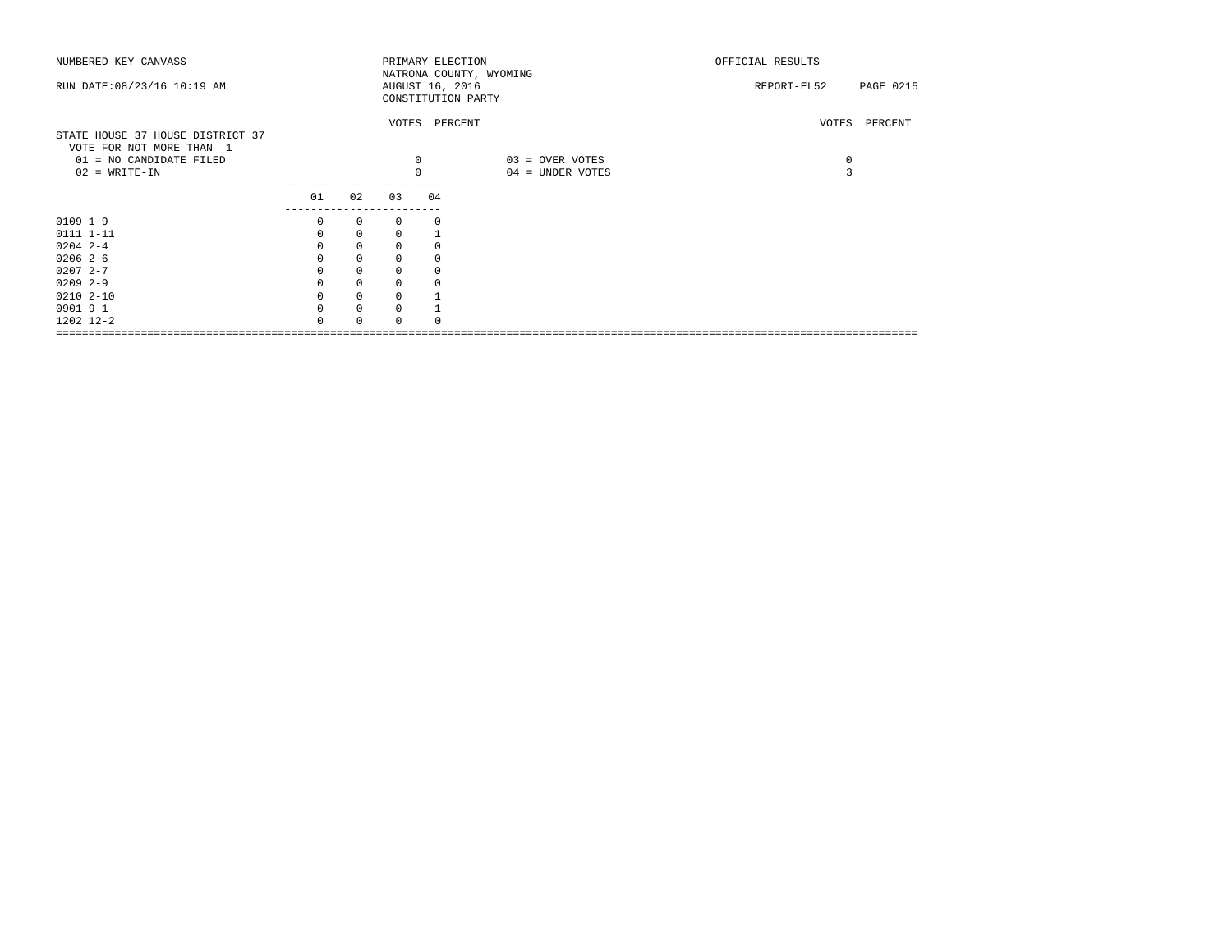| NUMBERED KEY CANVASS             |               |             |             |             | PRIMARY ELECTION        | OFFICIAL RESULTS |               |
|----------------------------------|---------------|-------------|-------------|-------------|-------------------------|------------------|---------------|
|                                  |               |             |             |             | NATRONA COUNTY, WYOMING |                  |               |
| RUN DATE: 08/23/16 10:19 AM      |               |             |             |             | AUGUST 16, 2016         | REPORT-EL52      | PAGE 0215     |
|                                  |               |             |             |             | CONSTITUTION PARTY      |                  |               |
|                                  |               |             |             |             | VOTES PERCENT           |                  | VOTES PERCENT |
| STATE HOUSE 37 HOUSE DISTRICT 37 |               |             |             |             |                         |                  |               |
| VOTE FOR NOT MORE THAN 1         |               |             |             |             |                         |                  |               |
| 01 = NO CANDIDATE FILED          |               |             |             | $\mathbf 0$ | 03 = OVER VOTES         | $\mathbf 0$      |               |
| $02$ = WRITE-IN                  |               |             |             | $\mathbf 0$ | 04 = UNDER VOTES        | 3                |               |
|                                  |               |             |             |             |                         |                  |               |
|                                  | 01            | 02          | 03          | 04          |                         |                  |               |
|                                  | ------------- |             |             |             |                         |                  |               |
| $0109$ $1-9$                     | 0             | $\circ$     | 0           | $\Omega$    |                         |                  |               |
| 0111 1-11                        |               | $\mathbf 0$ | 0           |             |                         |                  |               |
| $0204$ 2-4                       |               | $\mathbf 0$ | $\Omega$    |             |                         |                  |               |
| $02062-6$                        |               | $\mathbf 0$ | $\mathbf 0$ |             |                         |                  |               |
| $02072 - -7$                     |               | $\mathbf 0$ | 0           |             |                         |                  |               |
| $0209$ 2-9                       |               | $\mathbf 0$ | 0           |             |                         |                  |               |
| $02102 - 10$                     |               | $\mathbf 0$ | 0           |             |                         |                  |               |
| 0901 9-1                         |               | $\mathbf 0$ | $\mathbf 0$ |             |                         |                  |               |
| 1202 12-2                        |               | $\Omega$    | $\Omega$    |             |                         |                  |               |
|                                  |               |             |             |             |                         |                  |               |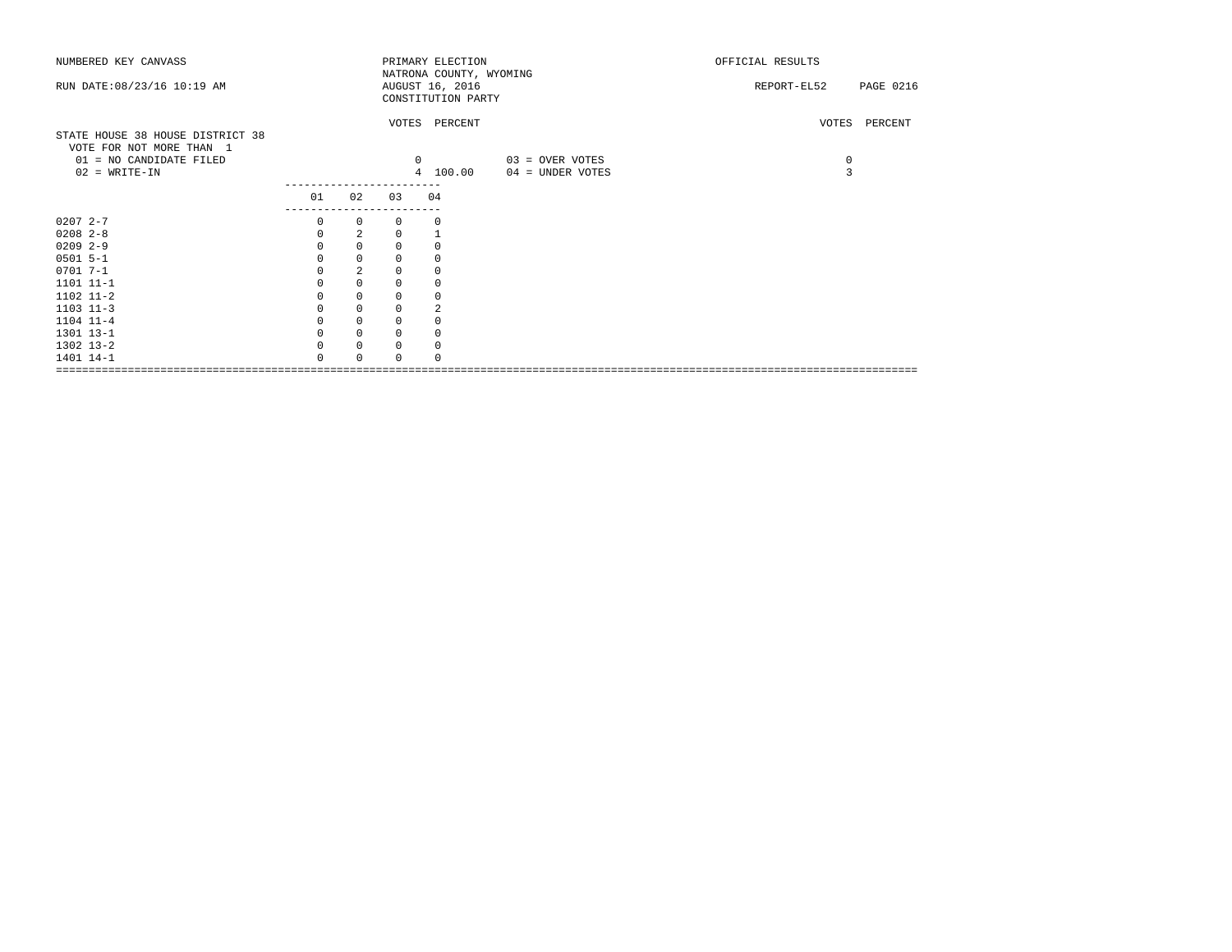| NUMBERED KEY CANVASS                                         |             |                |          | PRIMARY ELECTION                           |                  | OFFICIAL RESULTS         |
|--------------------------------------------------------------|-------------|----------------|----------|--------------------------------------------|------------------|--------------------------|
| RUN DATE: 08/23/16 10:19 AM                                  |             |                |          | NATRONA COUNTY, WYOMING<br>AUGUST 16, 2016 |                  | PAGE 0216<br>REPORT-EL52 |
|                                                              |             |                |          | CONSTITUTION PARTY                         |                  |                          |
|                                                              |             |                |          | VOTES PERCENT                              |                  | VOTES PERCENT            |
| STATE HOUSE 38 HOUSE DISTRICT 38<br>VOTE FOR NOT MORE THAN 1 |             |                |          |                                            |                  |                          |
| 01 = NO CANDIDATE FILED                                      |             |                |          | $\circ$                                    | 03 = OVER VOTES  | $\mathsf{O}$             |
| $02 = WRITE-IN$                                              |             |                |          | 4 100.00                                   | 04 = UNDER VOTES | 3                        |
|                                                              | 01          | 02             | 03       | 04                                         |                  |                          |
| $02072 - -7$                                                 | 0           | $\mathbf{0}$   | $\Omega$ | 0                                          |                  |                          |
| $0208$ $2-8$                                                 | $\mathbf 0$ | 2              | 0        |                                            |                  |                          |
| $0209$ 2-9                                                   | 0           | $\mathbf 0$    | 0        | 0                                          |                  |                          |
| $0501$ 5-1                                                   | $\Omega$    | $\mathbf 0$    | 0        | $\mathbf 0$                                |                  |                          |
| $0701 7 - 1$                                                 | $\Omega$    | $\overline{a}$ | $\Omega$ | $\mathbf 0$                                |                  |                          |
| 1101 11-1                                                    |             | $\mathbf 0$    | 0        | $\mathbf 0$                                |                  |                          |
| 1102 11-2                                                    | 0           | $\mathsf 0$    | 0        | 0                                          |                  |                          |
| $1103$ $11-3$                                                |             | $\mathsf 0$    | 0        | 2                                          |                  |                          |
| 1104 11-4                                                    |             | $\mathbf 0$    | 0        | 0                                          |                  |                          |
| 1301 13-1                                                    | 0           | $\mathbf 0$    | $\Omega$ | 0                                          |                  |                          |
| 1302 13-2                                                    | $\Omega$    | $\mathbf 0$    | 0        | 0                                          |                  |                          |
| 1401 14-1                                                    | $\Omega$    | $\Omega$       | $\Omega$ | $\Omega$                                   |                  |                          |
|                                                              |             |                |          |                                            |                  |                          |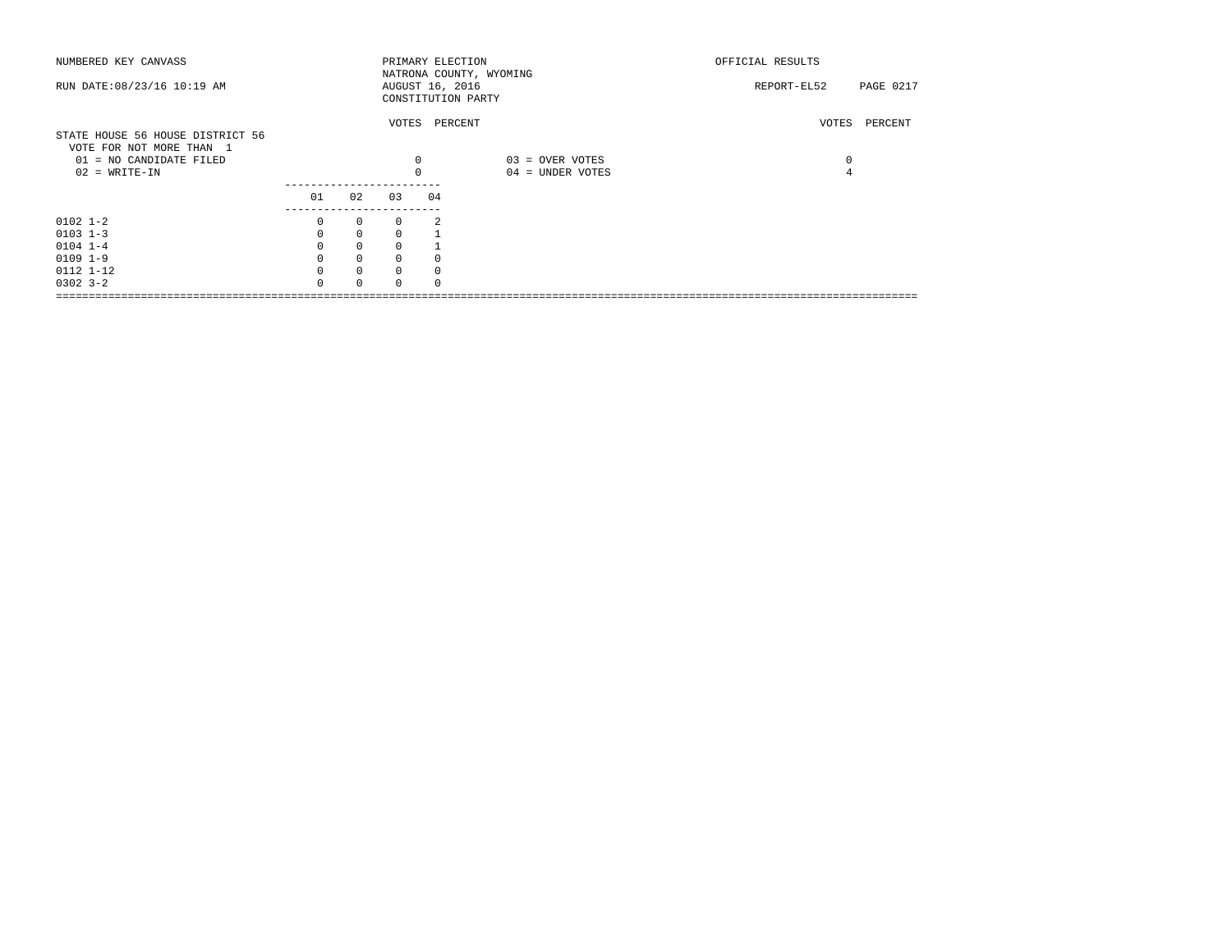| NUMBERED KEY CANVASS<br>RUN DATE: 08/23/16 10:19 AM |                    |              |          |    | PRIMARY ELECTION<br>NATRONA COUNTY, WYOMING<br>AUGUST 16, 2016<br>CONSTITUTION PARTY | OFFICIAL RESULTS<br>REPORT-EL52<br>PAGE 0217 |         |  |  |
|-----------------------------------------------------|--------------------|--------------|----------|----|--------------------------------------------------------------------------------------|----------------------------------------------|---------|--|--|
| STATE HOUSE 56 HOUSE DISTRICT 56                    |                    |              |          |    | VOTES PERCENT                                                                        | VOTES                                        | PERCENT |  |  |
| VOTE FOR NOT MORE THAN 1<br>01 = NO CANDIDATE FILED |                    |              | 0        |    | 03 = OVER VOTES                                                                      | 0                                            |         |  |  |
| $02$ = WRITE-IN                                     |                    |              |          |    | 04 = UNDER VOTES                                                                     |                                              |         |  |  |
|                                                     |                    |              |          |    |                                                                                      |                                              |         |  |  |
|                                                     | 01                 | 0.2          | 0.3      | 04 |                                                                                      |                                              |         |  |  |
| $0102$ 1-2                                          | -------------<br>0 | $\mathbf{0}$ | $\Omega$ | 2  |                                                                                      |                                              |         |  |  |
| $0103$ $1-3$                                        | $\mathbf 0$        | $\mathbf 0$  | $\Omega$ |    |                                                                                      |                                              |         |  |  |
| $0104$ $1-4$                                        | $\mathbf{0}$       | $\mathbf 0$  | $\Omega$ |    |                                                                                      |                                              |         |  |  |
| $0109$ $1-9$                                        |                    | $\mathbf 0$  | $\Omega$ |    |                                                                                      |                                              |         |  |  |
| 0112 1-12                                           | $\Omega$           | $\mathbf{0}$ | $\Omega$ |    |                                                                                      |                                              |         |  |  |
| $0302$ $3 - 2$                                      | $\cap$             | $\Omega$     |          |    |                                                                                      |                                              |         |  |  |
|                                                     |                    |              |          |    |                                                                                      |                                              |         |  |  |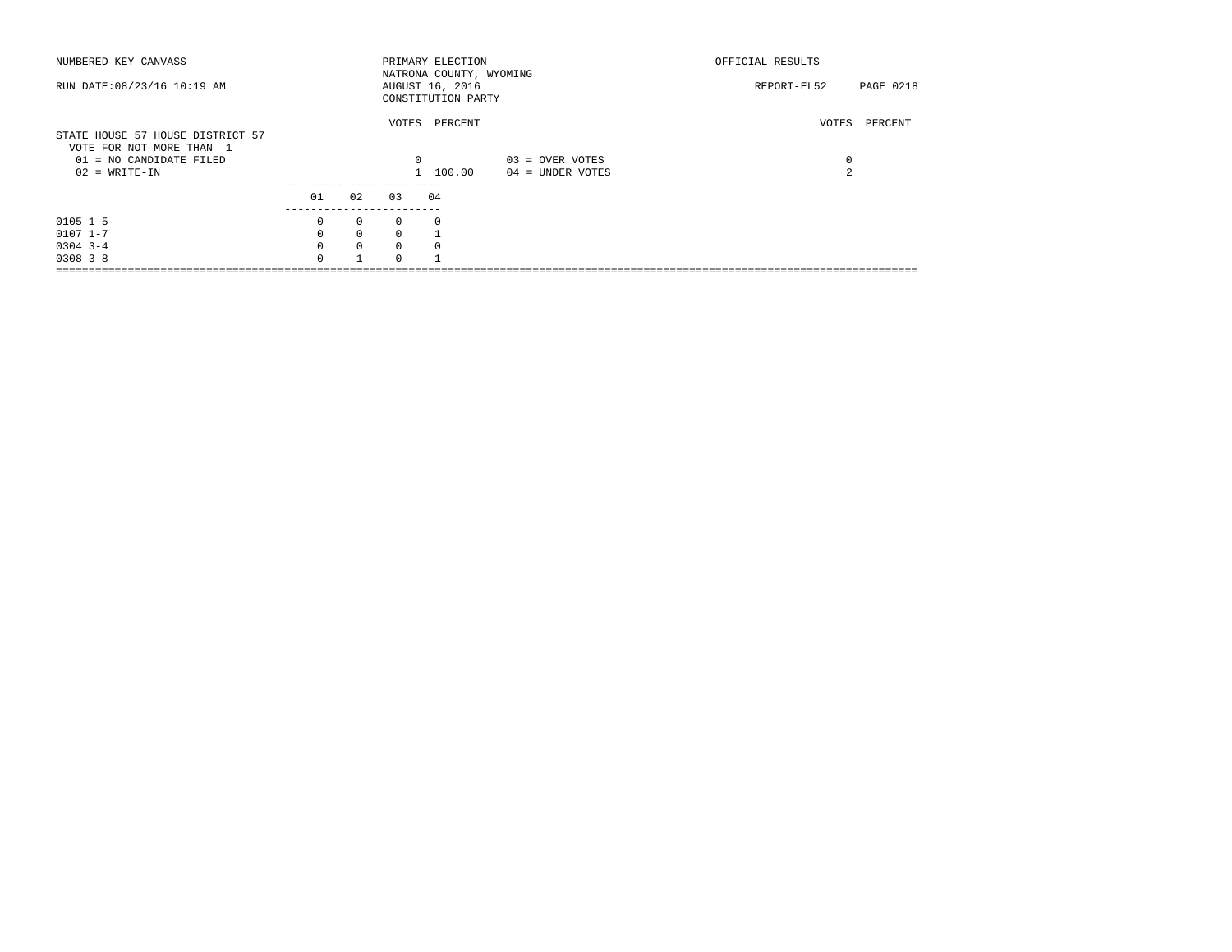| NUMBERED KEY CANVASS<br>RUN DATE: 08/23/16 10:19 AM                                                        |                                       |                                                              |                                             | PRIMARY ELECTION<br>NATRONA COUNTY, WYOMING<br>AUGUST 16, 2016<br>CONSTITUTION PARTY |                                     | OFFICIAL RESULTS<br>REPORT-EL52 | <b>PAGE 0218</b> |
|------------------------------------------------------------------------------------------------------------|---------------------------------------|--------------------------------------------------------------|---------------------------------------------|--------------------------------------------------------------------------------------|-------------------------------------|---------------------------------|------------------|
| STATE HOUSE 57 HOUSE DISTRICT 57<br>VOTE FOR NOT MORE THAN 1<br>01 = NO CANDIDATE FILED<br>$02 = WRITE-IN$ |                                       |                                                              | VOTES<br>$^{\circ}$                         | PERCENT<br>1 100.00                                                                  | 03 = OVER VOTES<br>04 = UNDER VOTES | VOTES<br>0<br>$\mathfrak{D}$    | PERCENT          |
|                                                                                                            | 01                                    | 02                                                           | 03                                          | 04                                                                                   |                                     |                                 |                  |
| $0105$ 1-5<br>$0107$ $1-7$<br>$0304$ 3-4<br>$0308$ $3 - 8$                                                 | 0<br>$\Omega$<br>$\Omega$<br>$\Omega$ | $\mathbf{0}$<br>$\mathbf{0}$<br>$\mathbf{0}$<br>$\mathbf{1}$ | $\circ$<br>$\Omega$<br>$\Omega$<br>$\Omega$ | $\Omega$<br>$\Omega$                                                                 |                                     |                                 |                  |
|                                                                                                            |                                       |                                                              |                                             |                                                                                      |                                     |                                 |                  |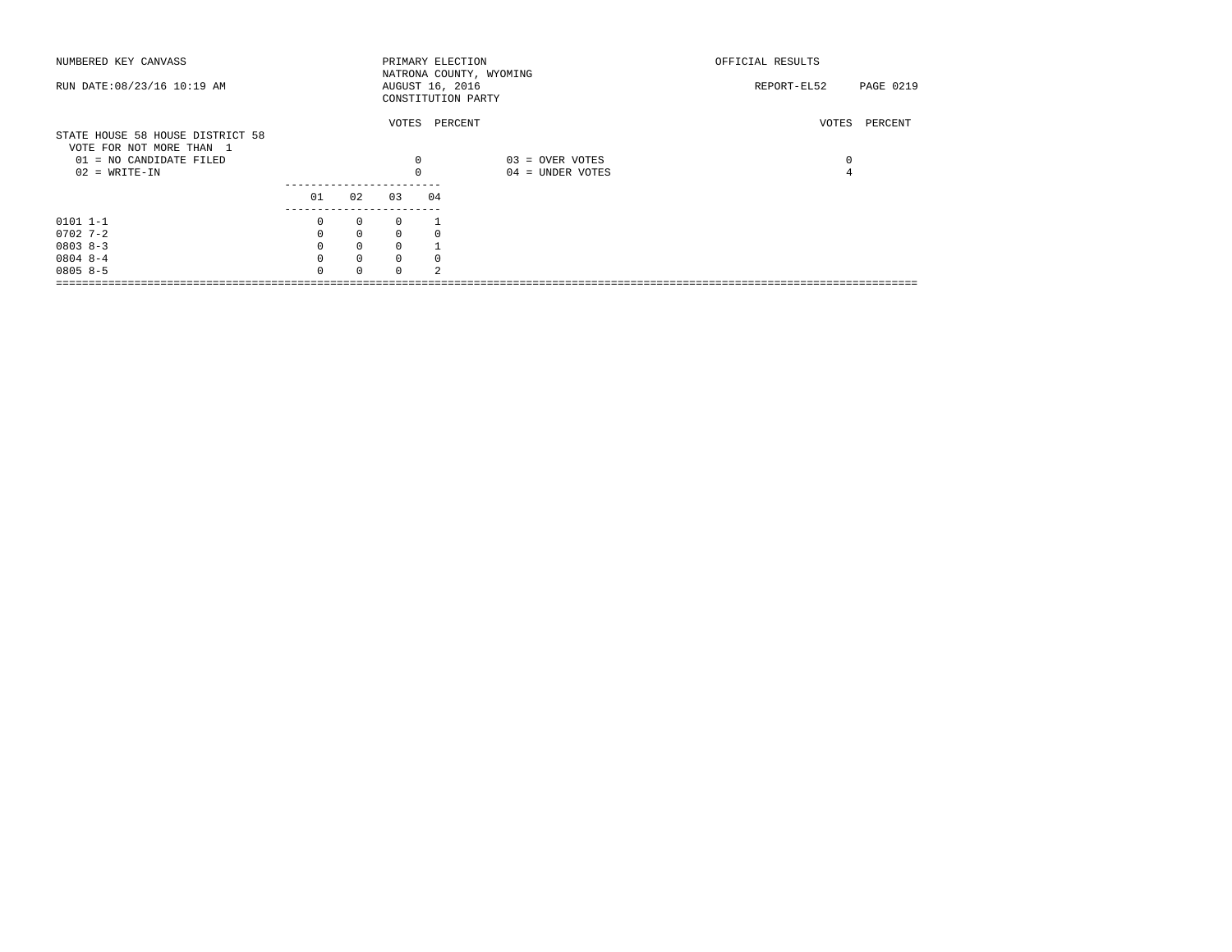| NUMBERED KEY CANVASS                                                                                       |          |              |               | PRIMARY ELECTION                      | NATRONA COUNTY, WYOMING             | OFFICIAL RESULTS |                  |
|------------------------------------------------------------------------------------------------------------|----------|--------------|---------------|---------------------------------------|-------------------------------------|------------------|------------------|
| RUN DATE: 08/23/16 10:19 AM                                                                                |          |              |               | AUGUST 16, 2016<br>CONSTITUTION PARTY |                                     | REPORT-EL52      | <b>PAGE 0219</b> |
| STATE HOUSE 58 HOUSE DISTRICT 58<br>VOTE FOR NOT MORE THAN 1<br>01 = NO CANDIDATE FILED<br>$02 = WRITE-IN$ |          |              | 0<br>$\Omega$ | VOTES PERCENT                         | 03 = OVER VOTES<br>04 = UNDER VOTES | VOTES<br>0<br>4  | PERCENT          |
|                                                                                                            | 01       | 02           | 03            | 04                                    |                                     |                  |                  |
| $0101$ $1-1$                                                                                               | 0        | $\mathbf{0}$ | 0             |                                       |                                     |                  |                  |
| $0702$ 7-2                                                                                                 | $\Omega$ | $\mathbf{0}$ | $\Omega$      |                                       |                                     |                  |                  |
| $08038 - 3$                                                                                                | $\Omega$ | $\mathbf 0$  | $\Omega$      |                                       |                                     |                  |                  |
| $08048 - -4$                                                                                               | $\Omega$ | $\circ$      | $\Omega$      |                                       |                                     |                  |                  |
| $08058-5$                                                                                                  | U        | $\Omega$     | <sup>n</sup>  | $\mathfrak{D}$                        |                                     |                  |                  |
|                                                                                                            |          |              |               |                                       |                                     |                  |                  |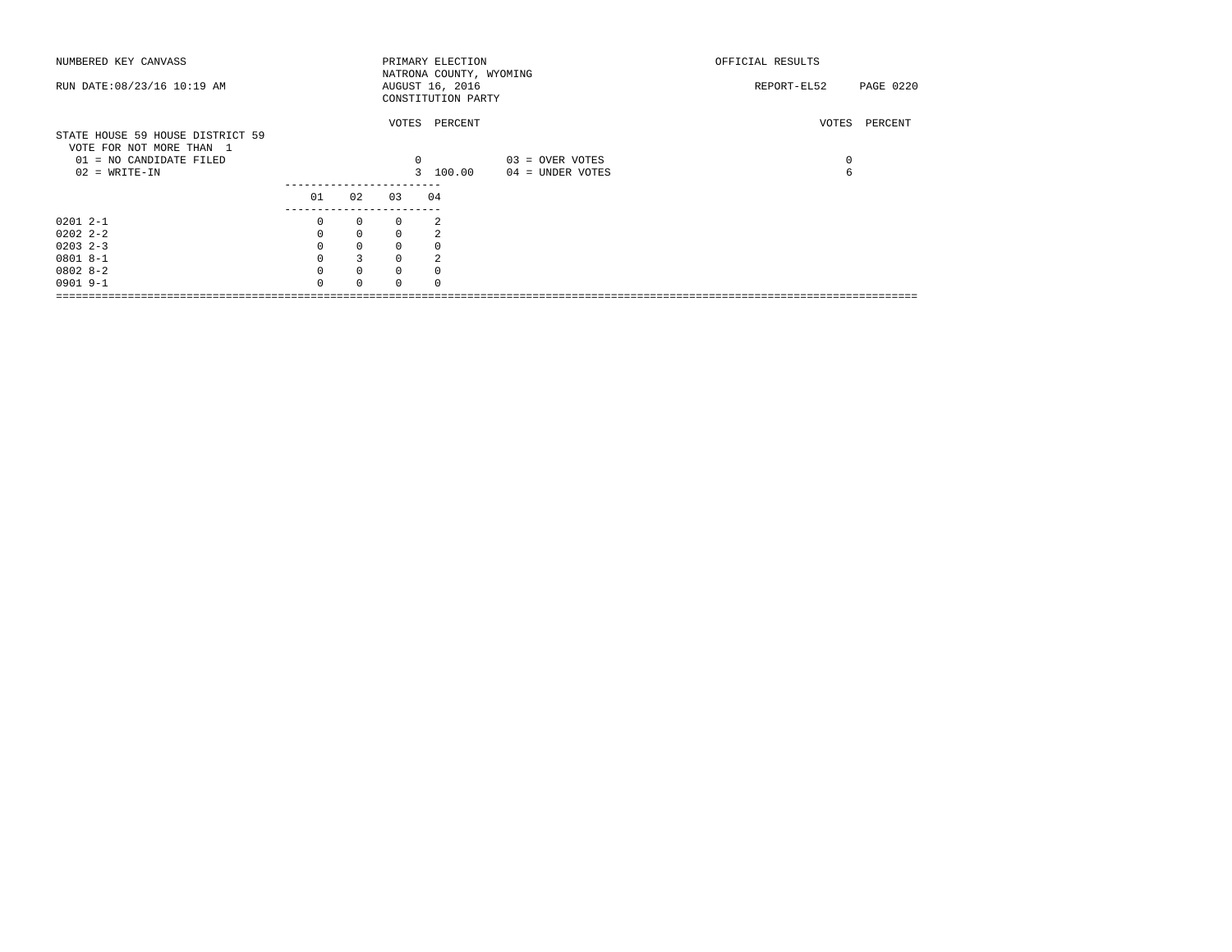| NUMBERED KEY CANVASS             |              |              |              | PRIMARY ELECTION        |                    | OFFICIAL RESULTS         |
|----------------------------------|--------------|--------------|--------------|-------------------------|--------------------|--------------------------|
|                                  |              |              |              | NATRONA COUNTY, WYOMING |                    |                          |
| RUN DATE: 08/23/16 10:19 AM      |              |              |              | AUGUST 16, 2016         |                    | REPORT-EL52<br>PAGE 0220 |
|                                  |              |              |              | CONSTITUTION PARTY      |                    |                          |
|                                  |              |              |              |                         |                    |                          |
|                                  |              |              |              | VOTES PERCENT           |                    | PERCENT<br>VOTES         |
| STATE HOUSE 59 HOUSE DISTRICT 59 |              |              |              |                         |                    |                          |
| VOTE FOR NOT MORE THAN 1         |              |              |              |                         |                    |                          |
| 01 = NO CANDIDATE FILED          |              |              | $\mathbf{0}$ |                         | 03 = OVER VOTES    | 0                        |
| $02 = WRTTE-IN$                  |              |              |              | 3 100.00                | $04 =$ UNDER VOTES | 6                        |
|                                  |              |              |              |                         |                    |                          |
|                                  |              |              |              |                         |                    |                          |
|                                  | 01           | 02           | 03           | 04                      |                    |                          |
|                                  |              |              |              |                         |                    |                          |
| $02012 - -1$                     | $\mathbf{0}$ | $\mathbf{0}$ | $\mathbf{0}$ | 2                       |                    |                          |
| $02022 - 2 - 2$                  | $\Omega$     | $\mathbf{0}$ | $\Omega$     | $\mathfrak{D}$          |                    |                          |
| $0203$ 2-3                       | $\mathbf{0}$ | $\mathbf 0$  | $\mathbf 0$  |                         |                    |                          |
| $08018 - -1$                     |              | 3            |              |                         |                    |                          |
| $08028-2$                        | $\Omega$     | $\mathbf 0$  | $\Omega$     |                         |                    |                          |
| $0901$ 9-1                       | $\cap$       | $\Omega$     |              |                         |                    |                          |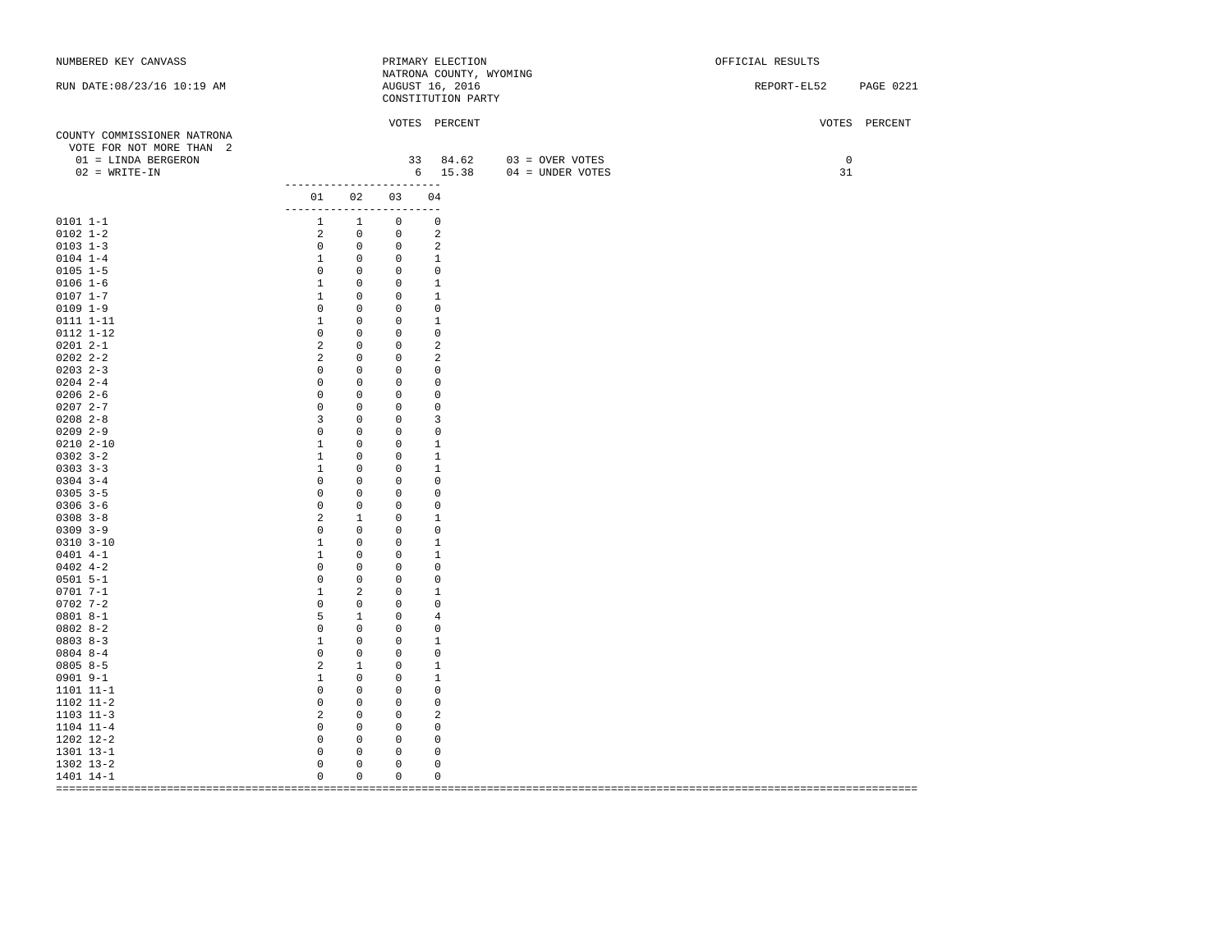| NUMBERED KEY CANVASS                                                           |                                                                      |                           |                              | PRIMARY ELECTION                                                 |                                                      | OFFICIAL RESULTS                |
|--------------------------------------------------------------------------------|----------------------------------------------------------------------|---------------------------|------------------------------|------------------------------------------------------------------|------------------------------------------------------|---------------------------------|
| RUN DATE: 08/23/16 10:19 AM                                                    |                                                                      |                           |                              | NATRONA COUNTY, WYOMING<br>AUGUST 16, 2016<br>CONSTITUTION PARTY |                                                      | <b>PAGE 0221</b><br>REPORT-EL52 |
| COUNTY COMMISSIONER NATRONA<br>VOTE FOR NOT MORE THAN 2<br>01 = LINDA BERGERON |                                                                      |                           |                              | VOTES PERCENT                                                    | 33 84.62 03 = OVER VOTES<br>6 15.38 04 = UNDER VOTES | VOTES PERCENT<br>0              |
| $02$ = WRITE-IN                                                                |                                                                      |                           |                              |                                                                  |                                                      | 31                              |
|                                                                                | -------------------------<br>01 02 03 04<br>------------------------ |                           |                              |                                                                  |                                                      |                                 |
| $0101 1 - 1$                                                                   | $1 \quad 1$                                                          |                           | $\circ$                      | $\mathbf 0$                                                      |                                                      |                                 |
| $0102 1 - 2$                                                                   | $\frac{1}{2}$                                                        | $\circ$                   | $\circ$                      | 2                                                                |                                                      |                                 |
| $0103$ 1-3                                                                     | $\overline{0}$                                                       | $\overline{0}$            | $\overline{0}$               | 2                                                                |                                                      |                                 |
| $0104$ 1-4                                                                     | $\mathbf{1}$                                                         | $\circ$                   | $0 \qquad \qquad$            | 1                                                                |                                                      |                                 |
| $0105$ 1-5                                                                     | $\overline{0}$                                                       | $\circ$                   | $\circ$                      | $\circ$                                                          |                                                      |                                 |
| $0106 1 - 6$                                                                   | $\mathbf{1}$                                                         | $\circ$                   | $\circ$                      | $\mathbf{1}$                                                     |                                                      |                                 |
| $0107 1 - 7$                                                                   | $\overline{1}$                                                       | $\circ$                   | $\circ$                      | $\mathbf{1}$                                                     |                                                      |                                 |
| $0109$ $1-9$                                                                   | $\circ$                                                              | $\circ$                   | $\circ$                      | $\circ$                                                          |                                                      |                                 |
| 0111 1-11                                                                      | $\overline{1}$                                                       | $\mathbf{0}$              | $\mathbf{0}$                 | $\mathbf{1}$                                                     |                                                      |                                 |
| 0112 1-12                                                                      | $\mathbb O$                                                          | $\circ$                   | $\circ$                      | $\circ$                                                          |                                                      |                                 |
| $02012 - -1$                                                                   | 2                                                                    | $\circ$                   | $\circ$                      | 2                                                                |                                                      |                                 |
| $02022 - 2 - 2$                                                                | 2                                                                    | $\circ$                   | $\circ$                      | 2                                                                |                                                      |                                 |
| $0203$ 2-3                                                                     | $\overline{0}$                                                       | $\overline{0}$            | $\circ$                      | $\circ$                                                          |                                                      |                                 |
| $0204$ 2-4                                                                     | $\mathbb O$                                                          | $\circ$                   | $\circ$                      | $\mathbf 0$                                                      |                                                      |                                 |
| $0206$ 2-6                                                                     | $\mathbb O$                                                          | $\circ$                   | $\circ$                      | $\circ$                                                          |                                                      |                                 |
| $02072 - -7$                                                                   | $\mathsf 0$                                                          | $\circ$                   | $\circ$                      | $\circ$                                                          |                                                      |                                 |
| $0208$ 2-8                                                                     | $\overline{3}$                                                       | $\circ$                   | $\mathbf{0}$                 | 3                                                                |                                                      |                                 |
| $0209$ 2-9                                                                     | $\mathbf 0$                                                          | $\circ$                   | $\mathbf{0}$                 | 0                                                                |                                                      |                                 |
| $02102 - 10$                                                                   | $\mathbf{1}$                                                         | $^{\circ}$                | $\circ$                      | $\mathbf{1}$                                                     |                                                      |                                 |
| $0302$ $3 - 2$                                                                 | $\mathbf{1}$                                                         | $\circ$                   | $\circ$                      | 1                                                                |                                                      |                                 |
| $0303$ $3-3$                                                                   | $\mathbf{1}$                                                         | 0                         | $\mathbf 0$                  | 1                                                                |                                                      |                                 |
| $0304$ 3-4                                                                     | $\mathbb O$                                                          | 0                         | $\circ$                      | $\circ$                                                          |                                                      |                                 |
| $0305$ 3-5                                                                     | $\mathbb O$                                                          | $\circ$                   | $\circ$                      | $\circ$                                                          |                                                      |                                 |
| $0306$ 3-6                                                                     | $\mathsf 0$                                                          | $\mathbf{0}$              | $\circ$                      | $\circ$                                                          |                                                      |                                 |
| $0308$ $3-8$                                                                   | 2                                                                    | 1                         | $\mathbf{0}$                 | $\mathbf{1}$                                                     |                                                      |                                 |
| $0309$ $3-9$                                                                   | $\mathbf{0}$                                                         | $\circ$                   | $\mathbf{0}$                 | $\mathbf 0$                                                      |                                                      |                                 |
| $0310$ $3 - 10$                                                                | $\mathbf{1}$                                                         | $\mathbf{0}$              | $\mathbf{0}$                 | $\mathbf{1}$                                                     |                                                      |                                 |
| $0401$ 4-1                                                                     | $\mathbf{1}$                                                         | $\mathbf{0}$              | $\circ$                      | 1                                                                |                                                      |                                 |
| $0402$ 4-2<br>$0501$ 5-1                                                       | $\mathbf 0$<br>$\mathbb O$                                           | $\overline{0}$<br>$\circ$ | $\mathbf{0}$<br>$\mathsf{O}$ | $\circ$<br>$\circ$                                               |                                                      |                                 |
| $0701 7 - 1$                                                                   | $\mathbf{1}$                                                         | 2                         | $\mathbf{0}$                 | $\mathbf{1}$                                                     |                                                      |                                 |
| $0702$ 7-2                                                                     | $\circ$                                                              | $\circ$                   | $\circ$                      | $\circ$                                                          |                                                      |                                 |
| $08018 - -1$                                                                   | 5                                                                    | $\mathbf{1}$              | $\circ$                      | 4                                                                |                                                      |                                 |
| $08028 - 2$                                                                    | $\overline{0}$                                                       | $\mathbf{0}$              | $\circ$                      | $\mathbf 0$                                                      |                                                      |                                 |
| $0803 8-3$                                                                     | $\overline{1}$                                                       | $\overline{0}$            | $\circ$                      | 1                                                                |                                                      |                                 |
| $08048 - -4$                                                                   | $\overline{0}$                                                       | $\circ$                   | $\circ$                      | $\circ$                                                          |                                                      |                                 |
| $08058-5$                                                                      | $\overline{a}$                                                       | $\mathbf{1}$              | $\circ$                      | $\mathbf{1}$                                                     |                                                      |                                 |
| $0901$ $9-1$                                                                   | $\mathbf{1}$                                                         | $\overline{0}$            | $\circ$                      | 1                                                                |                                                      |                                 |
| 1101 11-1                                                                      | $\mathbb O$                                                          | $\circ$                   | $\circ$                      | $\circ$                                                          |                                                      |                                 |
| 1102 11-2                                                                      | $\circ$                                                              | $\mathbf{0}$              | $\circ$                      | $\mathbf 0$                                                      |                                                      |                                 |
| $1103$ $11-3$                                                                  | $\overline{\phantom{0}}$                                             | $\mathbf{0}$              | $\mathbf{0}$                 | 2                                                                |                                                      |                                 |
| $1104$ $11-4$                                                                  | $\overline{0}$                                                       | $\mathbf{0}$              | $^{\circ}$                   | $\mathbf 0$                                                      |                                                      |                                 |
| 1202 12-2                                                                      | $\mathbb O$                                                          | $\overline{0}$            | $\circ$                      | $\circ$                                                          |                                                      |                                 |
| 1301 13-1                                                                      | $\mathsf 0$                                                          | $\mathbf{0}$              | $\circ$                      | $\circ$                                                          |                                                      |                                 |
| 1302 13-2                                                                      | $\mathbb O$                                                          | $\mathbf 0$               | 0                            | $\circ$                                                          |                                                      |                                 |
| 1401 14-1                                                                      | $\mathbf 0$                                                          | $\circ$                   | $\circ$                      | $\mathbf 0$                                                      |                                                      |                                 |
|                                                                                |                                                                      |                           |                              |                                                                  |                                                      |                                 |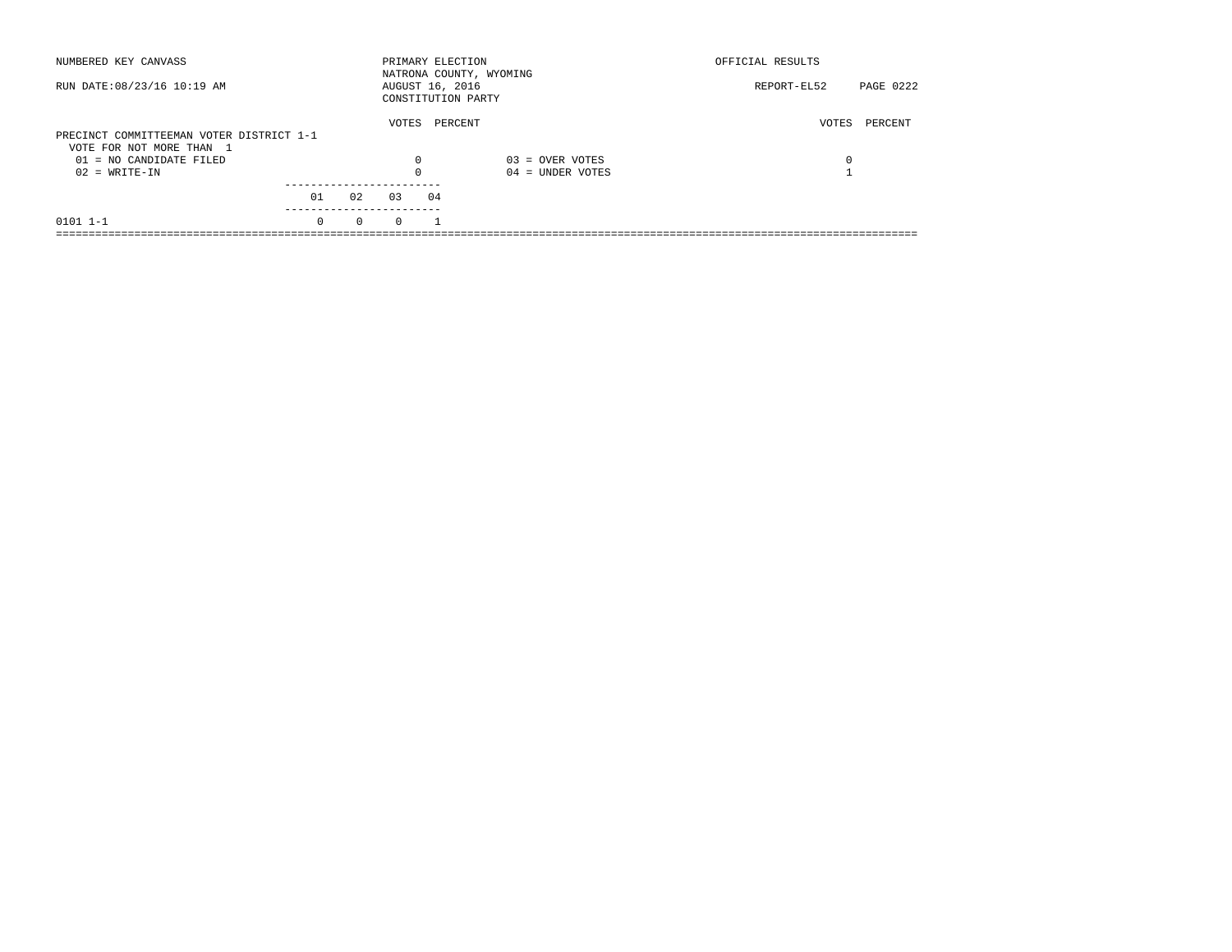| NUMBERED KEY CANVASS                                                 |          |          | PRIMARY ELECTION |    | NATRONA COUNTY, WYOMING | OFFICIAL RESULTS |           |
|----------------------------------------------------------------------|----------|----------|------------------|----|-------------------------|------------------|-----------|
| RUN DATE: 08/23/16 10:19 AM                                          |          |          | AUGUST 16, 2016  |    | CONSTITUTION PARTY      | REPORT-EL52      | PAGE 0222 |
| PRECINCT COMMITTEEMAN VOTER DISTRICT 1-1<br>VOTE FOR NOT MORE THAN 1 |          |          | VOTES            |    | PERCENT                 | VOTES            | PERCENT   |
| 01 = NO CANDIDATE FILED                                              |          |          | 0                |    | $03 =$ OVER VOTES       | 0                |           |
| $02 = WRITE-IN$                                                      |          |          | $\Omega$         |    | $04 =$ UNDER VOTES      |                  |           |
|                                                                      | 01       | 02       | 03               | 04 |                         |                  |           |
| $0101$ $1-1$                                                         | $\Omega$ | $\Omega$ | $\Omega$         |    |                         |                  |           |
|                                                                      |          |          |                  |    |                         |                  |           |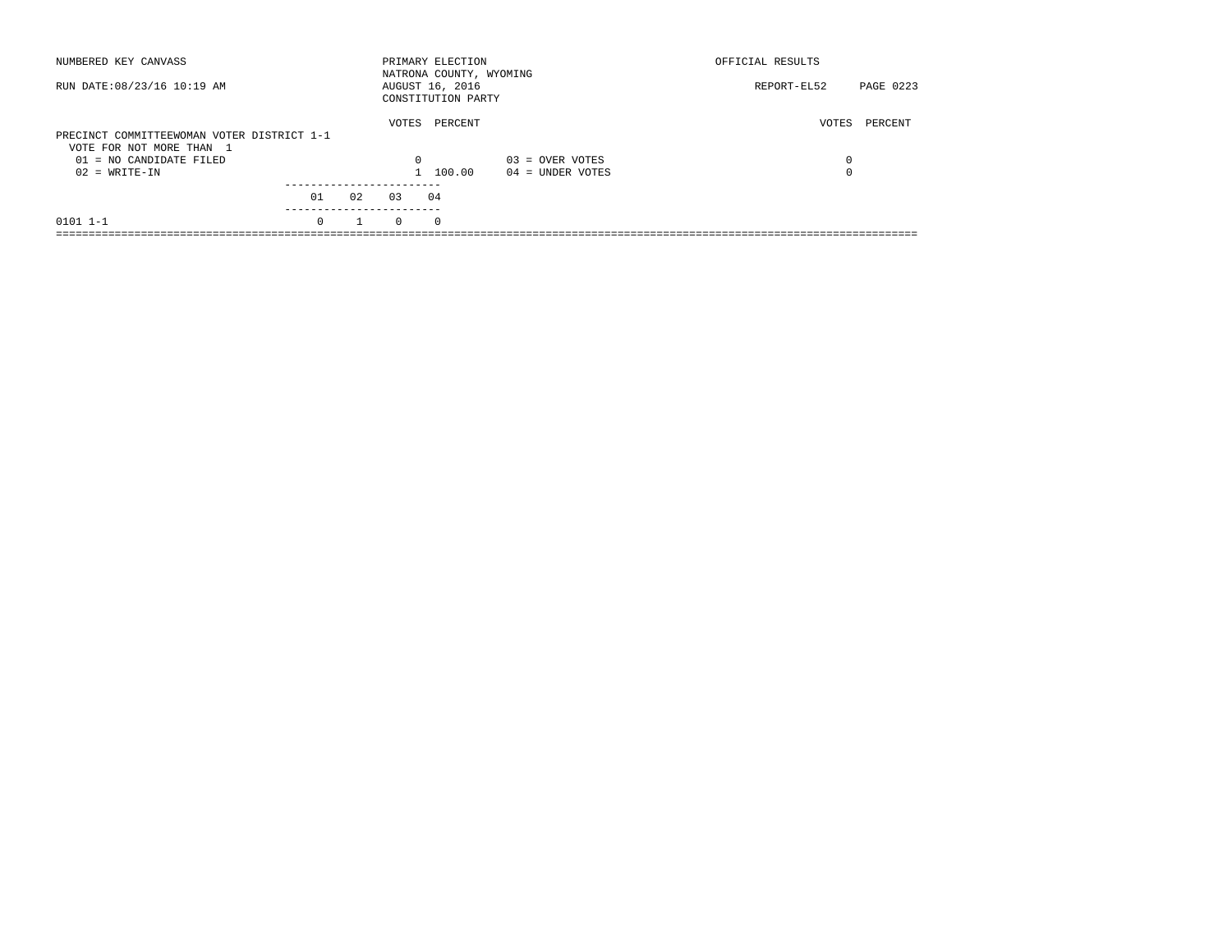| NUMBERED KEY CANVASS                                                                              |          |    |                   | PRIMARY ELECTION<br>NATRONA COUNTY, WYOMING |                    | OFFICIAL RESULTS |           |
|---------------------------------------------------------------------------------------------------|----------|----|-------------------|---------------------------------------------|--------------------|------------------|-----------|
| RUN DATE: 08/23/16 10:19 AM                                                                       |          |    |                   | AUGUST 16, 2016<br>CONSTITUTION PARTY       |                    | REPORT-EL52      | PAGE 0223 |
| PRECINCT COMMITTEEWOMAN VOTER DISTRICT 1-1<br>VOTE FOR NOT MORE THAN 1<br>01 = NO CANDIDATE FILED |          |    | VOTES<br>$\Omega$ | PERCENT                                     | $03 =$ OVER VOTES  | VOTES<br>0       | PERCENT   |
| $02 = WRITE-IN$                                                                                   |          |    |                   | 100.00                                      | $04 =$ UNDER VOTES | 0                |           |
|                                                                                                   | 01       | 02 | 0.3               | 04                                          |                    |                  |           |
| $0101$ $1-1$                                                                                      | $\Omega$ |    | $\Omega$          | $\Omega$                                    |                    |                  |           |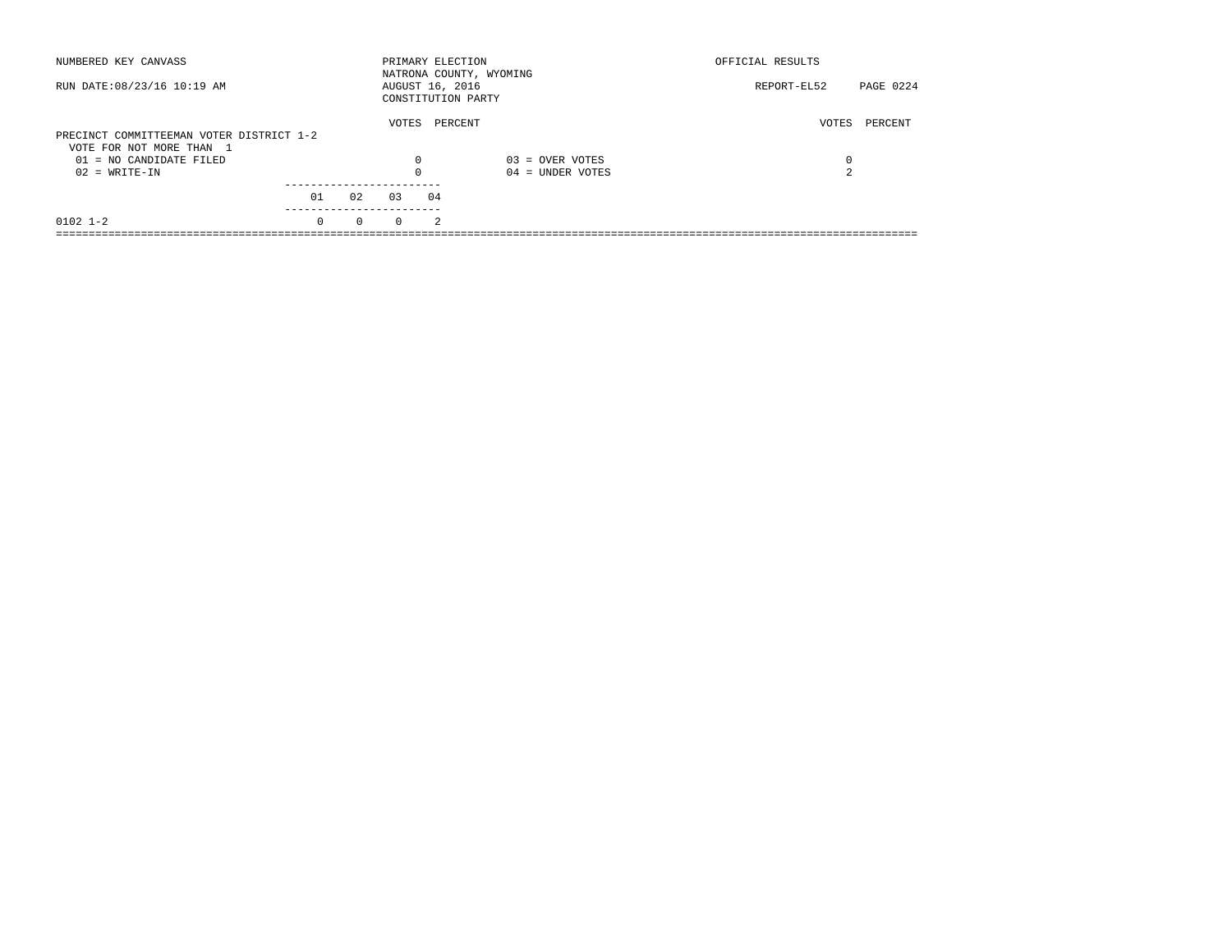| NUMBERED KEY CANVASS                                                 |          |          |          | PRIMARY ELECTION                      | NATRONA COUNTY, WYOMING | OFFICIAL RESULTS |           |
|----------------------------------------------------------------------|----------|----------|----------|---------------------------------------|-------------------------|------------------|-----------|
| RUN DATE: 08/23/16 10:19 AM                                          |          |          |          | AUGUST 16, 2016<br>CONSTITUTION PARTY |                         | REPORT-EL52      | PAGE 0224 |
| PRECINCT COMMITTEEMAN VOTER DISTRICT 1-2<br>VOTE FOR NOT MORE THAN 1 |          |          | VOTES    | PERCENT                               |                         | VOTES            | PERCENT   |
| 01 = NO CANDIDATE FILED                                              |          |          | $\Omega$ |                                       | $03 =$ OVER VOTES       | 0                |           |
| $02 = WRITE-IN$                                                      |          |          | $\Omega$ |                                       | $04 =$ UNDER VOTES      | 2                |           |
|                                                                      | 01       | 02       | 03       | 04                                    |                         |                  |           |
| $0102$ 1-2                                                           | $\Omega$ | $\Omega$ | $\Omega$ | $\mathfrak{D}$                        |                         |                  |           |
|                                                                      |          |          |          |                                       |                         |                  |           |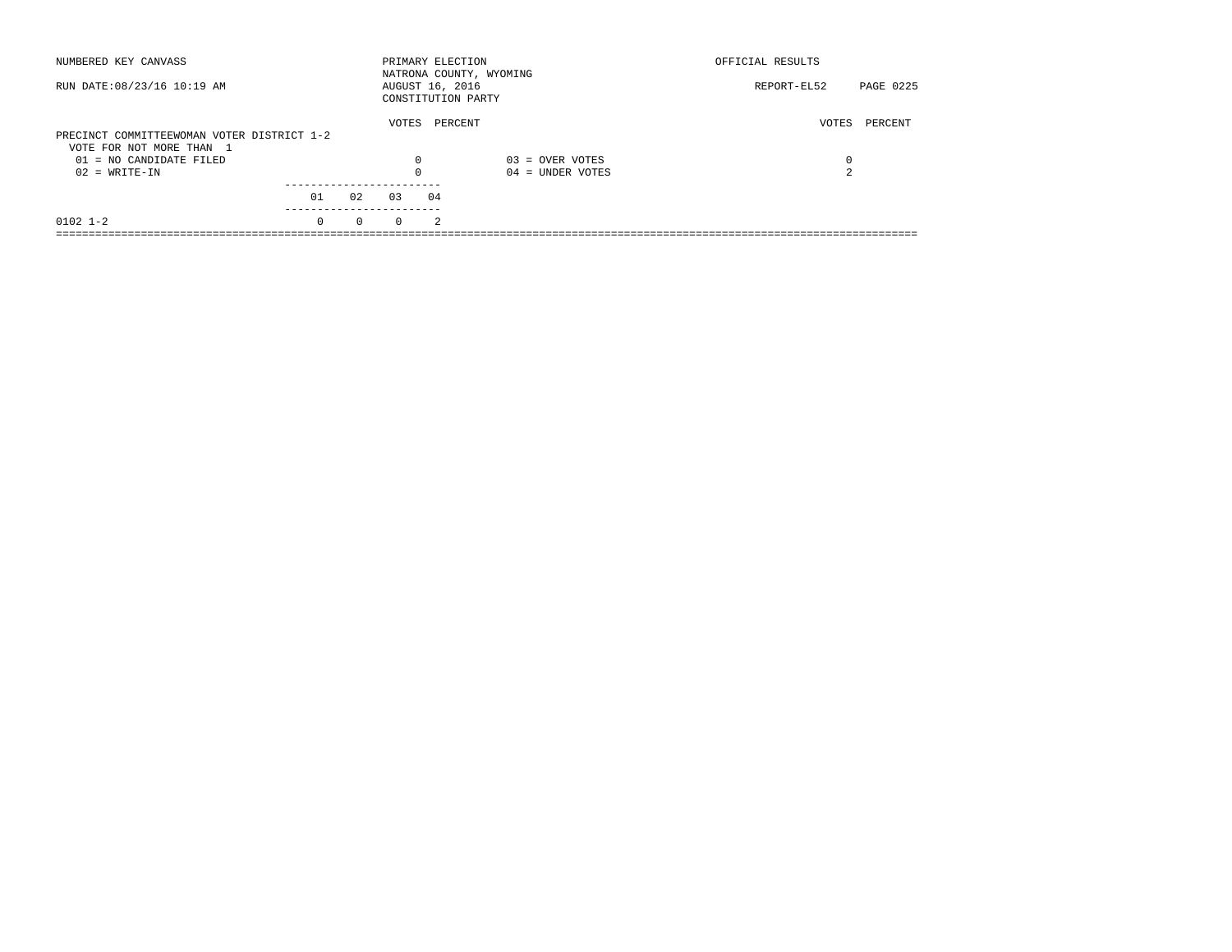| NUMBERED KEY CANVASS                       |          |          | PRIMARY ELECTION                      |                | NATRONA COUNTY, WYOMING | OFFICIAL RESULTS |           |
|--------------------------------------------|----------|----------|---------------------------------------|----------------|-------------------------|------------------|-----------|
| RUN DATE: 08/23/16 10:19 AM                |          |          | AUGUST 16, 2016<br>CONSTITUTION PARTY |                |                         | REPORT-EL52      | PAGE 0225 |
| PRECINCT COMMITTEEWOMAN VOTER DISTRICT 1-2 |          |          | VOTES                                 | PERCENT        |                         | VOTES            | PERCENT   |
| VOTE FOR NOT MORE THAN 1                   |          |          |                                       |                |                         |                  |           |
| 01 = NO CANDIDATE FILED                    |          |          | $\Omega$                              |                | $03 =$ OVER VOTES       | 0                |           |
| $02 = WRITE-IN$                            |          |          | $\Omega$                              |                | $04 =$ UNDER VOTES      | 2                |           |
|                                            |          |          |                                       |                |                         |                  |           |
|                                            | 01       | 02       | 03                                    | 04             |                         |                  |           |
| $0102$ 1-2                                 | $\Omega$ | $\Omega$ | $\Omega$                              | $\mathfrak{D}$ |                         |                  |           |
|                                            |          |          |                                       |                |                         |                  |           |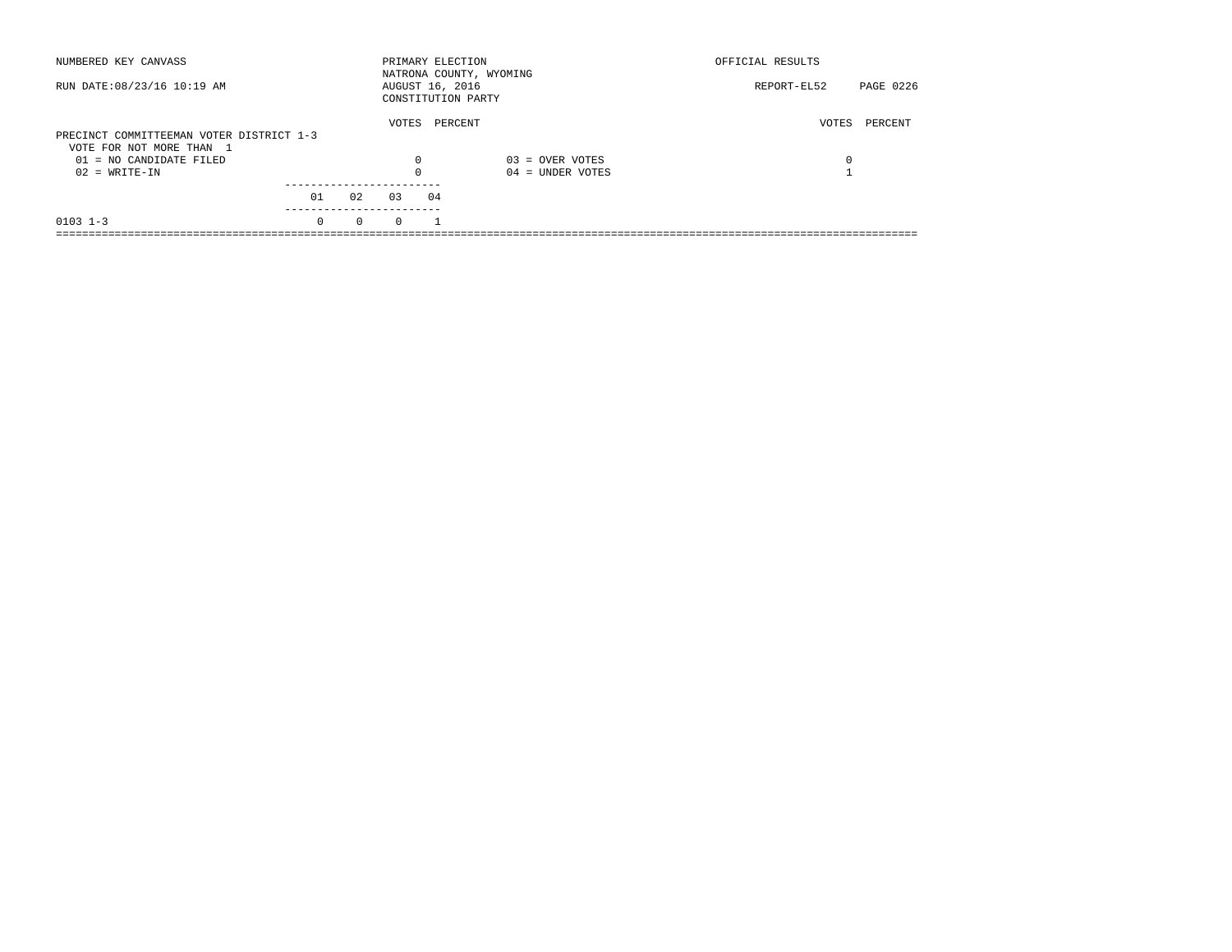| NUMBERED KEY CANVASS                                                 |          |          | PRIMARY ELECTION |    | NATRONA COUNTY, WYOMING | OFFICIAL RESULTS |           |
|----------------------------------------------------------------------|----------|----------|------------------|----|-------------------------|------------------|-----------|
| RUN DATE: 08/23/16 10:19 AM                                          |          |          | AUGUST 16, 2016  |    | CONSTITUTION PARTY      | REPORT-EL52      | PAGE 0226 |
| PRECINCT COMMITTEEMAN VOTER DISTRICT 1-3<br>VOTE FOR NOT MORE THAN 1 |          |          | VOTES            |    | PERCENT                 | VOTES            | PERCENT   |
| 01 = NO CANDIDATE FILED                                              |          |          | 0                |    | $03 =$ OVER VOTES       | 0                |           |
| $02 = WRITE-IN$                                                      |          |          | $\Omega$         |    | $04 =$ UNDER VOTES      |                  |           |
|                                                                      | 01       | 02       | 03               | 04 |                         |                  |           |
| $0103$ 1-3                                                           | $\Omega$ | $\Omega$ | $\Omega$         |    |                         |                  |           |
|                                                                      |          |          |                  |    |                         |                  |           |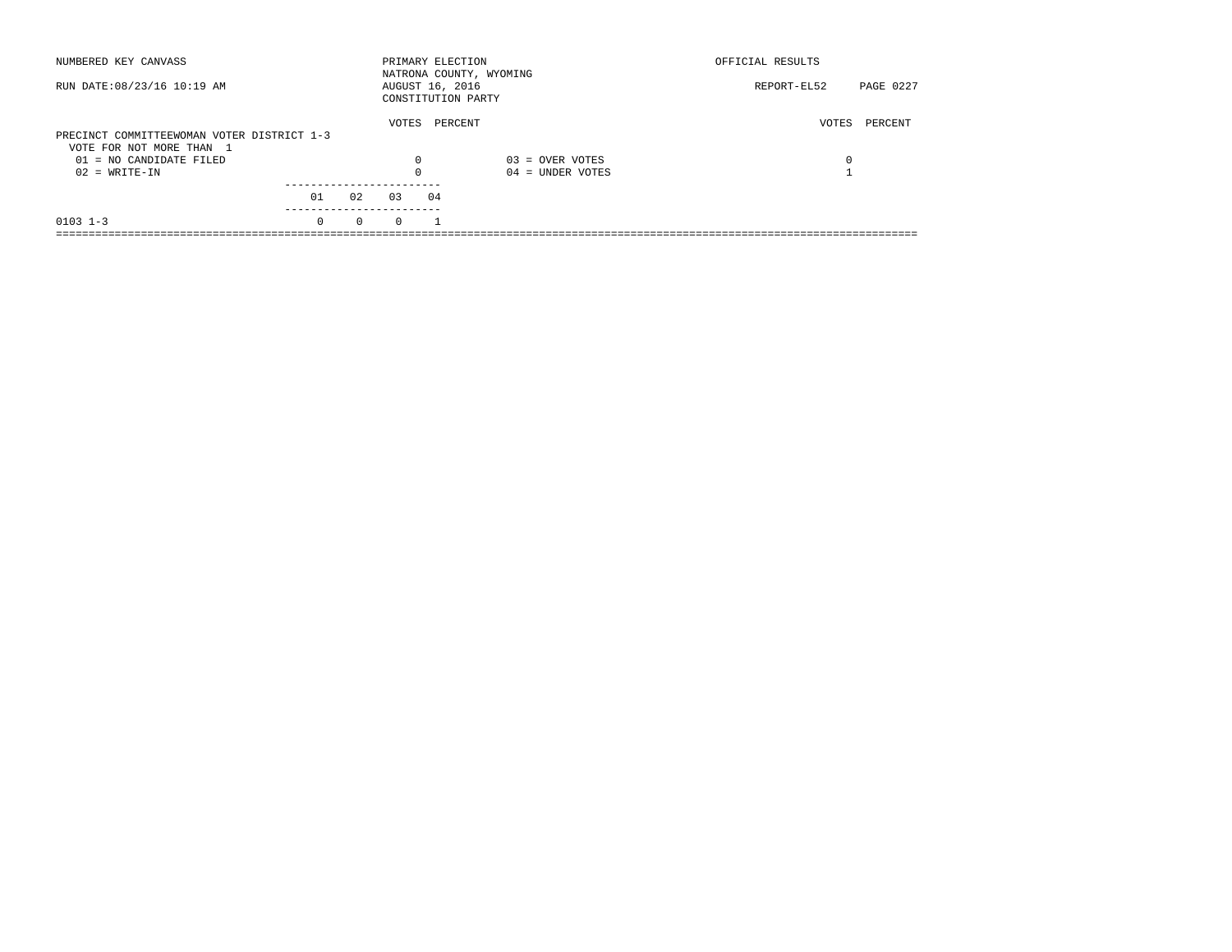| NUMBERED KEY CANVASS                                  |          |          | PRIMARY ELECTION |    | NATRONA COUNTY, WYOMING | OFFICIAL RESULTS |           |
|-------------------------------------------------------|----------|----------|------------------|----|-------------------------|------------------|-----------|
| RUN DATE: 08/23/16 10:19 AM                           |          |          | AUGUST 16, 2016  |    | CONSTITUTION PARTY      | REPORT-EL52      | PAGE 0227 |
| PRECINCT COMMITTEEWOMAN VOTER DISTRICT 1-3            |          |          | VOTES            |    | PERCENT                 | VOTES            | PERCENT   |
| VOTE FOR NOT MORE THAN 1<br>$01 = NO CANDIDATE FILED$ |          |          | $\Omega$         |    | $03 =$ OVER VOTES       | 0                |           |
| $02 = WRITE-IN$                                       |          |          |                  |    | $04 =$ UNDER VOTES      |                  |           |
|                                                       | 01       | 02       | 0.3              | 04 |                         |                  |           |
| $0103$ $1-3$                                          | $\Omega$ | $\Omega$ | $\Omega$         |    |                         |                  |           |
|                                                       |          |          |                  |    |                         |                  |           |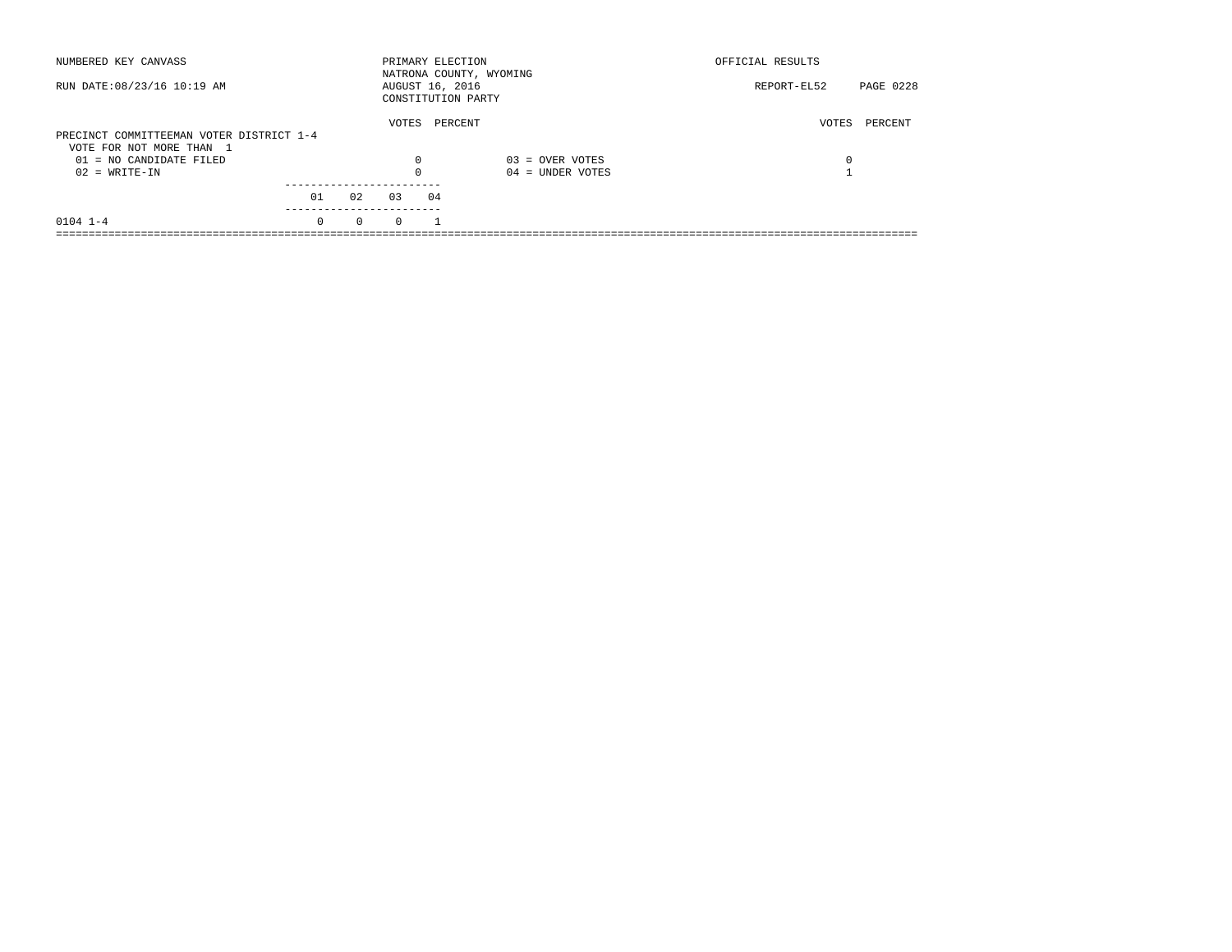| NUMBERED KEY CANVASS                                                 |          |          | PRIMARY ELECTION |    | NATRONA COUNTY, WYOMING | OFFICIAL RESULTS |           |
|----------------------------------------------------------------------|----------|----------|------------------|----|-------------------------|------------------|-----------|
| RUN DATE: 08/23/16 10:19 AM                                          |          |          | AUGUST 16, 2016  |    | CONSTITUTION PARTY      | REPORT-EL52      | PAGE 0228 |
| PRECINCT COMMITTEEMAN VOTER DISTRICT 1-4<br>VOTE FOR NOT MORE THAN 1 |          |          | VOTES            |    | PERCENT                 | VOTES            | PERCENT   |
| 01 = NO CANDIDATE FILED                                              |          |          | 0                |    | $03 =$ OVER VOTES       | 0                |           |
| $02 = WRITE-IN$                                                      |          |          | $\Omega$         |    | $04 =$ UNDER VOTES      |                  |           |
|                                                                      | 01       | 02       | 03               | 04 |                         |                  |           |
| $0104$ $1-4$                                                         | $\Omega$ | $\Omega$ | $\Omega$         |    |                         |                  |           |
|                                                                      |          |          |                  |    |                         |                  |           |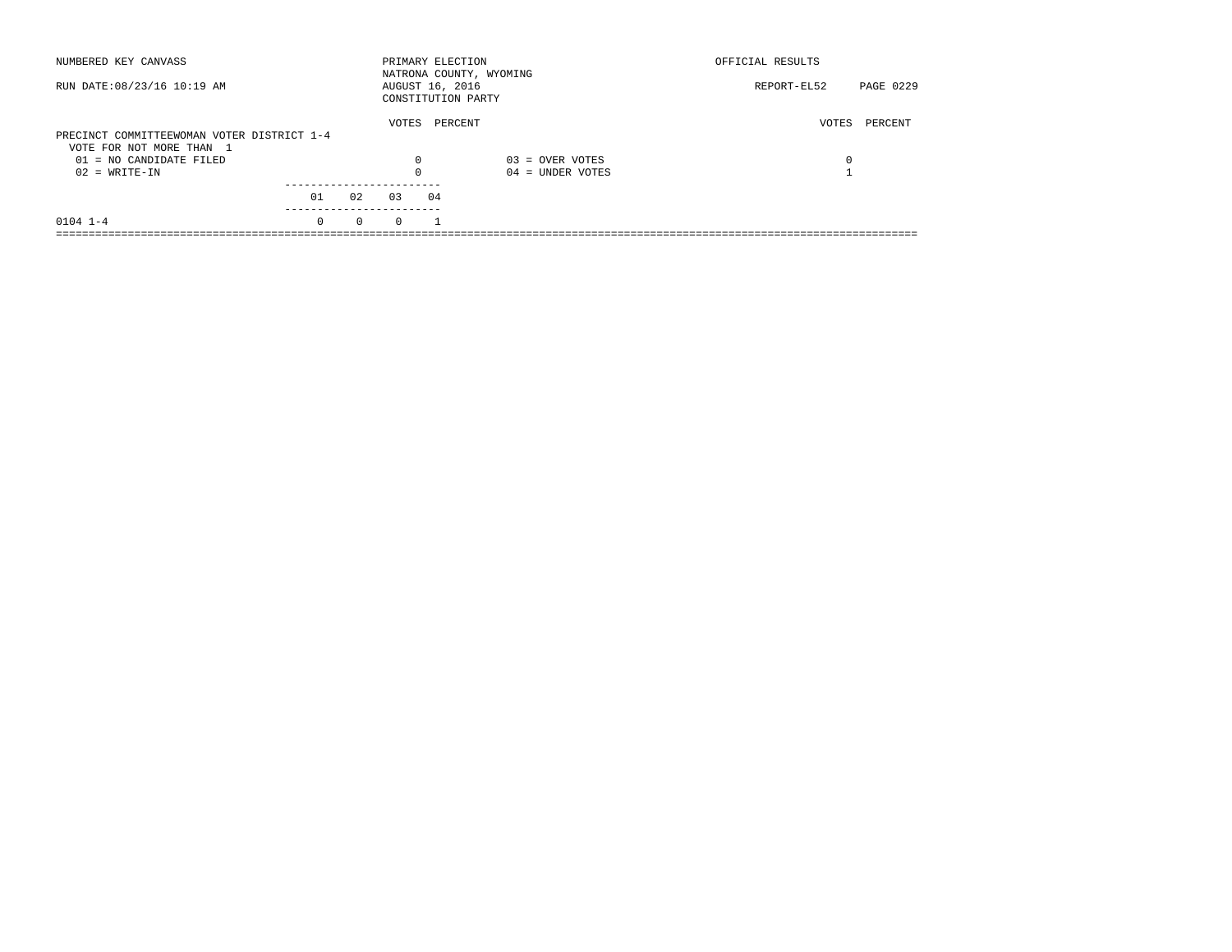| NUMBERED KEY CANVASS                       |          |          | PRIMARY ELECTION                      |         | NATRONA COUNTY, WYOMING | OFFICIAL RESULTS |           |
|--------------------------------------------|----------|----------|---------------------------------------|---------|-------------------------|------------------|-----------|
| RUN DATE: 08/23/16 10:19 AM                |          |          | AUGUST 16, 2016<br>CONSTITUTION PARTY |         |                         | REPORT-EL52      | PAGE 0229 |
| PRECINCT COMMITTEEWOMAN VOTER DISTRICT 1-4 |          |          | VOTES                                 | PERCENT |                         | VOTES            | PERCENT   |
| VOTE FOR NOT MORE THAN 1                   |          |          |                                       |         |                         |                  |           |
| 01 = NO CANDIDATE FILED                    |          |          | 0                                     |         | $03 =$ OVER VOTES       | 0                |           |
| $02 = WRITE-IN$                            |          |          | $\Omega$                              |         | $04 =$ UNDER VOTES      |                  |           |
|                                            | 01       | 02       | 03                                    | 04      |                         |                  |           |
| $0104$ $1-4$                               | $\Omega$ | $\Omega$ | $\Omega$                              |         |                         |                  |           |
|                                            |          |          |                                       |         |                         |                  |           |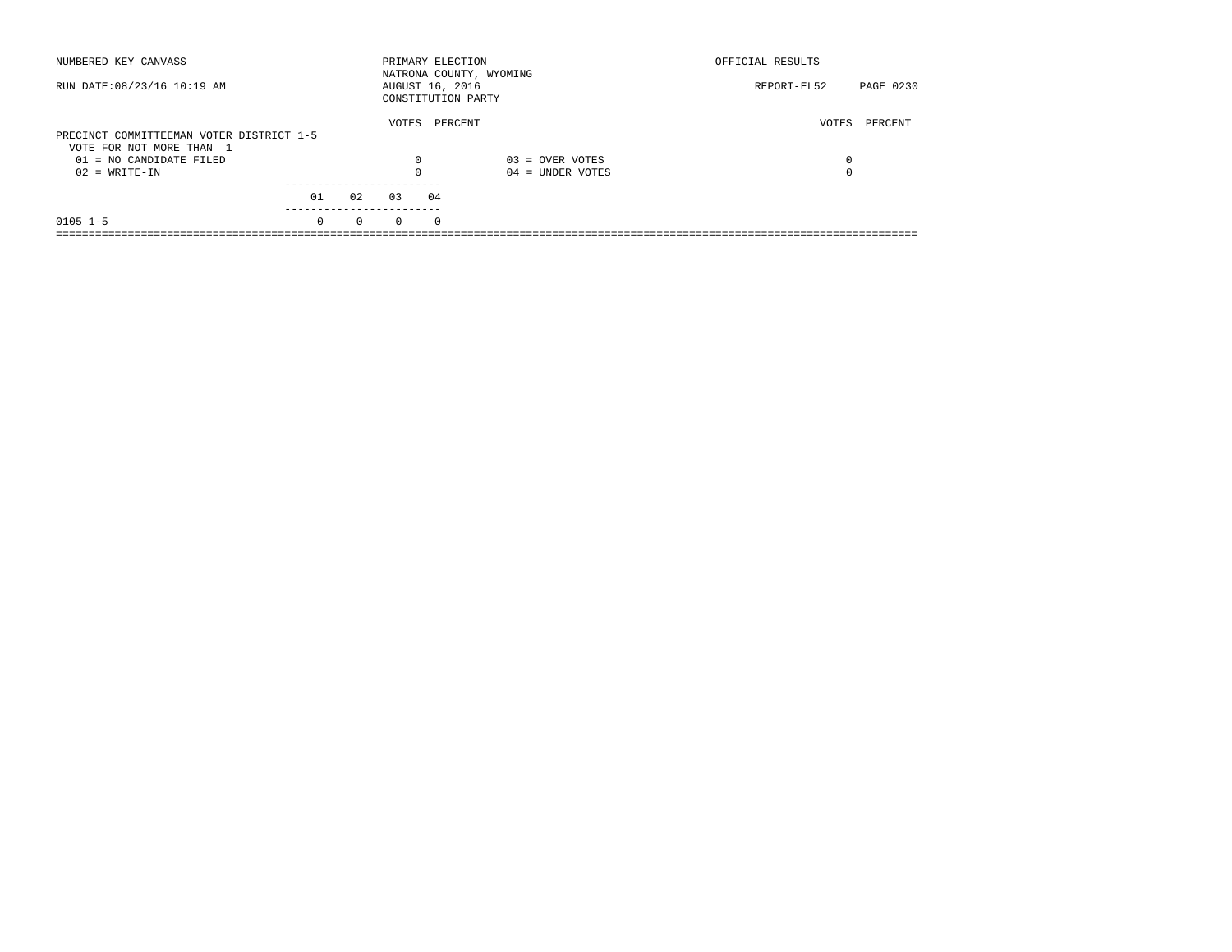| NUMBERED KEY CANVASS                                                 |          |          |          | PRIMARY ELECTION                      | NATRONA COUNTY, WYOMING | OFFICIAL RESULTS |           |
|----------------------------------------------------------------------|----------|----------|----------|---------------------------------------|-------------------------|------------------|-----------|
| RUN DATE: 08/23/16 10:19 AM                                          |          |          |          | AUGUST 16, 2016<br>CONSTITUTION PARTY |                         | REPORT-EL52      | PAGE 0230 |
| PRECINCT COMMITTEEMAN VOTER DISTRICT 1-5<br>VOTE FOR NOT MORE THAN 1 |          |          | VOTES    | PERCENT                               |                         | VOTES            | PERCENT   |
| 01 = NO CANDIDATE FILED                                              |          |          | 0        |                                       | $03 =$ OVER VOTES       | 0                |           |
| $02 = WRITE-IN$                                                      |          |          | $\Omega$ |                                       | $04 =$ UNDER VOTES      | $\Omega$         |           |
|                                                                      |          |          |          |                                       |                         |                  |           |
|                                                                      | 01       | 02       | 03       | 04                                    |                         |                  |           |
| $0105$ 1-5                                                           | $\Omega$ | $\Omega$ | $\Omega$ | $\Omega$                              |                         |                  |           |
|                                                                      |          |          |          |                                       |                         |                  |           |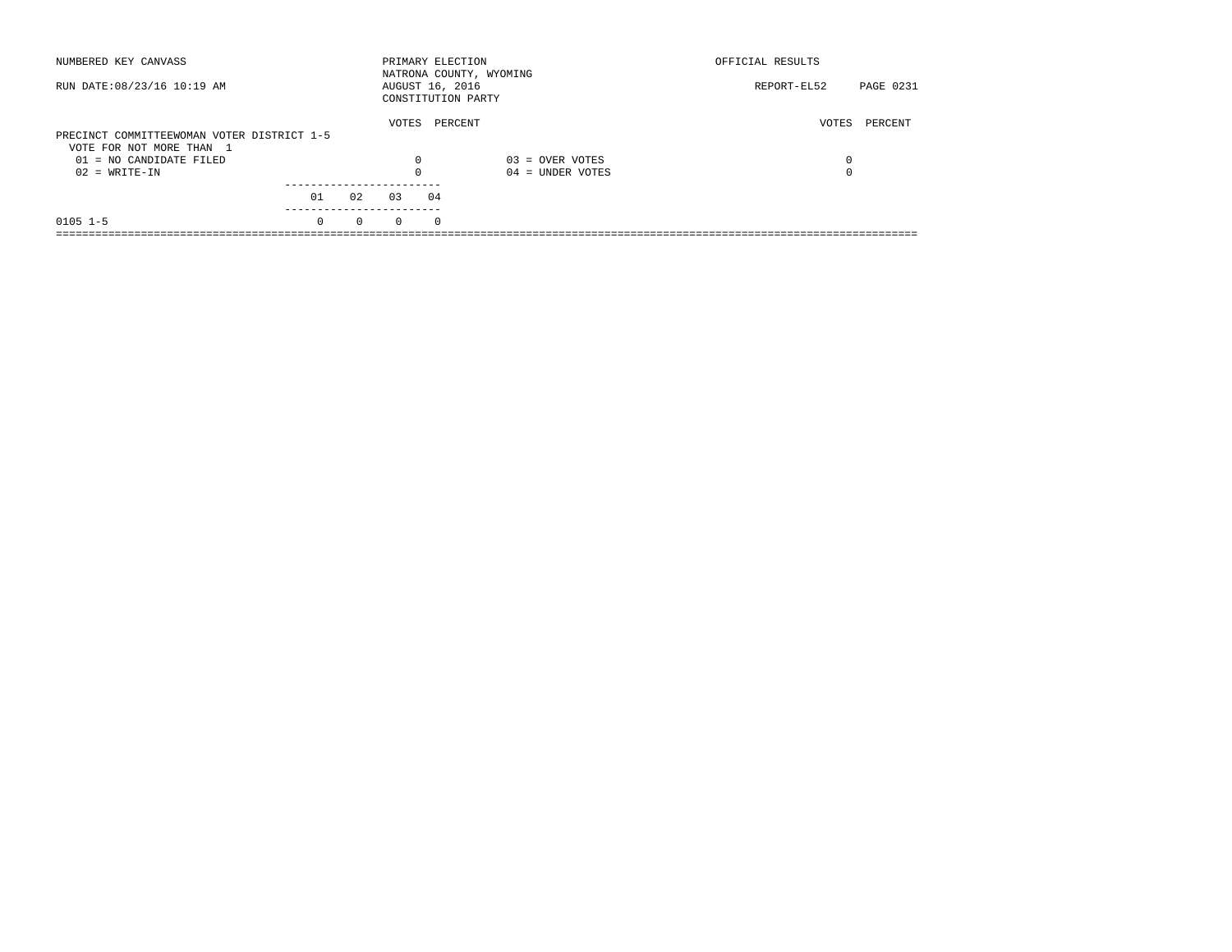| NUMBERED KEY CANVASS                       |          |          | PRIMARY ELECTION |          | NATRONA COUNTY, WYOMING | OFFICIAL RESULTS |                  |
|--------------------------------------------|----------|----------|------------------|----------|-------------------------|------------------|------------------|
| RUN DATE: 08/23/16 10:19 AM                |          |          | AUGUST 16, 2016  |          | CONSTITUTION PARTY      | REPORT-EL52      | <b>PAGE 0231</b> |
|                                            |          |          | VOTES            |          | PERCENT                 | VOTES            | PERCENT          |
| PRECINCT COMMITTEEWOMAN VOTER DISTRICT 1-5 |          |          |                  |          |                         |                  |                  |
| VOTE FOR NOT MORE THAN 1                   |          |          |                  |          |                         |                  |                  |
| 01 = NO CANDIDATE FILED                    |          |          | $\Omega$         |          | $03 =$ OVER VOTES       | 0                |                  |
| $02 = WRITE-IN$                            |          |          | $\Omega$         |          | $04 =$ UNDER VOTES      | 0                |                  |
|                                            |          |          |                  |          |                         |                  |                  |
|                                            | 01       | 02       | 03               | 04       |                         |                  |                  |
| $0105$ 1-5                                 | $\Omega$ | $\Omega$ | $\Omega$         | $\Omega$ |                         |                  |                  |
|                                            |          |          |                  |          |                         |                  |                  |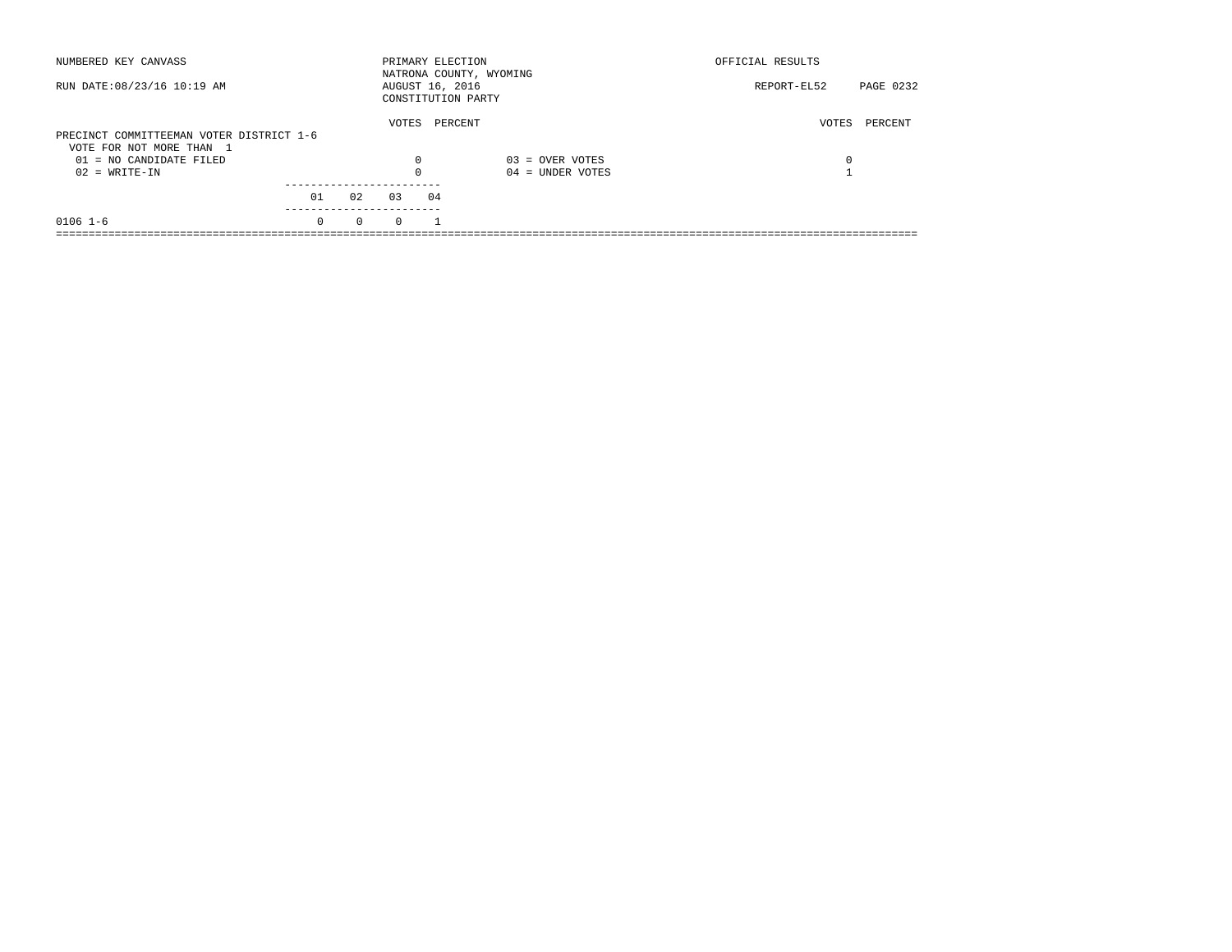| NUMBERED KEY CANVASS                                                 |          |          | PRIMARY ELECTION |    | NATRONA COUNTY, WYOMING | OFFICIAL RESULTS |           |
|----------------------------------------------------------------------|----------|----------|------------------|----|-------------------------|------------------|-----------|
| RUN DATE: 08/23/16 10:19 AM                                          |          |          | AUGUST 16, 2016  |    | CONSTITUTION PARTY      | REPORT-EL52      | PAGE 0232 |
| PRECINCT COMMITTEEMAN VOTER DISTRICT 1-6<br>VOTE FOR NOT MORE THAN 1 |          |          | VOTES            |    | PERCENT                 | VOTES            | PERCENT   |
| 01 = NO CANDIDATE FILED                                              |          |          | 0                |    | $03 =$ OVER VOTES       | 0                |           |
| $02 = WRITE-IN$                                                      |          |          | $\Omega$         |    | $04 =$ UNDER VOTES      |                  |           |
|                                                                      |          |          |                  |    |                         |                  |           |
|                                                                      | 01       | 02       | 03               | 04 |                         |                  |           |
| $0106$ 1-6                                                           | $\Omega$ | $\Omega$ | $\Omega$         |    |                         |                  |           |
|                                                                      |          |          |                  |    |                         |                  |           |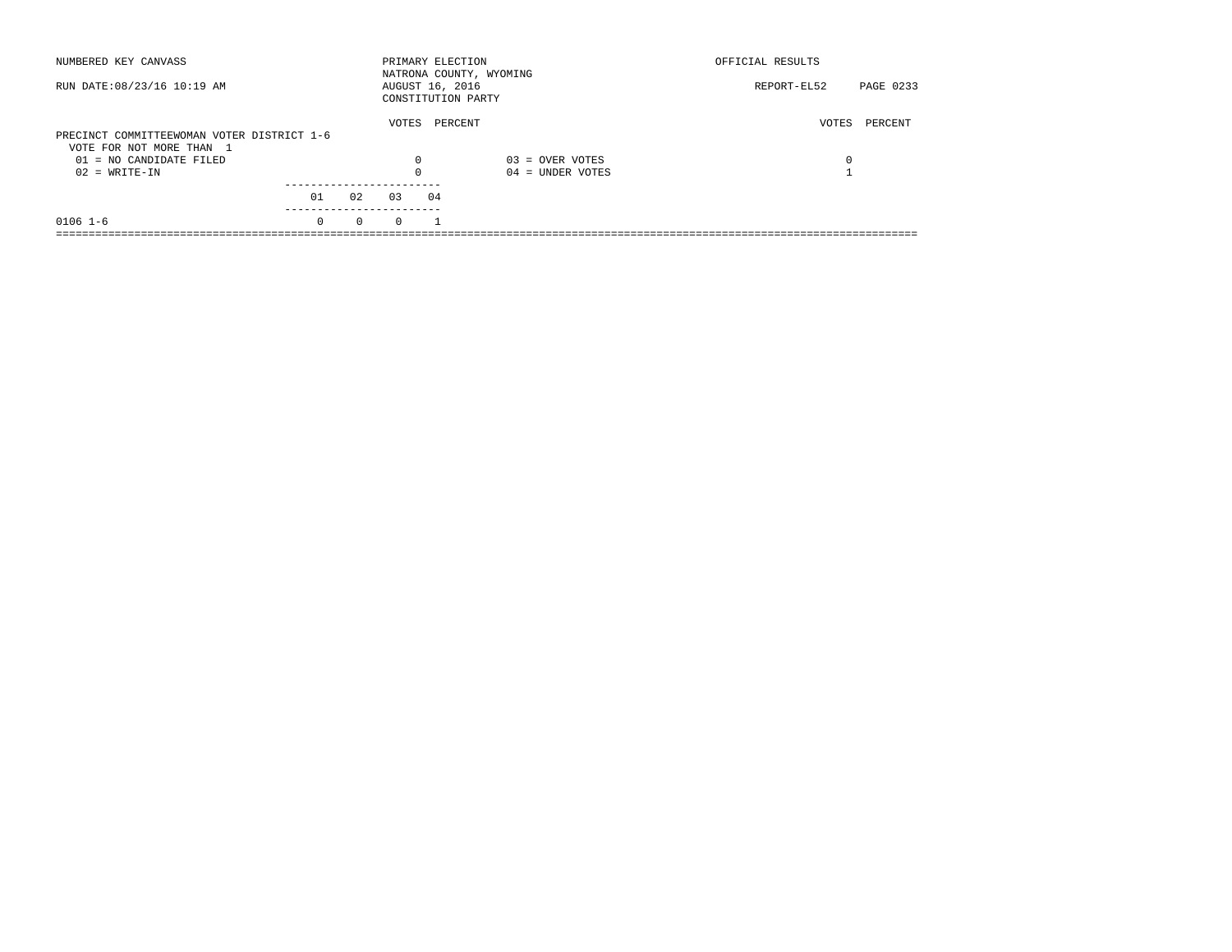| NUMBERED KEY CANVASS                       |          |          | PRIMARY ELECTION |    | NATRONA COUNTY, WYOMING | OFFICIAL RESULTS |           |
|--------------------------------------------|----------|----------|------------------|----|-------------------------|------------------|-----------|
| RUN DATE: 08/23/16 10:19 AM                |          |          | AUGUST 16, 2016  |    | CONSTITUTION PARTY      | REPORT-EL52      | PAGE 0233 |
|                                            |          |          | VOTES            |    | PERCENT                 | VOTES            | PERCENT   |
| PRECINCT COMMITTEEWOMAN VOTER DISTRICT 1-6 |          |          |                  |    |                         |                  |           |
| VOTE FOR NOT MORE THAN 1                   |          |          |                  |    |                         |                  |           |
| 01 = NO CANDIDATE FILED                    |          |          | 0                |    | $03 =$ OVER VOTES       | 0                |           |
| $02 = WRITE-IN$                            |          |          | $\Omega$         |    | $04 =$ UNDER VOTES      |                  |           |
|                                            |          |          |                  |    |                         |                  |           |
|                                            | 01       | 02       | 03               | 04 |                         |                  |           |
| $0106$ 1-6                                 | $\Omega$ | $\Omega$ | $\Omega$         |    |                         |                  |           |
|                                            |          |          |                  |    |                         |                  |           |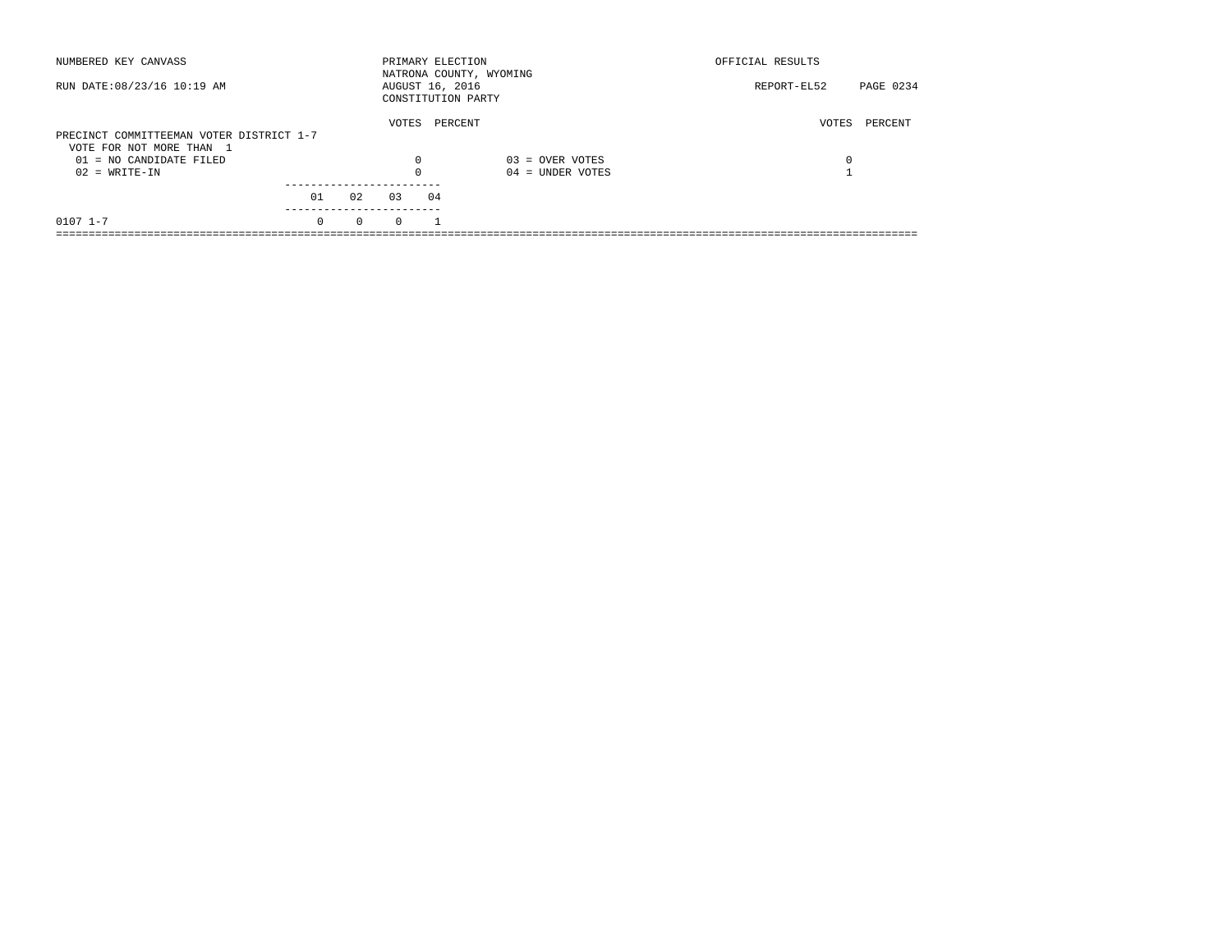| NUMBERED KEY CANVASS                                |          |          | PRIMARY ELECTION |    | NATRONA COUNTY, WYOMING | OFFICIAL RESULTS |           |
|-----------------------------------------------------|----------|----------|------------------|----|-------------------------|------------------|-----------|
| RUN DATE: 08/23/16 10:19 AM                         |          |          | AUGUST 16, 2016  |    | CONSTITUTION PARTY      | REPORT-EL52      | PAGE 0234 |
| PRECINCT COMMITTEEMAN VOTER DISTRICT 1-7            |          |          | VOTES            |    | PERCENT                 | VOTES            | PERCENT   |
| VOTE FOR NOT MORE THAN 1<br>01 = NO CANDIDATE FILED |          |          | 0                |    | $03 =$ OVER VOTES       | 0                |           |
| $02 = WRITE-IN$                                     |          |          | $\Omega$         |    | $04 =$ UNDER VOTES      |                  |           |
|                                                     | 01       | 02       | 03               | 04 |                         |                  |           |
| $0107$ $1 - 7$                                      | $\Omega$ | $\Omega$ | $\Omega$         |    |                         |                  |           |
|                                                     |          |          |                  |    |                         |                  |           |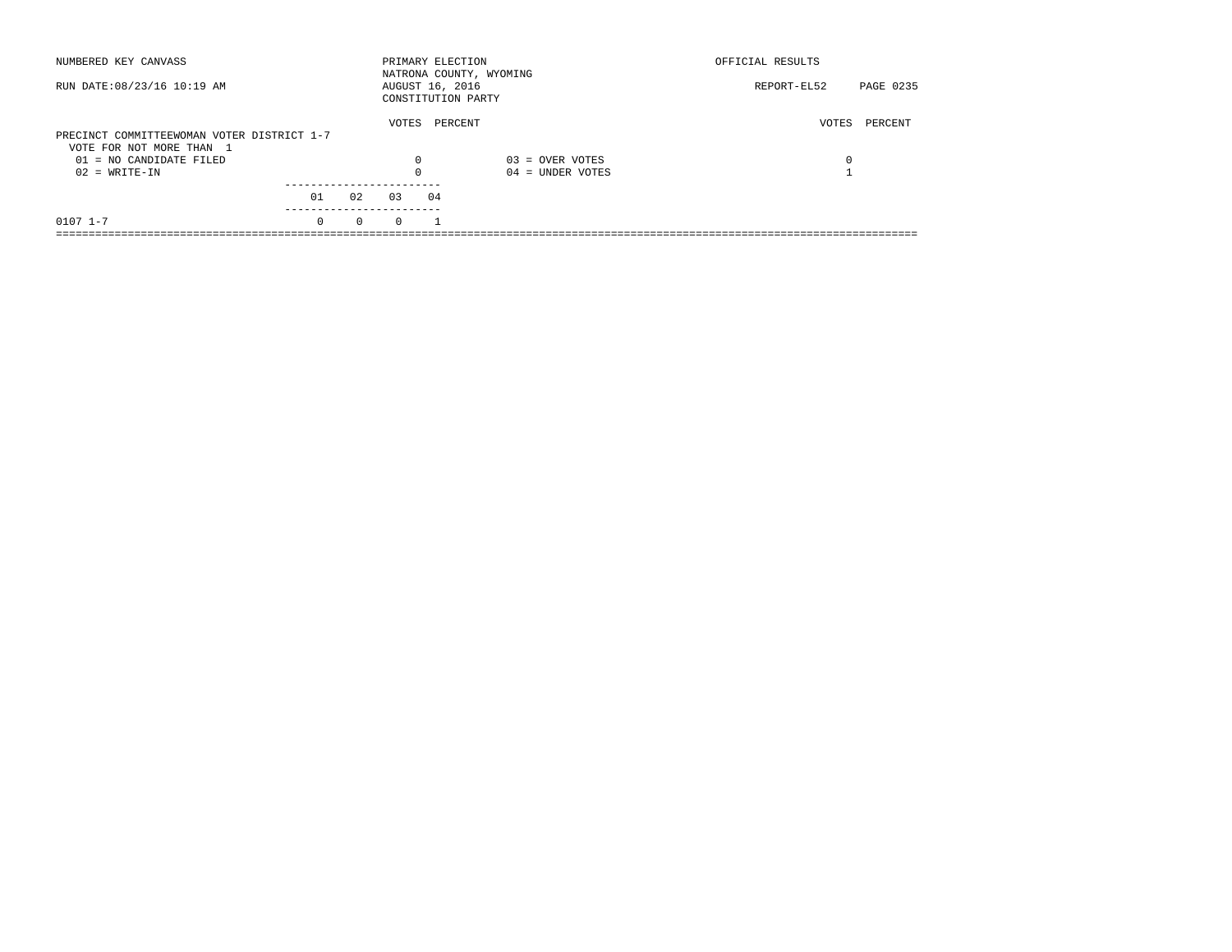| NUMBERED KEY CANVASS                       |          |          | PRIMARY ELECTION                      |         | NATRONA COUNTY, WYOMING | OFFICIAL RESULTS |           |
|--------------------------------------------|----------|----------|---------------------------------------|---------|-------------------------|------------------|-----------|
| RUN DATE: 08/23/16 10:19 AM                |          |          | AUGUST 16, 2016<br>CONSTITUTION PARTY |         |                         | REPORT-EL52      | PAGE 0235 |
|                                            |          |          | VOTES                                 | PERCENT |                         | VOTES            | PERCENT   |
| PRECINCT COMMITTEEWOMAN VOTER DISTRICT 1-7 |          |          |                                       |         |                         |                  |           |
| VOTE FOR NOT MORE THAN 1                   |          |          |                                       |         |                         |                  |           |
| 01 = NO CANDIDATE FILED                    |          |          | 0                                     |         | $03 =$ OVER VOTES       | 0                |           |
| $02 = WRITE-IN$                            |          |          | $\Omega$                              |         | $04 =$ UNDER VOTES      |                  |           |
|                                            |          |          |                                       |         |                         |                  |           |
|                                            | 01       | 02       | 03                                    | 04      |                         |                  |           |
| $0107$ $1 - 7$                             | $\Omega$ | $\Omega$ | $\Omega$                              |         |                         |                  |           |
|                                            |          |          |                                       |         |                         |                  |           |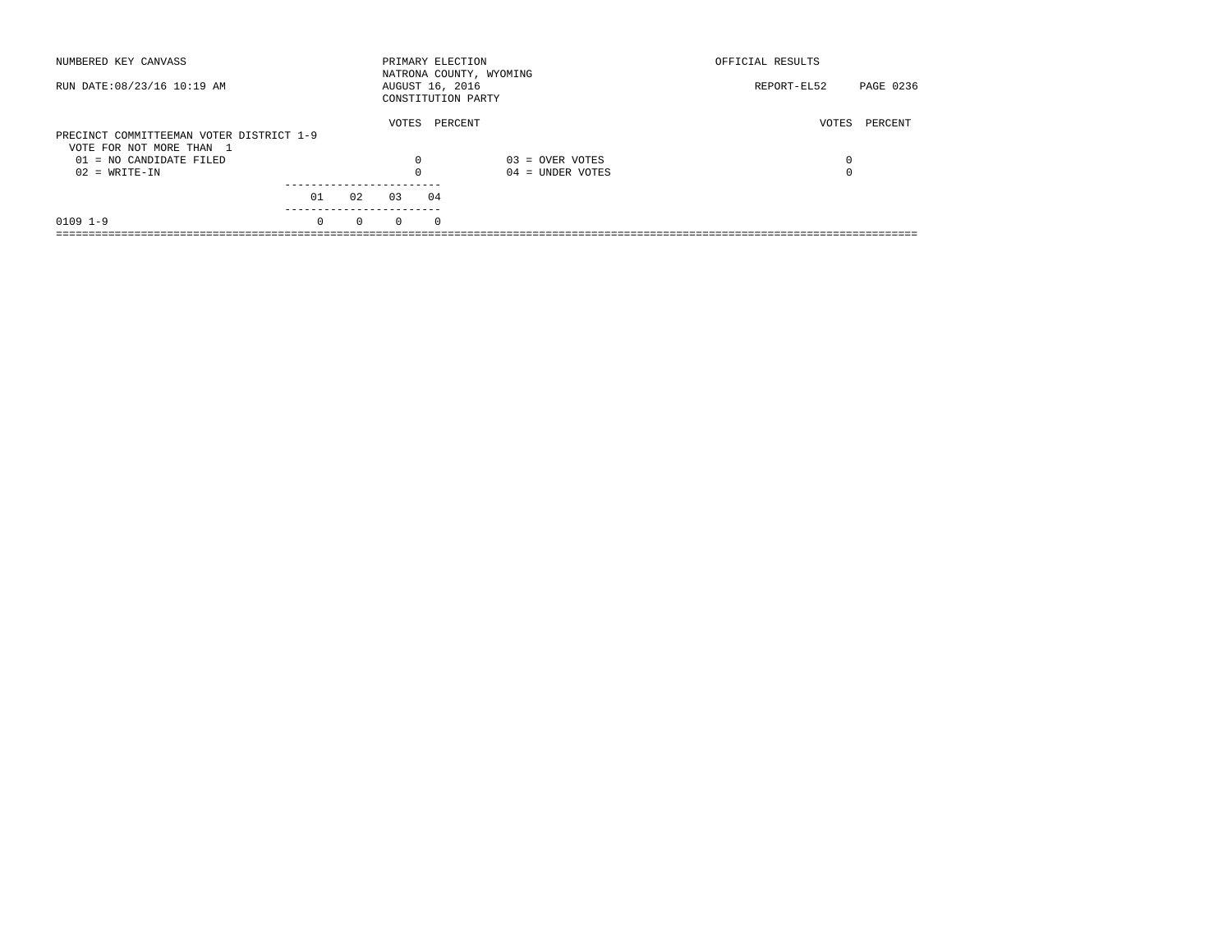| NUMBERED KEY CANVASS                                                 |          |          | PRIMARY ELECTION                      |          | NATRONA COUNTY, WYOMING | OFFICIAL RESULTS |           |
|----------------------------------------------------------------------|----------|----------|---------------------------------------|----------|-------------------------|------------------|-----------|
| RUN DATE: 08/23/16 10:19 AM                                          |          |          | AUGUST 16, 2016<br>CONSTITUTION PARTY |          |                         | REPORT-EL52      | PAGE 0236 |
| PRECINCT COMMITTEEMAN VOTER DISTRICT 1-9<br>VOTE FOR NOT MORE THAN 1 |          |          | VOTES                                 | PERCENT  |                         | VOTES            | PERCENT   |
| 01 = NO CANDIDATE FILED                                              |          |          | $\Omega$                              |          | $03 =$ OVER VOTES       | 0                |           |
| $02 = WRITE-IN$                                                      |          |          | $\Omega$                              |          | $04 =$ UNDER VOTES      | 0                |           |
|                                                                      | 01       | 02       | 03                                    | 04       |                         |                  |           |
| $0109$ $1-9$                                                         | $\Omega$ | $\Omega$ | $\Omega$                              | $\Omega$ |                         |                  |           |
|                                                                      |          |          |                                       |          |                         |                  |           |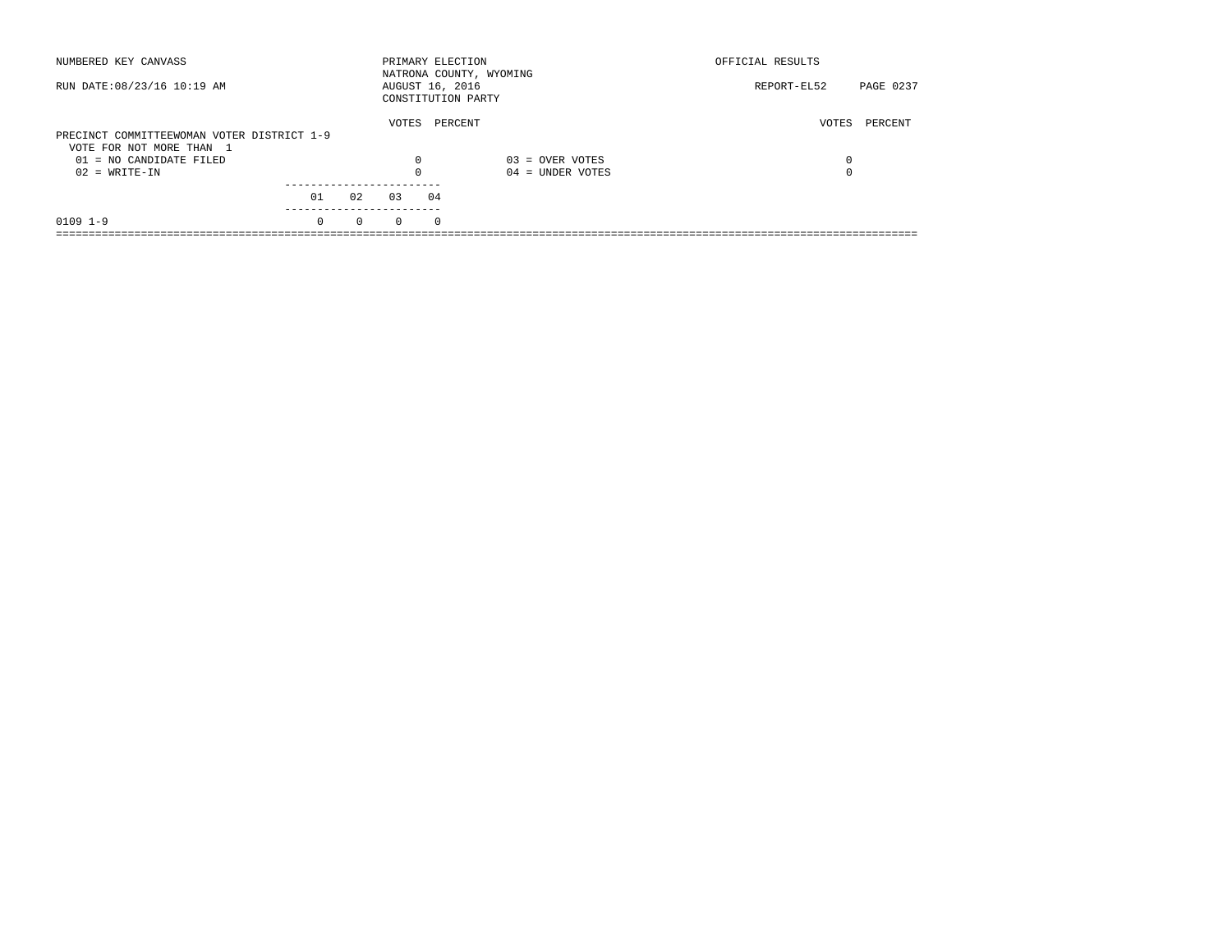| NUMBERED KEY CANVASS                       |          |          | PRIMARY ELECTION                      |          | NATRONA COUNTY, WYOMING | OFFICIAL RESULTS |           |
|--------------------------------------------|----------|----------|---------------------------------------|----------|-------------------------|------------------|-----------|
| RUN DATE: 08/23/16 10:19 AM                |          |          | AUGUST 16, 2016<br>CONSTITUTION PARTY |          |                         | REPORT-EL52      | PAGE 0237 |
| PRECINCT COMMITTEEWOMAN VOTER DISTRICT 1-9 |          |          | VOTES                                 | PERCENT  |                         | VOTES            | PERCENT   |
| VOTE FOR NOT MORE THAN 1                   |          |          |                                       |          |                         |                  |           |
| 01 = NO CANDIDATE FILED                    |          |          | $\Omega$                              |          | $03 =$ OVER VOTES       | 0                |           |
| $02 = WRITE-IN$                            |          |          | $\Omega$                              |          | $04 =$ UNDER VOTES      | 0                |           |
|                                            |          |          |                                       |          |                         |                  |           |
|                                            | 01       | 02       | 03                                    | 04       |                         |                  |           |
| $0109$ $1-9$                               | $\Omega$ | $\Omega$ | $\Omega$                              | $\Omega$ |                         |                  |           |
|                                            |          |          |                                       |          |                         |                  |           |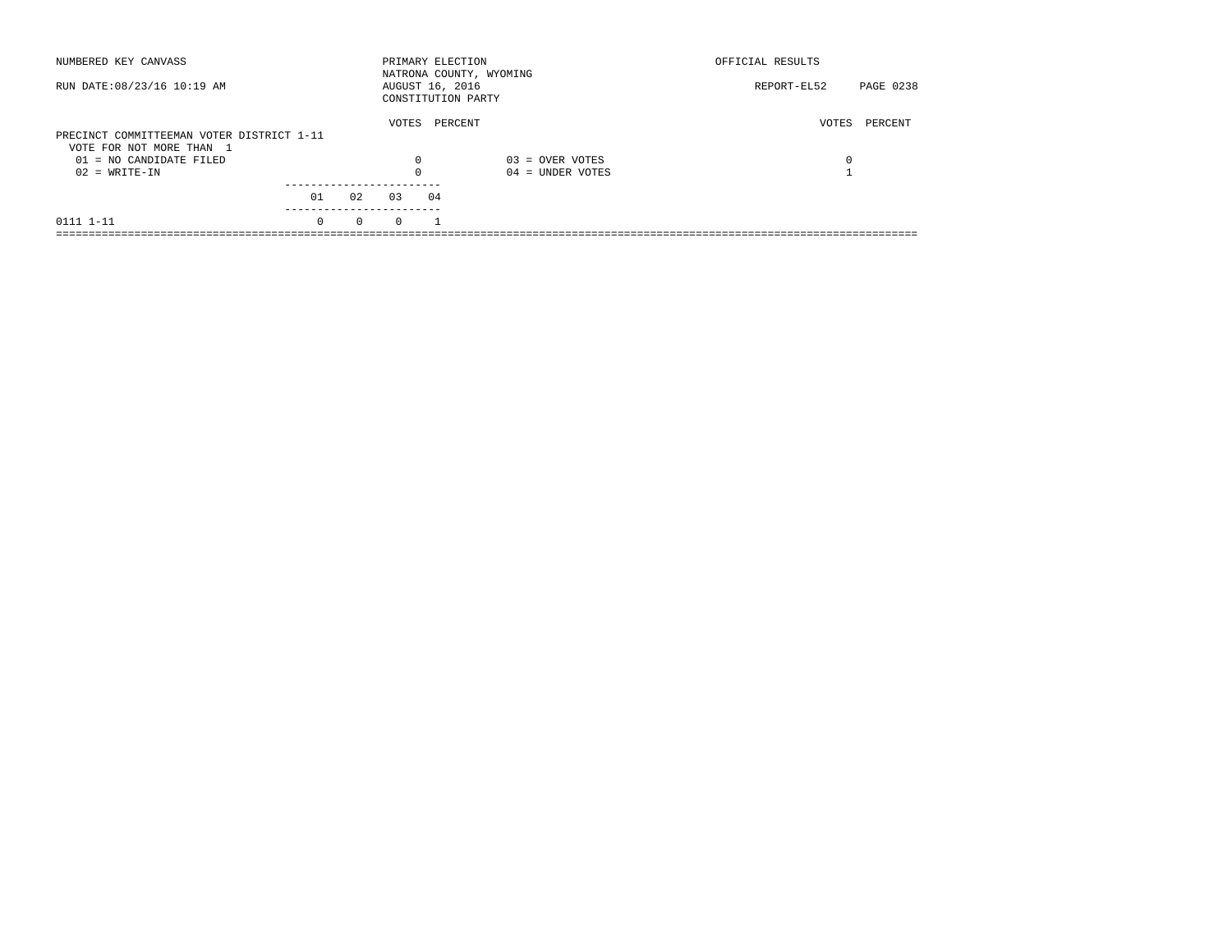| NUMBERED KEY CANVASS                                                  |          |          | PRIMARY ELECTION |    | NATRONA COUNTY, WYOMING | OFFICIAL RESULTS |           |
|-----------------------------------------------------------------------|----------|----------|------------------|----|-------------------------|------------------|-----------|
| RUN DATE: 08/23/16 10:19 AM                                           |          |          | AUGUST 16, 2016  |    | CONSTITUTION PARTY      | REPORT-EL52      | PAGE 0238 |
| PRECINCT COMMITTEEMAN VOTER DISTRICT 1-11<br>VOTE FOR NOT MORE THAN 1 |          |          | VOTES            |    | PERCENT                 | VOTES            | PERCENT   |
| $01 = NO CANDIDATE FILED$                                             |          |          | $\Omega$         |    | $03 =$ OVER VOTES       | 0                |           |
| $02 = WRITE-IN$                                                       |          |          |                  |    | $04 =$ UNDER VOTES      |                  |           |
|                                                                       |          |          |                  |    |                         |                  |           |
|                                                                       | 01       | 02       | 0.3              | 04 |                         |                  |           |
| 0111 1-11                                                             | $\Omega$ | $\Omega$ | $\Omega$         |    |                         |                  |           |
|                                                                       |          |          |                  |    |                         |                  |           |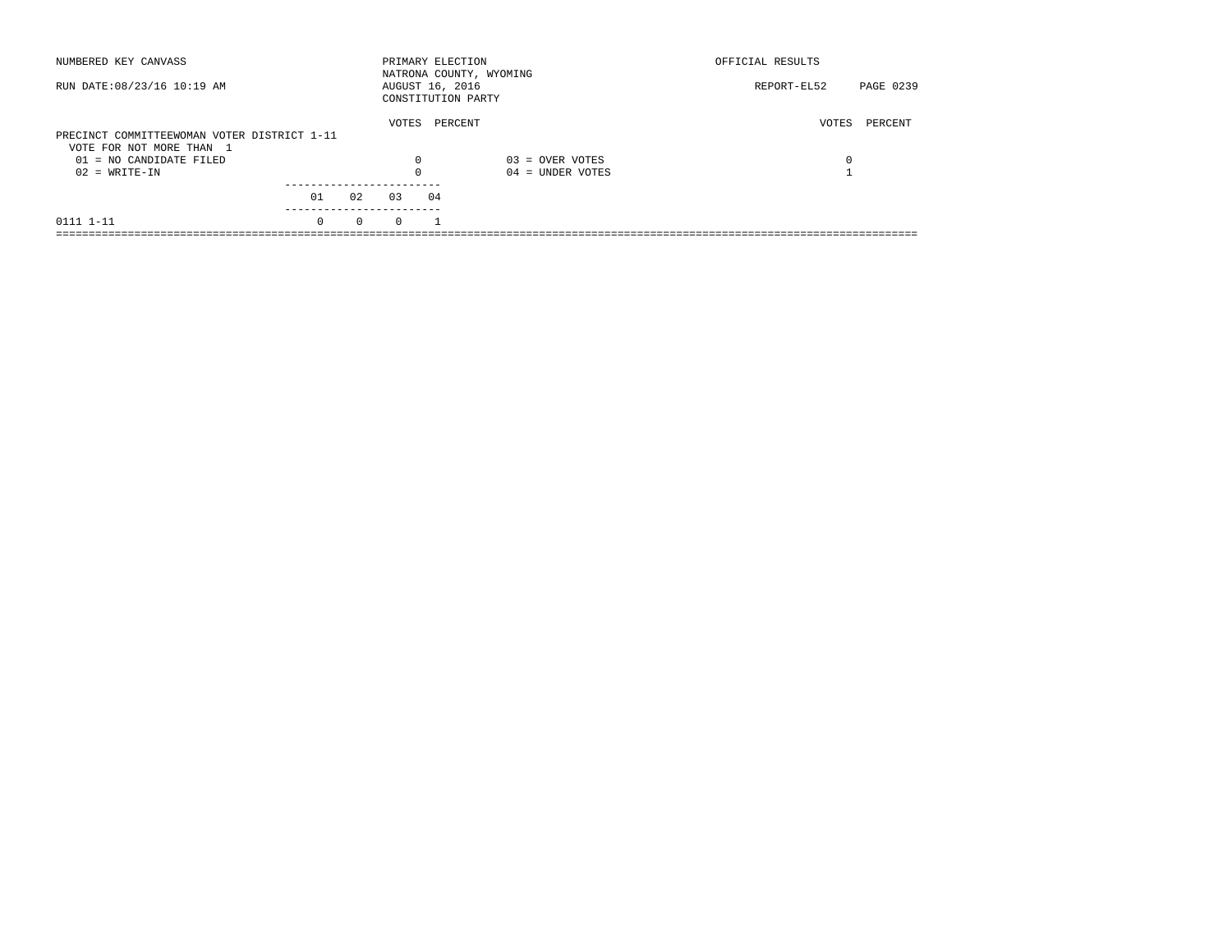| NUMBERED KEY CANVASS                                  |          |          | PRIMARY ELECTION                      |         | NATRONA COUNTY, WYOMING | OFFICIAL RESULTS |           |
|-------------------------------------------------------|----------|----------|---------------------------------------|---------|-------------------------|------------------|-----------|
| RUN DATE: 08/23/16 10:19 AM                           |          |          | AUGUST 16, 2016<br>CONSTITUTION PARTY |         |                         | REPORT-EL52      | PAGE 0239 |
| PRECINCT COMMITTEEWOMAN VOTER DISTRICT 1-11           |          |          | VOTES                                 | PERCENT |                         | VOTES            | PERCENT   |
| VOTE FOR NOT MORE THAN 1<br>$01 = NO CANDIDATE FILED$ |          |          | $\Omega$                              |         | $03 =$ OVER VOTES       | 0                |           |
| $02 = WRITE-IN$                                       |          |          |                                       |         | $04 =$ UNDER VOTES      |                  |           |
|                                                       | 01       | 02       | 03                                    | 04      |                         |                  |           |
| 0111 1-11                                             | $\Omega$ | $\Omega$ | $\Omega$                              |         |                         |                  |           |
|                                                       |          |          |                                       |         |                         |                  |           |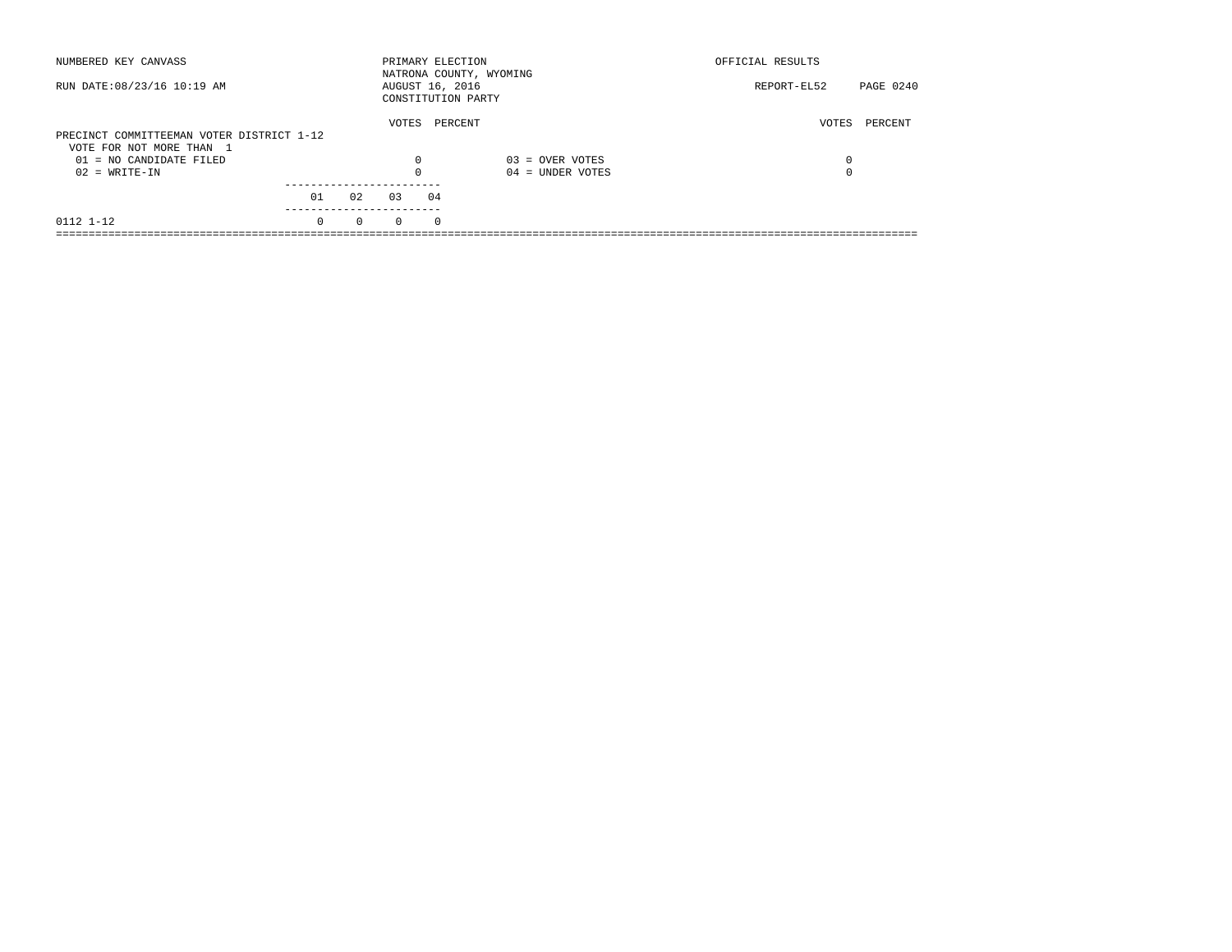| NUMBERED KEY CANVASS                                                  |          |          | PRIMARY ELECTION                      |            | NATRONA COUNTY, WYOMING | OFFICIAL RESULTS |           |
|-----------------------------------------------------------------------|----------|----------|---------------------------------------|------------|-------------------------|------------------|-----------|
| RUN DATE: 08/23/16 10:19 AM                                           |          |          | AUGUST 16, 2016<br>CONSTITUTION PARTY |            |                         | REPORT-EL52      | PAGE 0240 |
| PRECINCT COMMITTEEMAN VOTER DISTRICT 1-12<br>VOTE FOR NOT MORE THAN 1 |          |          | VOTES                                 | PERCENT    |                         | VOTES            | PERCENT   |
| $01 = NO CANDIDATE FILED$                                             |          |          | $\Omega$                              |            | $03 =$ OVER VOTES       | 0                |           |
| $02 = WRITE-IN$                                                       |          |          |                                       |            | $04 =$ UNDER VOTES      | $\Omega$         |           |
|                                                                       | 01       | 02       | 03                                    | 04         |                         |                  |           |
| 0112 1-12                                                             | $\Omega$ | $\Omega$ | $\Omega$                              | $^{\circ}$ |                         |                  |           |
|                                                                       |          |          |                                       |            |                         |                  |           |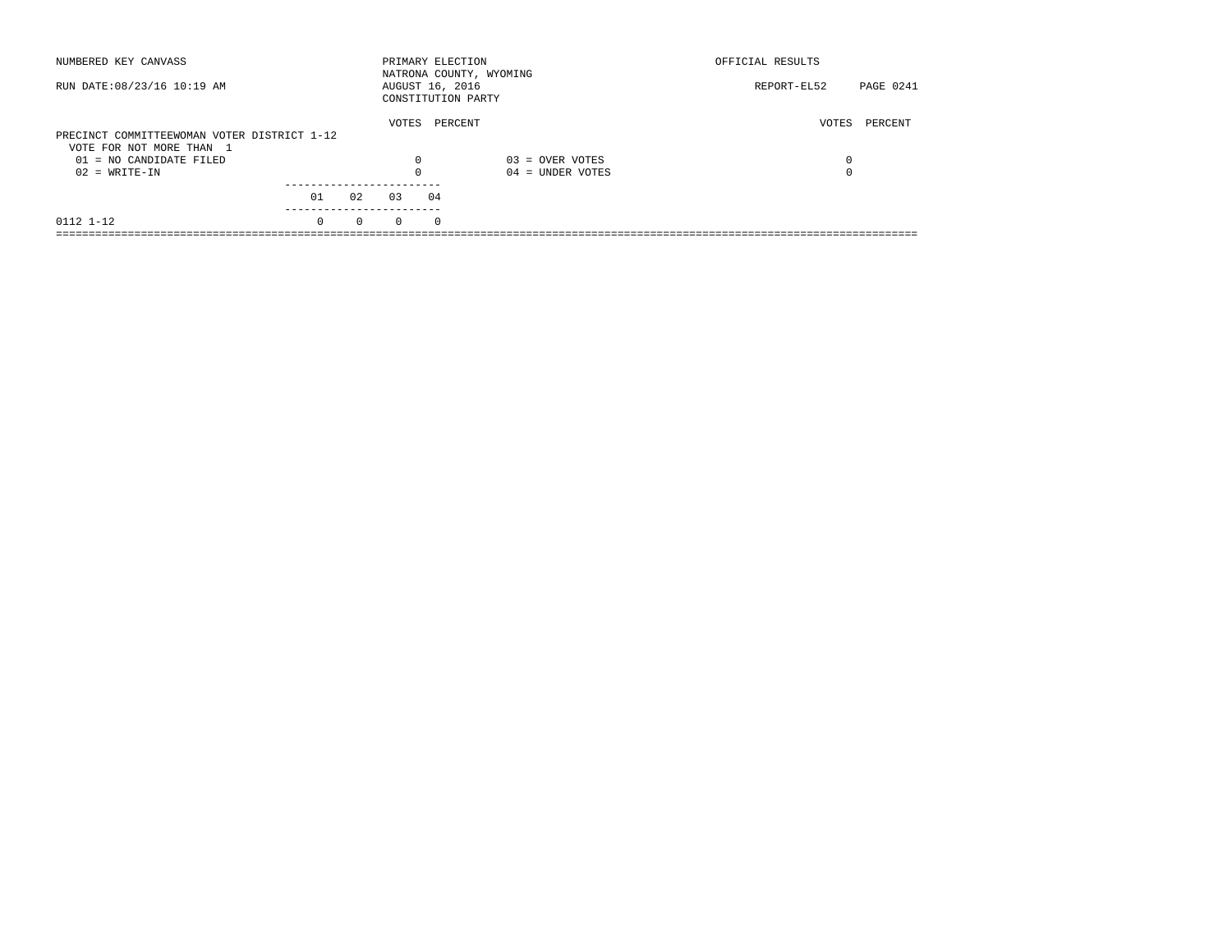| NUMBERED KEY CANVASS                        |          |          | PRIMARY ELECTION                      |          | NATRONA COUNTY, WYOMING | OFFICIAL RESULTS |                  |
|---------------------------------------------|----------|----------|---------------------------------------|----------|-------------------------|------------------|------------------|
| RUN DATE: 08/23/16 10:19 AM                 |          |          | AUGUST 16, 2016<br>CONSTITUTION PARTY |          |                         | REPORT-EL52      | <b>PAGE 0241</b> |
| PRECINCT COMMITTEEWOMAN VOTER DISTRICT 1-12 |          |          | VOTES                                 | PERCENT  |                         | VOTES            | PERCENT          |
| VOTE FOR NOT MORE THAN 1                    |          |          |                                       |          |                         |                  |                  |
| $01 = NO CANDIDATE FILED$                   |          |          | $\Omega$                              |          | $03 =$ OVER VOTES       | 0                |                  |
| $02 = WRITE-IN$                             |          |          |                                       |          | $04 =$ UNDER VOTES      | $\Omega$         |                  |
|                                             | 01       | 02       | 03                                    | 04       |                         |                  |                  |
|                                             |          |          |                                       |          |                         |                  |                  |
| 0112 1-12                                   | $\Omega$ | $\Omega$ | $\Omega$                              | $\Omega$ |                         |                  |                  |
|                                             |          |          |                                       |          |                         |                  |                  |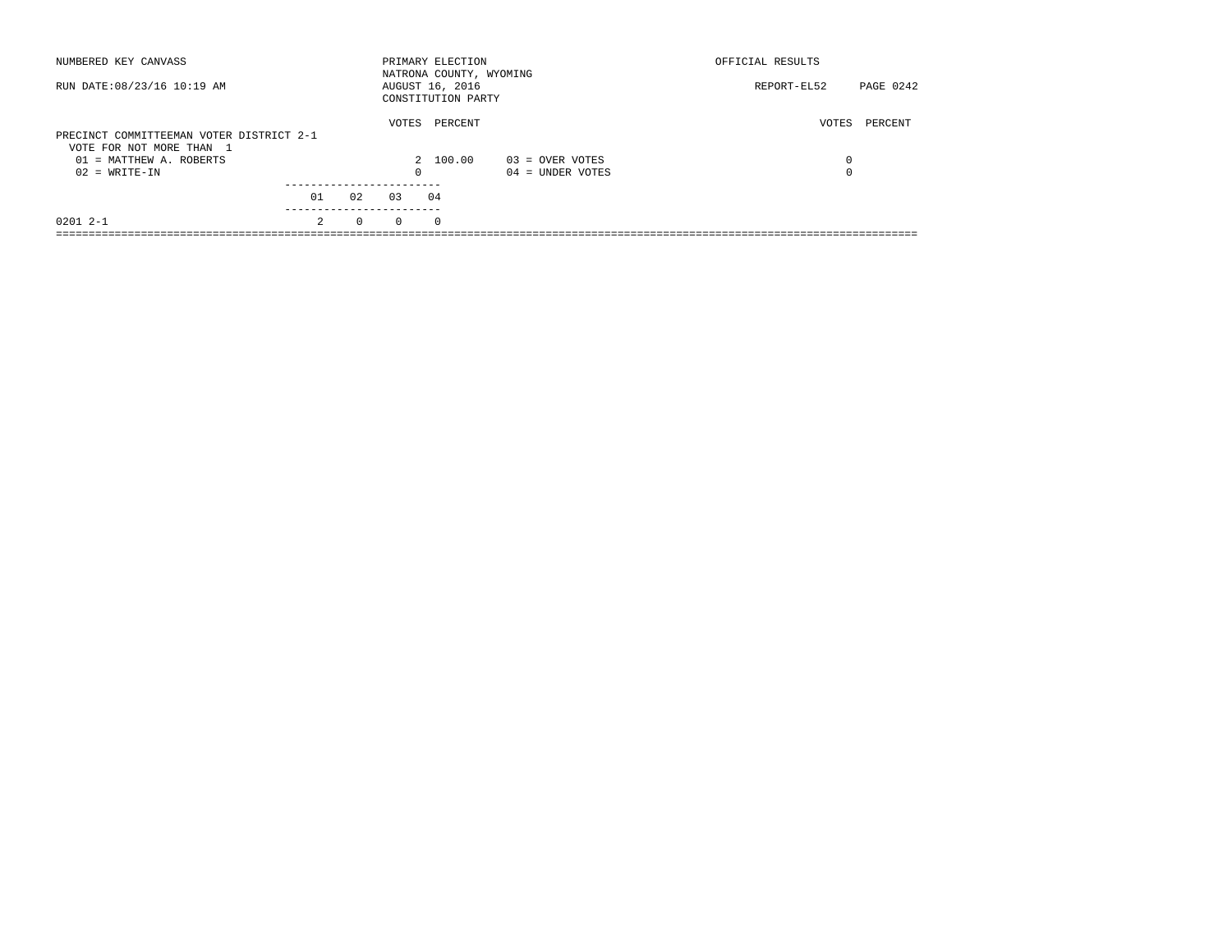| NUMBERED KEY CANVASS                                                 |                      | PRIMARY ELECTION<br>NATRONA COUNTY, WYOMING |                                         | OFFICIAL RESULTS |           |
|----------------------------------------------------------------------|----------------------|---------------------------------------------|-----------------------------------------|------------------|-----------|
| RUN DATE: 08/23/16 10:19 AM                                          |                      | AUGUST 16, 2016<br>CONSTITUTION PARTY       |                                         | REPORT-EL52      | PAGE 0242 |
| PRECINCT COMMITTEEMAN VOTER DISTRICT 2-1<br>VOTE FOR NOT MORE THAN 1 | VOTES                | PERCENT                                     |                                         | VOTES            | PERCENT   |
| 01 = MATTHEW A. ROBERTS<br>$02 = WRITE-IN$                           | 0                    | 2 100.00                                    | $03 =$ OVER VOTES<br>$04 =$ UNDER VOTES | 0<br>0           |           |
|                                                                      |                      |                                             |                                         |                  |           |
| 01                                                                   | 02<br>03             | 04                                          |                                         |                  |           |
| ---------<br>$02012 - -1$<br>$\mathcal{L}$                           | $\Omega$<br>$\Omega$ | $\Omega$                                    |                                         |                  |           |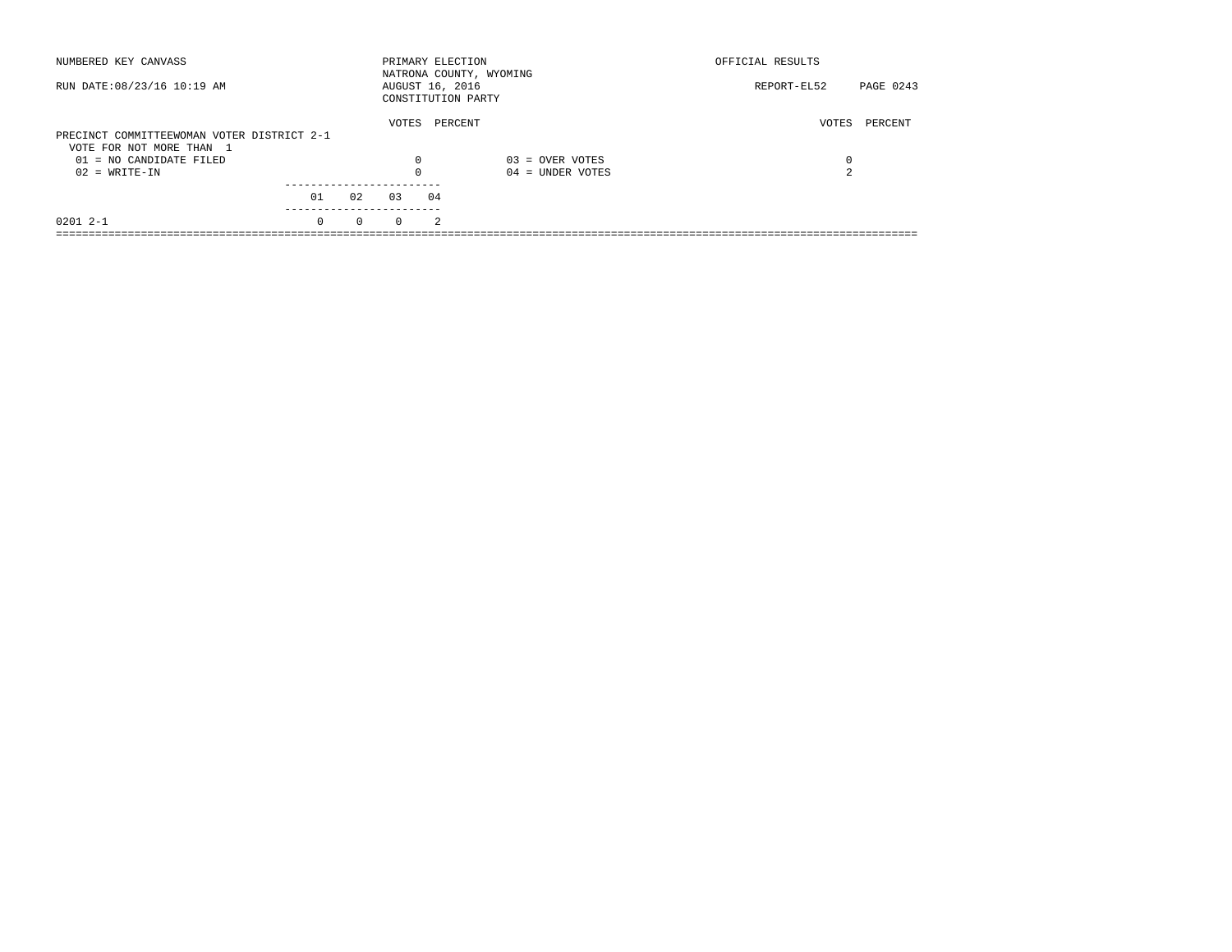| NUMBERED KEY CANVASS                       |          |          | PRIMARY ELECTION |                | NATRONA COUNTY, WYOMING | OFFICIAL RESULTS |           |
|--------------------------------------------|----------|----------|------------------|----------------|-------------------------|------------------|-----------|
| RUN DATE: 08/23/16 10:19 AM                |          |          | AUGUST 16, 2016  |                | CONSTITUTION PARTY      | REPORT-EL52      | PAGE 0243 |
| PRECINCT COMMITTEEWOMAN VOTER DISTRICT 2-1 |          |          | VOTES            |                | PERCENT                 | VOTES            | PERCENT   |
| VOTE FOR NOT MORE THAN 1                   |          |          |                  |                |                         |                  |           |
| 01 = NO CANDIDATE FILED                    |          |          | $\Omega$         |                | $03 =$ OVER VOTES       | 0                |           |
| $02 = WRITE-IN$                            |          |          | $\Omega$         |                | $04 =$ UNDER VOTES      | 2                |           |
|                                            |          |          |                  |                |                         |                  |           |
|                                            | 01       | 02       | 0.3              | 04             |                         |                  |           |
| $02012 - -1$                               | $\Omega$ | $\Omega$ | $\Omega$         | $\mathfrak{D}$ |                         |                  |           |
|                                            |          |          |                  |                |                         |                  |           |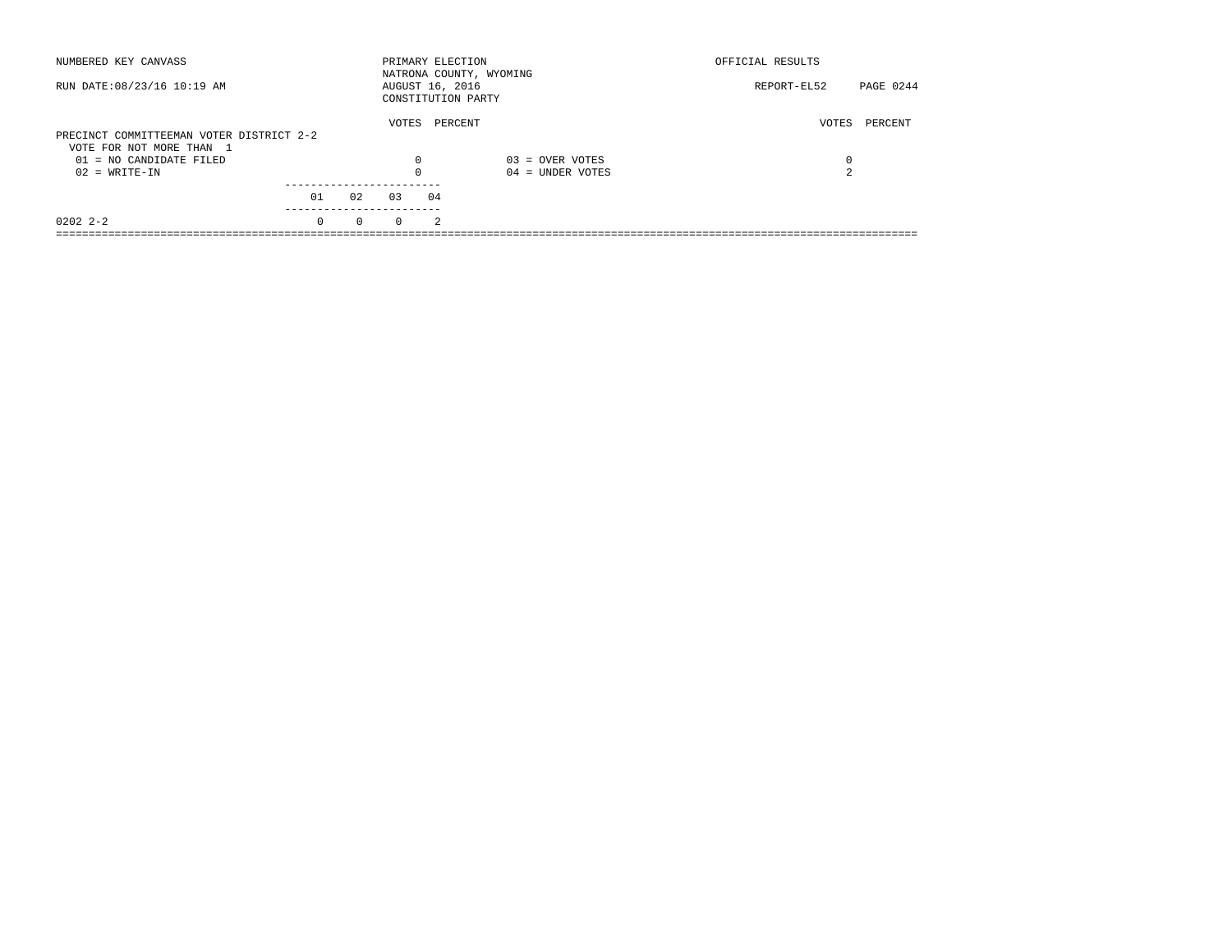| NUMBERED KEY CANVASS                                                 |          |          | PRIMARY ELECTION                      |                | NATRONA COUNTY, WYOMING | OFFICIAL RESULTS |           |
|----------------------------------------------------------------------|----------|----------|---------------------------------------|----------------|-------------------------|------------------|-----------|
| RUN DATE: 08/23/16 10:19 AM                                          |          |          | AUGUST 16, 2016<br>CONSTITUTION PARTY |                |                         | REPORT-EL52      | PAGE 0244 |
| PRECINCT COMMITTEEMAN VOTER DISTRICT 2-2<br>VOTE FOR NOT MORE THAN 1 |          |          | VOTES                                 | PERCENT        |                         | VOTES            | PERCENT   |
| 01 = NO CANDIDATE FILED                                              |          |          | 0                                     |                | $03 =$ OVER VOTES       | 0                |           |
| $02 = WRITE-IN$                                                      |          |          | $\Omega$                              |                | $04 =$ UNDER VOTES      | 2                |           |
|                                                                      | 01       | 02       | 03                                    | 04             |                         |                  |           |
| $02022 - 2 - 2$                                                      | $\Omega$ | $\Omega$ | $\Omega$                              | $\mathfrak{D}$ |                         |                  |           |
|                                                                      |          |          |                                       |                |                         |                  |           |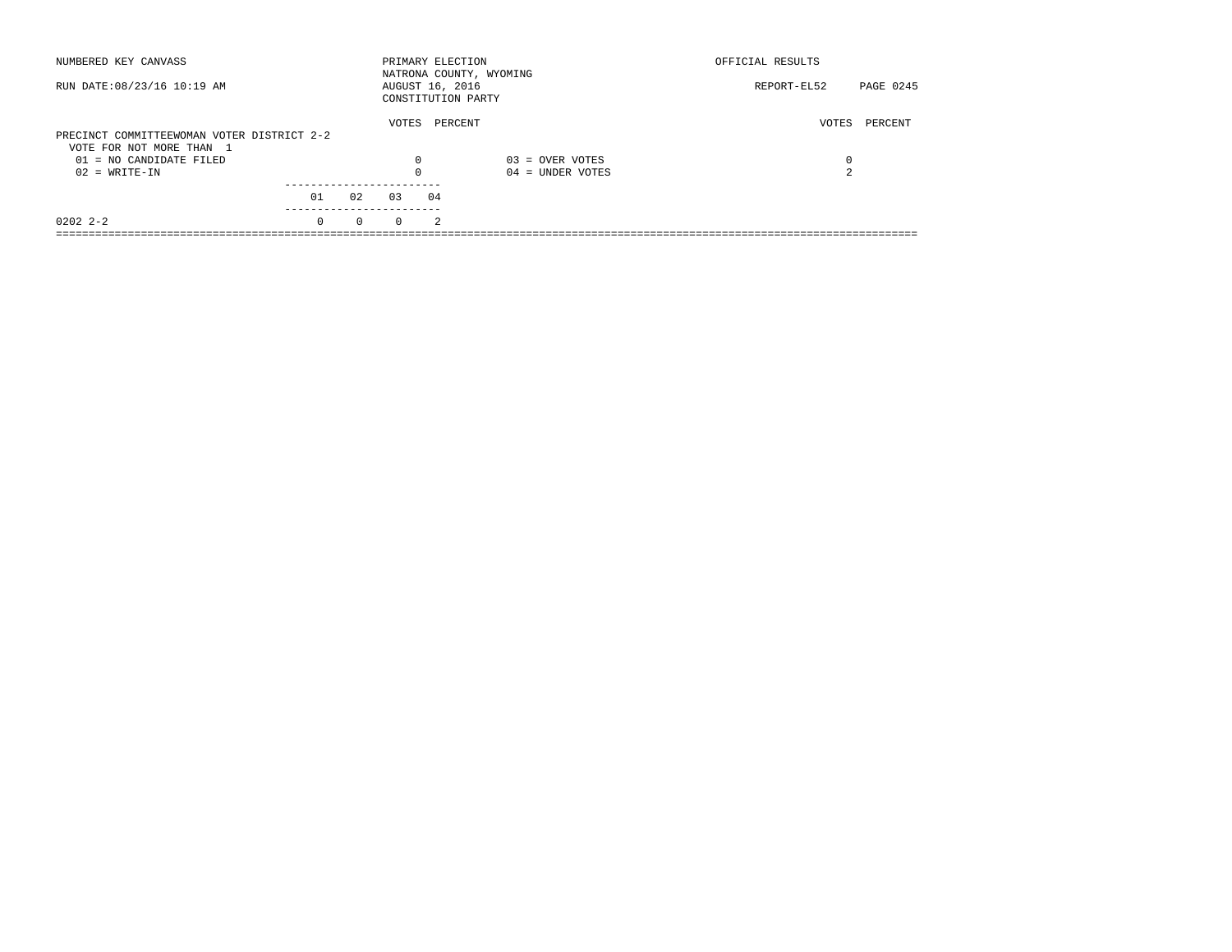|                      |                       | OFFICIAL RESULTS                                                                                                |
|----------------------|-----------------------|-----------------------------------------------------------------------------------------------------------------|
|                      |                       | PAGE 0245<br>REPORT-EL52                                                                                        |
| VOTES                | PERCENT               | PERCENT<br>VOTES                                                                                                |
|                      |                       |                                                                                                                 |
| $\Omega$             | $04 =$ UNDER VOTES    | 0<br>2                                                                                                          |
|                      |                       |                                                                                                                 |
|                      |                       |                                                                                                                 |
| $\Omega$<br>$\Omega$ | $\mathfrak{D}$        |                                                                                                                 |
|                      | $\Omega$<br>02<br>0.3 | PRIMARY ELECTION<br>NATRONA COUNTY, WYOMING<br>AUGUST 16, 2016<br>CONSTITUTION PARTY<br>$03 =$ OVER VOTES<br>04 |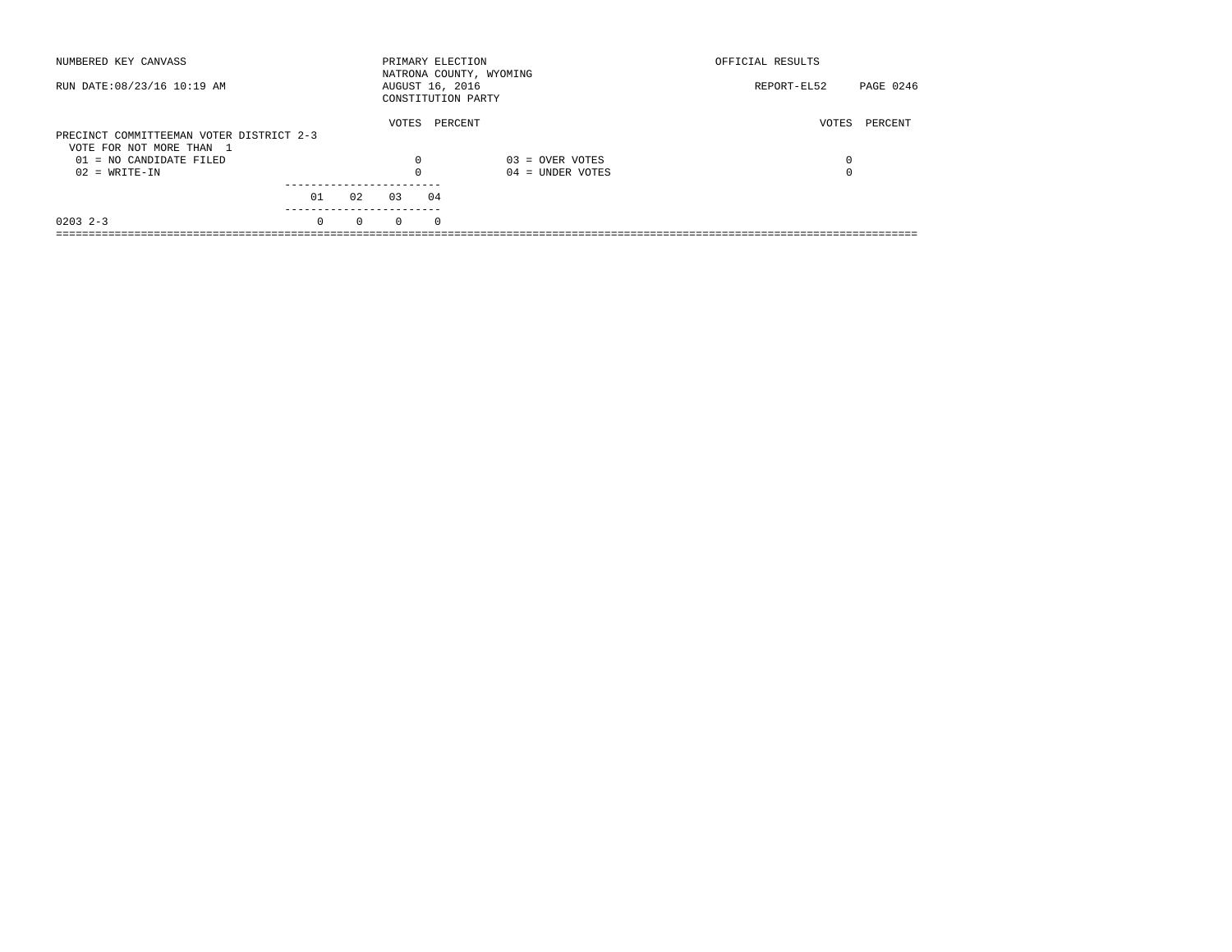| NUMBERED KEY CANVASS                                  |          |          | PRIMARY ELECTION                      |          | NATRONA COUNTY, WYOMING | OFFICIAL RESULTS |           |
|-------------------------------------------------------|----------|----------|---------------------------------------|----------|-------------------------|------------------|-----------|
| RUN DATE: 08/23/16 10:19 AM                           |          |          | AUGUST 16, 2016<br>CONSTITUTION PARTY |          |                         | REPORT-EL52      | PAGE 0246 |
| PRECINCT COMMITTEEMAN VOTER DISTRICT 2-3              |          |          | VOTES                                 | PERCENT  |                         | VOTES            | PERCENT   |
| VOTE FOR NOT MORE THAN 1<br>$01 = NO$ CANDIDATE FILED |          |          | $\Omega$                              |          | $03 =$ OVER VOTES       | 0                |           |
| $02 = WRITE-IN$                                       |          |          | $\Omega$                              |          | $04 =$ UNDER VOTES      | 0                |           |
|                                                       | 01       | 02       | 03                                    | 04       |                         |                  |           |
| $0203$ 2-3                                            | $\Omega$ | $\Omega$ | $\Omega$                              | $\Omega$ |                         |                  |           |
|                                                       |          |          |                                       |          |                         |                  |           |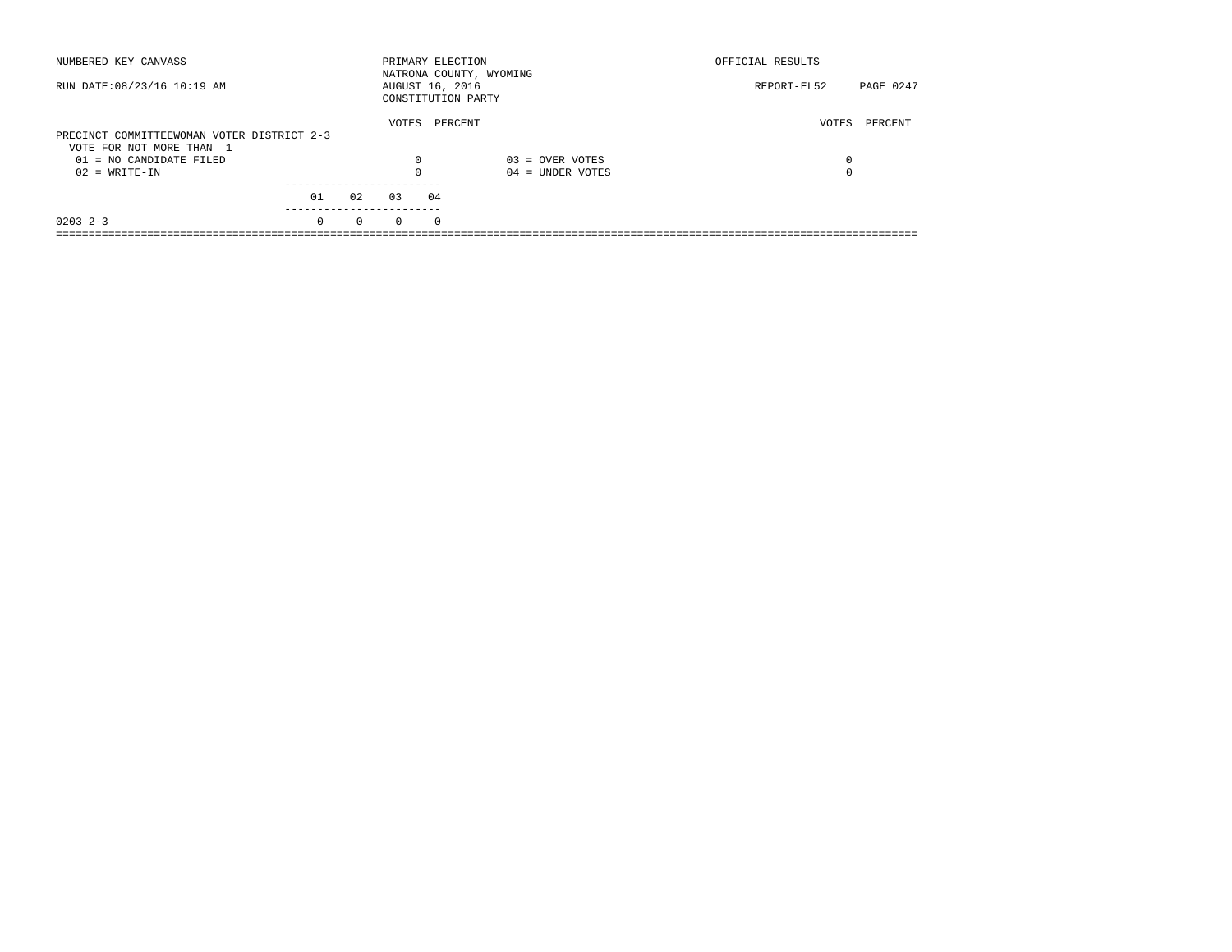| NUMBERED KEY CANVASS                       |          |          | PRIMARY ELECTION |          | NATRONA COUNTY, WYOMING | OFFICIAL RESULTS |           |
|--------------------------------------------|----------|----------|------------------|----------|-------------------------|------------------|-----------|
| RUN DATE: 08/23/16 10:19 AM                |          |          | AUGUST 16, 2016  |          | CONSTITUTION PARTY      | REPORT-EL52      | PAGE 0247 |
| PRECINCT COMMITTEEWOMAN VOTER DISTRICT 2-3 |          |          | VOTES            |          | PERCENT                 | VOTES            | PERCENT   |
| VOTE FOR NOT MORE THAN 1                   |          |          |                  |          |                         |                  |           |
| 01 = NO CANDIDATE FILED                    |          |          | $\Omega$         |          | $03 =$ OVER VOTES       | 0                |           |
| $02 = WRITE-IN$                            |          |          | $\Omega$         |          | $04 =$ UNDER VOTES      | 0                |           |
|                                            |          |          |                  |          |                         |                  |           |
|                                            | 01       | 02       | 03               | 04       |                         |                  |           |
| $0203$ 2-3                                 | $\Omega$ | $\Omega$ | $\Omega$         | $\Omega$ |                         |                  |           |
|                                            |          |          |                  |          |                         |                  |           |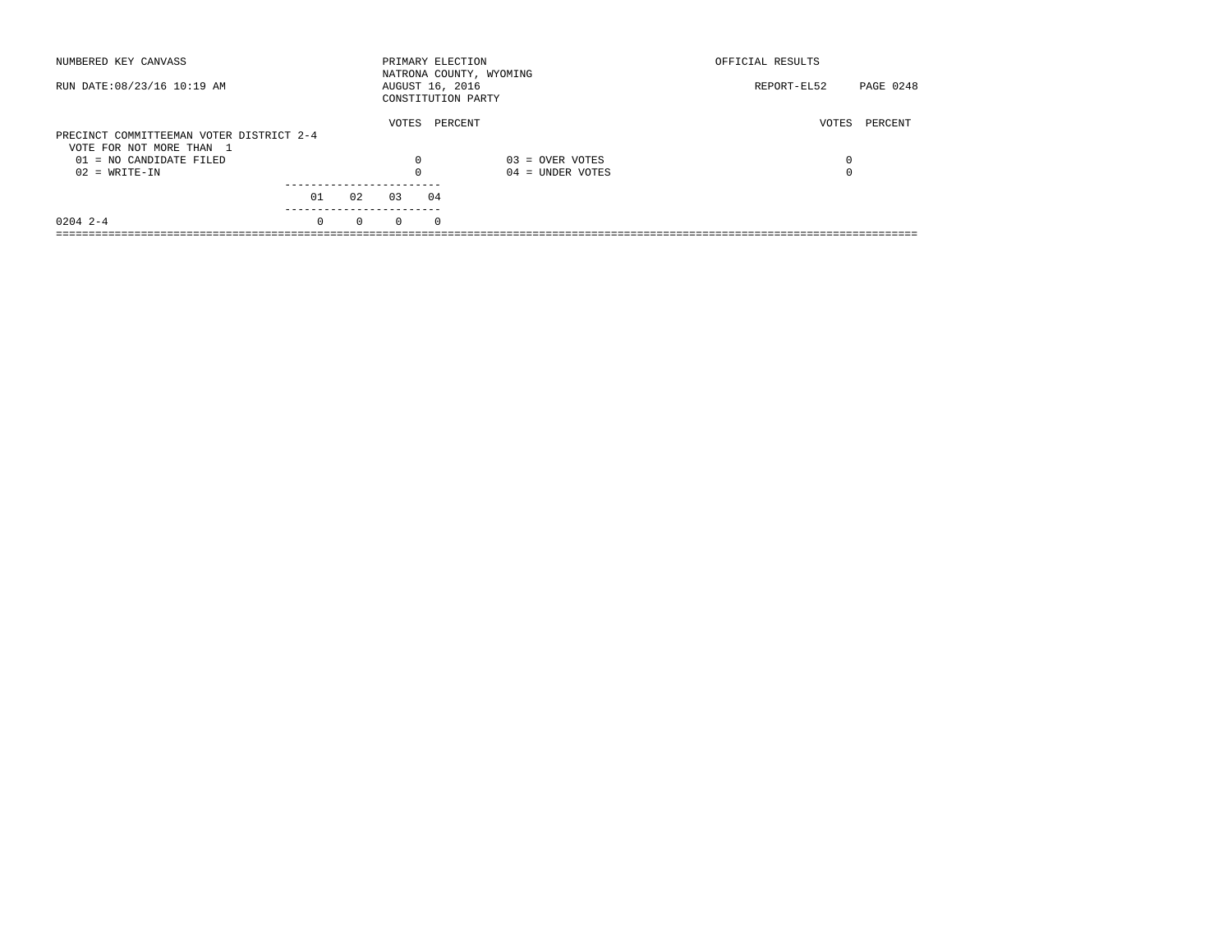| NUMBERED KEY CANVASS                                                 |          |          | PRIMARY ELECTION                      |          | NATRONA COUNTY, WYOMING | OFFICIAL RESULTS         |  |
|----------------------------------------------------------------------|----------|----------|---------------------------------------|----------|-------------------------|--------------------------|--|
| RUN DATE: 08/23/16 10:19 AM                                          |          |          | AUGUST 16, 2016<br>CONSTITUTION PARTY |          |                         | PAGE 0248<br>REPORT-EL52 |  |
| PRECINCT COMMITTEEMAN VOTER DISTRICT 2-4<br>VOTE FOR NOT MORE THAN 1 |          |          | VOTES                                 | PERCENT  |                         | PERCENT<br>VOTES         |  |
| 01 = NO CANDIDATE FILED                                              |          |          | $\Omega$                              |          | $03 =$ OVER VOTES       | 0                        |  |
| $02 = WRITE-IN$                                                      |          |          | $\Omega$                              |          | $04 =$ UNDER VOTES      | 0                        |  |
|                                                                      | 01       | 02       | 03                                    | 04       |                         |                          |  |
| $0204$ 2-4                                                           | $\Omega$ | $\Omega$ | $\Omega$                              | $\Omega$ |                         |                          |  |
|                                                                      |          |          |                                       |          |                         |                          |  |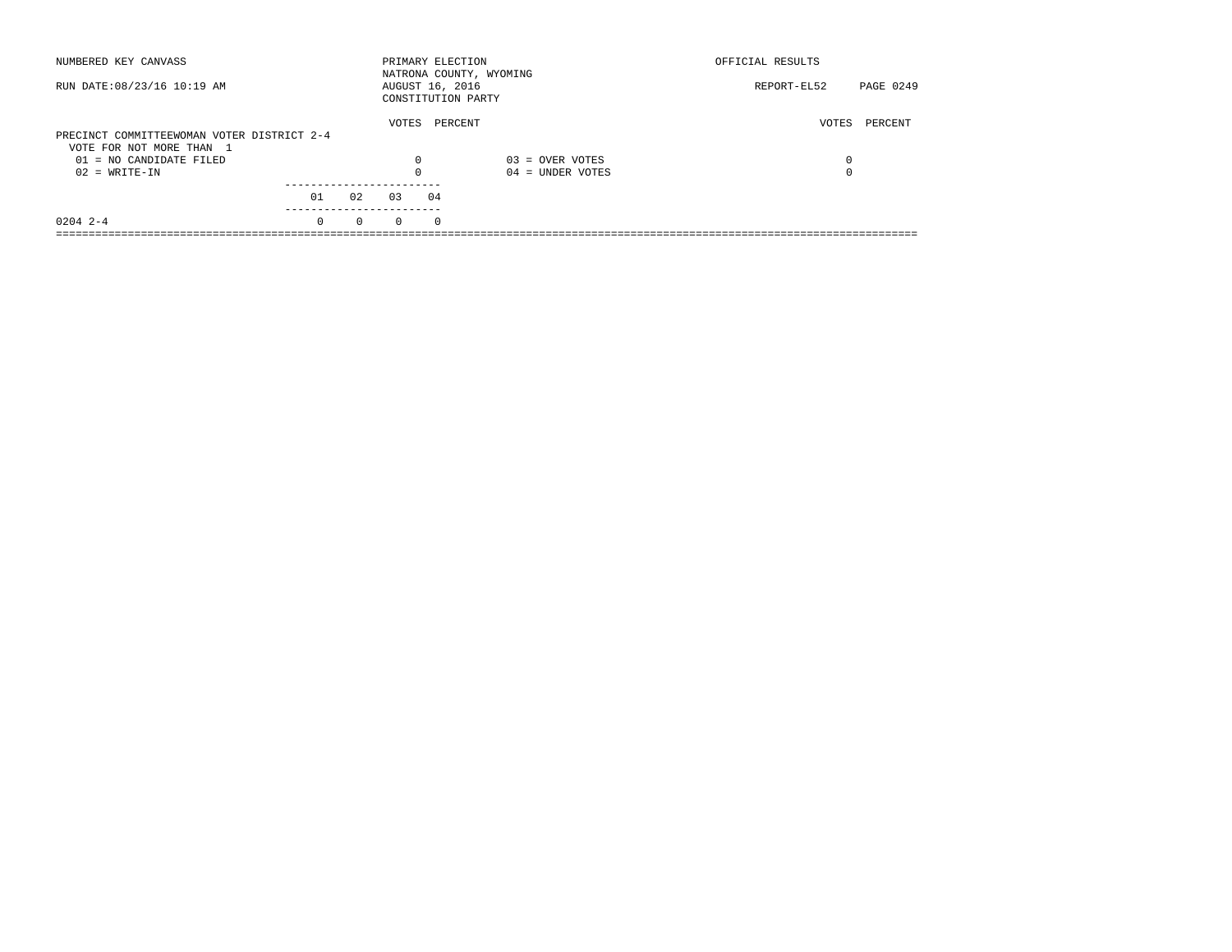| NUMBERED KEY CANVASS                       |          |          | PRIMARY ELECTION                      |          | NATRONA COUNTY, WYOMING | OFFICIAL RESULTS |           |
|--------------------------------------------|----------|----------|---------------------------------------|----------|-------------------------|------------------|-----------|
| RUN DATE: 08/23/16 10:19 AM                |          |          | AUGUST 16, 2016<br>CONSTITUTION PARTY |          |                         | REPORT-EL52      | PAGE 0249 |
| PRECINCT COMMITTEEWOMAN VOTER DISTRICT 2-4 |          |          | VOTES                                 | PERCENT  |                         | VOTES            | PERCENT   |
| VOTE FOR NOT MORE THAN 1                   |          |          |                                       |          |                         |                  |           |
| 01 = NO CANDIDATE FILED                    |          |          | $\Omega$                              |          | $03 =$ OVER VOTES       | 0                |           |
| $02 = WRITE-IN$                            |          |          | $\Omega$                              |          | $04 =$ UNDER VOTES      | 0                |           |
|                                            | 01       | 02       | 0.3                                   | 04       |                         |                  |           |
|                                            |          |          |                                       |          |                         |                  |           |
| $0204$ 2-4                                 | $\Omega$ | $\Omega$ | $\Omega$                              | $\Omega$ |                         |                  |           |
|                                            |          |          |                                       |          |                         |                  |           |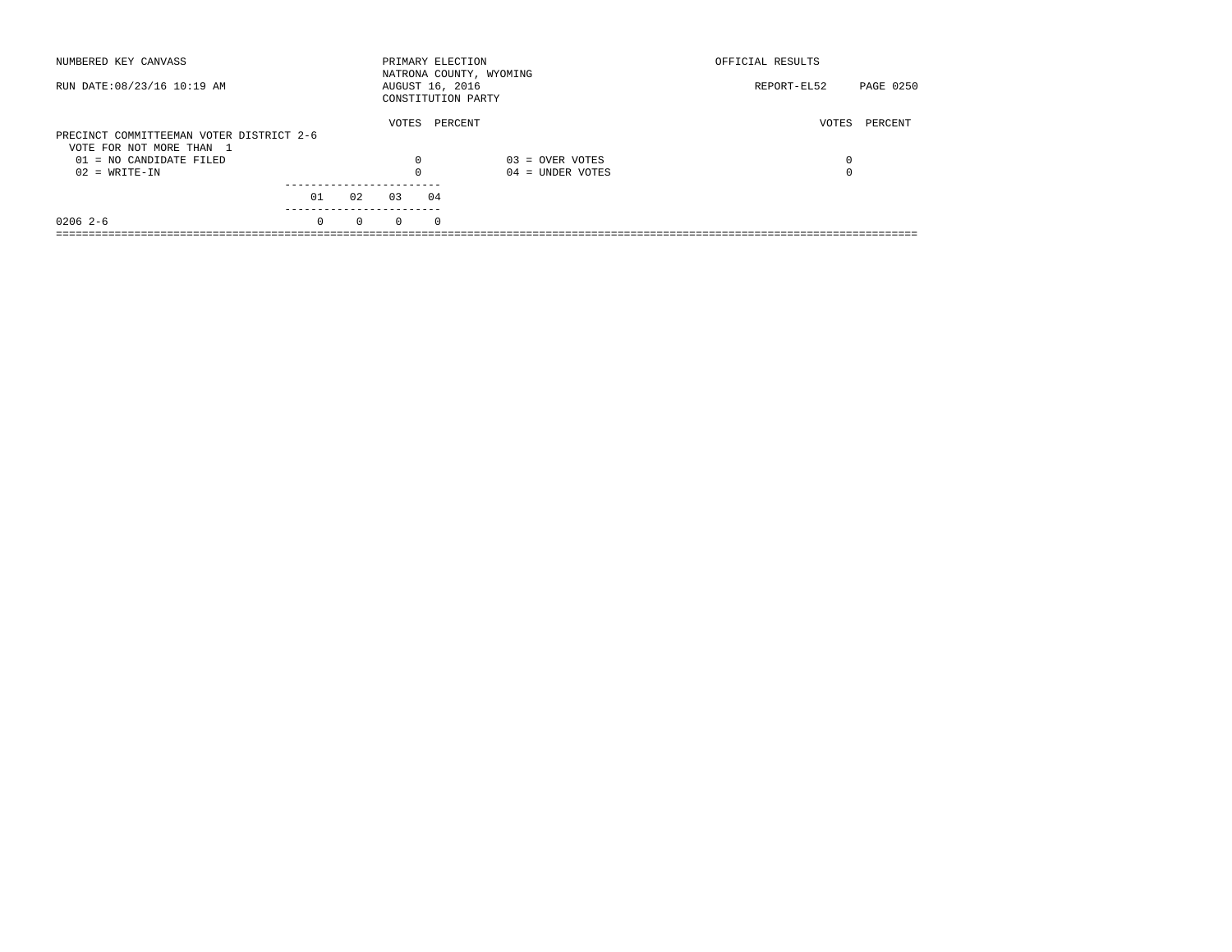| NUMBERED KEY CANVASS                                                 |          |          |          | PRIMARY ELECTION                      | NATRONA COUNTY, WYOMING | OFFICIAL RESULTS |           |
|----------------------------------------------------------------------|----------|----------|----------|---------------------------------------|-------------------------|------------------|-----------|
| RUN DATE: 08/23/16 10:19 AM                                          |          |          |          | AUGUST 16, 2016<br>CONSTITUTION PARTY |                         | REPORT-EL52      | PAGE 0250 |
| PRECINCT COMMITTEEMAN VOTER DISTRICT 2-6<br>VOTE FOR NOT MORE THAN 1 |          |          | VOTES    | PERCENT                               |                         | VOTES            | PERCENT   |
| 01 = NO CANDIDATE FILED                                              |          |          | 0        |                                       | $03 =$ OVER VOTES       | 0                |           |
| $02 = WRITE-IN$                                                      |          |          | $\Omega$ |                                       | $04 =$ UNDER VOTES      | $\Omega$         |           |
|                                                                      |          |          |          |                                       |                         |                  |           |
|                                                                      | 01       | 02       | 03       | 04                                    |                         |                  |           |
| $02062-6$                                                            | $\Omega$ | $\Omega$ | $\Omega$ | $\Omega$                              |                         |                  |           |
|                                                                      |          |          |          |                                       |                         |                  |           |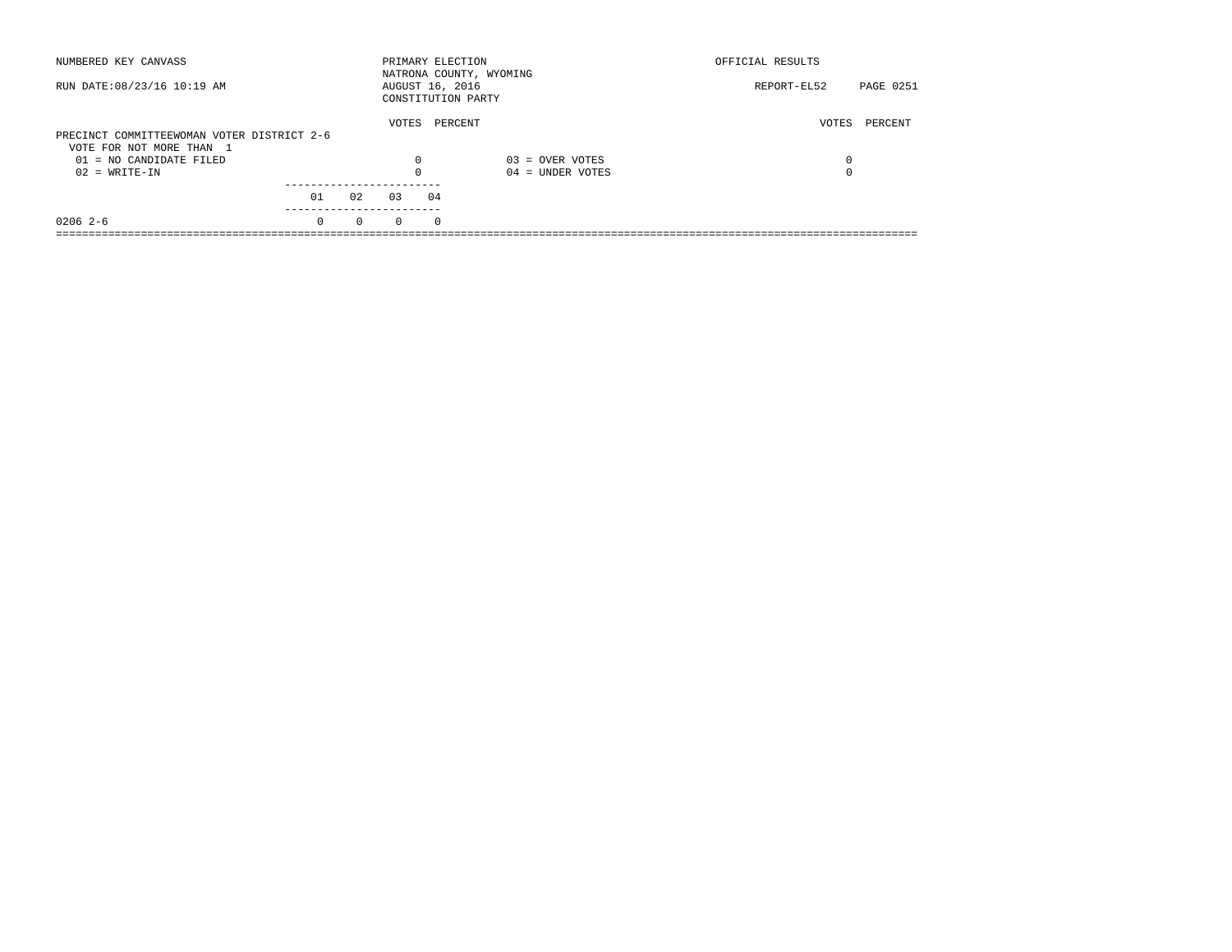| NUMBERED KEY CANVASS                                                   |          |          | PRIMARY ELECTION                      |          | NATRONA COUNTY, WYOMING | OFFICIAL RESULTS |                  |
|------------------------------------------------------------------------|----------|----------|---------------------------------------|----------|-------------------------|------------------|------------------|
| RUN DATE: 08/23/16 10:19 AM                                            |          |          | AUGUST 16, 2016<br>CONSTITUTION PARTY |          |                         | REPORT-EL52      | <b>PAGE 0251</b> |
|                                                                        |          |          | VOTES                                 | PERCENT  |                         | VOTES            | PERCENT          |
| PRECINCT COMMITTEEWOMAN VOTER DISTRICT 2-6<br>VOTE FOR NOT MORE THAN 1 |          |          |                                       |          |                         |                  |                  |
|                                                                        |          |          |                                       |          |                         |                  |                  |
| 01 = NO CANDIDATE FILED                                                |          |          | $\Omega$                              |          | $03 =$ OVER VOTES       | 0                |                  |
| $02 = WRITE-IN$                                                        |          |          | $\Omega$                              |          | $04 =$ UNDER VOTES      | 0                |                  |
|                                                                        |          |          |                                       |          |                         |                  |                  |
|                                                                        | 01       | 02       | 0.3                                   | 04       |                         |                  |                  |
| $02062-6$                                                              | $\Omega$ | $\Omega$ | $\Omega$                              | $\Omega$ |                         |                  |                  |
|                                                                        |          |          |                                       |          |                         |                  |                  |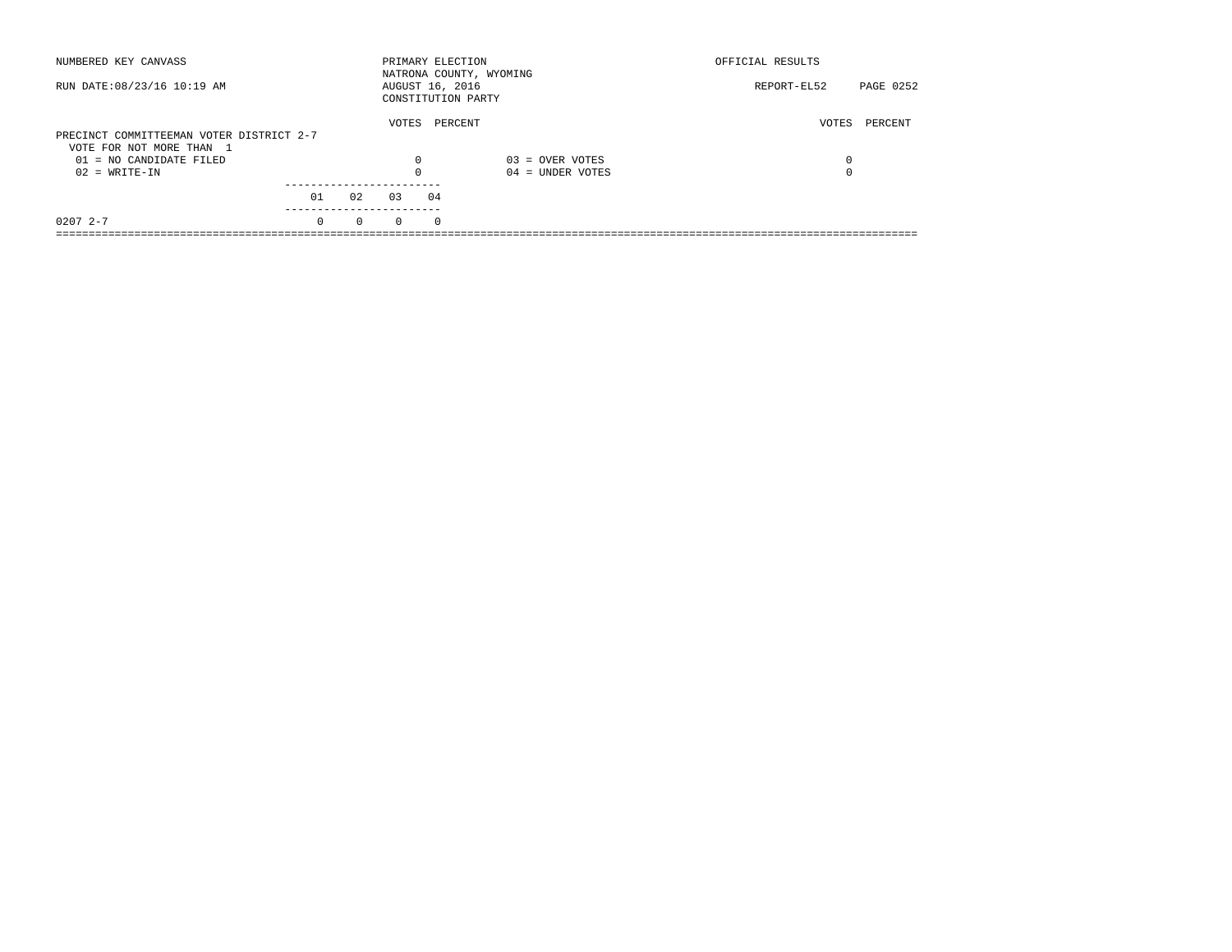| NUMBERED KEY CANVASS                                |          |          | PRIMARY ELECTION |          | NATRONA COUNTY, WYOMING | OFFICIAL RESULTS |           |
|-----------------------------------------------------|----------|----------|------------------|----------|-------------------------|------------------|-----------|
| RUN DATE: 08/23/16 10:19 AM                         |          |          | AUGUST 16, 2016  |          | CONSTITUTION PARTY      | REPORT-EL52      | PAGE 0252 |
| PRECINCT COMMITTEEMAN VOTER DISTRICT 2-7            |          |          | VOTES            |          | PERCENT                 | VOTES            | PERCENT   |
| VOTE FOR NOT MORE THAN 1<br>01 = NO CANDIDATE FILED |          |          | $\Omega$         |          | $03 =$ OVER VOTES       | 0                |           |
| $02 = WRITE-IN$                                     |          |          | $\Omega$         |          | $04 =$ UNDER VOTES      | 0                |           |
|                                                     | 01       | 02       | 03               | 04       |                         |                  |           |
| $02072 - -7$                                        | $\Omega$ | $\Omega$ | $\Omega$         | $\Omega$ |                         |                  |           |
|                                                     |          |          |                  |          |                         |                  |           |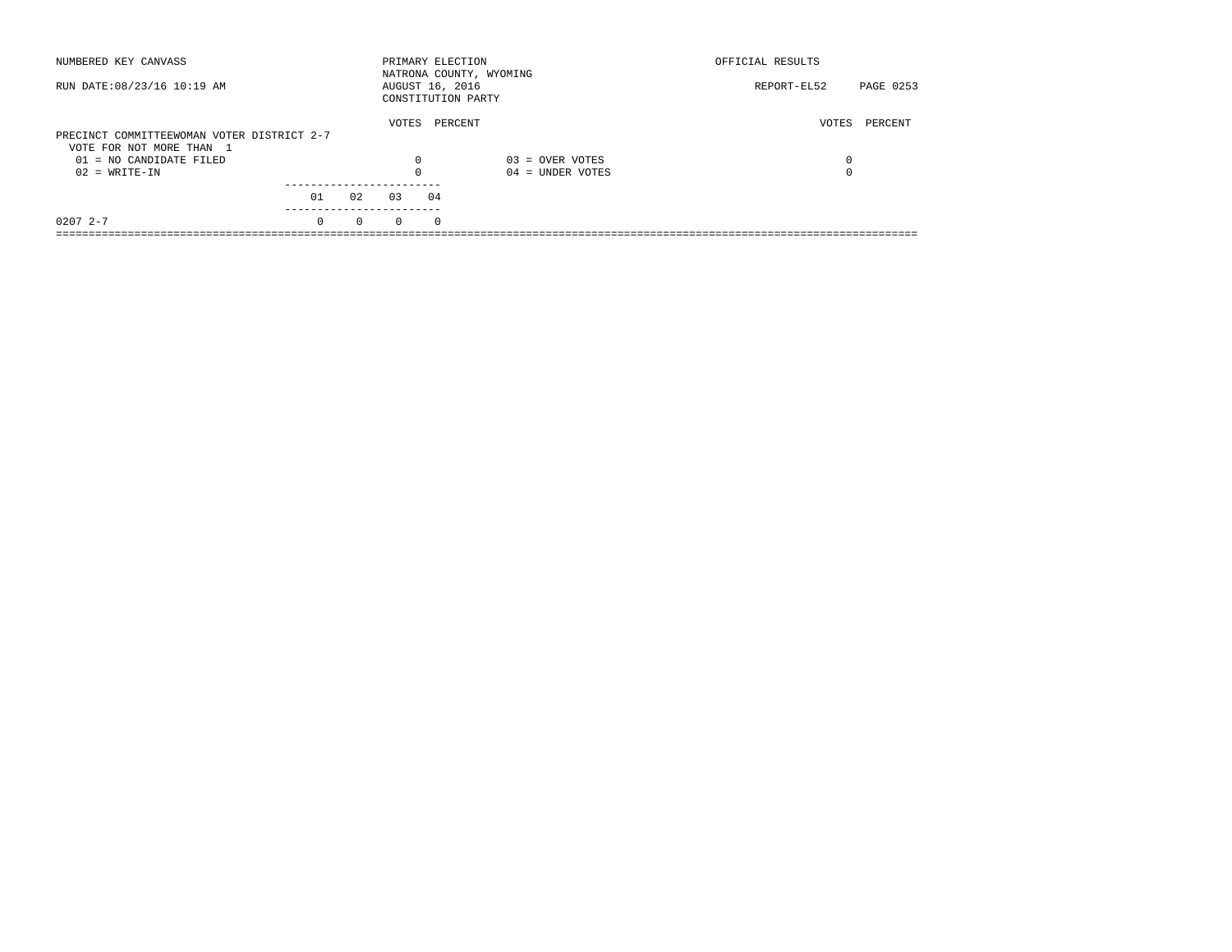| NUMBERED KEY CANVASS                       |          |          |          | PRIMARY ELECTION                      | NATRONA COUNTY, WYOMING | OFFICIAL RESULTS |           |
|--------------------------------------------|----------|----------|----------|---------------------------------------|-------------------------|------------------|-----------|
| RUN DATE: 08/23/16 10:19 AM                |          |          |          | AUGUST 16, 2016<br>CONSTITUTION PARTY |                         | REPORT-EL52      | PAGE 0253 |
| PRECINCT COMMITTEEWOMAN VOTER DISTRICT 2-7 |          |          | VOTES    | PERCENT                               |                         | VOTES            | PERCENT   |
| VOTE FOR NOT MORE THAN 1                   |          |          |          |                                       |                         |                  |           |
| $01 = NO$ CANDIDATE FILED                  |          |          | $\Omega$ |                                       | $03 =$ OVER VOTES       | 0                |           |
| $02 = WRITE-IN$                            |          |          | $\Omega$ |                                       | $04 =$ UNDER VOTES      | 0                |           |
|                                            | 01       | 02       | 03       | 04                                    |                         |                  |           |
|                                            |          |          |          |                                       |                         |                  |           |
| $02072 - -7$                               | $\Omega$ | $\Omega$ | $\Omega$ | $\Omega$                              |                         |                  |           |
|                                            |          |          |          |                                       |                         |                  |           |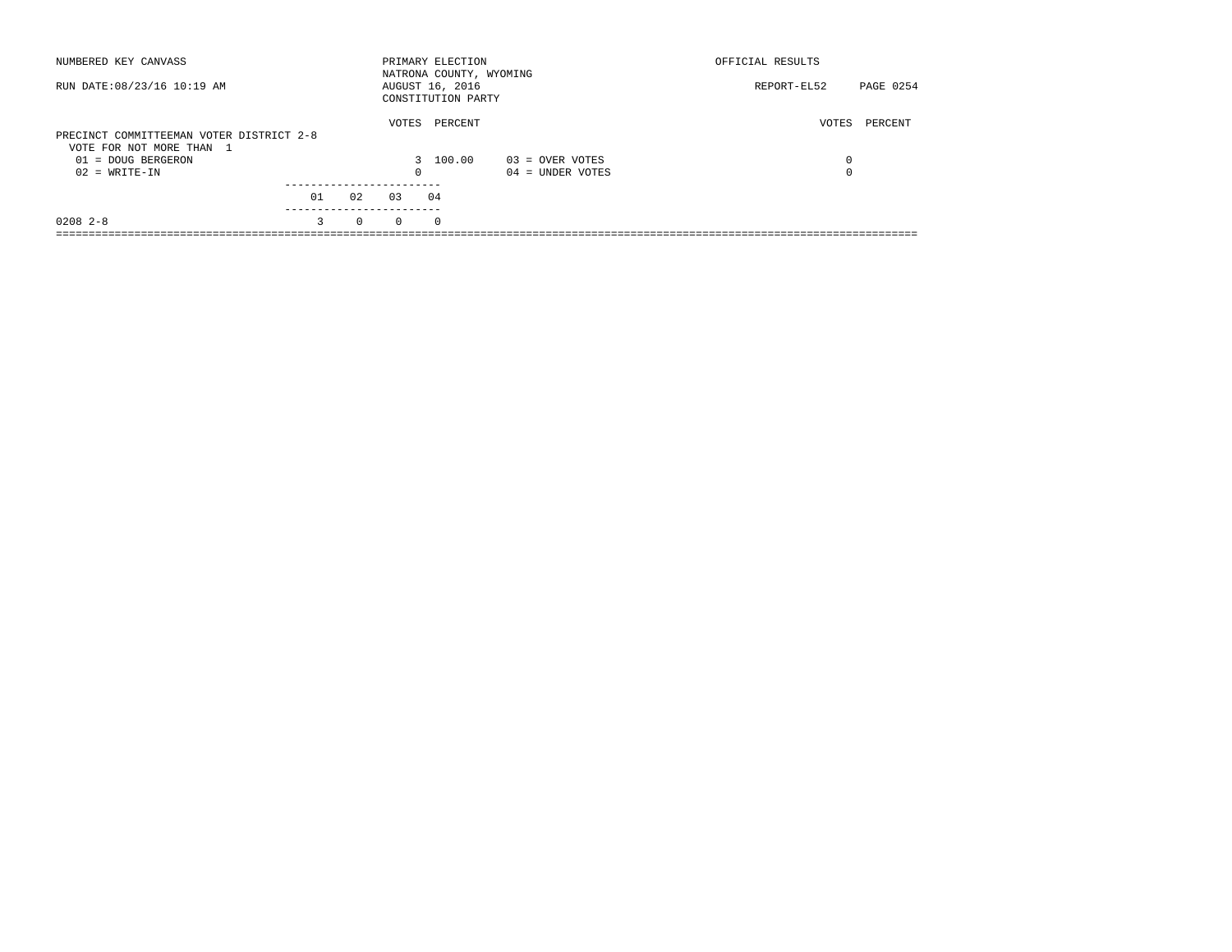| NUMBERED KEY CANVASS                                                 |                 |          |          | PRIMARY ELECTION<br>NATRONA COUNTY, WYOMING |                    | OFFICIAL RESULTS         |
|----------------------------------------------------------------------|-----------------|----------|----------|---------------------------------------------|--------------------|--------------------------|
| RUN DATE: 08/23/16 10:19 AM                                          |                 |          |          | AUGUST 16, 2016<br>CONSTITUTION PARTY       |                    | REPORT-EL52<br>PAGE 0254 |
| PRECINCT COMMITTEEMAN VOTER DISTRICT 2-8<br>VOTE FOR NOT MORE THAN 1 |                 |          | VOTES    | PERCENT                                     |                    | PERCENT<br>VOTES         |
| 01 = DOUG BERGERON                                                   |                 |          |          | 3 100.00                                    | $03 =$ OVER VOTES  | 0                        |
| $02 = WRITE-IN$                                                      |                 |          | 0        |                                             | $04 =$ UNDER VOTES | 0                        |
|                                                                      | 01<br>--------- | 02       | 0.3      | 04                                          |                    |                          |
| $0208$ 2-8                                                           | 3               | $\Omega$ | $\Omega$ | $\Omega$                                    |                    |                          |
|                                                                      |                 |          |          |                                             |                    |                          |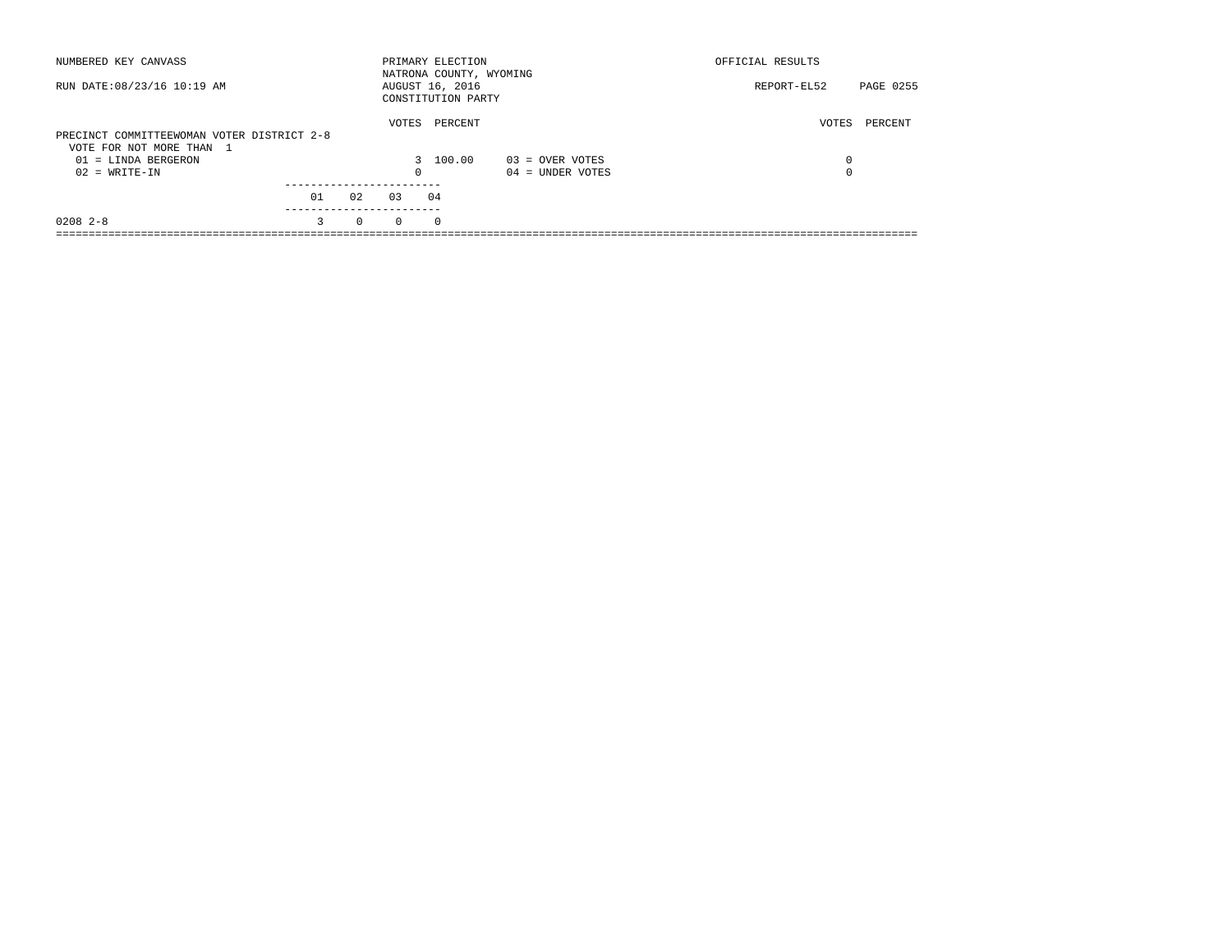| NUMBERED KEY CANVASS                                                   |    |          |          | PRIMARY ELECTION<br>NATRONA COUNTY, WYOMING |                    | OFFICIAL RESULTS |           |
|------------------------------------------------------------------------|----|----------|----------|---------------------------------------------|--------------------|------------------|-----------|
| RUN DATE: 08/23/16 10:19 AM                                            |    |          |          | AUGUST 16, 2016<br>CONSTITUTION PARTY       |                    | REPORT-EL52      | PAGE 0255 |
| PRECINCT COMMITTEEWOMAN VOTER DISTRICT 2-8<br>VOTE FOR NOT MORE THAN 1 |    |          | VOTES    | PERCENT                                     |                    | VOTES            | PERCENT   |
| $01 =$ LINDA BERGERON                                                  |    |          |          | 3 100.00                                    | $03 =$ OVER VOTES  | 0                |           |
| $02 = WRITE-IN$                                                        |    |          | $\Omega$ |                                             | $04 =$ UNDER VOTES | 0                |           |
|                                                                        |    |          |          |                                             |                    |                  |           |
|                                                                        | 01 | 02       | 0.3      | 04                                          |                    |                  |           |
| $0208$ 2-8                                                             | 3  | $\Omega$ | $\Omega$ | $^{\circ}$                                  |                    |                  |           |
|                                                                        |    |          |          |                                             |                    |                  |           |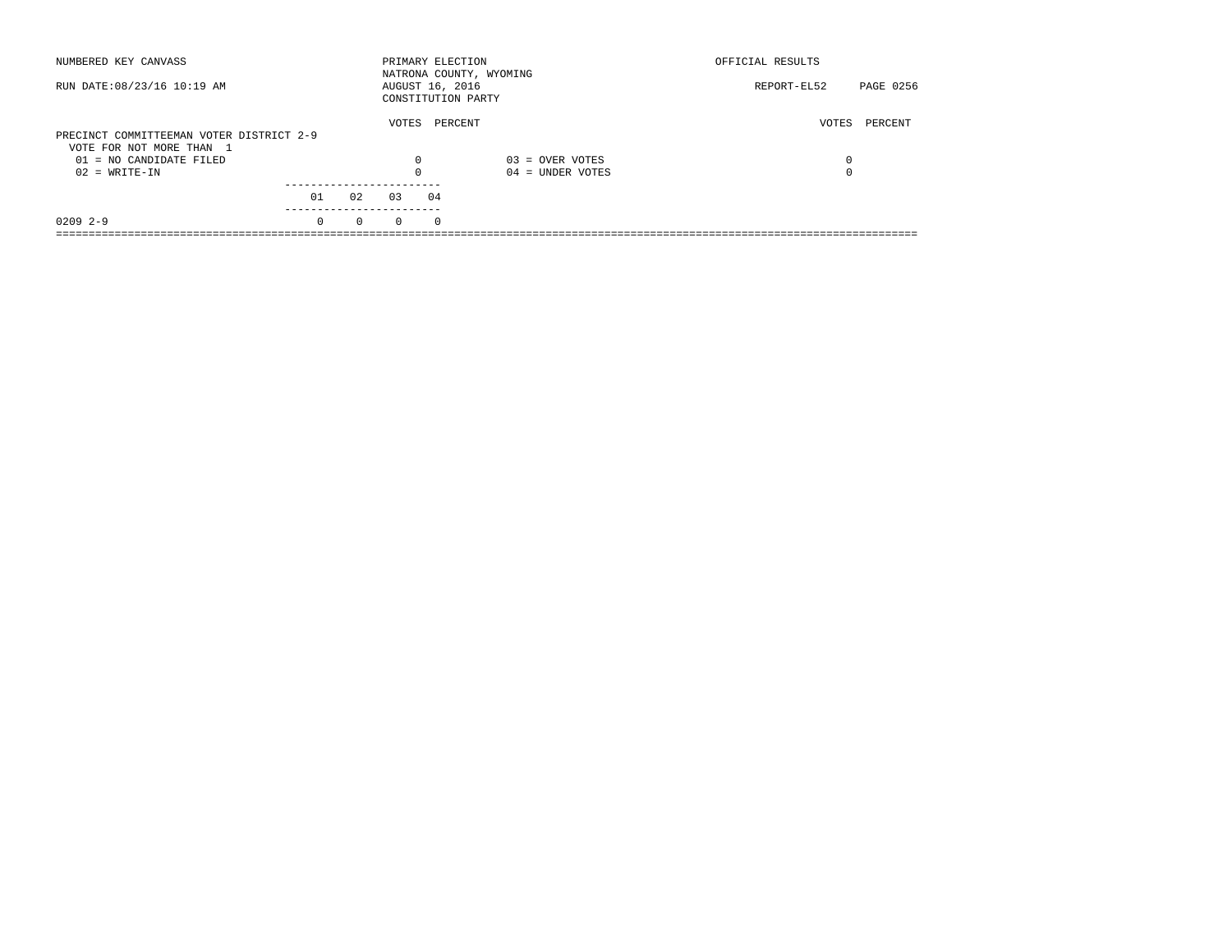| NUMBERED KEY CANVASS                                  |          |          | PRIMARY ELECTION                      |          | NATRONA COUNTY, WYOMING | OFFICIAL RESULTS |           |
|-------------------------------------------------------|----------|----------|---------------------------------------|----------|-------------------------|------------------|-----------|
| RUN DATE: 08/23/16 10:19 AM                           |          |          | AUGUST 16, 2016<br>CONSTITUTION PARTY |          |                         | REPORT-EL52      | PAGE 0256 |
| PRECINCT COMMITTEEMAN VOTER DISTRICT 2-9              |          |          | VOTES                                 | PERCENT  |                         | VOTES            | PERCENT   |
| VOTE FOR NOT MORE THAN 1<br>$01 = NO$ CANDIDATE FILED |          |          | $\Omega$                              |          | $03 =$ OVER VOTES       | 0                |           |
| $02 = WRITE-IN$                                       |          |          | $\Omega$                              |          | $04 =$ UNDER VOTES      | 0                |           |
|                                                       | 01       | 02       | 03                                    | 04       |                         |                  |           |
| $02092 - -9$                                          | $\Omega$ | $\Omega$ | $\Omega$                              | $\Omega$ |                         |                  |           |
|                                                       |          |          |                                       |          |                         |                  |           |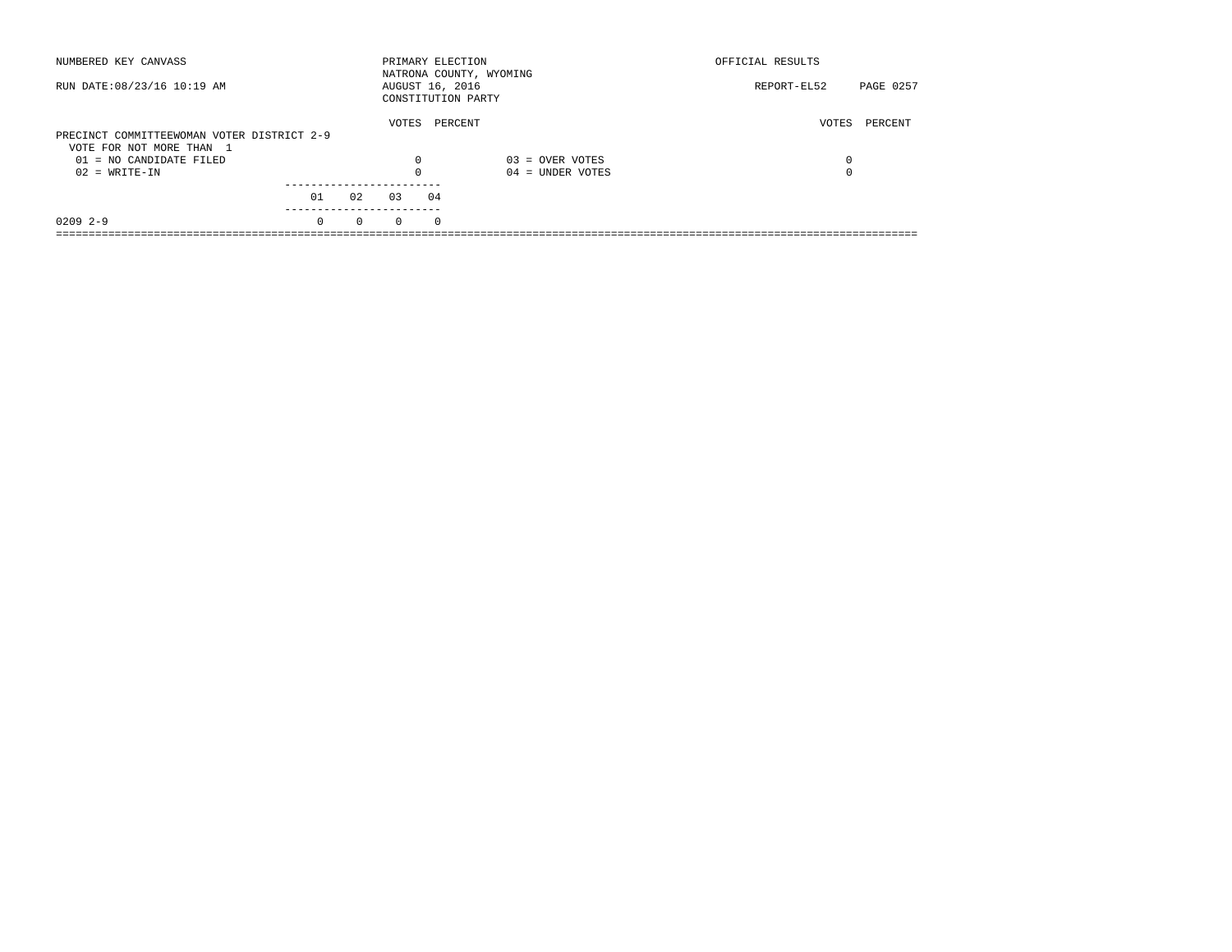| NUMBERED KEY CANVASS                       |          |          | PRIMARY ELECTION |          | NATRONA COUNTY, WYOMING | OFFICIAL RESULTS         |  |
|--------------------------------------------|----------|----------|------------------|----------|-------------------------|--------------------------|--|
| RUN DATE: 08/23/16 10:19 AM                |          |          | AUGUST 16, 2016  |          | CONSTITUTION PARTY      | REPORT-EL52<br>PAGE 0257 |  |
| PRECINCT COMMITTEEWOMAN VOTER DISTRICT 2-9 |          |          | VOTES            | PERCENT  |                         | PERCENT<br>VOTES         |  |
| VOTE FOR NOT MORE THAN 1                   |          |          |                  |          |                         |                          |  |
| $01 = NO$ CANDIDATE FILED                  |          |          | $\Omega$         |          | $03 =$ OVER VOTES       | 0                        |  |
| $02 = WRITE-IN$                            |          |          | $\Omega$         |          | $04 =$ UNDER VOTES      | 0                        |  |
|                                            |          |          |                  |          |                         |                          |  |
|                                            | 01       | 02       | 03               | 04       |                         |                          |  |
| $02092 - -9$                               | $\Omega$ | $\Omega$ | $\Omega$         | $\Omega$ |                         |                          |  |
|                                            |          |          |                  |          |                         |                          |  |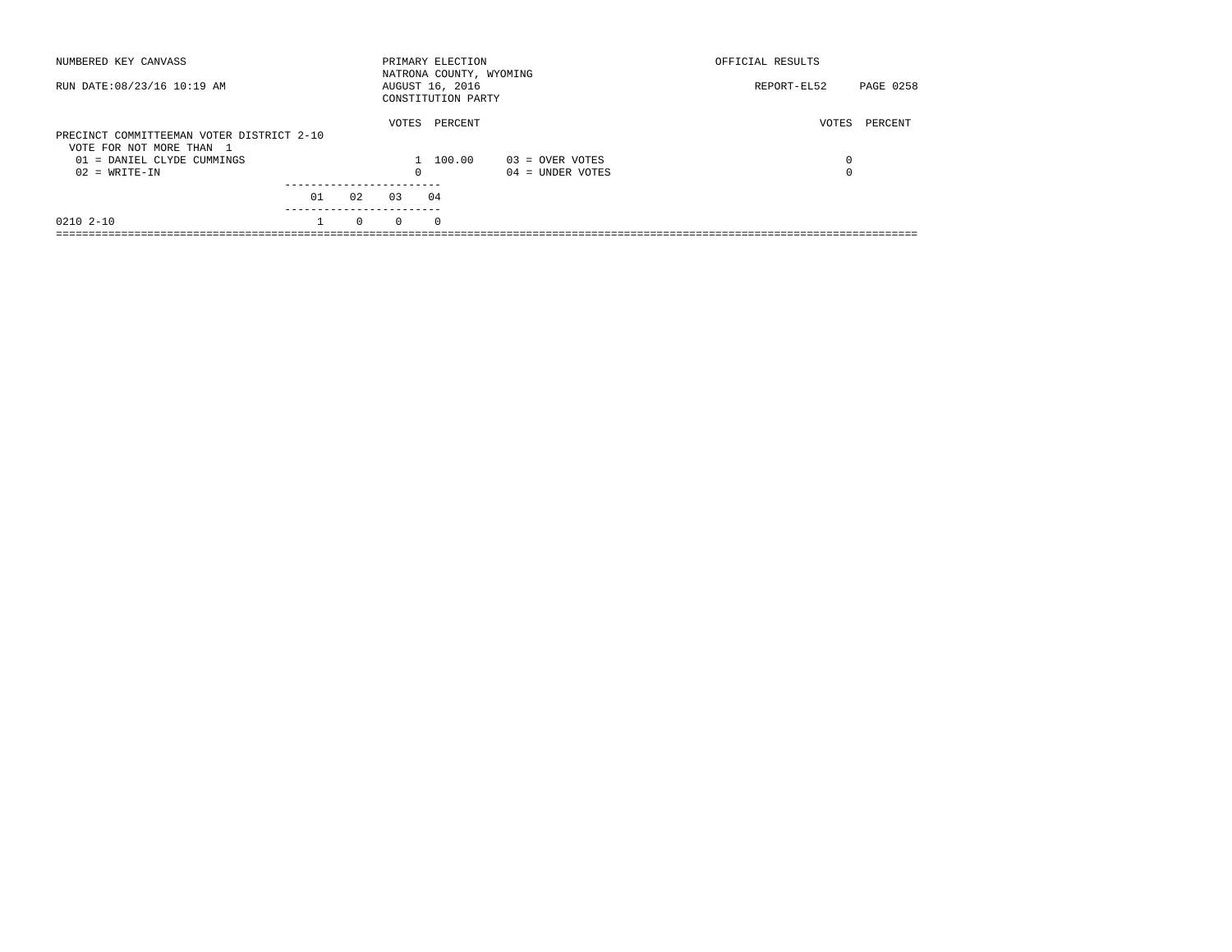| NUMBERED KEY CANVASS                                                  |    |          |          | PRIMARY ELECTION<br>NATRONA COUNTY, WYOMING |                    | OFFICIAL RESULTS |           |
|-----------------------------------------------------------------------|----|----------|----------|---------------------------------------------|--------------------|------------------|-----------|
| RUN DATE: 08/23/16 10:19 AM                                           |    |          |          | AUGUST 16, 2016<br>CONSTITUTION PARTY       |                    | REPORT-EL52      | PAGE 0258 |
| PRECINCT COMMITTEEMAN VOTER DISTRICT 2-10<br>VOTE FOR NOT MORE THAN 1 |    |          | VOTES    | PERCENT                                     |                    | VOTES            | PERCENT   |
| 01 = DANIEL CLYDE CUMMINGS                                            |    |          |          | 100.00                                      | $03 =$ OVER VOTES  | 0                |           |
| $02 = WRITE-IN$                                                       |    |          | 0        |                                             | $04 =$ UNDER VOTES | $\Omega$         |           |
|                                                                       |    |          |          |                                             |                    |                  |           |
|                                                                       | 01 | 02       | 0.3      | 04                                          |                    |                  |           |
| 0210 2-10                                                             |    | $\Omega$ | $\Omega$ | $\Omega$                                    |                    |                  |           |
|                                                                       |    |          |          |                                             |                    |                  |           |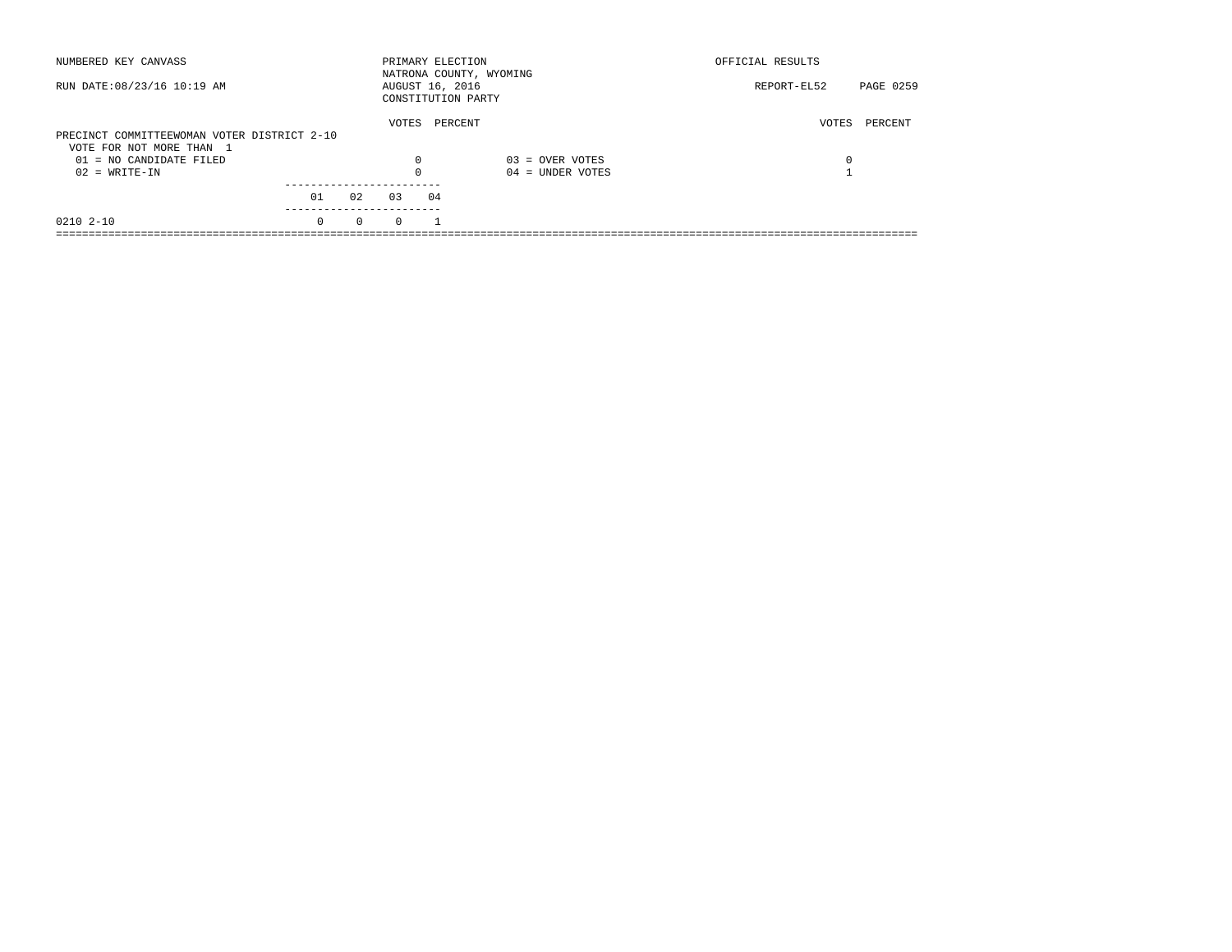| NUMBERED KEY CANVASS                                                    |          |          | PRIMARY ELECTION |    | NATRONA COUNTY, WYOMING | OFFICIAL RESULTS |           |
|-------------------------------------------------------------------------|----------|----------|------------------|----|-------------------------|------------------|-----------|
| RUN DATE: 08/23/16 10:19 AM                                             |          |          | AUGUST 16, 2016  |    | CONSTITUTION PARTY      | REPORT-EL52      | PAGE 0259 |
| PRECINCT COMMITTEEWOMAN VOTER DISTRICT 2-10<br>VOTE FOR NOT MORE THAN 1 |          |          | VOTES            |    | PERCENT                 | VOTES            | PERCENT   |
| $01 = NO CANDIDATE FILED$                                               |          |          | $\Omega$         |    | $03 =$ OVER VOTES       | 0                |           |
| $02 = WRITE-IN$                                                         |          |          |                  |    | $04 =$ UNDER VOTES      |                  |           |
|                                                                         | 01       | 02       | 03               | 04 |                         |                  |           |
| 0210 2-10                                                               | $\Omega$ | $\Omega$ | $\Omega$         |    |                         |                  |           |
|                                                                         |          |          |                  |    |                         |                  |           |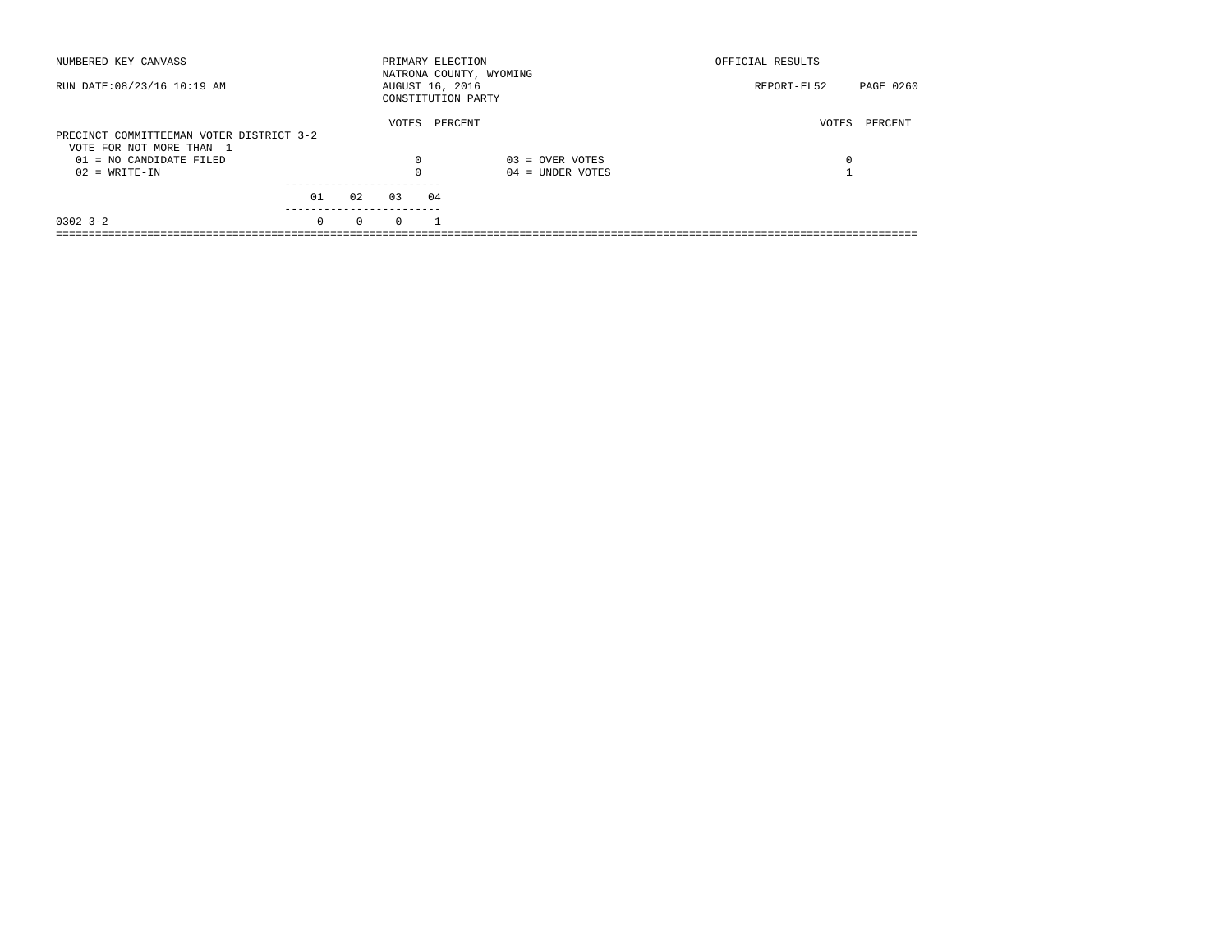| NUMBERED KEY CANVASS                                                 |          |          |          | PRIMARY ELECTION                      | NATRONA COUNTY, WYOMING | OFFICIAL RESULTS |           |
|----------------------------------------------------------------------|----------|----------|----------|---------------------------------------|-------------------------|------------------|-----------|
| RUN DATE: 08/23/16 10:19 AM                                          |          |          |          | AUGUST 16, 2016<br>CONSTITUTION PARTY |                         | REPORT-EL52      | PAGE 0260 |
| PRECINCT COMMITTEEMAN VOTER DISTRICT 3-2<br>VOTE FOR NOT MORE THAN 1 |          |          | VOTES    | PERCENT                               |                         | VOTES            | PERCENT   |
| $01 = NO$ CANDIDATE FILED                                            |          |          | 0        |                                       | $03 =$ OVER VOTES       | 0                |           |
| $02 = WRITE-IN$                                                      |          |          | $\Omega$ |                                       | $04 =$ UNDER VOTES      |                  |           |
|                                                                      | 01       | 02       | 03       | 04                                    |                         |                  |           |
| $0302$ 3-2                                                           | $\Omega$ | $\Omega$ | $\Omega$ |                                       |                         |                  |           |
|                                                                      |          |          |          |                                       |                         |                  |           |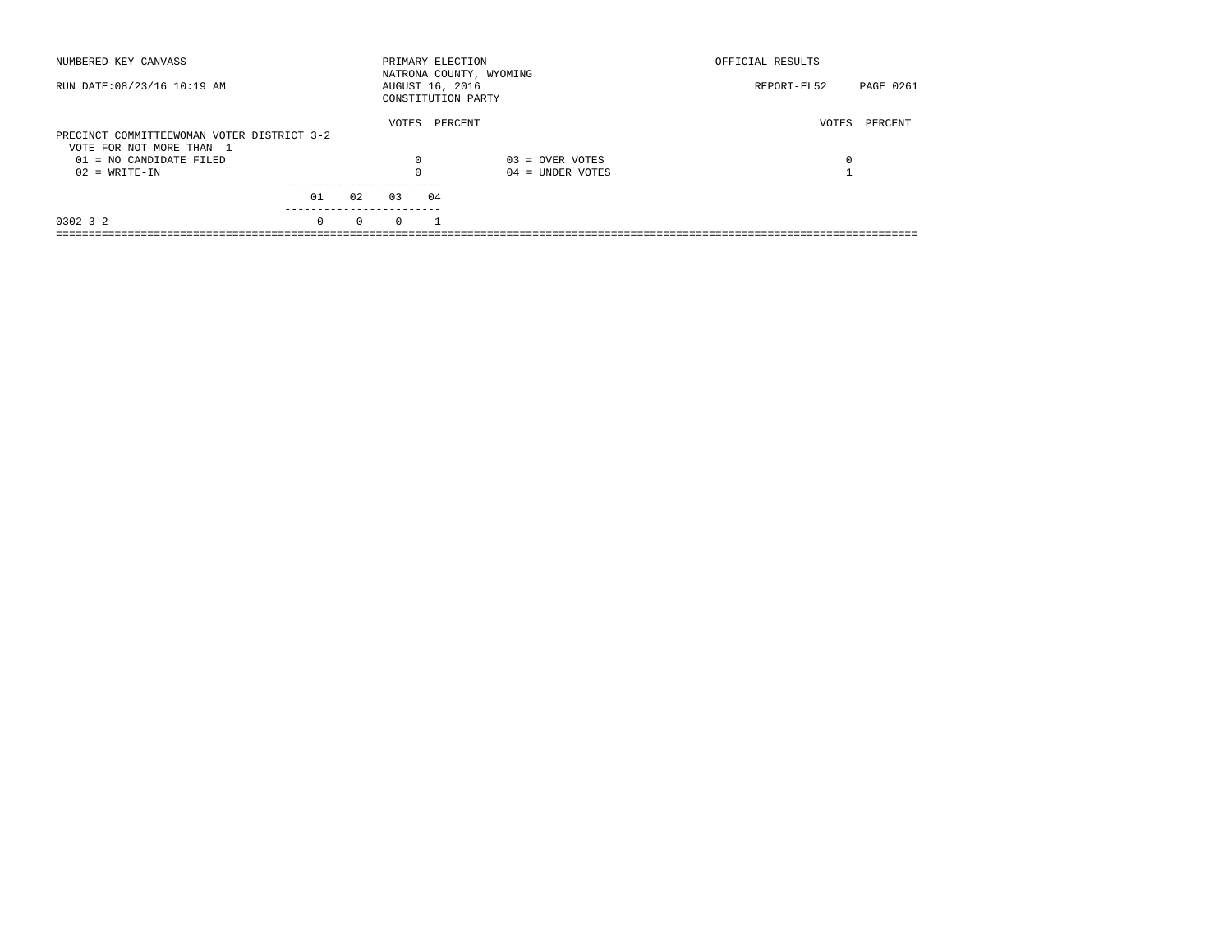| NUMBERED KEY CANVASS                       |          |          | PRIMARY ELECTION                      |         | NATRONA COUNTY, WYOMING | OFFICIAL RESULTS |                  |
|--------------------------------------------|----------|----------|---------------------------------------|---------|-------------------------|------------------|------------------|
| RUN DATE: 08/23/16 10:19 AM                |          |          | AUGUST 16, 2016<br>CONSTITUTION PARTY |         |                         | REPORT-EL52      | <b>PAGE 0261</b> |
| PRECINCT COMMITTEEWOMAN VOTER DISTRICT 3-2 |          |          | VOTES                                 | PERCENT |                         | VOTES            | PERCENT          |
| VOTE FOR NOT MORE THAN 1                   |          |          |                                       |         |                         |                  |                  |
| $01 = NO$ CANDIDATE FILED                  |          |          | 0                                     |         | $03 =$ OVER VOTES       | 0                |                  |
| $02 = WRITE-IN$                            |          |          | $\Omega$                              |         | $04 =$ UNDER VOTES      |                  |                  |
|                                            | 01       | 02       | 03                                    | 04      |                         |                  |                  |
| $0302$ 3-2                                 | $\Omega$ | $\Omega$ | $\Omega$                              |         |                         |                  |                  |
|                                            |          |          |                                       |         |                         |                  |                  |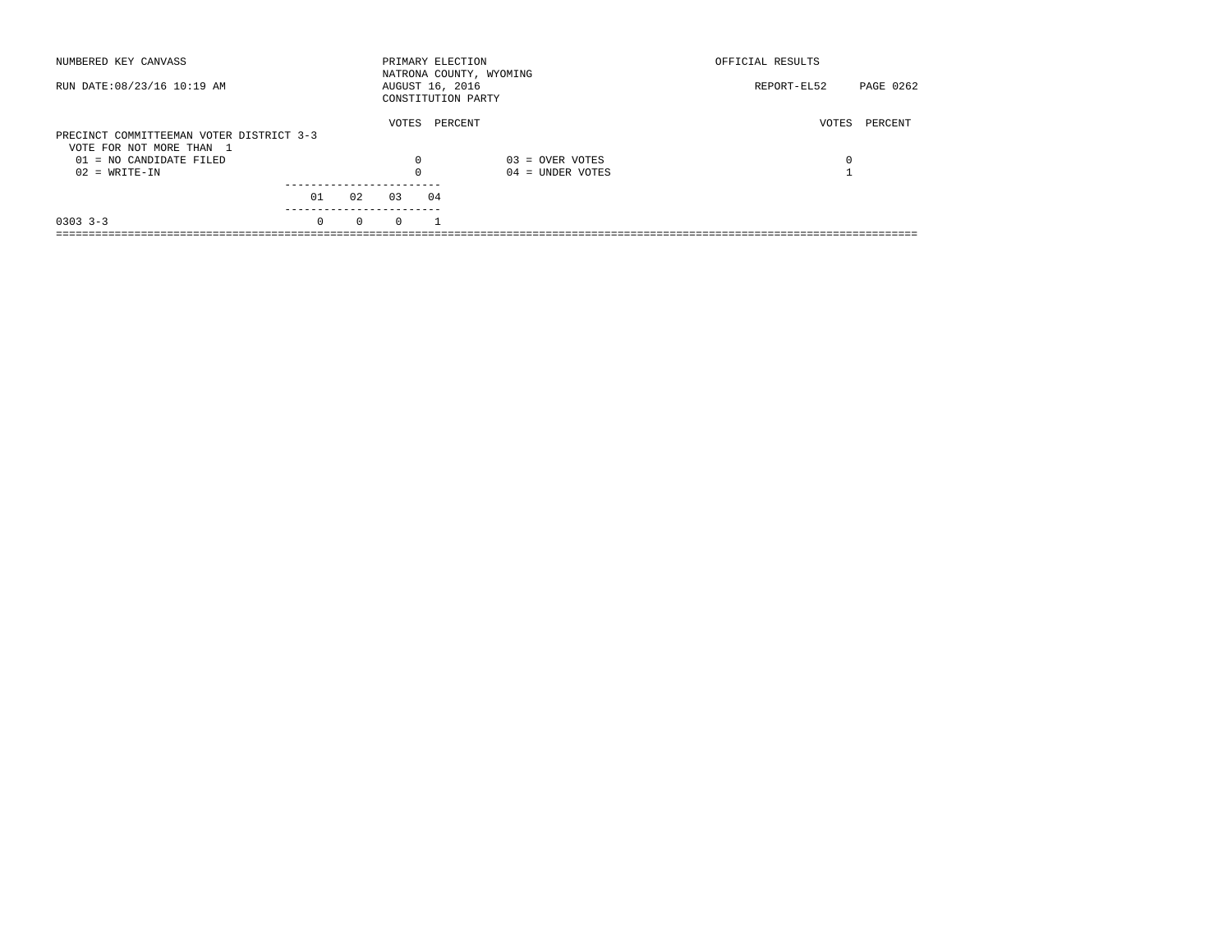| NUMBERED KEY CANVASS                                                 |                      |          | PRIMARY ELECTION<br>NATRONA COUNTY, WYOMING |                                         | OFFICIAL RESULTS |           |
|----------------------------------------------------------------------|----------------------|----------|---------------------------------------------|-----------------------------------------|------------------|-----------|
| RUN DATE: 08/23/16 10:19 AM                                          |                      |          | AUGUST 16, 2016<br>CONSTITUTION PARTY       |                                         | REPORT-EL52      | PAGE 0262 |
| PRECINCT COMMITTEEMAN VOTER DISTRICT 3-3<br>VOTE FOR NOT MORE THAN 1 |                      | VOTES    | PERCENT                                     |                                         | VOTES            | PERCENT   |
| $01 = NO$ CANDIDATE FILED<br>$02 = WRITE-IN$                         |                      | $\Omega$ |                                             | $03 =$ OVER VOTES<br>$04 =$ UNDER VOTES | 0                |           |
|                                                                      |                      |          |                                             |                                         |                  |           |
|                                                                      | 01<br>02             | 0.3      | 04                                          |                                         |                  |           |
| $0303$ $3-3$                                                         | $\Omega$<br>$\Omega$ | $\Omega$ |                                             |                                         |                  |           |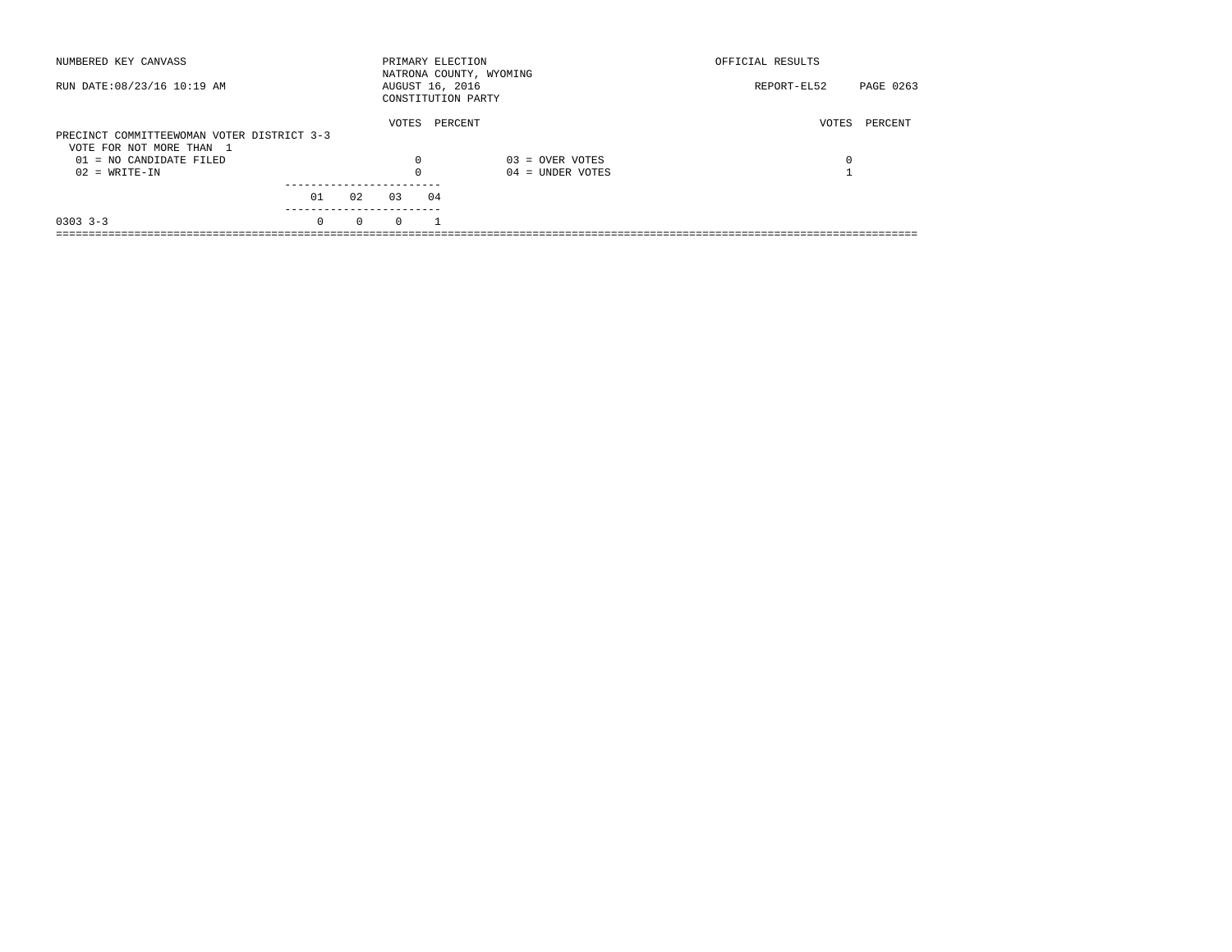| NUMBERED KEY CANVASS                                  |          |          |                 |    | PRIMARY ELECTION<br>NATRONA COUNTY, WYOMING | OFFICIAL RESULTS |           |
|-------------------------------------------------------|----------|----------|-----------------|----|---------------------------------------------|------------------|-----------|
| RUN DATE: 08/23/16 10:19 AM                           |          |          | AUGUST 16, 2016 |    | CONSTITUTION PARTY                          | REPORT-EL52      | PAGE 0263 |
| PRECINCT COMMITTEEWOMAN VOTER DISTRICT 3-3            |          |          | VOTES           |    | PERCENT                                     | VOTES            | PERCENT   |
| VOTE FOR NOT MORE THAN 1<br>$01 = NO$ CANDIDATE FILED |          |          | $\Omega$        |    | $03 =$ OVER VOTES                           | 0                |           |
| $02 = WRITE-IN$                                       |          |          |                 |    | $04 =$ UNDER VOTES                          |                  |           |
|                                                       | 01       | 02       | 0.3             | 04 |                                             |                  |           |
| $0303$ $3-3$                                          | $\Omega$ | $\Omega$ | $\Omega$        |    |                                             |                  |           |
|                                                       |          |          |                 |    |                                             |                  |           |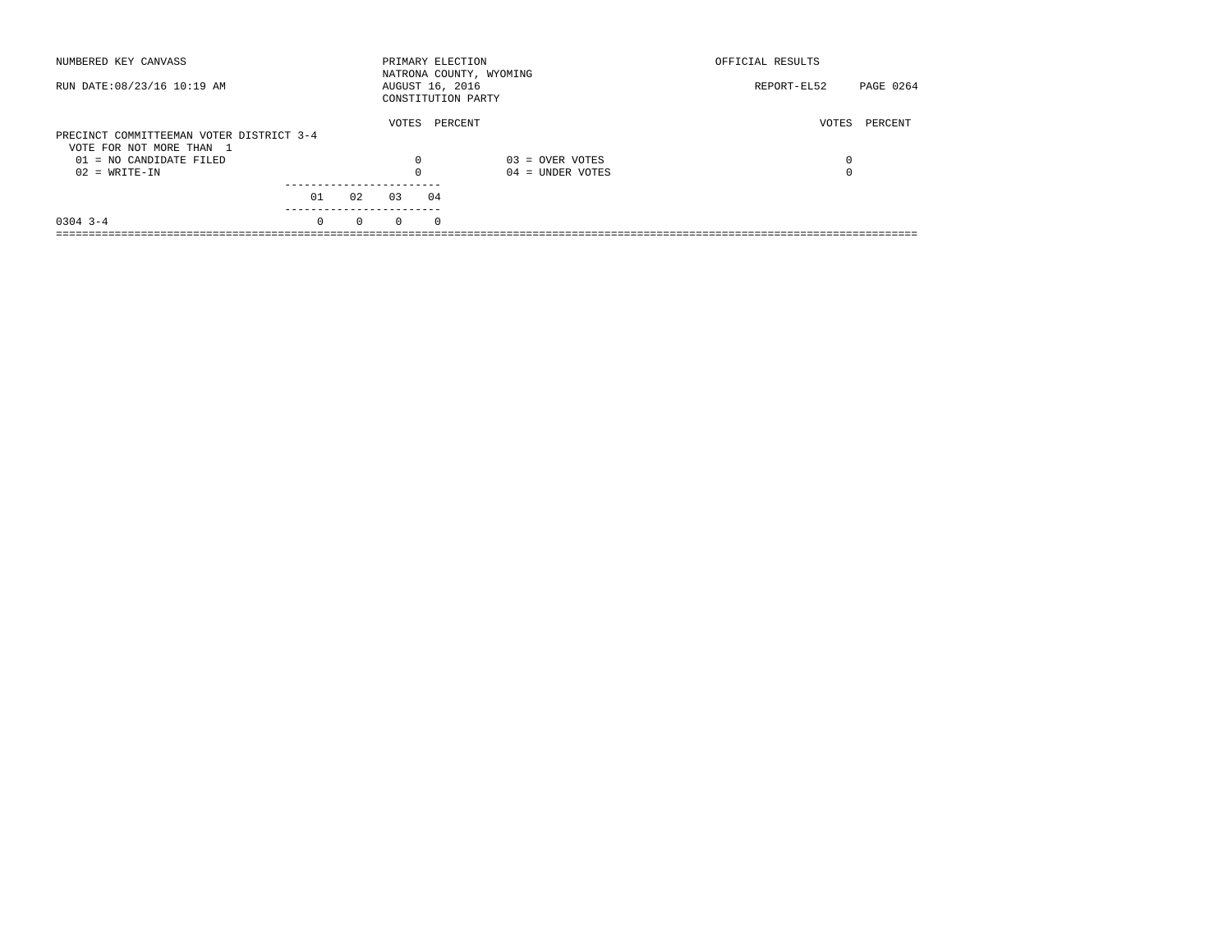| NUMBERED KEY CANVASS                                                 |          |          | PRIMARY ELECTION |          | NATRONA COUNTY, WYOMING | OFFICIAL RESULTS |           |
|----------------------------------------------------------------------|----------|----------|------------------|----------|-------------------------|------------------|-----------|
| RUN DATE: 08/23/16 10:19 AM                                          |          |          | AUGUST 16, 2016  |          | CONSTITUTION PARTY      | REPORT-EL52      | PAGE 0264 |
| PRECINCT COMMITTEEMAN VOTER DISTRICT 3-4<br>VOTE FOR NOT MORE THAN 1 |          |          | VOTES            |          | PERCENT                 | VOTES            | PERCENT   |
| $01 = NO$ CANDIDATE FILED                                            |          |          | 0                |          | $03 =$ OVER VOTES       | 0                |           |
| $02 = WRITE-IN$                                                      |          |          | $\Omega$         |          | $04 =$ UNDER VOTES      | 0                |           |
|                                                                      | 01       | 02       | 03               | 04       |                         |                  |           |
| $0304$ 3-4                                                           | $\Omega$ | $\Omega$ | $\Omega$         | $\Omega$ |                         |                  |           |
|                                                                      |          |          |                  |          |                         |                  |           |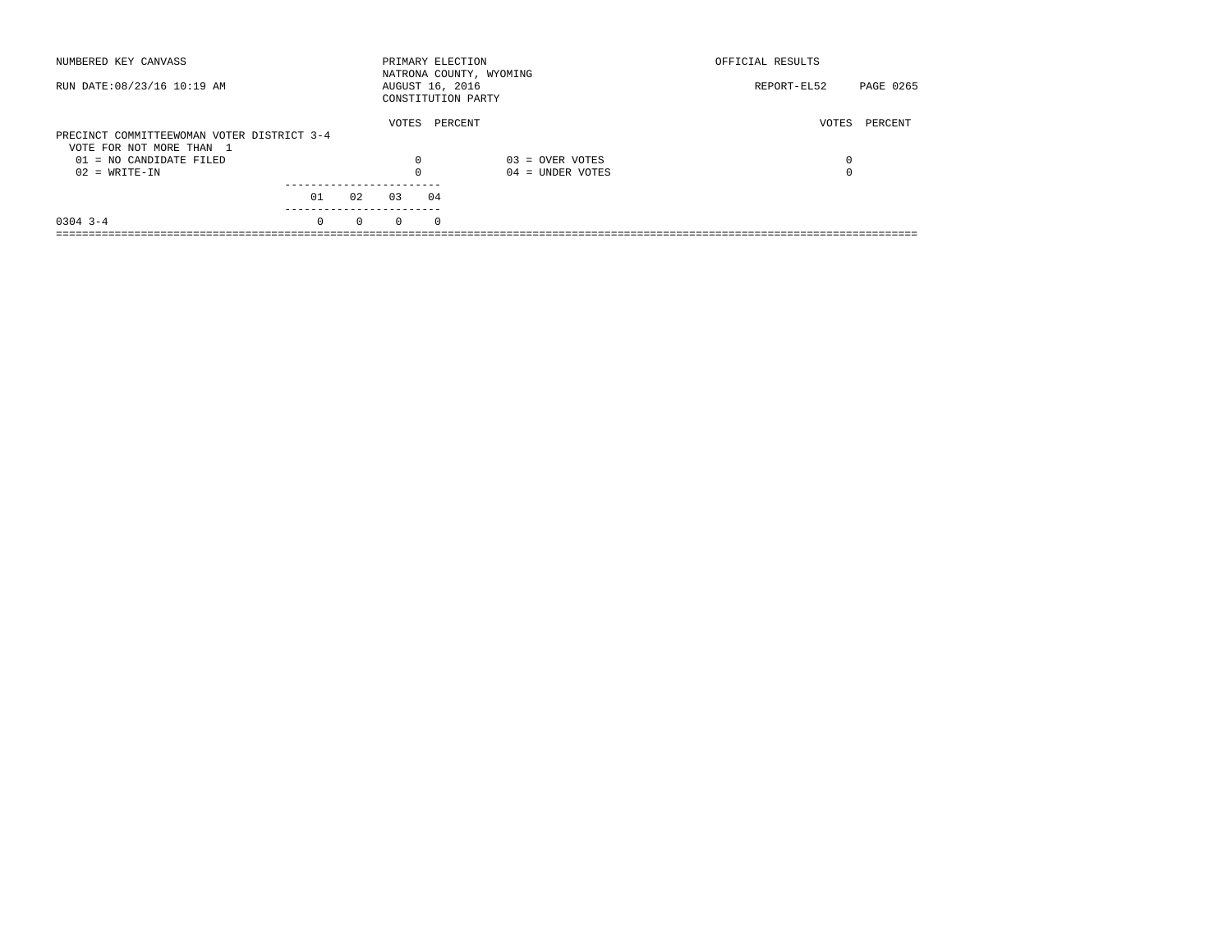| NUMBERED KEY CANVASS                       |          |          | PRIMARY ELECTION |          | NATRONA COUNTY, WYOMING | OFFICIAL RESULTS |           |
|--------------------------------------------|----------|----------|------------------|----------|-------------------------|------------------|-----------|
| RUN DATE: 08/23/16 10:19 AM                |          |          | AUGUST 16, 2016  |          | CONSTITUTION PARTY      | REPORT-EL52      | PAGE 0265 |
| PRECINCT COMMITTEEWOMAN VOTER DISTRICT 3-4 |          |          | VOTES            |          | PERCENT                 | VOTES            | PERCENT   |
| VOTE FOR NOT MORE THAN 1                   |          |          |                  |          |                         |                  |           |
| $01 = NO$ CANDIDATE FILED                  |          |          | $\Omega$         |          | $03 =$ OVER VOTES       | 0                |           |
| $02 = WRITE-IN$                            |          |          | $\Omega$         |          | $04 =$ UNDER VOTES      | 0                |           |
|                                            |          |          |                  |          |                         |                  |           |
|                                            | 01       | 02       | 0.3              | 04       |                         |                  |           |
| $0304$ 3-4                                 | $\Omega$ | $\Omega$ | $\Omega$         | $\Omega$ |                         |                  |           |
|                                            |          |          |                  |          |                         |                  |           |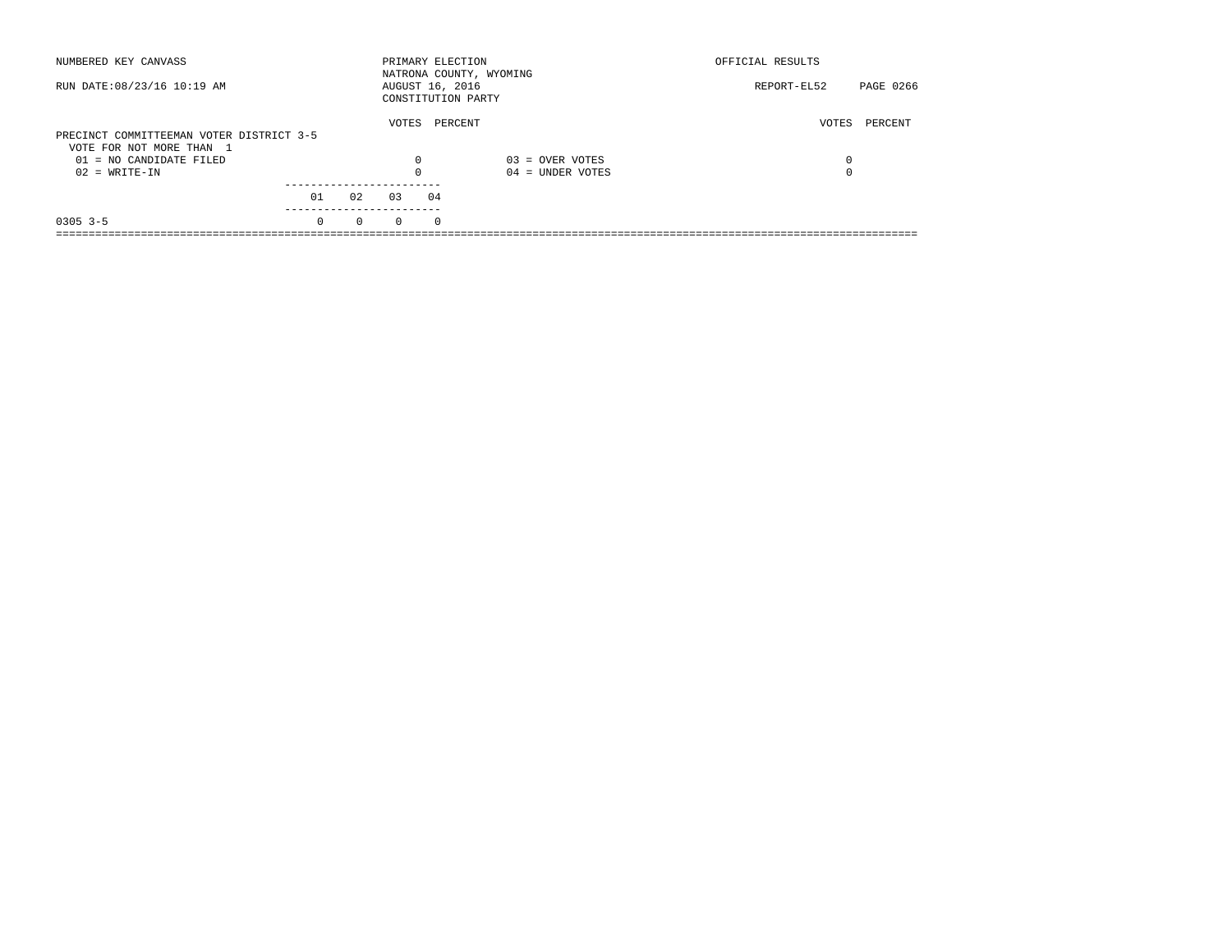| NUMBERED KEY CANVASS                                                 |          |          | PRIMARY ELECTION |            | NATRONA COUNTY, WYOMING | OFFICIAL RESULTS |           |
|----------------------------------------------------------------------|----------|----------|------------------|------------|-------------------------|------------------|-----------|
| RUN DATE: 08/23/16 10:19 AM                                          |          |          | AUGUST 16, 2016  |            | CONSTITUTION PARTY      | REPORT-EL52      | PAGE 0266 |
| PRECINCT COMMITTEEMAN VOTER DISTRICT 3-5<br>VOTE FOR NOT MORE THAN 1 |          |          | VOTES            |            | PERCENT                 | VOTES            | PERCENT   |
| $01 = NO CANDIDATE FILED$                                            |          |          | $\Omega$         |            | $03 =$ OVER VOTES       | 0                |           |
| $02 = WRITE-IN$                                                      |          |          |                  |            | $04 =$ UNDER VOTES      | $\Omega$         |           |
|                                                                      | 01       | 02       | 03               | 04         |                         |                  |           |
| $0305$ 3-5                                                           | $\Omega$ | $\Omega$ | $\Omega$         | $^{\circ}$ |                         |                  |           |
|                                                                      |          |          |                  |            |                         |                  |           |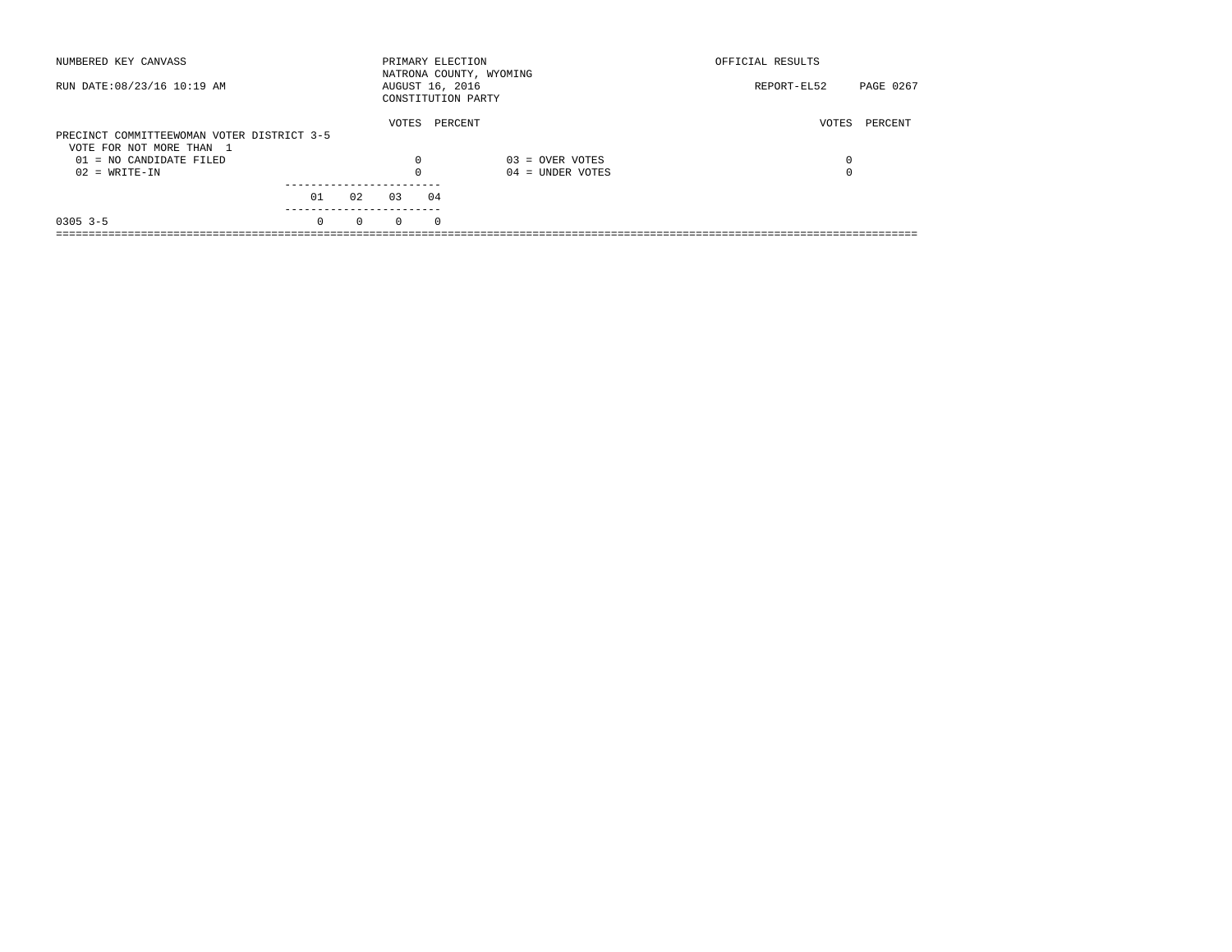| NUMBERED KEY CANVASS                       |          |          | PRIMARY ELECTION |          | NATRONA COUNTY, WYOMING | OFFICIAL RESULTS |           |
|--------------------------------------------|----------|----------|------------------|----------|-------------------------|------------------|-----------|
| RUN DATE: 08/23/16 10:19 AM                |          |          | AUGUST 16, 2016  |          | CONSTITUTION PARTY      | REPORT-EL52      | PAGE 0267 |
|                                            |          |          | VOTES            |          | PERCENT                 | VOTES            | PERCENT   |
| PRECINCT COMMITTEEWOMAN VOTER DISTRICT 3-5 |          |          |                  |          |                         |                  |           |
| VOTE FOR NOT MORE THAN 1                   |          |          |                  |          |                         |                  |           |
| $01 = NO$ CANDIDATE FILED                  |          |          | $\Omega$         |          | $03 =$ OVER VOTES       | 0                |           |
| $02 = WRITE-IN$                            |          |          | $\Omega$         |          | $04 =$ UNDER VOTES      | 0                |           |
|                                            |          |          |                  |          |                         |                  |           |
|                                            | 01       | 02       | 0.3              | 04       |                         |                  |           |
| $0305$ 3-5                                 | $\Omega$ | $\Omega$ | $\Omega$         | $\Omega$ |                         |                  |           |
|                                            |          |          |                  |          |                         |                  |           |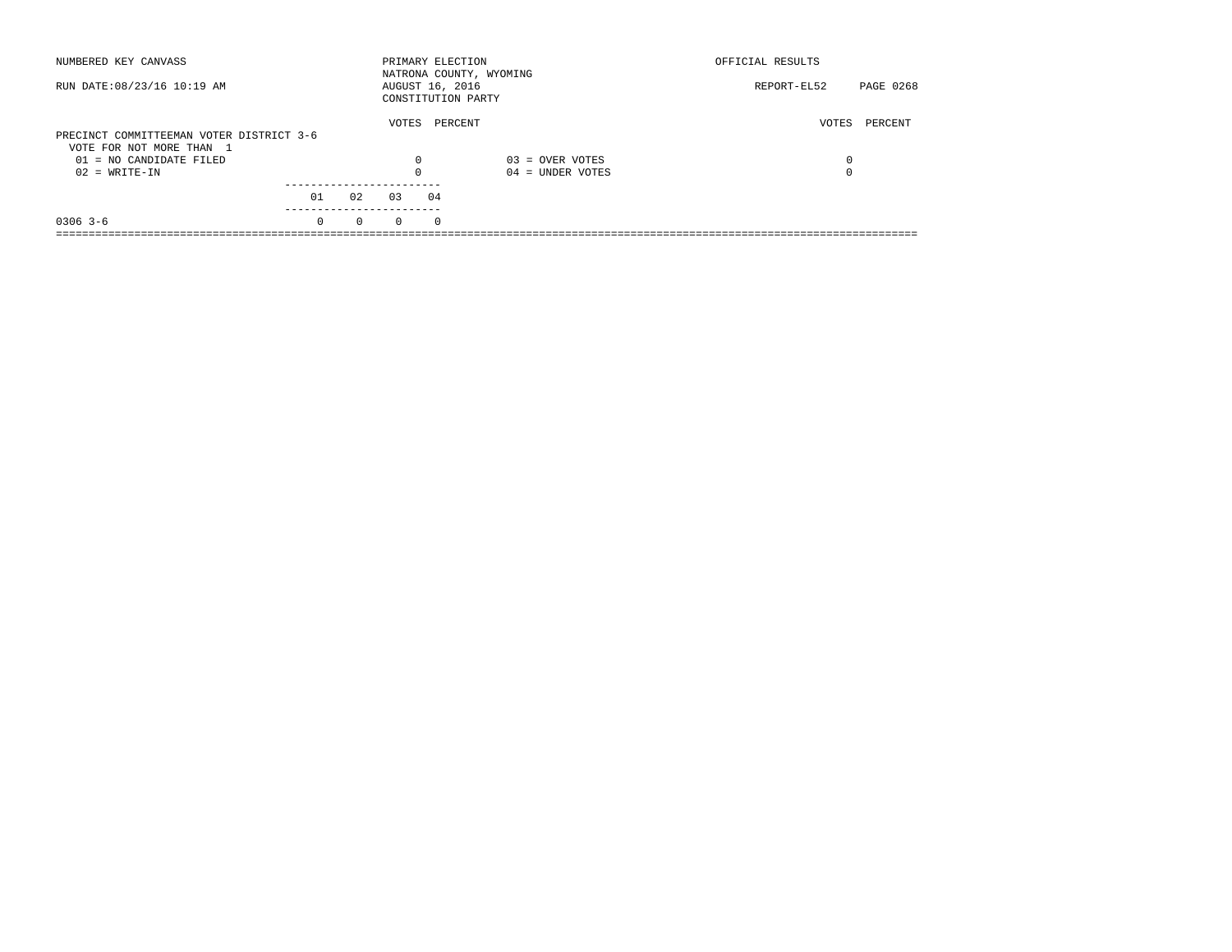| NUMBERED KEY CANVASS                                                                              |          |          | PRIMARY ELECTION |          | NATRONA COUNTY, WYOMING      | OFFICIAL RESULTS |           |
|---------------------------------------------------------------------------------------------------|----------|----------|------------------|----------|------------------------------|------------------|-----------|
| RUN DATE: 08/23/16 10:19 AM                                                                       |          |          | AUGUST 16, 2016  |          | CONSTITUTION PARTY           | REPORT-EL52      | PAGE 0268 |
| PRECINCT COMMITTEEMAN VOTER DISTRICT 3-6<br>VOTE FOR NOT MORE THAN 1<br>$01 = NO$ CANDIDATE FILED |          |          | VOTES<br>0       |          | PERCENT<br>$03 =$ OVER VOTES | VOTES<br>0       | PERCENT   |
| $02 = WRITE-IN$                                                                                   |          |          | $\Omega$         |          | $04 =$ UNDER VOTES           | 0                |           |
|                                                                                                   | 01       | 02       | 0.3              | 04       |                              |                  |           |
| $0306$ 3-6                                                                                        | $\Omega$ | $\Omega$ | $\Omega$         | $\Omega$ |                              |                  |           |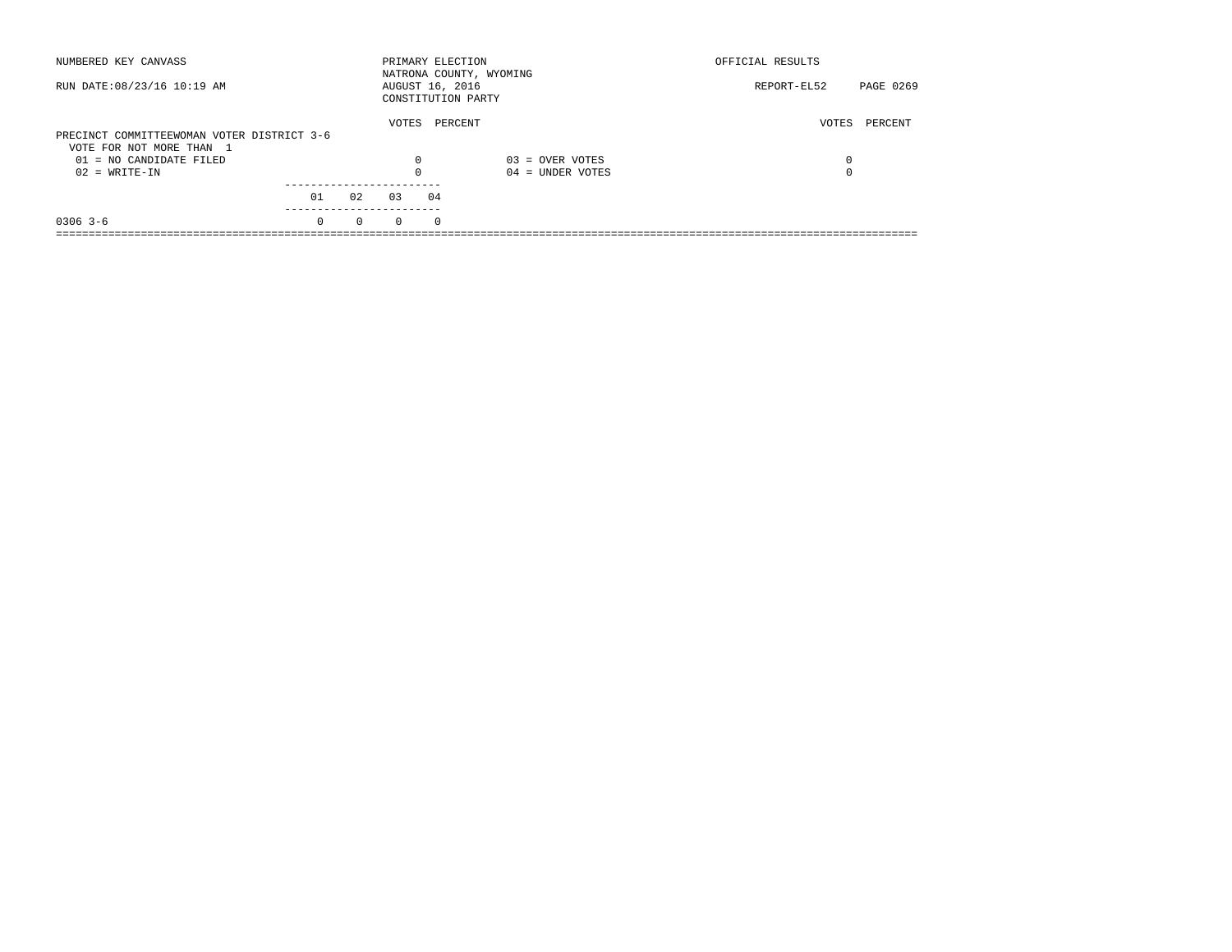| NUMBERED KEY CANVASS                                                   |          |          | PRIMARY ELECTION |          | NATRONA COUNTY, WYOMING | OFFICIAL RESULTS |           |
|------------------------------------------------------------------------|----------|----------|------------------|----------|-------------------------|------------------|-----------|
| RUN DATE: 08/23/16 10:19 AM                                            |          |          | AUGUST 16, 2016  |          | CONSTITUTION PARTY      | REPORT-EL52      | PAGE 0269 |
|                                                                        |          |          | VOTES            |          | PERCENT                 | VOTES            | PERCENT   |
| PRECINCT COMMITTEEWOMAN VOTER DISTRICT 3-6<br>VOTE FOR NOT MORE THAN 1 |          |          |                  |          |                         |                  |           |
| 01 = NO CANDIDATE FILED                                                |          |          | $\Omega$         |          | $03 =$ OVER VOTES       | 0                |           |
| $02 = WRITE-IN$                                                        |          |          |                  |          | $04 =$ UNDER VOTES      | $\Omega$         |           |
|                                                                        | 01       | 02       | 03               | 04       |                         |                  |           |
|                                                                        |          |          |                  |          |                         |                  |           |
| $0306$ 3-6                                                             | $\Omega$ | $\Omega$ | $\Omega$         | $\Omega$ |                         |                  |           |
|                                                                        |          |          |                  |          |                         |                  |           |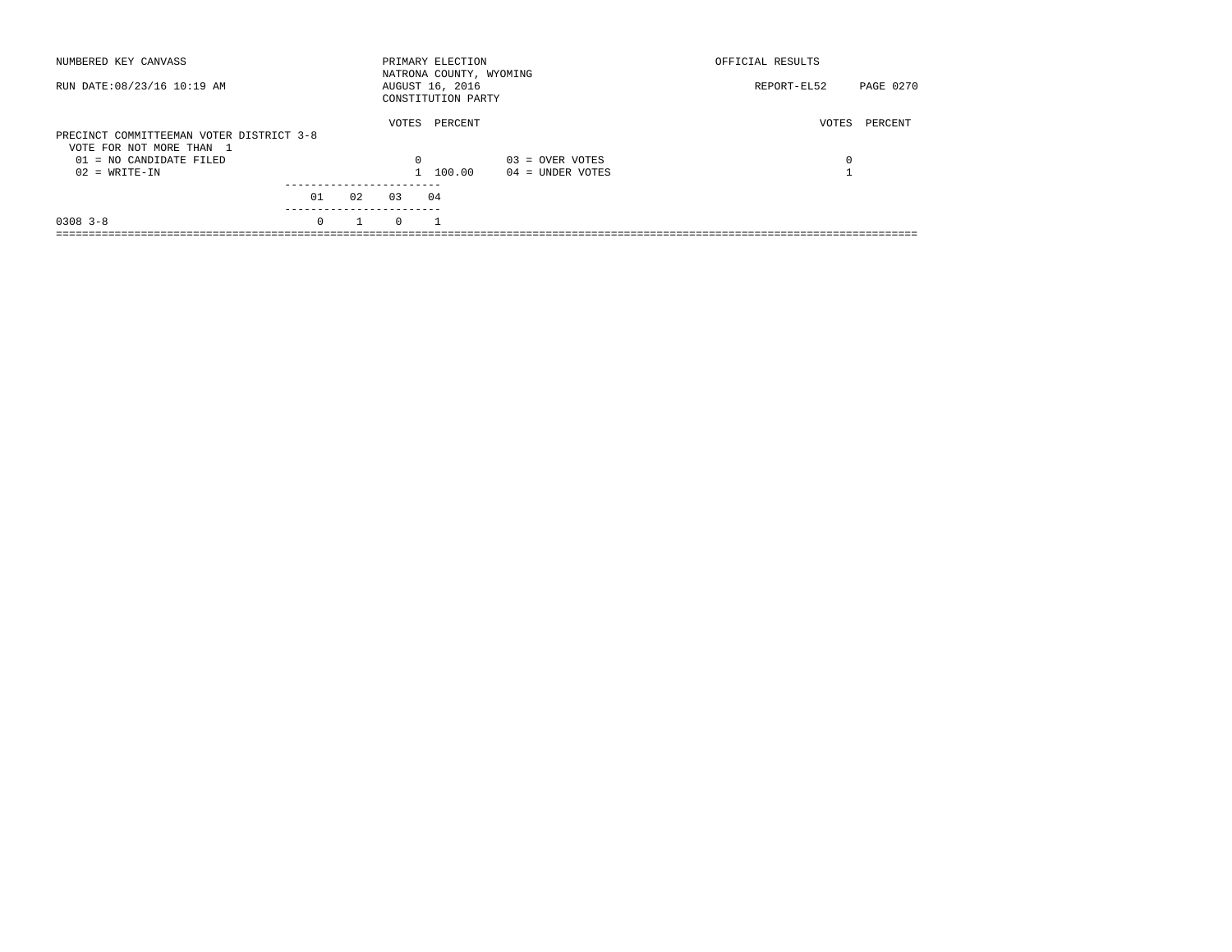| NUMBERED KEY CANVASS                                                 |          |    |          | PRIMARY ELECTION<br>NATRONA COUNTY, WYOMING |                    | OFFICIAL RESULTS |           |
|----------------------------------------------------------------------|----------|----|----------|---------------------------------------------|--------------------|------------------|-----------|
| RUN DATE: 08/23/16 10:19 AM                                          |          |    |          | AUGUST 16, 2016<br>CONSTITUTION PARTY       |                    | REPORT-EL52      | PAGE 0270 |
| PRECINCT COMMITTEEMAN VOTER DISTRICT 3-8<br>VOTE FOR NOT MORE THAN 1 |          |    | VOTES    | PERCENT                                     |                    | VOTES            | PERCENT   |
| 01 = NO CANDIDATE FILED                                              |          |    | $\Omega$ |                                             | $03 =$ OVER VOTES  | 0                |           |
| $02 = WRITE-IN$                                                      |          |    |          | 1 100.00                                    | $04 =$ UNDER VOTES |                  |           |
|                                                                      | 01       | 02 | 0.3      | 04                                          |                    |                  |           |
| $0308$ $3 - 8$                                                       | $\Omega$ |    | $\Omega$ |                                             |                    |                  |           |
|                                                                      |          |    |          |                                             |                    |                  |           |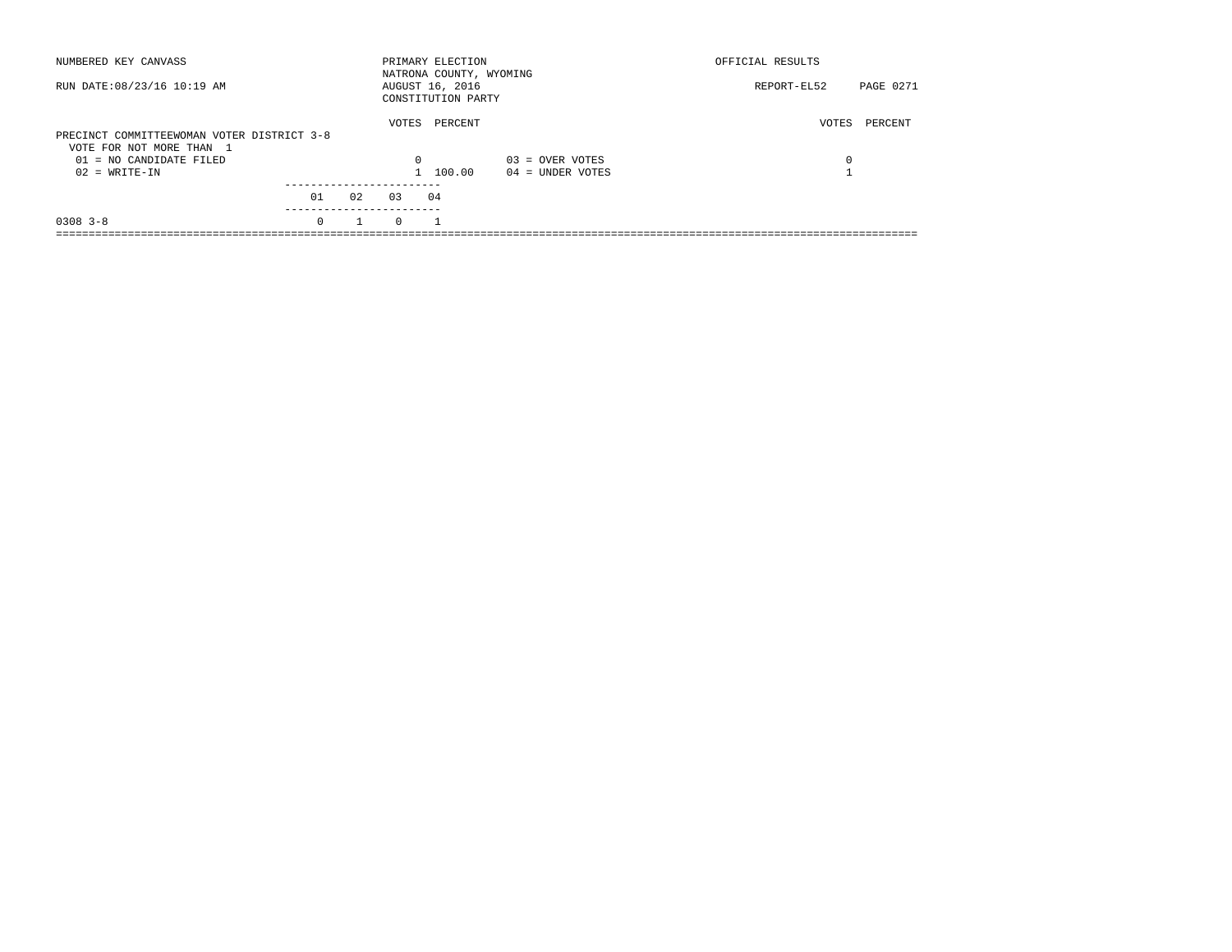| NUMBERED KEY CANVASS                                                   |          |    |          | PRIMARY ELECTION<br>NATRONA COUNTY, WYOMING |                    | OFFICIAL RESULTS |           |
|------------------------------------------------------------------------|----------|----|----------|---------------------------------------------|--------------------|------------------|-----------|
| RUN DATE: 08/23/16 10:19 AM                                            |          |    |          | AUGUST 16, 2016<br>CONSTITUTION PARTY       |                    | REPORT-EL52      | PAGE 0271 |
| PRECINCT COMMITTEEWOMAN VOTER DISTRICT 3-8<br>VOTE FOR NOT MORE THAN 1 |          |    | VOTES    | PERCENT                                     |                    | VOTES            | PERCENT   |
| $01 = NO$ CANDIDATE FILED                                              |          |    | $\Omega$ |                                             | $03 =$ OVER VOTES  | 0                |           |
| $02 = WRITE-IN$                                                        |          |    |          | 1 100.00                                    | $04 =$ UNDER VOTES |                  |           |
|                                                                        | 01       | 02 | 0.3      | 04                                          |                    |                  |           |
| $0308$ 3-8                                                             | $\Omega$ |    | $\Omega$ |                                             |                    |                  |           |
|                                                                        |          |    |          |                                             |                    |                  |           |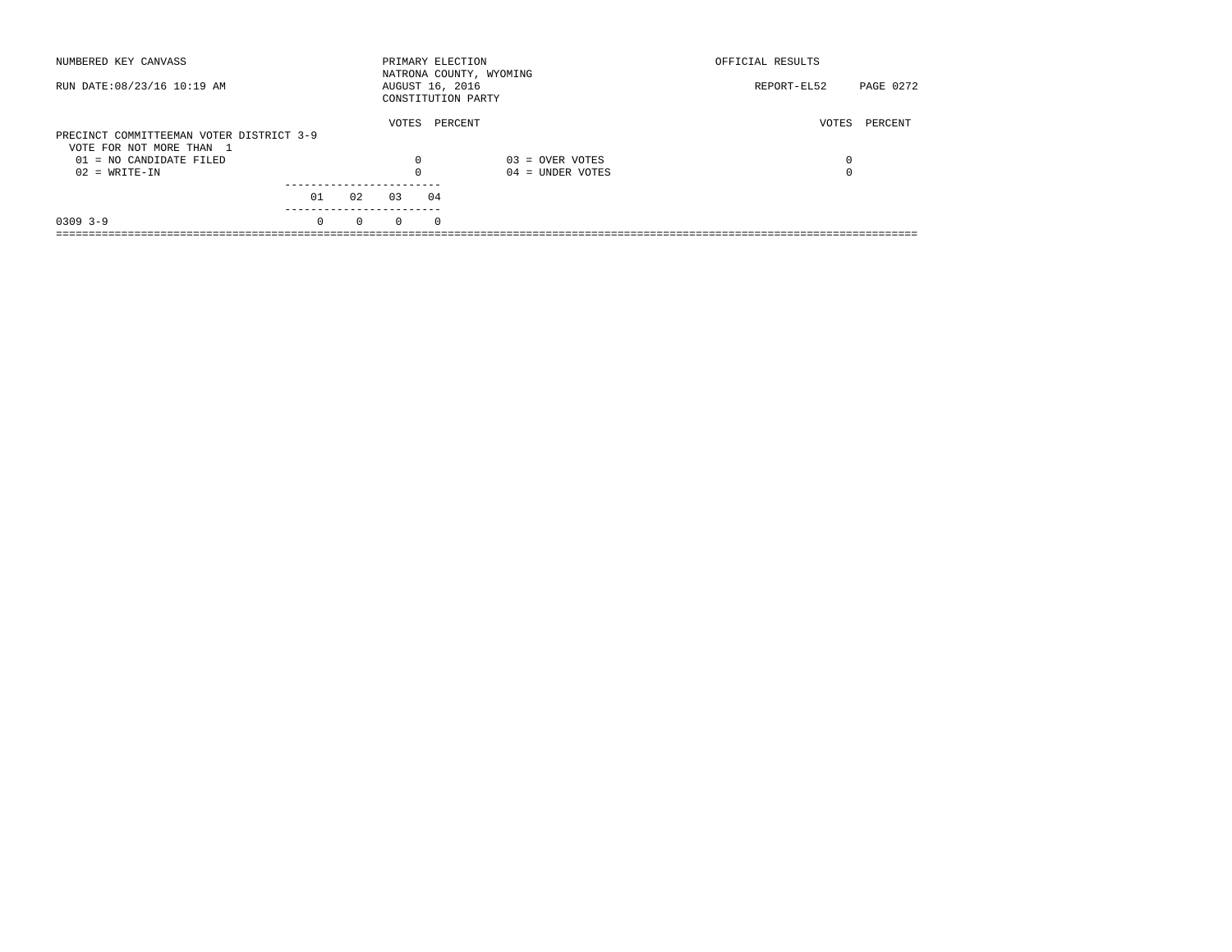| NUMBERED KEY CANVASS                                |          |          |          | PRIMARY ELECTION                      | NATRONA COUNTY, WYOMING | OFFICIAL RESULTS |           |
|-----------------------------------------------------|----------|----------|----------|---------------------------------------|-------------------------|------------------|-----------|
| RUN DATE: 08/23/16 10:19 AM                         |          |          |          | AUGUST 16, 2016<br>CONSTITUTION PARTY |                         | REPORT-EL52      | PAGE 0272 |
| PRECINCT COMMITTEEMAN VOTER DISTRICT 3-9            |          |          | VOTES    | PERCENT                               |                         | VOTES            | PERCENT   |
| VOTE FOR NOT MORE THAN 1<br>01 = NO CANDIDATE FILED |          |          | $\Omega$ |                                       | $03 =$ OVER VOTES       | 0                |           |
| $02 = WRITE-IN$                                     |          |          | $\Omega$ |                                       | $04 =$ UNDER VOTES      | 0                |           |
|                                                     | 01       | 02       | 03       | 04                                    |                         |                  |           |
| $0309$ 3-9                                          | $\Omega$ | $\Omega$ | $\Omega$ | $\Omega$                              |                         |                  |           |
|                                                     |          |          |          |                                       |                         |                  |           |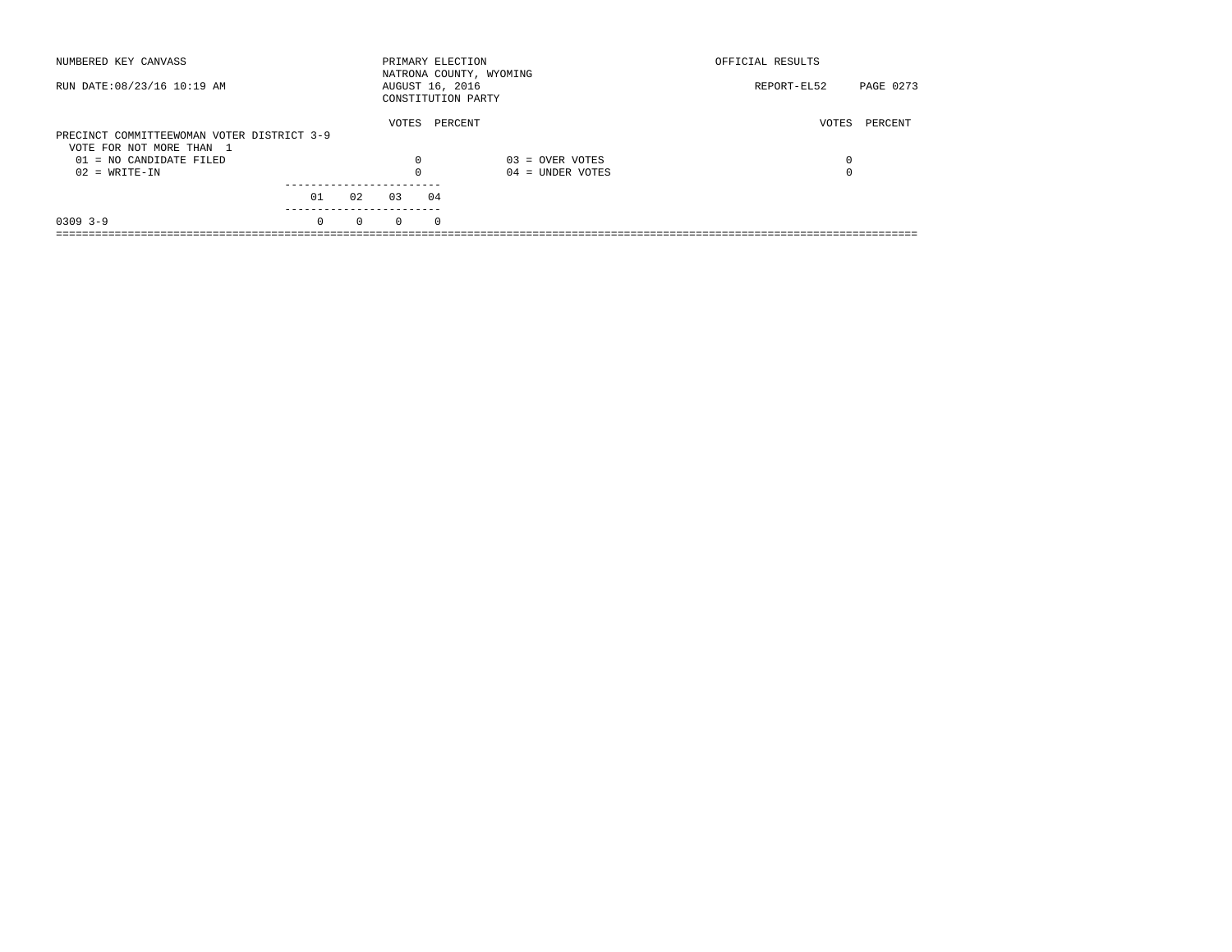| NUMBERED KEY CANVASS                       |          |          | PRIMARY ELECTION |          | NATRONA COUNTY, WYOMING | OFFICIAL RESULTS |           |
|--------------------------------------------|----------|----------|------------------|----------|-------------------------|------------------|-----------|
| RUN DATE: 08/23/16 10:19 AM                |          |          | AUGUST 16, 2016  |          | CONSTITUTION PARTY      | REPORT-EL52      | PAGE 0273 |
|                                            |          |          | VOTES            |          | PERCENT                 | VOTES            | PERCENT   |
| PRECINCT COMMITTEEWOMAN VOTER DISTRICT 3-9 |          |          |                  |          |                         |                  |           |
| VOTE FOR NOT MORE THAN 1                   |          |          |                  |          |                         |                  |           |
| 01 = NO CANDIDATE FILED                    |          |          | $\Omega$         |          | $03 =$ OVER VOTES       | 0                |           |
| $02 = WRITE-IN$                            |          |          | $\Omega$         |          | $04 =$ UNDER VOTES      | 0                |           |
|                                            |          |          |                  |          |                         |                  |           |
|                                            | 01       | 02       | 03               | 04       |                         |                  |           |
| $0309$ 3-9                                 | $\Omega$ | $\Omega$ | $\Omega$         | $\Omega$ |                         |                  |           |
|                                            |          |          |                  |          |                         |                  |           |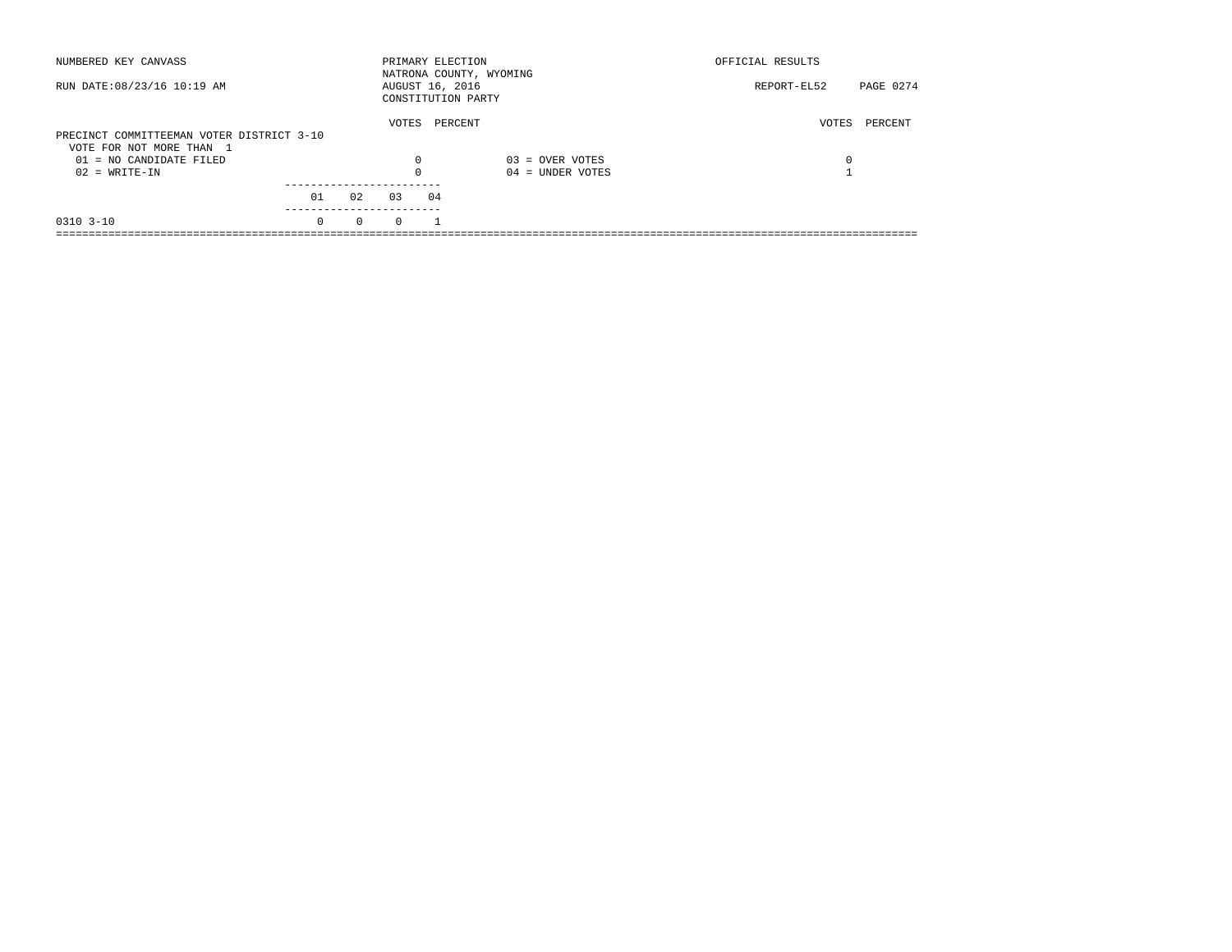| NUMBERED KEY CANVASS                                                  |          |          | PRIMARY ELECTION |         | NATRONA COUNTY, WYOMING | OFFICIAL RESULTS |           |
|-----------------------------------------------------------------------|----------|----------|------------------|---------|-------------------------|------------------|-----------|
| RUN DATE: 08/23/16 10:19 AM                                           |          |          | AUGUST 16, 2016  |         | CONSTITUTION PARTY      | REPORT-EL52      | PAGE 0274 |
| PRECINCT COMMITTEEMAN VOTER DISTRICT 3-10<br>VOTE FOR NOT MORE THAN 1 |          |          | VOTES            | PERCENT |                         | VOTES            | PERCENT   |
| $01 = NO CANDIDATE FILED$                                             |          |          | $\Omega$         |         | $03 =$ OVER VOTES       | 0                |           |
| $02 = WRITE-IN$                                                       |          |          |                  |         | $04 =$ UNDER VOTES      |                  |           |
|                                                                       | 01       | 02       | 03               | 04      |                         |                  |           |
| $0310$ $3-10$                                                         | $\Omega$ | $\Omega$ | $\Omega$         |         |                         |                  |           |
|                                                                       |          |          |                  |         |                         |                  |           |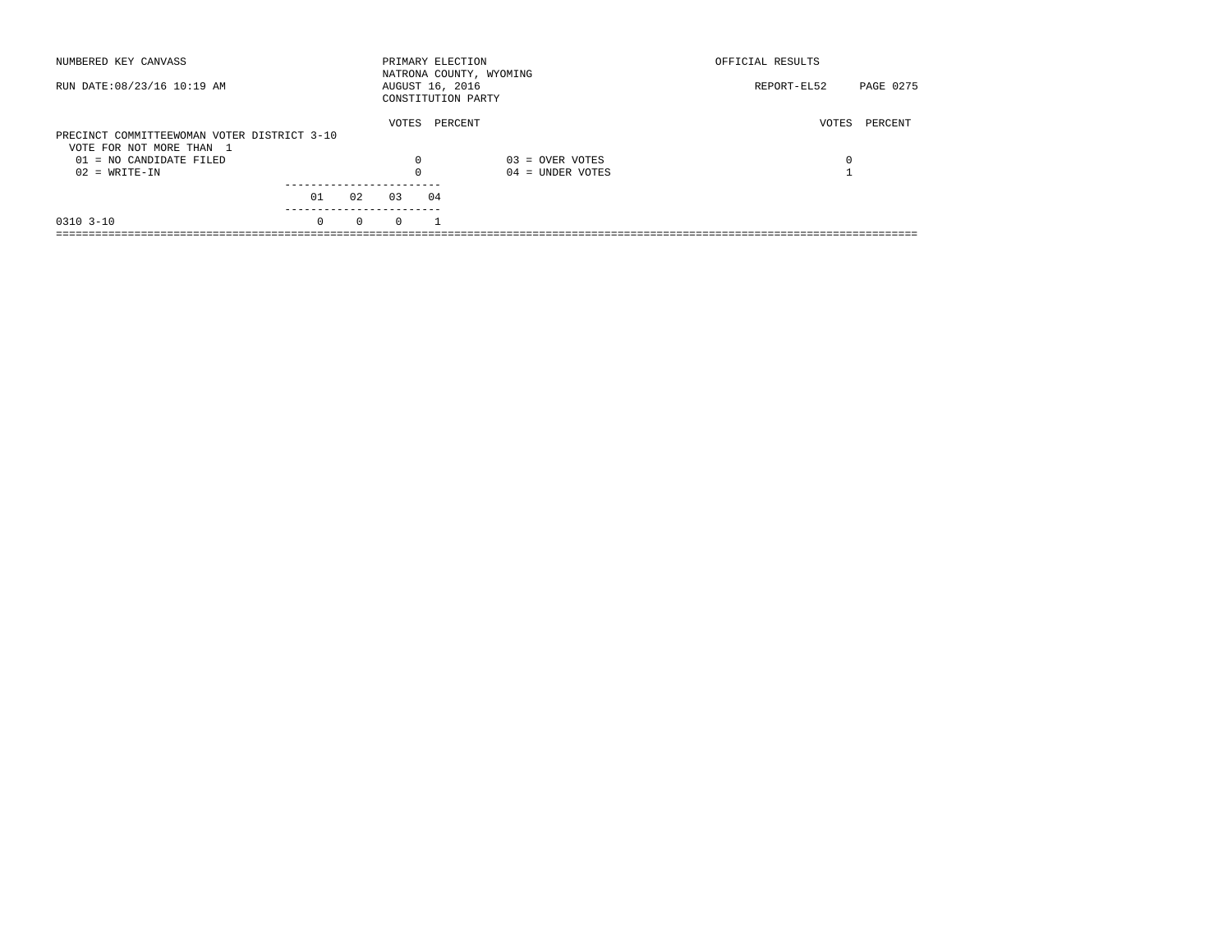| NUMBERED KEY CANVASS                                                    |          |          | PRIMARY ELECTION |    | NATRONA COUNTY, WYOMING | OFFICIAL RESULTS |           |
|-------------------------------------------------------------------------|----------|----------|------------------|----|-------------------------|------------------|-----------|
| RUN DATE: 08/23/16 10:19 AM                                             |          |          | AUGUST 16, 2016  |    | CONSTITUTION PARTY      | REPORT-EL52      | PAGE 0275 |
| PRECINCT COMMITTEEWOMAN VOTER DISTRICT 3-10<br>VOTE FOR NOT MORE THAN 1 |          |          | VOTES            |    | PERCENT                 | VOTES            | PERCENT   |
| $01 = NO CANDIDATE FILED$                                               |          |          | $\Omega$         |    | $03 =$ OVER VOTES       | 0                |           |
| $02 = WRITE-IN$                                                         |          |          |                  |    | $04 =$ UNDER VOTES      |                  |           |
|                                                                         | 01       | 02       | 0.3              | 04 |                         |                  |           |
| $0310$ $3-10$                                                           | $\Omega$ | $\Omega$ | $\Omega$         |    |                         |                  |           |
|                                                                         |          |          |                  |    |                         |                  |           |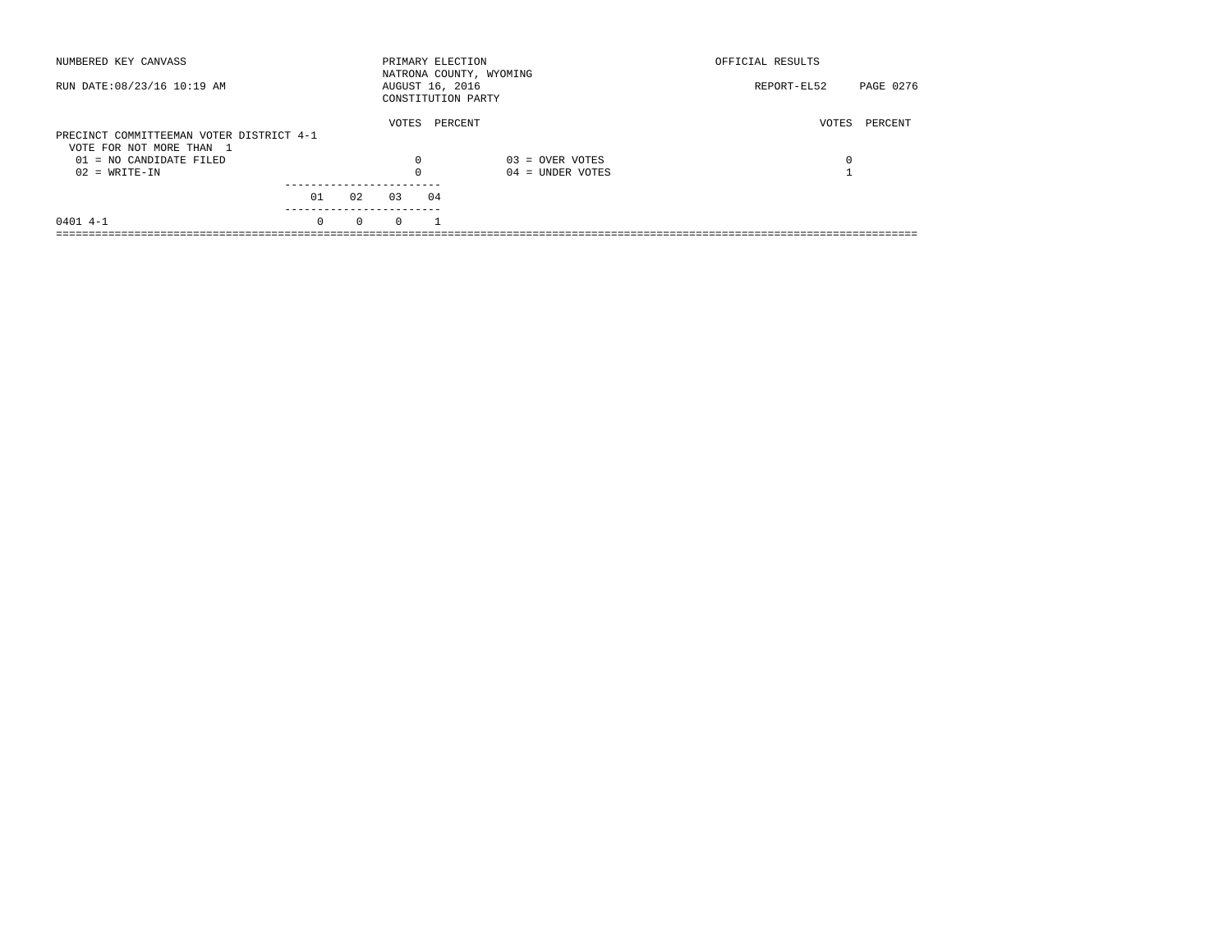| NUMBERED KEY CANVASS                                                 |          |          |          | PRIMARY ELECTION                      | NATRONA COUNTY, WYOMING | OFFICIAL RESULTS |           |
|----------------------------------------------------------------------|----------|----------|----------|---------------------------------------|-------------------------|------------------|-----------|
| RUN DATE: 08/23/16 10:19 AM                                          |          |          |          | AUGUST 16, 2016<br>CONSTITUTION PARTY |                         | REPORT-EL52      | PAGE 0276 |
| PRECINCT COMMITTEEMAN VOTER DISTRICT 4-1<br>VOTE FOR NOT MORE THAN 1 |          |          | VOTES    | PERCENT                               |                         | VOTES            | PERCENT   |
| 01 = NO CANDIDATE FILED                                              |          |          | 0        |                                       | $03 =$ OVER VOTES       | 0                |           |
| $02 = WRITE-IN$                                                      |          |          | $\Omega$ |                                       | $04 =$ UNDER VOTES      |                  |           |
|                                                                      | 01       | 02       | 03       | 04                                    |                         |                  |           |
| $0401$ 4-1                                                           | $\Omega$ | $\Omega$ | $\Omega$ |                                       |                         |                  |           |
|                                                                      |          |          |          |                                       |                         |                  |           |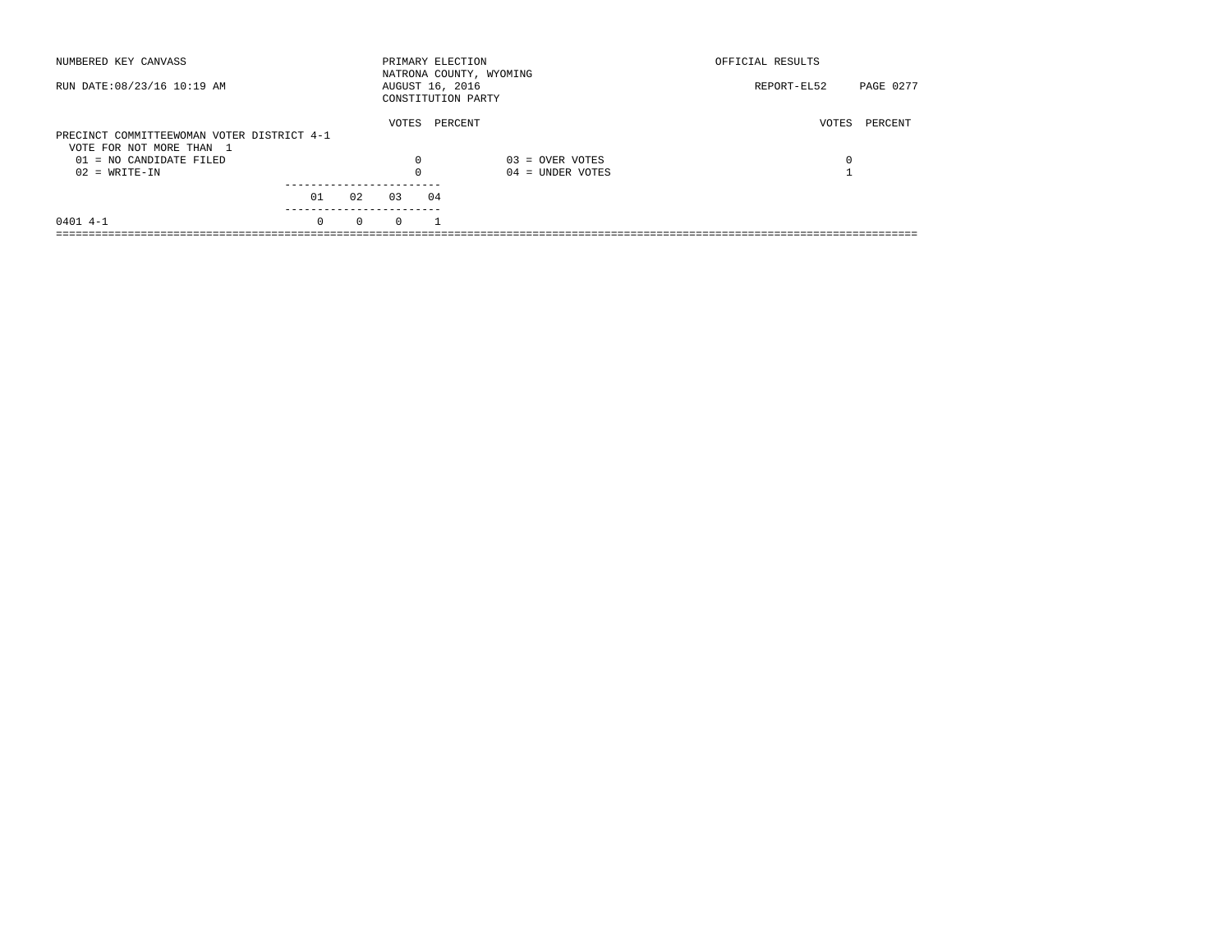| NUMBERED KEY CANVASS                                |          |          | PRIMARY ELECTION                      |         | NATRONA COUNTY, WYOMING | OFFICIAL RESULTS |           |
|-----------------------------------------------------|----------|----------|---------------------------------------|---------|-------------------------|------------------|-----------|
| RUN DATE: 08/23/16 10:19 AM                         |          |          | AUGUST 16, 2016<br>CONSTITUTION PARTY |         |                         | REPORT-EL52      | PAGE 0277 |
| PRECINCT COMMITTEEWOMAN VOTER DISTRICT 4-1          |          |          | VOTES                                 | PERCENT |                         | VOTES            | PERCENT   |
| VOTE FOR NOT MORE THAN 1<br>01 = NO CANDIDATE FILED |          |          | 0                                     |         | $03 =$ OVER VOTES       | 0                |           |
| $02 = WRITE-IN$                                     |          |          | $\Omega$                              |         | $04 =$ UNDER VOTES      |                  |           |
|                                                     | 01       | 02       | 03                                    | 04      |                         |                  |           |
| $0401$ 4-1                                          | $\Omega$ | $\Omega$ | $\Omega$                              |         |                         |                  |           |
|                                                     |          |          |                                       |         |                         |                  |           |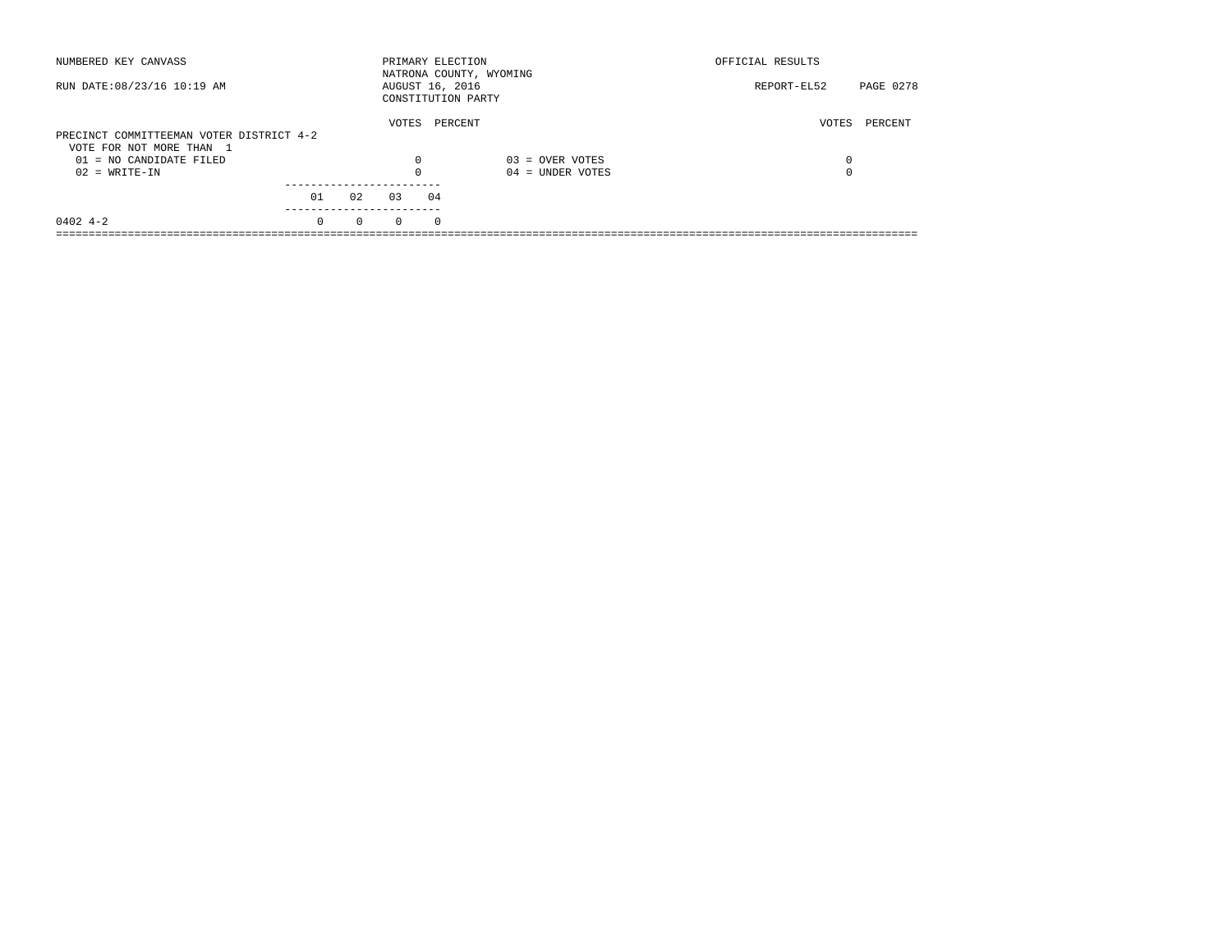| NUMBERED KEY CANVASS                                                 |          |          | PRIMARY ELECTION |          | NATRONA COUNTY, WYOMING | OFFICIAL RESULTS |           |
|----------------------------------------------------------------------|----------|----------|------------------|----------|-------------------------|------------------|-----------|
| RUN DATE: 08/23/16 10:19 AM                                          |          |          | AUGUST 16, 2016  |          | CONSTITUTION PARTY      | REPORT-EL52      | PAGE 0278 |
| PRECINCT COMMITTEEMAN VOTER DISTRICT 4-2<br>VOTE FOR NOT MORE THAN 1 |          |          | VOTES            | PERCENT  |                         | VOTES            | PERCENT   |
| 01 = NO CANDIDATE FILED                                              |          |          | $\Omega$         |          | $03 =$ OVER VOTES       | 0                |           |
| $02 = WRITE-IN$                                                      |          |          | $\Omega$         |          | $04 =$ UNDER VOTES      | 0                |           |
|                                                                      | 01       | 02       | 03               | 04       |                         |                  |           |
| $0402$ 4-2                                                           | $\Omega$ | $\Omega$ | $\Omega$         | $\Omega$ |                         |                  |           |
|                                                                      |          |          |                  |          |                         |                  |           |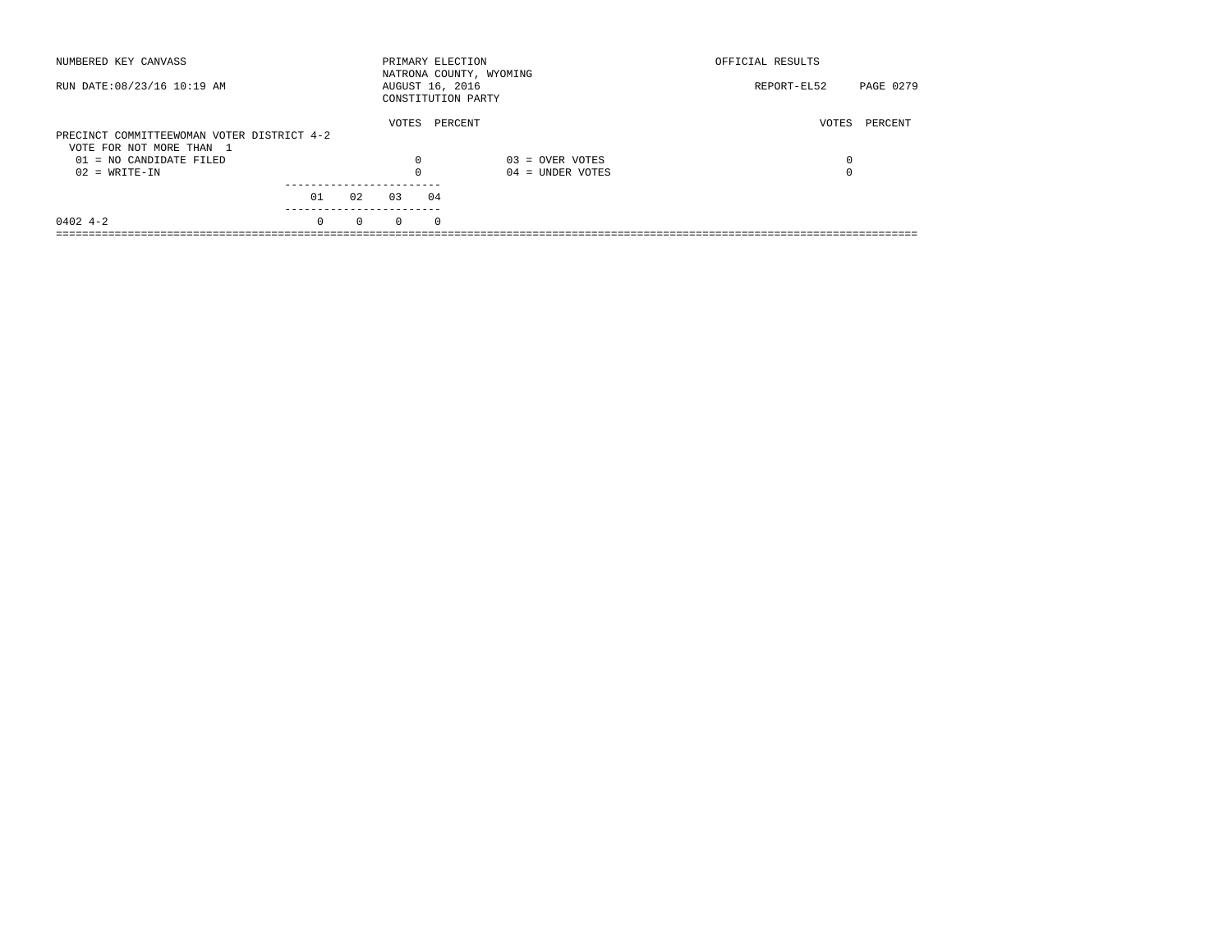| NUMBERED KEY CANVASS                                |          |          | PRIMARY ELECTION                      |          | NATRONA COUNTY, WYOMING | OFFICIAL RESULTS |           |
|-----------------------------------------------------|----------|----------|---------------------------------------|----------|-------------------------|------------------|-----------|
| RUN DATE: 08/23/16 10:19 AM                         |          |          | AUGUST 16, 2016<br>CONSTITUTION PARTY |          |                         | REPORT-EL52      | PAGE 0279 |
| PRECINCT COMMITTEEWOMAN VOTER DISTRICT 4-2          |          |          | VOTES                                 | PERCENT  |                         | VOTES            | PERCENT   |
| VOTE FOR NOT MORE THAN 1<br>01 = NO CANDIDATE FILED |          |          | $\Omega$                              |          | $03 =$ OVER VOTES       | 0                |           |
| $02 = WRITE-IN$                                     |          |          | $\Omega$                              |          | $04 =$ UNDER VOTES      | 0                |           |
|                                                     | 01       | 02       | 0.3                                   | 04       |                         |                  |           |
| $0402$ 4-2                                          | $\Omega$ | $\Omega$ | $\Omega$                              | $\Omega$ |                         |                  |           |
|                                                     |          |          |                                       |          |                         |                  |           |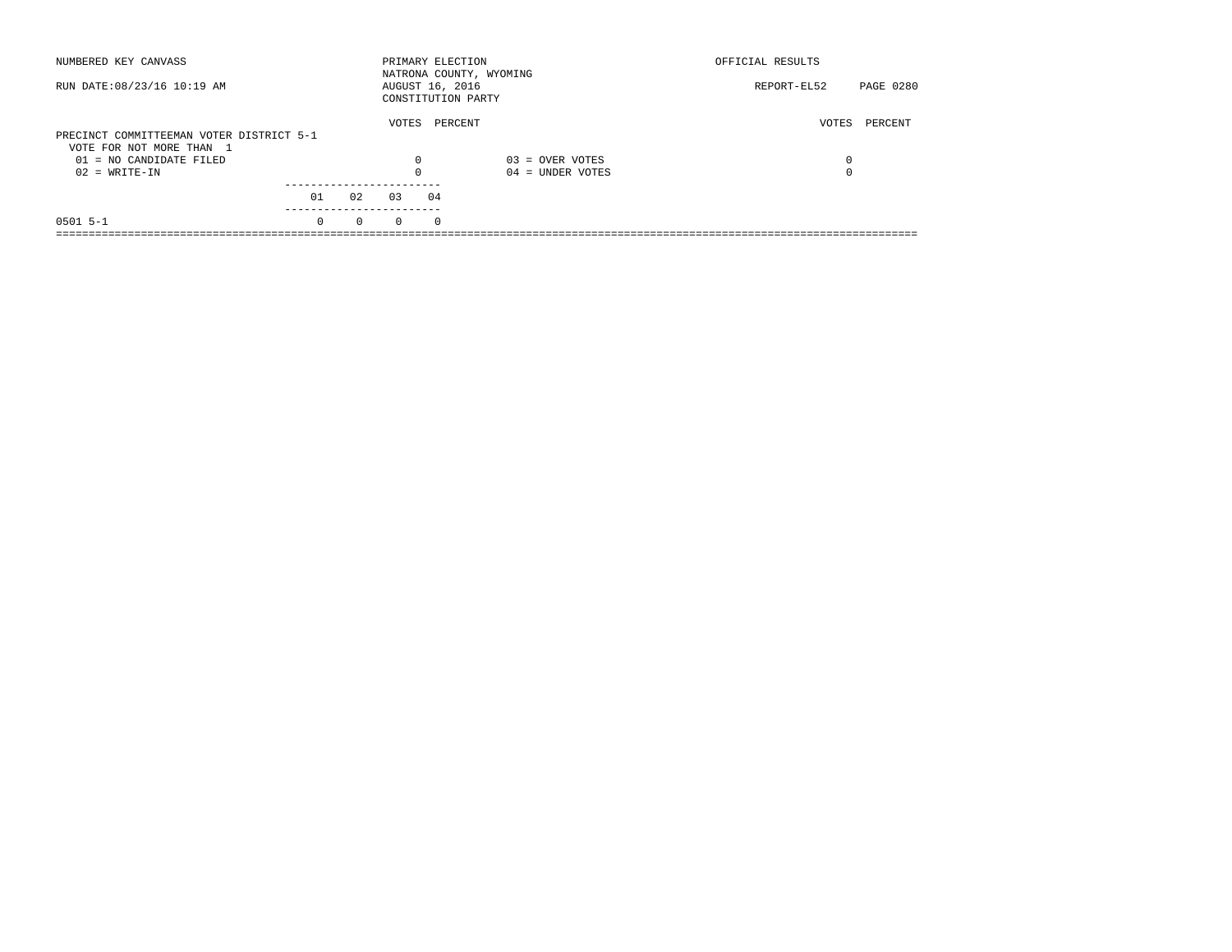| NUMBERED KEY CANVASS                                                 |          |          |          | PRIMARY ELECTION<br>NATRONA COUNTY, WYOMING |                    | OFFICIAL RESULTS |           |
|----------------------------------------------------------------------|----------|----------|----------|---------------------------------------------|--------------------|------------------|-----------|
| RUN DATE: 08/23/16 10:19 AM                                          |          |          |          | AUGUST 16, 2016<br>CONSTITUTION PARTY       |                    | REPORT-EL52      | PAGE 0280 |
| PRECINCT COMMITTEEMAN VOTER DISTRICT 5-1<br>VOTE FOR NOT MORE THAN 1 |          |          | VOTES    | PERCENT                                     |                    | VOTES            | PERCENT   |
| 01 = NO CANDIDATE FILED                                              |          |          | 0        |                                             | $03 =$ OVER VOTES  | 0                |           |
| $02 = WRITE-IN$                                                      |          |          | $\Omega$ |                                             | $04 =$ UNDER VOTES | $\Omega$         |           |
|                                                                      | 01       | 02       | 03       | 04                                          |                    |                  |           |
| $0501$ 5-1                                                           | $\Omega$ | $\Omega$ | $\Omega$ | $\Omega$                                    |                    |                  |           |
|                                                                      |          |          |          |                                             |                    |                  |           |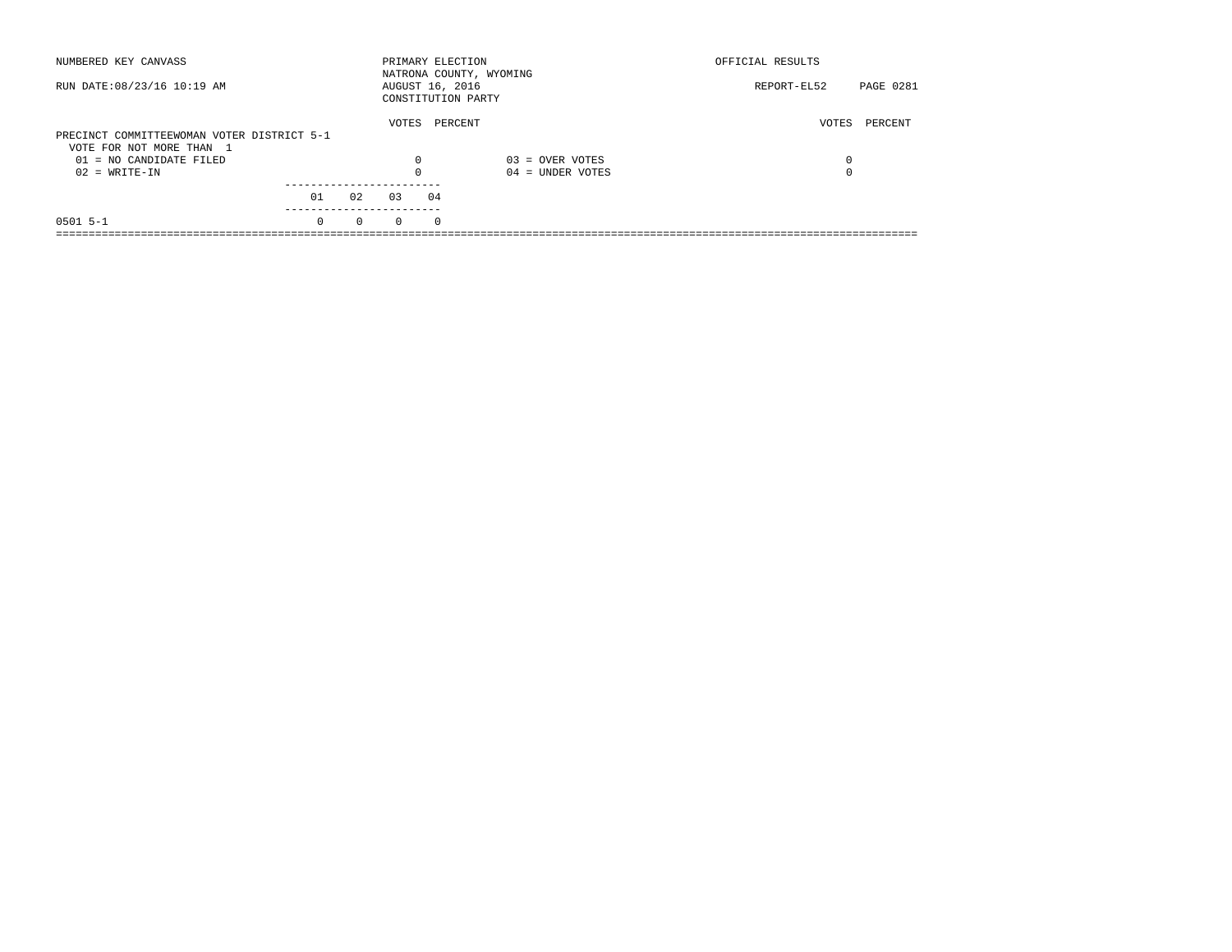| NUMBERED KEY CANVASS                       |          |          |          | PRIMARY ELECTION                      | NATRONA COUNTY, WYOMING | OFFICIAL RESULTS |                  |
|--------------------------------------------|----------|----------|----------|---------------------------------------|-------------------------|------------------|------------------|
| RUN DATE: 08/23/16 10:19 AM                |          |          |          | AUGUST 16, 2016<br>CONSTITUTION PARTY |                         | REPORT-EL52      | <b>PAGE 0281</b> |
| PRECINCT COMMITTEEWOMAN VOTER DISTRICT 5-1 |          |          | VOTES    | PERCENT                               |                         | VOTES            | PERCENT          |
| VOTE FOR NOT MORE THAN 1                   |          |          |          |                                       |                         |                  |                  |
| 01 = NO CANDIDATE FILED                    |          |          | $\Omega$ |                                       | $03 =$ OVER VOTES       | 0                |                  |
| $02 = WRITE-IN$                            |          |          | $\Omega$ |                                       | $04 =$ UNDER VOTES      | 0                |                  |
|                                            |          |          |          |                                       |                         |                  |                  |
|                                            | 01       | 02       | 03       | 04                                    |                         |                  |                  |
| $0501$ 5-1                                 | $\Omega$ | $\Omega$ | $\Omega$ | $\Omega$                              |                         |                  |                  |
|                                            |          |          |          |                                       |                         |                  |                  |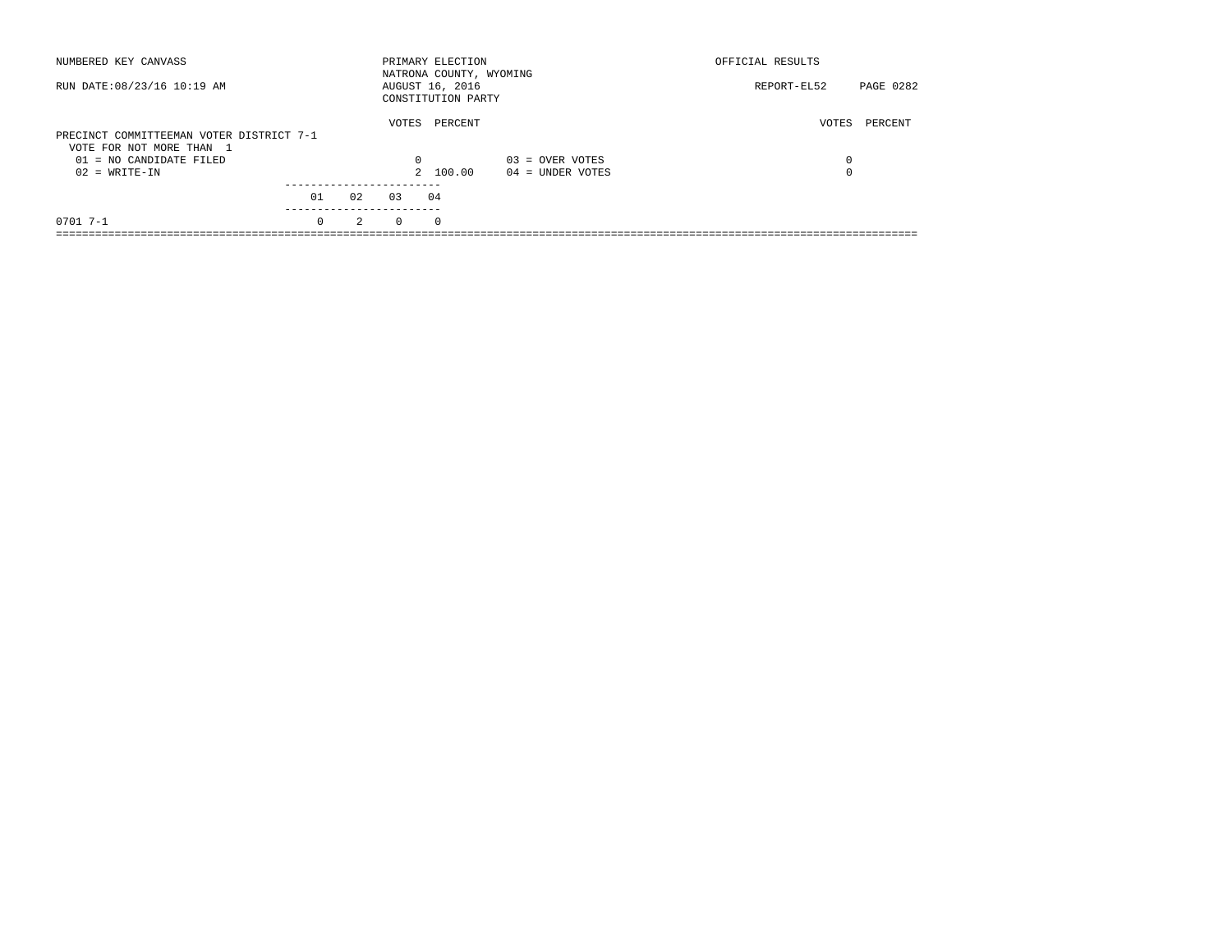| NUMBERED KEY CANVASS                                                                                                 |          |               |                               | PRIMARY ELECTION<br>NATRONA COUNTY, WYOMING |                                         | OFFICIAL RESULTS |           |
|----------------------------------------------------------------------------------------------------------------------|----------|---------------|-------------------------------|---------------------------------------------|-----------------------------------------|------------------|-----------|
| RUN DATE: 08/23/16 10:19 AM                                                                                          |          |               |                               | AUGUST 16, 2016<br>CONSTITUTION PARTY       |                                         | REPORT-EL52      | PAGE 0282 |
| PRECINCT COMMITTEEMAN VOTER DISTRICT 7-1<br>VOTE FOR NOT MORE THAN 1<br>$01 = NO$ CANDIDATE FILED<br>$02 = WRITE-IN$ |          |               | VOTES<br>$\Omega$             | PERCENT<br>2 100.00                         | $03 =$ OVER VOTES<br>$04 =$ UNDER VOTES | VOTES<br>0<br>0  | PERCENT   |
|                                                                                                                      | 01       | 02            | ----------------------<br>0.3 | 04                                          |                                         |                  |           |
| $07017 - -1$                                                                                                         | $\Omega$ | $\mathcal{L}$ | $\Omega$                      | $\Omega$                                    |                                         |                  |           |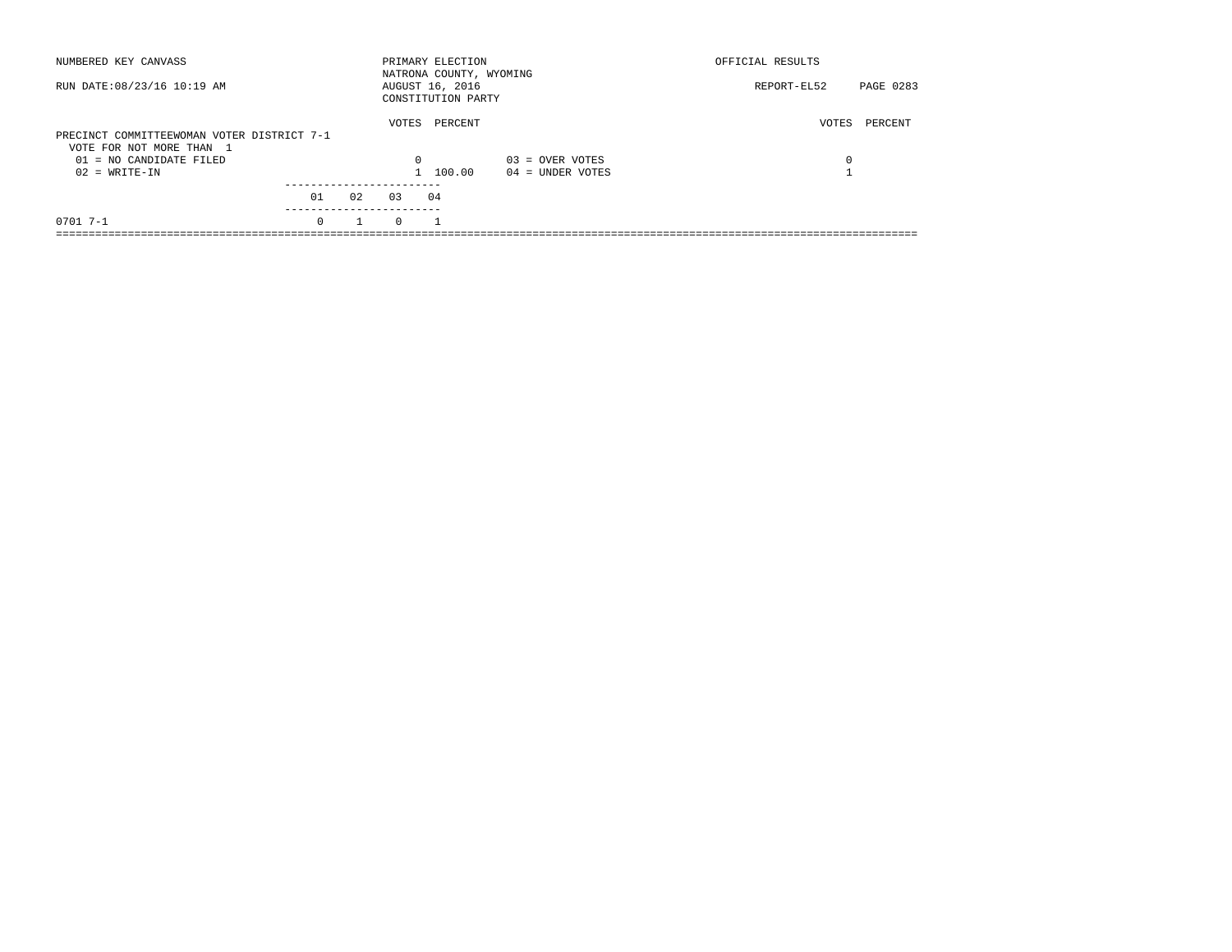| NUMBERED KEY CANVASS                                                                              |                         |    |                   | PRIMARY ELECTION<br>NATRONA COUNTY, WYOMING |                    | OFFICIAL RESULTS |           |
|---------------------------------------------------------------------------------------------------|-------------------------|----|-------------------|---------------------------------------------|--------------------|------------------|-----------|
| RUN DATE: 08/23/16 10:19 AM                                                                       |                         |    |                   | AUGUST 16, 2016<br>CONSTITUTION PARTY       |                    | REPORT-EL52      | PAGE 0283 |
| PRECINCT COMMITTEEWOMAN VOTER DISTRICT 7-1<br>VOTE FOR NOT MORE THAN 1<br>01 = NO CANDIDATE FILED |                         |    | VOTES<br>$\Omega$ | PERCENT                                     | $03 =$ OVER VOTES  | VOTES<br>0       | PERCENT   |
| $02 = WRITE-IN$                                                                                   | ----------------------- |    |                   | 1 100.00                                    | $04 =$ UNDER VOTES |                  |           |
|                                                                                                   | 01                      | 02 | 0.3               | 04                                          |                    |                  |           |
| $07017 - -1$                                                                                      | $\Omega$                |    | $\Omega$          |                                             |                    |                  |           |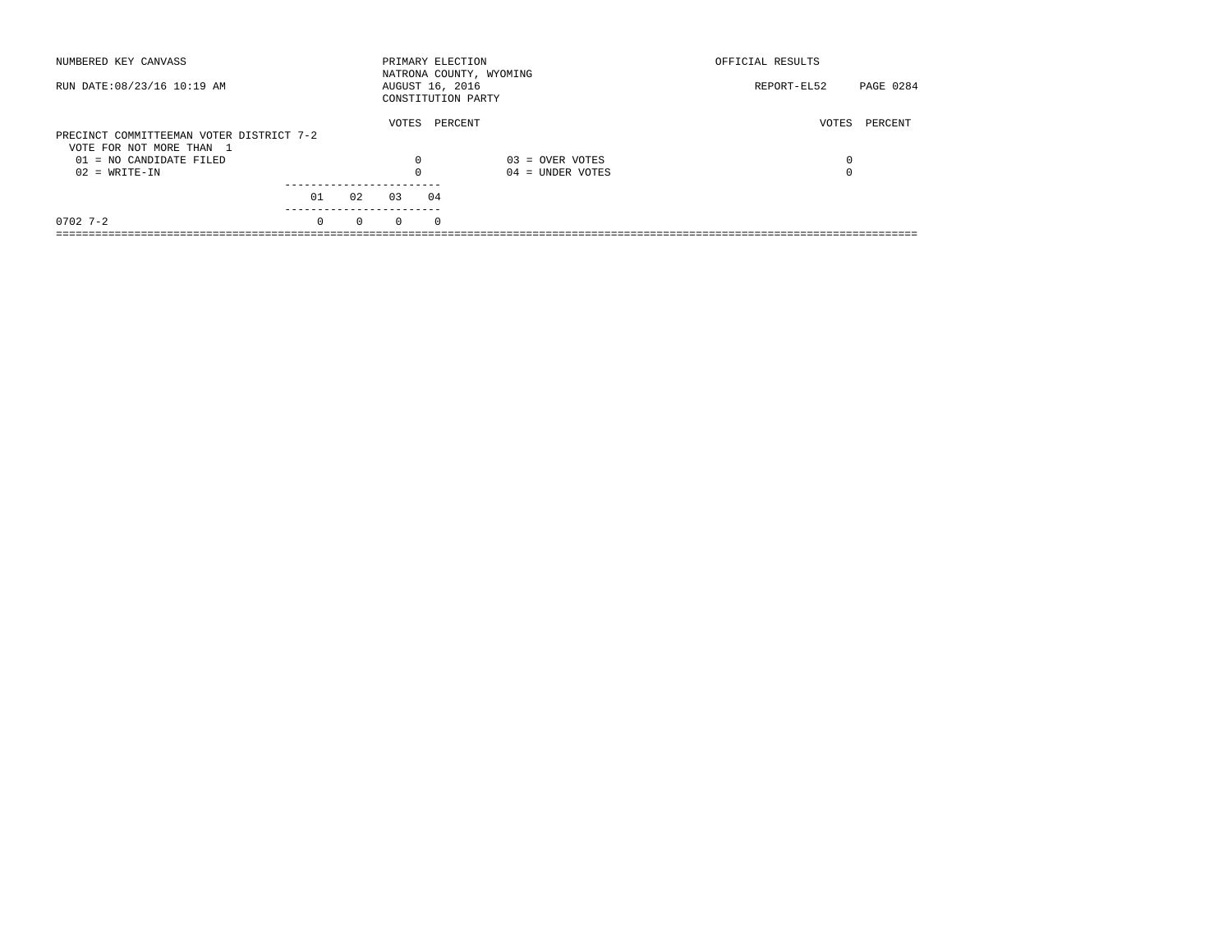| NUMBERED KEY CANVASS                                                 |          |          |                 |            | PRIMARY ELECTION<br>NATRONA COUNTY, WYOMING | OFFICIAL RESULTS |           |
|----------------------------------------------------------------------|----------|----------|-----------------|------------|---------------------------------------------|------------------|-----------|
| RUN DATE: 08/23/16 10:19 AM                                          |          |          | AUGUST 16, 2016 |            | CONSTITUTION PARTY                          | REPORT-EL52      | PAGE 0284 |
| PRECINCT COMMITTEEMAN VOTER DISTRICT 7-2<br>VOTE FOR NOT MORE THAN 1 |          |          | VOTES           |            | PERCENT                                     | VOTES            | PERCENT   |
| $01 = NO$ CANDIDATE FILED                                            |          |          | $\Omega$        |            | $03 =$ OVER VOTES                           | 0                |           |
| $02 = WRITE-IN$                                                      |          |          |                 |            | $04 =$ UNDER VOTES                          | 0                |           |
|                                                                      |          |          |                 |            |                                             |                  |           |
|                                                                      | 01       | 02       | 0.3             | 04         |                                             |                  |           |
| $0702$ 7-2                                                           | $\Omega$ | $\Omega$ | $\Omega$        | $^{\circ}$ |                                             |                  |           |
|                                                                      |          |          |                 |            |                                             |                  |           |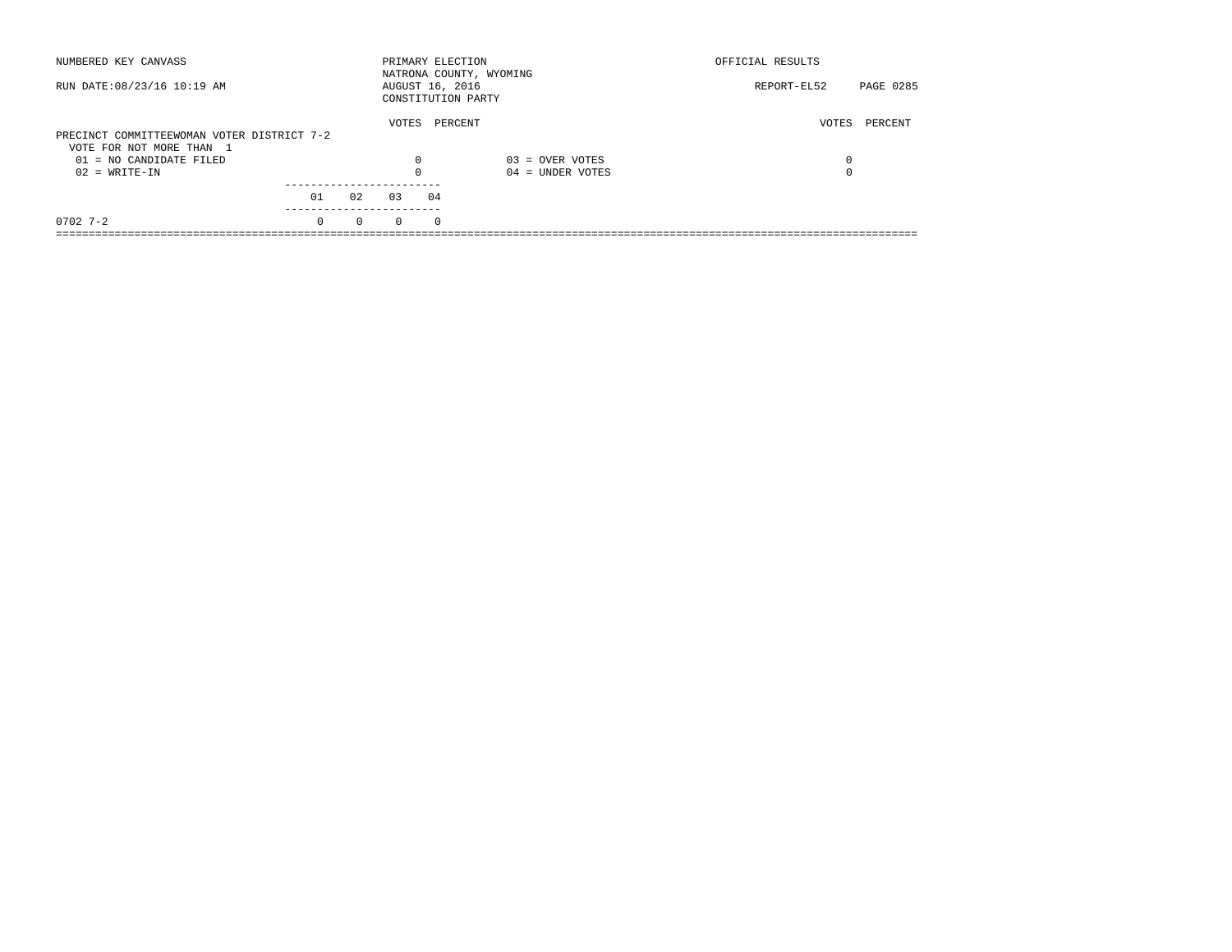| NUMBERED KEY CANVASS                       |          |          | PRIMARY ELECTION |          | NATRONA COUNTY, WYOMING | OFFICIAL RESULTS |           |
|--------------------------------------------|----------|----------|------------------|----------|-------------------------|------------------|-----------|
| RUN DATE: 08/23/16 10:19 AM                |          |          | AUGUST 16, 2016  |          | CONSTITUTION PARTY      | REPORT-EL52      | PAGE 0285 |
| PRECINCT COMMITTEEWOMAN VOTER DISTRICT 7-2 |          |          | VOTES            |          | PERCENT                 | VOTES            | PERCENT   |
| VOTE FOR NOT MORE THAN 1                   |          |          |                  |          |                         |                  |           |
|                                            |          |          | $\Omega$         |          |                         |                  |           |
| $01 = NO$ CANDIDATE FILED                  |          |          |                  |          | $03 =$ OVER VOTES       | 0                |           |
| $02 = WRITE-IN$                            |          |          |                  |          | $04 =$ UNDER VOTES      | $\Omega$         |           |
|                                            |          |          |                  |          |                         |                  |           |
|                                            | 01       | 02       | 03               | 04       |                         |                  |           |
| $0702$ 7-2                                 | $\Omega$ | $\Omega$ | $\Omega$         | $\Omega$ |                         |                  |           |
|                                            |          |          |                  |          |                         |                  |           |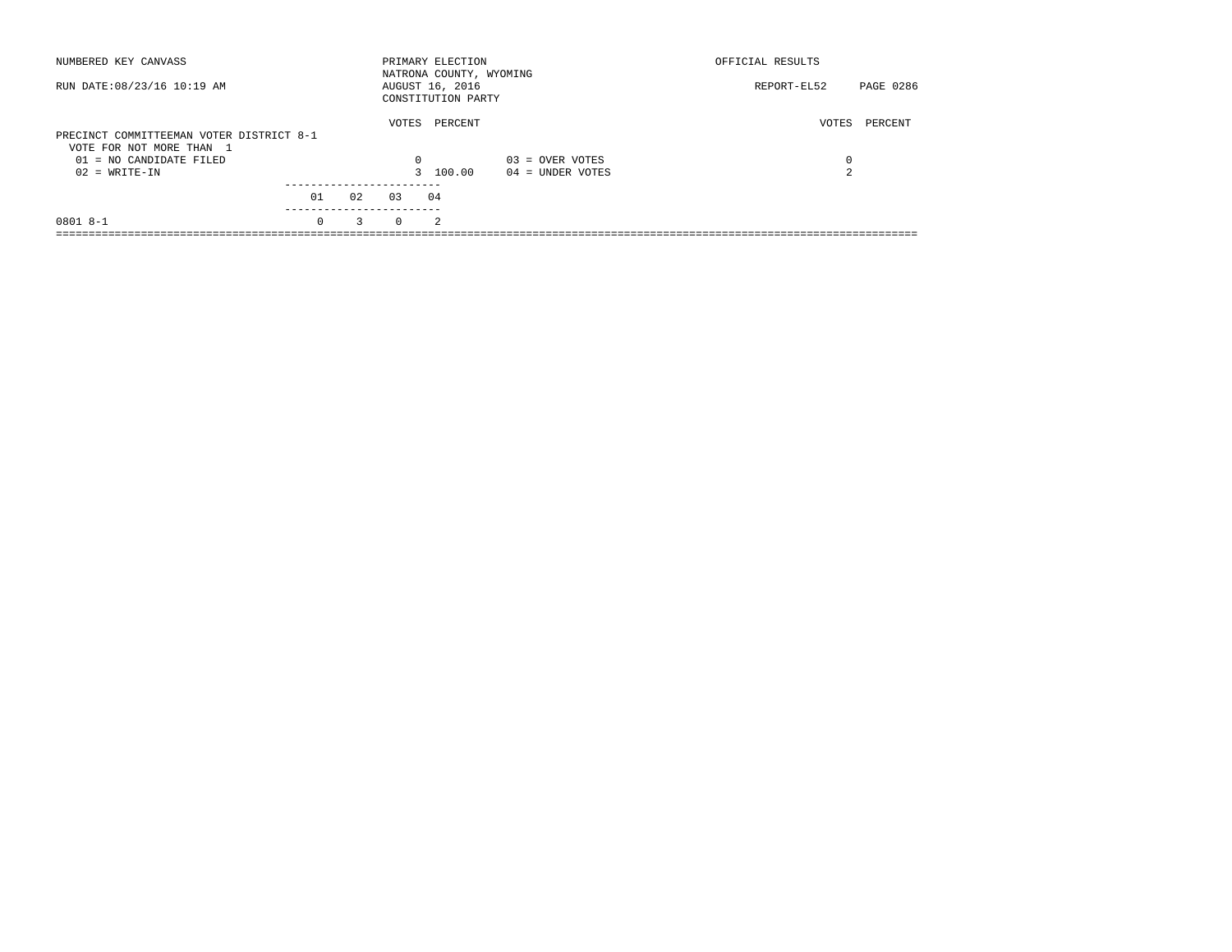| NUMBERED KEY CANVASS                                                                                                 |          |    |                   | PRIMARY ELECTION<br>NATRONA COUNTY, WYOMING |                                         | OFFICIAL RESULTS |           |
|----------------------------------------------------------------------------------------------------------------------|----------|----|-------------------|---------------------------------------------|-----------------------------------------|------------------|-----------|
| RUN DATE: 08/23/16 10:19 AM                                                                                          |          |    |                   | AUGUST 16, 2016<br>CONSTITUTION PARTY       |                                         | REPORT-EL52      | PAGE 0286 |
| PRECINCT COMMITTEEMAN VOTER DISTRICT 8-1<br>VOTE FOR NOT MORE THAN 1<br>$01 = NO$ CANDIDATE FILED<br>$02 = WRITE-IN$ |          |    | VOTES<br>$\Omega$ | PERCENT<br>3 100.00                         | $03 =$ OVER VOTES<br>$04 =$ UNDER VOTES | VOTES<br>0<br>2  | PERCENT   |
|                                                                                                                      | 01       | 02 | 0.3               | 04                                          |                                         |                  |           |
| $08018 - -1$                                                                                                         | $\Omega$ | 3  | $\Omega$          | $\mathfrak{D}$                              |                                         |                  |           |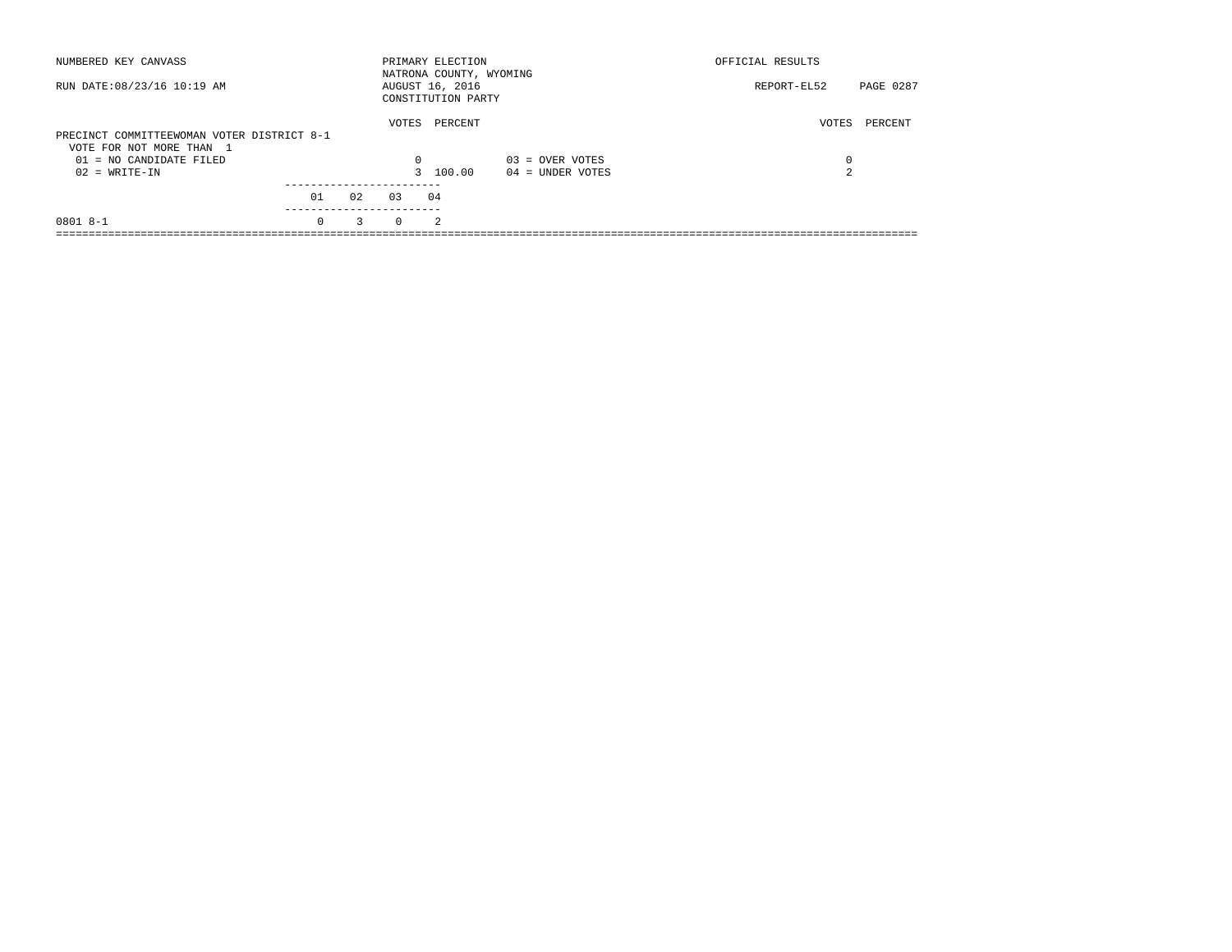| NUMBERED KEY CANVASS                                                   |          |    |          | PRIMARY ELECTION<br>NATRONA COUNTY, WYOMING |                    | OFFICIAL RESULTS |           |
|------------------------------------------------------------------------|----------|----|----------|---------------------------------------------|--------------------|------------------|-----------|
| RUN DATE: 08/23/16 10:19 AM                                            |          |    |          | AUGUST 16, 2016<br>CONSTITUTION PARTY       |                    | REPORT-EL52      | PAGE 0287 |
| PRECINCT COMMITTEEWOMAN VOTER DISTRICT 8-1<br>VOTE FOR NOT MORE THAN 1 |          |    | VOTES    | PERCENT                                     |                    | VOTES            | PERCENT   |
| 01 = NO CANDIDATE FILED                                                |          |    | 0        |                                             | $03 =$ OVER VOTES  | 0                |           |
| $02 = WRITE-IN$                                                        |          |    |          | 3 100.00                                    | $04 =$ UNDER VOTES | 2                |           |
|                                                                        | 01       | 02 | 0.3      | 04                                          |                    |                  |           |
| $0801 8 - 1$                                                           | $\Omega$ | 3  | $\Omega$ | $\mathfrak{D}$                              |                    |                  |           |
|                                                                        |          |    |          |                                             |                    |                  |           |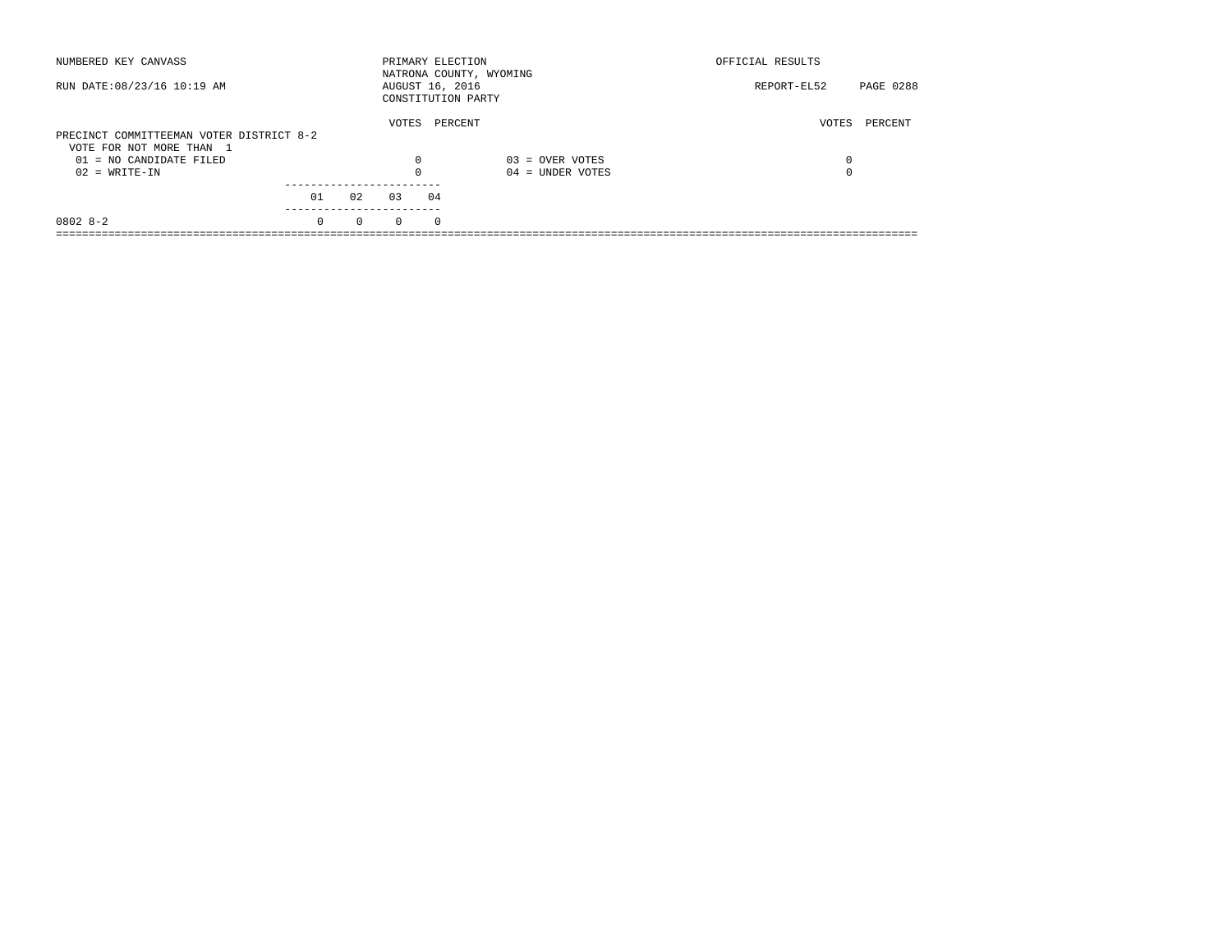| NUMBERED KEY CANVASS                                                 |          |          |          | PRIMARY ELECTION                      | NATRONA COUNTY, WYOMING | OFFICIAL RESULTS |           |
|----------------------------------------------------------------------|----------|----------|----------|---------------------------------------|-------------------------|------------------|-----------|
| RUN DATE: 08/23/16 10:19 AM                                          |          |          |          | AUGUST 16, 2016<br>CONSTITUTION PARTY |                         | REPORT-EL52      | PAGE 0288 |
| PRECINCT COMMITTEEMAN VOTER DISTRICT 8-2<br>VOTE FOR NOT MORE THAN 1 |          |          | VOTES    | PERCENT                               |                         | VOTES            | PERCENT   |
| 01 = NO CANDIDATE FILED                                              |          |          | $\Omega$ |                                       | $03 =$ OVER VOTES       | 0                |           |
| $02 = WRITE-IN$                                                      |          |          | $\Omega$ |                                       | $04 =$ UNDER VOTES      | 0                |           |
|                                                                      | 01       | 02       | 03       | 04                                    |                         |                  |           |
| $08028 - 2$                                                          | $\Omega$ | $\Omega$ | $\Omega$ | $\Omega$                              |                         |                  |           |
|                                                                      |          |          |          |                                       |                         |                  |           |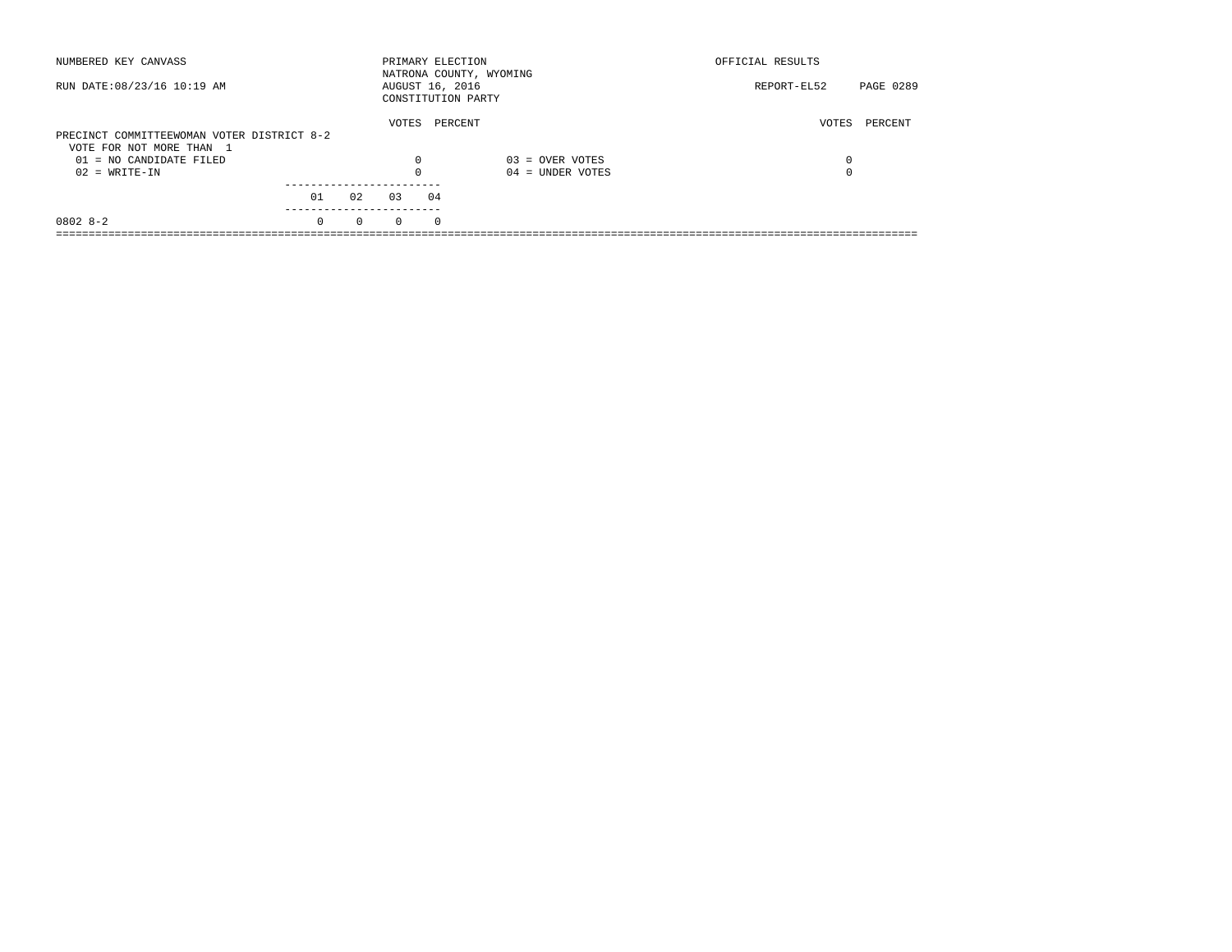| NUMBERED KEY CANVASS                       |          |          | PRIMARY ELECTION                      |            | NATRONA COUNTY, WYOMING | OFFICIAL RESULTS |           |
|--------------------------------------------|----------|----------|---------------------------------------|------------|-------------------------|------------------|-----------|
| RUN DATE: 08/23/16 10:19 AM                |          |          | AUGUST 16, 2016<br>CONSTITUTION PARTY |            |                         | REPORT-EL52      | PAGE 0289 |
| PRECINCT COMMITTEEWOMAN VOTER DISTRICT 8-2 |          |          | VOTES                                 | PERCENT    |                         | VOTES            | PERCENT   |
| VOTE FOR NOT MORE THAN 1                   |          |          |                                       |            |                         |                  |           |
| $01 = NO CANDIDATE FILED$                  |          |          | $\Omega$                              |            | $03 =$ OVER VOTES       | 0                |           |
| $02 = WRITE-IN$                            |          |          |                                       |            | $04 =$ UNDER VOTES      | $\Omega$         |           |
|                                            |          |          |                                       |            |                         |                  |           |
|                                            | 01       | 02       | 03                                    | 04         |                         |                  |           |
| $08028 - 2$                                | $\Omega$ | $\Omega$ | $\Omega$                              | $^{\circ}$ |                         |                  |           |
|                                            |          |          |                                       |            |                         |                  |           |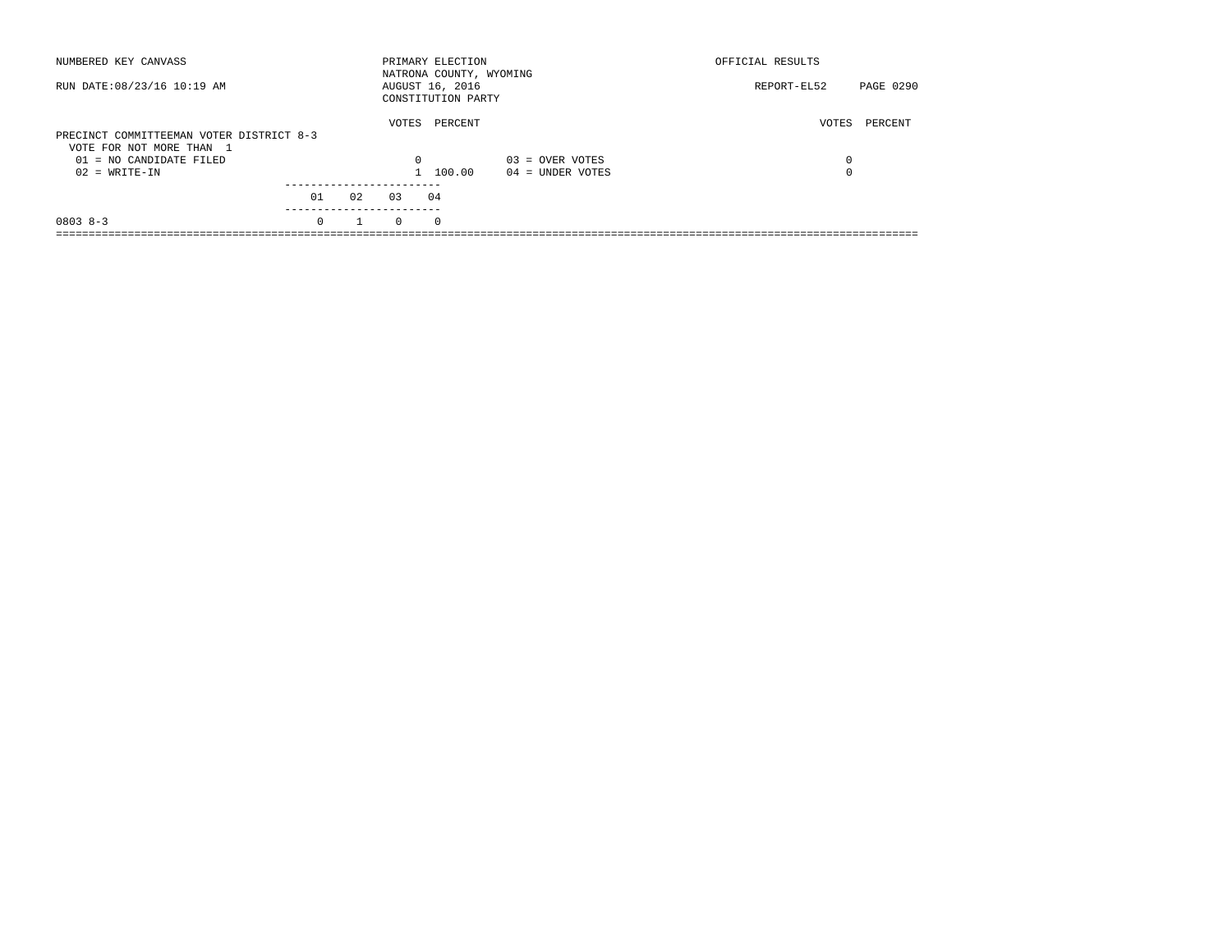| NUMBERED KEY CANVASS                                                 |          |    |          | PRIMARY ELECTION<br>NATRONA COUNTY, WYOMING |                    | OFFICIAL RESULTS |           |
|----------------------------------------------------------------------|----------|----|----------|---------------------------------------------|--------------------|------------------|-----------|
| RUN DATE: 08/23/16 10:19 AM                                          |          |    |          | AUGUST 16, 2016<br>CONSTITUTION PARTY       |                    | REPORT-EL52      | PAGE 0290 |
| PRECINCT COMMITTEEMAN VOTER DISTRICT 8-3<br>VOTE FOR NOT MORE THAN 1 |          |    | VOTES    | PERCENT                                     |                    | VOTES            | PERCENT   |
| $01 = NO CANDIDATE FILED$                                            |          |    | $\Omega$ |                                             | $03 =$ OVER VOTES  | 0                |           |
| $02 = WRITE-IN$                                                      |          |    |          | 100.00                                      | $04 =$ UNDER VOTES | 0                |           |
|                                                                      | 01       | 02 | 0.3      | 04                                          |                    |                  |           |
| $08038 - 3$                                                          | $\Omega$ |    | $\Omega$ | $^{\circ}$                                  |                    |                  |           |
|                                                                      |          |    |          |                                             |                    |                  |           |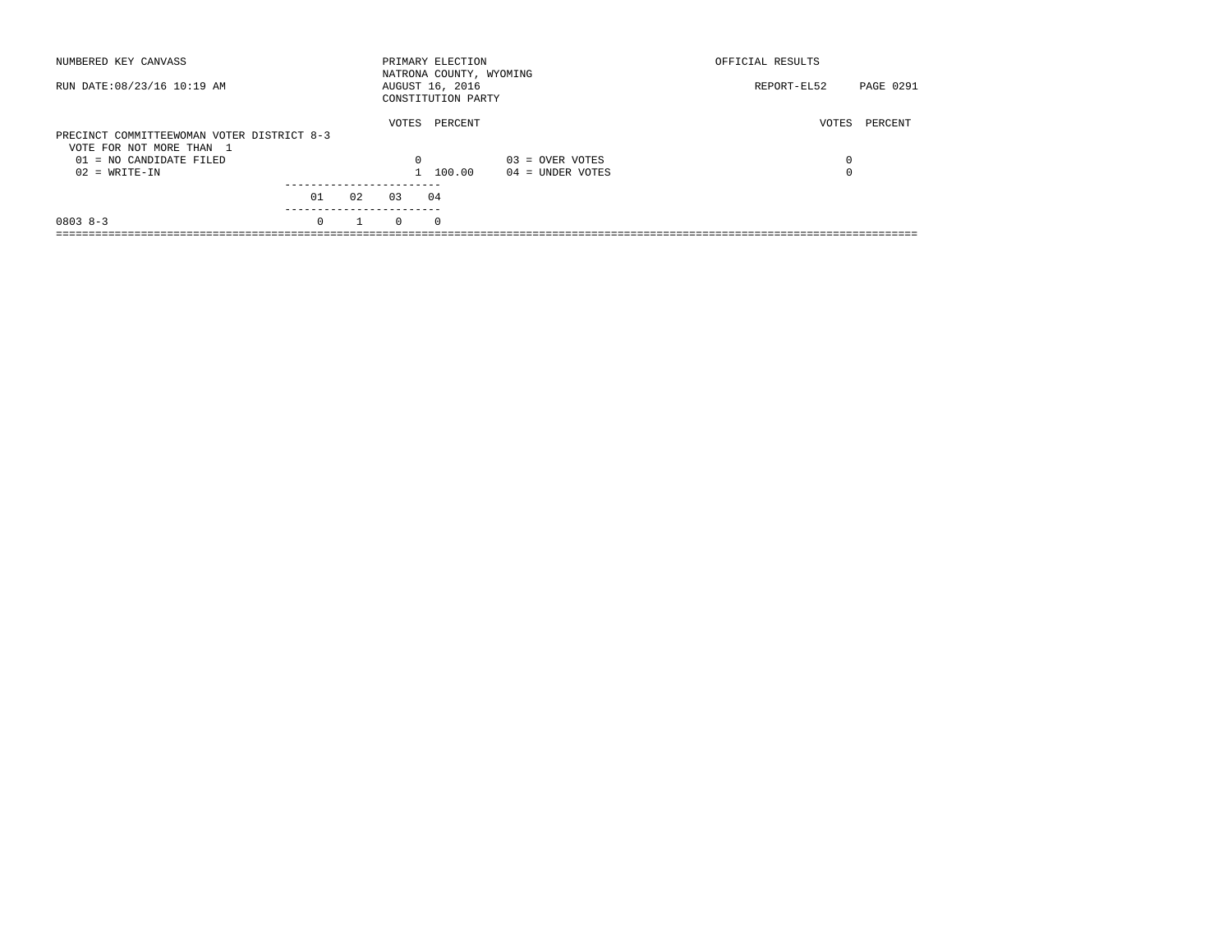| NUMBERED KEY CANVASS                                                   |          |    |          | PRIMARY ELECTION<br>NATRONA COUNTY, WYOMING |                    | OFFICIAL RESULTS |                  |
|------------------------------------------------------------------------|----------|----|----------|---------------------------------------------|--------------------|------------------|------------------|
| RUN DATE: 08/23/16 10:19 AM                                            |          |    |          | AUGUST 16, 2016<br>CONSTITUTION PARTY       |                    | REPORT-EL52      | <b>PAGE 0291</b> |
| PRECINCT COMMITTEEWOMAN VOTER DISTRICT 8-3<br>VOTE FOR NOT MORE THAN 1 |          |    | VOTES    | PERCENT                                     |                    | VOTES            | PERCENT          |
| $01 = NO$ CANDIDATE FILED                                              |          |    | $\Omega$ |                                             | $03 =$ OVER VOTES  | 0                |                  |
| $02 = WRITE-IN$                                                        |          |    |          | 100.00                                      | $04 =$ UNDER VOTES | 0                |                  |
|                                                                        | 01       | 02 | 0.3      | 04                                          |                    |                  |                  |
| $08038 - 3$                                                            | $\Omega$ |    | $\Omega$ | $\Omega$                                    |                    |                  |                  |
|                                                                        |          |    |          |                                             |                    |                  |                  |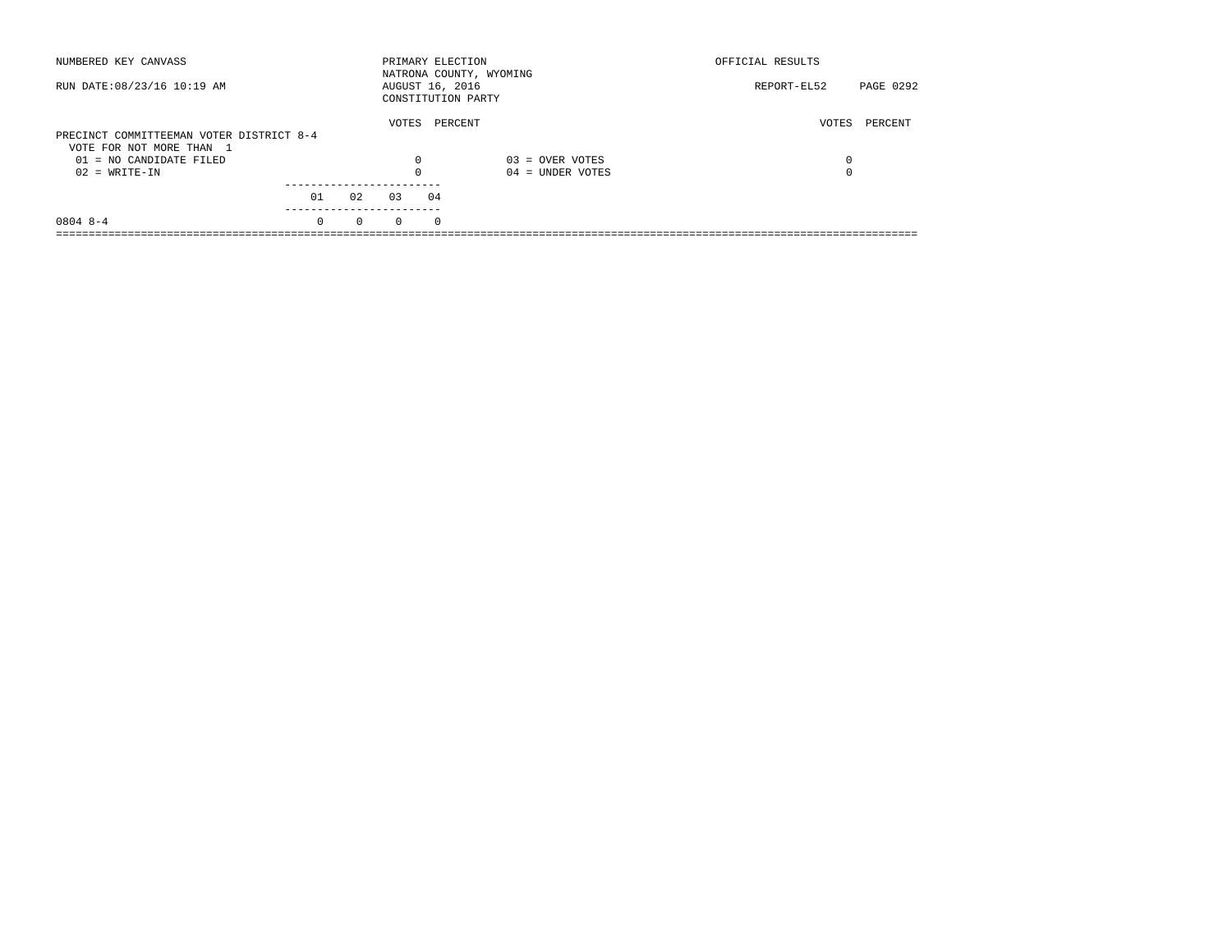| NUMBERED KEY CANVASS                                                 |          |          | PRIMARY ELECTION                      |          | NATRONA COUNTY, WYOMING | OFFICIAL RESULTS |           |
|----------------------------------------------------------------------|----------|----------|---------------------------------------|----------|-------------------------|------------------|-----------|
| RUN DATE: 08/23/16 10:19 AM                                          |          |          | AUGUST 16, 2016<br>CONSTITUTION PARTY |          |                         | REPORT-EL52      | PAGE 0292 |
| PRECINCT COMMITTEEMAN VOTER DISTRICT 8-4<br>VOTE FOR NOT MORE THAN 1 |          |          | VOTES                                 | PERCENT  |                         | VOTES            | PERCENT   |
| $01 = NO$ CANDIDATE FILED                                            |          |          | $\Omega$                              |          | $03 =$ OVER VOTES       | 0                |           |
| $02 = WRITE-IN$                                                      |          |          | $\Omega$                              |          | $04 =$ UNDER VOTES      | 0                |           |
|                                                                      | 01       | 02       | 03                                    | 04       |                         |                  |           |
| $0804$ 8-4                                                           | $\Omega$ | $\Omega$ | $\Omega$                              | $\Omega$ |                         |                  |           |
|                                                                      |          |          |                                       |          |                         |                  |           |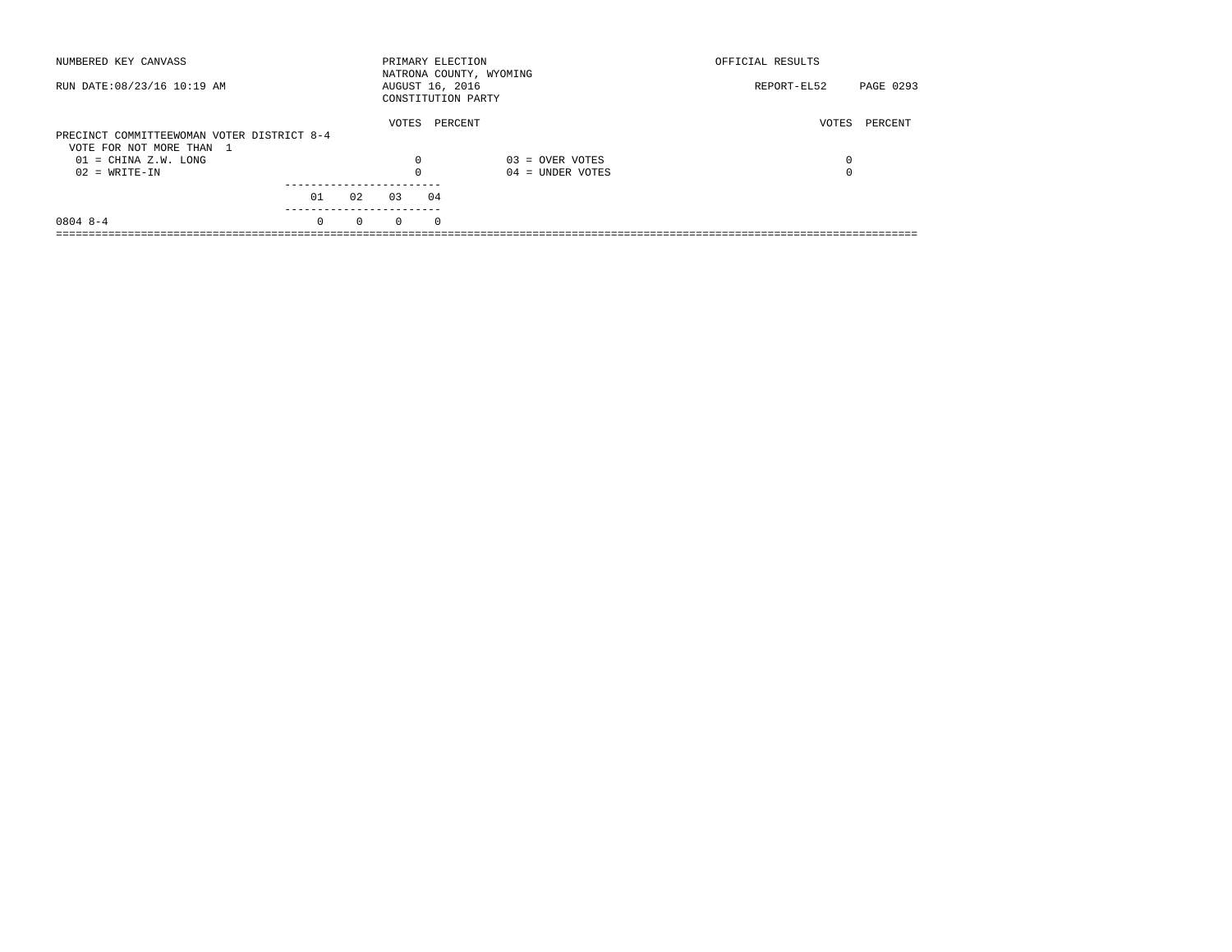| NUMBERED KEY CANVASS                               |          |          |                 |            | PRIMARY ELECTION<br>NATRONA COUNTY, WYOMING | OFFICIAL RESULTS |           |
|----------------------------------------------------|----------|----------|-----------------|------------|---------------------------------------------|------------------|-----------|
| RUN DATE: 08/23/16 10:19 AM                        |          |          | AUGUST 16, 2016 |            | CONSTITUTION PARTY                          | REPORT-EL52      | PAGE 0293 |
| PRECINCT COMMITTEEWOMAN VOTER DISTRICT 8-4         |          |          | VOTES           |            | PERCENT                                     | VOTES            | PERCENT   |
| VOTE FOR NOT MORE THAN 1<br>$01 = CHINA Z.W. LONG$ |          |          | $\Omega$        |            | $03 =$ OVER VOTES                           | 0                |           |
| $02 = WRITE-IN$                                    |          |          |                 |            | $04 =$ UNDER VOTES                          |                  |           |
|                                                    | 01       | 02       | 03              | 04         |                                             |                  |           |
| $08048 - -4$                                       | $\Omega$ | $\Omega$ | $\Omega$        | $^{\circ}$ |                                             |                  |           |
|                                                    |          |          |                 |            |                                             |                  |           |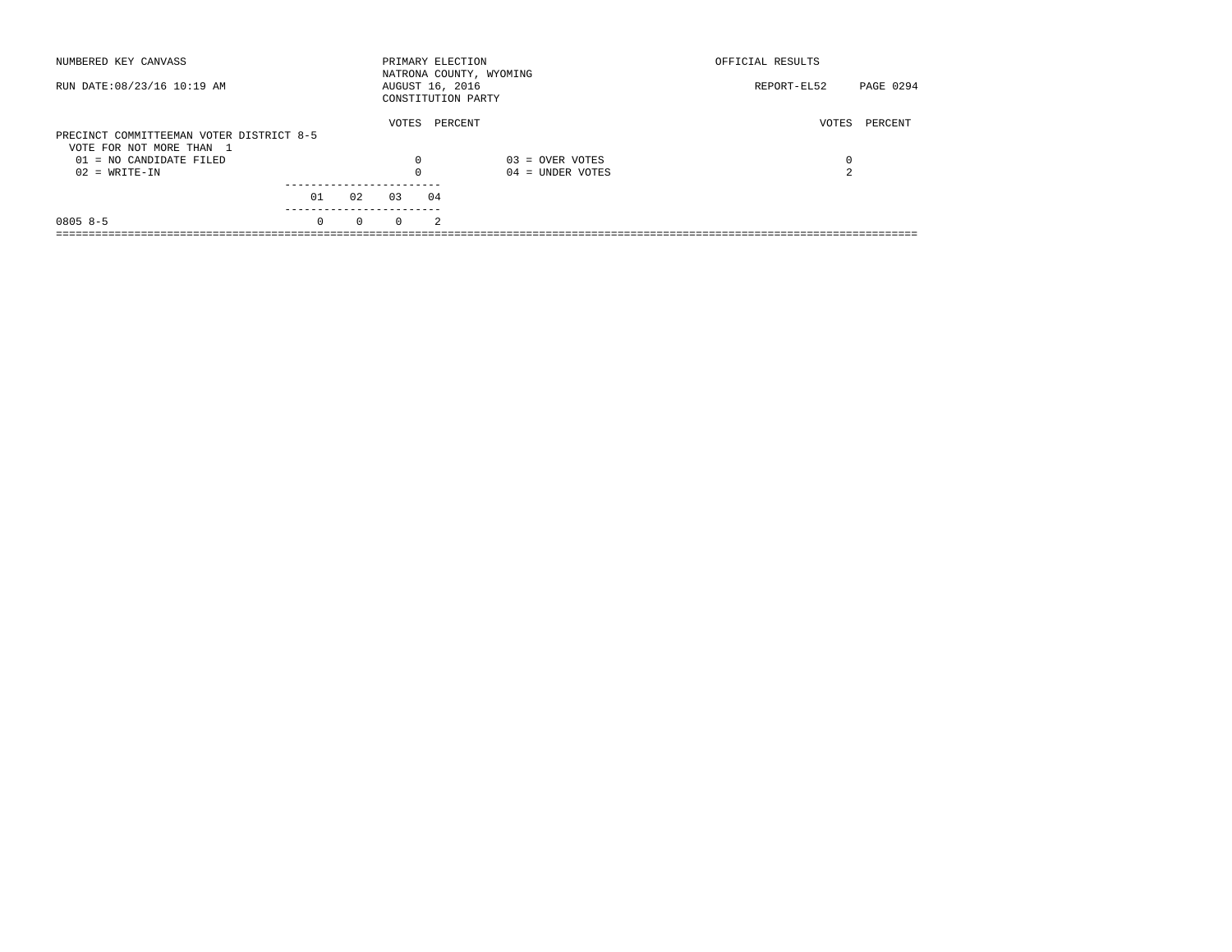| NUMBERED KEY CANVASS                                                 |          |          | PRIMARY ELECTION |                | NATRONA COUNTY, WYOMING | OFFICIAL RESULTS |           |
|----------------------------------------------------------------------|----------|----------|------------------|----------------|-------------------------|------------------|-----------|
| RUN DATE: 08/23/16 10:19 AM                                          |          |          | AUGUST 16, 2016  |                | CONSTITUTION PARTY      | REPORT-EL52      | PAGE 0294 |
| PRECINCT COMMITTEEMAN VOTER DISTRICT 8-5<br>VOTE FOR NOT MORE THAN 1 |          |          | VOTES            |                | PERCENT                 | VOTES            | PERCENT   |
| $01 = NO$ CANDIDATE FILED                                            |          |          | 0                |                | $03 =$ OVER VOTES       | 0                |           |
| $02 = WRITE-IN$                                                      |          |          | $\Omega$         |                | $04 =$ UNDER VOTES      | 2                |           |
|                                                                      | 01       | 02       | 0.3              | 04             |                         |                  |           |
| $0805 8 - 5$                                                         | $\Omega$ | $\Omega$ | $\Omega$         | $\mathfrak{D}$ |                         |                  |           |
|                                                                      |          |          |                  |                |                         |                  |           |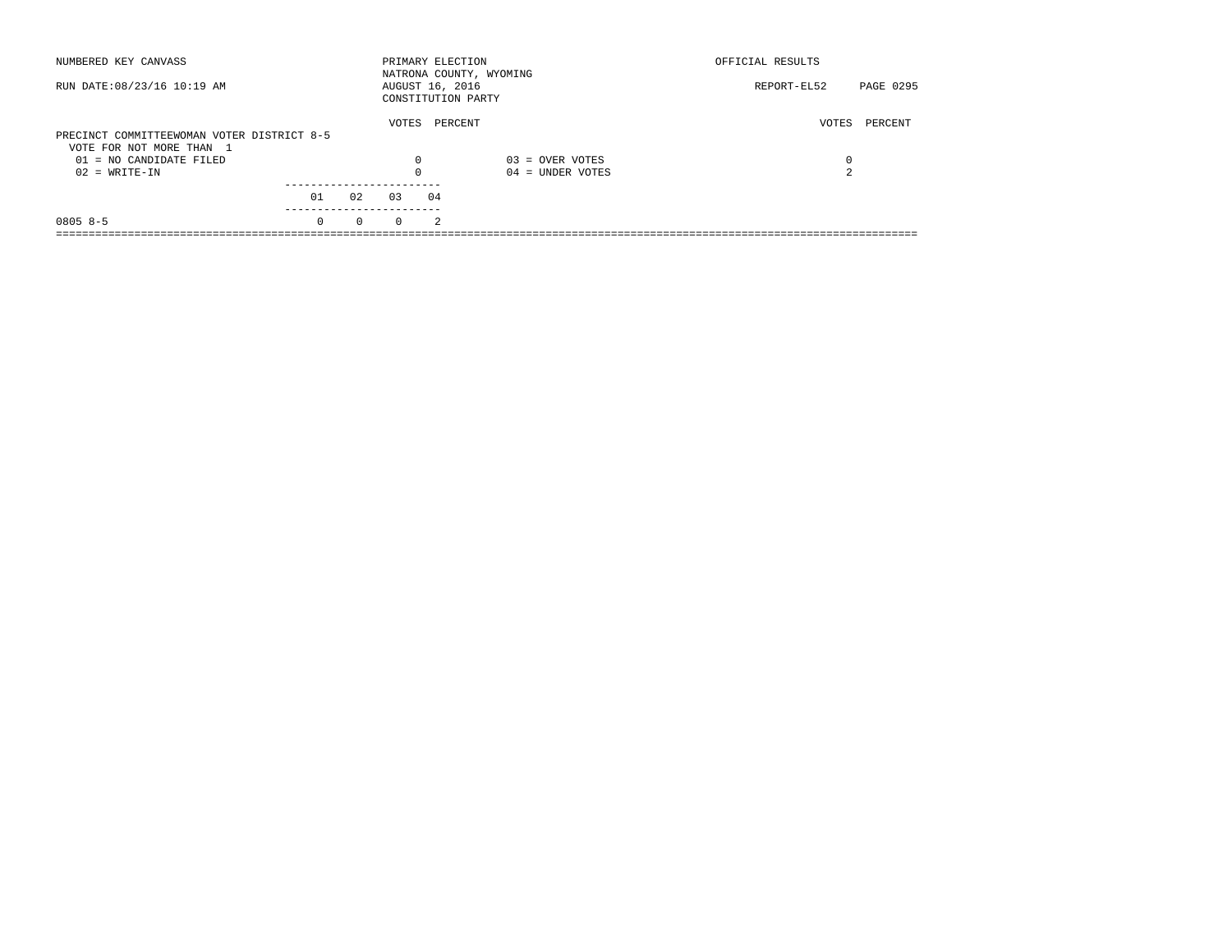| NUMBERED KEY CANVASS                       |          |          | PRIMARY ELECTION |                | NATRONA COUNTY, WYOMING | OFFICIAL RESULTS |           |
|--------------------------------------------|----------|----------|------------------|----------------|-------------------------|------------------|-----------|
| RUN DATE: 08/23/16 10:19 AM                |          |          | AUGUST 16, 2016  |                | CONSTITUTION PARTY      | REPORT-EL52      | PAGE 0295 |
|                                            |          |          | VOTES            |                | PERCENT                 | VOTES            | PERCENT   |
| PRECINCT COMMITTEEWOMAN VOTER DISTRICT 8-5 |          |          |                  |                |                         |                  |           |
| VOTE FOR NOT MORE THAN 1                   |          |          |                  |                |                         |                  |           |
| $01 = NO$ CANDIDATE FILED                  |          |          | $\Omega$         |                | $03 =$ OVER VOTES       | 0                |           |
| $02 = WRITE-IN$                            |          |          | $\Omega$         |                | $04 =$ UNDER VOTES      | 2                |           |
|                                            |          |          |                  |                |                         |                  |           |
|                                            | 01       | 02       | 0.3              | 04             |                         |                  |           |
| $0805 8 - 5$                               | $\Omega$ | $\Omega$ | $\Omega$         | $\mathfrak{D}$ |                         |                  |           |
|                                            |          |          |                  |                |                         |                  |           |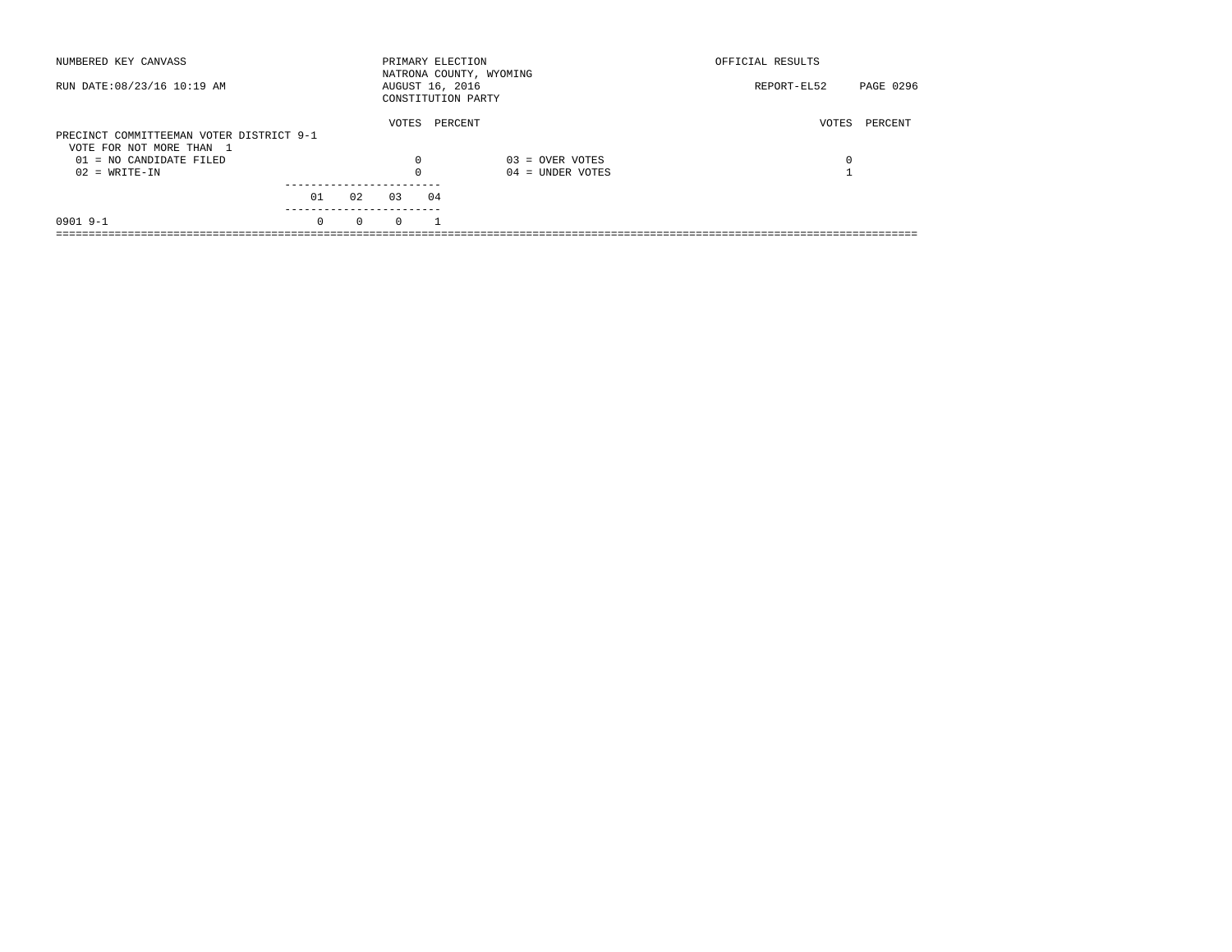| NUMBERED KEY CANVASS                                                 |          |          | PRIMARY ELECTION                      |         | NATRONA COUNTY, WYOMING | OFFICIAL RESULTS         |  |
|----------------------------------------------------------------------|----------|----------|---------------------------------------|---------|-------------------------|--------------------------|--|
| RUN DATE: 08/23/16 10:19 AM                                          |          |          | AUGUST 16, 2016<br>CONSTITUTION PARTY |         |                         | PAGE 0296<br>REPORT-EL52 |  |
| PRECINCT COMMITTEEMAN VOTER DISTRICT 9-1<br>VOTE FOR NOT MORE THAN 1 |          |          | VOTES                                 | PERCENT |                         | PERCENT<br>VOTES         |  |
| $01 = NO$ CANDIDATE FILED                                            |          |          | 0                                     |         | $03 =$ OVER VOTES       | 0                        |  |
| $02 = WRITE-IN$                                                      |          |          | $\Omega$                              |         | $04 =$ UNDER VOTES      |                          |  |
|                                                                      | 01       | 02       | 03                                    | 04      |                         |                          |  |
| $09019 - -1$                                                         | $\Omega$ | $\Omega$ | $\Omega$                              |         |                         |                          |  |
|                                                                      |          |          |                                       |         |                         |                          |  |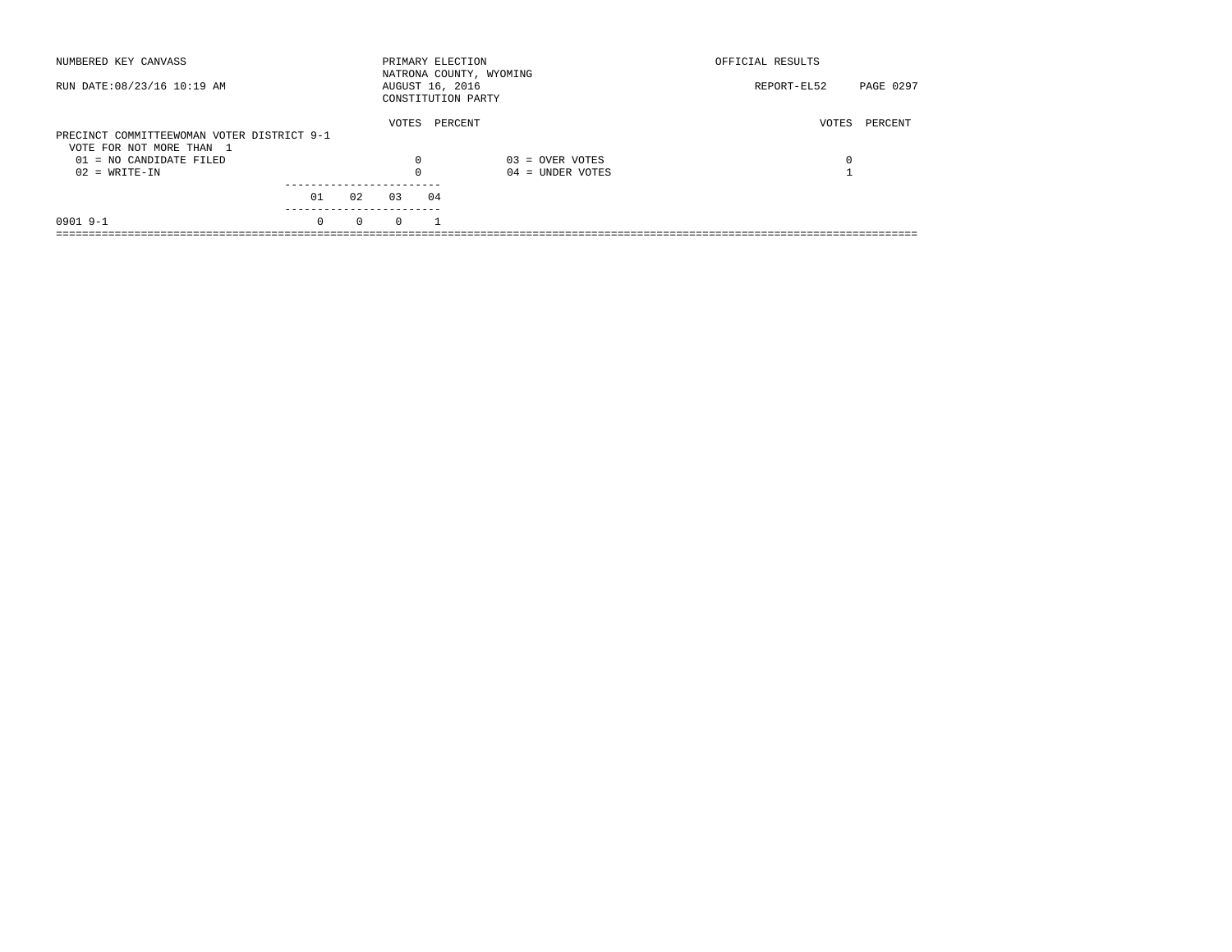| NUMBERED KEY CANVASS                       |          |          | PRIMARY ELECTION |    | NATRONA COUNTY, WYOMING | OFFICIAL RESULTS |           |
|--------------------------------------------|----------|----------|------------------|----|-------------------------|------------------|-----------|
| RUN DATE: 08/23/16 10:19 AM                |          |          | AUGUST 16, 2016  |    | CONSTITUTION PARTY      | REPORT-EL52      | PAGE 0297 |
| PRECINCT COMMITTEEWOMAN VOTER DISTRICT 9-1 |          |          | VOTES            |    | PERCENT                 | VOTES            | PERCENT   |
| VOTE FOR NOT MORE THAN 1                   |          |          |                  |    |                         |                  |           |
| $01 = NO$ CANDIDATE FILED                  |          |          | $\Omega$         |    | $03 =$ OVER VOTES       | 0                |           |
| $02 = WRITE-IN$                            |          |          | $\Omega$         |    | $04$ = UNDER VOTES      |                  |           |
|                                            |          |          |                  |    |                         |                  |           |
|                                            | 01       | 02       | 0.3              | 04 |                         |                  |           |
| $09019 - -1$                               | $\Omega$ | $\Omega$ | $\Omega$         |    |                         |                  |           |
|                                            |          |          |                  |    |                         |                  |           |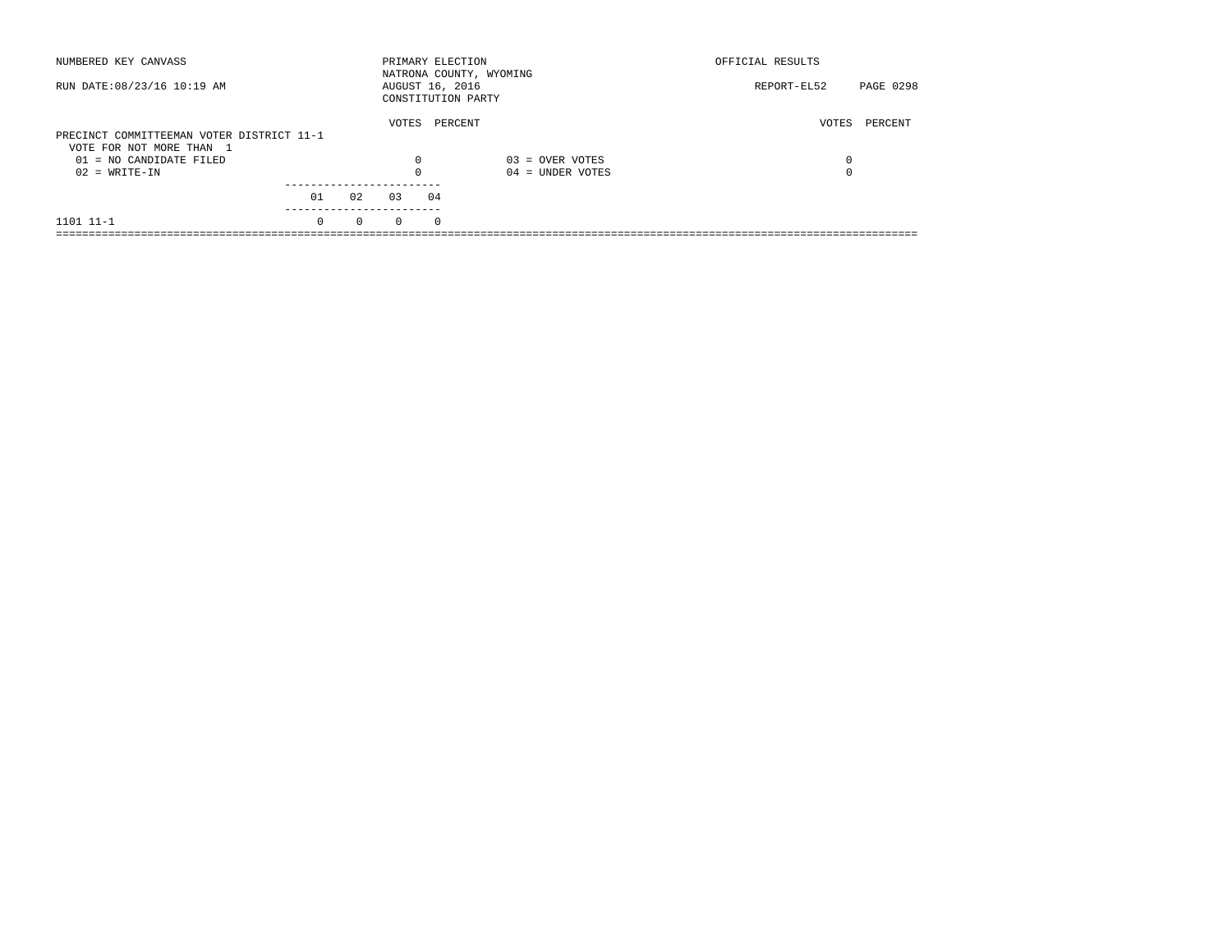| NUMBERED KEY CANVASS                                                  |          |          | PRIMARY ELECTION                      |            | NATRONA COUNTY, WYOMING | OFFICIAL RESULTS |           |
|-----------------------------------------------------------------------|----------|----------|---------------------------------------|------------|-------------------------|------------------|-----------|
| RUN DATE: 08/23/16 10:19 AM                                           |          |          | AUGUST 16, 2016<br>CONSTITUTION PARTY |            |                         | REPORT-EL52      | PAGE 0298 |
| PRECINCT COMMITTEEMAN VOTER DISTRICT 11-1<br>VOTE FOR NOT MORE THAN 1 |          |          | VOTES                                 | PERCENT    |                         | VOTES            | PERCENT   |
| $01 = NO CANDIDATE FILED$                                             |          |          | $\Omega$                              |            | $03 =$ OVER VOTES       | 0                |           |
| $02 = WRITE-IN$                                                       |          |          |                                       |            | $04 =$ UNDER VOTES      | $\Omega$         |           |
|                                                                       | 01       | 02       | 03                                    | 04         |                         |                  |           |
| 1101 11-1                                                             | $\Omega$ | $\Omega$ | $\Omega$                              | $^{\circ}$ |                         |                  |           |
|                                                                       |          |          |                                       |            |                         |                  |           |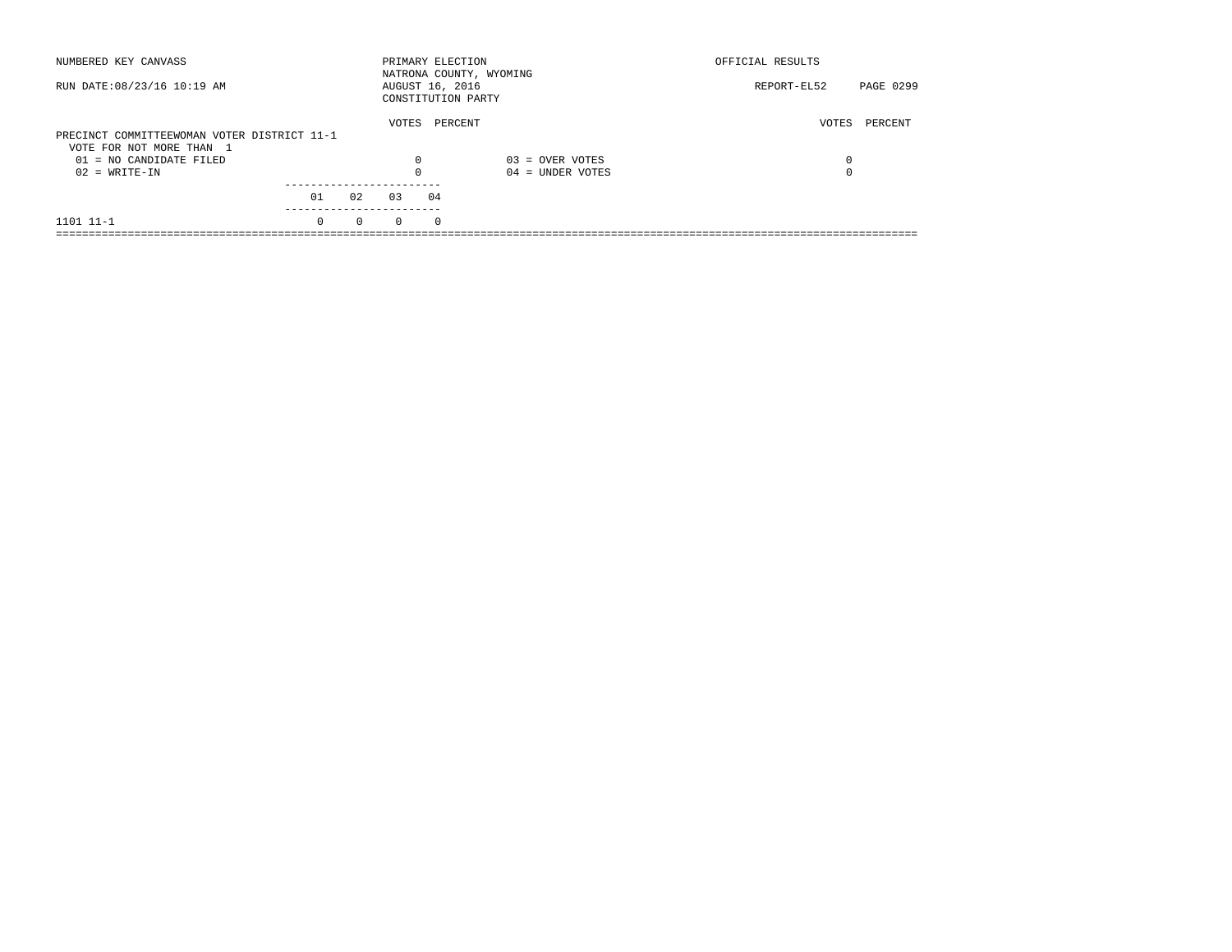| NUMBERED KEY CANVASS                        |          |          | PRIMARY ELECTION |            | NATRONA COUNTY, WYOMING | OFFICIAL RESULTS |           |
|---------------------------------------------|----------|----------|------------------|------------|-------------------------|------------------|-----------|
| RUN DATE: 08/23/16 10:19 AM                 |          |          | AUGUST 16, 2016  |            | CONSTITUTION PARTY      | REPORT-EL52      | PAGE 0299 |
|                                             |          |          | VOTES            |            | PERCENT                 | VOTES            | PERCENT   |
| PRECINCT COMMITTEEWOMAN VOTER DISTRICT 11-1 |          |          |                  |            |                         |                  |           |
| VOTE FOR NOT MORE THAN 1                    |          |          |                  |            |                         |                  |           |
| $01 = NO CANDIDATE FILED$                   |          |          | $\Omega$         |            | $03 =$ OVER VOTES       | 0                |           |
| $02 = WRITE-IN$                             |          |          |                  |            | $04 =$ UNDER VOTES      | $\Omega$         |           |
|                                             |          |          |                  |            |                         |                  |           |
|                                             | 01       | 02       | 03               | 04         |                         |                  |           |
| 1101 11-1                                   | $\Omega$ | $\Omega$ | $\Omega$         | $^{\circ}$ |                         |                  |           |
|                                             |          |          |                  |            |                         |                  |           |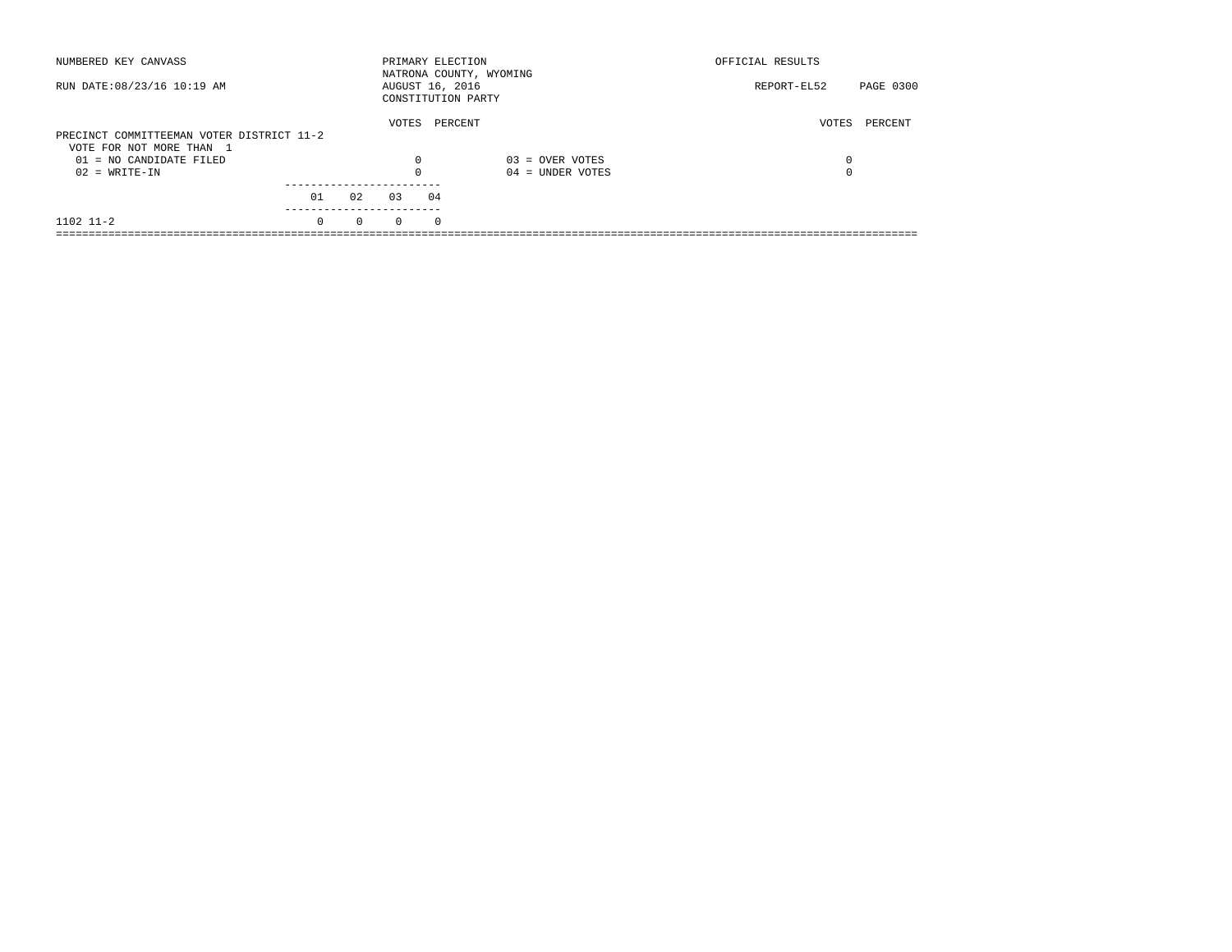| NUMBERED KEY CANVASS                                                  |          |          | PRIMARY ELECTION                      |            | NATRONA COUNTY, WYOMING | OFFICIAL RESULTS |           |
|-----------------------------------------------------------------------|----------|----------|---------------------------------------|------------|-------------------------|------------------|-----------|
| RUN DATE: 08/23/16 10:19 AM                                           |          |          | AUGUST 16, 2016<br>CONSTITUTION PARTY |            |                         | REPORT-EL52      | PAGE 0300 |
| PRECINCT COMMITTEEMAN VOTER DISTRICT 11-2<br>VOTE FOR NOT MORE THAN 1 |          |          | VOTES                                 | PERCENT    |                         | VOTES            | PERCENT   |
| $01 = NO CANDIDATE FILED$                                             |          |          | $\Omega$                              |            | $03 =$ OVER VOTES       | 0                |           |
| $02 = WRITE-IN$                                                       |          |          |                                       |            | $04 =$ UNDER VOTES      | $\Omega$         |           |
|                                                                       | 01       | 02       | 03                                    | 04         |                         |                  |           |
| $1102$ $11-2$                                                         | $\Omega$ | $\Omega$ | $\Omega$                              | $^{\circ}$ |                         |                  |           |
|                                                                       |          |          |                                       |            |                         |                  |           |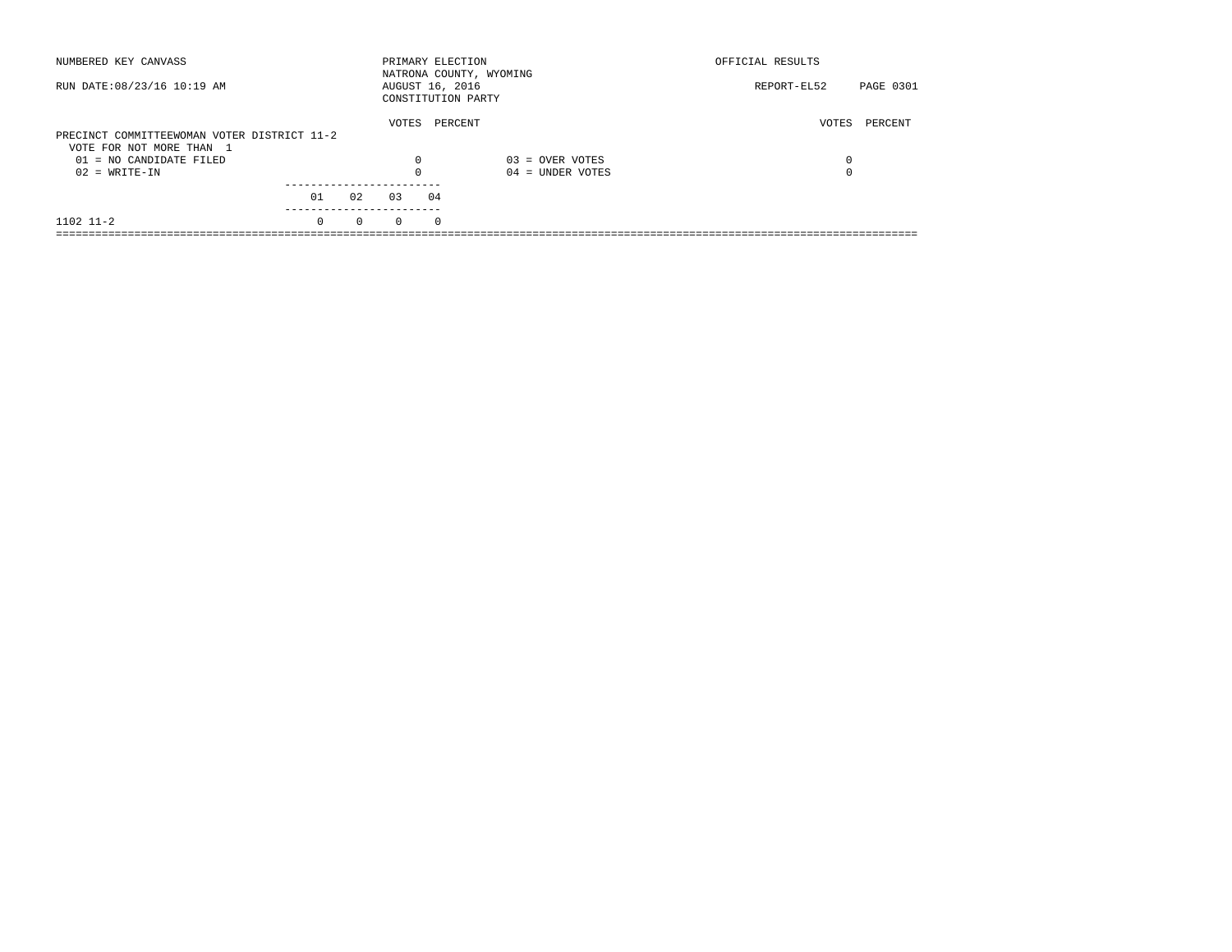| NUMBERED KEY CANVASS                        |          |          | PRIMARY ELECTION                      |            | NATRONA COUNTY, WYOMING | OFFICIAL RESULTS |           |
|---------------------------------------------|----------|----------|---------------------------------------|------------|-------------------------|------------------|-----------|
| RUN DATE: 08/23/16 10:19 AM                 |          |          | AUGUST 16, 2016<br>CONSTITUTION PARTY |            |                         | REPORT-EL52      | PAGE 0301 |
|                                             |          |          | VOTES                                 | PERCENT    |                         | VOTES            | PERCENT   |
| PRECINCT COMMITTEEWOMAN VOTER DISTRICT 11-2 |          |          |                                       |            |                         |                  |           |
| VOTE FOR NOT MORE THAN 1                    |          |          |                                       |            |                         |                  |           |
| $01 = NO CANDIDATE FILED$                   |          |          | $\Omega$                              |            | $03 =$ OVER VOTES       | 0                |           |
| $02 = WRITE-IN$                             |          |          |                                       |            | $04 =$ UNDER VOTES      | $\Omega$         |           |
|                                             |          |          |                                       |            |                         |                  |           |
|                                             | 01       | 02       | 03                                    | 04         |                         |                  |           |
| $1102$ $11-2$                               | $\Omega$ | $\Omega$ | $\Omega$                              | $^{\circ}$ |                         |                  |           |
|                                             |          |          |                                       |            |                         |                  |           |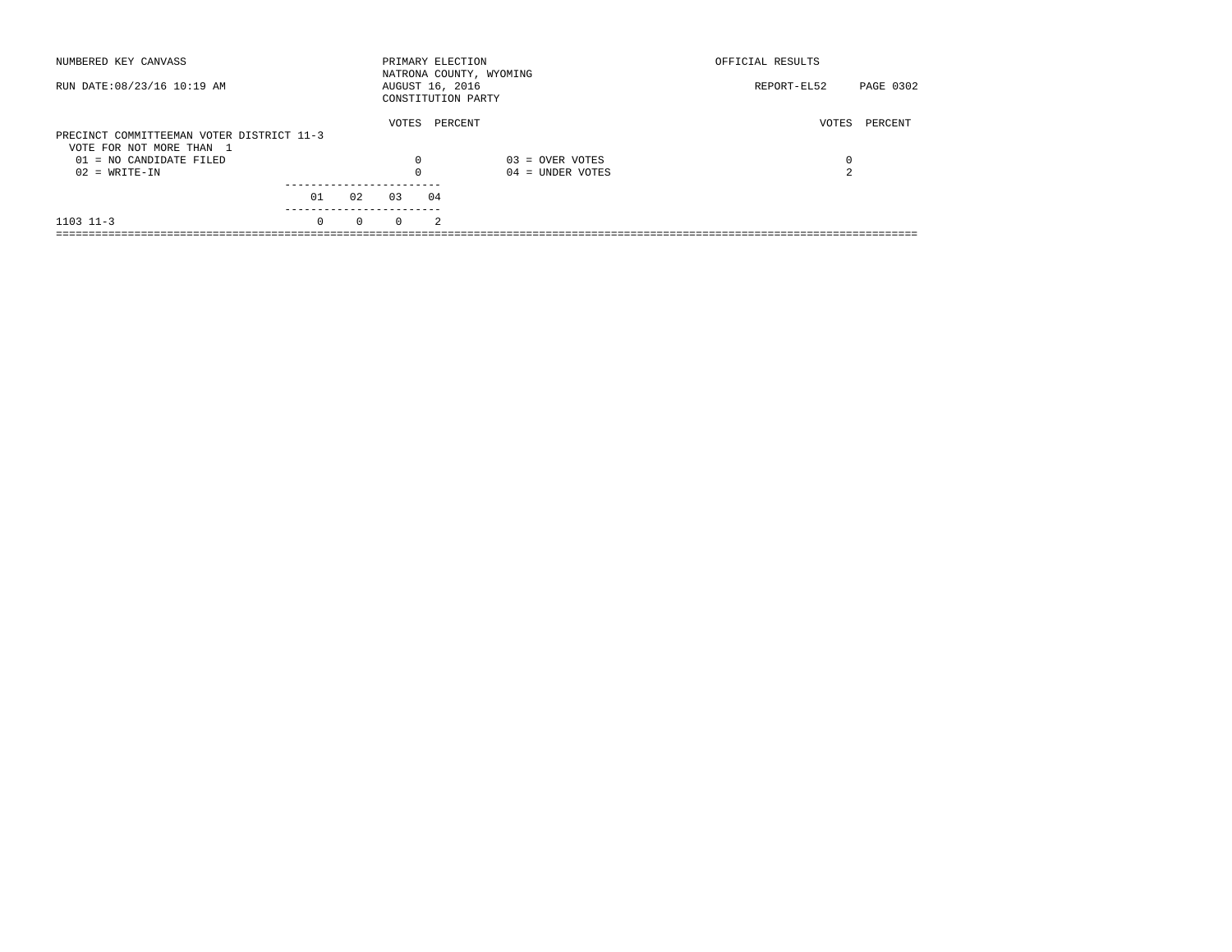| NUMBERED KEY CANVASS                                                  |          |          |                 |                | PRIMARY ELECTION<br>NATRONA COUNTY, WYOMING | OFFICIAL RESULTS |           |
|-----------------------------------------------------------------------|----------|----------|-----------------|----------------|---------------------------------------------|------------------|-----------|
| RUN DATE: 08/23/16 10:19 AM                                           |          |          | AUGUST 16, 2016 |                | CONSTITUTION PARTY                          | REPORT-EL52      | PAGE 0302 |
| PRECINCT COMMITTEEMAN VOTER DISTRICT 11-3<br>VOTE FOR NOT MORE THAN 1 |          |          | VOTES           |                | PERCENT                                     | VOTES            | PERCENT   |
| $01 = NO CANDIDATE FILED$                                             |          |          | $\Omega$        |                | $03 =$ OVER VOTES                           | 0                |           |
| $02 = WRITE-IN$                                                       |          |          |                 |                | $04 =$ UNDER VOTES                          | 2                |           |
|                                                                       | 01       | 02       | 0.3             | 04             |                                             |                  |           |
| $1103$ $11-3$                                                         | $\Omega$ | $\Omega$ | $\Omega$        | $\mathfrak{D}$ |                                             |                  |           |
|                                                                       |          |          |                 |                |                                             |                  |           |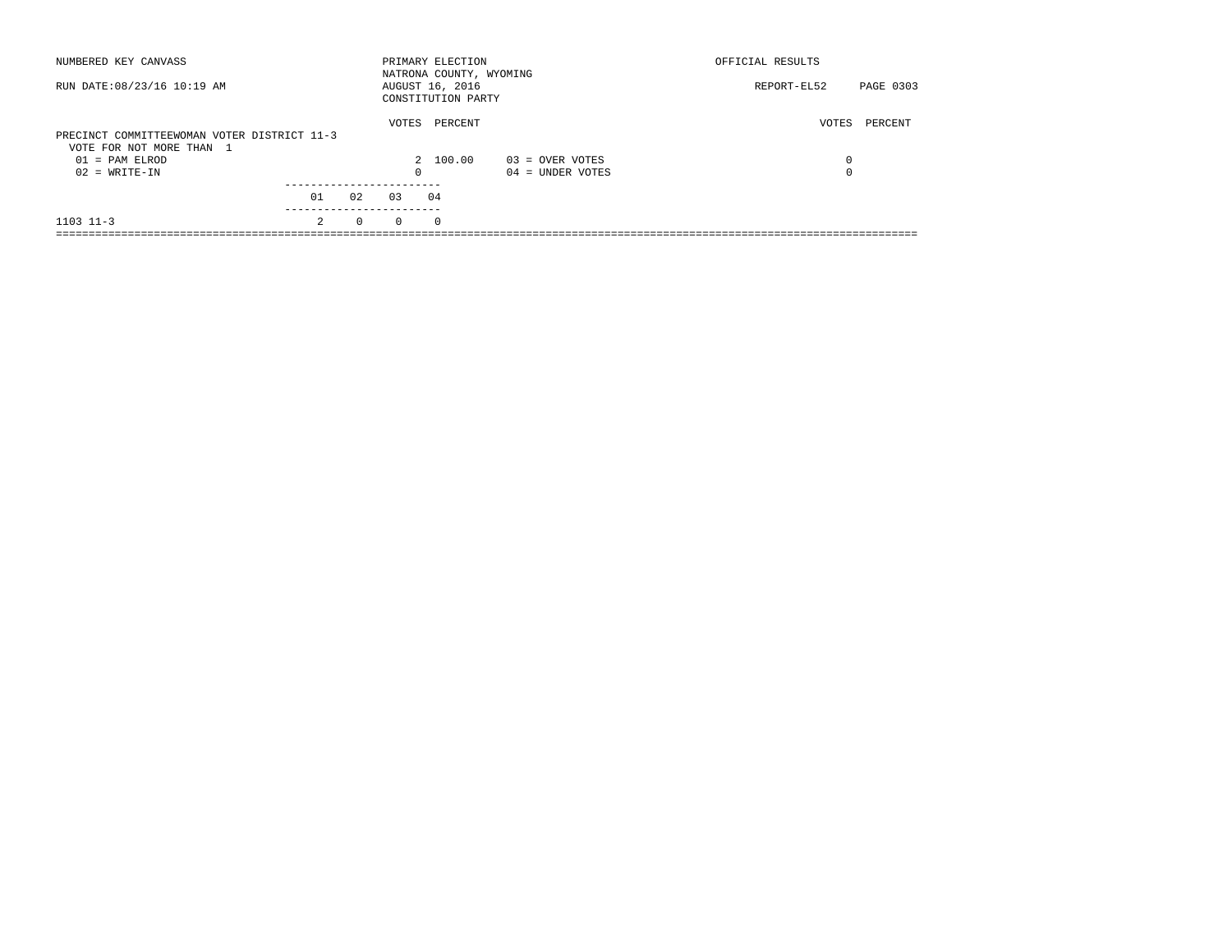| NUMBERED KEY CANVASS<br>RUN DATE: 08/23/16 10:19 AM |                |          |          | PRIMARY ELECTION<br>NATRONA COUNTY, WYOMING<br>AUGUST 16, 2016 |                    | OFFICIAL RESULTS<br>REPORT-EL52 | PAGE 0303 |
|-----------------------------------------------------|----------------|----------|----------|----------------------------------------------------------------|--------------------|---------------------------------|-----------|
|                                                     |                |          |          | CONSTITUTION PARTY                                             |                    |                                 |           |
| PRECINCT COMMITTEEWOMAN VOTER DISTRICT 11-3         |                |          | VOTES    | PERCENT                                                        |                    | VOTES                           | PERCENT   |
| VOTE FOR NOT MORE THAN 1<br>$01 = PAM ELROD$        |                |          |          | 2 100.00                                                       | 03 = OVER VOTES    | 0                               |           |
| $02 = WRITE-IN$                                     |                |          | $\Omega$ |                                                                | $04 =$ UNDER VOTES | 0                               |           |
|                                                     | 01             | 0.2      | 0.3      | 04                                                             |                    |                                 |           |
| $1103$ $11-3$                                       | $\mathfrak{D}$ | $\Omega$ | $\Omega$ | $\circ$                                                        |                    |                                 |           |
|                                                     |                |          |          |                                                                |                    |                                 |           |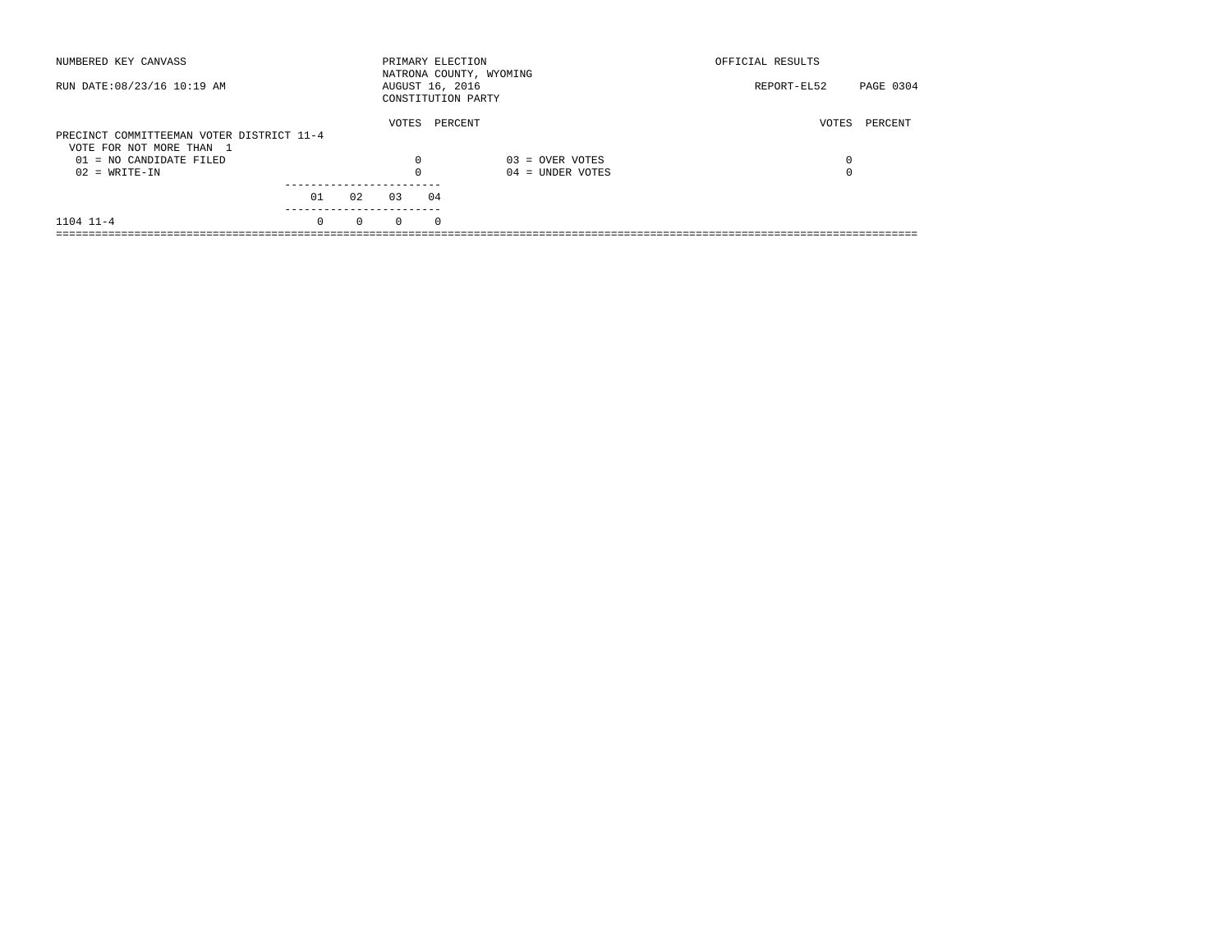| NUMBERED KEY CANVASS                                                  |          |          | PRIMARY ELECTION |            | NATRONA COUNTY, WYOMING | OFFICIAL RESULTS |           |
|-----------------------------------------------------------------------|----------|----------|------------------|------------|-------------------------|------------------|-----------|
| RUN DATE: 08/23/16 10:19 AM                                           |          |          | AUGUST 16, 2016  |            | CONSTITUTION PARTY      | REPORT-EL52      | PAGE 0304 |
| PRECINCT COMMITTEEMAN VOTER DISTRICT 11-4<br>VOTE FOR NOT MORE THAN 1 |          |          | VOTES            |            | PERCENT                 | VOTES            | PERCENT   |
| $01 = NO CANDIDATE FILED$                                             |          |          | $\Omega$         |            | $03 =$ OVER VOTES       | 0                |           |
| $02 = WRITE-IN$                                                       |          |          |                  |            | $04 =$ UNDER VOTES      | $\Omega$         |           |
|                                                                       | 01       | 02       | 03               | 04         |                         |                  |           |
| $1104$ $11-4$                                                         | $\Omega$ | $\Omega$ | $\Omega$         | $^{\circ}$ |                         |                  |           |
|                                                                       |          |          |                  |            |                         |                  |           |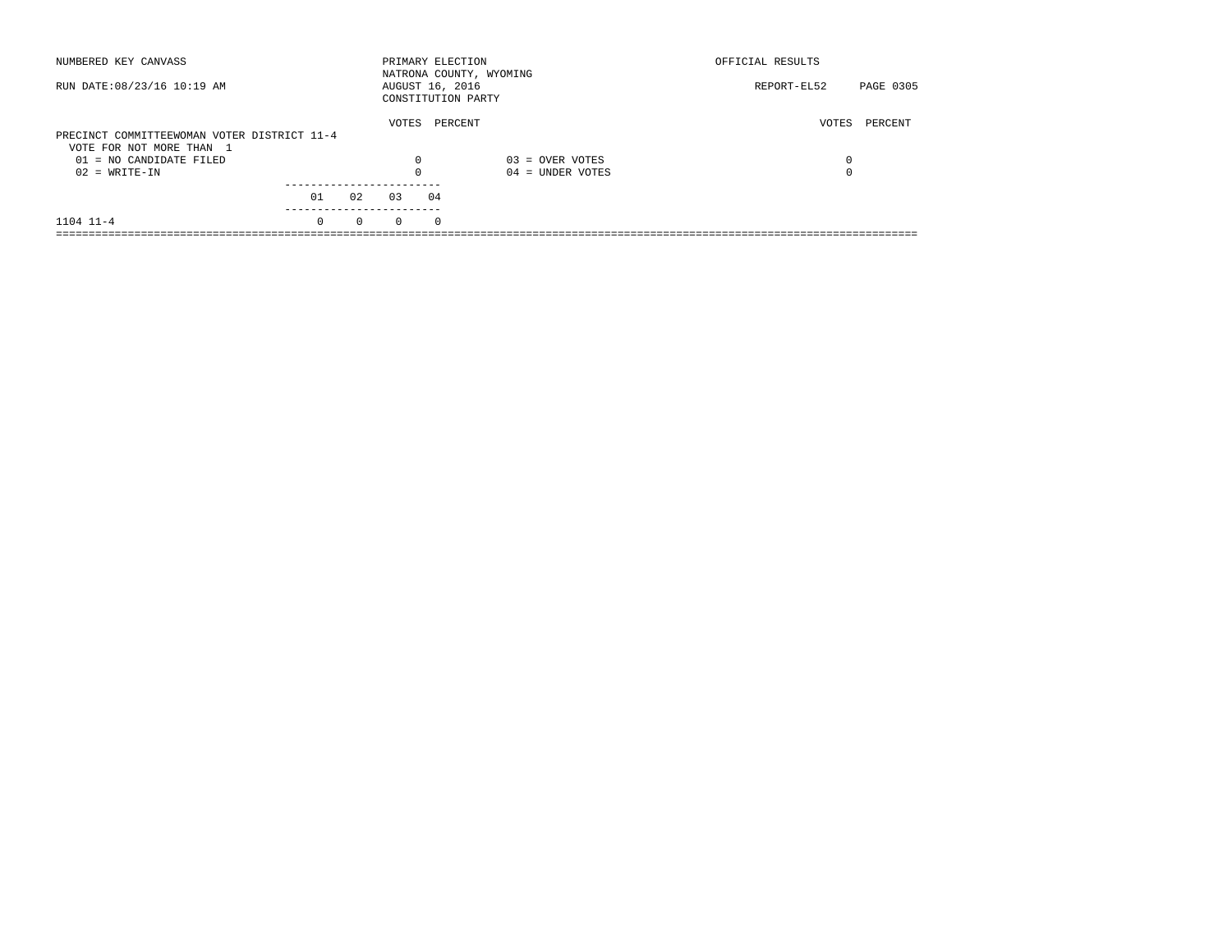| NUMBERED KEY CANVASS                        |          |          | PRIMARY ELECTION |            | NATRONA COUNTY, WYOMING | OFFICIAL RESULTS |           |
|---------------------------------------------|----------|----------|------------------|------------|-------------------------|------------------|-----------|
| RUN DATE: 08/23/16 10:19 AM                 |          |          | AUGUST 16, 2016  |            | CONSTITUTION PARTY      | REPORT-EL52      | PAGE 0305 |
|                                             |          |          | VOTES            |            | PERCENT                 | VOTES            | PERCENT   |
| PRECINCT COMMITTEEWOMAN VOTER DISTRICT 11-4 |          |          |                  |            |                         |                  |           |
| VOTE FOR NOT MORE THAN 1                    |          |          |                  |            |                         |                  |           |
| $01 = NO CANDIDATE FILED$                   |          |          | $\Omega$         |            | $03 =$ OVER VOTES       | 0                |           |
| $02 = WRITE-IN$                             |          |          |                  |            | $04 =$ UNDER VOTES      | $\Omega$         |           |
|                                             |          |          |                  |            |                         |                  |           |
|                                             | 01       | 02       | 03               | 04         |                         |                  |           |
| $1104$ $11-4$                               | $\Omega$ | $\Omega$ | $\Omega$         | $^{\circ}$ |                         |                  |           |
|                                             |          |          |                  |            |                         |                  |           |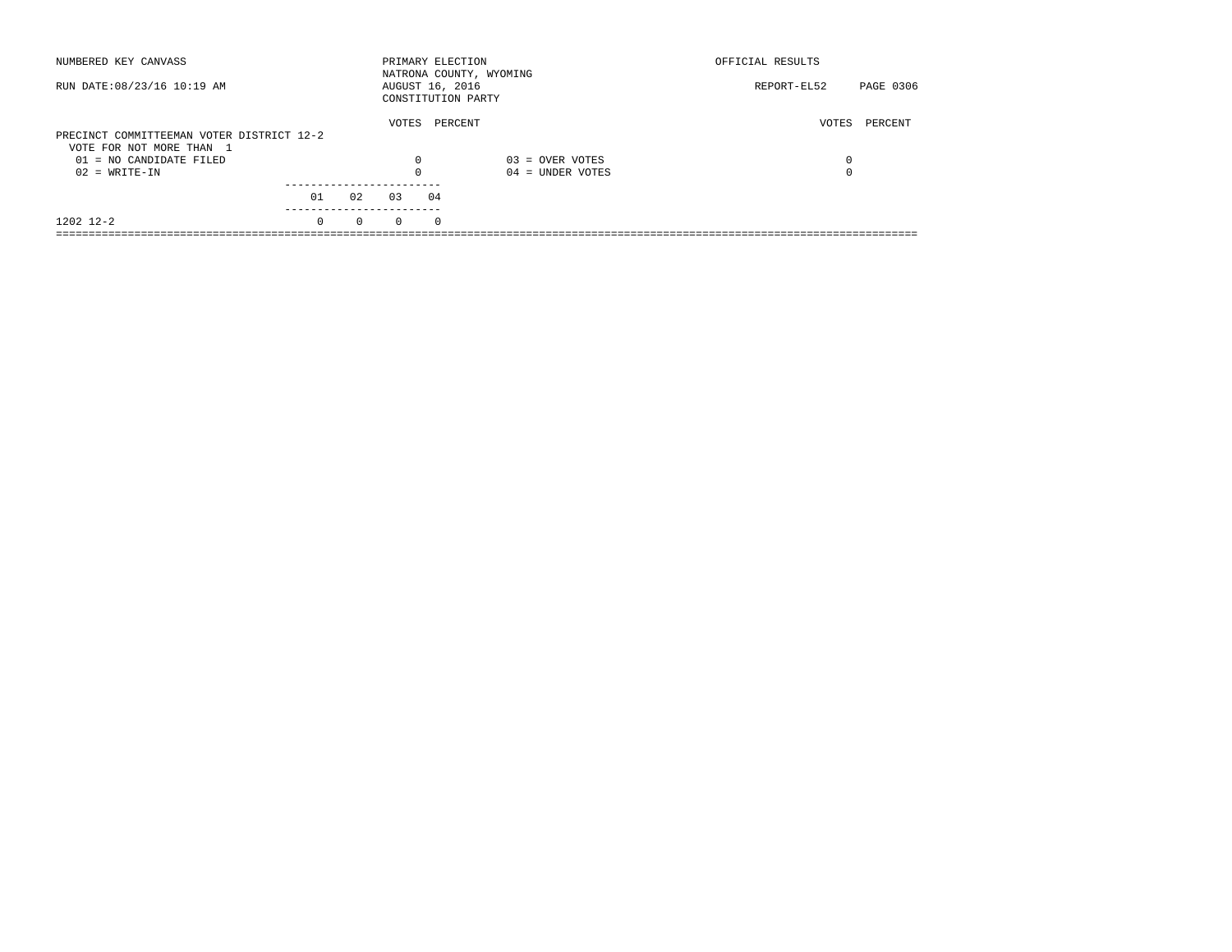| NUMBERED KEY CANVASS                                                  |          |          | PRIMARY ELECTION |            | NATRONA COUNTY, WYOMING | OFFICIAL RESULTS |           |
|-----------------------------------------------------------------------|----------|----------|------------------|------------|-------------------------|------------------|-----------|
| RUN DATE: 08/23/16 10:19 AM                                           |          |          | AUGUST 16, 2016  |            | CONSTITUTION PARTY      | REPORT-EL52      | PAGE 0306 |
| PRECINCT COMMITTEEMAN VOTER DISTRICT 12-2<br>VOTE FOR NOT MORE THAN 1 |          |          | VOTES            |            | PERCENT                 | VOTES            | PERCENT   |
| $01 = NO CANDIDATE FILED$                                             |          |          | $\Omega$         |            | $03 =$ OVER VOTES       | 0                |           |
| $02 = WRITE-IN$                                                       |          |          |                  |            | $04 =$ UNDER VOTES      | $\Omega$         |           |
|                                                                       | 01       | 02       | 03               | 04         |                         |                  |           |
| 1202 12-2                                                             | $\Omega$ | $\Omega$ | $\Omega$         | $^{\circ}$ |                         |                  |           |
|                                                                       |          |          |                  |            |                         |                  |           |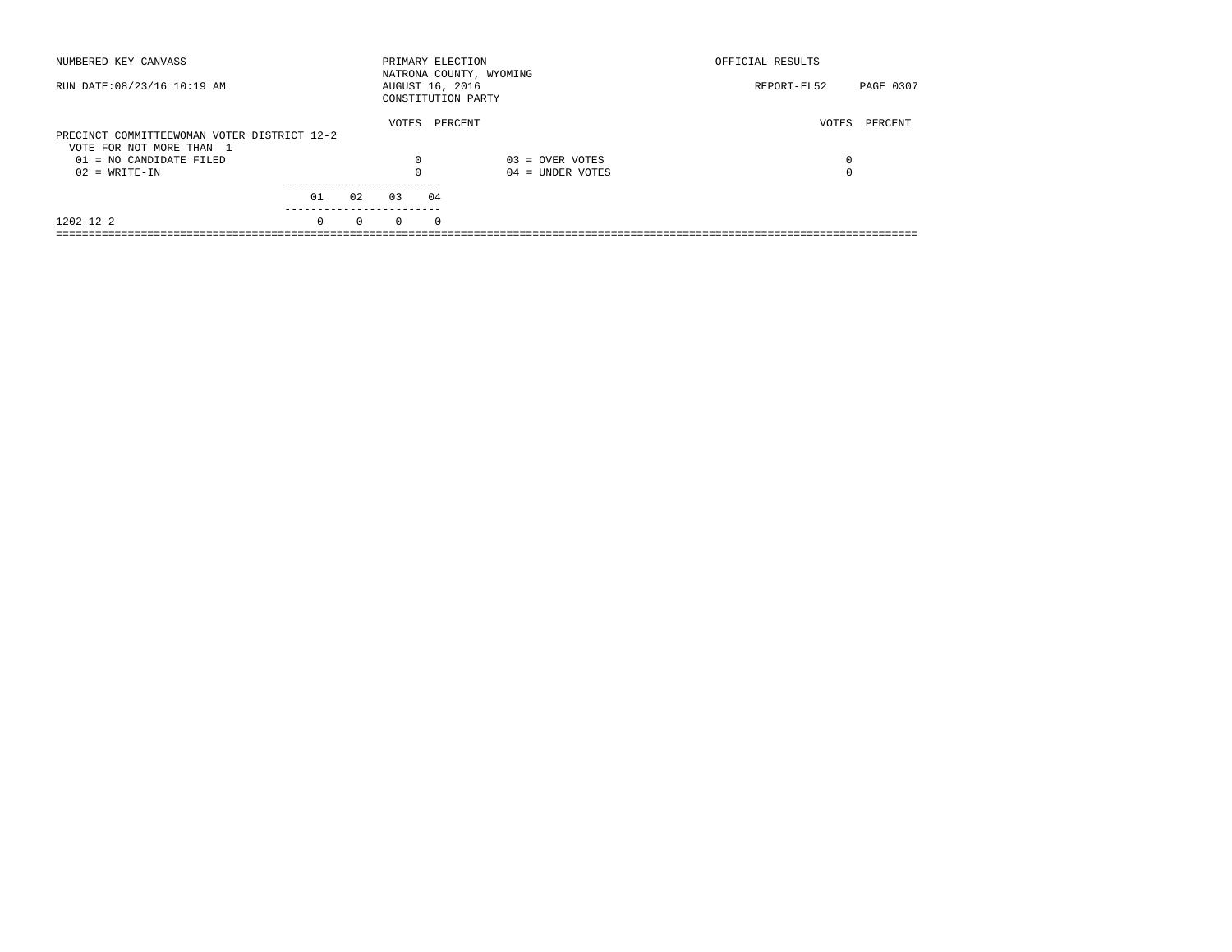| NUMBERED KEY CANVASS                        |          |          | PRIMARY ELECTION |          | NATRONA COUNTY, WYOMING | OFFICIAL RESULTS |           |
|---------------------------------------------|----------|----------|------------------|----------|-------------------------|------------------|-----------|
| RUN DATE: 08/23/16 10:19 AM                 |          |          | AUGUST 16, 2016  |          | CONSTITUTION PARTY      | REPORT-EL52      | PAGE 0307 |
|                                             |          |          | VOTES            |          | PERCENT                 | VOTES            | PERCENT   |
| PRECINCT COMMITTEEWOMAN VOTER DISTRICT 12-2 |          |          |                  |          |                         |                  |           |
| VOTE FOR NOT MORE THAN 1                    |          |          |                  |          |                         |                  |           |
| $01 = NO CANDIDATE FILED$                   |          |          | $\Omega$         |          | $03 =$ OVER VOTES       | 0                |           |
| $02 = WRITE-IN$                             |          |          |                  |          | $04 =$ UNDER VOTES      | $\Omega$         |           |
|                                             |          |          |                  |          |                         |                  |           |
|                                             | 01       | 02       | 03               | 04       |                         |                  |           |
| 1202 12-2                                   | $\Omega$ | $\Omega$ | $\Omega$         | $\Omega$ |                         |                  |           |
|                                             |          |          |                  |          |                         |                  |           |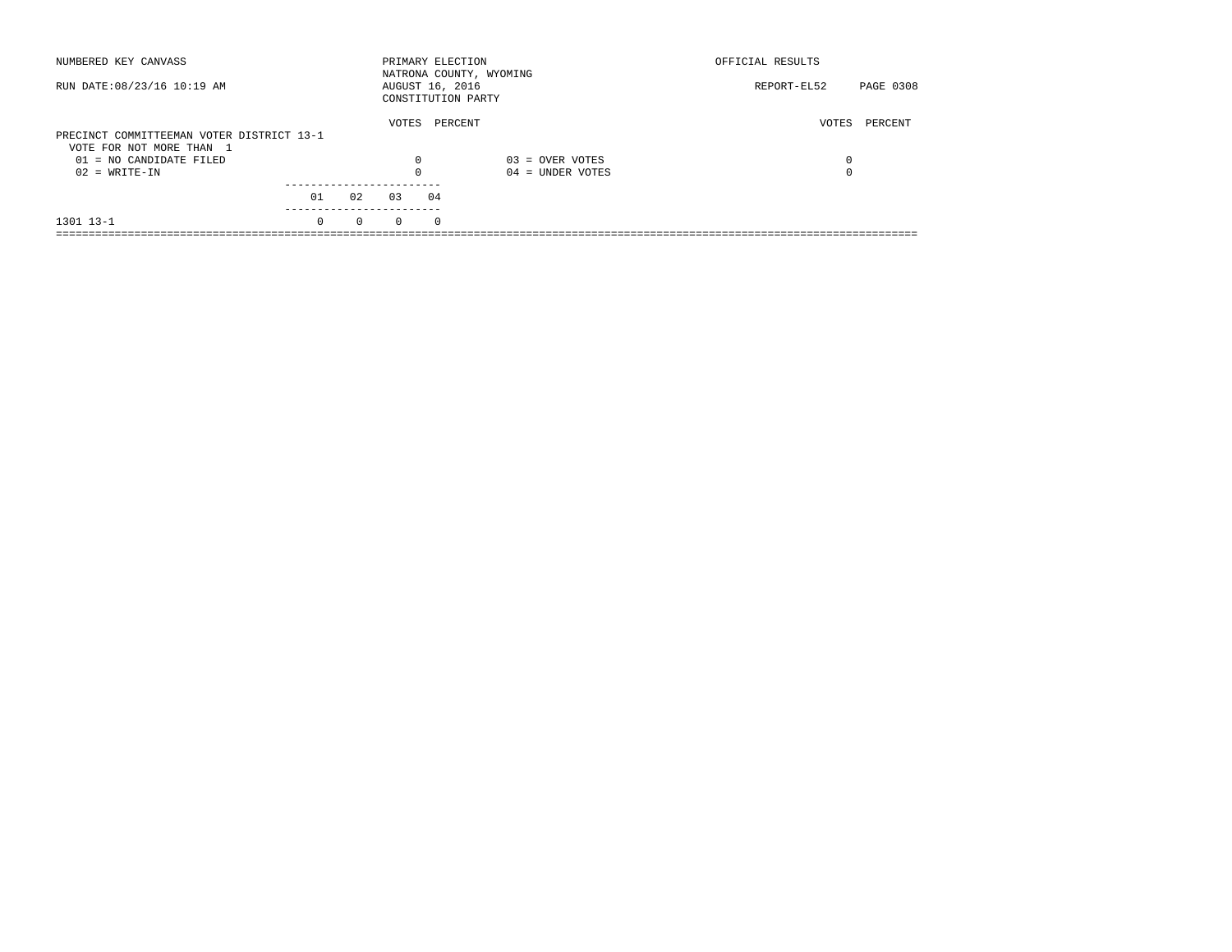| NUMBERED KEY CANVASS                                                  |          |          | PRIMARY ELECTION                      |            | NATRONA COUNTY, WYOMING | OFFICIAL RESULTS |           |
|-----------------------------------------------------------------------|----------|----------|---------------------------------------|------------|-------------------------|------------------|-----------|
| RUN DATE: 08/23/16 10:19 AM                                           |          |          | AUGUST 16, 2016<br>CONSTITUTION PARTY |            |                         | REPORT-EL52      | PAGE 0308 |
| PRECINCT COMMITTEEMAN VOTER DISTRICT 13-1<br>VOTE FOR NOT MORE THAN 1 |          |          | VOTES                                 | PERCENT    |                         | VOTES            | PERCENT   |
| $01 = NO CANDIDATE FILED$                                             |          |          | $\Omega$                              |            | $03 =$ OVER VOTES       | 0                |           |
| $02 = WRITE-IN$                                                       |          |          |                                       |            | $04 =$ UNDER VOTES      | $\Omega$         |           |
|                                                                       |          |          |                                       |            |                         |                  |           |
|                                                                       | 01       | 02       | 03                                    | 04         |                         |                  |           |
| 1301 13-1                                                             | $\Omega$ | $\Omega$ | $\Omega$                              | $^{\circ}$ |                         |                  |           |
|                                                                       |          |          |                                       |            |                         |                  |           |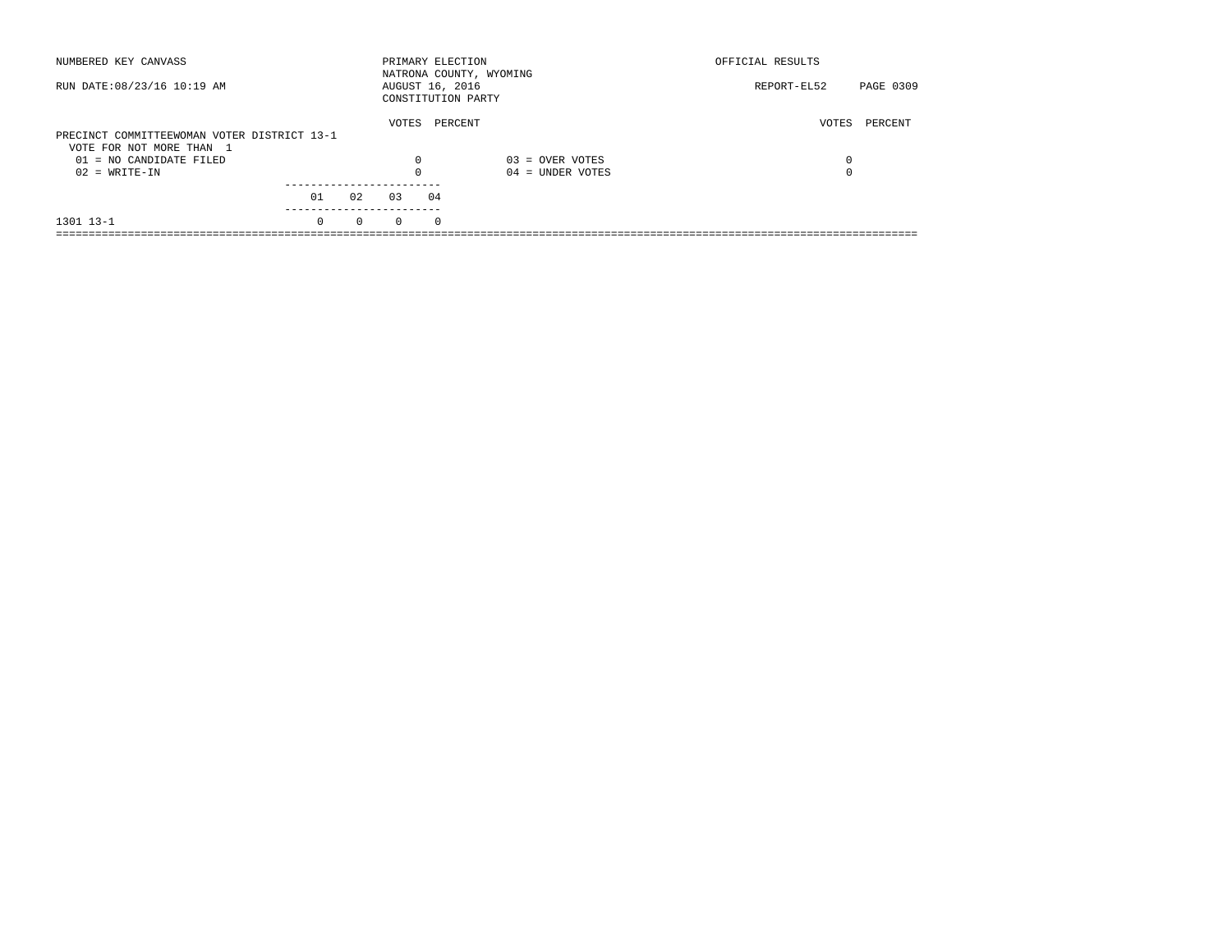| NUMBERED KEY CANVASS                        |          |          | PRIMARY ELECTION |            | NATRONA COUNTY, WYOMING | OFFICIAL RESULTS |           |
|---------------------------------------------|----------|----------|------------------|------------|-------------------------|------------------|-----------|
| RUN DATE: 08/23/16 10:19 AM                 |          |          | AUGUST 16, 2016  |            | CONSTITUTION PARTY      | REPORT-EL52      | PAGE 0309 |
|                                             |          |          | VOTES            |            | PERCENT                 | VOTES            | PERCENT   |
| PRECINCT COMMITTEEWOMAN VOTER DISTRICT 13-1 |          |          |                  |            |                         |                  |           |
| VOTE FOR NOT MORE THAN 1                    |          |          |                  |            |                         |                  |           |
| $01 = NO CANDIDATE FILED$                   |          |          | $\Omega$         |            | $03 =$ OVER VOTES       | 0                |           |
| $02 = WRITE-IN$                             |          |          |                  |            | $04 =$ UNDER VOTES      | $\Omega$         |           |
|                                             |          |          |                  |            |                         |                  |           |
|                                             | 01       | 02       | 03               | 04         |                         |                  |           |
| 1301 13-1                                   | $\Omega$ | $\Omega$ | $\Omega$         | $^{\circ}$ |                         |                  |           |
|                                             |          |          |                  |            |                         |                  |           |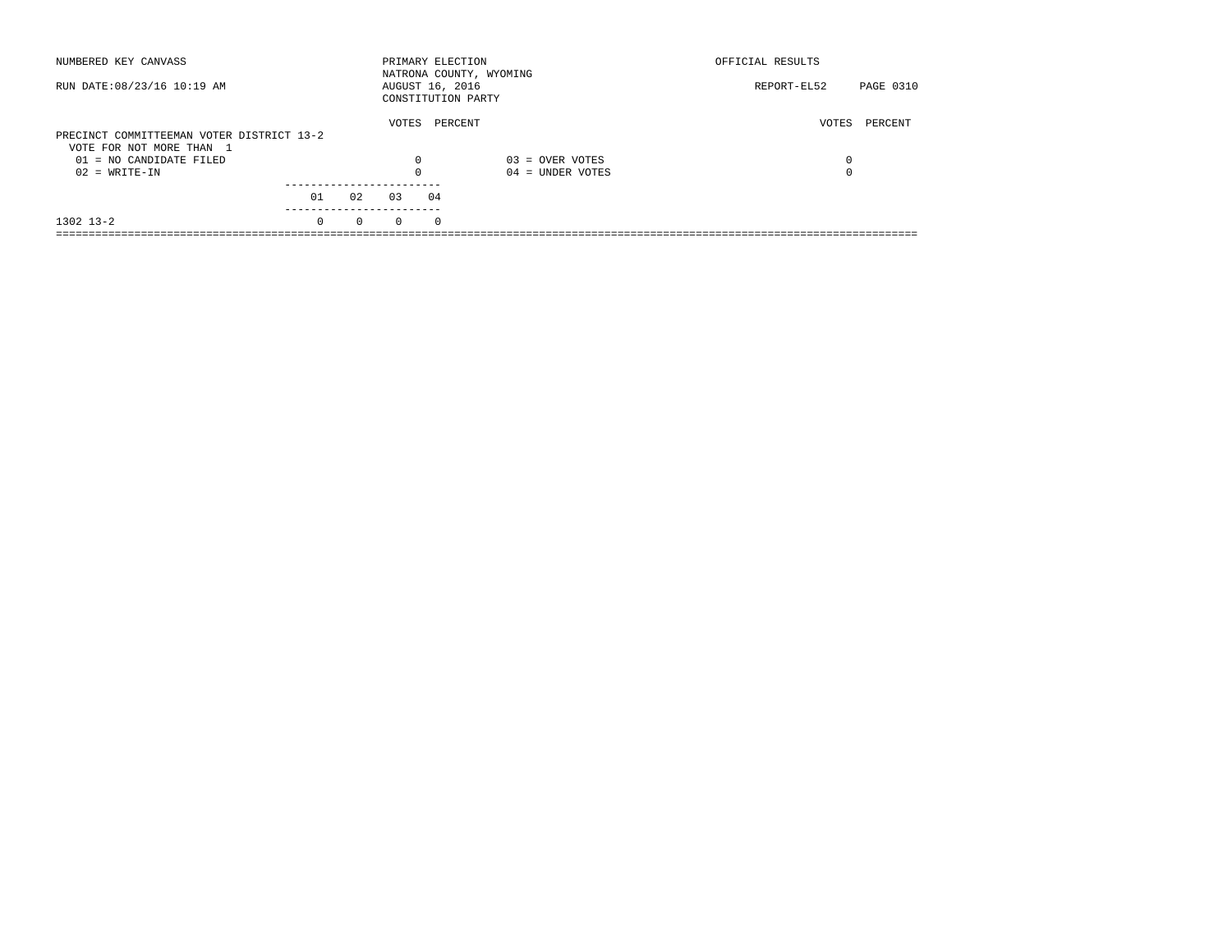| NUMBERED KEY CANVASS                                                  |          |          | PRIMARY ELECTION |            | NATRONA COUNTY, WYOMING | OFFICIAL RESULTS |           |
|-----------------------------------------------------------------------|----------|----------|------------------|------------|-------------------------|------------------|-----------|
| RUN DATE: 08/23/16 10:19 AM                                           |          |          | AUGUST 16, 2016  |            | CONSTITUTION PARTY      | REPORT-EL52      | PAGE 0310 |
| PRECINCT COMMITTEEMAN VOTER DISTRICT 13-2<br>VOTE FOR NOT MORE THAN 1 |          |          | VOTES            |            | PERCENT                 | VOTES            | PERCENT   |
| $01 = NO CANDIDATE FILED$                                             |          |          | $\Omega$         |            | $03 =$ OVER VOTES       | 0                |           |
| $02 = WRITE-IN$                                                       |          |          |                  |            | $04 =$ UNDER VOTES      | $\Omega$         |           |
|                                                                       | 01       | 02       | 03               | 04         |                         |                  |           |
| $1302$ $13-2$                                                         | $\Omega$ | $\Omega$ | $\Omega$         | $^{\circ}$ |                         |                  |           |
|                                                                       |          |          |                  |            |                         |                  |           |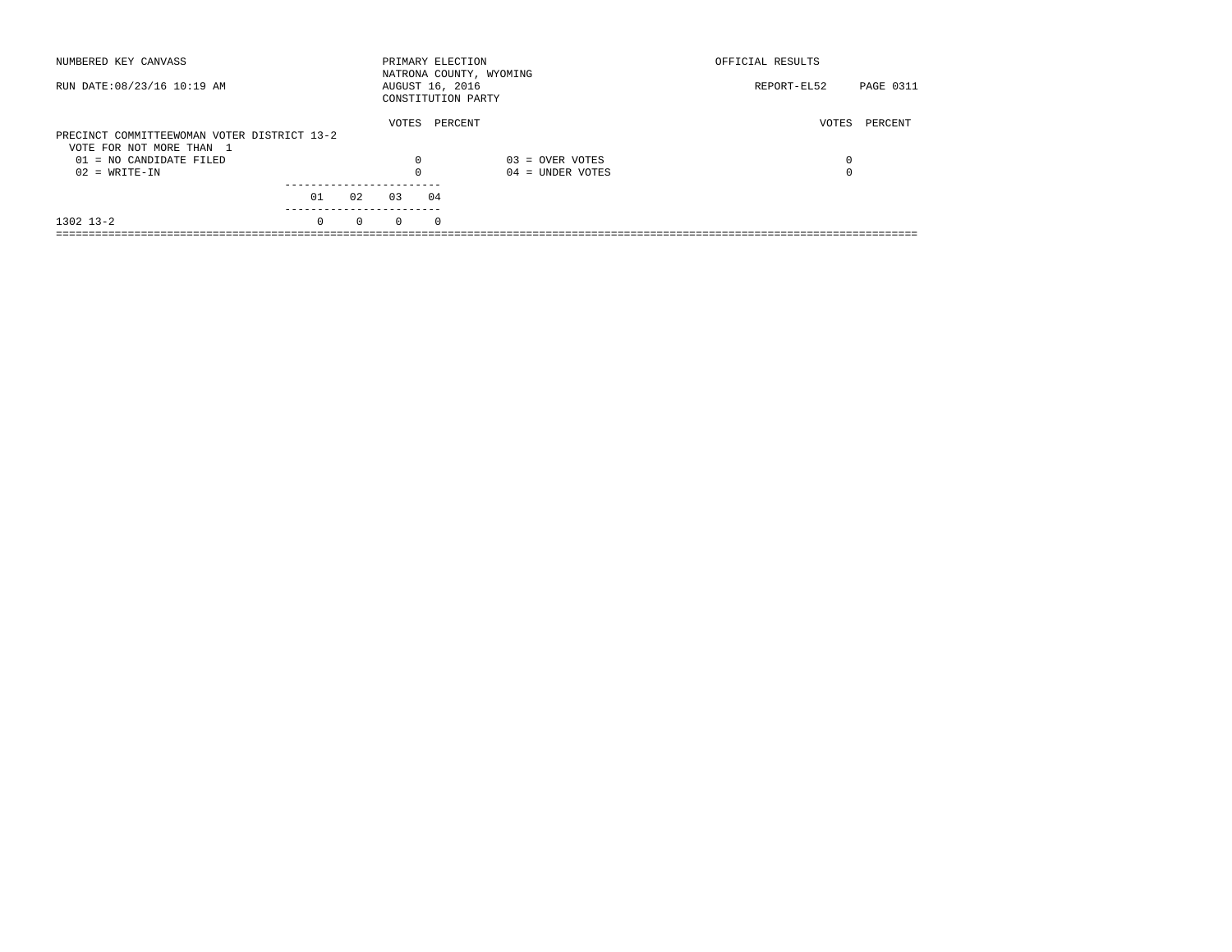| NUMBERED KEY CANVASS                        |          |          | PRIMARY ELECTION                      |          | NATRONA COUNTY, WYOMING | OFFICIAL RESULTS |                  |
|---------------------------------------------|----------|----------|---------------------------------------|----------|-------------------------|------------------|------------------|
| RUN DATE: 08/23/16 10:19 AM                 |          |          | AUGUST 16, 2016<br>CONSTITUTION PARTY |          |                         | REPORT-EL52      | <b>PAGE 0311</b> |
|                                             |          |          | VOTES                                 | PERCENT  |                         | VOTES            | PERCENT          |
| PRECINCT COMMITTEEWOMAN VOTER DISTRICT 13-2 |          |          |                                       |          |                         |                  |                  |
| VOTE FOR NOT MORE THAN 1                    |          |          |                                       |          |                         |                  |                  |
| $01 = NO CANDIDATE FILED$                   |          |          | $\Omega$                              |          | $03 =$ OVER VOTES       | 0                |                  |
| $02 = WRITE-IN$                             |          |          |                                       |          | $04 =$ UNDER VOTES      | $\Omega$         |                  |
|                                             |          |          |                                       |          |                         |                  |                  |
|                                             | 01       | 02       | 03                                    | 04       |                         |                  |                  |
| $1302$ $13-2$                               | $\Omega$ | $\Omega$ | $\Omega$                              | $\Omega$ |                         |                  |                  |
|                                             |          |          |                                       |          |                         |                  |                  |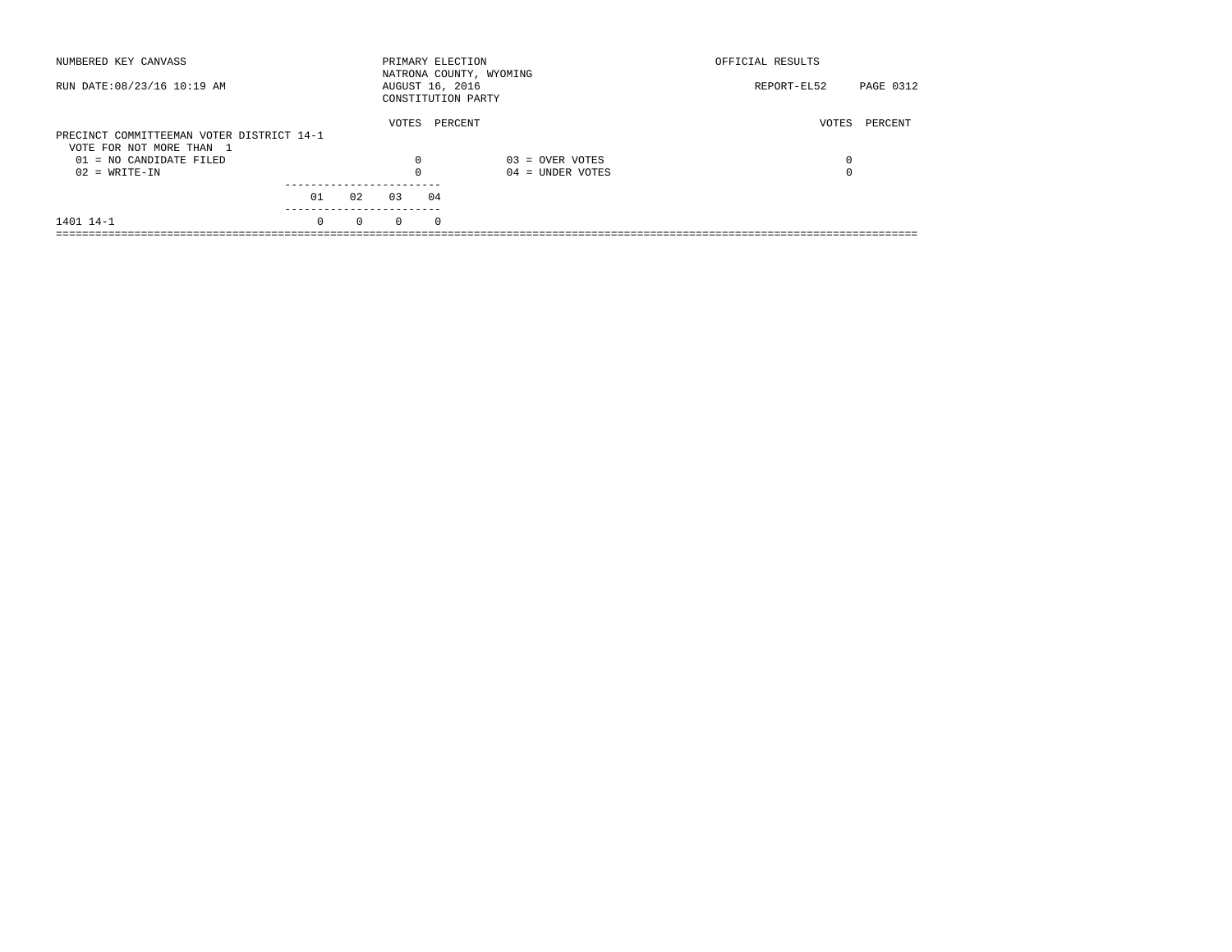| NUMBERED KEY CANVASS                                                                               |          |          |                   |            | PRIMARY ELECTION<br>NATRONA COUNTY, WYOMING | OFFICIAL RESULTS |           |
|----------------------------------------------------------------------------------------------------|----------|----------|-------------------|------------|---------------------------------------------|------------------|-----------|
| RUN DATE: 08/23/16 10:19 AM                                                                        |          |          | AUGUST 16, 2016   |            | CONSTITUTION PARTY                          | REPORT-EL52      | PAGE 0312 |
| PRECINCT COMMITTEEMAN VOTER DISTRICT 14-1<br>VOTE FOR NOT MORE THAN 1<br>$01 = NO CANDIDATE FILED$ |          |          | VOTES<br>$\Omega$ |            | PERCENT<br>$03 =$ OVER VOTES                | VOTES<br>0       | PERCENT   |
| $02 = WRITE-IN$                                                                                    |          |          |                   |            | $04 =$ UNDER VOTES                          |                  |           |
|                                                                                                    | 01       | 02       | 0.3               | 04         |                                             |                  |           |
| 1401 14-1                                                                                          | $\Omega$ | $\Omega$ | $\Omega$          | $^{\circ}$ |                                             |                  |           |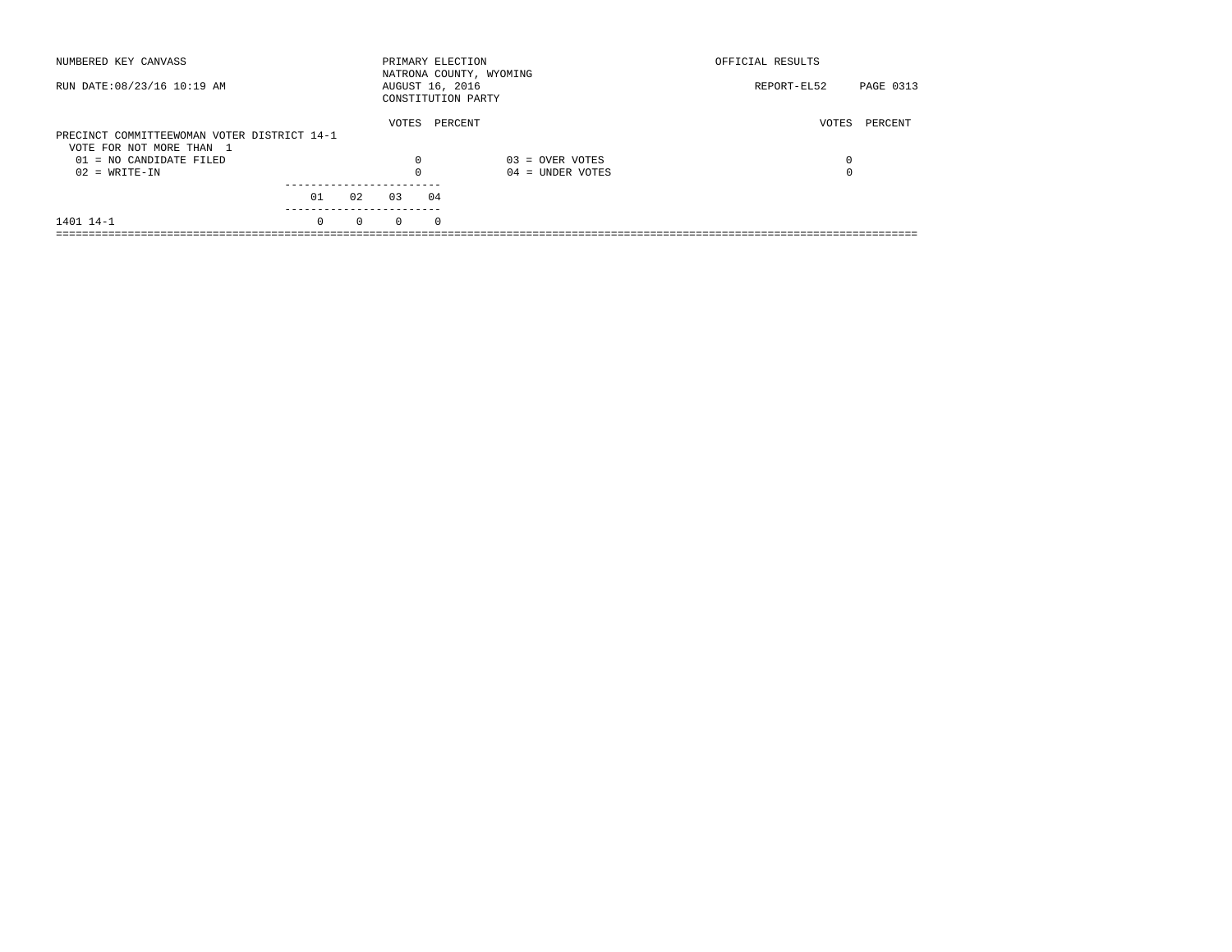| NUMBERED KEY CANVASS                         |          |          |                 |            | PRIMARY ELECTION<br>NATRONA COUNTY, WYOMING | OFFICIAL RESULTS |           |
|----------------------------------------------|----------|----------|-----------------|------------|---------------------------------------------|------------------|-----------|
| RUN DATE: 08/23/16 10:19 AM                  |          |          | AUGUST 16, 2016 |            | CONSTITUTION PARTY                          | REPORT-EL52      | PAGE 0313 |
| PRECINCT COMMITTEEWOMAN VOTER DISTRICT 14-1  |          |          | VOTES           |            | PERCENT                                     | VOTES            | PERCENT   |
| VOTE FOR NOT MORE THAN 1                     |          |          |                 |            |                                             |                  |           |
| $01 = NO CANDIDATE FILED$<br>$02 = WRITE-IN$ |          |          | $\Omega$        |            | $03 =$ OVER VOTES<br>$04 =$ UNDER VOTES     | 0<br>$\Omega$    |           |
|                                              |          |          |                 |            |                                             |                  |           |
|                                              | 01       | 02       | 0.3             | 04         |                                             |                  |           |
| 1401 14-1                                    | $\Omega$ | $\Omega$ | $\Omega$        | $^{\circ}$ |                                             |                  |           |
|                                              |          |          |                 |            |                                             |                  |           |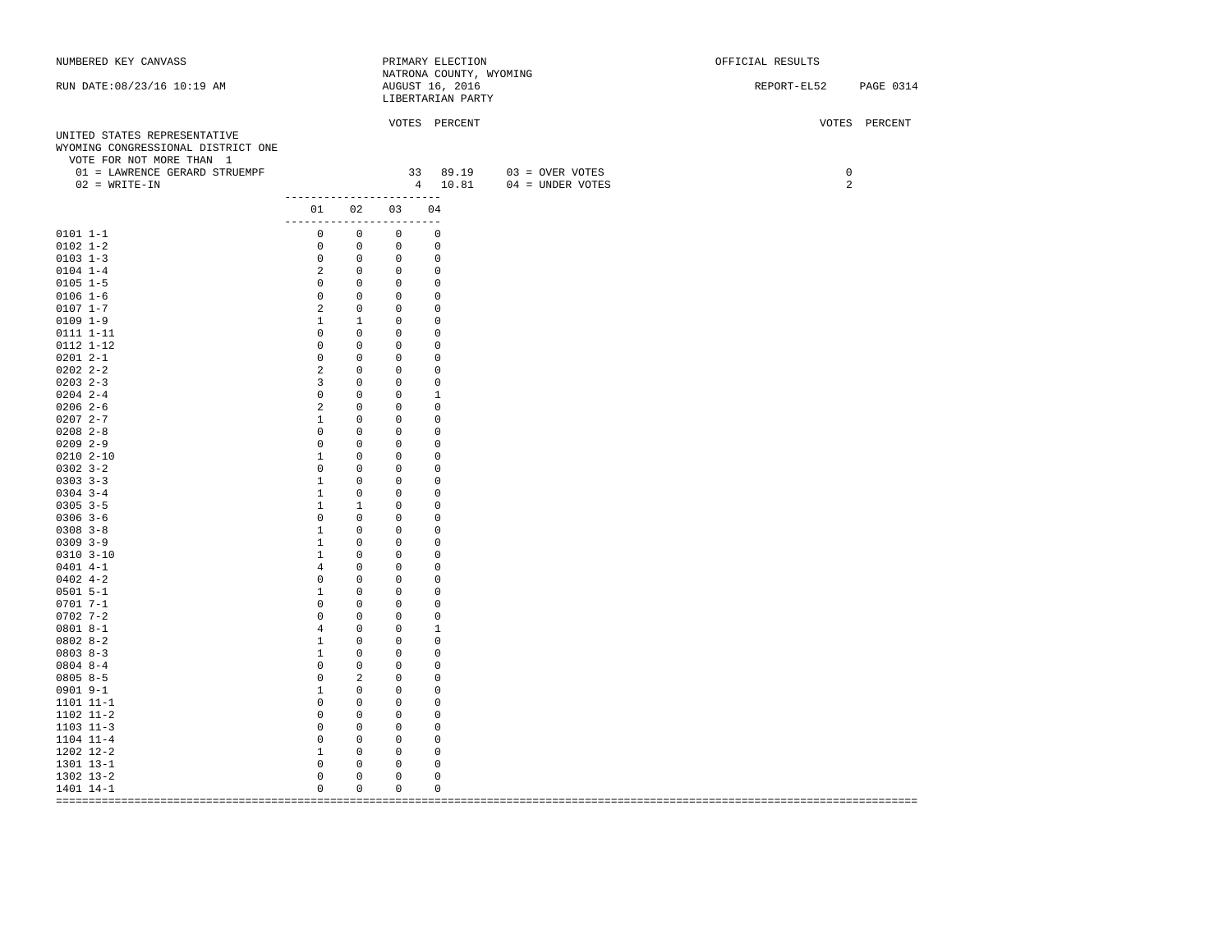| NUMBERED KEY CANVASS               |                                                                                                           |                |                                             | PRIMARY ELECTION                           |                            | OFFICIAL RESULTS      |
|------------------------------------|-----------------------------------------------------------------------------------------------------------|----------------|---------------------------------------------|--------------------------------------------|----------------------------|-----------------------|
| RUN DATE: 08/23/16 10:19 AM        |                                                                                                           |                |                                             | NATRONA COUNTY, WYOMING<br>AUGUST 16, 2016 |                            | REPORT-EL52 PAGE 0314 |
|                                    |                                                                                                           |                |                                             | LIBERTARIAN PARTY                          |                            |                       |
|                                    |                                                                                                           |                |                                             |                                            |                            |                       |
|                                    |                                                                                                           |                |                                             | VOTES PERCENT                              |                            | VOTES PERCENT         |
| UNITED STATES REPRESENTATIVE       |                                                                                                           |                |                                             |                                            |                            |                       |
| WYOMING CONGRESSIONAL DISTRICT ONE |                                                                                                           |                |                                             |                                            |                            |                       |
| VOTE FOR NOT MORE THAN 1           |                                                                                                           |                |                                             |                                            |                            |                       |
| 01 = LAWRENCE GERARD STRUEMPF      |                                                                                                           |                |                                             |                                            | 33 89.19 03 = OVER VOTES   | $\mathsf{O}$          |
| $02$ = WRITE-IN                    | -------------------------                                                                                 |                |                                             |                                            | 4  10.81  04 = UNDER VOTES | 2                     |
|                                    |                                                                                                           |                | 01 02 03 04                                 |                                            |                            |                       |
|                                    | ------------------------                                                                                  |                |                                             |                                            |                            |                       |
| $0101 1 - 1$                       | $\begin{matrix} 0 & 0 & 0 & 0 \end{matrix}$                                                               |                |                                             |                                            |                            |                       |
| $0102$ $1-2$                       | $\begin{matrix} 0 & 0 & 0 & 0 \end{matrix}$                                                               |                |                                             |                                            |                            |                       |
| $0103$ 1-3                         | $\begin{matrix} 0 & 0 & 0 & 0 \end{matrix}$                                                               |                |                                             |                                            |                            |                       |
| $0104$ 1-4                         |                                                                                                           |                | 2 0 0 0                                     |                                            |                            |                       |
| $0105$ 1-5                         | $\begin{matrix} 0 & 0 & 0 & 0 \end{matrix}$                                                               |                |                                             |                                            |                            |                       |
| $0106 1 - 6$                       | $\begin{matrix} 0 & 0 & 0 \end{matrix}$                                                                   |                |                                             | 0                                          |                            |                       |
| $0107 1 - 7$                       |                                                                                                           |                | 2 0 0                                       | $\mathbf 0$                                |                            |                       |
| $0109$ $1-9$                       | $\begin{matrix} 1 & \hspace{1.5cm} 1 & \hspace{1.5cm} 0 \end{matrix}$                                     |                |                                             | 0                                          |                            |                       |
| 0111 1-11                          | $\begin{matrix} 0 & 0 & 0 & 0 \end{matrix}$                                                               |                |                                             |                                            |                            |                       |
| 0112 1-12                          | $0\qquad 0\qquad 0$                                                                                       |                |                                             | $\overline{0}$                             |                            |                       |
| $02012 - -1$                       | $0\qquad 0$                                                                                               |                | $\overline{0}$                              | $\mathbf 0$                                |                            |                       |
| $0202$ $2 - 2$                     |                                                                                                           |                | 2 0 0                                       | $\mathbf 0$                                |                            |                       |
| $0203$ 2-3                         |                                                                                                           |                | 3 0 0 0                                     |                                            |                            |                       |
| $0204$ 2-4                         | $0\qquad 0\qquad 0$                                                                                       |                |                                             | <sup>1</sup>                               |                            |                       |
| $0206$ 2-6                         | 2 0 0                                                                                                     |                |                                             | $\mathbf 0$                                |                            |                       |
| $02072 - -7$                       | 1                                                                                                         |                | $0\qquad 0$                                 | 0                                          |                            |                       |
| $0208$ 2-8                         | $0\qquad 0\qquad 0$                                                                                       |                |                                             | $\overline{\phantom{0}}$                   |                            |                       |
| $02092 - -9$                       | $\begin{matrix} 0 & 0 & 0 & 0 \end{matrix}$                                                               |                |                                             |                                            |                            |                       |
| $0210$ $2-10$                      | 1 0 0                                                                                                     |                |                                             | $\mathbf 0$                                |                            |                       |
| $0302$ $3 - 2$                     |                                                                                                           |                | $0\qquad 0\qquad 0$                         | $\overline{0}$                             |                            |                       |
| $0303$ $3-3$                       | 1 0 0                                                                                                     |                |                                             | $\overline{0}$                             |                            |                       |
| $0304$ 3-4                         | $1 \qquad 0 \qquad 0$                                                                                     |                |                                             | $\overline{\phantom{0}}$                   |                            |                       |
| $0305$ 3-5                         | $\begin{matrix} 1 & 1 & 0 \end{matrix}$                                                                   |                |                                             | 0                                          |                            |                       |
| $0306$ 3-6                         |                                                                                                           |                | $0\qquad 0\qquad 0$                         | 0                                          |                            |                       |
| $0308$ $3-8$                       | 1 0 0                                                                                                     |                |                                             | $\mathbf{0}$                               |                            |                       |
| $0309$ $3-9$                       |                                                                                                           |                | 1 0 0 0                                     |                                            |                            |                       |
| $0310$ $3-10$                      | $\begin{matrix} 1 \end{matrix} \qquad \begin{matrix} 0 \end{matrix} \qquad \begin{matrix} 0 \end{matrix}$ |                |                                             | 0                                          |                            |                       |
| $0401$ 4-1                         | 4 0 0                                                                                                     |                |                                             | $\mathbf 0$                                |                            |                       |
| $0402$ 4-2                         |                                                                                                           |                | $0\qquad 0\qquad 0$                         | 0                                          |                            |                       |
| $0501$ 5-1                         | 1 0 0 0                                                                                                   |                |                                             |                                            |                            |                       |
| $0701 7 - 1$                       | $0\qquad 0\qquad 0$                                                                                       |                |                                             | $\mathbf 0$                                |                            |                       |
| $0702$ 7-2                         | $\begin{matrix} 0 & 0 & 0 \end{matrix}$                                                                   |                |                                             | $\overline{\phantom{0}}$                   |                            |                       |
| $08018 - -1$                       |                                                                                                           |                | 4 0 0                                       | $\mathbf{1}$                               |                            |                       |
| $0802 8-2$<br>$08038 - 3$          | 1 0 0<br>1 0 0 0                                                                                          |                |                                             | $\overline{\phantom{0}}$                   |                            |                       |
| $0804$ 8-4                         | $\begin{matrix} 0 & 0 & 0 \end{matrix}$                                                                   |                |                                             | $\overline{0}$                             |                            |                       |
| $08058-5$                          |                                                                                                           |                | $\begin{matrix} 0 & 2 & 0 & 0 \end{matrix}$ |                                            |                            |                       |
| $0901$ $9-1$                       | 1 0 0                                                                                                     |                |                                             | $\overline{0}$                             |                            |                       |
| 1101 11-1                          | $\begin{matrix} 0 & 0 & 0 \end{matrix}$                                                                   |                |                                             | $\overline{\phantom{0}}$                   |                            |                       |
| 1102 11-2                          | $\begin{matrix} 0 & 0 & 0 \end{matrix}$                                                                   |                |                                             | 0                                          |                            |                       |
| $1103$ $11-3$                      |                                                                                                           |                | $0\qquad 0\qquad 0$                         | 0                                          |                            |                       |
| 1104 11-4                          | $0\qquad 0$                                                                                               |                | $\overline{0}$                              | 0                                          |                            |                       |
| 1202 12-2                          | $\begin{array}{ccccccccccccc} & 1 & & & 0 & & & 0 & & & 0 \end{array}$                                    |                |                                             |                                            |                            |                       |
| 1301 13-1                          | $0\qquad 0\qquad 0$                                                                                       |                |                                             | $\mathbf 0$                                |                            |                       |
| 1302 13-2                          | $\overline{0}$                                                                                            | $\overline{0}$ | $\circ$                                     | $\circ$                                    |                            |                       |
| 1401 14-1                          | $\overline{0}$                                                                                            | $\overline{0}$ | $\overline{\phantom{0}}$                    | $\circ$                                    |                            |                       |
|                                    |                                                                                                           |                |                                             |                                            |                            |                       |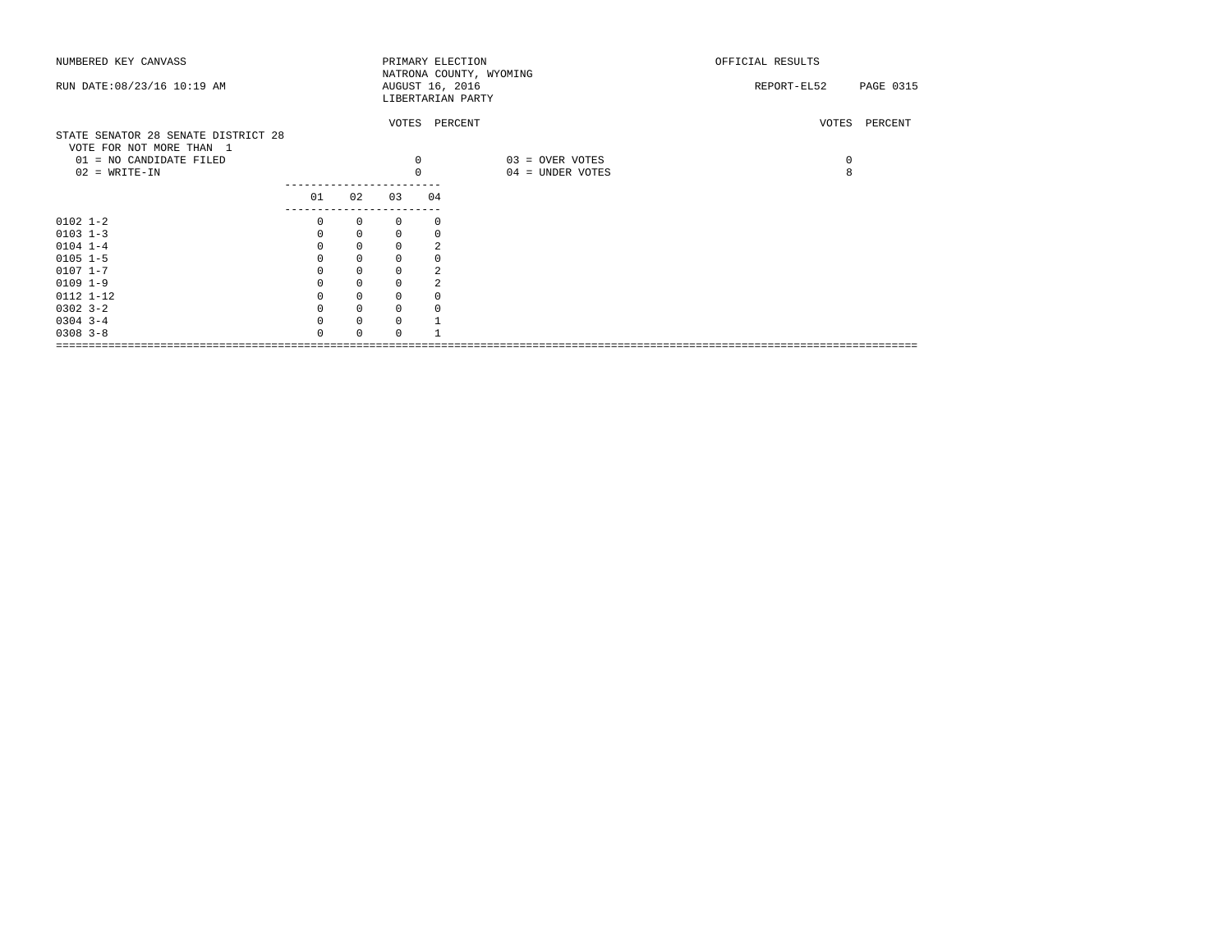| NUMBERED KEY CANVASS                |          |             |             |                | PRIMARY ELECTION<br>NATRONA COUNTY, WYOMING | OFFICIAL RESULTS |               |
|-------------------------------------|----------|-------------|-------------|----------------|---------------------------------------------|------------------|---------------|
| RUN DATE: 08/23/16 10:19 AM         |          |             |             |                | AUGUST 16, 2016                             | REPORT-EL52      | PAGE 0315     |
|                                     |          |             |             |                | LIBERTARIAN PARTY                           |                  |               |
|                                     |          |             |             |                |                                             |                  |               |
|                                     |          |             |             |                | VOTES PERCENT                               |                  | VOTES PERCENT |
| STATE SENATOR 28 SENATE DISTRICT 28 |          |             |             |                |                                             |                  |               |
| VOTE FOR NOT MORE THAN 1            |          |             |             | $\mathbf 0$    |                                             |                  |               |
| 01 = NO CANDIDATE FILED             |          |             |             |                | 03 = OVER VOTES                             | $\circ$          |               |
| $02$ = WRITE-IN                     |          |             |             | $\Omega$       | 04 = UNDER VOTES                            | 8                |               |
|                                     | 01       | 02          | 03          | 04             |                                             |                  |               |
|                                     |          |             |             |                |                                             |                  |               |
| $0102$ $1 - 2$                      | 0        | $\circ$     | 0           | 0              |                                             |                  |               |
| $0103$ $1-3$                        | $\Omega$ | $\Omega$    | $\mathbf 0$ |                |                                             |                  |               |
| $0104$ 1-4                          |          | $\mathbf 0$ | 0           | $\overline{a}$ |                                             |                  |               |
| $0105$ $1-5$                        |          | $\mathbf 0$ | 0           |                |                                             |                  |               |
| $0107$ $1 - 7$                      |          | $\mathbf 0$ | 0           |                |                                             |                  |               |
| $0109$ $1-9$                        |          | $\mathbf 0$ | 0           |                |                                             |                  |               |
| 0112 1-12                           |          | $\mathbf 0$ | 0           |                |                                             |                  |               |
| $0302$ $3-2$                        |          | $\mathbf 0$ | $\mathbf 0$ |                |                                             |                  |               |
| $0304$ 3-4                          | $\Omega$ | $\mathbf 0$ | 0           |                |                                             |                  |               |
| $0308$ $3 - 8$                      |          | $\Omega$    | $\Omega$    |                |                                             |                  |               |
|                                     |          |             |             |                |                                             |                  |               |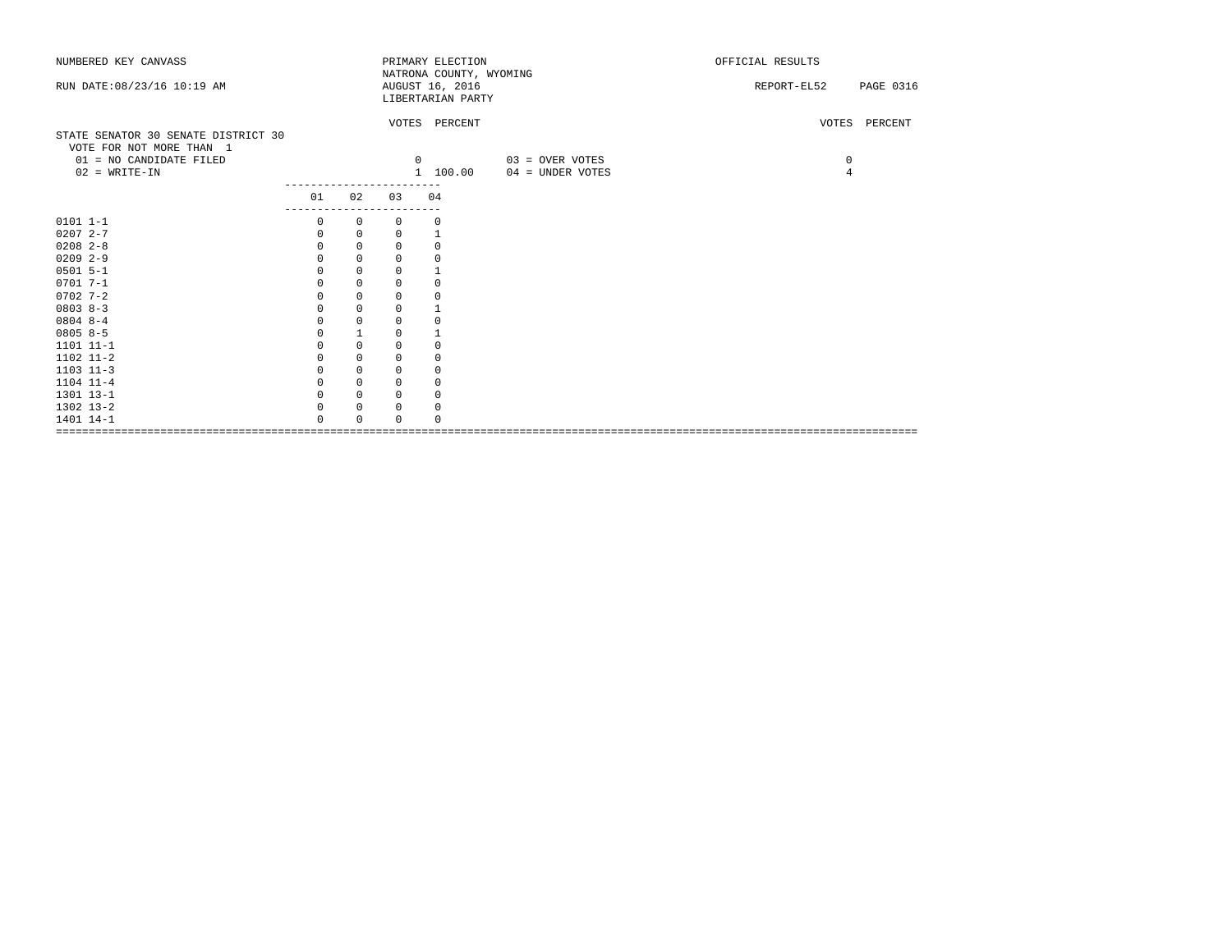| NUMBERED KEY CANVASS                |              |              |             | PRIMARY ELECTION        |                  | OFFICIAL RESULTS                |  |
|-------------------------------------|--------------|--------------|-------------|-------------------------|------------------|---------------------------------|--|
|                                     |              |              |             | NATRONA COUNTY, WYOMING |                  |                                 |  |
| RUN DATE: 08/23/16 10:19 AM         |              |              |             | AUGUST 16, 2016         |                  | <b>PAGE 0316</b><br>REPORT-EL52 |  |
|                                     |              |              |             | LIBERTARIAN PARTY       |                  |                                 |  |
|                                     |              |              |             |                         |                  |                                 |  |
|                                     |              |              |             | VOTES PERCENT           |                  | VOTES PERCENT                   |  |
| STATE SENATOR 30 SENATE DISTRICT 30 |              |              |             |                         |                  |                                 |  |
| VOTE FOR NOT MORE THAN 1            |              |              |             |                         |                  |                                 |  |
| 01 = NO CANDIDATE FILED             |              |              |             | 0                       | 03 = OVER VOTES  | 0                               |  |
| $02$ = WRITE-IN                     |              |              |             | 1 100.00                | 04 = UNDER VOTES | $\overline{4}$                  |  |
|                                     | 01           | 02           | 03          | 04                      |                  |                                 |  |
|                                     | ----------   |              |             |                         |                  |                                 |  |
| $0101 1 - 1$                        | $\mathbf{0}$ | $\mathbf{0}$ | $\Omega$    | 0                       |                  |                                 |  |
| $02072 - -7$                        | 0            | 0            | 0           | $\mathbf{1}$            |                  |                                 |  |
| $0208$ 2-8                          | 0            | $\mathbf 0$  | 0           | $\mathbf 0$             |                  |                                 |  |
| $0209$ 2-9                          | 0            | $\mathbf 0$  | $\mathbf 0$ | $\circ$                 |                  |                                 |  |
| $0501$ 5-1                          | $\Omega$     | $\mathbf 0$  | $\Omega$    | $\mathbf 1$             |                  |                                 |  |
| $0701 7 - 1$                        | 0            | 0            | 0           | $\mathbf 0$             |                  |                                 |  |
| $0702$ 7-2                          | $\Omega$     | $\mathbf 0$  | 0           | $\mathbf 0$             |                  |                                 |  |
| $0803 8-3$                          | 0            | $\mathbf 0$  | 0           | $1\,$                   |                  |                                 |  |
| $0804$ 8-4                          | $\Omega$     | $\mathbf 0$  | 0           | $\mathbf 0$             |                  |                                 |  |
| $08058-5$                           |              | $\mathbf{1}$ | 0           | $\mathbf 1$             |                  |                                 |  |
| 1101 11-1                           |              | $\mathbf 0$  | 0           | $\mathbf 0$             |                  |                                 |  |
| 1102 11-2                           | $\Omega$     | $\mathbf 0$  | 0           | $\mathbf 0$             |                  |                                 |  |
| $1103$ $11-3$                       | $\Omega$     | $\mathbf 0$  | 0           | $\mathbf 0$             |                  |                                 |  |
| 1104 11-4                           | $\Omega$     | $\mathbf 0$  | $\Omega$    | $\mathbf 0$             |                  |                                 |  |
| 1301 13-1                           | $\Omega$     | $\mathbf 0$  | 0           | $\mathbf 0$             |                  |                                 |  |
| 1302 13-2                           | $\Omega$     | 0            | $\Omega$    | 0                       |                  |                                 |  |
| 1401 14-1                           | $\cap$       | $\Omega$     | $\Omega$    | $\mathbf 0$             |                  |                                 |  |
|                                     |              |              |             |                         |                  |                                 |  |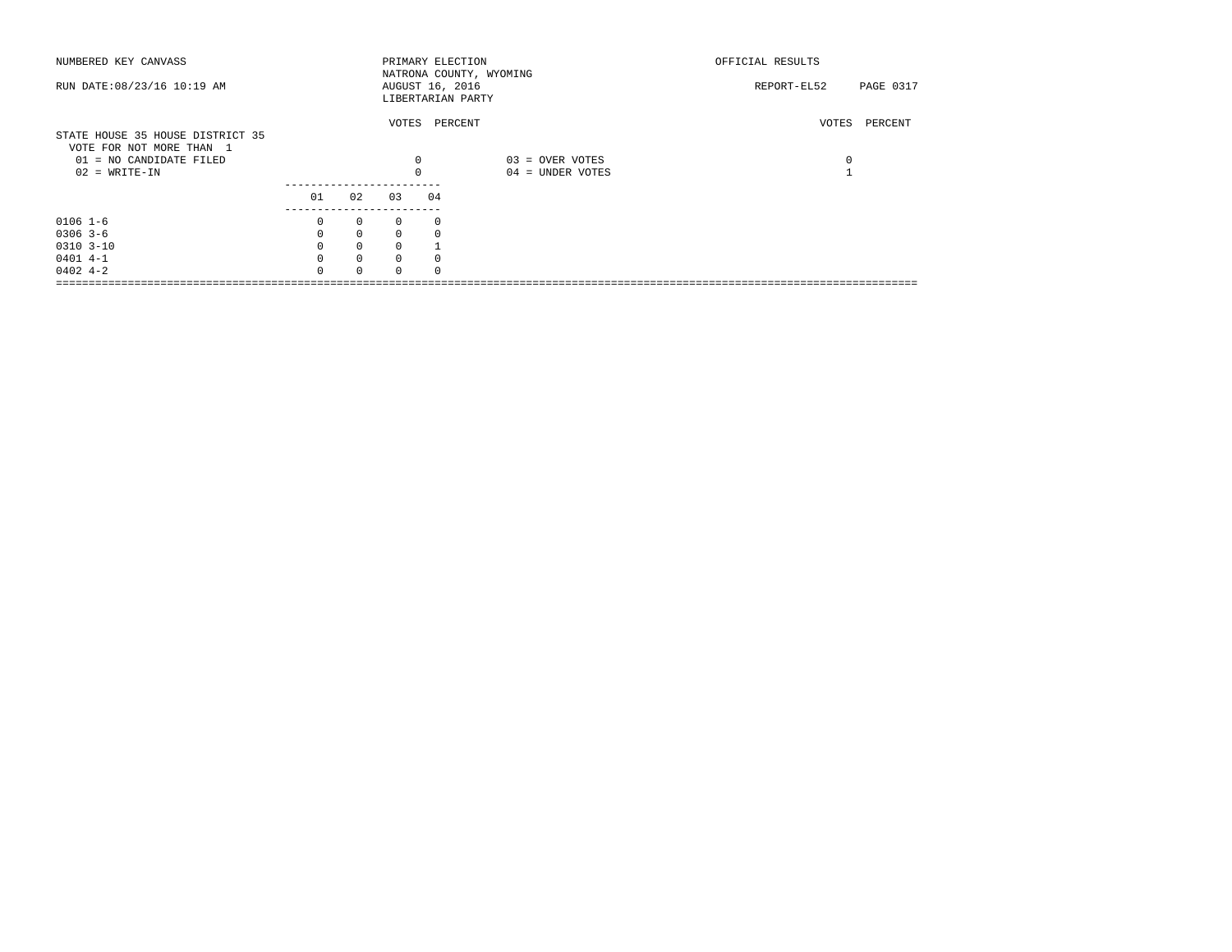| NUMBERED KEY CANVASS                                                                    |          |              |              | PRIMARY ELECTION<br>NATRONA COUNTY, WYOMING |                  | OFFICIAL RESULTS |           |
|-----------------------------------------------------------------------------------------|----------|--------------|--------------|---------------------------------------------|------------------|------------------|-----------|
| RUN DATE: 08/23/16 10:19 AM                                                             |          |              |              | AUGUST 16, 2016<br>LIBERTARIAN PARTY        |                  | REPORT-EL52      | PAGE 0317 |
| STATE HOUSE 35 HOUSE DISTRICT 35<br>VOTE FOR NOT MORE THAN 1<br>01 = NO CANDIDATE FILED |          |              | 0            | VOTES PERCENT                               | 03 = OVER VOTES  | VOTES<br>0       | PERCENT   |
| $02 = WRITE-IN$                                                                         |          |              | $\Omega$     |                                             | 04 = UNDER VOTES |                  |           |
|                                                                                         | 01       | 02           | 03           | 04                                          |                  |                  |           |
| $0106$ 1-6                                                                              | $\Omega$ | $\mathbf{0}$ | $\Omega$     | $\Omega$                                    |                  |                  |           |
| $0306$ 3-6                                                                              | $\Omega$ | $\mathbf{0}$ | $\Omega$     |                                             |                  |                  |           |
| $0310$ $3-10$                                                                           | $\Omega$ | $\mathbf 0$  | $\Omega$     |                                             |                  |                  |           |
| $0401$ 4-1                                                                              | $\Omega$ | $\circ$      | $\Omega$     |                                             |                  |                  |           |
| $0402 + -2$                                                                             | $\cap$   | $\Omega$     | <sup>n</sup> |                                             |                  |                  |           |
|                                                                                         |          |              |              |                                             |                  |                  |           |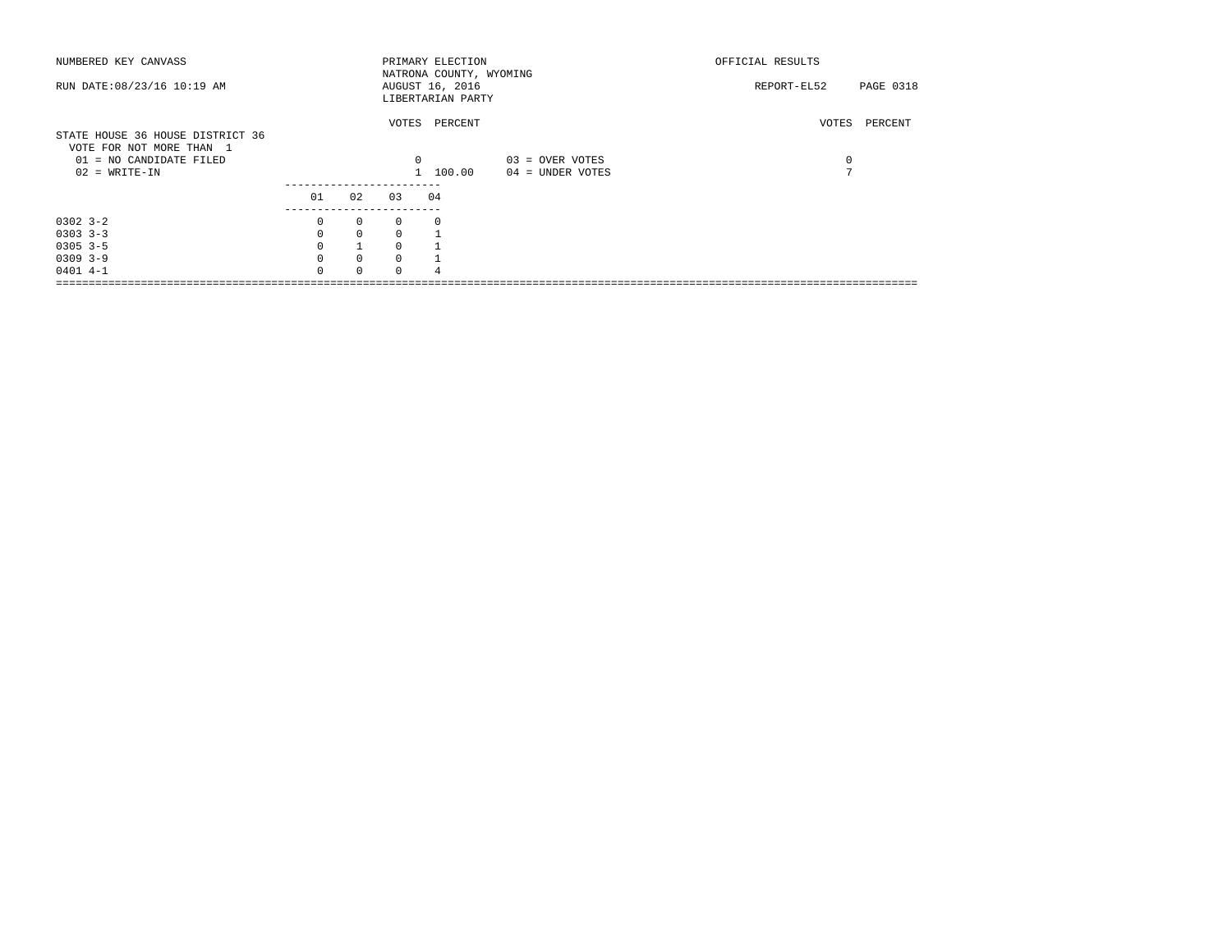| NUMBERED KEY CANVASS                                         |          |              |          | PRIMARY ELECTION<br>NATRONA COUNTY, WYOMING |                  | OFFICIAL RESULTS         |
|--------------------------------------------------------------|----------|--------------|----------|---------------------------------------------|------------------|--------------------------|
| RUN DATE: 08/23/16 10:19 AM                                  |          |              |          | AUGUST 16, 2016<br>LIBERTARIAN PARTY        |                  | REPORT-EL52<br>PAGE 0318 |
| STATE HOUSE 36 HOUSE DISTRICT 36<br>VOTE FOR NOT MORE THAN 1 |          |              |          | VOTES PERCENT                               |                  | VOTES<br>PERCENT         |
| 01 = NO CANDIDATE FILED                                      |          |              | $\Omega$ |                                             | 03 = OVER VOTES  | 0                        |
| $02 = WRITE-IN$                                              |          |              |          | 1 100.00                                    | 04 = UNDER VOTES | $\overline{ }$           |
|                                                              | 01       | 02           | 03       | 04                                          |                  |                          |
| $0302 - 3 - 2$                                               | 0        | $\mathbf{0}$ | $\Omega$ | $\Omega$                                    |                  |                          |
| $0303$ $3-3$                                                 | $\Omega$ | $\Omega$     | $\Omega$ |                                             |                  |                          |
| $0305$ 3-5                                                   | $\Omega$ |              | $\Omega$ |                                             |                  |                          |
| $0309$ 3-9                                                   | $\Omega$ | $\mathbf{0}$ | $\Omega$ |                                             |                  |                          |
| $0401$ 4-1                                                   | $\cap$   | $\Omega$     | $\cap$   |                                             |                  |                          |
|                                                              |          |              |          |                                             |                  |                          |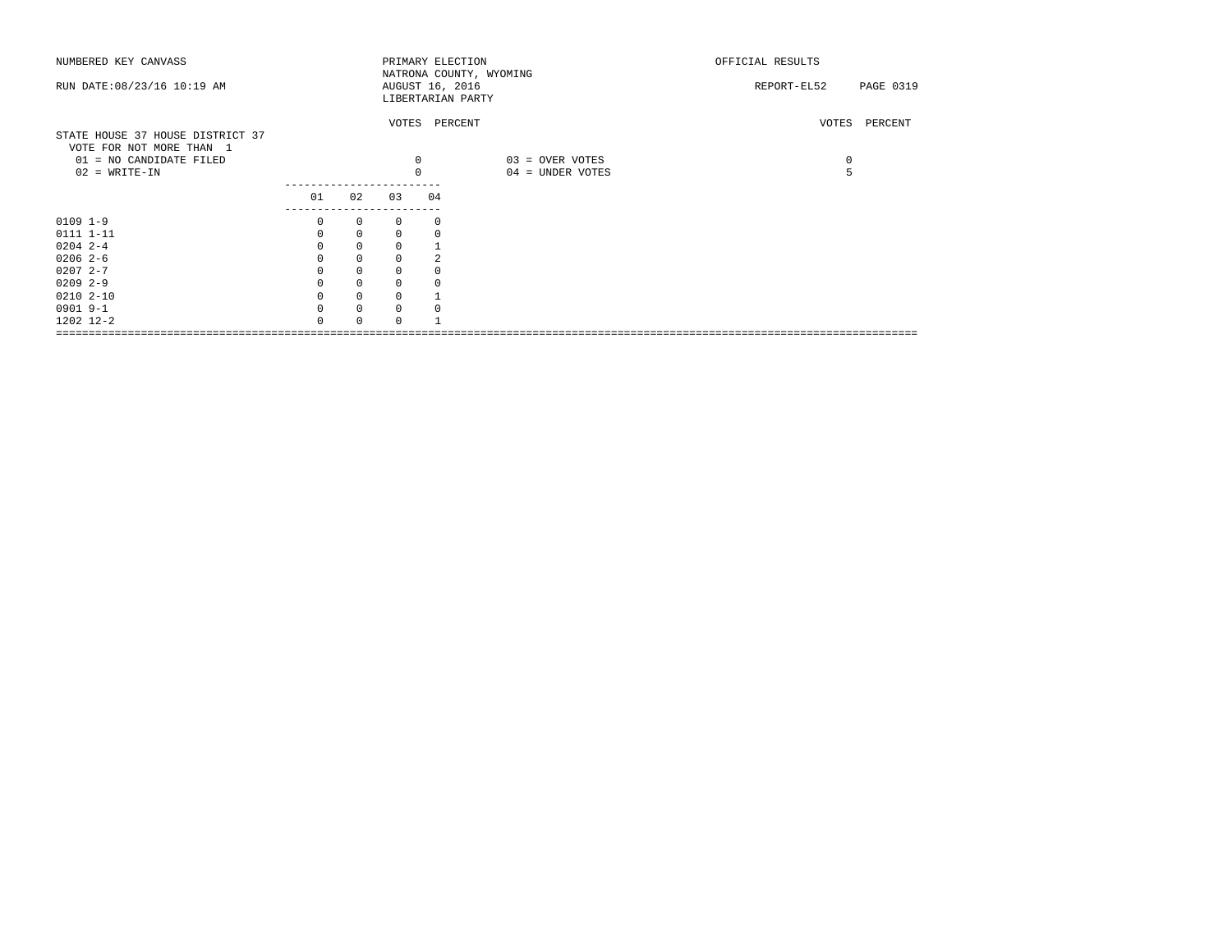| NUMBERED KEY CANVASS             |               |             |          |          | PRIMARY ELECTION        | OFFICIAL RESULTS         |
|----------------------------------|---------------|-------------|----------|----------|-------------------------|--------------------------|
|                                  |               |             |          |          | NATRONA COUNTY, WYOMING |                          |
| RUN DATE: 08/23/16 10:19 AM      |               |             |          |          | AUGUST 16, 2016         | REPORT-EL52<br>PAGE 0319 |
|                                  |               |             |          |          | LIBERTARIAN PARTY       |                          |
|                                  |               |             |          |          | VOTES PERCENT           | VOTES PERCENT            |
| STATE HOUSE 37 HOUSE DISTRICT 37 |               |             |          |          |                         |                          |
| VOTE FOR NOT MORE THAN 1         |               |             |          |          |                         |                          |
| 01 = NO CANDIDATE FILED          |               |             |          | 0        | 03 = OVER VOTES         | $\circ$                  |
| $02$ = WRITE-IN                  |               |             |          | $\Omega$ | 04 = UNDER VOTES        | 5                        |
|                                  |               |             |          |          |                         |                          |
|                                  | 01            | 02          | 03       | 04       |                         |                          |
|                                  | ------------- |             |          |          |                         |                          |
| $0109$ $1-9$                     | 0             | $\circ$     | 0        |          | 0                       |                          |
| 0111 1-11                        | 0             | $\mathbf 0$ | 0        |          |                         |                          |
| $0204$ 2-4                       |               | $\Omega$    | $\Omega$ |          |                         |                          |
| $02062-6$                        |               | $\mathbf 0$ | 0        |          |                         |                          |
| $02072 - -7$                     |               | $\mathbf 0$ | 0        |          |                         |                          |
| $0209$ 2-9                       |               | $\mathbf 0$ | 0        |          |                         |                          |
| $02102 - 10$                     |               | $\mathbf 0$ | 0        |          |                         |                          |
| 0901 9-1                         | $\Omega$      | $\mathbf 0$ | $\Omega$ |          |                         |                          |
| 1202 12-2                        |               |             | $\Omega$ |          |                         |                          |
|                                  |               |             |          |          |                         |                          |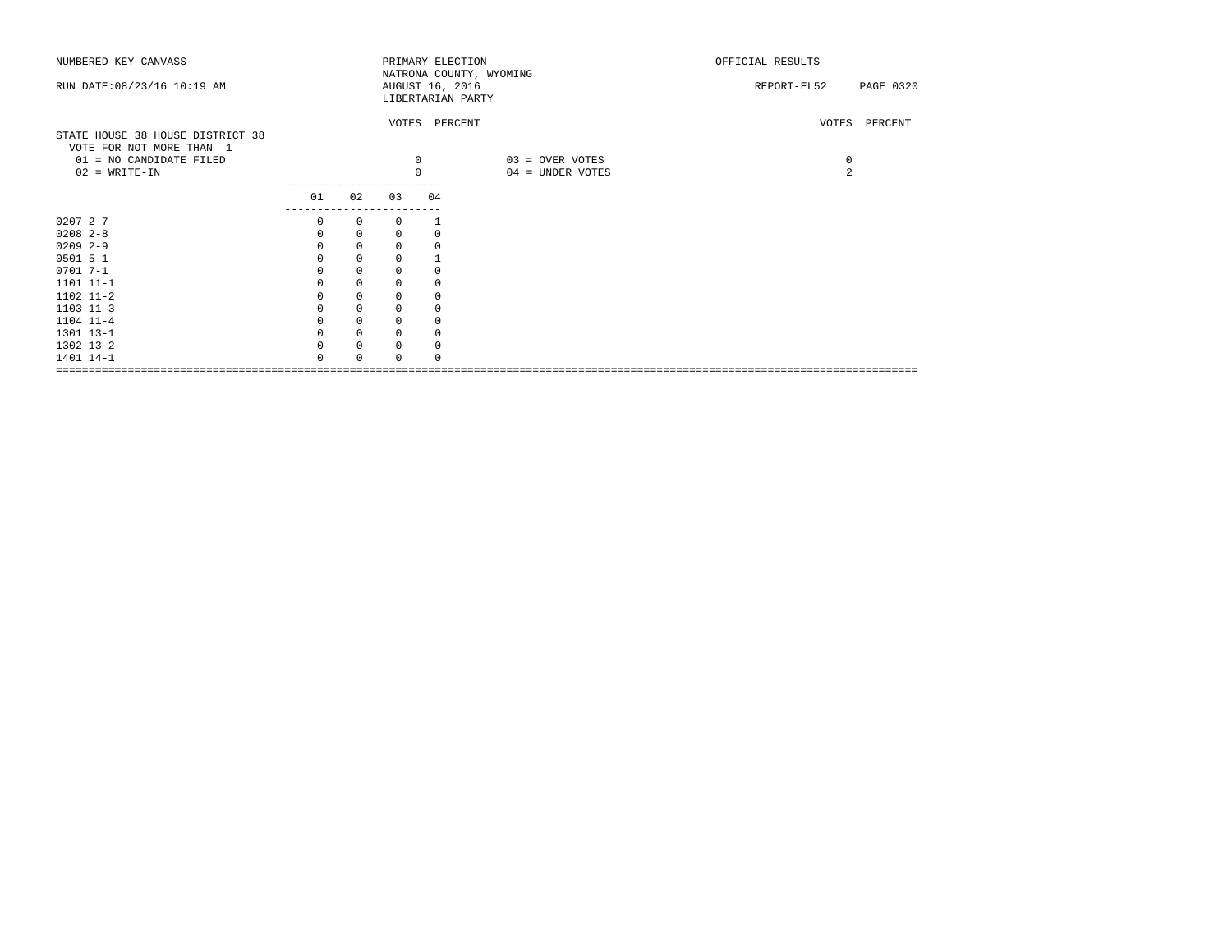| NUMBERED KEY CANVASS                                         |            |              |             |            | PRIMARY ELECTION<br>NATRONA COUNTY, WYOMING | OFFICIAL RESULTS |               |
|--------------------------------------------------------------|------------|--------------|-------------|------------|---------------------------------------------|------------------|---------------|
| RUN DATE: 08/23/16 10:19 AM                                  |            |              |             |            | AUGUST 16, 2016<br>LIBERTARIAN PARTY        | REPORT-EL52      | PAGE 0320     |
| STATE HOUSE 38 HOUSE DISTRICT 38<br>VOTE FOR NOT MORE THAN 1 |            |              |             |            | VOTES PERCENT                               |                  | VOTES PERCENT |
| 01 = NO CANDIDATE FILED                                      |            |              |             | $^{\circ}$ | 03 = OVER VOTES                             | 0                |               |
| $02$ = WRITE-IN                                              |            |              |             | $\Omega$   | 04 = UNDER VOTES                            | 2                |               |
|                                                              | 01         | 02           | 03          | 04         |                                             |                  |               |
|                                                              | ---------- |              |             |            |                                             |                  |               |
| $02072 - -7$                                                 | $\Omega$   | $\mathbf{0}$ | $\Omega$    |            |                                             |                  |               |
| $0208$ $2-8$                                                 | $\Omega$   | 0            | 0           | 0          |                                             |                  |               |
| $0209$ 2-9                                                   |            | $\mathbf 0$  | 0           | 0          |                                             |                  |               |
| $0501 5 - 1$                                                 |            | $\mathbb O$  | 0           |            |                                             |                  |               |
| $0701 7 - 1$                                                 |            | 0            | 0           |            |                                             |                  |               |
| 1101 11-1                                                    |            | $\mathbf 0$  | 0           | 0          |                                             |                  |               |
| 1102 11-2                                                    |            | 0            | 0           |            |                                             |                  |               |
| $1103$ $11-3$                                                |            | $\mathbf 0$  | 0           | 0          |                                             |                  |               |
| 1104 11-4                                                    |            | $\mathbf 0$  | $\Omega$    | 0          |                                             |                  |               |
| 1301 13-1                                                    |            | $\mathbf 0$  | $\mathbf 0$ | $\Omega$   |                                             |                  |               |
| 1302 13-2                                                    |            | $\mathbf 0$  | $\Omega$    | $\Omega$   |                                             |                  |               |
| 1401 14-1                                                    |            | $\Omega$     | $\Omega$    |            |                                             |                  |               |
| ===========<br>===========================                   |            |              |             |            |                                             |                  |               |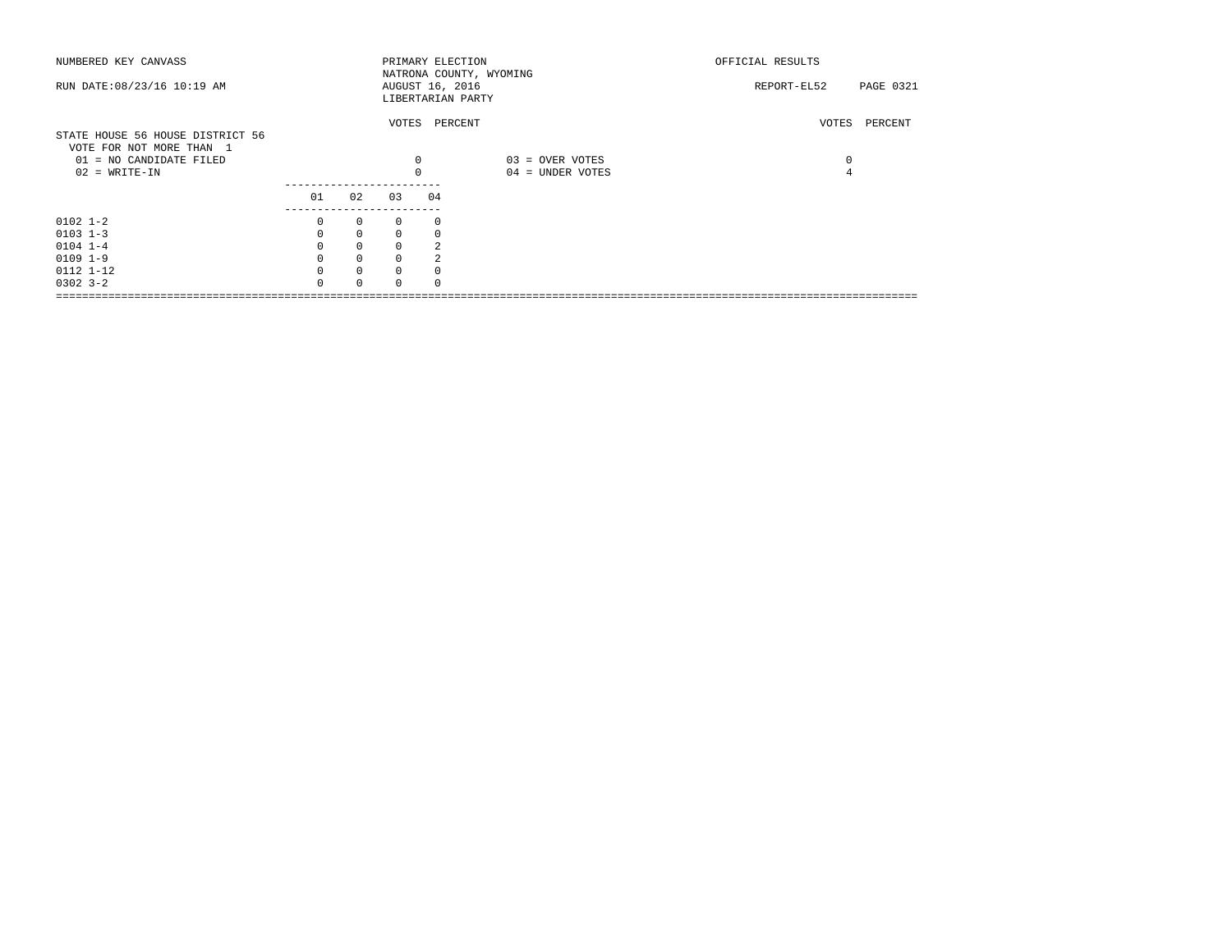| NUMBERED KEY CANVASS<br>RUN DATE: 08/23/16 10:19 AM                                                        |                     |              | AUGUST 16, 2016 |    | PRIMARY ELECTION<br>NATRONA COUNTY, WYOMING | OFFICIAL RESULTS<br>REPORT-EL52 | PAGE 0321 |
|------------------------------------------------------------------------------------------------------------|---------------------|--------------|-----------------|----|---------------------------------------------|---------------------------------|-----------|
|                                                                                                            |                     |              |                 |    | LIBERTARIAN PARTY<br>VOTES PERCENT          | VOTES                           | PERCENT   |
| STATE HOUSE 56 HOUSE DISTRICT 56<br>VOTE FOR NOT MORE THAN 1<br>01 = NO CANDIDATE FILED<br>$02$ = WRITE-IN |                     |              | 0               |    | 03 = OVER VOTES<br>04 = UNDER VOTES         | 0                               |           |
|                                                                                                            | 01<br>------------- | 02           | 0 <sub>3</sub>  | 04 |                                             |                                 |           |
| $0102$ 1-2                                                                                                 | 0                   | $\mathbf{0}$ | $\Omega$        | 0  |                                             |                                 |           |
| $0103$ $1-3$                                                                                               | $\mathbf 0$         | $\mathbf 0$  | $\Omega$        | 0  |                                             |                                 |           |
| $0104$ $1-4$                                                                                               | $\mathbf 0$         | $\mathbf 0$  | $\Omega$        |    |                                             |                                 |           |
| $0109$ $1-9$                                                                                               |                     | $\mathbf 0$  | $\Omega$        |    |                                             |                                 |           |
| 0112 1-12                                                                                                  | $\Omega$            | $\mathbf{0}$ | $\Omega$        |    |                                             |                                 |           |
| $0302$ $3 - 2$                                                                                             | $\cap$              | $\Omega$     |                 |    |                                             |                                 |           |
|                                                                                                            |                     |              |                 |    |                                             |                                 |           |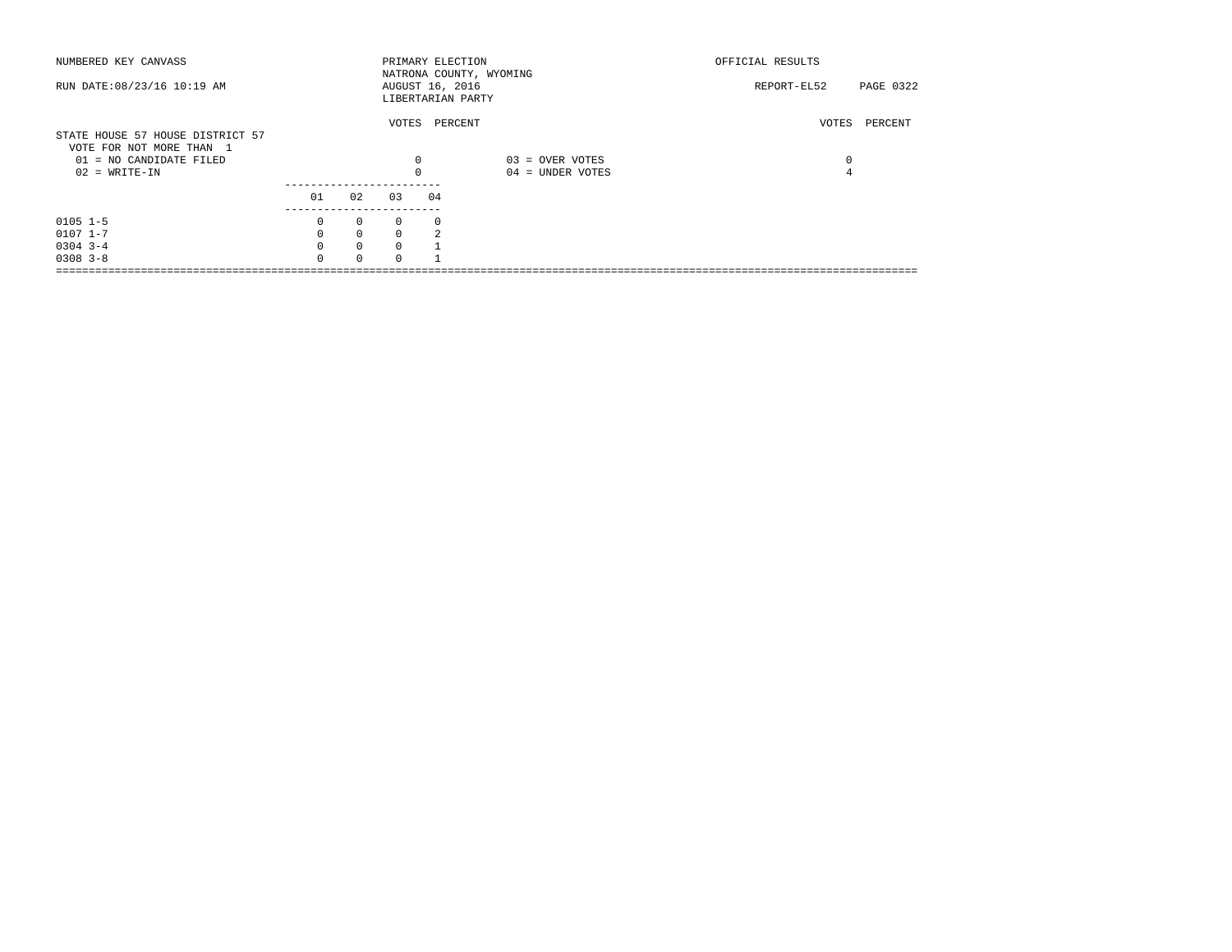| NUMBERED KEY CANVASS                                         |          |              |            | PRIMARY ELECTION<br>NATRONA COUNTY, WYOMING |                  | OFFICIAL RESULTS |           |
|--------------------------------------------------------------|----------|--------------|------------|---------------------------------------------|------------------|------------------|-----------|
| RUN DATE: 08/23/16 10:19 AM                                  |          |              |            | AUGUST 16, 2016<br>LIBERTARIAN PARTY        |                  | REPORT-EL52      | PAGE 0322 |
| STATE HOUSE 57 HOUSE DISTRICT 57<br>VOTE FOR NOT MORE THAN 1 |          |              |            | VOTES PERCENT                               |                  | VOTES            | PERCENT   |
| 01 = NO CANDIDATE FILED                                      |          |              | 0          |                                             | 03 = OVER VOTES  | 0                |           |
| $02 = WRITE-IN$                                              |          |              | $\Omega$   |                                             | 04 = UNDER VOTES | 4                |           |
|                                                              | 01       | 02           | 03         | 04                                          |                  |                  |           |
| $0105$ 1-5                                                   | 0        | $\circ$      | $^{\circ}$ | 0                                           |                  |                  |           |
| $0107$ $1-7$                                                 | 0        | $\mathbf{0}$ | $\Omega$   | 2                                           |                  |                  |           |
| $0304$ 3-4                                                   | $\Omega$ | $\mathbf{0}$ | $\Omega$   |                                             |                  |                  |           |
| $0308$ $3 - 8$                                               | $\Omega$ | $\Omega$     | $\cap$     |                                             |                  |                  |           |
|                                                              |          |              |            |                                             |                  |                  |           |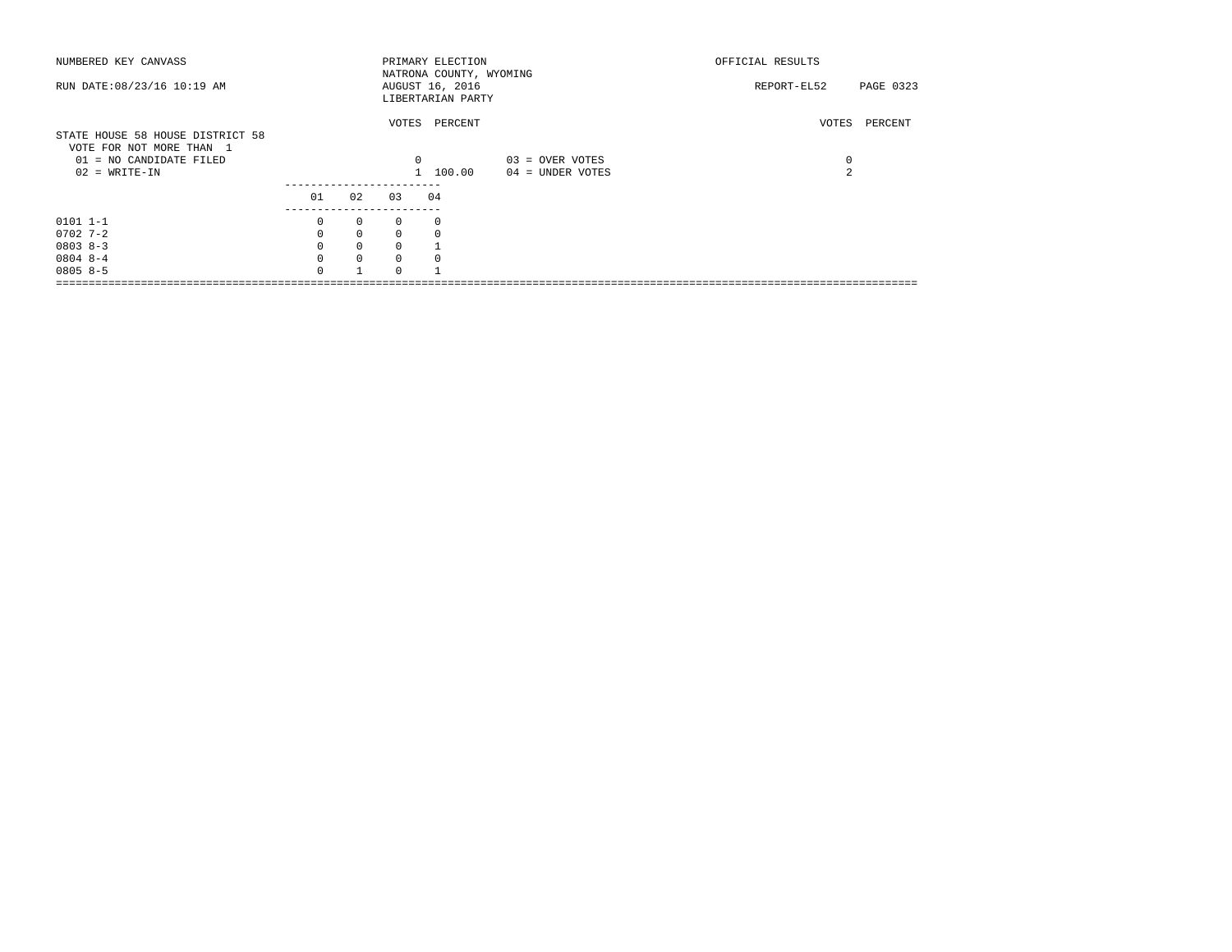| NUMBERED KEY CANVASS             |          |              |            | PRIMARY ELECTION        |                  | OFFICIAL RESULTS    |               |
|----------------------------------|----------|--------------|------------|-------------------------|------------------|---------------------|---------------|
|                                  |          |              |            | NATRONA COUNTY, WYOMING |                  |                     |               |
| RUN DATE: 08/23/16 10:19 AM      |          |              |            | AUGUST 16, 2016         |                  | REPORT-EL52         | PAGE 0323     |
|                                  |          |              |            | LIBERTARIAN PARTY       |                  |                     |               |
|                                  |          |              |            |                         |                  |                     |               |
|                                  |          |              |            | VOTES PERCENT           |                  |                     | VOTES PERCENT |
| STATE HOUSE 58 HOUSE DISTRICT 58 |          |              |            |                         |                  |                     |               |
| VOTE FOR NOT MORE THAN 1         |          |              |            |                         |                  |                     |               |
| 01 = NO CANDIDATE FILED          |          |              | $^{\circ}$ |                         | 03 = OVER VOTES  | 0<br>$\mathfrak{D}$ |               |
| $02$ = WRITE-IN                  |          |              |            | 1 100.00                | 04 = UNDER VOTES |                     |               |
|                                  | 01       | 02           | 03         | 04                      |                  |                     |               |
|                                  |          |              |            |                         |                  |                     |               |
| $0101$ $1-1$                     | $\Omega$ | $\mathbf{0}$ | $\Omega$   |                         |                  |                     |               |
| $0702$ 7-2                       | $\Omega$ | $\mathbf{0}$ | $\Omega$   |                         |                  |                     |               |
| $08038 - 3$                      |          | $\mathbf{0}$ | $\Omega$   |                         |                  |                     |               |
| $08048 - -4$                     | $\Omega$ | $\mathbf 0$  | $\Omega$   |                         |                  |                     |               |
| $08058-5$                        | $\cap$   | $\mathbf{1}$ | $\Omega$   |                         |                  |                     |               |
|                                  |          |              |            |                         |                  |                     |               |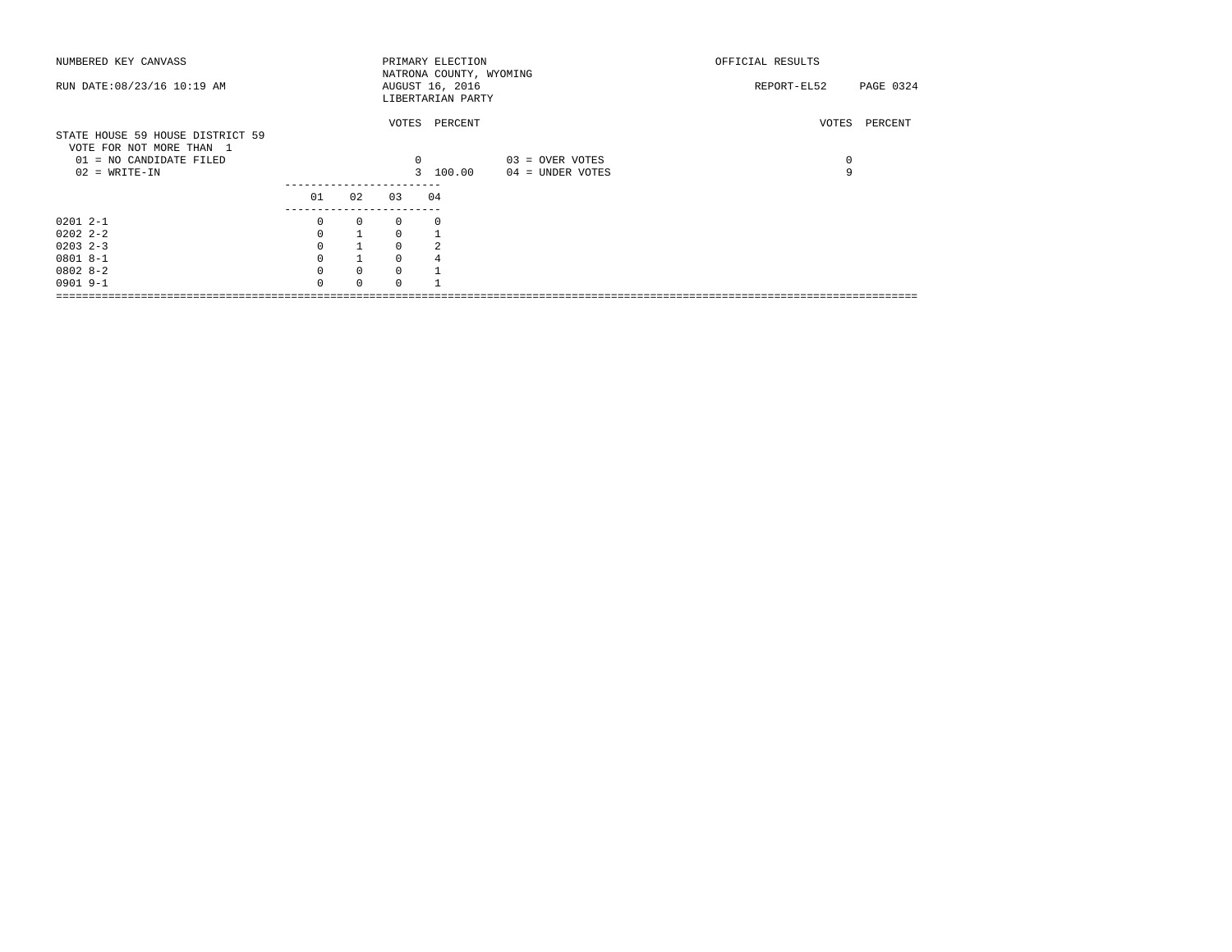| NUMBERED KEY CANVASS             |             |              |          | PRIMARY ELECTION        |                  | OFFICIAL RESULTS         |
|----------------------------------|-------------|--------------|----------|-------------------------|------------------|--------------------------|
|                                  |             |              |          | NATRONA COUNTY, WYOMING |                  |                          |
| RUN DATE: 08/23/16 10:19 AM      |             |              |          | AUGUST 16, 2016         |                  | PAGE 0324<br>REPORT-EL52 |
|                                  |             |              |          | LIBERTARIAN PARTY       |                  |                          |
|                                  |             |              |          |                         |                  |                          |
|                                  |             |              |          | VOTES PERCENT           |                  | VOTES<br>PERCENT         |
| STATE HOUSE 59 HOUSE DISTRICT 59 |             |              |          |                         |                  |                          |
| VOTE FOR NOT MORE THAN 1         |             |              |          |                         |                  |                          |
| 01 = NO CANDIDATE FILED          |             |              | 0        |                         | 03 = OVER VOTES  | 0                        |
| $02 = WRITE-IN$                  |             |              |          | 3 100.00                | 04 = UNDER VOTES | 9                        |
|                                  |             |              |          |                         |                  |                          |
|                                  |             |              |          |                         |                  |                          |
|                                  | 01          | 02           | 03       | 04                      |                  |                          |
|                                  |             |              |          |                         |                  |                          |
| $02012 - -1$                     | 0           | $\mathbf{0}$ | $\Omega$ | $\Omega$                |                  |                          |
| $02022 - 2 - 2$                  | $\Omega$    |              | $\Omega$ |                         |                  |                          |
| $0203$ $2-3$                     | $\mathbf 0$ |              | $\Omega$ |                         |                  |                          |
| $08018 - -1$                     | $\Omega$    |              | $\Omega$ |                         |                  |                          |
| $08028 - 2$                      | $\Omega$    | $\Omega$     | $\Omega$ |                         |                  |                          |
| $0901$ 9-1                       | $\Omega$    | $\Omega$     |          |                         |                  |                          |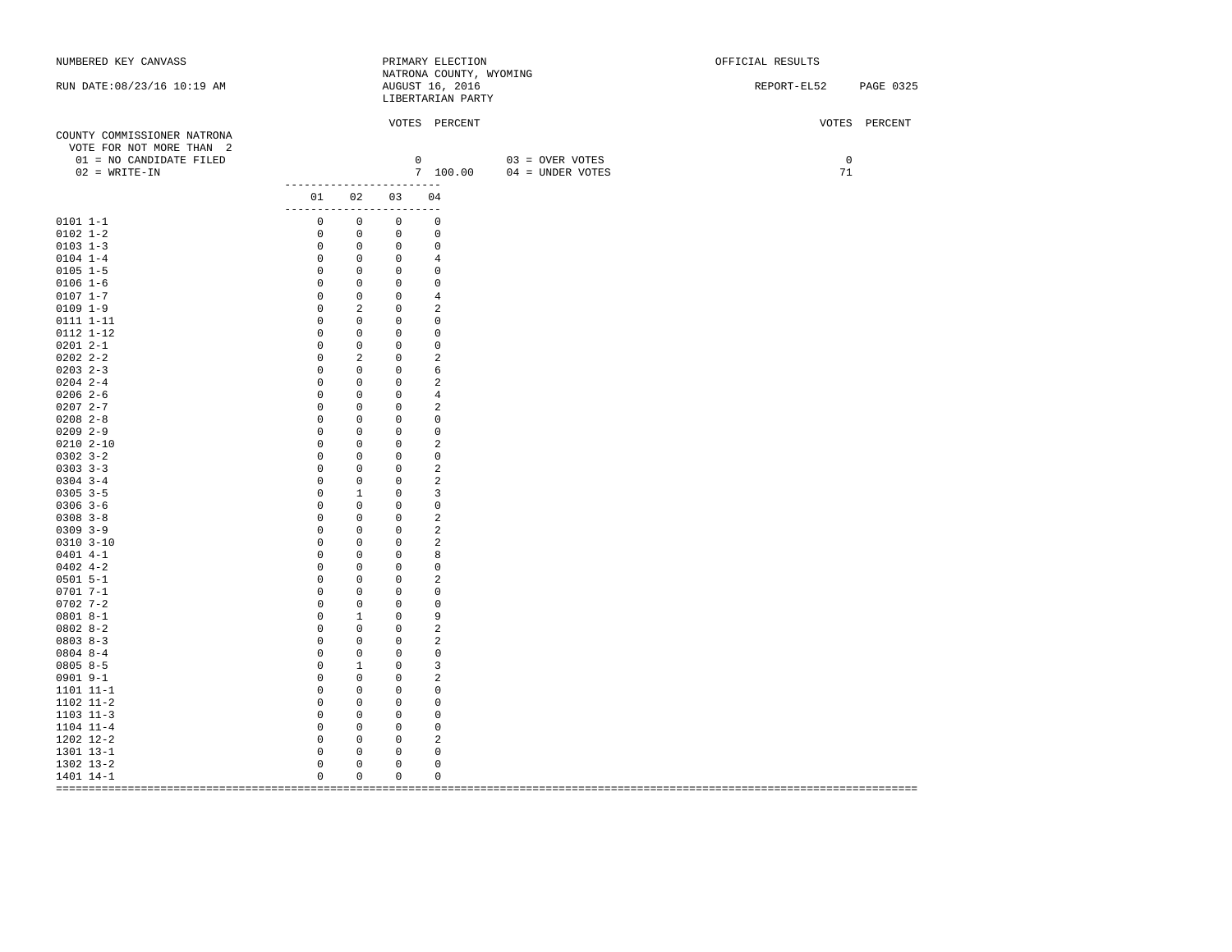| NUMBERED KEY CANVASS         |                                                      |                                           | PRIMARY ELECTION                           |                                    | OFFICIAL RESULTS         |
|------------------------------|------------------------------------------------------|-------------------------------------------|--------------------------------------------|------------------------------------|--------------------------|
| RUN DATE: 08/23/16 10:19 AM  |                                                      |                                           | NATRONA COUNTY, WYOMING<br>AUGUST 16, 2016 |                                    | REPORT-EL52<br>PAGE 0325 |
|                              |                                                      |                                           | LIBERTARIAN PARTY                          |                                    |                          |
|                              |                                                      |                                           |                                            |                                    |                          |
|                              |                                                      |                                           | VOTES PERCENT                              |                                    | VOTES PERCENT            |
| COUNTY COMMISSIONER NATRONA  |                                                      |                                           |                                            |                                    |                          |
| VOTE FOR NOT MORE THAN 2     |                                                      |                                           |                                            |                                    |                          |
| 01 = NO CANDIDATE FILED      |                                                      |                                           |                                            | $0$ 03 = OVER VOTES                | $\circ$                  |
| $02 = WRITE-IN$              |                                                      |                                           |                                            | 7 100.00 $04 = \text{UNDER VOTES}$ | 71                       |
|                              | -------------------------                            |                                           |                                            |                                    |                          |
|                              | 01 02 03 04<br>-------------------------             |                                           |                                            |                                    |                          |
| $0101 1 - 1$                 | $\overline{0}$<br>$\overline{0}$                     |                                           | $\overline{0}$<br>$\Omega$                 |                                    |                          |
| $0102 1 - 2$                 | $0\qquad 0$                                          |                                           | $0 \qquad \qquad$<br>0                     |                                    |                          |
| $0103$ $1-3$                 | $0\qquad 0$                                          |                                           | $\mathbf 0$<br>$\overline{0}$              |                                    |                          |
| $0104$ $1-4$                 | $0\qquad 0$                                          |                                           | $0 \qquad \qquad$<br>$\overline{4}$        |                                    |                          |
| $0105 1 - 5$                 | $0\qquad 0$                                          |                                           | $\overline{0}$<br>$\mathbf 0$              |                                    |                          |
| $0106 1-6$                   | $\overline{0}$<br>$\overline{0}$                     |                                           | $\overline{0}$<br>$\circ$                  |                                    |                          |
| $0107 1 - 7$                 | $\overline{0}$<br>$\overline{0}$                     |                                           | $0 \qquad \qquad$<br>$\overline{4}$        |                                    |                          |
| $0109$ $1-9$                 | $\overline{0}$                                       | 2                                         | 2<br>$\overline{0}$                        |                                    |                          |
| 0111 1-11                    | $\overline{0}$<br>$\overline{0}$                     |                                           | $\mathbf 0$<br>$0 \qquad \qquad$           |                                    |                          |
| 0112 1-12                    | $\circ$                                              | $\circ$<br>$\circ$                        | 0                                          |                                    |                          |
| $02012 - -1$                 | $\circ$                                              | $\circ$                                   | $\overline{0}$<br>$^{\circ}$               |                                    |                          |
| $0202$ $2-2$<br>$0203$ $2-3$ | $\circ$<br>$\circ$                                   | 2<br>$\overline{0}$                       | 2<br>$0 \qquad \qquad$<br>6                |                                    |                          |
| $0204$ 2-4                   | $\circ$                                              | $\circ$<br>$\circ$                        | $\overline{0}$<br>2                        |                                    |                          |
| $0206$ 2-6                   | $\mathbb O$                                          | $\overline{0}$<br>$\overline{0}$          | $\overline{4}$                             |                                    |                          |
| $02072 - -7$                 | $\circ$                                              | $\mathbf 0$                               | 2<br>$0 \qquad \qquad$                     |                                    |                          |
| $0208$ $2-8$                 | $\mathbf{0}$                                         | $\,0\,$                                   | $0 \qquad \qquad$<br>$\mathbf 0$           |                                    |                          |
| $0209$ 2-9                   | $\mathbb O$                                          | $\circ$<br>$\circ$                        | 0                                          |                                    |                          |
| $0210$ $2 - 10$              | $\circ$                                              | $\circ$<br>$\mathbf{0}$                   | 2                                          |                                    |                          |
| $0302$ $3-2$                 | $\circ$                                              | $\circ$<br>$\mathbf{0}$                   | 0                                          |                                    |                          |
| $0303$ $3-3$                 | $\mathbf 0$                                          | $\mathbf 0$<br>$\overline{0}$             | $\overline{a}$                             |                                    |                          |
| $0304$ 3-4                   | $\mathbf 0$                                          | $\mathbf 0$<br>$\circ$                    | 2                                          |                                    |                          |
| $0305$ 3-5                   | $\circ$                                              | $\mathbf{1}$                              | 3<br>$\overline{0}$                        |                                    |                          |
| $0306$ 3-6                   | $\circ$                                              | $\circ$                                   | $0 \qquad \qquad$<br>$\mathbf 0$           |                                    |                          |
| $0308$ $3-8$                 | $\mathbb O$                                          | $\overline{0}$                            | 2<br>$0 \qquad \qquad$                     |                                    |                          |
| $0309$ $3-9$                 | $\mathbb O$                                          | $\mathbb O$<br>$\overline{0}$             | 2                                          |                                    |                          |
| $0310$ $3-10$                | $\circ$                                              | $\mathbb O$<br>$\circ$                    | 2                                          |                                    |                          |
| $0401$ 4-1                   | $\circ$                                              | $\circ$<br>$\mathbf{0}$                   | 8                                          |                                    |                          |
| $0402$ 4-2                   | $\mathbf 0$                                          | $\mathbf 0$<br>$\mathbf{0}$               | $^{\circ}$                                 |                                    |                          |
| $0501$ 5-1                   | $\circ$<br>$\circ$                                   | $\circ$<br>$\circ$<br>$\circ$             | 2                                          |                                    |                          |
| $0701 7 - 1$<br>$0702$ 7-2   | $\circ$                                              | $\circ$<br>$\circ$                        | 0                                          |                                    |                          |
| $08018 - -1$                 | $\circ$                                              | $\overline{0}$<br>$\mathbf{1}$<br>$\circ$ | $\mathbf 0$<br>9                           |                                    |                          |
| $0802 8-2$                   | $\circ$                                              | $\mathbf 0$<br>$\circ$                    | 2                                          |                                    |                          |
| $08038 - 3$                  | $\circ$                                              | $\circ$                                   | 2<br>$0 \qquad \qquad$                     |                                    |                          |
| $08048 - -4$                 | $\circ$                                              | $\circ$<br>$\mathbf{0}$                   | $\mathbf 0$                                |                                    |                          |
| $0805 8 - 5$                 | $\overline{0}$<br>$\overline{1}$                     | $\circ$                                   | 3                                          |                                    |                          |
| 0901 9-1                     | $\overline{\phantom{0}}$                             | $\overline{0}$<br>$\circ$                 | 2                                          |                                    |                          |
| 1101 11-1                    | $\circ$<br>$\overline{0}$                            | $\mathbf{0}$                              | 0                                          |                                    |                          |
| 1102 11-2                    | $\overline{0}$<br>$\overline{0}$                     | $\circ$                                   | $^{\circ}$                                 |                                    |                          |
| 1103 11-3                    | $\overline{\phantom{0}}$<br>$\overline{\phantom{0}}$ | $\circ$                                   | 0                                          |                                    |                          |
| $1104$ $11-4$                | $\overline{0}$<br>$\overline{0}$                     | $\circ$                                   | 0                                          |                                    |                          |
| 1202 12-2                    | $\overline{0}$<br>$\circ$                            | $\circ$                                   | 2                                          |                                    |                          |
| 1301 13-1                    | $\circ$                                              | $\mathsf{O}$<br>$\circ$                   | 0                                          |                                    |                          |
| 1302 13-2                    | $\mathsf 0$                                          | $\mathsf 0$<br>0                          | 0                                          |                                    |                          |
| 1401 14-1                    | $\mathbf 0$                                          | $\mathbf 0$<br>$\mathbf 0$                | $\mathbf 0$                                |                                    |                          |
|                              |                                                      |                                           |                                            |                                    |                          |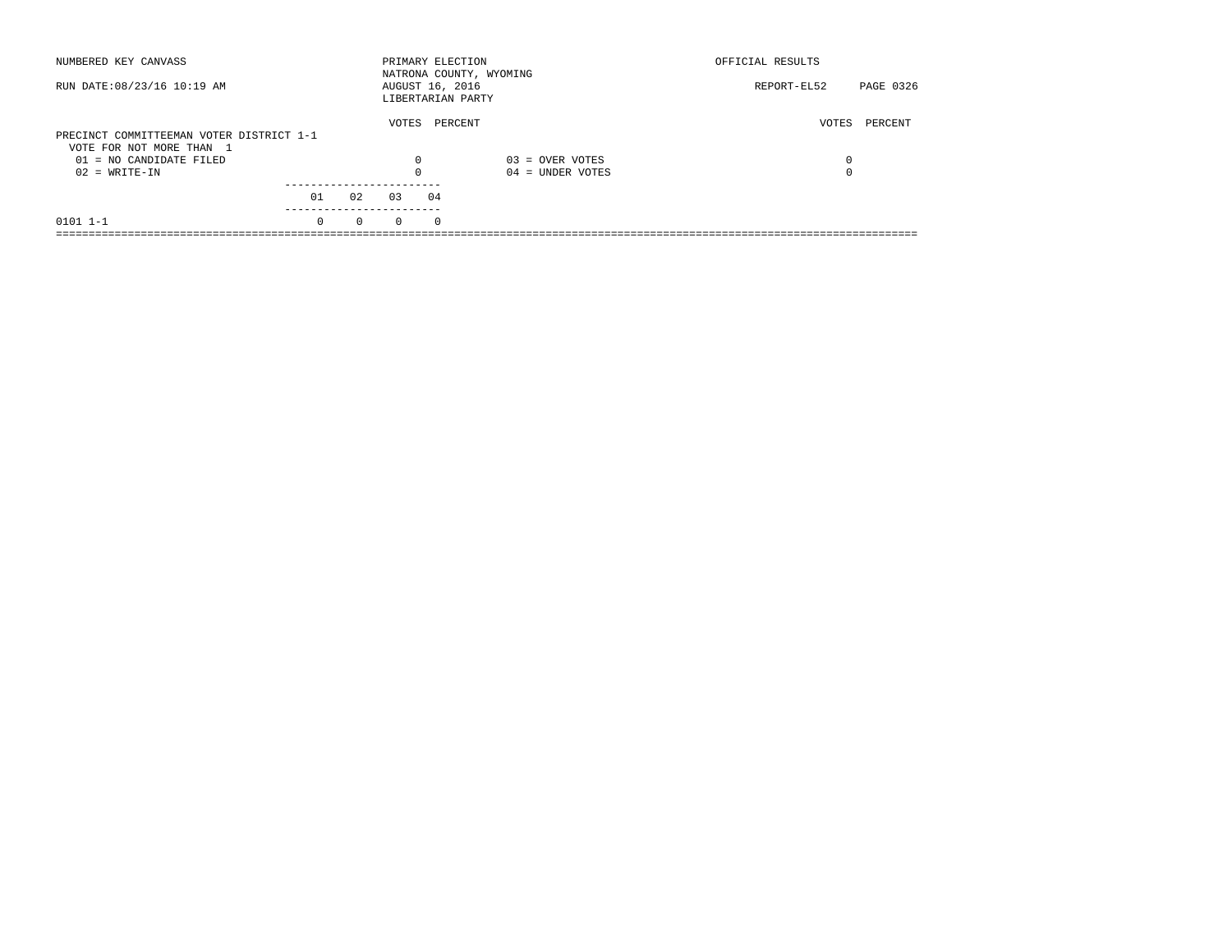| NUMBERED KEY CANVASS                                                 |          |          |          | PRIMARY ELECTION<br>NATRONA COUNTY, WYOMING |                    | OFFICIAL RESULTS |           |
|----------------------------------------------------------------------|----------|----------|----------|---------------------------------------------|--------------------|------------------|-----------|
| RUN DATE: 08/23/16 10:19 AM                                          |          |          |          | AUGUST 16, 2016<br>LIBERTARIAN PARTY        |                    | REPORT-EL52      | PAGE 0326 |
| PRECINCT COMMITTEEMAN VOTER DISTRICT 1-1<br>VOTE FOR NOT MORE THAN 1 |          |          | VOTES    | PERCENT                                     |                    | VOTES            | PERCENT   |
| 01 = NO CANDIDATE FILED                                              |          |          | 0        |                                             | $03 =$ OVER VOTES  | 0                |           |
| $02 = WRITE-IN$                                                      |          |          |          |                                             | $04 =$ UNDER VOTES | $\Omega$         |           |
|                                                                      | 01       | 02       | 03       | 04                                          |                    |                  |           |
| $0101$ $1-1$                                                         | $\Omega$ | $\Omega$ | $\Omega$ | $\Omega$                                    |                    |                  |           |
|                                                                      |          |          |          |                                             |                    |                  |           |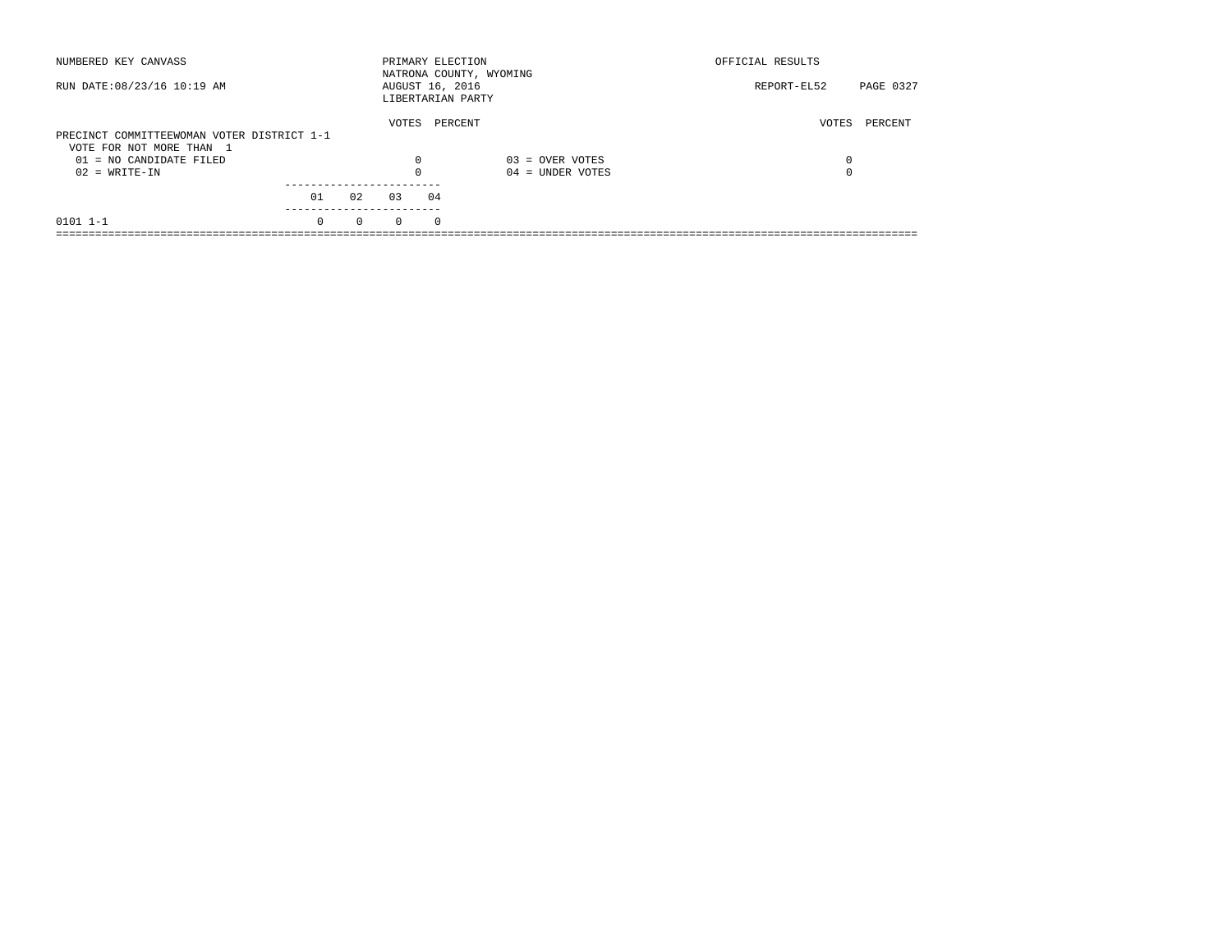| NUMBERED KEY CANVASS                       |          |          |          | PRIMARY ELECTION<br>NATRONA COUNTY, WYOMING |                    | OFFICIAL RESULTS |           |
|--------------------------------------------|----------|----------|----------|---------------------------------------------|--------------------|------------------|-----------|
| RUN DATE: 08/23/16 10:19 AM                |          |          |          | AUGUST 16, 2016<br>LIBERTARIAN PARTY        |                    | REPORT-EL52      | PAGE 0327 |
|                                            |          |          | VOTES    | PERCENT                                     |                    | VOTES            | PERCENT   |
| PRECINCT COMMITTEEWOMAN VOTER DISTRICT 1-1 |          |          |          |                                             |                    |                  |           |
| VOTE FOR NOT MORE THAN 1                   |          |          |          |                                             |                    |                  |           |
| 01 = NO CANDIDATE FILED                    |          |          | 0        |                                             | $03 =$ OVER VOTES  | 0                |           |
| $02 = WRITE-IN$                            |          |          |          |                                             | $04 =$ UNDER VOTES | $\Omega$         |           |
|                                            |          |          |          |                                             |                    |                  |           |
|                                            | 01       | 02       | 03       | 04                                          |                    |                  |           |
| $0101$ $1-1$                               | $\Omega$ | $\Omega$ | $\Omega$ | $\Omega$                                    |                    |                  |           |
|                                            |          |          |          |                                             |                    |                  |           |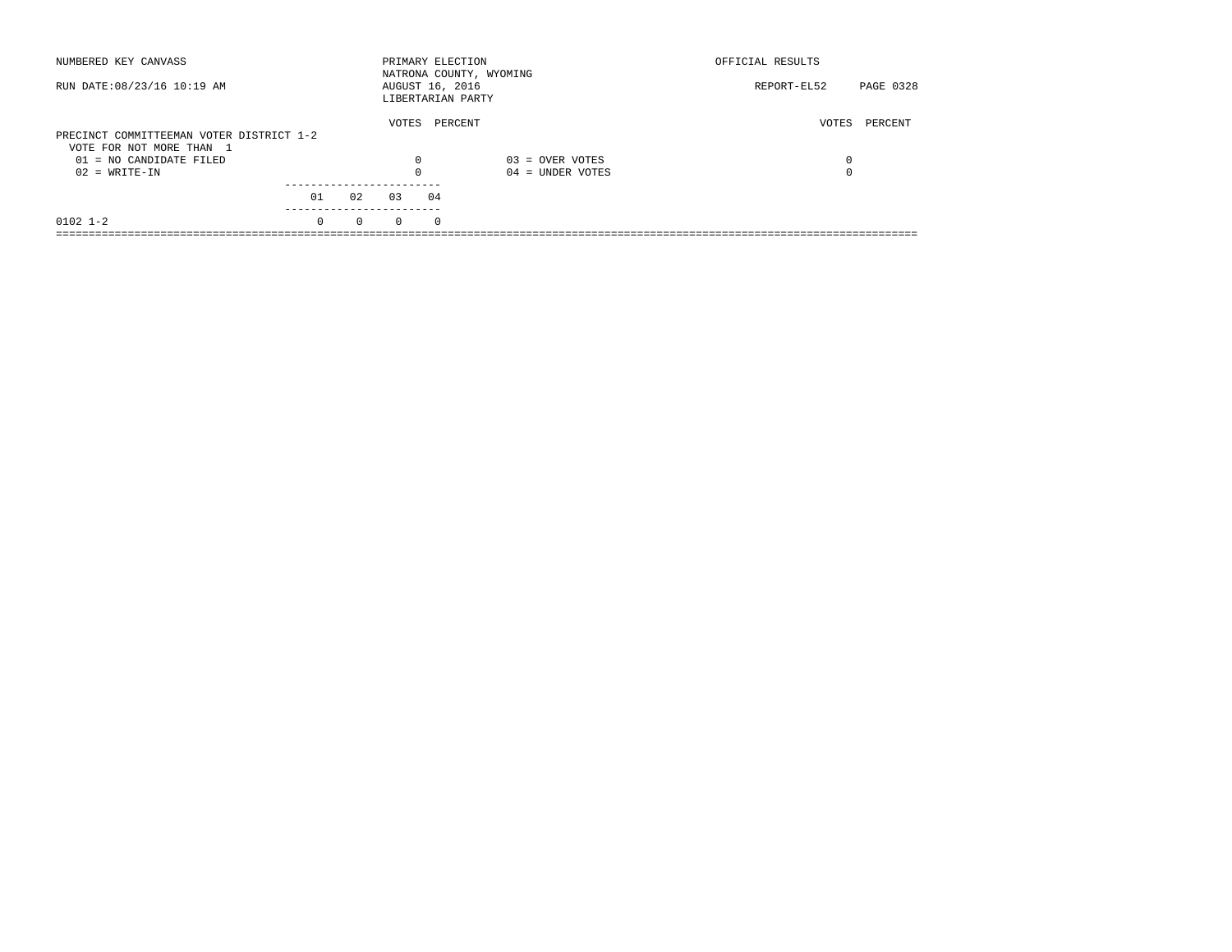| NUMBERED KEY CANVASS                                                 |          |          |          | PRIMARY ELECTION                     | NATRONA COUNTY, WYOMING | OFFICIAL RESULTS |           |
|----------------------------------------------------------------------|----------|----------|----------|--------------------------------------|-------------------------|------------------|-----------|
| RUN DATE: 08/23/16 10:19 AM                                          |          |          |          | AUGUST 16, 2016<br>LIBERTARIAN PARTY |                         | REPORT-EL52      | PAGE 0328 |
| PRECINCT COMMITTEEMAN VOTER DISTRICT 1-2<br>VOTE FOR NOT MORE THAN 1 |          |          | VOTES    | PERCENT                              |                         | VOTES            | PERCENT   |
| 01 = NO CANDIDATE FILED                                              |          |          | $\Omega$ |                                      | $03 =$ OVER VOTES       | 0                |           |
| $02 = WRITE-IN$                                                      |          |          |          |                                      | $04 =$ UNDER VOTES      | $\Omega$         |           |
|                                                                      | 01       | 02       | 03       | 04                                   |                         |                  |           |
| $0102$ $1-2$                                                         | $\Omega$ | $\Omega$ | $\Omega$ | $\Omega$                             |                         |                  |           |
|                                                                      |          |          |          |                                      |                         |                  |           |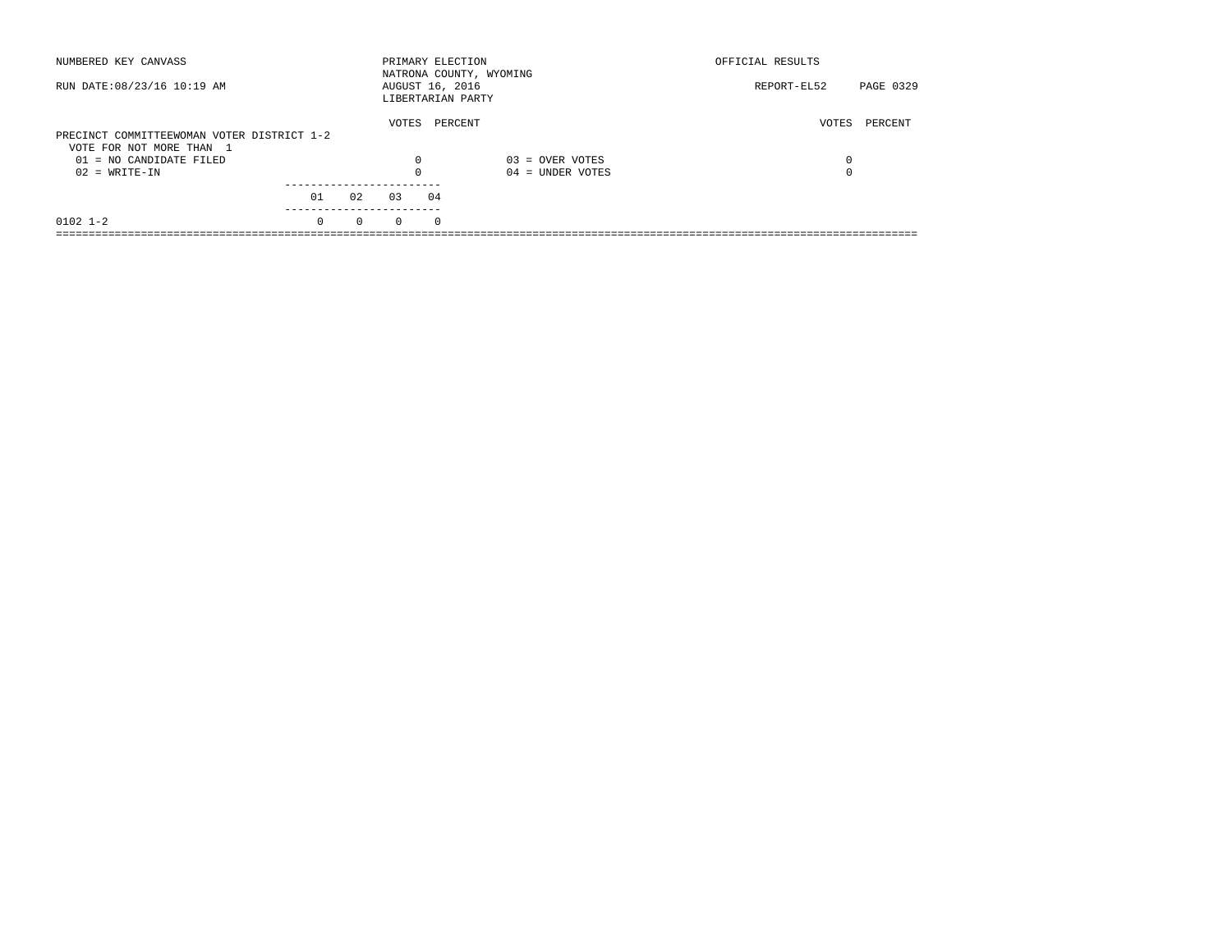| NUMBERED KEY CANVASS                       |          |          | PRIMARY ELECTION                     |          | NATRONA COUNTY, WYOMING | OFFICIAL RESULTS |           |
|--------------------------------------------|----------|----------|--------------------------------------|----------|-------------------------|------------------|-----------|
| RUN DATE: 08/23/16 10:19 AM                |          |          | AUGUST 16, 2016<br>LIBERTARIAN PARTY |          |                         | REPORT-EL52      | PAGE 0329 |
|                                            |          |          | VOTES                                |          | PERCENT                 | VOTES            | PERCENT   |
| PRECINCT COMMITTEEWOMAN VOTER DISTRICT 1-2 |          |          |                                      |          |                         |                  |           |
| VOTE FOR NOT MORE THAN 1                   |          |          |                                      |          |                         |                  |           |
| 01 = NO CANDIDATE FILED                    |          |          | $\Omega$                             |          | $03 =$ OVER VOTES       | 0                |           |
| $02 = WRITE-IN$                            |          |          |                                      |          | $04 =$ UNDER VOTES      | $\Omega$         |           |
|                                            |          |          |                                      |          |                         |                  |           |
|                                            | 01       | 02       | 03                                   | 04       |                         |                  |           |
| $0102$ $1-2$                               | $\Omega$ | $\Omega$ | $\Omega$                             | $\Omega$ |                         |                  |           |
|                                            |          |          |                                      |          |                         |                  |           |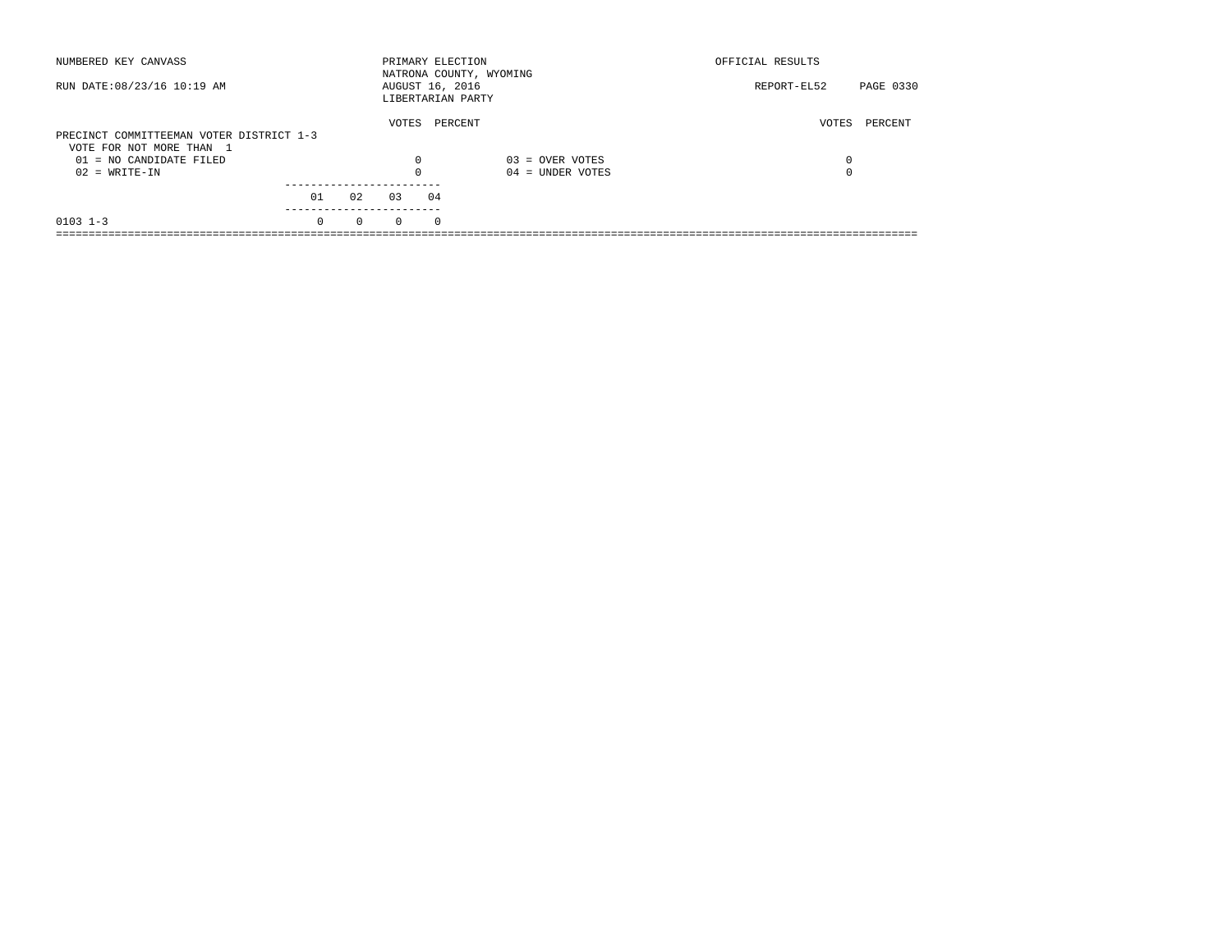| NUMBERED KEY CANVASS                                |          |          | PRIMARY ELECTION                     |          | NATRONA COUNTY, WYOMING | OFFICIAL RESULTS |           |
|-----------------------------------------------------|----------|----------|--------------------------------------|----------|-------------------------|------------------|-----------|
| RUN DATE: 08/23/16 10:19 AM                         |          |          | AUGUST 16, 2016<br>LIBERTARIAN PARTY |          |                         | REPORT-EL52      | PAGE 0330 |
| PRECINCT COMMITTEEMAN VOTER DISTRICT 1-3            |          |          | VOTES                                |          | PERCENT                 | VOTES            | PERCENT   |
| VOTE FOR NOT MORE THAN 1<br>01 = NO CANDIDATE FILED |          |          | 0                                    |          | $03 =$ OVER VOTES       | 0                |           |
| $02 = WRITE-IN$                                     |          |          |                                      |          | $04 =$ UNDER VOTES      | $\Omega$         |           |
|                                                     | 01       | 02       | 03                                   | 04       |                         |                  |           |
| $0103$ 1-3                                          | $\Omega$ | $\Omega$ | $\Omega$                             | $\Omega$ |                         |                  |           |
|                                                     |          |          |                                      |          |                         |                  |           |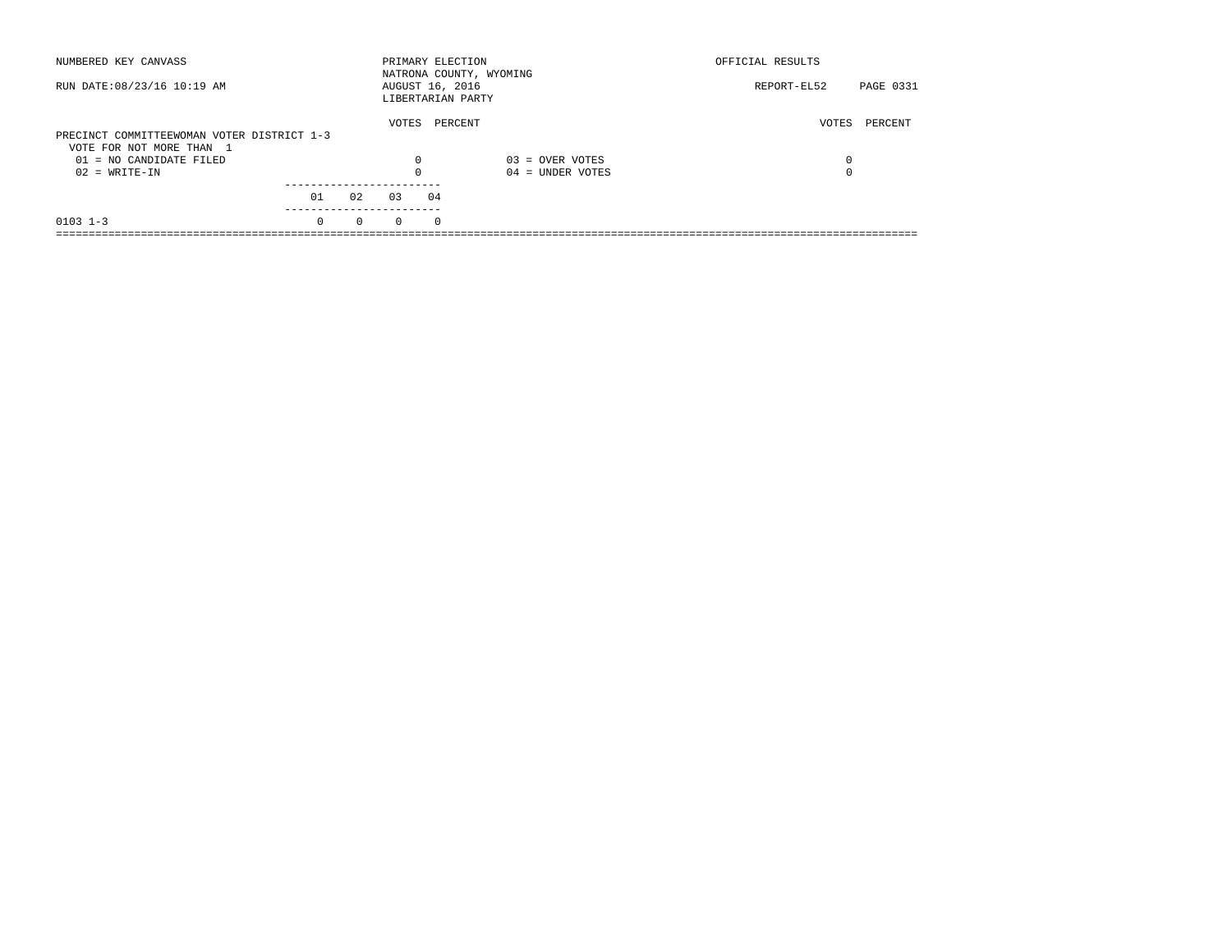| NUMBERED KEY CANVASS                       |          |          |          | PRIMARY ELECTION<br>NATRONA COUNTY, WYOMING |                    | OFFICIAL RESULTS |           |
|--------------------------------------------|----------|----------|----------|---------------------------------------------|--------------------|------------------|-----------|
| RUN DATE: 08/23/16 10:19 AM                |          |          |          | AUGUST 16, 2016<br>LIBERTARIAN PARTY        |                    | REPORT-EL52      | PAGE 0331 |
|                                            |          |          | VOTES    | PERCENT                                     |                    | VOTES            | PERCENT   |
| PRECINCT COMMITTEEWOMAN VOTER DISTRICT 1-3 |          |          |          |                                             |                    |                  |           |
| VOTE FOR NOT MORE THAN 1                   |          |          |          |                                             |                    |                  |           |
| $01 = NO$ CANDIDATE FILED                  |          |          | $\Omega$ |                                             | $03 =$ OVER VOTES  | 0                |           |
| $02 = WRITE-IN$                            |          |          | $\Omega$ |                                             | $04 =$ UNDER VOTES | 0                |           |
|                                            |          |          |          |                                             |                    |                  |           |
|                                            | 01       | 02       | 0.3      | 04                                          |                    |                  |           |
| $0103$ 1-3                                 | $\Omega$ | $\Omega$ | $\Omega$ | $\Omega$                                    |                    |                  |           |
|                                            |          |          |          |                                             |                    |                  |           |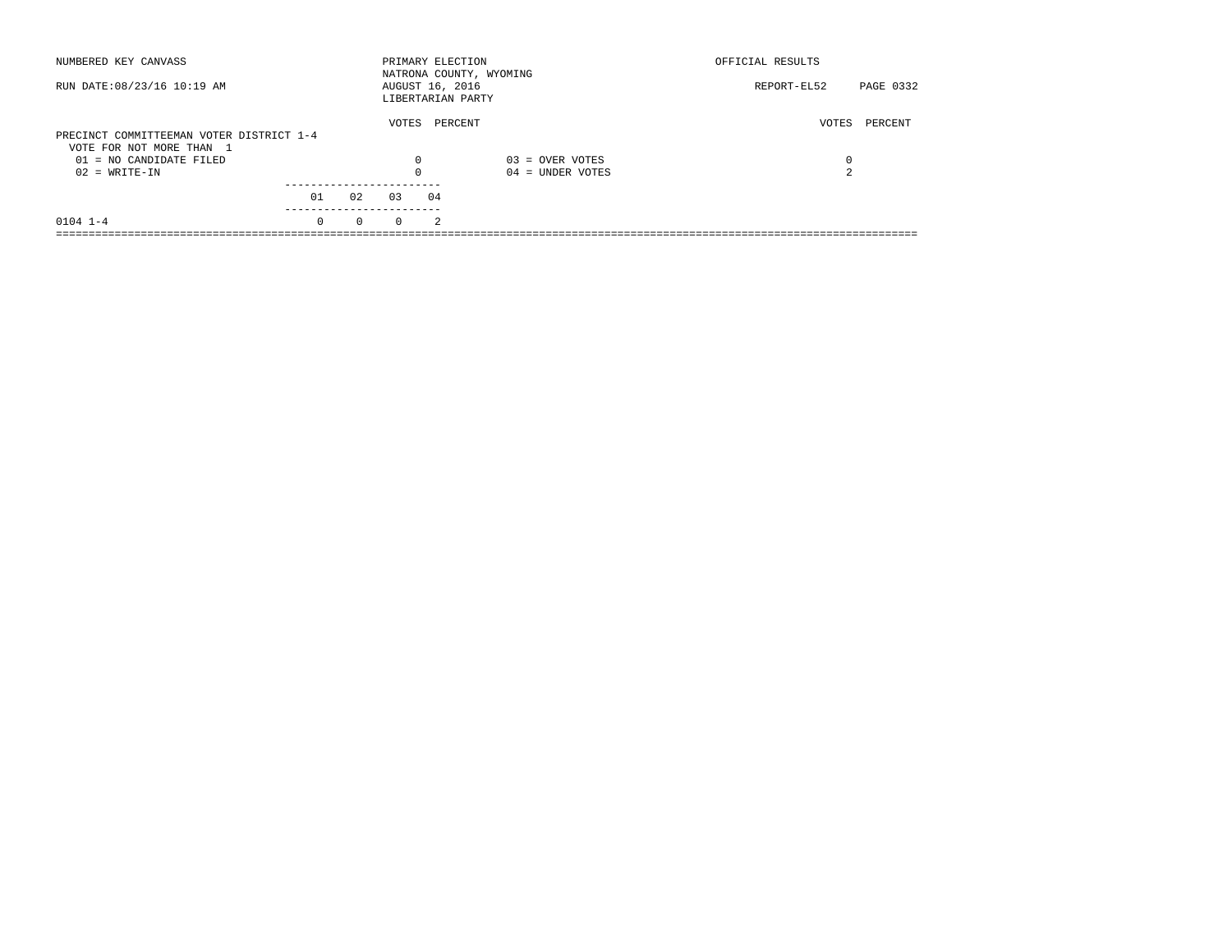| NUMBERED KEY CANVASS                                  |          |          | PRIMARY ELECTION                     |                | NATRONA COUNTY, WYOMING | OFFICIAL RESULTS |           |
|-------------------------------------------------------|----------|----------|--------------------------------------|----------------|-------------------------|------------------|-----------|
| RUN DATE: 08/23/16 10:19 AM                           |          |          | AUGUST 16, 2016<br>LIBERTARIAN PARTY |                |                         | REPORT-EL52      | PAGE 0332 |
| PRECINCT COMMITTEEMAN VOTER DISTRICT 1-4              |          |          | VOTES                                | PERCENT        |                         | VOTES            | PERCENT   |
| VOTE FOR NOT MORE THAN 1<br>$01 = NO$ CANDIDATE FILED |          |          | 0                                    |                | $03 =$ OVER VOTES       | 0                |           |
| $02 = WRITE-IN$                                       |          |          | $\Omega$                             |                | $04 =$ UNDER VOTES      | 2                |           |
|                                                       | 01       | 02       | 0.3                                  | 04             |                         |                  |           |
| $0104$ $1-4$                                          | $\Omega$ | $\Omega$ | $\Omega$                             | $\mathfrak{D}$ |                         |                  |           |
|                                                       |          |          |                                      |                |                         |                  |           |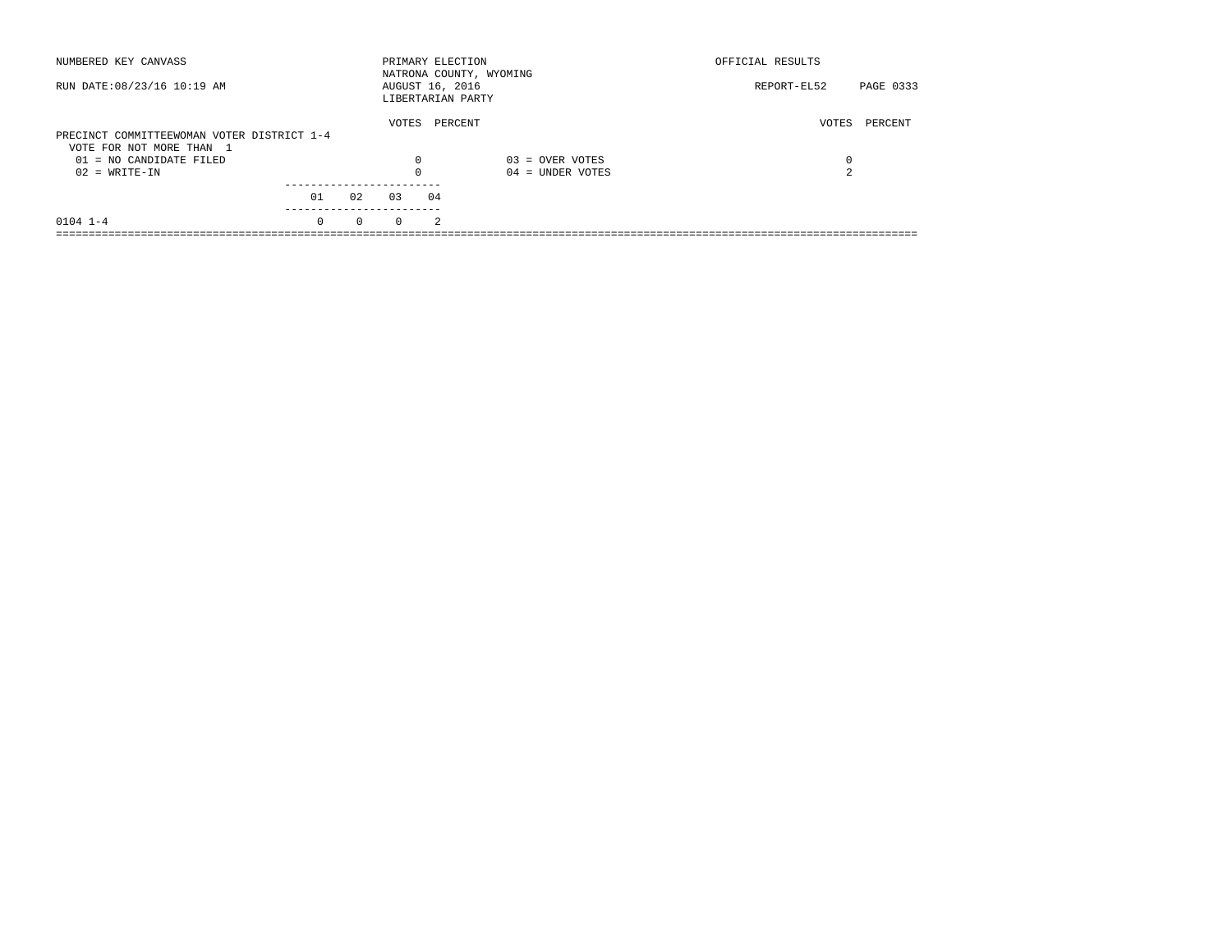| NUMBERED KEY CANVASS                       |          |          | PRIMARY ELECTION                     |    | NATRONA COUNTY, WYOMING | OFFICIAL RESULTS |           |
|--------------------------------------------|----------|----------|--------------------------------------|----|-------------------------|------------------|-----------|
| RUN DATE: 08/23/16 10:19 AM                |          |          | AUGUST 16, 2016<br>LIBERTARIAN PARTY |    |                         | REPORT-EL52      | PAGE 0333 |
| PRECINCT COMMITTEEWOMAN VOTER DISTRICT 1-4 |          |          | VOTES                                |    | PERCENT                 | VOTES            | PERCENT   |
| VOTE FOR NOT MORE THAN 1                   |          |          |                                      |    |                         |                  |           |
| 01 = NO CANDIDATE FILED                    |          |          | 0                                    |    | $03 =$ OVER VOTES       | 0                |           |
| $02 = WRITE-IN$                            |          |          |                                      |    | $04 =$ UNDER VOTES      | $\Omega$<br>╱.   |           |
|                                            | 01       | 02       | 03                                   | 04 |                         |                  |           |
|                                            |          |          |                                      |    |                         |                  |           |
| $0104$ $1-4$                               | $\Omega$ | $\Omega$ | $\Omega$                             | 2  |                         |                  |           |
|                                            |          |          |                                      |    |                         |                  |           |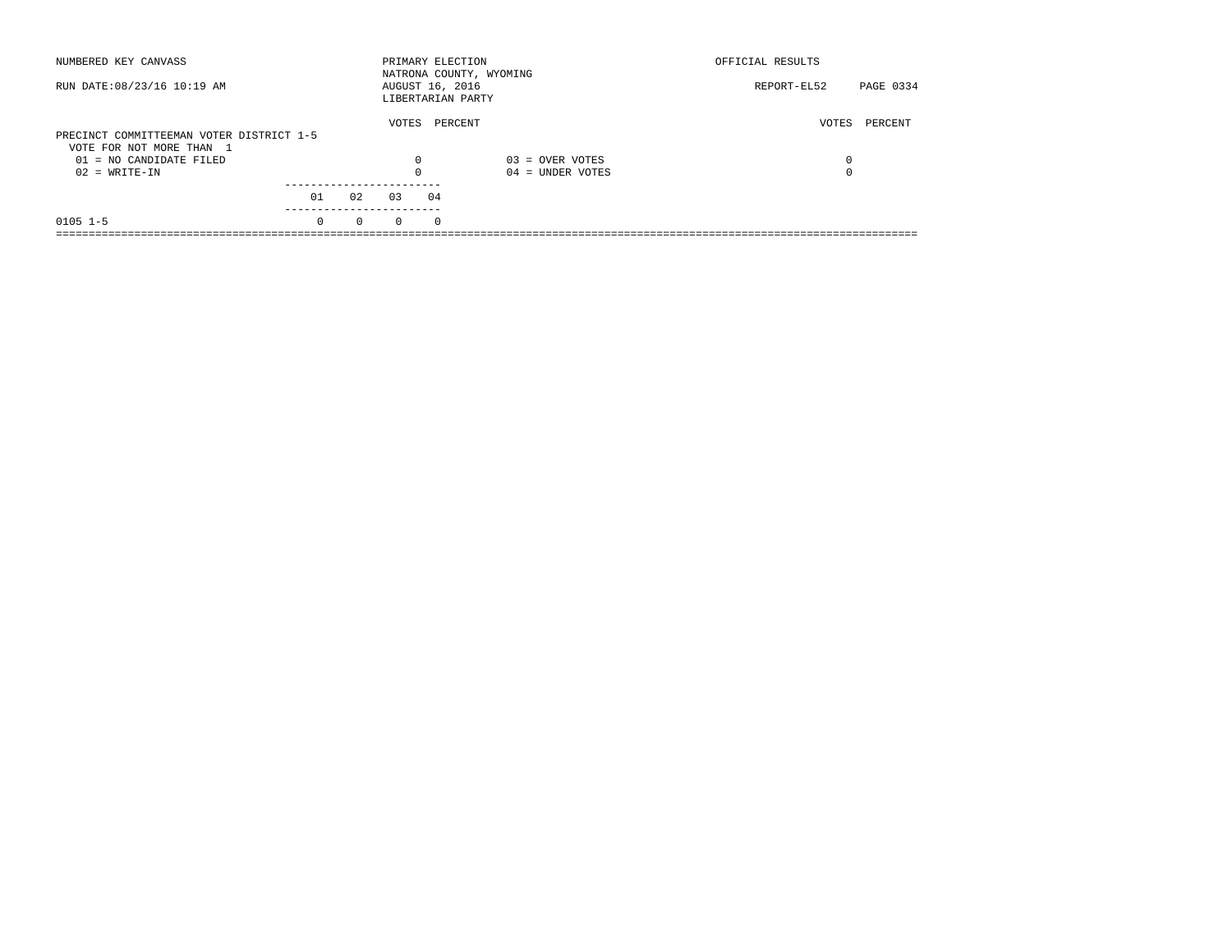| NUMBERED KEY CANVASS                                                 |          |          |          | PRIMARY ELECTION<br>NATRONA COUNTY, WYOMING |                    | OFFICIAL RESULTS |           |
|----------------------------------------------------------------------|----------|----------|----------|---------------------------------------------|--------------------|------------------|-----------|
| RUN DATE: 08/23/16 10:19 AM                                          |          |          |          | AUGUST 16, 2016<br>LIBERTARIAN PARTY        |                    | REPORT-EL52      | PAGE 0334 |
| PRECINCT COMMITTEEMAN VOTER DISTRICT 1-5<br>VOTE FOR NOT MORE THAN 1 |          |          | VOTES    | PERCENT                                     |                    | VOTES            | PERCENT   |
| 01 = NO CANDIDATE FILED                                              |          |          | 0        |                                             | $03 =$ OVER VOTES  | 0                |           |
| $02 = WRITE-IN$                                                      |          |          | $\Omega$ |                                             | $04 =$ UNDER VOTES | $\Omega$         |           |
|                                                                      |          |          |          |                                             |                    |                  |           |
|                                                                      | 01       | 02       | 03       | 04                                          |                    |                  |           |
| $0105$ 1-5                                                           | $\Omega$ | $\Omega$ | $\Omega$ | $\Omega$                                    |                    |                  |           |
|                                                                      |          |          |          |                                             |                    |                  |           |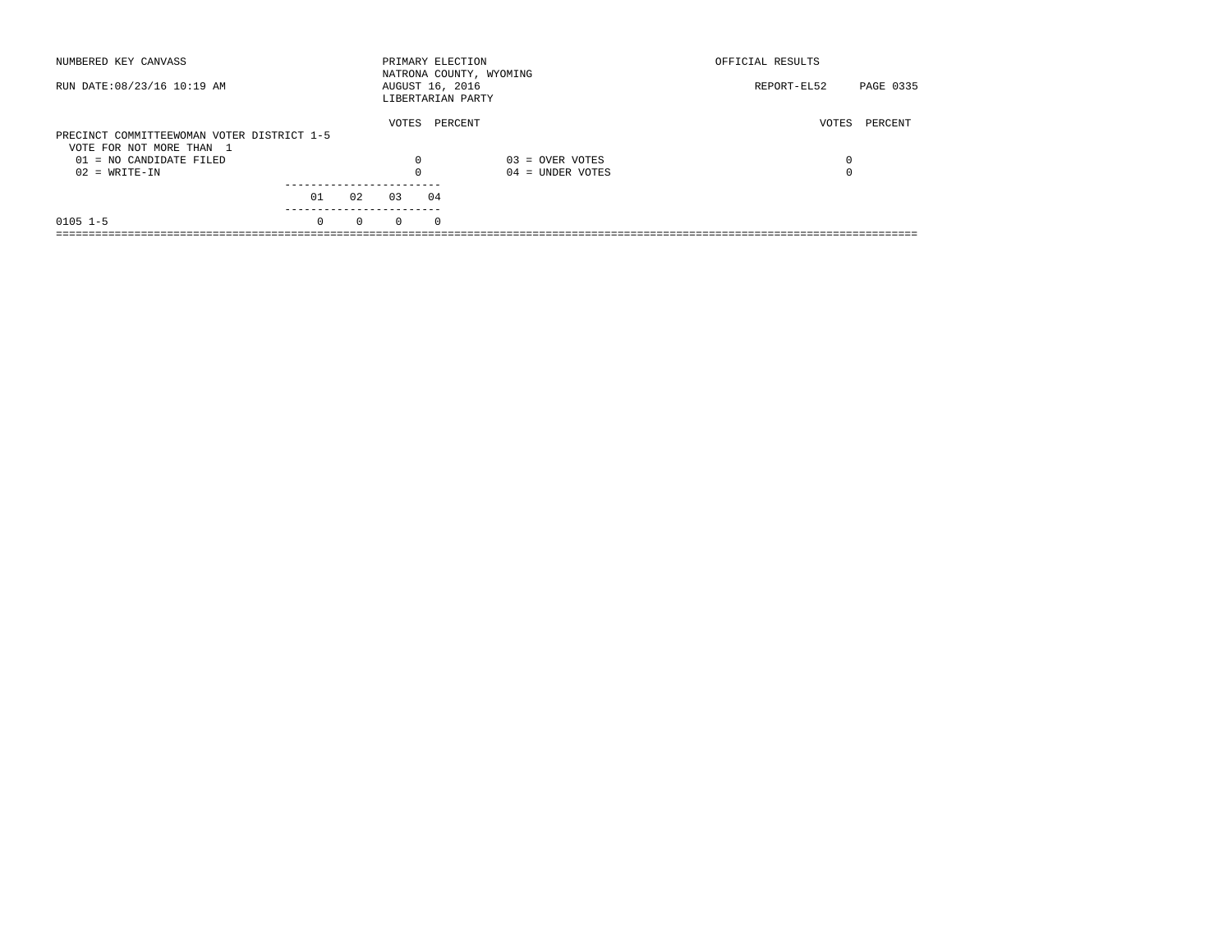| NUMBERED KEY CANVASS                       |          |          | PRIMARY ELECTION |          | NATRONA COUNTY, WYOMING | OFFICIAL RESULTS |           |
|--------------------------------------------|----------|----------|------------------|----------|-------------------------|------------------|-----------|
| RUN DATE: 08/23/16 10:19 AM                |          |          | AUGUST 16, 2016  |          | LIBERTARIAN PARTY       | REPORT-EL52      | PAGE 0335 |
|                                            |          |          | VOTES            |          | PERCENT                 | VOTES            | PERCENT   |
| PRECINCT COMMITTEEWOMAN VOTER DISTRICT 1-5 |          |          |                  |          |                         |                  |           |
| VOTE FOR NOT MORE THAN 1                   |          |          |                  |          |                         |                  |           |
| $01 = NO$ CANDIDATE FILED                  |          |          | $\Omega$         |          | $03 =$ OVER VOTES       | 0                |           |
| $02 = WRITE-IN$                            |          |          | $\Omega$         |          | $04 =$ UNDER VOTES      | 0                |           |
|                                            |          |          |                  |          |                         |                  |           |
|                                            | 01       | 02       | 0.3              | 04       |                         |                  |           |
| $0105$ 1-5                                 | $\Omega$ | $\Omega$ | $\Omega$         | $\Omega$ |                         |                  |           |
|                                            |          |          |                  |          |                         |                  |           |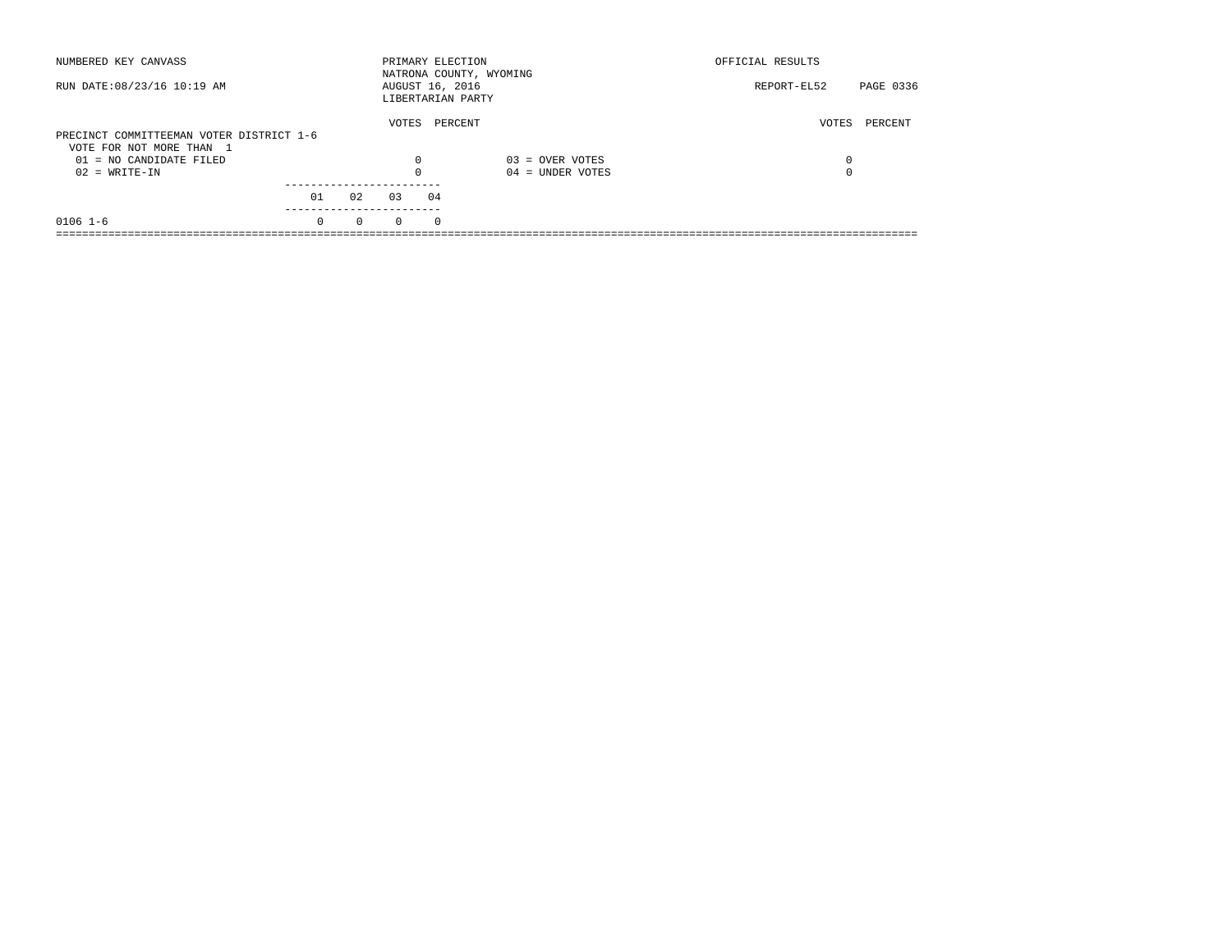| NUMBERED KEY CANVASS                                                 |          |          |          | PRIMARY ELECTION                     | NATRONA COUNTY, WYOMING | OFFICIAL RESULTS |           |
|----------------------------------------------------------------------|----------|----------|----------|--------------------------------------|-------------------------|------------------|-----------|
| RUN DATE: 08/23/16 10:19 AM                                          |          |          |          | AUGUST 16, 2016<br>LIBERTARIAN PARTY |                         | REPORT-EL52      | PAGE 0336 |
| PRECINCT COMMITTEEMAN VOTER DISTRICT 1-6<br>VOTE FOR NOT MORE THAN 1 |          |          | VOTES    | PERCENT                              |                         | VOTES            | PERCENT   |
| 01 = NO CANDIDATE FILED                                              |          |          | 0        |                                      | $03 =$ OVER VOTES       | 0                |           |
| $02 = WRITE-IN$                                                      |          |          | $\Omega$ |                                      | $04 =$ UNDER VOTES      | $\Omega$         |           |
|                                                                      |          |          |          |                                      |                         |                  |           |
|                                                                      | 01       | 02       | 03       | 04                                   |                         |                  |           |
| $0106$ 1-6                                                           | $\Omega$ | $\Omega$ | $\Omega$ | $\Omega$                             |                         |                  |           |
|                                                                      |          |          |          |                                      |                         |                  |           |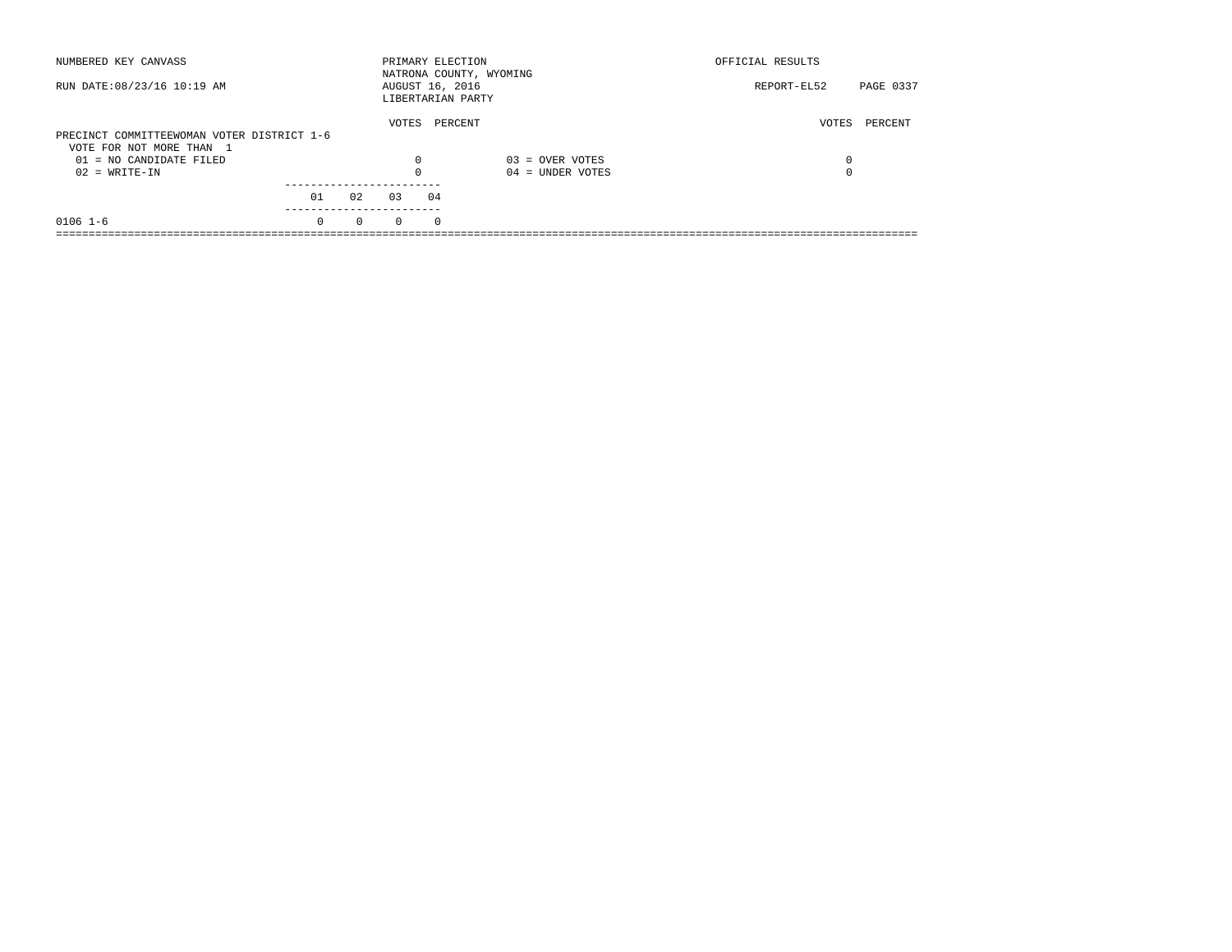| NUMBERED KEY CANVASS                       |          |          |          | PRIMARY ELECTION<br>NATRONA COUNTY, WYOMING |                    | OFFICIAL RESULTS         |  |
|--------------------------------------------|----------|----------|----------|---------------------------------------------|--------------------|--------------------------|--|
| RUN DATE: 08/23/16 10:19 AM                |          |          |          | AUGUST 16, 2016<br>LIBERTARIAN PARTY        |                    | PAGE 0337<br>REPORT-EL52 |  |
| PRECINCT COMMITTEEWOMAN VOTER DISTRICT 1-6 |          |          | VOTES    | PERCENT                                     |                    | VOTES<br>PERCENT         |  |
| VOTE FOR NOT MORE THAN 1                   |          |          |          |                                             |                    |                          |  |
| 01 = NO CANDIDATE FILED                    |          |          | 0        |                                             | $03 =$ OVER VOTES  | 0                        |  |
| $02 = WRITE-IN$                            |          |          | $\Omega$ |                                             | $04 =$ UNDER VOTES | $\Omega$                 |  |
|                                            |          |          |          |                                             |                    |                          |  |
|                                            | 01       | 02       | 03       | 04                                          |                    |                          |  |
| $0106$ 1-6                                 | $\Omega$ | $\Omega$ | $\Omega$ | $\Omega$                                    |                    |                          |  |
|                                            |          |          |          |                                             |                    |                          |  |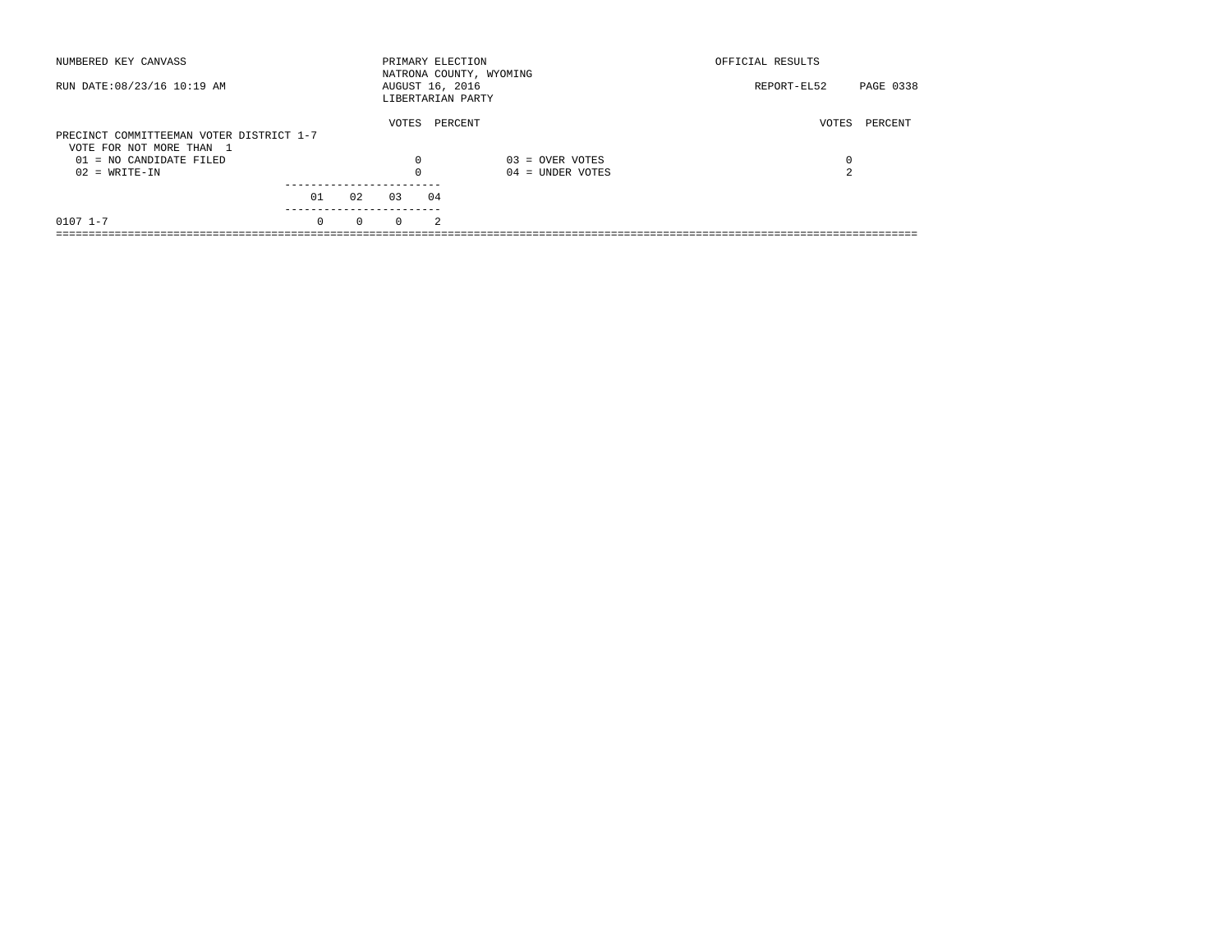| NUMBERED KEY CANVASS                                                 |          |          | PRIMARY ELECTION                     |                | NATRONA COUNTY, WYOMING | OFFICIAL RESULTS |           |
|----------------------------------------------------------------------|----------|----------|--------------------------------------|----------------|-------------------------|------------------|-----------|
| RUN DATE: 08/23/16 10:19 AM                                          |          |          | AUGUST 16, 2016<br>LIBERTARIAN PARTY |                |                         | REPORT-EL52      | PAGE 0338 |
| PRECINCT COMMITTEEMAN VOTER DISTRICT 1-7<br>VOTE FOR NOT MORE THAN 1 |          |          | VOTES                                | PERCENT        |                         | VOTES            | PERCENT   |
| $01 = NO CANDIDATE FILED$                                            |          |          | $\Omega$                             |                | $03 =$ OVER VOTES       | 0                |           |
| $02 = WRITE-IN$                                                      |          |          |                                      |                | $04 =$ UNDER VOTES      | $\sim$           |           |
|                                                                      | 01       | 02       | 03                                   | 04             |                         |                  |           |
| $0107$ $1-7$                                                         | $\Omega$ | $\Omega$ | $\Omega$                             | $\mathfrak{D}$ |                         |                  |           |
|                                                                      |          |          |                                      |                |                         |                  |           |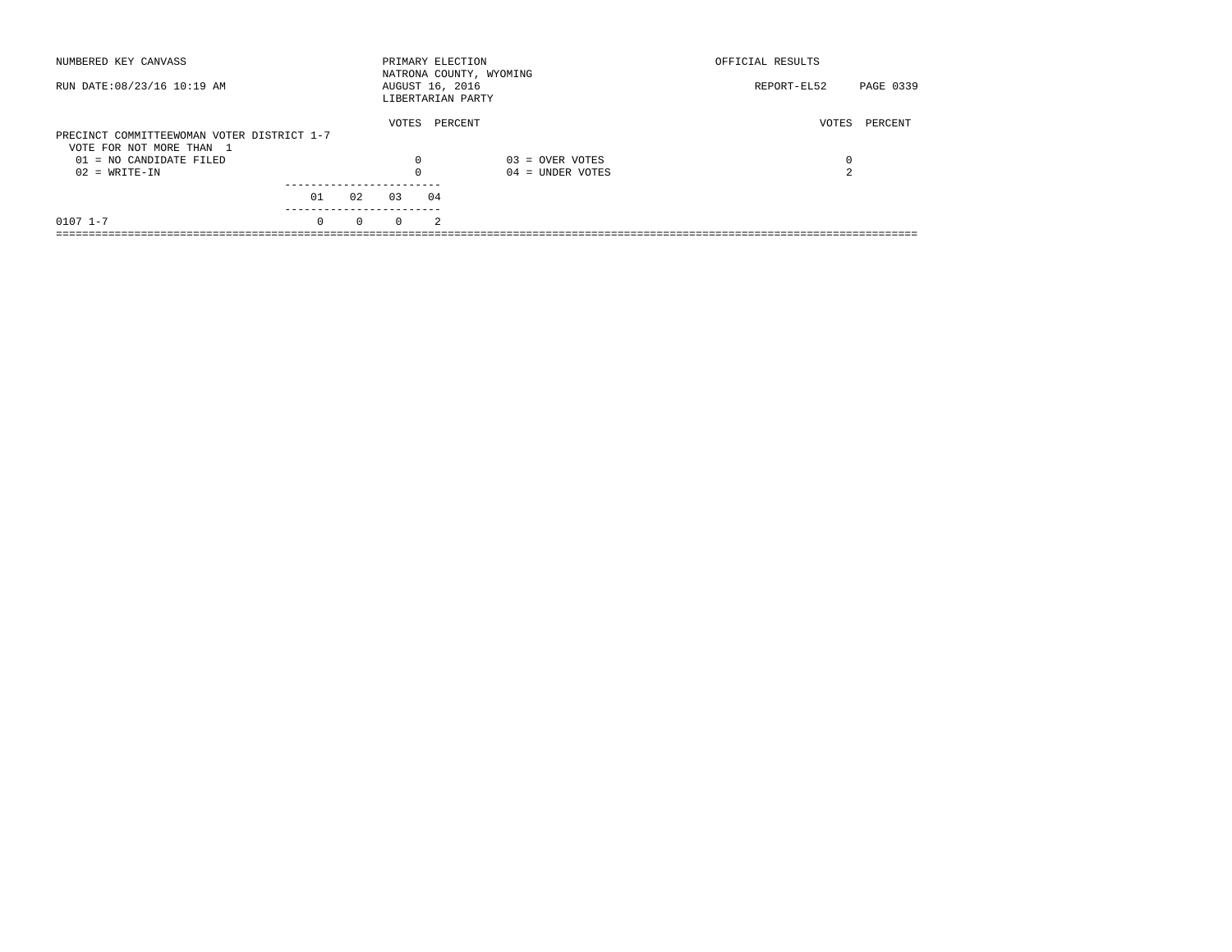| NUMBERED KEY CANVASS                                                   |          |          | PRIMARY ELECTION |    | NATRONA COUNTY, WYOMING | OFFICIAL RESULTS |           |
|------------------------------------------------------------------------|----------|----------|------------------|----|-------------------------|------------------|-----------|
| RUN DATE: 08/23/16 10:19 AM                                            |          |          | AUGUST 16, 2016  |    | LIBERTARIAN PARTY       | REPORT-EL52      | PAGE 0339 |
|                                                                        |          |          | VOTES            |    | PERCENT                 | VOTES            | PERCENT   |
| PRECINCT COMMITTEEWOMAN VOTER DISTRICT 1-7<br>VOTE FOR NOT MORE THAN 1 |          |          |                  |    |                         |                  |           |
| 01 = NO CANDIDATE FILED                                                |          |          |                  |    | $03 =$ OVER VOTES       | 0                |           |
|                                                                        |          |          | 0                |    |                         | $\sim$           |           |
| $02 = WRITE-IN$                                                        |          |          |                  |    | $04 =$ UNDER VOTES      | ╱.               |           |
|                                                                        |          |          |                  |    |                         |                  |           |
|                                                                        | 01       | 02       | 03               | 04 |                         |                  |           |
|                                                                        |          |          |                  |    |                         |                  |           |
| $0107$ $1 - 7$                                                         | $\Omega$ | $\Omega$ | $\Omega$         | 2  |                         |                  |           |
|                                                                        |          |          |                  |    |                         |                  |           |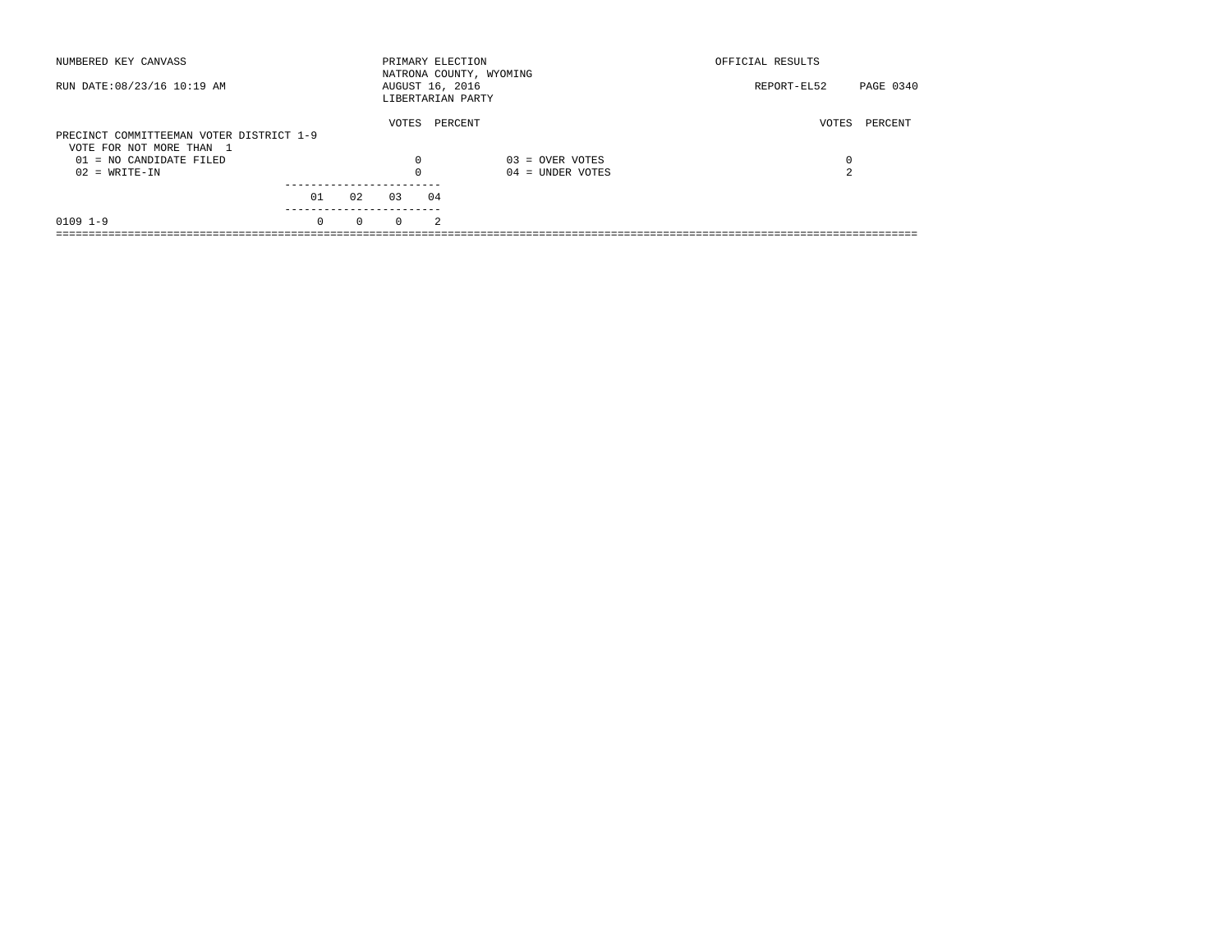| NUMBERED KEY CANVASS                                                 |          |          |          | PRIMARY ELECTION<br>NATRONA COUNTY, WYOMING |                    | OFFICIAL RESULTS |           |
|----------------------------------------------------------------------|----------|----------|----------|---------------------------------------------|--------------------|------------------|-----------|
| RUN DATE: 08/23/16 10:19 AM                                          |          |          |          | AUGUST 16, 2016<br>LIBERTARIAN PARTY        |                    | REPORT-EL52      | PAGE 0340 |
| PRECINCT COMMITTEEMAN VOTER DISTRICT 1-9<br>VOTE FOR NOT MORE THAN 1 |          |          | VOTES    | PERCENT                                     |                    | VOTES            | PERCENT   |
| 01 = NO CANDIDATE FILED                                              |          |          | 0        |                                             | $03 =$ OVER VOTES  | 0                |           |
| $02 = WRITE-IN$                                                      |          |          | $\Omega$ |                                             | $04 =$ UNDER VOTES | $\sim$           |           |
|                                                                      | 01       | 02       | 03       | 04                                          |                    |                  |           |
| $0109$ $1-9$                                                         | $\Omega$ | $\Omega$ | $\Omega$ | $\mathcal{L}$                               |                    |                  |           |
|                                                                      |          |          |          |                                             |                    |                  |           |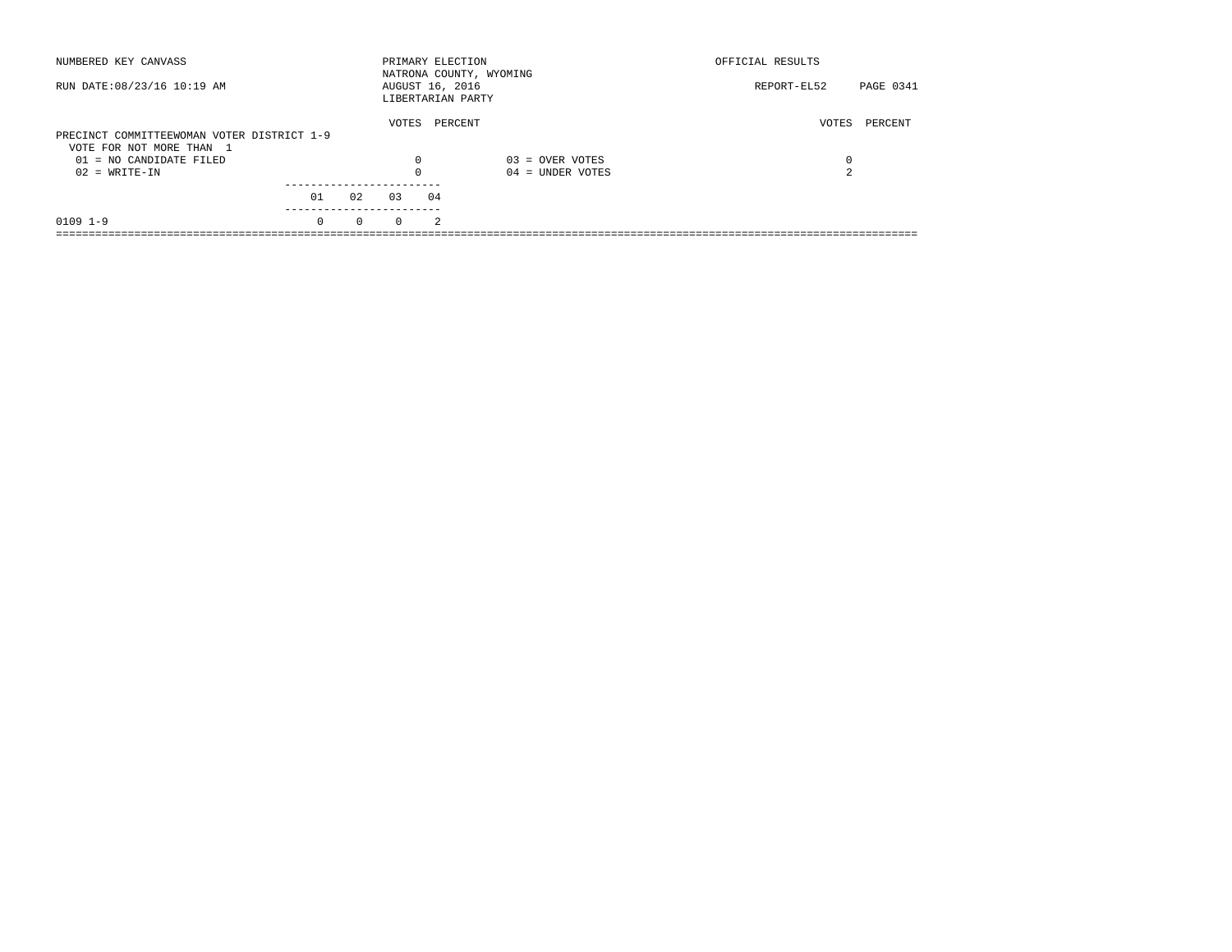| NUMBERED KEY CANVASS                       |          |          |          | PRIMARY ELECTION<br>NATRONA COUNTY, WYOMING |                    | OFFICIAL RESULTS         |
|--------------------------------------------|----------|----------|----------|---------------------------------------------|--------------------|--------------------------|
| RUN DATE: 08/23/16 10:19 AM                |          |          |          | AUGUST 16, 2016<br>LIBERTARIAN PARTY        |                    | PAGE 0341<br>REPORT-EL52 |
|                                            |          |          | VOTES    | PERCENT                                     |                    | PERCENT<br>VOTES         |
| PRECINCT COMMITTEEWOMAN VOTER DISTRICT 1-9 |          |          |          |                                             |                    |                          |
| VOTE FOR NOT MORE THAN 1                   |          |          |          |                                             |                    |                          |
| $01 = NO$ CANDIDATE FILED                  |          |          | 0        |                                             | $03 =$ OVER VOTES  | 0                        |
| $02 = WRITE-IN$                            |          |          | $\Omega$ |                                             | $04 =$ UNDER VOTES | 2                        |
|                                            |          |          |          |                                             |                    |                          |
|                                            | 01       | 02       | 0.3      | 04                                          |                    |                          |
| $0109$ $1-9$                               | $\Omega$ | $\Omega$ | $\Omega$ | $\mathfrak{D}$                              |                    |                          |
|                                            |          |          |          |                                             |                    |                          |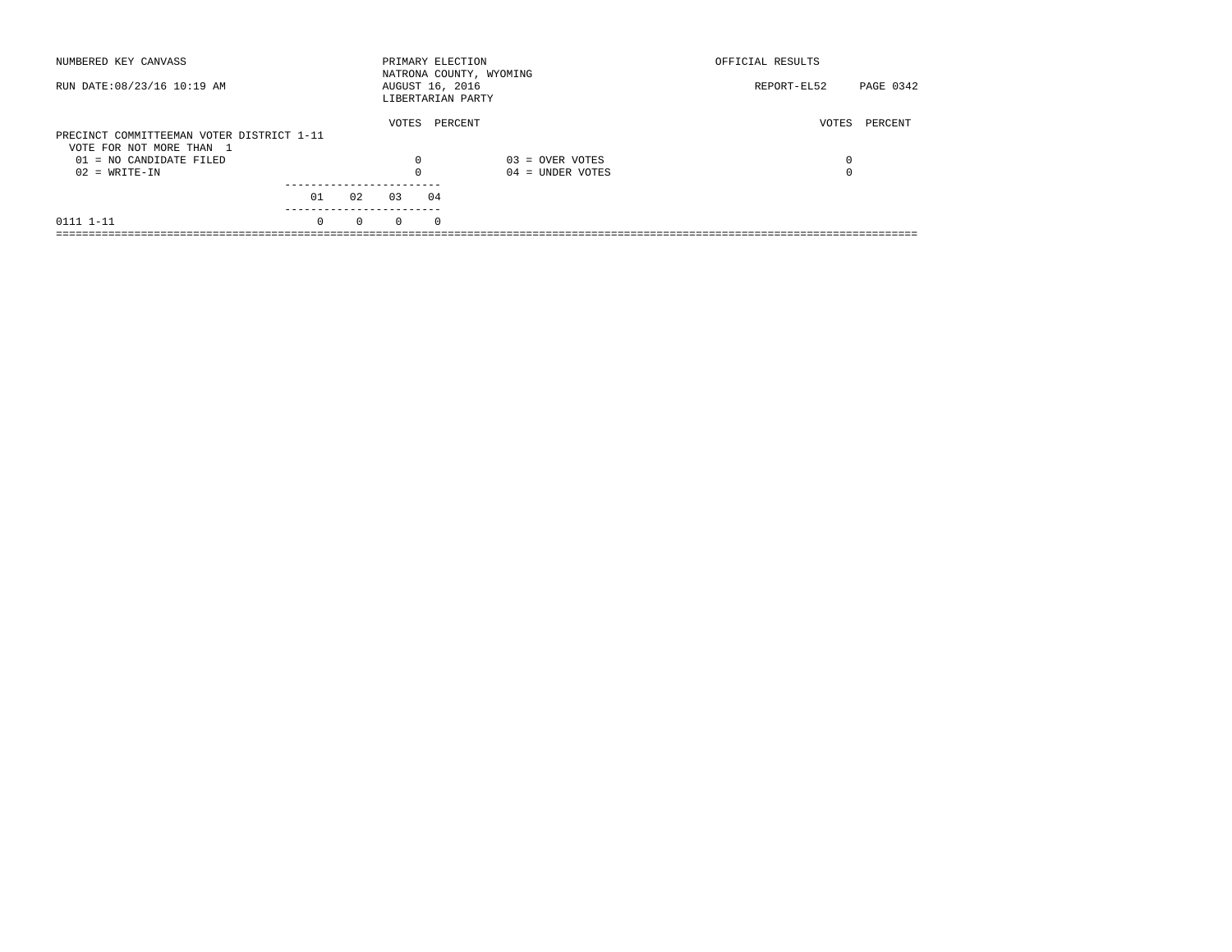| NUMBERED KEY CANVASS                                  |          |          | PRIMARY ELECTION                     |          | NATRONA COUNTY, WYOMING | OFFICIAL RESULTS |           |
|-------------------------------------------------------|----------|----------|--------------------------------------|----------|-------------------------|------------------|-----------|
| RUN DATE: 08/23/16 10:19 AM                           |          |          | AUGUST 16, 2016<br>LIBERTARIAN PARTY |          |                         | REPORT-EL52      | PAGE 0342 |
| PRECINCT COMMITTEEMAN VOTER DISTRICT 1-11             |          |          | VOTES                                |          | PERCENT                 | VOTES            | PERCENT   |
| VOTE FOR NOT MORE THAN 1<br>$01 = NO$ CANDIDATE FILED |          |          | $\Omega$                             |          | $03 =$ OVER VOTES       | 0                |           |
| $02 = WRITE-IN$                                       |          |          | $\Omega$                             |          | $04 =$ UNDER VOTES      | 0                |           |
|                                                       | 01       | 02       | 0.3                                  | 04       |                         |                  |           |
| 0111 1-11                                             | $\Omega$ | $\Omega$ | $\Omega$                             | $\Omega$ |                         |                  |           |
|                                                       |          |          |                                      |          |                         |                  |           |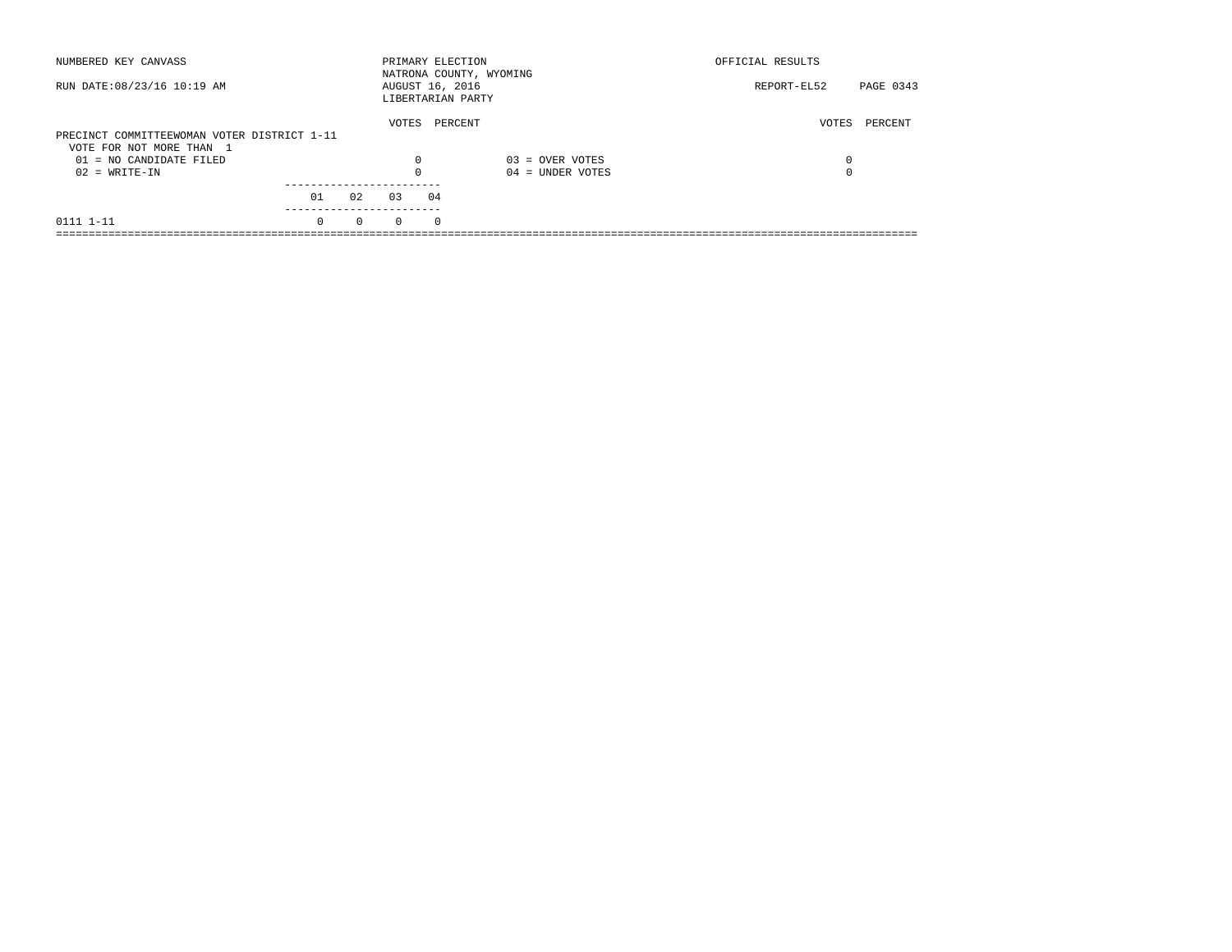| NUMBERED KEY CANVASS                        |          |          |                   | PRIMARY ELECTION | NATRONA COUNTY, WYOMING | OFFICIAL RESULTS |           |
|---------------------------------------------|----------|----------|-------------------|------------------|-------------------------|------------------|-----------|
| RUN DATE: 08/23/16 10:19 AM                 |          |          | LIBERTARIAN PARTY | AUGUST 16, 2016  |                         | REPORT-EL52      | PAGE 0343 |
|                                             |          |          | VOTES             | PERCENT          |                         | VOTES            | PERCENT   |
| PRECINCT COMMITTEEWOMAN VOTER DISTRICT 1-11 |          |          |                   |                  |                         |                  |           |
| VOTE FOR NOT MORE THAN 1                    |          |          |                   |                  |                         |                  |           |
| $01 = NO CANDIDATE FILED$                   |          |          | $\Omega$          |                  | $03 =$ OVER VOTES       | 0                |           |
| $02 = WRITE-IN$                             |          |          |                   |                  | $04 =$ UNDER VOTES      | $\Omega$         |           |
|                                             |          |          |                   |                  |                         |                  |           |
|                                             | 01       | 02       | 03                | 04               |                         |                  |           |
| 0111 1-11                                   | $\Omega$ | $\Omega$ | $\Omega$          | $^{\circ}$       |                         |                  |           |
|                                             |          |          |                   |                  |                         |                  |           |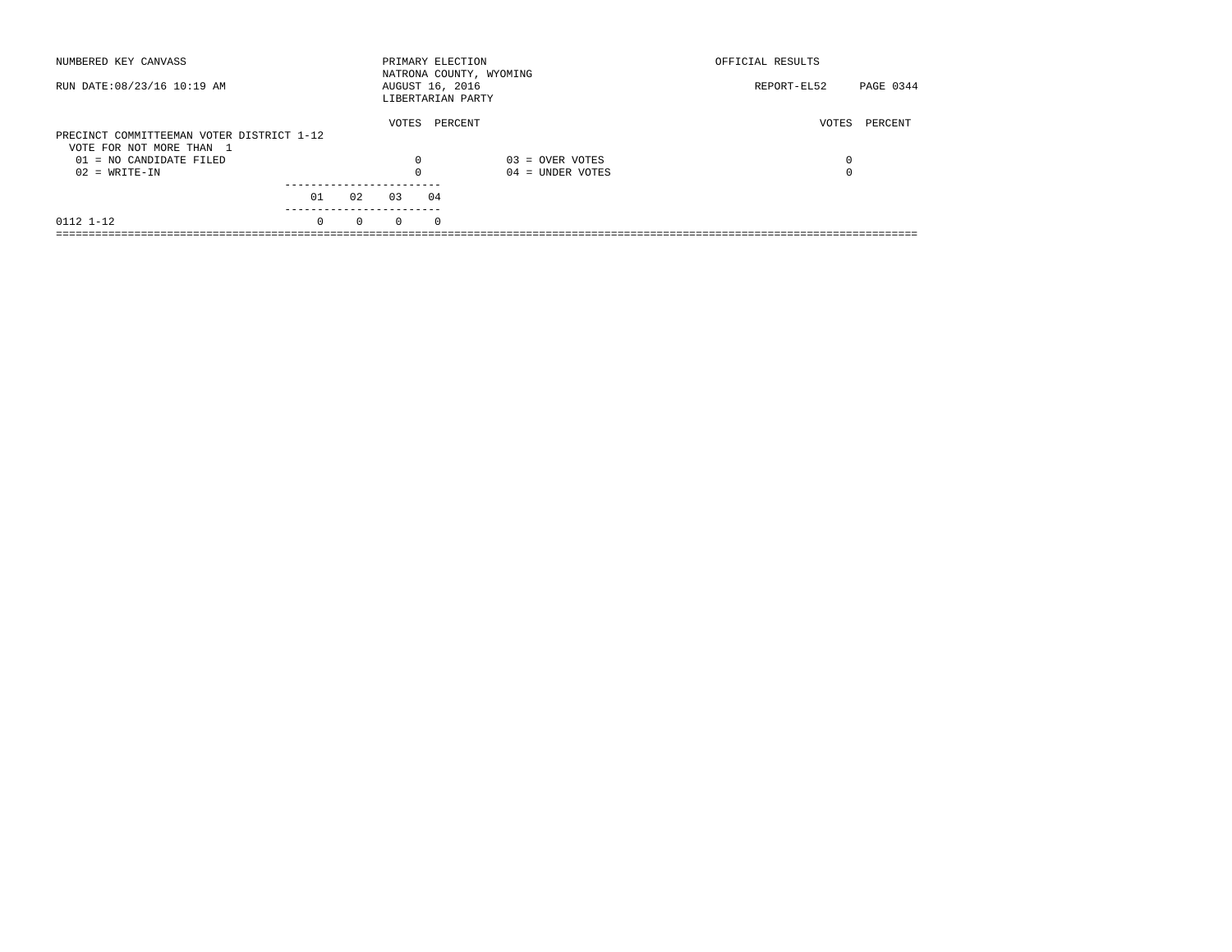| NUMBERED KEY CANVASS                                  |          |          | PRIMARY ELECTION                     |          | NATRONA COUNTY, WYOMING | OFFICIAL RESULTS |           |
|-------------------------------------------------------|----------|----------|--------------------------------------|----------|-------------------------|------------------|-----------|
| RUN DATE: 08/23/16 10:19 AM                           |          |          | AUGUST 16, 2016<br>LIBERTARIAN PARTY |          |                         | REPORT-EL52      | PAGE 0344 |
| PRECINCT COMMITTEEMAN VOTER DISTRICT 1-12             |          |          | VOTES                                |          | PERCENT                 | VOTES            | PERCENT   |
| VOTE FOR NOT MORE THAN 1<br>$01 = NO$ CANDIDATE FILED |          |          | $\Omega$                             |          | $03 =$ OVER VOTES       | 0                |           |
| $02 = WRITE-IN$                                       |          |          | $\Omega$                             |          | $04 =$ UNDER VOTES      | 0                |           |
|                                                       | 01       | 02       | 0.3                                  | 04       |                         |                  |           |
| 0112 1-12                                             | $\Omega$ | $\Omega$ | $\Omega$                             | $\Omega$ |                         |                  |           |
|                                                       |          |          |                                      |          |                         |                  |           |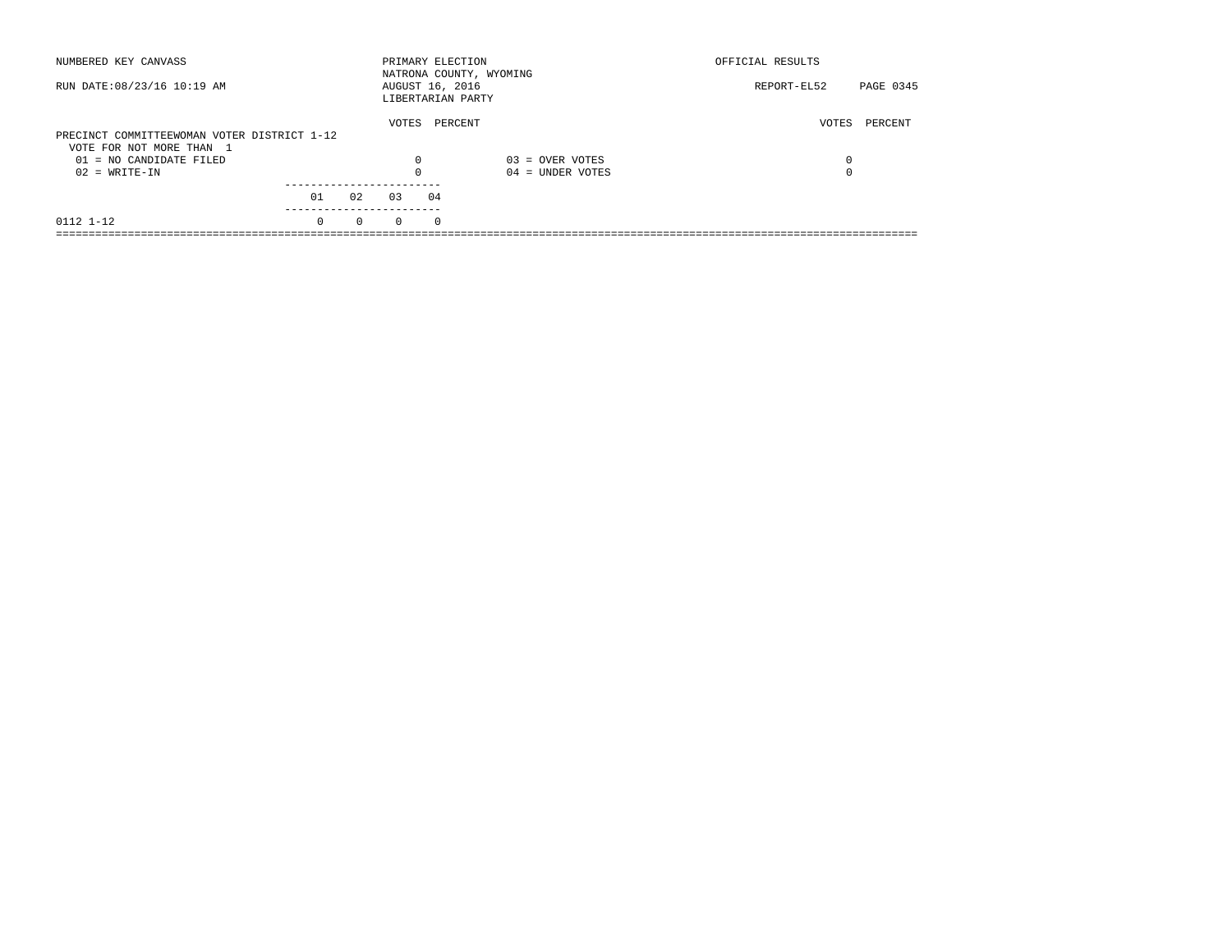| NUMBERED KEY CANVASS                        |          |          |          | PRIMARY ELECTION                     | NATRONA COUNTY, WYOMING | OFFICIAL RESULTS         |  |
|---------------------------------------------|----------|----------|----------|--------------------------------------|-------------------------|--------------------------|--|
| RUN DATE: 08/23/16 10:19 AM                 |          |          |          | AUGUST 16, 2016<br>LIBERTARIAN PARTY |                         | PAGE 0345<br>REPORT-EL52 |  |
| PRECINCT COMMITTEEWOMAN VOTER DISTRICT 1-12 |          |          | VOTES    | PERCENT                              |                         | VOTES<br>PERCENT         |  |
| VOTE FOR NOT MORE THAN 1                    |          |          |          |                                      |                         |                          |  |
| $01 = NO CANDIDATE FILED$                   |          |          | $\Omega$ |                                      | $03 =$ OVER VOTES       | 0                        |  |
| $02 = WRITE-IN$                             |          |          |          |                                      | $04 =$ UNDER VOTES      | $\Omega$                 |  |
|                                             |          |          |          |                                      |                         |                          |  |
|                                             | 01       | 02       | 03       | 04                                   |                         |                          |  |
| 0112 1-12                                   | $\Omega$ | $\Omega$ | $\Omega$ | $^{\circ}$                           |                         |                          |  |
|                                             |          |          |          |                                      |                         |                          |  |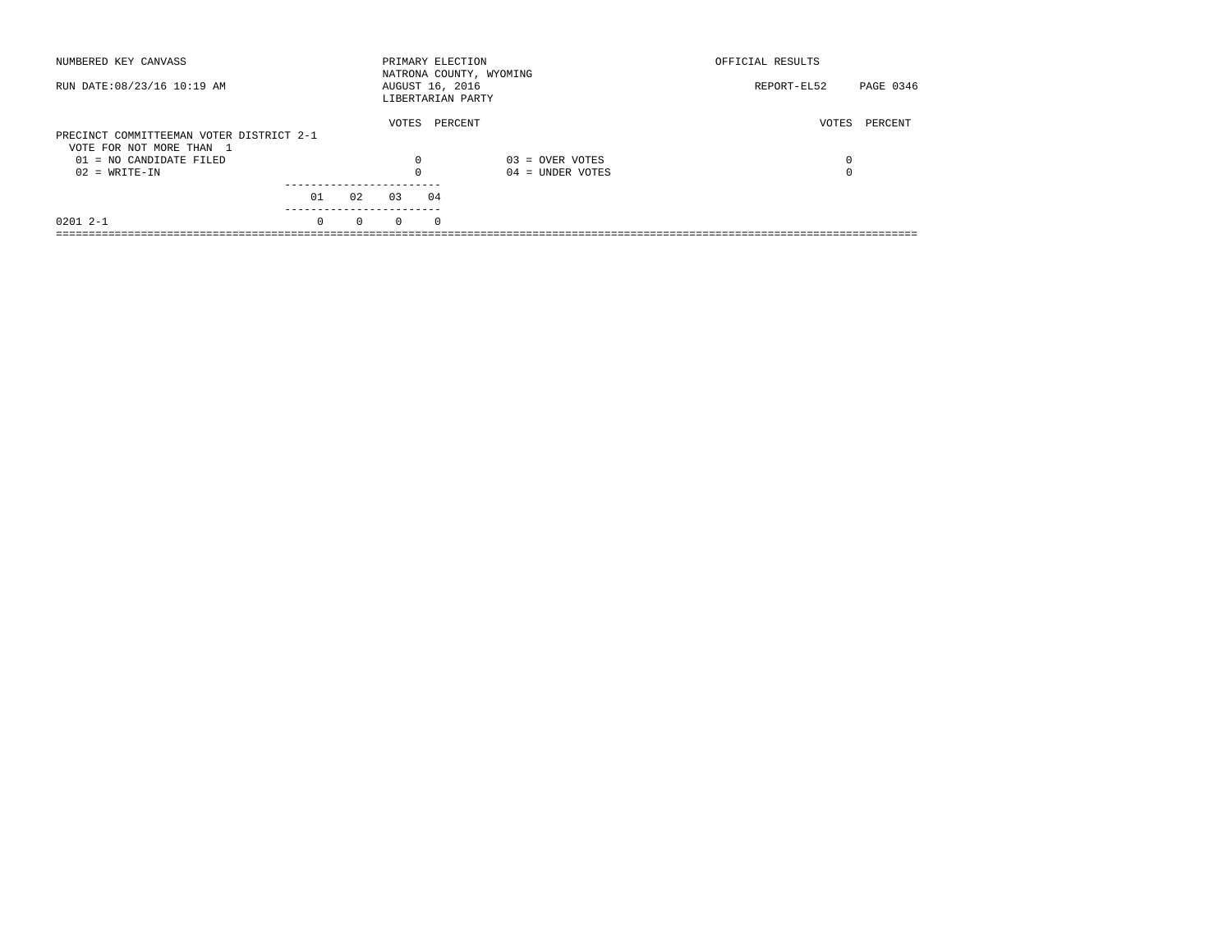| NUMBERED KEY CANVASS                                                 |          |          |          | PRIMARY ELECTION<br>NATRONA COUNTY, WYOMING |                    | OFFICIAL RESULTS |           |
|----------------------------------------------------------------------|----------|----------|----------|---------------------------------------------|--------------------|------------------|-----------|
| RUN DATE: 08/23/16 10:19 AM                                          |          |          |          | AUGUST 16, 2016<br>LIBERTARIAN PARTY        |                    | REPORT-EL52      | PAGE 0346 |
| PRECINCT COMMITTEEMAN VOTER DISTRICT 2-1<br>VOTE FOR NOT MORE THAN 1 |          |          | VOTES    | PERCENT                                     |                    | VOTES            | PERCENT   |
| 01 = NO CANDIDATE FILED                                              |          |          | 0        |                                             | $03 =$ OVER VOTES  | 0                |           |
| $02 = WRITE-IN$                                                      |          |          | $\Omega$ |                                             | $04 =$ UNDER VOTES | $\Omega$         |           |
|                                                                      | 01       | 02       | 03       | 04                                          |                    |                  |           |
| $02012 - -1$                                                         | $\Omega$ | $\Omega$ | $\Omega$ | $\Omega$                                    |                    |                  |           |
|                                                                      |          |          |          |                                             |                    |                  |           |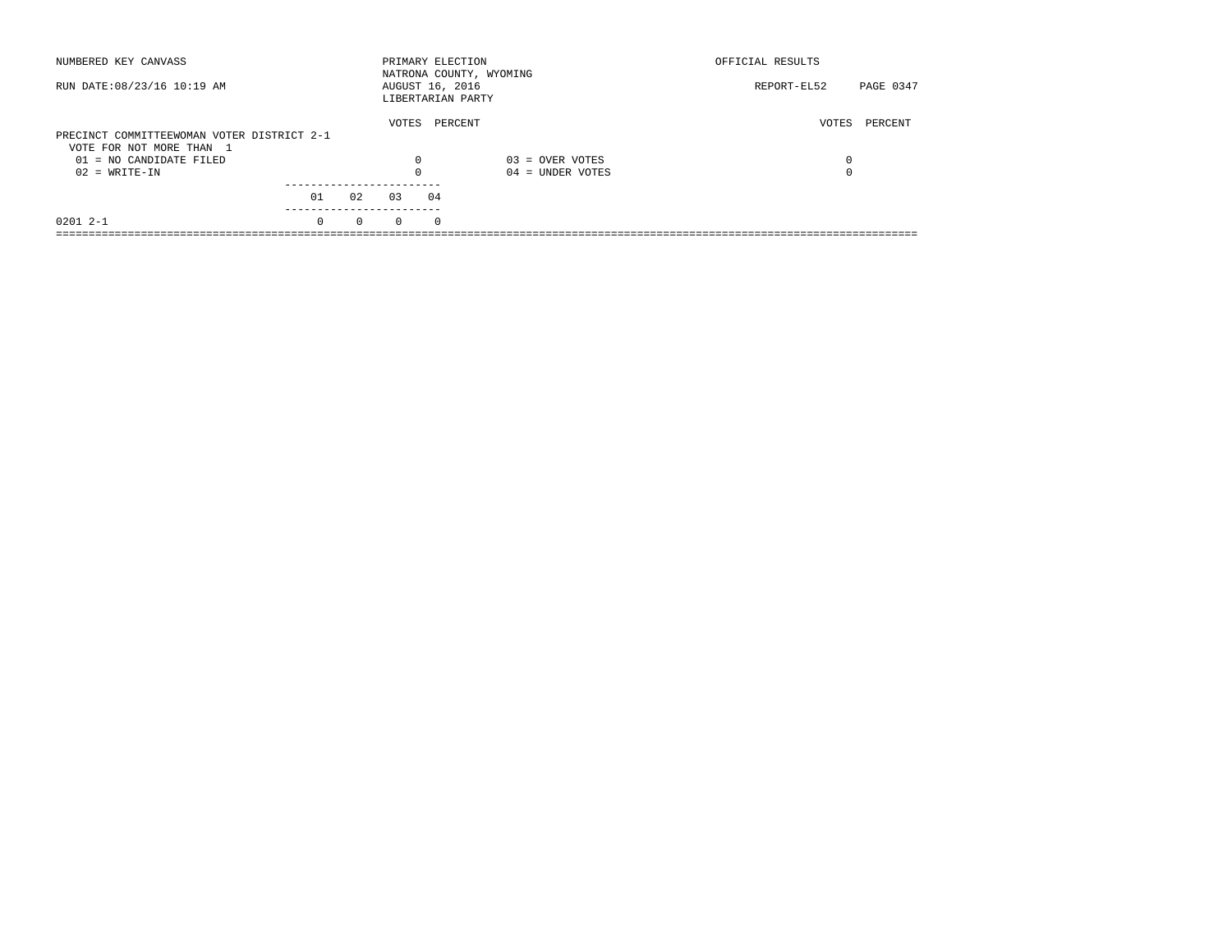| NUMBERED KEY CANVASS                       |          |          | PRIMARY ELECTION                     |          | NATRONA COUNTY, WYOMING | OFFICIAL RESULTS         |  |
|--------------------------------------------|----------|----------|--------------------------------------|----------|-------------------------|--------------------------|--|
| RUN DATE: 08/23/16 10:19 AM                |          |          | AUGUST 16, 2016<br>LIBERTARIAN PARTY |          |                         | PAGE 0347<br>REPORT-EL52 |  |
| PRECINCT COMMITTEEWOMAN VOTER DISTRICT 2-1 |          |          | VOTES                                | PERCENT  |                         | VOTES<br>PERCENT         |  |
| VOTE FOR NOT MORE THAN 1                   |          |          |                                      |          |                         |                          |  |
| 01 = NO CANDIDATE FILED                    |          |          | 0                                    |          | $03 =$ OVER VOTES       | 0                        |  |
| $02 = WRITE-IN$                            |          |          |                                      |          | $04 =$ UNDER VOTES      | $\Omega$                 |  |
|                                            |          |          |                                      |          |                         |                          |  |
|                                            | 01       | 02       | 03                                   | 04       |                         |                          |  |
| $02012 - -1$                               | $\Omega$ | $\Omega$ | $\Omega$                             | $\Omega$ |                         |                          |  |
|                                            |          |          |                                      |          |                         |                          |  |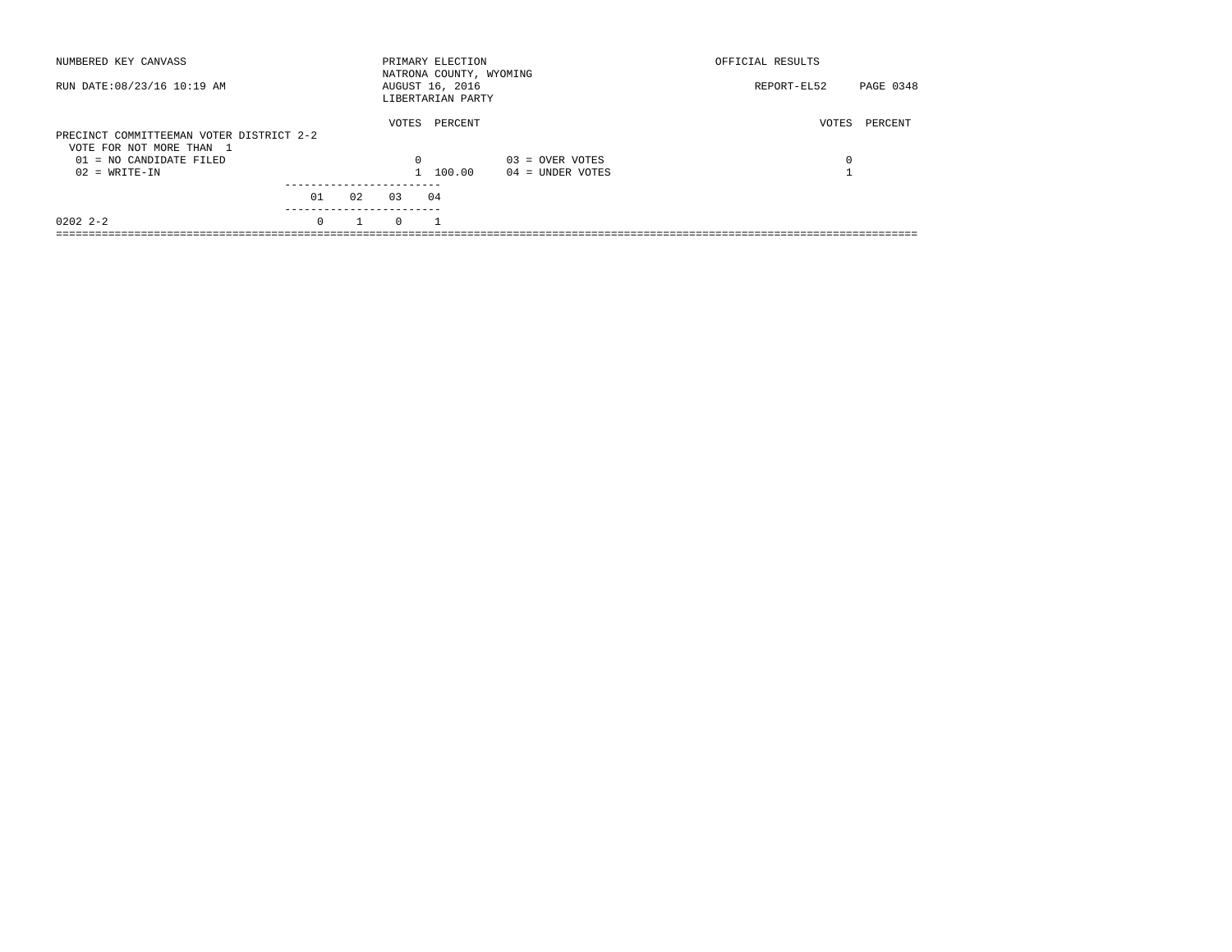| NUMBERED KEY CANVASS                                                 |          |    |          | PRIMARY ELECTION<br>NATRONA COUNTY, WYOMING |                    | OFFICIAL RESULTS |           |
|----------------------------------------------------------------------|----------|----|----------|---------------------------------------------|--------------------|------------------|-----------|
| RUN DATE: 08/23/16 10:19 AM                                          |          |    |          | AUGUST 16, 2016<br>LIBERTARIAN PARTY        |                    | REPORT-EL52      | PAGE 0348 |
| PRECINCT COMMITTEEMAN VOTER DISTRICT 2-2<br>VOTE FOR NOT MORE THAN 1 |          |    | VOTES    | PERCENT                                     |                    | VOTES            | PERCENT   |
| $01 = NO$ CANDIDATE FILED                                            |          |    | $\Omega$ |                                             | $03 =$ OVER VOTES  | 0                |           |
| $02 = WRITE-IN$                                                      |          |    |          | 1 100.00                                    | $04 =$ UNDER VOTES |                  |           |
|                                                                      | 01       | 02 | 0.3      | 04                                          |                    |                  |           |
| $02022 - 2 - 2$                                                      | $\Omega$ |    | $\Omega$ |                                             |                    |                  |           |
|                                                                      |          |    |          |                                             |                    |                  |           |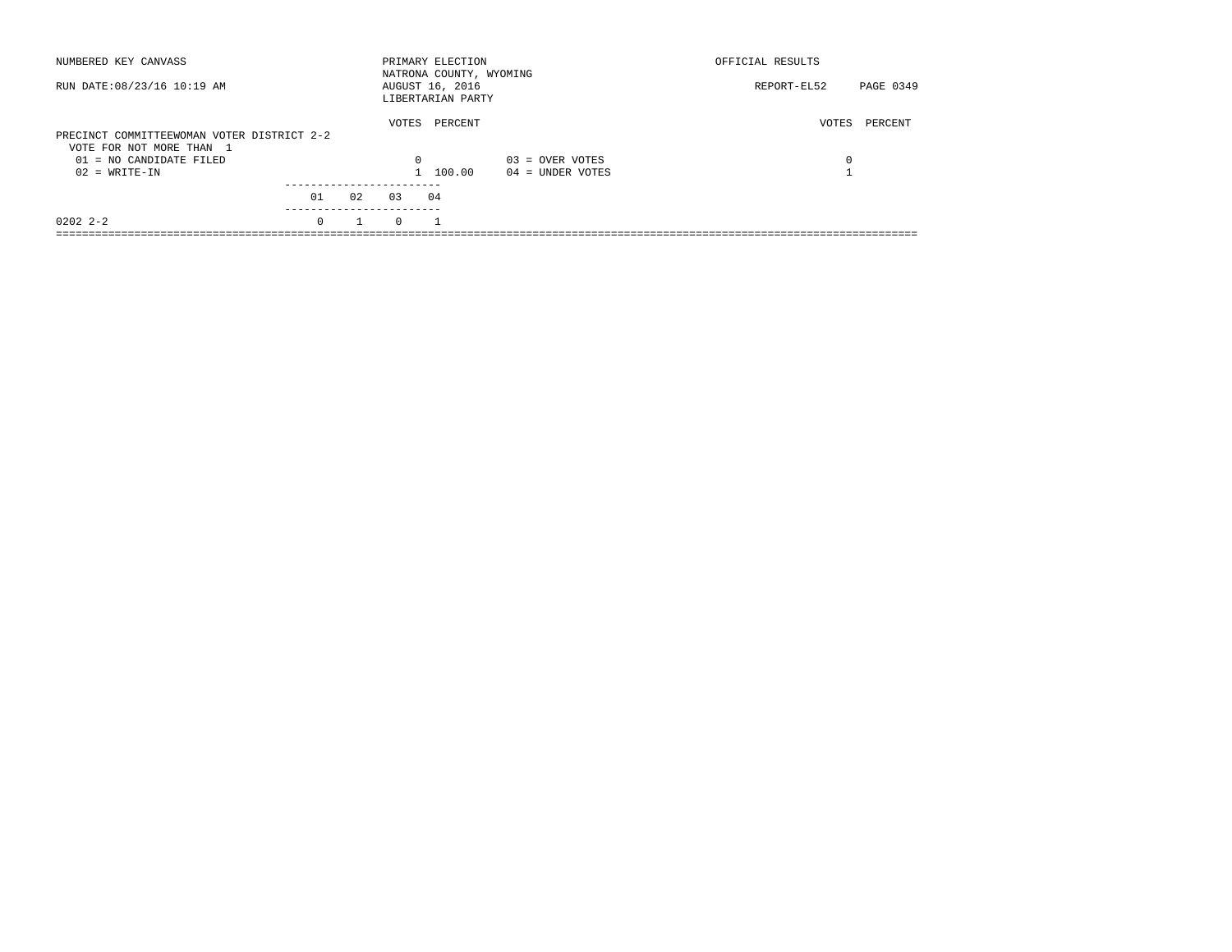| NUMBERED KEY CANVASS                                                   |          |    |          | PRIMARY ELECTION<br>NATRONA COUNTY, WYOMING |                    | OFFICIAL RESULTS |           |
|------------------------------------------------------------------------|----------|----|----------|---------------------------------------------|--------------------|------------------|-----------|
| RUN DATE: 08/23/16 10:19 AM                                            |          |    |          | AUGUST 16, 2016<br>LIBERTARIAN PARTY        |                    | REPORT-EL52      | PAGE 0349 |
| PRECINCT COMMITTEEWOMAN VOTER DISTRICT 2-2<br>VOTE FOR NOT MORE THAN 1 |          |    | VOTES    | PERCENT                                     |                    | VOTES            | PERCENT   |
| $01 = NO$ CANDIDATE FILED                                              |          |    | $\Omega$ |                                             | $03 =$ OVER VOTES  | 0                |           |
| $02 = WRITE-IN$                                                        |          |    |          | 1 100.00                                    | $04 =$ UNDER VOTES |                  |           |
|                                                                        | 01       | 02 | 0.3      | 04                                          |                    |                  |           |
| $02022 - 2 - 2$                                                        | $\Omega$ |    | $\Omega$ |                                             |                    |                  |           |
|                                                                        |          |    |          |                                             |                    |                  |           |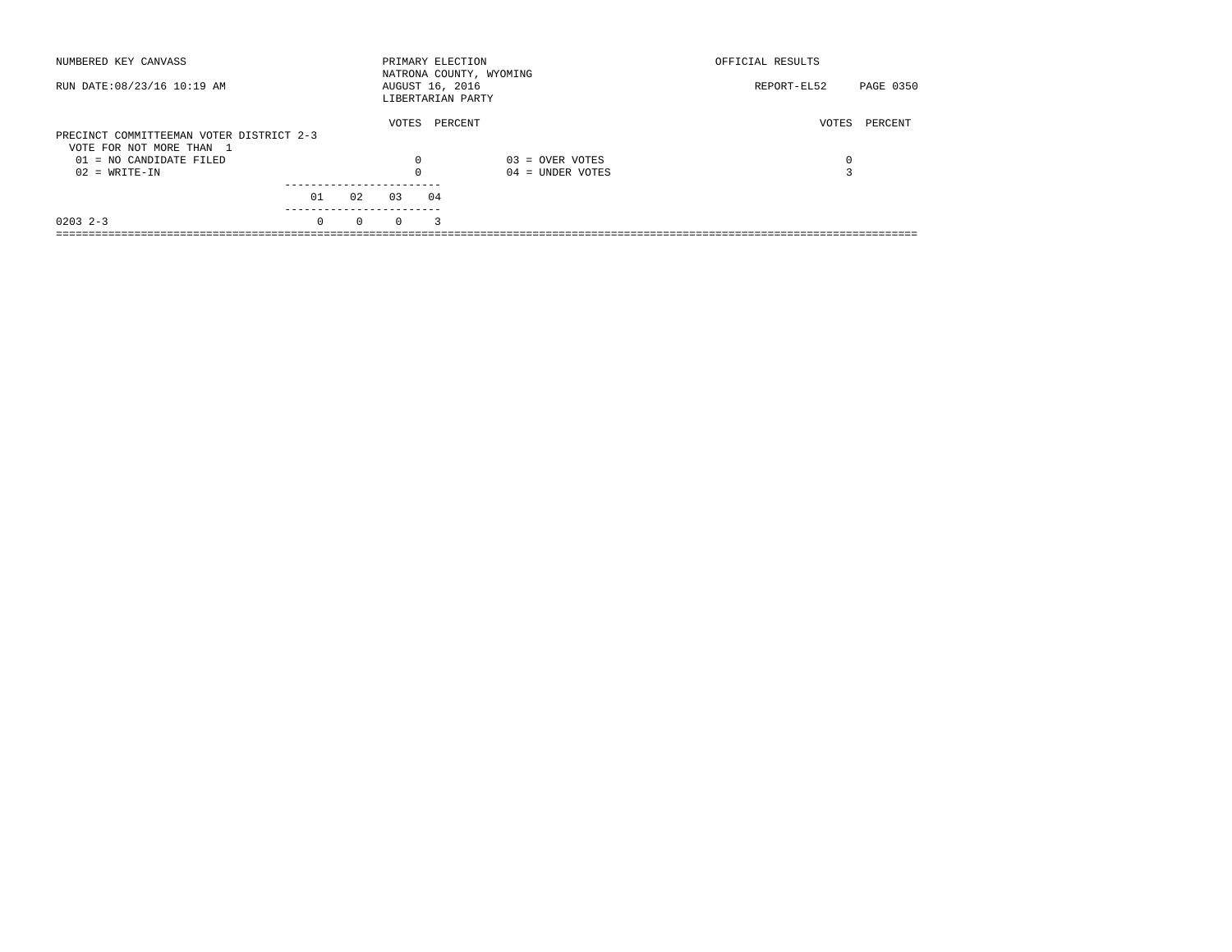| NUMBERED KEY CANVASS                                                 |          |          |          | PRIMARY ELECTION                     | NATRONA COUNTY, WYOMING | OFFICIAL RESULTS |           |
|----------------------------------------------------------------------|----------|----------|----------|--------------------------------------|-------------------------|------------------|-----------|
| RUN DATE: 08/23/16 10:19 AM                                          |          |          |          | AUGUST 16, 2016<br>LIBERTARIAN PARTY |                         | REPORT-EL52      | PAGE 0350 |
| PRECINCT COMMITTEEMAN VOTER DISTRICT 2-3<br>VOTE FOR NOT MORE THAN 1 |          |          | VOTES    | PERCENT                              |                         | VOTES            | PERCENT   |
| 01 = NO CANDIDATE FILED                                              |          |          | 0        |                                      | $03 =$ OVER VOTES       | 0                |           |
| $02 = WRITE-IN$                                                      |          |          |          |                                      | $04 =$ UNDER VOTES      |                  |           |
|                                                                      | 01       | 02       | 0.3      | 04                                   |                         |                  |           |
| $0203$ 2-3                                                           | $\Omega$ | $\Omega$ | $\Omega$ | 3                                    |                         |                  |           |
|                                                                      |          |          |          |                                      |                         |                  |           |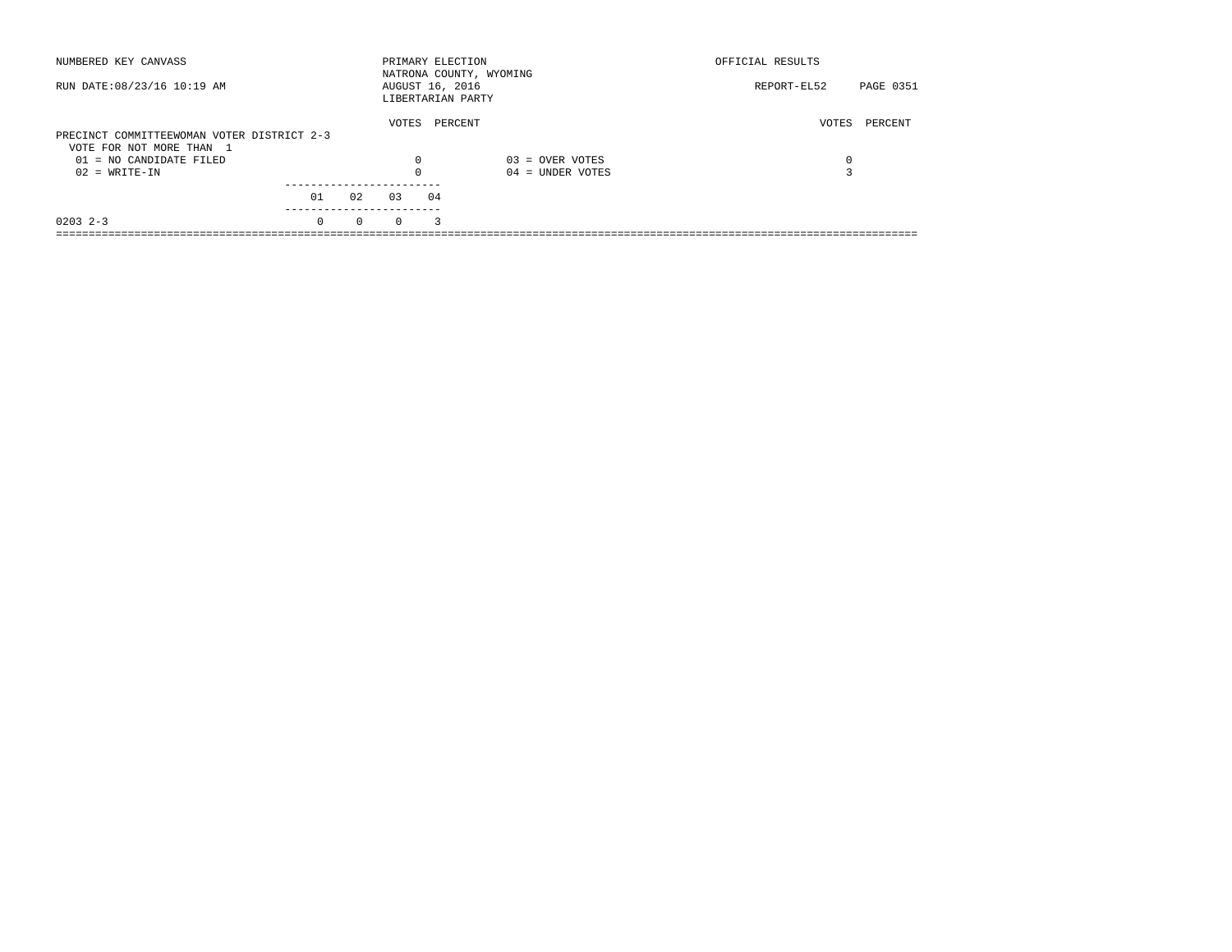| NUMBERED KEY CANVASS                       |          |          |                                      | PRIMARY ELECTION | NATRONA COUNTY, WYOMING | OFFICIAL RESULTS                |  |
|--------------------------------------------|----------|----------|--------------------------------------|------------------|-------------------------|---------------------------------|--|
| RUN DATE: 08/23/16 10:19 AM                |          |          | AUGUST 16, 2016<br>LIBERTARIAN PARTY |                  |                         | <b>PAGE 0351</b><br>REPORT-EL52 |  |
|                                            |          |          | VOTES                                | PERCENT          |                         | PERCENT<br>VOTES                |  |
| PRECINCT COMMITTEEWOMAN VOTER DISTRICT 2-3 |          |          |                                      |                  |                         |                                 |  |
| VOTE FOR NOT MORE THAN 1                   |          |          |                                      |                  |                         |                                 |  |
| $01 = NO$ CANDIDATE FILED                  |          |          | 0                                    |                  | $03 =$ OVER VOTES       | 0                               |  |
| $02 = WRITE-IN$                            |          |          | $\Omega$                             |                  | $04 =$ UNDER VOTES      |                                 |  |
|                                            |          |          |                                      |                  |                         |                                 |  |
|                                            | 01       | 02       | 0.3                                  | 04               |                         |                                 |  |
| $0203$ 2-3                                 | $\Omega$ | $\Omega$ | $\Omega$                             | 3                |                         |                                 |  |
|                                            |          |          |                                      |                  |                         |                                 |  |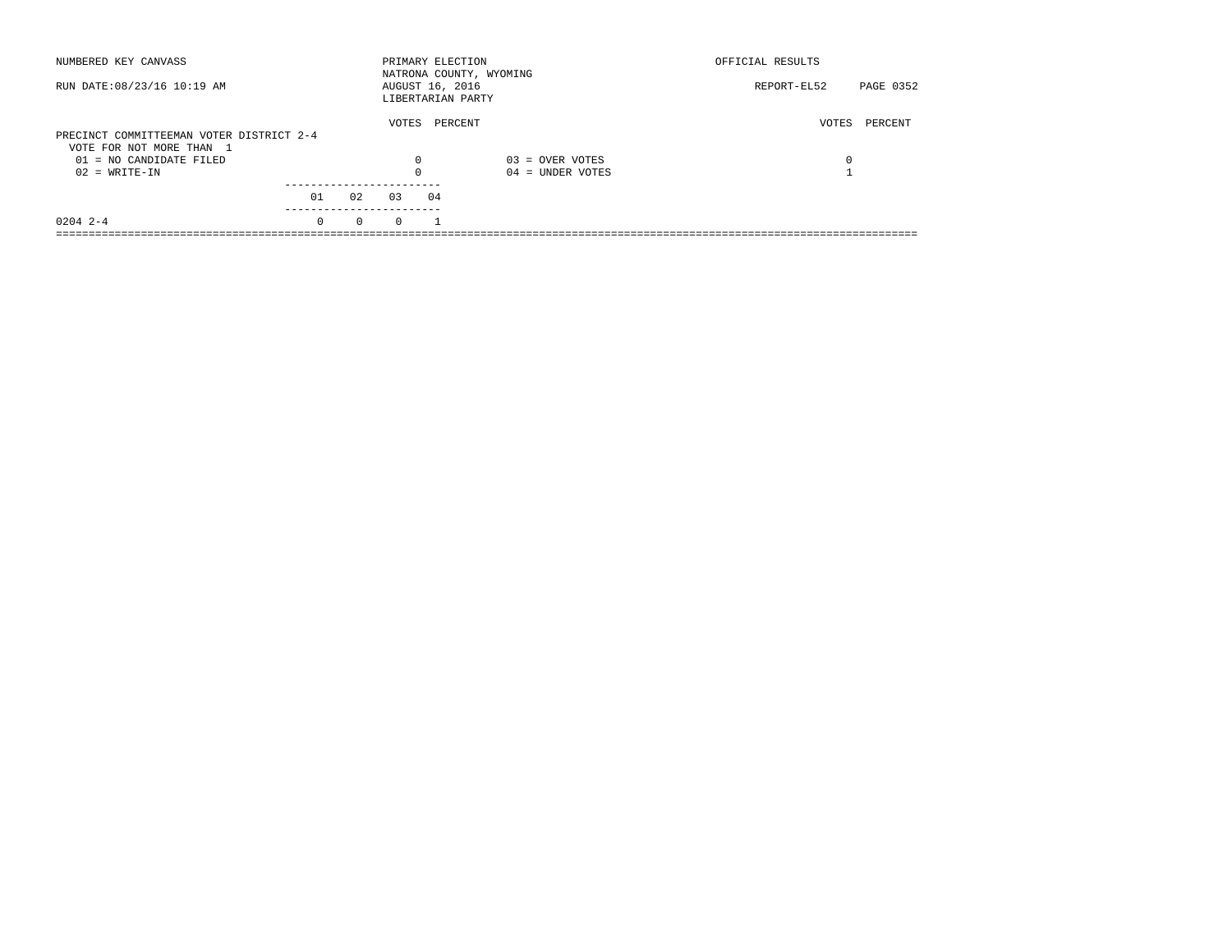| NUMBERED KEY CANVASS                                  |          |          | PRIMARY ELECTION                     |         | NATRONA COUNTY, WYOMING | OFFICIAL RESULTS |           |
|-------------------------------------------------------|----------|----------|--------------------------------------|---------|-------------------------|------------------|-----------|
| RUN DATE: 08/23/16 10:19 AM                           |          |          | AUGUST 16, 2016<br>LIBERTARIAN PARTY |         |                         | REPORT-EL52      | PAGE 0352 |
| PRECINCT COMMITTEEMAN VOTER DISTRICT 2-4              |          |          | VOTES                                | PERCENT |                         | PERCENT<br>VOTES |           |
| VOTE FOR NOT MORE THAN 1<br>$01 = NO$ CANDIDATE FILED |          |          | 0                                    |         | $03 =$ OVER VOTES       | 0                |           |
| $02 = WRITE-IN$                                       |          |          | $\Omega$                             |         | $04 =$ UNDER VOTES      |                  |           |
|                                                       | 01       | 02       | 0.3                                  | 04      |                         |                  |           |
| $0204$ 2-4                                            | $\Omega$ | $\Omega$ | $\Omega$                             |         |                         |                  |           |
|                                                       |          |          |                                      |         |                         |                  |           |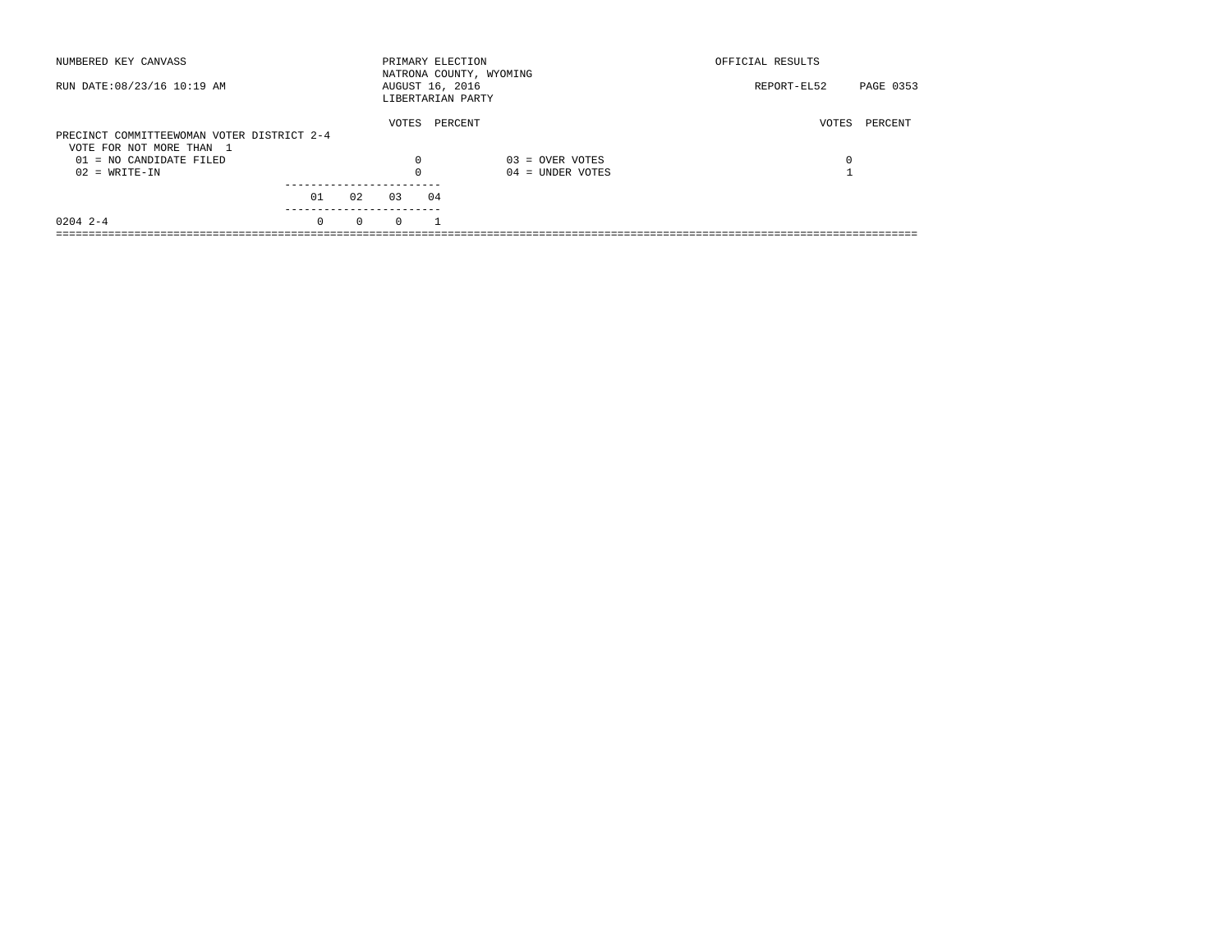| NUMBERED KEY CANVASS                       |          |          | PRIMARY ELECTION                     |    | NATRONA COUNTY, WYOMING | OFFICIAL RESULTS |           |
|--------------------------------------------|----------|----------|--------------------------------------|----|-------------------------|------------------|-----------|
| RUN DATE: 08/23/16 10:19 AM                |          |          | AUGUST 16, 2016<br>LIBERTARIAN PARTY |    |                         | REPORT-EL52      | PAGE 0353 |
|                                            |          |          | VOTES                                |    | PERCENT                 | VOTES            | PERCENT   |
| PRECINCT COMMITTEEWOMAN VOTER DISTRICT 2-4 |          |          |                                      |    |                         |                  |           |
| VOTE FOR NOT MORE THAN 1                   |          |          |                                      |    |                         |                  |           |
| $01 = NO$ CANDIDATE FILED                  |          |          | 0                                    |    | $03 =$ OVER VOTES       | 0                |           |
| $02 = WRITE-IN$                            |          |          | $\Omega$                             |    | $04 =$ UNDER VOTES      |                  |           |
|                                            |          |          |                                      |    |                         |                  |           |
|                                            | 01       | 02       | 03                                   | 04 |                         |                  |           |
| $0204$ 2-4                                 | $\Omega$ | $\Omega$ | $\Omega$                             |    |                         |                  |           |
|                                            |          |          |                                      |    |                         |                  |           |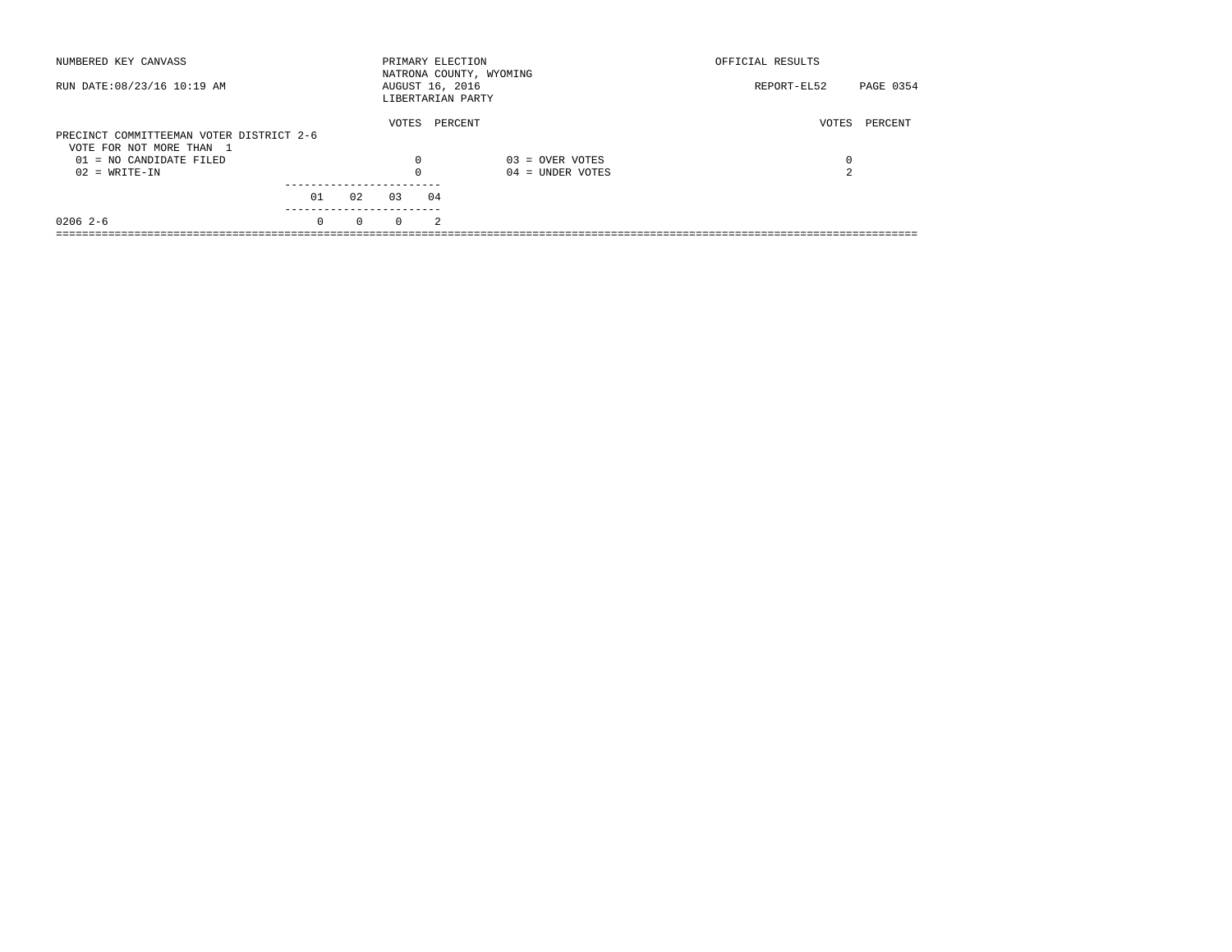| NUMBERED KEY CANVASS                                                 |          |          |          | PRIMARY ELECTION                     | NATRONA COUNTY, WYOMING | OFFICIAL RESULTS |           |
|----------------------------------------------------------------------|----------|----------|----------|--------------------------------------|-------------------------|------------------|-----------|
| RUN DATE: 08/23/16 10:19 AM                                          |          |          |          | AUGUST 16, 2016<br>LIBERTARIAN PARTY |                         | REPORT-EL52      | PAGE 0354 |
| PRECINCT COMMITTEEMAN VOTER DISTRICT 2-6<br>VOTE FOR NOT MORE THAN 1 |          |          | VOTES    | PERCENT                              |                         | VOTES            | PERCENT   |
| 01 = NO CANDIDATE FILED                                              |          |          | 0        |                                      | $03 =$ OVER VOTES       | 0                |           |
| $02 = WRITE-IN$                                                      |          |          | $\Omega$ |                                      | $04 =$ UNDER VOTES      | $\sim$           |           |
|                                                                      |          |          |          |                                      |                         |                  |           |
|                                                                      | 01       | 02       | 03       | 04                                   |                         |                  |           |
| $02062-6$                                                            | $\Omega$ | $\Omega$ | $\Omega$ | $\mathcal{L}$                        |                         |                  |           |
|                                                                      |          |          |          |                                      |                         |                  |           |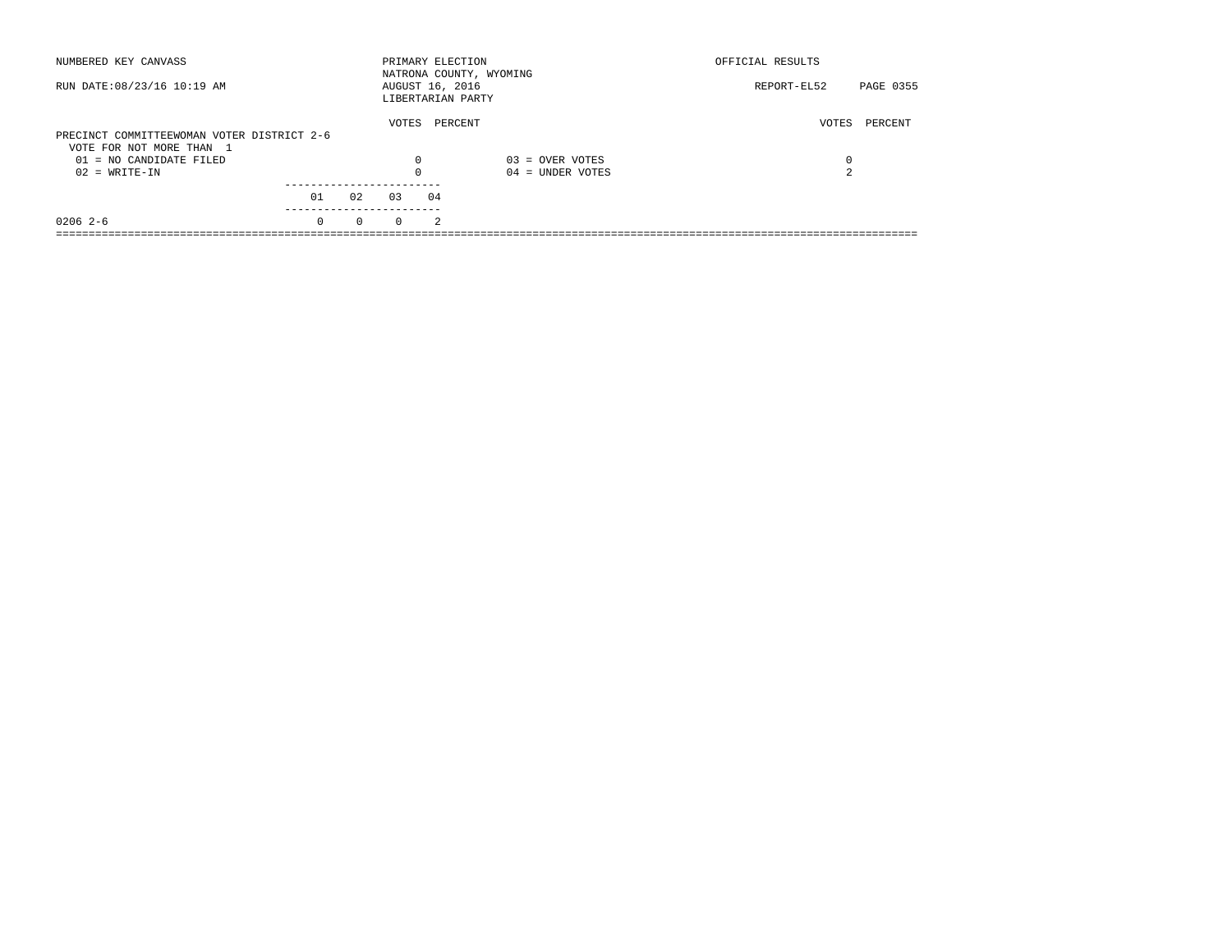| NUMBERED KEY CANVASS                       |          |          |          | PRIMARY ELECTION<br>NATRONA COUNTY, WYOMING |                    | OFFICIAL RESULTS |           |
|--------------------------------------------|----------|----------|----------|---------------------------------------------|--------------------|------------------|-----------|
| RUN DATE: 08/23/16 10:19 AM                |          |          |          | AUGUST 16, 2016<br>LIBERTARIAN PARTY        |                    | REPORT-EL52      | PAGE 0355 |
|                                            |          |          | VOTES    | PERCENT                                     |                    | VOTES            | PERCENT   |
| PRECINCT COMMITTEEWOMAN VOTER DISTRICT 2-6 |          |          |          |                                             |                    |                  |           |
| VOTE FOR NOT MORE THAN 1                   |          |          |          |                                             |                    |                  |           |
| $01 = NO$ CANDIDATE FILED                  |          |          | 0        |                                             | $03 =$ OVER VOTES  | 0                |           |
| $02 = WRITE-IN$                            |          |          | $\Omega$ |                                             | $04 =$ UNDER VOTES | 2                |           |
|                                            |          |          |          |                                             |                    |                  |           |
|                                            | 01       | 02       | 0.3      | 04                                          |                    |                  |           |
| $02062-6$                                  | $\Omega$ | $\Omega$ | $\Omega$ | $\mathfrak{D}$                              |                    |                  |           |
|                                            |          |          |          |                                             |                    |                  |           |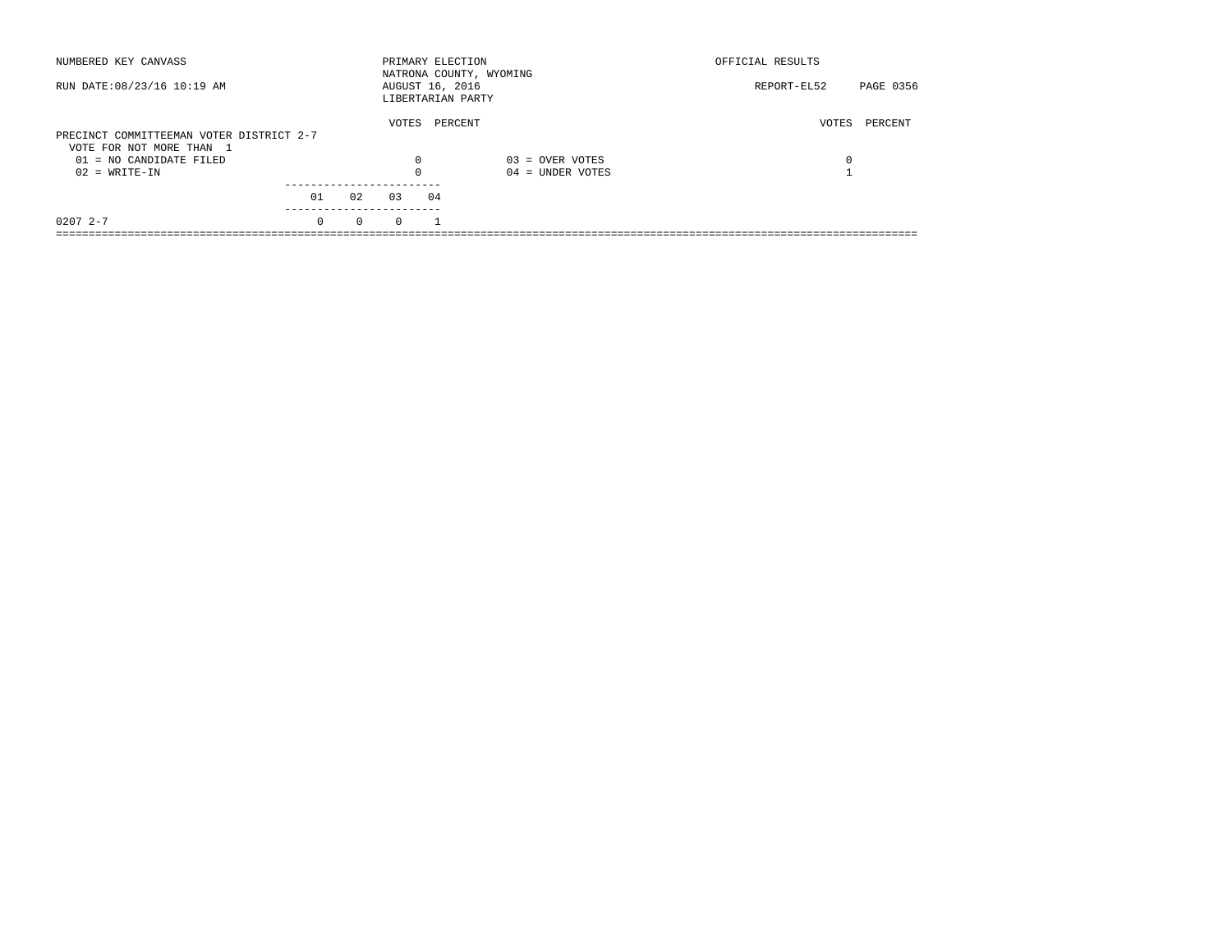| NUMBERED KEY CANVASS                                  |          |          |          | PRIMARY ELECTION                     | NATRONA COUNTY, WYOMING | OFFICIAL RESULTS |           |
|-------------------------------------------------------|----------|----------|----------|--------------------------------------|-------------------------|------------------|-----------|
| RUN DATE: 08/23/16 10:19 AM                           |          |          |          | AUGUST 16, 2016<br>LIBERTARIAN PARTY |                         | REPORT-EL52      | PAGE 0356 |
| PRECINCT COMMITTEEMAN VOTER DISTRICT 2-7              |          |          | VOTES    | PERCENT                              |                         | VOTES            | PERCENT   |
| VOTE FOR NOT MORE THAN 1<br>$01 = NO$ CANDIDATE FILED |          |          | 0        |                                      | $03 =$ OVER VOTES       | 0                |           |
| $02 = WRITE-IN$                                       |          |          | $\Omega$ |                                      | $04 =$ UNDER VOTES      |                  |           |
|                                                       | 01       | 02       | 03       | 04                                   |                         |                  |           |
| $02072 - -7$                                          | $\Omega$ | $\Omega$ | $\Omega$ |                                      |                         |                  |           |
|                                                       |          |          |          |                                      |                         |                  |           |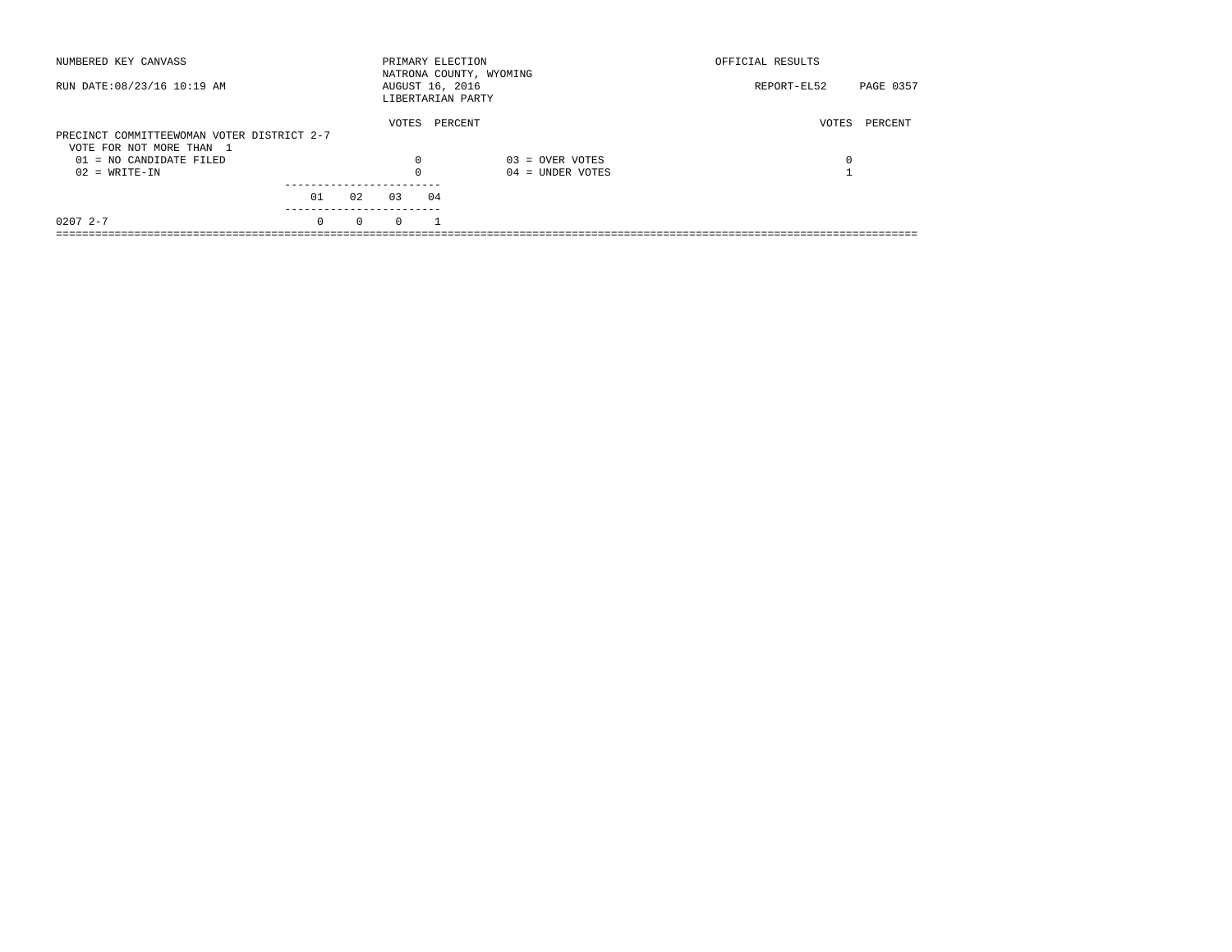| NUMBERED KEY CANVASS                       |          |          |          | PRIMARY ELECTION                     | NATRONA COUNTY, WYOMING | OFFICIAL RESULTS         |
|--------------------------------------------|----------|----------|----------|--------------------------------------|-------------------------|--------------------------|
| RUN DATE: 08/23/16 10:19 AM                |          |          |          | AUGUST 16, 2016<br>LIBERTARIAN PARTY |                         | PAGE 0357<br>REPORT-EL52 |
|                                            |          |          | VOTES    | PERCENT                              |                         | PERCENT<br>VOTES         |
| PRECINCT COMMITTEEWOMAN VOTER DISTRICT 2-7 |          |          |          |                                      |                         |                          |
| VOTE FOR NOT MORE THAN 1                   |          |          |          |                                      |                         |                          |
| $01 = NO$ CANDIDATE FILED                  |          |          | 0        |                                      | $03 =$ OVER VOTES       | 0                        |
| $02 = WRITE-IN$                            |          |          | $\Omega$ |                                      | $04 =$ UNDER VOTES      |                          |
|                                            |          |          |          |                                      |                         |                          |
|                                            | 01       | 02       | 03       | 04                                   |                         |                          |
| $02072 - -7$                               | $\Omega$ | $\Omega$ | $\Omega$ |                                      |                         |                          |
|                                            |          |          |          |                                      |                         |                          |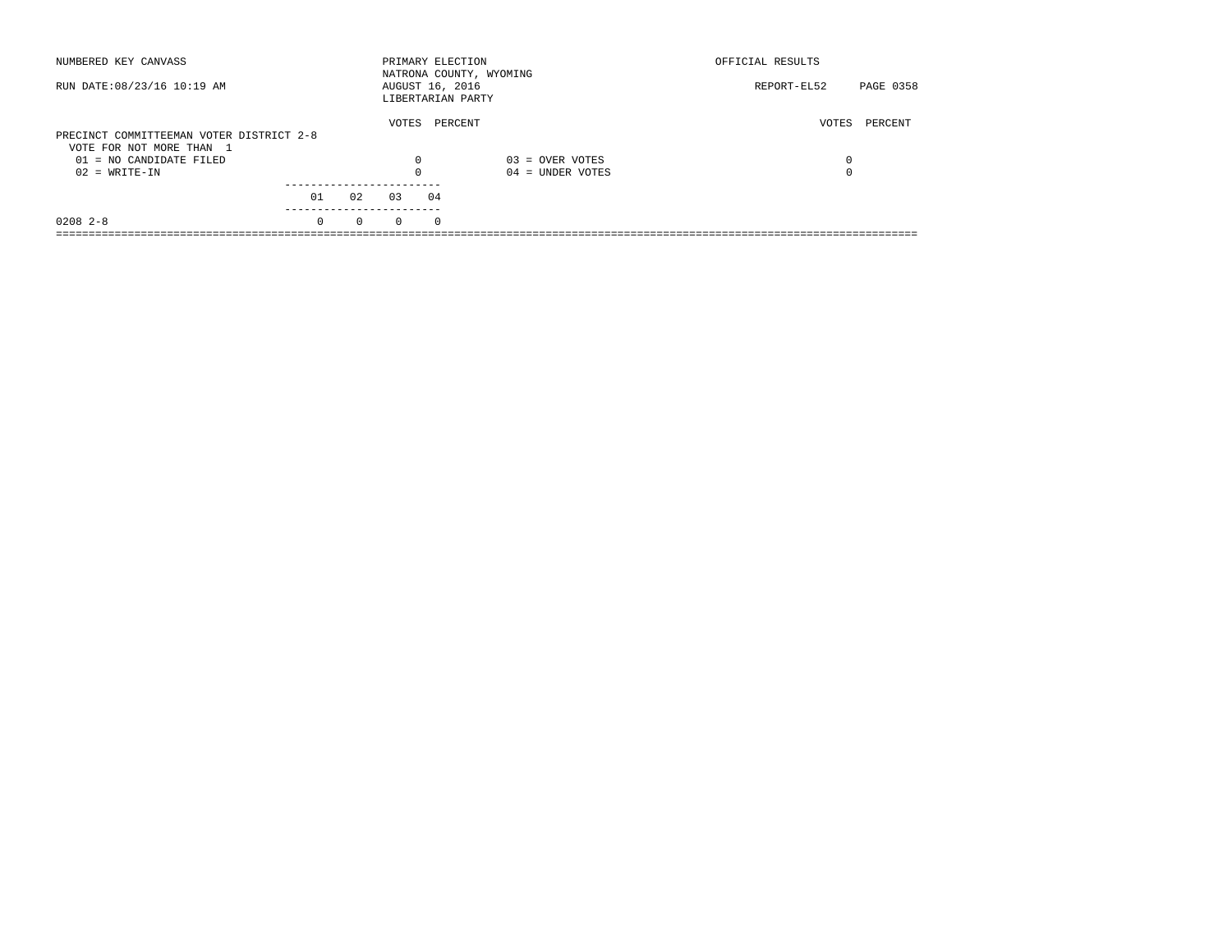| NUMBERED KEY CANVASS                                                 |          |          |                                      | PRIMARY ELECTION | NATRONA COUNTY, WYOMING | OFFICIAL RESULTS |           |
|----------------------------------------------------------------------|----------|----------|--------------------------------------|------------------|-------------------------|------------------|-----------|
| RUN DATE: 08/23/16 10:19 AM                                          |          |          | AUGUST 16, 2016<br>LIBERTARIAN PARTY |                  |                         | REPORT-EL52      | PAGE 0358 |
| PRECINCT COMMITTEEMAN VOTER DISTRICT 2-8<br>VOTE FOR NOT MORE THAN 1 |          |          | VOTES                                | PERCENT          |                         | VOTES            | PERCENT   |
| 01 = NO CANDIDATE FILED                                              |          |          | 0                                    |                  | $03 =$ OVER VOTES       | 0                |           |
| $02 = WRITE-IN$                                                      |          |          | $\Omega$                             |                  | $04 =$ UNDER VOTES      | $\Omega$         |           |
|                                                                      | 01       | 02       | 03                                   | 04               |                         |                  |           |
| $0208$ 2-8                                                           | $\Omega$ | $\Omega$ | $\Omega$                             | $\Omega$         |                         |                  |           |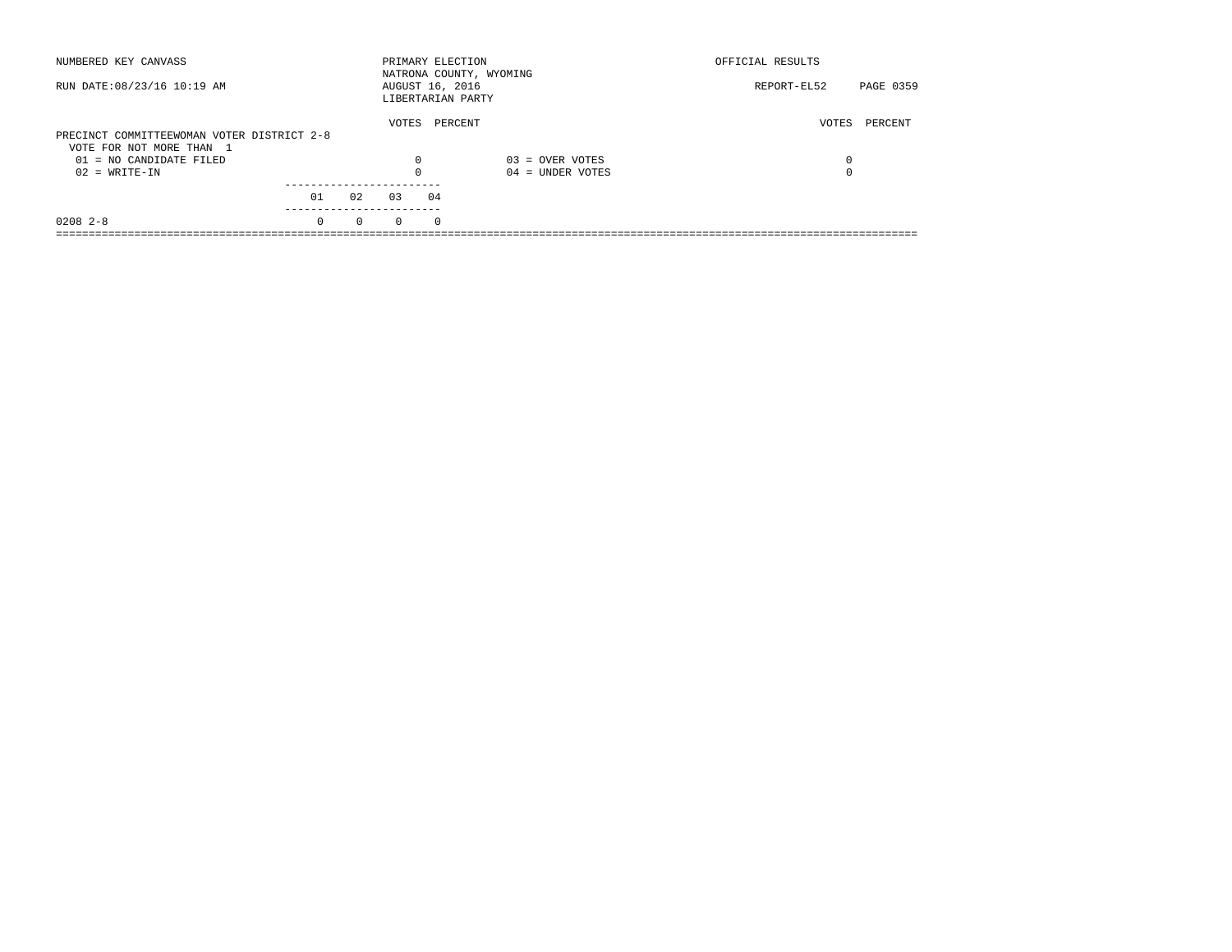| NUMBERED KEY CANVASS                       |          |          |                 |          | PRIMARY ELECTION<br>NATRONA COUNTY, WYOMING | OFFICIAL RESULTS |           |
|--------------------------------------------|----------|----------|-----------------|----------|---------------------------------------------|------------------|-----------|
| RUN DATE: 08/23/16 10:19 AM                |          |          | AUGUST 16, 2016 |          | LIBERTARIAN PARTY                           | REPORT-EL52      | PAGE 0359 |
| PRECINCT COMMITTEEWOMAN VOTER DISTRICT 2-8 |          |          | VOTES           |          | PERCENT                                     | VOTES            | PERCENT   |
| VOTE FOR NOT MORE THAN 1                   |          |          |                 |          |                                             |                  |           |
|                                            |          |          |                 |          |                                             |                  |           |
| 01 = NO CANDIDATE FILED                    |          |          | 0               |          | $03 =$ OVER VOTES                           | 0                |           |
| $02 = WRITE-IN$                            |          |          |                 |          | $04 =$ UNDER VOTES                          | $\Omega$         |           |
|                                            |          |          |                 |          |                                             |                  |           |
|                                            | 01       | 02       | 03              | 04       |                                             |                  |           |
| $0208$ 2-8                                 | $\Omega$ | $\Omega$ | $\Omega$        | $\Omega$ |                                             |                  |           |
|                                            |          |          |                 |          |                                             |                  |           |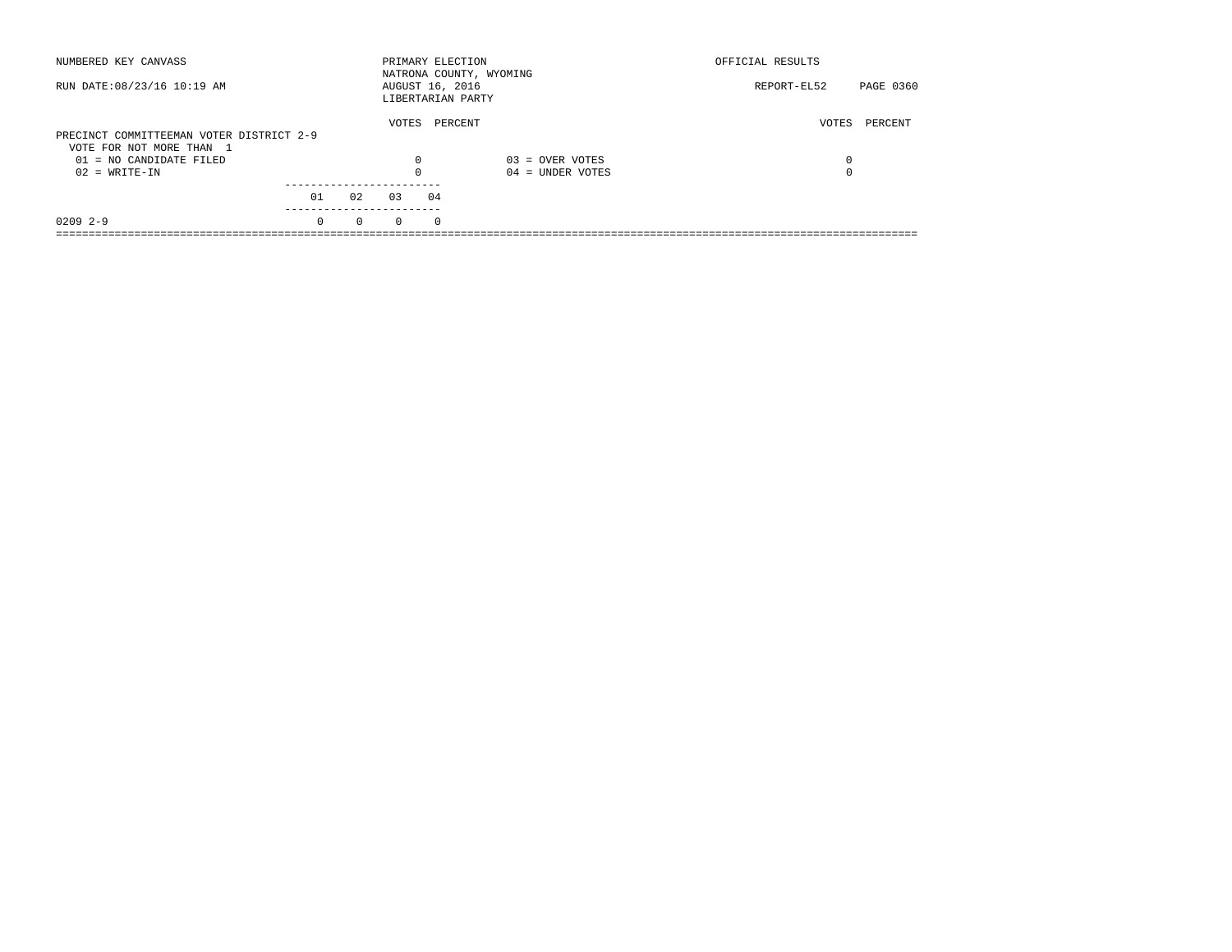| NUMBERED KEY CANVASS                                                 |          |          |          | PRIMARY ELECTION<br>NATRONA COUNTY, WYOMING |                    | OFFICIAL RESULTS |           |
|----------------------------------------------------------------------|----------|----------|----------|---------------------------------------------|--------------------|------------------|-----------|
| RUN DATE: 08/23/16 10:19 AM                                          |          |          |          | AUGUST 16, 2016<br>LIBERTARIAN PARTY        |                    | REPORT-EL52      | PAGE 0360 |
| PRECINCT COMMITTEEMAN VOTER DISTRICT 2-9<br>VOTE FOR NOT MORE THAN 1 |          |          | VOTES    | PERCENT                                     |                    | VOTES            | PERCENT   |
| 01 = NO CANDIDATE FILED                                              |          |          | 0        |                                             | $03 =$ OVER VOTES  | 0                |           |
| $02 = WRITE-IN$                                                      |          |          |          |                                             | $04 =$ UNDER VOTES | $\Omega$         |           |
|                                                                      | 01       | 02       | 03       | 04                                          |                    |                  |           |
| $02092 - -9$                                                         | $\Omega$ | $\Omega$ | $\Omega$ | $\Omega$                                    |                    |                  |           |
|                                                                      |          |          |          |                                             |                    |                  |           |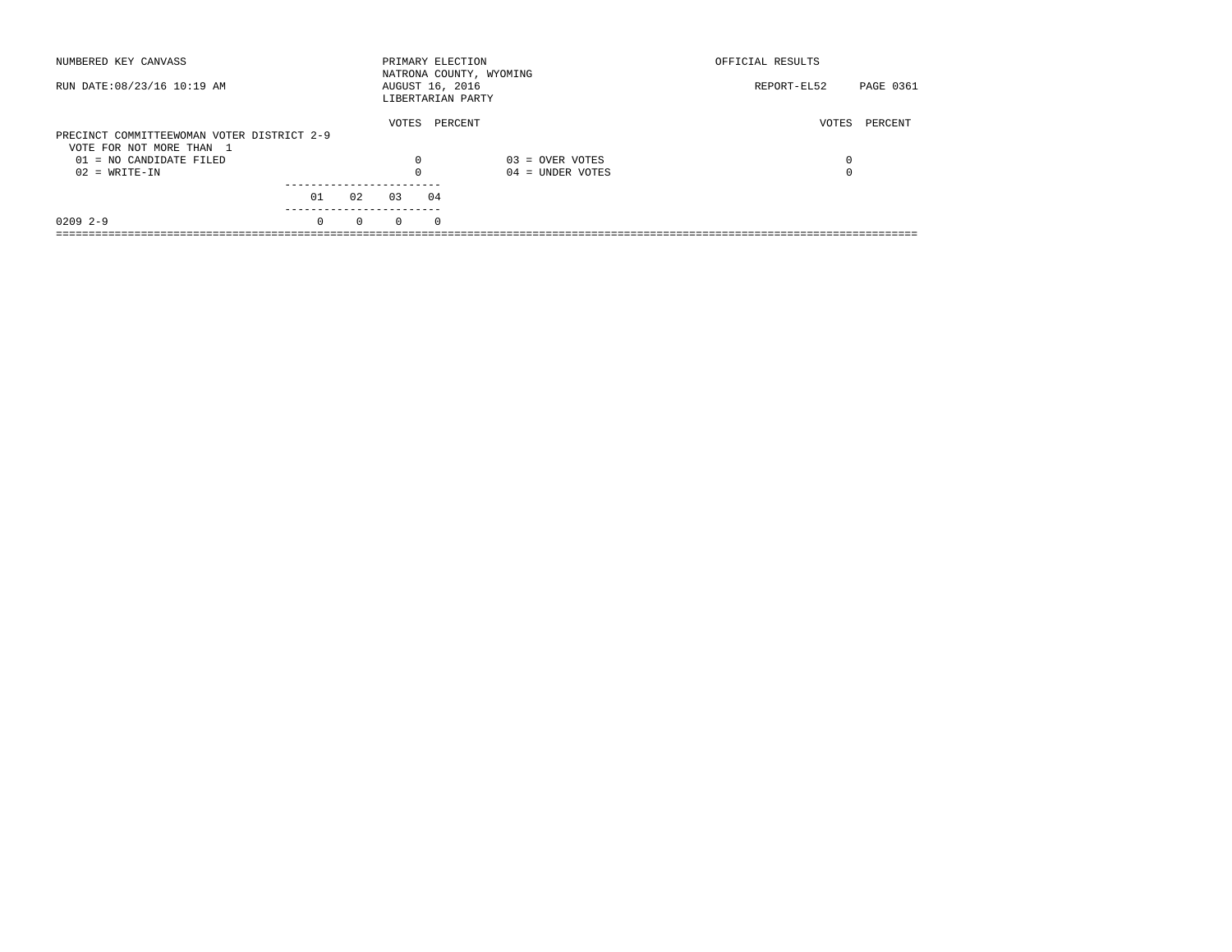| NUMBERED KEY CANVASS                       |          |          | PRIMARY ELECTION                     |          | NATRONA COUNTY, WYOMING | OFFICIAL RESULTS |           |
|--------------------------------------------|----------|----------|--------------------------------------|----------|-------------------------|------------------|-----------|
| RUN DATE: 08/23/16 10:19 AM                |          |          | AUGUST 16, 2016<br>LIBERTARIAN PARTY |          |                         | REPORT-EL52      | PAGE 0361 |
| PRECINCT COMMITTEEWOMAN VOTER DISTRICT 2-9 |          |          | VOTES                                | PERCENT  |                         | VOTES            | PERCENT   |
| VOTE FOR NOT MORE THAN 1                   |          |          |                                      |          |                         |                  |           |
|                                            |          |          |                                      |          |                         |                  |           |
| 01 = NO CANDIDATE FILED                    |          |          | 0                                    |          | $03 =$ OVER VOTES       | 0                |           |
| $02 = WRITE-IN$                            |          |          |                                      |          | $04 =$ UNDER VOTES      | $\Omega$         |           |
|                                            |          |          |                                      |          |                         |                  |           |
|                                            | 01       | 02       | 03                                   | 04       |                         |                  |           |
| $02092 - -9$                               | $\Omega$ | $\Omega$ | $\Omega$                             | $\Omega$ |                         |                  |           |
|                                            |          |          |                                      |          |                         |                  |           |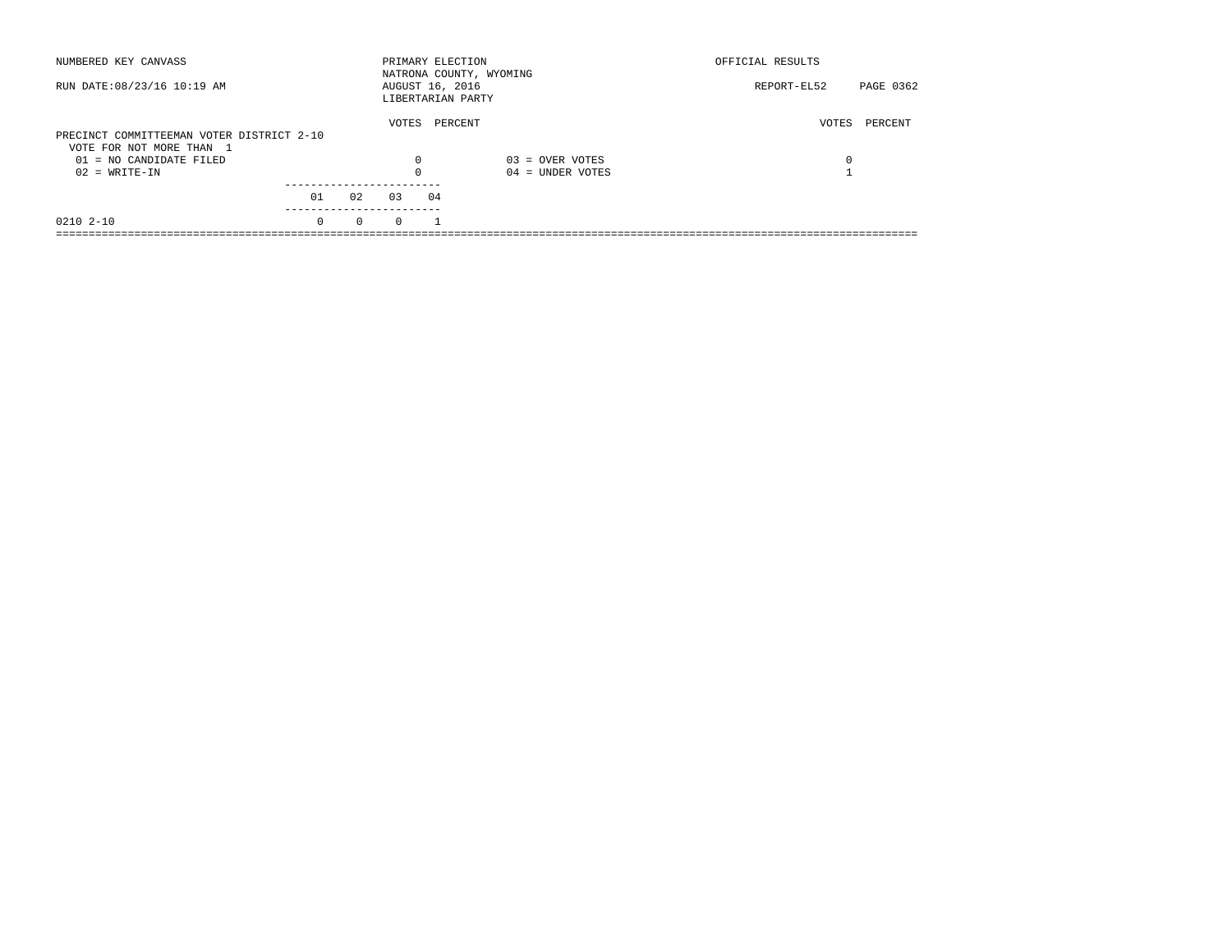| NUMBERED KEY CANVASS                                                  |          |          | PRIMARY ELECTION |    | NATRONA COUNTY, WYOMING | OFFICIAL RESULTS |           |
|-----------------------------------------------------------------------|----------|----------|------------------|----|-------------------------|------------------|-----------|
| RUN DATE: 08/23/16 10:19 AM                                           |          |          | AUGUST 16, 2016  |    | LIBERTARIAN PARTY       | REPORT-EL52      | PAGE 0362 |
| PRECINCT COMMITTEEMAN VOTER DISTRICT 2-10<br>VOTE FOR NOT MORE THAN 1 |          |          | VOTES            |    | PERCENT                 | VOTES            | PERCENT   |
| $01 = NO CANDIDATE FILED$                                             |          |          | $\Omega$         |    | $03 =$ OVER VOTES       | 0                |           |
| $02 = WRITE-IN$                                                       |          |          |                  |    | $04 =$ UNDER VOTES      |                  |           |
|                                                                       | 01       | 02       | 03               | 04 |                         |                  |           |
| 0210 2-10                                                             | $\Omega$ | $\Omega$ | $\Omega$         |    |                         |                  |           |
|                                                                       |          |          |                  |    |                         |                  |           |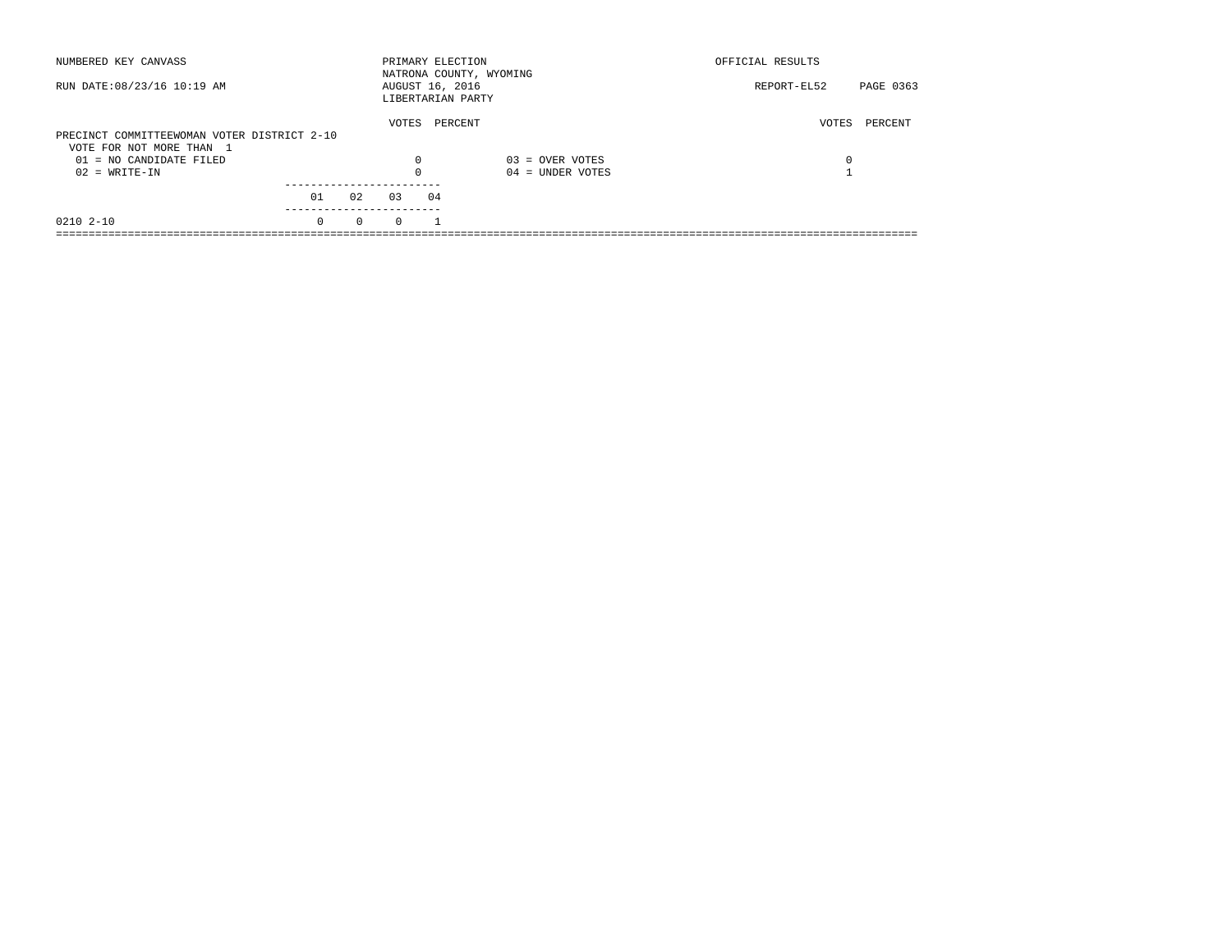| NUMBERED KEY CANVASS                        |          |          |          | PRIMARY ELECTION<br>NATRONA COUNTY, WYOMING |                    | OFFICIAL RESULTS         |  |
|---------------------------------------------|----------|----------|----------|---------------------------------------------|--------------------|--------------------------|--|
| RUN DATE: 08/23/16 10:19 AM                 |          |          |          | AUGUST 16, 2016<br>LIBERTARIAN PARTY        |                    | PAGE 0363<br>REPORT-EL52 |  |
| PRECINCT COMMITTEEWOMAN VOTER DISTRICT 2-10 |          |          | VOTES    | PERCENT                                     |                    | PERCENT<br>VOTES         |  |
| VOTE FOR NOT MORE THAN 1                    |          |          |          |                                             |                    |                          |  |
| $01 = NO$ CANDIDATE FILED                   |          |          | 0        |                                             | $03 =$ OVER VOTES  | 0                        |  |
| $02 = WRITE-IN$                             |          |          | $\Omega$ |                                             | $04 =$ UNDER VOTES |                          |  |
|                                             |          |          |          |                                             |                    |                          |  |
|                                             | 01       | 02       | 0.3      | 04                                          |                    |                          |  |
| 0210 2-10                                   | $\Omega$ | $\Omega$ | $\Omega$ |                                             |                    |                          |  |
|                                             |          |          |          |                                             |                    |                          |  |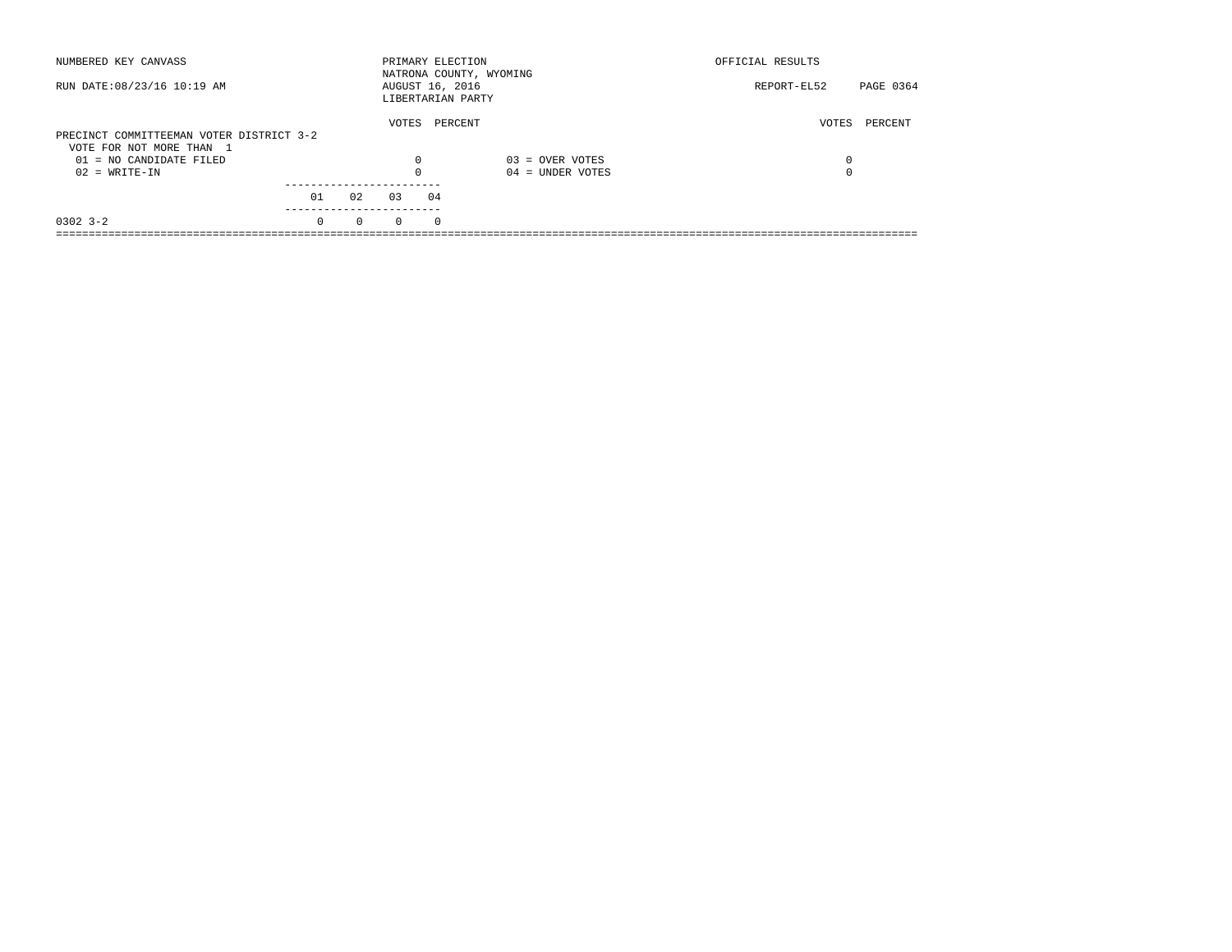| NUMBERED KEY CANVASS                                                 |          |          |          | PRIMARY ELECTION<br>NATRONA COUNTY, WYOMING |                    | OFFICIAL RESULTS |           |
|----------------------------------------------------------------------|----------|----------|----------|---------------------------------------------|--------------------|------------------|-----------|
| RUN DATE: 08/23/16 10:19 AM                                          |          |          |          | AUGUST 16, 2016<br>LIBERTARIAN PARTY        |                    | REPORT-EL52      | PAGE 0364 |
| PRECINCT COMMITTEEMAN VOTER DISTRICT 3-2<br>VOTE FOR NOT MORE THAN 1 |          |          | VOTES    | PERCENT                                     |                    | VOTES            | PERCENT   |
| 01 = NO CANDIDATE FILED                                              |          |          | 0        |                                             | $03 =$ OVER VOTES  | 0                |           |
| $02 = WRITE-IN$                                                      |          |          |          |                                             | $04 =$ UNDER VOTES | $\Omega$         |           |
|                                                                      | 01       | 02       | 03       | 04                                          |                    |                  |           |
| $0302$ 3-2                                                           | $\Omega$ | $\Omega$ | $\Omega$ | $\Omega$                                    |                    |                  |           |
|                                                                      |          |          |          |                                             |                    |                  |           |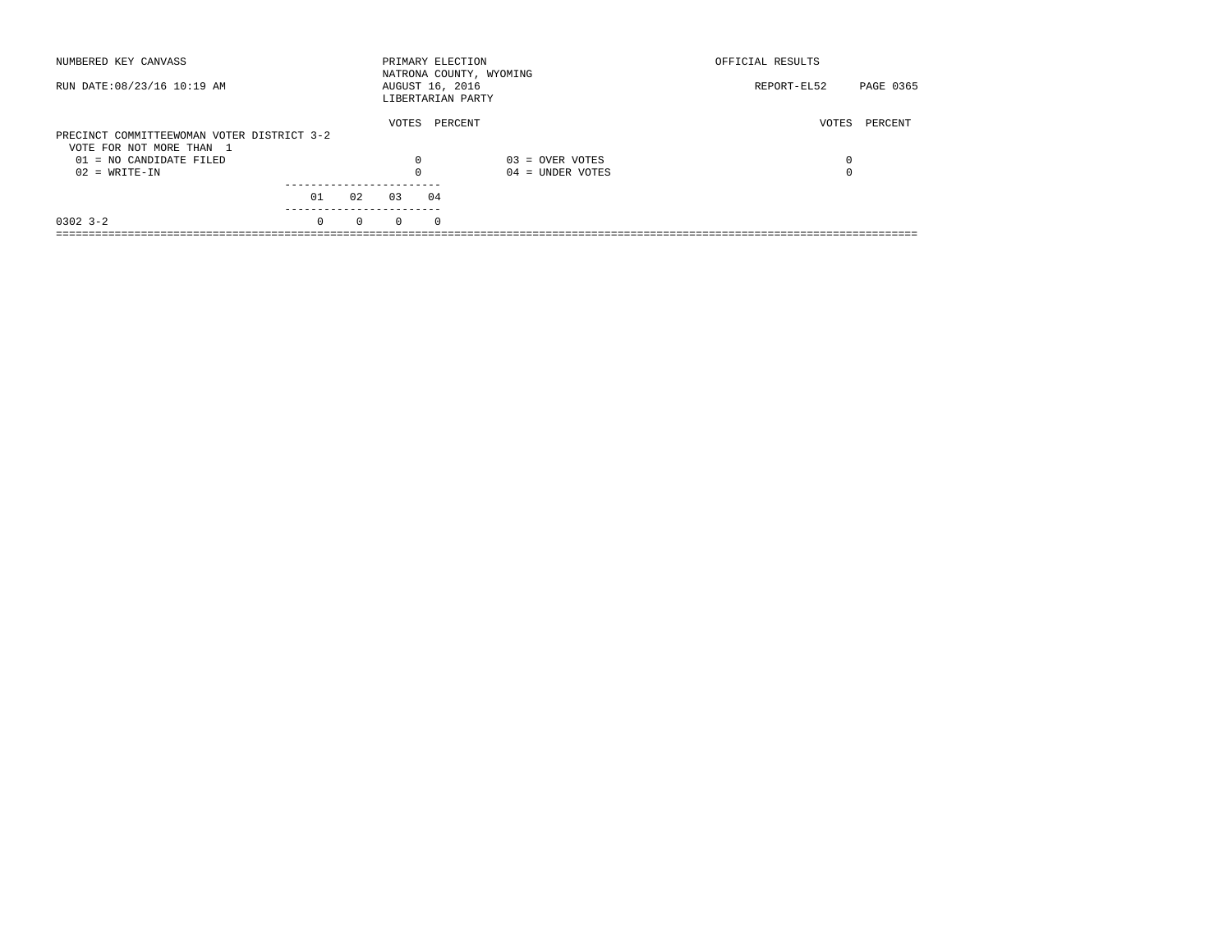| NUMBERED KEY CANVASS                       |          |          | PRIMARY ELECTION                     |            | NATRONA COUNTY, WYOMING | OFFICIAL RESULTS |           |
|--------------------------------------------|----------|----------|--------------------------------------|------------|-------------------------|------------------|-----------|
| RUN DATE: 08/23/16 10:19 AM                |          |          | AUGUST 16, 2016<br>LIBERTARIAN PARTY |            |                         | REPORT-EL52      | PAGE 0365 |
|                                            |          |          | VOTES                                |            | PERCENT                 | VOTES            | PERCENT   |
| PRECINCT COMMITTEEWOMAN VOTER DISTRICT 3-2 |          |          |                                      |            |                         |                  |           |
| VOTE FOR NOT MORE THAN 1                   |          |          |                                      |            |                         |                  |           |
| $01 = NO$ CANDIDATE FILED                  |          |          | $\Omega$                             |            | $03 =$ OVER VOTES       | 0                |           |
| $02 = WRITE-IN$                            |          |          |                                      |            | $04 =$ UNDER VOTES      | $\Omega$         |           |
|                                            |          |          |                                      |            |                         |                  |           |
|                                            | 01       | 02       | 03                                   | 04         |                         |                  |           |
| $0302$ $3 - 2$                             | $\Omega$ | $\Omega$ | $\Omega$                             | $^{\circ}$ |                         |                  |           |
|                                            |          |          |                                      |            |                         |                  |           |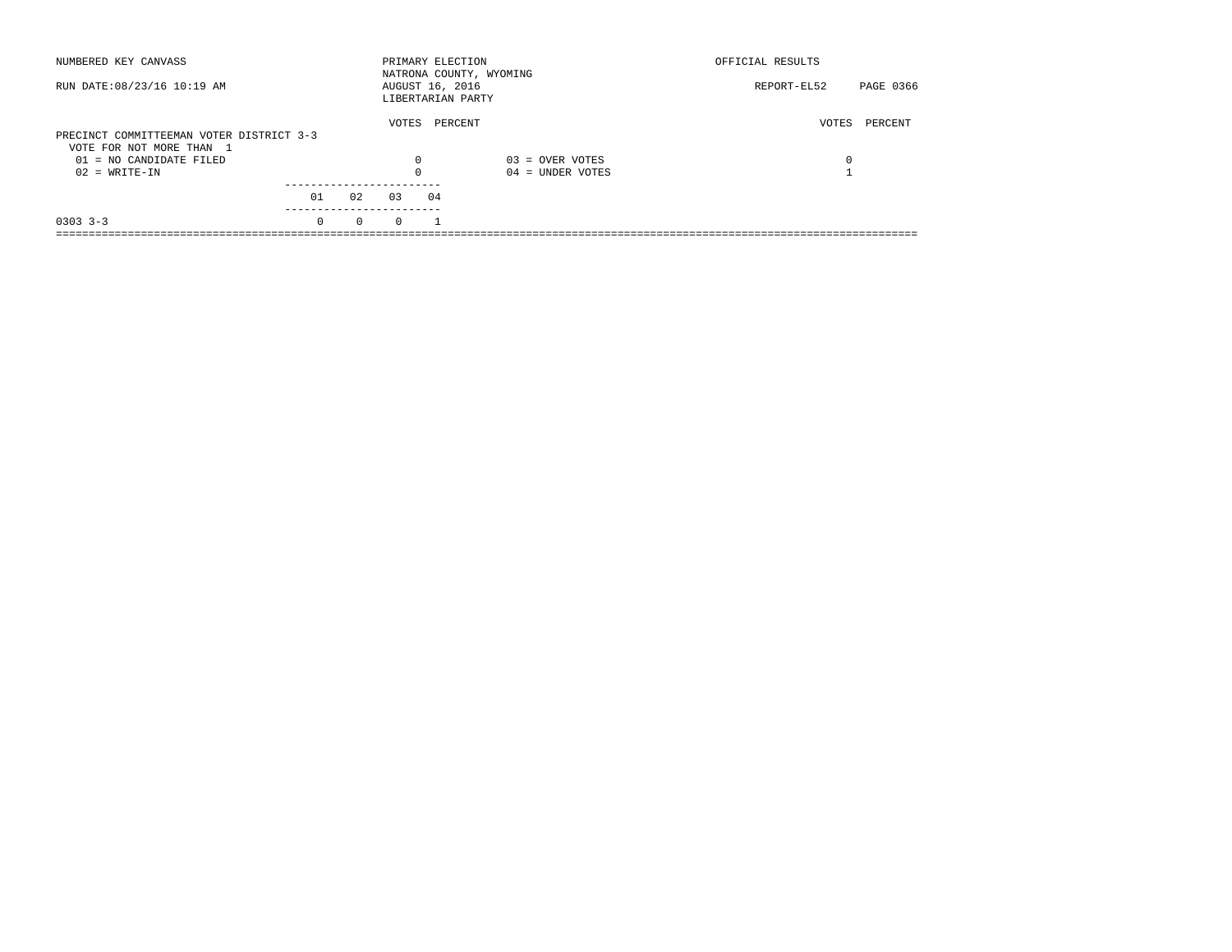| NUMBERED KEY CANVASS                                                 |          |          |          | PRIMARY ELECTION                     | NATRONA COUNTY, WYOMING | OFFICIAL RESULTS |           |
|----------------------------------------------------------------------|----------|----------|----------|--------------------------------------|-------------------------|------------------|-----------|
| RUN DATE: 08/23/16 10:19 AM                                          |          |          |          | AUGUST 16, 2016<br>LIBERTARIAN PARTY |                         | REPORT-EL52      | PAGE 0366 |
| PRECINCT COMMITTEEMAN VOTER DISTRICT 3-3<br>VOTE FOR NOT MORE THAN 1 |          |          | VOTES    | PERCENT                              |                         | VOTES            | PERCENT   |
| $01 = NO$ CANDIDATE FILED                                            |          |          | 0        |                                      | $03 =$ OVER VOTES       | 0                |           |
| $02 = WRITE-IN$                                                      |          |          | $\Omega$ |                                      | $04 =$ UNDER VOTES      |                  |           |
|                                                                      | 01       | 02       | 03       | 04                                   |                         |                  |           |
| $0303 - 3 - 3$                                                       | $\Omega$ | $\Omega$ | $\Omega$ |                                      |                         |                  |           |
|                                                                      |          |          |          |                                      |                         |                  |           |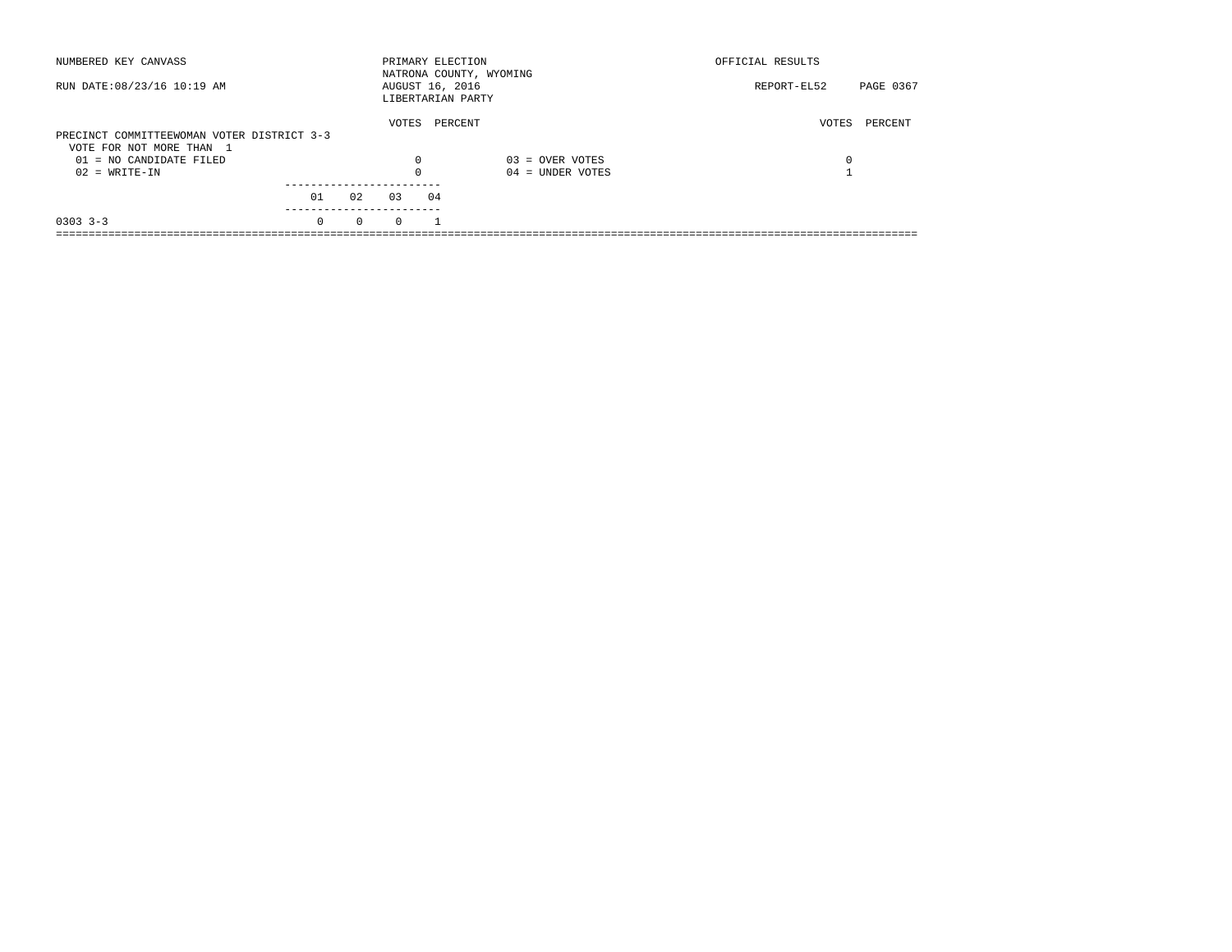| NUMBERED KEY CANVASS                       |          |          | PRIMARY ELECTION                     |         | NATRONA COUNTY, WYOMING | OFFICIAL RESULTS |           |
|--------------------------------------------|----------|----------|--------------------------------------|---------|-------------------------|------------------|-----------|
| RUN DATE: 08/23/16 10:19 AM                |          |          | AUGUST 16, 2016<br>LIBERTARIAN PARTY |         |                         | REPORT-EL52      | PAGE 0367 |
|                                            |          |          | VOTES                                | PERCENT |                         | VOTES            | PERCENT   |
| PRECINCT COMMITTEEWOMAN VOTER DISTRICT 3-3 |          |          |                                      |         |                         |                  |           |
| VOTE FOR NOT MORE THAN 1                   |          |          |                                      |         |                         |                  |           |
| $01 = NO$ CANDIDATE FILED                  |          |          | 0                                    |         | $03 =$ OVER VOTES       | 0                |           |
| $02 = WRITE-IN$                            |          |          | $\Omega$                             |         | $04 =$ UNDER VOTES      |                  |           |
|                                            |          |          |                                      |         |                         |                  |           |
|                                            | 01       | 02       | 03                                   | 04      |                         |                  |           |
| $0303 - 3 - 3$                             | $\Omega$ | $\Omega$ | $\Omega$                             |         |                         |                  |           |
|                                            |          |          |                                      |         |                         |                  |           |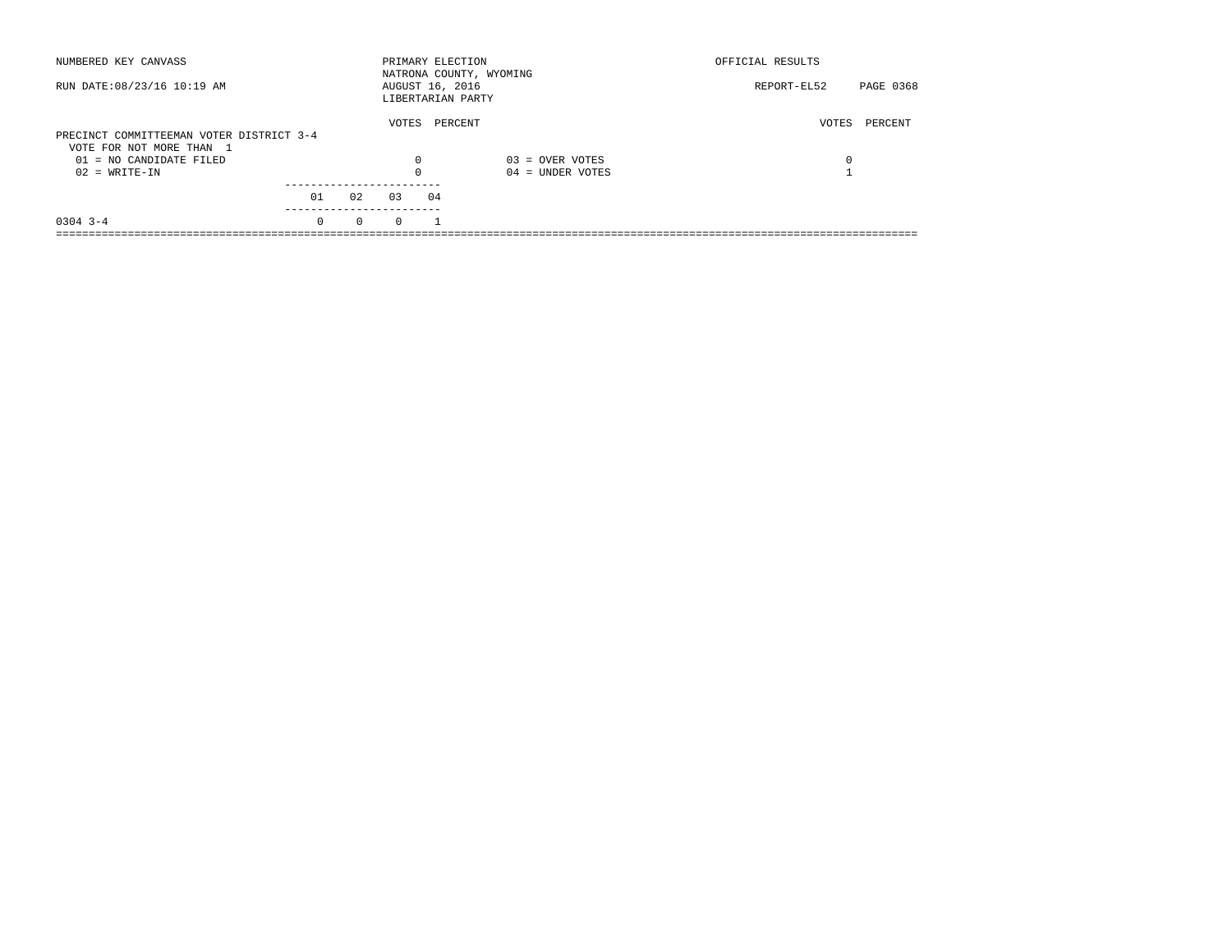| NUMBERED KEY CANVASS                                                 |          |          |          | PRIMARY ELECTION                     | NATRONA COUNTY, WYOMING | OFFICIAL RESULTS         |  |
|----------------------------------------------------------------------|----------|----------|----------|--------------------------------------|-------------------------|--------------------------|--|
| RUN DATE: 08/23/16 10:19 AM                                          |          |          |          | AUGUST 16, 2016<br>LIBERTARIAN PARTY |                         | PAGE 0368<br>REPORT-EL52 |  |
| PRECINCT COMMITTEEMAN VOTER DISTRICT 3-4<br>VOTE FOR NOT MORE THAN 1 |          |          | VOTES    | PERCENT                              |                         | PERCENT<br>VOTES         |  |
| $01 = NO$ CANDIDATE FILED                                            |          |          | 0        |                                      | $03 =$ OVER VOTES       | 0                        |  |
| $02 = WRITE-IN$                                                      |          |          | $\Omega$ |                                      | $04 =$ UNDER VOTES      |                          |  |
|                                                                      | 01       | 02       | 03       | 04                                   |                         |                          |  |
| $0304$ 3-4                                                           | $\Omega$ | $\Omega$ | $\Omega$ |                                      |                         |                          |  |
|                                                                      |          |          |          |                                      |                         |                          |  |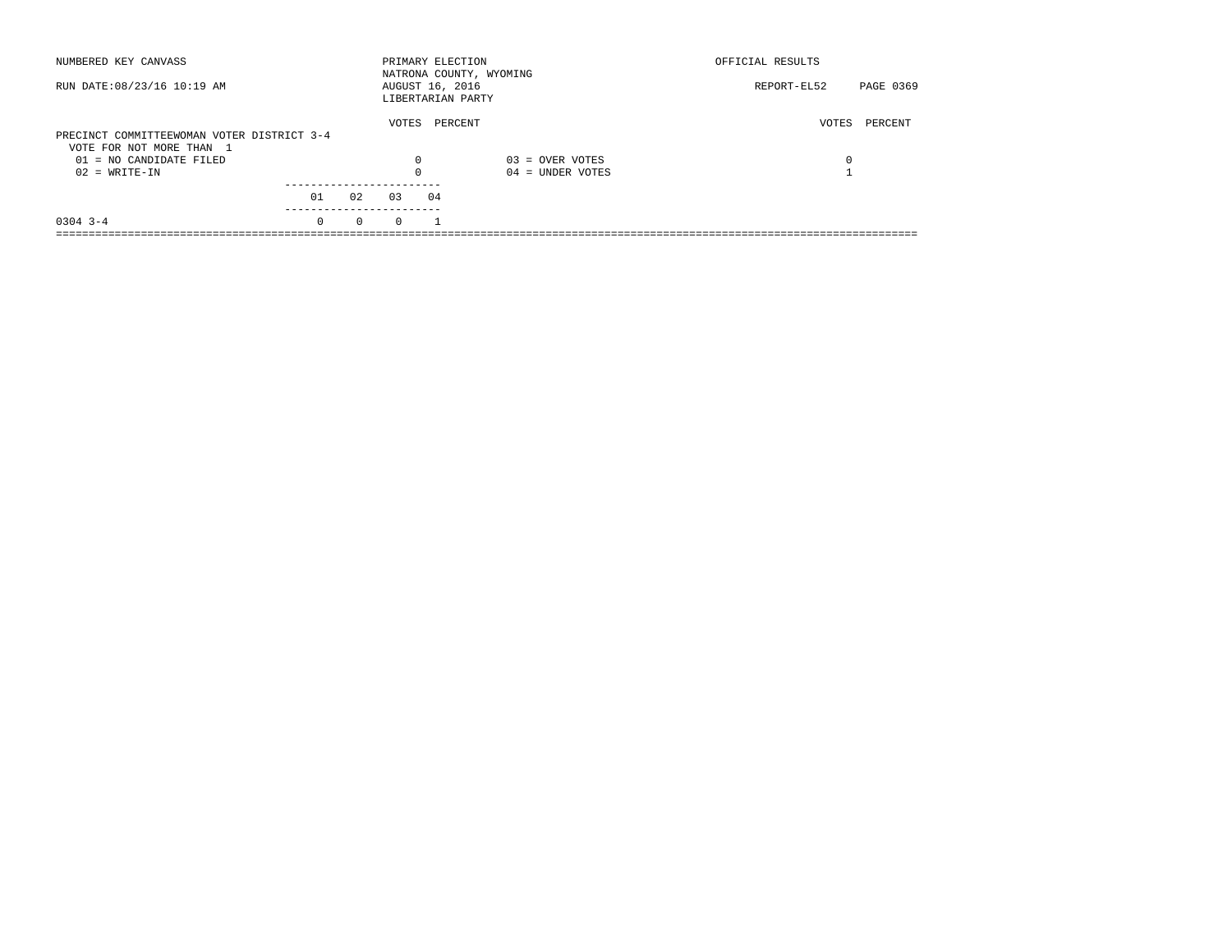| NUMBERED KEY CANVASS                       |          |          | PRIMARY ELECTION                     |    | NATRONA COUNTY, WYOMING | OFFICIAL RESULTS |           |
|--------------------------------------------|----------|----------|--------------------------------------|----|-------------------------|------------------|-----------|
| RUN DATE: 08/23/16 10:19 AM                |          |          | AUGUST 16, 2016<br>LIBERTARIAN PARTY |    |                         | REPORT-EL52      | PAGE 0369 |
|                                            |          |          | VOTES                                |    | PERCENT                 | VOTES            | PERCENT   |
| PRECINCT COMMITTEEWOMAN VOTER DISTRICT 3-4 |          |          |                                      |    |                         |                  |           |
| VOTE FOR NOT MORE THAN 1                   |          |          |                                      |    |                         |                  |           |
| $01 = NO$ CANDIDATE FILED                  |          |          | $\Omega$                             |    | $03 =$ OVER VOTES       | 0                |           |
| $02 = WRITE-IN$                            |          |          |                                      |    | $04 =$ UNDER VOTES      |                  |           |
|                                            |          |          |                                      |    |                         |                  |           |
|                                            | 01       | 02       | 03                                   | 04 |                         |                  |           |
| $0304$ 3-4                                 | $\Omega$ | $\Omega$ | $\Omega$                             |    |                         |                  |           |
|                                            |          |          |                                      |    |                         |                  |           |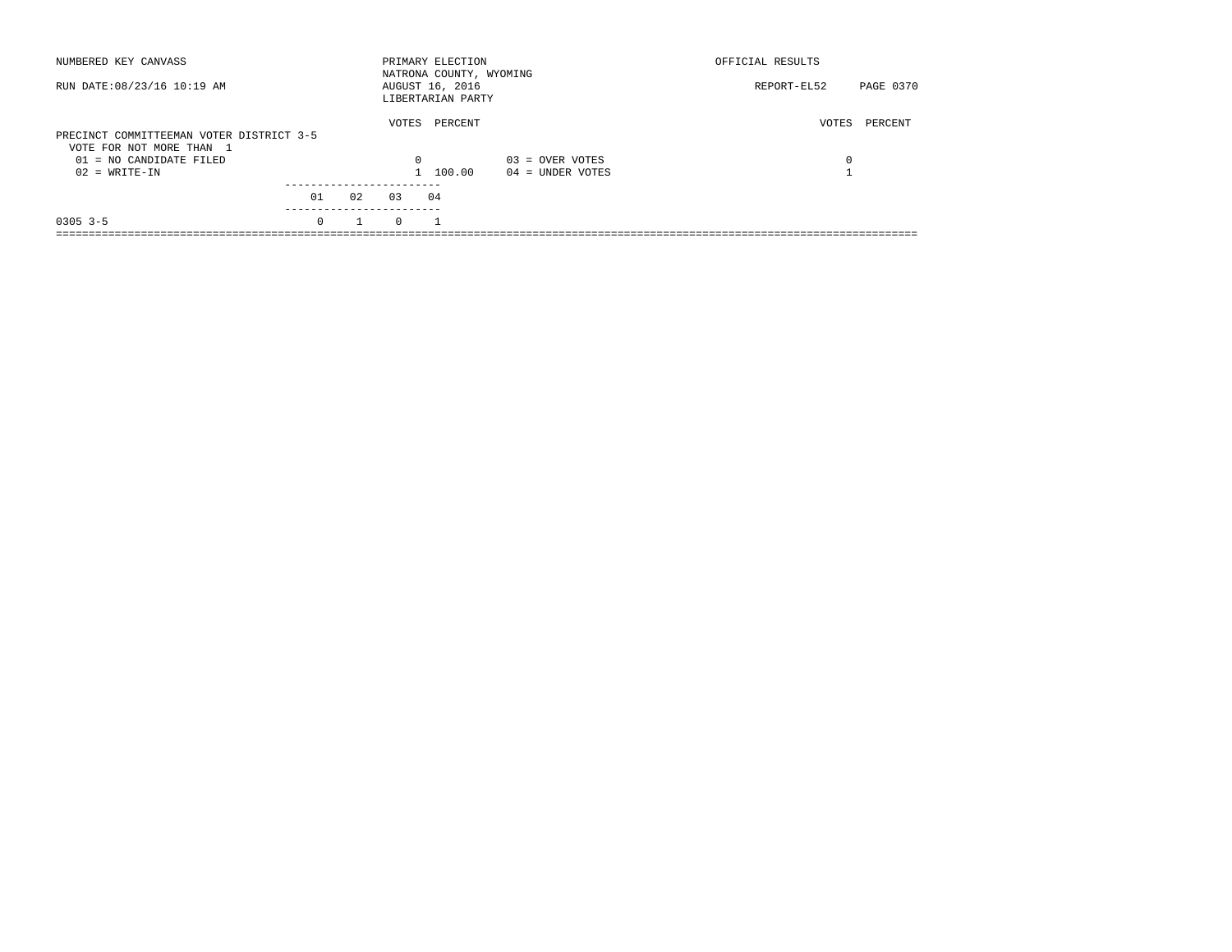| NUMBERED KEY CANVASS                                                 |          |    |          | PRIMARY ELECTION<br>NATRONA COUNTY, WYOMING |                    | OFFICIAL RESULTS |           |
|----------------------------------------------------------------------|----------|----|----------|---------------------------------------------|--------------------|------------------|-----------|
| RUN DATE: 08/23/16 10:19 AM                                          |          |    |          | AUGUST 16, 2016<br>LIBERTARIAN PARTY        |                    | REPORT-EL52      | PAGE 0370 |
| PRECINCT COMMITTEEMAN VOTER DISTRICT 3-5<br>VOTE FOR NOT MORE THAN 1 |          |    | VOTES    | PERCENT                                     |                    | VOTES            | PERCENT   |
| $01 = NO$ CANDIDATE FILED                                            |          |    | 0        |                                             | $03 =$ OVER VOTES  | 0                |           |
| $02 = WRITE-IN$                                                      |          |    |          | 100.00                                      | $04 =$ UNDER VOTES |                  |           |
|                                                                      | 01       | 02 | 0.3      | 04                                          |                    |                  |           |
| $0305$ 3-5                                                           | $\Omega$ |    | $\Omega$ |                                             |                    |                  |           |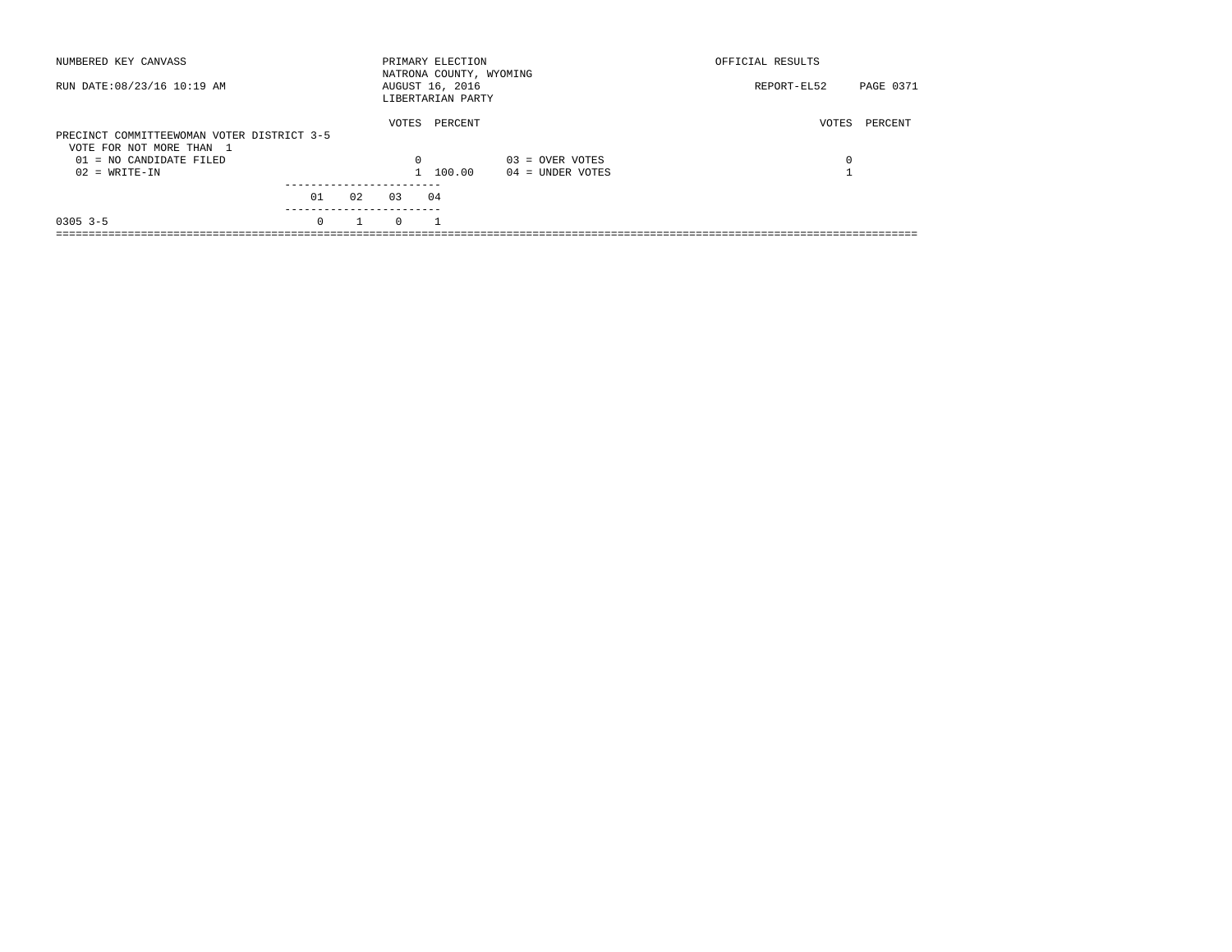| NUMBERED KEY CANVASS                                                   |          |    |          | PRIMARY ELECTION<br>NATRONA COUNTY, WYOMING |                    | OFFICIAL RESULTS |                  |
|------------------------------------------------------------------------|----------|----|----------|---------------------------------------------|--------------------|------------------|------------------|
| RUN DATE: 08/23/16 10:19 AM                                            |          |    |          | AUGUST 16, 2016<br>LIBERTARIAN PARTY        |                    | REPORT-EL52      | <b>PAGE 0371</b> |
| PRECINCT COMMITTEEWOMAN VOTER DISTRICT 3-5<br>VOTE FOR NOT MORE THAN 1 |          |    | VOTES    | PERCENT                                     |                    | VOTES            | PERCENT          |
| 01 = NO CANDIDATE FILED                                                |          |    | $\Omega$ |                                             | $03 =$ OVER VOTES  | 0                |                  |
| $02 = WRITE-IN$                                                        |          |    |          | 1 100.00                                    | $04 =$ UNDER VOTES |                  |                  |
|                                                                        | 01       | 02 | 0.3      | 04                                          |                    |                  |                  |
| $0305$ 3-5                                                             | $\Omega$ |    | $\Omega$ |                                             |                    |                  |                  |
|                                                                        |          |    |          |                                             |                    |                  |                  |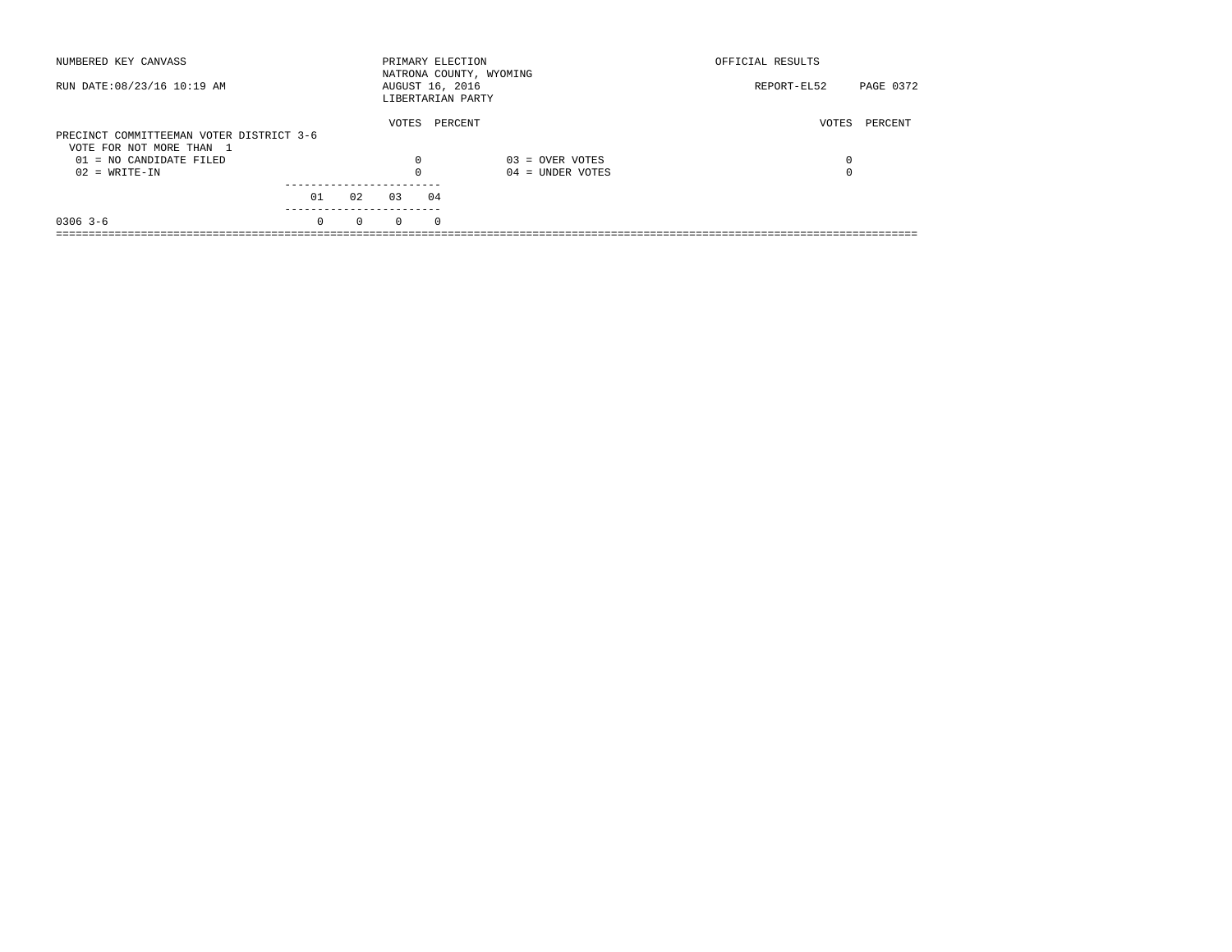| NUMBERED KEY CANVASS                                                 |          |          | PRIMARY ELECTION |          | NATRONA COUNTY, WYOMING | OFFICIAL RESULTS |           |
|----------------------------------------------------------------------|----------|----------|------------------|----------|-------------------------|------------------|-----------|
| RUN DATE: 08/23/16 10:19 AM                                          |          |          | AUGUST 16, 2016  |          | LIBERTARIAN PARTY       | REPORT-EL52      | PAGE 0372 |
| PRECINCT COMMITTEEMAN VOTER DISTRICT 3-6<br>VOTE FOR NOT MORE THAN 1 |          |          | VOTES            |          | PERCENT                 | VOTES            | PERCENT   |
| $01 = NO$ CANDIDATE FILED                                            |          |          | 0                |          | $03 =$ OVER VOTES       | 0                |           |
| $02 = WRITE-IN$                                                      |          |          | $\Omega$         |          | $04 =$ UNDER VOTES      | 0                |           |
|                                                                      | 01       | 02       | 0.3              | 04       |                         |                  |           |
| $0306$ 3-6                                                           | $\Omega$ | $\Omega$ | $\Omega$         | $\Omega$ |                         |                  |           |
|                                                                      |          |          |                  |          |                         |                  |           |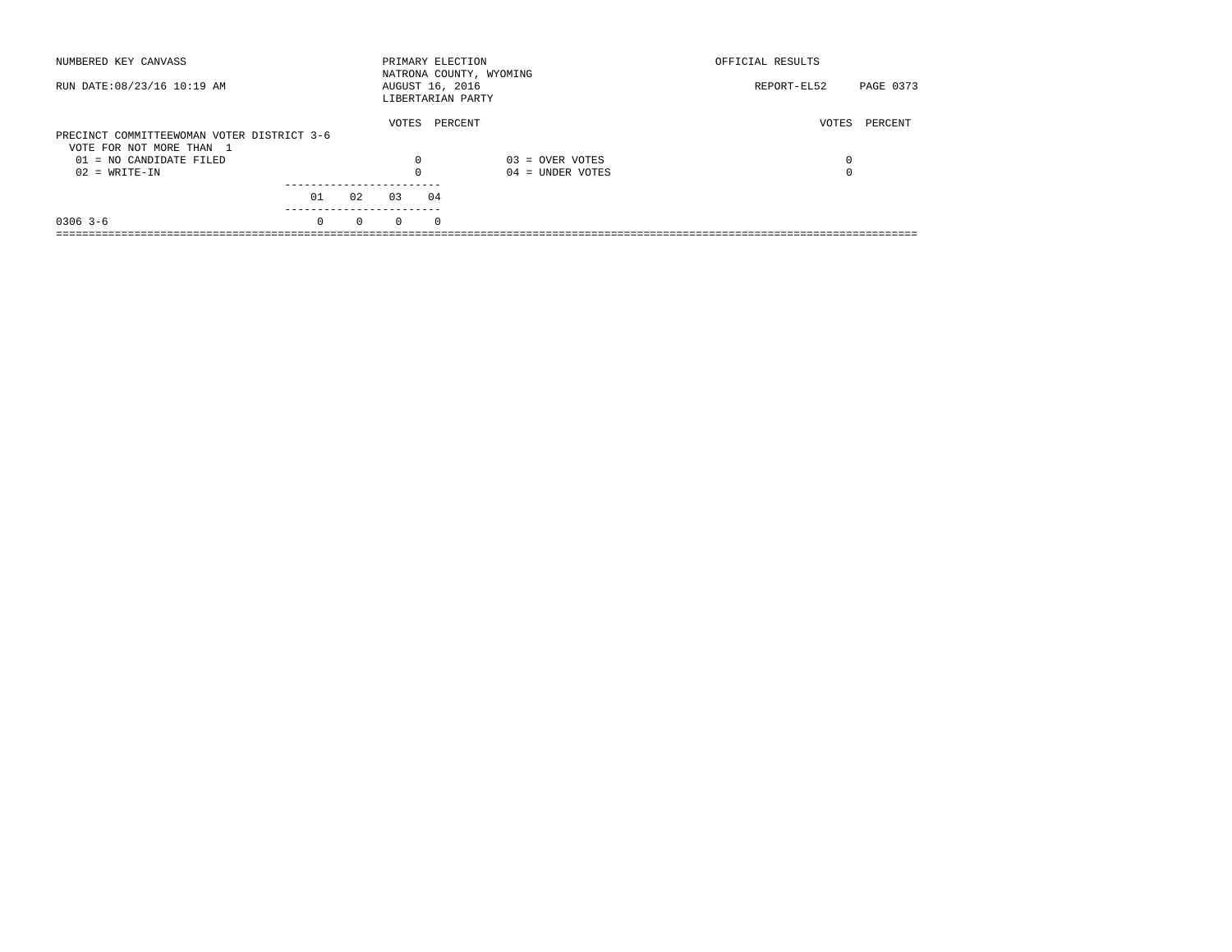| NUMBERED KEY CANVASS                       |          |          |          | PRIMARY ELECTION<br>NATRONA COUNTY, WYOMING |                    | OFFICIAL RESULTS |           |
|--------------------------------------------|----------|----------|----------|---------------------------------------------|--------------------|------------------|-----------|
| RUN DATE: 08/23/16 10:19 AM                |          |          |          | AUGUST 16, 2016<br>LIBERTARIAN PARTY        |                    | REPORT-EL52      | PAGE 0373 |
|                                            |          |          | VOTES    | PERCENT                                     |                    | VOTES            | PERCENT   |
| PRECINCT COMMITTEEWOMAN VOTER DISTRICT 3-6 |          |          |          |                                             |                    |                  |           |
| VOTE FOR NOT MORE THAN 1                   |          |          |          |                                             |                    |                  |           |
| $01 = NO$ CANDIDATE FILED                  |          |          | 0        |                                             | $03 =$ OVER VOTES  | 0                |           |
| $02 = WRITE-IN$                            |          |          | $\Omega$ |                                             | $04 =$ UNDER VOTES | 0                |           |
|                                            |          |          |          |                                             |                    |                  |           |
|                                            | 01       | 02       | 0.3      | 04                                          |                    |                  |           |
| $0306$ 3-6                                 | $\Omega$ | $\Omega$ | $\Omega$ | $\Omega$                                    |                    |                  |           |
|                                            |          |          |          |                                             |                    |                  |           |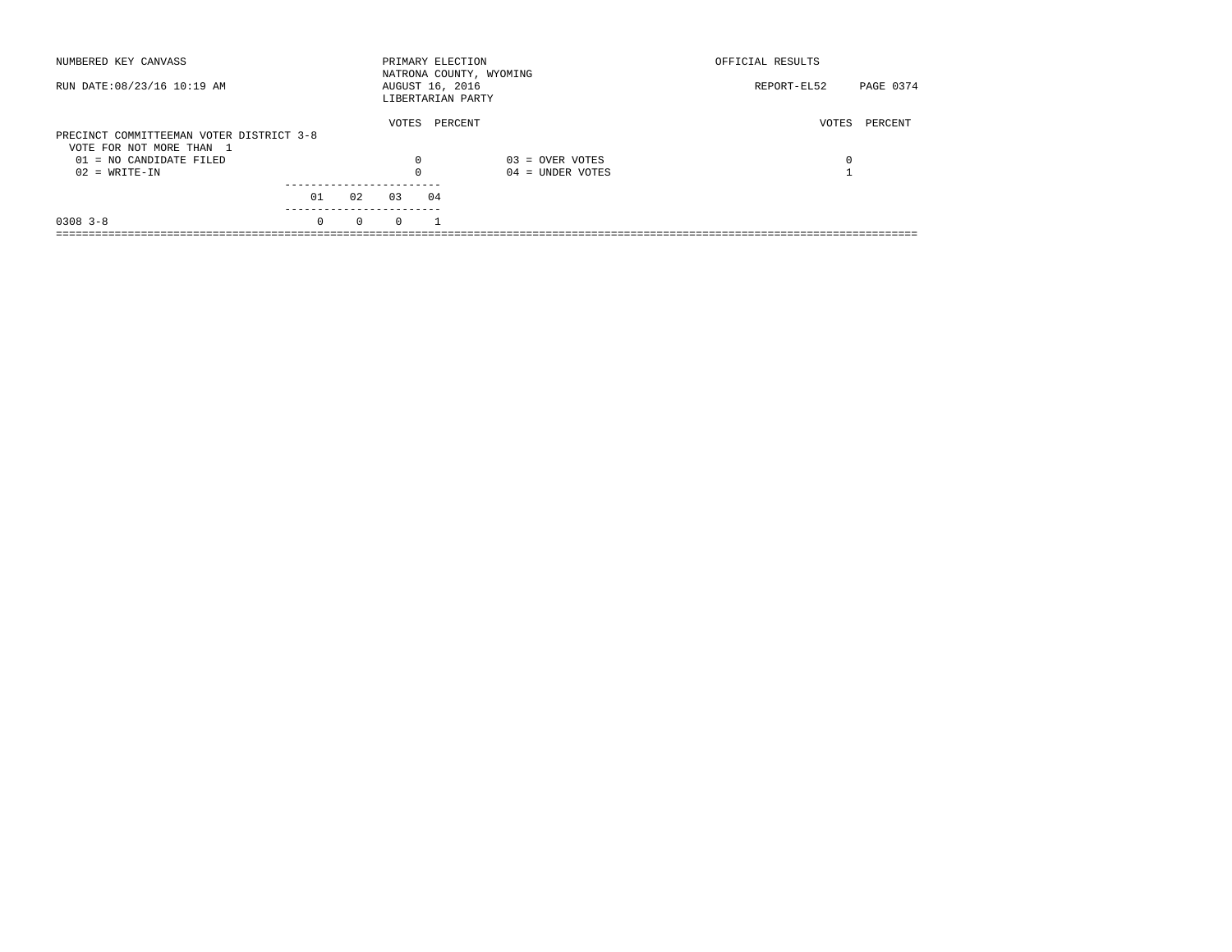| NUMBERED KEY CANVASS                                                 |          |          |          | PRIMARY ELECTION<br>NATRONA COUNTY, WYOMING |                    | OFFICIAL RESULTS |           |
|----------------------------------------------------------------------|----------|----------|----------|---------------------------------------------|--------------------|------------------|-----------|
| RUN DATE: 08/23/16 10:19 AM                                          |          |          |          | AUGUST 16, 2016<br>LIBERTARIAN PARTY        |                    | REPORT-EL52      | PAGE 0374 |
| PRECINCT COMMITTEEMAN VOTER DISTRICT 3-8<br>VOTE FOR NOT MORE THAN 1 |          |          | VOTES    | PERCENT                                     |                    | VOTES            | PERCENT   |
| $01 = NO$ CANDIDATE FILED                                            |          |          | 0        |                                             | $03 =$ OVER VOTES  | 0                |           |
| $02 = WRITE-IN$                                                      |          |          | $\Omega$ |                                             | $04 =$ UNDER VOTES |                  |           |
|                                                                      | 01       | 02       | 03       | 04                                          |                    |                  |           |
| $0308$ 3-8                                                           | $\Omega$ | $\Omega$ | $\Omega$ |                                             |                    |                  |           |
|                                                                      |          |          |          |                                             |                    |                  |           |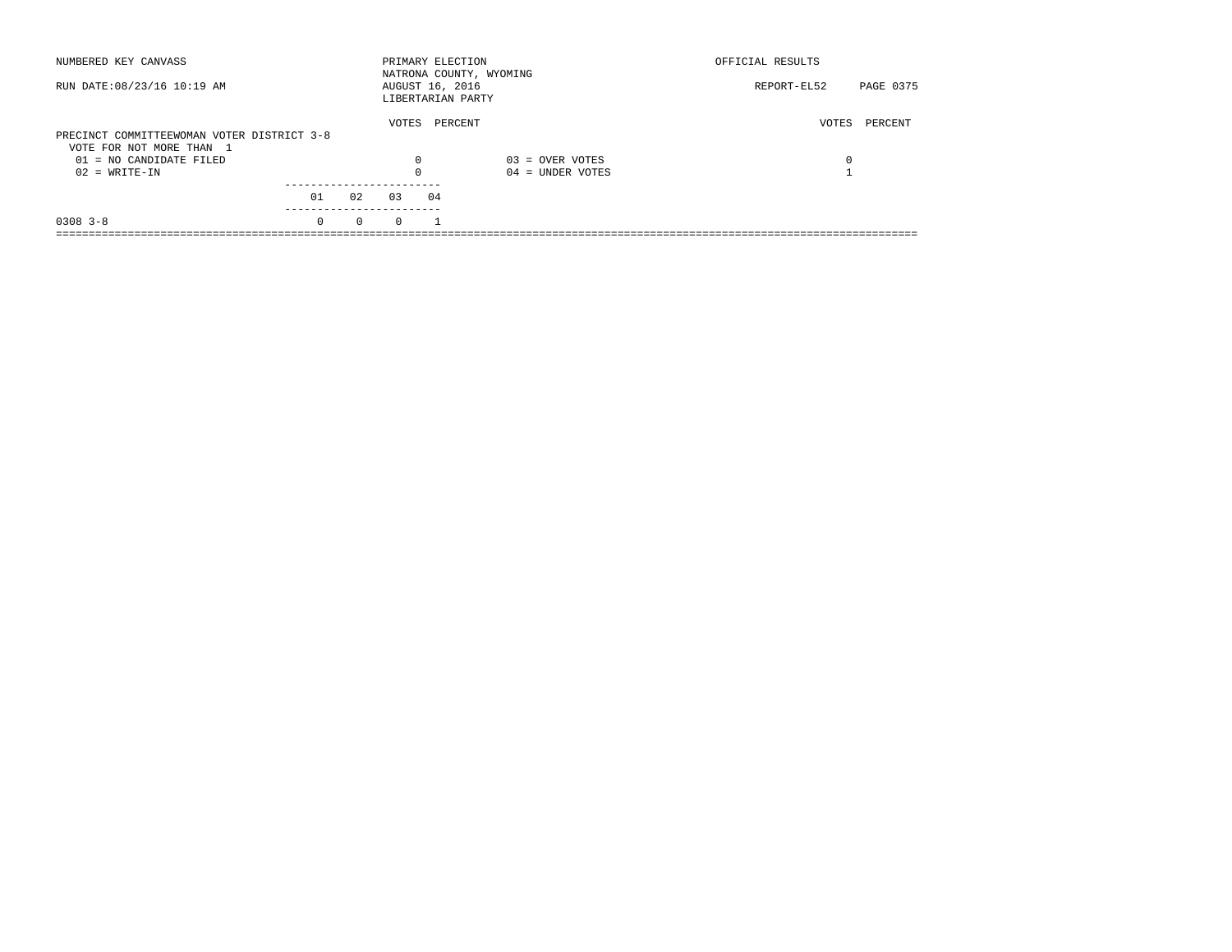| NUMBERED KEY CANVASS                       |          |          |          | PRIMARY ELECTION                     | NATRONA COUNTY, WYOMING | OFFICIAL RESULTS         |  |
|--------------------------------------------|----------|----------|----------|--------------------------------------|-------------------------|--------------------------|--|
| RUN DATE: 08/23/16 10:19 AM                |          |          |          | AUGUST 16, 2016<br>LIBERTARIAN PARTY |                         | PAGE 0375<br>REPORT-EL52 |  |
|                                            |          |          | VOTES    | PERCENT                              |                         | PERCENT<br>VOTES         |  |
| PRECINCT COMMITTEEWOMAN VOTER DISTRICT 3-8 |          |          |          |                                      |                         |                          |  |
| VOTE FOR NOT MORE THAN 1                   |          |          |          |                                      |                         |                          |  |
| $01 = NO$ CANDIDATE FILED                  |          |          | 0        |                                      | $03 =$ OVER VOTES       | 0                        |  |
| $02 = WRITE-IN$                            |          |          | $\Omega$ |                                      | $04 =$ UNDER VOTES      |                          |  |
|                                            |          |          |          |                                      |                         |                          |  |
|                                            | 01       | 02       | 03       | 04                                   |                         |                          |  |
| $0308$ 3-8                                 | $\Omega$ | $\Omega$ | $\Omega$ |                                      |                         |                          |  |
|                                            |          |          |          |                                      |                         |                          |  |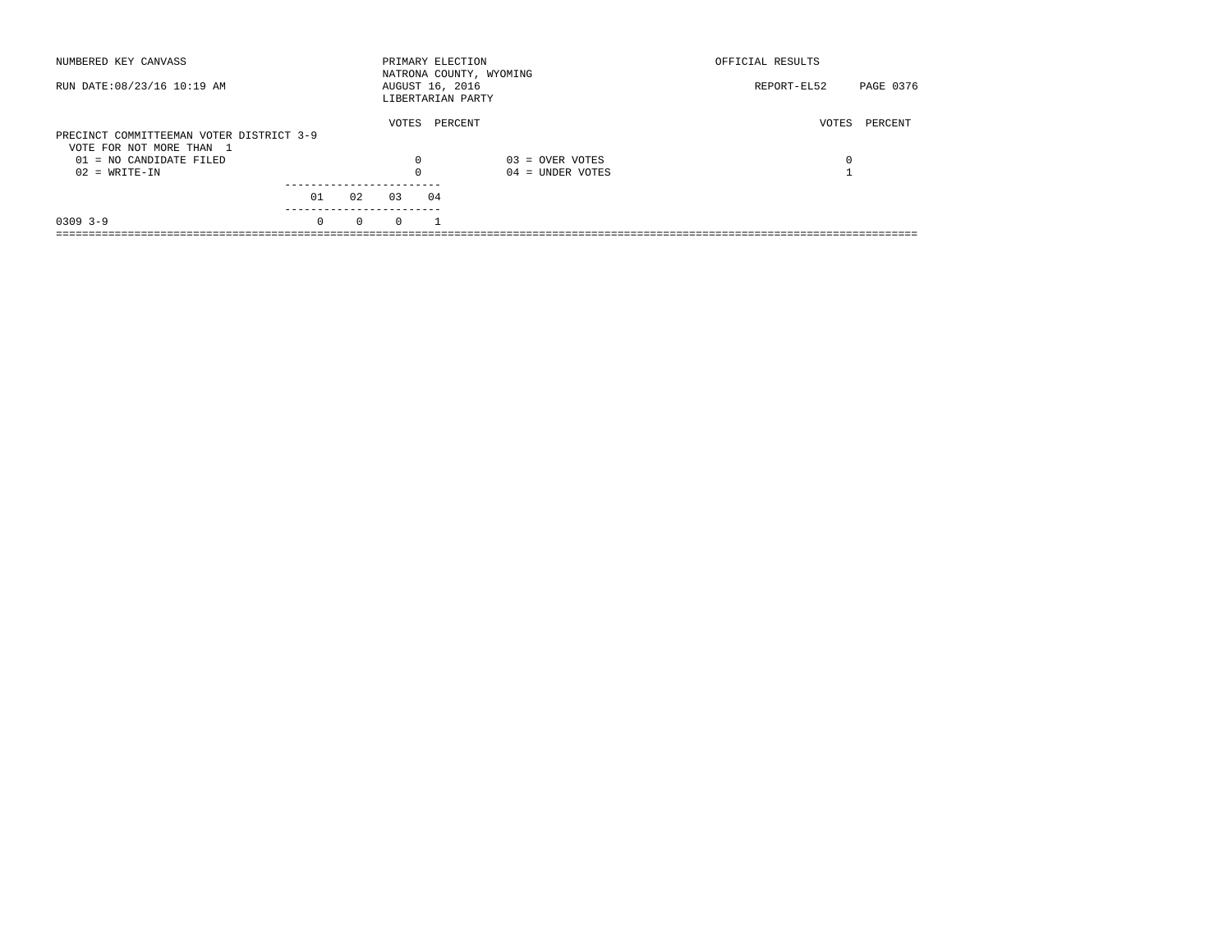| NUMBERED KEY CANVASS                                |          |          |          | PRIMARY ELECTION<br>NATRONA COUNTY, WYOMING |                    | OFFICIAL RESULTS |           |
|-----------------------------------------------------|----------|----------|----------|---------------------------------------------|--------------------|------------------|-----------|
| RUN DATE: 08/23/16 10:19 AM                         |          |          |          | AUGUST 16, 2016<br>LIBERTARIAN PARTY        |                    | REPORT-EL52      | PAGE 0376 |
| PRECINCT COMMITTEEMAN VOTER DISTRICT 3-9            |          |          | VOTES    | PERCENT                                     |                    | VOTES            | PERCENT   |
| VOTE FOR NOT MORE THAN 1<br>01 = NO CANDIDATE FILED |          |          | 0        |                                             | $03 =$ OVER VOTES  | 0                |           |
| $02 = WRITE-IN$                                     |          |          | $\Omega$ |                                             | $04 =$ UNDER VOTES |                  |           |
|                                                     | 01       | 02       | 03       | 04                                          |                    |                  |           |
| $0309$ 3-9                                          | $\Omega$ | $\Omega$ | $\Omega$ |                                             |                    |                  |           |
|                                                     |          |          |          |                                             |                    |                  |           |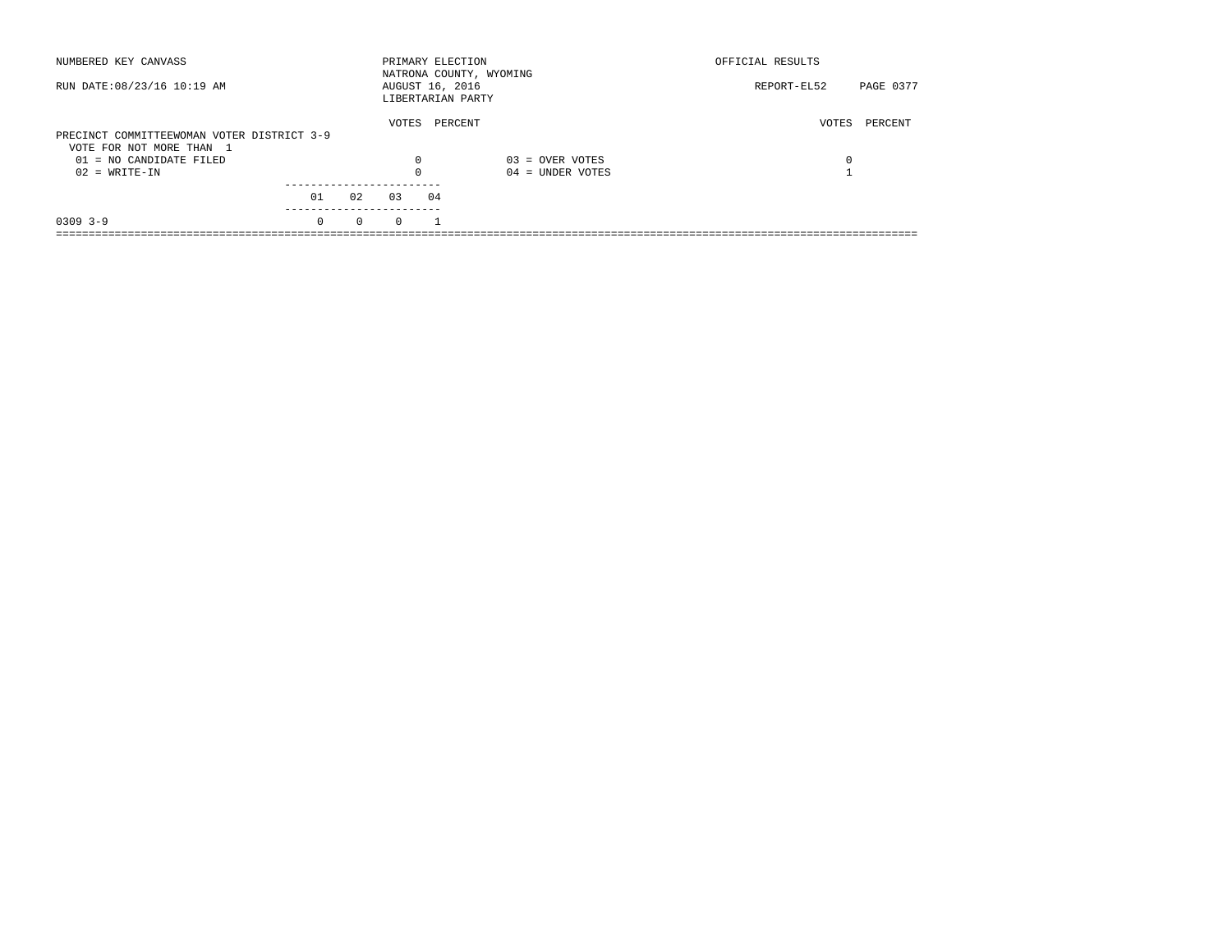| NUMBERED KEY CANVASS                       |          |          | PRIMARY ELECTION                     |    | NATRONA COUNTY, WYOMING | OFFICIAL RESULTS |           |
|--------------------------------------------|----------|----------|--------------------------------------|----|-------------------------|------------------|-----------|
| RUN DATE: 08/23/16 10:19 AM                |          |          | AUGUST 16, 2016<br>LIBERTARIAN PARTY |    |                         | REPORT-EL52      | PAGE 0377 |
|                                            |          |          | VOTES                                |    | PERCENT                 | VOTES            | PERCENT   |
| PRECINCT COMMITTEEWOMAN VOTER DISTRICT 3-9 |          |          |                                      |    |                         |                  |           |
| VOTE FOR NOT MORE THAN 1                   |          |          |                                      |    |                         |                  |           |
| 01 = NO CANDIDATE FILED                    |          |          | 0                                    |    | $03 =$ OVER VOTES       | 0                |           |
| $02 = WRITE-IN$                            |          |          | $\Omega$                             |    | $04 =$ UNDER VOTES      |                  |           |
|                                            |          |          |                                      |    |                         |                  |           |
|                                            | 01       | 02       | 0.3                                  | 04 |                         |                  |           |
| $0309$ 3-9                                 | $\Omega$ | $\Omega$ | $\Omega$                             |    |                         |                  |           |
|                                            |          |          |                                      |    |                         |                  |           |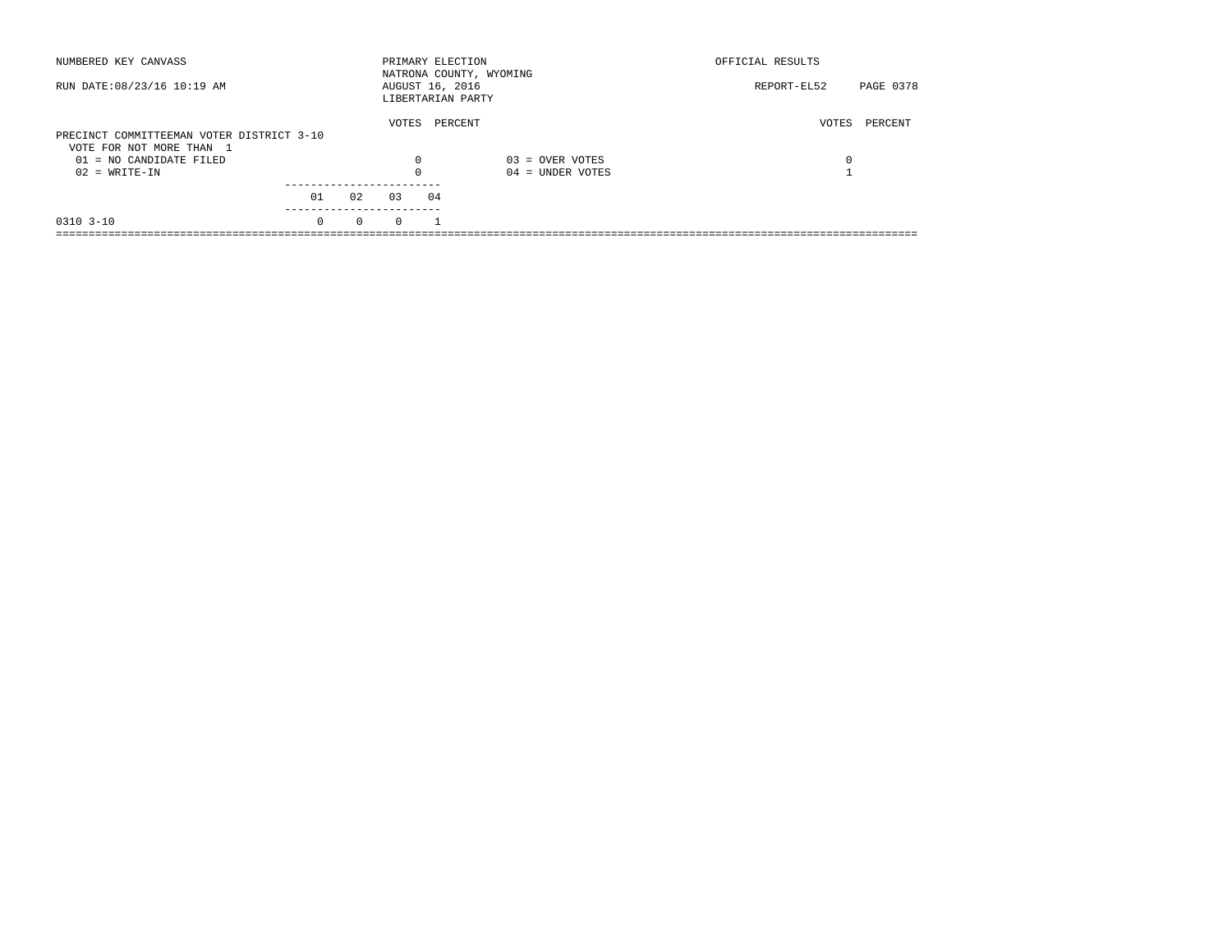| NUMBERED KEY CANVASS                                                  |          |          | PRIMARY ELECTION                     |    | NATRONA COUNTY, WYOMING | OFFICIAL RESULTS |           |
|-----------------------------------------------------------------------|----------|----------|--------------------------------------|----|-------------------------|------------------|-----------|
| RUN DATE: 08/23/16 10:19 AM                                           |          |          | AUGUST 16, 2016<br>LIBERTARIAN PARTY |    |                         | REPORT-EL52      | PAGE 0378 |
| PRECINCT COMMITTEEMAN VOTER DISTRICT 3-10<br>VOTE FOR NOT MORE THAN 1 |          |          | VOTES                                |    | PERCENT                 | VOTES            | PERCENT   |
| $01 = NO CANDIDATE FILED$                                             |          |          | $\Omega$                             |    | $03 =$ OVER VOTES       | 0                |           |
| $02 = WRITE-IN$                                                       |          |          |                                      |    | $04 =$ UNDER VOTES      |                  |           |
|                                                                       | 01       | 02       | 03                                   | 04 |                         |                  |           |
| $0310$ $3-10$                                                         | $\Omega$ | $\Omega$ | $\Omega$                             |    |                         |                  |           |
|                                                                       |          |          |                                      |    |                         |                  |           |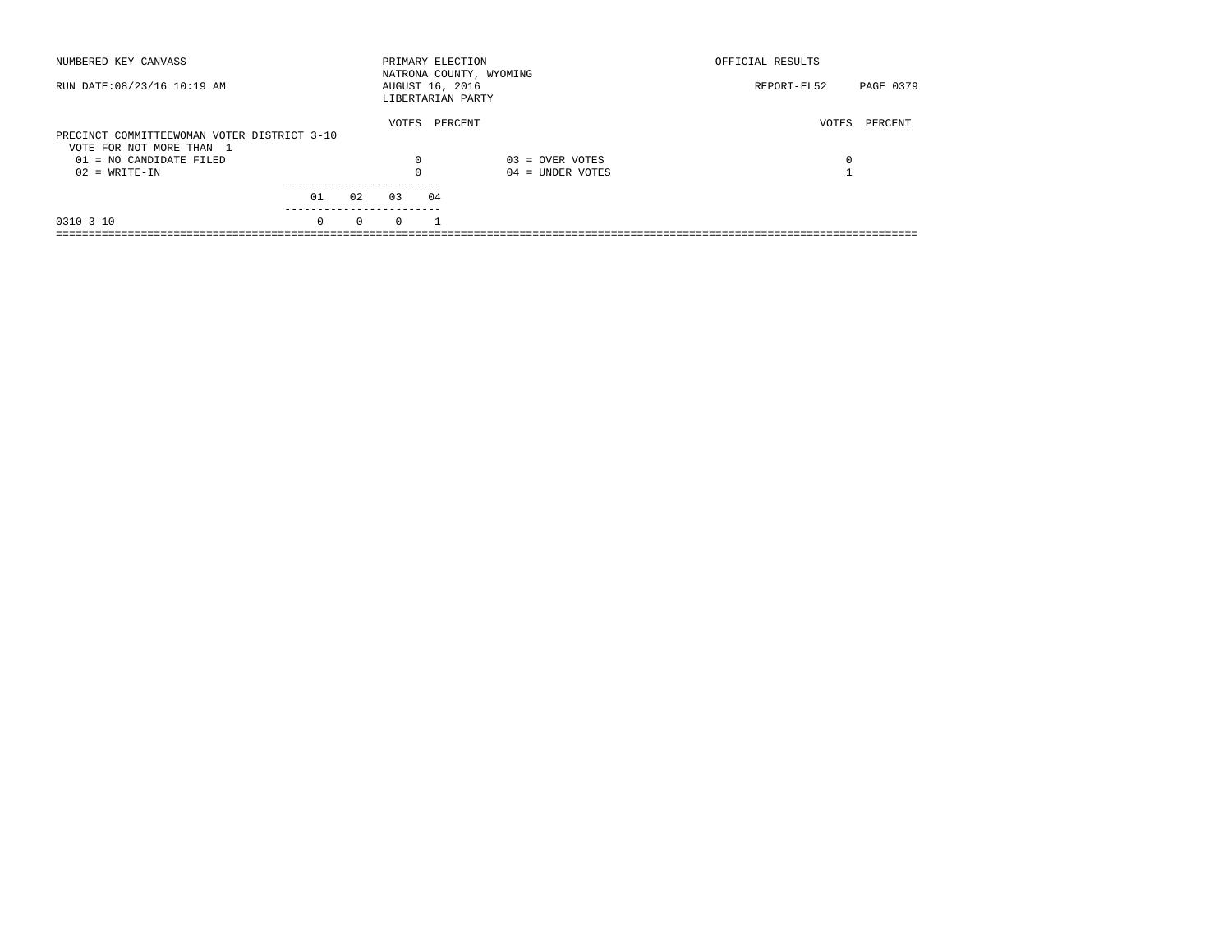| NUMBERED KEY CANVASS                        |          |          | PRIMARY ELECTION                     |         | NATRONA COUNTY, WYOMING | OFFICIAL RESULTS |           |
|---------------------------------------------|----------|----------|--------------------------------------|---------|-------------------------|------------------|-----------|
| RUN DATE: 08/23/16 10:19 AM                 |          |          | AUGUST 16, 2016<br>LIBERTARIAN PARTY |         |                         | REPORT-EL52      | PAGE 0379 |
|                                             |          |          | VOTES                                | PERCENT |                         | VOTES            | PERCENT   |
| PRECINCT COMMITTEEWOMAN VOTER DISTRICT 3-10 |          |          |                                      |         |                         |                  |           |
| VOTE FOR NOT MORE THAN 1                    |          |          |                                      |         |                         |                  |           |
| $01 = NO$ CANDIDATE FILED                   |          |          | $\Omega$                             |         | $03 =$ OVER VOTES       | 0                |           |
| $02 = WRITE-IN$                             |          |          |                                      |         | $04 =$ UNDER VOTES      |                  |           |
|                                             |          |          |                                      |         |                         |                  |           |
|                                             | 01       | 02       | 03                                   | 04      |                         |                  |           |
| $0310$ $3-10$                               | $\Omega$ | $\Omega$ | $\Omega$                             |         |                         |                  |           |
|                                             |          |          |                                      |         |                         |                  |           |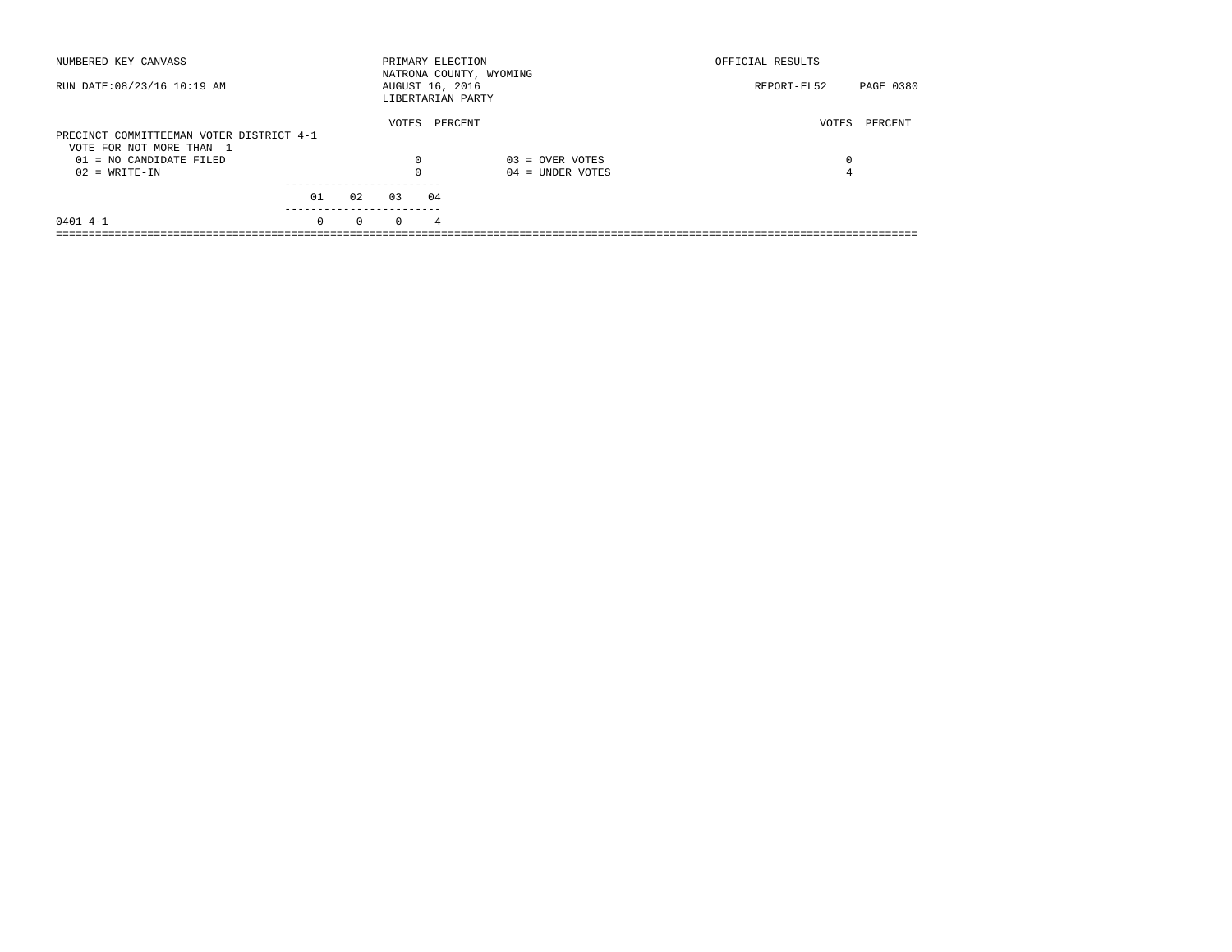| NUMBERED KEY CANVASS                                |          |          |          | PRIMARY ELECTION                     | NATRONA COUNTY, WYOMING | OFFICIAL RESULTS |           |
|-----------------------------------------------------|----------|----------|----------|--------------------------------------|-------------------------|------------------|-----------|
| RUN DATE: 08/23/16 10:19 AM                         |          |          |          | AUGUST 16, 2016<br>LIBERTARIAN PARTY |                         | REPORT-EL52      | PAGE 0380 |
| PRECINCT COMMITTEEMAN VOTER DISTRICT 4-1            |          |          | VOTES    | PERCENT                              |                         | VOTES            | PERCENT   |
| VOTE FOR NOT MORE THAN 1<br>01 = NO CANDIDATE FILED |          |          | 0        |                                      | $03 =$ OVER VOTES       | 0                |           |
| $02 = WRITE-IN$                                     |          |          | $\Omega$ |                                      | $04 =$ UNDER VOTES      | 4                |           |
|                                                     | 01       | 02       | 0.3      | 04                                   |                         |                  |           |
| $0401$ 4-1                                          | $\Omega$ | $\Omega$ | $\Omega$ | 4                                    |                         |                  |           |
|                                                     |          |          |          |                                      |                         |                  |           |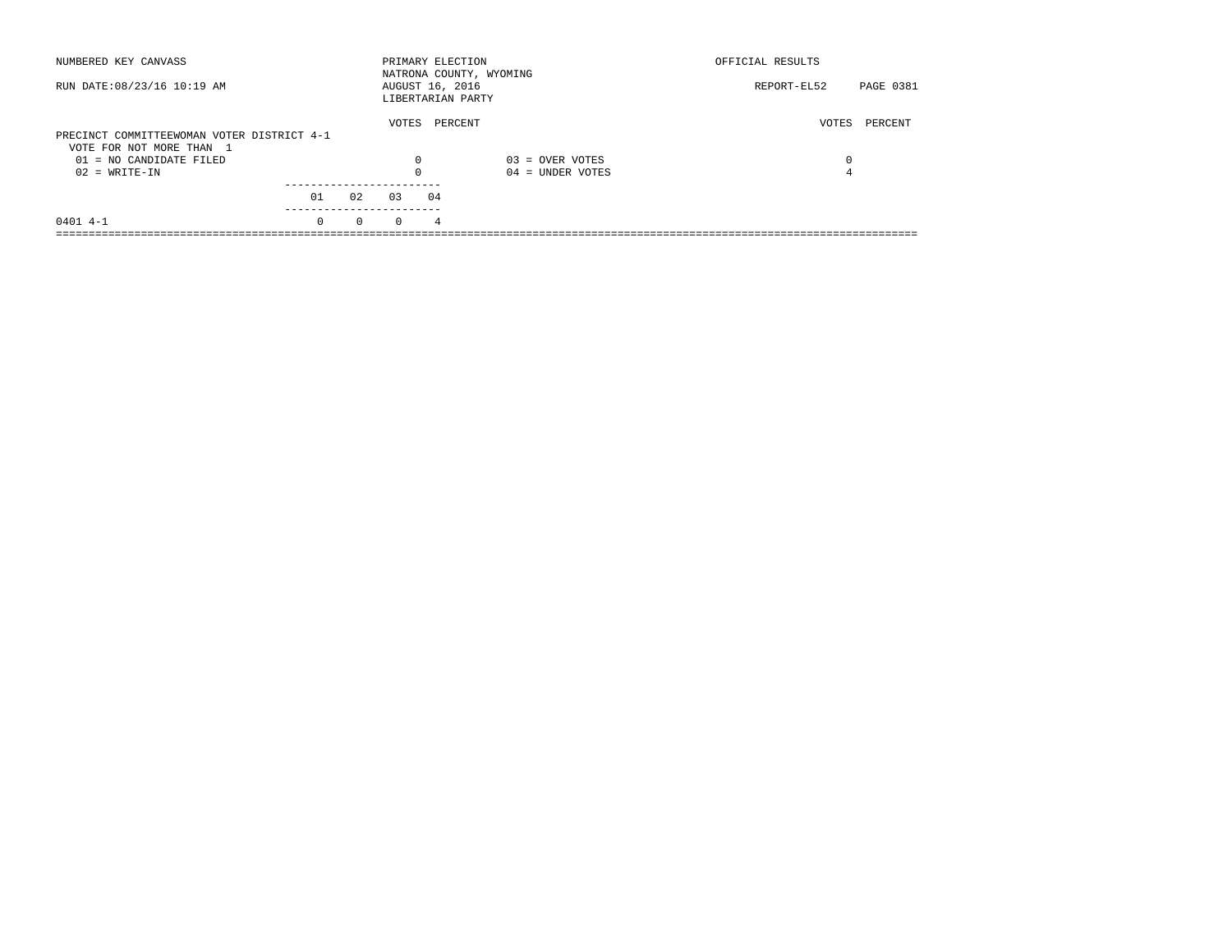| NUMBERED KEY CANVASS                       |          |          | PRIMARY ELECTION |    | NATRONA COUNTY, WYOMING | OFFICIAL RESULTS |           |
|--------------------------------------------|----------|----------|------------------|----|-------------------------|------------------|-----------|
| RUN DATE: 08/23/16 10:19 AM                |          |          | AUGUST 16, 2016  |    | LIBERTARIAN PARTY       | REPORT-EL52      | PAGE 0381 |
|                                            |          |          | VOTES            |    | PERCENT                 | VOTES            | PERCENT   |
| PRECINCT COMMITTEEWOMAN VOTER DISTRICT 4-1 |          |          |                  |    |                         |                  |           |
| VOTE FOR NOT MORE THAN 1                   |          |          |                  |    |                         |                  |           |
| 01 = NO CANDIDATE FILED                    |          |          | 0                |    | $03 =$ OVER VOTES       | 0                |           |
| $02 = WRITE-IN$                            |          |          | $\Omega$         |    | $04 =$ UNDER VOTES      | 4                |           |
|                                            |          |          |                  |    |                         |                  |           |
|                                            | 01       | 02       | 0.3              | 04 |                         |                  |           |
| $0401$ 4-1                                 | $\Omega$ | $\Omega$ | $\Omega$         | 4  |                         |                  |           |
|                                            |          |          |                  |    |                         |                  |           |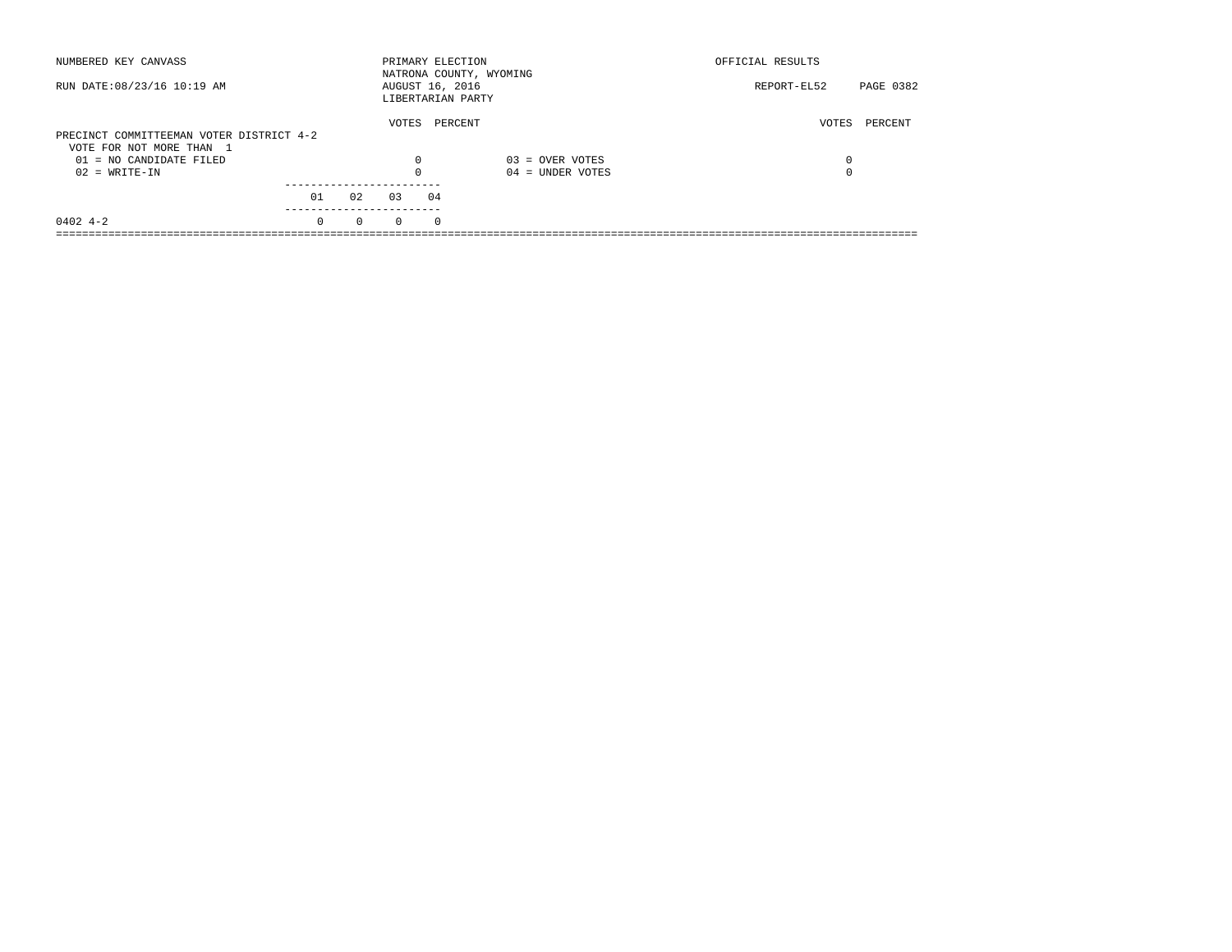| NUMBERED KEY CANVASS                                                 |          |          |          | PRIMARY ELECTION<br>NATRONA COUNTY, WYOMING |                    | OFFICIAL RESULTS |           |
|----------------------------------------------------------------------|----------|----------|----------|---------------------------------------------|--------------------|------------------|-----------|
| RUN DATE: 08/23/16 10:19 AM                                          |          |          |          | AUGUST 16, 2016<br>LIBERTARIAN PARTY        |                    | REPORT-EL52      | PAGE 0382 |
| PRECINCT COMMITTEEMAN VOTER DISTRICT 4-2<br>VOTE FOR NOT MORE THAN 1 |          |          | VOTES    | PERCENT                                     |                    | VOTES            | PERCENT   |
| 01 = NO CANDIDATE FILED                                              |          |          | 0        |                                             | $03 =$ OVER VOTES  | 0                |           |
| $02 = WRITE-IN$                                                      |          |          | $\Omega$ |                                             | $04 =$ UNDER VOTES | $\Omega$         |           |
|                                                                      | 01       | 02       | 03       | 04                                          |                    |                  |           |
| $0402$ 4-2                                                           | $\Omega$ | $\Omega$ | $\Omega$ | $\Omega$                                    |                    |                  |           |
|                                                                      |          |          |          |                                             |                    |                  |           |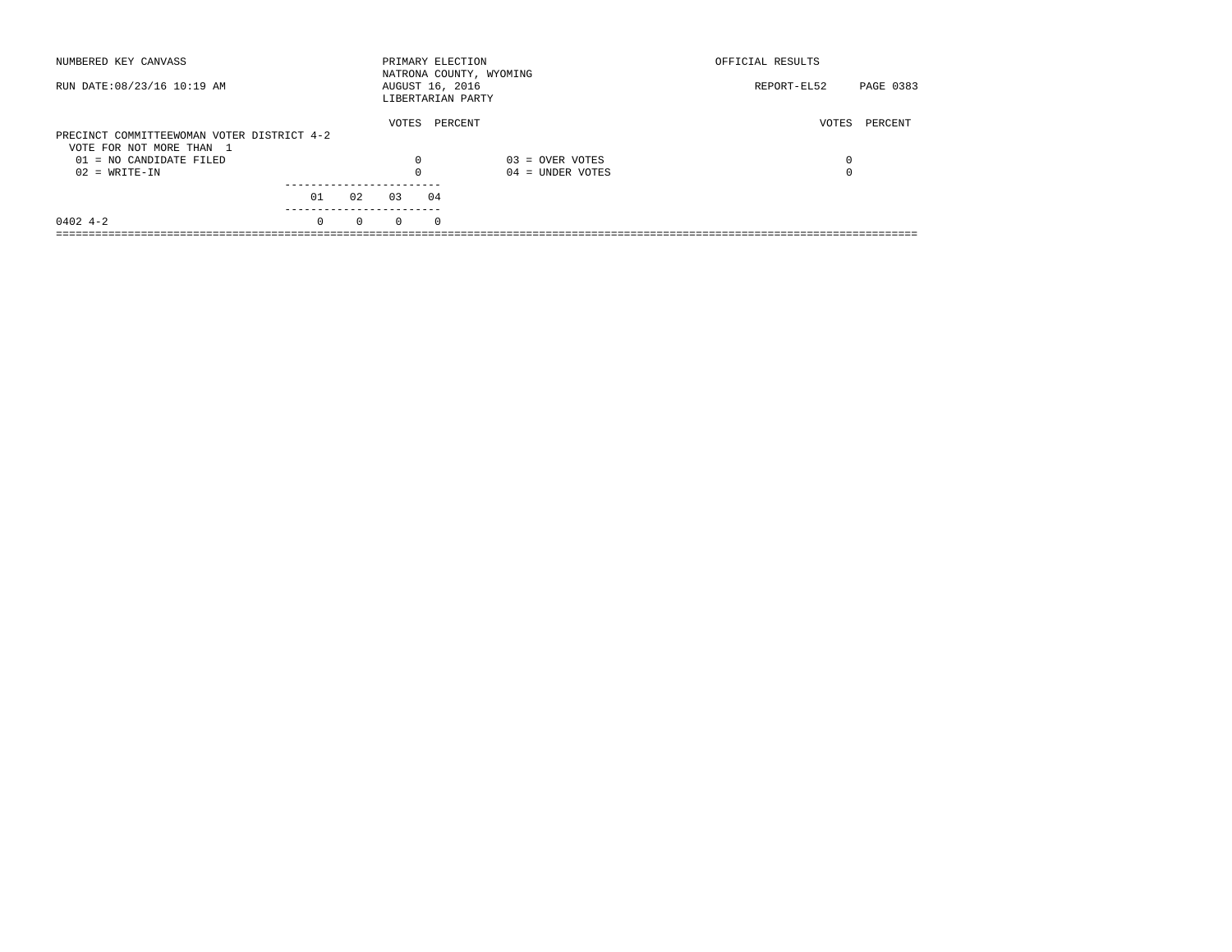| NUMBERED KEY CANVASS                       |          |          | PRIMARY ELECTION                     |          | NATRONA COUNTY, WYOMING | OFFICIAL RESULTS         |
|--------------------------------------------|----------|----------|--------------------------------------|----------|-------------------------|--------------------------|
| RUN DATE: 08/23/16 10:19 AM                |          |          | AUGUST 16, 2016<br>LIBERTARIAN PARTY |          |                         | PAGE 0383<br>REPORT-EL52 |
| PRECINCT COMMITTEEWOMAN VOTER DISTRICT 4-2 |          |          | VOTES                                | PERCENT  |                         | VOTES<br>PERCENT         |
| VOTE FOR NOT MORE THAN 1                   |          |          |                                      |          |                         |                          |
| 01 = NO CANDIDATE FILED                    |          |          | 0                                    |          | $03 =$ OVER VOTES       | 0                        |
| $02 = WRITE-IN$                            |          |          |                                      |          | $04 =$ UNDER VOTES      | $\Omega$                 |
|                                            |          |          |                                      |          |                         |                          |
|                                            | 01       | 02       | 03                                   | 04       |                         |                          |
| $0402$ 4-2                                 | $\Omega$ | $\Omega$ | $\Omega$                             | $\Omega$ |                         |                          |
|                                            |          |          |                                      |          |                         |                          |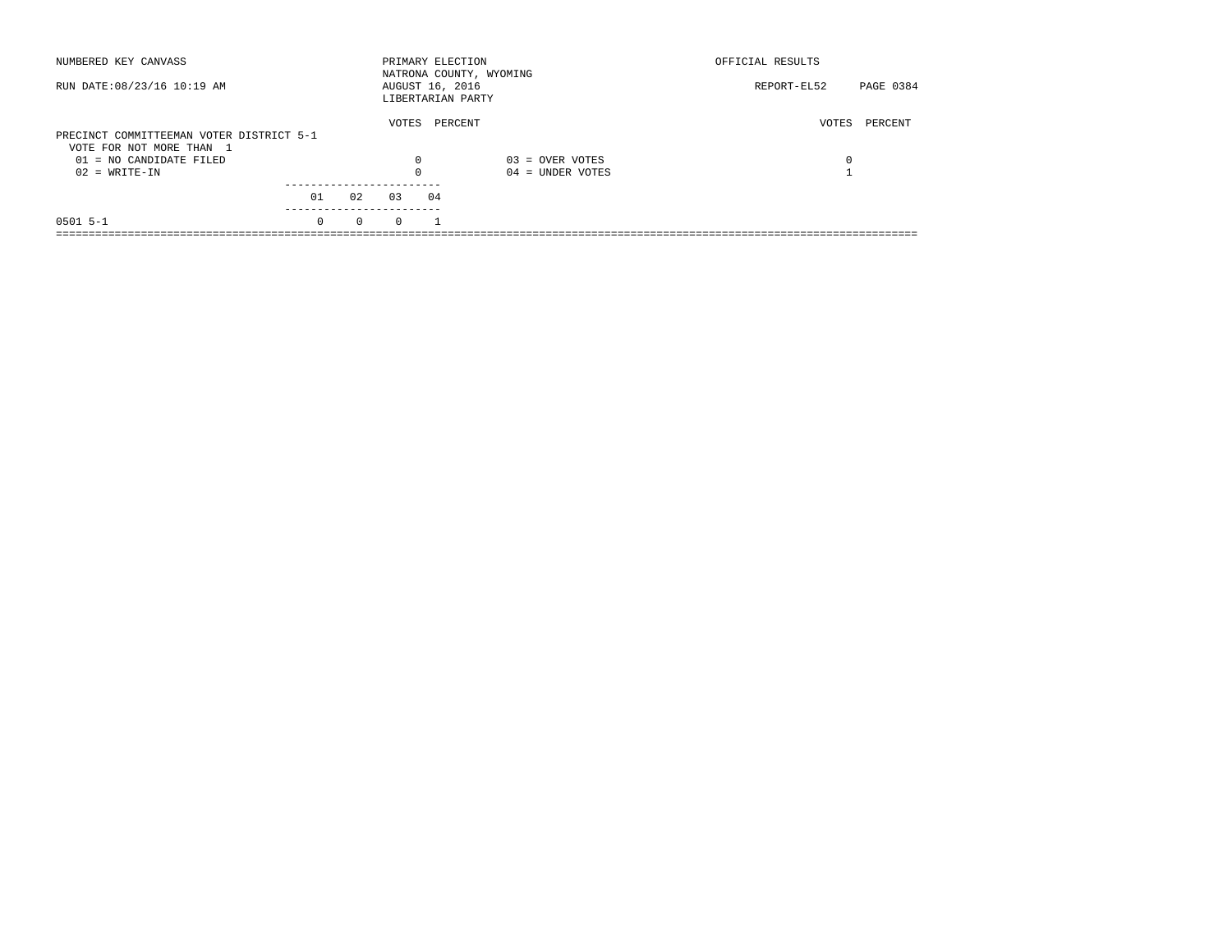| NUMBERED KEY CANVASS                                                 |          |          | PRIMARY ELECTION |    | NATRONA COUNTY, WYOMING | OFFICIAL RESULTS |           |
|----------------------------------------------------------------------|----------|----------|------------------|----|-------------------------|------------------|-----------|
| RUN DATE: 08/23/16 10:19 AM                                          |          |          | AUGUST 16, 2016  |    | LIBERTARIAN PARTY       | REPORT-EL52      | PAGE 0384 |
| PRECINCT COMMITTEEMAN VOTER DISTRICT 5-1<br>VOTE FOR NOT MORE THAN 1 |          |          | VOTES            |    | PERCENT                 | VOTES            | PERCENT   |
| $01 = NO$ CANDIDATE FILED                                            |          |          | $\Omega$         |    | $03 =$ OVER VOTES       | 0                |           |
| $02 = WRITE-IN$                                                      |          |          |                  |    | $04 =$ UNDER VOTES      |                  |           |
|                                                                      | 01       | 02       | 0.3              | 04 |                         |                  |           |
| $0501$ 5-1                                                           | $\Omega$ | $\Omega$ | $\Omega$         |    |                         |                  |           |
|                                                                      |          |          |                  |    |                         |                  |           |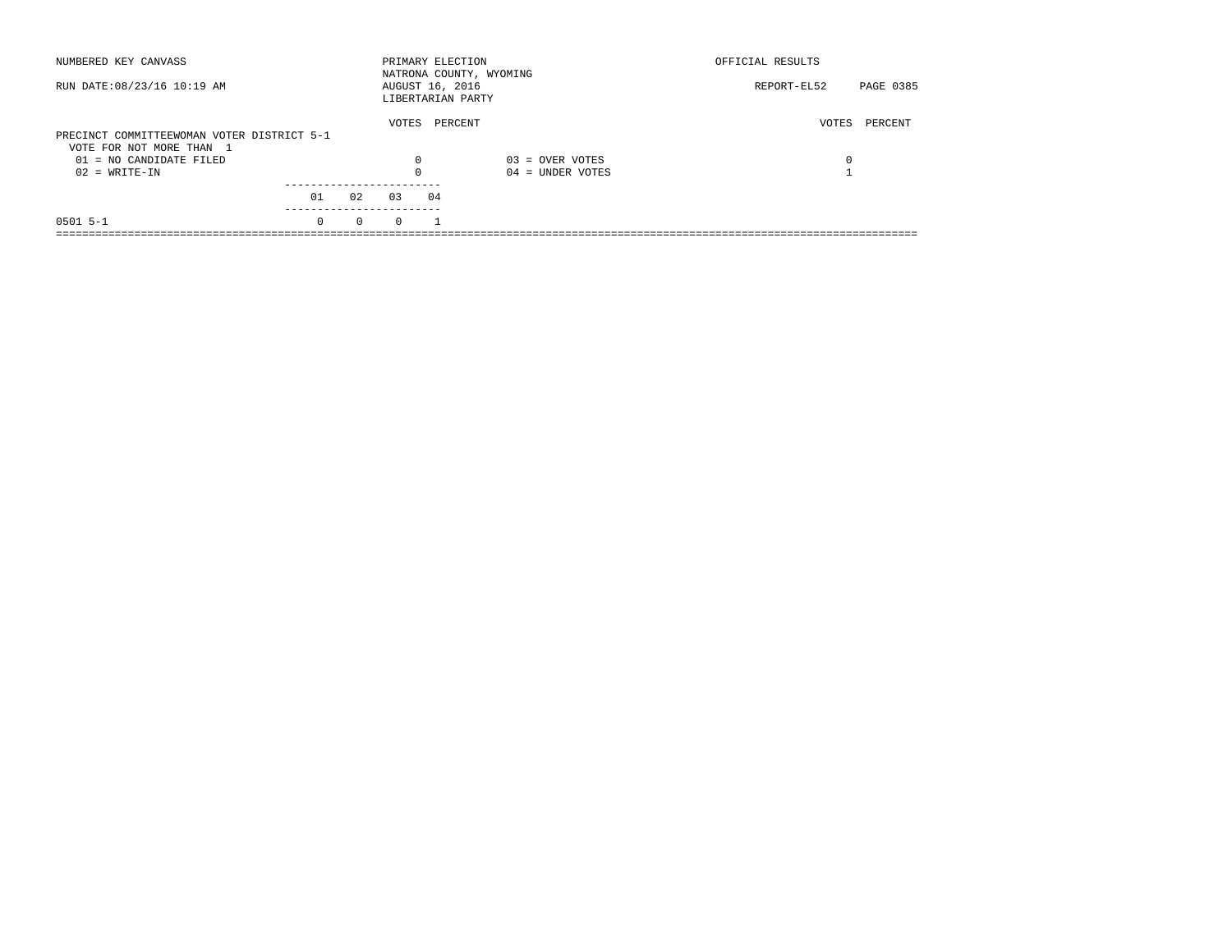| NUMBERED KEY CANVASS                       |          |          | PRIMARY ELECTION                     |         | NATRONA COUNTY, WYOMING | OFFICIAL RESULTS |           |
|--------------------------------------------|----------|----------|--------------------------------------|---------|-------------------------|------------------|-----------|
| RUN DATE: 08/23/16 10:19 AM                |          |          | AUGUST 16, 2016<br>LIBERTARIAN PARTY |         |                         | REPORT-EL52      | PAGE 0385 |
|                                            |          |          | VOTES                                | PERCENT |                         | VOTES            | PERCENT   |
| PRECINCT COMMITTEEWOMAN VOTER DISTRICT 5-1 |          |          |                                      |         |                         |                  |           |
| VOTE FOR NOT MORE THAN 1                   |          |          |                                      |         |                         |                  |           |
| 01 = NO CANDIDATE FILED                    |          |          | 0                                    |         | $03 =$ OVER VOTES       | 0                |           |
| $02 = WRITE-IN$                            |          |          | $\Omega$                             |         | $04 =$ UNDER VOTES      |                  |           |
|                                            |          |          |                                      |         |                         |                  |           |
|                                            | 01       | 02       | 0.3                                  | 04      |                         |                  |           |
| $0501$ 5-1                                 | $\Omega$ | $\Omega$ | $\Omega$                             |         |                         |                  |           |
|                                            |          |          |                                      |         |                         |                  |           |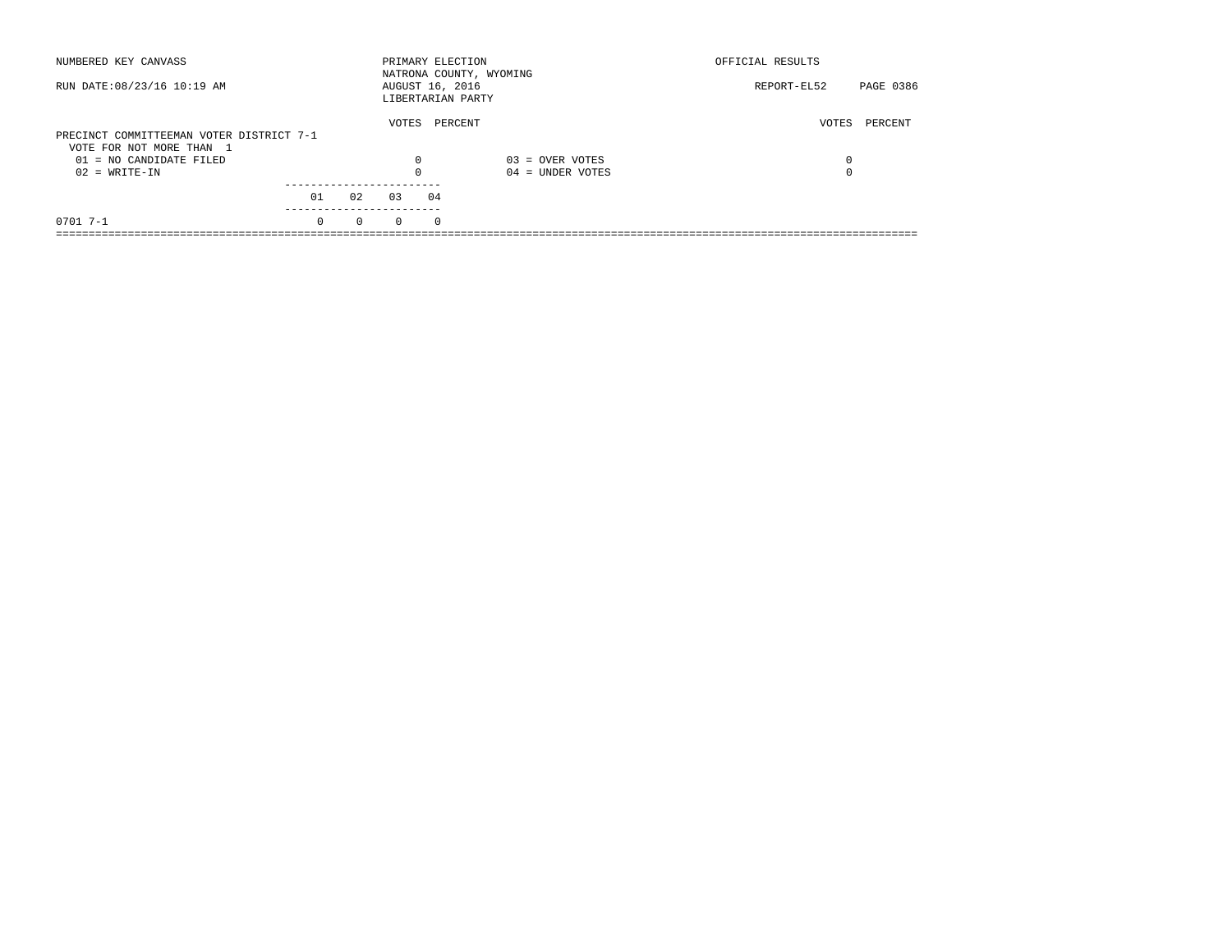| NUMBERED KEY CANVASS                                                 |          |          | PRIMARY ELECTION                     |            | NATRONA COUNTY, WYOMING | OFFICIAL RESULTS |           |
|----------------------------------------------------------------------|----------|----------|--------------------------------------|------------|-------------------------|------------------|-----------|
| RUN DATE: 08/23/16 10:19 AM                                          |          |          | AUGUST 16, 2016<br>LIBERTARIAN PARTY |            |                         | REPORT-EL52      | PAGE 0386 |
| PRECINCT COMMITTEEMAN VOTER DISTRICT 7-1<br>VOTE FOR NOT MORE THAN 1 |          |          | VOTES                                | PERCENT    |                         | VOTES            | PERCENT   |
| $01 = NO$ CANDIDATE FILED                                            |          |          | $\Omega$                             |            | $03 =$ OVER VOTES       | 0                |           |
| $02 = WRITE-IN$                                                      |          |          |                                      |            | $04 =$ UNDER VOTES      | $\Omega$         |           |
|                                                                      | 01       | 02       | 03                                   | 04         |                         |                  |           |
| $0701$ 7-1                                                           | $\Omega$ | $\Omega$ | $\Omega$                             | $^{\circ}$ |                         |                  |           |
|                                                                      |          |          |                                      |            |                         |                  |           |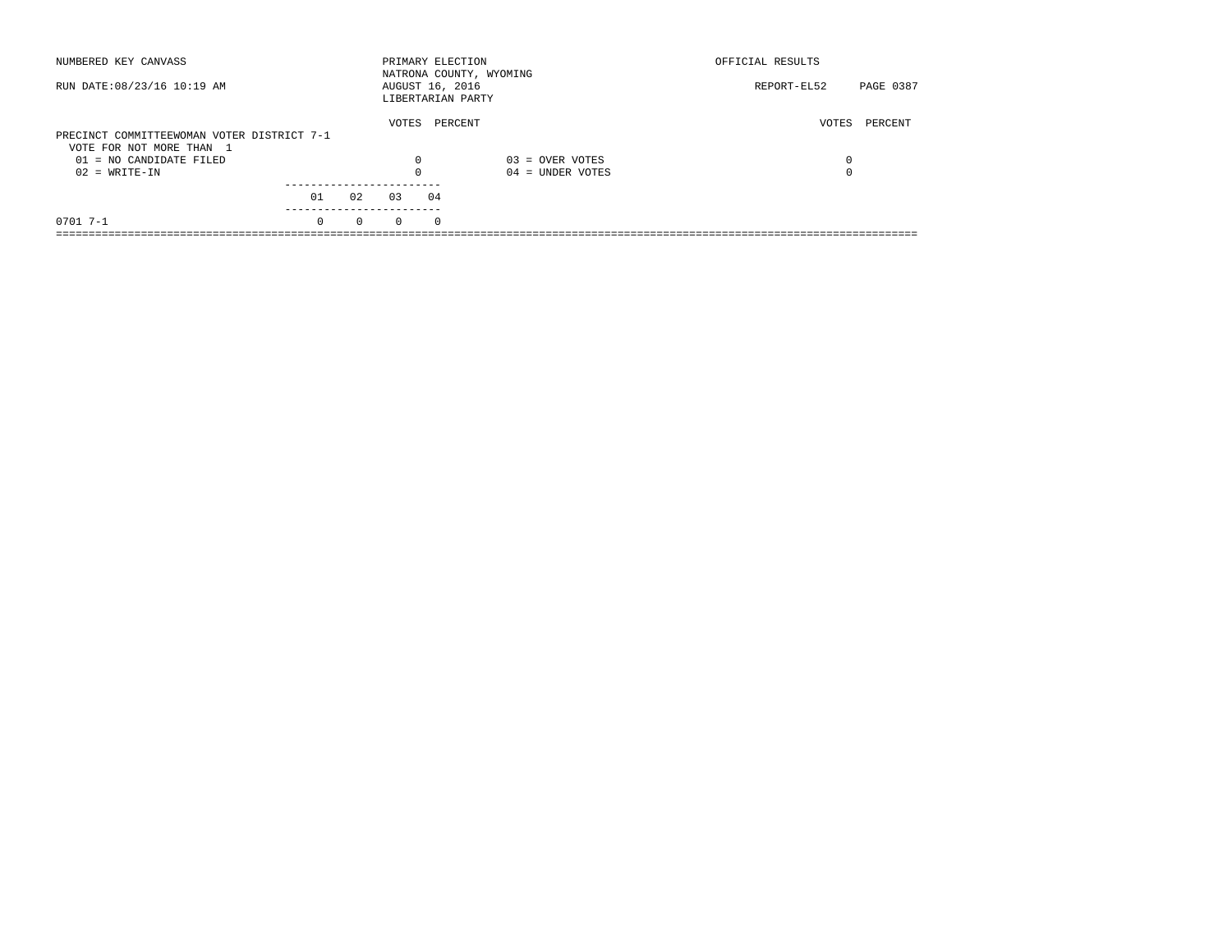| NUMBERED KEY CANVASS                       |          |          | PRIMARY ELECTION                     |            | NATRONA COUNTY, WYOMING | OFFICIAL RESULTS |           |
|--------------------------------------------|----------|----------|--------------------------------------|------------|-------------------------|------------------|-----------|
| RUN DATE: 08/23/16 10:19 AM                |          |          | AUGUST 16, 2016<br>LIBERTARIAN PARTY |            |                         | REPORT-EL52      | PAGE 0387 |
|                                            |          |          | VOTES                                | PERCENT    |                         | VOTES            | PERCENT   |
| PRECINCT COMMITTEEWOMAN VOTER DISTRICT 7-1 |          |          |                                      |            |                         |                  |           |
| VOTE FOR NOT MORE THAN 1                   |          |          |                                      |            |                         |                  |           |
| $01 = NO$ CANDIDATE FILED                  |          |          | $\Omega$                             |            | $03 =$ OVER VOTES       | 0                |           |
| $02 = WRITE-IN$                            |          |          |                                      |            | $04 =$ UNDER VOTES      | $\Omega$         |           |
|                                            |          |          |                                      |            |                         |                  |           |
|                                            | 01       | 02       | 03                                   | 04         |                         |                  |           |
| $0701$ 7-1                                 | $\Omega$ | $\Omega$ | $\Omega$                             | $^{\circ}$ |                         |                  |           |
|                                            |          |          |                                      |            |                         |                  |           |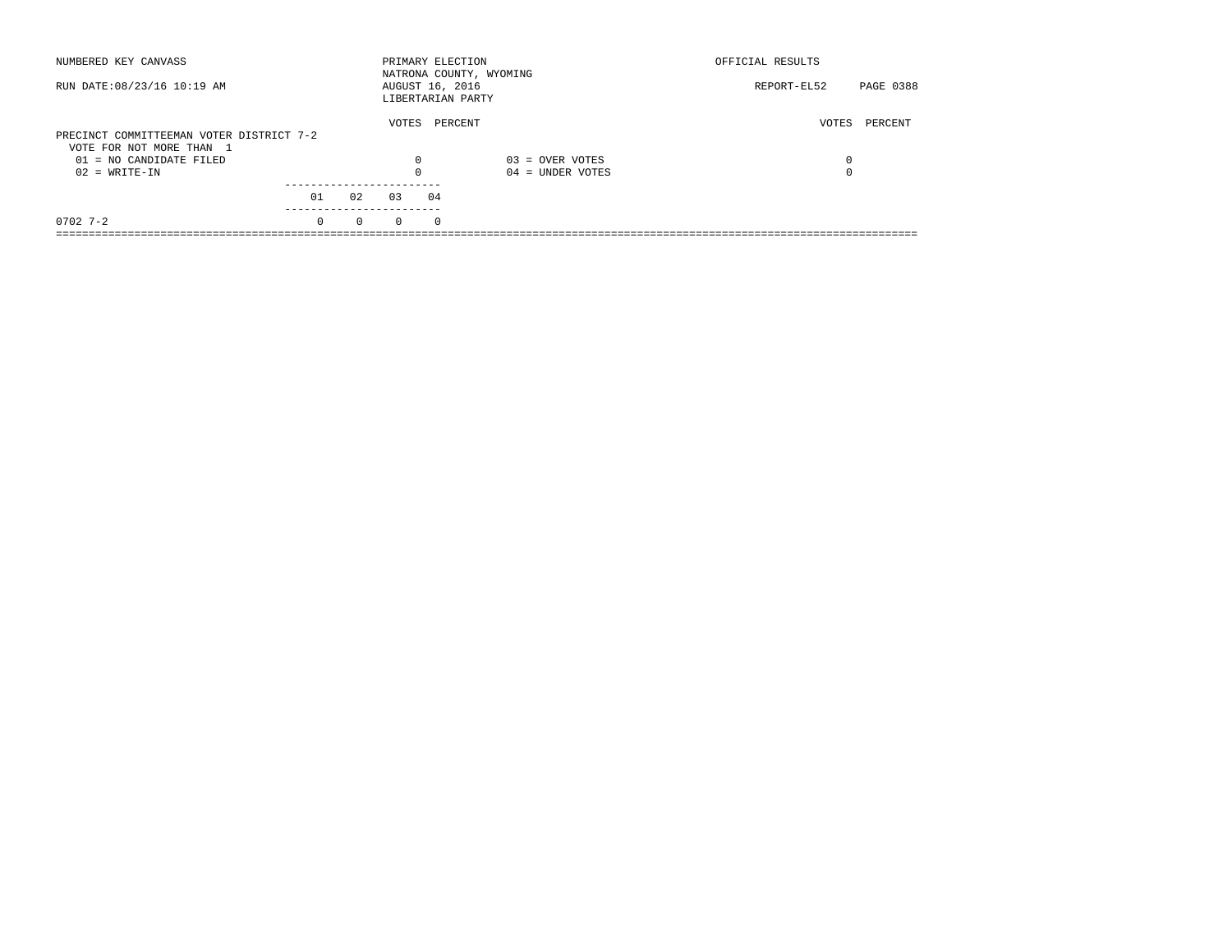| NUMBERED KEY CANVASS                                |          |          |          | PRIMARY ELECTION                     | NATRONA COUNTY, WYOMING | OFFICIAL RESULTS |           |
|-----------------------------------------------------|----------|----------|----------|--------------------------------------|-------------------------|------------------|-----------|
| RUN DATE: 08/23/16 10:19 AM                         |          |          |          | AUGUST 16, 2016<br>LIBERTARIAN PARTY |                         | REPORT-EL52      | PAGE 0388 |
| PRECINCT COMMITTEEMAN VOTER DISTRICT 7-2            |          |          | VOTES    | PERCENT                              |                         | VOTES            | PERCENT   |
| VOTE FOR NOT MORE THAN 1<br>01 = NO CANDIDATE FILED |          |          | 0        |                                      | $03 =$ OVER VOTES       | 0                |           |
| $02 = WRITE-IN$                                     |          |          |          |                                      | $04 =$ UNDER VOTES      | $\Omega$         |           |
|                                                     | 01       | 02       | 03       | 04                                   |                         |                  |           |
| $0702$ 7-2                                          | $\Omega$ | $\Omega$ | $\Omega$ | $\Omega$                             |                         |                  |           |
|                                                     |          |          |          |                                      |                         |                  |           |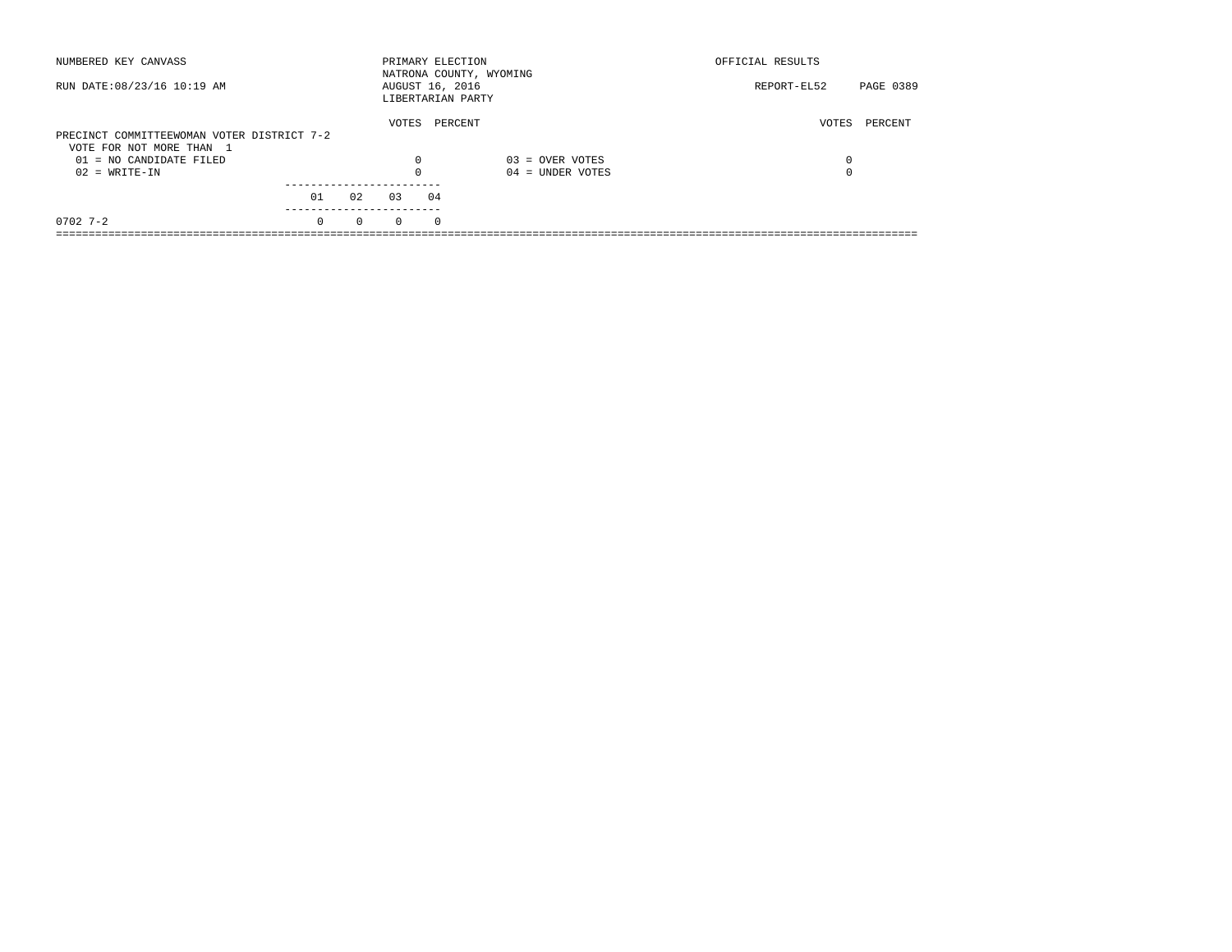| NUMBERED KEY CANVASS                       |          |          | PRIMARY ELECTION                     |          | NATRONA COUNTY, WYOMING | OFFICIAL RESULTS |           |
|--------------------------------------------|----------|----------|--------------------------------------|----------|-------------------------|------------------|-----------|
| RUN DATE: 08/23/16 10:19 AM                |          |          | AUGUST 16, 2016<br>LIBERTARIAN PARTY |          |                         | REPORT-EL52      | PAGE 0389 |
| PRECINCT COMMITTEEWOMAN VOTER DISTRICT 7-2 |          |          | VOTES                                |          | PERCENT                 | VOTES            | PERCENT   |
|                                            |          |          |                                      |          |                         |                  |           |
| VOTE FOR NOT MORE THAN 1                   |          |          |                                      |          |                         |                  |           |
| 01 = NO CANDIDATE FILED                    |          |          | $\Omega$                             |          | $03 =$ OVER VOTES       | 0                |           |
| $02 = WRITE-IN$                            |          |          |                                      |          | $04 =$ UNDER VOTES      | $\Omega$         |           |
|                                            |          |          |                                      |          |                         |                  |           |
|                                            | 01       | 02       | 03                                   | 04       |                         |                  |           |
| $0702$ 7-2                                 | $\Omega$ | $\Omega$ | $\Omega$                             | $\Omega$ |                         |                  |           |
|                                            |          |          |                                      |          |                         |                  |           |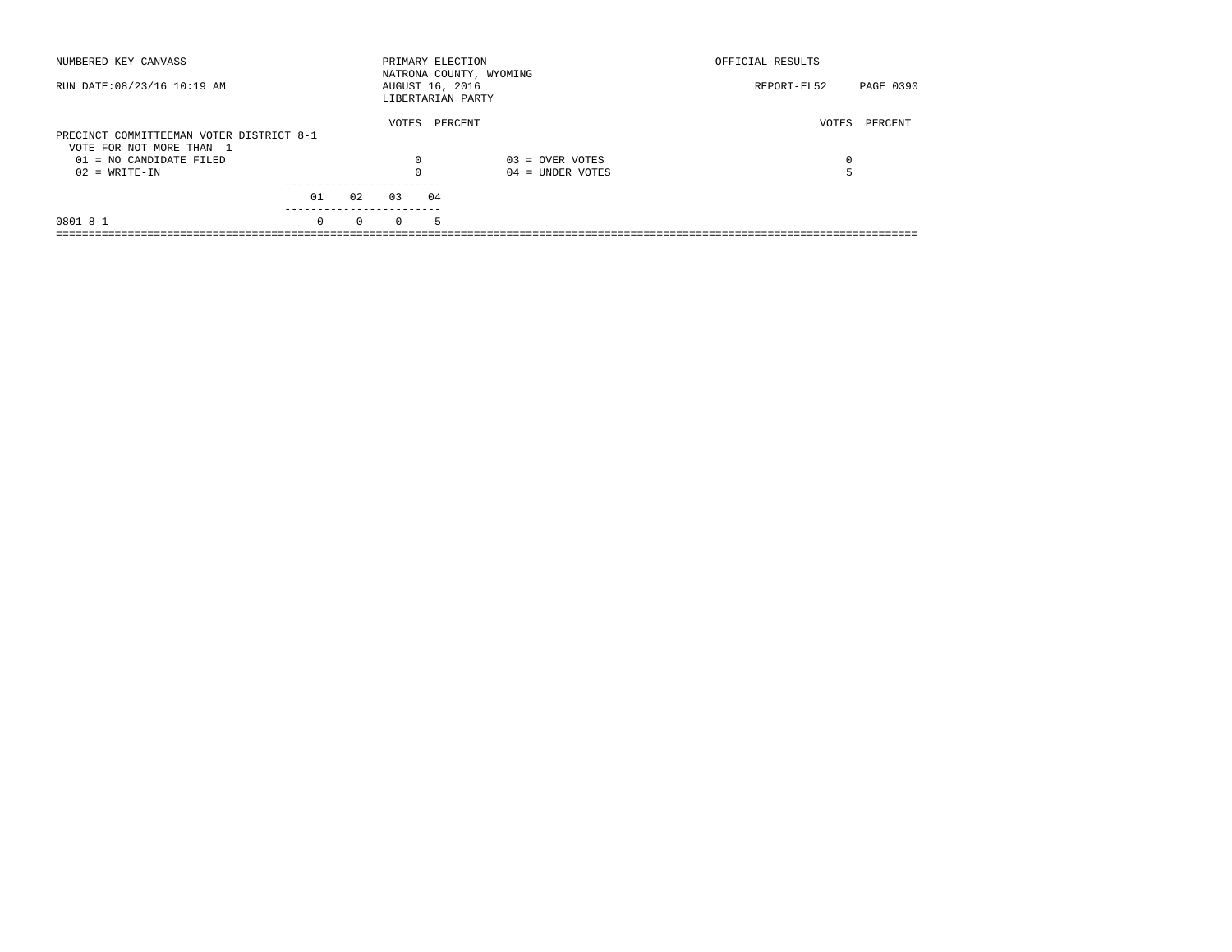| NUMBERED KEY CANVASS                                                 |          |          | PRIMARY ELECTION                     |    | NATRONA COUNTY, WYOMING | OFFICIAL RESULTS |           |
|----------------------------------------------------------------------|----------|----------|--------------------------------------|----|-------------------------|------------------|-----------|
| RUN DATE: 08/23/16 10:19 AM                                          |          |          | AUGUST 16, 2016<br>LIBERTARIAN PARTY |    |                         | REPORT-EL52      | PAGE 0390 |
| PRECINCT COMMITTEEMAN VOTER DISTRICT 8-1<br>VOTE FOR NOT MORE THAN 1 |          |          | VOTES                                |    | PERCENT                 | VOTES            | PERCENT   |
| 01 = NO CANDIDATE FILED                                              |          |          | 0                                    |    | $03 =$ OVER VOTES       | 0                |           |
| $02 = WRITE-IN$                                                      |          |          |                                      |    | $04 =$ UNDER VOTES      |                  |           |
|                                                                      | 01       | 02       | 03                                   | 04 |                         |                  |           |
| $0801 8 - 1$                                                         | $\Omega$ | $\Omega$ | $\Omega$                             | 5  |                         |                  |           |
|                                                                      |          |          |                                      |    |                         |                  |           |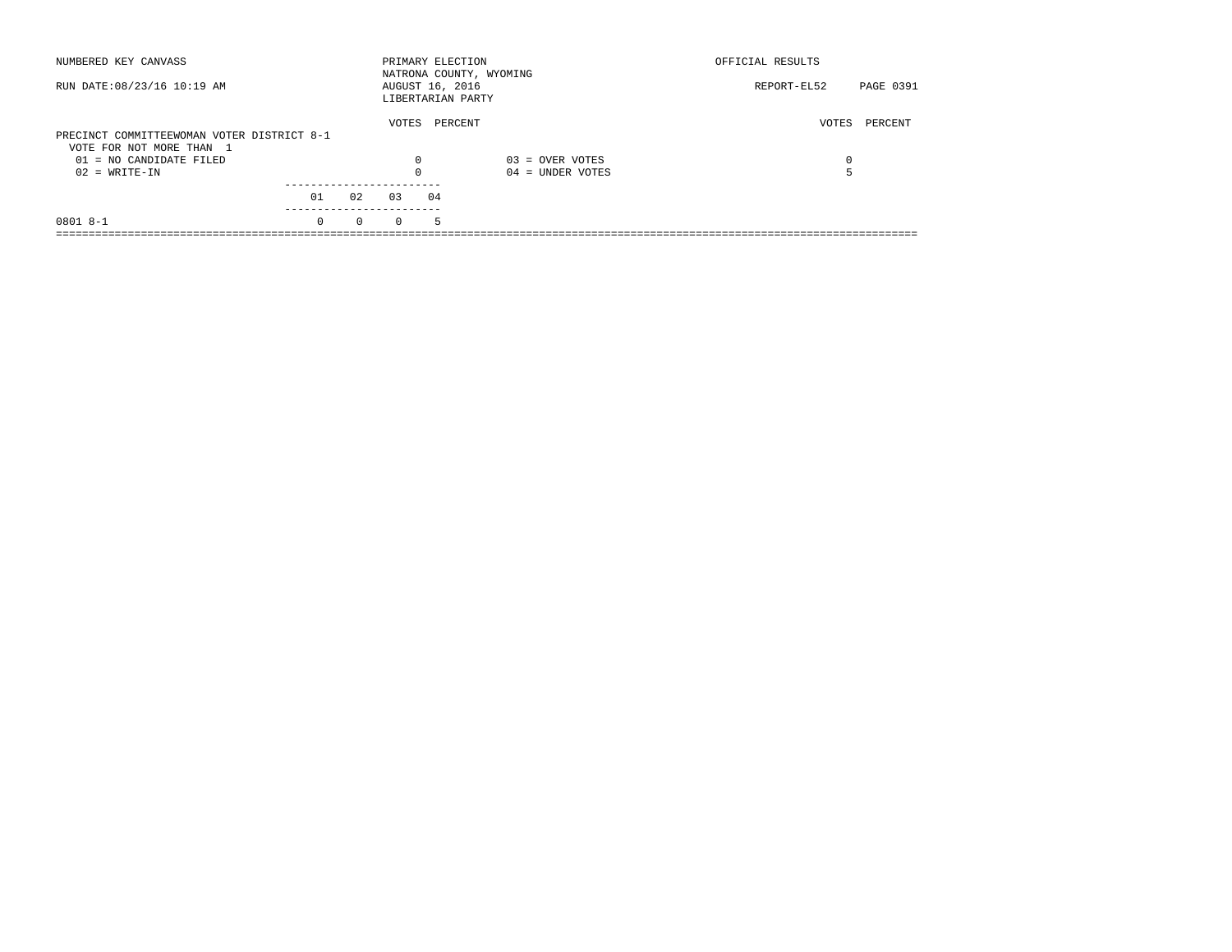| NUMBERED KEY CANVASS                       |          |          | PRIMARY ELECTION                     |    | NATRONA COUNTY, WYOMING | OFFICIAL RESULTS |           |
|--------------------------------------------|----------|----------|--------------------------------------|----|-------------------------|------------------|-----------|
| RUN DATE: 08/23/16 10:19 AM                |          |          | AUGUST 16, 2016<br>LIBERTARIAN PARTY |    |                         | REPORT-EL52      | PAGE 0391 |
|                                            |          |          | VOTES                                |    | PERCENT                 | VOTES            | PERCENT   |
| PRECINCT COMMITTEEWOMAN VOTER DISTRICT 8-1 |          |          |                                      |    |                         |                  |           |
| VOTE FOR NOT MORE THAN 1                   |          |          |                                      |    |                         |                  |           |
| $01 = NO$ CANDIDATE FILED                  |          |          | $\Omega$                             |    | $03 =$ OVER VOTES       | 0                |           |
| $02 = WRITE-IN$                            |          |          |                                      |    | $04 =$ UNDER VOTES      |                  |           |
|                                            |          |          |                                      |    |                         |                  |           |
|                                            | 01       | 02       | 03                                   | 04 |                         |                  |           |
| $08018 - -1$                               | $\Omega$ | $\Omega$ | $\Omega$                             | 5. |                         |                  |           |
|                                            |          |          |                                      |    |                         |                  |           |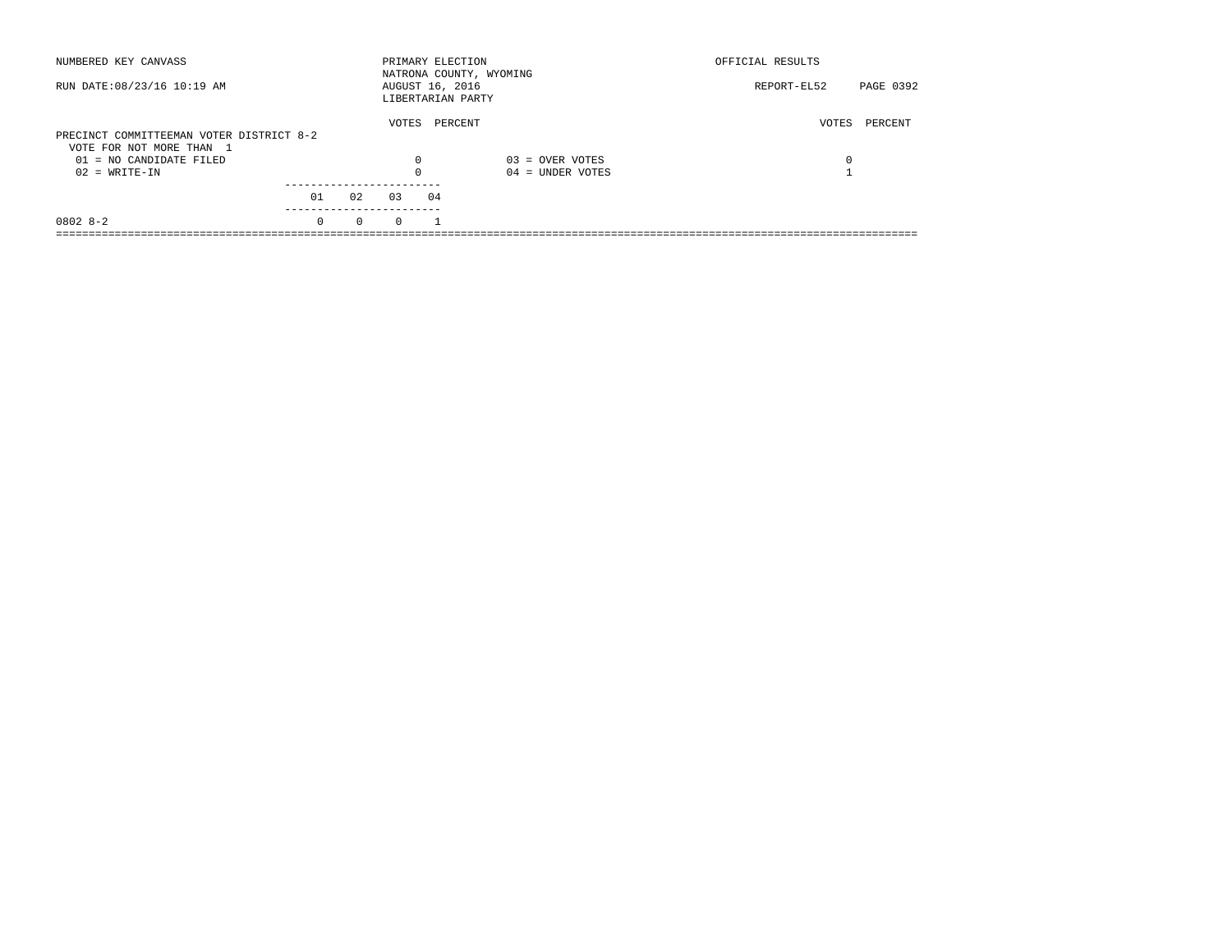| NUMBERED KEY CANVASS                                                 |          |          |          | PRIMARY ELECTION                     | NATRONA COUNTY, WYOMING | OFFICIAL RESULTS |           |
|----------------------------------------------------------------------|----------|----------|----------|--------------------------------------|-------------------------|------------------|-----------|
| RUN DATE: 08/23/16 10:19 AM                                          |          |          |          | AUGUST 16, 2016<br>LIBERTARIAN PARTY |                         | REPORT-EL52      | PAGE 0392 |
| PRECINCT COMMITTEEMAN VOTER DISTRICT 8-2<br>VOTE FOR NOT MORE THAN 1 |          |          | VOTES    | PERCENT                              |                         | VOTES            | PERCENT   |
| 01 = NO CANDIDATE FILED                                              |          |          | 0        |                                      | $03 =$ OVER VOTES       | 0                |           |
| $02 = WRITE-IN$                                                      |          |          | $\Omega$ |                                      | $04 =$ UNDER VOTES      |                  |           |
|                                                                      | 01       | 02       | 0.3      | 04                                   |                         |                  |           |
| $08028-2$                                                            | $\Omega$ | $\Omega$ | $\Omega$ |                                      |                         |                  |           |
|                                                                      |          |          |          |                                      |                         |                  |           |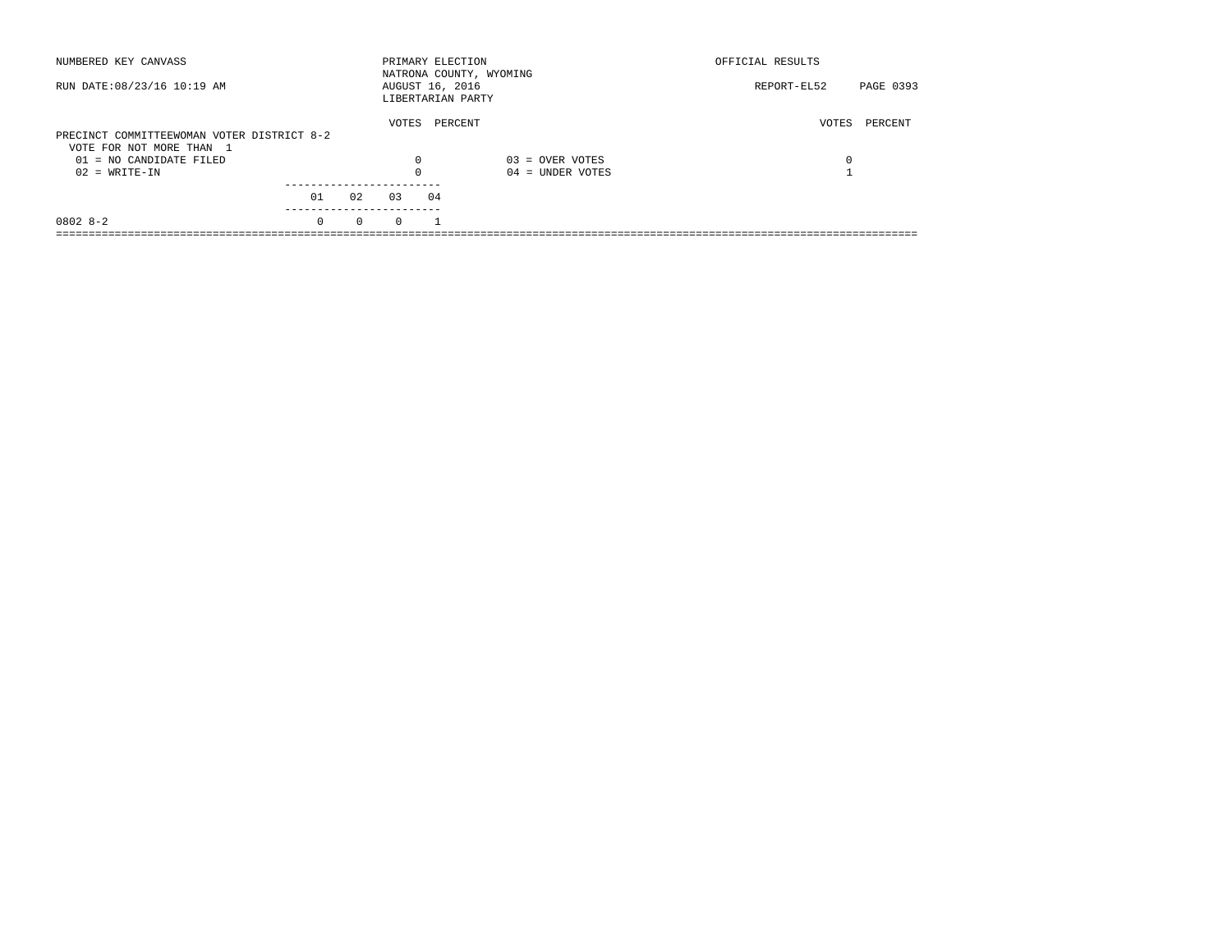| NUMBERED KEY CANVASS                         |          |          | PRIMARY ELECTION |    | NATRONA COUNTY, WYOMING                 | OFFICIAL RESULTS |           |
|----------------------------------------------|----------|----------|------------------|----|-----------------------------------------|------------------|-----------|
| RUN DATE: 08/23/16 10:19 AM                  |          |          | AUGUST 16, 2016  |    | LIBERTARIAN PARTY                       | REPORT-EL52      | PAGE 0393 |
| PRECINCT COMMITTEEWOMAN VOTER DISTRICT 8-2   |          |          | VOTES            |    | PERCENT                                 | VOTES            | PERCENT   |
| VOTE FOR NOT MORE THAN 1                     |          |          |                  |    |                                         |                  |           |
| $01 = NO$ CANDIDATE FILED<br>$02 = WRITE-IN$ |          |          | $\Omega$         |    | $03 =$ OVER VOTES<br>$04 =$ UNDER VOTES | 0                |           |
|                                              |          |          |                  |    |                                         |                  |           |
|                                              | 01       | 02       | 03               | 04 |                                         |                  |           |
| $08028 - 2$                                  | $\Omega$ | $\Omega$ | $\Omega$         |    |                                         |                  |           |
|                                              |          |          |                  |    |                                         |                  |           |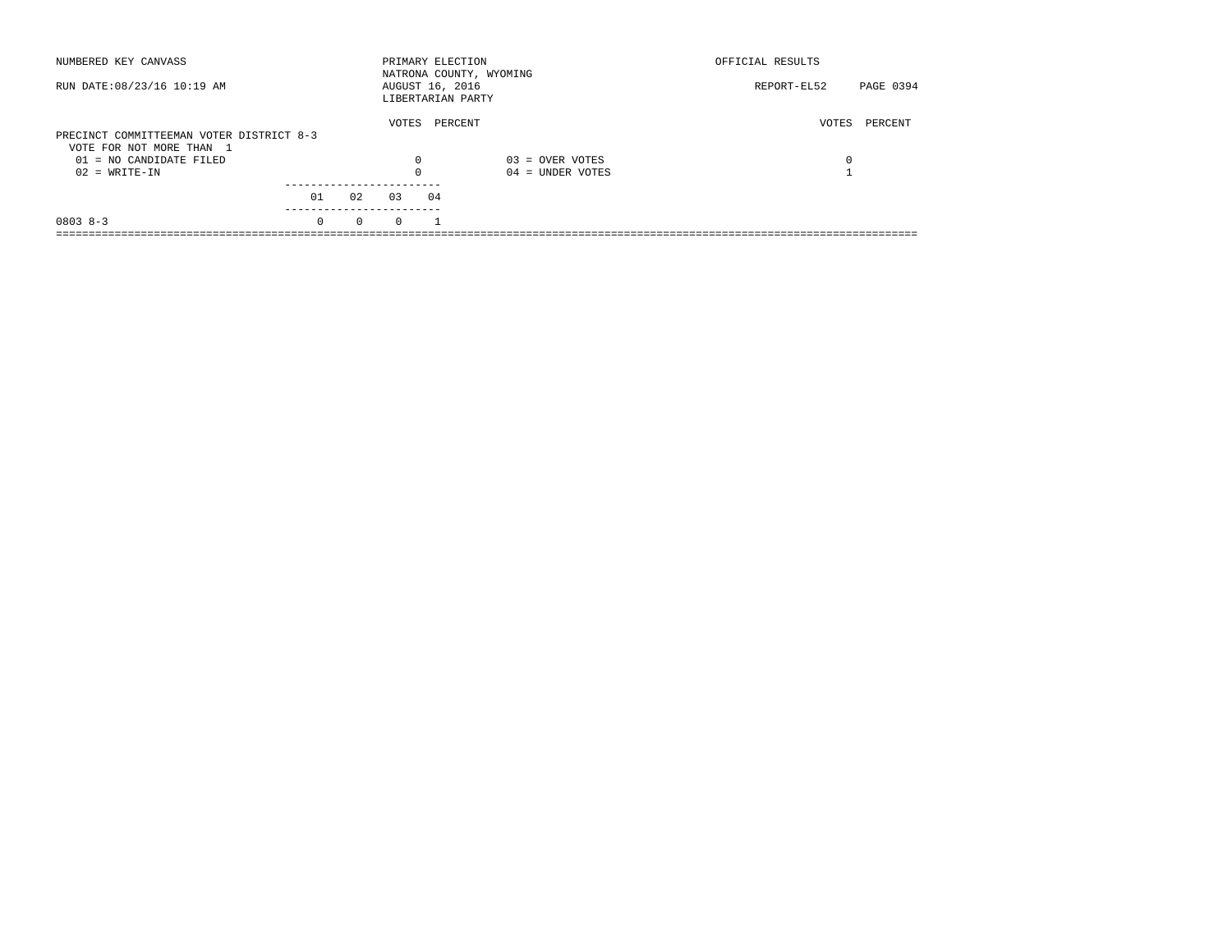| NUMBERED KEY CANVASS                                                 |          |          | PRIMARY ELECTION                     |         | NATRONA COUNTY, WYOMING | OFFICIAL RESULTS |           |
|----------------------------------------------------------------------|----------|----------|--------------------------------------|---------|-------------------------|------------------|-----------|
| RUN DATE: 08/23/16 10:19 AM                                          |          |          | AUGUST 16, 2016<br>LIBERTARIAN PARTY |         |                         | REPORT-EL52      | PAGE 0394 |
| PRECINCT COMMITTEEMAN VOTER DISTRICT 8-3<br>VOTE FOR NOT MORE THAN 1 |          |          | VOTES                                | PERCENT |                         | VOTES            | PERCENT   |
| 01 = NO CANDIDATE FILED                                              |          |          | 0                                    |         | $03 =$ OVER VOTES       | 0                |           |
| $02 = WRITE-IN$                                                      |          |          | $\Omega$                             |         | $04 =$ UNDER VOTES      |                  |           |
|                                                                      | 01       | 02       | 0.3                                  | 04      |                         |                  |           |
| $0803 8 - 3$                                                         | $\Omega$ | $\Omega$ | $\Omega$                             |         |                         |                  |           |
|                                                                      |          |          |                                      |         |                         |                  |           |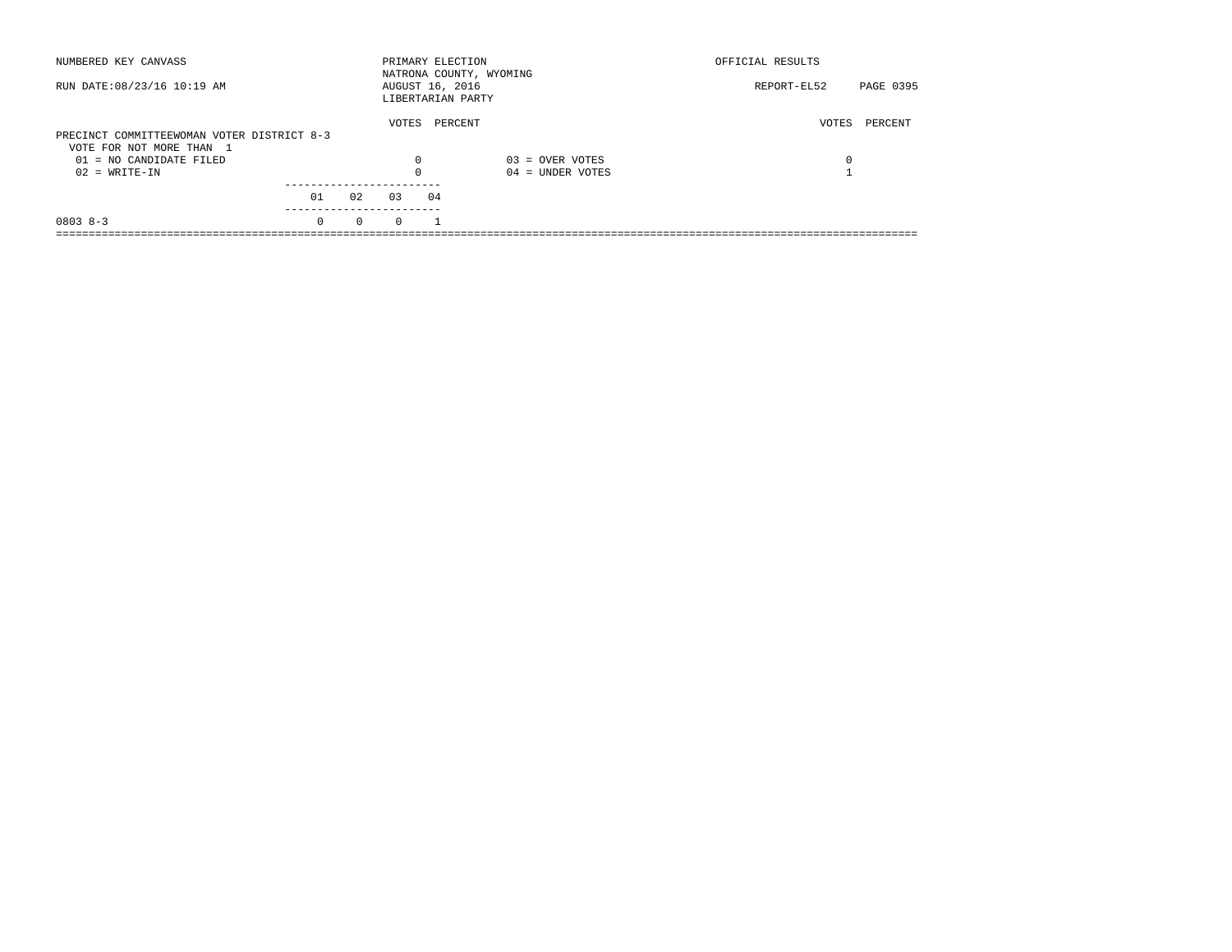| NUMBERED KEY CANVASS                       |          |          |          | PRIMARY ELECTION                     | NATRONA COUNTY, WYOMING | OFFICIAL RESULTS         |  |
|--------------------------------------------|----------|----------|----------|--------------------------------------|-------------------------|--------------------------|--|
| RUN DATE: 08/23/16 10:19 AM                |          |          |          | AUGUST 16, 2016<br>LIBERTARIAN PARTY |                         | PAGE 0395<br>REPORT-EL52 |  |
|                                            |          |          | VOTES    | PERCENT                              |                         | PERCENT<br>VOTES         |  |
| PRECINCT COMMITTEEWOMAN VOTER DISTRICT 8-3 |          |          |          |                                      |                         |                          |  |
| VOTE FOR NOT MORE THAN 1                   |          |          |          |                                      |                         |                          |  |
| 01 = NO CANDIDATE FILED                    |          |          | 0        |                                      | $03 =$ OVER VOTES       | 0                        |  |
| $02 = WRITE-IN$                            |          |          | $\Omega$ |                                      | $04 =$ UNDER VOTES      |                          |  |
|                                            |          |          |          |                                      |                         |                          |  |
|                                            | 01       | 02       | 0.3      | 04                                   |                         |                          |  |
| $08038 - 3$                                | $\Omega$ | $\Omega$ | $\Omega$ |                                      |                         |                          |  |
|                                            |          |          |          |                                      |                         |                          |  |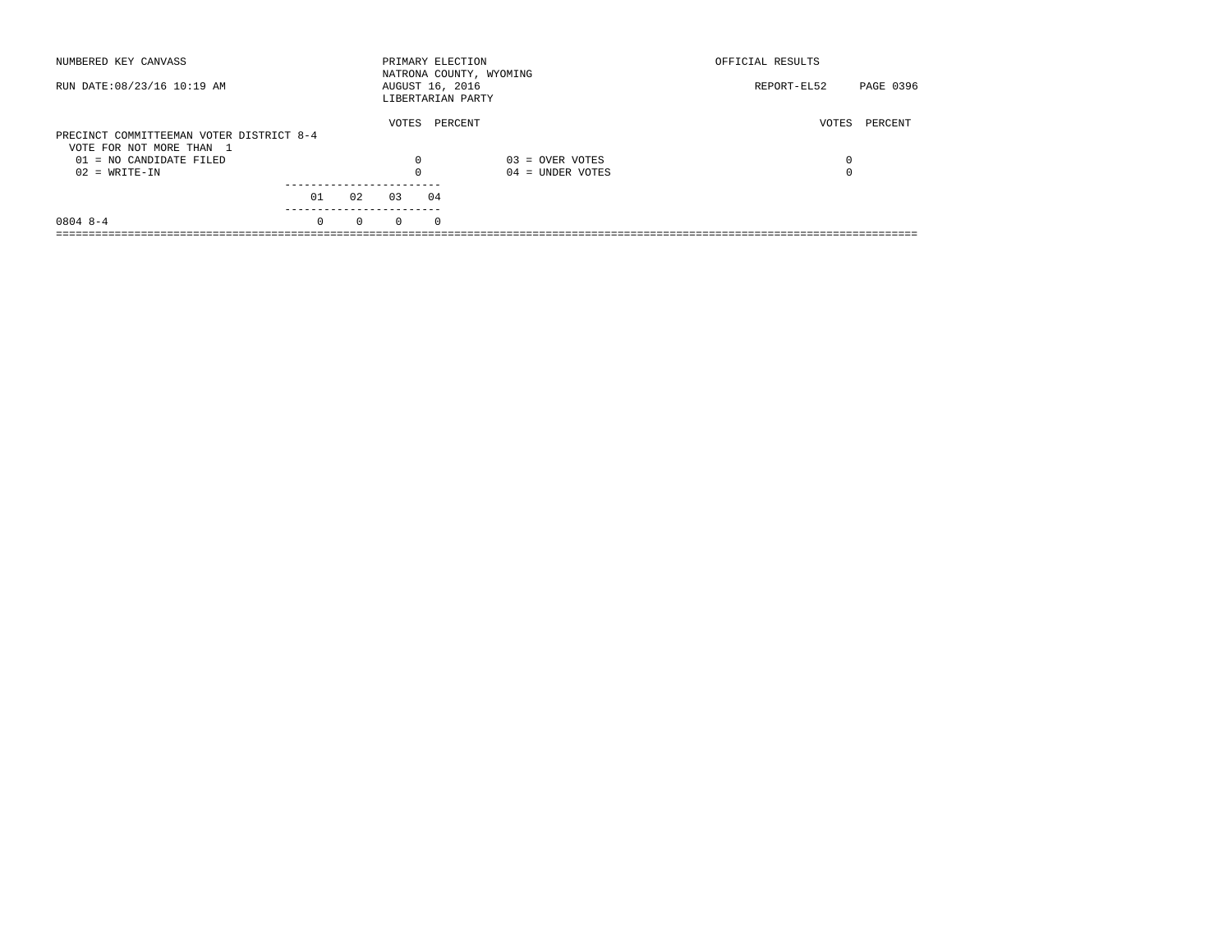| NUMBERED KEY CANVASS                                                 |          |          |          | PRIMARY ELECTION<br>NATRONA COUNTY, WYOMING |                    | OFFICIAL RESULTS |           |
|----------------------------------------------------------------------|----------|----------|----------|---------------------------------------------|--------------------|------------------|-----------|
| RUN DATE: 08/23/16 10:19 AM                                          |          |          |          | AUGUST 16, 2016<br>LIBERTARIAN PARTY        |                    | REPORT-EL52      | PAGE 0396 |
| PRECINCT COMMITTEEMAN VOTER DISTRICT 8-4<br>VOTE FOR NOT MORE THAN 1 |          |          | VOTES    | PERCENT                                     |                    | VOTES            | PERCENT   |
| $01 = NO$ CANDIDATE FILED                                            |          |          | 0        |                                             | $03 =$ OVER VOTES  | 0                |           |
| $02 = WRITE-IN$                                                      |          |          | $\Omega$ |                                             | $04 =$ UNDER VOTES | $\Omega$         |           |
|                                                                      | 01       | 02       | 03       | 04                                          |                    |                  |           |
| $0804$ 8-4                                                           | $\Omega$ | $\Omega$ | $\Omega$ | $\Omega$                                    |                    |                  |           |
|                                                                      |          |          |          |                                             |                    |                  |           |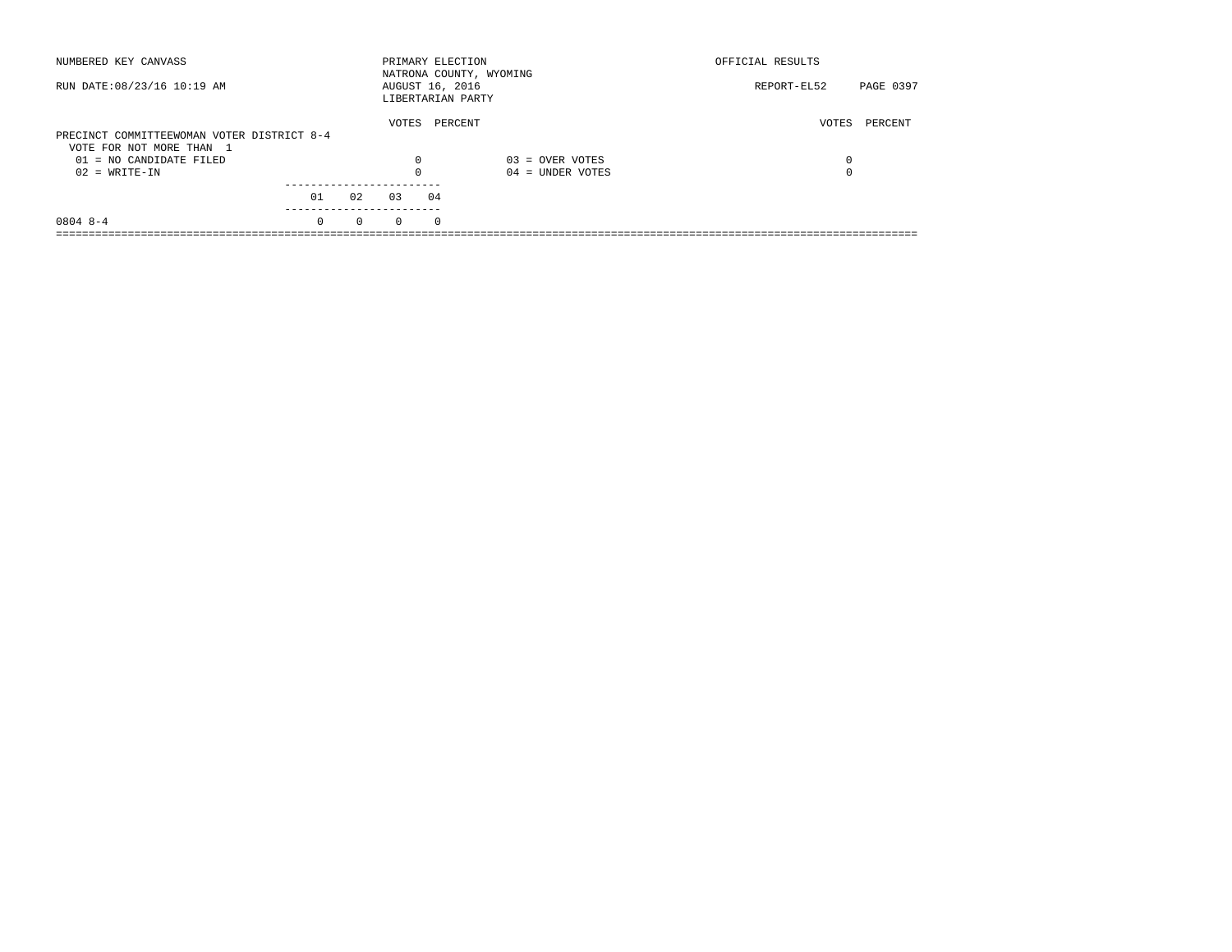| NUMBERED KEY CANVASS                       |          |          | PRIMARY ELECTION                     |          | NATRONA COUNTY, WYOMING | OFFICIAL RESULTS |           |
|--------------------------------------------|----------|----------|--------------------------------------|----------|-------------------------|------------------|-----------|
| RUN DATE: 08/23/16 10:19 AM                |          |          | AUGUST 16, 2016<br>LIBERTARIAN PARTY |          |                         | REPORT-EL52      | PAGE 0397 |
|                                            |          |          | VOTES                                | PERCENT  |                         | VOTES            | PERCENT   |
| PRECINCT COMMITTEEWOMAN VOTER DISTRICT 8-4 |          |          |                                      |          |                         |                  |           |
| VOTE FOR NOT MORE THAN 1                   |          |          |                                      |          |                         |                  |           |
| $01 = NO$ CANDIDATE FILED                  |          |          | 0                                    |          | $03 =$ OVER VOTES       | 0                |           |
| $02 = WRITE-IN$                            |          |          | $\Omega$                             |          | $04 =$ UNDER VOTES      | 0                |           |
|                                            |          |          |                                      |          |                         |                  |           |
|                                            | 01       | 02       | 0.3                                  | 04       |                         |                  |           |
| $0804$ 8-4                                 | $\Omega$ | $\Omega$ | $\Omega$                             | $\Omega$ |                         |                  |           |
|                                            |          |          |                                      |          |                         |                  |           |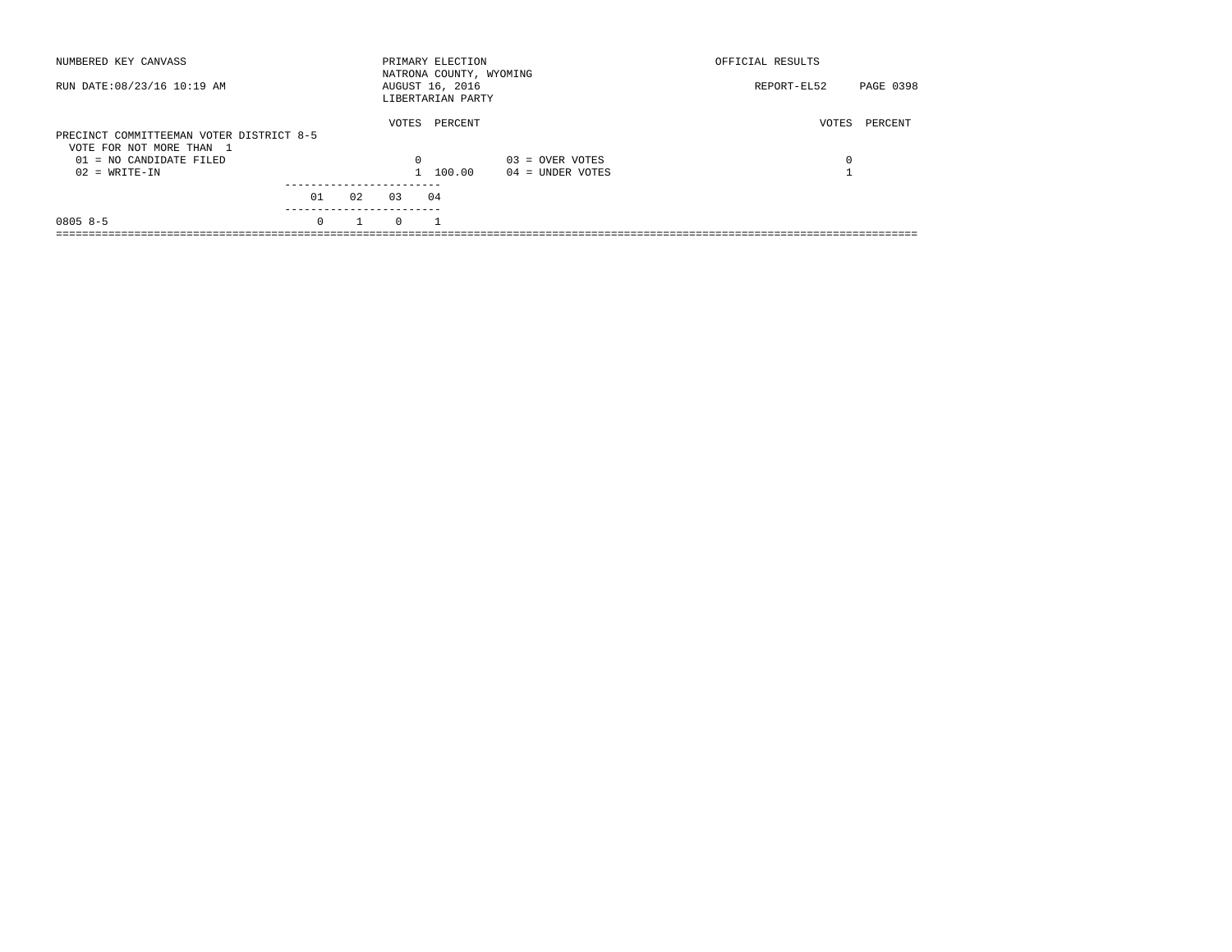| NUMBERED KEY CANVASS                                                 |          |    |          | PRIMARY ELECTION<br>NATRONA COUNTY, WYOMING |                    | OFFICIAL RESULTS |           |
|----------------------------------------------------------------------|----------|----|----------|---------------------------------------------|--------------------|------------------|-----------|
| RUN DATE: 08/23/16 10:19 AM                                          |          |    |          | AUGUST 16, 2016<br>LIBERTARIAN PARTY        |                    | REPORT-EL52      | PAGE 0398 |
| PRECINCT COMMITTEEMAN VOTER DISTRICT 8-5<br>VOTE FOR NOT MORE THAN 1 |          |    | VOTES    | PERCENT                                     |                    | VOTES            | PERCENT   |
| $01 = NO$ CANDIDATE FILED                                            |          |    | $\Omega$ |                                             | $03 =$ OVER VOTES  | 0                |           |
| $02 = WRITE-IN$                                                      |          |    |          | 1 100.00                                    | $04 =$ UNDER VOTES |                  |           |
|                                                                      | 01       | 02 | 0.3      | 04                                          |                    |                  |           |
| $08058 - 5$                                                          | $\Omega$ |    | $\Omega$ |                                             |                    |                  |           |
|                                                                      |          |    |          |                                             |                    |                  |           |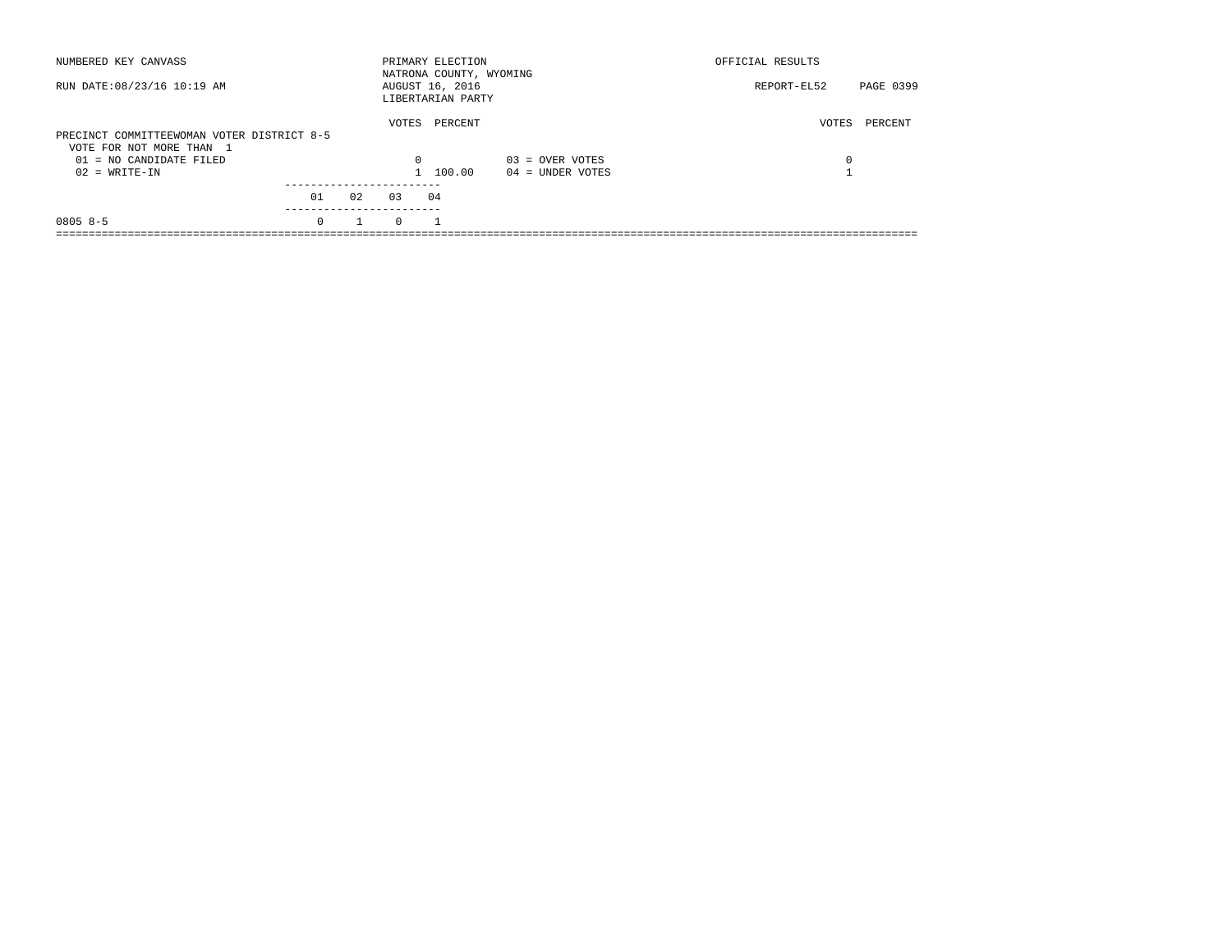| NUMBERED KEY CANVASS                                                   |          |    |          | PRIMARY ELECTION<br>NATRONA COUNTY, WYOMING |                    | OFFICIAL RESULTS |           |
|------------------------------------------------------------------------|----------|----|----------|---------------------------------------------|--------------------|------------------|-----------|
| RUN DATE: 08/23/16 10:19 AM                                            |          |    |          | AUGUST 16, 2016<br>LIBERTARIAN PARTY        |                    | REPORT-EL52      | PAGE 0399 |
| PRECINCT COMMITTEEWOMAN VOTER DISTRICT 8-5<br>VOTE FOR NOT MORE THAN 1 |          |    | VOTES    | PERCENT                                     |                    | VOTES            | PERCENT   |
| 01 = NO CANDIDATE FILED                                                |          |    | $\Omega$ |                                             | $03 =$ OVER VOTES  | 0                |           |
| $02 = WRITE-IN$                                                        |          |    |          | 1 100.00                                    | $04 =$ UNDER VOTES |                  |           |
|                                                                        | 01       | 02 | 0.3      | 04                                          |                    |                  |           |
| $08058-5$                                                              | $\Omega$ |    | $\Omega$ |                                             |                    |                  |           |
|                                                                        |          |    |          |                                             |                    |                  |           |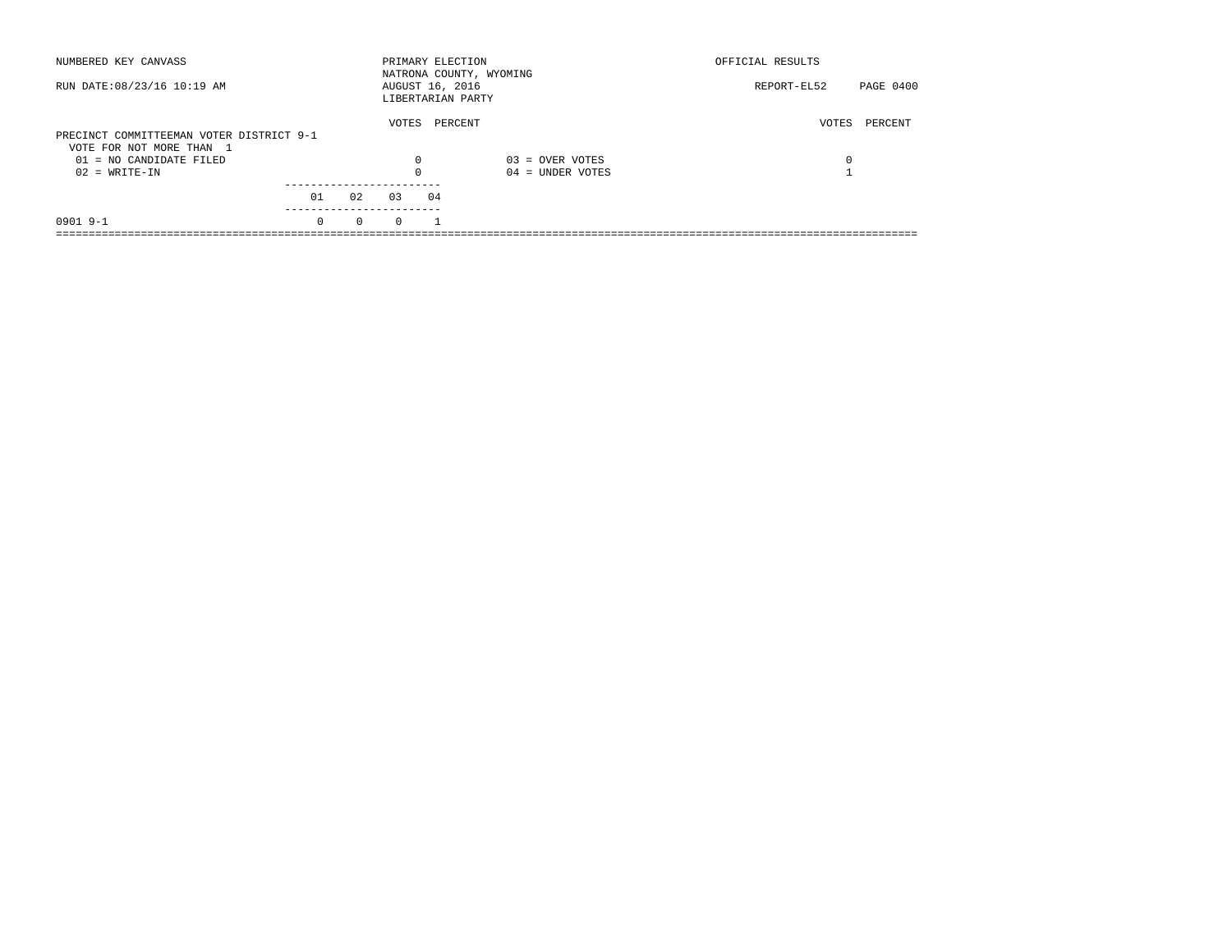| NUMBERED KEY CANVASS                                  |          |          |          | PRIMARY ELECTION                     | NATRONA COUNTY, WYOMING | OFFICIAL RESULTS |           |
|-------------------------------------------------------|----------|----------|----------|--------------------------------------|-------------------------|------------------|-----------|
| RUN DATE: 08/23/16 10:19 AM                           |          |          |          | AUGUST 16, 2016<br>LIBERTARIAN PARTY |                         | REPORT-EL52      | PAGE 0400 |
| PRECINCT COMMITTEEMAN VOTER DISTRICT 9-1              |          |          | VOTES    | PERCENT                              |                         | VOTES            | PERCENT   |
| VOTE FOR NOT MORE THAN 1<br>$01 = NO$ CANDIDATE FILED |          |          | 0        |                                      | $03 =$ OVER VOTES       | 0                |           |
| $02 = WRITE-IN$                                       |          |          | $\Omega$ |                                      | $04 =$ UNDER VOTES      |                  |           |
|                                                       | 01       | 02       | 0.3      | 04                                   |                         |                  |           |
| $09019 - -1$                                          | $\Omega$ | $\Omega$ | $\Omega$ |                                      |                         |                  |           |
|                                                       |          |          |          |                                      |                         |                  |           |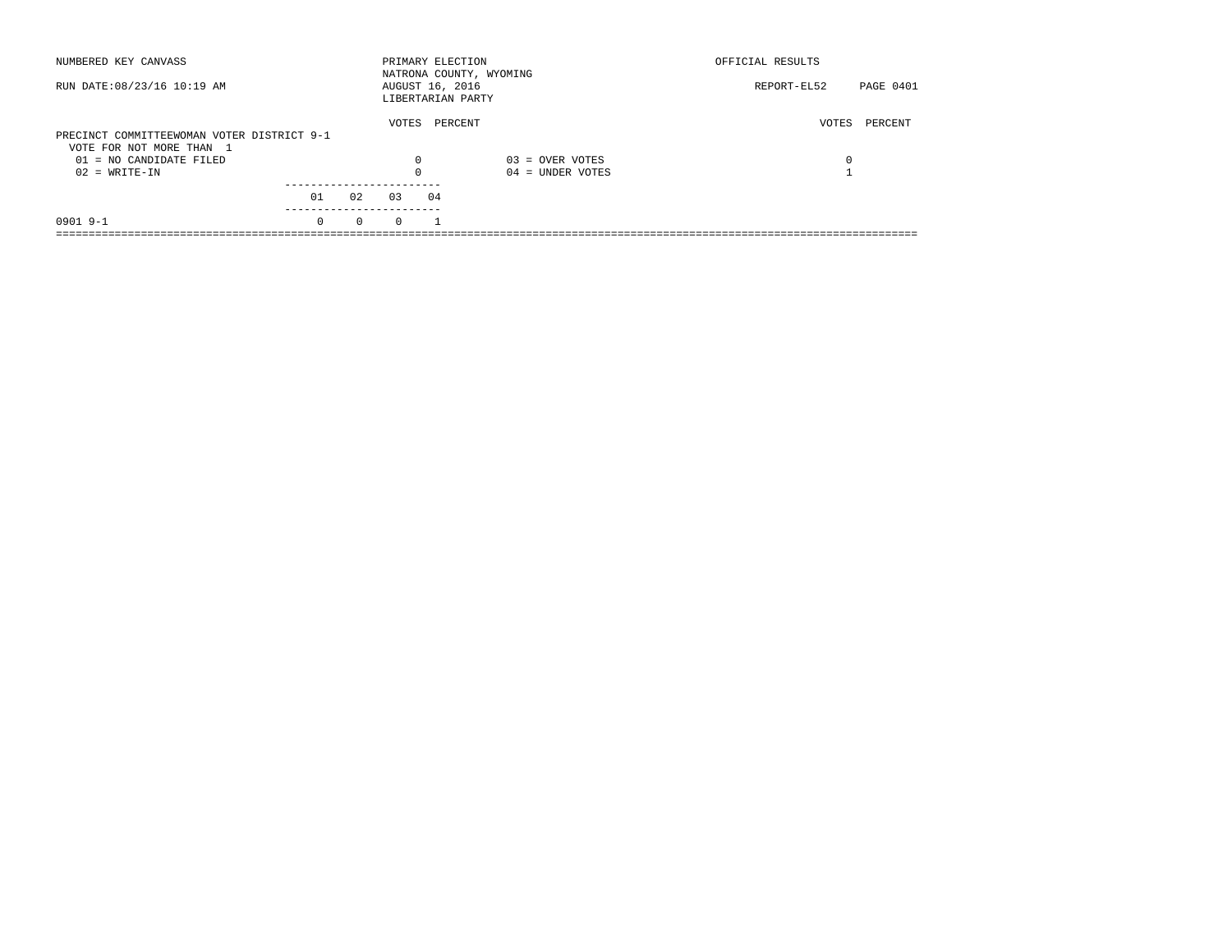| NUMBERED KEY CANVASS                       |          |          |          | PRIMARY ELECTION                     | NATRONA COUNTY, WYOMING | OFFICIAL RESULTS                |  |
|--------------------------------------------|----------|----------|----------|--------------------------------------|-------------------------|---------------------------------|--|
| RUN DATE: 08/23/16 10:19 AM                |          |          |          | AUGUST 16, 2016<br>LIBERTARIAN PARTY |                         | <b>PAGE 0401</b><br>REPORT-EL52 |  |
|                                            |          |          | VOTES    | PERCENT                              |                         | PERCENT<br>VOTES                |  |
| PRECINCT COMMITTEEWOMAN VOTER DISTRICT 9-1 |          |          |          |                                      |                         |                                 |  |
| VOTE FOR NOT MORE THAN 1                   |          |          |          |                                      |                         |                                 |  |
| $01 = NO$ CANDIDATE FILED                  |          |          | 0        |                                      | $03 =$ OVER VOTES       | 0                               |  |
| $02 = WRITE-IN$                            |          |          | $\Omega$ |                                      | $04 =$ UNDER VOTES      |                                 |  |
|                                            |          |          |          |                                      |                         |                                 |  |
|                                            | 01       | 02       | 0.3      | 04                                   |                         |                                 |  |
| $09019 - -1$                               | $\Omega$ | $\Omega$ | $\Omega$ |                                      |                         |                                 |  |
|                                            |          |          |          |                                      |                         |                                 |  |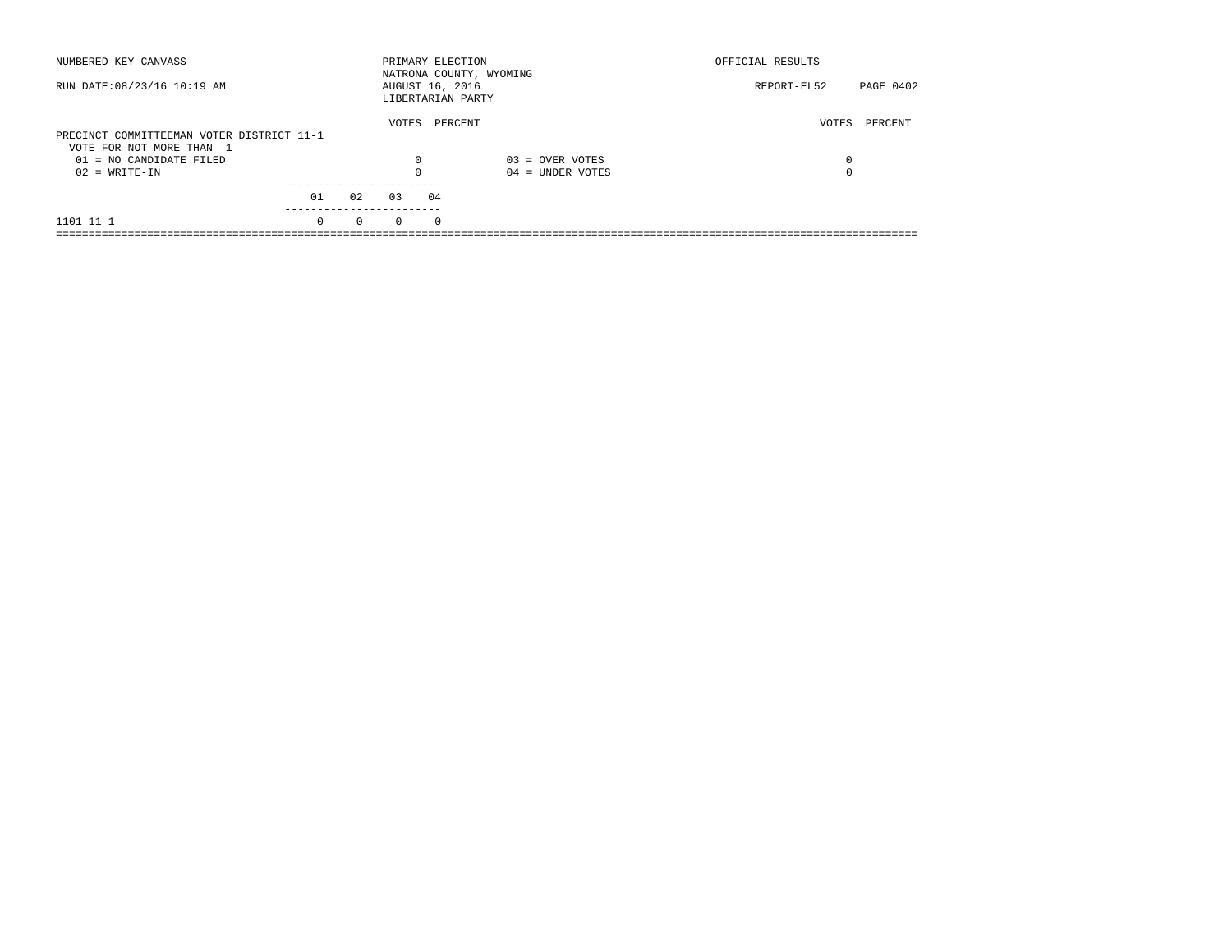| NUMBERED KEY CANVASS                                  |          |          | PRIMARY ELECTION                     |            | NATRONA COUNTY, WYOMING | OFFICIAL RESULTS |           |
|-------------------------------------------------------|----------|----------|--------------------------------------|------------|-------------------------|------------------|-----------|
| RUN DATE: 08/23/16 10:19 AM                           |          |          | AUGUST 16, 2016<br>LIBERTARIAN PARTY |            |                         | REPORT-EL52      | PAGE 0402 |
| PRECINCT COMMITTEEMAN VOTER DISTRICT 11-1             |          |          | VOTES                                | PERCENT    |                         | VOTES            | PERCENT   |
| VOTE FOR NOT MORE THAN 1<br>$01 = NO CANDIDATE FILED$ |          |          | $\Omega$                             |            | $03 =$ OVER VOTES       | 0                |           |
| $02 = WRITE-IN$                                       |          |          | $\Omega$                             |            | $04 =$ UNDER VOTES      | $\Omega$         |           |
|                                                       | 01       | 02       | 03                                   | 04         |                         |                  |           |
| 1101 11-1                                             | $\Omega$ | $\Omega$ | $\Omega$                             | $^{\circ}$ |                         |                  |           |
|                                                       |          |          |                                      |            |                         |                  |           |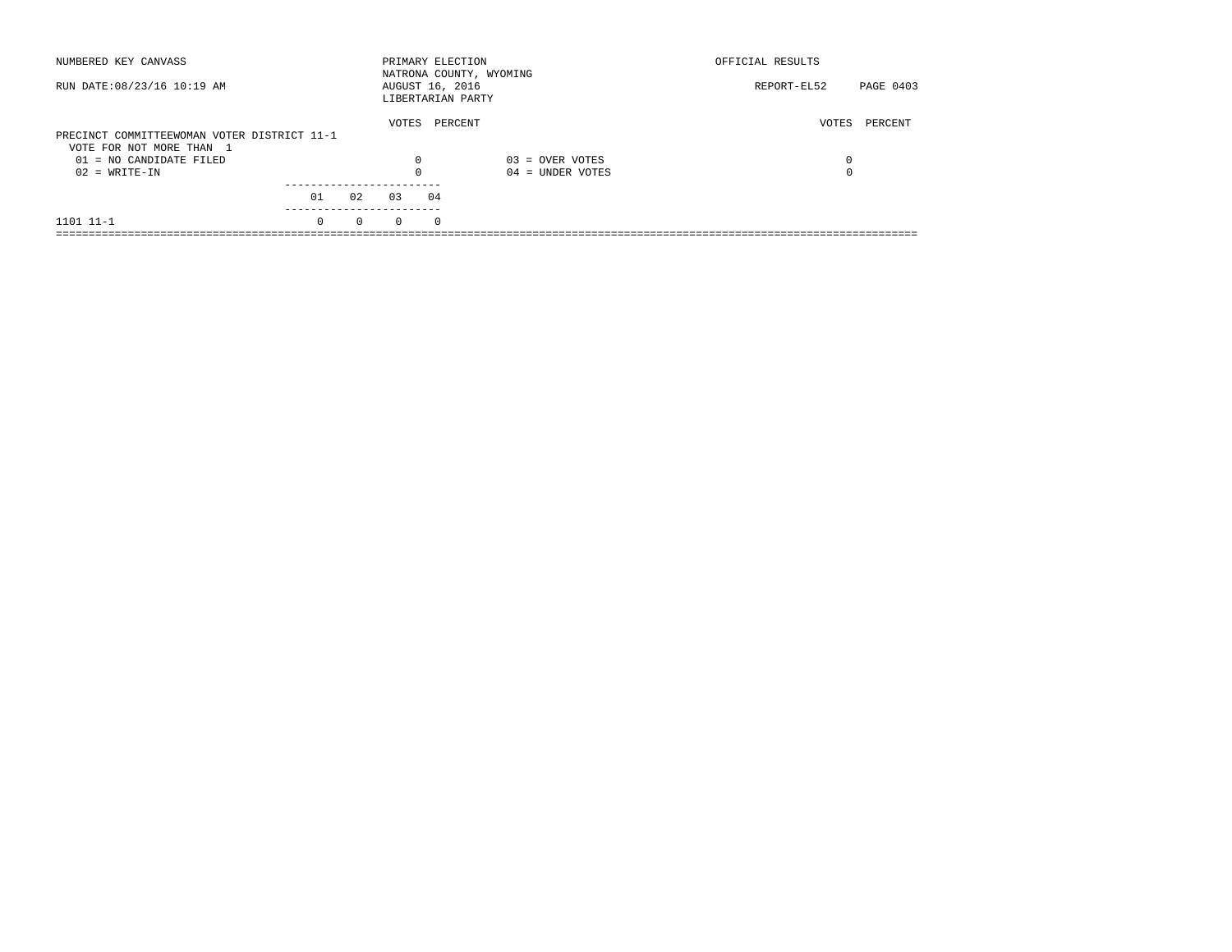| NUMBERED KEY CANVASS                        |          |          | PRIMARY ELECTION                     |            | NATRONA COUNTY, WYOMING | OFFICIAL RESULTS |           |
|---------------------------------------------|----------|----------|--------------------------------------|------------|-------------------------|------------------|-----------|
| RUN DATE: 08/23/16 10:19 AM                 |          |          | AUGUST 16, 2016<br>LIBERTARIAN PARTY |            |                         | REPORT-EL52      | PAGE 0403 |
|                                             |          |          | VOTES                                |            | PERCENT                 | VOTES            | PERCENT   |
| PRECINCT COMMITTEEWOMAN VOTER DISTRICT 11-1 |          |          |                                      |            |                         |                  |           |
| VOTE FOR NOT MORE THAN 1                    |          |          |                                      |            |                         |                  |           |
| $01 = NO CANDIDATE FILED$                   |          |          | $\Omega$                             |            | $03 =$ OVER VOTES       | 0                |           |
| $02 = WRITE-IN$                             |          |          | $\Omega$                             |            | $04 =$ UNDER VOTES      |                  |           |
|                                             |          |          |                                      |            |                         |                  |           |
|                                             | 01       | 02       | 03                                   | 04         |                         |                  |           |
| 1101 11-1                                   | $\Omega$ | $\Omega$ | $\Omega$                             | $^{\circ}$ |                         |                  |           |
|                                             |          |          |                                      |            |                         |                  |           |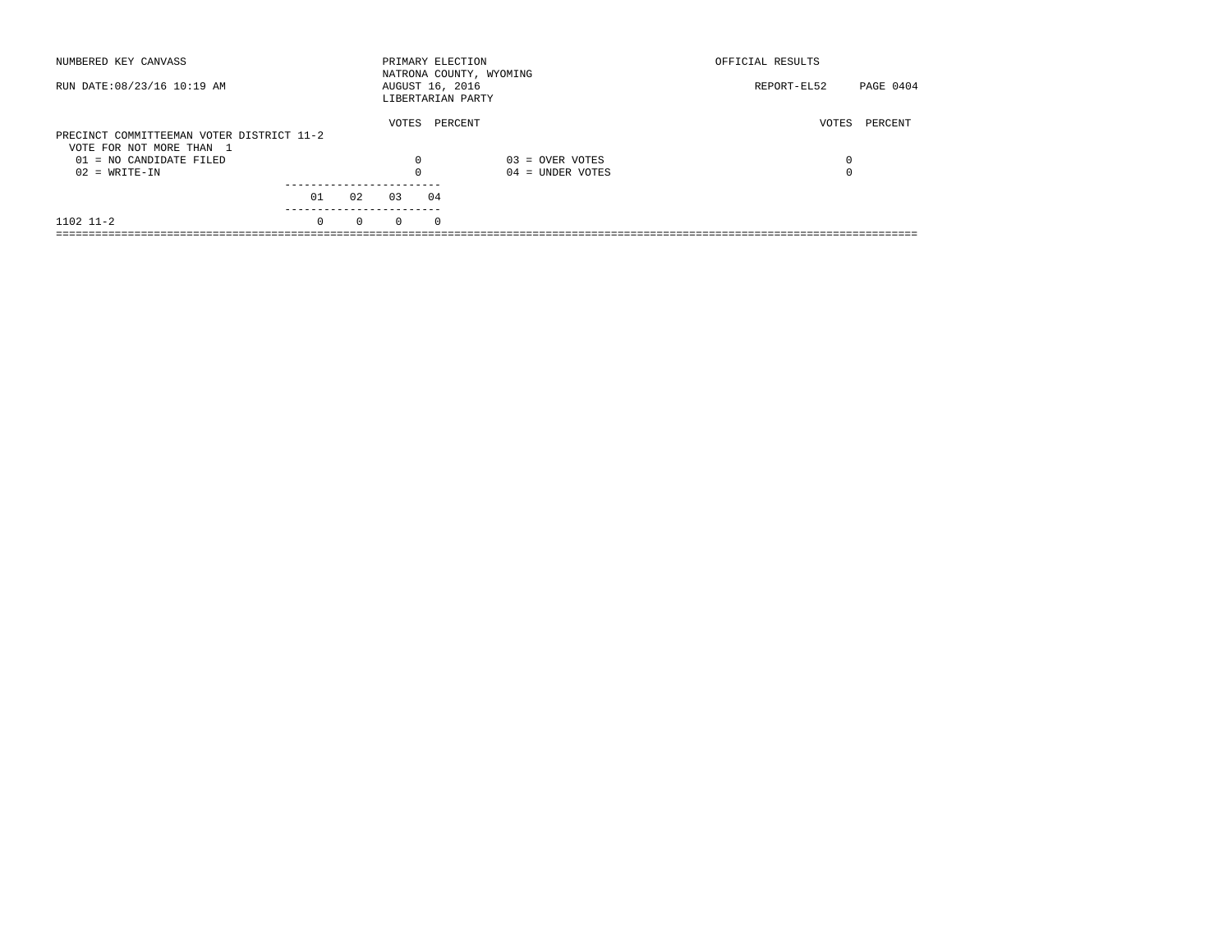| NUMBERED KEY CANVASS                         |          |          | PRIMARY ELECTION                     |          | NATRONA COUNTY, WYOMING                 | OFFICIAL RESULTS         |  |
|----------------------------------------------|----------|----------|--------------------------------------|----------|-----------------------------------------|--------------------------|--|
| RUN DATE: 08/23/16 10:19 AM                  |          |          | AUGUST 16, 2016<br>LIBERTARIAN PARTY |          |                                         | PAGE 0404<br>REPORT-EL52 |  |
| PRECINCT COMMITTEEMAN VOTER DISTRICT 11-2    |          |          | VOTES                                | PERCENT  |                                         | PERCENT<br>VOTES         |  |
| VOTE FOR NOT MORE THAN 1                     |          |          |                                      |          |                                         |                          |  |
| $01 = NO$ CANDIDATE FILED<br>$02 = WRITE-IN$ |          |          | $\Omega$<br>$\Omega$                 |          | $03 =$ OVER VOTES<br>$04 =$ UNDER VOTES | 0<br>0                   |  |
|                                              | 01       | 02       | 0.3                                  | 04       |                                         |                          |  |
| 1102 11-2                                    | $\Omega$ | $\Omega$ | $\Omega$                             | $\Omega$ |                                         |                          |  |
|                                              |          |          |                                      |          |                                         |                          |  |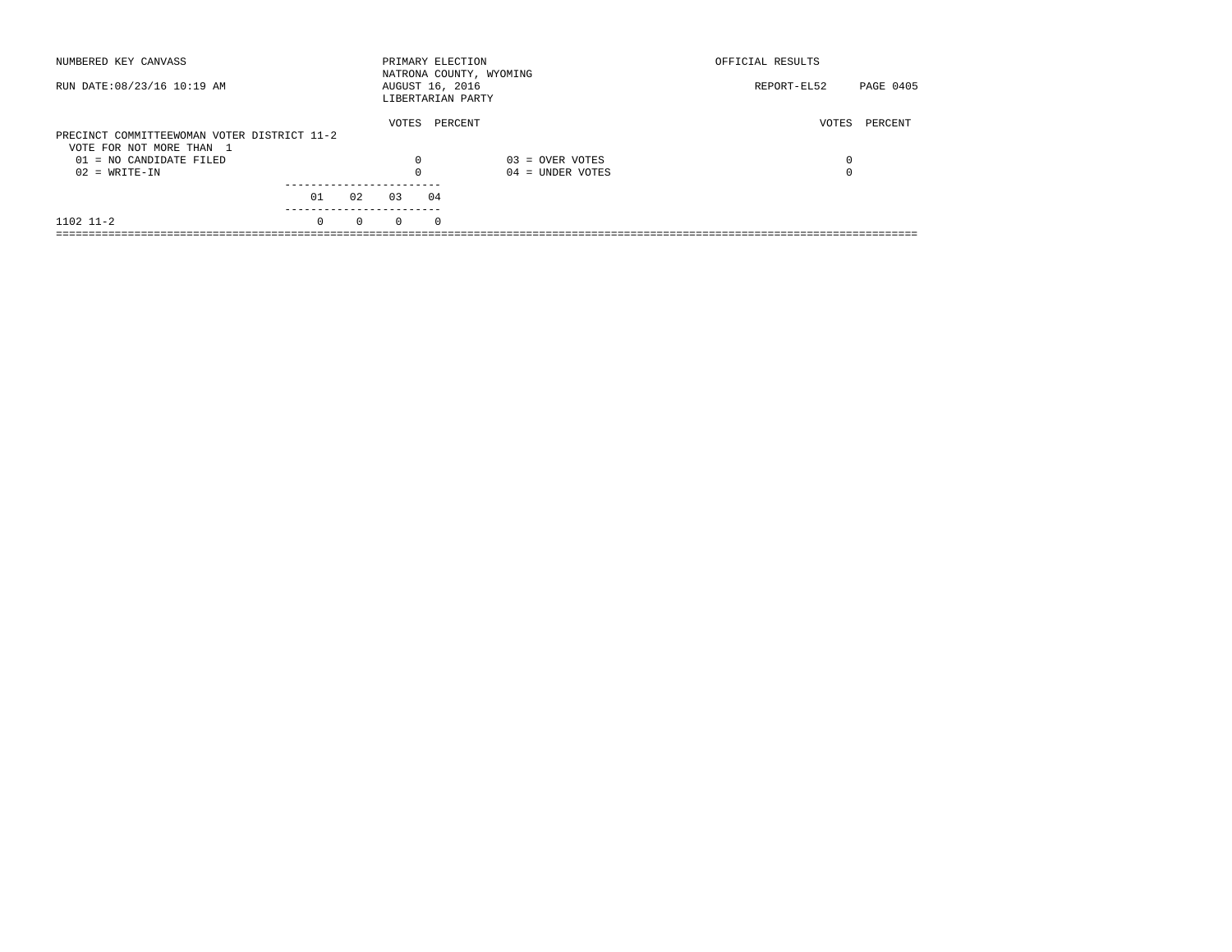| NUMBERED KEY CANVASS                        |          |          | PRIMARY ELECTION                     |            | NATRONA COUNTY, WYOMING | OFFICIAL RESULTS |           |
|---------------------------------------------|----------|----------|--------------------------------------|------------|-------------------------|------------------|-----------|
| RUN DATE: 08/23/16 10:19 AM                 |          |          | AUGUST 16, 2016<br>LIBERTARIAN PARTY |            |                         | REPORT-EL52      | PAGE 0405 |
|                                             |          |          | VOTES                                | PERCENT    |                         | VOTES            | PERCENT   |
| PRECINCT COMMITTEEWOMAN VOTER DISTRICT 11-2 |          |          |                                      |            |                         |                  |           |
| VOTE FOR NOT MORE THAN 1                    |          |          |                                      |            |                         |                  |           |
| $01 = NO$ CANDIDATE FILED                   |          |          | 0                                    |            | $03 =$ OVER VOTES       | 0                |           |
| $02 = WRITE-IN$                             |          |          |                                      |            | $04 =$ UNDER VOTES      | $\Omega$         |           |
|                                             |          |          |                                      |            |                         |                  |           |
|                                             | 01       | 02       | 03                                   | 04         |                         |                  |           |
| $1102$ $11-2$                               | $\Omega$ | $\Omega$ | $\Omega$                             | $^{\circ}$ |                         |                  |           |
|                                             |          |          |                                      |            |                         |                  |           |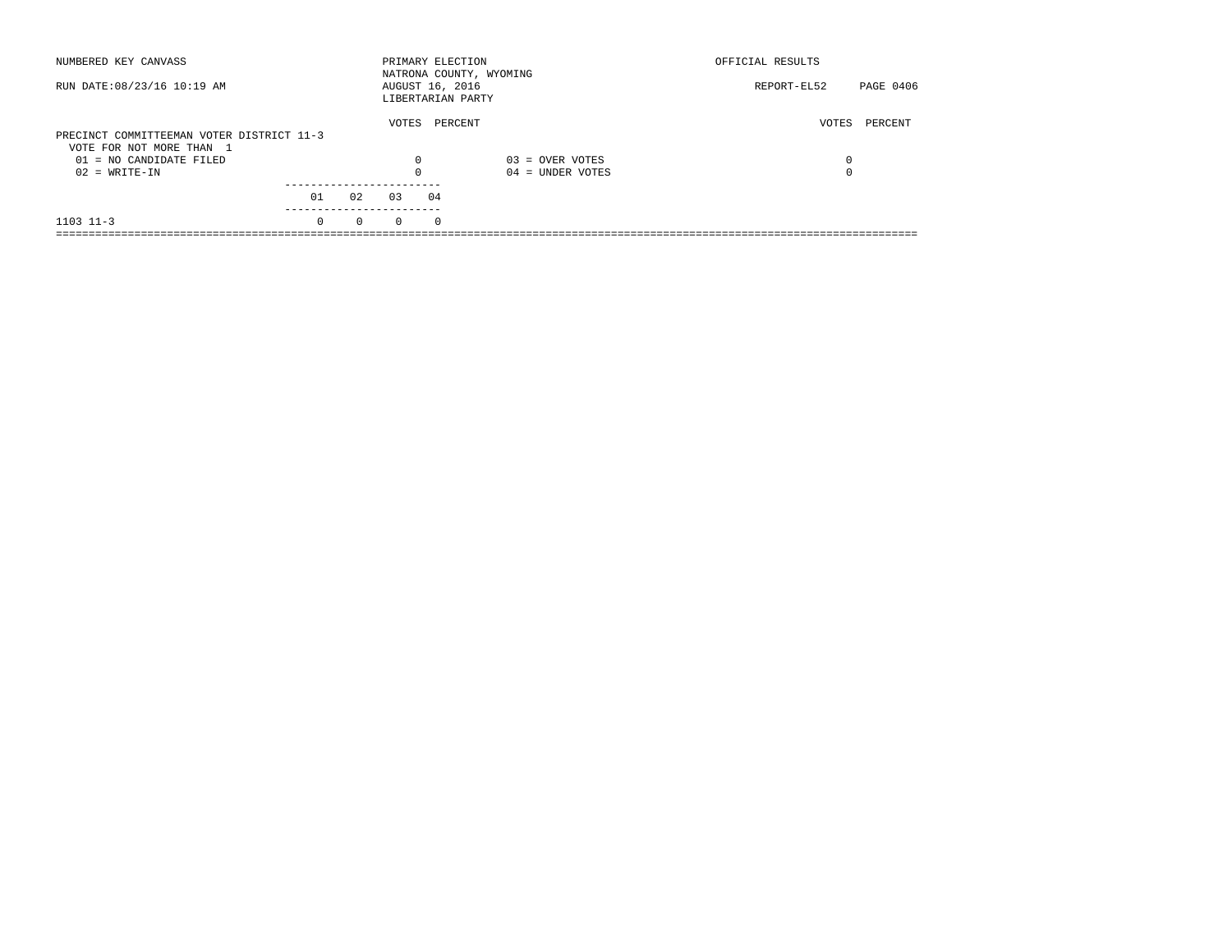| NUMBERED KEY CANVASS                                  |          |          | PRIMARY ELECTION |            | NATRONA COUNTY, WYOMING | OFFICIAL RESULTS |           |
|-------------------------------------------------------|----------|----------|------------------|------------|-------------------------|------------------|-----------|
| RUN DATE: 08/23/16 10:19 AM                           |          |          | AUGUST 16, 2016  |            | LIBERTARIAN PARTY       | REPORT-EL52      | PAGE 0406 |
| PRECINCT COMMITTEEMAN VOTER DISTRICT 11-3             |          |          | VOTES            |            | PERCENT                 | VOTES            | PERCENT   |
| VOTE FOR NOT MORE THAN 1<br>$01 = NO CANDIDATE FILED$ |          |          | $\Omega$         |            | $03 =$ OVER VOTES       | 0                |           |
| $02 = WRITE-IN$                                       |          |          |                  |            | $04 =$ UNDER VOTES      | $\Omega$         |           |
|                                                       | 01       | 02       | 03               | 04         |                         |                  |           |
| $1103$ $11-3$                                         | $\Omega$ | $\Omega$ | $\Omega$         | $^{\circ}$ |                         |                  |           |
|                                                       |          |          |                  |            |                         |                  |           |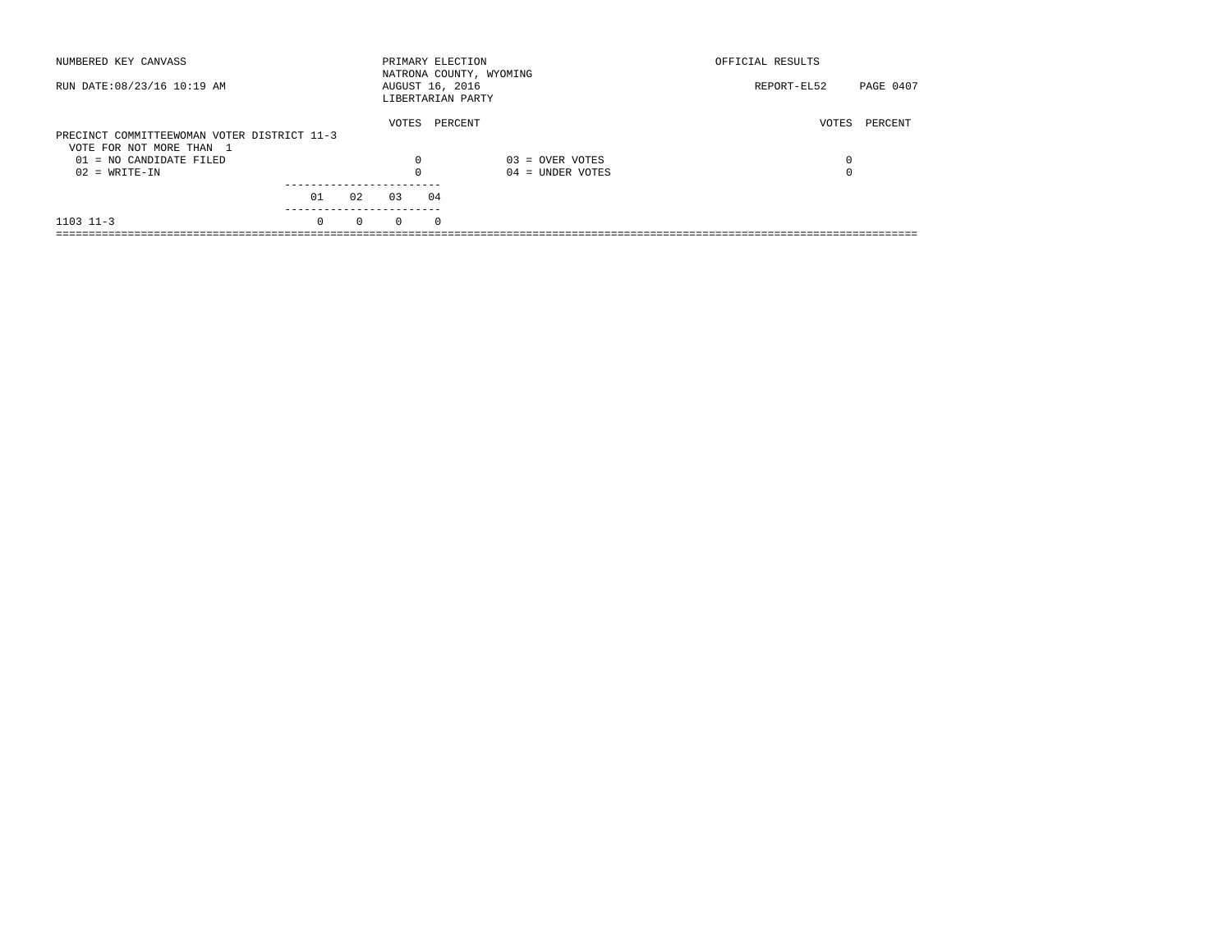| NUMBERED KEY CANVASS                        |          |          | PRIMARY ELECTION                     |            | NATRONA COUNTY, WYOMING | OFFICIAL RESULTS |           |
|---------------------------------------------|----------|----------|--------------------------------------|------------|-------------------------|------------------|-----------|
| RUN DATE: 08/23/16 10:19 AM                 |          |          | AUGUST 16, 2016<br>LIBERTARIAN PARTY |            |                         | REPORT-EL52      | PAGE 0407 |
|                                             |          |          | VOTES                                | PERCENT    |                         | VOTES            | PERCENT   |
| PRECINCT COMMITTEEWOMAN VOTER DISTRICT 11-3 |          |          |                                      |            |                         |                  |           |
| VOTE FOR NOT MORE THAN 1                    |          |          |                                      |            |                         |                  |           |
| $01 = NO CANDIDATE FILED$                   |          |          | $\Omega$                             |            | $03 =$ OVER VOTES       | 0                |           |
| $02 = WRITE-IN$                             |          |          |                                      |            | $04 =$ UNDER VOTES      | $\Omega$         |           |
|                                             |          |          |                                      |            |                         |                  |           |
|                                             | 01       | 02       | 03                                   | 04         |                         |                  |           |
| $1103$ $11-3$                               | $\Omega$ | $\Omega$ | $\Omega$                             | $^{\circ}$ |                         |                  |           |
|                                             |          |          |                                      |            |                         |                  |           |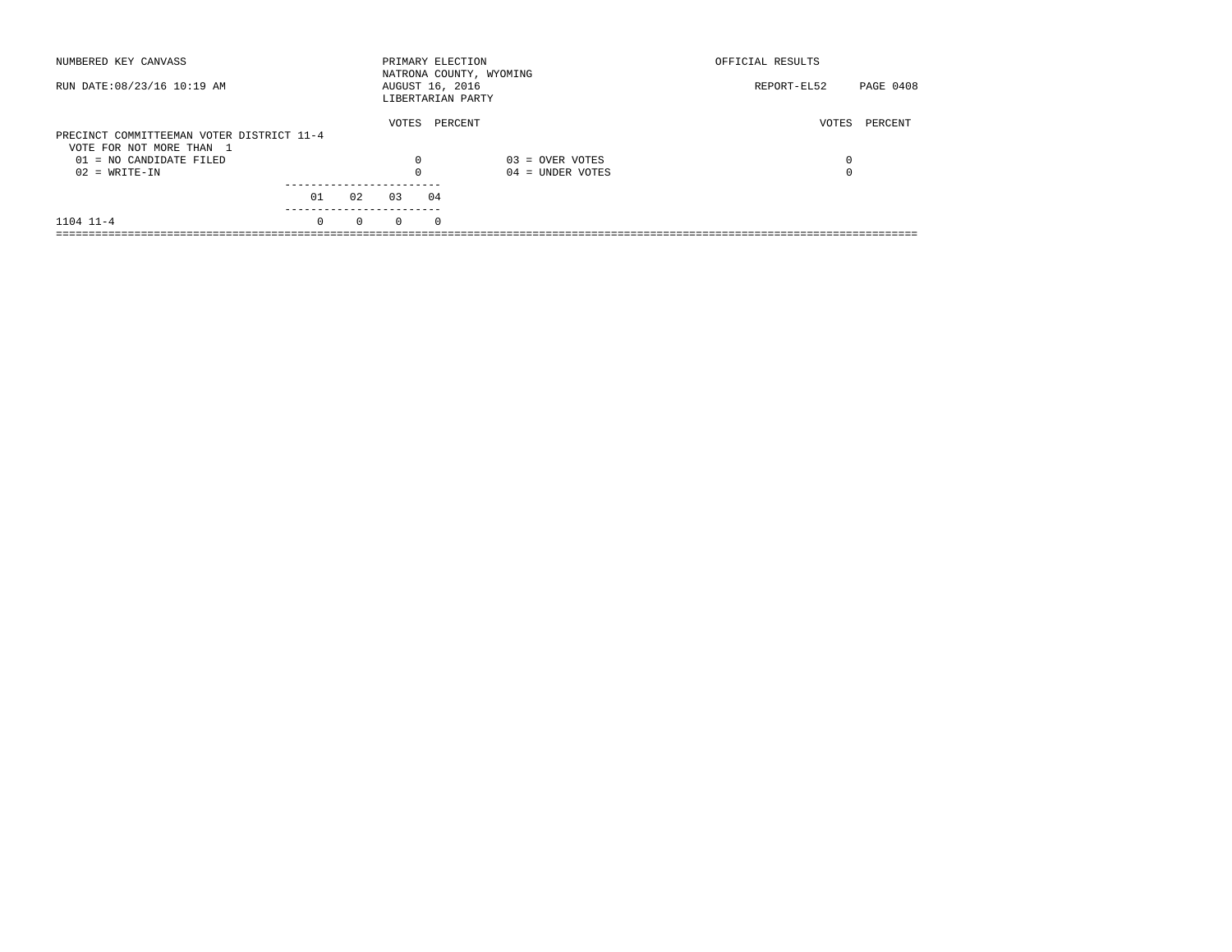| NUMBERED KEY CANVASS                                                  |          |          | PRIMARY ELECTION                     |            | NATRONA COUNTY, WYOMING | OFFICIAL RESULTS |           |
|-----------------------------------------------------------------------|----------|----------|--------------------------------------|------------|-------------------------|------------------|-----------|
| RUN DATE: 08/23/16 10:19 AM                                           |          |          | AUGUST 16, 2016<br>LIBERTARIAN PARTY |            |                         | REPORT-EL52      | PAGE 0408 |
| PRECINCT COMMITTEEMAN VOTER DISTRICT 11-4<br>VOTE FOR NOT MORE THAN 1 |          |          | VOTES                                | PERCENT    |                         | VOTES            | PERCENT   |
| $01 = NO CANDIDATE FILED$                                             |          |          | $\Omega$                             |            | $03 =$ OVER VOTES       | 0                |           |
| $02 = WRITE-IN$                                                       |          |          |                                      |            | $04 =$ UNDER VOTES      | $\Omega$         |           |
|                                                                       | 01       | 02       | 03                                   | 04         |                         |                  |           |
| $1104$ $11-4$                                                         | $\Omega$ | $\Omega$ | $\Omega$                             | $^{\circ}$ |                         |                  |           |
|                                                                       |          |          |                                      |            |                         |                  |           |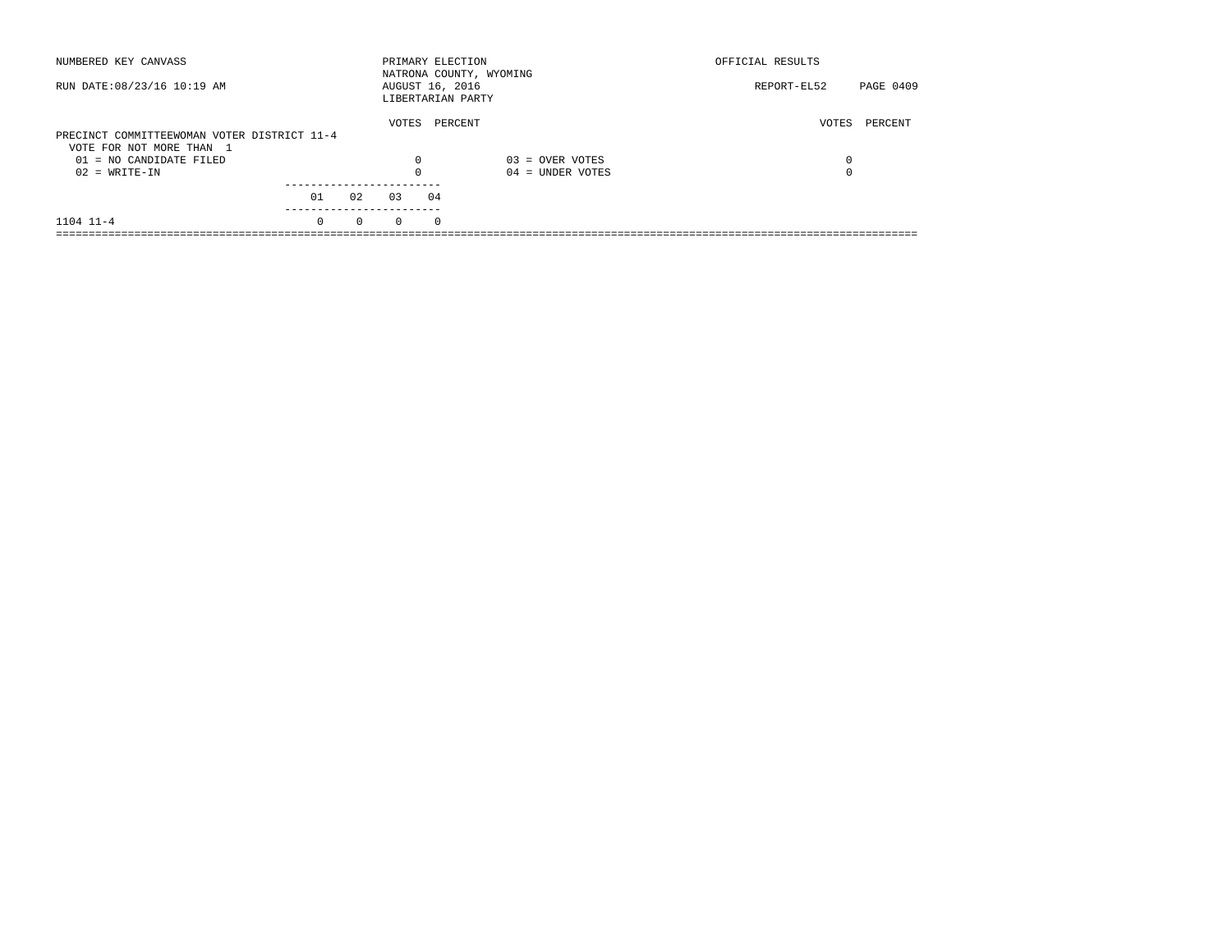| NUMBERED KEY CANVASS                        |          |          |          | PRIMARY ELECTION<br>NATRONA COUNTY, WYOMING |                    | OFFICIAL RESULTS |           |
|---------------------------------------------|----------|----------|----------|---------------------------------------------|--------------------|------------------|-----------|
| RUN DATE: 08/23/16 10:19 AM                 |          |          |          | AUGUST 16, 2016<br>LIBERTARIAN PARTY        |                    | REPORT-EL52      | PAGE 0409 |
| PRECINCT COMMITTEEWOMAN VOTER DISTRICT 11-4 |          |          | VOTES    | PERCENT                                     |                    | VOTES            | PERCENT   |
| VOTE FOR NOT MORE THAN 1                    |          |          |          |                                             |                    |                  |           |
| 01 = NO CANDIDATE FILED                     |          |          | 0        |                                             | $03 =$ OVER VOTES  | 0                |           |
| $02 = WRITE-IN$                             |          |          |          |                                             | $04 =$ UNDER VOTES | $\Omega$         |           |
|                                             | 01       | 02       | 03       | 04                                          |                    |                  |           |
|                                             |          |          |          |                                             |                    |                  |           |
| 1104 11-4                                   | $\Omega$ | $\Omega$ | $\Omega$ | $\Omega$                                    |                    |                  |           |
|                                             |          |          |          |                                             |                    |                  |           |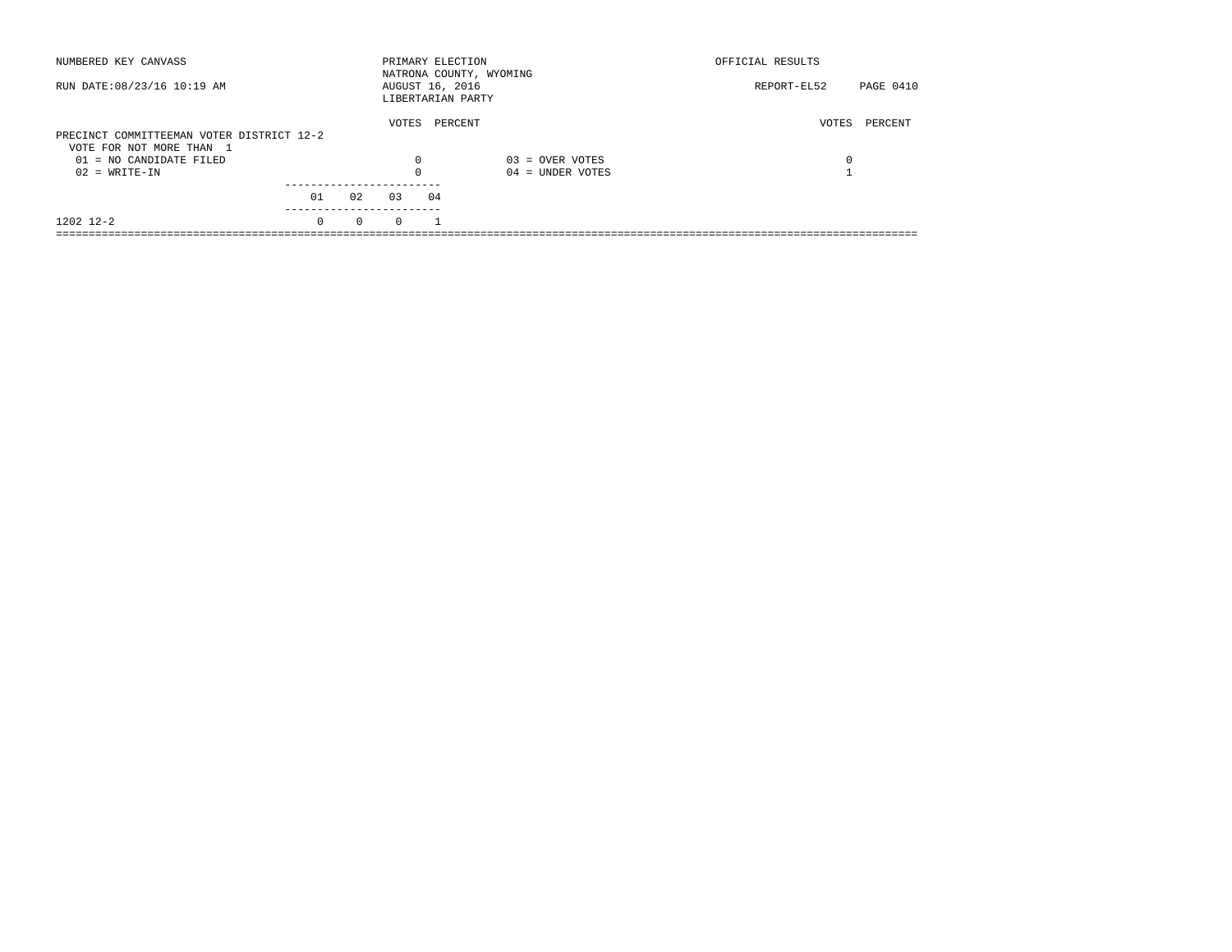| NUMBERED KEY CANVASS                                  |          |          | PRIMARY ELECTION                     |         | NATRONA COUNTY, WYOMING | OFFICIAL RESULTS         |  |
|-------------------------------------------------------|----------|----------|--------------------------------------|---------|-------------------------|--------------------------|--|
| RUN DATE: 08/23/16 10:19 AM                           |          |          | AUGUST 16, 2016<br>LIBERTARIAN PARTY |         |                         | PAGE 0410<br>REPORT-EL52 |  |
| PRECINCT COMMITTEEMAN VOTER DISTRICT 12-2             |          |          | VOTES                                | PERCENT |                         | PERCENT<br>VOTES         |  |
| VOTE FOR NOT MORE THAN 1<br>$01 = NO$ CANDIDATE FILED |          |          | $\Omega$                             |         | $03 =$ OVER VOTES       | 0                        |  |
| $02 = WRITE-IN$                                       |          |          |                                      |         | $04 =$ UNDER VOTES      |                          |  |
|                                                       | 01       | 02       | 0.3                                  | 04      |                         |                          |  |
| 1202 12-2                                             | $\Omega$ | $\Omega$ | $\Omega$                             |         |                         |                          |  |
|                                                       |          |          |                                      |         |                         |                          |  |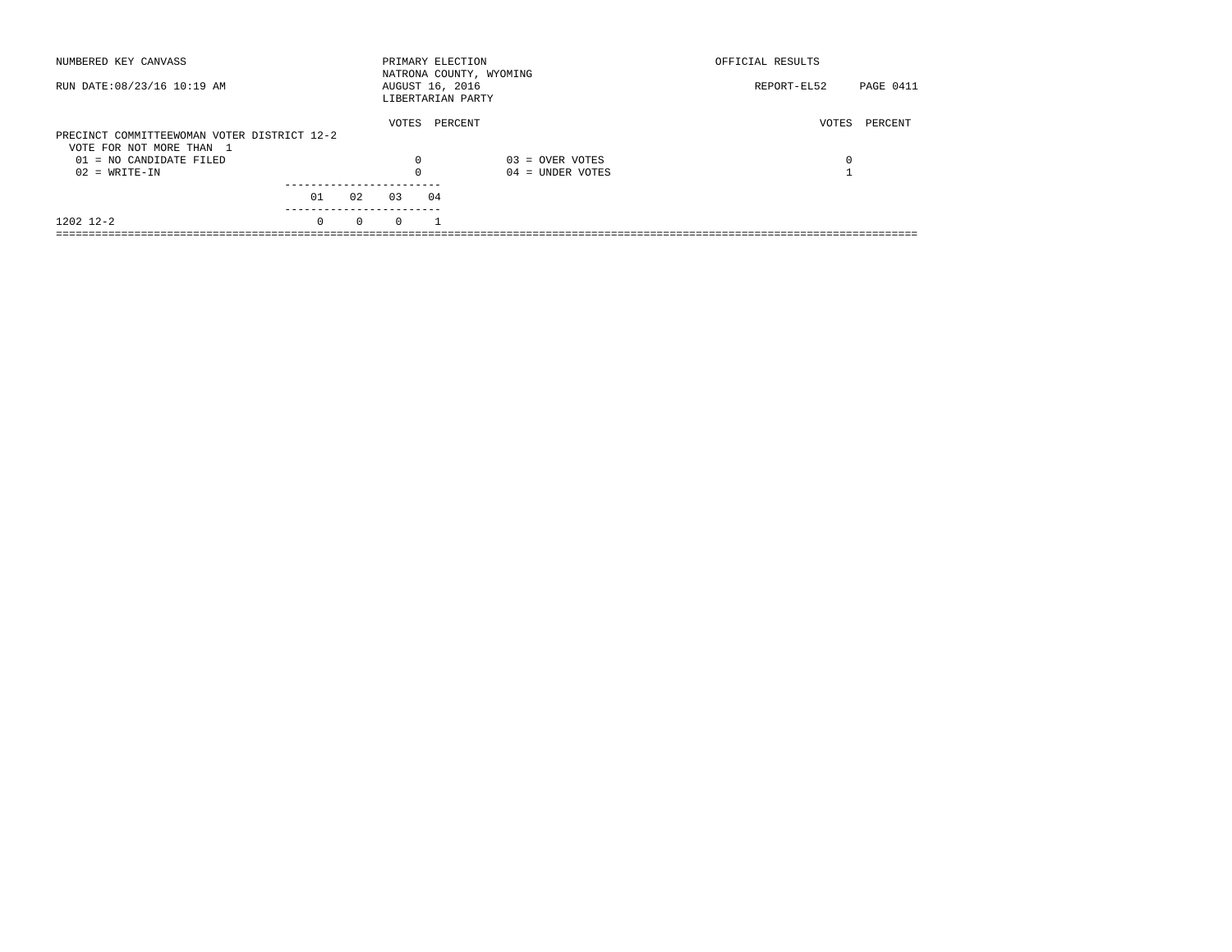| NUMBERED KEY CANVASS                        |          |          | PRIMARY ELECTION                     |         | NATRONA COUNTY, WYOMING | OFFICIAL RESULTS |                  |
|---------------------------------------------|----------|----------|--------------------------------------|---------|-------------------------|------------------|------------------|
| RUN DATE: 08/23/16 10:19 AM                 |          |          | AUGUST 16, 2016<br>LIBERTARIAN PARTY |         |                         | REPORT-EL52      | <b>PAGE 0411</b> |
|                                             |          |          | VOTES                                | PERCENT |                         | VOTES            | PERCENT          |
| PRECINCT COMMITTEEWOMAN VOTER DISTRICT 12-2 |          |          |                                      |         |                         |                  |                  |
| VOTE FOR NOT MORE THAN 1                    |          |          |                                      |         |                         |                  |                  |
| $01 = NO CANDIDATE FILED$                   |          |          | $\Omega$                             |         | $03 =$ OVER VOTES       | 0                |                  |
| $02 = WRITE-IN$                             |          |          |                                      |         | $04 =$ UNDER VOTES      |                  |                  |
|                                             |          |          |                                      |         |                         |                  |                  |
|                                             | 01       | 02       | 0.3                                  | 04      |                         |                  |                  |
| 1202 12-2                                   | $\Omega$ | $\Omega$ | $\Omega$                             |         |                         |                  |                  |
|                                             |          |          |                                      |         |                         |                  |                  |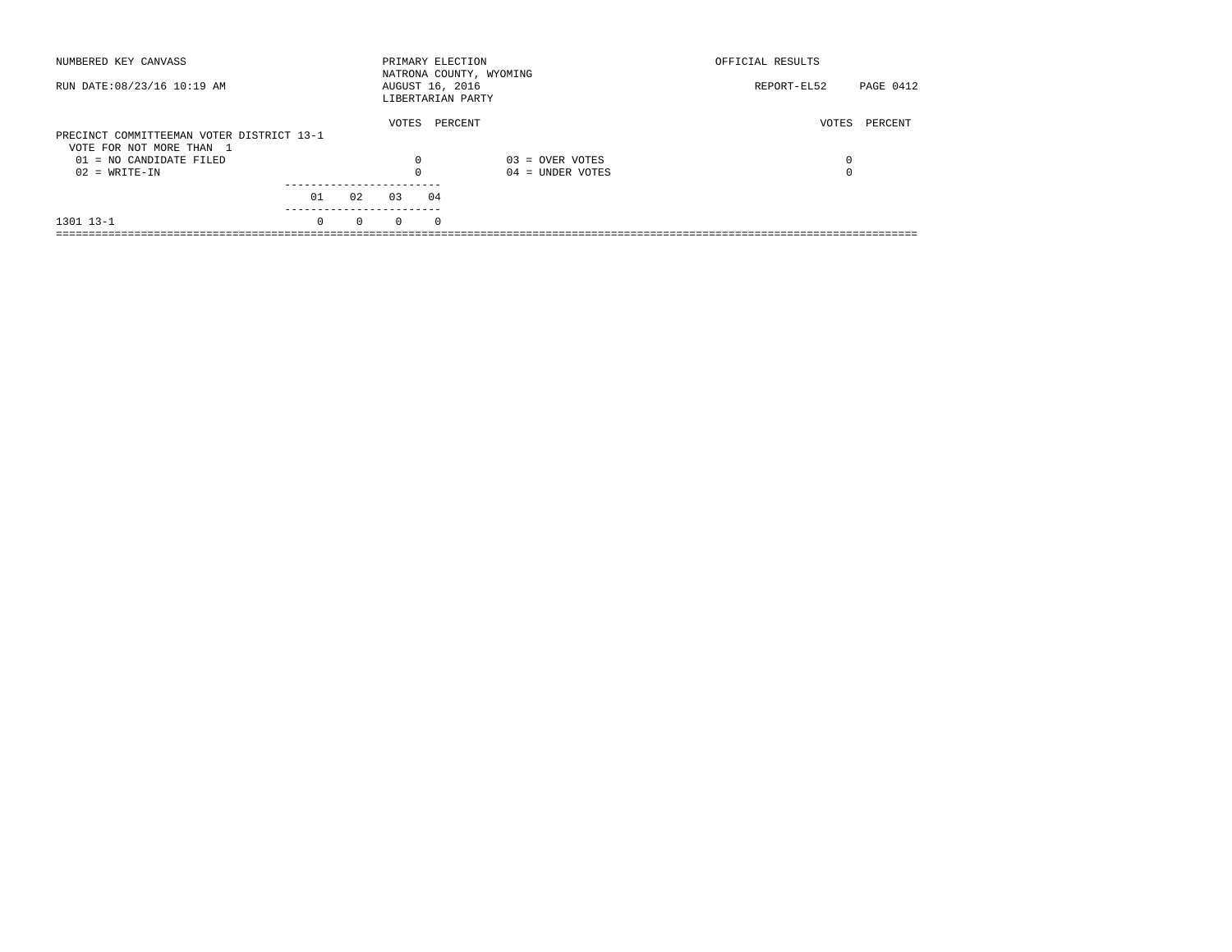| NUMBERED KEY CANVASS                                                  |          |          |          | PRIMARY ELECTION                     | NATRONA COUNTY, WYOMING | OFFICIAL RESULTS |           |
|-----------------------------------------------------------------------|----------|----------|----------|--------------------------------------|-------------------------|------------------|-----------|
| RUN DATE: 08/23/16 10:19 AM                                           |          |          |          | AUGUST 16, 2016<br>LIBERTARIAN PARTY |                         | REPORT-EL52      | PAGE 0412 |
| PRECINCT COMMITTEEMAN VOTER DISTRICT 13-1<br>VOTE FOR NOT MORE THAN 1 |          |          | VOTES    | PERCENT                              |                         | VOTES            | PERCENT   |
| $01 = NO CANDIDATE FILED$                                             |          |          | $\Omega$ |                                      | $03 =$ OVER VOTES       | 0                |           |
| $02 = WRITE-IN$                                                       |          |          |          |                                      | $04 =$ UNDER VOTES      | $\Omega$         |           |
|                                                                       | 01       | 02       | 03       | 04                                   |                         |                  |           |
| 1301 13-1                                                             | $\Omega$ | $\Omega$ | $\Omega$ | $^{\circ}$                           |                         |                  |           |
|                                                                       |          |          |          |                                      |                         |                  |           |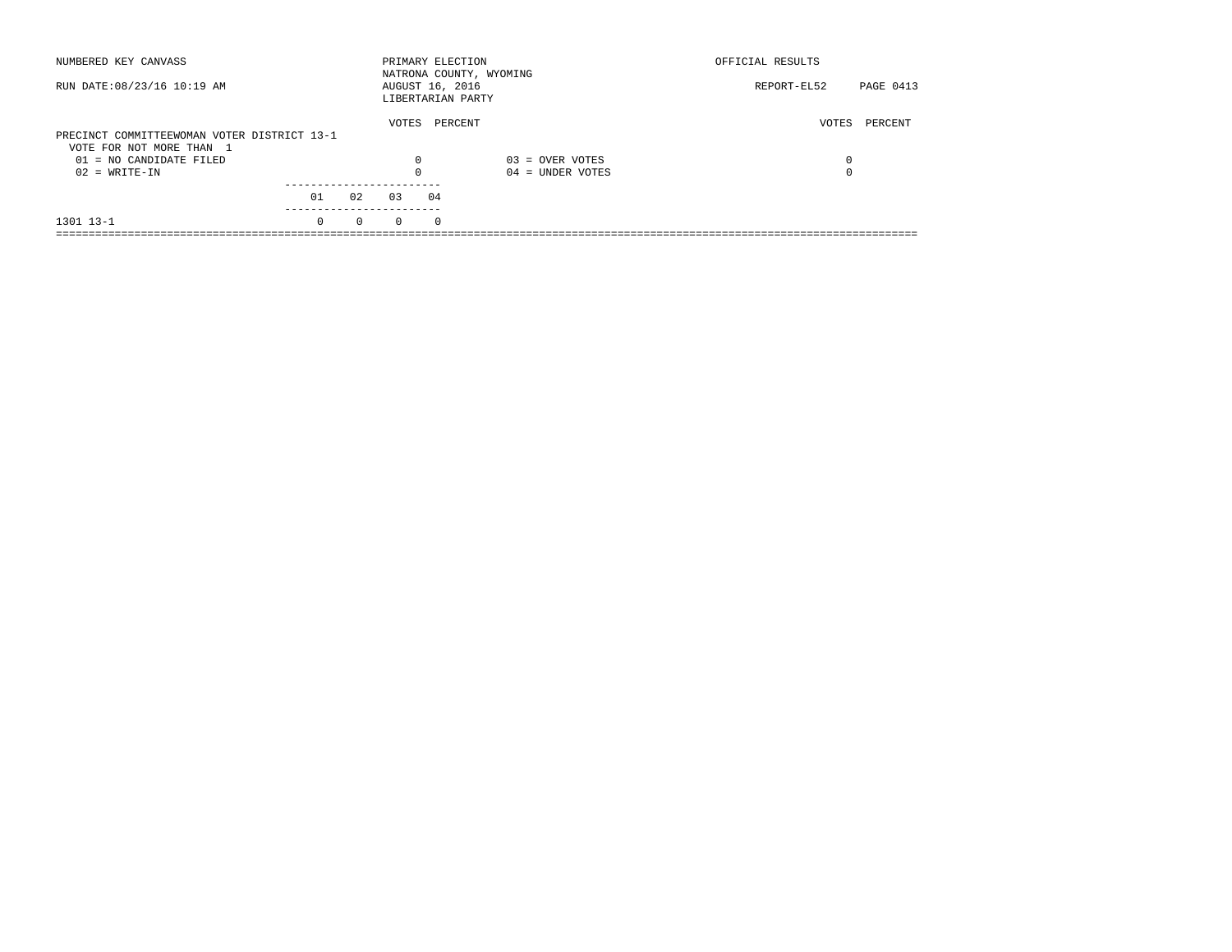| NUMBERED KEY CANVASS                        |          |          |          | PRIMARY ELECTION                     | NATRONA COUNTY, WYOMING | OFFICIAL RESULTS         |
|---------------------------------------------|----------|----------|----------|--------------------------------------|-------------------------|--------------------------|
| RUN DATE: 08/23/16 10:19 AM                 |          |          |          | AUGUST 16, 2016<br>LIBERTARIAN PARTY |                         | PAGE 0413<br>REPORT-EL52 |
|                                             |          |          | VOTES    | PERCENT                              |                         | VOTES<br>PERCENT         |
| PRECINCT COMMITTEEWOMAN VOTER DISTRICT 13-1 |          |          |          |                                      |                         |                          |
| VOTE FOR NOT MORE THAN 1                    |          |          |          |                                      |                         |                          |
| $01 = NO CANDIDATE FILED$                   |          |          | $\Omega$ |                                      | $03 =$ OVER VOTES       | 0                        |
| $02 = WRITE-IN$                             |          |          |          |                                      | $04 =$ UNDER VOTES      | $\Omega$                 |
|                                             |          |          |          |                                      |                         |                          |
|                                             | 01       | 02       | 03       | 04                                   |                         |                          |
| 1301 13-1                                   | $\Omega$ | $\Omega$ | $\Omega$ | $^{\circ}$                           |                         |                          |
|                                             |          |          |          |                                      |                         |                          |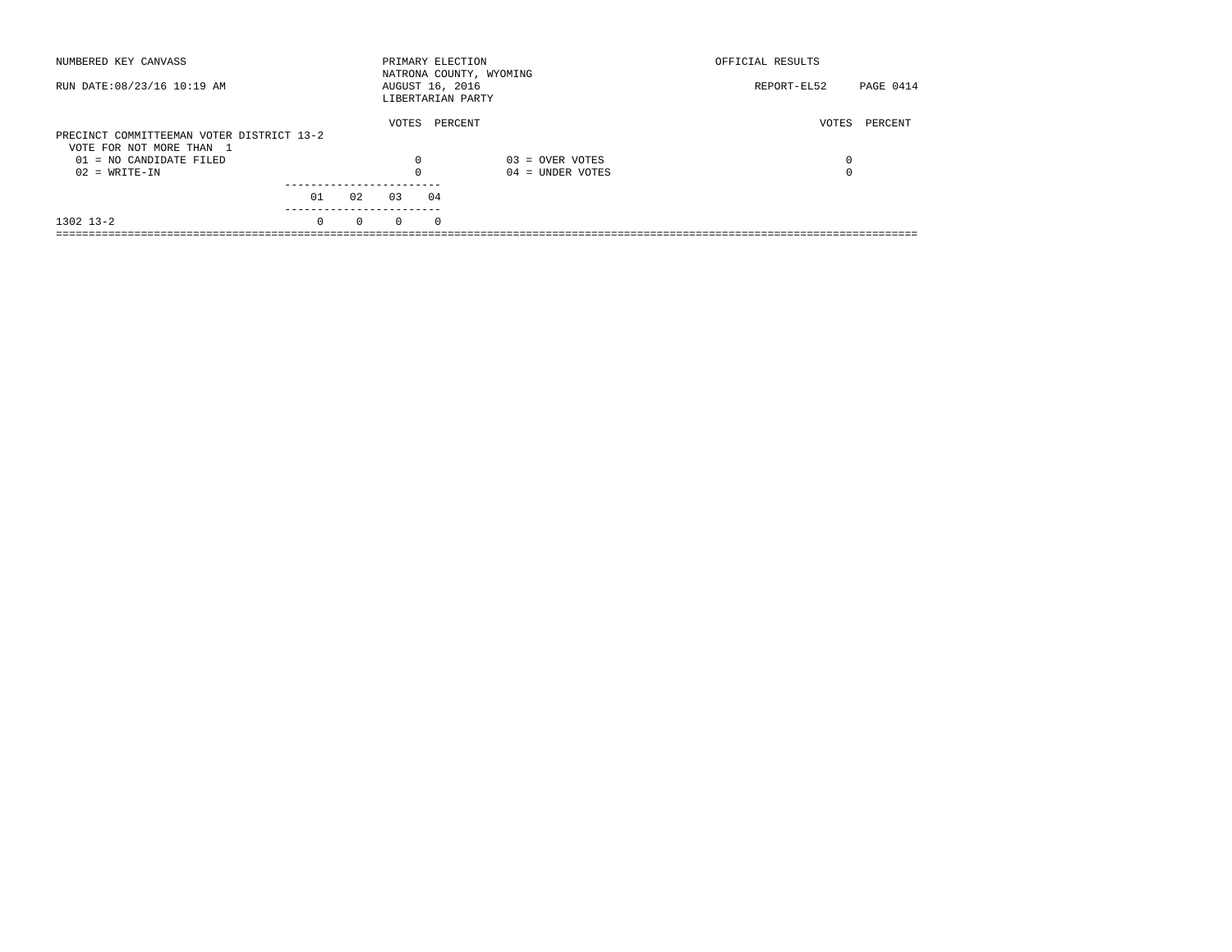| NUMBERED KEY CANVASS                                                  |          |          | PRIMARY ELECTION |    | NATRONA COUNTY, WYOMING | OFFICIAL RESULTS |                  |
|-----------------------------------------------------------------------|----------|----------|------------------|----|-------------------------|------------------|------------------|
| RUN DATE: 08/23/16 10:19 AM                                           |          |          | AUGUST 16, 2016  |    | LIBERTARIAN PARTY       | REPORT-EL52      | <b>PAGE 0414</b> |
| PRECINCT COMMITTEEMAN VOTER DISTRICT 13-2<br>VOTE FOR NOT MORE THAN 1 |          |          | VOTES            |    | PERCENT                 | VOTES            | PERCENT          |
| $01 = NO CANDIDATE FILED$                                             |          |          | $\Omega$         |    | $03 =$ OVER VOTES       | 0                |                  |
| $02 = WRITE-IN$                                                       |          |          |                  |    | $04 =$ UNDER VOTES      | 0                |                  |
|                                                                       | 01       | 02       | 0.3              | 04 |                         |                  |                  |
| $1302$ $13-2$                                                         | $\Omega$ | $\Omega$ | $\Omega$         | 0  |                         |                  |                  |
|                                                                       |          |          |                  |    |                         |                  |                  |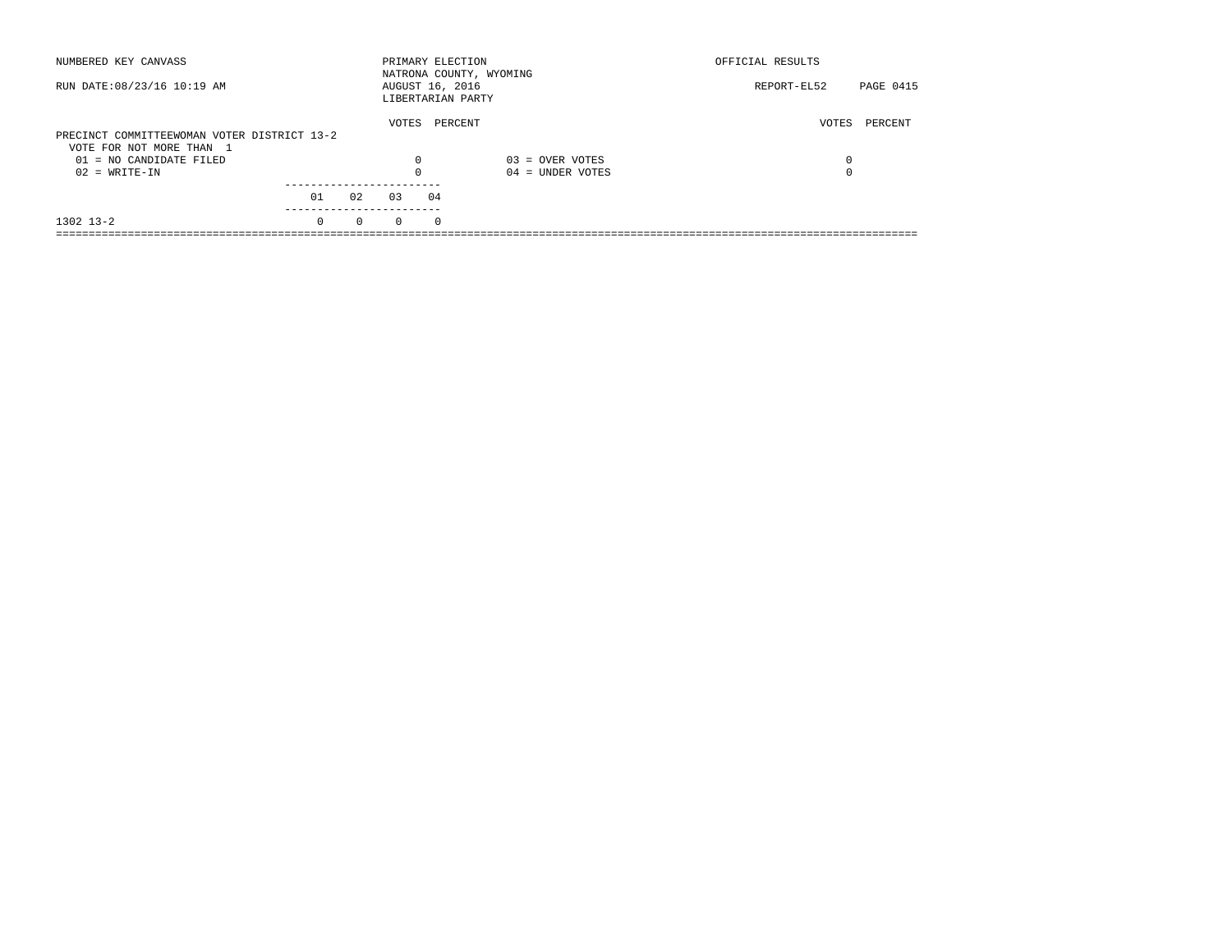| NUMBERED KEY CANVASS                        |          |          |          | PRIMARY ELECTION                     | NATRONA COUNTY, WYOMING | OFFICIAL RESULTS         |  |
|---------------------------------------------|----------|----------|----------|--------------------------------------|-------------------------|--------------------------|--|
| RUN DATE: 08/23/16 10:19 AM                 |          |          |          | AUGUST 16, 2016<br>LIBERTARIAN PARTY |                         | PAGE 0415<br>REPORT-EL52 |  |
|                                             |          |          | VOTES    | PERCENT                              |                         | VOTES<br>PERCENT         |  |
| PRECINCT COMMITTEEWOMAN VOTER DISTRICT 13-2 |          |          |          |                                      |                         |                          |  |
| VOTE FOR NOT MORE THAN 1                    |          |          |          |                                      |                         |                          |  |
| $01 = NO CANDIDATE FILED$                   |          |          | $\Omega$ |                                      | $03 =$ OVER VOTES       | 0                        |  |
| $02 = WRITE-IN$                             |          |          |          |                                      | $04 =$ UNDER VOTES      | $\Omega$                 |  |
|                                             |          |          |          |                                      |                         |                          |  |
|                                             | 01       | 02       | 03       | 04                                   |                         |                          |  |
| $1302$ $13-2$                               | $\Omega$ | $\Omega$ | $\Omega$ | $^{\circ}$                           |                         |                          |  |
|                                             |          |          |          |                                      |                         |                          |  |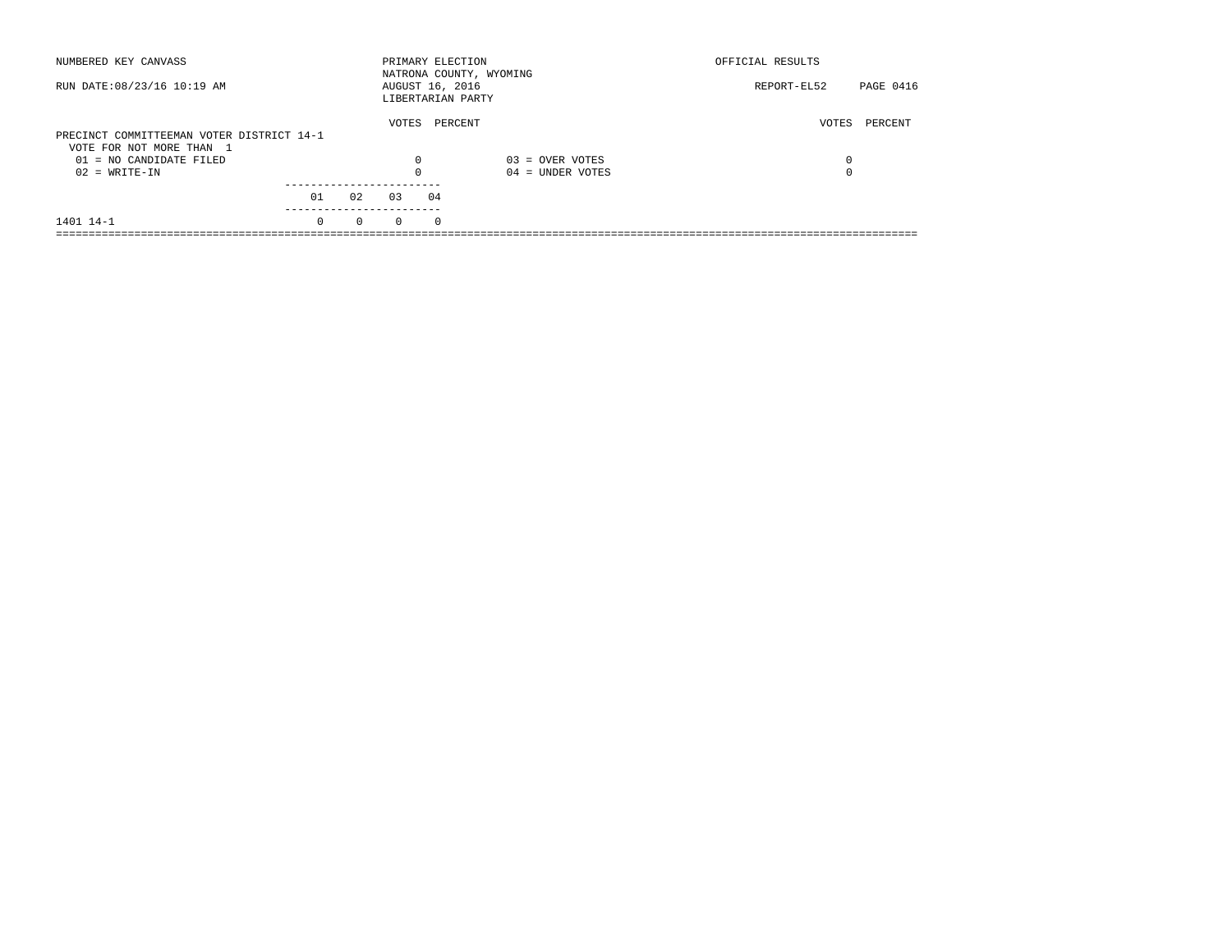| NUMBERED KEY CANVASS                                                  |          |          | PRIMARY ELECTION                     |    | NATRONA COUNTY, WYOMING | OFFICIAL RESULTS |           |
|-----------------------------------------------------------------------|----------|----------|--------------------------------------|----|-------------------------|------------------|-----------|
| RUN DATE: 08/23/16 10:19 AM                                           |          |          | AUGUST 16, 2016<br>LIBERTARIAN PARTY |    |                         | REPORT-EL52      | PAGE 0416 |
| PRECINCT COMMITTEEMAN VOTER DISTRICT 14-1<br>VOTE FOR NOT MORE THAN 1 |          |          | VOTES                                |    | PERCENT                 | VOTES            | PERCENT   |
| $01 = NO CANDIDATE FILED$                                             |          |          | $\Omega$                             |    | $03 =$ OVER VOTES       | 0                |           |
| $02 = WRITE-IN$                                                       |          |          |                                      |    | $04 =$ UNDER VOTES      | 0                |           |
|                                                                       |          |          |                                      |    |                         |                  |           |
|                                                                       | 01       | 02       | 0.3                                  | 04 |                         |                  |           |
| 1401 14-1                                                             | $\Omega$ | $\Omega$ | $\Omega$                             | 0  |                         |                  |           |
|                                                                       |          |          |                                      |    |                         |                  |           |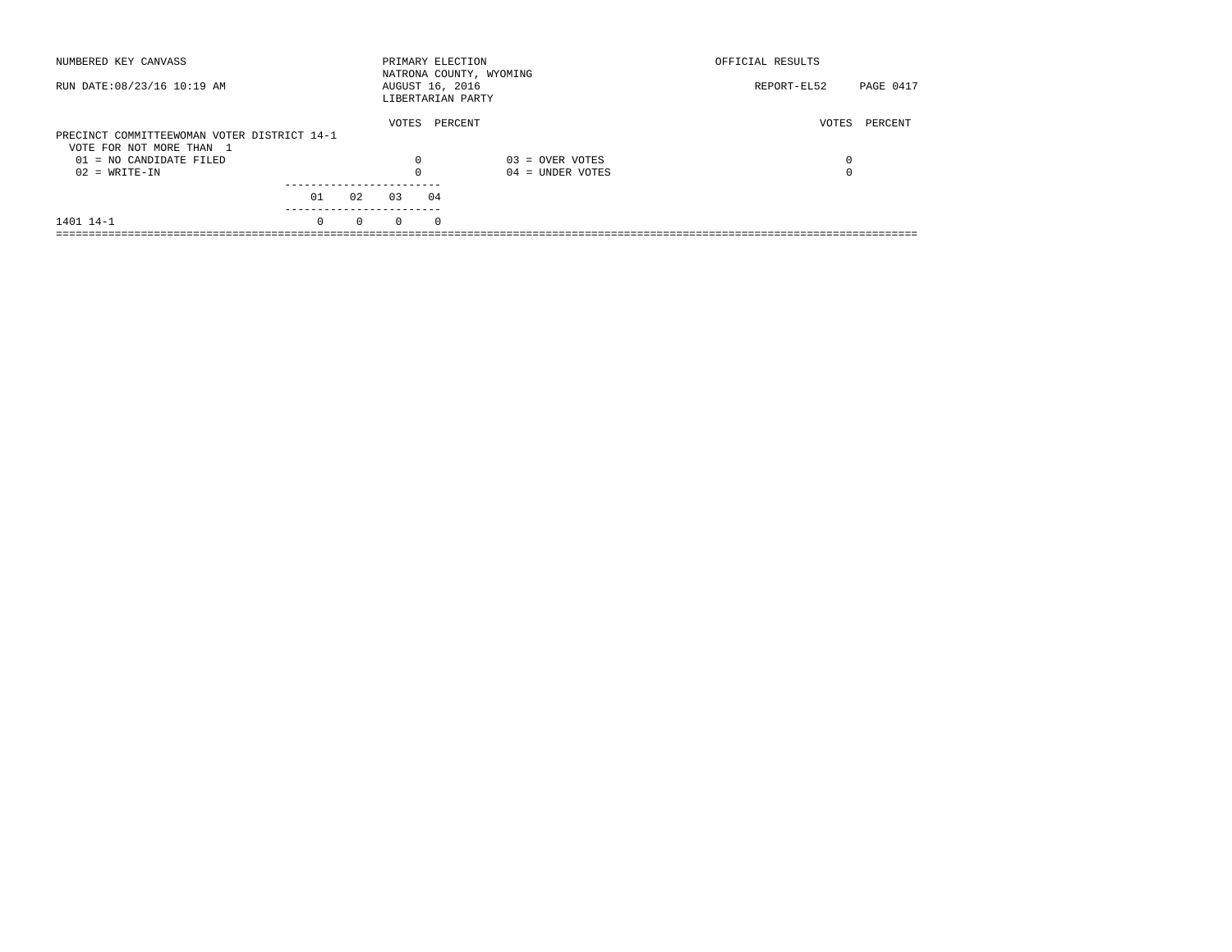| NUMBERED KEY CANVASS                        |          |          |          | PRIMARY ELECTION                     | NATRONA COUNTY, WYOMING | OFFICIAL RESULTS                |  |
|---------------------------------------------|----------|----------|----------|--------------------------------------|-------------------------|---------------------------------|--|
| RUN DATE: 08/23/16 10:19 AM                 |          |          |          | AUGUST 16, 2016<br>LIBERTARIAN PARTY |                         | <b>PAGE 0417</b><br>REPORT-EL52 |  |
|                                             |          |          | VOTES    | PERCENT                              |                         | VOTES<br>PERCENT                |  |
| PRECINCT COMMITTEEWOMAN VOTER DISTRICT 14-1 |          |          |          |                                      |                         |                                 |  |
| VOTE FOR NOT MORE THAN 1                    |          |          |          |                                      |                         |                                 |  |
| $01 = NO CANDIDATE FILED$                   |          |          | $\Omega$ |                                      | $03 =$ OVER VOTES       | 0                               |  |
| $02 = WRITE-IN$                             |          |          |          |                                      | $04 =$ UNDER VOTES      | $\Omega$                        |  |
|                                             |          |          |          |                                      |                         |                                 |  |
|                                             | 01       | 02       | 03       | 04                                   |                         |                                 |  |
| 1401 14-1                                   | $\Omega$ | $\Omega$ | $\Omega$ | $^{\circ}$                           |                         |                                 |  |
|                                             |          |          |          |                                      |                         |                                 |  |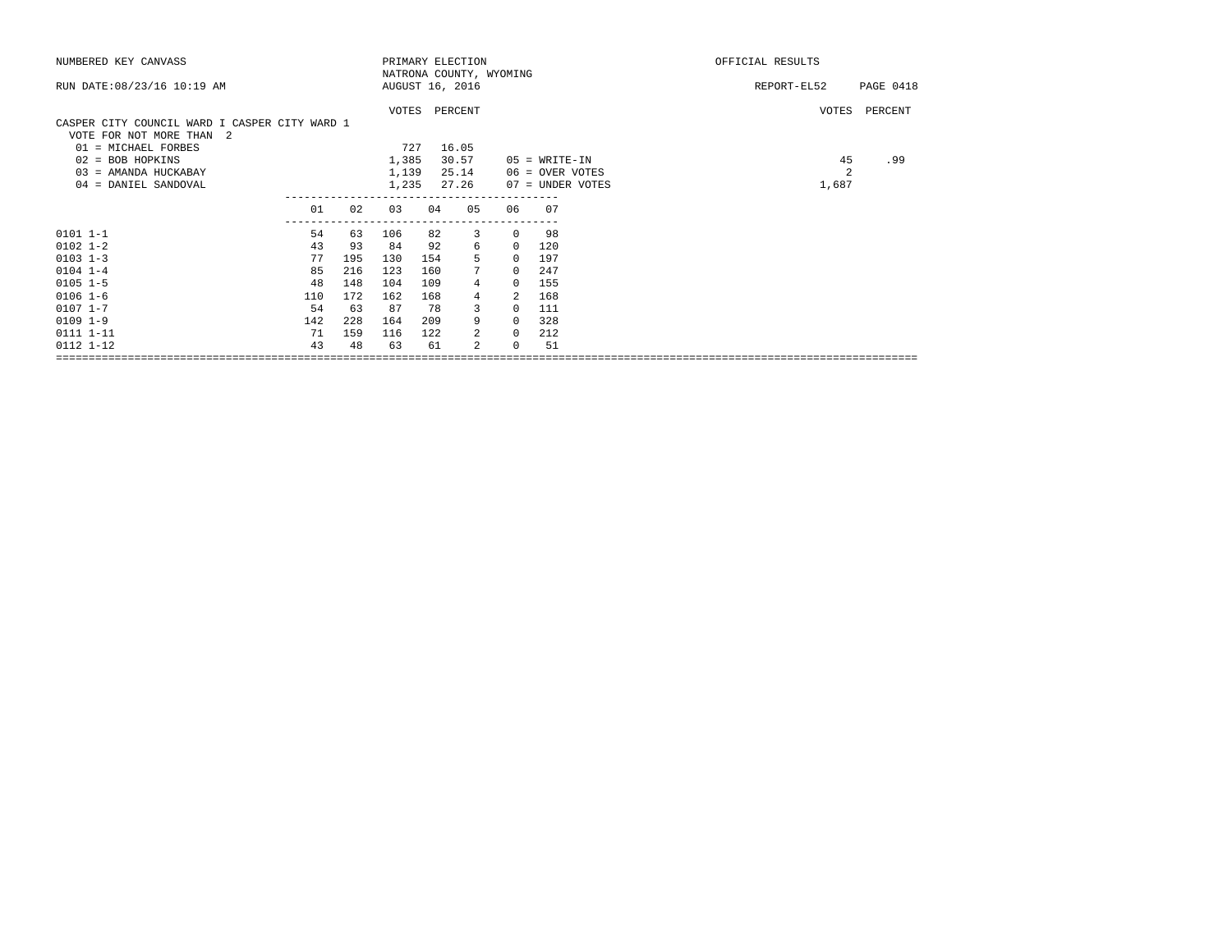| NUMBERED KEY CANVASS                          |                     |     |       |     | PRIMARY ELECTION            |               |                  | OFFICIAL RESULTS |           |
|-----------------------------------------------|---------------------|-----|-------|-----|-----------------------------|---------------|------------------|------------------|-----------|
|                                               |                     |     |       |     | NATRONA COUNTY, WYOMING     |               |                  |                  |           |
| RUN DATE: 08/23/16 10:19 AM                   |                     |     |       |     | AUGUST 16, 2016             |               |                  | REPORT-EL52      | PAGE 0418 |
|                                               |                     |     |       |     |                             |               |                  |                  |           |
|                                               |                     |     |       |     | VOTES PERCENT               |               |                  | VOTES            | PERCENT   |
| CASPER CITY COUNCIL WARD I CASPER CITY WARD 1 |                     |     |       |     |                             |               |                  |                  |           |
| VOTE FOR NOT MORE THAN 2                      |                     |     |       |     |                             |               |                  |                  |           |
| 01 = MICHAEL FORBES                           |                     |     | 727   |     | 16.05                       |               |                  |                  |           |
| $02 = BOB HOPKINS$                            |                     |     | 1,385 |     | 30.57                       |               | $05$ = WRITE-IN  | 45               | .99       |
| 03 = AMANDA HUCKABAY                          |                     |     | 1,139 |     | 25.14                       |               | 06 = OVER VOTES  | 2                |           |
| 04 = DANIEL SANDOVAL                          |                     |     | 1,235 |     | 27.26                       |               | 07 = UNDER VOTES | 1,687            |           |
|                                               |                     |     |       |     |                             |               |                  |                  |           |
|                                               | 01<br>------------- | 02  | 03    | 04  | 05<br>--------------------- | 06            | 07               |                  |           |
| $0101$ 1-1                                    | 54                  | 63  | 106   | 82  | 3                           | $\Omega$      | 98               |                  |           |
| $0102$ $1 - 2$                                | 43                  | 93  | 84    | 92  | 6                           | $\Omega$      | 120              |                  |           |
| $0103$ $1-3$                                  | 77                  | 195 | 130   | 154 | 5                           | $\Omega$      | 197              |                  |           |
| $0104$ 1-4                                    | 85                  | 216 | 123   | 160 | $7\overline{ }$             | $\Omega$      | 247              |                  |           |
| $0105$ 1-5                                    | 48                  | 148 | 104   | 109 | 4                           | $\Omega$      | 155              |                  |           |
| $0106 1 - 6$                                  | 110                 | 172 | 162   | 168 | $\overline{4}$              | $\mathcal{L}$ | 168              |                  |           |
| $0107$ $1 - 7$                                | 54                  | 63  | 87    | 78  | 3                           | $\Omega$      | 111              |                  |           |
| $0109$ $1-9$                                  | 142                 | 228 | 164   | 209 | 9                           | $\Omega$      | 328              |                  |           |
| 0111 1-11                                     | 71                  | 159 | 116   | 122 | 2                           | $\Omega$      | 212              |                  |           |
| 0112 1-12                                     | 43                  | 48  | 63    | 61  | 2                           | $\Omega$      | 51               |                  |           |
|                                               |                     |     |       |     |                             |               |                  |                  |           |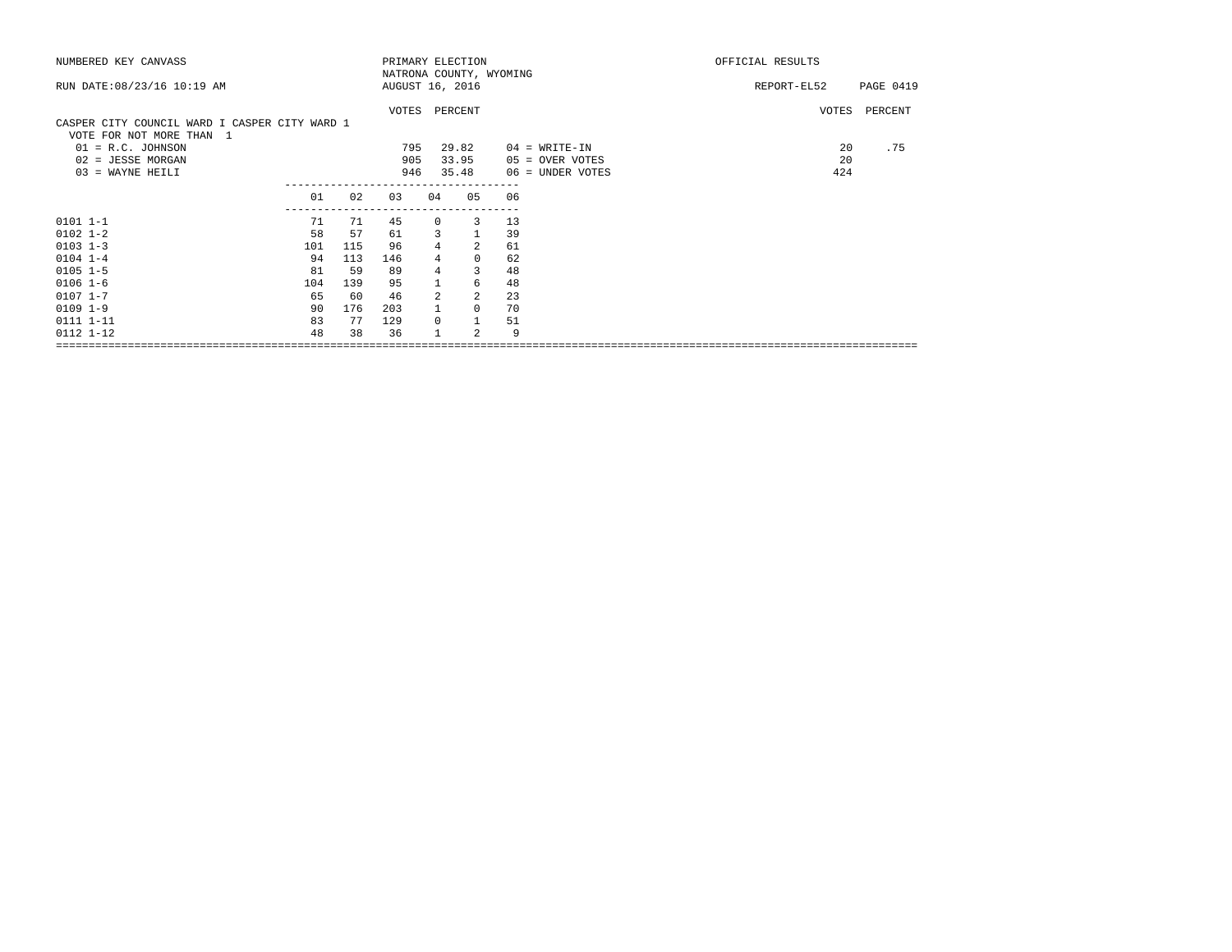| NUMBERED KEY CANVASS                          |     |     | PRIMARY ELECTION |                |                         |    |                  | OFFICIAL RESULTS |           |
|-----------------------------------------------|-----|-----|------------------|----------------|-------------------------|----|------------------|------------------|-----------|
| RUN DATE: 08/23/16 10:19 AM                   |     |     | AUGUST 16, 2016  |                | NATRONA COUNTY, WYOMING |    |                  | REPORT-EL52      | PAGE 0419 |
|                                               |     |     |                  |                |                         |    |                  |                  |           |
|                                               |     |     | VOTES PERCENT    |                |                         |    |                  | VOTES            | PERCENT   |
| CASPER CITY COUNCIL WARD I CASPER CITY WARD 1 |     |     |                  |                |                         |    |                  |                  |           |
| VOTE FOR NOT MORE THAN 1                      |     |     |                  |                |                         |    |                  |                  |           |
| $01 = R.C.$ JOHNSON                           |     |     | 795              |                | 29.82                   |    | $04 = WRITE-IN$  | 20               | .75       |
| 02 = JESSE MORGAN                             |     |     | 905              |                | 33.95                   |    | 05 = OVER VOTES  | 20               |           |
| 03 = WAYNE HEILI                              |     |     | 946              |                | 35.48                   |    | 06 = UNDER VOTES | 424              |           |
|                                               | 01  | 02  | 03               | 04             | 05                      | 06 |                  |                  |           |
|                                               |     |     |                  |                |                         |    |                  |                  |           |
| $0101 1 - 1$                                  | 71  | 71  | 45               | 0              | 3                       | 13 |                  |                  |           |
| $0102$ $1 - 2$                                | 58  | 57  | 61               | 3              | $\mathbf{1}$            | 39 |                  |                  |           |
| $0103$ $1-3$                                  | 101 | 115 | 96               | $\overline{4}$ | $\overline{a}$          | 61 |                  |                  |           |
| $0104$ $1-4$                                  | 94  | 113 | 146              |                | $\mathbf 0$             | 62 |                  |                  |           |
| $0105$ 1-5                                    | 81  | 59  | 89               |                | 3                       | 48 |                  |                  |           |
| $0106$ $1-6$                                  | 104 | 139 | 95               |                | 6                       | 48 |                  |                  |           |
| $0107$ $1-7$                                  | 65  | 60  | 46               | $\overline{a}$ | $\overline{a}$          | 23 |                  |                  |           |
| $0109$ $1-9$                                  | 90  | 176 | 203              |                | 0                       | 70 |                  |                  |           |
| 0111 1-11                                     | 83  | 77  | 129              | $\mathbf 0$    | $\mathbf{1}$            | 51 |                  |                  |           |
| $0112$ $1-12$                                 | 48  | 38  | 36               |                | 2                       | 9  |                  |                  |           |
|                                               |     |     |                  |                |                         |    |                  |                  |           |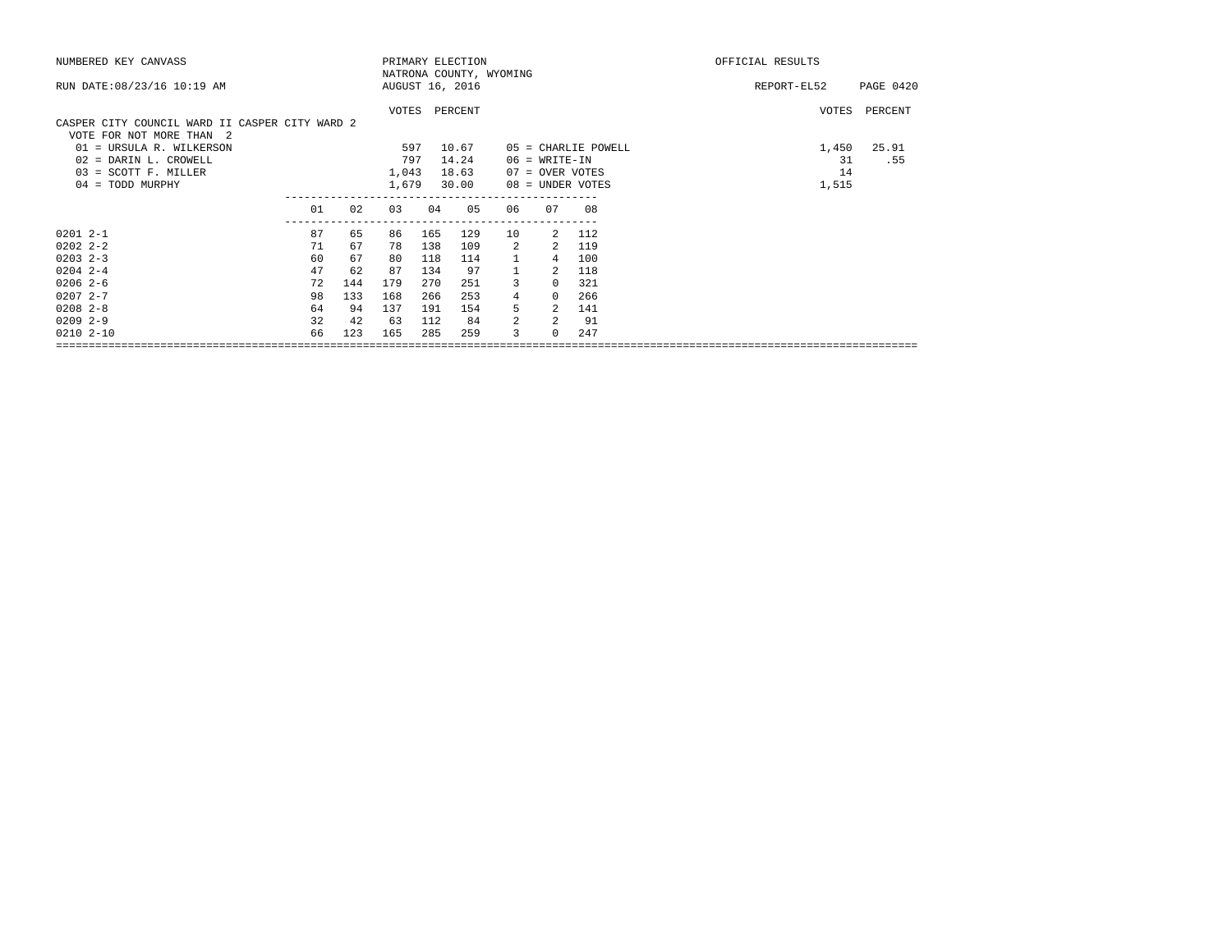| NUMBERED KEY CANVASS                           |    |                 |       |     | PRIMARY ELECTION        |                |                 |                       | OFFICIAL RESULTS         |  |
|------------------------------------------------|----|-----------------|-------|-----|-------------------------|----------------|-----------------|-----------------------|--------------------------|--|
|                                                |    |                 |       |     | NATRONA COUNTY, WYOMING |                |                 |                       |                          |  |
| RUN DATE: 08/23/16 10:19 AM                    |    | AUGUST 16, 2016 |       |     |                         |                |                 |                       | REPORT-EL52<br>PAGE 0420 |  |
|                                                |    |                 |       |     |                         |                |                 |                       |                          |  |
|                                                |    |                 |       |     | VOTES PERCENT           |                |                 |                       | VOTES PERCENT            |  |
| CASPER CITY COUNCIL WARD II CASPER CITY WARD 2 |    |                 |       |     |                         |                |                 |                       |                          |  |
| VOTE FOR NOT MORE THAN 2                       |    |                 |       |     |                         |                |                 |                       |                          |  |
| 01 = URSULA R. WILKERSON                       |    |                 | 597   |     | 10.67                   |                |                 | $05 =$ CHARLIE POWELL | 25.91<br>1,450           |  |
| 02 = DARIN L. CROWELL                          |    |                 | 797   |     | 14.24                   |                | $06$ = WRITE-IN |                       | 31<br>.55                |  |
| 03 = SCOTT F. MILLER                           |    |                 | 1,043 |     | 18.63                   |                | 07 = OVER VOTES |                       | 14                       |  |
| 04 = TODD MURPHY                               |    |                 | 1,679 |     | 30.00                   |                |                 | 08 = UNDER VOTES      | 1,515                    |  |
|                                                | 01 | 02              | 03    | 04  | 05                      | 06             | 07              | 08                    |                          |  |
|                                                |    |                 |       |     |                         |                |                 |                       |                          |  |
| $02012 - -1$                                   | 87 | 65              | 86    | 165 | 129                     | 10             | $\overline{2}$  | 112                   |                          |  |
| $0202$ $2 - 2$                                 | 71 | 67              | 78    | 138 | 109                     | 2              | 2               | 119                   |                          |  |
| $0203$ $2-3$                                   | 60 | 67              | 80    | 118 | 114                     | $\mathbf{1}$   | 4               | 100                   |                          |  |
| $0204$ 2-4                                     | 47 | 62              | 87    | 134 | 97                      |                | $\mathcal{L}$   | 118                   |                          |  |
| $0206$ 2-6                                     | 72 | 144             | 179   | 270 | 251                     | 3              | $\Omega$        | 321                   |                          |  |
| $02072 - -7$                                   | 98 | 133             | 168   | 266 | 253                     | $\overline{4}$ | $\Omega$        | 266                   |                          |  |
| $0208$ 2-8                                     | 64 | 94              | 137   | 191 | 154                     | 5              | 2               | 141                   |                          |  |
| $0209$ 2-9                                     | 32 | 42              | 63    | 112 | 84                      | $\overline{2}$ | $\mathcal{L}$   | 91                    |                          |  |
| $02102 - 10$                                   | 66 | 123             | 165   | 285 | 259                     | 3              | 0               | 247                   |                          |  |
|                                                |    |                 |       |     |                         |                |                 |                       |                          |  |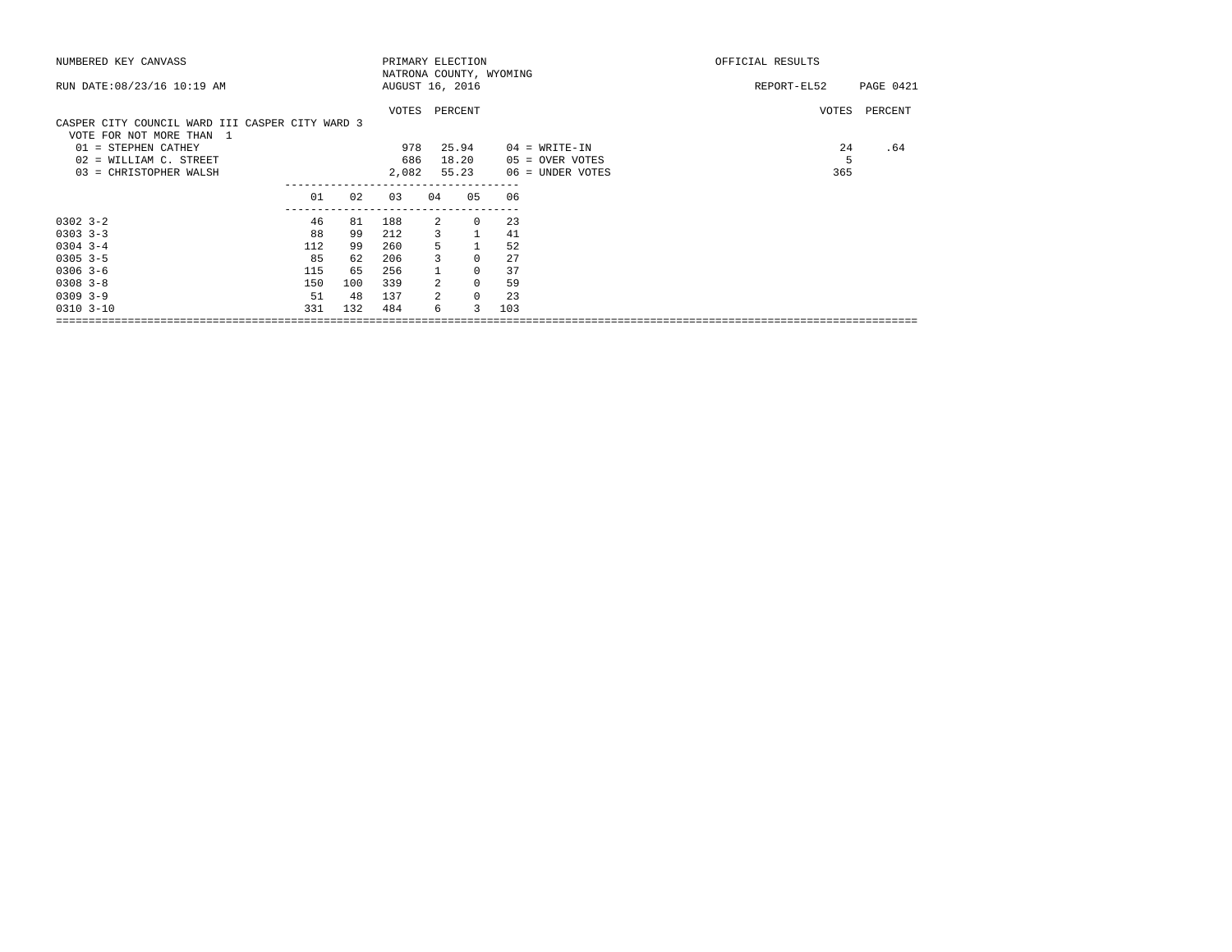| NUMBERED KEY CANVASS                                                        |                     |     | PRIMARY ELECTION        |                |              |     |                  | OFFICIAL RESULTS |           |
|-----------------------------------------------------------------------------|---------------------|-----|-------------------------|----------------|--------------|-----|------------------|------------------|-----------|
|                                                                             |                     |     | NATRONA COUNTY, WYOMING |                |              |     |                  |                  |           |
| RUN DATE: 08/23/16 10:19 AM                                                 |                     |     | AUGUST 16, 2016         |                |              |     |                  | REPORT-EL52      | PAGE 0421 |
| CASPER CITY COUNCIL WARD III CASPER CITY WARD 3<br>VOTE FOR NOT MORE THAN 1 |                     |     | VOTES PERCENT           |                |              |     |                  | VOTES            | PERCENT   |
| 01 = STEPHEN CATHEY                                                         |                     |     | 978                     |                | 25.94        |     | $04 = WRITE-IN$  | 24               | .64       |
| 02 = WILLIAM C. STREET                                                      |                     |     | 686                     |                | 18.20        |     | 05 = OVER VOTES  | 5                |           |
| 03 = CHRISTOPHER WALSH                                                      |                     |     | 2,082                   |                | 55.23        |     | 06 = UNDER VOTES | 365              |           |
|                                                                             |                     |     |                         |                |              |     |                  |                  |           |
|                                                                             | 01                  | 02  | 03                      | 04             | 05           | 06  |                  |                  |           |
| $0302$ $3 - 2$                                                              | -------------<br>46 | 81  | 188                     | 2              | 0            | 23  |                  |                  |           |
| $0303$ $3-3$                                                                | 88                  | 99  | 212                     | 3              | $\mathbf{1}$ | 41  |                  |                  |           |
| $0304$ 3-4                                                                  | 112                 | 99  | 260                     |                |              | 52  |                  |                  |           |
| $0305$ 3-5                                                                  | 85                  | 62  | 206                     |                | 0            | 27  |                  |                  |           |
| $0306$ 3-6                                                                  | 115                 | 65  | 256                     |                | $\Omega$     | 37  |                  |                  |           |
| $0308$ $3-8$                                                                | 150                 | 100 | 339                     | $\mathcal{L}$  | $\Omega$     | 59  |                  |                  |           |
| $0309$ $3-9$                                                                | 51                  | 48  | 137                     | $\mathfrak{D}$ | 0            | 23  |                  |                  |           |
| $0310$ $3-10$                                                               | 331                 | 132 | 484                     | 6              | 3            | 103 |                  |                  |           |
|                                                                             |                     |     |                         |                |              |     |                  |                  |           |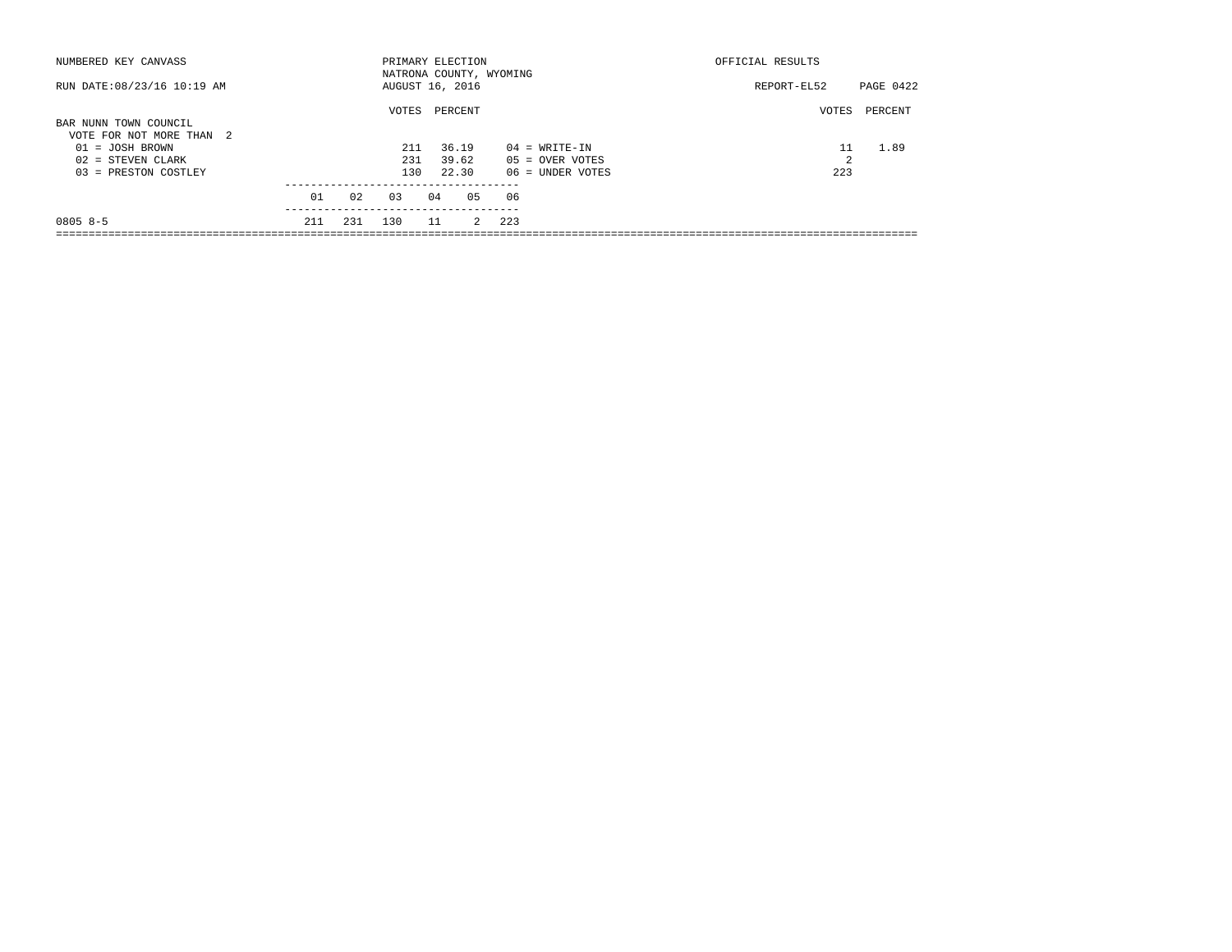| NUMBERED KEY CANVASS        |     |     | PRIMARY ELECTION        |    |              |     | OFFICIAL RESULTS  |           |         |
|-----------------------------|-----|-----|-------------------------|----|--------------|-----|-------------------|-----------|---------|
|                             |     |     | NATRONA COUNTY, WYOMING |    |              |     |                   |           |         |
| RUN DATE: 08/23/16 10:19 AM |     |     | AUGUST 16, 2016         |    |              |     | REPORT-EL52       | PAGE 0422 |         |
| BAR NUNN TOWN COUNCIL       |     |     | VOTES                   |    | PERCENT      |     |                   | VOTES     | PERCENT |
| VOTE FOR NOT MORE THAN 2    |     |     |                         |    |              |     |                   |           |         |
| $01 = JOSH BROWN$           |     |     | 211                     |    | 36.19        |     | $04 = WRTTE-IN$   |           | 1.89    |
| $02 =$ STEVEN CLARK         |     |     | 231                     |    | 39.62        |     | $05 =$ OVER VOTES | 2         |         |
| 03 = PRESTON COSTLEY        |     |     | 130                     |    | 22.30        |     | 06 = UNDER VOTES  | 223       |         |
|                             |     |     |                         |    |              |     |                   |           |         |
|                             | 01  | 02  | 0.3                     | 04 | 05           | 06  |                   |           |         |
|                             |     |     |                         |    |              |     |                   |           |         |
| $08058-5$                   | 211 | 231 | 130                     | 11 | $\mathbf{2}$ | 223 |                   |           |         |
|                             |     |     |                         |    |              |     |                   |           |         |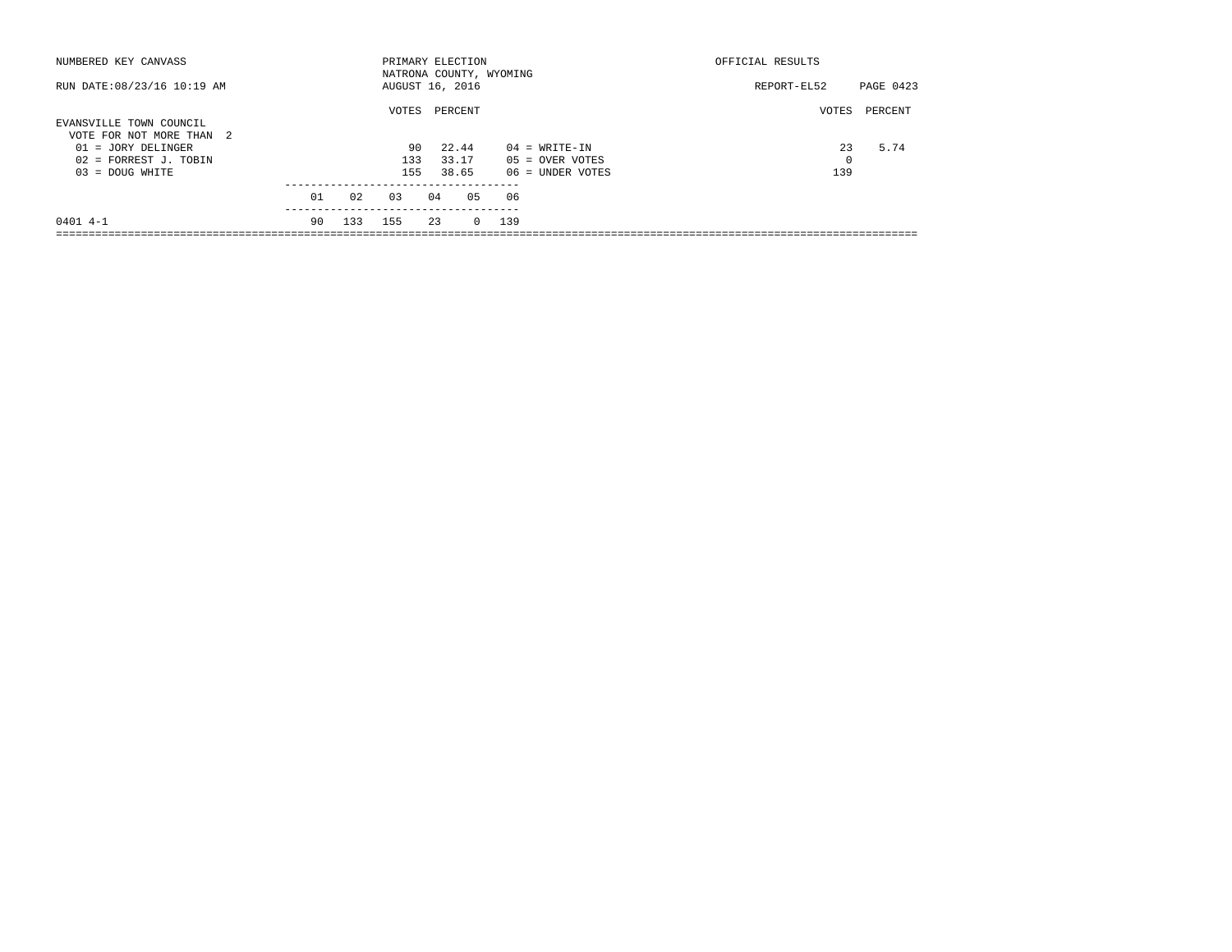| NUMBERED KEY CANVASS        |    |     | PRIMARY ELECTION |    |          |                         |                   | OFFICIAL RESULTS |         |
|-----------------------------|----|-----|------------------|----|----------|-------------------------|-------------------|------------------|---------|
|                             |    |     |                  |    |          | NATRONA COUNTY, WYOMING |                   |                  |         |
| RUN DATE: 08/23/16 10:19 AM |    |     | AUGUST 16, 2016  |    |          |                         | REPORT-EL52       | PAGE 0423        |         |
|                             |    |     | VOTES            |    | PERCENT  |                         |                   | VOTES            | PERCENT |
| EVANSVILLE TOWN COUNCIL     |    |     |                  |    |          |                         |                   |                  |         |
| VOTE FOR NOT MORE THAN 2    |    |     |                  |    |          |                         |                   |                  |         |
| $01 = JORY DELINGER$        |    |     | 90               |    | 22.44    |                         | $04 = WRTTE-IN$   | 23               | 5.74    |
| 02 = FORREST J. TOBIN       |    |     | 133              |    | 33.17    |                         | $05 =$ OVER VOTES | 0                |         |
| $03 = DOUG WHICH$           |    |     | 155              |    | 38.65    |                         | 06 = UNDER VOTES  | 139              |         |
|                             |    |     |                  |    |          |                         |                   |                  |         |
|                             | 01 | 02  | 0.3              | 04 | 05       | 06                      |                   |                  |         |
|                             |    |     |                  |    |          |                         |                   |                  |         |
| $0401$ 4-1                  | 90 | 133 | 155              | 23 | $\Omega$ | 139                     |                   |                  |         |
|                             |    |     |                  |    |          |                         |                   |                  |         |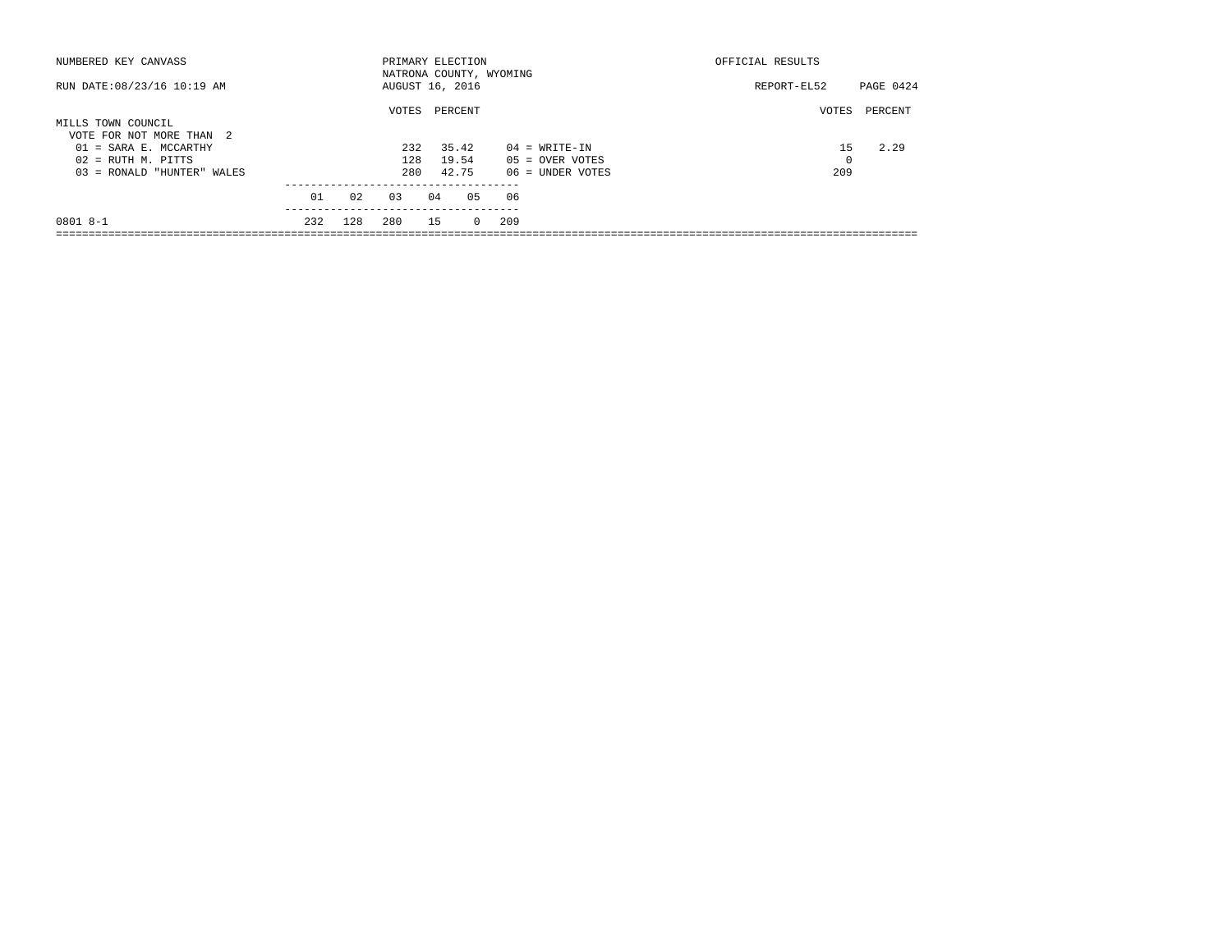| NUMBERED KEY CANVASS        |     |     | PRIMARY ELECTION        |    |         | OFFICIAL RESULTS |                   |       |         |
|-----------------------------|-----|-----|-------------------------|----|---------|------------------|-------------------|-------|---------|
|                             |     |     | NATRONA COUNTY, WYOMING |    |         |                  |                   |       |         |
| RUN DATE: 08/23/16 10:19 AM |     |     | AUGUST 16, 2016         |    |         | REPORT-EL52      | PAGE 0424         |       |         |
|                             |     |     |                         |    |         |                  |                   |       |         |
|                             |     |     | VOTES                   |    | PERCENT |                  |                   | VOTES | PERCENT |
| MILLS TOWN COUNCIL          |     |     |                         |    |         |                  |                   |       |         |
| VOTE FOR NOT MORE THAN 2    |     |     |                         |    |         |                  |                   |       |         |
| $01 = SARA E. MCCARTHY$     |     |     | 232                     |    | 35.42   |                  | $04 = WRTTE-TN$   | 1.5   | 2.29    |
| $02$ = RUTH M. PITTS        |     |     | 128                     |    | 19.54   |                  | $05 =$ OVER VOTES | 0     |         |
| 03 = RONALD "HUNTER" WALES  |     |     | 280                     |    | 42.75   |                  | 06 = UNDER VOTES  | 209   |         |
|                             |     |     |                         |    |         |                  |                   |       |         |
|                             | 01  | 02  | 03                      | 04 | 05      | 06               |                   |       |         |
|                             |     |     |                         |    |         |                  |                   |       |         |
| 0801 8-1                    | 232 | 128 | 280                     | 15 |         | 209<br>$\Omega$  |                   |       |         |
|                             |     |     |                         |    |         |                  |                   |       |         |